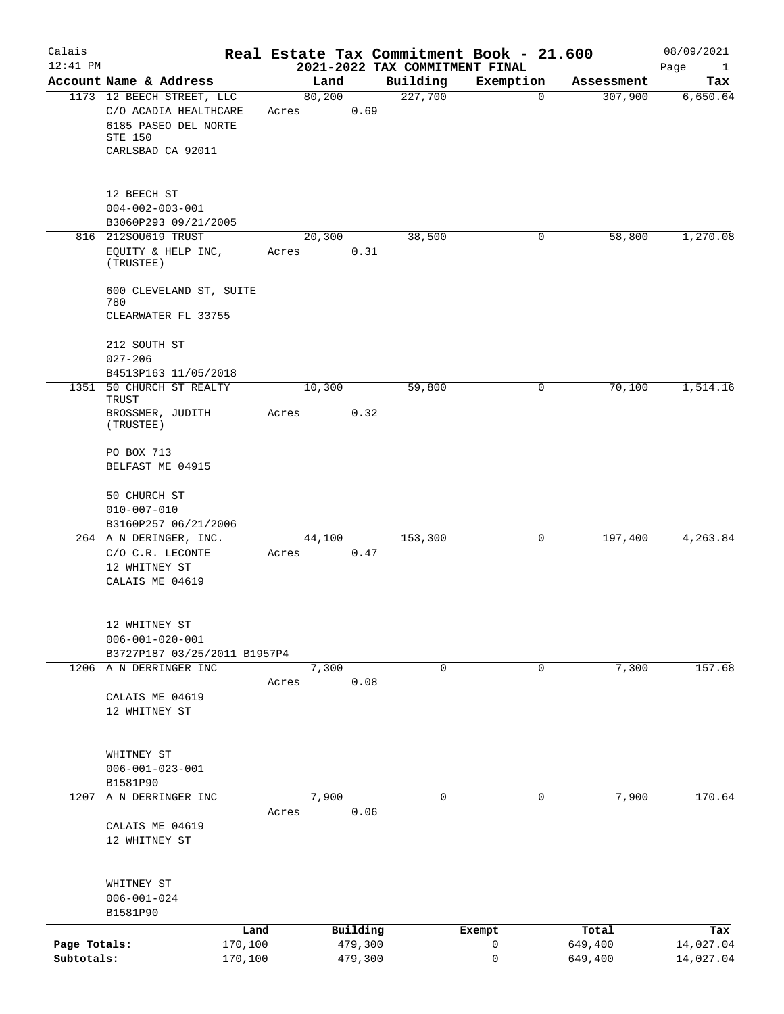| Calais<br>12:41 PM         |                                                                                                            |                    |                    | Real Estate Tax Commitment Book - 21.600<br>2021-2022 TAX COMMITMENT FINAL |             |                    | 08/09/2021<br>Page<br>$\mathbf{1}$ |
|----------------------------|------------------------------------------------------------------------------------------------------------|--------------------|--------------------|----------------------------------------------------------------------------|-------------|--------------------|------------------------------------|
|                            | Account Name & Address                                                                                     |                    | Land               | Building                                                                   | Exemption   | Assessment         | Tax                                |
|                            | 1173 12 BEECH STREET, LLC<br>C/O ACADIA HEALTHCARE<br>6185 PASEO DEL NORTE<br>STE 150<br>CARLSBAD CA 92011 | Acres              | 80,200<br>0.69     | 227,700                                                                    | $\mathbf 0$ | 307,900            | 6,650.64                           |
|                            | 12 BEECH ST<br>$004 - 002 - 003 - 001$<br>B3060P293 09/21/2005<br>816 212SOU619 TRUST                      |                    | 20,300             | 38,500                                                                     | 0           | 58,800             | 1,270.08                           |
|                            | EQUITY & HELP INC,<br>(TRUSTEE)                                                                            | Acres              | 0.31               |                                                                            |             |                    |                                    |
|                            | 600 CLEVELAND ST, SUITE<br>780<br>CLEARWATER FL 33755                                                      |                    |                    |                                                                            |             |                    |                                    |
|                            | 212 SOUTH ST<br>$027 - 206$                                                                                |                    |                    |                                                                            |             |                    |                                    |
|                            | B4513P163 11/05/2018                                                                                       |                    |                    |                                                                            |             |                    |                                    |
|                            | 1351 50 CHURCH ST REALTY<br>TRUST<br>BROSSMER, JUDITH<br>(TRUSTEE)                                         | Acres              | 10,300<br>0.32     | 59,800                                                                     | 0           | 70,100             | 1,514.16                           |
|                            | PO BOX 713<br>BELFAST ME 04915                                                                             |                    |                    |                                                                            |             |                    |                                    |
|                            | 50 CHURCH ST<br>$010 - 007 - 010$<br>B3160P257 06/21/2006                                                  |                    |                    |                                                                            |             |                    |                                    |
|                            | 264 A N DERINGER, INC.                                                                                     |                    | 44,100             | 153,300                                                                    | 0           | 197,400            | 4,263.84                           |
|                            | C/O C.R. LECONTE<br>12 WHITNEY ST<br>CALAIS ME 04619                                                       | Acres              | 0.47               |                                                                            |             |                    |                                    |
|                            | 12 WHITNEY ST<br>$006 - 001 - 020 - 001$<br>B3727P187 03/25/2011 B1957P4                                   |                    |                    |                                                                            |             |                    |                                    |
|                            | 1206 A N DERRINGER INC<br>CALAIS ME 04619<br>12 WHITNEY ST                                                 | Acres              | 7,300<br>0.08      | 0                                                                          | 0           | 7,300              | 157.68                             |
|                            | WHITNEY ST<br>$006 - 001 - 023 - 001$<br>B1581P90                                                          |                    |                    |                                                                            |             |                    |                                    |
| 1207                       | A N DERRINGER INC<br>CALAIS ME 04619                                                                       | Acres              | 7,900<br>0.06      | $\mathbf 0$                                                                | $\mathbf 0$ | 7,900              | 170.64                             |
|                            | 12 WHITNEY ST<br>WHITNEY ST<br>$006 - 001 - 024$<br>B1581P90                                               |                    |                    |                                                                            |             |                    |                                    |
|                            |                                                                                                            | Land               | Building           |                                                                            | Exempt      | Total              | Tax                                |
| Page Totals:<br>Subtotals: |                                                                                                            | 170,100<br>170,100 | 479,300<br>479,300 |                                                                            | 0<br>0      | 649,400<br>649,400 | 14,027.04<br>14,027.04             |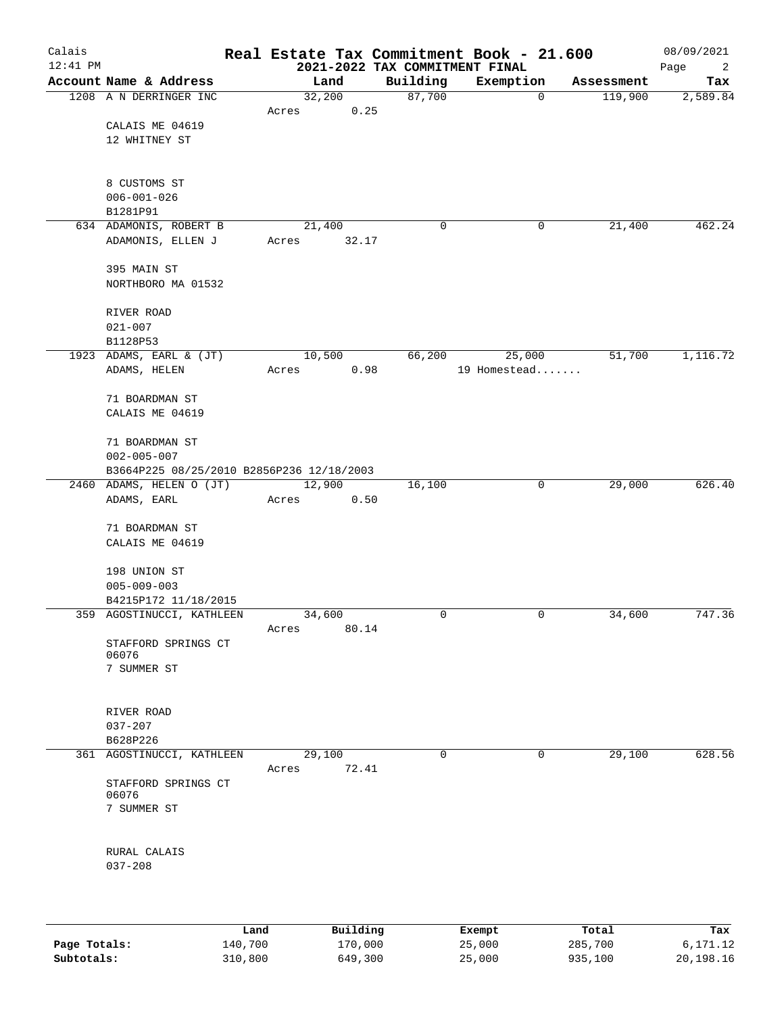| Calais<br>$12:41$ PM |                                           |       |          | 2021-2022 TAX COMMITMENT FINAL | Real Estate Tax Commitment Book - 21.600 |            | 08/09/2021<br>Page<br>2 |
|----------------------|-------------------------------------------|-------|----------|--------------------------------|------------------------------------------|------------|-------------------------|
|                      | Account Name & Address                    |       | Land     | Building                       | Exemption                                | Assessment | Tax                     |
|                      | 1208 A N DERRINGER INC                    |       | 32,200   | 87,700                         | 0                                        | 119,900    | 2,589.84                |
|                      | CALAIS ME 04619                           | Acres | 0.25     |                                |                                          |            |                         |
|                      | 12 WHITNEY ST                             |       |          |                                |                                          |            |                         |
|                      |                                           |       |          |                                |                                          |            |                         |
|                      |                                           |       |          |                                |                                          |            |                         |
|                      | 8 CUSTOMS ST                              |       |          |                                |                                          |            |                         |
|                      | $006 - 001 - 026$                         |       |          |                                |                                          |            |                         |
|                      | B1281P91<br>634 ADAMONIS, ROBERT B        |       | 21,400   | 0                              | 0                                        | 21,400     | 462.24                  |
|                      | ADAMONIS, ELLEN J                         | Acres | 32.17    |                                |                                          |            |                         |
|                      |                                           |       |          |                                |                                          |            |                         |
|                      | 395 MAIN ST                               |       |          |                                |                                          |            |                         |
|                      | NORTHBORO MA 01532                        |       |          |                                |                                          |            |                         |
|                      | RIVER ROAD                                |       |          |                                |                                          |            |                         |
|                      | $021 - 007$                               |       |          |                                |                                          |            |                         |
|                      | B1128P53                                  |       |          |                                |                                          |            |                         |
|                      | 1923 ADAMS, EARL & (JT)                   |       | 10,500   | 66,200                         | 25,000                                   | 51,700     | 1,116.72                |
|                      | ADAMS, HELEN                              | Acres | 0.98     |                                | 19 Homestead                             |            |                         |
|                      |                                           |       |          |                                |                                          |            |                         |
|                      | 71 BOARDMAN ST                            |       |          |                                |                                          |            |                         |
|                      | CALAIS ME 04619                           |       |          |                                |                                          |            |                         |
|                      | 71 BOARDMAN ST                            |       |          |                                |                                          |            |                         |
|                      | $002 - 005 - 007$                         |       |          |                                |                                          |            |                         |
|                      | B3664P225 08/25/2010 B2856P236 12/18/2003 |       |          |                                |                                          |            |                         |
|                      | 2460 ADAMS, HELEN O (JT)                  |       | 12,900   | 16,100                         | 0                                        | 29,000     | 626.40                  |
|                      | ADAMS, EARL                               | Acres | 0.50     |                                |                                          |            |                         |
|                      | 71 BOARDMAN ST                            |       |          |                                |                                          |            |                         |
|                      | CALAIS ME 04619                           |       |          |                                |                                          |            |                         |
|                      |                                           |       |          |                                |                                          |            |                         |
|                      | 198 UNION ST                              |       |          |                                |                                          |            |                         |
|                      | $005 - 009 - 003$                         |       |          |                                |                                          |            |                         |
|                      | B4215P172 11/18/2015                      |       |          |                                |                                          |            |                         |
|                      | 359 AGOSTINUCCI, KATHLEEN                 |       | 34,600   | 0                              | 0                                        | 34,600     | 747.36                  |
|                      | STAFFORD SPRINGS CT                       | Acres | 80.14    |                                |                                          |            |                         |
|                      | 06076                                     |       |          |                                |                                          |            |                         |
|                      | 7 SUMMER ST                               |       |          |                                |                                          |            |                         |
|                      |                                           |       |          |                                |                                          |            |                         |
|                      | RIVER ROAD                                |       |          |                                |                                          |            |                         |
|                      | $037 - 207$                               |       |          |                                |                                          |            |                         |
|                      | B628P226                                  |       |          |                                |                                          |            |                         |
|                      | 361 AGOSTINUCCI, KATHLEEN                 |       | 29,100   | 0                              | 0                                        | 29,100     | 628.56                  |
|                      |                                           | Acres | 72.41    |                                |                                          |            |                         |
|                      | STAFFORD SPRINGS CT<br>06076              |       |          |                                |                                          |            |                         |
|                      | 7 SUMMER ST                               |       |          |                                |                                          |            |                         |
|                      |                                           |       |          |                                |                                          |            |                         |
|                      |                                           |       |          |                                |                                          |            |                         |
|                      | RURAL CALAIS                              |       |          |                                |                                          |            |                         |
|                      | $037 - 208$                               |       |          |                                |                                          |            |                         |
|                      |                                           |       |          |                                |                                          |            |                         |
|                      |                                           |       |          |                                |                                          |            |                         |
|                      |                                           | Land  | Building |                                | Exempt                                   | Total      | Tax                     |

|              | ------- | ------------ | -------- | ------  | ------    |
|--------------|---------|--------------|----------|---------|-----------|
| Page Totals: | 140,700 | 170,000      | 25,000   | 285,700 | 6,171.12  |
| Subtotals:   | 310,800 | 649,300      | 25,000   | 935,100 | 20,198.16 |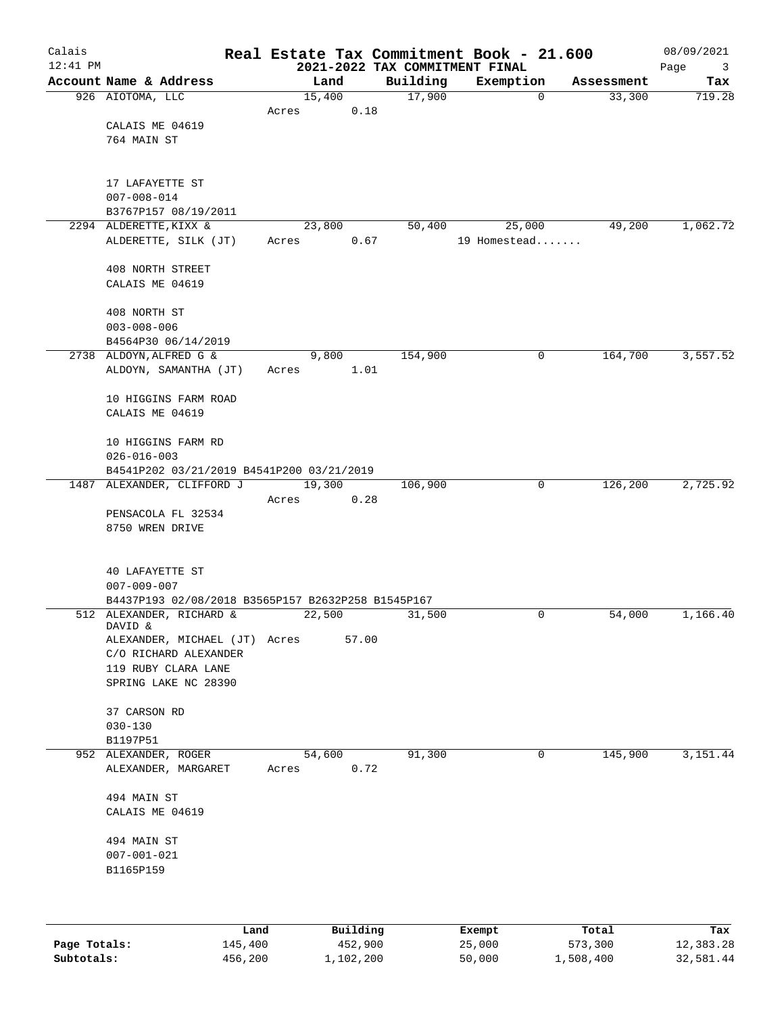| Calais     |                                                    |       |        |          |                                            | Real Estate Tax Commitment Book - 21.600 |             |                      | 08/09/2021    |
|------------|----------------------------------------------------|-------|--------|----------|--------------------------------------------|------------------------------------------|-------------|----------------------|---------------|
| $12:41$ PM | Account Name & Address                             |       | Land   |          | 2021-2022 TAX COMMITMENT FINAL<br>Building |                                          |             |                      | Page<br>3     |
|            | 926 AIOTOMA, LLC                                   |       | 15,400 |          | 17,900                                     | Exemption                                | $\mathbf 0$ | Assessment<br>33,300 | Tax<br>719.28 |
|            |                                                    | Acres |        | 0.18     |                                            |                                          |             |                      |               |
|            | CALAIS ME 04619                                    |       |        |          |                                            |                                          |             |                      |               |
|            | 764 MAIN ST                                        |       |        |          |                                            |                                          |             |                      |               |
|            |                                                    |       |        |          |                                            |                                          |             |                      |               |
|            |                                                    |       |        |          |                                            |                                          |             |                      |               |
|            | 17 LAFAYETTE ST                                    |       |        |          |                                            |                                          |             |                      |               |
|            | $007 - 008 - 014$<br>B3767P157 08/19/2011          |       |        |          |                                            |                                          |             |                      |               |
|            | 2294 ALDERETTE, KIXX &                             |       | 23,800 |          | 50,400                                     | 25,000                                   |             | 49,200               | 1,062.72      |
|            | ALDERETTE, SILK (JT)                               | Acres |        | 0.67     |                                            | 19 Homestead                             |             |                      |               |
|            |                                                    |       |        |          |                                            |                                          |             |                      |               |
|            | 408 NORTH STREET                                   |       |        |          |                                            |                                          |             |                      |               |
|            | CALAIS ME 04619                                    |       |        |          |                                            |                                          |             |                      |               |
|            |                                                    |       |        |          |                                            |                                          |             |                      |               |
|            | 408 NORTH ST<br>$003 - 008 - 006$                  |       |        |          |                                            |                                          |             |                      |               |
|            | B4564P30 06/14/2019                                |       |        |          |                                            |                                          |             |                      |               |
|            | 2738 ALDOYN, ALFRED G &                            |       | 9,800  |          | 154,900                                    |                                          | 0           | 164,700              | 3,557.52      |
|            | ALDOYN, SAMANTHA (JT)                              | Acres |        | 1.01     |                                            |                                          |             |                      |               |
|            |                                                    |       |        |          |                                            |                                          |             |                      |               |
|            | 10 HIGGINS FARM ROAD                               |       |        |          |                                            |                                          |             |                      |               |
|            | CALAIS ME 04619                                    |       |        |          |                                            |                                          |             |                      |               |
|            | 10 HIGGINS FARM RD                                 |       |        |          |                                            |                                          |             |                      |               |
|            | $026 - 016 - 003$                                  |       |        |          |                                            |                                          |             |                      |               |
|            | B4541P202 03/21/2019 B4541P200 03/21/2019          |       |        |          |                                            |                                          |             |                      |               |
|            | 1487 ALEXANDER, CLIFFORD J                         |       | 19,300 |          | 106,900                                    |                                          | $\mathbf 0$ | 126,200              | 2,725.92      |
|            |                                                    | Acres |        | 0.28     |                                            |                                          |             |                      |               |
|            | PENSACOLA FL 32534                                 |       |        |          |                                            |                                          |             |                      |               |
|            | 8750 WREN DRIVE                                    |       |        |          |                                            |                                          |             |                      |               |
|            |                                                    |       |        |          |                                            |                                          |             |                      |               |
|            | 40 LAFAYETTE ST                                    |       |        |          |                                            |                                          |             |                      |               |
|            | $007 - 009 - 007$                                  |       |        |          |                                            |                                          |             |                      |               |
|            | B4437P193 02/08/2018 B3565P157 B2632P258 B1545P167 |       |        |          |                                            |                                          |             |                      |               |
|            | 512 ALEXANDER, RICHARD &<br>DAVID &                |       | 22,500 |          | 31,500                                     |                                          | $\mathbf 0$ | 54,000               | 1,166.40      |
|            | ALEXANDER, MICHAEL (JT) Acres                      |       |        | 57.00    |                                            |                                          |             |                      |               |
|            | C/O RICHARD ALEXANDER                              |       |        |          |                                            |                                          |             |                      |               |
|            | 119 RUBY CLARA LANE                                |       |        |          |                                            |                                          |             |                      |               |
|            | SPRING LAKE NC 28390                               |       |        |          |                                            |                                          |             |                      |               |
|            |                                                    |       |        |          |                                            |                                          |             |                      |               |
|            | 37 CARSON RD                                       |       |        |          |                                            |                                          |             |                      |               |
|            | $030 - 130$<br>B1197P51                            |       |        |          |                                            |                                          |             |                      |               |
|            | 952 ALEXANDER, ROGER                               |       | 54,600 |          | 91,300                                     |                                          | 0           | 145,900              | 3,151.44      |
|            | ALEXANDER, MARGARET                                | Acres |        | 0.72     |                                            |                                          |             |                      |               |
|            |                                                    |       |        |          |                                            |                                          |             |                      |               |
|            | 494 MAIN ST                                        |       |        |          |                                            |                                          |             |                      |               |
|            | CALAIS ME 04619                                    |       |        |          |                                            |                                          |             |                      |               |
|            | 494 MAIN ST                                        |       |        |          |                                            |                                          |             |                      |               |
|            | $007 - 001 - 021$                                  |       |        |          |                                            |                                          |             |                      |               |
|            | B1165P159                                          |       |        |          |                                            |                                          |             |                      |               |
|            |                                                    |       |        |          |                                            |                                          |             |                      |               |
|            |                                                    |       |        |          |                                            |                                          |             |                      |               |
|            |                                                    |       |        | Building |                                            |                                          |             | Total                |               |
|            |                                                    | Land  |        |          |                                            | Exempt                                   |             |                      | Tax           |

|              | Land    | Building  | Exempt | Total     | Tax       |
|--------------|---------|-----------|--------|-----------|-----------|
| Page Totals: | 145,400 | 452,900   | 25,000 | 573,300   | 12,383.28 |
| Subtotals:   | 456,200 | 1,102,200 | 50,000 | 1,508,400 | 32,581.44 |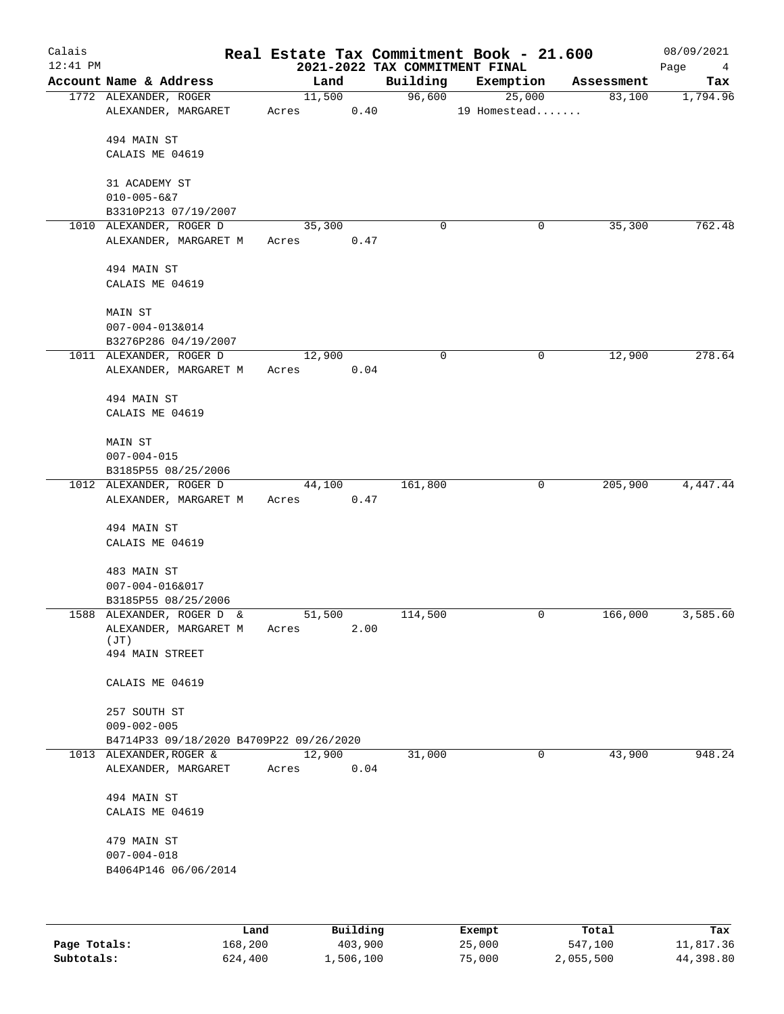| Calais<br>$12:41$ PM |                                                  |               | 2021-2022 TAX COMMITMENT FINAL | Real Estate Tax Commitment Book - 21.600 |            | 08/09/2021<br>Page<br>4 |
|----------------------|--------------------------------------------------|---------------|--------------------------------|------------------------------------------|------------|-------------------------|
|                      | Account Name & Address                           | Land          | Building                       | Exemption                                | Assessment | Tax                     |
|                      | 1772 ALEXANDER, ROGER                            | 11,500        | 96,600                         | 25,000                                   | 83,100     | 1,794.96                |
|                      | ALEXANDER, MARGARET                              | Acres         | 0.40                           | 19 Homestead                             |            |                         |
|                      | 494 MAIN ST                                      |               |                                |                                          |            |                         |
|                      | CALAIS ME 04619                                  |               |                                |                                          |            |                         |
|                      |                                                  |               |                                |                                          |            |                         |
|                      | 31 ACADEMY ST                                    |               |                                |                                          |            |                         |
|                      | $010 - 005 - 627$                                |               |                                |                                          |            |                         |
|                      | B3310P213 07/19/2007                             |               |                                |                                          |            |                         |
|                      | 1010 ALEXANDER, ROGER D                          | 35,300        | 0                              | 0                                        | 35, 300    | 762.48                  |
|                      | ALEXANDER, MARGARET M                            | 0.47<br>Acres |                                |                                          |            |                         |
|                      |                                                  |               |                                |                                          |            |                         |
|                      | 494 MAIN ST                                      |               |                                |                                          |            |                         |
|                      | CALAIS ME 04619                                  |               |                                |                                          |            |                         |
|                      | MAIN ST                                          |               |                                |                                          |            |                         |
|                      | 007-004-013&014                                  |               |                                |                                          |            |                         |
|                      | B3276P286 04/19/2007                             |               |                                |                                          |            |                         |
|                      | 1011 ALEXANDER, ROGER D                          | 12,900        | 0                              | 0                                        | 12,900     | 278.64                  |
|                      | ALEXANDER, MARGARET M                            | 0.04<br>Acres |                                |                                          |            |                         |
|                      |                                                  |               |                                |                                          |            |                         |
|                      | 494 MAIN ST                                      |               |                                |                                          |            |                         |
|                      | CALAIS ME 04619                                  |               |                                |                                          |            |                         |
|                      |                                                  |               |                                |                                          |            |                         |
|                      | MAIN ST<br>$007 - 004 - 015$                     |               |                                |                                          |            |                         |
|                      | B3185P55 08/25/2006                              |               |                                |                                          |            |                         |
|                      | 1012 ALEXANDER, ROGER D                          | 44,100        | 161,800                        | 0                                        | 205,900    | 4,447.44                |
|                      | ALEXANDER, MARGARET M                            | 0.47<br>Acres |                                |                                          |            |                         |
|                      |                                                  |               |                                |                                          |            |                         |
|                      | 494 MAIN ST                                      |               |                                |                                          |            |                         |
|                      | CALAIS ME 04619                                  |               |                                |                                          |            |                         |
|                      |                                                  |               |                                |                                          |            |                         |
|                      | 483 MAIN ST                                      |               |                                |                                          |            |                         |
|                      | 007-004-016&017                                  |               |                                |                                          |            |                         |
|                      | B3185P55 08/25/2006<br>1588 ALEXANDER, ROGER D & | 51,500        | 114,500                        | 0                                        | 166,000    | 3,585.60                |
|                      | ALEXANDER, MARGARET M                            | Acres         | 2.00                           |                                          |            |                         |
|                      | (JT)                                             |               |                                |                                          |            |                         |
|                      | 494 MAIN STREET                                  |               |                                |                                          |            |                         |
|                      |                                                  |               |                                |                                          |            |                         |
|                      | CALAIS ME 04619                                  |               |                                |                                          |            |                         |
|                      | 257 SOUTH ST                                     |               |                                |                                          |            |                         |
|                      | $009 - 002 - 005$                                |               |                                |                                          |            |                         |
|                      | B4714P33 09/18/2020 B4709P22 09/26/2020          |               |                                |                                          |            |                         |
|                      | 1013 ALEXANDER, ROGER &                          | 12,900        | 31,000                         | 0                                        | 43,900     | 948.24                  |
|                      | ALEXANDER, MARGARET                              | 0.04<br>Acres |                                |                                          |            |                         |
|                      |                                                  |               |                                |                                          |            |                         |
|                      | 494 MAIN ST                                      |               |                                |                                          |            |                         |
|                      | CALAIS ME 04619                                  |               |                                |                                          |            |                         |
|                      |                                                  |               |                                |                                          |            |                         |
|                      | 479 MAIN ST                                      |               |                                |                                          |            |                         |
|                      | $007 - 004 - 018$<br>B4064P146 06/06/2014        |               |                                |                                          |            |                         |
|                      |                                                  |               |                                |                                          |            |                         |
|                      |                                                  |               |                                |                                          |            |                         |
|                      |                                                  |               |                                |                                          |            |                         |
|                      |                                                  |               |                                |                                          |            |                         |

|              | Land    | Building  | Exempt | Total     | Tax       |
|--------------|---------|-----------|--------|-----------|-----------|
| Page Totals: | 168,200 | 403,900   | 25,000 | 547,100   | 11,817.36 |
| Subtotals:   | 624,400 | 1,506,100 | 75,000 | 2,055,500 | 44,398.80 |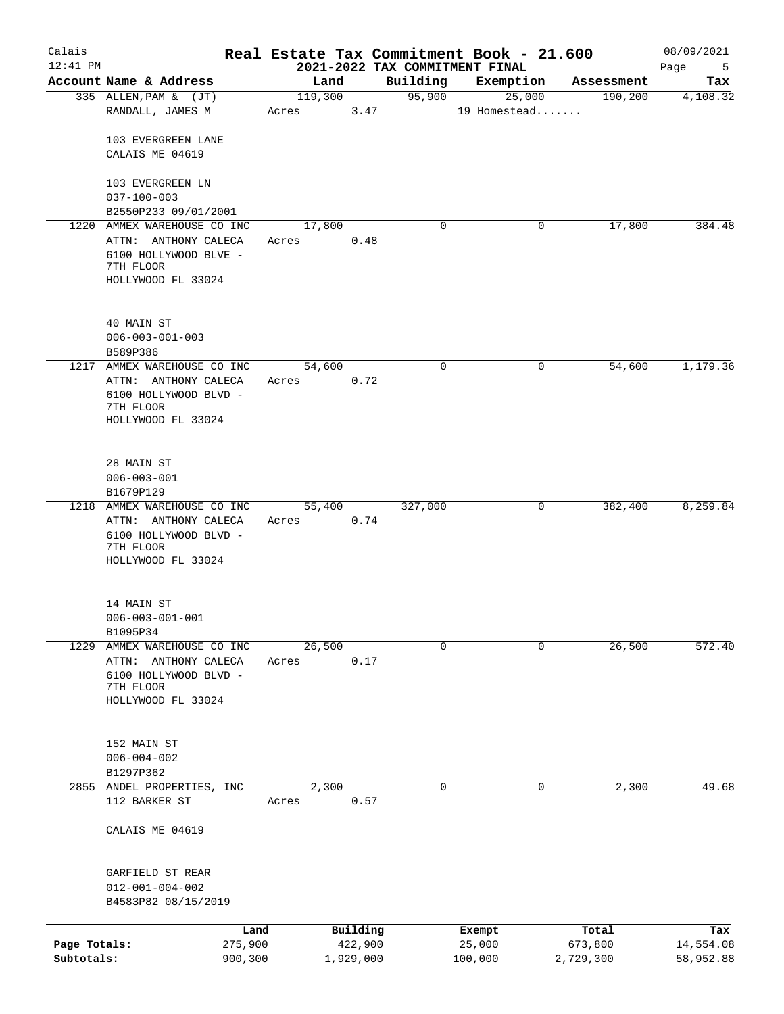| Calais<br>$12:41$ PM       |                                                                                                                    |                 |                      |                                            | Real Estate Tax Commitment Book - 21.600 |                      | 08/09/2021             |
|----------------------------|--------------------------------------------------------------------------------------------------------------------|-----------------|----------------------|--------------------------------------------|------------------------------------------|----------------------|------------------------|
|                            | Account Name & Address                                                                                             | Land            |                      | 2021-2022 TAX COMMITMENT FINAL<br>Building | Exemption                                | Assessment           | Page<br>$-5$<br>Tax    |
|                            | 335 ALLEN, PAM & (JT)                                                                                              | 119,300         |                      | 95,900                                     | 25,000                                   | 190,200              | 4,108.32               |
|                            | RANDALL, JAMES M                                                                                                   | Acres           | 3.47                 |                                            | 19 Homestead                             |                      |                        |
|                            | 103 EVERGREEN LANE<br>CALAIS ME 04619                                                                              |                 |                      |                                            |                                          |                      |                        |
|                            | 103 EVERGREEN LN<br>$037 - 100 - 003$                                                                              |                 |                      |                                            |                                          |                      |                        |
|                            | B2550P233 09/01/2001                                                                                               |                 |                      |                                            |                                          |                      |                        |
|                            | 1220 AMMEX WAREHOUSE CO INC                                                                                        | 17,800          |                      | 0                                          | 0                                        | 17,800               | 384.48                 |
|                            | ATTN: ANTHONY CALECA<br>6100 HOLLYWOOD BLVE -<br>7TH FLOOR<br>HOLLYWOOD FL 33024                                   | Acres           | 0.48                 |                                            |                                          |                      |                        |
|                            | 40 MAIN ST<br>$006 - 003 - 001 - 003$<br>B589P386                                                                  |                 |                      |                                            |                                          |                      |                        |
| 1217                       | AMMEX WAREHOUSE CO INC                                                                                             | 54,600          |                      | 0                                          | 0                                        | 54,600               | 1,179.36               |
|                            | ATTN: ANTHONY CALECA<br>6100 HOLLYWOOD BLVD -<br>7TH FLOOR<br>HOLLYWOOD FL 33024                                   | Acres           | 0.72                 |                                            |                                          |                      |                        |
|                            | 28 MAIN ST<br>$006 - 003 - 001$                                                                                    |                 |                      |                                            |                                          |                      |                        |
|                            | B1679P129<br>1218 AMMEX WAREHOUSE CO INC                                                                           | 55,400          |                      | 327,000                                    | 0                                        | 382,400              | 8,259.84               |
|                            | ATTN: ANTHONY CALECA<br>6100 HOLLYWOOD BLVD -<br>7TH FLOOR<br>HOLLYWOOD FL 33024                                   | Acres           | 0.74                 |                                            |                                          |                      |                        |
|                            | 14 MAIN ST<br>$006 - 003 - 001 - 001$<br>B1095P34                                                                  |                 |                      |                                            |                                          |                      |                        |
|                            | 1229 AMMEX WAREHOUSE CO INC<br>ANTHONY CALECA<br>ATTN:<br>6100 HOLLYWOOD BLVD -<br>7TH FLOOR<br>HOLLYWOOD FL 33024 | 26,500<br>Acres | 0.17                 | 0                                          | 0                                        | 26,500               | 572.40                 |
|                            | 152 MAIN ST<br>$006 - 004 - 002$<br>B1297P362                                                                      |                 |                      |                                            |                                          |                      |                        |
|                            | 2855 ANDEL PROPERTIES, INC                                                                                         | 2,300           |                      | 0                                          | 0                                        | 2,300                | 49.68                  |
|                            | 112 BARKER ST                                                                                                      | Acres           | 0.57                 |                                            |                                          |                      |                        |
|                            | CALAIS ME 04619                                                                                                    |                 |                      |                                            |                                          |                      |                        |
|                            | GARFIELD ST REAR<br>$012 - 001 - 004 - 002$<br>B4583P82 08/15/2019                                                 |                 |                      |                                            |                                          |                      |                        |
|                            |                                                                                                                    | Land            | Building             |                                            | Exempt                                   | Total                | Tax                    |
| Page Totals:<br>Subtotals: | 275,900<br>900,300                                                                                                 |                 | 422,900<br>1,929,000 |                                            | 25,000<br>100,000                        | 673,800<br>2,729,300 | 14,554.08<br>58,952.88 |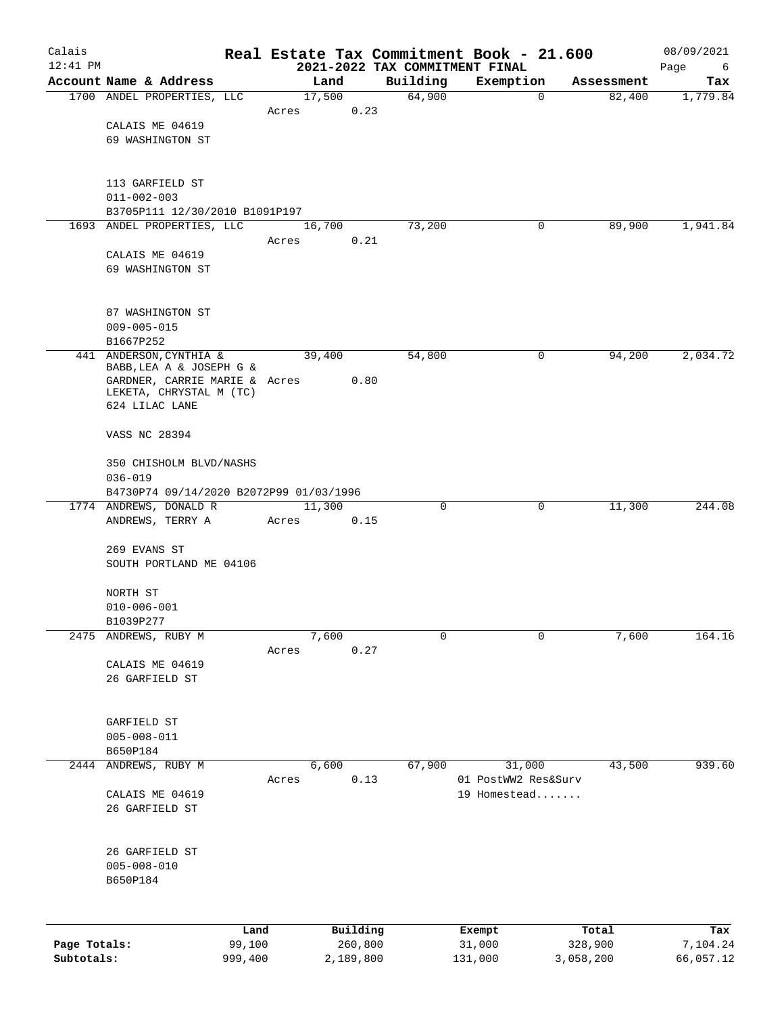| Calais       |                                                              |                |       |        |                     |             | Real Estate Tax Commitment Book - 21.600    |             |                  | 08/09/2021       |
|--------------|--------------------------------------------------------------|----------------|-------|--------|---------------------|-------------|---------------------------------------------|-------------|------------------|------------------|
| $12:41$ PM   | Account Name & Address                                       |                |       | Land   |                     | Building    | 2021-2022 TAX COMMITMENT FINAL<br>Exemption |             | Assessment       | Page<br>6<br>Tax |
|              | 1700 ANDEL PROPERTIES, LLC                                   |                |       | 17,500 |                     | 64,900      |                                             | $\mathbf 0$ | 82,400           | 1,779.84         |
|              |                                                              |                | Acres |        | 0.23                |             |                                             |             |                  |                  |
|              | CALAIS ME 04619                                              |                |       |        |                     |             |                                             |             |                  |                  |
|              | 69 WASHINGTON ST                                             |                |       |        |                     |             |                                             |             |                  |                  |
|              |                                                              |                |       |        |                     |             |                                             |             |                  |                  |
|              | 113 GARFIELD ST                                              |                |       |        |                     |             |                                             |             |                  |                  |
|              | $011 - 002 - 003$                                            |                |       |        |                     |             |                                             |             |                  |                  |
|              | B3705P111 12/30/2010 B1091P197<br>1693 ANDEL PROPERTIES, LLC |                |       | 16,700 |                     | 73,200      |                                             | 0           | 89,900           | 1,941.84         |
|              |                                                              |                | Acres |        | 0.21                |             |                                             |             |                  |                  |
|              | CALAIS ME 04619                                              |                |       |        |                     |             |                                             |             |                  |                  |
|              | 69 WASHINGTON ST                                             |                |       |        |                     |             |                                             |             |                  |                  |
|              |                                                              |                |       |        |                     |             |                                             |             |                  |                  |
|              | 87 WASHINGTON ST                                             |                |       |        |                     |             |                                             |             |                  |                  |
|              | $009 - 005 - 015$<br>B1667P252                               |                |       |        |                     |             |                                             |             |                  |                  |
|              | 441 ANDERSON, CYNTHIA &                                      |                |       | 39,400 |                     | 54,800      |                                             | 0           | 94,200           | 2,034.72         |
|              | BABB, LEA A & JOSEPH G &                                     |                |       |        |                     |             |                                             |             |                  |                  |
|              | GARDNER, CARRIE MARIE & Acres<br>LEKETA, CHRYSTAL M (TC)     |                |       |        | 0.80                |             |                                             |             |                  |                  |
|              | 624 LILAC LANE                                               |                |       |        |                     |             |                                             |             |                  |                  |
|              | VASS NC 28394                                                |                |       |        |                     |             |                                             |             |                  |                  |
|              | 350 CHISHOLM BLVD/NASHS                                      |                |       |        |                     |             |                                             |             |                  |                  |
|              | $036 - 019$                                                  |                |       |        |                     |             |                                             |             |                  |                  |
|              | B4730P74 09/14/2020 B2072P99 01/03/1996                      |                |       |        |                     |             |                                             |             |                  |                  |
|              | 1774 ANDREWS, DONALD R                                       |                |       | 11,300 |                     | $\mathbf 0$ |                                             | 0           | 11,300           | 244.08           |
|              | ANDREWS, TERRY A                                             |                | Acres |        | 0.15                |             |                                             |             |                  |                  |
|              | 269 EVANS ST                                                 |                |       |        |                     |             |                                             |             |                  |                  |
|              | SOUTH PORTLAND ME 04106                                      |                |       |        |                     |             |                                             |             |                  |                  |
|              |                                                              |                |       |        |                     |             |                                             |             |                  |                  |
|              | NORTH ST<br>$010 - 006 - 001$                                |                |       |        |                     |             |                                             |             |                  |                  |
|              | B1039P277                                                    |                |       |        |                     |             |                                             |             |                  |                  |
| 2475         | ANDREWS, RUBY M                                              |                |       | 7,600  |                     | 0           |                                             | 0           | 7,600            | 164.16           |
|              |                                                              |                | Acres |        | 0.27                |             |                                             |             |                  |                  |
|              | CALAIS ME 04619                                              |                |       |        |                     |             |                                             |             |                  |                  |
|              | 26 GARFIELD ST                                               |                |       |        |                     |             |                                             |             |                  |                  |
|              |                                                              |                |       |        |                     |             |                                             |             |                  |                  |
|              | GARFIELD ST<br>$005 - 008 - 011$                             |                |       |        |                     |             |                                             |             |                  |                  |
|              | B650P184                                                     |                |       |        |                     |             |                                             |             |                  |                  |
| 2444         | ANDREWS, RUBY M                                              |                |       | 6,600  |                     | 67,900      | 31,000                                      |             | 43,500           | 939.60           |
|              |                                                              |                | Acres |        | 0.13                |             | 01 PostWW2 Res&Surv                         |             |                  |                  |
|              | CALAIS ME 04619                                              |                |       |        |                     |             | 19 Homestead                                |             |                  |                  |
|              | 26 GARFIELD ST                                               |                |       |        |                     |             |                                             |             |                  |                  |
|              |                                                              |                |       |        |                     |             |                                             |             |                  |                  |
|              | 26 GARFIELD ST<br>$005 - 008 - 010$                          |                |       |        |                     |             |                                             |             |                  |                  |
|              | B650P184                                                     |                |       |        |                     |             |                                             |             |                  |                  |
|              |                                                              |                |       |        |                     |             |                                             |             |                  |                  |
|              |                                                              |                |       |        |                     |             |                                             |             |                  |                  |
| Page Totals: |                                                              | Land<br>99,100 |       |        | Building<br>260,800 |             | Exempt<br>31,000                            |             | Total<br>328,900 | Tax<br>7,104.24  |
| Subtotals:   |                                                              | 999,400        |       |        | 2,189,800           |             | 131,000                                     |             | 3,058,200        | 66,057.12        |
|              |                                                              |                |       |        |                     |             |                                             |             |                  |                  |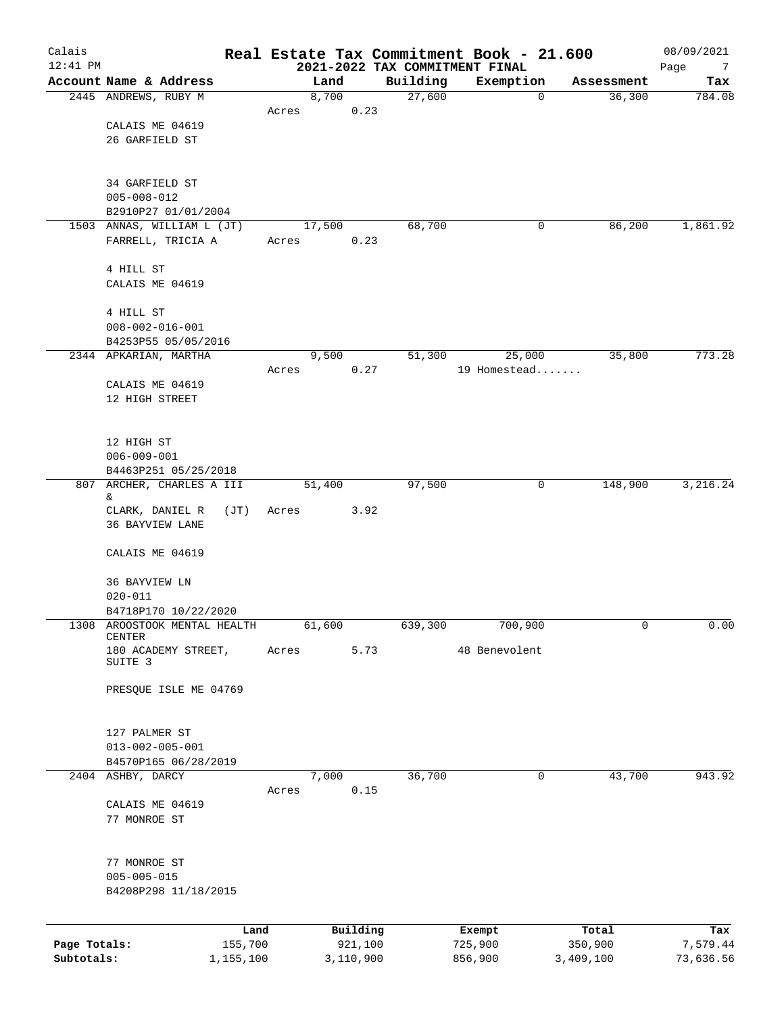| Calais<br>$12:41$ PM |                                              |               |           |      |          | Real Estate Tax Commitment Book - 21.600    |             |            | 08/09/2021       |
|----------------------|----------------------------------------------|---------------|-----------|------|----------|---------------------------------------------|-------------|------------|------------------|
|                      | Account Name & Address                       |               | Land      |      | Building | 2021-2022 TAX COMMITMENT FINAL<br>Exemption |             | Assessment | Page<br>7<br>Tax |
|                      | 2445 ANDREWS, RUBY M                         |               | 8,700     |      | 27,600   |                                             | $\mathbf 0$ | 36,300     | 784.08           |
|                      |                                              | Acres         | 0.23      |      |          |                                             |             |            |                  |
|                      | CALAIS ME 04619                              |               |           |      |          |                                             |             |            |                  |
|                      | 26 GARFIELD ST                               |               |           |      |          |                                             |             |            |                  |
|                      | 34 GARFIELD ST                               |               |           |      |          |                                             |             |            |                  |
|                      | $005 - 008 - 012$                            |               |           |      |          |                                             |             |            |                  |
|                      | B2910P27 01/01/2004                          |               |           |      |          |                                             |             |            |                  |
|                      | 1503 ANNAS, WILLIAM L (JT)                   |               | 17,500    |      | 68,700   |                                             | 0           | 86,200     | 1,861.92         |
|                      | FARRELL, TRICIA A                            | Acres         | 0.23      |      |          |                                             |             |            |                  |
|                      | 4 HILL ST                                    |               |           |      |          |                                             |             |            |                  |
|                      | CALAIS ME 04619                              |               |           |      |          |                                             |             |            |                  |
|                      |                                              |               |           |      |          |                                             |             |            |                  |
|                      | 4 HILL ST                                    |               |           |      |          |                                             |             |            |                  |
|                      | $008 - 002 - 016 - 001$                      |               |           |      |          |                                             |             |            |                  |
|                      | B4253P55 05/05/2016<br>2344 APKARIAN, MARTHA |               | 9,500     |      | 51,300   | 25,000                                      |             | 35,800     | 773.28           |
|                      |                                              | Acres         | 0.27      |      |          | 19 Homestead                                |             |            |                  |
|                      | CALAIS ME 04619                              |               |           |      |          |                                             |             |            |                  |
|                      | 12 HIGH STREET                               |               |           |      |          |                                             |             |            |                  |
|                      |                                              |               |           |      |          |                                             |             |            |                  |
|                      |                                              |               |           |      |          |                                             |             |            |                  |
|                      | 12 HIGH ST                                   |               |           |      |          |                                             |             |            |                  |
|                      | $006 - 009 - 001$<br>B4463P251 05/25/2018    |               |           |      |          |                                             |             |            |                  |
|                      | 807 ARCHER, CHARLES A III                    |               | 51,400    |      | 97,500   |                                             | 0           | 148,900    | 3,216.24         |
|                      | &.                                           |               |           |      |          |                                             |             |            |                  |
|                      | CLARK, DANIEL R                              | (JT)<br>Acres |           | 3.92 |          |                                             |             |            |                  |
|                      | 36 BAYVIEW LANE                              |               |           |      |          |                                             |             |            |                  |
|                      | CALAIS ME 04619                              |               |           |      |          |                                             |             |            |                  |
|                      |                                              |               |           |      |          |                                             |             |            |                  |
|                      | <b>36 BAYVIEW LN</b><br>$020 - 011$          |               |           |      |          |                                             |             |            |                  |
|                      | B4718P170 10/22/2020                         |               |           |      |          |                                             |             |            |                  |
| 1308                 | AROOSTOOK MENTAL HEALTH                      |               | 61,600    |      | 639,300  | 700,900                                     |             | 0          | 0.00             |
|                      | CENTER                                       |               |           |      |          |                                             |             |            |                  |
|                      | 180 ACADEMY STREET,<br>SUITE 3               | Acres         |           | 5.73 |          | 48 Benevolent                               |             |            |                  |
|                      | PRESQUE ISLE ME 04769                        |               |           |      |          |                                             |             |            |                  |
|                      |                                              |               |           |      |          |                                             |             |            |                  |
|                      | 127 PALMER ST                                |               |           |      |          |                                             |             |            |                  |
|                      | $013 - 002 - 005 - 001$                      |               |           |      |          |                                             |             |            |                  |
|                      | B4570P165 06/28/2019                         |               |           |      |          |                                             |             |            |                  |
|                      | 2404 ASHBY, DARCY                            |               | 7,000     |      | 36,700   |                                             | 0           | 43,700     | 943.92           |
|                      | CALAIS ME 04619                              | Acres         | 0.15      |      |          |                                             |             |            |                  |
|                      | 77 MONROE ST                                 |               |           |      |          |                                             |             |            |                  |
|                      |                                              |               |           |      |          |                                             |             |            |                  |
|                      | 77 MONROE ST                                 |               |           |      |          |                                             |             |            |                  |
|                      | $005 - 005 - 015$                            |               |           |      |          |                                             |             |            |                  |
|                      | B4208P298 11/18/2015                         |               |           |      |          |                                             |             |            |                  |
|                      |                                              |               |           |      |          |                                             |             |            |                  |
|                      |                                              | Land          | Building  |      |          | Exempt                                      |             | Total      | Tax              |
| Page Totals:         |                                              | 155,700       | 921,100   |      |          | 725,900                                     |             | 350,900    | 7,579.44         |
| Subtotals:           |                                              | 1,155,100     | 3,110,900 |      |          | 856,900                                     |             | 3,409,100  | 73,636.56        |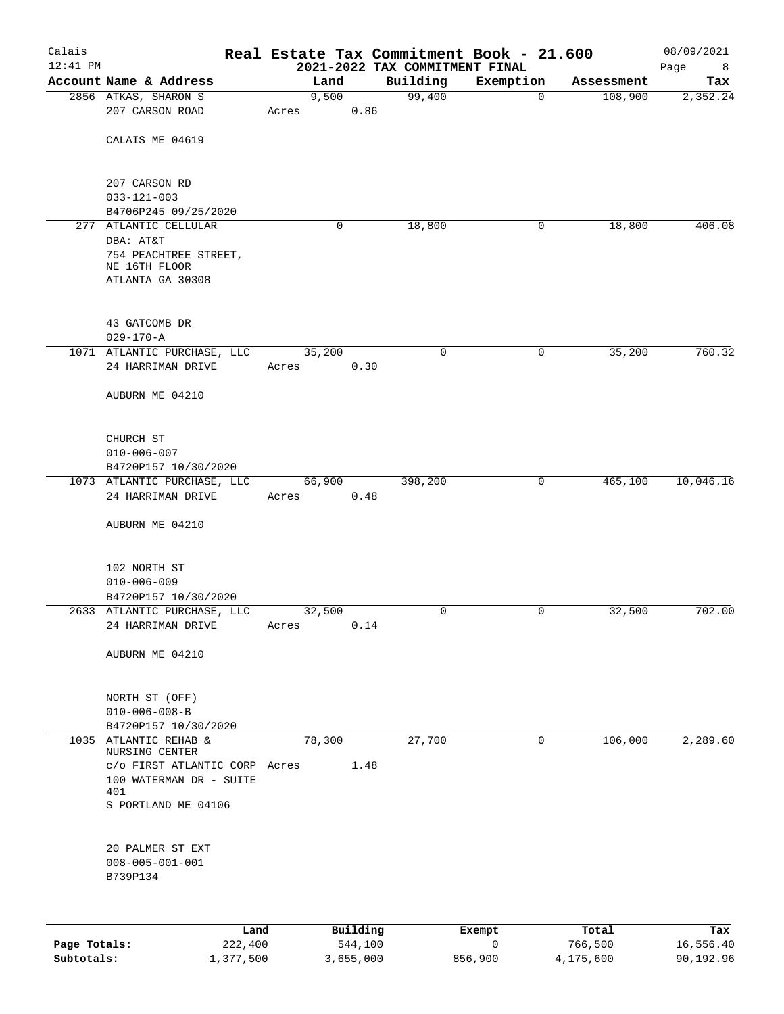| Calais<br>$12:41$ PM |                                                |       |          | 2021-2022 TAX COMMITMENT FINAL | Real Estate Tax Commitment Book - 21.600 |            | 08/09/2021<br>Page<br>$_{\rm 8}$ |
|----------------------|------------------------------------------------|-------|----------|--------------------------------|------------------------------------------|------------|----------------------------------|
|                      | Account Name & Address                         |       | Land     | Building                       | Exemption                                | Assessment | Tax                              |
|                      | 2856 ATKAS, SHARON S                           |       | 9,500    | 99,400                         | 0                                        | 108,900    | 2,352.24                         |
|                      | 207 CARSON ROAD                                | Acres | 0.86     |                                |                                          |            |                                  |
|                      |                                                |       |          |                                |                                          |            |                                  |
|                      | CALAIS ME 04619                                |       |          |                                |                                          |            |                                  |
|                      |                                                |       |          |                                |                                          |            |                                  |
|                      | 207 CARSON RD                                  |       |          |                                |                                          |            |                                  |
|                      | $033 - 121 - 003$<br>B4706P245 09/25/2020      |       |          |                                |                                          |            |                                  |
|                      | 277 ATLANTIC CELLULAR                          |       | 0        | 18,800                         | 0                                        | 18,800     | 406.08                           |
|                      | DBA: AT&T                                      |       |          |                                |                                          |            |                                  |
|                      | 754 PEACHTREE STREET,                          |       |          |                                |                                          |            |                                  |
|                      | NE 16TH FLOOR                                  |       |          |                                |                                          |            |                                  |
|                      | ATLANTA GA 30308                               |       |          |                                |                                          |            |                                  |
|                      |                                                |       |          |                                |                                          |            |                                  |
|                      | 43 GATCOMB DR                                  |       |          |                                |                                          |            |                                  |
|                      | $029 - 170 - A$<br>1071 ATLANTIC PURCHASE, LLC |       | 35,200   | 0                              | 0                                        | 35,200     | 760.32                           |
|                      | 24 HARRIMAN DRIVE                              | Acres | 0.30     |                                |                                          |            |                                  |
|                      |                                                |       |          |                                |                                          |            |                                  |
|                      | AUBURN ME 04210                                |       |          |                                |                                          |            |                                  |
|                      |                                                |       |          |                                |                                          |            |                                  |
|                      | CHURCH ST                                      |       |          |                                |                                          |            |                                  |
|                      | $010 - 006 - 007$                              |       |          |                                |                                          |            |                                  |
|                      | B4720P157 10/30/2020                           |       |          |                                |                                          |            |                                  |
|                      | 1073 ATLANTIC PURCHASE, LLC                    |       | 66,900   | 398,200                        | $\mathbf 0$                              | 465,100    | 10,046.16                        |
|                      | 24 HARRIMAN DRIVE                              | Acres | 0.48     |                                |                                          |            |                                  |
|                      |                                                |       |          |                                |                                          |            |                                  |
|                      | AUBURN ME 04210                                |       |          |                                |                                          |            |                                  |
|                      |                                                |       |          |                                |                                          |            |                                  |
|                      | 102 NORTH ST                                   |       |          |                                |                                          |            |                                  |
|                      | $010 - 006 - 009$                              |       |          |                                |                                          |            |                                  |
|                      | B4720P157 10/30/2020                           |       |          |                                |                                          |            |                                  |
|                      | 2633 ATLANTIC PURCHASE, LLC                    |       | 32,500   | 0                              | 0                                        | 32,500     | 702.00                           |
|                      | 24 HARRIMAN DRIVE                              | Acres | 0.14     |                                |                                          |            |                                  |
|                      | AUBURN ME 04210                                |       |          |                                |                                          |            |                                  |
|                      |                                                |       |          |                                |                                          |            |                                  |
|                      | NORTH ST (OFF)                                 |       |          |                                |                                          |            |                                  |
|                      | $010 - 006 - 008 - B$                          |       |          |                                |                                          |            |                                  |
|                      | B4720P157 10/30/2020                           |       |          |                                |                                          |            |                                  |
|                      | 1035 ATLANTIC REHAB &                          |       | 78,300   | 27,700                         | 0                                        | 106,000    | 2,289.60                         |
|                      | <b>NURSING CENTER</b>                          |       |          |                                |                                          |            |                                  |
|                      | c/o FIRST ATLANTIC CORP Acres                  |       | 1.48     |                                |                                          |            |                                  |
|                      | 100 WATERMAN DR - SUITE<br>401                 |       |          |                                |                                          |            |                                  |
|                      | S PORTLAND ME 04106                            |       |          |                                |                                          |            |                                  |
|                      |                                                |       |          |                                |                                          |            |                                  |
|                      | 20 PALMER ST EXT                               |       |          |                                |                                          |            |                                  |
|                      | $008 - 005 - 001 - 001$                        |       |          |                                |                                          |            |                                  |
|                      | B739P134                                       |       |          |                                |                                          |            |                                  |
|                      |                                                |       |          |                                |                                          |            |                                  |
|                      |                                                |       |          |                                |                                          |            |                                  |
|                      | Land                                           |       | Building |                                | Exempt                                   | Total      | Tax                              |

|              | Land      | Building  | Exempt  | Total     | Tax       |
|--------------|-----------|-----------|---------|-----------|-----------|
| Page Totals: | 222,400   | 544,100   |         | 766,500   | 16,556.40 |
| Subtotals:   | 1,377,500 | 3,655,000 | 856,900 | 4,175,600 | 90,192.96 |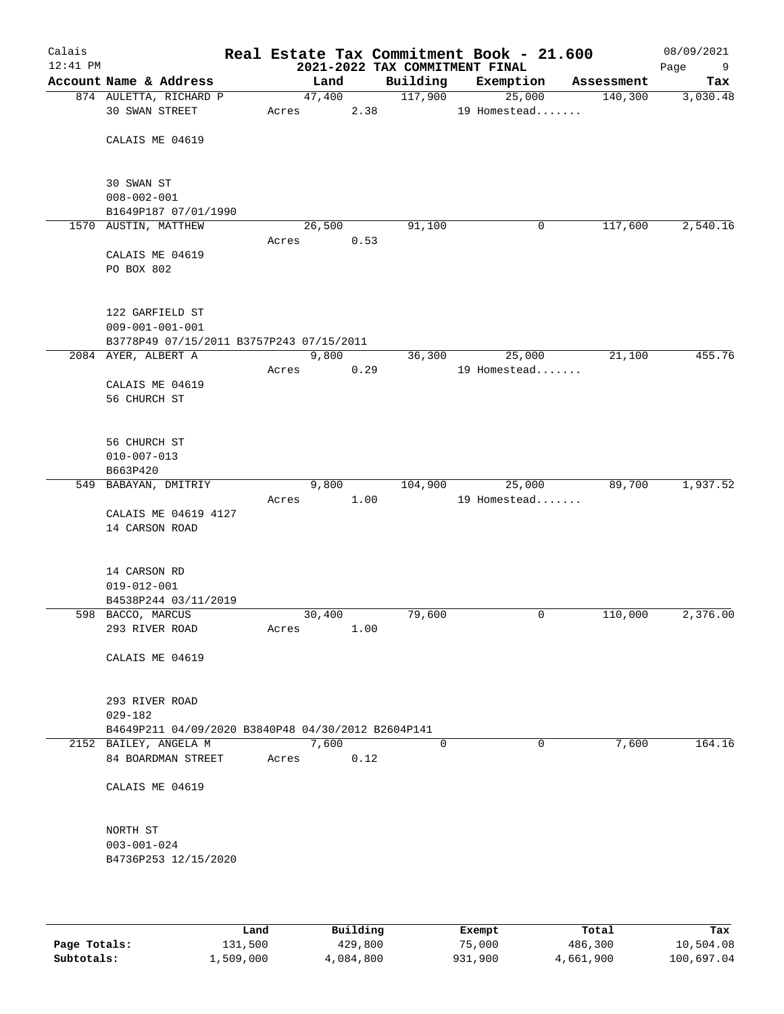| Calais<br>12:41 PM |                                                    |       |                | 2021-2022 TAX COMMITMENT FINAL | Real Estate Tax Commitment Book - 21.600 |            | 08/09/2021<br>Page<br>9 |
|--------------------|----------------------------------------------------|-------|----------------|--------------------------------|------------------------------------------|------------|-------------------------|
|                    | Account Name & Address                             |       | Land           | Building                       | Exemption                                | Assessment | Tax                     |
|                    | 874 AULETTA, RICHARD P<br>30 SWAN STREET           | Acres | 47,400<br>2.38 | 117,900                        | 25,000<br>19 Homestead                   | 140,300    | 3,030.48                |
|                    | CALAIS ME 04619                                    |       |                |                                |                                          |            |                         |
|                    | 30 SWAN ST                                         |       |                |                                |                                          |            |                         |
|                    | $008 - 002 - 001$<br>B1649P187 07/01/1990          |       |                |                                |                                          |            |                         |
|                    | 1570 AUSTIN, MATTHEW                               |       | 26,500         | 91,100                         | 0                                        | 117,600    | 2,540.16                |
|                    |                                                    | Acres | 0.53           |                                |                                          |            |                         |
|                    | CALAIS ME 04619<br>PO BOX 802                      |       |                |                                |                                          |            |                         |
|                    | 122 GARFIELD ST<br>$009 - 001 - 001 - 001$         |       |                |                                |                                          |            |                         |
|                    | B3778P49 07/15/2011 B3757P243 07/15/2011           |       |                |                                |                                          |            |                         |
|                    | 2084 AYER, ALBERT A                                |       | 9,800          | 36,300                         | 25,000                                   | 21,100     | 455.76                  |
|                    |                                                    | Acres | 0.29           |                                | 19 Homestead                             |            |                         |
|                    | CALAIS ME 04619<br>56 CHURCH ST                    |       |                |                                |                                          |            |                         |
|                    | 56 CHURCH ST                                       |       |                |                                |                                          |            |                         |
|                    | $010 - 007 - 013$                                  |       |                |                                |                                          |            |                         |
|                    | B663P420                                           |       |                |                                |                                          |            |                         |
|                    | 549 BABAYAN, DMITRIY                               |       | 9,800          | 104,900                        | 25,000                                   | 89,700     | 1,937.52                |
|                    |                                                    | Acres | 1.00           |                                | 19 Homestead                             |            |                         |
|                    | CALAIS ME 04619 4127<br>14 CARSON ROAD             |       |                |                                |                                          |            |                         |
|                    | 14 CARSON RD                                       |       |                |                                |                                          |            |                         |
|                    | $019 - 012 - 001$                                  |       |                |                                |                                          |            |                         |
|                    | B4538P244 03/11/2019<br>598 BACCO, MARCUS          |       | 30,400         | 79,600                         | 0                                        | 110,000    | 2,376.00                |
|                    | 293 RIVER ROAD                                     | Acres | 1.00           |                                |                                          |            |                         |
|                    | CALAIS ME 04619                                    |       |                |                                |                                          |            |                         |
|                    |                                                    |       |                |                                |                                          |            |                         |
|                    | 293 RIVER ROAD<br>$029 - 182$                      |       |                |                                |                                          |            |                         |
|                    | B4649P211 04/09/2020 B3840P48 04/30/2012 B2604P141 |       |                |                                |                                          |            |                         |
|                    | 2152 BAILEY, ANGELA M                              |       | 7,600          | $\mathbf 0$                    | $\mathbf 0$                              | 7,600      | 164.16                  |
|                    | 84 BOARDMAN STREET                                 | Acres | 0.12           |                                |                                          |            |                         |
|                    | CALAIS ME 04619                                    |       |                |                                |                                          |            |                         |
|                    | NORTH ST                                           |       |                |                                |                                          |            |                         |
|                    | $003 - 001 - 024$<br>B4736P253 12/15/2020          |       |                |                                |                                          |            |                         |
|                    |                                                    |       |                |                                |                                          |            |                         |

|              | Land      | Building  | Exempt  | Total     | Tax        |
|--------------|-----------|-----------|---------|-----------|------------|
| Page Totals: | 131,500   | 429,800   | 75,000  | 486,300   | 10,504.08  |
| Subtotals:   | 1,509,000 | 4,084,800 | 931,900 | 4,661,900 | 100,697.04 |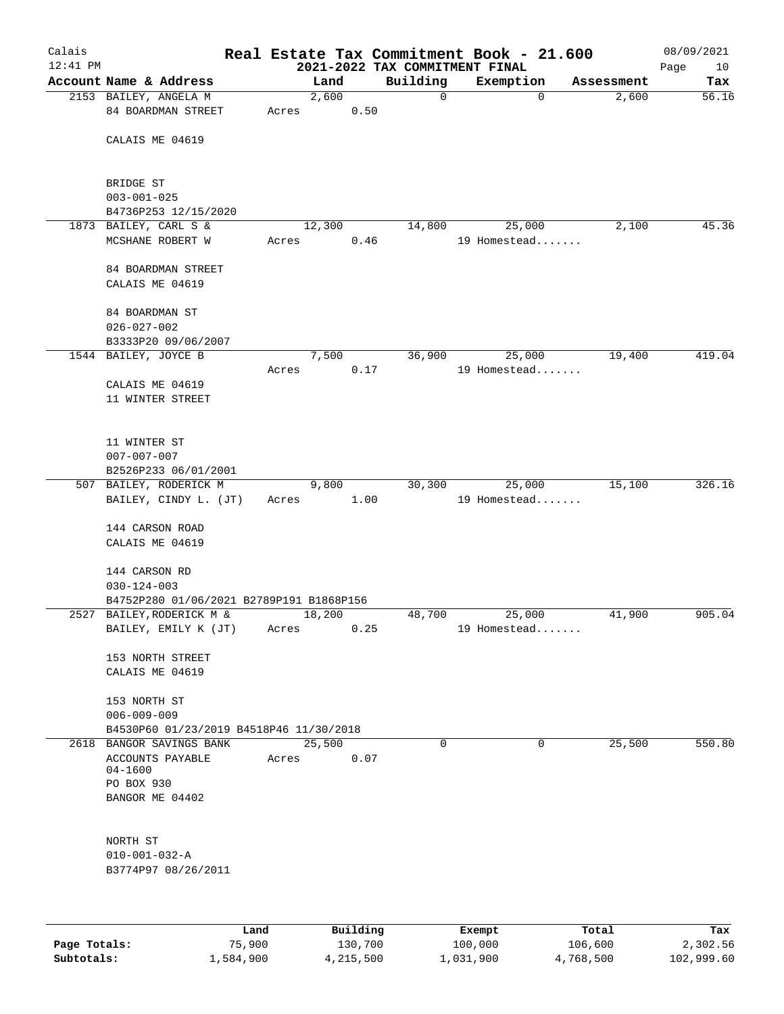| Calais<br>$12:41$ PM |                                                                       |       |               | 2021-2022 TAX COMMITMENT FINAL | Real Estate Tax Commitment Book - 21.600 |            | 08/09/2021<br>Page<br>10 |
|----------------------|-----------------------------------------------------------------------|-------|---------------|--------------------------------|------------------------------------------|------------|--------------------------|
|                      | Account Name & Address                                                |       | Land          | Building                       | Exemption                                | Assessment | Tax                      |
|                      | 2153 BAILEY, ANGELA M<br>84 BOARDMAN STREET                           | Acres | 2,600<br>0.50 | $\mathbf 0$                    | $\mathbf 0$                              | 2,600      | 56.16                    |
|                      | CALAIS ME 04619                                                       |       |               |                                |                                          |            |                          |
|                      | BRIDGE ST<br>$003 - 001 - 025$<br>B4736P253 12/15/2020                |       |               |                                |                                          |            |                          |
|                      | 1873 BAILEY, CARL S &<br>MCSHANE ROBERT W                             | Acres | 12,300        | 14,800<br>0.46                 | 25,000<br>19 Homestead                   | 2,100      | 45.36                    |
|                      | 84 BOARDMAN STREET<br>CALAIS ME 04619                                 |       |               |                                |                                          |            |                          |
|                      | 84 BOARDMAN ST<br>$026 - 027 - 002$<br>B3333P20 09/06/2007            |       |               |                                |                                          |            |                          |
|                      | 1544 BAILEY, JOYCE B                                                  |       | 7,500         | 36,900                         | 25,000                                   | 19,400     | 419.04                   |
|                      | CALAIS ME 04619<br>11 WINTER STREET                                   | Acres | 0.17          |                                | 19 Homestead                             |            |                          |
|                      | 11 WINTER ST<br>$007 - 007 - 007$<br>B2526P233 06/01/2001             |       |               |                                |                                          |            |                          |
|                      | 507 BAILEY, RODERICK M                                                |       | 9,800         | 30,300                         | 25,000                                   | 15,100     | 326.16                   |
|                      | BAILEY, CINDY L. (JT)                                                 | Acres | 1.00          |                                | 19 Homestead                             |            |                          |
|                      | 144 CARSON ROAD                                                       |       |               |                                |                                          |            |                          |
|                      | CALAIS ME 04619                                                       |       |               |                                |                                          |            |                          |
|                      | 144 CARSON RD                                                         |       |               |                                |                                          |            |                          |
|                      | $030 - 124 - 003$                                                     |       |               |                                |                                          |            |                          |
|                      | B4752P280 01/06/2021 B2789P191 B1868P156<br>2527 BAILEY, RODERICK M & |       | 18,200        | 48,700                         | 25,000                                   | 41,900     | 905.04                   |
|                      | BAILEY, EMILY K (JT)                                                  | Acres | 0.25          |                                | 19 Homestead                             |            |                          |
|                      | 153 NORTH STREET<br>CALAIS ME 04619                                   |       |               |                                |                                          |            |                          |
|                      | 153 NORTH ST<br>$006 - 009 - 009$                                     |       |               |                                |                                          |            |                          |
|                      | B4530P60 01/23/2019 B4518P46 11/30/2018<br>2618 BANGOR SAVINGS BANK   |       | 25,500        | $\Omega$                       | 0                                        | 25,500     | 550.80                   |
|                      | ACCOUNTS PAYABLE<br>$04 - 1600$                                       | Acres | 0.07          |                                |                                          |            |                          |
|                      | PO BOX 930<br>BANGOR ME 04402                                         |       |               |                                |                                          |            |                          |
|                      | NORTH ST                                                              |       |               |                                |                                          |            |                          |
|                      | $010 - 001 - 032 - A$                                                 |       |               |                                |                                          |            |                          |
|                      | B3774P97 08/26/2011                                                   |       |               |                                |                                          |            |                          |
|                      |                                                                       |       |               |                                |                                          |            |                          |
|                      |                                                                       |       |               |                                |                                          |            |                          |

|              | Land      | Building  | Exempt    | Total     | Tax        |
|--------------|-----------|-----------|-----------|-----------|------------|
| Page Totals: | 75,900    | 130,700   | 100,000   | 106,600   | 2,302.56   |
| Subtotals:   | 1,584,900 | 4,215,500 | 1,031,900 | 4,768,500 | 102,999.60 |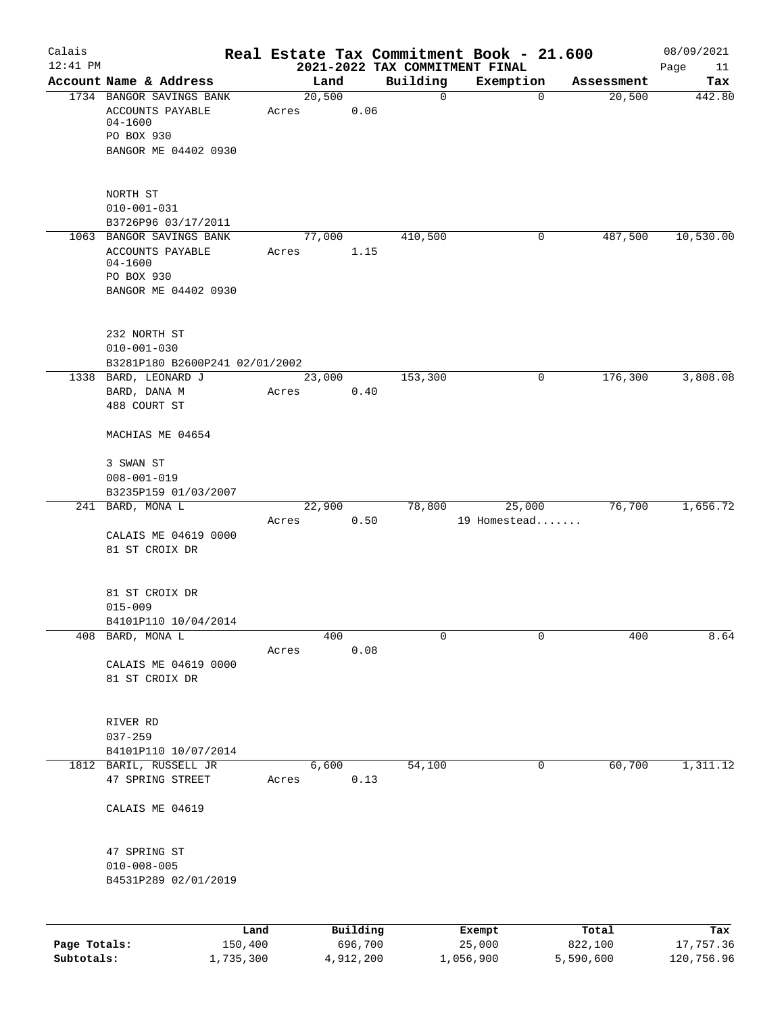| Calais       |                                                     |       |                |                                            | Real Estate Tax Commitment Book - 21.600 |                      | 08/09/2021    |
|--------------|-----------------------------------------------------|-------|----------------|--------------------------------------------|------------------------------------------|----------------------|---------------|
| $12:41$ PM   | Account Name & Address                              |       |                | 2021-2022 TAX COMMITMENT FINAL<br>Building |                                          |                      | Page<br>11    |
|              | 1734 BANGOR SAVINGS BANK                            |       | Land<br>20,500 | $\mathsf{O}$                               | Exemption<br>$\mathbf 0$                 | Assessment<br>20,500 | Tax<br>442.80 |
|              | ACCOUNTS PAYABLE                                    | Acres | 0.06           |                                            |                                          |                      |               |
|              | 04-1600                                             |       |                |                                            |                                          |                      |               |
|              | PO BOX 930                                          |       |                |                                            |                                          |                      |               |
|              | BANGOR ME 04402 0930                                |       |                |                                            |                                          |                      |               |
|              |                                                     |       |                |                                            |                                          |                      |               |
|              | NORTH ST                                            |       |                |                                            |                                          |                      |               |
|              | $010 - 001 - 031$                                   |       |                |                                            |                                          |                      |               |
|              | B3726P96 03/17/2011                                 |       |                |                                            |                                          |                      |               |
|              | 1063 BANGOR SAVINGS BANK                            |       | 77,000         | 410,500                                    | 0                                        | 487,500              | 10,530.00     |
|              | ACCOUNTS PAYABLE<br>04-1600                         | Acres | 1.15           |                                            |                                          |                      |               |
|              | PO BOX 930                                          |       |                |                                            |                                          |                      |               |
|              | BANGOR ME 04402 0930                                |       |                |                                            |                                          |                      |               |
|              |                                                     |       |                |                                            |                                          |                      |               |
|              | 232 NORTH ST                                        |       |                |                                            |                                          |                      |               |
|              | $010 - 001 - 030$<br>B3281P180 B2600P241 02/01/2002 |       |                |                                            |                                          |                      |               |
|              | 1338 BARD, LEONARD J                                |       | 23,000         | 153,300                                    | 0                                        | 176,300              | 3,808.08      |
|              | BARD, DANA M                                        | Acres | 0.40           |                                            |                                          |                      |               |
|              | 488 COURT ST                                        |       |                |                                            |                                          |                      |               |
|              | MACHIAS ME 04654                                    |       |                |                                            |                                          |                      |               |
|              |                                                     |       |                |                                            |                                          |                      |               |
|              | 3 SWAN ST                                           |       |                |                                            |                                          |                      |               |
|              | $008 - 001 - 019$                                   |       |                |                                            |                                          |                      |               |
|              | B3235P159 01/03/2007<br>241 BARD, MONA L            |       | 22,900         |                                            | 78,800<br>25,000                         | 76,700               | 1,656.72      |
|              |                                                     | Acres | 0.50           |                                            | 19 Homestead                             |                      |               |
|              | CALAIS ME 04619 0000                                |       |                |                                            |                                          |                      |               |
|              | 81 ST CROIX DR                                      |       |                |                                            |                                          |                      |               |
|              |                                                     |       |                |                                            |                                          |                      |               |
|              | 81 ST CROIX DR                                      |       |                |                                            |                                          |                      |               |
|              | $015 - 009$                                         |       |                |                                            |                                          |                      |               |
| 408          | B4101P110 10/04/2014<br>BARD, MONA L                |       | 400            | 0                                          | 0                                        | 400                  | 8.64          |
|              |                                                     | Acres | 0.08           |                                            |                                          |                      |               |
|              | CALAIS ME 04619 0000                                |       |                |                                            |                                          |                      |               |
|              | 81 ST CROIX DR                                      |       |                |                                            |                                          |                      |               |
|              |                                                     |       |                |                                            |                                          |                      |               |
|              | RIVER RD                                            |       |                |                                            |                                          |                      |               |
|              | $037 - 259$                                         |       |                |                                            |                                          |                      |               |
|              | B4101P110 10/07/2014                                |       |                |                                            |                                          |                      |               |
|              | 1812 BARIL, RUSSELL JR<br>47 SPRING STREET          | Acres | 6,600<br>0.13  | 54,100                                     | $\mathbf 0$                              | 60,700               | 1,311.12      |
|              | CALAIS ME 04619                                     |       |                |                                            |                                          |                      |               |
|              |                                                     |       |                |                                            |                                          |                      |               |
|              | 47 SPRING ST<br>$010 - 008 - 005$                   |       |                |                                            |                                          |                      |               |
|              | B4531P289 02/01/2019                                |       |                |                                            |                                          |                      |               |
|              |                                                     |       |                |                                            |                                          |                      |               |
|              |                                                     | Land  | Building       |                                            | Exempt                                   | Total                | Tax           |
| Page Totals: | 150,400                                             |       | 696,700        |                                            | 25,000                                   | 822,100              | 17,757.36     |

**Subtotals:** 1,735,300 4,912,200 1,056,900 5,590,600 120,756.96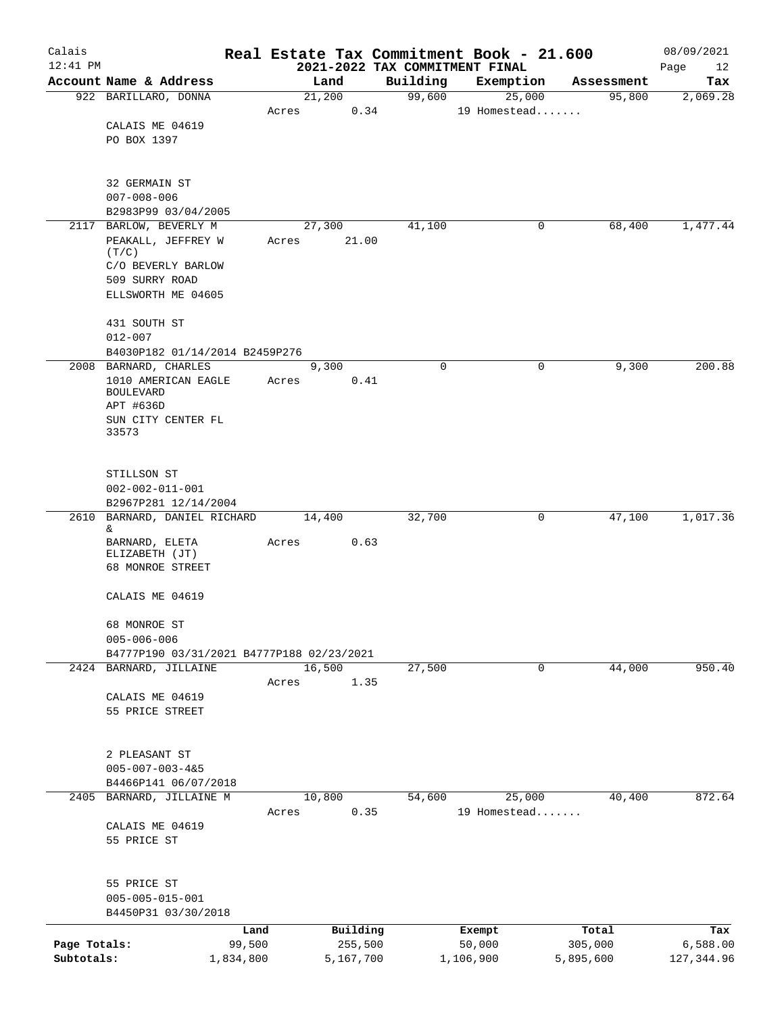| Calais       |                                                 |           |       |                |                    | Real Estate Tax Commitment Book - 21.600 |                      | 08/09/2021      |
|--------------|-------------------------------------------------|-----------|-------|----------------|--------------------|------------------------------------------|----------------------|-----------------|
| $12:41$ PM   |                                                 |           |       |                |                    | 2021-2022 TAX COMMITMENT FINAL           |                      | Page<br>12      |
|              | Account Name & Address<br>922 BARILLARO, DONNA  |           |       | Land<br>21,200 | Building<br>99,600 | Exemption<br>25,000                      | Assessment<br>95,800 | Tax<br>2,069.28 |
|              |                                                 |           | Acres | 0.34           |                    | 19 Homestead                             |                      |                 |
|              | CALAIS ME 04619                                 |           |       |                |                    |                                          |                      |                 |
|              | PO BOX 1397                                     |           |       |                |                    |                                          |                      |                 |
|              |                                                 |           |       |                |                    |                                          |                      |                 |
|              |                                                 |           |       |                |                    |                                          |                      |                 |
|              | 32 GERMAIN ST                                   |           |       |                |                    |                                          |                      |                 |
|              | $007 - 008 - 006$                               |           |       |                |                    |                                          |                      |                 |
|              | B2983P99 03/04/2005                             |           |       |                |                    |                                          |                      |                 |
|              | 2117 BARLOW, BEVERLY M                          |           |       | 27,300         | 41,100             | 0                                        | 68,400               | 1,477.44        |
|              | PEAKALL, JEFFREY W<br>(T/C)                     |           | Acres | 21.00          |                    |                                          |                      |                 |
|              | C/O BEVERLY BARLOW                              |           |       |                |                    |                                          |                      |                 |
|              | 509 SURRY ROAD                                  |           |       |                |                    |                                          |                      |                 |
|              | ELLSWORTH ME 04605                              |           |       |                |                    |                                          |                      |                 |
|              |                                                 |           |       |                |                    |                                          |                      |                 |
|              | 431 SOUTH ST                                    |           |       |                |                    |                                          |                      |                 |
|              | $012 - 007$                                     |           |       |                |                    |                                          |                      |                 |
|              | B4030P182 01/14/2014 B2459P276                  |           |       |                |                    |                                          |                      |                 |
|              | 2008 BARNARD, CHARLES                           |           |       | 9,300          | $\mathbf 0$        | 0                                        | 9,300                | 200.88          |
|              | 1010 AMERICAN EAGLE                             |           | Acres | 0.41           |                    |                                          |                      |                 |
|              | <b>BOULEVARD</b><br>APT #636D                   |           |       |                |                    |                                          |                      |                 |
|              | SUN CITY CENTER FL                              |           |       |                |                    |                                          |                      |                 |
|              | 33573                                           |           |       |                |                    |                                          |                      |                 |
|              |                                                 |           |       |                |                    |                                          |                      |                 |
|              |                                                 |           |       |                |                    |                                          |                      |                 |
|              | STILLSON ST                                     |           |       |                |                    |                                          |                      |                 |
|              | $002 - 002 - 011 - 001$                         |           |       |                |                    |                                          |                      |                 |
| 2610         | B2967P281 12/14/2004<br>BARNARD, DANIEL RICHARD |           |       | 14,400         | 32,700             | 0                                        | 47,100               | 1,017.36        |
|              | &.                                              |           |       |                |                    |                                          |                      |                 |
|              | BARNARD, ELETA                                  |           | Acres | 0.63           |                    |                                          |                      |                 |
|              | ELIZABETH (JT)                                  |           |       |                |                    |                                          |                      |                 |
|              | 68 MONROE STREET                                |           |       |                |                    |                                          |                      |                 |
|              |                                                 |           |       |                |                    |                                          |                      |                 |
|              | CALAIS ME 04619                                 |           |       |                |                    |                                          |                      |                 |
|              | 68 MONROE ST                                    |           |       |                |                    |                                          |                      |                 |
|              | $005 - 006 - 006$                               |           |       |                |                    |                                          |                      |                 |
|              | B4777P190 03/31/2021 B4777P188 02/23/2021       |           |       |                |                    |                                          |                      |                 |
|              | 2424 BARNARD, JILLAINE                          |           |       | 16,500         | 27,500             | 0                                        | 44,000               | 950.40          |
|              |                                                 |           | Acres | 1.35           |                    |                                          |                      |                 |
|              | CALAIS ME 04619                                 |           |       |                |                    |                                          |                      |                 |
|              | 55 PRICE STREET                                 |           |       |                |                    |                                          |                      |                 |
|              |                                                 |           |       |                |                    |                                          |                      |                 |
|              | 2 PLEASANT ST                                   |           |       |                |                    |                                          |                      |                 |
|              | $005 - 007 - 003 - 4&5$                         |           |       |                |                    |                                          |                      |                 |
|              | B4466P141 06/07/2018                            |           |       |                |                    |                                          |                      |                 |
|              | 2405 BARNARD, JILLAINE M                        |           |       | 10,800         | 54,600             | 25,000                                   | 40,400               | 872.64          |
|              |                                                 |           | Acres | 0.35           |                    | 19 Homestead                             |                      |                 |
|              | CALAIS ME 04619                                 |           |       |                |                    |                                          |                      |                 |
|              | 55 PRICE ST                                     |           |       |                |                    |                                          |                      |                 |
|              |                                                 |           |       |                |                    |                                          |                      |                 |
|              |                                                 |           |       |                |                    |                                          |                      |                 |
|              | 55 PRICE ST<br>$005 - 005 - 015 - 001$          |           |       |                |                    |                                          |                      |                 |
|              | B4450P31 03/30/2018                             |           |       |                |                    |                                          |                      |                 |
|              |                                                 | Land      |       | Building       |                    | Exempt                                   | Total                | Tax             |
| Page Totals: |                                                 | 99,500    |       | 255,500        |                    | 50,000                                   | 305,000              | 6,588.00        |
| Subtotals:   |                                                 | 1,834,800 |       | 5,167,700      |                    | 1,106,900                                | 5,895,600            | 127, 344.96     |
|              |                                                 |           |       |                |                    |                                          |                      |                 |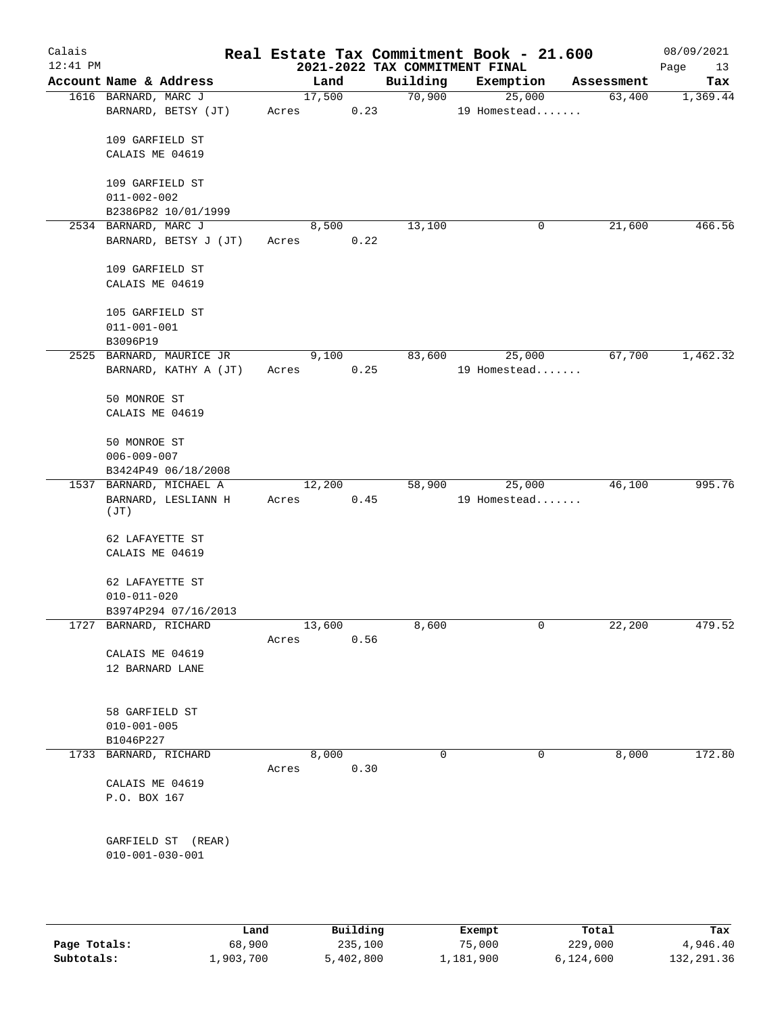| 2021-2022 TAX COMMITMENT FINAL<br>Building<br>Account Name & Address<br>Land<br>Exemption<br>Tax<br>Assessment<br>17,500<br>70,900<br>25,000<br>1616 BARNARD, MARC J<br>63,400<br>1,369.44<br>BARNARD, BETSY (JT)<br>0.23<br>19 Homestead<br>Acres<br>109 GARFIELD ST<br>CALAIS ME 04619<br>109 GARFIELD ST<br>$011 - 002 - 002$<br>B2386P82 10/01/1999<br>13,100<br>466.56<br>2534 BARNARD, MARC J<br>8,500<br>0<br>21,600<br>BARNARD, BETSY J (JT)<br>0.22<br>Acres<br>109 GARFIELD ST<br>CALAIS ME 04619<br>105 GARFIELD ST<br>$011 - 001 - 001$<br>B3096P19<br>67,700<br>2525 BARNARD, MAURICE JR<br>9,100<br>83,600<br>25,000<br>0.25<br>19 Homestead<br>BARNARD, KATHY A (JT)<br>Acres<br>50 MONROE ST<br>CALAIS ME 04619<br>50 MONROE ST<br>$006 - 009 - 007$<br>B3424P49 06/18/2008<br>12,200<br>58,900<br>1537 BARNARD, MICHAEL A<br>25,000<br>46,100<br>19 Homestead<br>BARNARD, LESLIANN H<br>Acres<br>0.45<br>(JT)<br>62 LAFAYETTE ST<br>CALAIS ME 04619<br>62 LAFAYETTE ST<br>$010 - 011 - 020$<br>B3974P294 07/16/2013<br>1727<br>BARNARD, RICHARD<br>13,600<br>8,600<br>0<br>22,200<br>0.56<br>Acres<br>CALAIS ME 04619<br>12 BARNARD LANE<br>58 GARFIELD ST<br>$010 - 001 - 005$<br>B1046P227<br>8,000<br>$\mathbf 0$<br>$\mathbf 0$<br>8,000<br>1733<br>BARNARD, RICHARD<br>0.30<br>Acres<br>CALAIS ME 04619<br>P.O. BOX 167<br>GARFIELD ST<br>(REAR)<br>$010 - 001 - 030 - 001$<br>Building<br>Land<br>Total<br>Exempt<br>Tax<br>Page Totals:<br>235,100<br>68,900<br>75,000<br>229,000<br>Subtotals:<br>1,903,700<br>5,402,800<br>1,181,900<br>6,124,600 | Calais     |  |  |  | Real Estate Tax Commitment Book - 21.600 |  | 08/09/2021 |
|-----------------------------------------------------------------------------------------------------------------------------------------------------------------------------------------------------------------------------------------------------------------------------------------------------------------------------------------------------------------------------------------------------------------------------------------------------------------------------------------------------------------------------------------------------------------------------------------------------------------------------------------------------------------------------------------------------------------------------------------------------------------------------------------------------------------------------------------------------------------------------------------------------------------------------------------------------------------------------------------------------------------------------------------------------------------------------------------------------------------------------------------------------------------------------------------------------------------------------------------------------------------------------------------------------------------------------------------------------------------------------------------------------------------------------------------------------------------------------------------------------------------------------------------------------------------------------|------------|--|--|--|------------------------------------------|--|------------|
|                                                                                                                                                                                                                                                                                                                                                                                                                                                                                                                                                                                                                                                                                                                                                                                                                                                                                                                                                                                                                                                                                                                                                                                                                                                                                                                                                                                                                                                                                                                                                                             | $12:41$ PM |  |  |  |                                          |  | Page<br>13 |
|                                                                                                                                                                                                                                                                                                                                                                                                                                                                                                                                                                                                                                                                                                                                                                                                                                                                                                                                                                                                                                                                                                                                                                                                                                                                                                                                                                                                                                                                                                                                                                             |            |  |  |  |                                          |  |            |
|                                                                                                                                                                                                                                                                                                                                                                                                                                                                                                                                                                                                                                                                                                                                                                                                                                                                                                                                                                                                                                                                                                                                                                                                                                                                                                                                                                                                                                                                                                                                                                             |            |  |  |  |                                          |  |            |
|                                                                                                                                                                                                                                                                                                                                                                                                                                                                                                                                                                                                                                                                                                                                                                                                                                                                                                                                                                                                                                                                                                                                                                                                                                                                                                                                                                                                                                                                                                                                                                             |            |  |  |  |                                          |  |            |
|                                                                                                                                                                                                                                                                                                                                                                                                                                                                                                                                                                                                                                                                                                                                                                                                                                                                                                                                                                                                                                                                                                                                                                                                                                                                                                                                                                                                                                                                                                                                                                             |            |  |  |  |                                          |  |            |
|                                                                                                                                                                                                                                                                                                                                                                                                                                                                                                                                                                                                                                                                                                                                                                                                                                                                                                                                                                                                                                                                                                                                                                                                                                                                                                                                                                                                                                                                                                                                                                             |            |  |  |  |                                          |  |            |
|                                                                                                                                                                                                                                                                                                                                                                                                                                                                                                                                                                                                                                                                                                                                                                                                                                                                                                                                                                                                                                                                                                                                                                                                                                                                                                                                                                                                                                                                                                                                                                             |            |  |  |  |                                          |  |            |
| 1,462.32<br>995.76<br>479.52<br>172.80<br>4,946.40                                                                                                                                                                                                                                                                                                                                                                                                                                                                                                                                                                                                                                                                                                                                                                                                                                                                                                                                                                                                                                                                                                                                                                                                                                                                                                                                                                                                                                                                                                                          |            |  |  |  |                                          |  |            |
|                                                                                                                                                                                                                                                                                                                                                                                                                                                                                                                                                                                                                                                                                                                                                                                                                                                                                                                                                                                                                                                                                                                                                                                                                                                                                                                                                                                                                                                                                                                                                                             |            |  |  |  |                                          |  |            |
|                                                                                                                                                                                                                                                                                                                                                                                                                                                                                                                                                                                                                                                                                                                                                                                                                                                                                                                                                                                                                                                                                                                                                                                                                                                                                                                                                                                                                                                                                                                                                                             |            |  |  |  |                                          |  |            |
|                                                                                                                                                                                                                                                                                                                                                                                                                                                                                                                                                                                                                                                                                                                                                                                                                                                                                                                                                                                                                                                                                                                                                                                                                                                                                                                                                                                                                                                                                                                                                                             |            |  |  |  |                                          |  |            |
|                                                                                                                                                                                                                                                                                                                                                                                                                                                                                                                                                                                                                                                                                                                                                                                                                                                                                                                                                                                                                                                                                                                                                                                                                                                                                                                                                                                                                                                                                                                                                                             |            |  |  |  |                                          |  |            |
|                                                                                                                                                                                                                                                                                                                                                                                                                                                                                                                                                                                                                                                                                                                                                                                                                                                                                                                                                                                                                                                                                                                                                                                                                                                                                                                                                                                                                                                                                                                                                                             |            |  |  |  |                                          |  |            |
|                                                                                                                                                                                                                                                                                                                                                                                                                                                                                                                                                                                                                                                                                                                                                                                                                                                                                                                                                                                                                                                                                                                                                                                                                                                                                                                                                                                                                                                                                                                                                                             |            |  |  |  |                                          |  |            |
|                                                                                                                                                                                                                                                                                                                                                                                                                                                                                                                                                                                                                                                                                                                                                                                                                                                                                                                                                                                                                                                                                                                                                                                                                                                                                                                                                                                                                                                                                                                                                                             |            |  |  |  |                                          |  |            |
|                                                                                                                                                                                                                                                                                                                                                                                                                                                                                                                                                                                                                                                                                                                                                                                                                                                                                                                                                                                                                                                                                                                                                                                                                                                                                                                                                                                                                                                                                                                                                                             |            |  |  |  |                                          |  |            |
|                                                                                                                                                                                                                                                                                                                                                                                                                                                                                                                                                                                                                                                                                                                                                                                                                                                                                                                                                                                                                                                                                                                                                                                                                                                                                                                                                                                                                                                                                                                                                                             |            |  |  |  |                                          |  |            |
|                                                                                                                                                                                                                                                                                                                                                                                                                                                                                                                                                                                                                                                                                                                                                                                                                                                                                                                                                                                                                                                                                                                                                                                                                                                                                                                                                                                                                                                                                                                                                                             |            |  |  |  |                                          |  |            |
|                                                                                                                                                                                                                                                                                                                                                                                                                                                                                                                                                                                                                                                                                                                                                                                                                                                                                                                                                                                                                                                                                                                                                                                                                                                                                                                                                                                                                                                                                                                                                                             |            |  |  |  |                                          |  |            |
|                                                                                                                                                                                                                                                                                                                                                                                                                                                                                                                                                                                                                                                                                                                                                                                                                                                                                                                                                                                                                                                                                                                                                                                                                                                                                                                                                                                                                                                                                                                                                                             |            |  |  |  |                                          |  |            |
|                                                                                                                                                                                                                                                                                                                                                                                                                                                                                                                                                                                                                                                                                                                                                                                                                                                                                                                                                                                                                                                                                                                                                                                                                                                                                                                                                                                                                                                                                                                                                                             |            |  |  |  |                                          |  |            |
|                                                                                                                                                                                                                                                                                                                                                                                                                                                                                                                                                                                                                                                                                                                                                                                                                                                                                                                                                                                                                                                                                                                                                                                                                                                                                                                                                                                                                                                                                                                                                                             |            |  |  |  |                                          |  |            |
|                                                                                                                                                                                                                                                                                                                                                                                                                                                                                                                                                                                                                                                                                                                                                                                                                                                                                                                                                                                                                                                                                                                                                                                                                                                                                                                                                                                                                                                                                                                                                                             |            |  |  |  |                                          |  |            |
|                                                                                                                                                                                                                                                                                                                                                                                                                                                                                                                                                                                                                                                                                                                                                                                                                                                                                                                                                                                                                                                                                                                                                                                                                                                                                                                                                                                                                                                                                                                                                                             |            |  |  |  |                                          |  |            |
|                                                                                                                                                                                                                                                                                                                                                                                                                                                                                                                                                                                                                                                                                                                                                                                                                                                                                                                                                                                                                                                                                                                                                                                                                                                                                                                                                                                                                                                                                                                                                                             |            |  |  |  |                                          |  |            |
|                                                                                                                                                                                                                                                                                                                                                                                                                                                                                                                                                                                                                                                                                                                                                                                                                                                                                                                                                                                                                                                                                                                                                                                                                                                                                                                                                                                                                                                                                                                                                                             |            |  |  |  |                                          |  |            |
|                                                                                                                                                                                                                                                                                                                                                                                                                                                                                                                                                                                                                                                                                                                                                                                                                                                                                                                                                                                                                                                                                                                                                                                                                                                                                                                                                                                                                                                                                                                                                                             |            |  |  |  |                                          |  |            |
|                                                                                                                                                                                                                                                                                                                                                                                                                                                                                                                                                                                                                                                                                                                                                                                                                                                                                                                                                                                                                                                                                                                                                                                                                                                                                                                                                                                                                                                                                                                                                                             |            |  |  |  |                                          |  |            |
|                                                                                                                                                                                                                                                                                                                                                                                                                                                                                                                                                                                                                                                                                                                                                                                                                                                                                                                                                                                                                                                                                                                                                                                                                                                                                                                                                                                                                                                                                                                                                                             |            |  |  |  |                                          |  |            |
|                                                                                                                                                                                                                                                                                                                                                                                                                                                                                                                                                                                                                                                                                                                                                                                                                                                                                                                                                                                                                                                                                                                                                                                                                                                                                                                                                                                                                                                                                                                                                                             |            |  |  |  |                                          |  |            |
|                                                                                                                                                                                                                                                                                                                                                                                                                                                                                                                                                                                                                                                                                                                                                                                                                                                                                                                                                                                                                                                                                                                                                                                                                                                                                                                                                                                                                                                                                                                                                                             |            |  |  |  |                                          |  |            |
|                                                                                                                                                                                                                                                                                                                                                                                                                                                                                                                                                                                                                                                                                                                                                                                                                                                                                                                                                                                                                                                                                                                                                                                                                                                                                                                                                                                                                                                                                                                                                                             |            |  |  |  |                                          |  |            |
|                                                                                                                                                                                                                                                                                                                                                                                                                                                                                                                                                                                                                                                                                                                                                                                                                                                                                                                                                                                                                                                                                                                                                                                                                                                                                                                                                                                                                                                                                                                                                                             |            |  |  |  |                                          |  |            |
|                                                                                                                                                                                                                                                                                                                                                                                                                                                                                                                                                                                                                                                                                                                                                                                                                                                                                                                                                                                                                                                                                                                                                                                                                                                                                                                                                                                                                                                                                                                                                                             |            |  |  |  |                                          |  |            |
|                                                                                                                                                                                                                                                                                                                                                                                                                                                                                                                                                                                                                                                                                                                                                                                                                                                                                                                                                                                                                                                                                                                                                                                                                                                                                                                                                                                                                                                                                                                                                                             |            |  |  |  |                                          |  |            |
|                                                                                                                                                                                                                                                                                                                                                                                                                                                                                                                                                                                                                                                                                                                                                                                                                                                                                                                                                                                                                                                                                                                                                                                                                                                                                                                                                                                                                                                                                                                                                                             |            |  |  |  |                                          |  |            |
|                                                                                                                                                                                                                                                                                                                                                                                                                                                                                                                                                                                                                                                                                                                                                                                                                                                                                                                                                                                                                                                                                                                                                                                                                                                                                                                                                                                                                                                                                                                                                                             |            |  |  |  |                                          |  |            |
|                                                                                                                                                                                                                                                                                                                                                                                                                                                                                                                                                                                                                                                                                                                                                                                                                                                                                                                                                                                                                                                                                                                                                                                                                                                                                                                                                                                                                                                                                                                                                                             |            |  |  |  |                                          |  |            |
|                                                                                                                                                                                                                                                                                                                                                                                                                                                                                                                                                                                                                                                                                                                                                                                                                                                                                                                                                                                                                                                                                                                                                                                                                                                                                                                                                                                                                                                                                                                                                                             |            |  |  |  |                                          |  |            |
|                                                                                                                                                                                                                                                                                                                                                                                                                                                                                                                                                                                                                                                                                                                                                                                                                                                                                                                                                                                                                                                                                                                                                                                                                                                                                                                                                                                                                                                                                                                                                                             |            |  |  |  |                                          |  |            |
|                                                                                                                                                                                                                                                                                                                                                                                                                                                                                                                                                                                                                                                                                                                                                                                                                                                                                                                                                                                                                                                                                                                                                                                                                                                                                                                                                                                                                                                                                                                                                                             |            |  |  |  |                                          |  |            |
|                                                                                                                                                                                                                                                                                                                                                                                                                                                                                                                                                                                                                                                                                                                                                                                                                                                                                                                                                                                                                                                                                                                                                                                                                                                                                                                                                                                                                                                                                                                                                                             |            |  |  |  |                                          |  |            |
|                                                                                                                                                                                                                                                                                                                                                                                                                                                                                                                                                                                                                                                                                                                                                                                                                                                                                                                                                                                                                                                                                                                                                                                                                                                                                                                                                                                                                                                                                                                                                                             |            |  |  |  |                                          |  |            |
|                                                                                                                                                                                                                                                                                                                                                                                                                                                                                                                                                                                                                                                                                                                                                                                                                                                                                                                                                                                                                                                                                                                                                                                                                                                                                                                                                                                                                                                                                                                                                                             |            |  |  |  |                                          |  |            |
|                                                                                                                                                                                                                                                                                                                                                                                                                                                                                                                                                                                                                                                                                                                                                                                                                                                                                                                                                                                                                                                                                                                                                                                                                                                                                                                                                                                                                                                                                                                                                                             |            |  |  |  |                                          |  |            |
|                                                                                                                                                                                                                                                                                                                                                                                                                                                                                                                                                                                                                                                                                                                                                                                                                                                                                                                                                                                                                                                                                                                                                                                                                                                                                                                                                                                                                                                                                                                                                                             |            |  |  |  |                                          |  |            |
|                                                                                                                                                                                                                                                                                                                                                                                                                                                                                                                                                                                                                                                                                                                                                                                                                                                                                                                                                                                                                                                                                                                                                                                                                                                                                                                                                                                                                                                                                                                                                                             |            |  |  |  |                                          |  | 132,291.36 |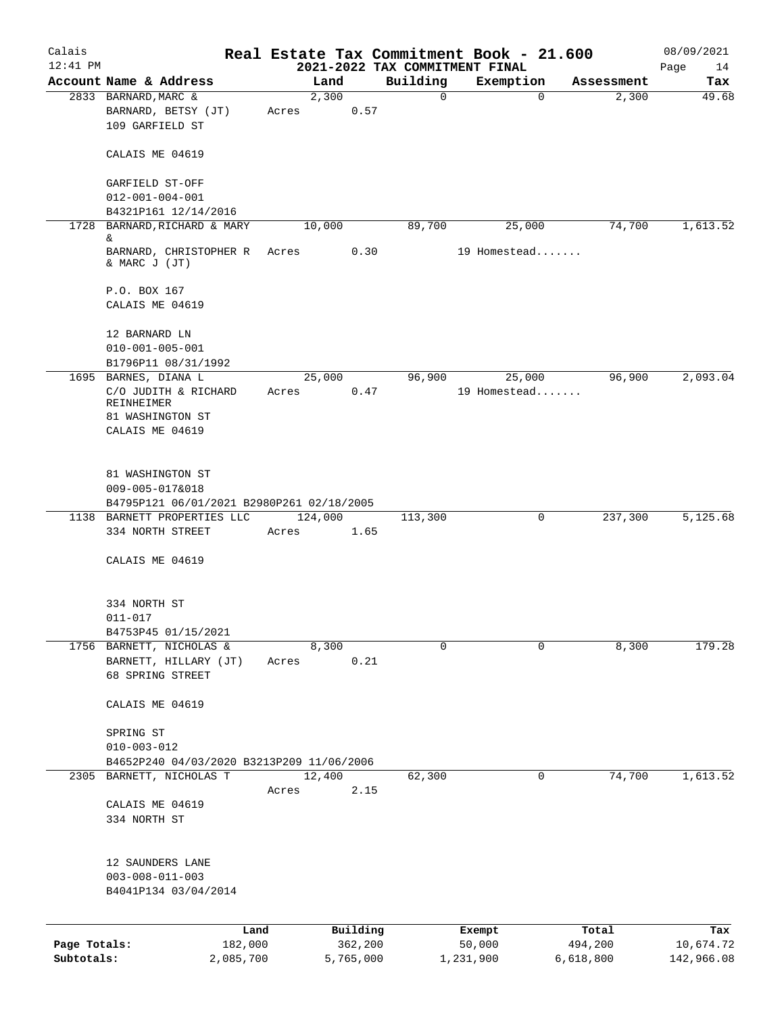| Calais       |                                                                     |           |                 |           |                                            | Real Estate Tax Commitment Book - 21.600 |             |            | 08/09/2021        |
|--------------|---------------------------------------------------------------------|-----------|-----------------|-----------|--------------------------------------------|------------------------------------------|-------------|------------|-------------------|
| $12:41$ PM   | Account Name & Address                                              |           | Land            |           | 2021-2022 TAX COMMITMENT FINAL<br>Building | Exemption                                |             | Assessment | Page<br>14<br>Tax |
|              | 2833 BARNARD, MARC &                                                |           | 2,300           |           | 0                                          |                                          | $\mathbf 0$ | 2,300      | 49.68             |
|              | BARNARD, BETSY (JT)<br>109 GARFIELD ST                              |           | Acres           | 0.57      |                                            |                                          |             |            |                   |
|              | CALAIS ME 04619                                                     |           |                 |           |                                            |                                          |             |            |                   |
|              | GARFIELD ST-OFF                                                     |           |                 |           |                                            |                                          |             |            |                   |
|              | $012 - 001 - 004 - 001$<br>B4321P161 12/14/2016                     |           |                 |           |                                            |                                          |             |            |                   |
| 1728         | BARNARD, RICHARD & MARY                                             |           | 10,000          |           | 89,700                                     | 25,000                                   |             | 74,700     | 1,613.52          |
|              | &<br>BARNARD, CHRISTOPHER R<br>& MARC J (JT)                        |           | Acres           | 0.30      |                                            | 19 Homestead                             |             |            |                   |
|              | P.O. BOX 167<br>CALAIS ME 04619                                     |           |                 |           |                                            |                                          |             |            |                   |
|              | 12 BARNARD LN<br>$010 - 001 - 005 - 001$                            |           |                 |           |                                            |                                          |             |            |                   |
|              | B1796P11 08/31/1992<br>1695 BARNES, DIANA L                         |           | 25,000          |           | 96,900                                     |                                          |             | 96,900     | 2,093.04          |
|              | C/O JUDITH & RICHARD<br>REINHEIMER                                  |           | Acres           | 0.47      |                                            | 25,000<br>19 Homestead                   |             |            |                   |
|              | 81 WASHINGTON ST<br>CALAIS ME 04619                                 |           |                 |           |                                            |                                          |             |            |                   |
|              | 81 WASHINGTON ST                                                    |           |                 |           |                                            |                                          |             |            |                   |
|              | 009-005-017&018<br>B4795P121 06/01/2021 B2980P261 02/18/2005        |           |                 |           |                                            |                                          |             |            |                   |
|              | 1138 BARNETT PROPERTIES LLC                                         |           | 124,000         |           | 113,300                                    |                                          | 0           | 237,300    | 5,125.68          |
|              | 334 NORTH STREET                                                    |           | Acres           | 1.65      |                                            |                                          |             |            |                   |
|              | CALAIS ME 04619                                                     |           |                 |           |                                            |                                          |             |            |                   |
|              | 334 NORTH ST                                                        |           |                 |           |                                            |                                          |             |            |                   |
|              | $011 - 017$                                                         |           |                 |           |                                            |                                          |             |            |                   |
|              | B4753P45 01/15/2021<br>1756 BARNETT, NICHOLAS &                     |           | 8,300           |           | 0                                          |                                          | 0           | 8,300      | 179.28            |
|              | BARNETT, HILLARY (JT)                                               |           | Acres           | 0.21      |                                            |                                          |             |            |                   |
|              | 68 SPRING STREET                                                    |           |                 |           |                                            |                                          |             |            |                   |
|              | CALAIS ME 04619                                                     |           |                 |           |                                            |                                          |             |            |                   |
|              | SPRING ST                                                           |           |                 |           |                                            |                                          |             |            |                   |
|              | $010 - 003 - 012$                                                   |           |                 |           |                                            |                                          |             |            |                   |
|              | B4652P240 04/03/2020 B3213P209 11/06/2006                           |           |                 |           |                                            |                                          |             |            |                   |
|              | 2305 BARNETT, NICHOLAS T                                            |           | 12,400<br>Acres | 2.15      | 62,300                                     |                                          | 0           | 74,700     | 1,613.52          |
|              | CALAIS ME 04619                                                     |           |                 |           |                                            |                                          |             |            |                   |
|              | 334 NORTH ST                                                        |           |                 |           |                                            |                                          |             |            |                   |
|              | 12 SAUNDERS LANE<br>$003 - 008 - 011 - 003$<br>B4041P134 03/04/2014 |           |                 |           |                                            |                                          |             |            |                   |
|              |                                                                     |           |                 |           |                                            |                                          |             |            |                   |
|              |                                                                     | Land      |                 | Building  |                                            | Exempt                                   |             | Total      | Tax               |
| Page Totals: |                                                                     | 182,000   |                 | 362,200   |                                            | 50,000                                   |             | 494,200    | 10,674.72         |
| Subtotals:   |                                                                     | 2,085,700 |                 | 5,765,000 |                                            | 1,231,900                                |             | 6,618,800  | 142,966.08        |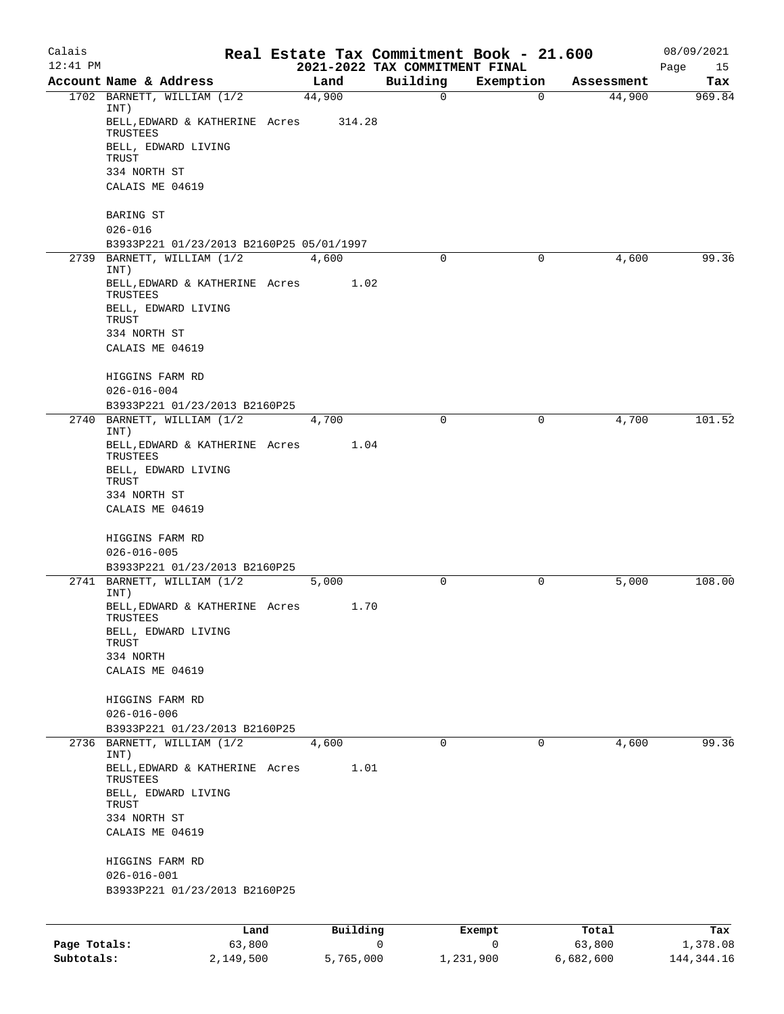| Calais<br>$12:41$ PM |                                                                                                    |        |          |   | Real Estate Tax Commitment Book - 21.600<br>2021-2022 TAX COMMITMENT FINAL |           |             |            | 08/09/2021        |
|----------------------|----------------------------------------------------------------------------------------------------|--------|----------|---|----------------------------------------------------------------------------|-----------|-------------|------------|-------------------|
|                      | Account Name & Address                                                                             |        | Land     |   | Building                                                                   | Exemption |             | Assessment | Page<br>15<br>Tax |
|                      | 1702 BARNETT, WILLIAM (1/2                                                                         |        | 44,900   |   | $\mathbf 0$                                                                |           | $\mathbf 0$ | 44,900     | 969.84            |
|                      | INT)<br>BELL, EDWARD & KATHERINE Acres<br>TRUSTEES<br>BELL, EDWARD LIVING<br>TRUST<br>334 NORTH ST |        | 314.28   |   |                                                                            |           |             |            |                   |
|                      | CALAIS ME 04619                                                                                    |        |          |   |                                                                            |           |             |            |                   |
|                      | BARING ST<br>$026 - 016$                                                                           |        |          |   |                                                                            |           |             |            |                   |
|                      | B3933P221 01/23/2013 B2160P25 05/01/1997                                                           |        |          |   |                                                                            |           |             |            |                   |
| 2739                 | BARNETT, WILLIAM (1/2<br>INT)                                                                      |        | 4,600    |   | $\mathbf 0$                                                                |           | 0           | 4,600      | 99.36             |
|                      | BELL, EDWARD & KATHERINE Acres<br>TRUSTEES                                                         |        | 1.02     |   |                                                                            |           |             |            |                   |
|                      | BELL, EDWARD LIVING<br>TRUST                                                                       |        |          |   |                                                                            |           |             |            |                   |
|                      | 334 NORTH ST                                                                                       |        |          |   |                                                                            |           |             |            |                   |
|                      | CALAIS ME 04619                                                                                    |        |          |   |                                                                            |           |             |            |                   |
|                      | HIGGINS FARM RD<br>$026 - 016 - 004$                                                               |        |          |   |                                                                            |           |             |            |                   |
|                      | B3933P221 01/23/2013 B2160P25                                                                      |        |          |   |                                                                            |           |             |            |                   |
| 2740                 | BARNETT, WILLIAM (1/2<br>INT)                                                                      |        | 4,700    |   | $\mathbf 0$                                                                |           | 0           | 4,700      | 101.52            |
|                      | BELL, EDWARD & KATHERINE Acres<br>TRUSTEES                                                         |        | 1.04     |   |                                                                            |           |             |            |                   |
|                      | BELL, EDWARD LIVING<br>TRUST                                                                       |        |          |   |                                                                            |           |             |            |                   |
|                      | 334 NORTH ST<br>CALAIS ME 04619                                                                    |        |          |   |                                                                            |           |             |            |                   |
|                      |                                                                                                    |        |          |   |                                                                            |           |             |            |                   |
|                      | HIGGINS FARM RD                                                                                    |        |          |   |                                                                            |           |             |            |                   |
|                      | $026 - 016 - 005$<br>B3933P221 01/23/2013 B2160P25                                                 |        |          |   |                                                                            |           |             |            |                   |
|                      | 2741 BARNETT, WILLIAM (1/2                                                                         |        | 5,000    |   | $\mathbf 0$                                                                |           | 0           | 5,000      | 108.00            |
|                      | INT)<br>BELL, EDWARD & KATHERINE Acres                                                             |        | 1.70     |   |                                                                            |           |             |            |                   |
|                      | TRUSTEES<br>BELL, EDWARD LIVING                                                                    |        |          |   |                                                                            |           |             |            |                   |
|                      | TRUST<br>334 NORTH                                                                                 |        |          |   |                                                                            |           |             |            |                   |
|                      | CALAIS ME 04619                                                                                    |        |          |   |                                                                            |           |             |            |                   |
|                      | HIGGINS FARM RD                                                                                    |        |          |   |                                                                            |           |             |            |                   |
|                      | $026 - 016 - 006$                                                                                  |        |          |   |                                                                            |           |             |            |                   |
|                      | B3933P221 01/23/2013 B2160P25                                                                      |        |          |   |                                                                            |           |             |            |                   |
|                      | 2736 BARNETT, WILLIAM (1/2<br>INT)                                                                 |        | 4,600    |   | 0                                                                          |           | 0           | 4,600      | 99.36             |
|                      | BELL, EDWARD & KATHERINE Acres<br>TRUSTEES                                                         |        | 1.01     |   |                                                                            |           |             |            |                   |
|                      | BELL, EDWARD LIVING<br>TRUST                                                                       |        |          |   |                                                                            |           |             |            |                   |
|                      | 334 NORTH ST<br>CALAIS ME 04619                                                                    |        |          |   |                                                                            |           |             |            |                   |
|                      |                                                                                                    |        |          |   |                                                                            |           |             |            |                   |
|                      | HIGGINS FARM RD<br>$026 - 016 - 001$                                                               |        |          |   |                                                                            |           |             |            |                   |
|                      | B3933P221 01/23/2013 B2160P25                                                                      |        |          |   |                                                                            |           |             |            |                   |
|                      |                                                                                                    |        |          |   |                                                                            |           |             |            |                   |
|                      |                                                                                                    | Land   | Building |   |                                                                            | Exempt    |             | Total      | Tax               |
| Page Totals:         |                                                                                                    | 63,800 |          | 0 |                                                                            | 0         |             | 63,800     | 1,378.08          |

**Subtotals:** 2,149,500 5,765,000 1,231,900 6,682,600 144,344.16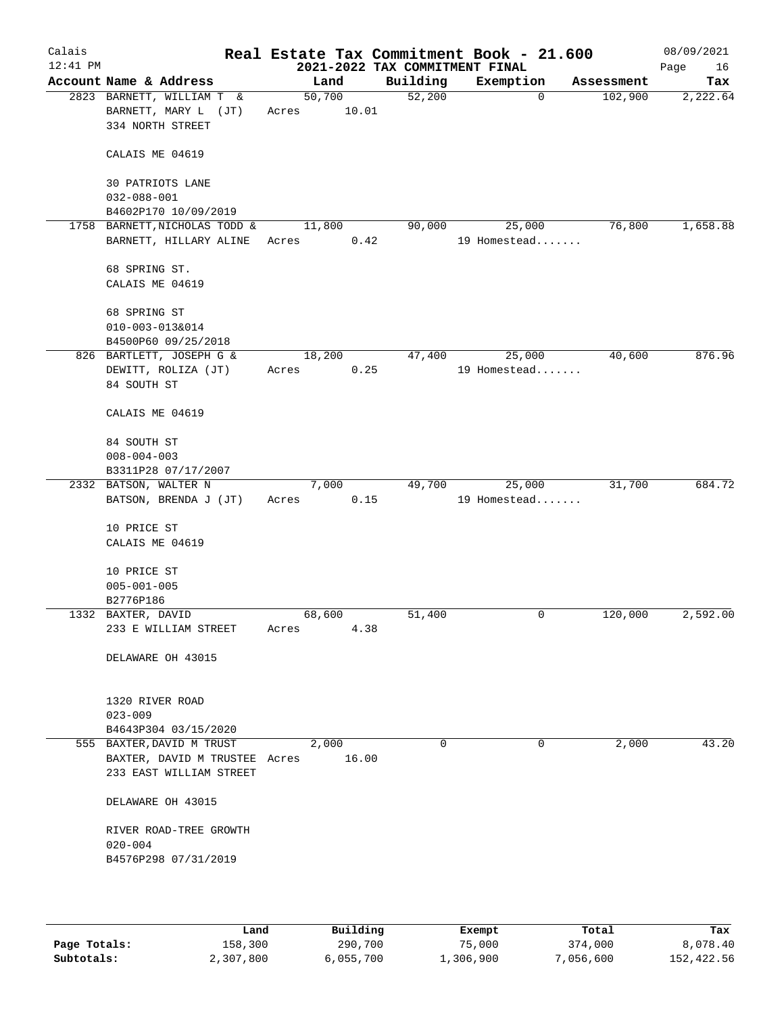| Calais<br>$12:41$ PM |                               |        |       | 2021-2022 TAX COMMITMENT FINAL |          | Real Estate Tax Commitment Book - 21.600 |             |            | 08/09/2021<br>Page | 16 |
|----------------------|-------------------------------|--------|-------|--------------------------------|----------|------------------------------------------|-------------|------------|--------------------|----|
|                      | Account Name & Address        |        | Land  | Building                       |          | Exemption                                |             | Assessment | Tax                |    |
|                      | 2823 BARNETT, WILLIAM T &     | 50,700 |       | 52,200                         |          |                                          | $\mathbf 0$ | 102,900    | 2,222.64           |    |
|                      | BARNETT, MARY L (JT)          | Acres  | 10.01 |                                |          |                                          |             |            |                    |    |
|                      | 334 NORTH STREET              |        |       |                                |          |                                          |             |            |                    |    |
|                      | CALAIS ME 04619               |        |       |                                |          |                                          |             |            |                    |    |
|                      | 30 PATRIOTS LANE              |        |       |                                |          |                                          |             |            |                    |    |
|                      | $032 - 088 - 001$             |        |       |                                |          |                                          |             |            |                    |    |
|                      | B4602P170 10/09/2019          |        |       |                                |          |                                          |             |            |                    |    |
|                      | 1758 BARNETT, NICHOLAS TODD & | 11,800 |       | 90,000                         |          | 25,000                                   |             | 76,800     | 1,658.88           |    |
|                      | BARNETT, HILLARY ALINE        | Acres  | 0.42  |                                |          | 19 Homestead                             |             |            |                    |    |
|                      |                               |        |       |                                |          |                                          |             |            |                    |    |
|                      | 68 SPRING ST.                 |        |       |                                |          |                                          |             |            |                    |    |
|                      | CALAIS ME 04619               |        |       |                                |          |                                          |             |            |                    |    |
|                      | 68 SPRING ST                  |        |       |                                |          |                                          |             |            |                    |    |
|                      | 010-003-013&014               |        |       |                                |          |                                          |             |            |                    |    |
|                      | B4500P60 09/25/2018           |        |       |                                |          |                                          |             |            |                    |    |
|                      | 826 BARTLETT, JOSEPH G &      | 18,200 |       | 47,400                         |          | 25,000                                   |             | 40,600     | 876.96             |    |
|                      | DEWITT, ROLIZA (JT)           | Acres  | 0.25  |                                |          | 19 Homestead                             |             |            |                    |    |
|                      | 84 SOUTH ST                   |        |       |                                |          |                                          |             |            |                    |    |
|                      |                               |        |       |                                |          |                                          |             |            |                    |    |
|                      | CALAIS ME 04619               |        |       |                                |          |                                          |             |            |                    |    |
|                      | 84 SOUTH ST                   |        |       |                                |          |                                          |             |            |                    |    |
|                      | $008 - 004 - 003$             |        |       |                                |          |                                          |             |            |                    |    |
|                      | B3311P28 07/17/2007           |        |       |                                |          |                                          |             |            |                    |    |
|                      | 2332 BATSON, WALTER N         |        | 7,000 | 49,700                         |          | 25,000                                   |             | 31,700     | 684.72             |    |
|                      | BATSON, BRENDA J (JT)         | Acres  | 0.15  |                                |          | 19 Homestead                             |             |            |                    |    |
|                      | 10 PRICE ST                   |        |       |                                |          |                                          |             |            |                    |    |
|                      | CALAIS ME 04619               |        |       |                                |          |                                          |             |            |                    |    |
|                      |                               |        |       |                                |          |                                          |             |            |                    |    |
|                      | 10 PRICE ST                   |        |       |                                |          |                                          |             |            |                    |    |
|                      | $005 - 001 - 005$             |        |       |                                |          |                                          |             |            |                    |    |
|                      | B2776P186                     |        |       |                                |          |                                          |             |            |                    |    |
|                      | 1332 BAXTER, DAVID            | 68,600 |       | 51,400                         |          |                                          | 0           | 120,000    | 2,592.00           |    |
|                      | 233 E WILLIAM STREET          | Acres  | 4.38  |                                |          |                                          |             |            |                    |    |
|                      | DELAWARE OH 43015             |        |       |                                |          |                                          |             |            |                    |    |
|                      |                               |        |       |                                |          |                                          |             |            |                    |    |
|                      | 1320 RIVER ROAD               |        |       |                                |          |                                          |             |            |                    |    |
|                      | $023 - 009$                   |        |       |                                |          |                                          |             |            |                    |    |
|                      | B4643P304 03/15/2020          |        |       |                                |          |                                          |             |            |                    |    |
|                      | 555 BAXTER, DAVID M TRUST     |        | 2,000 |                                | $\Omega$ |                                          | 0           | 2,000      | 43.20              |    |
|                      | BAXTER, DAVID M TRUSTEE Acres |        | 16.00 |                                |          |                                          |             |            |                    |    |
|                      | 233 EAST WILLIAM STREET       |        |       |                                |          |                                          |             |            |                    |    |
|                      | DELAWARE OH 43015             |        |       |                                |          |                                          |             |            |                    |    |
|                      | RIVER ROAD-TREE GROWTH        |        |       |                                |          |                                          |             |            |                    |    |
|                      | $020 - 004$                   |        |       |                                |          |                                          |             |            |                    |    |
|                      | B4576P298 07/31/2019          |        |       |                                |          |                                          |             |            |                    |    |
|                      |                               |        |       |                                |          |                                          |             |            |                    |    |
|                      |                               |        |       |                                |          |                                          |             |            |                    |    |

|              | Land      | Building  | Exempt    | Total     | Tax        |
|--------------|-----------|-----------|-----------|-----------|------------|
| Page Totals: | 158,300   | 290,700   | 75,000    | 374,000   | 8,078.40   |
| Subtotals:   | 2,307,800 | 6,055,700 | 1,306,900 | 7,056,600 | 152,422.56 |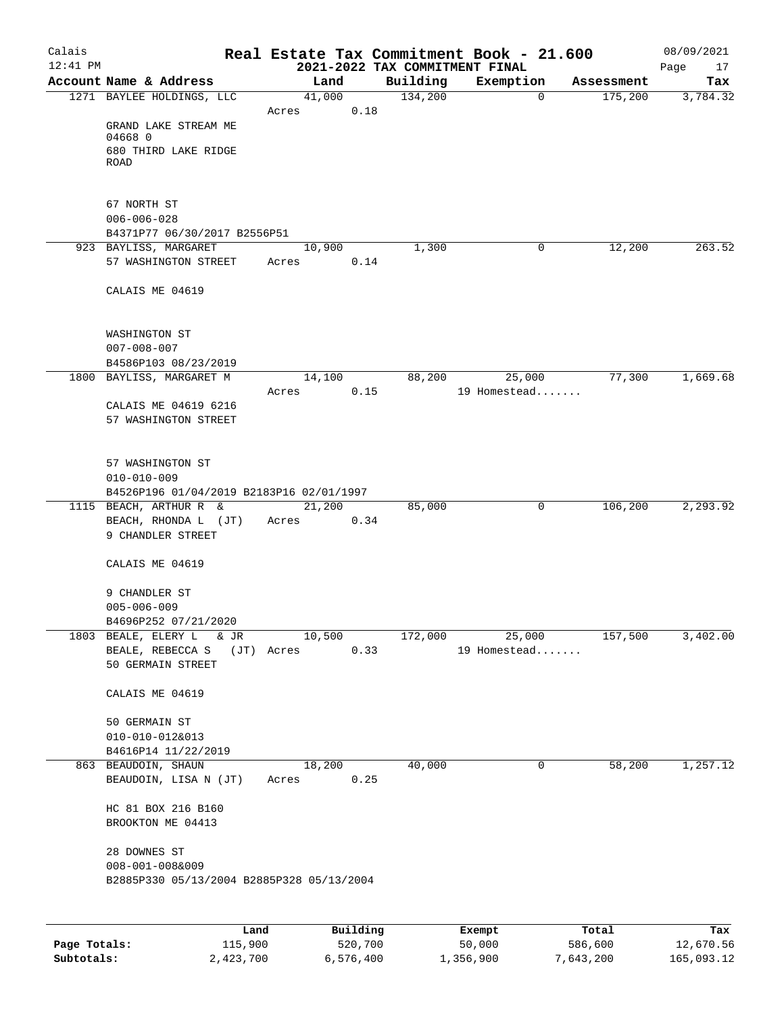| Calais       |                                                     |                      |          |                                | Real Estate Tax Commitment Book - 21.600 |                       | 08/09/2021      |
|--------------|-----------------------------------------------------|----------------------|----------|--------------------------------|------------------------------------------|-----------------------|-----------------|
| $12:41$ PM   |                                                     |                      |          | 2021-2022 TAX COMMITMENT FINAL |                                          |                       | Page<br>17      |
|              | Account Name & Address<br>1271 BAYLEE HOLDINGS, LLC | 41,000               | Land     | Building<br>134,200            | Exemption<br>$\mathbf 0$                 | Assessment<br>175,200 | Tax<br>3,784.32 |
|              |                                                     | Acres                | 0.18     |                                |                                          |                       |                 |
|              | GRAND LAKE STREAM ME                                |                      |          |                                |                                          |                       |                 |
|              | 04668 0                                             |                      |          |                                |                                          |                       |                 |
|              | 680 THIRD LAKE RIDGE<br>ROAD                        |                      |          |                                |                                          |                       |                 |
|              | 67 NORTH ST                                         |                      |          |                                |                                          |                       |                 |
|              | $006 - 006 - 028$                                   |                      |          |                                |                                          |                       |                 |
|              | B4371P77 06/30/2017 B2556P51                        |                      |          |                                |                                          |                       |                 |
|              | 923 BAYLISS, MARGARET                               | 10,900               |          | 1,300                          | 0                                        | 12,200                | 263.52          |
|              | 57 WASHINGTON STREET                                | Acres                | 0.14     |                                |                                          |                       |                 |
|              | CALAIS ME 04619                                     |                      |          |                                |                                          |                       |                 |
|              | WASHINGTON ST                                       |                      |          |                                |                                          |                       |                 |
|              | $007 - 008 - 007$                                   |                      |          |                                |                                          |                       |                 |
|              | B4586P103 08/23/2019                                |                      |          |                                |                                          |                       |                 |
|              | 1800 BAYLISS, MARGARET M                            |                      | 14,100   | 88,200                         | 25,000                                   | 77,300                | 1,669.68        |
|              |                                                     | Acres                | 0.15     |                                | 19 Homestead                             |                       |                 |
|              | CALAIS ME 04619 6216                                |                      |          |                                |                                          |                       |                 |
|              | 57 WASHINGTON STREET                                |                      |          |                                |                                          |                       |                 |
|              | 57 WASHINGTON ST                                    |                      |          |                                |                                          |                       |                 |
|              | $010 - 010 - 009$                                   |                      |          |                                |                                          |                       |                 |
|              | B4526P196 01/04/2019 B2183P16 02/01/1997            |                      |          |                                |                                          |                       |                 |
|              | 1115 BEACH, ARTHUR R &                              |                      | 21,200   | 85,000                         | 0                                        | 106,200               | 2,293.92        |
|              | BEACH, RHONDA L (JT)<br>9 CHANDLER STREET           | Acres                | 0.34     |                                |                                          |                       |                 |
|              | CALAIS ME 04619                                     |                      |          |                                |                                          |                       |                 |
|              | 9 CHANDLER ST                                       |                      |          |                                |                                          |                       |                 |
|              | $005 - 006 - 009$                                   |                      |          |                                |                                          |                       |                 |
|              | B4696P252 07/21/2020                                |                      |          |                                |                                          |                       |                 |
|              | 1803 BEALE, ELERY L<br>& JR<br>BEALE, REBECCA S     | 10,500<br>(JT) Acres | 0.33     | 172,000                        | 25,000<br>19 Homestead                   | 157,500               | 3,402.00        |
|              | 50 GERMAIN STREET                                   |                      |          |                                |                                          |                       |                 |
|              | CALAIS ME 04619                                     |                      |          |                                |                                          |                       |                 |
|              | 50 GERMAIN ST                                       |                      |          |                                |                                          |                       |                 |
|              | 010-010-012&013                                     |                      |          |                                |                                          |                       |                 |
|              | B4616P14 11/22/2019                                 |                      |          |                                |                                          |                       |                 |
|              | 863 BEAUDOIN, SHAUN                                 | 18,200               |          | 40,000                         | 0                                        | 58,200                | 1,257.12        |
|              | BEAUDOIN, LISA N (JT)                               | Acres                | 0.25     |                                |                                          |                       |                 |
|              | HC 81 BOX 216 B160                                  |                      |          |                                |                                          |                       |                 |
|              | BROOKTON ME 04413                                   |                      |          |                                |                                          |                       |                 |
|              | 28 DOWNES ST                                        |                      |          |                                |                                          |                       |                 |
|              | $008 - 001 - 008$ &009                              |                      |          |                                |                                          |                       |                 |
|              | B2885P330 05/13/2004 B2885P328 05/13/2004           |                      |          |                                |                                          |                       |                 |
|              |                                                     |                      |          |                                |                                          |                       |                 |
|              | Land                                                |                      | Building |                                | Exempt                                   | Total                 | Tax             |
| Page Totals: | 115,900                                             |                      | 520,700  |                                | 50,000                                   | 586,600               | 12,670.56       |

**Subtotals:** 2,423,700 6,576,400 1,356,900 7,643,200 165,093.12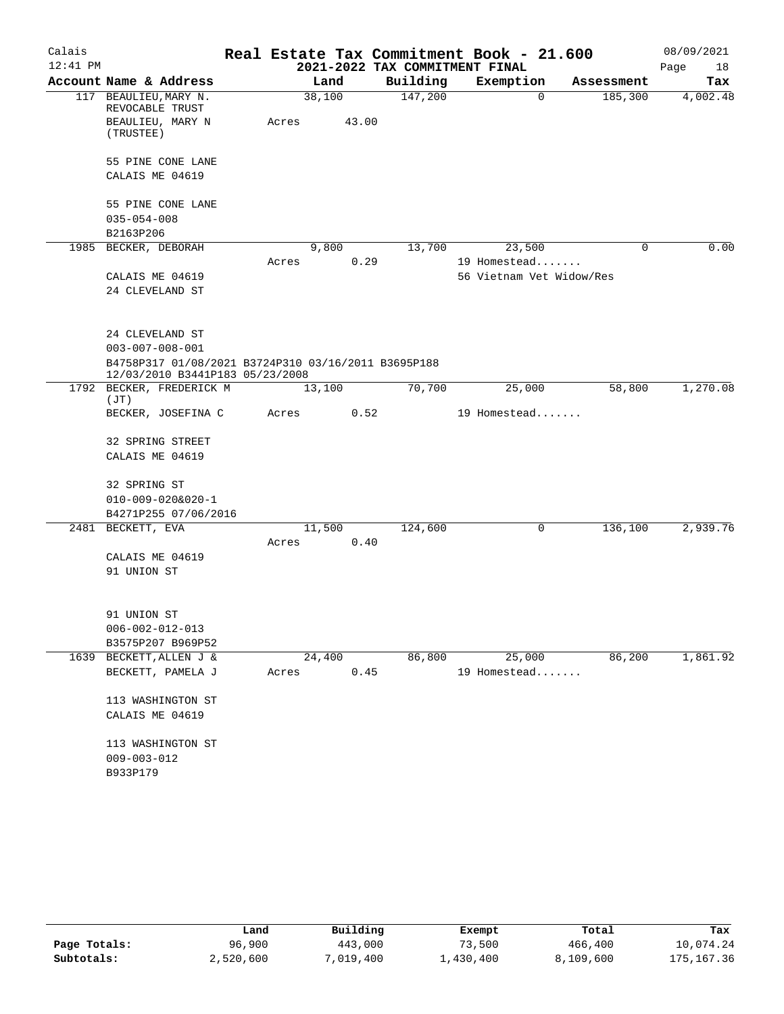| Calais     |                                                                                        |       |        |       | Real Estate Tax Commitment Book - 21.600 |                          |          |            | 08/09/2021 |
|------------|----------------------------------------------------------------------------------------|-------|--------|-------|------------------------------------------|--------------------------|----------|------------|------------|
| $12:41$ PM |                                                                                        |       |        |       | 2021-2022 TAX COMMITMENT FINAL           |                          |          |            | Page<br>18 |
|            | Account Name & Address                                                                 |       | Land   |       | Building                                 | Exemption                |          | Assessment | Tax        |
|            | 117 BEAULIEU, MARY N.<br>REVOCABLE TRUST<br>BEAULIEU, MARY N                           | Acres | 38,100 | 43.00 | 147,200                                  |                          | $\Omega$ | 185,300    | 4,002.48   |
|            | (TRUSTEE)                                                                              |       |        |       |                                          |                          |          |            |            |
|            | 55 PINE CONE LANE                                                                      |       |        |       |                                          |                          |          |            |            |
|            | CALAIS ME 04619                                                                        |       |        |       |                                          |                          |          |            |            |
|            | 55 PINE CONE LANE                                                                      |       |        |       |                                          |                          |          |            |            |
|            | $035 - 054 - 008$                                                                      |       |        |       |                                          |                          |          |            |            |
|            | B2163P206                                                                              |       |        |       |                                          |                          |          |            | 0.00       |
| 1985       | BECKER, DEBORAH                                                                        | Acres | 9,800  | 0.29  | 13,700                                   | 23,500<br>19 Homestead   |          | 0          |            |
|            | CALAIS ME 04619                                                                        |       |        |       |                                          | 56 Vietnam Vet Widow/Res |          |            |            |
|            | 24 CLEVELAND ST                                                                        |       |        |       |                                          |                          |          |            |            |
|            |                                                                                        |       |        |       |                                          |                          |          |            |            |
|            | 24 CLEVELAND ST                                                                        |       |        |       |                                          |                          |          |            |            |
|            | $003 - 007 - 008 - 001$                                                                |       |        |       |                                          |                          |          |            |            |
|            | B4758P317 01/08/2021 B3724P310 03/16/2011 B3695P188<br>12/03/2010 B3441P183 05/23/2008 |       |        |       |                                          |                          |          |            |            |
|            | 1792 BECKER, FREDERICK M<br>(JT)                                                       |       | 13,100 |       | 70,700                                   | 25,000                   |          | 58,800     | 1,270.08   |
|            | BECKER, JOSEFINA C                                                                     | Acres |        | 0.52  |                                          | 19 Homestead             |          |            |            |
|            | 32 SPRING STREET                                                                       |       |        |       |                                          |                          |          |            |            |
|            | CALAIS ME 04619                                                                        |       |        |       |                                          |                          |          |            |            |
|            | 32 SPRING ST                                                                           |       |        |       |                                          |                          |          |            |            |
|            | $010 - 009 - 020&020 - 1$                                                              |       |        |       |                                          |                          |          |            |            |
|            | B4271P255 07/06/2016                                                                   |       |        |       |                                          |                          |          |            |            |
|            | 2481 BECKETT, EVA                                                                      | Acres | 11,500 | 0.40  | 124,600                                  |                          | 0        | 136,100    | 2,939.76   |
|            | CALAIS ME 04619                                                                        |       |        |       |                                          |                          |          |            |            |
|            | 91 UNION ST                                                                            |       |        |       |                                          |                          |          |            |            |
|            |                                                                                        |       |        |       |                                          |                          |          |            |            |
|            | 91 UNION ST                                                                            |       |        |       |                                          |                          |          |            |            |
|            | $006 - 002 - 012 - 013$                                                                |       |        |       |                                          |                          |          |            |            |
|            | B3575P207 B969P52                                                                      |       |        |       |                                          |                          |          |            |            |
| 1639       | BECKETT, ALLEN J &                                                                     |       | 24,400 |       | 86,800                                   | 25,000                   |          | 86,200     | 1,861.92   |
|            | BECKETT, PAMELA J                                                                      | Acres |        | 0.45  |                                          | 19 Homestead             |          |            |            |
|            | 113 WASHINGTON ST                                                                      |       |        |       |                                          |                          |          |            |            |
|            | CALAIS ME 04619                                                                        |       |        |       |                                          |                          |          |            |            |
|            | 113 WASHINGTON ST                                                                      |       |        |       |                                          |                          |          |            |            |
|            | $009 - 003 - 012$                                                                      |       |        |       |                                          |                          |          |            |            |
|            | B933P179                                                                               |       |        |       |                                          |                          |          |            |            |

|              | Land      | Building  | Exempt             | Total     | Tax        |
|--------------|-----------|-----------|--------------------|-----------|------------|
| Page Totals: | 96,900    | 443,000   | 73,500             | 466,400   | 10,074.24  |
| Subtotals:   | 2,520,600 | 7,019,400 | $\perp$ , 430, 400 | 8,109,600 | 175,167.36 |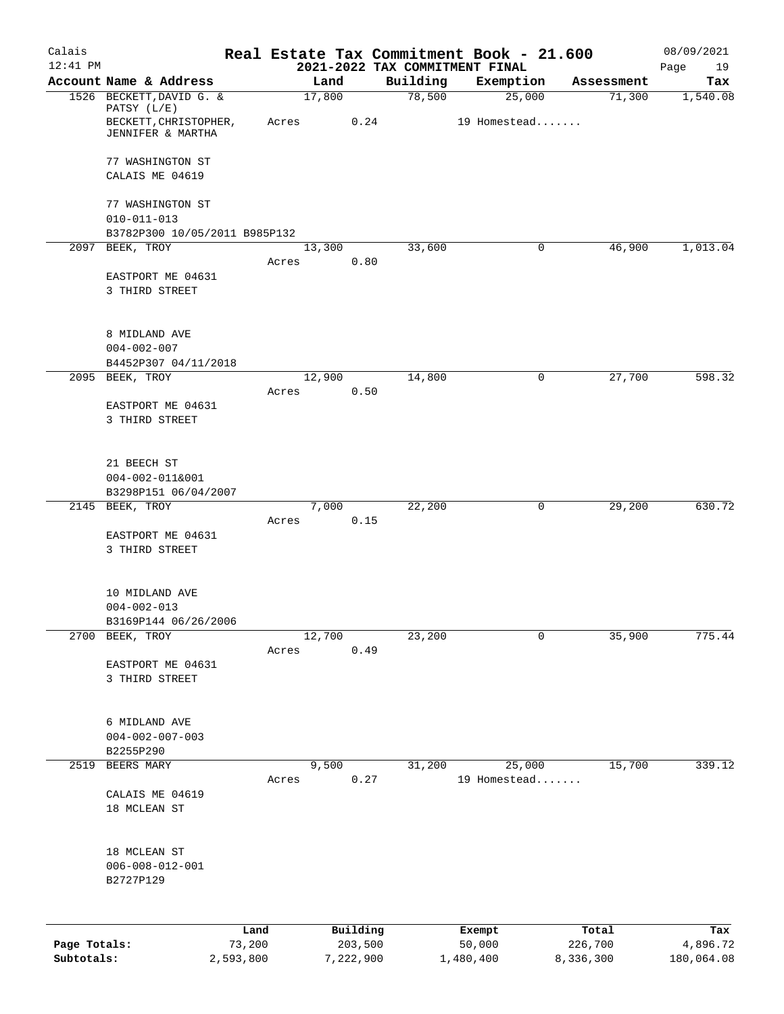| Calais       |                                                                        |           |       |                |      |                    | Real Estate Tax Commitment Book - 21.600 |                      | 08/09/2021      |
|--------------|------------------------------------------------------------------------|-----------|-------|----------------|------|--------------------|------------------------------------------|----------------------|-----------------|
| $12:41$ PM   |                                                                        |           |       |                |      |                    | 2021-2022 TAX COMMITMENT FINAL           |                      | Page<br>19      |
|              | Account Name & Address<br>1526 BECKETT, DAVID G. &                     |           |       | Land<br>17,800 |      | Building<br>78,500 | Exemption<br>25,000                      | Assessment<br>71,300 | Tax<br>1,540.08 |
|              | PATSY (L/E)<br>BECKETT, CHRISTOPHER,<br>JENNIFER & MARTHA              |           | Acres |                | 0.24 |                    | 19 Homestead                             |                      |                 |
|              | 77 WASHINGTON ST                                                       |           |       |                |      |                    |                                          |                      |                 |
|              | CALAIS ME 04619                                                        |           |       |                |      |                    |                                          |                      |                 |
|              | 77 WASHINGTON ST<br>$010 - 011 - 013$<br>B3782P300 10/05/2011 B985P132 |           |       |                |      |                    |                                          |                      |                 |
|              | 2097 BEEK, TROY                                                        |           |       | 13,300         |      | 33,600             | 0                                        | 46,900               | 1,013.04        |
|              |                                                                        |           | Acres | 0.80           |      |                    |                                          |                      |                 |
|              | EASTPORT ME 04631<br>3 THIRD STREET                                    |           |       |                |      |                    |                                          |                      |                 |
|              | 8 MIDLAND AVE                                                          |           |       |                |      |                    |                                          |                      |                 |
|              | $004 - 002 - 007$<br>B4452P307 04/11/2018                              |           |       |                |      |                    |                                          |                      |                 |
|              | 2095 BEEK, TROY                                                        |           |       | 12,900         |      | 14,800             | 0                                        | 27,700               | 598.32          |
|              | EASTPORT ME 04631                                                      |           | Acres | 0.50           |      |                    |                                          |                      |                 |
|              | 3 THIRD STREET                                                         |           |       |                |      |                    |                                          |                      |                 |
|              | 21 BEECH ST                                                            |           |       |                |      |                    |                                          |                      |                 |
|              | 004-002-011&001<br>B3298P151 06/04/2007                                |           |       |                |      |                    |                                          |                      |                 |
|              | 2145 BEEK, TROY                                                        |           |       | 7,000          |      | 22,200             | 0                                        | 29,200               | 630.72          |
|              | EASTPORT ME 04631<br>3 THIRD STREET                                    |           | Acres | 0.15           |      |                    |                                          |                      |                 |
|              | 10 MIDLAND AVE<br>$004 - 002 - 013$<br>B3169P144 06/26/2006            |           |       |                |      |                    |                                          |                      |                 |
|              | 2700 BEEK, TROY                                                        |           |       | 12,700         |      | 23,200             | 0                                        | 35,900               | 775.44          |
|              | EASTPORT ME 04631<br>3 THIRD STREET                                    |           | Acres | 0.49           |      |                    |                                          |                      |                 |
|              | 6 MIDLAND AVE<br>$004 - 002 - 007 - 003$<br>B2255P290                  |           |       |                |      |                    |                                          |                      |                 |
| 2519         | BEERS MARY                                                             |           |       | 9,500          |      | 31,200             | 25,000                                   | 15,700               | 339.12          |
|              |                                                                        |           | Acres | 0.27           |      |                    | 19 Homestead                             |                      |                 |
|              | CALAIS ME 04619<br>18 MCLEAN ST                                        |           |       |                |      |                    |                                          |                      |                 |
|              | 18 MCLEAN ST<br>$006 - 008 - 012 - 001$<br>B2727P129                   |           |       |                |      |                    |                                          |                      |                 |
|              |                                                                        | Land      |       | Building       |      |                    | Exempt                                   | Total                | Tax             |
| Page Totals: |                                                                        | 73,200    |       | 203,500        |      |                    | 50,000                                   | 226,700              | 4,896.72        |
| Subtotals:   |                                                                        | 2,593,800 |       | 7,222,900      |      |                    | 1,480,400                                | 8,336,300            | 180,064.08      |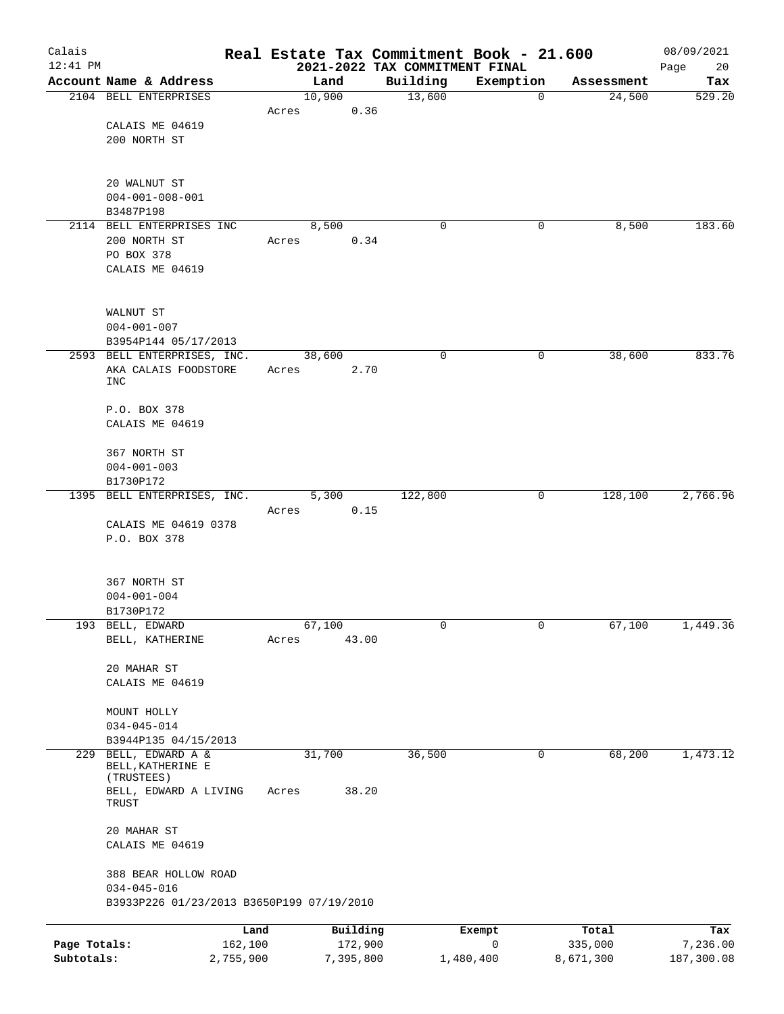| Calais       |                                           |           |       |        |           | Real Estate Tax Commitment Book - 21.600   |           |             |            | 08/09/2021        |
|--------------|-------------------------------------------|-----------|-------|--------|-----------|--------------------------------------------|-----------|-------------|------------|-------------------|
| $12:41$ PM   | Account Name & Address                    |           |       | Land   |           | 2021-2022 TAX COMMITMENT FINAL<br>Building | Exemption |             | Assessment | Page<br>20<br>Tax |
|              | 2104 BELL ENTERPRISES                     |           |       | 10,900 |           | 13,600                                     |           | $\mathbf 0$ | 24,500     | 529.20            |
|              |                                           |           | Acres |        | 0.36      |                                            |           |             |            |                   |
|              | CALAIS ME 04619                           |           |       |        |           |                                            |           |             |            |                   |
|              | 200 NORTH ST                              |           |       |        |           |                                            |           |             |            |                   |
|              |                                           |           |       |        |           |                                            |           |             |            |                   |
|              | 20 WALNUT ST                              |           |       |        |           |                                            |           |             |            |                   |
|              | $004 - 001 - 008 - 001$                   |           |       |        |           |                                            |           |             |            |                   |
|              | B3487P198                                 |           |       |        |           |                                            |           |             |            |                   |
|              | 2114 BELL ENTERPRISES INC<br>200 NORTH ST |           | Acres | 8,500  | 0.34      | 0                                          |           | 0           | 8,500      | 183.60            |
|              | PO BOX 378                                |           |       |        |           |                                            |           |             |            |                   |
|              | CALAIS ME 04619                           |           |       |        |           |                                            |           |             |            |                   |
|              |                                           |           |       |        |           |                                            |           |             |            |                   |
|              | WALNUT ST                                 |           |       |        |           |                                            |           |             |            |                   |
|              | $004 - 001 - 007$                         |           |       |        |           |                                            |           |             |            |                   |
|              | B3954P144 05/17/2013                      |           |       |        |           |                                            |           |             |            |                   |
|              | 2593 BELL ENTERPRISES, INC.               |           |       | 38,600 |           | 0                                          |           | 0           | 38,600     | 833.76            |
|              | AKA CALAIS FOODSTORE                      |           | Acres |        | 2.70      |                                            |           |             |            |                   |
|              | INC                                       |           |       |        |           |                                            |           |             |            |                   |
|              | P.O. BOX 378                              |           |       |        |           |                                            |           |             |            |                   |
|              | CALAIS ME 04619                           |           |       |        |           |                                            |           |             |            |                   |
|              | 367 NORTH ST                              |           |       |        |           |                                            |           |             |            |                   |
|              | $004 - 001 - 003$                         |           |       |        |           |                                            |           |             |            |                   |
|              | B1730P172                                 |           |       |        |           |                                            |           |             |            |                   |
| 1395         | BELL ENTERPRISES, INC.                    |           |       | 5,300  |           | 122,800                                    |           | 0           | 128,100    | 2,766.96          |
|              |                                           |           | Acres |        | 0.15      |                                            |           |             |            |                   |
|              | CALAIS ME 04619 0378                      |           |       |        |           |                                            |           |             |            |                   |
|              | P.O. BOX 378                              |           |       |        |           |                                            |           |             |            |                   |
|              |                                           |           |       |        |           |                                            |           |             |            |                   |
|              | 367 NORTH ST<br>$004 - 001 - 004$         |           |       |        |           |                                            |           |             |            |                   |
|              | B1730P172                                 |           |       |        |           |                                            |           |             |            |                   |
|              | 193 BELL, EDWARD                          |           |       | 67,100 |           | 0                                          |           | 0           | 67,100     | 1,449.36          |
|              | BELL, KATHERINE                           |           | Acres |        | 43.00     |                                            |           |             |            |                   |
|              |                                           |           |       |        |           |                                            |           |             |            |                   |
|              | 20 MAHAR ST                               |           |       |        |           |                                            |           |             |            |                   |
|              | CALAIS ME 04619                           |           |       |        |           |                                            |           |             |            |                   |
|              | MOUNT HOLLY                               |           |       |        |           |                                            |           |             |            |                   |
|              | $034 - 045 - 014$                         |           |       |        |           |                                            |           |             |            |                   |
|              | B3944P135 04/15/2013                      |           |       |        |           |                                            |           |             |            |                   |
| 229          | BELL, EDWARD A &<br>BELL, KATHERINE E     |           |       | 31,700 |           | 36,500                                     |           | 0           | 68,200     | 1,473.12          |
|              | (TRUSTEES)                                |           |       |        |           |                                            |           |             |            |                   |
|              | BELL, EDWARD A LIVING                     |           | Acres |        | 38.20     |                                            |           |             |            |                   |
|              | TRUST                                     |           |       |        |           |                                            |           |             |            |                   |
|              | 20 MAHAR ST                               |           |       |        |           |                                            |           |             |            |                   |
|              | CALAIS ME 04619                           |           |       |        |           |                                            |           |             |            |                   |
|              | 388 BEAR HOLLOW ROAD                      |           |       |        |           |                                            |           |             |            |                   |
|              | $034 - 045 - 016$                         |           |       |        |           |                                            |           |             |            |                   |
|              | B3933P226 01/23/2013 B3650P199 07/19/2010 |           |       |        |           |                                            |           |             |            |                   |
|              |                                           | Land      |       |        | Building  |                                            | Exempt    |             | Total      | Tax               |
| Page Totals: |                                           | 162,100   |       |        | 172,900   |                                            | 0         |             | 335,000    | 7,236.00          |
| Subtotals:   |                                           | 2,755,900 |       |        | 7,395,800 |                                            | 1,480,400 |             | 8,671,300  | 187,300.08        |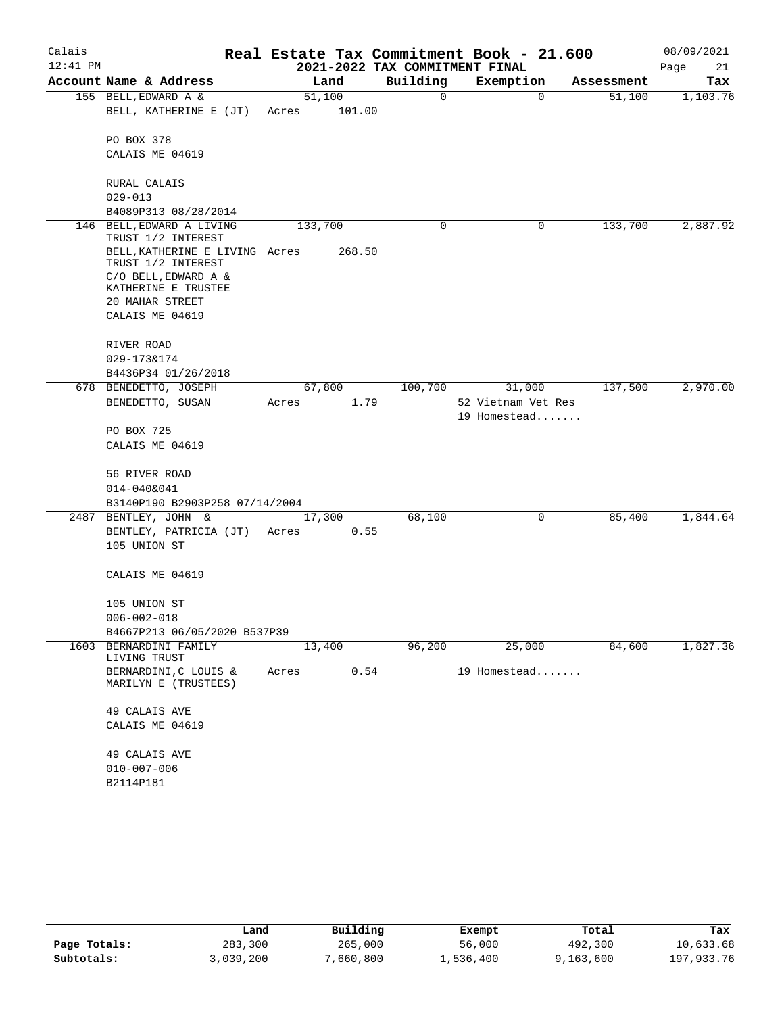| Calais     |                                                      |                         |                                | Real Estate Tax Commitment Book - 21.600 |            | 08/09/2021 |
|------------|------------------------------------------------------|-------------------------|--------------------------------|------------------------------------------|------------|------------|
| $12:41$ PM |                                                      |                         | 2021-2022 TAX COMMITMENT FINAL |                                          |            | Page<br>21 |
|            | Account Name & Address                               | Land                    | Building                       | Exemption                                | Assessment | Tax        |
|            | 155 BELL, EDWARD A &                                 | 51,100                  | 0                              | $\mathbf 0$                              | 51,100     | 1,103.76   |
|            | BELL, KATHERINE E (JT)                               | 101.00<br>Acres         |                                |                                          |            |            |
|            |                                                      |                         |                                |                                          |            |            |
|            | PO BOX 378<br>CALAIS ME 04619                        |                         |                                |                                          |            |            |
|            |                                                      |                         |                                |                                          |            |            |
|            | RURAL CALAIS                                         |                         |                                |                                          |            |            |
|            | $029 - 013$                                          |                         |                                |                                          |            |            |
|            | B4089P313 08/28/2014                                 |                         |                                |                                          |            |            |
|            | 146 BELL, EDWARD A LIVING                            | 133,700                 | 0                              | 0                                        | 133,700    | 2,887.92   |
|            | TRUST 1/2 INTEREST                                   |                         |                                |                                          |            |            |
|            | BELL, KATHERINE E LIVING Acres<br>TRUST 1/2 INTEREST | 268.50                  |                                |                                          |            |            |
|            | C/O BELL, EDWARD A &                                 |                         |                                |                                          |            |            |
|            | KATHERINE E TRUSTEE                                  |                         |                                |                                          |            |            |
|            | 20 MAHAR STREET                                      |                         |                                |                                          |            |            |
|            | CALAIS ME 04619                                      |                         |                                |                                          |            |            |
|            |                                                      |                         |                                |                                          |            |            |
|            | RIVER ROAD                                           |                         |                                |                                          |            |            |
|            | 029-173&174<br>B4436P34 01/26/2018                   |                         |                                |                                          |            |            |
|            | 678 BENEDETTO, JOSEPH                                | 67,800                  | 100,700                        | 31,000                                   | 137,500    | 2,970.00   |
|            | BENEDETTO, SUSAN                                     | Acres<br>1.79           |                                | 52 Vietnam Vet Res                       |            |            |
|            |                                                      |                         |                                | 19 Homestead                             |            |            |
|            | PO BOX 725                                           |                         |                                |                                          |            |            |
|            | CALAIS ME 04619                                      |                         |                                |                                          |            |            |
|            |                                                      |                         |                                |                                          |            |            |
|            | 56 RIVER ROAD                                        |                         |                                |                                          |            |            |
|            | 014-040&041                                          |                         |                                |                                          |            |            |
|            | B3140P190 B2903P258 07/14/2004                       |                         | 68,100                         | 0                                        | 85,400     | 1,844.64   |
| 2487       | BENTLEY, JOHN &<br>BENTLEY, PATRICIA (JT)            | 17,300<br>0.55<br>Acres |                                |                                          |            |            |
|            | 105 UNION ST                                         |                         |                                |                                          |            |            |
|            |                                                      |                         |                                |                                          |            |            |
|            | CALAIS ME 04619                                      |                         |                                |                                          |            |            |
|            |                                                      |                         |                                |                                          |            |            |
|            | 105 UNION ST                                         |                         |                                |                                          |            |            |
|            | $006 - 002 - 018$                                    |                         |                                |                                          |            |            |
|            | B4667P213 06/05/2020 B537P39                         |                         |                                |                                          |            |            |
| 1603       | BERNARDINI FAMILY<br>LIVING TRUST                    | 13,400                  | 96,200                         | 25,000                                   | 84,600     | 1,827.36   |
|            | BERNARDINI, C LOUIS &                                | 0.54<br>Acres           |                                | 19 Homestead                             |            |            |
|            | MARILYN E (TRUSTEES)                                 |                         |                                |                                          |            |            |
|            |                                                      |                         |                                |                                          |            |            |
|            | 49 CALAIS AVE                                        |                         |                                |                                          |            |            |
|            | CALAIS ME 04619                                      |                         |                                |                                          |            |            |
|            | 49 CALAIS AVE                                        |                         |                                |                                          |            |            |
|            | $010 - 007 - 006$                                    |                         |                                |                                          |            |            |
|            | B2114P181                                            |                         |                                |                                          |            |            |

|              | Land      | Building | Exempt    | Total     | Tax        |
|--------------|-----------|----------|-----------|-----------|------------|
| Page Totals: | 283,300   | 265,000  | 56,000    | 492,300   | 10,633.68  |
| Subtotals:   | 3,039,200 | ,660,800 | 1,536,400 | 9,163,600 | 197,933.76 |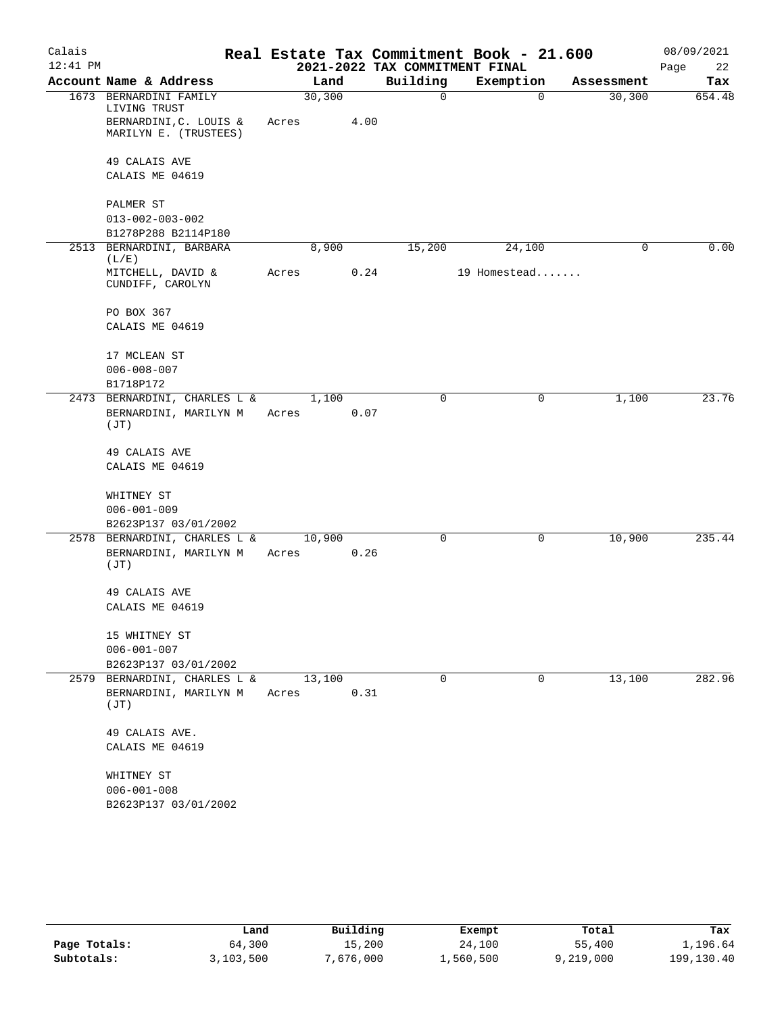| Calais     |                                                               |       |               |                                | Real Estate Tax Commitment Book - 21.600 |            | 08/09/2021 |
|------------|---------------------------------------------------------------|-------|---------------|--------------------------------|------------------------------------------|------------|------------|
| $12:41$ PM |                                                               |       |               | 2021-2022 TAX COMMITMENT FINAL |                                          |            | Page<br>22 |
|            | Account Name & Address                                        |       | Land          | Building                       | Exemption                                | Assessment | Tax        |
|            | 1673 BERNARDINI FAMILY<br>LIVING TRUST                        |       | 30, 300       | $\mathbf 0$                    | $\mathbf 0$                              | 30,300     | 654.48     |
|            | BERNARDINI, C. LOUIS &<br>MARILYN E. (TRUSTEES)               | Acres | 4.00          |                                |                                          |            |            |
|            | 49 CALAIS AVE<br>CALAIS ME 04619                              |       |               |                                |                                          |            |            |
|            | PALMER ST<br>$013 - 002 - 003 - 002$                          |       |               |                                |                                          |            |            |
|            | B1278P288 B2114P180                                           |       |               |                                |                                          |            |            |
|            | 2513 BERNARDINI, BARBARA<br>(L/E)                             |       | 8,900         | 15,200                         | 24,100                                   | 0          | 0.00       |
|            | MITCHELL, DAVID &<br>CUNDIFF, CAROLYN                         | Acres |               | 0.24                           | 19 Homestead                             |            |            |
|            | PO BOX 367<br>CALAIS ME 04619                                 |       |               |                                |                                          |            |            |
|            | 17 MCLEAN ST<br>$006 - 008 - 007$<br>B1718P172                |       |               |                                |                                          |            |            |
|            | 2473 BERNARDINI, CHARLES L &<br>BERNARDINI, MARILYN M<br>(JT) | Acres | 1,100<br>0.07 | 0                              | $\mathbf 0$                              | 1,100      | 23.76      |
|            | 49 CALAIS AVE<br>CALAIS ME 04619                              |       |               |                                |                                          |            |            |
|            | WHITNEY ST<br>$006 - 001 - 009$<br>B2623P137 03/01/2002       |       |               |                                |                                          |            |            |
|            | 2578 BERNARDINI, CHARLES L &                                  |       | 10,900        | 0                              | 0                                        | 10,900     | 235.44     |
|            | BERNARDINI, MARILYN M<br>(JT)                                 | Acres | 0.26          |                                |                                          |            |            |
|            | 49 CALAIS AVE<br>CALAIS ME 04619                              |       |               |                                |                                          |            |            |
|            | 15 WHITNEY ST<br>$006 - 001 - 007$<br>B2623P137 03/01/2002    |       |               |                                |                                          |            |            |
|            | 2579 BERNARDINI, CHARLES L &                                  |       | 13,100        | 0                              | 0                                        | 13,100     | 282.96     |
|            | BERNARDINI, MARILYN M<br>(JT)                                 | Acres | 0.31          |                                |                                          |            |            |
|            | 49 CALAIS AVE.<br>CALAIS ME 04619                             |       |               |                                |                                          |            |            |
|            | WHITNEY ST<br>$006 - 001 - 008$<br>B2623P137 03/01/2002       |       |               |                                |                                          |            |            |

|              | Land      | Building  | Exempt    | Total     | Tax        |
|--------------|-----------|-----------|-----------|-----------|------------|
| Page Totals: | 64,300    | 15,200    | 24,100    | 55,400    | 1,196.64   |
| Subtotals:   | 3,103,500 | 7,676,000 | 1,560,500 | 9,219,000 | 199,130.40 |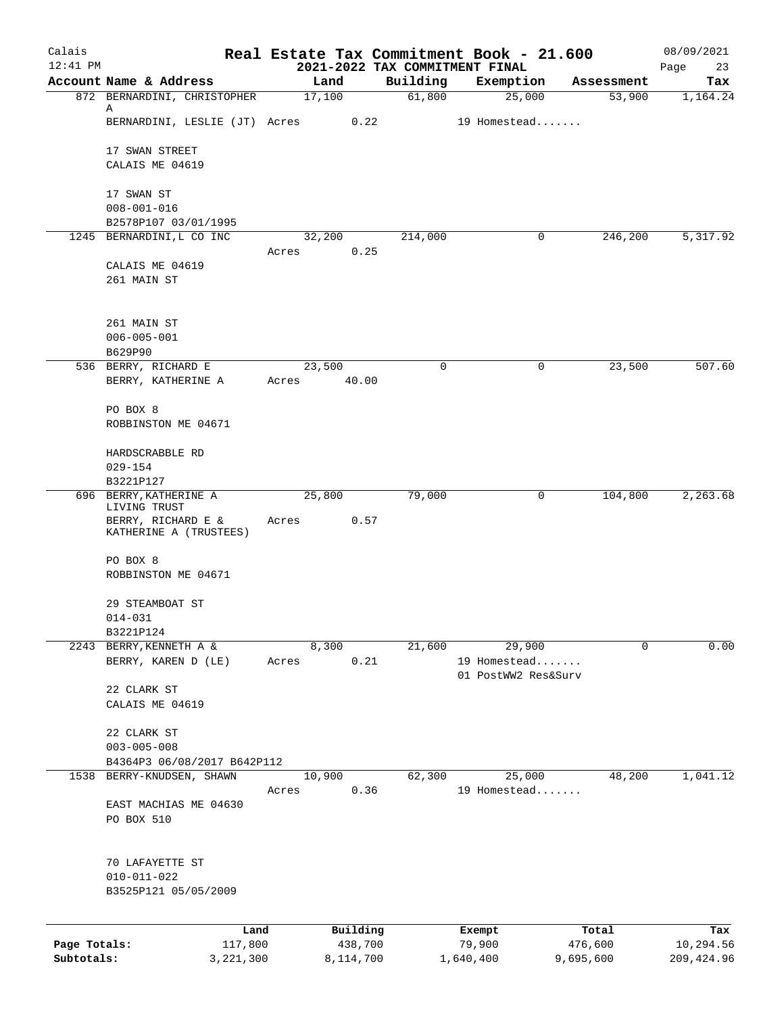| Calais       |                                                                 |                          |                                            | Real Estate Tax Commitment Book - 21.600      |                  | 08/09/2021        |
|--------------|-----------------------------------------------------------------|--------------------------|--------------------------------------------|-----------------------------------------------|------------------|-------------------|
| $12:41$ PM   | Account Name & Address                                          | Land                     | 2021-2022 TAX COMMITMENT FINAL<br>Building | Exemption                                     | Assessment       | Page<br>23<br>Tax |
|              | 872 BERNARDINI, CHRISTOPHER                                     | 17,100                   | 61,800                                     | 25,000                                        | 53,900           | 1,164.24          |
|              | Α<br>BERNARDINI, LESLIE (JT) Acres                              | 0.22                     |                                            | 19 Homestead                                  |                  |                   |
|              | 17 SWAN STREET<br>CALAIS ME 04619                               |                          |                                            |                                               |                  |                   |
|              | 17 SWAN ST<br>$008 - 001 - 016$<br>B2578P107 03/01/1995         |                          |                                            |                                               |                  |                   |
|              | 1245 BERNARDINI, L CO INC                                       | 32,200                   | 214,000                                    | 0                                             | 246,200          | 5,317.92          |
|              | CALAIS ME 04619<br>261 MAIN ST                                  | 0.25<br>Acres            |                                            |                                               |                  |                   |
|              | 261 MAIN ST<br>$006 - 005 - 001$<br>B629P90                     |                          |                                            |                                               |                  |                   |
|              | 536 BERRY, RICHARD E<br>BERRY, KATHERINE A                      | 23,500<br>40.00<br>Acres | $\mathbf 0$                                | 0                                             | 23,500           | 507.60            |
|              | PO BOX 8<br>ROBBINSTON ME 04671                                 |                          |                                            |                                               |                  |                   |
|              | HARDSCRABBLE RD<br>$029 - 154$                                  |                          |                                            |                                               |                  |                   |
|              | B3221P127                                                       |                          |                                            |                                               |                  |                   |
| 696          | BERRY, KATHERINE A<br>LIVING TRUST                              | 25,800                   | 79,000                                     | 0                                             | 104,800          | 2,263.68          |
|              | BERRY, RICHARD E &<br>KATHERINE A (TRUSTEES)                    | 0.57<br>Acres            |                                            |                                               |                  |                   |
|              | PO BOX 8<br>ROBBINSTON ME 04671                                 |                          |                                            |                                               |                  |                   |
|              | 29 STEAMBOAT ST<br>$014 - 031$                                  |                          |                                            |                                               |                  |                   |
|              | B3221P124<br>2243 BERRY, KENNETH A &                            |                          |                                            |                                               | $\Omega$         |                   |
|              | BERRY, KAREN D (LE)                                             | 8,300<br>0.21<br>Acres   | 21,600                                     | 29,900<br>19 Homestead<br>01 PostWW2 Res&Surv |                  | 0.00              |
|              | 22 CLARK ST<br>CALAIS ME 04619                                  |                          |                                            |                                               |                  |                   |
|              | 22 CLARK ST<br>$003 - 005 - 008$<br>B4364P3 06/08/2017 B642P112 |                          |                                            |                                               |                  |                   |
|              | 1538 BERRY-KNUDSEN, SHAWN                                       | 10,900                   | 62,300                                     | 25,000                                        | 48,200           | 1,041.12          |
|              | EAST MACHIAS ME 04630<br>PO BOX 510                             | 0.36<br>Acres            |                                            | 19 Homestead                                  |                  |                   |
|              | 70 LAFAYETTE ST<br>$010 - 011 - 022$<br>B3525P121 05/05/2009    |                          |                                            |                                               |                  |                   |
|              |                                                                 |                          |                                            |                                               |                  |                   |
| Page Totals: | Land<br>117,800                                                 | Building<br>438,700      |                                            | Exempt<br>79,900                              | Total<br>476,600 | Tax<br>10,294.56  |
| Subtotals:   | 3,221,300                                                       | 8,114,700                |                                            | 1,640,400                                     | 9,695,600        | 209, 424.96       |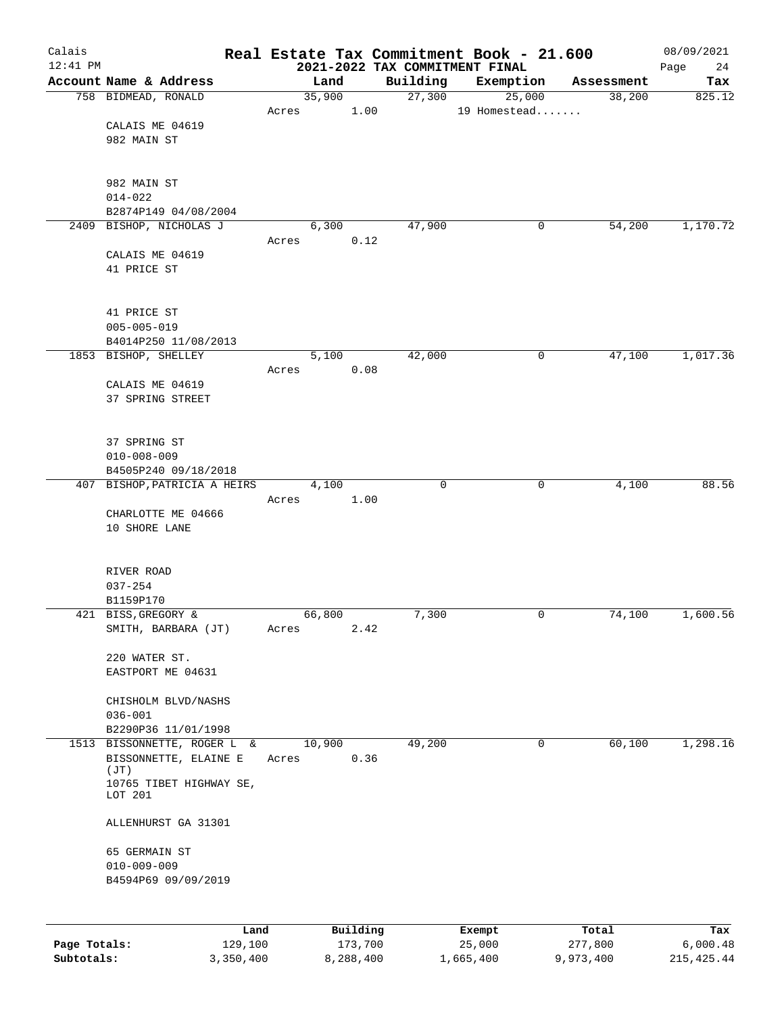| Calais<br>$12:41$ PM |                                                 |       |        |          |             | Real Estate Tax Commitment Book - 21.600<br>2021-2022 TAX COMMITMENT FINAL |            | 08/09/2021<br>24<br>Page |
|----------------------|-------------------------------------------------|-------|--------|----------|-------------|----------------------------------------------------------------------------|------------|--------------------------|
|                      | Account Name & Address                          |       |        | Land     | Building    | Exemption                                                                  | Assessment | Tax                      |
|                      | 758 BIDMEAD, RONALD                             |       | 35,900 |          | 27,300      | 25,000                                                                     | 38,200     | 825.12                   |
|                      |                                                 | Acres |        | 1.00     |             | 19 Homestead                                                               |            |                          |
|                      | CALAIS ME 04619                                 |       |        |          |             |                                                                            |            |                          |
|                      | 982 MAIN ST                                     |       |        |          |             |                                                                            |            |                          |
|                      |                                                 |       |        |          |             |                                                                            |            |                          |
|                      | 982 MAIN ST                                     |       |        |          |             |                                                                            |            |                          |
|                      | $014 - 022$                                     |       |        |          |             |                                                                            |            |                          |
|                      | B2874P149 04/08/2004<br>2409 BISHOP, NICHOLAS J |       |        | 6,300    | 47,900      | 0                                                                          | 54,200     | 1,170.72                 |
|                      |                                                 | Acres |        | 0.12     |             |                                                                            |            |                          |
|                      | CALAIS ME 04619                                 |       |        |          |             |                                                                            |            |                          |
|                      | 41 PRICE ST                                     |       |        |          |             |                                                                            |            |                          |
|                      |                                                 |       |        |          |             |                                                                            |            |                          |
|                      |                                                 |       |        |          |             |                                                                            |            |                          |
|                      | 41 PRICE ST<br>$005 - 005 - 019$                |       |        |          |             |                                                                            |            |                          |
|                      | B4014P250 11/08/2013                            |       |        |          |             |                                                                            |            |                          |
|                      | 1853 BISHOP, SHELLEY                            |       |        | 5,100    | 42,000      | 0                                                                          | 47,100     | 1,017.36                 |
|                      |                                                 | Acres |        | 0.08     |             |                                                                            |            |                          |
|                      | CALAIS ME 04619                                 |       |        |          |             |                                                                            |            |                          |
|                      | 37 SPRING STREET                                |       |        |          |             |                                                                            |            |                          |
|                      |                                                 |       |        |          |             |                                                                            |            |                          |
|                      | 37 SPRING ST                                    |       |        |          |             |                                                                            |            |                          |
|                      | $010 - 008 - 009$                               |       |        |          |             |                                                                            |            |                          |
|                      | B4505P240 09/18/2018                            |       |        |          |             |                                                                            |            |                          |
|                      | 407 BISHOP, PATRICIA A HEIRS                    |       |        | 4,100    | $\mathbf 0$ | $\mathbf 0$                                                                | 4,100      | 88.56                    |
|                      | CHARLOTTE ME 04666                              | Acres |        | 1.00     |             |                                                                            |            |                          |
|                      | 10 SHORE LANE                                   |       |        |          |             |                                                                            |            |                          |
|                      |                                                 |       |        |          |             |                                                                            |            |                          |
|                      |                                                 |       |        |          |             |                                                                            |            |                          |
|                      | RIVER ROAD                                      |       |        |          |             |                                                                            |            |                          |
|                      | $037 - 254$<br>B1159P170                        |       |        |          |             |                                                                            |            |                          |
|                      | 421 BISS, GREGORY &                             |       | 66,800 |          | 7,300       | $\mathsf{O}$                                                               | 74,100     | 1,600.56                 |
|                      | SMITH, BARBARA (JT)                             | Acres |        | 2.42     |             |                                                                            |            |                          |
|                      |                                                 |       |        |          |             |                                                                            |            |                          |
|                      | 220 WATER ST.                                   |       |        |          |             |                                                                            |            |                          |
|                      | EASTPORT ME 04631                               |       |        |          |             |                                                                            |            |                          |
|                      | CHISHOLM BLVD/NASHS                             |       |        |          |             |                                                                            |            |                          |
|                      | $036 - 001$                                     |       |        |          |             |                                                                            |            |                          |
|                      | B2290P36 11/01/1998                             |       |        |          |             |                                                                            |            |                          |
|                      | 1513 BISSONNETTE, ROGER L &                     |       | 10,900 |          | 49,200      | 0                                                                          | 60,100     | 1,298.16                 |
|                      | BISSONNETTE, ELAINE E<br>(JT)                   | Acres |        | 0.36     |             |                                                                            |            |                          |
|                      | 10765 TIBET HIGHWAY SE,<br>LOT 201              |       |        |          |             |                                                                            |            |                          |
|                      | ALLENHURST GA 31301                             |       |        |          |             |                                                                            |            |                          |
|                      | 65 GERMAIN ST                                   |       |        |          |             |                                                                            |            |                          |
|                      | $010 - 009 - 009$                               |       |        |          |             |                                                                            |            |                          |
|                      | B4594P69 09/09/2019                             |       |        |          |             |                                                                            |            |                          |
|                      |                                                 |       |        |          |             |                                                                            |            |                          |
|                      |                                                 |       |        |          |             |                                                                            |            |                          |
|                      | Land                                            |       |        | Building |             | <b>Exempt</b>                                                              | Total      | Tax                      |

|              | Land      | Building  | Exempt    | Total     | Tax          |
|--------------|-----------|-----------|-----------|-----------|--------------|
| Page Totals: | 129,100   | 173,700   | 25,000    | 277,800   | 6.000.48     |
| Subtotals:   | 3,350,400 | 8,288,400 | 1,665,400 | 9,973,400 | 215, 425. 44 |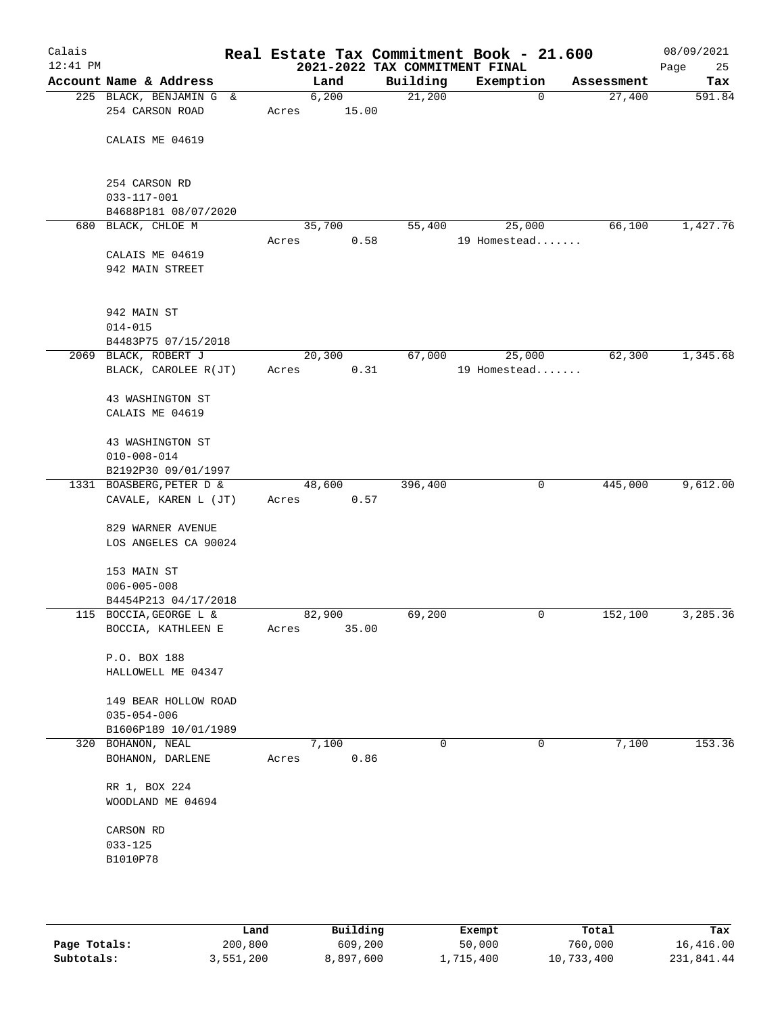| Calais<br>$12:41$ PM |                                             |        | 2021-2022 TAX COMMITMENT FINAL | Real Estate Tax Commitment Book - 21.600 |            | 08/09/2021<br>25<br>Page |
|----------------------|---------------------------------------------|--------|--------------------------------|------------------------------------------|------------|--------------------------|
|                      | Account Name & Address                      | Land   | Building                       | Exemption                                | Assessment | Tax                      |
|                      | 225 BLACK, BENJAMIN G &                     | 6,200  | 21,200                         | $\mathbf 0$                              | 27,400     | 591.84                   |
|                      | 254 CARSON ROAD                             | Acres  | 15.00                          |                                          |            |                          |
|                      |                                             |        |                                |                                          |            |                          |
|                      | CALAIS ME 04619                             |        |                                |                                          |            |                          |
|                      |                                             |        |                                |                                          |            |                          |
|                      | 254 CARSON RD                               |        |                                |                                          |            |                          |
|                      | $033 - 117 - 001$                           |        |                                |                                          |            |                          |
|                      | B4688P181 08/07/2020                        |        |                                |                                          |            |                          |
|                      | 680 BLACK, CHLOE M                          | 35,700 | 55,400                         | 25,000                                   | 66,100     | 1,427.76                 |
|                      |                                             | Acres  | 0.58                           | 19 Homestead                             |            |                          |
|                      | CALAIS ME 04619                             |        |                                |                                          |            |                          |
|                      | 942 MAIN STREET                             |        |                                |                                          |            |                          |
|                      |                                             |        |                                |                                          |            |                          |
|                      |                                             |        |                                |                                          |            |                          |
|                      | 942 MAIN ST                                 |        |                                |                                          |            |                          |
|                      | $014 - 015$                                 |        |                                |                                          |            |                          |
|                      | B4483P75 07/15/2018<br>2069 BLACK, ROBERT J | 20,300 | 67,000                         | 25,000                                   | 62,300     | 1,345.68                 |
|                      | BLACK, CAROLEE R(JT)                        | Acres  | 0.31                           | 19 Homestead                             |            |                          |
|                      |                                             |        |                                |                                          |            |                          |
|                      | 43 WASHINGTON ST                            |        |                                |                                          |            |                          |
|                      | CALAIS ME 04619                             |        |                                |                                          |            |                          |
|                      |                                             |        |                                |                                          |            |                          |
|                      | 43 WASHINGTON ST                            |        |                                |                                          |            |                          |
|                      | $010 - 008 - 014$                           |        |                                |                                          |            |                          |
|                      | B2192P30 09/01/1997                         |        |                                |                                          |            |                          |
|                      | 1331 BOASBERG, PETER D &                    | 48,600 | 396,400                        | 0                                        | 445,000    | 9,612.00                 |
|                      | CAVALE, KAREN L (JT)                        | Acres  | 0.57                           |                                          |            |                          |
|                      | 829 WARNER AVENUE                           |        |                                |                                          |            |                          |
|                      | LOS ANGELES CA 90024                        |        |                                |                                          |            |                          |
|                      |                                             |        |                                |                                          |            |                          |
|                      | 153 MAIN ST                                 |        |                                |                                          |            |                          |
|                      | $006 - 005 - 008$                           |        |                                |                                          |            |                          |
|                      | B4454P213 04/17/2018                        |        |                                |                                          |            |                          |
|                      | 115 BOCCIA, GEORGE L &                      | 82,900 | 69,200                         | 0                                        | 152,100    | 3,285.36                 |
|                      | BOCCIA, KATHLEEN E                          | Acres  | 35.00                          |                                          |            |                          |
|                      |                                             |        |                                |                                          |            |                          |
|                      | P.O. BOX 188                                |        |                                |                                          |            |                          |
|                      | HALLOWELL ME 04347                          |        |                                |                                          |            |                          |
|                      | 149 BEAR HOLLOW ROAD                        |        |                                |                                          |            |                          |
|                      | $035 - 054 - 006$                           |        |                                |                                          |            |                          |
|                      | B1606P189 10/01/1989                        |        |                                |                                          |            |                          |
| 320                  | BOHANON, NEAL                               | 7,100  | 0                              | 0                                        | 7,100      | 153.36                   |
|                      | BOHANON, DARLENE                            | Acres  | 0.86                           |                                          |            |                          |
|                      |                                             |        |                                |                                          |            |                          |
|                      | RR 1, BOX 224                               |        |                                |                                          |            |                          |
|                      | WOODLAND ME 04694                           |        |                                |                                          |            |                          |
|                      | CARSON RD                                   |        |                                |                                          |            |                          |
|                      | $033 - 125$                                 |        |                                |                                          |            |                          |
|                      | B1010P78                                    |        |                                |                                          |            |                          |
|                      |                                             |        |                                |                                          |            |                          |
|                      |                                             |        |                                |                                          |            |                          |
|                      |                                             |        |                                |                                          |            |                          |

|              | Land      | Building  | Exempt    | Total      | Tax        |
|--------------|-----------|-----------|-----------|------------|------------|
| Page Totals: | 200,800   | 609,200   | 50,000    | 760,000    | 16,416.00  |
| Subtotals:   | 3,551,200 | 8,897,600 | 1,715,400 | 10,733,400 | 231,841.44 |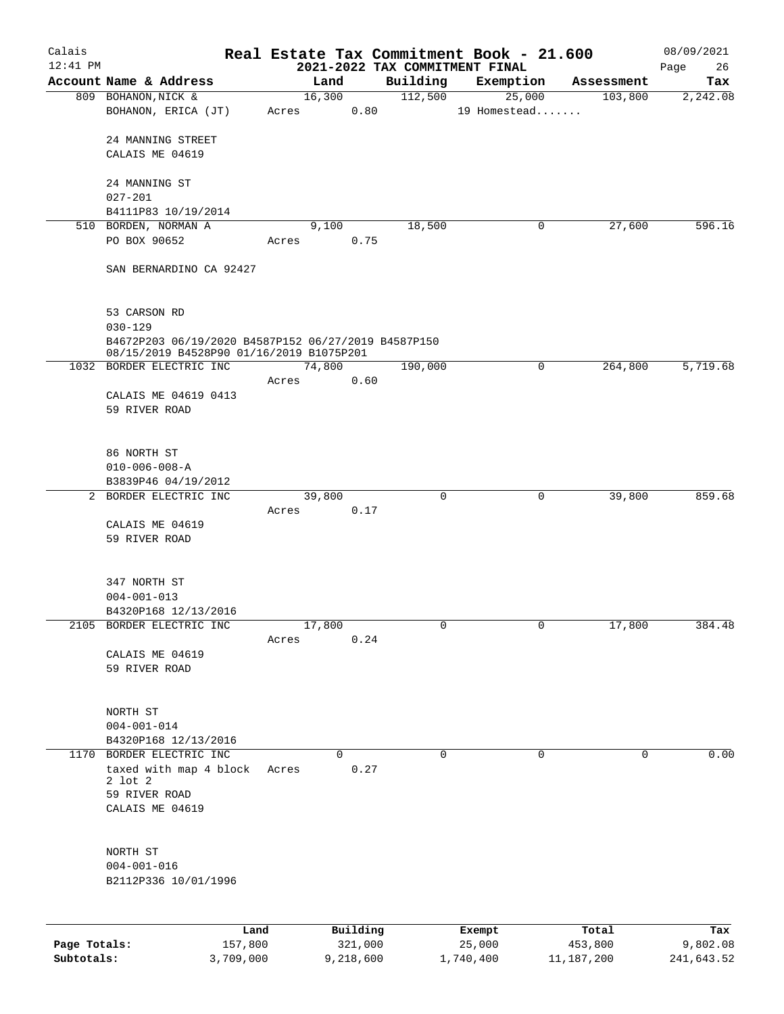| Calais                     |                                                                                                                |                      |       |                |                      |          | Real Estate Tax Commitment Book - 21.600 |              |                       | 08/09/2021             |
|----------------------------|----------------------------------------------------------------------------------------------------------------|----------------------|-------|----------------|----------------------|----------|------------------------------------------|--------------|-----------------------|------------------------|
| $12:41$ PM                 | Account Name & Address                                                                                         |                      |       |                |                      | Building | 2021-2022 TAX COMMITMENT FINAL           |              |                       | Page<br>26             |
|                            | 809 BOHANON, NICK &                                                                                            |                      |       | Land<br>16,300 |                      | 112,500  | Exemption<br>25,000                      |              | Assessment<br>103,800 | Tax<br>2,242.08        |
|                            | BOHANON, ERICA (JT)                                                                                            |                      | Acres |                | 0.80                 |          | 19 Homestead                             |              |                       |                        |
|                            | 24 MANNING STREET<br>CALAIS ME 04619                                                                           |                      |       |                |                      |          |                                          |              |                       |                        |
|                            | 24 MANNING ST<br>$027 - 201$                                                                                   |                      |       |                |                      |          |                                          |              |                       |                        |
|                            | B4111P83 10/19/2014                                                                                            |                      |       |                |                      |          |                                          |              |                       |                        |
|                            | 510 BORDEN, NORMAN A                                                                                           |                      |       | 9,100          |                      | 18,500   |                                          | 0            | 27,600                | 596.16                 |
|                            | PO BOX 90652                                                                                                   |                      | Acres |                | 0.75                 |          |                                          |              |                       |                        |
|                            | SAN BERNARDINO CA 92427                                                                                        |                      |       |                |                      |          |                                          |              |                       |                        |
|                            | 53 CARSON RD                                                                                                   |                      |       |                |                      |          |                                          |              |                       |                        |
|                            | $030 - 129$<br>B4672P203 06/19/2020 B4587P152 06/27/2019 B4587P150<br>08/15/2019 B4528P90 01/16/2019 B1075P201 |                      |       |                |                      |          |                                          |              |                       |                        |
|                            | 1032 BORDER ELECTRIC INC                                                                                       |                      |       | 74,800         |                      | 190,000  |                                          | 0            | 264,800               | 5,719.68               |
|                            |                                                                                                                |                      | Acres |                | 0.60                 |          |                                          |              |                       |                        |
|                            | CALAIS ME 04619 0413<br>59 RIVER ROAD                                                                          |                      |       |                |                      |          |                                          |              |                       |                        |
|                            | 86 NORTH ST                                                                                                    |                      |       |                |                      |          |                                          |              |                       |                        |
|                            | $010 - 006 - 008 - A$                                                                                          |                      |       |                |                      |          |                                          |              |                       |                        |
|                            | B3839P46 04/19/2012                                                                                            |                      |       |                |                      |          |                                          |              |                       |                        |
|                            | 2 BORDER ELECTRIC INC                                                                                          |                      | Acres | 39,800         | 0.17                 | 0        |                                          | $\mathsf{O}$ | 39,800                | 859.68                 |
|                            | CALAIS ME 04619<br>59 RIVER ROAD                                                                               |                      |       |                |                      |          |                                          |              |                       |                        |
|                            | 347 NORTH ST<br>$004 - 001 - 013$<br>B4320P168 12/13/2016                                                      |                      |       |                |                      |          |                                          |              |                       |                        |
|                            | 2105 BORDER ELECTRIC INC                                                                                       |                      |       | 17,800         |                      | 0        |                                          | 0            | 17,800                | 384.48                 |
|                            | CALAIS ME 04619<br>59 RIVER ROAD                                                                               |                      | Acres |                | 0.24                 |          |                                          |              |                       |                        |
|                            | NORTH ST<br>$004 - 001 - 014$                                                                                  |                      |       |                |                      |          |                                          |              |                       |                        |
|                            | B4320P168 12/13/2016                                                                                           |                      |       |                |                      |          |                                          |              |                       |                        |
|                            | 1170 BORDER ELECTRIC INC<br>taxed with map 4 block<br>$2$ lot $2$<br>59 RIVER ROAD<br>CALAIS ME 04619          |                      | Acres |                | $\Omega$<br>0.27     | $\Omega$ |                                          | $\mathbf 0$  | $\mathbf 0$           | 0.00                   |
|                            | NORTH ST<br>$004 - 001 - 016$<br>B2112P336 10/01/1996                                                          |                      |       |                |                      |          |                                          |              |                       |                        |
|                            |                                                                                                                | Land                 |       |                | Building             |          | Exempt                                   |              | Total                 | Tax                    |
| Page Totals:<br>Subtotals: |                                                                                                                | 157,800<br>3,709,000 |       |                | 321,000<br>9,218,600 |          | 25,000<br>1,740,400                      |              | 453,800<br>11,187,200 | 9,802.08<br>241,643.52 |

**Subtotals:** 3,709,000 9,218,600 1,740,400 11,187,200 241,643.52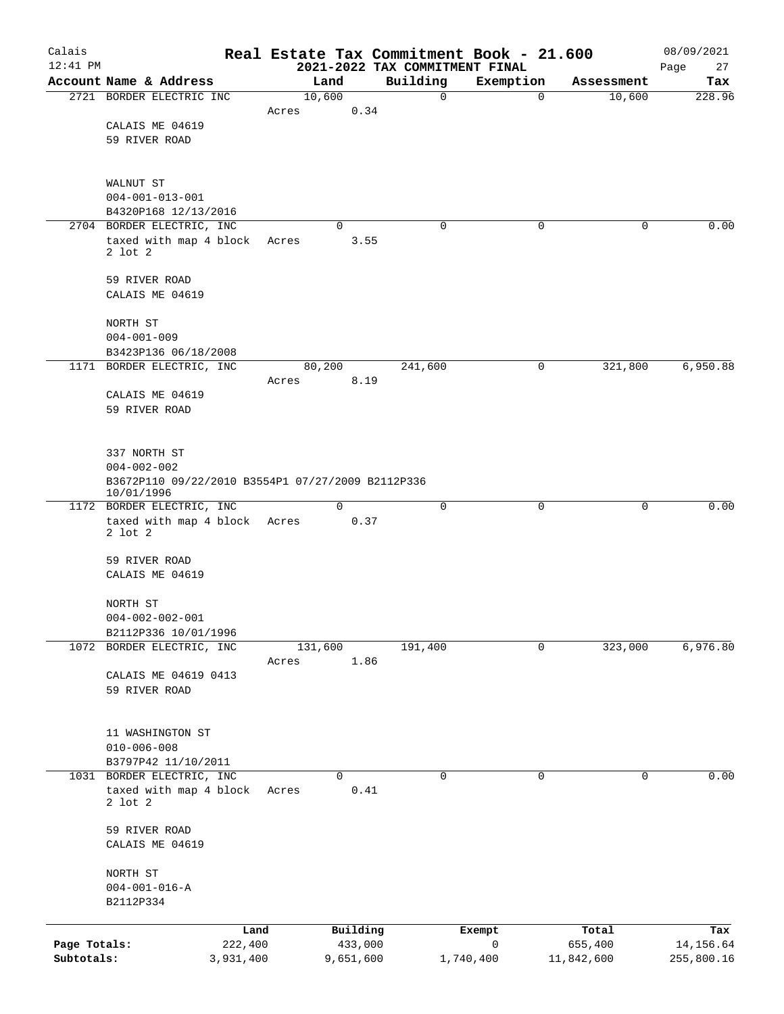| Calais<br>$12:41$ PM |                                                           |                 |                 |                     | Real Estate Tax Commitment Book - 21.600<br>2021-2022 TAX COMMITMENT FINAL |                       |                  | 08/09/2021<br>Page<br>27 |
|----------------------|-----------------------------------------------------------|-----------------|-----------------|---------------------|----------------------------------------------------------------------------|-----------------------|------------------|--------------------------|
|                      | Account Name & Address                                    |                 |                 | Land                | Building                                                                   | Exemption             | Assessment       | Tax                      |
|                      | 2721 BORDER ELECTRIC INC                                  |                 | 10,600          |                     | 0                                                                          | $\mathbf 0$           | 10,600           | 228.96                   |
|                      |                                                           |                 | Acres           | 0.34                |                                                                            |                       |                  |                          |
|                      | CALAIS ME 04619                                           |                 |                 |                     |                                                                            |                       |                  |                          |
|                      | 59 RIVER ROAD                                             |                 |                 |                     |                                                                            |                       |                  |                          |
|                      |                                                           |                 |                 |                     |                                                                            |                       |                  |                          |
|                      |                                                           |                 |                 |                     |                                                                            |                       |                  |                          |
|                      | WALNUT ST                                                 |                 |                 |                     |                                                                            |                       |                  |                          |
|                      | $004 - 001 - 013 - 001$                                   |                 |                 |                     |                                                                            |                       |                  |                          |
|                      | B4320P168 12/13/2016<br>2704 BORDER ELECTRIC, INC         |                 |                 | 0                   | $\Omega$                                                                   | 0                     | 0                | 0.00                     |
|                      | taxed with map 4 block                                    |                 | Acres           | 3.55                |                                                                            |                       |                  |                          |
|                      | $2$ lot $2$                                               |                 |                 |                     |                                                                            |                       |                  |                          |
|                      |                                                           |                 |                 |                     |                                                                            |                       |                  |                          |
|                      | 59 RIVER ROAD                                             |                 |                 |                     |                                                                            |                       |                  |                          |
|                      | CALAIS ME 04619                                           |                 |                 |                     |                                                                            |                       |                  |                          |
|                      |                                                           |                 |                 |                     |                                                                            |                       |                  |                          |
|                      | NORTH ST                                                  |                 |                 |                     |                                                                            |                       |                  |                          |
|                      | $004 - 001 - 009$                                         |                 |                 |                     |                                                                            |                       |                  |                          |
|                      | B3423P136 06/18/2008                                      |                 |                 |                     |                                                                            |                       |                  |                          |
|                      | 1171 BORDER ELECTRIC, INC                                 |                 | 80,200<br>Acres |                     | 241,600                                                                    | 0                     | 321,800          | 6,950.88                 |
|                      | CALAIS ME 04619                                           |                 |                 | 8.19                |                                                                            |                       |                  |                          |
|                      | 59 RIVER ROAD                                             |                 |                 |                     |                                                                            |                       |                  |                          |
|                      |                                                           |                 |                 |                     |                                                                            |                       |                  |                          |
|                      |                                                           |                 |                 |                     |                                                                            |                       |                  |                          |
|                      | 337 NORTH ST                                              |                 |                 |                     |                                                                            |                       |                  |                          |
|                      | $004 - 002 - 002$                                         |                 |                 |                     |                                                                            |                       |                  |                          |
|                      | B3672P110 09/22/2010 B3554P1 07/27/2009 B2112P336         |                 |                 |                     |                                                                            |                       |                  |                          |
|                      | 10/01/1996                                                |                 |                 |                     |                                                                            |                       |                  |                          |
|                      | 1172 BORDER ELECTRIC, INC<br>taxed with map 4 block Acres |                 |                 | $\Omega$<br>0.37    | $\mathbf 0$                                                                | $\mathbf 0$           | 0                | 0.00                     |
|                      | $2$ lot $2$                                               |                 |                 |                     |                                                                            |                       |                  |                          |
|                      |                                                           |                 |                 |                     |                                                                            |                       |                  |                          |
|                      | 59 RIVER ROAD                                             |                 |                 |                     |                                                                            |                       |                  |                          |
|                      | CALAIS ME 04619                                           |                 |                 |                     |                                                                            |                       |                  |                          |
|                      |                                                           |                 |                 |                     |                                                                            |                       |                  |                          |
|                      | NORTH ST                                                  |                 |                 |                     |                                                                            |                       |                  |                          |
|                      | $004 - 002 - 002 - 001$<br>B2112P336 10/01/1996           |                 |                 |                     |                                                                            |                       |                  |                          |
|                      | 1072 BORDER ELECTRIC, INC                                 |                 | 131,600         |                     | 191,400                                                                    | 0                     | 323,000          | 6,976.80                 |
|                      |                                                           |                 | Acres           | 1.86                |                                                                            |                       |                  |                          |
|                      | CALAIS ME 04619 0413                                      |                 |                 |                     |                                                                            |                       |                  |                          |
|                      | 59 RIVER ROAD                                             |                 |                 |                     |                                                                            |                       |                  |                          |
|                      |                                                           |                 |                 |                     |                                                                            |                       |                  |                          |
|                      |                                                           |                 |                 |                     |                                                                            |                       |                  |                          |
|                      | 11 WASHINGTON ST                                          |                 |                 |                     |                                                                            |                       |                  |                          |
|                      | $010 - 006 - 008$                                         |                 |                 |                     |                                                                            |                       |                  |                          |
|                      | B3797P42 11/10/2011                                       |                 |                 |                     |                                                                            |                       |                  |                          |
|                      | 1031 BORDER ELECTRIC, INC                                 |                 |                 | $\Omega$            | 0                                                                          | $\mathbf 0$           | 0                | 0.00                     |
|                      | taxed with map 4 block<br>$2$ lot $2$                     |                 | Acres           | 0.41                |                                                                            |                       |                  |                          |
|                      |                                                           |                 |                 |                     |                                                                            |                       |                  |                          |
|                      | 59 RIVER ROAD                                             |                 |                 |                     |                                                                            |                       |                  |                          |
|                      | CALAIS ME 04619                                           |                 |                 |                     |                                                                            |                       |                  |                          |
|                      |                                                           |                 |                 |                     |                                                                            |                       |                  |                          |
|                      | NORTH ST                                                  |                 |                 |                     |                                                                            |                       |                  |                          |
|                      | $004 - 001 - 016 - A$                                     |                 |                 |                     |                                                                            |                       |                  |                          |
|                      | B2112P334                                                 |                 |                 |                     |                                                                            |                       |                  |                          |
|                      |                                                           |                 |                 |                     |                                                                            |                       |                  |                          |
| Page Totals:         |                                                           | Land<br>222,400 |                 | Building<br>433,000 |                                                                            | Exempt<br>$\mathbf 0$ | Total<br>655,400 | Tax<br>14,156.64         |
| Subtotals:           |                                                           | 3,931,400       |                 | 9,651,600           |                                                                            | 1,740,400             | 11,842,600       | 255,800.16               |
|                      |                                                           |                 |                 |                     |                                                                            |                       |                  |                          |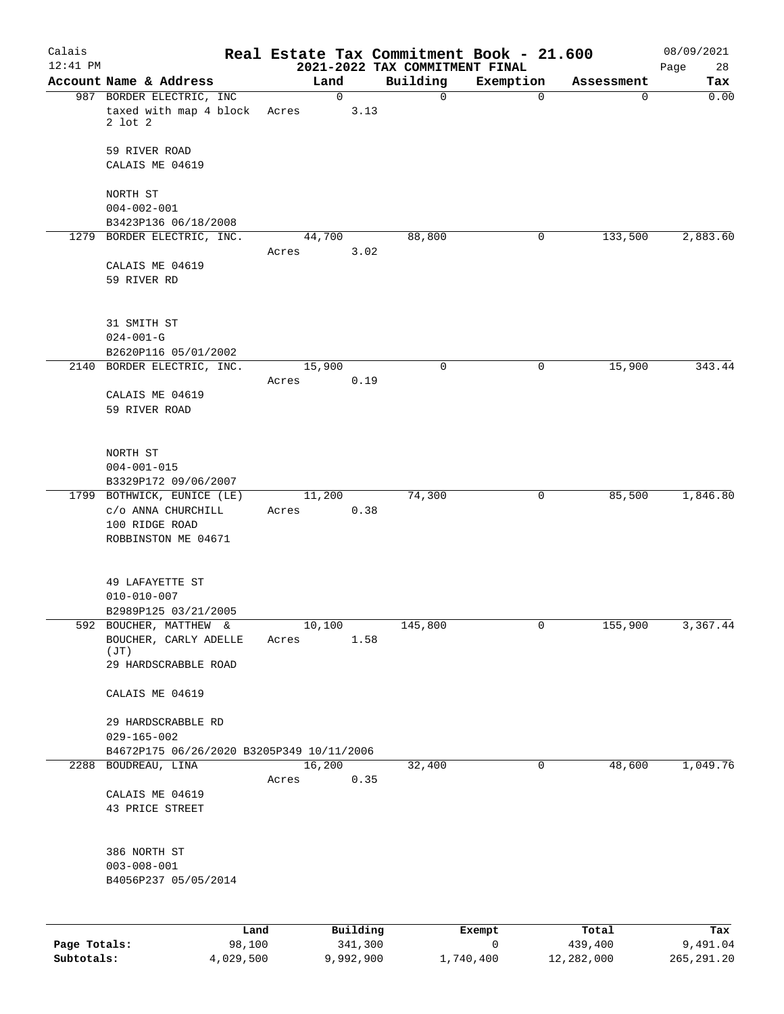| Calais<br>$12:41$ PM |                                                                    |        |                 |             | 2021-2022 TAX COMMITMENT FINAL | Real Estate Tax Commitment Book - 21.600 |            | 08/09/2021<br>Page<br>28 |
|----------------------|--------------------------------------------------------------------|--------|-----------------|-------------|--------------------------------|------------------------------------------|------------|--------------------------|
|                      | Account Name & Address                                             |        | Land            |             | Building                       | Exemption                                | Assessment | Tax                      |
|                      | 987 BORDER ELECTRIC, INC                                           |        |                 | $\mathbf 0$ | $\mathbf 0$                    | $\mathbf 0$                              | 0          | 0.00                     |
|                      | taxed with map 4 block<br>$2$ lot $2$                              |        | Acres           | 3.13        |                                |                                          |            |                          |
|                      | 59 RIVER ROAD<br>CALAIS ME 04619                                   |        |                 |             |                                |                                          |            |                          |
|                      | NORTH ST                                                           |        |                 |             |                                |                                          |            |                          |
|                      | $004 - 002 - 001$                                                  |        |                 |             |                                |                                          |            |                          |
|                      | B3423P136 06/18/2008<br>1279 BORDER ELECTRIC, INC.                 |        | 44,700          |             | 88,800                         | 0                                        | 133,500    | 2,883.60                 |
|                      |                                                                    |        | Acres           | 3.02        |                                |                                          |            |                          |
|                      | CALAIS ME 04619<br>59 RIVER RD                                     |        |                 |             |                                |                                          |            |                          |
|                      | 31 SMITH ST                                                        |        |                 |             |                                |                                          |            |                          |
|                      | $024 - 001 - G$<br>B2620P116 05/01/2002                            |        |                 |             |                                |                                          |            |                          |
|                      | 2140 BORDER ELECTRIC, INC.                                         |        | 15,900          |             | $\mathbf 0$                    | $\mathsf{O}$                             | 15,900     | 343.44                   |
|                      |                                                                    |        | Acres           | 0.19        |                                |                                          |            |                          |
|                      | CALAIS ME 04619<br>59 RIVER ROAD                                   |        |                 |             |                                |                                          |            |                          |
|                      | NORTH ST<br>$004 - 001 - 015$                                      |        |                 |             |                                |                                          |            |                          |
|                      | B3329P172 09/06/2007                                               |        |                 |             |                                |                                          |            |                          |
|                      | 1799 BOTHWICK, EUNICE (LE)<br>c/o ANNA CHURCHILL<br>100 RIDGE ROAD |        | 11,200<br>Acres | 0.38        | 74,300                         | 0                                        | 85,500     | 1,846.80                 |
|                      | ROBBINSTON ME 04671                                                |        |                 |             |                                |                                          |            |                          |
|                      | 49 LAFAYETTE ST<br>$010 - 010 - 007$                               |        |                 |             |                                |                                          |            |                          |
|                      | B2989P125 03/21/2005                                               |        |                 |             |                                |                                          |            |                          |
|                      | 592 BOUCHER, MATTHEW &                                             |        | 10,100          |             | 145,800                        | 0                                        | 155,900    | 3,367.44                 |
|                      | BOUCHER, CARLY ADELLE<br>(JT)                                      |        | Acres           | 1.58        |                                |                                          |            |                          |
|                      | 29 HARDSCRABBLE ROAD                                               |        |                 |             |                                |                                          |            |                          |
|                      | CALAIS ME 04619                                                    |        |                 |             |                                |                                          |            |                          |
|                      | 29 HARDSCRABBLE RD                                                 |        |                 |             |                                |                                          |            |                          |
|                      | $029 - 165 - 002$                                                  |        |                 |             |                                |                                          |            |                          |
|                      | B4672P175 06/26/2020 B3205P349 10/11/2006<br>2288 BOUDREAU, LINA   |        | 16,200          |             | 32,400                         | 0                                        | 48,600     | 1,049.76                 |
|                      |                                                                    |        | Acres           | 0.35        |                                |                                          |            |                          |
|                      | CALAIS ME 04619                                                    |        |                 |             |                                |                                          |            |                          |
|                      | 43 PRICE STREET                                                    |        |                 |             |                                |                                          |            |                          |
|                      | 386 NORTH ST                                                       |        |                 |             |                                |                                          |            |                          |
|                      | $003 - 008 - 001$<br>B4056P237 05/05/2014                          |        |                 |             |                                |                                          |            |                          |
|                      |                                                                    |        |                 |             |                                |                                          |            |                          |
|                      |                                                                    | Land   |                 | Building    |                                | Exempt                                   | Total      | Tax                      |
| Page Totals:         |                                                                    | 98,100 |                 | 341,300     |                                | 0                                        | 439,400    | 9,491.04                 |

**Subtotals:** 4,029,500 9,992,900 1,740,400 12,282,000 265,291.20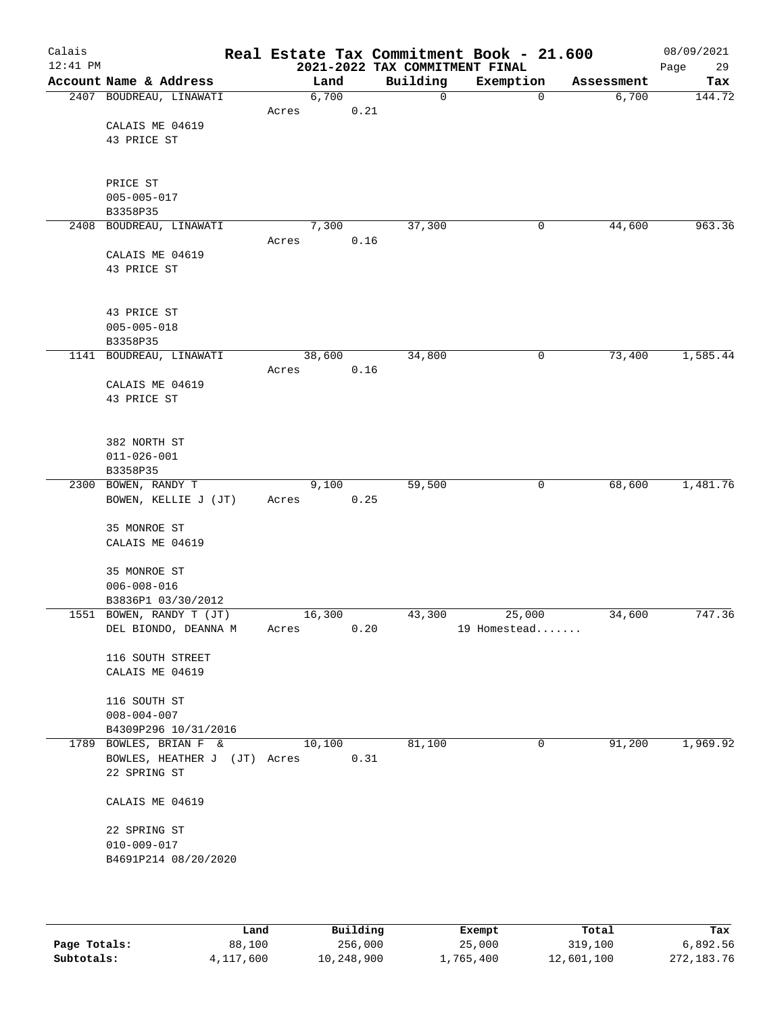| Calais<br>$12:41$ PM |                              |       |        |      | Real Estate Tax Commitment Book - 21.600<br>2021-2022 TAX COMMITMENT FINAL |              |                |            | 08/09/2021<br>Page<br>29 |
|----------------------|------------------------------|-------|--------|------|----------------------------------------------------------------------------|--------------|----------------|------------|--------------------------|
|                      | Account Name & Address       |       | Land   |      | Building                                                                   | Exemption    |                | Assessment | Tax                      |
|                      | 2407 BOUDREAU, LINAWATI      |       | 6,700  |      | $\mathbf 0$                                                                |              | 0              | 6,700      | 144.72                   |
|                      |                              | Acres |        | 0.21 |                                                                            |              |                |            |                          |
|                      | CALAIS ME 04619              |       |        |      |                                                                            |              |                |            |                          |
|                      | 43 PRICE ST                  |       |        |      |                                                                            |              |                |            |                          |
|                      |                              |       |        |      |                                                                            |              |                |            |                          |
|                      |                              |       |        |      |                                                                            |              |                |            |                          |
|                      | PRICE ST                     |       |        |      |                                                                            |              |                |            |                          |
|                      | $005 - 005 - 017$            |       |        |      |                                                                            |              |                |            |                          |
|                      | B3358P35                     |       |        |      |                                                                            |              |                |            |                          |
|                      | 2408 BOUDREAU, LINAWATI      |       | 7,300  |      | 37,300                                                                     |              | 0              | 44,600     | 963.36                   |
|                      |                              | Acres |        | 0.16 |                                                                            |              |                |            |                          |
|                      | CALAIS ME 04619              |       |        |      |                                                                            |              |                |            |                          |
|                      | 43 PRICE ST                  |       |        |      |                                                                            |              |                |            |                          |
|                      |                              |       |        |      |                                                                            |              |                |            |                          |
|                      |                              |       |        |      |                                                                            |              |                |            |                          |
|                      | 43 PRICE ST                  |       |        |      |                                                                            |              |                |            |                          |
|                      | $005 - 005 - 018$            |       |        |      |                                                                            |              |                |            |                          |
|                      |                              |       |        |      |                                                                            |              |                |            |                          |
|                      | B3358P35                     |       |        |      |                                                                            |              |                |            |                          |
| 1141                 | BOUDREAU, LINAWATI           |       | 38,600 |      | 34,800                                                                     |              | 0              | 73,400     | 1,585.44                 |
|                      |                              | Acres |        | 0.16 |                                                                            |              |                |            |                          |
|                      | CALAIS ME 04619              |       |        |      |                                                                            |              |                |            |                          |
|                      | 43 PRICE ST                  |       |        |      |                                                                            |              |                |            |                          |
|                      |                              |       |        |      |                                                                            |              |                |            |                          |
|                      |                              |       |        |      |                                                                            |              |                |            |                          |
|                      | 382 NORTH ST                 |       |        |      |                                                                            |              |                |            |                          |
|                      | $011 - 026 - 001$            |       |        |      |                                                                            |              |                |            |                          |
|                      | B3358P35                     |       |        |      |                                                                            |              |                |            |                          |
|                      | 2300 BOWEN, RANDY T          |       | 9,100  |      | 59,500                                                                     |              | 0              | 68,600     | 1,481.76                 |
|                      | BOWEN, KELLIE J (JT)         | Acres |        | 0.25 |                                                                            |              |                |            |                          |
|                      |                              |       |        |      |                                                                            |              |                |            |                          |
|                      | 35 MONROE ST                 |       |        |      |                                                                            |              |                |            |                          |
|                      | CALAIS ME 04619              |       |        |      |                                                                            |              |                |            |                          |
|                      |                              |       |        |      |                                                                            |              |                |            |                          |
|                      | 35 MONROE ST                 |       |        |      |                                                                            |              |                |            |                          |
|                      | $006 - 008 - 016$            |       |        |      |                                                                            |              |                |            |                          |
|                      | B3836P1 03/30/2012           |       |        |      |                                                                            |              |                |            |                          |
|                      | 1551 BOWEN, RANDY T (JT)     |       | 16,300 |      | 43,300                                                                     | 25,000       |                | 34,600     | 747.36                   |
|                      | DEL BIONDO, DEANNA M         | Acres |        | 0.20 |                                                                            | 19 Homestead |                |            |                          |
|                      |                              |       |        |      |                                                                            |              |                |            |                          |
|                      | 116 SOUTH STREET             |       |        |      |                                                                            |              |                |            |                          |
|                      | CALAIS ME 04619              |       |        |      |                                                                            |              |                |            |                          |
|                      |                              |       |        |      |                                                                            |              |                |            |                          |
|                      | 116 SOUTH ST                 |       |        |      |                                                                            |              |                |            |                          |
|                      | $008 - 004 - 007$            |       |        |      |                                                                            |              |                |            |                          |
|                      | B4309P296 10/31/2016         |       |        |      |                                                                            |              |                |            |                          |
|                      | 1789 BOWLES, BRIAN F &       |       | 10,100 |      | 81,100                                                                     |              | $\overline{0}$ | 91,200     | 1,969.92                 |
|                      | BOWLES, HEATHER J (JT) Acres |       |        | 0.31 |                                                                            |              |                |            |                          |
|                      | 22 SPRING ST                 |       |        |      |                                                                            |              |                |            |                          |
|                      |                              |       |        |      |                                                                            |              |                |            |                          |
|                      | CALAIS ME 04619              |       |        |      |                                                                            |              |                |            |                          |
|                      |                              |       |        |      |                                                                            |              |                |            |                          |
|                      | 22 SPRING ST                 |       |        |      |                                                                            |              |                |            |                          |
|                      | $010 - 009 - 017$            |       |        |      |                                                                            |              |                |            |                          |
|                      | B4691P214 08/20/2020         |       |        |      |                                                                            |              |                |            |                          |
|                      |                              |       |        |      |                                                                            |              |                |            |                          |
|                      |                              |       |        |      |                                                                            |              |                |            |                          |
|                      |                              |       |        |      |                                                                            |              |                |            |                          |

|              | Land      | Building   | Exempt    | Total      | Tax        |
|--------------|-----------|------------|-----------|------------|------------|
| Page Totals: | 88,100    | 256,000    | 25,000    | 319,100    | 6,892.56   |
| Subtotals:   | 4,117,600 | 10,248,900 | ⊥,765,400 | 12,601,100 | 272,183.76 |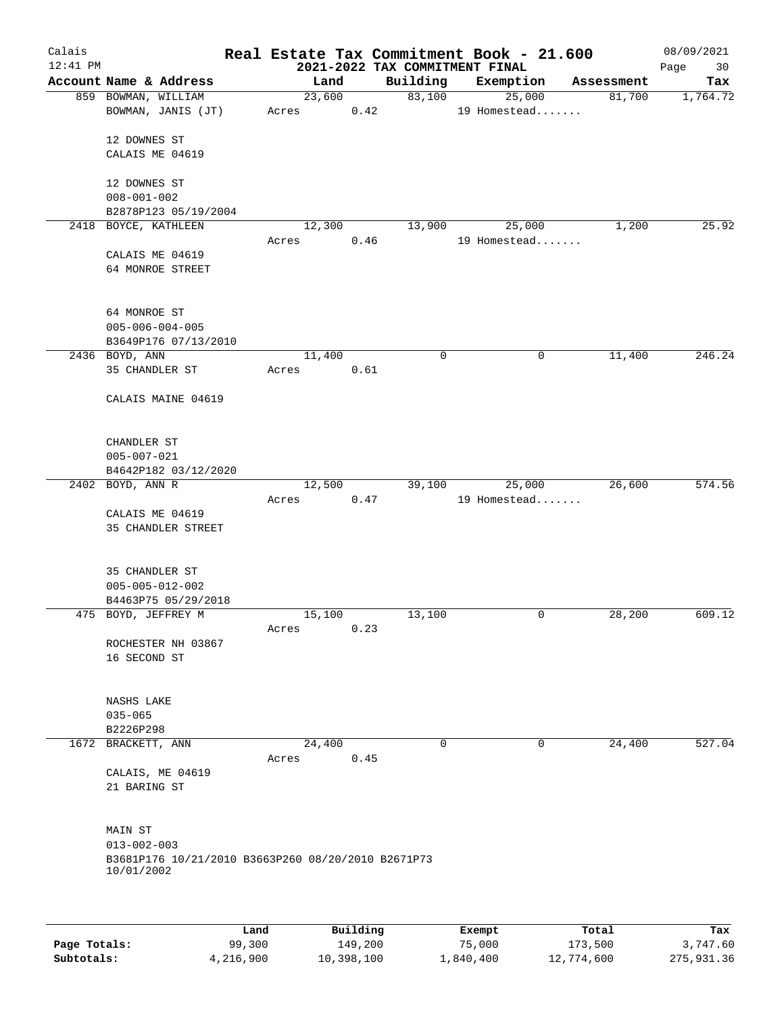| Calais<br>$12:41$ PM |                                                                                                  |       |        |          | Real Estate Tax Commitment Book - 21.600   |               |                        |            | 08/09/2021        |
|----------------------|--------------------------------------------------------------------------------------------------|-------|--------|----------|--------------------------------------------|---------------|------------------------|------------|-------------------|
|                      | Account Name & Address                                                                           |       | Land   |          | 2021-2022 TAX COMMITMENT FINAL<br>Building | Exemption     |                        | Assessment | Page<br>30<br>Tax |
|                      | 859 BOWMAN, WILLIAM                                                                              |       | 23,600 |          | 83,100                                     |               | 25,000                 | 81,700     | 1,764.72          |
|                      | BOWMAN, JANIS (JT)                                                                               | Acres |        | 0.42     |                                            |               | 19 Homestead           |            |                   |
|                      | 12 DOWNES ST                                                                                     |       |        |          |                                            |               |                        |            |                   |
|                      | CALAIS ME 04619                                                                                  |       |        |          |                                            |               |                        |            |                   |
|                      | 12 DOWNES ST                                                                                     |       |        |          |                                            |               |                        |            |                   |
|                      | $008 - 001 - 002$                                                                                |       |        |          |                                            |               |                        |            |                   |
|                      | B2878P123 05/19/2004                                                                             |       |        |          | 13,900                                     |               |                        |            | 25.92             |
|                      | 2418 BOYCE, KATHLEEN                                                                             | Acres | 12,300 | 0.46     |                                            |               | 25,000<br>19 Homestead | 1,200      |                   |
|                      | CALAIS ME 04619<br>64 MONROE STREET                                                              |       |        |          |                                            |               |                        |            |                   |
|                      | 64 MONROE ST<br>$005 - 006 - 004 - 005$<br>B3649P176 07/13/2010                                  |       |        |          |                                            |               |                        |            |                   |
|                      | 2436 BOYD, ANN                                                                                   |       | 11,400 |          | 0                                          |               | 0                      | 11,400     | 246.24            |
|                      | 35 CHANDLER ST                                                                                   | Acres |        | 0.61     |                                            |               |                        |            |                   |
|                      | CALAIS MAINE 04619                                                                               |       |        |          |                                            |               |                        |            |                   |
|                      | CHANDLER ST<br>$005 - 007 - 021$                                                                 |       |        |          |                                            |               |                        |            |                   |
|                      | B4642P182 03/12/2020                                                                             |       |        |          |                                            |               |                        |            |                   |
|                      | 2402 BOYD, ANN R                                                                                 |       | 12,500 |          | 39,100                                     |               | 25,000                 | 26,600     | 574.56            |
|                      | CALAIS ME 04619<br>35 CHANDLER STREET                                                            | Acres |        | 0.47     |                                            |               | 19 Homestead           |            |                   |
|                      | 35 CHANDLER ST<br>$005 - 005 - 012 - 002$<br>B4463P75 05/29/2018                                 |       |        |          |                                            |               |                        |            |                   |
|                      | 475 BOYD, JEFFREY M                                                                              |       | 15,100 |          | 13,100                                     |               | 0                      | 28,200     | 609.12            |
|                      | ROCHESTER NH 03867<br>16 SECOND ST                                                               | Acres |        | 0.23     |                                            |               |                        |            |                   |
|                      | NASHS LAKE                                                                                       |       |        |          |                                            |               |                        |            |                   |
|                      | $035 - 065$                                                                                      |       |        |          |                                            |               |                        |            |                   |
|                      | B2226P298                                                                                        |       |        |          |                                            |               |                        |            |                   |
|                      | 1672 BRACKETT, ANN                                                                               |       | 24,400 |          | 0                                          |               | 0                      | 24,400     | 527.04            |
|                      | CALAIS, ME 04619<br>21 BARING ST                                                                 | Acres |        | 0.45     |                                            |               |                        |            |                   |
|                      | MAIN ST<br>$013 - 002 - 003$<br>B3681P176 10/21/2010 B3663P260 08/20/2010 B2671P73<br>10/01/2002 |       |        |          |                                            |               |                        |            |                   |
|                      |                                                                                                  |       |        |          |                                            |               |                        |            |                   |
|                      |                                                                                                  | Land  |        | Building |                                            | <b>Exempt</b> |                        | Total      | Tax               |

|              | Land      | Building   | Exempt    | Total      | Tax        |
|--------------|-----------|------------|-----------|------------|------------|
| Page Totals: | 99,300    | 149,200    | 75,000    | 173,500    | 3,747.60   |
| Subtotals:   | 4,216,900 | 10,398,100 | 1,840,400 | 12,774,600 | 275,931.36 |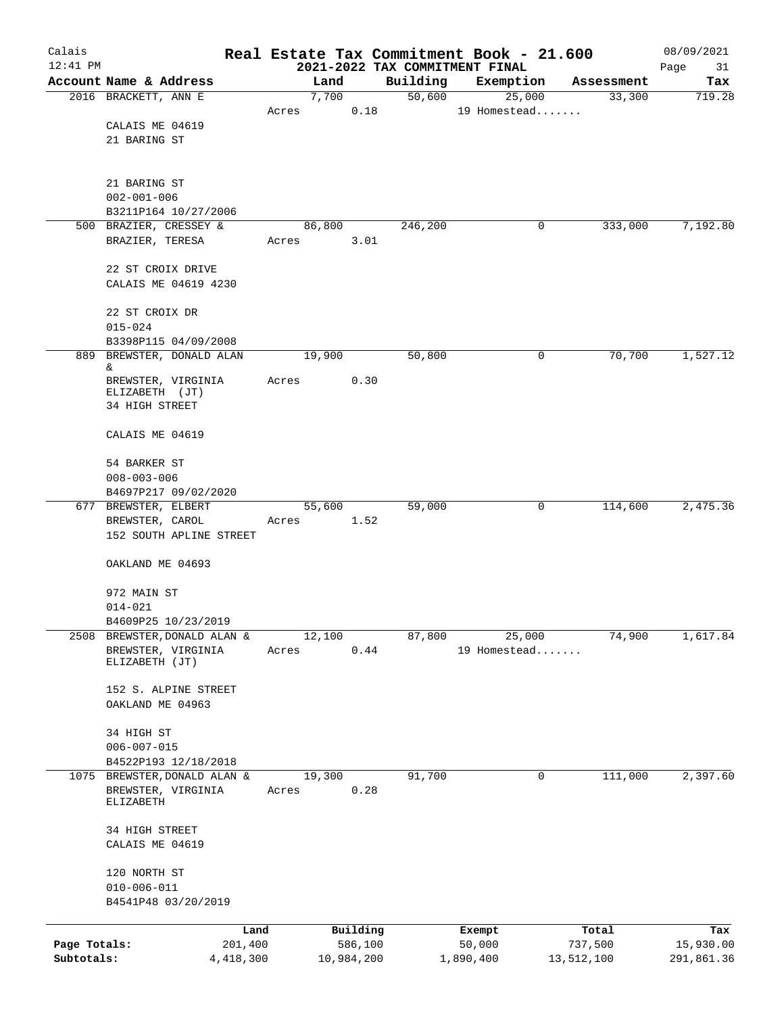| Calais            |                                                |         |        |            |          |        | Real Estate Tax Commitment Book - 21.600    |            | 08/09/2021        |
|-------------------|------------------------------------------------|---------|--------|------------|----------|--------|---------------------------------------------|------------|-------------------|
| $12:41$ PM        | Account Name & Address                         |         |        | Land       | Building |        | 2021-2022 TAX COMMITMENT FINAL<br>Exemption | Assessment | Page<br>31<br>Tax |
|                   | 2016 BRACKETT, ANN E                           |         |        | 7,700      |          | 50,600 | 25,000                                      | 33,300     | 719.28            |
|                   |                                                | Acres   |        | 0.18       |          |        | 19 Homestead                                |            |                   |
|                   | CALAIS ME 04619                                |         |        |            |          |        |                                             |            |                   |
|                   | 21 BARING ST                                   |         |        |            |          |        |                                             |            |                   |
|                   |                                                |         |        |            |          |        |                                             |            |                   |
|                   | 21 BARING ST                                   |         |        |            |          |        |                                             |            |                   |
|                   | $002 - 001 - 006$                              |         |        |            |          |        |                                             |            |                   |
|                   | B3211P164 10/27/2006<br>500 BRAZIER, CRESSEY & |         | 86,800 |            | 246,200  |        | 0                                           | 333,000    | 7,192.80          |
|                   | BRAZIER, TERESA                                | Acres   |        | 3.01       |          |        |                                             |            |                   |
|                   |                                                |         |        |            |          |        |                                             |            |                   |
|                   | 22 ST CROIX DRIVE                              |         |        |            |          |        |                                             |            |                   |
|                   | CALAIS ME 04619 4230                           |         |        |            |          |        |                                             |            |                   |
|                   | 22 ST CROIX DR                                 |         |        |            |          |        |                                             |            |                   |
|                   | $015 - 024$                                    |         |        |            |          |        |                                             |            |                   |
|                   | B3398P115 04/09/2008                           |         |        |            |          |        |                                             |            |                   |
|                   | 889 BREWSTER, DONALD ALAN<br>&.                |         | 19,900 |            | 50,800   |        | 0                                           | 70,700     | 1,527.12          |
|                   | BREWSTER, VIRGINIA                             | Acres   |        | 0.30       |          |        |                                             |            |                   |
|                   | ELIZABETH (JT)<br>34 HIGH STREET               |         |        |            |          |        |                                             |            |                   |
|                   |                                                |         |        |            |          |        |                                             |            |                   |
|                   | CALAIS ME 04619                                |         |        |            |          |        |                                             |            |                   |
|                   | 54 BARKER ST                                   |         |        |            |          |        |                                             |            |                   |
| $008 - 003 - 006$ |                                                |         |        |            |          |        |                                             |            |                   |
|                   | B4697P217 09/02/2020                           |         |        |            |          |        |                                             |            |                   |
|                   | 677 BREWSTER, ELBERT<br>BREWSTER, CAROL        | Acres   | 55,600 | 1.52       | 59,000   |        | 0                                           | 114,600    | 2,475.36          |
|                   | 152 SOUTH APLINE STREET                        |         |        |            |          |        |                                             |            |                   |
|                   | OAKLAND ME 04693                               |         |        |            |          |        |                                             |            |                   |
|                   | 972 MAIN ST                                    |         |        |            |          |        |                                             |            |                   |
|                   | $014 - 021$                                    |         |        |            |          |        |                                             |            |                   |
|                   | B4609P25 10/23/2019                            |         |        |            |          |        |                                             |            |                   |
| 2508              | BREWSTER, DONALD ALAN &                        |         | 12,100 |            | 87,800   |        | 25,000                                      | 74,900     | 1,617.84          |
|                   | BREWSTER, VIRGINIA<br>ELIZABETH (JT)           | Acres   |        | 0.44       |          |        | 19 Homestead                                |            |                   |
|                   |                                                |         |        |            |          |        |                                             |            |                   |
|                   | 152 S. ALPINE STREET                           |         |        |            |          |        |                                             |            |                   |
|                   | OAKLAND ME 04963                               |         |        |            |          |        |                                             |            |                   |
|                   | 34 HIGH ST                                     |         |        |            |          |        |                                             |            |                   |
|                   | $006 - 007 - 015$                              |         |        |            |          |        |                                             |            |                   |
|                   | B4522P193 12/18/2018                           |         |        |            |          |        |                                             |            |                   |
|                   | 1075 BREWSTER, DONALD ALAN &                   |         | 19,300 |            | 91,700   |        | 0                                           | 111,000    | 2,397.60          |
|                   | BREWSTER, VIRGINIA<br>ELIZABETH                | Acres   |        | 0.28       |          |        |                                             |            |                   |
|                   |                                                |         |        |            |          |        |                                             |            |                   |
|                   | 34 HIGH STREET<br>CALAIS ME 04619              |         |        |            |          |        |                                             |            |                   |
|                   | 120 NORTH ST                                   |         |        |            |          |        |                                             |            |                   |
|                   | $010 - 006 - 011$                              |         |        |            |          |        |                                             |            |                   |
|                   | B4541P48 03/20/2019                            |         |        |            |          |        |                                             |            |                   |
|                   |                                                | Land    |        | Building   |          |        | Exempt                                      | Total      | Tax               |
| Page Totals:      |                                                | 201,400 |        | 586,100    |          |        | 50,000                                      | 737,500    | 15,930.00         |
| Subtotals:        | 4, 418, 300                                    |         |        | 10,984,200 |          |        | 1,890,400                                   | 13,512,100 | 291,861.36        |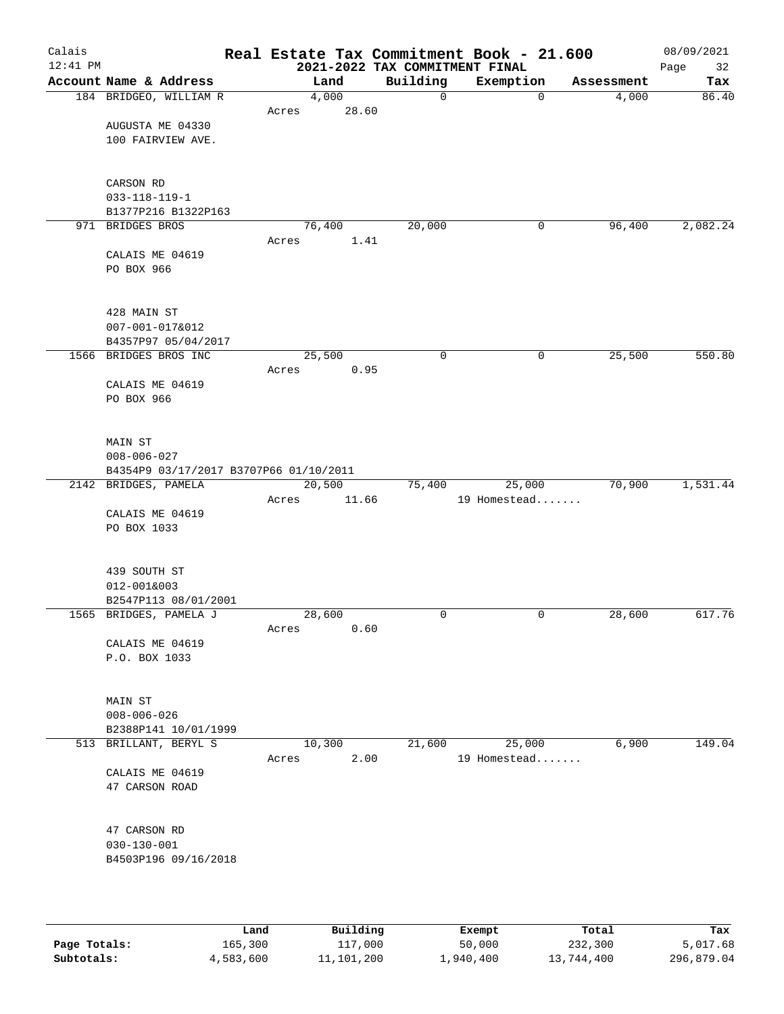| Calais<br>$12:41$ PM |                                        |        |       | 2021-2022 TAX COMMITMENT FINAL | Real Estate Tax Commitment Book - 21.600 |            | 08/09/2021<br>Page<br>32 |
|----------------------|----------------------------------------|--------|-------|--------------------------------|------------------------------------------|------------|--------------------------|
|                      | Account Name & Address                 |        | Land  | Building                       | Exemption                                | Assessment | Tax                      |
|                      | 184 BRIDGEO, WILLIAM R                 |        | 4,000 | $\mathsf{O}$                   | $\mathbf 0$                              | 4,000      | 86.40                    |
|                      |                                        | Acres  | 28.60 |                                |                                          |            |                          |
|                      | AUGUSTA ME 04330                       |        |       |                                |                                          |            |                          |
|                      | 100 FAIRVIEW AVE.                      |        |       |                                |                                          |            |                          |
|                      |                                        |        |       |                                |                                          |            |                          |
|                      |                                        |        |       |                                |                                          |            |                          |
|                      | CARSON RD                              |        |       |                                |                                          |            |                          |
|                      | $033 - 118 - 119 - 1$                  |        |       |                                |                                          |            |                          |
|                      | B1377P216 B1322P163                    |        |       |                                |                                          |            |                          |
|                      | 971 BRIDGES BROS                       | 76,400 |       | 20,000                         | 0                                        | 96,400     | 2,082.24                 |
|                      |                                        | Acres  | 1.41  |                                |                                          |            |                          |
|                      | CALAIS ME 04619                        |        |       |                                |                                          |            |                          |
|                      | PO BOX 966                             |        |       |                                |                                          |            |                          |
|                      |                                        |        |       |                                |                                          |            |                          |
|                      |                                        |        |       |                                |                                          |            |                          |
|                      | 428 MAIN ST                            |        |       |                                |                                          |            |                          |
|                      | 007-001-017&012<br>B4357P97 05/04/2017 |        |       |                                |                                          |            |                          |
|                      | 1566 BRIDGES BROS INC                  | 25,500 |       | 0                              | 0                                        | 25,500     | 550.80                   |
|                      |                                        | Acres  | 0.95  |                                |                                          |            |                          |
|                      | CALAIS ME 04619                        |        |       |                                |                                          |            |                          |
|                      | PO BOX 966                             |        |       |                                |                                          |            |                          |
|                      |                                        |        |       |                                |                                          |            |                          |
|                      |                                        |        |       |                                |                                          |            |                          |
|                      | MAIN ST                                |        |       |                                |                                          |            |                          |
|                      | $008 - 006 - 027$                      |        |       |                                |                                          |            |                          |
|                      | B4354P9 03/17/2017 B3707P66 01/10/2011 |        |       |                                |                                          |            |                          |
|                      | 2142 BRIDGES, PAMELA                   | 20,500 |       | 75,400                         | 25,000                                   | 70,900     | 1,531.44                 |
|                      |                                        | Acres  | 11.66 |                                | 19 Homestead                             |            |                          |
|                      | CALAIS ME 04619                        |        |       |                                |                                          |            |                          |
|                      | PO BOX 1033                            |        |       |                                |                                          |            |                          |
|                      |                                        |        |       |                                |                                          |            |                          |
|                      |                                        |        |       |                                |                                          |            |                          |
|                      | 439 SOUTH ST                           |        |       |                                |                                          |            |                          |
|                      | 012-001&003                            |        |       |                                |                                          |            |                          |
|                      | B2547P113 08/01/2001                   |        |       | $\mathbf 0$                    | 0                                        |            | 617.76                   |
|                      | 1565 BRIDGES, PAMELA J                 | 28,600 |       |                                |                                          | 28,600     |                          |
|                      | CALAIS ME 04619                        | Acres  | 0.60  |                                |                                          |            |                          |
|                      | P.O. BOX 1033                          |        |       |                                |                                          |            |                          |
|                      |                                        |        |       |                                |                                          |            |                          |
|                      |                                        |        |       |                                |                                          |            |                          |
|                      | <b>MAIN ST</b>                         |        |       |                                |                                          |            |                          |
|                      | $008 - 006 - 026$                      |        |       |                                |                                          |            |                          |
|                      | B2388P141 10/01/1999                   |        |       |                                |                                          |            |                          |
|                      | 513 BRILLANT, BERYL S                  | 10,300 |       | 21,600                         | 25,000                                   | 6,900      | 149.04                   |
|                      |                                        | Acres  | 2.00  |                                | 19 Homestead                             |            |                          |
|                      | CALAIS ME 04619                        |        |       |                                |                                          |            |                          |
|                      | 47 CARSON ROAD                         |        |       |                                |                                          |            |                          |
|                      |                                        |        |       |                                |                                          |            |                          |
|                      |                                        |        |       |                                |                                          |            |                          |
|                      | 47 CARSON RD                           |        |       |                                |                                          |            |                          |
|                      | $030 - 130 - 001$                      |        |       |                                |                                          |            |                          |
|                      | B4503P196 09/16/2018                   |        |       |                                |                                          |            |                          |
|                      |                                        |        |       |                                |                                          |            |                          |
|                      |                                        |        |       |                                |                                          |            |                          |
|                      |                                        |        |       |                                |                                          |            |                          |

|              | Land      | Building   | Exempt    | Total      | Tax        |
|--------------|-----------|------------|-----------|------------|------------|
| Page Totals: | 165,300   | 117,000    | 50,000    | 232,300    | 5,017.68   |
| Subtotals:   | 4,583,600 | 11,101,200 | 1,940,400 | 13,744,400 | 296,879.04 |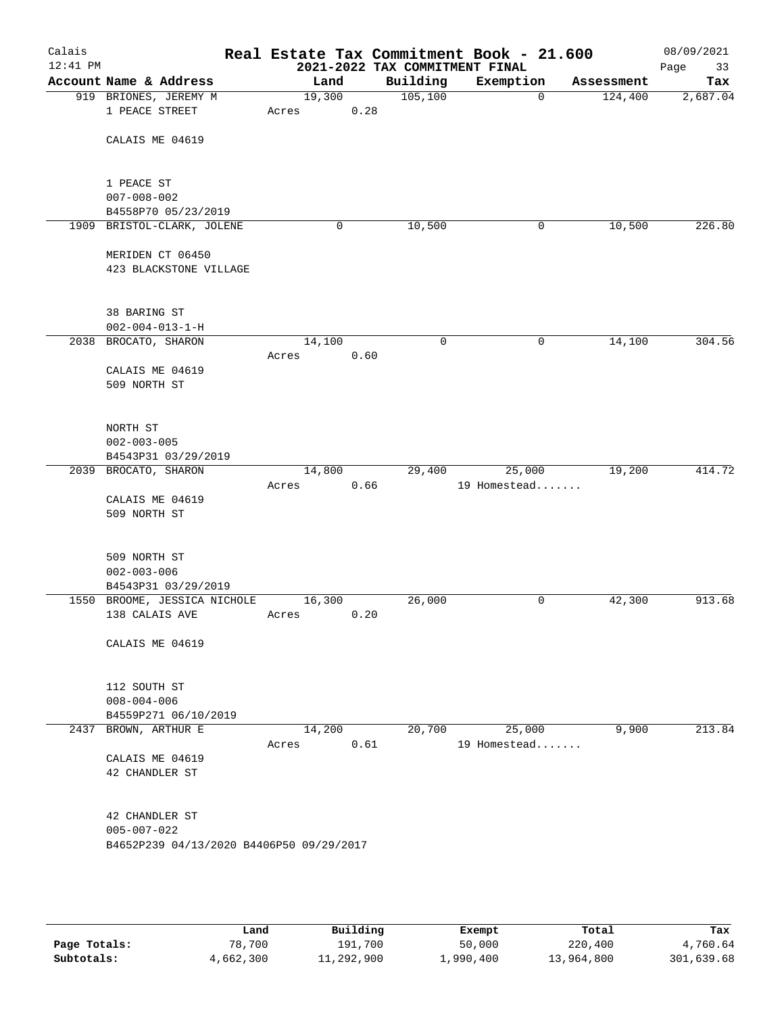| Calais<br>$12:41$ PM |                                                   |        |      | 2021-2022 TAX COMMITMENT FINAL | Real Estate Tax Commitment Book - 21.600 |            | 08/09/2021<br>Page<br>33 |
|----------------------|---------------------------------------------------|--------|------|--------------------------------|------------------------------------------|------------|--------------------------|
|                      | Account Name & Address                            | Land   |      | Building                       | Exemption                                | Assessment | Tax                      |
|                      | 919 BRIONES, JEREMY M                             | 19,300 |      | 105, 100                       | $\mathbf 0$                              | 124,400    | 2,687.04                 |
|                      | 1 PEACE STREET                                    | Acres  | 0.28 |                                |                                          |            |                          |
|                      |                                                   |        |      |                                |                                          |            |                          |
|                      | CALAIS ME 04619                                   |        |      |                                |                                          |            |                          |
|                      |                                                   |        |      |                                |                                          |            |                          |
|                      | 1 PEACE ST                                        |        |      |                                |                                          |            |                          |
|                      | $007 - 008 - 002$                                 |        |      |                                |                                          |            |                          |
|                      | B4558P70 05/23/2019                               |        |      |                                |                                          |            |                          |
|                      | 1909 BRISTOL-CLARK, JOLENE                        |        | 0    | 10,500                         | 0                                        | 10,500     | 226.80                   |
|                      | MERIDEN CT 06450                                  |        |      |                                |                                          |            |                          |
|                      | 423 BLACKSTONE VILLAGE                            |        |      |                                |                                          |            |                          |
|                      |                                                   |        |      |                                |                                          |            |                          |
|                      |                                                   |        |      |                                |                                          |            |                          |
|                      | 38 BARING ST                                      |        |      |                                |                                          |            |                          |
|                      | $002 - 004 - 013 - 1 - H$<br>2038 BROCATO, SHARON | 14,100 |      | $\mathbf 0$                    | 0                                        | 14,100     | 304.56                   |
|                      |                                                   | Acres  | 0.60 |                                |                                          |            |                          |
|                      | CALAIS ME 04619                                   |        |      |                                |                                          |            |                          |
|                      | 509 NORTH ST                                      |        |      |                                |                                          |            |                          |
|                      |                                                   |        |      |                                |                                          |            |                          |
|                      |                                                   |        |      |                                |                                          |            |                          |
|                      | NORTH ST                                          |        |      |                                |                                          |            |                          |
|                      | $002 - 003 - 005$<br>B4543P31 03/29/2019          |        |      |                                |                                          |            |                          |
|                      | 2039 BROCATO, SHARON                              | 14,800 |      | 29,400                         | 25,000                                   | 19,200     | 414.72                   |
|                      |                                                   | Acres  | 0.66 |                                | 19 Homestead                             |            |                          |
|                      | CALAIS ME 04619                                   |        |      |                                |                                          |            |                          |
|                      | 509 NORTH ST                                      |        |      |                                |                                          |            |                          |
|                      |                                                   |        |      |                                |                                          |            |                          |
|                      | 509 NORTH ST                                      |        |      |                                |                                          |            |                          |
|                      | $002 - 003 - 006$                                 |        |      |                                |                                          |            |                          |
|                      | B4543P31 03/29/2019                               |        |      |                                |                                          |            |                          |
|                      | 1550 BROOME, JESSICA NICHOLE                      | 16,300 |      | 26,000                         | 0                                        | 42,300     | 913.68                   |
|                      | 138 CALAIS AVE                                    | Acres  | 0.20 |                                |                                          |            |                          |
|                      | CALAIS ME 04619                                   |        |      |                                |                                          |            |                          |
|                      |                                                   |        |      |                                |                                          |            |                          |
|                      |                                                   |        |      |                                |                                          |            |                          |
|                      | 112 SOUTH ST                                      |        |      |                                |                                          |            |                          |
|                      | $008 - 004 - 006$                                 |        |      |                                |                                          |            |                          |
|                      | B4559P271 06/10/2019<br>2437 BROWN, ARTHUR E      | 14,200 |      | 20,700                         | 25,000                                   | 9,900      | 213.84                   |
|                      |                                                   | Acres  | 0.61 |                                | 19 Homestead                             |            |                          |
|                      | CALAIS ME 04619                                   |        |      |                                |                                          |            |                          |
|                      | 42 CHANDLER ST                                    |        |      |                                |                                          |            |                          |
|                      |                                                   |        |      |                                |                                          |            |                          |
|                      | 42 CHANDLER ST                                    |        |      |                                |                                          |            |                          |
|                      | $005 - 007 - 022$                                 |        |      |                                |                                          |            |                          |
|                      | B4652P239 04/13/2020 B4406P50 09/29/2017          |        |      |                                |                                          |            |                          |
|                      |                                                   |        |      |                                |                                          |            |                          |
|                      |                                                   |        |      |                                |                                          |            |                          |
|                      |                                                   |        |      |                                |                                          |            |                          |
|                      |                                                   |        |      |                                |                                          |            |                          |
|                      |                                                   |        |      |                                |                                          |            |                          |

|              | Land      | Building   | Exempt    | Total      | Tax        |
|--------------|-----------|------------|-----------|------------|------------|
| Page Totals: | 78,700    | 191,700    | 50,000    | 220,400    | 4,760.64   |
| Subtotals:   | 4,662,300 | 11,292,900 | 1,990,400 | 13,964,800 | 301,639.68 |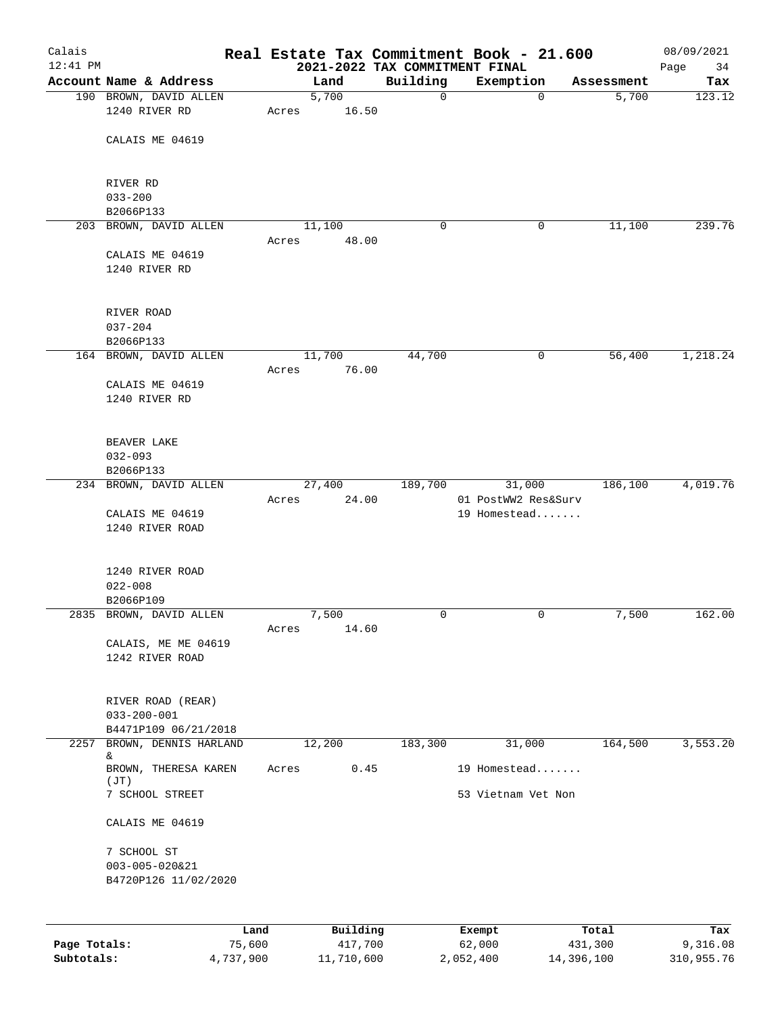| Calais       |                                        |                |       |                     |               | Real Estate Tax Commitment Book - 21.600 |                     | 08/09/2021      |
|--------------|----------------------------------------|----------------|-------|---------------------|---------------|------------------------------------------|---------------------|-----------------|
| $12:41$ PM   | Account Name & Address                 |                |       |                     |               | 2021-2022 TAX COMMITMENT FINAL           |                     | Page<br>34      |
|              | 190 BROWN, DAVID ALLEN                 |                |       | Land<br>5,700       | Building<br>0 | Exemption<br>$\mathbf 0$                 | Assessment<br>5,700 | Tax<br>123.12   |
|              | 1240 RIVER RD                          |                | Acres | 16.50               |               |                                          |                     |                 |
|              | CALAIS ME 04619                        |                |       |                     |               |                                          |                     |                 |
|              |                                        |                |       |                     |               |                                          |                     |                 |
|              | RIVER RD                               |                |       |                     |               |                                          |                     |                 |
|              | $033 - 200$<br>B2066P133               |                |       |                     |               |                                          |                     |                 |
|              | 203 BROWN, DAVID ALLEN                 |                |       | 11,100              | 0             | 0                                        | 11,100              | 239.76          |
|              |                                        |                | Acres | 48.00               |               |                                          |                     |                 |
|              | CALAIS ME 04619                        |                |       |                     |               |                                          |                     |                 |
|              | 1240 RIVER RD                          |                |       |                     |               |                                          |                     |                 |
|              | RIVER ROAD                             |                |       |                     |               |                                          |                     |                 |
|              | $037 - 204$                            |                |       |                     |               |                                          |                     |                 |
|              | B2066P133                              |                |       |                     |               |                                          |                     |                 |
|              | 164 BROWN, DAVID ALLEN                 |                |       | 11,700              | 44,700        | 0                                        | 56,400              | 1,218.24        |
|              | CALAIS ME 04619                        |                | Acres | 76.00               |               |                                          |                     |                 |
|              | 1240 RIVER RD                          |                |       |                     |               |                                          |                     |                 |
|              |                                        |                |       |                     |               |                                          |                     |                 |
|              | BEAVER LAKE                            |                |       |                     |               |                                          |                     |                 |
|              | $032 - 093$                            |                |       |                     |               |                                          |                     |                 |
|              | B2066P133                              |                |       |                     |               |                                          |                     |                 |
|              | 234 BROWN, DAVID ALLEN                 |                |       | 27,400              | 189,700       | 31,000                                   | 186,100             | 4,019.76        |
|              |                                        |                | Acres | 24.00               |               | 01 PostWW2 Res&Surv                      |                     |                 |
|              | CALAIS ME 04619<br>1240 RIVER ROAD     |                |       |                     |               | 19 Homestead                             |                     |                 |
|              |                                        |                |       |                     |               |                                          |                     |                 |
|              | 1240 RIVER ROAD                        |                |       |                     |               |                                          |                     |                 |
|              | $022 - 008$                            |                |       |                     |               |                                          |                     |                 |
|              | B2066P109                              |                |       |                     |               |                                          |                     |                 |
|              | 2835 BROWN, DAVID ALLEN                |                | Acres | 7,500<br>14.60      | 0             | 0                                        | 7,500               | 162.00          |
|              | CALAIS, ME ME 04619                    |                |       |                     |               |                                          |                     |                 |
|              | 1242 RIVER ROAD                        |                |       |                     |               |                                          |                     |                 |
|              |                                        |                |       |                     |               |                                          |                     |                 |
|              | RIVER ROAD (REAR)<br>$033 - 200 - 001$ |                |       |                     |               |                                          |                     |                 |
|              | B4471P109 06/21/2018                   |                |       |                     |               |                                          |                     |                 |
| 2257         | BROWN, DENNIS HARLAND                  |                |       | 12,200              | 183,300       | 31,000                                   | 164,500             | 3,553.20        |
|              | &<br>BROWN, THERESA KAREN<br>(JT)      |                | Acres | 0.45                |               | 19 Homestead                             |                     |                 |
|              | 7 SCHOOL STREET                        |                |       |                     |               | 53 Vietnam Vet Non                       |                     |                 |
|              | CALAIS ME 04619                        |                |       |                     |               |                                          |                     |                 |
|              | 7 SCHOOL ST                            |                |       |                     |               |                                          |                     |                 |
|              | $003 - 005 - 020&21$                   |                |       |                     |               |                                          |                     |                 |
|              | B4720P126 11/02/2020                   |                |       |                     |               |                                          |                     |                 |
|              |                                        |                |       |                     |               |                                          |                     |                 |
| Page Totals: |                                        | Land<br>75,600 |       | Building<br>417,700 |               | Exempt<br>62,000                         | Total<br>431,300    | Tax<br>9,316.08 |
|              |                                        |                |       |                     |               |                                          |                     |                 |

**Subtotals:** 4,737,900 11,710,600 2,052,400 14,396,100 310,955.76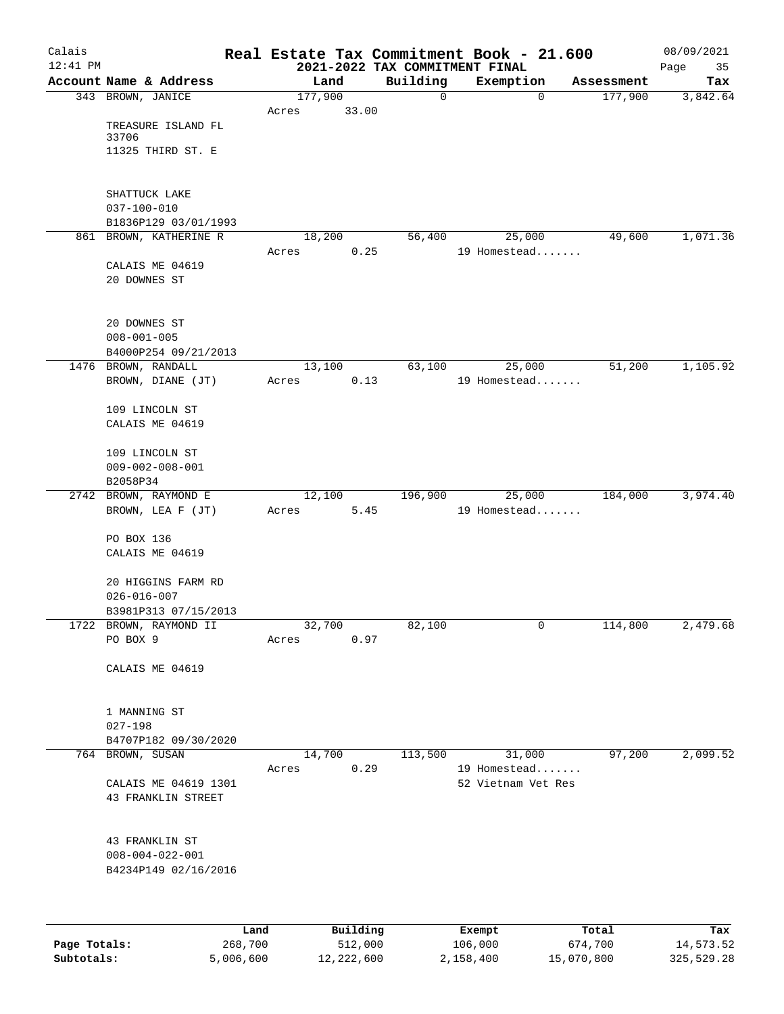| Calais       |                                                |                 |                 |                     |                                            |   | Real Estate Tax Commitment Book - 21.600 |                  | 08/09/2021        |
|--------------|------------------------------------------------|-----------------|-----------------|---------------------|--------------------------------------------|---|------------------------------------------|------------------|-------------------|
| $12:41$ PM   | Account Name & Address                         |                 |                 | Land                | 2021-2022 TAX COMMITMENT FINAL<br>Building |   | Exemption                                | Assessment       | Page<br>35<br>Tax |
|              | 343 BROWN, JANICE                              |                 | 177,900         |                     |                                            | 0 | $\mathbf 0$                              | 177,900          | 3,842.64          |
|              |                                                |                 | Acres           | 33.00               |                                            |   |                                          |                  |                   |
|              | TREASURE ISLAND FL                             |                 |                 |                     |                                            |   |                                          |                  |                   |
|              | 33706                                          |                 |                 |                     |                                            |   |                                          |                  |                   |
|              | 11325 THIRD ST. E                              |                 |                 |                     |                                            |   |                                          |                  |                   |
|              |                                                |                 |                 |                     |                                            |   |                                          |                  |                   |
|              | SHATTUCK LAKE                                  |                 |                 |                     |                                            |   |                                          |                  |                   |
|              | $037 - 100 - 010$                              |                 |                 |                     |                                            |   |                                          |                  |                   |
|              | B1836P129 03/01/1993<br>861 BROWN, KATHERINE R |                 |                 |                     |                                            |   |                                          | 49,600           | 1,071.36          |
|              |                                                |                 | 18,200<br>Acres | 0.25                | 56,400                                     |   | 25,000<br>19 Homestead                   |                  |                   |
|              | CALAIS ME 04619                                |                 |                 |                     |                                            |   |                                          |                  |                   |
|              | 20 DOWNES ST                                   |                 |                 |                     |                                            |   |                                          |                  |                   |
|              |                                                |                 |                 |                     |                                            |   |                                          |                  |                   |
|              |                                                |                 |                 |                     |                                            |   |                                          |                  |                   |
|              | 20 DOWNES ST<br>$008 - 001 - 005$              |                 |                 |                     |                                            |   |                                          |                  |                   |
|              | B4000P254 09/21/2013                           |                 |                 |                     |                                            |   |                                          |                  |                   |
| 1476         | BROWN, RANDALL                                 |                 | 13,100          |                     | 63,100                                     |   | 25,000                                   | 51,200           | 1,105.92          |
|              | BROWN, DIANE (JT)                              |                 | Acres           | 0.13                |                                            |   | 19 Homestead                             |                  |                   |
|              |                                                |                 |                 |                     |                                            |   |                                          |                  |                   |
|              | 109 LINCOLN ST<br>CALAIS ME 04619              |                 |                 |                     |                                            |   |                                          |                  |                   |
|              |                                                |                 |                 |                     |                                            |   |                                          |                  |                   |
|              | 109 LINCOLN ST                                 |                 |                 |                     |                                            |   |                                          |                  |                   |
|              | $009 - 002 - 008 - 001$                        |                 |                 |                     |                                            |   |                                          |                  |                   |
|              | B2058P34                                       |                 |                 |                     |                                            |   |                                          |                  |                   |
|              | 2742 BROWN, RAYMOND E                          |                 | 12,100          |                     | 196,900                                    |   | 25,000                                   | 184,000          | 3,974.40          |
|              | BROWN, LEA F (JT)                              |                 | Acres           | 5.45                |                                            |   | 19 Homestead                             |                  |                   |
|              | PO BOX 136                                     |                 |                 |                     |                                            |   |                                          |                  |                   |
|              | CALAIS ME 04619                                |                 |                 |                     |                                            |   |                                          |                  |                   |
|              |                                                |                 |                 |                     |                                            |   |                                          |                  |                   |
|              | 20 HIGGINS FARM RD                             |                 |                 |                     |                                            |   |                                          |                  |                   |
|              | $026 - 016 - 007$<br>B3981P313 07/15/2013      |                 |                 |                     |                                            |   |                                          |                  |                   |
|              | 1722 BROWN, RAYMOND II                         |                 | 32,700          |                     | 82,100                                     |   | 0                                        | 114,800          | 2,479.68          |
|              | PO BOX 9                                       |                 | Acres           | 0.97                |                                            |   |                                          |                  |                   |
|              |                                                |                 |                 |                     |                                            |   |                                          |                  |                   |
|              | CALAIS ME 04619                                |                 |                 |                     |                                            |   |                                          |                  |                   |
|              |                                                |                 |                 |                     |                                            |   |                                          |                  |                   |
|              | 1 MANNING ST                                   |                 |                 |                     |                                            |   |                                          |                  |                   |
|              | $027 - 198$                                    |                 |                 |                     |                                            |   |                                          |                  |                   |
|              | B4707P182 09/30/2020                           |                 |                 |                     |                                            |   |                                          |                  |                   |
|              | 764 BROWN, SUSAN                               |                 | 14,700          |                     | 113,500                                    |   | 31,000                                   | 97,200           | 2,099.52          |
|              |                                                |                 | Acres           | 0.29                |                                            |   | 19 Homestead<br>52 Vietnam Vet Res       |                  |                   |
|              | CALAIS ME 04619 1301<br>43 FRANKLIN STREET     |                 |                 |                     |                                            |   |                                          |                  |                   |
|              |                                                |                 |                 |                     |                                            |   |                                          |                  |                   |
|              |                                                |                 |                 |                     |                                            |   |                                          |                  |                   |
|              | 43 FRANKLIN ST                                 |                 |                 |                     |                                            |   |                                          |                  |                   |
|              | $008 - 004 - 022 - 001$                        |                 |                 |                     |                                            |   |                                          |                  |                   |
|              | B4234P149 02/16/2016                           |                 |                 |                     |                                            |   |                                          |                  |                   |
|              |                                                |                 |                 |                     |                                            |   |                                          |                  |                   |
|              |                                                |                 |                 |                     |                                            |   |                                          |                  |                   |
| Page Totals: |                                                | Land<br>268,700 |                 | Building<br>512,000 |                                            |   | Exempt<br>106,000                        | Total<br>674,700 | Tax<br>14,573.52  |
|              |                                                |                 |                 |                     |                                            |   |                                          |                  |                   |

**Subtotals:** 5,006,600 12,222,600 2,158,400 15,070,800 325,529.28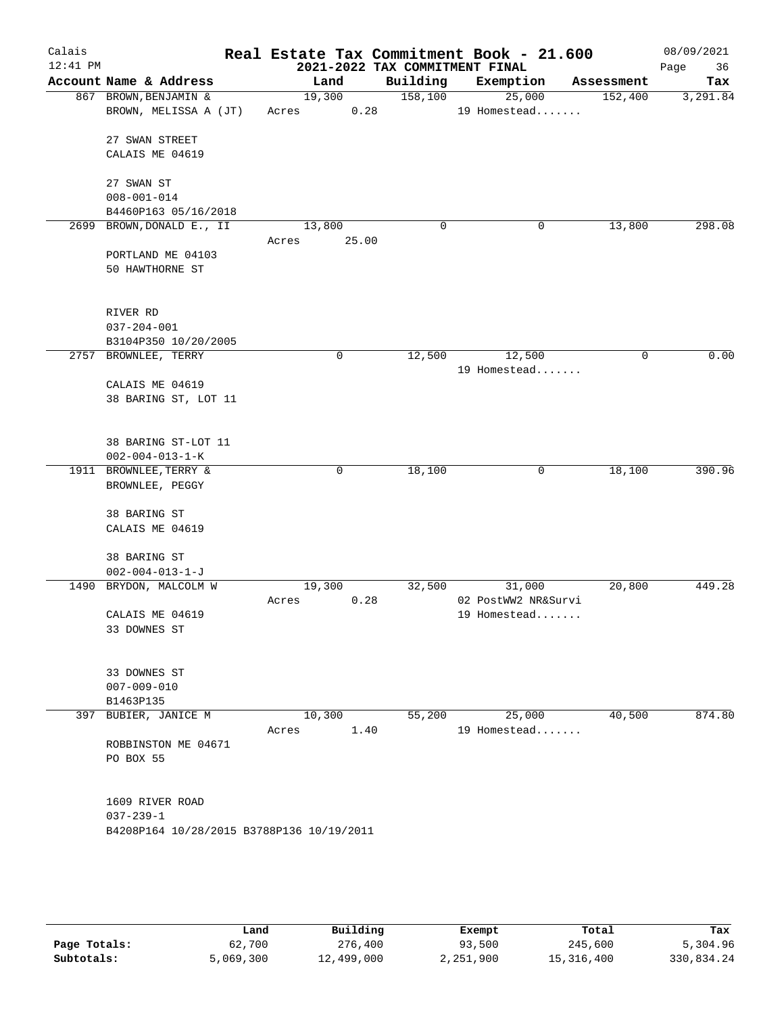| Calais<br>$12:41$ PM |                                           |        |       | 2021-2022 TAX COMMITMENT FINAL | Real Estate Tax Commitment Book - 21.600 |            | 08/09/2021<br>36<br>Page |
|----------------------|-------------------------------------------|--------|-------|--------------------------------|------------------------------------------|------------|--------------------------|
|                      | Account Name & Address                    |        | Land  | Building                       | Exemption                                | Assessment | Tax                      |
|                      | 867 BROWN, BENJAMIN &                     | 19,300 |       | 158,100                        | 25,000                                   | 152,400    | 3,291.84                 |
|                      | BROWN, MELISSA A (JT)                     | Acres  | 0.28  |                                | 19 Homestead                             |            |                          |
|                      | 27 SWAN STREET                            |        |       |                                |                                          |            |                          |
|                      | CALAIS ME 04619                           |        |       |                                |                                          |            |                          |
|                      |                                           |        |       |                                |                                          |            |                          |
|                      | 27 SWAN ST                                |        |       |                                |                                          |            |                          |
|                      | $008 - 001 - 014$                         |        |       |                                |                                          |            |                          |
|                      | B4460P163 05/16/2018                      |        |       |                                |                                          |            |                          |
| 2699                 | BROWN, DONALD E., II                      | 13,800 |       | 0                              | 0                                        | 13,800     | 298.08                   |
|                      |                                           | Acres  | 25.00 |                                |                                          |            |                          |
|                      | PORTLAND ME 04103                         |        |       |                                |                                          |            |                          |
|                      | 50 HAWTHORNE ST                           |        |       |                                |                                          |            |                          |
|                      |                                           |        |       |                                |                                          |            |                          |
|                      | RIVER RD                                  |        |       |                                |                                          |            |                          |
|                      | $037 - 204 - 001$                         |        |       |                                |                                          |            |                          |
|                      | B3104P350 10/20/2005                      |        |       |                                |                                          |            |                          |
|                      | 2757 BROWNLEE, TERRY                      |        | 0     | 12,500                         | 12,500                                   | 0          | 0.00                     |
|                      |                                           |        |       |                                | 19 Homestead                             |            |                          |
|                      | CALAIS ME 04619                           |        |       |                                |                                          |            |                          |
|                      | 38 BARING ST, LOT 11                      |        |       |                                |                                          |            |                          |
|                      |                                           |        |       |                                |                                          |            |                          |
|                      | 38 BARING ST-LOT 11                       |        |       |                                |                                          |            |                          |
|                      | $002 - 004 - 013 - 1 - K$                 |        |       |                                |                                          |            |                          |
|                      | 1911 BROWNLEE, TERRY &                    |        | 0     | 18,100                         | 0                                        | 18,100     | 390.96                   |
|                      | BROWNLEE, PEGGY                           |        |       |                                |                                          |            |                          |
|                      | 38 BARING ST                              |        |       |                                |                                          |            |                          |
|                      | CALAIS ME 04619                           |        |       |                                |                                          |            |                          |
|                      |                                           |        |       |                                |                                          |            |                          |
|                      | 38 BARING ST                              |        |       |                                |                                          |            |                          |
|                      | $002 - 004 - 013 - 1 - J$                 |        |       |                                |                                          |            |                          |
|                      | 1490 BRYDON, MALCOLM W                    | 19,300 |       | 32,500                         | 31,000                                   | 20,800     | 449.28                   |
|                      |                                           | Acres  | 0.28  |                                | 02 PostWW2 NR&Survi                      |            |                          |
|                      | CALAIS ME 04619                           |        |       |                                | 19 Homestead                             |            |                          |
|                      | 33 DOWNES ST                              |        |       |                                |                                          |            |                          |
|                      |                                           |        |       |                                |                                          |            |                          |
|                      | 33 DOWNES ST                              |        |       |                                |                                          |            |                          |
|                      | $007 - 009 - 010$                         |        |       |                                |                                          |            |                          |
|                      | B1463P135                                 |        |       |                                |                                          |            |                          |
|                      | 397 BUBIER, JANICE M                      | 10,300 |       | 55,200                         | 25,000                                   | 40,500     | 874.80                   |
|                      |                                           | Acres  | 1.40  |                                | 19 Homestead                             |            |                          |
|                      | ROBBINSTON ME 04671                       |        |       |                                |                                          |            |                          |
|                      | PO BOX 55                                 |        |       |                                |                                          |            |                          |
|                      |                                           |        |       |                                |                                          |            |                          |
|                      | 1609 RIVER ROAD                           |        |       |                                |                                          |            |                          |
|                      | $037 - 239 - 1$                           |        |       |                                |                                          |            |                          |
|                      | B4208P164 10/28/2015 B3788P136 10/19/2011 |        |       |                                |                                          |            |                          |
|                      |                                           |        |       |                                |                                          |            |                          |
|                      |                                           |        |       |                                |                                          |            |                          |
|                      |                                           |        |       |                                |                                          |            |                          |
|                      |                                           |        |       |                                |                                          |            |                          |

|              | Land      | Building   | Exempt    | Total      | Tax        |
|--------------|-----------|------------|-----------|------------|------------|
| Page Totals: | 62,700    | 276,400    | 93,500    | 245,600    | 5,304.96   |
| Subtotals:   | 5,069,300 | 12,499,000 | 2,251,900 | 15,316,400 | 330,834.24 |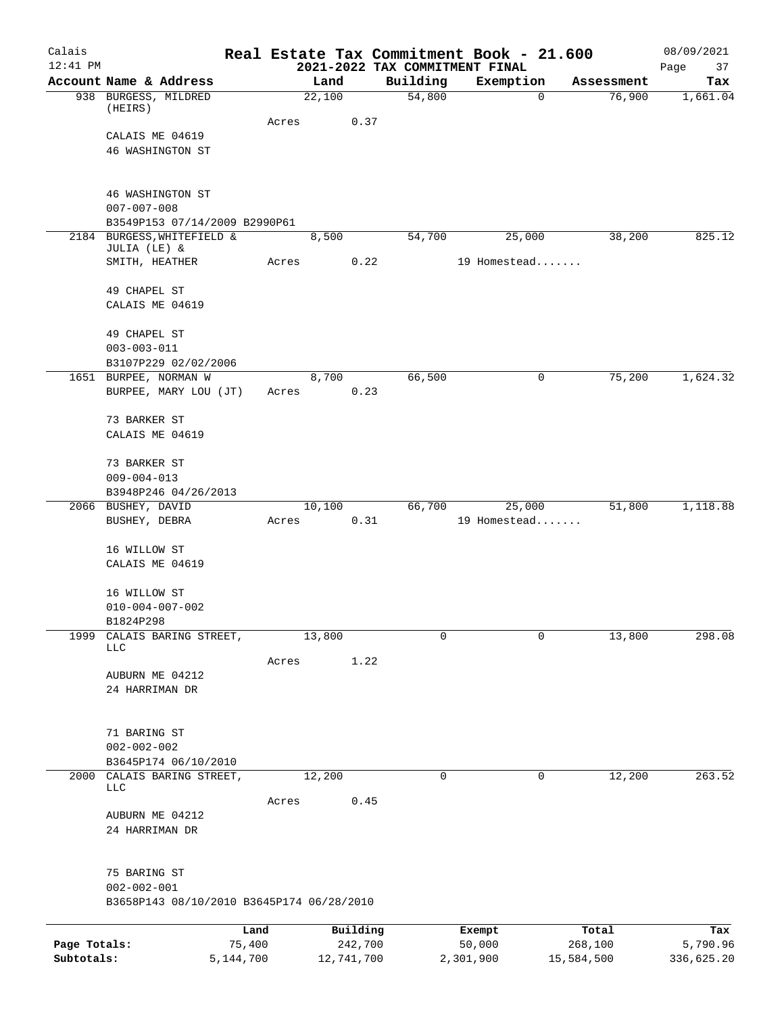| Calais       |                                                             |           |       |            |      |          | Real Estate Tax Commitment Book - 21.600    |             |                      | 08/09/2021        |
|--------------|-------------------------------------------------------------|-----------|-------|------------|------|----------|---------------------------------------------|-------------|----------------------|-------------------|
| $12:41$ PM   | Account Name & Address                                      |           |       | Land       |      | Building | 2021-2022 TAX COMMITMENT FINAL<br>Exemption |             |                      | Page<br>37<br>Tax |
|              | 938 BURGESS, MILDRED                                        |           |       | 22,100     |      | 54,800   |                                             | $\mathbf 0$ | Assessment<br>76,900 | 1,661.04          |
|              | (HEIRS)                                                     |           |       |            |      |          |                                             |             |                      |                   |
|              |                                                             |           | Acres |            | 0.37 |          |                                             |             |                      |                   |
|              | CALAIS ME 04619<br>46 WASHINGTON ST                         |           |       |            |      |          |                                             |             |                      |                   |
|              |                                                             |           |       |            |      |          |                                             |             |                      |                   |
|              |                                                             |           |       |            |      |          |                                             |             |                      |                   |
|              | 46 WASHINGTON ST                                            |           |       |            |      |          |                                             |             |                      |                   |
|              | $007 - 007 - 008$                                           |           |       |            |      |          |                                             |             |                      |                   |
|              | B3549P153 07/14/2009 B2990P61<br>2184 BURGESS, WHITEFIELD & |           |       | 8,500      |      | 54,700   | 25,000                                      |             | 38,200               | 825.12            |
|              | JULIA (LE) &                                                |           |       |            |      |          |                                             |             |                      |                   |
|              | SMITH, HEATHER                                              |           | Acres |            | 0.22 |          | 19 Homestead                                |             |                      |                   |
|              | 49 CHAPEL ST                                                |           |       |            |      |          |                                             |             |                      |                   |
|              | CALAIS ME 04619                                             |           |       |            |      |          |                                             |             |                      |                   |
|              | 49 CHAPEL ST                                                |           |       |            |      |          |                                             |             |                      |                   |
|              | $003 - 003 - 011$                                           |           |       |            |      |          |                                             |             |                      |                   |
|              | B3107P229 02/02/2006                                        |           |       |            |      |          |                                             |             |                      |                   |
|              | 1651 BURPEE, NORMAN W                                       |           |       | 8,700      |      | 66,500   |                                             | 0           | 75,200               | 1,624.32          |
|              | BURPEE, MARY LOU (JT)                                       |           | Acres |            | 0.23 |          |                                             |             |                      |                   |
|              | 73 BARKER ST                                                |           |       |            |      |          |                                             |             |                      |                   |
|              | CALAIS ME 04619                                             |           |       |            |      |          |                                             |             |                      |                   |
|              |                                                             |           |       |            |      |          |                                             |             |                      |                   |
|              | 73 BARKER ST                                                |           |       |            |      |          |                                             |             |                      |                   |
|              | $009 - 004 - 013$                                           |           |       |            |      |          |                                             |             |                      |                   |
|              | B3948P246 04/26/2013<br>2066 BUSHEY, DAVID                  |           |       | 10,100     |      | 66,700   | 25,000                                      |             | 51,800               | 1,118.88          |
|              | BUSHEY, DEBRA                                               |           | Acres |            | 0.31 |          | 19 Homestead                                |             |                      |                   |
|              |                                                             |           |       |            |      |          |                                             |             |                      |                   |
|              | 16 WILLOW ST                                                |           |       |            |      |          |                                             |             |                      |                   |
|              | CALAIS ME 04619                                             |           |       |            |      |          |                                             |             |                      |                   |
|              | 16 WILLOW ST                                                |           |       |            |      |          |                                             |             |                      |                   |
|              | $010 - 004 - 007 - 002$                                     |           |       |            |      |          |                                             |             |                      |                   |
|              | B1824P298                                                   |           |       |            |      |          |                                             |             |                      |                   |
| 1999         | CALAIS BARING STREET,<br><b>LLC</b>                         |           |       | 13,800     |      | 0        |                                             | 0           | 13,800               | 298.08            |
|              |                                                             |           | Acres |            | 1.22 |          |                                             |             |                      |                   |
|              | AUBURN ME 04212                                             |           |       |            |      |          |                                             |             |                      |                   |
|              | 24 HARRIMAN DR                                              |           |       |            |      |          |                                             |             |                      |                   |
|              |                                                             |           |       |            |      |          |                                             |             |                      |                   |
|              | 71 BARING ST                                                |           |       |            |      |          |                                             |             |                      |                   |
|              | $002 - 002 - 002$                                           |           |       |            |      |          |                                             |             |                      |                   |
|              | B3645P174 06/10/2010                                        |           |       |            |      |          |                                             |             |                      |                   |
|              | 2000 CALAIS BARING STREET,<br>LLC                           |           |       | 12,200     |      | 0        |                                             | 0           | 12,200               | 263.52            |
|              |                                                             |           | Acres |            | 0.45 |          |                                             |             |                      |                   |
|              | AUBURN ME 04212                                             |           |       |            |      |          |                                             |             |                      |                   |
|              | 24 HARRIMAN DR                                              |           |       |            |      |          |                                             |             |                      |                   |
|              |                                                             |           |       |            |      |          |                                             |             |                      |                   |
|              | 75 BARING ST                                                |           |       |            |      |          |                                             |             |                      |                   |
|              | $002 - 002 - 001$                                           |           |       |            |      |          |                                             |             |                      |                   |
|              | B3658P143 08/10/2010 B3645P174 06/28/2010                   |           |       |            |      |          |                                             |             |                      |                   |
|              |                                                             | Land      |       | Building   |      |          | Exempt                                      |             | Total                | Tax               |
| Page Totals: |                                                             | 75,400    |       | 242,700    |      |          | 50,000                                      |             | 268,100              | 5,790.96          |
| Subtotals:   |                                                             | 5,144,700 |       | 12,741,700 |      |          | 2,301,900                                   |             | 15,584,500           | 336,625.20        |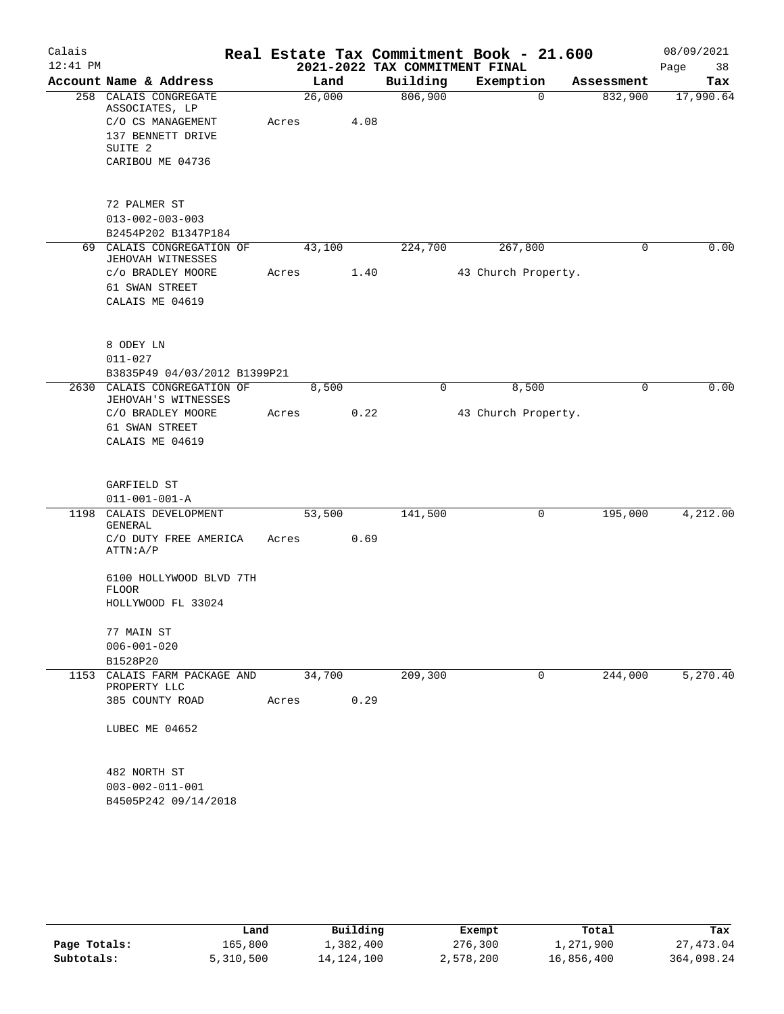| Calais     |                                                             |       |        |      | Real Estate Tax Commitment Book - 21.600 |                     |             |            | 08/09/2021 |
|------------|-------------------------------------------------------------|-------|--------|------|------------------------------------------|---------------------|-------------|------------|------------|
| $12:41$ PM |                                                             |       |        |      | 2021-2022 TAX COMMITMENT FINAL           |                     |             |            | 38<br>Page |
|            | Account Name & Address                                      |       | Land   |      | Building                                 | Exemption           |             | Assessment | Tax        |
|            | 258 CALAIS CONGREGATE<br>ASSOCIATES, LP                     |       | 26,000 |      | 806,900                                  |                     | $\Omega$    | 832,900    | 17,990.64  |
|            | C/O CS MANAGEMENT                                           | Acres |        | 4.08 |                                          |                     |             |            |            |
|            | 137 BENNETT DRIVE                                           |       |        |      |                                          |                     |             |            |            |
|            | SUITE <sub>2</sub>                                          |       |        |      |                                          |                     |             |            |            |
|            | CARIBOU ME 04736                                            |       |        |      |                                          |                     |             |            |            |
|            | 72 PALMER ST                                                |       |        |      |                                          |                     |             |            |            |
|            | $013 - 002 - 003 - 003$                                     |       |        |      |                                          |                     |             |            |            |
|            | B2454P202 B1347P184                                         |       |        |      |                                          |                     |             |            |            |
|            | 69 CALAIS CONGREGATION OF<br>JEHOVAH WITNESSES              |       | 43,100 |      | 224,700                                  |                     | 267,800     | 0          | 0.00       |
|            | C/O BRADLEY MOORE                                           | Acres |        | 1.40 |                                          | 43 Church Property. |             |            |            |
|            | 61 SWAN STREET                                              |       |        |      |                                          |                     |             |            |            |
|            | CALAIS ME 04619                                             |       |        |      |                                          |                     |             |            |            |
|            |                                                             |       |        |      |                                          |                     |             |            |            |
|            | 8 ODEY LN                                                   |       |        |      |                                          |                     |             |            |            |
|            | $011 - 027$                                                 |       |        |      |                                          |                     |             |            |            |
|            | B3835P49 04/03/2012 B1399P21<br>2630 CALAIS CONGREGATION OF |       | 8,500  |      | 0                                        |                     | 8,500       | 0          | 0.00       |
|            | JEHOVAH'S WITNESSES                                         |       |        |      |                                          |                     |             |            |            |
|            | C/O BRADLEY MOORE                                           | Acres |        | 0.22 |                                          | 43 Church Property. |             |            |            |
|            | 61 SWAN STREET                                              |       |        |      |                                          |                     |             |            |            |
|            | CALAIS ME 04619                                             |       |        |      |                                          |                     |             |            |            |
|            | GARFIELD ST                                                 |       |        |      |                                          |                     |             |            |            |
|            | $011 - 001 - 001 - A$                                       |       |        |      |                                          |                     |             |            |            |
|            | 1198 CALAIS DEVELOPMENT                                     |       | 53,500 |      | 141,500                                  |                     | $\mathbf 0$ | 195,000    | 4,212.00   |
|            | GENERAL                                                     |       |        |      |                                          |                     |             |            |            |
|            | C/O DUTY FREE AMERICA<br>ATTN: A/P                          | Acres |        | 0.69 |                                          |                     |             |            |            |
|            | 6100 HOLLYWOOD BLVD 7TH<br><b>FLOOR</b>                     |       |        |      |                                          |                     |             |            |            |
|            | HOLLYWOOD FL 33024                                          |       |        |      |                                          |                     |             |            |            |
|            | 77 MAIN ST                                                  |       |        |      |                                          |                     |             |            |            |
|            | $006 - 001 - 020$                                           |       |        |      |                                          |                     |             |            |            |
|            | B1528P20                                                    |       |        |      |                                          |                     |             |            |            |
|            | 1153 CALAIS FARM PACKAGE AND<br>PROPERTY LLC                |       | 34,700 |      | 209,300                                  |                     | $\mathbf 0$ | 244,000    | 5,270.40   |
|            | 385 COUNTY ROAD                                             | Acres |        | 0.29 |                                          |                     |             |            |            |
|            | LUBEC ME 04652                                              |       |        |      |                                          |                     |             |            |            |
|            | 482 NORTH ST                                                |       |        |      |                                          |                     |             |            |            |
|            | $003 - 002 - 011 - 001$                                     |       |        |      |                                          |                     |             |            |            |
|            | B4505P242 09/14/2018                                        |       |        |      |                                          |                     |             |            |            |

|              | Land      | Building   | Exempt    | Total      | Tax        |
|--------------|-----------|------------|-----------|------------|------------|
| Page Totals: | 165,800   | 1,382,400  | 276,300   | 1,271,900  | 27,473.04  |
| Subtotals:   | 5,310,500 | 14,124,100 | 2,578,200 | 16,856,400 | 364,098.24 |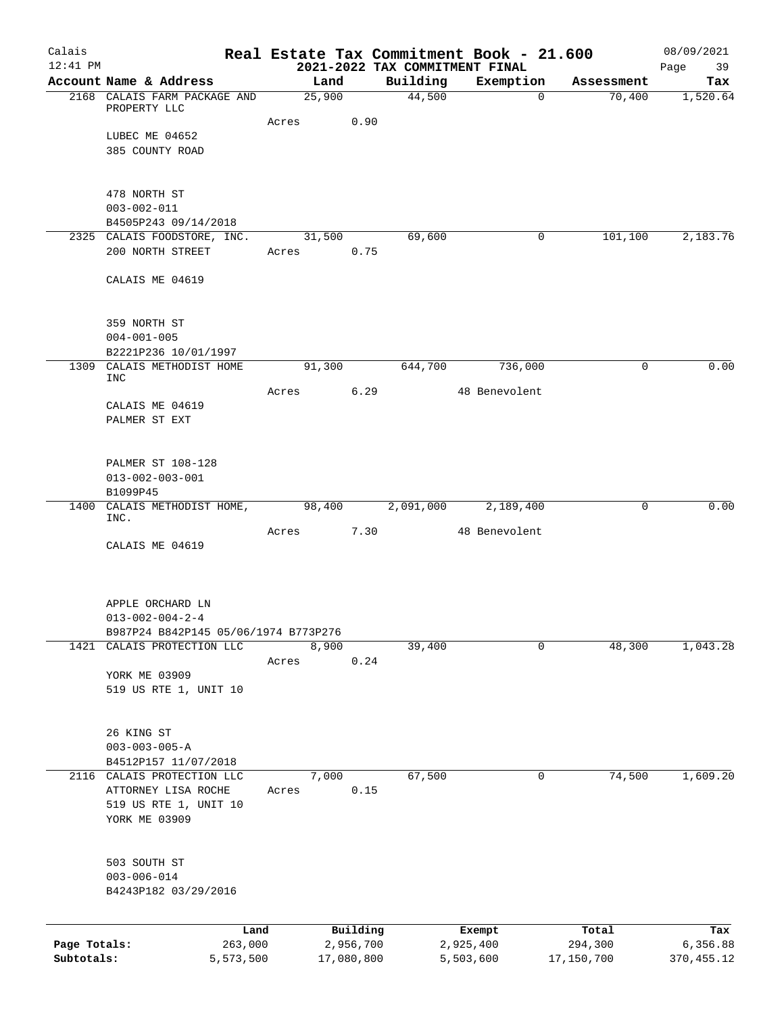| Calais<br>$12:41$ PM |                                                                    |           |        |            |          | Real Estate Tax Commitment Book - 21.600<br>2021-2022 TAX COMMITMENT FINAL |            | 08/09/2021<br>Page<br>39 |
|----------------------|--------------------------------------------------------------------|-----------|--------|------------|----------|----------------------------------------------------------------------------|------------|--------------------------|
|                      | Account Name & Address                                             |           |        | Land       | Building | Exemption                                                                  | Assessment | Tax                      |
|                      | 2168 CALAIS FARM PACKAGE AND                                       |           | 25,900 |            | 44,500   | $\Omega$                                                                   | 70,400     | 1,520.64                 |
|                      | PROPERTY LLC                                                       |           | Acres  | 0.90       |          |                                                                            |            |                          |
|                      | LUBEC ME 04652                                                     |           |        |            |          |                                                                            |            |                          |
|                      | 385 COUNTY ROAD                                                    |           |        |            |          |                                                                            |            |                          |
|                      |                                                                    |           |        |            |          |                                                                            |            |                          |
|                      |                                                                    |           |        |            |          |                                                                            |            |                          |
|                      | 478 NORTH ST                                                       |           |        |            |          |                                                                            |            |                          |
|                      | $003 - 002 - 011$                                                  |           |        |            |          |                                                                            |            |                          |
|                      | B4505P243 09/14/2018<br>2325 CALAIS FOODSTORE, INC.                |           |        | 31,500     | 69,600   | 0                                                                          | 101,100    | 2,183.76                 |
|                      | 200 NORTH STREET                                                   |           | Acres  | 0.75       |          |                                                                            |            |                          |
|                      |                                                                    |           |        |            |          |                                                                            |            |                          |
|                      | CALAIS ME 04619                                                    |           |        |            |          |                                                                            |            |                          |
|                      |                                                                    |           |        |            |          |                                                                            |            |                          |
|                      |                                                                    |           |        |            |          |                                                                            |            |                          |
|                      | 359 NORTH ST                                                       |           |        |            |          |                                                                            |            |                          |
|                      | $004 - 001 - 005$                                                  |           |        |            |          |                                                                            |            |                          |
|                      | B2221P236 10/01/1997                                               |           |        |            |          |                                                                            |            |                          |
|                      | 1309 CALAIS METHODIST HOME<br><b>INC</b>                           |           |        | 91,300     | 644,700  | 736,000                                                                    | 0          | 0.00                     |
|                      |                                                                    |           | Acres  | 6.29       |          | 48 Benevolent                                                              |            |                          |
|                      | CALAIS ME 04619                                                    |           |        |            |          |                                                                            |            |                          |
|                      | PALMER ST EXT                                                      |           |        |            |          |                                                                            |            |                          |
|                      |                                                                    |           |        |            |          |                                                                            |            |                          |
|                      |                                                                    |           |        |            |          |                                                                            |            |                          |
|                      | PALMER ST 108-128                                                  |           |        |            |          |                                                                            |            |                          |
|                      | $013 - 002 - 003 - 001$                                            |           |        |            |          |                                                                            |            |                          |
|                      | B1099P45<br>1400 CALAIS METHODIST HOME, 98,400 2,091,000 2,189,400 |           |        |            |          |                                                                            | 0          | 0.00                     |
|                      | INC.                                                               |           |        |            |          |                                                                            |            |                          |
|                      |                                                                    |           | Acres  | 7.30       |          | 48 Benevolent                                                              |            |                          |
|                      | CALAIS ME 04619                                                    |           |        |            |          |                                                                            |            |                          |
|                      |                                                                    |           |        |            |          |                                                                            |            |                          |
|                      |                                                                    |           |        |            |          |                                                                            |            |                          |
|                      |                                                                    |           |        |            |          |                                                                            |            |                          |
|                      | APPLE ORCHARD LN<br>$013 - 002 - 004 - 2 - 4$                      |           |        |            |          |                                                                            |            |                          |
|                      | B987P24 B842P145 05/06/1974 B773P276                               |           |        |            |          |                                                                            |            |                          |
| 1421                 | CALAIS PROTECTION LLC                                              |           |        | 8,900      | 39,400   | 0                                                                          | 48,300     | 1,043.28                 |
|                      |                                                                    |           | Acres  | 0.24       |          |                                                                            |            |                          |
|                      | YORK ME 03909                                                      |           |        |            |          |                                                                            |            |                          |
|                      | 519 US RTE 1, UNIT 10                                              |           |        |            |          |                                                                            |            |                          |
|                      |                                                                    |           |        |            |          |                                                                            |            |                          |
|                      |                                                                    |           |        |            |          |                                                                            |            |                          |
|                      | 26 KING ST                                                         |           |        |            |          |                                                                            |            |                          |
|                      | $003 - 003 - 005 - A$<br>B4512P157 11/07/2018                      |           |        |            |          |                                                                            |            |                          |
|                      | 2116 CALAIS PROTECTION LLC                                         |           | 7,000  |            | 67,500   | 0                                                                          | 74,500     | 1,609.20                 |
|                      | ATTORNEY LISA ROCHE                                                |           | Acres  | 0.15       |          |                                                                            |            |                          |
|                      | 519 US RTE 1, UNIT 10                                              |           |        |            |          |                                                                            |            |                          |
|                      | YORK ME 03909                                                      |           |        |            |          |                                                                            |            |                          |
|                      |                                                                    |           |        |            |          |                                                                            |            |                          |
|                      |                                                                    |           |        |            |          |                                                                            |            |                          |
|                      | 503 SOUTH ST                                                       |           |        |            |          |                                                                            |            |                          |
|                      | $003 - 006 - 014$                                                  |           |        |            |          |                                                                            |            |                          |
|                      | B4243P182 03/29/2016                                               |           |        |            |          |                                                                            |            |                          |
|                      |                                                                    |           |        |            |          |                                                                            |            |                          |
|                      |                                                                    | Land      |        | Building   |          | Exempt                                                                     | Total      | Tax                      |
| Page Totals:         |                                                                    | 263,000   |        | 2,956,700  |          | 2,925,400                                                                  | 294,300    | 6,356.88                 |
| Subtotals:           |                                                                    | 5,573,500 |        | 17,080,800 |          | 5,503,600                                                                  | 17,150,700 | 370, 455.12              |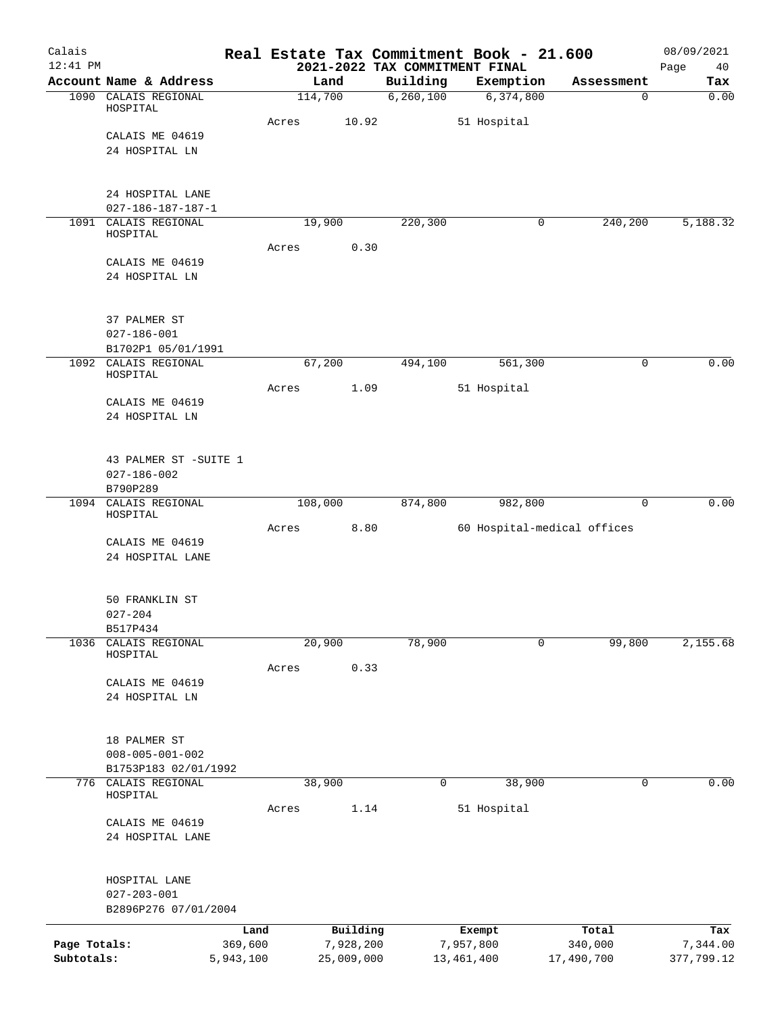| Calais<br>$12:41$ PM |                                                 |                 |       |                       |             | Real Estate Tax Commitment Book - 21.600<br>2021-2022 TAX COMMITMENT FINAL |                  | 08/09/2021<br>40 |
|----------------------|-------------------------------------------------|-----------------|-------|-----------------------|-------------|----------------------------------------------------------------------------|------------------|------------------|
|                      | Account Name & Address                          |                 |       | Land                  | Building    | Exemption                                                                  | Assessment       | Page<br>Tax      |
|                      | 1090 CALAIS REGIONAL                            |                 |       | 114,700               | 6, 260, 100 | 6,374,800                                                                  | 0                | 0.00             |
|                      | HOSPITAL                                        |                 |       |                       |             |                                                                            |                  |                  |
|                      | CALAIS ME 04619                                 |                 | Acres | 10.92                 |             | 51 Hospital                                                                |                  |                  |
|                      | 24 HOSPITAL LN                                  |                 |       |                       |             |                                                                            |                  |                  |
|                      |                                                 |                 |       |                       |             |                                                                            |                  |                  |
|                      |                                                 |                 |       |                       |             |                                                                            |                  |                  |
|                      | 24 HOSPITAL LANE<br>$027 - 186 - 187 - 187 - 1$ |                 |       |                       |             |                                                                            |                  |                  |
|                      | 1091 CALAIS REGIONAL                            |                 |       | 19,900                | 220,300     | 0                                                                          | 240,200          | 5,188.32         |
|                      | HOSPITAL                                        |                 |       |                       |             |                                                                            |                  |                  |
|                      | CALAIS ME 04619                                 |                 | Acres | 0.30                  |             |                                                                            |                  |                  |
|                      | 24 HOSPITAL LN                                  |                 |       |                       |             |                                                                            |                  |                  |
|                      |                                                 |                 |       |                       |             |                                                                            |                  |                  |
|                      |                                                 |                 |       |                       |             |                                                                            |                  |                  |
|                      | 37 PALMER ST<br>$027 - 186 - 001$               |                 |       |                       |             |                                                                            |                  |                  |
|                      | B1702P1 05/01/1991                              |                 |       |                       |             |                                                                            |                  |                  |
|                      | 1092 CALAIS REGIONAL                            |                 |       | 67,200                | 494,100     | 561,300                                                                    | 0                | 0.00             |
|                      | HOSPITAL                                        |                 | Acres | 1.09                  |             | 51 Hospital                                                                |                  |                  |
|                      | CALAIS ME 04619                                 |                 |       |                       |             |                                                                            |                  |                  |
|                      | 24 HOSPITAL LN                                  |                 |       |                       |             |                                                                            |                  |                  |
|                      |                                                 |                 |       |                       |             |                                                                            |                  |                  |
|                      | 43 PALMER ST -SUITE 1                           |                 |       |                       |             |                                                                            |                  |                  |
|                      | $027 - 186 - 002$                               |                 |       |                       |             |                                                                            |                  |                  |
|                      | B790P289                                        |                 |       |                       |             |                                                                            |                  |                  |
|                      | 1094 CALAIS REGIONAL<br>HOSPITAL                |                 |       | 108,000               | 874,800     | 982,800                                                                    | $\mathbf 0$      | 0.00             |
|                      |                                                 |                 | Acres | 8.80                  |             | 60 Hospital-medical offices                                                |                  |                  |
|                      | CALAIS ME 04619<br>24 HOSPITAL LANE             |                 |       |                       |             |                                                                            |                  |                  |
|                      |                                                 |                 |       |                       |             |                                                                            |                  |                  |
|                      |                                                 |                 |       |                       |             |                                                                            |                  |                  |
|                      | 50 FRANKLIN ST                                  |                 |       |                       |             |                                                                            |                  |                  |
|                      | $027 - 204$<br>B517P434                         |                 |       |                       |             |                                                                            |                  |                  |
| 1036                 | CALAIS REGIONAL                                 |                 |       | 20,900                | 78,900      | $\mathbf 0$                                                                | 99,800           | 2,155.68         |
|                      | HOSPITAL                                        |                 |       | 0.33                  |             |                                                                            |                  |                  |
|                      | CALAIS ME 04619                                 |                 | Acres |                       |             |                                                                            |                  |                  |
|                      | 24 HOSPITAL LN                                  |                 |       |                       |             |                                                                            |                  |                  |
|                      |                                                 |                 |       |                       |             |                                                                            |                  |                  |
|                      | 18 PALMER ST                                    |                 |       |                       |             |                                                                            |                  |                  |
|                      | $008 - 005 - 001 - 002$                         |                 |       |                       |             |                                                                            |                  |                  |
|                      | B1753P183 02/01/1992                            |                 |       |                       |             |                                                                            |                  |                  |
|                      | 776 CALAIS REGIONAL<br>HOSPITAL                 |                 |       | 38,900                | $\mathbf 0$ | 38,900                                                                     | $\mathbf 0$      | 0.00             |
|                      |                                                 |                 | Acres | 1.14                  |             | 51 Hospital                                                                |                  |                  |
|                      | CALAIS ME 04619                                 |                 |       |                       |             |                                                                            |                  |                  |
|                      | 24 HOSPITAL LANE                                |                 |       |                       |             |                                                                            |                  |                  |
|                      |                                                 |                 |       |                       |             |                                                                            |                  |                  |
|                      | HOSPITAL LANE                                   |                 |       |                       |             |                                                                            |                  |                  |
|                      | $027 - 203 - 001$                               |                 |       |                       |             |                                                                            |                  |                  |
|                      | B2896P276 07/01/2004                            |                 |       |                       |             |                                                                            |                  |                  |
| Page Totals:         |                                                 | Land<br>369,600 |       | Building<br>7,928,200 |             | Exempt<br>7,957,800                                                        | Total<br>340,000 | Tax<br>7,344.00  |
| Subtotals:           |                                                 | 5,943,100       |       | 25,009,000            |             | 13, 461, 400                                                               | 17,490,700       | 377,799.12       |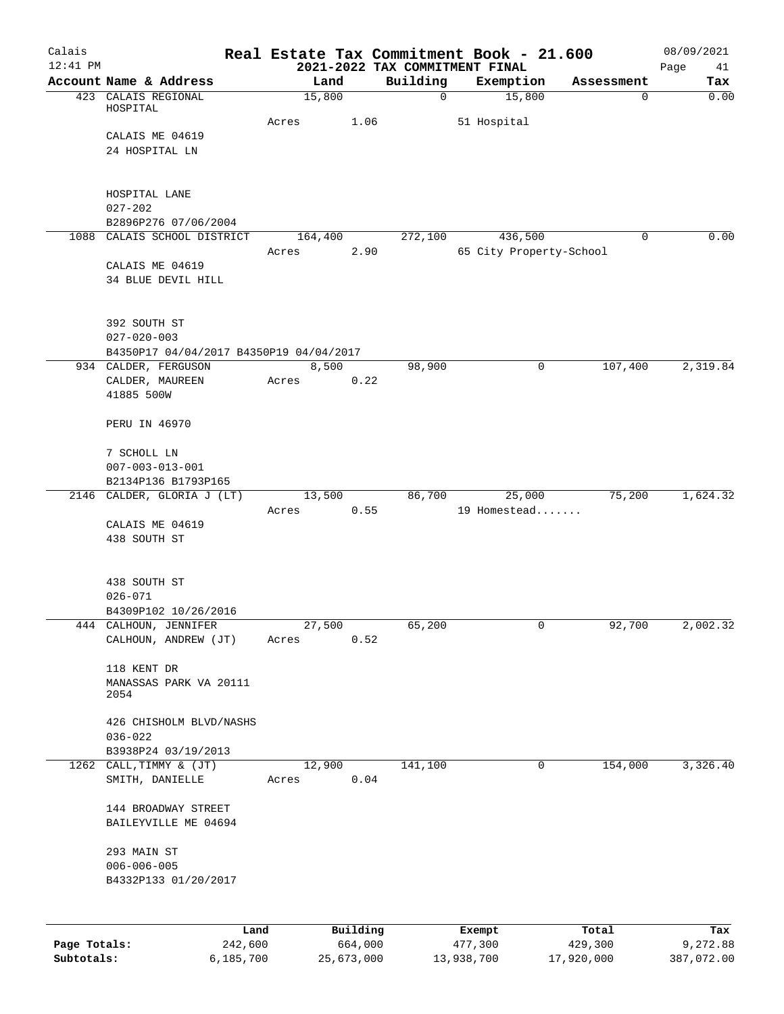| Calais<br>$12:41$ PM |                                         |                 |          | 2021-2022 TAX COMMITMENT FINAL | Real Estate Tax Commitment Book - 21.600 |            | 08/09/2021<br>Page<br>41 |
|----------------------|-----------------------------------------|-----------------|----------|--------------------------------|------------------------------------------|------------|--------------------------|
|                      | Account Name & Address                  | Land            |          | Building                       | Exemption                                | Assessment | Tax                      |
|                      | 423 CALAIS REGIONAL                     | 15,800          |          | $\mathbf 0$                    | 15,800                                   | 0          | 0.00                     |
|                      | HOSPITAL                                |                 |          |                                |                                          |            |                          |
|                      | CALAIS ME 04619                         | Acres           | 1.06     |                                | 51 Hospital                              |            |                          |
|                      | 24 HOSPITAL LN                          |                 |          |                                |                                          |            |                          |
|                      |                                         |                 |          |                                |                                          |            |                          |
|                      |                                         |                 |          |                                |                                          |            |                          |
|                      | HOSPITAL LANE                           |                 |          |                                |                                          |            |                          |
|                      | $027 - 202$<br>B2896P276 07/06/2004     |                 |          |                                |                                          |            |                          |
|                      | 1088 CALAIS SCHOOL DISTRICT             | 164,400         |          | 272,100                        | 436,500                                  | 0          | 0.00                     |
|                      |                                         | Acres           | 2.90     |                                | 65 City Property-School                  |            |                          |
|                      | CALAIS ME 04619                         |                 |          |                                |                                          |            |                          |
|                      | 34 BLUE DEVIL HILL                      |                 |          |                                |                                          |            |                          |
|                      |                                         |                 |          |                                |                                          |            |                          |
|                      | 392 SOUTH ST                            |                 |          |                                |                                          |            |                          |
|                      | $027 - 020 - 003$                       |                 |          |                                |                                          |            |                          |
|                      | B4350P17 04/04/2017 B4350P19 04/04/2017 |                 |          |                                |                                          |            |                          |
|                      | 934 CALDER, FERGUSON                    | 8,500           |          | 98,900                         | 0                                        | 107,400    | 2,319.84                 |
|                      | CALDER, MAUREEN                         | Acres           | 0.22     |                                |                                          |            |                          |
|                      | 41885 500W                              |                 |          |                                |                                          |            |                          |
|                      | PERU IN 46970                           |                 |          |                                |                                          |            |                          |
|                      |                                         |                 |          |                                |                                          |            |                          |
|                      | 7 SCHOLL LN                             |                 |          |                                |                                          |            |                          |
|                      | $007 - 003 - 013 - 001$                 |                 |          |                                |                                          |            |                          |
|                      | B2134P136 B1793P165                     |                 |          |                                |                                          |            |                          |
|                      | 2146 CALDER, GLORIA J (LT)              | 13,500<br>Acres | 0.55     | 86,700                         | 25,000<br>19 Homestead                   | 75,200     | 1,624.32                 |
|                      | CALAIS ME 04619                         |                 |          |                                |                                          |            |                          |
|                      | 438 SOUTH ST                            |                 |          |                                |                                          |            |                          |
|                      |                                         |                 |          |                                |                                          |            |                          |
|                      |                                         |                 |          |                                |                                          |            |                          |
|                      | 438 SOUTH ST<br>$026 - 071$             |                 |          |                                |                                          |            |                          |
|                      | B4309P102 10/26/2016                    |                 |          |                                |                                          |            |                          |
|                      | 444 CALHOUN, JENNIFER                   | 27,500          |          | 65,200                         | 0                                        | 92,700     | 2,002.32                 |
|                      | CALHOUN, ANDREW (JT)                    | Acres           | 0.52     |                                |                                          |            |                          |
|                      |                                         |                 |          |                                |                                          |            |                          |
|                      | 118 KENT DR<br>MANASSAS PARK VA 20111   |                 |          |                                |                                          |            |                          |
|                      | 2054                                    |                 |          |                                |                                          |            |                          |
|                      |                                         |                 |          |                                |                                          |            |                          |
|                      | 426 CHISHOLM BLVD/NASHS                 |                 |          |                                |                                          |            |                          |
|                      | $036 - 022$<br>B3938P24 03/19/2013      |                 |          |                                |                                          |            |                          |
|                      | 1262 CALL, TIMMY & (JT)                 | 12,900          |          | 141,100                        | 0                                        | 154,000    | 3,326.40                 |
|                      | SMITH, DANIELLE                         | Acres           | 0.04     |                                |                                          |            |                          |
|                      |                                         |                 |          |                                |                                          |            |                          |
|                      | 144 BROADWAY STREET                     |                 |          |                                |                                          |            |                          |
|                      | BAILEYVILLE ME 04694                    |                 |          |                                |                                          |            |                          |
|                      | 293 MAIN ST                             |                 |          |                                |                                          |            |                          |
|                      | $006 - 006 - 005$                       |                 |          |                                |                                          |            |                          |
|                      | B4332P133 01/20/2017                    |                 |          |                                |                                          |            |                          |
|                      |                                         |                 |          |                                |                                          |            |                          |
|                      |                                         |                 |          |                                |                                          |            |                          |
|                      | Land                                    |                 | Building |                                | Exempt                                   | Total      | Tax                      |
| Page Totals:         | 242,600                                 |                 | 664,000  |                                | 477,300                                  | 429,300    | 9,272.88                 |

**Subtotals:** 6,185,700 25,673,000 13,938,700 17,920,000 387,072.00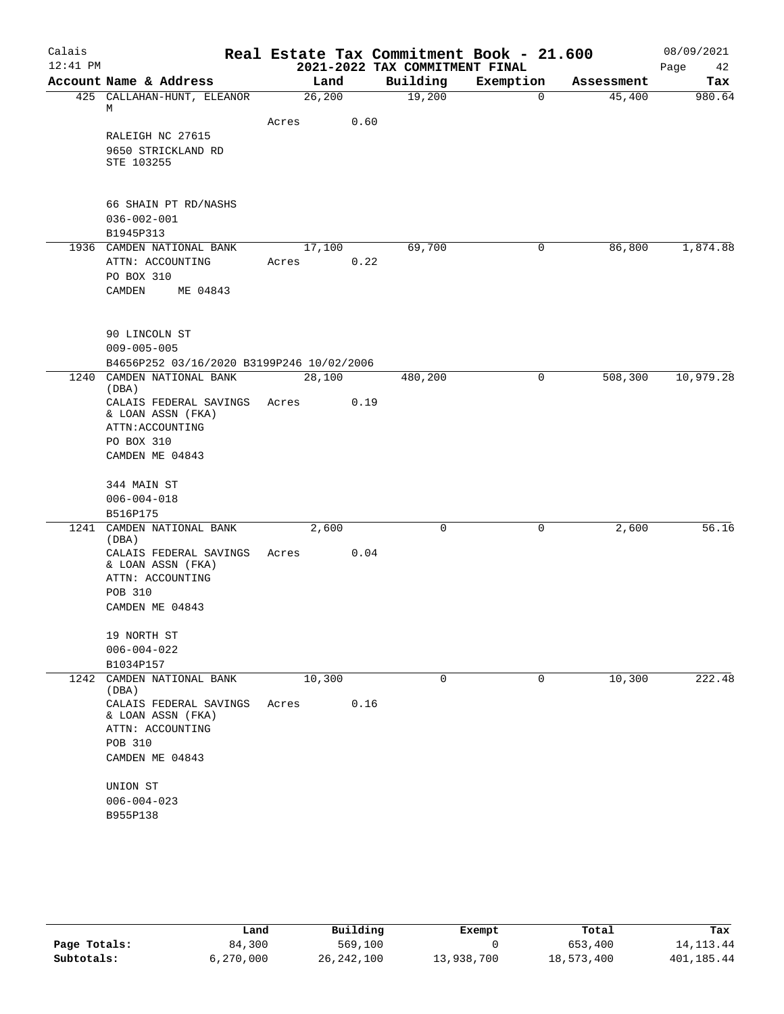| Calais     |                                             |       |         |                                            | Real Estate Tax Commitment Book - 21.600 |            | 08/09/2021        |
|------------|---------------------------------------------|-------|---------|--------------------------------------------|------------------------------------------|------------|-------------------|
| $12:41$ PM | Account Name & Address                      |       | Land    | 2021-2022 TAX COMMITMENT FINAL<br>Building | Exemption                                | Assessment | Page<br>42<br>Tax |
|            | 425 CALLAHAN-HUNT, ELEANOR                  |       | 26, 200 | 19,200                                     | $\mathbf 0$                              | 45,400     | 980.64            |
|            | М                                           |       |         |                                            |                                          |            |                   |
|            |                                             | Acres | 0.60    |                                            |                                          |            |                   |
|            | RALEIGH NC 27615                            |       |         |                                            |                                          |            |                   |
|            | 9650 STRICKLAND RD                          |       |         |                                            |                                          |            |                   |
|            | STE 103255                                  |       |         |                                            |                                          |            |                   |
|            |                                             |       |         |                                            |                                          |            |                   |
|            | 66 SHAIN PT RD/NASHS                        |       |         |                                            |                                          |            |                   |
|            | $036 - 002 - 001$                           |       |         |                                            |                                          |            |                   |
|            | B1945P313                                   |       |         |                                            |                                          |            |                   |
|            | 1936 CAMDEN NATIONAL BANK                   |       | 17,100  | 69,700                                     | 0                                        | 86,800     | 1,874.88          |
|            | ATTN: ACCOUNTING                            | Acres | 0.22    |                                            |                                          |            |                   |
|            | PO BOX 310                                  |       |         |                                            |                                          |            |                   |
|            | CAMDEN<br>ME 04843                          |       |         |                                            |                                          |            |                   |
|            |                                             |       |         |                                            |                                          |            |                   |
|            | 90 LINCOLN ST                               |       |         |                                            |                                          |            |                   |
|            | $009 - 005 - 005$                           |       |         |                                            |                                          |            |                   |
|            | B4656P252 03/16/2020 B3199P246 10/02/2006   |       |         |                                            |                                          |            |                   |
|            | 1240 CAMDEN NATIONAL BANK                   |       | 28,100  | 480,200                                    | 0                                        | 508,300    | 10,979.28         |
|            | (DBA)                                       |       |         |                                            |                                          |            |                   |
|            | CALAIS FEDERAL SAVINGS<br>& LOAN ASSN (FKA) | Acres | 0.19    |                                            |                                          |            |                   |
|            | ATTN: ACCOUNTING                            |       |         |                                            |                                          |            |                   |
|            | PO BOX 310                                  |       |         |                                            |                                          |            |                   |
|            | CAMDEN ME 04843                             |       |         |                                            |                                          |            |                   |
|            |                                             |       |         |                                            |                                          |            |                   |
|            | 344 MAIN ST                                 |       |         |                                            |                                          |            |                   |
|            | $006 - 004 - 018$                           |       |         |                                            |                                          |            |                   |
|            | B516P175                                    |       |         |                                            |                                          |            |                   |
|            | 1241 CAMDEN NATIONAL BANK<br>(DBA)          |       | 2,600   | 0                                          | 0                                        | 2,600      | 56.16             |
|            | CALAIS FEDERAL SAVINGS                      | Acres | 0.04    |                                            |                                          |            |                   |
|            | & LOAN ASSN (FKA)                           |       |         |                                            |                                          |            |                   |
|            | ATTN: ACCOUNTING                            |       |         |                                            |                                          |            |                   |
|            | POB 310                                     |       |         |                                            |                                          |            |                   |
|            | CAMDEN ME 04843                             |       |         |                                            |                                          |            |                   |
|            |                                             |       |         |                                            |                                          |            |                   |
|            | 19 NORTH ST<br>$006 - 004 - 022$            |       |         |                                            |                                          |            |                   |
|            | B1034P157                                   |       |         |                                            |                                          |            |                   |
| 1242       | CAMDEN NATIONAL BANK                        |       | 10,300  | 0                                          | 0                                        | 10,300     | 222.48            |
|            | (DBA)                                       |       |         |                                            |                                          |            |                   |
|            | CALAIS FEDERAL SAVINGS<br>& LOAN ASSN (FKA) | Acres | 0.16    |                                            |                                          |            |                   |
|            | ATTN: ACCOUNTING                            |       |         |                                            |                                          |            |                   |
|            | POB 310                                     |       |         |                                            |                                          |            |                   |
|            | CAMDEN ME 04843                             |       |         |                                            |                                          |            |                   |
|            |                                             |       |         |                                            |                                          |            |                   |
|            | UNION ST                                    |       |         |                                            |                                          |            |                   |
|            | $006 - 004 - 023$<br>B955P138               |       |         |                                            |                                          |            |                   |
|            |                                             |       |         |                                            |                                          |            |                   |

|              | Land      | Building   | Exempt     | Total      | Tax         |
|--------------|-----------|------------|------------|------------|-------------|
| Page Totals: | 84,300    | 569,100    |            | 653,400    | 14, 113, 44 |
| Subtotals:   | 6.270.000 | 26,242,100 | 13,938,700 | 18,573,400 | 401,185.44  |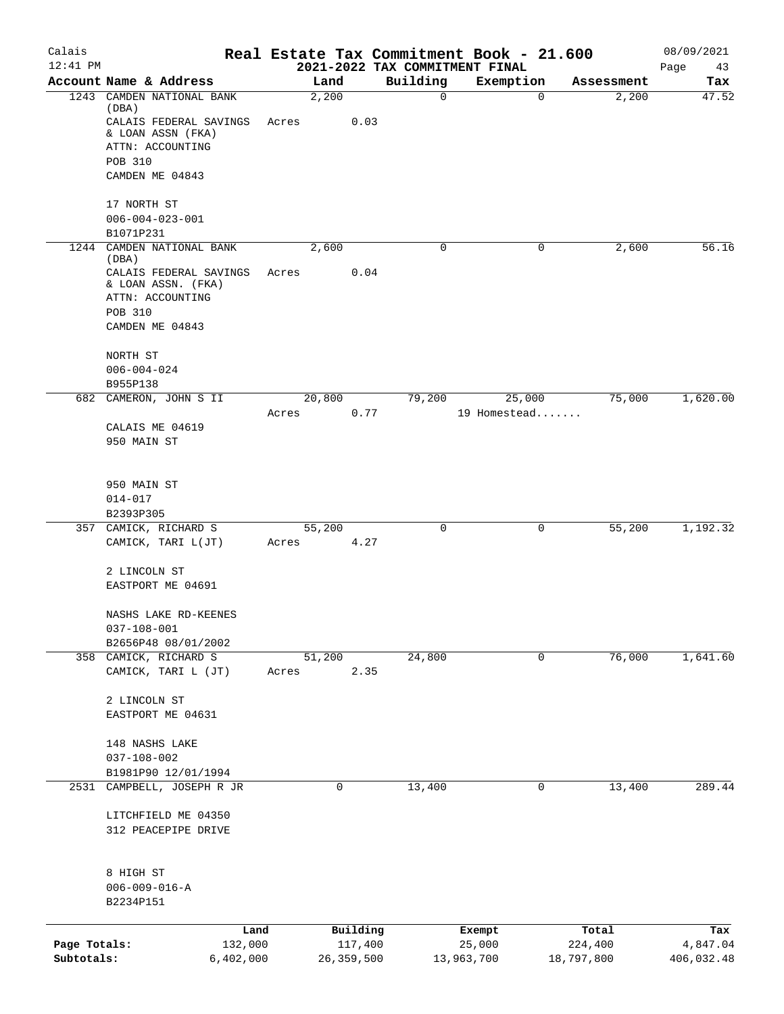|              |                                        |       |                     |                                            | Real Estate Tax Commitment Book - 21.600 |                  | 08/09/2021        |
|--------------|----------------------------------------|-------|---------------------|--------------------------------------------|------------------------------------------|------------------|-------------------|
| $12:41$ PM   | Account Name & Address                 |       | Land                | 2021-2022 TAX COMMITMENT FINAL<br>Building | Exemption                                | Assessment       | Page<br>43<br>Tax |
|              | 1243 CAMDEN NATIONAL BANK              |       | 2,200               | $\mathsf{O}$                               | 0                                        | 2,200            | 47.52             |
|              | (DBA)<br>CALAIS FEDERAL SAVINGS        | Acres | 0.03                |                                            |                                          |                  |                   |
|              | & LOAN ASSN (FKA)                      |       |                     |                                            |                                          |                  |                   |
|              | ATTN: ACCOUNTING                       |       |                     |                                            |                                          |                  |                   |
|              | POB 310<br>CAMDEN ME 04843             |       |                     |                                            |                                          |                  |                   |
|              |                                        |       |                     |                                            |                                          |                  |                   |
|              | 17 NORTH ST                            |       |                     |                                            |                                          |                  |                   |
|              | $006 - 004 - 023 - 001$                |       |                     |                                            |                                          |                  |                   |
| 1244         | B1071P231<br>CAMDEN NATIONAL BANK      |       | 2,600               | 0                                          | 0                                        |                  | 56.16             |
|              | (DBA)                                  |       |                     |                                            |                                          | 2,600            |                   |
|              | CALAIS FEDERAL SAVINGS                 | Acres | 0.04                |                                            |                                          |                  |                   |
|              | & LOAN ASSN. (FKA)<br>ATTN: ACCOUNTING |       |                     |                                            |                                          |                  |                   |
|              | <b>POB 310</b>                         |       |                     |                                            |                                          |                  |                   |
|              | CAMDEN ME 04843                        |       |                     |                                            |                                          |                  |                   |
|              |                                        |       |                     |                                            |                                          |                  |                   |
|              | NORTH ST<br>$006 - 004 - 024$          |       |                     |                                            |                                          |                  |                   |
|              | B955P138                               |       |                     |                                            |                                          |                  |                   |
|              | 682 CAMERON, JOHN S II                 |       | 20,800              | 79,200                                     | 25,000                                   | 75,000           | 1,620.00          |
|              |                                        | Acres | 0.77                |                                            | 19 Homestead                             |                  |                   |
|              | CALAIS ME 04619                        |       |                     |                                            |                                          |                  |                   |
|              | 950 MAIN ST                            |       |                     |                                            |                                          |                  |                   |
|              |                                        |       |                     |                                            |                                          |                  |                   |
|              | 950 MAIN ST                            |       |                     |                                            |                                          |                  |                   |
|              | 014-017                                |       |                     |                                            |                                          |                  |                   |
|              | B2393P305<br>357 CAMICK, RICHARD S     |       | 55,200              | 0                                          | 0                                        | 55,200           | 1,192.32          |
|              | CAMICK, TARI L(JT)                     | Acres | 4.27                |                                            |                                          |                  |                   |
|              |                                        |       |                     |                                            |                                          |                  |                   |
|              | 2 LINCOLN ST                           |       |                     |                                            |                                          |                  |                   |
|              | EASTPORT ME 04691                      |       |                     |                                            |                                          |                  |                   |
|              | NASHS LAKE RD-KEENES                   |       |                     |                                            |                                          |                  |                   |
|              | $037 - 108 - 001$                      |       |                     |                                            |                                          |                  |                   |
|              | B2656P48 08/01/2002                    |       |                     |                                            |                                          |                  |                   |
|              | 358 CAMICK, RICHARD S                  |       | 51,200              | 24,800                                     | 0                                        | 76,000           | 1,641.60          |
|              | CAMICK, TARI L (JT)                    | Acres | 2.35                |                                            |                                          |                  |                   |
|              | 2 LINCOLN ST                           |       |                     |                                            |                                          |                  |                   |
|              | EASTPORT ME 04631                      |       |                     |                                            |                                          |                  |                   |
|              | 148 NASHS LAKE                         |       |                     |                                            |                                          |                  |                   |
|              | $037 - 108 - 002$                      |       |                     |                                            |                                          |                  |                   |
|              | B1981P90 12/01/1994                    |       |                     |                                            |                                          |                  |                   |
| 2531         | CAMPBELL, JOSEPH R JR                  |       | 0                   | 13,400                                     | 0                                        | 13,400           | 289.44            |
|              | LITCHFIELD ME 04350                    |       |                     |                                            |                                          |                  |                   |
|              | 312 PEACEPIPE DRIVE                    |       |                     |                                            |                                          |                  |                   |
|              |                                        |       |                     |                                            |                                          |                  |                   |
|              |                                        |       |                     |                                            |                                          |                  |                   |
|              | 8 HIGH ST<br>$006 - 009 - 016 - A$     |       |                     |                                            |                                          |                  |                   |
|              | B2234P151                              |       |                     |                                            |                                          |                  |                   |
|              |                                        |       |                     |                                            |                                          |                  |                   |
| Page Totals: | Land<br>132,000                        |       | Building<br>117,400 |                                            | Exempt<br>25,000                         | Total<br>224,400 | Tax<br>4,847.04   |
| Subtotals:   | 6,402,000                              |       | 26, 359, 500        |                                            | 13,963,700                               | 18,797,800       | 406,032.48        |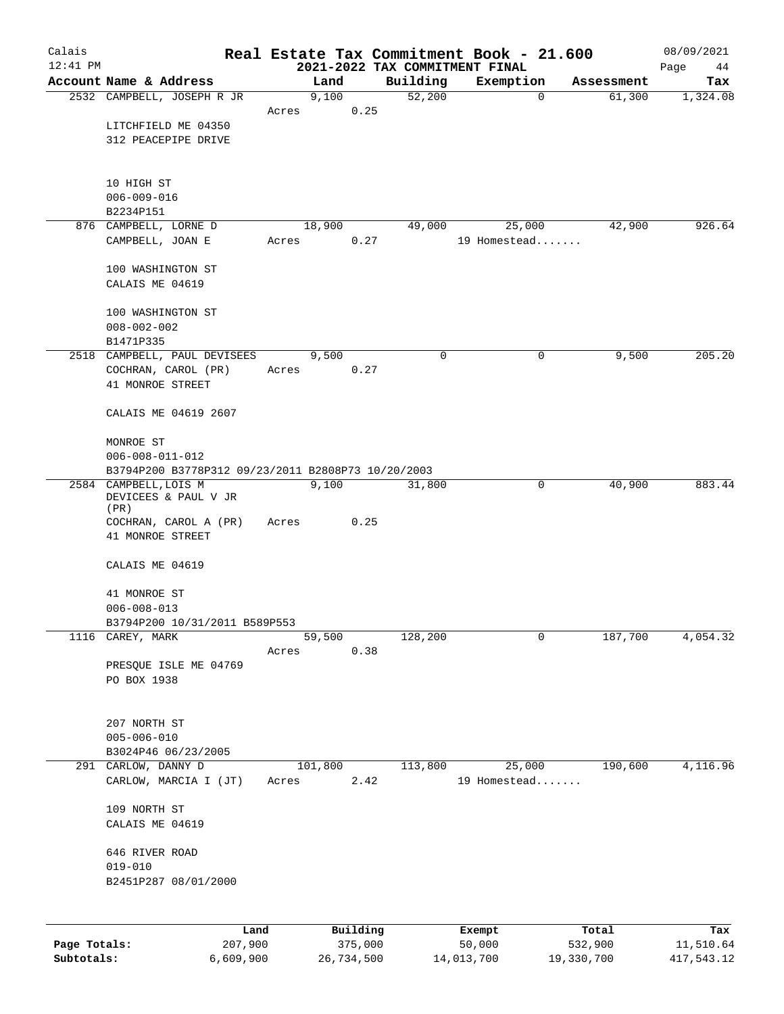| Calais       |                                                    |       |          |                                            | Real Estate Tax Commitment Book - 21.600 |                      | 08/09/2021      |
|--------------|----------------------------------------------------|-------|----------|--------------------------------------------|------------------------------------------|----------------------|-----------------|
| $12:41$ PM   | Account Name & Address                             |       | Land     | 2021-2022 TAX COMMITMENT FINAL<br>Building |                                          |                      | Page<br>44      |
|              | 2532 CAMPBELL, JOSEPH R JR                         |       | 9,100    | 52,200                                     | Exemption<br>$\mathbf 0$                 | Assessment<br>61,300 | Tax<br>1,324.08 |
|              |                                                    | Acres | 0.25     |                                            |                                          |                      |                 |
|              | LITCHFIELD ME 04350                                |       |          |                                            |                                          |                      |                 |
|              | 312 PEACEPIPE DRIVE                                |       |          |                                            |                                          |                      |                 |
|              |                                                    |       |          |                                            |                                          |                      |                 |
|              |                                                    |       |          |                                            |                                          |                      |                 |
|              | 10 HIGH ST<br>$006 - 009 - 016$                    |       |          |                                            |                                          |                      |                 |
|              | B2234P151                                          |       |          |                                            |                                          |                      |                 |
|              | 876 CAMPBELL, LORNE D                              |       | 18,900   | 49,000                                     | 25,000                                   | 42,900               | 926.64          |
|              | CAMPBELL, JOAN E                                   | Acres | 0.27     |                                            | 19 Homestead                             |                      |                 |
|              |                                                    |       |          |                                            |                                          |                      |                 |
|              | 100 WASHINGTON ST                                  |       |          |                                            |                                          |                      |                 |
|              | CALAIS ME 04619                                    |       |          |                                            |                                          |                      |                 |
|              |                                                    |       |          |                                            |                                          |                      |                 |
|              | 100 WASHINGTON ST<br>$008 - 002 - 002$             |       |          |                                            |                                          |                      |                 |
|              | B1471P335                                          |       |          |                                            |                                          |                      |                 |
|              | 2518 CAMPBELL, PAUL DEVISEES                       |       | 9,500    | 0                                          | 0                                        | 9,500                | 205.20          |
|              | COCHRAN, CAROL (PR)                                | Acres | 0.27     |                                            |                                          |                      |                 |
|              | 41 MONROE STREET                                   |       |          |                                            |                                          |                      |                 |
|              |                                                    |       |          |                                            |                                          |                      |                 |
|              | CALAIS ME 04619 2607                               |       |          |                                            |                                          |                      |                 |
|              | MONROE ST                                          |       |          |                                            |                                          |                      |                 |
|              | $006 - 008 - 011 - 012$                            |       |          |                                            |                                          |                      |                 |
|              | B3794P200 B3778P312 09/23/2011 B2808P73 10/20/2003 |       |          |                                            |                                          |                      |                 |
|              | 2584 CAMPBELL, LOIS M                              |       | 9,100    | 31,800                                     | 0                                        | 40,900               | 883.44          |
|              | DEVICEES & PAUL V JR                               |       |          |                                            |                                          |                      |                 |
|              | (PR)<br>COCHRAN, CAROL A (PR)                      | Acres | 0.25     |                                            |                                          |                      |                 |
|              | 41 MONROE STREET                                   |       |          |                                            |                                          |                      |                 |
|              |                                                    |       |          |                                            |                                          |                      |                 |
|              | CALAIS ME 04619                                    |       |          |                                            |                                          |                      |                 |
|              |                                                    |       |          |                                            |                                          |                      |                 |
|              | 41 MONROE ST<br>$006 - 008 - 013$                  |       |          |                                            |                                          |                      |                 |
|              | B3794P200 10/31/2011 B589P553                      |       |          |                                            |                                          |                      |                 |
| 1116         | CAREY, MARK                                        |       | 59,500   | 128,200                                    | 0                                        | 187,700              | 4,054.32        |
|              |                                                    | Acres | 0.38     |                                            |                                          |                      |                 |
|              | PRESQUE ISLE ME 04769                              |       |          |                                            |                                          |                      |                 |
|              | PO BOX 1938                                        |       |          |                                            |                                          |                      |                 |
|              |                                                    |       |          |                                            |                                          |                      |                 |
|              | 207 NORTH ST                                       |       |          |                                            |                                          |                      |                 |
|              | $005 - 006 - 010$                                  |       |          |                                            |                                          |                      |                 |
|              | B3024P46 06/23/2005                                |       |          |                                            |                                          |                      |                 |
|              | 291 CARLOW, DANNY D                                |       | 101,800  | 113,800                                    | 25,000                                   | 190,600              | 4,116.96        |
|              | CARLOW, MARCIA I (JT)                              | Acres | 2.42     |                                            | 19 Homestead                             |                      |                 |
|              |                                                    |       |          |                                            |                                          |                      |                 |
|              | 109 NORTH ST                                       |       |          |                                            |                                          |                      |                 |
|              | CALAIS ME 04619                                    |       |          |                                            |                                          |                      |                 |
|              | 646 RIVER ROAD                                     |       |          |                                            |                                          |                      |                 |
|              | $019 - 010$                                        |       |          |                                            |                                          |                      |                 |
|              | B2451P287 08/01/2000                               |       |          |                                            |                                          |                      |                 |
|              |                                                    |       |          |                                            |                                          |                      |                 |
|              |                                                    |       |          |                                            |                                          |                      |                 |
|              | Land                                               |       | Building |                                            | Exempt                                   | Total                | Tax             |
| Page Totals: | 207,900                                            |       | 375,000  |                                            | 50,000                                   | 532,900              | 11,510.64       |

**Subtotals:** 6,609,900 26,734,500 14,013,700 19,330,700 417,543.12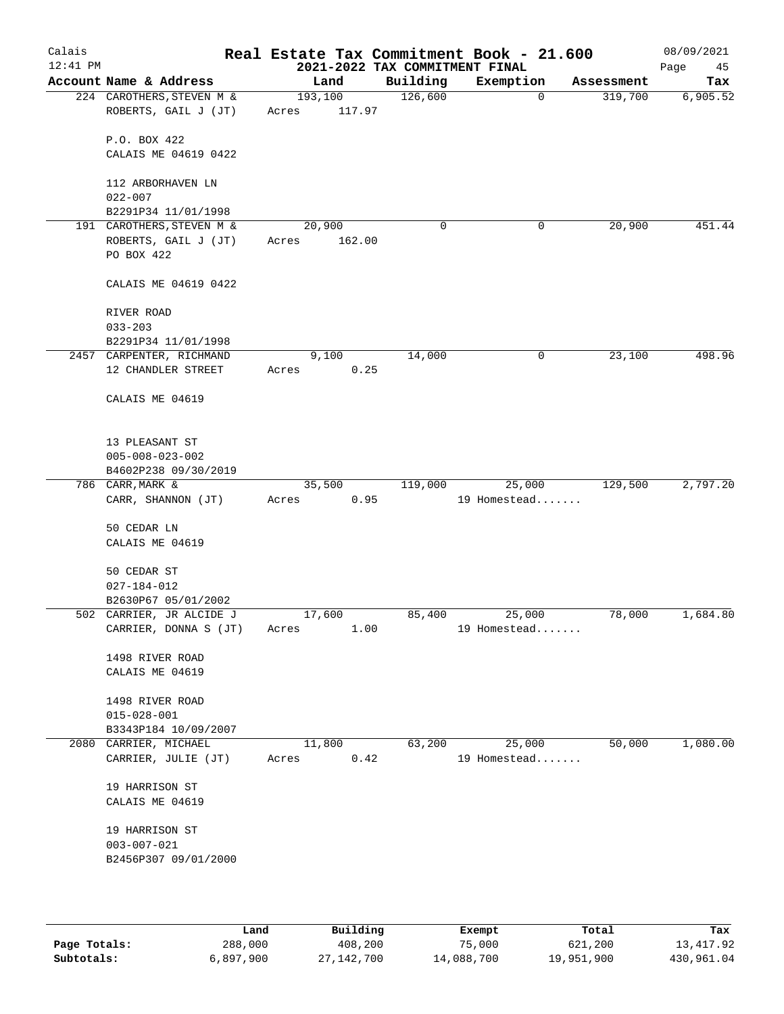| Calais<br>12:41 PM |                                    |         |        | 2021-2022 TAX COMMITMENT FINAL | Real Estate Tax Commitment Book - 21.600 |            | 08/09/2021<br>Page<br>45 |
|--------------------|------------------------------------|---------|--------|--------------------------------|------------------------------------------|------------|--------------------------|
|                    | Account Name & Address             |         | Land   | Building                       | Exemption                                | Assessment | Tax                      |
|                    | 224 CAROTHERS, STEVEN M &          | 193,100 |        | 126,600                        | $\mathbf 0$                              | 319,700    | 6,905.52                 |
|                    | ROBERTS, GAIL J (JT)               | Acres   | 117.97 |                                |                                          |            |                          |
|                    |                                    |         |        |                                |                                          |            |                          |
|                    | P.O. BOX 422                       |         |        |                                |                                          |            |                          |
|                    | CALAIS ME 04619 0422               |         |        |                                |                                          |            |                          |
|                    | 112 ARBORHAVEN LN                  |         |        |                                |                                          |            |                          |
|                    | $022 - 007$                        |         |        |                                |                                          |            |                          |
|                    | B2291P34 11/01/1998                |         |        |                                |                                          |            |                          |
|                    | 191 CAROTHERS, STEVEN M &          | 20,900  |        | $\mathbf 0$                    | 0                                        | 20,900     | 451.44                   |
|                    | ROBERTS, GAIL J (JT)               | Acres   | 162.00 |                                |                                          |            |                          |
|                    | PO BOX 422                         |         |        |                                |                                          |            |                          |
|                    | CALAIS ME 04619 0422               |         |        |                                |                                          |            |                          |
|                    | RIVER ROAD                         |         |        |                                |                                          |            |                          |
|                    | $033 - 203$                        |         |        |                                |                                          |            |                          |
|                    | B2291P34 11/01/1998                |         |        |                                |                                          |            |                          |
|                    | 2457 CARPENTER, RICHMAND           |         | 9,100  | 14,000                         | 0                                        | 23,100     | 498.96                   |
|                    | 12 CHANDLER STREET                 | Acres   | 0.25   |                                |                                          |            |                          |
|                    | CALAIS ME 04619                    |         |        |                                |                                          |            |                          |
|                    |                                    |         |        |                                |                                          |            |                          |
|                    | 13 PLEASANT ST                     |         |        |                                |                                          |            |                          |
|                    | $005 - 008 - 023 - 002$            |         |        |                                |                                          |            |                          |
|                    | B4602P238 09/30/2019               |         |        |                                |                                          |            |                          |
|                    | 786 CARR, MARK &                   | 35,500  |        | 119,000                        | 25,000                                   | 129,500    | 2,797.20                 |
|                    | CARR, SHANNON (JT)                 | Acres   | 0.95   |                                | 19 Homestead                             |            |                          |
|                    | 50 CEDAR LN                        |         |        |                                |                                          |            |                          |
|                    | CALAIS ME 04619                    |         |        |                                |                                          |            |                          |
|                    |                                    |         |        |                                |                                          |            |                          |
|                    | 50 CEDAR ST                        |         |        |                                |                                          |            |                          |
|                    | $027 - 184 - 012$                  |         |        |                                |                                          |            |                          |
|                    | B2630P67 05/01/2002                |         |        |                                |                                          |            |                          |
|                    | 502 CARRIER, JR ALCIDE J           | 17,600  |        | 85,400                         | 25,000                                   | 78,000     | 1,684.80                 |
|                    | CARRIER, DONNA S (JT)              | Acres   | 1.00   |                                | 19 Homestead                             |            |                          |
|                    |                                    |         |        |                                |                                          |            |                          |
|                    | 1498 RIVER ROAD<br>CALAIS ME 04619 |         |        |                                |                                          |            |                          |
|                    |                                    |         |        |                                |                                          |            |                          |
|                    | 1498 RIVER ROAD                    |         |        |                                |                                          |            |                          |
|                    | $015 - 028 - 001$                  |         |        |                                |                                          |            |                          |
|                    | B3343P184 10/09/2007               |         |        |                                |                                          |            |                          |
|                    | 2080 CARRIER, MICHAEL              | 11,800  |        | 63,200                         | 25,000                                   | 50,000     | 1,080.00                 |
|                    | CARRIER, JULIE (JT)                | Acres   | 0.42   |                                | 19 Homestead                             |            |                          |
|                    |                                    |         |        |                                |                                          |            |                          |
|                    | 19 HARRISON ST<br>CALAIS ME 04619  |         |        |                                |                                          |            |                          |
|                    |                                    |         |        |                                |                                          |            |                          |
|                    | 19 HARRISON ST                     |         |        |                                |                                          |            |                          |
|                    | $003 - 007 - 021$                  |         |        |                                |                                          |            |                          |
|                    | B2456P307 09/01/2000               |         |        |                                |                                          |            |                          |
|                    |                                    |         |        |                                |                                          |            |                          |
|                    |                                    |         |        |                                |                                          |            |                          |

|              | Land      | Building   | Exempt     | Total      | Tax        |
|--------------|-----------|------------|------------|------------|------------|
| Page Totals: | 288,000   | 408,200    | 75,000     | 621,200    | 13,417.92  |
| Subtotals:   | 6,897,900 | 27,142,700 | 14,088,700 | 19,951,900 | 430,961.04 |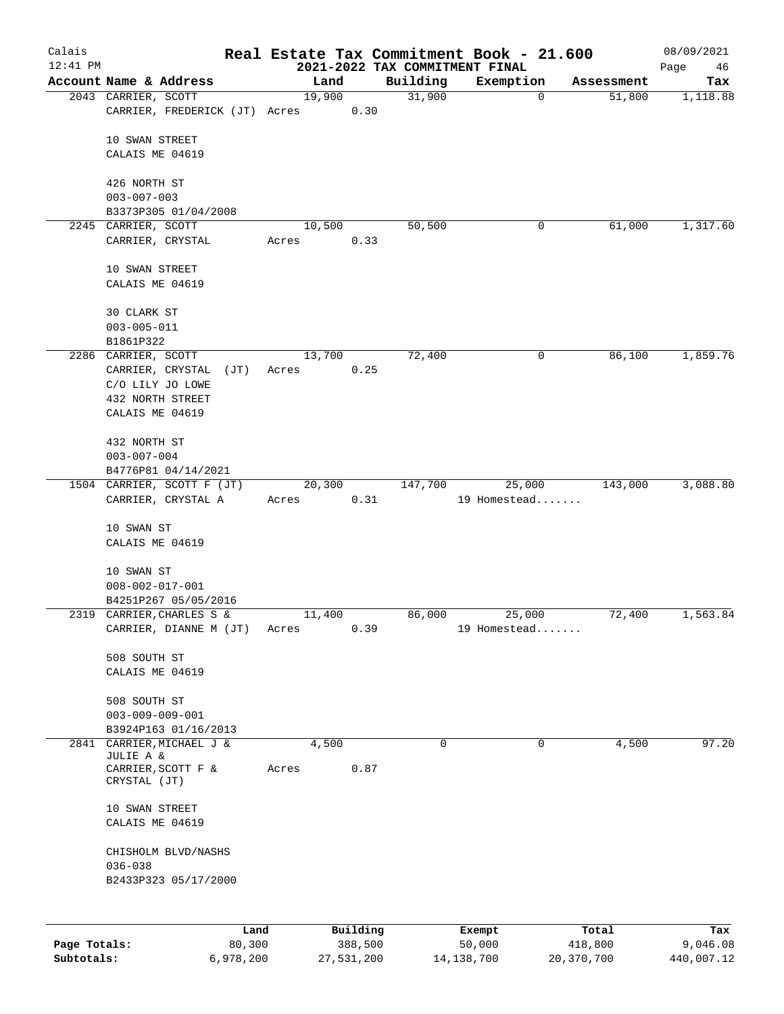| Calais       |                                                      |       |                |                                | Real Estate Tax Commitment Book - 21.600 |                      | 08/09/2021 |
|--------------|------------------------------------------------------|-------|----------------|--------------------------------|------------------------------------------|----------------------|------------|
| $12:41$ PM   |                                                      |       |                | 2021-2022 TAX COMMITMENT FINAL |                                          |                      | Page<br>46 |
|              | Account Name & Address                               |       | Land<br>19,900 | Building<br>31,900             | Exemption<br>0                           | Assessment<br>51,800 | Tax        |
|              | 2043 CARRIER, SCOTT<br>CARRIER, FREDERICK (JT) Acres |       | 0.30           |                                |                                          |                      | 1,118.88   |
|              | 10 SWAN STREET                                       |       |                |                                |                                          |                      |            |
|              | CALAIS ME 04619                                      |       |                |                                |                                          |                      |            |
|              | 426 NORTH ST                                         |       |                |                                |                                          |                      |            |
|              | $003 - 007 - 003$                                    |       |                |                                |                                          |                      |            |
|              | B3373P305 01/04/2008                                 |       |                |                                |                                          |                      |            |
|              | 2245 CARRIER, SCOTT<br>CARRIER, CRYSTAL              | Acres | 10,500<br>0.33 | 50,500                         | 0                                        | 61,000               | 1,317.60   |
|              | 10 SWAN STREET                                       |       |                |                                |                                          |                      |            |
|              | CALAIS ME 04619                                      |       |                |                                |                                          |                      |            |
|              | 30 CLARK ST                                          |       |                |                                |                                          |                      |            |
|              | $003 - 005 - 011$                                    |       |                |                                |                                          |                      |            |
|              | B1861P322                                            |       |                |                                |                                          |                      |            |
|              | 2286 CARRIER, SCOTT                                  |       | 13,700         | 72,400                         | 0                                        | 86,100               | 1,859.76   |
|              | CARRIER, CRYSTAL<br>(JT)                             | Acres | 0.25           |                                |                                          |                      |            |
|              | C/O LILY JO LOWE<br>432 NORTH STREET                 |       |                |                                |                                          |                      |            |
|              | CALAIS ME 04619                                      |       |                |                                |                                          |                      |            |
|              | 432 NORTH ST                                         |       |                |                                |                                          |                      |            |
|              | $003 - 007 - 004$                                    |       |                |                                |                                          |                      |            |
|              | B4776P81 04/14/2021                                  |       |                |                                |                                          |                      |            |
|              | 1504 CARRIER, SCOTT F (JT)<br>CARRIER, CRYSTAL A     | Acres | 20,300<br>0.31 | 147,700                        | 25,000<br>19 Homestead                   | 143,000              | 3,088.80   |
|              |                                                      |       |                |                                |                                          |                      |            |
|              | 10 SWAN ST                                           |       |                |                                |                                          |                      |            |
|              | CALAIS ME 04619                                      |       |                |                                |                                          |                      |            |
|              | 10 SWAN ST                                           |       |                |                                |                                          |                      |            |
|              | $008 - 002 - 017 - 001$                              |       |                |                                |                                          |                      |            |
|              | B4251P267 05/05/2016                                 |       |                |                                |                                          |                      |            |
|              | 2319 CARRIER, CHARLES S &                            |       | 11,400         | 86,000                         | 25,000                                   | 72,400               | 1,563.84   |
|              | CARRIER, DIANNE M (JT)                               | Acres | 0.39           |                                | 19 Homestead                             |                      |            |
|              | 508 SOUTH ST                                         |       |                |                                |                                          |                      |            |
|              | CALAIS ME 04619                                      |       |                |                                |                                          |                      |            |
|              | 508 SOUTH ST                                         |       |                |                                |                                          |                      |            |
|              | $003 - 009 - 009 - 001$                              |       |                |                                |                                          |                      |            |
|              | B3924P163 01/16/2013                                 |       |                |                                |                                          |                      |            |
| 2841         | CARRIER, MICHAEL J &<br>JULIE A &                    |       | 4,500          | $\mathbf 0$                    | 0                                        | 4,500                | 97.20      |
|              | CARRIER, SCOTT F &<br>CRYSTAL (JT)                   | Acres | 0.87           |                                |                                          |                      |            |
|              | 10 SWAN STREET                                       |       |                |                                |                                          |                      |            |
|              | CALAIS ME 04619                                      |       |                |                                |                                          |                      |            |
|              | CHISHOLM BLVD/NASHS                                  |       |                |                                |                                          |                      |            |
|              | $036 - 038$                                          |       |                |                                |                                          |                      |            |
|              | B2433P323 05/17/2000                                 |       |                |                                |                                          |                      |            |
|              |                                                      |       |                |                                |                                          |                      |            |
|              |                                                      | Land  | Building       |                                | Exempt                                   | Total                | Tax        |
| Page Totals: | 80,300                                               |       | 388,500        |                                | 50,000                                   | 418,800              | 9,046.08   |

**Subtotals:** 6,978,200 27,531,200 14,138,700 20,370,700 440,007.12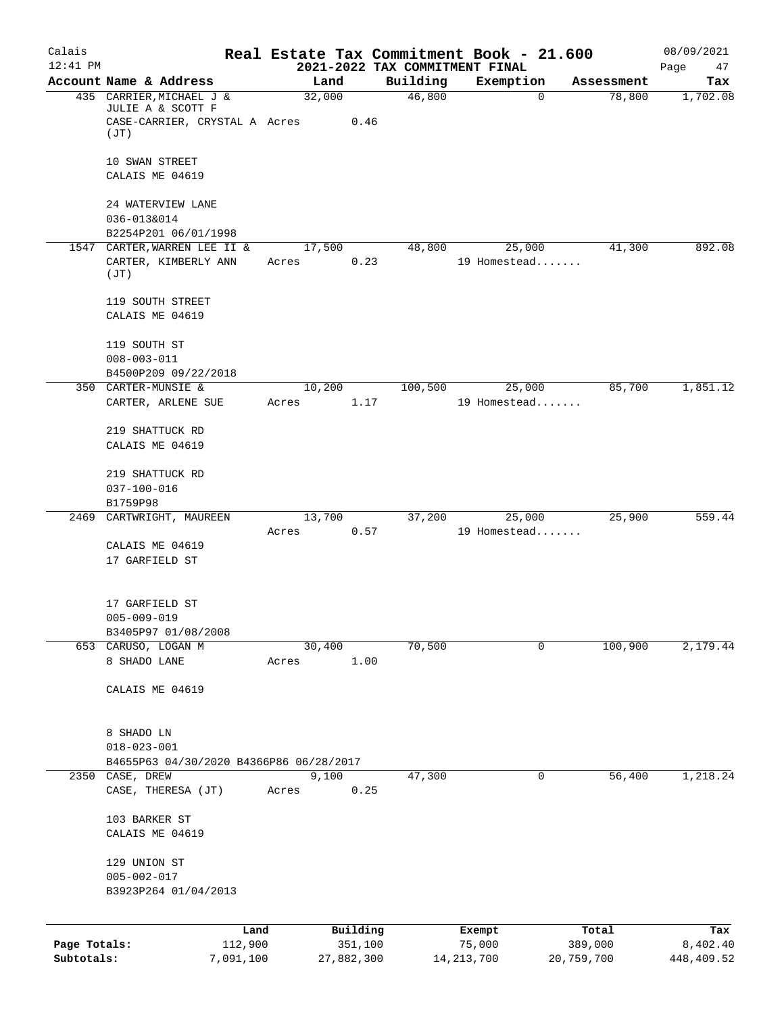| Calais       |                                                              |                 |            |          | Real Estate Tax Commitment Book - 21.600    |            | 08/09/2021        |
|--------------|--------------------------------------------------------------|-----------------|------------|----------|---------------------------------------------|------------|-------------------|
| $12:41$ PM   | Account Name & Address                                       | Land            |            | Building | 2021-2022 TAX COMMITMENT FINAL<br>Exemption | Assessment | Page<br>47<br>Tax |
|              | 435 CARRIER, MICHAEL J &                                     | 32,000          |            | 46,800   | $\mathbf 0$                                 | 78,800     | 1,702.08          |
|              | JULIE A & SCOTT F<br>CASE-CARRIER, CRYSTAL A Acres<br>(TT)   |                 | 0.46       |          |                                             |            |                   |
|              | 10 SWAN STREET                                               |                 |            |          |                                             |            |                   |
|              | CALAIS ME 04619                                              |                 |            |          |                                             |            |                   |
|              | 24 WATERVIEW LANE<br>036-013&014                             |                 |            |          |                                             |            |                   |
|              | B2254P201 06/01/1998<br>1547 CARTER, WARREN LEE II &         | 17,500          |            | 48,800   | 25,000                                      | 41,300     | 892.08            |
|              | CARTER, KIMBERLY ANN<br>(JT)                                 | Acres           | 0.23       |          | 19 Homestead                                |            |                   |
|              | 119 SOUTH STREET                                             |                 |            |          |                                             |            |                   |
|              | CALAIS ME 04619                                              |                 |            |          |                                             |            |                   |
|              | 119 SOUTH ST<br>$008 - 003 - 011$                            |                 |            |          |                                             |            |                   |
|              | B4500P209 09/22/2018                                         |                 |            |          |                                             |            |                   |
|              | 350 CARTER-MUNSIE &<br>CARTER, ARLENE SUE                    | 10,200<br>Acres | 1.17       | 100,500  | 25,000<br>19 Homestead                      | 85,700     | 1,851.12          |
|              | 219 SHATTUCK RD                                              |                 |            |          |                                             |            |                   |
|              | CALAIS ME 04619                                              |                 |            |          |                                             |            |                   |
|              | 219 SHATTUCK RD<br>$037 - 100 - 016$                         |                 |            |          |                                             |            |                   |
|              | B1759P98                                                     |                 |            |          |                                             |            |                   |
| 2469         | CARTWRIGHT, MAUREEN                                          | 13,700          |            | 37,200   | 25,000                                      | 25,900     | 559.44            |
|              | CALAIS ME 04619                                              | Acres           | 0.57       |          | 19 Homestead                                |            |                   |
|              | 17 GARFIELD ST                                               |                 |            |          |                                             |            |                   |
|              | 17 GARFIELD ST                                               |                 |            |          |                                             |            |                   |
|              | $005 - 009 - 019$<br>B3405P97 01/08/2008                     |                 |            |          |                                             |            |                   |
|              | 653 CARUSO, LOGAN M                                          | 30,400          |            | 70,500   | 0                                           | 100,900    | 2,179.44          |
|              | 8 SHADO LANE                                                 | Acres           | 1.00       |          |                                             |            |                   |
|              | CALAIS ME 04619                                              |                 |            |          |                                             |            |                   |
|              | 8 SHADO LN                                                   |                 |            |          |                                             |            |                   |
|              | $018 - 023 - 001$<br>B4655P63 04/30/2020 B4366P86 06/28/2017 |                 |            |          |                                             |            |                   |
|              | 2350 CASE, DREW                                              | 9,100           |            | 47,300   | 0                                           | 56,400     | 1,218.24          |
|              | CASE, THERESA (JT)                                           | Acres           | 0.25       |          |                                             |            |                   |
|              | 103 BARKER ST<br>CALAIS ME 04619                             |                 |            |          |                                             |            |                   |
|              | 129 UNION ST<br>$005 - 002 - 017$                            |                 |            |          |                                             |            |                   |
|              | B3923P264 01/04/2013                                         |                 |            |          |                                             |            |                   |
|              | Land                                                         |                 | Building   |          | Exempt                                      | Total      | Tax               |
| Page Totals: | 112,900                                                      |                 | 351,100    |          | 75,000                                      | 389,000    | 8,402.40          |
| Subtotals:   | 7,091,100                                                    |                 | 27,882,300 |          | 14, 213, 700                                | 20,759,700 | 448,409.52        |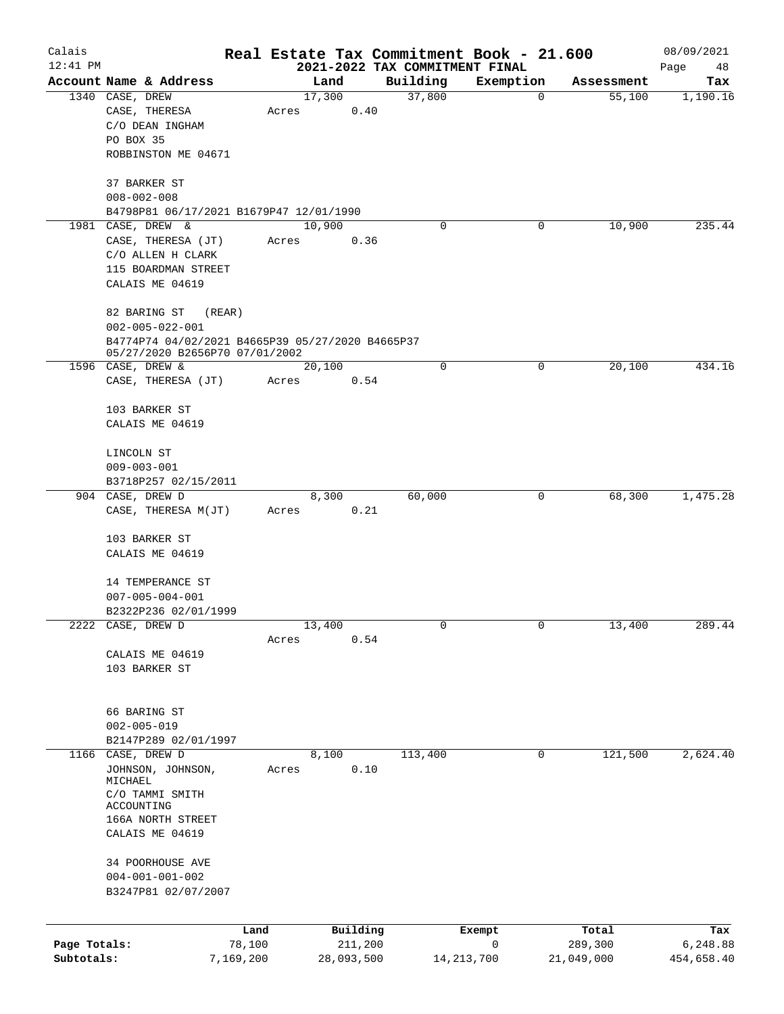| Calais       |                                                                                    |           |       |                |      | Real Estate Tax Commitment Book - 21.600 |             |             |                      | 08/09/2021      |
|--------------|------------------------------------------------------------------------------------|-----------|-------|----------------|------|------------------------------------------|-------------|-------------|----------------------|-----------------|
| $12:41$ PM   | Account Name & Address                                                             |           |       |                |      | 2021-2022 TAX COMMITMENT FINAL           |             |             |                      | Page<br>48      |
|              | 1340 CASE, DREW                                                                    |           |       | Land<br>17,300 |      | Building<br>37,800                       | Exemption   | $\mathbf 0$ | Assessment<br>55,100 | Tax<br>1,190.16 |
|              | CASE, THERESA                                                                      |           | Acres |                | 0.40 |                                          |             |             |                      |                 |
|              | C/O DEAN INGHAM                                                                    |           |       |                |      |                                          |             |             |                      |                 |
|              | PO BOX 35                                                                          |           |       |                |      |                                          |             |             |                      |                 |
|              | ROBBINSTON ME 04671                                                                |           |       |                |      |                                          |             |             |                      |                 |
|              | 37 BARKER ST                                                                       |           |       |                |      |                                          |             |             |                      |                 |
|              | $008 - 002 - 008$                                                                  |           |       |                |      |                                          |             |             |                      |                 |
|              | B4798P81 06/17/2021 B1679P47 12/01/1990                                            |           |       |                |      |                                          |             |             |                      |                 |
|              | 1981 CASE, DREW &                                                                  |           |       | 10,900         |      | 0                                        |             | 0           | 10,900               | 235.44          |
|              | CASE, THERESA (JT)                                                                 |           | Acres |                | 0.36 |                                          |             |             |                      |                 |
|              | C/O ALLEN H CLARK<br>115 BOARDMAN STREET                                           |           |       |                |      |                                          |             |             |                      |                 |
|              | CALAIS ME 04619                                                                    |           |       |                |      |                                          |             |             |                      |                 |
|              | 82 BARING ST                                                                       | (REAR)    |       |                |      |                                          |             |             |                      |                 |
|              | $002 - 005 - 022 - 001$                                                            |           |       |                |      |                                          |             |             |                      |                 |
|              | B4774P74 04/02/2021 B4665P39 05/27/2020 B4665P37<br>05/27/2020 B2656P70 07/01/2002 |           |       |                |      |                                          |             |             |                      |                 |
|              | 1596 CASE, DREW &                                                                  |           |       | 20,100         |      | $\mathbf 0$                              |             | 0           | 20,100               | 434.16          |
|              | CASE, THERESA (JT)                                                                 |           | Acres |                | 0.54 |                                          |             |             |                      |                 |
|              | 103 BARKER ST                                                                      |           |       |                |      |                                          |             |             |                      |                 |
|              | CALAIS ME 04619                                                                    |           |       |                |      |                                          |             |             |                      |                 |
|              | LINCOLN ST                                                                         |           |       |                |      |                                          |             |             |                      |                 |
|              | $009 - 003 - 001$                                                                  |           |       |                |      |                                          |             |             |                      |                 |
|              | B3718P257 02/15/2011                                                               |           |       |                |      |                                          |             |             |                      |                 |
|              | 904 CASE, DREW D                                                                   |           |       | 8,300          |      | 60,000                                   |             | 0           | 68,300               | 1,475.28        |
|              | CASE, THERESA M(JT)                                                                |           | Acres |                | 0.21 |                                          |             |             |                      |                 |
|              | 103 BARKER ST                                                                      |           |       |                |      |                                          |             |             |                      |                 |
|              | CALAIS ME 04619                                                                    |           |       |                |      |                                          |             |             |                      |                 |
|              | 14 TEMPERANCE ST                                                                   |           |       |                |      |                                          |             |             |                      |                 |
|              | $007 - 005 - 004 - 001$                                                            |           |       |                |      |                                          |             |             |                      |                 |
|              | B2322P236 02/01/1999                                                               |           |       |                |      |                                          |             |             |                      |                 |
|              | 2222 CASE, DREW D                                                                  |           |       | 13,400         |      | 0                                        |             | 0           | 13,400               | 289.44          |
|              |                                                                                    |           | Acres |                | 0.54 |                                          |             |             |                      |                 |
|              | CALAIS ME 04619                                                                    |           |       |                |      |                                          |             |             |                      |                 |
|              | 103 BARKER ST                                                                      |           |       |                |      |                                          |             |             |                      |                 |
|              |                                                                                    |           |       |                |      |                                          |             |             |                      |                 |
|              | 66 BARING ST                                                                       |           |       |                |      |                                          |             |             |                      |                 |
|              | $002 - 005 - 019$                                                                  |           |       |                |      |                                          |             |             |                      |                 |
|              | B2147P289 02/01/1997<br>1166 CASE, DREW D                                          |           |       | 8,100          |      | 113,400                                  |             | $\mathbf 0$ | 121,500              | 2,624.40        |
|              | JOHNSON, JOHNSON,                                                                  |           | Acres |                | 0.10 |                                          |             |             |                      |                 |
|              | MICHAEL                                                                            |           |       |                |      |                                          |             |             |                      |                 |
|              | C/O TAMMI SMITH                                                                    |           |       |                |      |                                          |             |             |                      |                 |
|              | ACCOUNTING<br>166A NORTH STREET                                                    |           |       |                |      |                                          |             |             |                      |                 |
|              | CALAIS ME 04619                                                                    |           |       |                |      |                                          |             |             |                      |                 |
|              |                                                                                    |           |       |                |      |                                          |             |             |                      |                 |
|              | 34 POORHOUSE AVE                                                                   |           |       |                |      |                                          |             |             |                      |                 |
|              | $004 - 001 - 001 - 002$<br>B3247P81 02/07/2007                                     |           |       |                |      |                                          |             |             |                      |                 |
|              |                                                                                    |           |       |                |      |                                          |             |             |                      |                 |
|              |                                                                                    | Land      |       | Building       |      |                                          | Exempt      |             | Total                | Tax             |
| Page Totals: |                                                                                    | 78,100    |       | 211,200        |      |                                          | $\mathbf 0$ |             | 289,300              | 6,248.88        |
| Subtotals:   |                                                                                    | 7,169,200 |       | 28,093,500     |      | 14, 213, 700                             |             |             | 21,049,000           | 454,658.40      |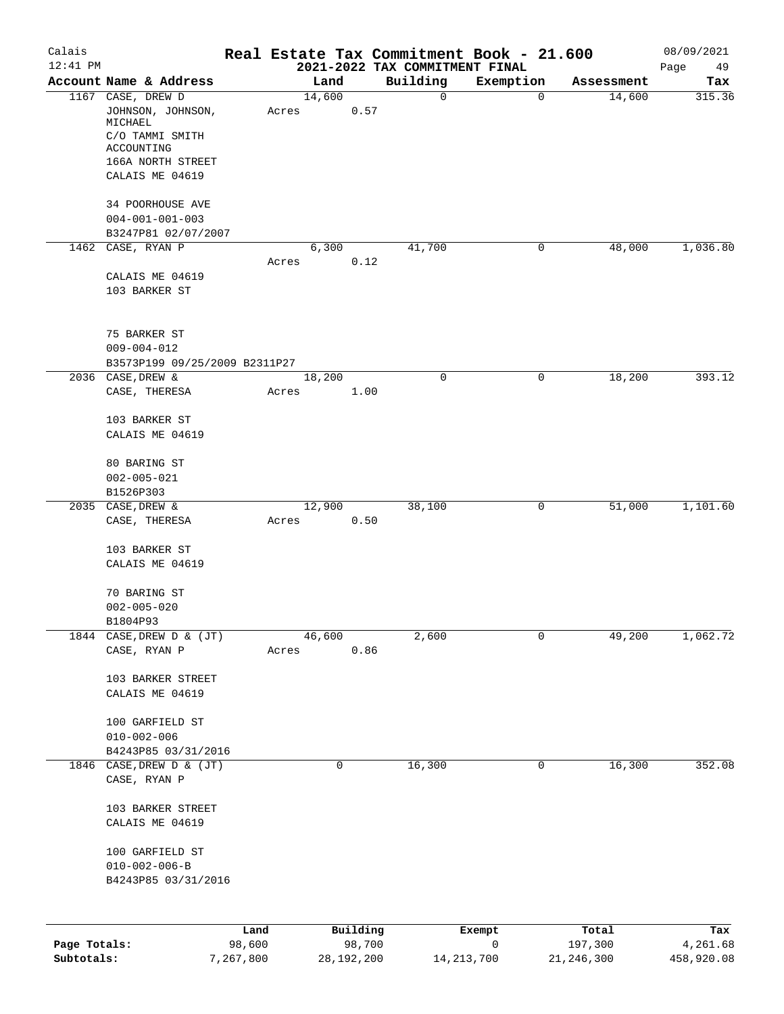| Calais       |                                          |                |        |              | Real Estate Tax Commitment Book - 21.600   |              |              | 08/09/2021      |
|--------------|------------------------------------------|----------------|--------|--------------|--------------------------------------------|--------------|--------------|-----------------|
| $12:41$ PM   | Account Name & Address                   |                | Land   |              | 2021-2022 TAX COMMITMENT FINAL<br>Building | Exemption    | Assessment   | Page<br>49      |
|              | 1167 CASE, DREW D                        |                | 14,600 |              | 0                                          | $\mathbf 0$  | 14,600       | Tax<br>315.36   |
|              | JOHNSON, JOHNSON,<br>MICHAEL             |                | Acres  | 0.57         |                                            |              |              |                 |
|              | C/O TAMMI SMITH<br>ACCOUNTING            |                |        |              |                                            |              |              |                 |
|              | 166A NORTH STREET                        |                |        |              |                                            |              |              |                 |
|              | CALAIS ME 04619                          |                |        |              |                                            |              |              |                 |
|              | 34 POORHOUSE AVE                         |                |        |              |                                            |              |              |                 |
|              | $004 - 001 - 001 - 003$                  |                |        |              |                                            |              |              |                 |
|              | B3247P81 02/07/2007<br>1462 CASE, RYAN P |                | 6,300  |              | 41,700                                     | 0            | 48,000       | 1,036.80        |
|              |                                          |                | Acres  | 0.12         |                                            |              |              |                 |
|              | CALAIS ME 04619                          |                |        |              |                                            |              |              |                 |
|              | 103 BARKER ST                            |                |        |              |                                            |              |              |                 |
|              | 75 BARKER ST                             |                |        |              |                                            |              |              |                 |
|              | $009 - 004 - 012$                        |                |        |              |                                            |              |              |                 |
|              | B3573P199 09/25/2009 B2311P27            |                |        |              |                                            |              |              |                 |
|              | 2036 CASE, DREW &                        |                | 18,200 |              | $\mathbf 0$                                | 0            | 18,200       | 393.12          |
|              | CASE, THERESA                            |                | Acres  | 1.00         |                                            |              |              |                 |
|              | 103 BARKER ST                            |                |        |              |                                            |              |              |                 |
|              | CALAIS ME 04619                          |                |        |              |                                            |              |              |                 |
|              | 80 BARING ST                             |                |        |              |                                            |              |              |                 |
|              | $002 - 005 - 021$                        |                |        |              |                                            |              |              |                 |
|              | B1526P303<br>2035 CASE, DREW &           |                | 12,900 |              | 38,100                                     | 0            | 51,000       | 1,101.60        |
|              | CASE, THERESA                            |                | Acres  | 0.50         |                                            |              |              |                 |
|              |                                          |                |        |              |                                            |              |              |                 |
|              | 103 BARKER ST                            |                |        |              |                                            |              |              |                 |
|              | CALAIS ME 04619                          |                |        |              |                                            |              |              |                 |
|              | 70 BARING ST                             |                |        |              |                                            |              |              |                 |
|              | $002 - 005 - 020$                        |                |        |              |                                            |              |              |                 |
|              | B1804P93                                 |                |        |              |                                            |              |              |                 |
| 1844         | CASE, DREW D & (JT)                      |                | 46,600 |              | 2,600                                      | 0            | 49,200       | 1,062.72        |
|              | CASE, RYAN P                             |                | Acres  | 0.86         |                                            |              |              |                 |
|              | 103 BARKER STREET                        |                |        |              |                                            |              |              |                 |
|              | CALAIS ME 04619                          |                |        |              |                                            |              |              |                 |
|              | 100 GARFIELD ST                          |                |        |              |                                            |              |              |                 |
|              | $010 - 002 - 006$                        |                |        |              |                                            |              |              |                 |
|              | B4243P85 03/31/2016                      |                |        |              |                                            |              |              |                 |
|              | 1846 CASE, DREW D & (JT)<br>CASE, RYAN P |                |        | 0            | 16,300                                     | 0            | 16,300       | 352.08          |
|              | 103 BARKER STREET                        |                |        |              |                                            |              |              |                 |
|              | CALAIS ME 04619                          |                |        |              |                                            |              |              |                 |
|              | 100 GARFIELD ST                          |                |        |              |                                            |              |              |                 |
|              | $010 - 002 - 006 - B$                    |                |        |              |                                            |              |              |                 |
|              | B4243P85 03/31/2016                      |                |        |              |                                            |              |              |                 |
|              |                                          |                |        | Building     |                                            |              | Total        |                 |
| Page Totals: |                                          | Land<br>98,600 |        | 98,700       |                                            | Exempt<br>0  | 197,300      | Tax<br>4,261.68 |
| Subtotals:   |                                          | 7,267,800      |        | 28, 192, 200 |                                            | 14, 213, 700 | 21, 246, 300 | 458,920.08      |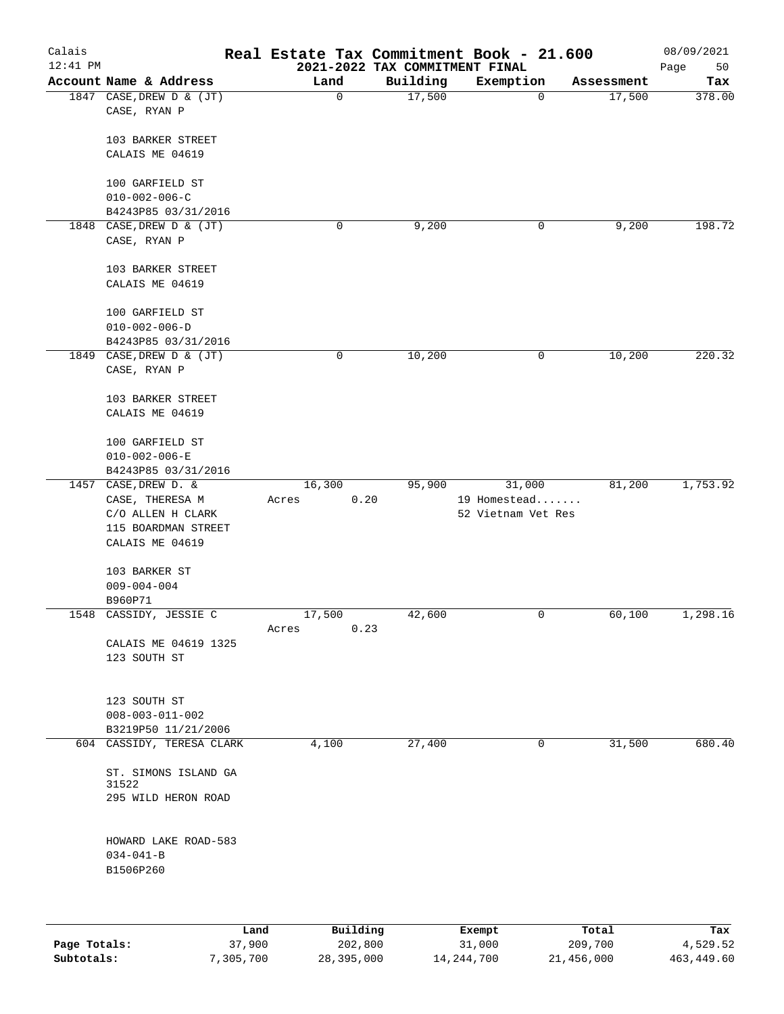| Calais<br>$12:41$ PM |                                                                                     |                  |             | Real Estate Tax Commitment Book - 21.600<br>2021-2022 TAX COMMITMENT FINAL |                                              |            | 08/09/2021<br>Page<br>50 |
|----------------------|-------------------------------------------------------------------------------------|------------------|-------------|----------------------------------------------------------------------------|----------------------------------------------|------------|--------------------------|
|                      | Account Name & Address                                                              | Land             |             | Building                                                                   | Exemption                                    | Assessment | Tax                      |
|                      | 1847 CASE, DREW D & (JT)<br>CASE, RYAN P                                            |                  | $\mathbf 0$ | 17,500                                                                     | $\mathbf 0$                                  | 17,500     | 378.00                   |
|                      | 103 BARKER STREET<br>CALAIS ME 04619                                                |                  |             |                                                                            |                                              |            |                          |
|                      | 100 GARFIELD ST<br>$010 - 002 - 006 - C$                                            |                  |             |                                                                            |                                              |            |                          |
|                      | B4243P85 03/31/2016                                                                 |                  |             |                                                                            |                                              |            |                          |
| 1848                 | CASE, DREW D & (JT)<br>CASE, RYAN P                                                 |                  | 0           | 9,200                                                                      | 0                                            | 9,200      | 198.72                   |
|                      | 103 BARKER STREET<br>CALAIS ME 04619                                                |                  |             |                                                                            |                                              |            |                          |
|                      | 100 GARFIELD ST<br>$010 - 002 - 006 - D$<br>B4243P85 03/31/2016                     |                  |             |                                                                            |                                              |            |                          |
|                      | 1849 CASE, DREW D & (JT)<br>CASE, RYAN P                                            |                  | 0           | 10,200                                                                     | 0                                            | 10,200     | 220.32                   |
|                      | 103 BARKER STREET<br>CALAIS ME 04619                                                |                  |             |                                                                            |                                              |            |                          |
|                      | 100 GARFIELD ST<br>$010 - 002 - 006 - E$<br>B4243P85 03/31/2016                     |                  |             |                                                                            |                                              |            |                          |
|                      | 1457 CASE, DREW D. &<br>CASE, THERESA M<br>C/O ALLEN H CLARK<br>115 BOARDMAN STREET | 16, 300<br>Acres | 0.20        | 95,900                                                                     | 31,000<br>19 Homestead<br>52 Vietnam Vet Res | 81,200     | 1,753.92                 |
|                      | CALAIS ME 04619<br>103 BARKER ST<br>$009 - 004 - 004$<br>B960P71                    |                  |             |                                                                            |                                              |            |                          |
| 1548                 | CASSIDY, JESSIE C                                                                   | 17,500<br>Acres  | 0.23        | 42,600                                                                     | 0                                            | 60,100     | 1,298.16                 |
|                      | CALAIS ME 04619 1325<br>123 SOUTH ST                                                |                  |             |                                                                            |                                              |            |                          |
|                      | 123 SOUTH ST<br>$008 - 003 - 011 - 002$<br>B3219P50 11/21/2006                      |                  |             |                                                                            |                                              |            |                          |
|                      | 604 CASSIDY, TERESA CLARK                                                           | 4,100            |             | 27,400                                                                     | 0                                            | 31,500     | 680.40                   |
|                      | ST. SIMONS ISLAND GA<br>31522<br>295 WILD HERON ROAD                                |                  |             |                                                                            |                                              |            |                          |
|                      | HOWARD LAKE ROAD-583<br>$034 - 041 - B$<br>B1506P260                                |                  |             |                                                                            |                                              |            |                          |
|                      |                                                                                     |                  |             |                                                                            |                                              |            |                          |

|              | Land      | Building   | Exempt     | Total      | Tax        |
|--------------|-----------|------------|------------|------------|------------|
| Page Totals: | 37,900    | 202,800    | 31,000     | 209,700    | 4,529.52   |
| Subtotals:   | 7,305,700 | 28,395,000 | 14,244,700 | 21,456,000 | 463,449.60 |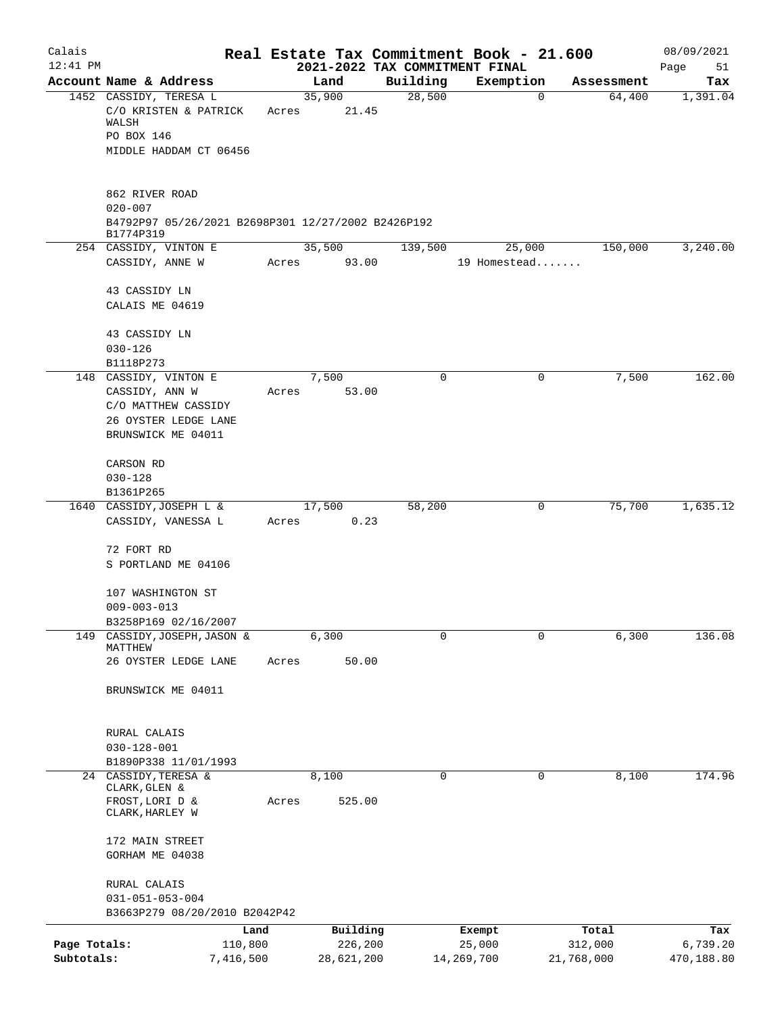| Calais       |                                                                                |                |            | Real Estate Tax Commitment Book - 21.600 |            | 08/09/2021                              |
|--------------|--------------------------------------------------------------------------------|----------------|------------|------------------------------------------|------------|-----------------------------------------|
| $12:41$ PM   |                                                                                |                |            | 2021-2022 TAX COMMITMENT FINAL           |            | Page<br>51                              |
|              | Account Name & Address<br>1452 CASSIDY, TERESA L                               | Land<br>35,900 | Building   | Exemption<br>28,500                      | 0          | Tax<br>Assessment<br>64,400<br>1,391.04 |
|              | C/O KRISTEN & PATRICK<br>WALSH                                                 | 21.45<br>Acres |            |                                          |            |                                         |
|              | PO BOX 146                                                                     |                |            |                                          |            |                                         |
|              | MIDDLE HADDAM CT 06456                                                         |                |            |                                          |            |                                         |
|              | 862 RIVER ROAD                                                                 |                |            |                                          |            |                                         |
|              | $020 - 007$<br>B4792P97 05/26/2021 B2698P301 12/27/2002 B2426P192<br>B1774P319 |                |            |                                          |            |                                         |
|              | 254 CASSIDY, VINTON E                                                          | 35,500         |            | 139,500                                  | 25,000     | 3,240.00<br>150,000                     |
|              | CASSIDY, ANNE W                                                                | 93.00<br>Acres |            | 19 Homestead                             |            |                                         |
|              | 43 CASSIDY LN                                                                  |                |            |                                          |            |                                         |
|              | CALAIS ME 04619                                                                |                |            |                                          |            |                                         |
|              | 43 CASSIDY LN                                                                  |                |            |                                          |            |                                         |
|              | $030 - 126$                                                                    |                |            |                                          |            |                                         |
|              | B1118P273                                                                      |                |            |                                          |            |                                         |
|              | 148 CASSIDY, VINTON E                                                          | 7,500          |            | $\Omega$                                 | 0          | 7,500<br>162.00                         |
|              | CASSIDY, ANN W<br>C/O MATTHEW CASSIDY                                          | Acres          | 53.00      |                                          |            |                                         |
|              | 26 OYSTER LEDGE LANE                                                           |                |            |                                          |            |                                         |
|              | BRUNSWICK ME 04011                                                             |                |            |                                          |            |                                         |
|              | CARSON RD                                                                      |                |            |                                          |            |                                         |
|              | $030 - 128$                                                                    |                |            |                                          |            |                                         |
|              | B1361P265<br>1640 CASSIDY, JOSEPH L &                                          | 17,500         |            | 58,200                                   | 0          | 75,700<br>1,635.12                      |
|              | CASSIDY, VANESSA L                                                             | Acres          | 0.23       |                                          |            |                                         |
|              |                                                                                |                |            |                                          |            |                                         |
|              | 72 FORT RD                                                                     |                |            |                                          |            |                                         |
|              | S PORTLAND ME 04106                                                            |                |            |                                          |            |                                         |
|              | 107 WASHINGTON ST                                                              |                |            |                                          |            |                                         |
|              | $009 - 003 - 013$                                                              |                |            |                                          |            |                                         |
|              | B3258P169 02/16/2007                                                           |                |            |                                          |            |                                         |
| 149          | CASSIDY, JOSEPH, JASON &<br>MATTHEW                                            | 6,300          |            | 0                                        | $\Omega$   | 6,300<br>136.08                         |
|              | 26 OYSTER LEDGE LANE                                                           | Acres          | 50.00      |                                          |            |                                         |
|              | BRUNSWICK ME 04011                                                             |                |            |                                          |            |                                         |
|              | RURAL CALAIS                                                                   |                |            |                                          |            |                                         |
|              | $030 - 128 - 001$                                                              |                |            |                                          |            |                                         |
|              | B1890P338 11/01/1993                                                           |                |            |                                          |            |                                         |
|              | 24 CASSIDY, TERESA &<br>CLARK, GLEN &                                          | 8,100          |            | 0                                        | 0          | 8,100<br>174.96                         |
|              | FROST, LORI D &<br>CLARK, HARLEY W                                             | Acres          | 525.00     |                                          |            |                                         |
|              | 172 MAIN STREET                                                                |                |            |                                          |            |                                         |
|              | GORHAM ME 04038                                                                |                |            |                                          |            |                                         |
|              | RURAL CALAIS                                                                   |                |            |                                          |            |                                         |
|              | $031 - 051 - 053 - 004$                                                        |                |            |                                          |            |                                         |
|              | B3663P279 08/20/2010 B2042P42                                                  |                |            |                                          |            |                                         |
|              | Land                                                                           |                | Building   | Exempt                                   | Total      | Tax                                     |
| Page Totals: | 110,800                                                                        |                | 226,200    | 25,000                                   | 312,000    | 6,739.20                                |
| Subtotals:   | 7,416,500                                                                      |                | 28,621,200 | 14,269,700                               | 21,768,000 | 470,188.80                              |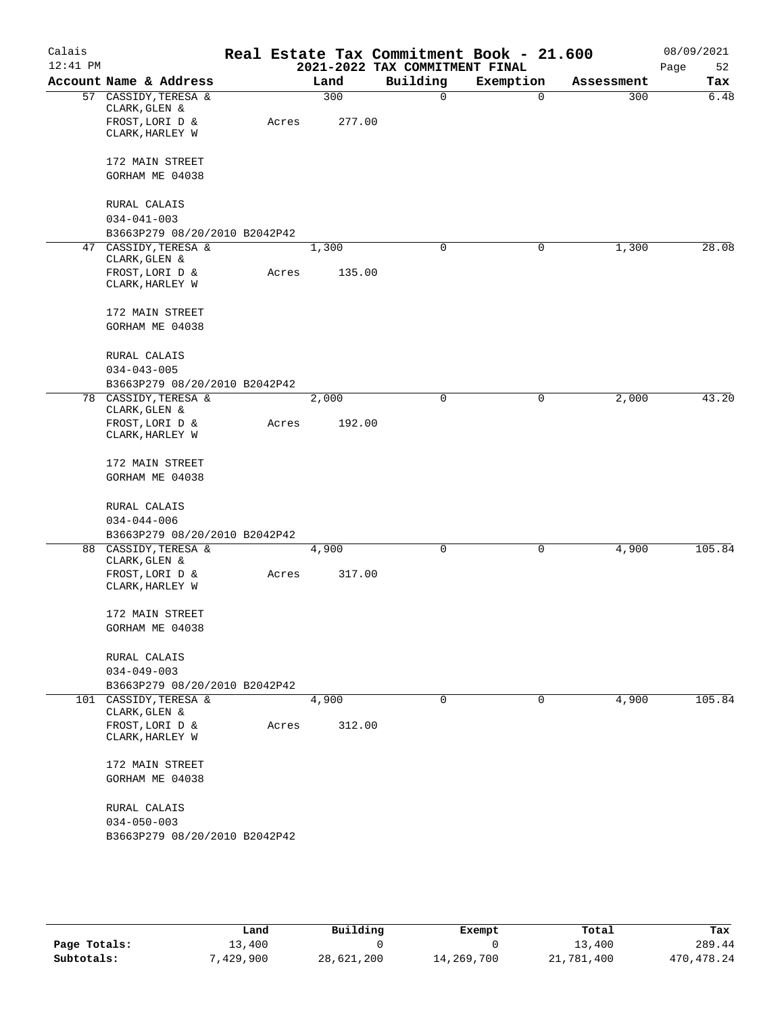| Calais<br>$12:41$ PM |                                                        |       |        | 2021-2022 TAX COMMITMENT FINAL | Real Estate Tax Commitment Book - 21.600 |            | 08/09/2021<br>Page<br>52 |
|----------------------|--------------------------------------------------------|-------|--------|--------------------------------|------------------------------------------|------------|--------------------------|
|                      | Account Name & Address                                 |       | Land   | Building                       | Exemption                                | Assessment | Tax                      |
|                      | 57 CASSIDY, TERESA &<br>CLARK, GLEN &                  |       | 300    | 0                              | $\mathbf 0$                              | 300        | 6.48                     |
|                      | FROST, LORI D &<br>CLARK, HARLEY W                     | Acres | 277.00 |                                |                                          |            |                          |
|                      | 172 MAIN STREET<br>GORHAM ME 04038                     |       |        |                                |                                          |            |                          |
|                      | RURAL CALAIS<br>$034 - 041 - 003$                      |       |        |                                |                                          |            |                          |
|                      | B3663P279 08/20/2010 B2042P42                          |       |        |                                |                                          |            |                          |
|                      | 47 CASSIDY, TERESA &<br>CLARK, GLEN &                  |       | 1,300  | 0                              | 0                                        | 1,300      | 28.08                    |
|                      | FROST, LORI D &<br>CLARK, HARLEY W                     | Acres | 135.00 |                                |                                          |            |                          |
|                      | 172 MAIN STREET<br>GORHAM ME 04038                     |       |        |                                |                                          |            |                          |
|                      | RURAL CALAIS<br>$034 - 043 - 005$                      |       |        |                                |                                          |            |                          |
|                      | B3663P279 08/20/2010 B2042P42                          |       |        |                                |                                          |            |                          |
|                      | 78 CASSIDY, TERESA &                                   |       | 2,000  | 0                              | 0                                        | 2,000      | 43.20                    |
|                      | CLARK, GLEN &<br>FROST, LORI D &                       | Acres | 192.00 |                                |                                          |            |                          |
|                      | CLARK, HARLEY W                                        |       |        |                                |                                          |            |                          |
|                      | 172 MAIN STREET                                        |       |        |                                |                                          |            |                          |
|                      | GORHAM ME 04038                                        |       |        |                                |                                          |            |                          |
|                      | RURAL CALAIS                                           |       |        |                                |                                          |            |                          |
|                      | $034 - 044 - 006$                                      |       |        |                                |                                          |            |                          |
|                      | B3663P279 08/20/2010 B2042P42                          |       |        |                                |                                          |            |                          |
|                      | 88 CASSIDY, TERESA &<br>CLARK, GLEN &                  |       | 4,900  | 0                              | 0                                        | 4,900      | 105.84                   |
|                      | FROST, LORI D &<br>CLARK, HARLEY W                     | Acres | 317.00 |                                |                                          |            |                          |
|                      | 172 MAIN STREET                                        |       |        |                                |                                          |            |                          |
|                      | GORHAM ME 04038                                        |       |        |                                |                                          |            |                          |
|                      | RURAL CALAIS                                           |       |        |                                |                                          |            |                          |
|                      | $034 - 049 - 003$                                      |       |        |                                |                                          |            |                          |
|                      | B3663P279 08/20/2010 B2042P42<br>101 CASSIDY, TERESA & |       | 4,900  | $\mathbf 0$                    | $\mathbf 0$                              | 4,900      | 105.84                   |
|                      | CLARK, GLEN &<br>FROST, LORI D &<br>CLARK, HARLEY W    | Acres | 312.00 |                                |                                          |            |                          |
|                      | 172 MAIN STREET<br>GORHAM ME 04038                     |       |        |                                |                                          |            |                          |
|                      | RURAL CALAIS<br>$034 - 050 - 003$                      |       |        |                                |                                          |            |                          |
|                      | B3663P279 08/20/2010 B2042P42                          |       |        |                                |                                          |            |                          |
|                      |                                                        |       |        |                                |                                          |            |                          |

|              | Land     | Building   | Exempt     | Total      | Tax          |
|--------------|----------|------------|------------|------------|--------------|
| Page Totals: | 13,400   |            |            | L3,400     | 289.44       |
| Subtotals:   | .429.900 | 28,621,200 | 14,269,700 | 21,781,400 | 470, 478. 24 |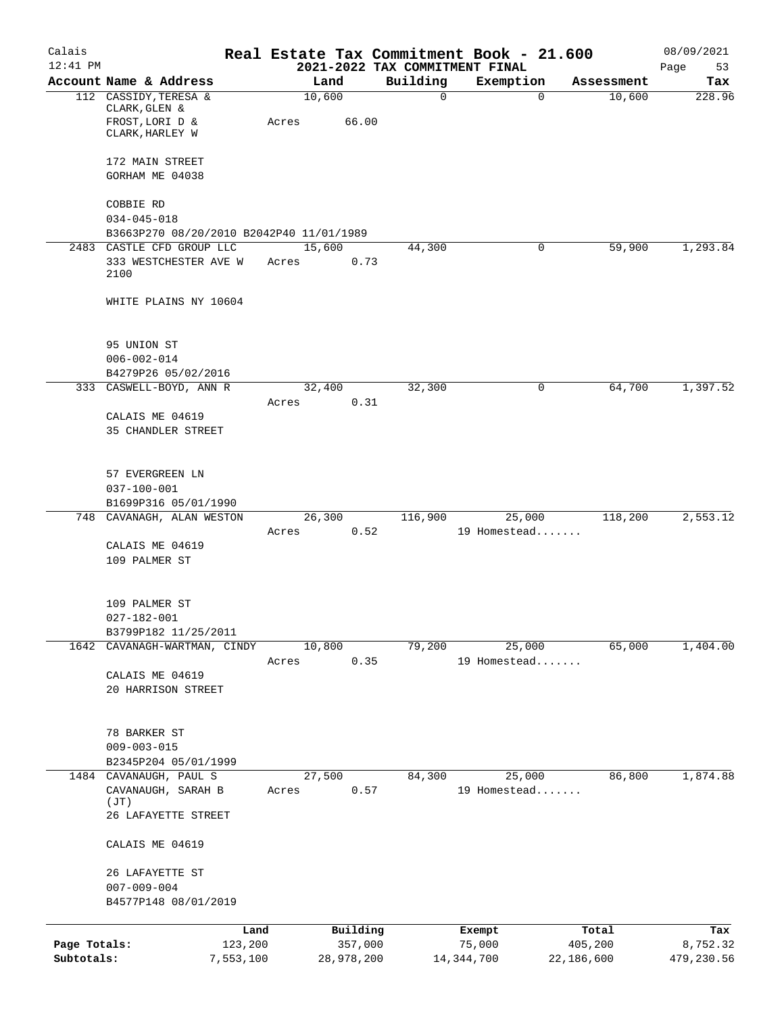| Calais                     |                                                            |       |                       |          | Real Estate Tax Commitment Book - 21.600    |                       | 08/09/2021             |
|----------------------------|------------------------------------------------------------|-------|-----------------------|----------|---------------------------------------------|-----------------------|------------------------|
| $12:41$ PM                 | Account Name & Address                                     |       | Land                  | Building | 2021-2022 TAX COMMITMENT FINAL<br>Exemption | Assessment            | Page<br>53<br>Tax      |
|                            | 112 CASSIDY, TERESA &<br>CLARK, GLEN &<br>FROST, LORI D &  | Acres | 10,600<br>66.00       | 0        | $\mathbf 0$                                 | 10,600                | 228.96                 |
|                            | CLARK, HARLEY W<br>172 MAIN STREET                         |       |                       |          |                                             |                       |                        |
|                            | GORHAM ME 04038                                            |       |                       |          |                                             |                       |                        |
|                            | COBBIE RD<br>$034 - 045 - 018$                             |       |                       |          |                                             |                       |                        |
|                            | B3663P270 08/20/2010 B2042P40 11/01/1989                   |       |                       |          |                                             |                       |                        |
|                            | 2483 CASTLE CFD GROUP LLC<br>333 WESTCHESTER AVE W<br>2100 | Acres | 15,600<br>0.73        | 44,300   | 0                                           | 59,900                | 1,293.84               |
|                            | WHITE PLAINS NY 10604                                      |       |                       |          |                                             |                       |                        |
|                            | 95 UNION ST<br>$006 - 002 - 014$                           |       |                       |          |                                             |                       |                        |
|                            | B4279P26 05/02/2016                                        |       |                       |          |                                             |                       |                        |
|                            | 333 CASWELL-BOYD, ANN R                                    | Acres | 32,400<br>0.31        | 32,300   | 0                                           | 64,700                | 1,397.52               |
|                            | CALAIS ME 04619<br>35 CHANDLER STREET                      |       |                       |          |                                             |                       |                        |
|                            | 57 EVERGREEN LN<br>$037 - 100 - 001$                       |       |                       |          |                                             |                       |                        |
|                            | B1699P316 05/01/1990                                       |       |                       |          |                                             |                       |                        |
|                            | 748 CAVANAGH, ALAN WESTON                                  | Acres | 26,300<br>0.52        | 116,900  | 25,000<br>19 Homestead                      | 118,200               | 2,553.12               |
|                            | CALAIS ME 04619                                            |       |                       |          |                                             |                       |                        |
|                            | 109 PALMER ST                                              |       |                       |          |                                             |                       |                        |
|                            | 109 PALMER ST                                              |       |                       |          |                                             |                       |                        |
|                            | $027 - 182 - 001$<br>B3799P182 11/25/2011                  |       |                       |          |                                             |                       |                        |
|                            | 1642 CAVANAGH-WARTMAN, CINDY                               |       | 10,800                | 79,200   | 25,000                                      | 65,000                | 1,404.00               |
|                            |                                                            | Acres | 0.35                  |          | 19 Homestead                                |                       |                        |
|                            | CALAIS ME 04619<br>20 HARRISON STREET                      |       |                       |          |                                             |                       |                        |
|                            | 78 BARKER ST<br>$009 - 003 - 015$                          |       |                       |          |                                             |                       |                        |
|                            | B2345P204 05/01/1999<br>1484 CAVANAUGH, PAUL S             |       | 27,500                | 84,300   | 25,000                                      | 86,800                | 1,874.88               |
|                            | CAVANAUGH, SARAH B                                         | Acres | 0.57                  |          | 19 Homestead                                |                       |                        |
|                            | (JT)<br>26 LAFAYETTE STREET                                |       |                       |          |                                             |                       |                        |
|                            | CALAIS ME 04619                                            |       |                       |          |                                             |                       |                        |
|                            | 26 LAFAYETTE ST<br>$007 - 009 - 004$                       |       |                       |          |                                             |                       |                        |
|                            | B4577P148 08/01/2019                                       |       |                       |          |                                             |                       |                        |
|                            |                                                            | Land  | Building              |          | Exempt                                      | Total                 | Tax                    |
| Page Totals:<br>Subtotals: | 123,200<br>7,553,100                                       |       | 357,000<br>28,978,200 |          | 75,000<br>14, 344, 700                      | 405,200<br>22,186,600 | 8,752.32<br>479,230.56 |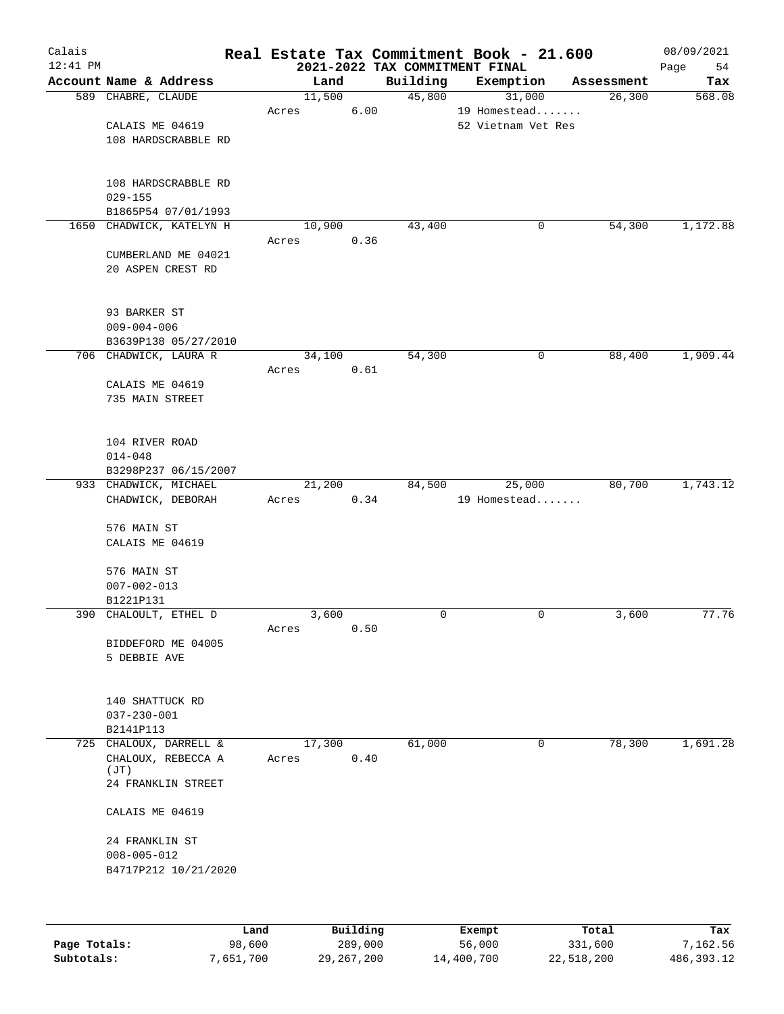| Calais<br>$12:41$ PM |                          |        |      | 2021-2022 TAX COMMITMENT FINAL | Real Estate Tax Commitment Book - 21.600 |            | 08/09/2021<br>Page<br>54 |
|----------------------|--------------------------|--------|------|--------------------------------|------------------------------------------|------------|--------------------------|
|                      | Account Name & Address   | Land   |      | Building                       | Exemption                                | Assessment | Tax                      |
|                      | 589 CHABRE, CLAUDE       | 11,500 |      | 45,800                         | 31,000                                   | 26,300     | 568.08                   |
|                      |                          | Acres  | 6.00 |                                | 19 Homestead                             |            |                          |
|                      | CALAIS ME 04619          |        |      |                                | 52 Vietnam Vet Res                       |            |                          |
|                      | 108 HARDSCRABBLE RD      |        |      |                                |                                          |            |                          |
|                      |                          |        |      |                                |                                          |            |                          |
|                      |                          |        |      |                                |                                          |            |                          |
|                      | 108 HARDSCRABBLE RD      |        |      |                                |                                          |            |                          |
|                      | $029 - 155$              |        |      |                                |                                          |            |                          |
|                      | B1865P54 07/01/1993      |        |      |                                |                                          |            |                          |
|                      | 1650 CHADWICK, KATELYN H | 10,900 |      | 43,400                         | 0                                        | 54,300     | 1,172.88                 |
|                      |                          | Acres  | 0.36 |                                |                                          |            |                          |
|                      | CUMBERLAND ME 04021      |        |      |                                |                                          |            |                          |
|                      | 20 ASPEN CREST RD        |        |      |                                |                                          |            |                          |
|                      |                          |        |      |                                |                                          |            |                          |
|                      |                          |        |      |                                |                                          |            |                          |
|                      | 93 BARKER ST             |        |      |                                |                                          |            |                          |
|                      | $009 - 004 - 006$        |        |      |                                |                                          |            |                          |
|                      | B3639P138 05/27/2010     |        |      |                                |                                          |            |                          |
|                      | 706 CHADWICK, LAURA R    | 34,100 |      | 54,300                         | 0                                        | 88,400     | 1,909.44                 |
|                      |                          | Acres  | 0.61 |                                |                                          |            |                          |
|                      | CALAIS ME 04619          |        |      |                                |                                          |            |                          |
|                      | 735 MAIN STREET          |        |      |                                |                                          |            |                          |
|                      |                          |        |      |                                |                                          |            |                          |
|                      |                          |        |      |                                |                                          |            |                          |
|                      | 104 RIVER ROAD           |        |      |                                |                                          |            |                          |
|                      | $014 - 048$              |        |      |                                |                                          |            |                          |
|                      | B3298P237 06/15/2007     |        |      |                                |                                          |            |                          |
|                      | 933 CHADWICK, MICHAEL    | 21,200 |      | 84,500                         | 25,000                                   | 80,700     | 1,743.12                 |
|                      | CHADWICK, DEBORAH        | Acres  | 0.34 |                                | 19 Homestead                             |            |                          |
|                      |                          |        |      |                                |                                          |            |                          |
|                      | 576 MAIN ST              |        |      |                                |                                          |            |                          |
|                      | CALAIS ME 04619          |        |      |                                |                                          |            |                          |
|                      |                          |        |      |                                |                                          |            |                          |
|                      | 576 MAIN ST              |        |      |                                |                                          |            |                          |
|                      | $007 - 002 - 013$        |        |      |                                |                                          |            |                          |
|                      | B1221P131                |        |      |                                |                                          |            |                          |
|                      | 390 CHALOULT, ETHEL D    | 3,600  |      | $\mathbf 0$                    | $\mathsf{O}$                             | 3,600      | 77.76                    |
|                      |                          | Acres  | 0.50 |                                |                                          |            |                          |
|                      | BIDDEFORD ME 04005       |        |      |                                |                                          |            |                          |
|                      | 5 DEBBIE AVE             |        |      |                                |                                          |            |                          |
|                      |                          |        |      |                                |                                          |            |                          |
|                      |                          |        |      |                                |                                          |            |                          |
|                      | 140 SHATTUCK RD          |        |      |                                |                                          |            |                          |
|                      | $037 - 230 - 001$        |        |      |                                |                                          |            |                          |
|                      | B2141P113                |        |      |                                |                                          |            |                          |
|                      | 725 CHALOUX, DARRELL &   | 17,300 |      | 61,000                         | 0                                        | 78,300     | 1,691.28                 |
|                      | CHALOUX, REBECCA A       | Acres  | 0.40 |                                |                                          |            |                          |
|                      | (JT)                     |        |      |                                |                                          |            |                          |
|                      | 24 FRANKLIN STREET       |        |      |                                |                                          |            |                          |
|                      |                          |        |      |                                |                                          |            |                          |
|                      | CALAIS ME 04619          |        |      |                                |                                          |            |                          |
|                      |                          |        |      |                                |                                          |            |                          |
|                      | 24 FRANKLIN ST           |        |      |                                |                                          |            |                          |
|                      | $008 - 005 - 012$        |        |      |                                |                                          |            |                          |
|                      | B4717P212 10/21/2020     |        |      |                                |                                          |            |                          |
|                      |                          |        |      |                                |                                          |            |                          |
|                      |                          |        |      |                                |                                          |            |                          |
|                      |                          |        |      |                                |                                          |            |                          |

|              | Land      | Building   | Exempt     | Total      | Tax        |
|--------------|-----------|------------|------------|------------|------------|
| Page Totals: | 98,600    | 289,000    | 56,000     | 331,600    | 7,162.56   |
| Subtotals:   | 7,651,700 | 29,267,200 | 14,400,700 | 22,518,200 | 486,393.12 |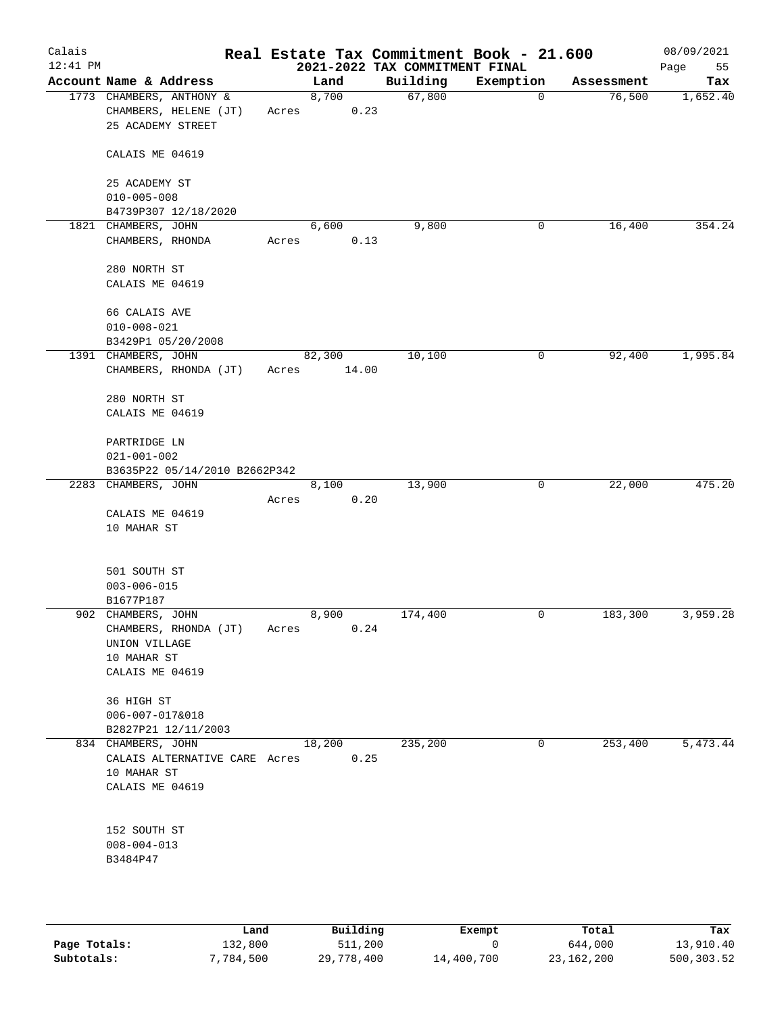| Calais<br>$12:41$ PM |                                                                        |       |        |       | 2021-2022 TAX COMMITMENT FINAL | Real Estate Tax Commitment Book - 21.600 |            | 08/09/2021<br>Page<br>55 |
|----------------------|------------------------------------------------------------------------|-------|--------|-------|--------------------------------|------------------------------------------|------------|--------------------------|
|                      | Account Name & Address                                                 |       | Land   |       | Building                       | Exemption                                | Assessment | Tax                      |
|                      | 1773 CHAMBERS, ANTHONY &<br>CHAMBERS, HELENE (JT)<br>25 ACADEMY STREET | Acres | 8,700  | 0.23  | 67,800                         | 0                                        | 76,500     | 1,652.40                 |
|                      | CALAIS ME 04619                                                        |       |        |       |                                |                                          |            |                          |
|                      | 25 ACADEMY ST                                                          |       |        |       |                                |                                          |            |                          |
|                      | $010 - 005 - 008$<br>B4739P307 12/18/2020                              |       |        |       |                                |                                          |            |                          |
|                      | 1821 CHAMBERS, JOHN                                                    |       | 6,600  |       | 9,800                          | 0                                        | 16,400     | 354.24                   |
|                      | CHAMBERS, RHONDA                                                       | Acres |        | 0.13  |                                |                                          |            |                          |
|                      | 280 NORTH ST                                                           |       |        |       |                                |                                          |            |                          |
|                      | CALAIS ME 04619                                                        |       |        |       |                                |                                          |            |                          |
|                      | 66 CALAIS AVE                                                          |       |        |       |                                |                                          |            |                          |
|                      | $010 - 008 - 021$<br>B3429P1 05/20/2008                                |       |        |       |                                |                                          |            |                          |
|                      | 1391 CHAMBERS, JOHN                                                    |       | 82,300 |       | 10,100                         | 0                                        | 92,400     | 1,995.84                 |
|                      | CHAMBERS, RHONDA (JT)                                                  | Acres |        | 14.00 |                                |                                          |            |                          |
|                      | 280 NORTH ST                                                           |       |        |       |                                |                                          |            |                          |
|                      | CALAIS ME 04619                                                        |       |        |       |                                |                                          |            |                          |
|                      | PARTRIDGE LN                                                           |       |        |       |                                |                                          |            |                          |
|                      | $021 - 001 - 002$<br>B3635P22 05/14/2010 B2662P342                     |       |        |       |                                |                                          |            |                          |
|                      | 2283 CHAMBERS, JOHN                                                    |       | 8,100  |       | 13,900                         | 0                                        | 22,000     | 475.20                   |
|                      |                                                                        | Acres |        | 0.20  |                                |                                          |            |                          |
|                      | CALAIS ME 04619                                                        |       |        |       |                                |                                          |            |                          |
|                      | 10 MAHAR ST                                                            |       |        |       |                                |                                          |            |                          |
|                      | 501 SOUTH ST                                                           |       |        |       |                                |                                          |            |                          |
|                      | $003 - 006 - 015$                                                      |       |        |       |                                |                                          |            |                          |
|                      | B1677P187                                                              |       |        |       |                                |                                          |            | 3,959.28                 |
|                      | 902 CHAMBERS, JOHN<br>CHAMBERS, RHONDA (JT)                            | Acres | 8,900  | 0.24  | 174,400                        | 0                                        | 183,300    |                          |
|                      | UNION VILLAGE                                                          |       |        |       |                                |                                          |            |                          |
|                      | 10 MAHAR ST                                                            |       |        |       |                                |                                          |            |                          |
|                      | CALAIS ME 04619                                                        |       |        |       |                                |                                          |            |                          |
|                      | 36 HIGH ST                                                             |       |        |       |                                |                                          |            |                          |
|                      | $006 - 007 - 017&018$<br>B2827P21 12/11/2003                           |       |        |       |                                |                                          |            |                          |
|                      | 834 CHAMBERS, JOHN                                                     |       | 18,200 |       | 235,200                        | 0                                        | 253,400    | 5,473.44                 |
|                      | CALAIS ALTERNATIVE CARE Acres<br>10 MAHAR ST                           |       |        | 0.25  |                                |                                          |            |                          |
|                      | CALAIS ME 04619                                                        |       |        |       |                                |                                          |            |                          |
|                      | 152 SOUTH ST                                                           |       |        |       |                                |                                          |            |                          |
|                      | $008 - 004 - 013$                                                      |       |        |       |                                |                                          |            |                          |
|                      | B3484P47                                                               |       |        |       |                                |                                          |            |                          |
|                      |                                                                        |       |        |       |                                |                                          |            |                          |
|                      |                                                                        |       |        |       |                                |                                          |            |                          |

|              | Land      | Building   |            | Total      | Tax        |
|--------------|-----------|------------|------------|------------|------------|
|              |           |            | Exempt     |            |            |
| Page Totals: | 132,800   | 511,200    |            | 644,000    | 13,910.40  |
| Subtotals:   | 7,784,500 | 29,778,400 | 14,400,700 | 23,162,200 | 500,303.52 |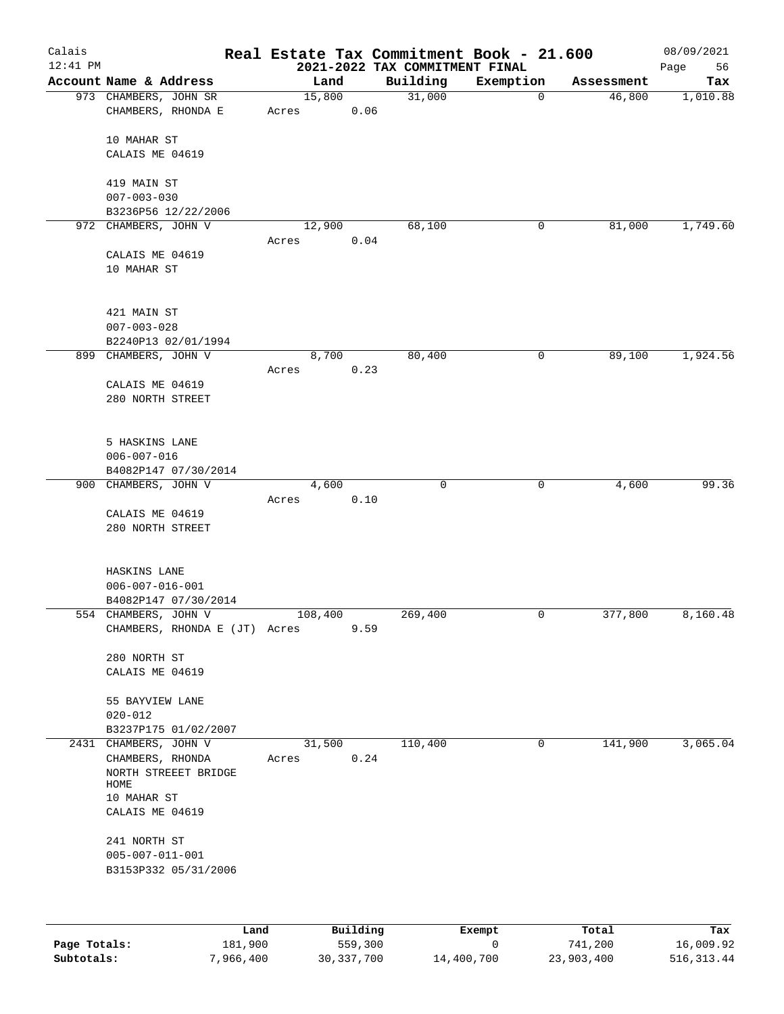| Calais<br>$12:41$ PM |                                                 |                 |      | 2021-2022 TAX COMMITMENT FINAL | Real Estate Tax Commitment Book - 21.600 |            | 08/09/2021<br>Page<br>56 |
|----------------------|-------------------------------------------------|-----------------|------|--------------------------------|------------------------------------------|------------|--------------------------|
|                      | Account Name & Address                          | Land            |      | Building                       | Exemption                                | Assessment | Tax                      |
|                      | 973 CHAMBERS, JOHN SR<br>CHAMBERS, RHONDA E     | 15,800<br>Acres | 0.06 | 31,000                         | $\overline{0}$                           | 46,800     | 1,010.88                 |
|                      | 10 MAHAR ST<br>CALAIS ME 04619                  |                 |      |                                |                                          |            |                          |
|                      | 419 MAIN ST                                     |                 |      |                                |                                          |            |                          |
|                      | $007 - 003 - 030$<br>B3236P56 12/22/2006        |                 |      |                                |                                          |            |                          |
|                      | 972 CHAMBERS, JOHN V                            | 12,900          |      | 68,100                         | 0                                        | 81,000     | 1,749.60                 |
|                      | CALAIS ME 04619                                 | Acres           | 0.04 |                                |                                          |            |                          |
|                      | 10 MAHAR ST                                     |                 |      |                                |                                          |            |                          |
|                      | 421 MAIN ST<br>$007 - 003 - 028$                |                 |      |                                |                                          |            |                          |
|                      | B2240P13 02/01/1994<br>899 CHAMBERS, JOHN V     | 8,700           |      | 80,400                         | 0                                        | 89,100     | 1,924.56                 |
|                      |                                                 | Acres           | 0.23 |                                |                                          |            |                          |
|                      | CALAIS ME 04619<br>280 NORTH STREET             |                 |      |                                |                                          |            |                          |
|                      | 5 HASKINS LANE                                  |                 |      |                                |                                          |            |                          |
|                      | $006 - 007 - 016$                               |                 |      |                                |                                          |            |                          |
|                      | B4082P147 07/30/2014<br>900 CHAMBERS, JOHN V    | 4,600           |      | 0                              | 0                                        | 4,600      | 99.36                    |
|                      |                                                 | Acres           | 0.10 |                                |                                          |            |                          |
|                      | CALAIS ME 04619                                 |                 |      |                                |                                          |            |                          |
|                      | 280 NORTH STREET                                |                 |      |                                |                                          |            |                          |
|                      | HASKINS LANE                                    |                 |      |                                |                                          |            |                          |
|                      | $006 - 007 - 016 - 001$<br>B4082P147 07/30/2014 |                 |      |                                |                                          |            |                          |
|                      | 554 CHAMBERS, JOHN V                            | 108,400         |      | 269,400                        | 0                                        | 377,800    | 8,160.48                 |
|                      | CHAMBERS, RHONDA E (JT) Acres                   |                 | 9.59 |                                |                                          |            |                          |
|                      | 280 NORTH ST                                    |                 |      |                                |                                          |            |                          |
|                      | CALAIS ME 04619                                 |                 |      |                                |                                          |            |                          |
|                      | 55 BAYVIEW LANE                                 |                 |      |                                |                                          |            |                          |
|                      | $020 - 012$                                     |                 |      |                                |                                          |            |                          |
|                      | B3237P175 01/02/2007<br>2431 CHAMBERS, JOHN V   | 31,500          |      | 110,400                        | 0                                        | 141,900    | 3,065.04                 |
|                      | CHAMBERS, RHONDA<br>NORTH STREEET BRIDGE        | Acres           | 0.24 |                                |                                          |            |                          |
|                      | HOME                                            |                 |      |                                |                                          |            |                          |
|                      | 10 MAHAR ST<br>CALAIS ME 04619                  |                 |      |                                |                                          |            |                          |
|                      | 241 NORTH ST<br>$005 - 007 - 011 - 001$         |                 |      |                                |                                          |            |                          |
|                      | B3153P332 05/31/2006                            |                 |      |                                |                                          |            |                          |
|                      |                                                 |                 |      |                                |                                          |            |                          |

|              | Land      | Building   | Exempt     | Total      | Tax         |
|--------------|-----------|------------|------------|------------|-------------|
| Page Totals: | 181,900   | 559,300    |            | 741,200    | 16,009.92   |
| Subtotals:   | 7,966,400 | 30,337,700 | 14,400,700 | 23,903,400 | 516, 313.44 |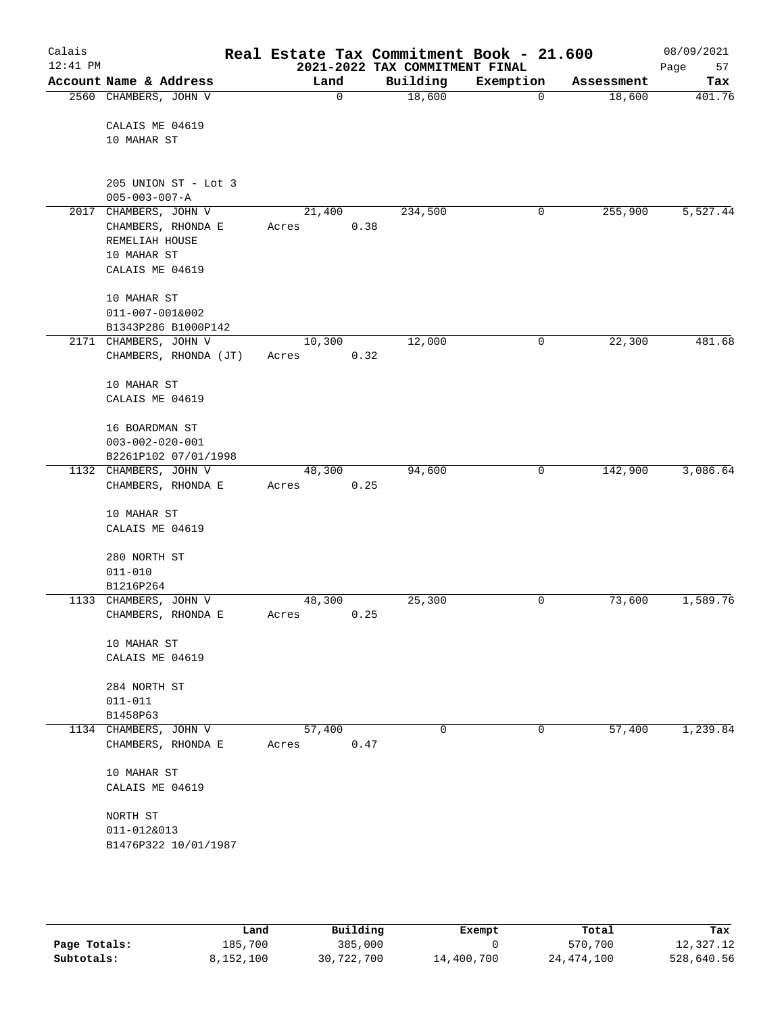| Calais<br>$12:41$ PM |                         | Real Estate Tax Commitment Book - 21.600 | 2021-2022 TAX COMMITMENT FINAL |             |            | 08/09/2021<br>Page<br>57 |
|----------------------|-------------------------|------------------------------------------|--------------------------------|-------------|------------|--------------------------|
|                      | Account Name & Address  | Land                                     | Building                       | Exemption   | Assessment | Tax                      |
|                      | 2560 CHAMBERS, JOHN V   | 0                                        | 18,600                         | 0           | 18,600     | 401.76                   |
|                      |                         |                                          |                                |             |            |                          |
|                      | CALAIS ME 04619         |                                          |                                |             |            |                          |
|                      | 10 MAHAR ST             |                                          |                                |             |            |                          |
|                      |                         |                                          |                                |             |            |                          |
|                      | 205 UNION ST - Lot 3    |                                          |                                |             |            |                          |
|                      | $005 - 003 - 007 - A$   |                                          |                                |             |            |                          |
|                      | 2017 CHAMBERS, JOHN V   | 21,400                                   | 234,500                        | 0           | 255,900    | 5,527.44                 |
|                      | CHAMBERS, RHONDA E      | Acres                                    | 0.38                           |             |            |                          |
|                      | REMELIAH HOUSE          |                                          |                                |             |            |                          |
|                      | 10 MAHAR ST             |                                          |                                |             |            |                          |
|                      | CALAIS ME 04619         |                                          |                                |             |            |                          |
|                      |                         |                                          |                                |             |            |                          |
|                      | 10 MAHAR ST             |                                          |                                |             |            |                          |
|                      | 011-007-001&002         |                                          |                                |             |            |                          |
|                      | B1343P286 B1000P142     |                                          |                                |             |            |                          |
|                      | 2171 CHAMBERS, JOHN V   | 10,300                                   | 12,000                         | $\mathbf 0$ | 22,300     | 481.68                   |
|                      | CHAMBERS, RHONDA (JT)   | Acres                                    | 0.32                           |             |            |                          |
|                      |                         |                                          |                                |             |            |                          |
|                      | 10 MAHAR ST             |                                          |                                |             |            |                          |
|                      | CALAIS ME 04619         |                                          |                                |             |            |                          |
|                      | 16 BOARDMAN ST          |                                          |                                |             |            |                          |
|                      | $003 - 002 - 020 - 001$ |                                          |                                |             |            |                          |
|                      | B2261P102 07/01/1998    |                                          |                                |             |            |                          |
|                      | 1132 CHAMBERS, JOHN V   | 48,300                                   | 94,600                         | 0           | 142,900    | 3,086.64                 |
|                      | CHAMBERS, RHONDA E      | Acres                                    | 0.25                           |             |            |                          |
|                      |                         |                                          |                                |             |            |                          |
|                      | 10 MAHAR ST             |                                          |                                |             |            |                          |
|                      | CALAIS ME 04619         |                                          |                                |             |            |                          |
|                      |                         |                                          |                                |             |            |                          |
|                      | 280 NORTH ST            |                                          |                                |             |            |                          |
|                      | $011 - 010$             |                                          |                                |             |            |                          |
|                      | B1216P264               |                                          |                                |             |            |                          |
|                      | 1133 CHAMBERS, JOHN V   | 48,300                                   | 25,300                         | 0           | 73,600     | 1,589.76                 |
|                      | CHAMBERS, RHONDA E      | Acres                                    | 0.25                           |             |            |                          |
|                      | 10 MAHAR ST             |                                          |                                |             |            |                          |
|                      | CALAIS ME 04619         |                                          |                                |             |            |                          |
|                      |                         |                                          |                                |             |            |                          |
|                      | 284 NORTH ST            |                                          |                                |             |            |                          |
|                      | $011 - 011$             |                                          |                                |             |            |                          |
|                      | B1458P63                |                                          |                                |             |            |                          |
|                      | 1134 CHAMBERS, JOHN V   | 57,400                                   | 0                              | 0           | 57,400     | 1,239.84                 |
|                      | CHAMBERS, RHONDA E      | Acres                                    | 0.47                           |             |            |                          |
|                      |                         |                                          |                                |             |            |                          |
|                      | 10 MAHAR ST             |                                          |                                |             |            |                          |
|                      | CALAIS ME 04619         |                                          |                                |             |            |                          |
|                      |                         |                                          |                                |             |            |                          |
|                      | NORTH ST                |                                          |                                |             |            |                          |
|                      | 011-012&013             |                                          |                                |             |            |                          |
|                      | B1476P322 10/01/1987    |                                          |                                |             |            |                          |
|                      |                         |                                          |                                |             |            |                          |
|                      |                         |                                          |                                |             |            |                          |

|              | Land      | Building   | Exempt     | Total        | Tax        |
|--------------|-----------|------------|------------|--------------|------------|
| Page Totals: | 185,700   | 385,000    |            | 570,700      | 12,327.12  |
| Subtotals:   | 8,152,100 | 30,722,700 | 14,400,700 | 24, 474, 100 | 528,640.56 |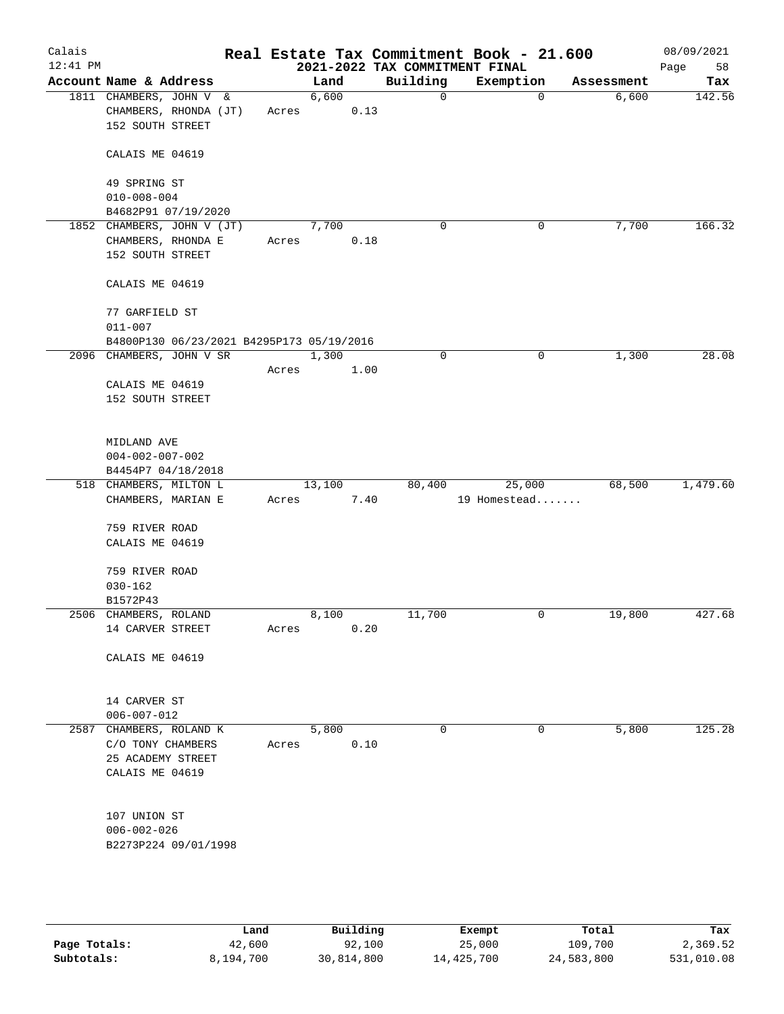| Calais<br>$12:41$ PM |                                           |       |        |      | 2021-2022 TAX COMMITMENT FINAL | Real Estate Tax Commitment Book - 21.600 |            | 08/09/2021<br>58<br>Page |
|----------------------|-------------------------------------------|-------|--------|------|--------------------------------|------------------------------------------|------------|--------------------------|
|                      | Account Name & Address                    |       | Land   |      | Building                       | Exemption                                | Assessment | Tax                      |
|                      | 1811 CHAMBERS, JOHN V &                   |       | 6,600  |      | $\mathbf 0$                    | $\mathbf 0$                              | 6,600      | 142.56                   |
|                      | CHAMBERS, RHONDA (JT)                     | Acres |        | 0.13 |                                |                                          |            |                          |
|                      | 152 SOUTH STREET                          |       |        |      |                                |                                          |            |                          |
|                      | CALAIS ME 04619                           |       |        |      |                                |                                          |            |                          |
|                      | 49 SPRING ST                              |       |        |      |                                |                                          |            |                          |
|                      | $010 - 008 - 004$                         |       |        |      |                                |                                          |            |                          |
|                      | B4682P91 07/19/2020                       |       |        |      |                                |                                          |            |                          |
|                      | 1852 CHAMBERS, JOHN V (JT)                |       | 7,700  |      | $\mathbf 0$                    | 0                                        | 7,700      | 166.32                   |
|                      | CHAMBERS, RHONDA E                        | Acres |        | 0.18 |                                |                                          |            |                          |
|                      | 152 SOUTH STREET                          |       |        |      |                                |                                          |            |                          |
|                      | CALAIS ME 04619                           |       |        |      |                                |                                          |            |                          |
|                      | 77 GARFIELD ST                            |       |        |      |                                |                                          |            |                          |
|                      | $011 - 007$                               |       |        |      |                                |                                          |            |                          |
|                      | B4800P130 06/23/2021 B4295P173 05/19/2016 |       |        |      |                                |                                          |            |                          |
|                      | 2096 CHAMBERS, JOHN V SR                  |       | 1,300  |      | 0                              | 0                                        | 1,300      | 28.08                    |
|                      |                                           | Acres |        | 1.00 |                                |                                          |            |                          |
|                      | CALAIS ME 04619                           |       |        |      |                                |                                          |            |                          |
|                      | 152 SOUTH STREET                          |       |        |      |                                |                                          |            |                          |
|                      |                                           |       |        |      |                                |                                          |            |                          |
|                      | MIDLAND AVE                               |       |        |      |                                |                                          |            |                          |
|                      | $004 - 002 - 007 - 002$                   |       |        |      |                                |                                          |            |                          |
|                      | B4454P7 04/18/2018                        |       |        |      |                                |                                          |            |                          |
|                      | 518 CHAMBERS, MILTON L                    |       | 13,100 |      | 80,400                         | 25,000                                   | 68,500     | 1,479.60                 |
|                      | CHAMBERS, MARIAN E                        | Acres |        | 7.40 |                                | 19 Homestead                             |            |                          |
|                      | 759 RIVER ROAD                            |       |        |      |                                |                                          |            |                          |
|                      | CALAIS ME 04619                           |       |        |      |                                |                                          |            |                          |
|                      |                                           |       |        |      |                                |                                          |            |                          |
|                      | 759 RIVER ROAD                            |       |        |      |                                |                                          |            |                          |
|                      | $030 - 162$                               |       |        |      |                                |                                          |            |                          |
|                      | B1572P43                                  |       |        |      |                                |                                          |            |                          |
|                      | 2506 CHAMBERS, ROLAND                     |       | 8,100  |      | 11,700                         | 0                                        | 19,800     | 427.68                   |
|                      | 14 CARVER STREET                          | Acres |        | 0.20 |                                |                                          |            |                          |
|                      | CALAIS ME 04619                           |       |        |      |                                |                                          |            |                          |
|                      |                                           |       |        |      |                                |                                          |            |                          |
|                      | 14 CARVER ST                              |       |        |      |                                |                                          |            |                          |
|                      | $006 - 007 - 012$                         |       |        |      |                                |                                          |            |                          |
|                      | 2587 CHAMBERS, ROLAND K                   |       | 5,800  |      | 0                              | 0                                        | 5,800      | 125.28                   |
|                      | C/O TONY CHAMBERS                         | Acres |        | 0.10 |                                |                                          |            |                          |
|                      | 25 ACADEMY STREET                         |       |        |      |                                |                                          |            |                          |
|                      | CALAIS ME 04619                           |       |        |      |                                |                                          |            |                          |
|                      |                                           |       |        |      |                                |                                          |            |                          |
|                      | 107 UNION ST                              |       |        |      |                                |                                          |            |                          |
|                      | $006 - 002 - 026$                         |       |        |      |                                |                                          |            |                          |
|                      | B2273P224 09/01/1998                      |       |        |      |                                |                                          |            |                          |
|                      |                                           |       |        |      |                                |                                          |            |                          |
|                      |                                           |       |        |      |                                |                                          |            |                          |

|              | Land      | Building   | Exempt     | Total      | Tax        |
|--------------|-----------|------------|------------|------------|------------|
| Page Totals: | 42,600    | 92,100     | 25,000     | 109,700    | 2,369.52   |
| Subtotals:   | 8,194,700 | 30,814,800 | 14,425,700 | 24,583,800 | 531,010.08 |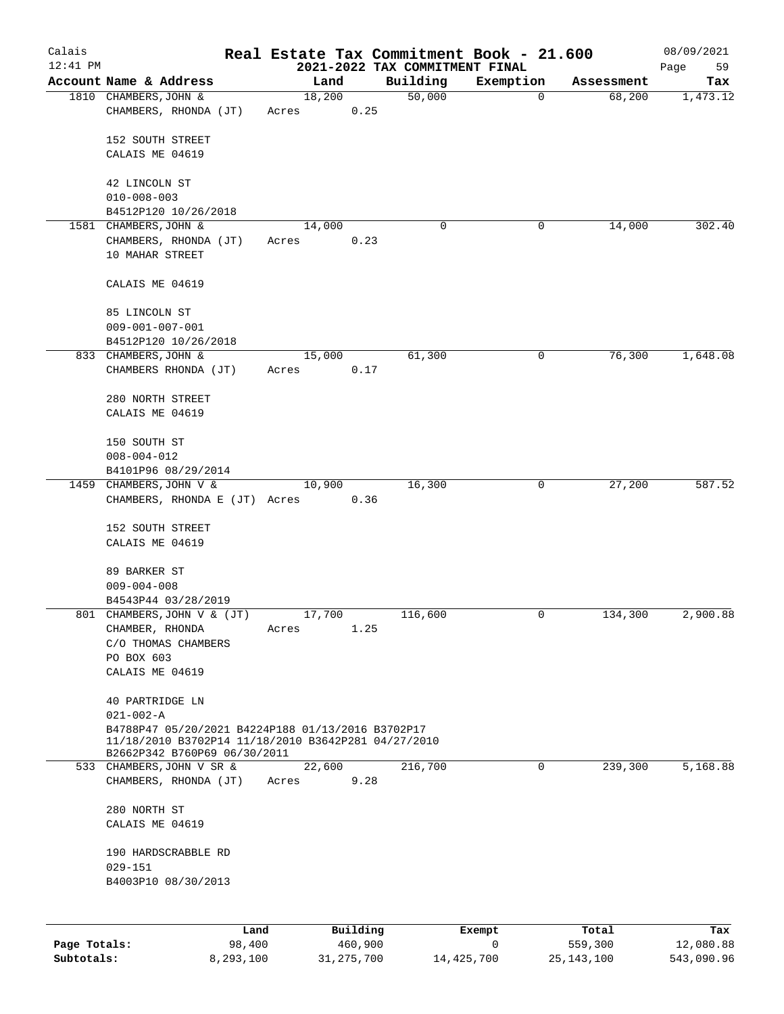| Calais<br>$12:41$ PM |                                                                                                                                          |      |       |        |          | 2021-2022 TAX COMMITMENT FINAL | Real Estate Tax Commitment Book - 21.600 |            | 08/09/2021<br>Page<br>59 |
|----------------------|------------------------------------------------------------------------------------------------------------------------------------------|------|-------|--------|----------|--------------------------------|------------------------------------------|------------|--------------------------|
|                      | Account Name & Address                                                                                                                   |      |       | Land   |          | Building                       | Exemption                                | Assessment | Tax                      |
|                      | 1810 CHAMBERS, JOHN &                                                                                                                    |      |       | 18,200 |          | 50,000                         | 0                                        | 68,200     | 1,473.12                 |
|                      | CHAMBERS, RHONDA (JT)                                                                                                                    |      | Acres |        | 0.25     |                                |                                          |            |                          |
|                      | 152 SOUTH STREET                                                                                                                         |      |       |        |          |                                |                                          |            |                          |
|                      | CALAIS ME 04619                                                                                                                          |      |       |        |          |                                |                                          |            |                          |
|                      |                                                                                                                                          |      |       |        |          |                                |                                          |            |                          |
|                      | 42 LINCOLN ST                                                                                                                            |      |       |        |          |                                |                                          |            |                          |
|                      | $010 - 008 - 003$                                                                                                                        |      |       |        |          |                                |                                          |            |                          |
|                      | B4512P120 10/26/2018                                                                                                                     |      |       |        |          |                                |                                          |            |                          |
|                      | 1581 CHAMBERS, JOHN &                                                                                                                    |      |       | 14,000 |          | 0                              | 0                                        | 14,000     | 302.40                   |
|                      | CHAMBERS, RHONDA (JT)<br>10 MAHAR STREET                                                                                                 |      | Acres |        | 0.23     |                                |                                          |            |                          |
|                      | CALAIS ME 04619                                                                                                                          |      |       |        |          |                                |                                          |            |                          |
|                      | 85 LINCOLN ST                                                                                                                            |      |       |        |          |                                |                                          |            |                          |
|                      | $009 - 001 - 007 - 001$                                                                                                                  |      |       |        |          |                                |                                          |            |                          |
|                      | B4512P120 10/26/2018                                                                                                                     |      |       |        |          |                                |                                          |            |                          |
|                      | 833 CHAMBERS, JOHN &                                                                                                                     |      |       | 15,000 |          | 61,300                         | 0                                        | 76,300     | 1,648.08                 |
|                      | CHAMBERS RHONDA (JT)                                                                                                                     |      | Acres |        | 0.17     |                                |                                          |            |                          |
|                      | 280 NORTH STREET                                                                                                                         |      |       |        |          |                                |                                          |            |                          |
|                      | CALAIS ME 04619                                                                                                                          |      |       |        |          |                                |                                          |            |                          |
|                      | 150 SOUTH ST                                                                                                                             |      |       |        |          |                                |                                          |            |                          |
|                      | $008 - 004 - 012$                                                                                                                        |      |       |        |          |                                |                                          |            |                          |
|                      | B4101P96 08/29/2014                                                                                                                      |      |       |        |          |                                |                                          |            |                          |
|                      | 1459 CHAMBERS, JOHN V &<br>CHAMBERS, RHONDA E (JT) Acres                                                                                 |      |       | 10,900 | 0.36     | 16,300                         | 0                                        | 27,200     | 587.52                   |
|                      |                                                                                                                                          |      |       |        |          |                                |                                          |            |                          |
|                      | 152 SOUTH STREET                                                                                                                         |      |       |        |          |                                |                                          |            |                          |
|                      | CALAIS ME 04619                                                                                                                          |      |       |        |          |                                |                                          |            |                          |
|                      | 89 BARKER ST                                                                                                                             |      |       |        |          |                                |                                          |            |                          |
|                      | $009 - 004 - 008$                                                                                                                        |      |       |        |          |                                |                                          |            |                          |
|                      | B4543P44 03/28/2019                                                                                                                      |      |       |        |          |                                |                                          |            |                          |
|                      | 801 CHAMBERS, JOHN V & (JT)                                                                                                              |      |       | 17,700 |          | 116,600                        | 0                                        | 134,300    | 2,900.88                 |
|                      | CHAMBER, RHONDA                                                                                                                          |      | Acres |        | 1.25     |                                |                                          |            |                          |
|                      | C/O THOMAS CHAMBERS                                                                                                                      |      |       |        |          |                                |                                          |            |                          |
|                      | PO BOX 603                                                                                                                               |      |       |        |          |                                |                                          |            |                          |
|                      | CALAIS ME 04619                                                                                                                          |      |       |        |          |                                |                                          |            |                          |
|                      | 40 PARTRIDGE LN                                                                                                                          |      |       |        |          |                                |                                          |            |                          |
|                      | $021 - 002 - A$                                                                                                                          |      |       |        |          |                                |                                          |            |                          |
|                      | B4788P47 05/20/2021 B4224P188 01/13/2016 B3702P17<br>11/18/2010 B3702P14 11/18/2010 B3642P281 04/27/2010<br>B2662P342 B760P69 06/30/2011 |      |       |        |          |                                |                                          |            |                          |
|                      | 533 CHAMBERS, JOHN V SR &                                                                                                                |      |       | 22,600 |          | 216,700                        | $\mathbf 0$                              | 239,300    | 5,168.88                 |
|                      | CHAMBERS, RHONDA (JT)                                                                                                                    |      | Acres |        | 9.28     |                                |                                          |            |                          |
|                      | 280 NORTH ST                                                                                                                             |      |       |        |          |                                |                                          |            |                          |
|                      | CALAIS ME 04619                                                                                                                          |      |       |        |          |                                |                                          |            |                          |
|                      | 190 HARDSCRABBLE RD                                                                                                                      |      |       |        |          |                                |                                          |            |                          |
|                      | $029 - 151$                                                                                                                              |      |       |        |          |                                |                                          |            |                          |
|                      | B4003P10 08/30/2013                                                                                                                      |      |       |        |          |                                |                                          |            |                          |
|                      |                                                                                                                                          |      |       |        |          |                                |                                          |            |                          |
|                      |                                                                                                                                          | Land |       |        | Building |                                | Exempt                                   | Total      | Tax                      |

| Page Totals: | 98,400    | 460,900      |            | 559,300      | 12,080.88  |
|--------------|-----------|--------------|------------|--------------|------------|
| Subtotals:   | 8,293,100 | 31, 275, 700 | 14,425,700 | 25, 143, 100 | 543,090.96 |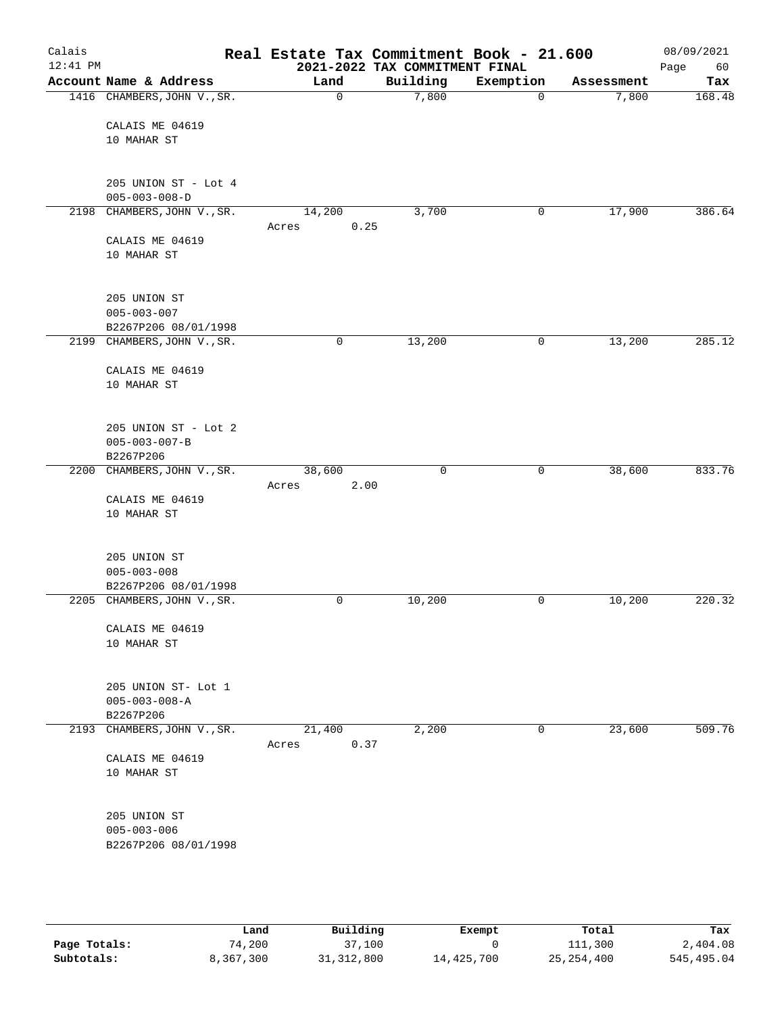| Calais<br>$12:41$ PM |                                              | Real Estate Tax Commitment Book - 21.600 | 2021-2022 TAX COMMITMENT FINAL |              |            | 08/09/2021<br>60<br>Page |
|----------------------|----------------------------------------------|------------------------------------------|--------------------------------|--------------|------------|--------------------------|
|                      | Account Name & Address                       | Land                                     | Building                       | Exemption    | Assessment | Tax                      |
|                      | 1416 CHAMBERS, JOHN V., SR.                  | $\mathbf 0$                              | 7,800                          | $\mathbf 0$  | 7,800      | 168.48                   |
|                      | CALAIS ME 04619<br>10 MAHAR ST               |                                          |                                |              |            |                          |
|                      | 205 UNION ST - Lot 4                         |                                          |                                |              |            |                          |
|                      | $005 - 003 - 008 - D$                        |                                          |                                |              |            |                          |
|                      | 2198 CHAMBERS, JOHN V., SR.                  | 14,200                                   | 3,700                          | 0            | 17,900     | 386.64                   |
|                      |                                              | 0.25<br>Acres                            |                                |              |            |                          |
|                      | CALAIS ME 04619<br>10 MAHAR ST               |                                          |                                |              |            |                          |
|                      | 205 UNION ST                                 |                                          |                                |              |            |                          |
|                      | $005 - 003 - 007$<br>B2267P206 08/01/1998    |                                          |                                |              |            |                          |
|                      | 2199 CHAMBERS, JOHN V., SR.                  | 0                                        | 13,200                         | $\mathsf{O}$ | 13,200     | 285.12                   |
|                      |                                              |                                          |                                |              |            |                          |
|                      | CALAIS ME 04619                              |                                          |                                |              |            |                          |
|                      | 10 MAHAR ST                                  |                                          |                                |              |            |                          |
|                      | 205 UNION ST - Lot 2                         |                                          |                                |              |            |                          |
|                      | $005 - 003 - 007 - B$<br>B2267P206           |                                          |                                |              |            |                          |
|                      | 2200 CHAMBERS, JOHN V., SR.                  | 38,600                                   | 0                              | $\mathsf{O}$ | 38,600     | 833.76                   |
|                      |                                              | 2.00<br>Acres                            |                                |              |            |                          |
|                      | CALAIS ME 04619                              |                                          |                                |              |            |                          |
|                      | 10 MAHAR ST                                  |                                          |                                |              |            |                          |
|                      | 205 UNION ST                                 |                                          |                                |              |            |                          |
|                      | $005 - 003 - 008$<br>B2267P206 08/01/1998    |                                          |                                |              |            |                          |
|                      | 2205 CHAMBERS, JOHN V., SR.                  | 0                                        | 10,200                         | 0            | 10,200     | 220.32                   |
|                      |                                              |                                          |                                |              |            |                          |
|                      | CALAIS ME 04619<br>10 MAHAR ST               |                                          |                                |              |            |                          |
|                      | 205 UNION ST- Lot 1<br>$005 - 003 - 008 - A$ |                                          |                                |              |            |                          |
|                      | B2267P206                                    |                                          |                                |              |            |                          |
| 2193                 | CHAMBERS, JOHN V., SR.                       | 21,400<br>0.37<br>Acres                  | 2,200                          | 0            | 23,600     | 509.76                   |
|                      | CALAIS ME 04619<br>10 MAHAR ST               |                                          |                                |              |            |                          |
|                      | 205 UNION ST                                 |                                          |                                |              |            |                          |
|                      | $005 - 003 - 006$                            |                                          |                                |              |            |                          |
|                      | B2267P206 08/01/1998                         |                                          |                                |              |            |                          |
|                      |                                              |                                          |                                |              |            |                          |

|              | Land      | Building     | Exempt     | Total        | Tax        |
|--------------|-----------|--------------|------------|--------------|------------|
| Page Totals: | 74,200    | 37,100       |            | 111,300      | 2,404.08   |
| Subtotals:   | 8,367,300 | 31, 312, 800 | 14,425,700 | 25, 254, 400 | 545,495.04 |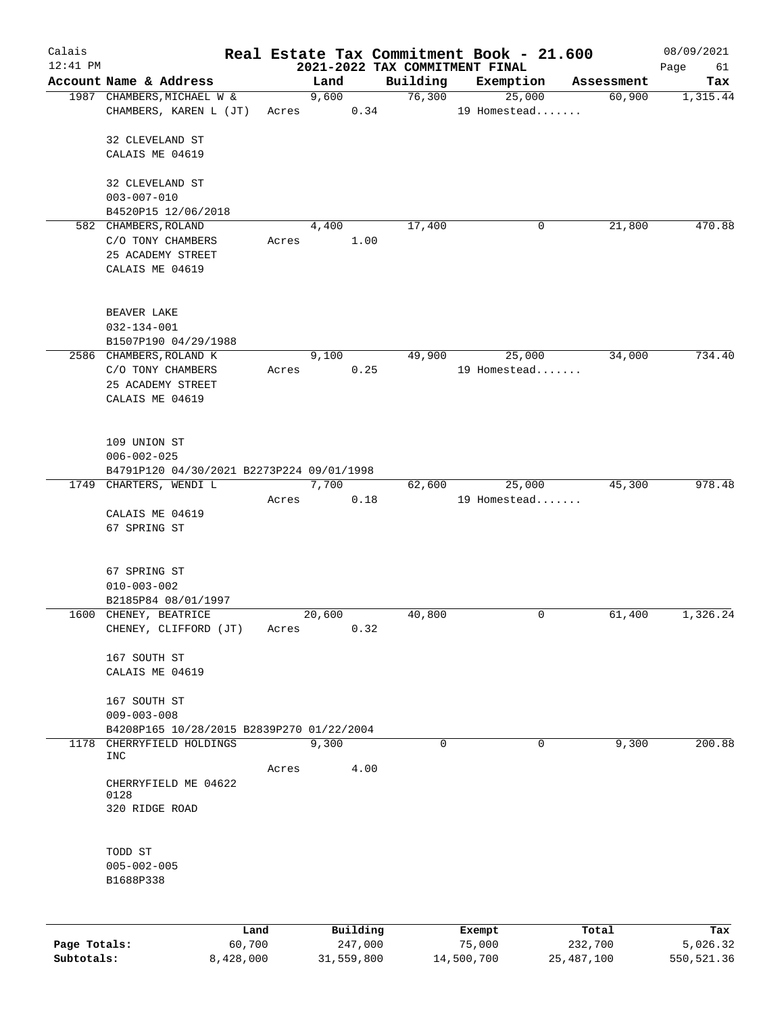| Calais       |                                           |       |          |         |          | Real Estate Tax Commitment Book - 21.600    |            | 08/09/2021        |
|--------------|-------------------------------------------|-------|----------|---------|----------|---------------------------------------------|------------|-------------------|
| $12:41$ PM   | Account Name & Address                    |       | Land     |         | Building | 2021-2022 TAX COMMITMENT FINAL<br>Exemption | Assessment | Page<br>61<br>Tax |
|              | 1987 CHAMBERS, MICHAEL W &                |       | 9,600    |         | 76,300   | 25,000                                      | 60,900     | 1,315.44          |
|              | CHAMBERS, KAREN L (JT)                    | Acres |          | 0.34    |          | 19 Homestead                                |            |                   |
|              | 32 CLEVELAND ST                           |       |          |         |          |                                             |            |                   |
|              | CALAIS ME 04619                           |       |          |         |          |                                             |            |                   |
|              | 32 CLEVELAND ST                           |       |          |         |          |                                             |            |                   |
|              | $003 - 007 - 010$                         |       |          |         |          |                                             |            |                   |
|              | B4520P15 12/06/2018                       |       |          |         |          |                                             |            |                   |
|              | 582 CHAMBERS, ROLAND                      |       | 4,400    |         | 17,400   | 0                                           | 21,800     | 470.88            |
|              | C/O TONY CHAMBERS                         | Acres |          | 1.00    |          |                                             |            |                   |
|              | 25 ACADEMY STREET                         |       |          |         |          |                                             |            |                   |
|              | CALAIS ME 04619                           |       |          |         |          |                                             |            |                   |
|              | BEAVER LAKE                               |       |          |         |          |                                             |            |                   |
|              | $032 - 134 - 001$                         |       |          |         |          |                                             |            |                   |
|              | B1507P190 04/29/1988                      |       |          |         |          |                                             |            |                   |
|              | 2586 CHAMBERS, ROLAND K                   |       | 9,100    |         | 49,900   | 25,000                                      | 34,000     | 734.40            |
|              | C/O TONY CHAMBERS                         | Acres |          | 0.25    |          | 19 Homestead                                |            |                   |
|              | 25 ACADEMY STREET                         |       |          |         |          |                                             |            |                   |
|              | CALAIS ME 04619                           |       |          |         |          |                                             |            |                   |
|              | 109 UNION ST                              |       |          |         |          |                                             |            |                   |
|              | $006 - 002 - 025$                         |       |          |         |          |                                             |            |                   |
|              | B4791P120 04/30/2021 B2273P224 09/01/1998 |       |          |         |          |                                             |            |                   |
|              | 1749 CHARTERS, WENDI L                    | Acres | 7,700    | 0.18    | 62,600   | 25,000<br>19 Homestead                      | 45,300     | 978.48            |
|              | CALAIS ME 04619                           |       |          |         |          |                                             |            |                   |
|              | 67 SPRING ST                              |       |          |         |          |                                             |            |                   |
|              | 67 SPRING ST                              |       |          |         |          |                                             |            |                   |
|              | $010 - 003 - 002$                         |       |          |         |          |                                             |            |                   |
|              | B2185P84 08/01/1997                       |       |          |         |          |                                             |            |                   |
|              | 1600 CHENEY, BEATRICE                     |       | 20,600   |         | 40,800   | 0                                           | 61,400     | 1,326.24          |
|              | CHENEY, CLIFFORD (JT)                     | Acres |          | 0.32    |          |                                             |            |                   |
|              | 167 SOUTH ST                              |       |          |         |          |                                             |            |                   |
|              | CALAIS ME 04619                           |       |          |         |          |                                             |            |                   |
|              |                                           |       |          |         |          |                                             |            |                   |
|              | 167 SOUTH ST                              |       |          |         |          |                                             |            |                   |
|              | $009 - 003 - 008$                         |       |          |         |          |                                             |            |                   |
|              | B4208P165 10/28/2015 B2839P270 01/22/2004 |       |          |         |          |                                             |            |                   |
| 1178         | CHERRYFIELD HOLDINGS<br><b>INC</b>        |       | 9,300    |         | 0        | $\Omega$                                    | 9,300      | 200.88            |
|              |                                           | Acres |          | 4.00    |          |                                             |            |                   |
|              | CHERRYFIELD ME 04622                      |       |          |         |          |                                             |            |                   |
|              | 0128                                      |       |          |         |          |                                             |            |                   |
|              | 320 RIDGE ROAD                            |       |          |         |          |                                             |            |                   |
|              | TODD ST                                   |       |          |         |          |                                             |            |                   |
|              | $005 - 002 - 005$                         |       |          |         |          |                                             |            |                   |
|              | B1688P338                                 |       |          |         |          |                                             |            |                   |
|              |                                           |       |          |         |          |                                             |            |                   |
|              | Land                                      |       | Building |         |          | Exempt                                      | Total      | Tax               |
| Page Totals: | 60,700                                    |       |          | 247,000 |          | 75,000                                      | 232,700    | 5,026.32          |

**Subtotals:** 8,428,000 31,559,800 14,500,700 25,487,100 550,521.36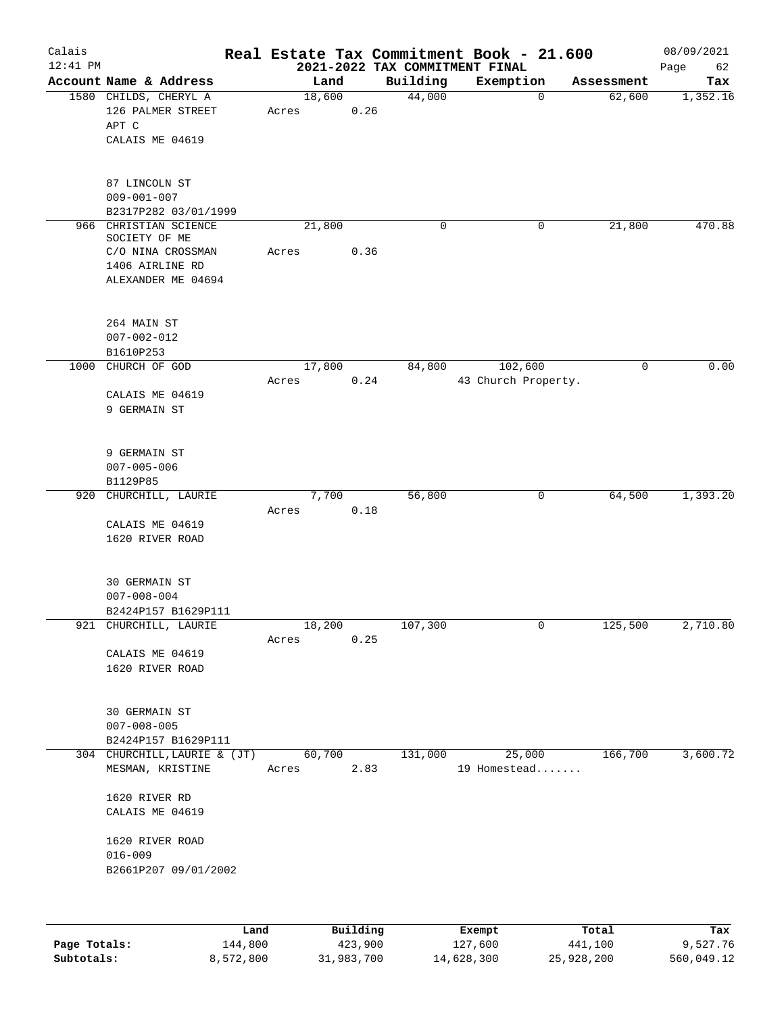| Calais<br>$12:41$ PM |                                                                                                      |                 |      | 2021-2022 TAX COMMITMENT FINAL | Real Estate Tax Commitment Book - 21.600 |             | 08/09/2021<br>Page<br>62 |
|----------------------|------------------------------------------------------------------------------------------------------|-----------------|------|--------------------------------|------------------------------------------|-------------|--------------------------|
|                      | Account Name & Address                                                                               | Land            |      | Building                       | Exemption                                | Assessment  | Tax                      |
|                      | 1580 CHILDS, CHERYL A<br>126 PALMER STREET<br>APT C<br>CALAIS ME 04619                               | 18,600<br>Acres | 0.26 | 44,000                         | $\mathbf 0$                              | 62,600      | 1,352.16                 |
|                      | 87 LINCOLN ST<br>$009 - 001 - 007$<br>B2317P282 03/01/1999                                           |                 |      |                                |                                          |             |                          |
|                      | 966 CHRISTIAN SCIENCE<br>SOCIETY OF ME<br>C/O NINA CROSSMAN<br>1406 AIRLINE RD<br>ALEXANDER ME 04694 | 21,800<br>Acres | 0.36 | 0                              | 0                                        | 21,800      | 470.88                   |
|                      | 264 MAIN ST<br>$007 - 002 - 012$<br>B1610P253                                                        |                 |      |                                |                                          |             |                          |
| 1000                 | CHURCH OF GOD<br>CALAIS ME 04619<br>9 GERMAIN ST                                                     | 17,800<br>Acres | 0.24 | 84,800                         | 102,600<br>43 Church Property.           | $\mathbf 0$ | 0.00                     |
|                      | 9 GERMAIN ST<br>$007 - 005 - 006$<br>B1129P85                                                        |                 |      |                                |                                          |             |                          |
|                      | 920 CHURCHILL, LAURIE<br>CALAIS ME 04619<br>1620 RIVER ROAD                                          | 7,700<br>Acres  | 0.18 | 56,800                         | 0                                        | 64,500      | 1,393.20                 |
|                      | <b>30 GERMAIN ST</b><br>$007 - 008 - 004$<br>B2424P157 B1629P111                                     |                 |      |                                |                                          |             |                          |
|                      | 921 CHURCHILL, LAURIE<br>CALAIS ME 04619<br>1620 RIVER ROAD                                          | 18,200<br>Acres | 0.25 | 107,300                        | 0                                        | 125,500     | 2,710.80                 |
|                      | <b>30 GERMAIN ST</b><br>$007 - 008 - 005$<br>B2424P157 B1629P111                                     |                 |      |                                |                                          |             |                          |
|                      | 304 CHURCHILL, LAURIE & (JT)<br>MESMAN, KRISTINE                                                     | 60,700<br>Acres | 2.83 | 131,000                        | 25,000<br>19 Homestead                   | 166,700     | 3,600.72                 |
|                      | 1620 RIVER RD<br>CALAIS ME 04619<br>1620 RIVER ROAD<br>$016 - 009$<br>B2661P207 09/01/2002           |                 |      |                                |                                          |             |                          |
|                      |                                                                                                      |                 |      |                                |                                          |             |                          |

|              | Land      | Building   | Exempt     | Total      | Tax        |
|--------------|-----------|------------|------------|------------|------------|
| Page Totals: | 144,800   | 423,900    | 127,600    | 441,100    | 9,527.76   |
| Subtotals:   | 8,572,800 | 31,983,700 | 14,628,300 | 25,928,200 | 560,049.12 |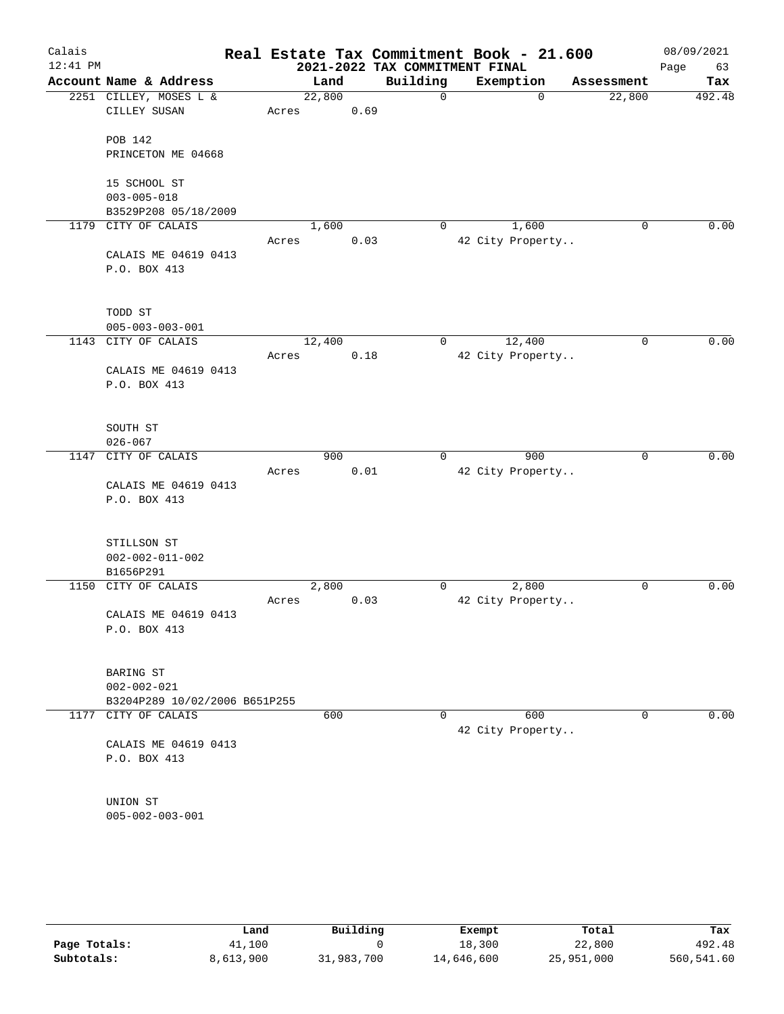| Calais<br>$12:41$ PM |                               |        |      | Real Estate Tax Commitment Book - 21.600<br>2021-2022 TAX COMMITMENT FINAL |                  |             | 08/09/2021<br>Page<br>63 |
|----------------------|-------------------------------|--------|------|----------------------------------------------------------------------------|------------------|-------------|--------------------------|
|                      | Account Name & Address        | Land   |      | Building                                                                   | Exemption        | Assessment  | Tax                      |
|                      | 2251 CILLEY, MOSES L &        | 22,800 |      | $\mathbf 0$                                                                | $\mathbf 0$      | 22,800      | 492.48                   |
|                      | CILLEY SUSAN                  | Acres  | 0.69 |                                                                            |                  |             |                          |
|                      | <b>POB 142</b>                |        |      |                                                                            |                  |             |                          |
|                      | PRINCETON ME 04668            |        |      |                                                                            |                  |             |                          |
|                      |                               |        |      |                                                                            |                  |             |                          |
|                      | 15 SCHOOL ST                  |        |      |                                                                            |                  |             |                          |
|                      | $003 - 005 - 018$             |        |      |                                                                            |                  |             |                          |
|                      | B3529P208 05/18/2009          |        |      |                                                                            |                  |             |                          |
|                      | 1179 CITY OF CALAIS           | 1,600  |      | 0                                                                          | 1,600            | 0           | 0.00                     |
|                      |                               | Acres  | 0.03 |                                                                            | 42 City Property |             |                          |
|                      | CALAIS ME 04619 0413          |        |      |                                                                            |                  |             |                          |
|                      | P.O. BOX 413                  |        |      |                                                                            |                  |             |                          |
|                      | TODD ST                       |        |      |                                                                            |                  |             |                          |
|                      | $005 - 003 - 003 - 001$       |        |      |                                                                            |                  |             |                          |
| 1143                 | CITY OF CALAIS                | 12,400 |      | 0                                                                          | 12,400           | $\mathbf 0$ | 0.00                     |
|                      |                               | Acres  | 0.18 |                                                                            | 42 City Property |             |                          |
|                      | CALAIS ME 04619 0413          |        |      |                                                                            |                  |             |                          |
|                      | P.O. BOX 413                  |        |      |                                                                            |                  |             |                          |
|                      | SOUTH ST                      |        |      |                                                                            |                  |             |                          |
|                      | $026 - 067$                   |        |      |                                                                            |                  |             |                          |
| 1147                 | CITY OF CALAIS                | 900    |      | 0                                                                          | 900              | $\mathbf 0$ | 0.00                     |
|                      |                               | Acres  | 0.01 |                                                                            | 42 City Property |             |                          |
|                      | CALAIS ME 04619 0413          |        |      |                                                                            |                  |             |                          |
|                      | P.O. BOX 413                  |        |      |                                                                            |                  |             |                          |
|                      | STILLSON ST                   |        |      |                                                                            |                  |             |                          |
|                      | $002 - 002 - 011 - 002$       |        |      |                                                                            |                  |             |                          |
|                      | B1656P291                     |        |      |                                                                            |                  |             |                          |
| 1150                 | CITY OF CALAIS                | 2,800  |      | 0                                                                          | 2,800            | 0           | 0.00                     |
|                      |                               | Acres  | 0.03 |                                                                            | 42 City Property |             |                          |
|                      | CALAIS ME 04619 0413          |        |      |                                                                            |                  |             |                          |
|                      | P.O. BOX 413                  |        |      |                                                                            |                  |             |                          |
|                      | BARING ST                     |        |      |                                                                            |                  |             |                          |
|                      | $002 - 002 - 021$             |        |      |                                                                            |                  |             |                          |
|                      | B3204P289 10/02/2006 B651P255 |        |      |                                                                            |                  |             |                          |
|                      | 1177 CITY OF CALAIS           | 600    |      | 0                                                                          | 600              | 0           | 0.00                     |
|                      |                               |        |      |                                                                            | 42 City Property |             |                          |
|                      | CALAIS ME 04619 0413          |        |      |                                                                            |                  |             |                          |
|                      | P.O. BOX 413                  |        |      |                                                                            |                  |             |                          |
|                      | UNION ST                      |        |      |                                                                            |                  |             |                          |
|                      | $005 - 002 - 003 - 001$       |        |      |                                                                            |                  |             |                          |
|                      |                               |        |      |                                                                            |                  |             |                          |
|                      |                               |        |      |                                                                            |                  |             |                          |
|                      |                               |        |      |                                                                            |                  |             |                          |
|                      |                               |        |      |                                                                            |                  |             |                          |

|              | Land      | Building   | Exempt     | Total      | Tax        |
|--------------|-----------|------------|------------|------------|------------|
| Page Totals: | 41,100    |            | 18,300     | 22,800     | 492.48     |
| Subtotals:   | 8,613,900 | 31,983,700 | 14,646,600 | 25,951,000 | 560,541.60 |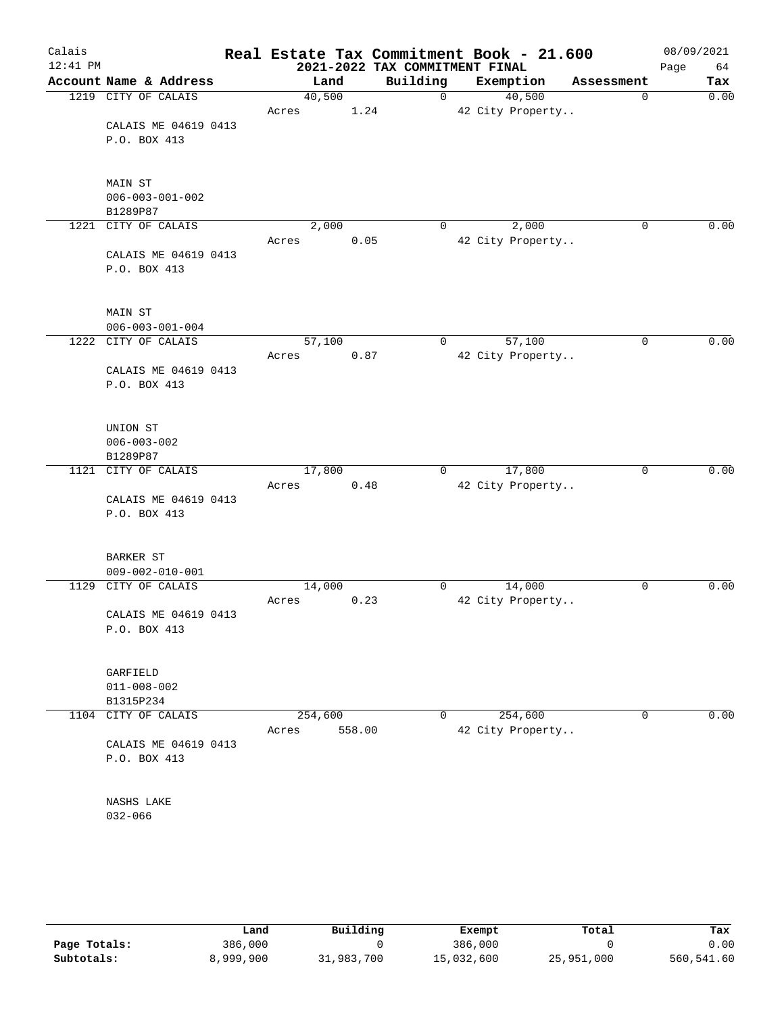| Calais<br>$12:41$ PM |                         | Real Estate Tax Commitment Book - 21.600 |        | 2021-2022 TAX COMMITMENT FINAL |                  |            | 08/09/2021<br>Page<br>64 |
|----------------------|-------------------------|------------------------------------------|--------|--------------------------------|------------------|------------|--------------------------|
|                      | Account Name & Address  | Land                                     |        | Building                       | Exemption        | Assessment | Tax                      |
|                      | 1219 CITY OF CALAIS     | 40,500                                   |        | $\mathbf 0$                    | 40,500           | 0          | 0.00                     |
|                      |                         | Acres                                    | 1.24   |                                | 42 City Property |            |                          |
|                      | CALAIS ME 04619 0413    |                                          |        |                                |                  |            |                          |
|                      | P.O. BOX 413            |                                          |        |                                |                  |            |                          |
|                      | MAIN ST                 |                                          |        |                                |                  |            |                          |
|                      | $006 - 003 - 001 - 002$ |                                          |        |                                |                  |            |                          |
|                      | B1289P87                |                                          |        |                                |                  |            |                          |
|                      | 1221 CITY OF CALAIS     | 2,000                                    |        | 0                              | 2,000            | 0          | 0.00                     |
|                      |                         | Acres                                    | 0.05   |                                | 42 City Property |            |                          |
|                      | CALAIS ME 04619 0413    |                                          |        |                                |                  |            |                          |
|                      | P.O. BOX 413            |                                          |        |                                |                  |            |                          |
|                      | MAIN ST                 |                                          |        |                                |                  |            |                          |
|                      | $006 - 003 - 001 - 004$ |                                          |        |                                |                  |            |                          |
|                      | 1222 CITY OF CALAIS     | 57,100                                   |        | 0                              | 57,100           | 0          | 0.00                     |
|                      |                         | Acres                                    | 0.87   |                                | 42 City Property |            |                          |
|                      | CALAIS ME 04619 0413    |                                          |        |                                |                  |            |                          |
|                      | P.O. BOX 413            |                                          |        |                                |                  |            |                          |
|                      |                         |                                          |        |                                |                  |            |                          |
|                      | UNION ST                |                                          |        |                                |                  |            |                          |
|                      | $006 - 003 - 002$       |                                          |        |                                |                  |            |                          |
|                      | B1289P87                |                                          |        |                                |                  |            |                          |
|                      | 1121 CITY OF CALAIS     | 17,800                                   |        | $\mathbf{0}$                   | 17,800           | 0          | 0.00                     |
|                      |                         | Acres                                    | 0.48   |                                | 42 City Property |            |                          |
|                      | CALAIS ME 04619 0413    |                                          |        |                                |                  |            |                          |
|                      | P.O. BOX 413            |                                          |        |                                |                  |            |                          |
|                      | BARKER ST               |                                          |        |                                |                  |            |                          |
|                      | $009 - 002 - 010 - 001$ |                                          |        |                                |                  |            |                          |
|                      | 1129 CITY OF CALAIS     | 14,000                                   |        | 0                              | 14,000           | 0          | 0.00                     |
|                      |                         | Acres                                    | 0.23   |                                | 42 City Property |            |                          |
|                      | CALAIS ME 04619 0413    |                                          |        |                                |                  |            |                          |
|                      | P.O. BOX 413            |                                          |        |                                |                  |            |                          |
|                      | GARFIELD                |                                          |        |                                |                  |            |                          |
|                      | $011 - 008 - 002$       |                                          |        |                                |                  |            |                          |
|                      | B1315P234               |                                          |        |                                |                  |            |                          |
| 1104                 | CITY OF CALAIS          | 254,600                                  |        | 0                              | 254,600          | 0          | 0.00                     |
|                      |                         | Acres                                    | 558.00 |                                | 42 City Property |            |                          |
|                      | CALAIS ME 04619 0413    |                                          |        |                                |                  |            |                          |
|                      | P.O. BOX 413            |                                          |        |                                |                  |            |                          |
|                      | NASHS LAKE              |                                          |        |                                |                  |            |                          |
|                      | $032 - 066$             |                                          |        |                                |                  |            |                          |
|                      |                         |                                          |        |                                |                  |            |                          |
|                      |                         |                                          |        |                                |                  |            |                          |

|              | Land      | Building   | Exempt     | Total      | Tax        |
|--------------|-----------|------------|------------|------------|------------|
| Page Totals: | 386,000   |            | 386,000    |            | 0.00       |
| Subtotals:   | 8,999,900 | 31,983,700 | 15,032,600 | 25,951,000 | 560,541.60 |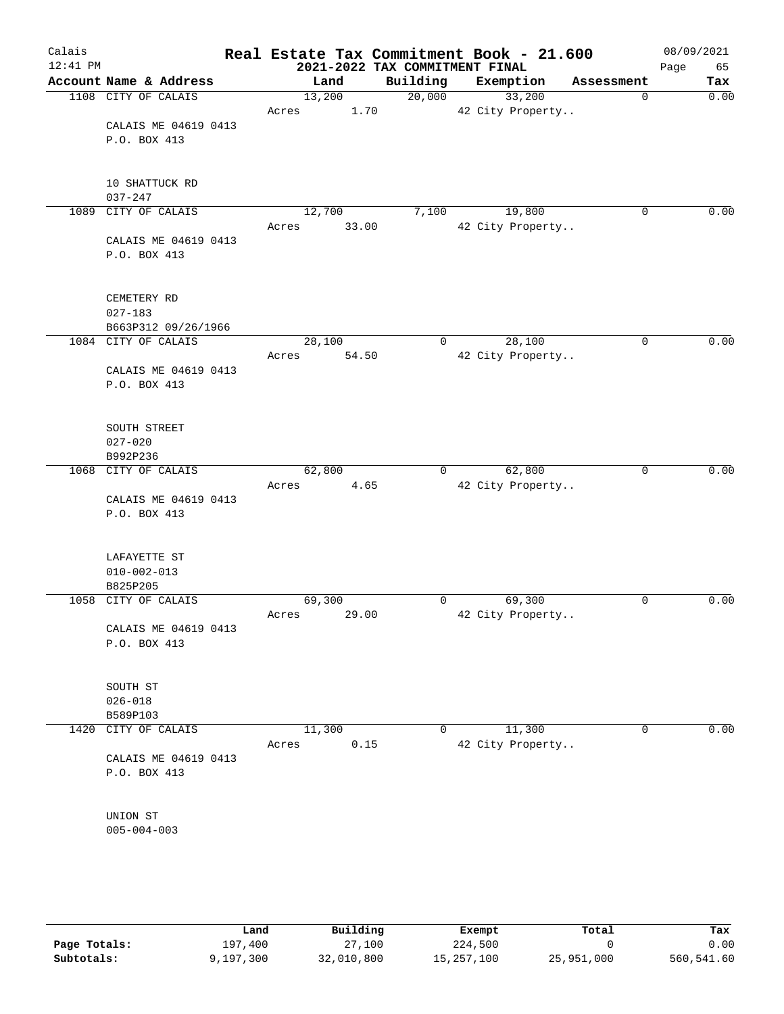| Calais<br>$12:41$ PM |                        |        |       | Real Estate Tax Commitment Book - 21.600<br>2021-2022 TAX COMMITMENT FINAL |                            |             | 08/09/2021<br>Page<br>65 |
|----------------------|------------------------|--------|-------|----------------------------------------------------------------------------|----------------------------|-------------|--------------------------|
|                      | Account Name & Address | Land   |       | Building                                                                   | Exemption                  | Assessment  | Tax                      |
|                      | 1108 CITY OF CALAIS    | 13,200 |       | 20,000                                                                     | 33,200                     | $\mathbf 0$ | 0.00                     |
|                      |                        | Acres  | 1.70  |                                                                            | 42 City Property           |             |                          |
|                      | CALAIS ME 04619 0413   |        |       |                                                                            |                            |             |                          |
|                      | P.O. BOX 413           |        |       |                                                                            |                            |             |                          |
|                      |                        |        |       |                                                                            |                            |             |                          |
|                      |                        |        |       |                                                                            |                            |             |                          |
|                      | 10 SHATTUCK RD         |        |       |                                                                            |                            |             |                          |
|                      | $037 - 247$            |        |       |                                                                            |                            |             |                          |
|                      | 1089 CITY OF CALAIS    | 12,700 |       | 7,100                                                                      | 19,800                     | 0           | 0.00                     |
|                      |                        | Acres  | 33.00 |                                                                            | 42 City Property           |             |                          |
|                      | CALAIS ME 04619 0413   |        |       |                                                                            |                            |             |                          |
|                      | P.O. BOX 413           |        |       |                                                                            |                            |             |                          |
|                      |                        |        |       |                                                                            |                            |             |                          |
|                      |                        |        |       |                                                                            |                            |             |                          |
|                      | CEMETERY RD            |        |       |                                                                            |                            |             |                          |
|                      | $027 - 183$            |        |       |                                                                            |                            |             |                          |
|                      | B663P312 09/26/1966    |        |       |                                                                            |                            |             |                          |
|                      | 1084 CITY OF CALAIS    | 28,100 |       | $\mathbf 0$                                                                | 28,100                     | 0           | 0.00                     |
|                      |                        | Acres  | 54.50 |                                                                            | 42 City Property           |             |                          |
|                      | CALAIS ME 04619 0413   |        |       |                                                                            |                            |             |                          |
|                      | P.O. BOX 413           |        |       |                                                                            |                            |             |                          |
|                      |                        |        |       |                                                                            |                            |             |                          |
|                      |                        |        |       |                                                                            |                            |             |                          |
|                      | SOUTH STREET           |        |       |                                                                            |                            |             |                          |
|                      | $027 - 020$            |        |       |                                                                            |                            |             |                          |
|                      | B992P236               |        |       |                                                                            |                            |             |                          |
|                      | 1068 CITY OF CALAIS    | 62,800 |       | 0                                                                          | 62,800<br>42 City Property | 0           | 0.00                     |
|                      | CALAIS ME 04619 0413   | Acres  | 4.65  |                                                                            |                            |             |                          |
|                      | P.O. BOX 413           |        |       |                                                                            |                            |             |                          |
|                      |                        |        |       |                                                                            |                            |             |                          |
|                      |                        |        |       |                                                                            |                            |             |                          |
|                      | LAFAYETTE ST           |        |       |                                                                            |                            |             |                          |
|                      | $010 - 002 - 013$      |        |       |                                                                            |                            |             |                          |
|                      | B825P205               |        |       |                                                                            |                            |             |                          |
| 1058                 | CITY OF CALAIS         | 69,300 |       | $\overline{0}$                                                             | 69,300                     | 0           | 0.00                     |
|                      |                        | Acres  | 29.00 |                                                                            | 42 City Property           |             |                          |
|                      | CALAIS ME 04619 0413   |        |       |                                                                            |                            |             |                          |
|                      | P.O. BOX 413           |        |       |                                                                            |                            |             |                          |
|                      |                        |        |       |                                                                            |                            |             |                          |
|                      |                        |        |       |                                                                            |                            |             |                          |
|                      | SOUTH ST               |        |       |                                                                            |                            |             |                          |
|                      | $026 - 018$            |        |       |                                                                            |                            |             |                          |
|                      | B589P103               |        |       |                                                                            |                            |             |                          |
|                      | 1420 CITY OF CALAIS    | 11,300 |       | 0                                                                          | 11,300                     | 0           | 0.00                     |
|                      |                        | Acres  | 0.15  |                                                                            | 42 City Property           |             |                          |
|                      | CALAIS ME 04619 0413   |        |       |                                                                            |                            |             |                          |
|                      | P.O. BOX 413           |        |       |                                                                            |                            |             |                          |
|                      |                        |        |       |                                                                            |                            |             |                          |
|                      |                        |        |       |                                                                            |                            |             |                          |
|                      | UNION ST               |        |       |                                                                            |                            |             |                          |
|                      | $005 - 004 - 003$      |        |       |                                                                            |                            |             |                          |
|                      |                        |        |       |                                                                            |                            |             |                          |
|                      |                        |        |       |                                                                            |                            |             |                          |
|                      |                        |        |       |                                                                            |                            |             |                          |

|              | Land      | Building   | Exempt     | Total      | Tax        |
|--------------|-----------|------------|------------|------------|------------|
|              |           |            |            |            |            |
| Page Totals: | 197.400   | 27,100     | 224,500    |            | 0.00       |
| Subtotals:   | 9,197,300 | 32,010,800 | 15,257,100 | 25,951,000 | 560,541.60 |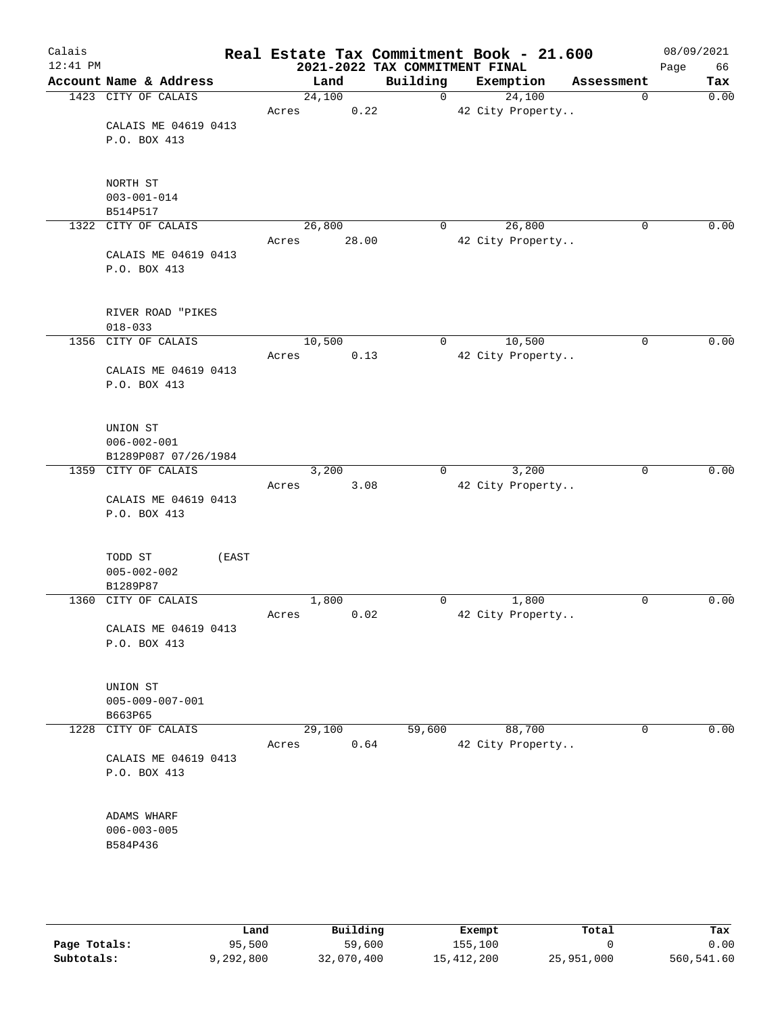| Calais<br>$12:41$ PM |                         |                | 2021-2022 TAX COMMITMENT FINAL | Real Estate Tax Commitment Book - 21.600 |            | 08/09/2021<br>Page<br>66 |
|----------------------|-------------------------|----------------|--------------------------------|------------------------------------------|------------|--------------------------|
|                      | Account Name & Address  | Land           | Building                       | Exemption                                | Assessment | Tax                      |
|                      | 1423 CITY OF CALAIS     | 24,100         | $\mathsf{O}$                   | 24,100                                   | 0          | 0.00                     |
|                      |                         | 0.22<br>Acres  |                                | 42 City Property                         |            |                          |
|                      | CALAIS ME 04619 0413    |                |                                |                                          |            |                          |
|                      | P.O. BOX 413            |                |                                |                                          |            |                          |
|                      |                         |                |                                |                                          |            |                          |
|                      |                         |                |                                |                                          |            |                          |
|                      | NORTH ST                |                |                                |                                          |            |                          |
|                      | $003 - 001 - 014$       |                |                                |                                          |            |                          |
|                      | B514P517                |                |                                |                                          |            |                          |
|                      | 1322 CITY OF CALAIS     | 26,800         | 0                              | 26,800                                   | 0          | 0.00                     |
|                      |                         | 28.00<br>Acres |                                | 42 City Property                         |            |                          |
|                      | CALAIS ME 04619 0413    |                |                                |                                          |            |                          |
|                      | P.O. BOX 413            |                |                                |                                          |            |                          |
|                      |                         |                |                                |                                          |            |                          |
|                      |                         |                |                                |                                          |            |                          |
|                      | RIVER ROAD "PIKES       |                |                                |                                          |            |                          |
|                      | $018 - 033$             |                |                                |                                          |            |                          |
|                      | 1356 CITY OF CALAIS     | 10,500         | 0                              | 10,500                                   | 0          | 0.00                     |
|                      |                         | 0.13<br>Acres  |                                | 42 City Property                         |            |                          |
|                      | CALAIS ME 04619 0413    |                |                                |                                          |            |                          |
|                      | P.O. BOX 413            |                |                                |                                          |            |                          |
|                      |                         |                |                                |                                          |            |                          |
|                      |                         |                |                                |                                          |            |                          |
|                      | UNION ST                |                |                                |                                          |            |                          |
|                      | $006 - 002 - 001$       |                |                                |                                          |            |                          |
|                      | B1289P087 07/26/1984    |                |                                |                                          |            |                          |
|                      | 1359 CITY OF CALAIS     | 3,200          | $\Omega$                       | 3,200                                    | 0          | 0.00                     |
|                      |                         | Acres<br>3.08  |                                | 42 City Property                         |            |                          |
|                      | CALAIS ME 04619 0413    |                |                                |                                          |            |                          |
|                      | P.O. BOX 413            |                |                                |                                          |            |                          |
|                      |                         |                |                                |                                          |            |                          |
|                      |                         |                |                                |                                          |            |                          |
|                      | TODD ST<br>(EAST        |                |                                |                                          |            |                          |
|                      | $005 - 002 - 002$       |                |                                |                                          |            |                          |
|                      | B1289P87                |                |                                |                                          |            |                          |
| 1360                 | CITY OF CALAIS          | 1,800          | 0                              | 1,800                                    | 0          | 0.00                     |
|                      |                         | 0.02<br>Acres  |                                | 42 City Property                         |            |                          |
|                      | CALAIS ME 04619 0413    |                |                                |                                          |            |                          |
|                      | P.O. BOX 413            |                |                                |                                          |            |                          |
|                      |                         |                |                                |                                          |            |                          |
|                      |                         |                |                                |                                          |            |                          |
|                      | UNION ST                |                |                                |                                          |            |                          |
|                      | $005 - 009 - 007 - 001$ |                |                                |                                          |            |                          |
|                      | B663P65                 |                |                                |                                          |            |                          |
|                      | 1228 CITY OF CALAIS     | 29,100         | 59,600                         | 88,700                                   | 0          | 0.00                     |
|                      |                         | 0.64<br>Acres  |                                | 42 City Property                         |            |                          |
|                      | CALAIS ME 04619 0413    |                |                                |                                          |            |                          |
|                      | P.O. BOX 413            |                |                                |                                          |            |                          |
|                      |                         |                |                                |                                          |            |                          |
|                      |                         |                |                                |                                          |            |                          |
|                      | ADAMS WHARF             |                |                                |                                          |            |                          |
|                      | $006 - 003 - 005$       |                |                                |                                          |            |                          |
|                      | B584P436                |                |                                |                                          |            |                          |
|                      |                         |                |                                |                                          |            |                          |
|                      |                         |                |                                |                                          |            |                          |
|                      |                         |                |                                |                                          |            |                          |
|                      |                         |                |                                |                                          |            |                          |

|              | Land      | Building   | Exempt     | Total      | Tax        |
|--------------|-----------|------------|------------|------------|------------|
| Page Totals: | 95,500    | 59,600     | 155,100    |            | 0.00       |
| Subtotals:   | 9,292,800 | 32,070,400 | 15,412,200 | 25,951,000 | 560,541.60 |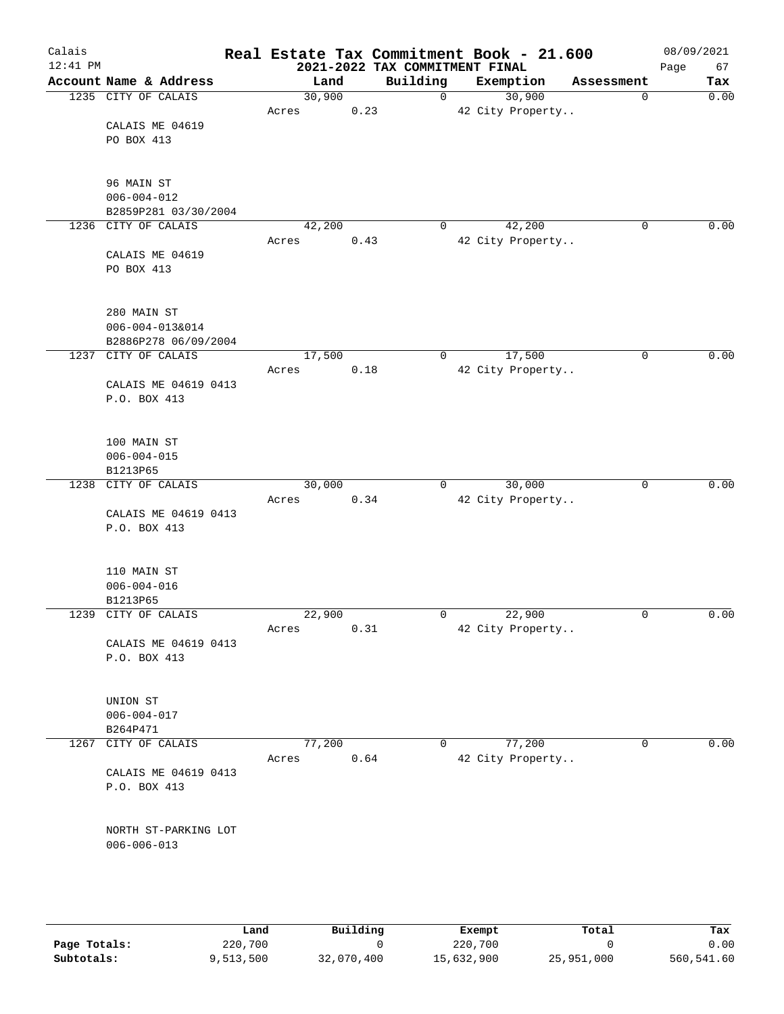| Calais<br>$12:41$ PM |                                           |        |      | 2021-2022 TAX COMMITMENT FINAL | Real Estate Tax Commitment Book - 21.600 |             | 08/09/2021<br>Page<br>67 |
|----------------------|-------------------------------------------|--------|------|--------------------------------|------------------------------------------|-------------|--------------------------|
|                      | Account Name & Address                    | Land   |      | Building                       | Exemption                                | Assessment  | Tax                      |
|                      | 1235 CITY OF CALAIS                       | 30,900 |      | $\mathbf 0$                    | 30,900                                   | 0           | 0.00                     |
|                      |                                           | Acres  | 0.23 |                                | 42 City Property                         |             |                          |
|                      | CALAIS ME 04619                           |        |      |                                |                                          |             |                          |
|                      | PO BOX 413                                |        |      |                                |                                          |             |                          |
|                      |                                           |        |      |                                |                                          |             |                          |
|                      | 96 MAIN ST                                |        |      |                                |                                          |             |                          |
|                      | $006 - 004 - 012$<br>B2859P281 03/30/2004 |        |      |                                |                                          |             |                          |
|                      | 1236 CITY OF CALAIS                       | 42,200 |      | 0                              | 42,200                                   | 0           | 0.00                     |
|                      |                                           | Acres  | 0.43 |                                | 42 City Property                         |             |                          |
|                      | CALAIS ME 04619                           |        |      |                                |                                          |             |                          |
|                      | PO BOX 413                                |        |      |                                |                                          |             |                          |
|                      |                                           |        |      |                                |                                          |             |                          |
|                      | 280 MAIN ST                               |        |      |                                |                                          |             |                          |
|                      | 006-004-013&014                           |        |      |                                |                                          |             |                          |
|                      | B2886P278 06/09/2004                      |        |      |                                |                                          |             |                          |
|                      | 1237 CITY OF CALAIS                       | 17,500 |      | 0                              | 17,500                                   | 0           | 0.00                     |
|                      |                                           | Acres  | 0.18 |                                | 42 City Property                         |             |                          |
|                      | CALAIS ME 04619 0413                      |        |      |                                |                                          |             |                          |
|                      | P.O. BOX 413                              |        |      |                                |                                          |             |                          |
|                      | 100 MAIN ST                               |        |      |                                |                                          |             |                          |
|                      | $006 - 004 - 015$                         |        |      |                                |                                          |             |                          |
|                      | B1213P65                                  |        |      |                                |                                          |             |                          |
|                      | 1238 CITY OF CALAIS                       | 30,000 |      | 0                              | 30,000                                   | $\mathbf 0$ | 0.00                     |
|                      |                                           | Acres  | 0.34 |                                | 42 City Property                         |             |                          |
|                      | CALAIS ME 04619 0413                      |        |      |                                |                                          |             |                          |
|                      | P.O. BOX 413                              |        |      |                                |                                          |             |                          |
|                      | 110 MAIN ST                               |        |      |                                |                                          |             |                          |
|                      | $006 - 004 - 016$                         |        |      |                                |                                          |             |                          |
|                      | B1213P65                                  |        |      |                                |                                          |             |                          |
|                      | 1239 CITY OF CALAIS                       | 22,900 |      | 0                              | 22,900                                   | $\mathbf 0$ | 0.00                     |
|                      |                                           | Acres  | 0.31 |                                | 42 City Property                         |             |                          |
|                      | CALAIS ME 04619 0413                      |        |      |                                |                                          |             |                          |
|                      | P.O. BOX 413                              |        |      |                                |                                          |             |                          |
|                      |                                           |        |      |                                |                                          |             |                          |
|                      | UNION ST                                  |        |      |                                |                                          |             |                          |
|                      | $006 - 004 - 017$<br>B264P471             |        |      |                                |                                          |             |                          |
|                      | 1267 CITY OF CALAIS                       | 77,200 |      | 0                              | 77,200                                   | 0           | 0.00                     |
|                      |                                           | Acres  | 0.64 |                                | 42 City Property                         |             |                          |
|                      | CALAIS ME 04619 0413                      |        |      |                                |                                          |             |                          |
|                      | P.O. BOX 413                              |        |      |                                |                                          |             |                          |
|                      |                                           |        |      |                                |                                          |             |                          |
|                      | NORTH ST-PARKING LOT                      |        |      |                                |                                          |             |                          |
|                      | $006 - 006 - 013$                         |        |      |                                |                                          |             |                          |
|                      |                                           |        |      |                                |                                          |             |                          |
|                      |                                           |        |      |                                |                                          |             |                          |
|                      |                                           |        |      |                                |                                          |             |                          |

|              | Land      | Building   | Exempt     | Total      | Tax        |
|--------------|-----------|------------|------------|------------|------------|
| Page Totals: | 220,700   |            | 220,700    |            | 0.00       |
| Subtotals:   | 9,513,500 | 32,070,400 | 15,632,900 | 25,951,000 | 560,541.60 |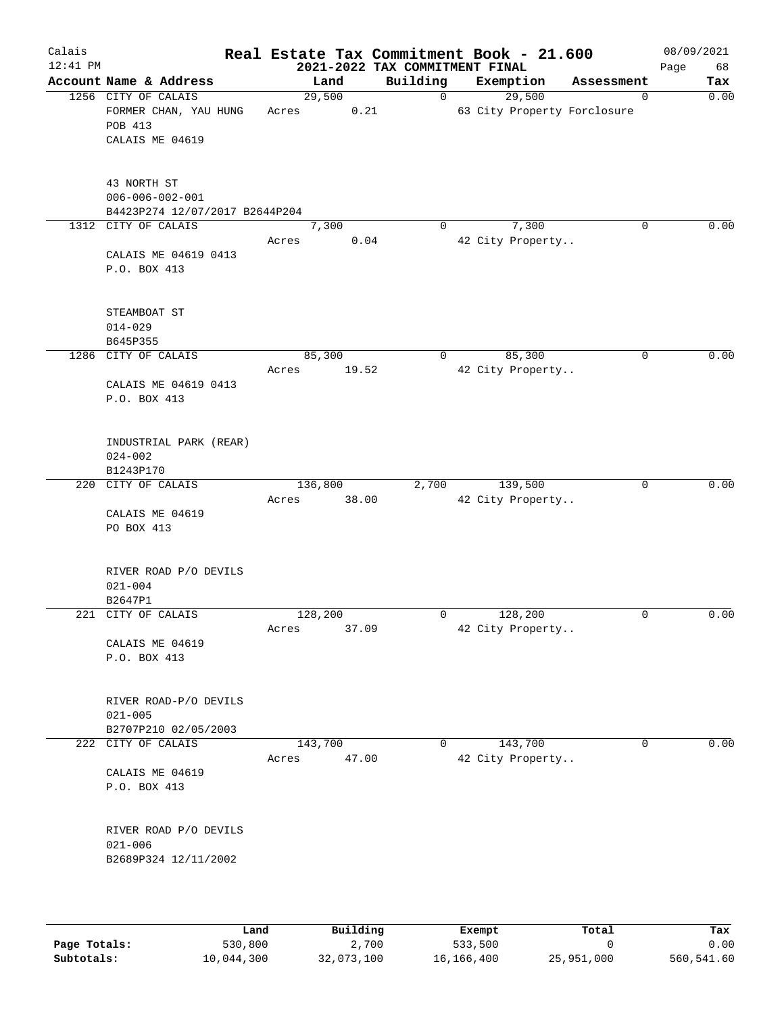| Calais<br>$12:41$ PM |                                                                            |                  | 2021-2022 TAX COMMITMENT FINAL | Real Estate Tax Commitment Book - 21.600 |             | 08/09/2021<br>Page<br>68 |
|----------------------|----------------------------------------------------------------------------|------------------|--------------------------------|------------------------------------------|-------------|--------------------------|
|                      | Account Name & Address                                                     | Land             | Building                       | Exemption                                | Assessment  | Tax                      |
|                      | 1256 CITY OF CALAIS<br>FORMER CHAN, YAU HUNG<br>POB 413<br>CALAIS ME 04619 | 29,500<br>Acres  | 0<br>0.21                      | 29,500<br>63 City Property Forclosure    | $\mathbf 0$ | 0.00                     |
|                      | 43 NORTH ST<br>$006 - 006 - 002 - 001$<br>B4423P274 12/07/2017 B2644P204   |                  |                                |                                          |             |                          |
|                      | 1312 CITY OF CALAIS<br>CALAIS ME 04619 0413<br>P.O. BOX 413                | 7,300<br>Acres   | $\Omega$<br>0.04               | 7,300<br>42 City Property                | 0           | 0.00                     |
|                      | STEAMBOAT ST<br>$014 - 029$<br>B645P355                                    |                  |                                |                                          |             |                          |
| 1286                 | CITY OF CALAIS<br>CALAIS ME 04619 0413<br>P.O. BOX 413                     | 85,300<br>Acres  | 0<br>19.52                     | 85,300<br>42 City Property               | 0           | 0.00                     |
|                      | INDUSTRIAL PARK (REAR)<br>$024 - 002$<br>B1243P170                         |                  |                                |                                          |             |                          |
|                      | 220 CITY OF CALAIS<br>CALAIS ME 04619<br>PO BOX 413                        | 136,800<br>Acres | 2,700<br>38.00                 | 139,500<br>42 City Property              | 0           | 0.00                     |
|                      | RIVER ROAD P/O DEVILS<br>$021 - 004$<br>B2647P1                            |                  |                                |                                          |             |                          |
|                      | 221 CITY OF CALAIS<br>CALAIS ME 04619<br>P.O. BOX 413                      | 128,200<br>Acres | 0<br>37.09                     | 128,200<br>42 City Property              | 0           | 0.00                     |
|                      | RIVER ROAD-P/O DEVILS<br>$021 - 005$<br>B2707P210 02/05/2003               |                  |                                |                                          |             |                          |
|                      | 222 CITY OF CALAIS<br>CALAIS ME 04619<br>P.O. BOX 413                      | 143,700<br>Acres | $\mathbf{0}$<br>47.00          | 143,700<br>42 City Property              | $\mathbf 0$ | 0.00                     |
|                      | RIVER ROAD P/O DEVILS<br>$021 - 006$<br>B2689P324 12/11/2002               |                  |                                |                                          |             |                          |
|                      |                                                                            |                  |                                |                                          |             |                          |

|              | Land       | Building   | Exempt     | Total      | Tax        |
|--------------|------------|------------|------------|------------|------------|
| Page Totals: | 530,800    | 2,700      | 533,500    |            | 0.00       |
| Subtotals:   | 10,044,300 | 32,073,100 | 16,166,400 | 25,951,000 | 560,541.60 |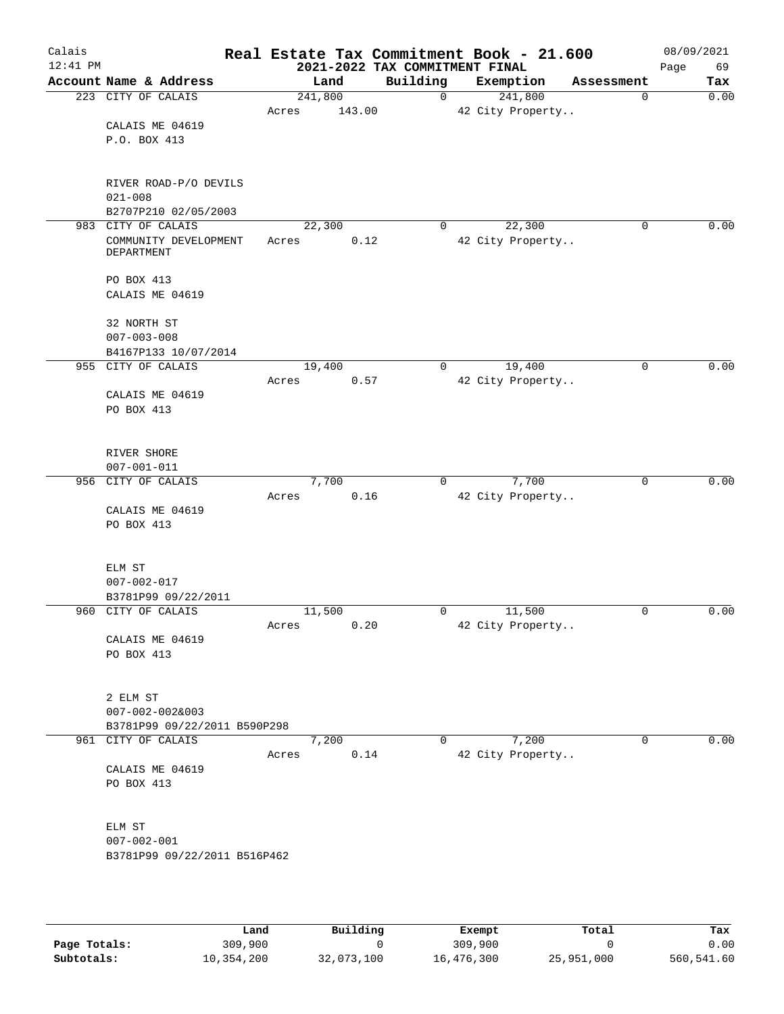| Calais<br>$12:41$ PM |                                      |                 | 2021-2022 TAX COMMITMENT FINAL | Real Estate Tax Commitment Book - 21.600 |            | 08/09/2021<br>Page<br>69 |
|----------------------|--------------------------------------|-----------------|--------------------------------|------------------------------------------|------------|--------------------------|
|                      | Account Name & Address               | Land            | Building                       | Exemption                                | Assessment | Tax                      |
|                      | 223 CITY OF CALAIS                   | 241,800         | $\mathbf 0$                    | 241,800                                  | 0          | 0.00                     |
|                      |                                      | 143.00<br>Acres |                                | 42 City Property                         |            |                          |
|                      | CALAIS ME 04619                      |                 |                                |                                          |            |                          |
|                      | P.O. BOX 413                         |                 |                                |                                          |            |                          |
|                      |                                      |                 |                                |                                          |            |                          |
|                      |                                      |                 |                                |                                          |            |                          |
|                      | RIVER ROAD-P/O DEVILS<br>$021 - 008$ |                 |                                |                                          |            |                          |
|                      | B2707P210 02/05/2003                 |                 |                                |                                          |            |                          |
|                      | 983 CITY OF CALAIS                   | 22,300          | 0                              | 22,300                                   | 0          | 0.00                     |
|                      | COMMUNITY DEVELOPMENT                | 0.12<br>Acres   |                                | 42 City Property                         |            |                          |
|                      | DEPARTMENT                           |                 |                                |                                          |            |                          |
|                      |                                      |                 |                                |                                          |            |                          |
|                      | PO BOX 413<br>CALAIS ME 04619        |                 |                                |                                          |            |                          |
|                      |                                      |                 |                                |                                          |            |                          |
|                      | 32 NORTH ST                          |                 |                                |                                          |            |                          |
|                      | $007 - 003 - 008$                    |                 |                                |                                          |            |                          |
|                      | B4167P133 10/07/2014                 |                 |                                |                                          |            |                          |
|                      | 955 CITY OF CALAIS                   | 19,400          | $\mathbf 0$                    | 19,400                                   | 0          | 0.00                     |
|                      |                                      | 0.57<br>Acres   |                                | 42 City Property                         |            |                          |
|                      | CALAIS ME 04619                      |                 |                                |                                          |            |                          |
|                      | PO BOX 413                           |                 |                                |                                          |            |                          |
|                      |                                      |                 |                                |                                          |            |                          |
|                      | RIVER SHORE                          |                 |                                |                                          |            |                          |
|                      | $007 - 001 - 011$                    |                 |                                |                                          |            |                          |
|                      | 956 CITY OF CALAIS                   | 7,700           | 0                              | 7,700                                    | 0          | 0.00                     |
|                      |                                      | 0.16<br>Acres   |                                | 42 City Property                         |            |                          |
|                      | CALAIS ME 04619                      |                 |                                |                                          |            |                          |
|                      | PO BOX 413                           |                 |                                |                                          |            |                          |
|                      |                                      |                 |                                |                                          |            |                          |
|                      | ELM ST                               |                 |                                |                                          |            |                          |
|                      | $007 - 002 - 017$                    |                 |                                |                                          |            |                          |
|                      | B3781P99 09/22/2011                  |                 |                                |                                          |            |                          |
|                      | 960 CITY OF CALAIS                   | 11,500          | 0                              | 11,500                                   | 0          | 0.00                     |
|                      |                                      | 0.20<br>Acres   |                                | 42 City Property                         |            |                          |
|                      | CALAIS ME 04619<br>PO BOX 413        |                 |                                |                                          |            |                          |
|                      |                                      |                 |                                |                                          |            |                          |
|                      |                                      |                 |                                |                                          |            |                          |
|                      | 2 ELM ST                             |                 |                                |                                          |            |                          |
|                      | $007 - 002 - 0028003$                |                 |                                |                                          |            |                          |
|                      | B3781P99 09/22/2011 B590P298         |                 |                                |                                          |            |                          |
|                      | 961 CITY OF CALAIS                   | 7,200           | 0                              | 7,200                                    | 0          | 0.00                     |
|                      | CALAIS ME 04619                      | 0.14<br>Acres   |                                | 42 City Property                         |            |                          |
|                      | PO BOX 413                           |                 |                                |                                          |            |                          |
|                      |                                      |                 |                                |                                          |            |                          |
|                      |                                      |                 |                                |                                          |            |                          |
|                      | ELM ST                               |                 |                                |                                          |            |                          |
|                      | $007 - 002 - 001$                    |                 |                                |                                          |            |                          |
|                      | B3781P99 09/22/2011 B516P462         |                 |                                |                                          |            |                          |
|                      |                                      |                 |                                |                                          |            |                          |
|                      |                                      |                 |                                |                                          |            |                          |
|                      |                                      |                 |                                |                                          |            |                          |

|              | Land       | Building   | Exempt     | Total      | Tax        |
|--------------|------------|------------|------------|------------|------------|
|              |            |            |            |            |            |
| Page Totals: | 309,900    |            | 309,900    |            | 0.00       |
| Subtotals:   | 10,354,200 | 32,073,100 | 16,476,300 | 25,951,000 | 560,541.60 |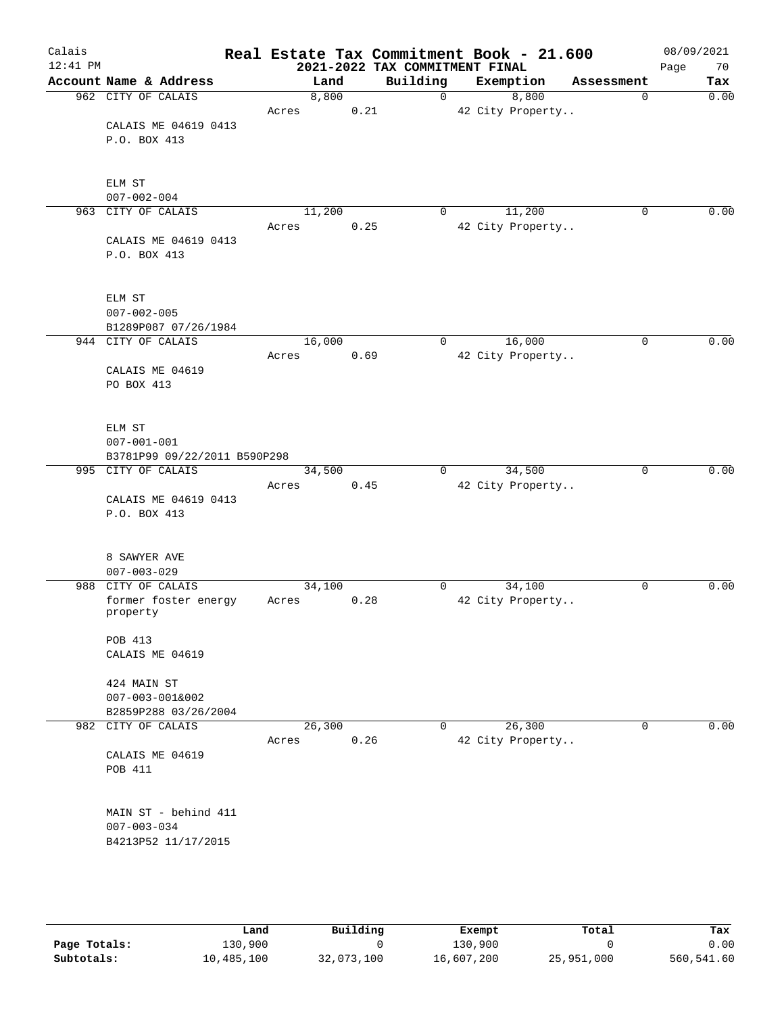| Calais<br>$12:41$ PM |                                  |       |        |      | Real Estate Tax Commitment Book - 21.600<br>2021-2022 TAX COMMITMENT FINAL |                  |             | 08/09/2021<br>Page<br>70 |
|----------------------|----------------------------------|-------|--------|------|----------------------------------------------------------------------------|------------------|-------------|--------------------------|
|                      | Account Name & Address           |       | Land   |      | Building                                                                   | Exemption        | Assessment  | Tax                      |
|                      | 962 CITY OF CALAIS               |       | 8,800  |      | $\mathbf 0$                                                                | 8,800            | $\mathbf 0$ | 0.00                     |
|                      |                                  | Acres |        | 0.21 |                                                                            | 42 City Property |             |                          |
|                      | CALAIS ME 04619 0413             |       |        |      |                                                                            |                  |             |                          |
|                      | P.O. BOX 413                     |       |        |      |                                                                            |                  |             |                          |
|                      |                                  |       |        |      |                                                                            |                  |             |                          |
|                      |                                  |       |        |      |                                                                            |                  |             |                          |
|                      | ELM ST                           |       |        |      |                                                                            |                  |             |                          |
|                      | $007 - 002 - 004$                |       |        |      |                                                                            |                  |             |                          |
| 963                  | CITY OF CALAIS                   |       | 11,200 |      | 0                                                                          | 11,200           | $\mathbf 0$ | 0.00                     |
|                      |                                  | Acres |        | 0.25 |                                                                            | 42 City Property |             |                          |
|                      | CALAIS ME 04619 0413             |       |        |      |                                                                            |                  |             |                          |
|                      | P.O. BOX 413                     |       |        |      |                                                                            |                  |             |                          |
|                      |                                  |       |        |      |                                                                            |                  |             |                          |
|                      | ELM ST                           |       |        |      |                                                                            |                  |             |                          |
|                      | $007 - 002 - 005$                |       |        |      |                                                                            |                  |             |                          |
|                      | B1289P087 07/26/1984             |       |        |      |                                                                            |                  |             |                          |
|                      | 944 CITY OF CALAIS               |       | 16,000 |      | 0                                                                          | 16,000           | $\mathbf 0$ | 0.00                     |
|                      |                                  | Acres |        | 0.69 |                                                                            | 42 City Property |             |                          |
|                      | CALAIS ME 04619                  |       |        |      |                                                                            |                  |             |                          |
|                      | PO BOX 413                       |       |        |      |                                                                            |                  |             |                          |
|                      |                                  |       |        |      |                                                                            |                  |             |                          |
|                      |                                  |       |        |      |                                                                            |                  |             |                          |
|                      | ELM ST                           |       |        |      |                                                                            |                  |             |                          |
|                      | $007 - 001 - 001$                |       |        |      |                                                                            |                  |             |                          |
|                      | B3781P99 09/22/2011 B590P298     |       |        |      |                                                                            |                  |             |                          |
|                      | 995 CITY OF CALAIS               |       | 34,500 |      | 0                                                                          | 34,500           | 0           | 0.00                     |
|                      |                                  | Acres |        | 0.45 |                                                                            | 42 City Property |             |                          |
|                      | CALAIS ME 04619 0413             |       |        |      |                                                                            |                  |             |                          |
|                      | P.O. BOX 413                     |       |        |      |                                                                            |                  |             |                          |
|                      |                                  |       |        |      |                                                                            |                  |             |                          |
|                      |                                  |       |        |      |                                                                            |                  |             |                          |
|                      | 8 SAWYER AVE                     |       |        |      |                                                                            |                  |             |                          |
|                      | $007 - 003 - 029$                |       |        |      |                                                                            |                  |             |                          |
|                      | 988 CITY OF CALAIS               |       | 34,100 |      | 0                                                                          | 34,100           | 0           | 0.00                     |
|                      | former foster energy<br>property | Acres |        | 0.28 |                                                                            | 42 City Property |             |                          |
|                      |                                  |       |        |      |                                                                            |                  |             |                          |
|                      | POB 413                          |       |        |      |                                                                            |                  |             |                          |
|                      | CALAIS ME 04619                  |       |        |      |                                                                            |                  |             |                          |
|                      |                                  |       |        |      |                                                                            |                  |             |                          |
|                      | 424 MAIN ST                      |       |        |      |                                                                            |                  |             |                          |
|                      | $007 - 003 - 001&002$            |       |        |      |                                                                            |                  |             |                          |
|                      | B2859P288 03/26/2004             |       |        |      |                                                                            |                  |             |                          |
| 982                  | CITY OF CALAIS                   |       | 26,300 |      | 0                                                                          | 26,300           | $\mathbf 0$ | 0.00                     |
|                      |                                  | Acres |        | 0.26 |                                                                            | 42 City Property |             |                          |
|                      | CALAIS ME 04619                  |       |        |      |                                                                            |                  |             |                          |
|                      | POB 411                          |       |        |      |                                                                            |                  |             |                          |
|                      |                                  |       |        |      |                                                                            |                  |             |                          |
|                      |                                  |       |        |      |                                                                            |                  |             |                          |
|                      | MAIN ST - behind 411             |       |        |      |                                                                            |                  |             |                          |
|                      | $007 - 003 - 034$                |       |        |      |                                                                            |                  |             |                          |
|                      | B4213P52 11/17/2015              |       |        |      |                                                                            |                  |             |                          |
|                      |                                  |       |        |      |                                                                            |                  |             |                          |
|                      |                                  |       |        |      |                                                                            |                  |             |                          |
|                      |                                  |       |        |      |                                                                            |                  |             |                          |

|              | Land       | Building   | Exempt     | Total      | Tax        |
|--------------|------------|------------|------------|------------|------------|
| Page Totals: | 130,900    |            | 130,900    |            | 0.00       |
| Subtotals:   | 10,485,100 | 32,073,100 | 16,607,200 | 25,951,000 | 560,541.60 |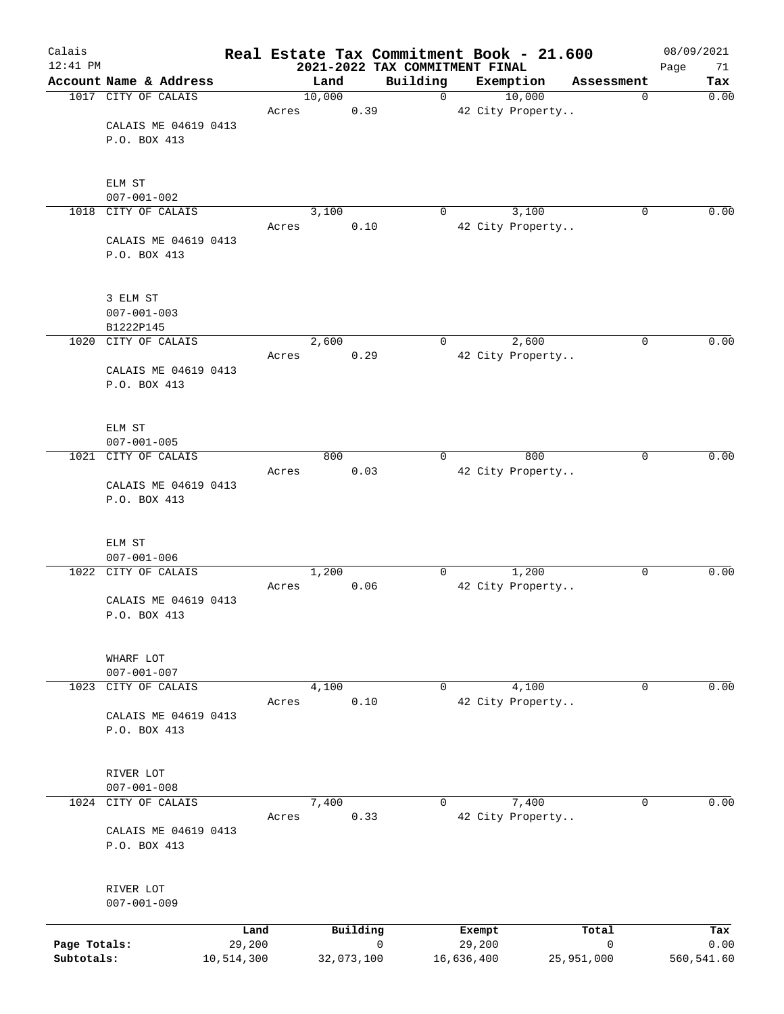| Calais       |                                |                |       |                |            |             |                                |            |                  | Real Estate Tax Commitment Book - 21.600 |                       |   | 08/09/2021  |
|--------------|--------------------------------|----------------|-------|----------------|------------|-------------|--------------------------------|------------|------------------|------------------------------------------|-----------------------|---|-------------|
| $12:41$ PM   | Account Name & Address         |                |       |                |            |             | 2021-2022 TAX COMMITMENT FINAL |            |                  |                                          |                       |   | 71<br>Page  |
|              | 1017 CITY OF CALAIS            |                |       | Land<br>10,000 |            |             | Building<br>0                  |            |                  | Exemption<br>10,000                      | Assessment            | 0 | Tax<br>0.00 |
|              |                                |                | Acres |                | 0.39       |             |                                |            |                  | 42 City Property                         |                       |   |             |
|              | CALAIS ME 04619 0413           |                |       |                |            |             |                                |            |                  |                                          |                       |   |             |
|              | P.O. BOX 413                   |                |       |                |            |             |                                |            |                  |                                          |                       |   |             |
|              |                                |                |       |                |            |             |                                |            |                  |                                          |                       |   |             |
|              |                                |                |       |                |            |             |                                |            |                  |                                          |                       |   |             |
|              | ELM ST<br>$007 - 001 - 002$    |                |       |                |            |             |                                |            |                  |                                          |                       |   |             |
|              | 1018 CITY OF CALAIS            |                |       | 3,100          |            |             | 0                              |            |                  | 3,100                                    |                       | 0 | 0.00        |
|              |                                |                | Acres |                | 0.10       |             |                                |            |                  | 42 City Property                         |                       |   |             |
|              | CALAIS ME 04619 0413           |                |       |                |            |             |                                |            |                  |                                          |                       |   |             |
|              | P.O. BOX 413                   |                |       |                |            |             |                                |            |                  |                                          |                       |   |             |
|              |                                |                |       |                |            |             |                                |            |                  |                                          |                       |   |             |
|              | 3 ELM ST                       |                |       |                |            |             |                                |            |                  |                                          |                       |   |             |
|              | $007 - 001 - 003$              |                |       |                |            |             |                                |            |                  |                                          |                       |   |             |
|              | B1222P145                      |                |       |                |            |             |                                |            |                  |                                          |                       |   |             |
| 1020         | CITY OF CALAIS                 |                |       | 2,600          |            |             | 0                              |            |                  | 2,600                                    |                       | 0 | 0.00        |
|              | CALAIS ME 04619 0413           |                | Acres |                | 0.29       |             |                                |            |                  | 42 City Property                         |                       |   |             |
|              | P.O. BOX 413                   |                |       |                |            |             |                                |            |                  |                                          |                       |   |             |
|              |                                |                |       |                |            |             |                                |            |                  |                                          |                       |   |             |
|              |                                |                |       |                |            |             |                                |            |                  |                                          |                       |   |             |
|              | ELM ST<br>$007 - 001 - 005$    |                |       |                |            |             |                                |            |                  |                                          |                       |   |             |
| 1021         | CITY OF CALAIS                 |                |       | 800            |            |             | 0                              |            |                  | 800                                      |                       | 0 | 0.00        |
|              |                                |                | Acres |                | 0.03       |             |                                |            |                  | 42 City Property                         |                       |   |             |
|              | CALAIS ME 04619 0413           |                |       |                |            |             |                                |            |                  |                                          |                       |   |             |
|              | P.O. BOX 413                   |                |       |                |            |             |                                |            |                  |                                          |                       |   |             |
|              |                                |                |       |                |            |             |                                |            |                  |                                          |                       |   |             |
|              | ELM ST                         |                |       |                |            |             |                                |            |                  |                                          |                       |   |             |
|              | $007 - 001 - 006$              |                |       |                |            |             |                                |            |                  |                                          |                       |   |             |
| 1022         | CITY OF CALAIS                 |                |       | 1,200          |            |             | 0                              |            |                  | 1,200                                    |                       | 0 | 0.00        |
|              | CALAIS ME 04619 0413           |                | Acres |                | 0.06       |             |                                |            |                  | 42 City Property                         |                       |   |             |
|              | P.O. BOX 413                   |                |       |                |            |             |                                |            |                  |                                          |                       |   |             |
|              |                                |                |       |                |            |             |                                |            |                  |                                          |                       |   |             |
|              |                                |                |       |                |            |             |                                |            |                  |                                          |                       |   |             |
|              | WHARF LOT<br>$007 - 001 - 007$ |                |       |                |            |             |                                |            |                  |                                          |                       |   |             |
| 1023         | CITY OF CALAIS                 |                |       | 4,100          |            |             | 0                              |            |                  | 4,100                                    |                       | 0 | 0.00        |
|              |                                |                | Acres |                | 0.10       |             |                                |            |                  | 42 City Property                         |                       |   |             |
|              | CALAIS ME 04619 0413           |                |       |                |            |             |                                |            |                  |                                          |                       |   |             |
|              | P.O. BOX 413                   |                |       |                |            |             |                                |            |                  |                                          |                       |   |             |
|              |                                |                |       |                |            |             |                                |            |                  |                                          |                       |   |             |
|              | RIVER LOT                      |                |       |                |            |             |                                |            |                  |                                          |                       |   |             |
|              | $007 - 001 - 008$              |                |       |                |            |             |                                |            |                  |                                          |                       |   |             |
|              | 1024 CITY OF CALAIS            |                |       | 7,400          |            |             | 0                              |            |                  | 7,400                                    |                       | 0 | 0.00        |
|              | CALAIS ME 04619 0413           |                | Acres |                | 0.33       |             |                                |            |                  | 42 City Property                         |                       |   |             |
|              | P.O. BOX 413                   |                |       |                |            |             |                                |            |                  |                                          |                       |   |             |
|              |                                |                |       |                |            |             |                                |            |                  |                                          |                       |   |             |
|              |                                |                |       |                |            |             |                                |            |                  |                                          |                       |   |             |
|              | RIVER LOT<br>$007 - 001 - 009$ |                |       |                |            |             |                                |            |                  |                                          |                       |   |             |
|              |                                |                |       |                |            |             |                                |            |                  |                                          |                       |   |             |
| Page Totals: |                                | Land<br>29,200 |       |                | Building   | $\mathbf 0$ |                                |            | Exempt<br>29,200 |                                          | Total<br>$\mathsf{O}$ |   | Tax<br>0.00 |
| Subtotals:   |                                | 10,514,300     |       |                | 32,073,100 |             |                                | 16,636,400 |                  |                                          | 25,951,000            |   | 560,541.60  |
|              |                                |                |       |                |            |             |                                |            |                  |                                          |                       |   |             |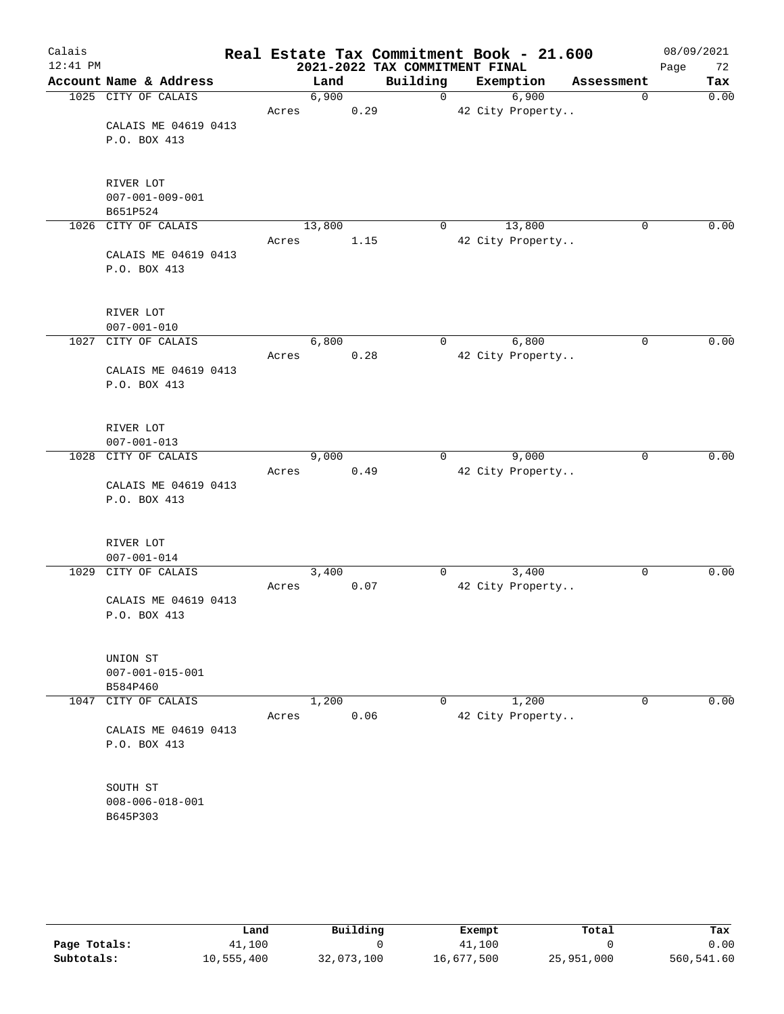| Calais   |                                      |       |        |      | Real Estate Tax Commitment Book - 21.600 |                  |             | 08/09/2021 |
|----------|--------------------------------------|-------|--------|------|------------------------------------------|------------------|-------------|------------|
| 12:41 PM |                                      |       |        |      | 2021-2022 TAX COMMITMENT FINAL           |                  |             | Page<br>72 |
|          | Account Name & Address               |       | Land   |      | Building                                 | Exemption        | Assessment  | Tax        |
|          | 1025 CITY OF CALAIS                  |       | 6,900  |      | $\mathbf 0$                              | 6,900            | 0           | 0.00       |
|          |                                      | Acres |        | 0.29 |                                          | 42 City Property |             |            |
|          | CALAIS ME 04619 0413<br>P.O. BOX 413 |       |        |      |                                          |                  |             |            |
|          |                                      |       |        |      |                                          |                  |             |            |
|          |                                      |       |        |      |                                          |                  |             |            |
|          | RIVER LOT                            |       |        |      |                                          |                  |             |            |
|          | $007 - 001 - 009 - 001$              |       |        |      |                                          |                  |             |            |
|          | B651P524                             |       |        |      |                                          |                  |             |            |
|          | 1026 CITY OF CALAIS                  |       | 13,800 |      | 0                                        | 13,800           | 0           | 0.00       |
|          |                                      | Acres |        | 1.15 |                                          | 42 City Property |             |            |
|          | CALAIS ME 04619 0413                 |       |        |      |                                          |                  |             |            |
|          | P.O. BOX 413                         |       |        |      |                                          |                  |             |            |
|          |                                      |       |        |      |                                          |                  |             |            |
|          | RIVER LOT<br>$007 - 001 - 010$       |       |        |      |                                          |                  |             |            |
| 1027     | CITY OF CALAIS                       |       | 6,800  |      | 0                                        | 6,800            | 0           | 0.00       |
|          |                                      | Acres |        | 0.28 |                                          | 42 City Property |             |            |
|          | CALAIS ME 04619 0413                 |       |        |      |                                          |                  |             |            |
|          | P.O. BOX 413                         |       |        |      |                                          |                  |             |            |
|          |                                      |       |        |      |                                          |                  |             |            |
|          | RIVER LOT                            |       |        |      |                                          |                  |             |            |
|          | $007 - 001 - 013$                    |       |        |      |                                          |                  |             |            |
|          | 1028 CITY OF CALAIS                  |       | 9,000  |      | 0                                        | 9,000            | $\mathbf 0$ | 0.00       |
|          |                                      | Acres |        | 0.49 |                                          | 42 City Property |             |            |
|          | CALAIS ME 04619 0413                 |       |        |      |                                          |                  |             |            |
|          | P.O. BOX 413                         |       |        |      |                                          |                  |             |            |
|          |                                      |       |        |      |                                          |                  |             |            |
|          | RIVER LOT<br>$007 - 001 - 014$       |       |        |      |                                          |                  |             |            |
| 1029     | CITY OF CALAIS                       |       | 3,400  |      | 0                                        | 3,400            | 0           | 0.00       |
|          |                                      | Acres |        | 0.07 |                                          | 42 City Property |             |            |
|          | CALAIS ME 04619 0413                 |       |        |      |                                          |                  |             |            |
|          | P.O. BOX 413                         |       |        |      |                                          |                  |             |            |
|          |                                      |       |        |      |                                          |                  |             |            |
|          | UNION ST                             |       |        |      |                                          |                  |             |            |
|          | $007 - 001 - 015 - 001$              |       |        |      |                                          |                  |             |            |
|          | B584P460                             |       |        |      |                                          |                  |             |            |
| 1047     | CITY OF CALAIS                       |       | 1,200  |      | 0                                        | 1,200            | 0           | 0.00       |
|          |                                      | Acres |        | 0.06 |                                          | 42 City Property |             |            |
|          | CALAIS ME 04619 0413                 |       |        |      |                                          |                  |             |            |
|          | P.O. BOX 413                         |       |        |      |                                          |                  |             |            |
|          |                                      |       |        |      |                                          |                  |             |            |
|          | SOUTH ST                             |       |        |      |                                          |                  |             |            |
|          | $008 - 006 - 018 - 001$              |       |        |      |                                          |                  |             |            |
|          | B645P303                             |       |        |      |                                          |                  |             |            |
|          |                                      |       |        |      |                                          |                  |             |            |
|          |                                      |       |        |      |                                          |                  |             |            |
|          |                                      |       |        |      |                                          |                  |             |            |

|              | Land       | Building   | Exempt     | Total      | Tax        |
|--------------|------------|------------|------------|------------|------------|
| Page Totals: | 41,100     |            | 41,100     |            | 0.00       |
| Subtotals:   | 10,555,400 | 32,073,100 | 16,677,500 | 25,951,000 | 560,541.60 |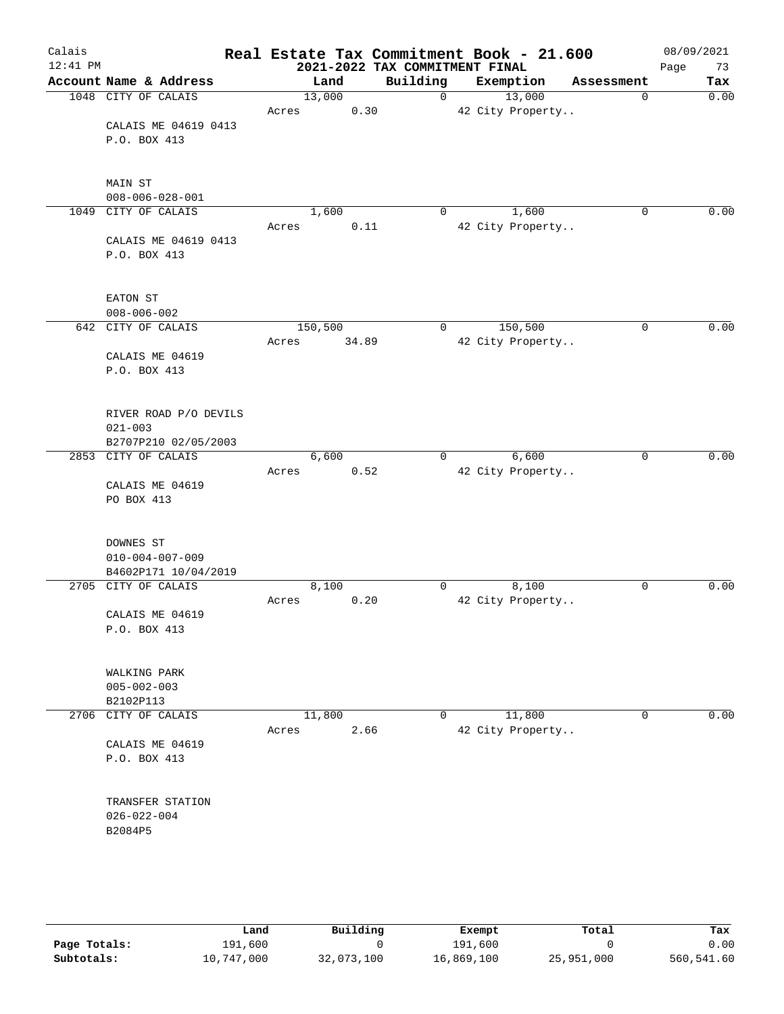| Calais<br>$12:41$ PM |                         |         |       | 2021-2022 TAX COMMITMENT FINAL | Real Estate Tax Commitment Book - 21.600 |            | 08/09/2021<br>73<br>Page |
|----------------------|-------------------------|---------|-------|--------------------------------|------------------------------------------|------------|--------------------------|
|                      | Account Name & Address  | Land    |       | Building                       | Exemption                                | Assessment | Tax                      |
|                      | 1048 CITY OF CALAIS     | 13,000  |       | $\mathbf 0$                    | 13,000                                   | 0          | 0.00                     |
|                      |                         | Acres   | 0.30  |                                | 42 City Property                         |            |                          |
|                      | CALAIS ME 04619 0413    |         |       |                                |                                          |            |                          |
|                      | P.O. BOX 413            |         |       |                                |                                          |            |                          |
|                      |                         |         |       |                                |                                          |            |                          |
|                      |                         |         |       |                                |                                          |            |                          |
|                      | MAIN ST                 |         |       |                                |                                          |            |                          |
|                      | $008 - 006 - 028 - 001$ |         |       |                                |                                          |            |                          |
|                      |                         |         |       |                                |                                          |            | 0.00                     |
| 1049                 | CITY OF CALAIS          | 1,600   |       | 0                              | 1,600                                    | 0          |                          |
|                      |                         | Acres   | 0.11  |                                | 42 City Property                         |            |                          |
|                      | CALAIS ME 04619 0413    |         |       |                                |                                          |            |                          |
|                      | P.O. BOX 413            |         |       |                                |                                          |            |                          |
|                      |                         |         |       |                                |                                          |            |                          |
|                      |                         |         |       |                                |                                          |            |                          |
|                      | EATON ST                |         |       |                                |                                          |            |                          |
|                      | $008 - 006 - 002$       |         |       |                                |                                          |            |                          |
| 642                  | CITY OF CALAIS          | 150,500 |       | 0                              | 150,500                                  | 0          | 0.00                     |
|                      |                         | Acres   | 34.89 |                                | 42 City Property                         |            |                          |
|                      | CALAIS ME 04619         |         |       |                                |                                          |            |                          |
|                      | P.O. BOX 413            |         |       |                                |                                          |            |                          |
|                      |                         |         |       |                                |                                          |            |                          |
|                      |                         |         |       |                                |                                          |            |                          |
|                      | RIVER ROAD P/O DEVILS   |         |       |                                |                                          |            |                          |
|                      | $021 - 003$             |         |       |                                |                                          |            |                          |
|                      | B2707P210 02/05/2003    |         |       |                                |                                          |            |                          |
|                      | 2853 CITY OF CALAIS     | 6,600   |       | $\mathbf{0}$                   | 6,600                                    | 0          | 0.00                     |
|                      |                         |         |       |                                |                                          |            |                          |
|                      |                         | Acres   | 0.52  |                                | 42 City Property                         |            |                          |
|                      | CALAIS ME 04619         |         |       |                                |                                          |            |                          |
|                      | PO BOX 413              |         |       |                                |                                          |            |                          |
|                      |                         |         |       |                                |                                          |            |                          |
|                      |                         |         |       |                                |                                          |            |                          |
|                      | DOWNES ST               |         |       |                                |                                          |            |                          |
|                      | $010 - 004 - 007 - 009$ |         |       |                                |                                          |            |                          |
|                      | B4602P171 10/04/2019    |         |       |                                |                                          |            |                          |
|                      | 2705 CITY OF CALAIS     | 8,100   |       | 0                              | 8,100                                    | 0          | 0.00                     |
|                      |                         | Acres   | 0.20  |                                | 42 City Property                         |            |                          |
|                      | CALAIS ME 04619         |         |       |                                |                                          |            |                          |
|                      | P.O. BOX 413            |         |       |                                |                                          |            |                          |
|                      |                         |         |       |                                |                                          |            |                          |
|                      |                         |         |       |                                |                                          |            |                          |
|                      | WALKING PARK            |         |       |                                |                                          |            |                          |
|                      | $005 - 002 - 003$       |         |       |                                |                                          |            |                          |
|                      | B2102P113               |         |       |                                |                                          |            |                          |
| 2706                 | CITY OF CALAIS          | 11,800  |       | $\overline{0}$                 | 11,800                                   | 0          | 0.00                     |
|                      |                         | Acres   | 2.66  |                                | 42 City Property                         |            |                          |
|                      | CALAIS ME 04619         |         |       |                                |                                          |            |                          |
|                      | P.O. BOX 413            |         |       |                                |                                          |            |                          |
|                      |                         |         |       |                                |                                          |            |                          |
|                      |                         |         |       |                                |                                          |            |                          |
|                      | TRANSFER STATION        |         |       |                                |                                          |            |                          |
|                      | $026 - 022 - 004$       |         |       |                                |                                          |            |                          |
|                      |                         |         |       |                                |                                          |            |                          |
|                      | B2084P5                 |         |       |                                |                                          |            |                          |
|                      |                         |         |       |                                |                                          |            |                          |
|                      |                         |         |       |                                |                                          |            |                          |
|                      |                         |         |       |                                |                                          |            |                          |
|                      |                         |         |       |                                |                                          |            |                          |

|              | Land       | Building   | Exempt     | Total      | Tax        |
|--------------|------------|------------|------------|------------|------------|
| Page Totals: | 191,600    |            | 191,600    |            | 0.00       |
| Subtotals:   | 10,747,000 | 32,073,100 | 16,869,100 | 25,951,000 | 560,541.60 |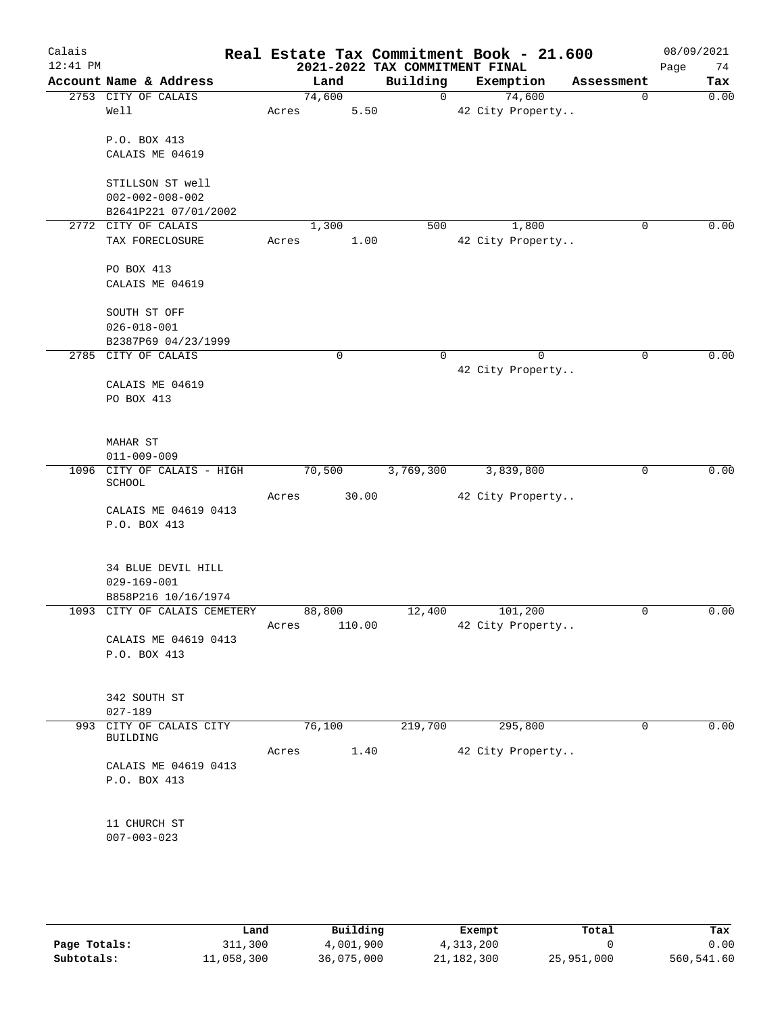| Calais     |                                            |       |                                |      |             | Real Estate Tax Commitment Book - 21.600 |             | 08/09/2021 |
|------------|--------------------------------------------|-------|--------------------------------|------|-------------|------------------------------------------|-------------|------------|
| $12:41$ PM |                                            |       | 2021-2022 TAX COMMITMENT FINAL |      |             |                                          |             | 74<br>Page |
|            | Account Name & Address                     |       | Land                           |      | Building    | Exemption                                | Assessment  | Tax        |
|            | 2753 CITY OF CALAIS                        |       | 74,600                         |      | $\mathbf 0$ | 74,600                                   | $\mathbf 0$ | 0.00       |
|            | Well                                       | Acres |                                | 5.50 |             | 42 City Property                         |             |            |
|            | P.O. BOX 413                               |       |                                |      |             |                                          |             |            |
|            | CALAIS ME 04619                            |       |                                |      |             |                                          |             |            |
|            |                                            |       |                                |      |             |                                          |             |            |
|            | STILLSON ST well                           |       |                                |      |             |                                          |             |            |
|            | $002 - 002 - 008 - 002$                    |       |                                |      |             |                                          |             |            |
|            | B2641P221 07/01/2002                       |       |                                |      |             |                                          |             |            |
|            | 2772 CITY OF CALAIS                        |       | 1,300                          |      | 500         | 1,800                                    | 0           | 0.00       |
|            | TAX FORECLOSURE                            | Acres |                                | 1.00 |             | 42 City Property                         |             |            |
|            |                                            |       |                                |      |             |                                          |             |            |
|            | PO BOX 413                                 |       |                                |      |             |                                          |             |            |
|            | CALAIS ME 04619                            |       |                                |      |             |                                          |             |            |
|            |                                            |       |                                |      |             |                                          |             |            |
|            | SOUTH ST OFF                               |       |                                |      |             |                                          |             |            |
|            | $026 - 018 - 001$                          |       |                                |      |             |                                          |             |            |
|            | B2387P69 04/23/1999<br>2785 CITY OF CALAIS |       | 0                              |      | 0           | $\Omega$                                 | 0           | 0.00       |
|            |                                            |       |                                |      |             | 42 City Property                         |             |            |
|            | CALAIS ME 04619                            |       |                                |      |             |                                          |             |            |
|            | PO BOX 413                                 |       |                                |      |             |                                          |             |            |
|            |                                            |       |                                |      |             |                                          |             |            |
|            |                                            |       |                                |      |             |                                          |             |            |
|            | MAHAR ST                                   |       |                                |      |             |                                          |             |            |
|            | $011 - 009 - 009$                          |       |                                |      |             |                                          |             |            |
|            | 1096 CITY OF CALAIS - HIGH<br>SCHOOL       |       | 70,500                         |      | 3,769,300   | 3,839,800                                | 0           | 0.00       |
|            |                                            | Acres | 30.00                          |      |             | 42 City Property                         |             |            |
|            | CALAIS ME 04619 0413                       |       |                                |      |             |                                          |             |            |
|            | P.O. BOX 413                               |       |                                |      |             |                                          |             |            |
|            |                                            |       |                                |      |             |                                          |             |            |
|            |                                            |       |                                |      |             |                                          |             |            |
|            | 34 BLUE DEVIL HILL                         |       |                                |      |             |                                          |             |            |
|            | $029 - 169 - 001$                          |       |                                |      |             |                                          |             |            |
|            | B858P216 10/16/1974                        |       |                                |      |             |                                          |             |            |
|            | 1093 CITY OF CALAIS CEMETERY               |       | 88,800                         |      | 12,400      | 101,200                                  | 0           | 0.00       |
|            | CALAIS ME 04619 0413                       | Acres | 110.00                         |      |             | 42 City Property                         |             |            |
|            | P.O. BOX 413                               |       |                                |      |             |                                          |             |            |
|            |                                            |       |                                |      |             |                                          |             |            |
|            |                                            |       |                                |      |             |                                          |             |            |
|            | 342 SOUTH ST                               |       |                                |      |             |                                          |             |            |
|            | $027 - 189$                                |       |                                |      |             |                                          |             |            |
|            | 993 CITY OF CALAIS CITY                    |       | 76,100                         |      | 219,700     | 295,800                                  | 0           | 0.00       |
|            | BUILDING                                   | Acres |                                | 1.40 |             | 42 City Property                         |             |            |
|            | CALAIS ME 04619 0413                       |       |                                |      |             |                                          |             |            |
|            | P.O. BOX 413                               |       |                                |      |             |                                          |             |            |
|            |                                            |       |                                |      |             |                                          |             |            |
|            |                                            |       |                                |      |             |                                          |             |            |
|            | 11 CHURCH ST                               |       |                                |      |             |                                          |             |            |
|            | $007 - 003 - 023$                          |       |                                |      |             |                                          |             |            |
|            |                                            |       |                                |      |             |                                          |             |            |
|            |                                            |       |                                |      |             |                                          |             |            |
|            |                                            |       |                                |      |             |                                          |             |            |

|              | Land       | Building   | Exempt     | Total      | Tax        |
|--------------|------------|------------|------------|------------|------------|
| Page Totals: | 311,300    | 4,001,900  | 4,313,200  |            | 0.00       |
| Subtotals:   | 11,058,300 | 36,075,000 | 21,182,300 | 25,951,000 | 560,541.60 |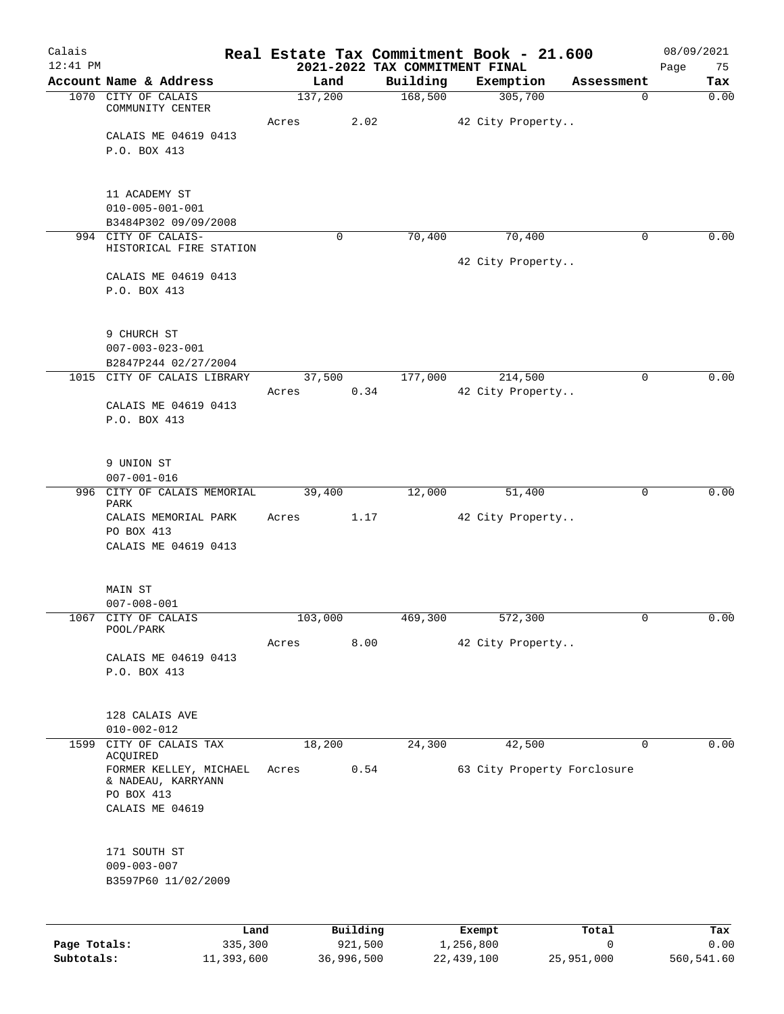| Calais       |                                                 |            |          |                                            | Real Estate Tax Commitment Book - 21.600 |            | 08/09/2021        |
|--------------|-------------------------------------------------|------------|----------|--------------------------------------------|------------------------------------------|------------|-------------------|
| $12:41$ PM   | Account Name & Address                          | Land       |          | 2021-2022 TAX COMMITMENT FINAL<br>Building | Exemption                                | Assessment | Page<br>75<br>Tax |
|              | 1070 CITY OF CALAIS                             | 137,200    |          | 168,500                                    | 305,700                                  | 0          | 0.00              |
|              | COMMUNITY CENTER                                |            |          |                                            |                                          |            |                   |
|              | CALAIS ME 04619 0413                            | Acres      | 2.02     |                                            | 42 City Property                         |            |                   |
|              | P.O. BOX 413                                    |            |          |                                            |                                          |            |                   |
|              |                                                 |            |          |                                            |                                          |            |                   |
|              |                                                 |            |          |                                            |                                          |            |                   |
|              | 11 ACADEMY ST                                   |            |          |                                            |                                          |            |                   |
|              | $010 - 005 - 001 - 001$<br>B3484P302 09/09/2008 |            |          |                                            |                                          |            |                   |
|              | 994 CITY OF CALAIS-                             | $\Omega$   |          | 70,400                                     | 70,400                                   | 0          | 0.00              |
|              | HISTORICAL FIRE STATION                         |            |          |                                            |                                          |            |                   |
|              | CALAIS ME 04619 0413                            |            |          |                                            | 42 City Property                         |            |                   |
|              | P.O. BOX 413                                    |            |          |                                            |                                          |            |                   |
|              |                                                 |            |          |                                            |                                          |            |                   |
|              |                                                 |            |          |                                            |                                          |            |                   |
|              | 9 CHURCH ST                                     |            |          |                                            |                                          |            |                   |
|              | $007 - 003 - 023 - 001$<br>B2847P244 02/27/2004 |            |          |                                            |                                          |            |                   |
|              | 1015 CITY OF CALAIS LIBRARY                     | 37,500     |          | 177,000                                    | 214,500                                  | 0          | 0.00              |
|              |                                                 | Acres      | 0.34     |                                            | 42 City Property                         |            |                   |
|              | CALAIS ME 04619 0413                            |            |          |                                            |                                          |            |                   |
|              | P.O. BOX 413                                    |            |          |                                            |                                          |            |                   |
|              |                                                 |            |          |                                            |                                          |            |                   |
|              | 9 UNION ST                                      |            |          |                                            |                                          |            |                   |
|              | $007 - 001 - 016$                               |            |          |                                            |                                          |            |                   |
|              | 996 CITY OF CALAIS MEMORIAL<br>PARK             | 39,400     |          | 12,000                                     | 51,400                                   | 0          | 0.00              |
|              | CALAIS MEMORIAL PARK                            | Acres      | 1.17     |                                            | 42 City Property                         |            |                   |
|              | PO BOX 413                                      |            |          |                                            |                                          |            |                   |
|              | CALAIS ME 04619 0413                            |            |          |                                            |                                          |            |                   |
|              |                                                 |            |          |                                            |                                          |            |                   |
|              | MAIN ST                                         |            |          |                                            |                                          |            |                   |
|              | $007 - 008 - 001$                               |            |          |                                            |                                          |            |                   |
| 1067         | CITY OF CALAIS<br>POOL/PARK                     | 103,000    |          | 469,300                                    | 572,300                                  | 0          | 0.00              |
|              |                                                 | Acres      | 8.00     |                                            | 42 City Property                         |            |                   |
|              | CALAIS ME 04619 0413                            |            |          |                                            |                                          |            |                   |
|              | P.O. BOX 413                                    |            |          |                                            |                                          |            |                   |
|              |                                                 |            |          |                                            |                                          |            |                   |
|              | 128 CALAIS AVE                                  |            |          |                                            |                                          |            |                   |
|              | $010 - 002 - 012$                               |            |          |                                            |                                          |            |                   |
| 1599         | CITY OF CALAIS TAX<br>ACQUIRED                  | 18,200     |          | 24,300                                     | 42,500                                   | 0          | 0.00              |
|              | FORMER KELLEY, MICHAEL                          | Acres      | 0.54     |                                            | 63 City Property Forclosure              |            |                   |
|              | & NADEAU, KARRYANN                              |            |          |                                            |                                          |            |                   |
|              | PO BOX 413<br>CALAIS ME 04619                   |            |          |                                            |                                          |            |                   |
|              |                                                 |            |          |                                            |                                          |            |                   |
|              |                                                 |            |          |                                            |                                          |            |                   |
|              | 171 SOUTH ST                                    |            |          |                                            |                                          |            |                   |
|              | $009 - 003 - 007$                               |            |          |                                            |                                          |            |                   |
|              | B3597P60 11/02/2009                             |            |          |                                            |                                          |            |                   |
|              |                                                 |            |          |                                            |                                          |            |                   |
|              | Land                                            |            | Building |                                            | Exempt                                   | Total      | Tax               |
| Page Totals: | 335,300                                         |            | 921,500  |                                            | 1,256,800                                | 0          | 0.00              |
| Subtotals:   | 11,393,600                                      | 36,996,500 |          |                                            | 22, 439, 100                             | 25,951,000 | 560,541.60        |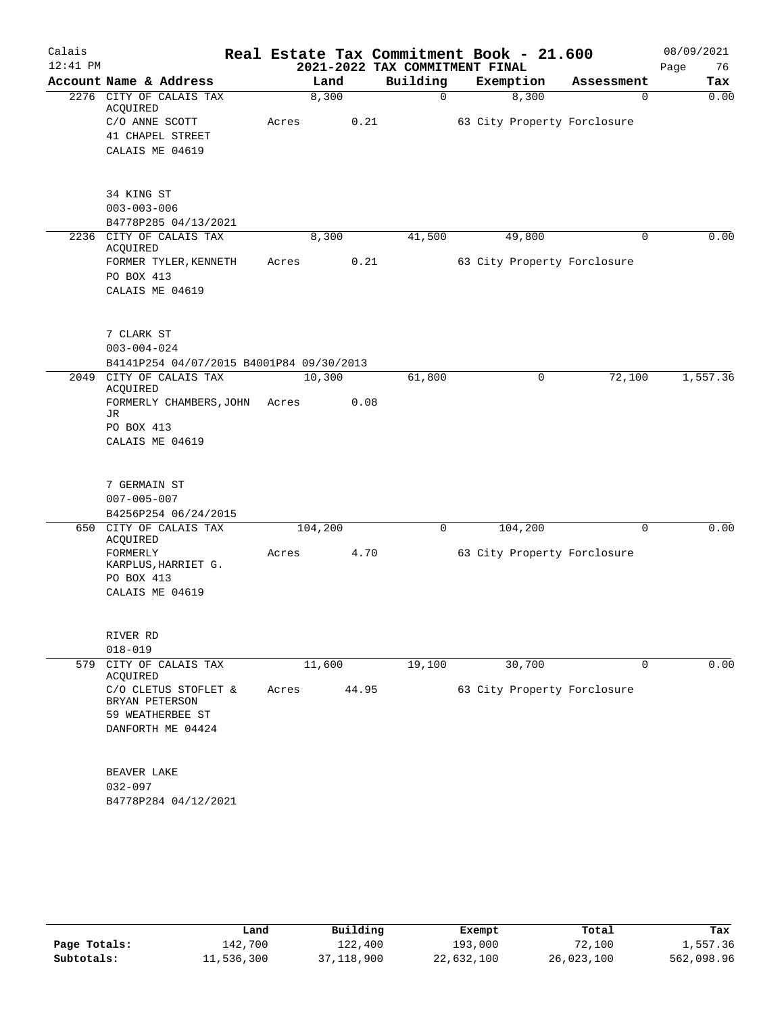| Calais   |                                          |       |         |          | Real Estate Tax Commitment Book - 21.600 |            | 08/09/2021 |
|----------|------------------------------------------|-------|---------|----------|------------------------------------------|------------|------------|
| 12:41 PM |                                          |       |         |          | 2021-2022 TAX COMMITMENT FINAL           |            | 76<br>Page |
|          | Account Name & Address                   |       | Land    | Building | Exemption                                | Assessment | Tax        |
|          | 2276 CITY OF CALAIS TAX<br>ACQUIRED      |       | 8,300   | 0        | 8,300                                    | 0          | 0.00       |
|          | C/O ANNE SCOTT                           | Acres | 0.21    |          | 63 City Property Forclosure              |            |            |
|          | 41 CHAPEL STREET                         |       |         |          |                                          |            |            |
|          | CALAIS ME 04619                          |       |         |          |                                          |            |            |
|          |                                          |       |         |          |                                          |            |            |
|          | 34 KING ST                               |       |         |          |                                          |            |            |
|          | $003 - 003 - 006$                        |       |         |          |                                          |            |            |
|          | B4778P285 04/13/2021                     |       |         |          |                                          |            |            |
|          | 2236 CITY OF CALAIS TAX                  |       | 8,300   | 41,500   | 49,800                                   | $\Omega$   | 0.00       |
|          | ACQUIRED                                 |       |         |          |                                          |            |            |
|          | FORMER TYLER, KENNETH                    | Acres |         | 0.21     | 63 City Property Forclosure              |            |            |
|          | PO BOX 413                               |       |         |          |                                          |            |            |
|          | CALAIS ME 04619                          |       |         |          |                                          |            |            |
|          |                                          |       |         |          |                                          |            |            |
|          | 7 CLARK ST                               |       |         |          |                                          |            |            |
|          | $003 - 004 - 024$                        |       |         |          |                                          |            |            |
|          | B4141P254 04/07/2015 B4001P84 09/30/2013 |       |         |          |                                          |            |            |
|          | 2049 CITY OF CALAIS TAX<br>ACQUIRED      |       | 10,300  | 61,800   | 0                                        | 72,100     | 1,557.36   |
|          | FORMERLY CHAMBERS, JOHN                  | Acres | 0.08    |          |                                          |            |            |
|          | JR                                       |       |         |          |                                          |            |            |
|          | PO BOX 413                               |       |         |          |                                          |            |            |
|          | CALAIS ME 04619                          |       |         |          |                                          |            |            |
|          |                                          |       |         |          |                                          |            |            |
|          | 7 GERMAIN ST                             |       |         |          |                                          |            |            |
|          | $007 - 005 - 007$                        |       |         |          |                                          |            |            |
|          | B4256P254 06/24/2015                     |       |         |          |                                          |            |            |
|          | 650 CITY OF CALAIS TAX<br>ACQUIRED       |       | 104,200 | $\Omega$ | 104,200                                  | $\Omega$   | 0.00       |
|          | FORMERLY                                 | Acres | 4.70    |          | 63 City Property Forclosure              |            |            |
|          | KARPLUS, HARRIET G.                      |       |         |          |                                          |            |            |
|          | PO BOX 413                               |       |         |          |                                          |            |            |
|          | CALAIS ME 04619                          |       |         |          |                                          |            |            |
|          |                                          |       |         |          |                                          |            |            |
|          | RIVER RD                                 |       |         |          |                                          |            |            |
|          | $018 - 019$                              |       |         |          |                                          |            |            |
|          | 579 CITY OF CALAIS TAX<br>ACQUIRED       |       | 11,600  | 19,100   | 30,700                                   | 0          | 0.00       |
|          | C/O CLETUS STOFLET &                     | Acres | 44.95   |          | 63 City Property Forclosure              |            |            |
|          | BRYAN PETERSON                           |       |         |          |                                          |            |            |
|          | 59 WEATHERBEE ST                         |       |         |          |                                          |            |            |
|          | DANFORTH ME 04424                        |       |         |          |                                          |            |            |
|          |                                          |       |         |          |                                          |            |            |
|          | BEAVER LAKE                              |       |         |          |                                          |            |            |
|          | $032 - 097$                              |       |         |          |                                          |            |            |
|          | B4778P284 04/12/2021                     |       |         |          |                                          |            |            |
|          |                                          |       |         |          |                                          |            |            |
|          |                                          |       |         |          |                                          |            |            |

|              | Land       | Building   | Exempt     | Total      | Tax        |
|--------------|------------|------------|------------|------------|------------|
| Page Totals: | 142,700    | 122,400    | 193,000    | 72,100     | 1,557.36   |
| Subtotals:   | 11,536,300 | 37,118,900 | 22,632,100 | 26,023,100 | 562,098.96 |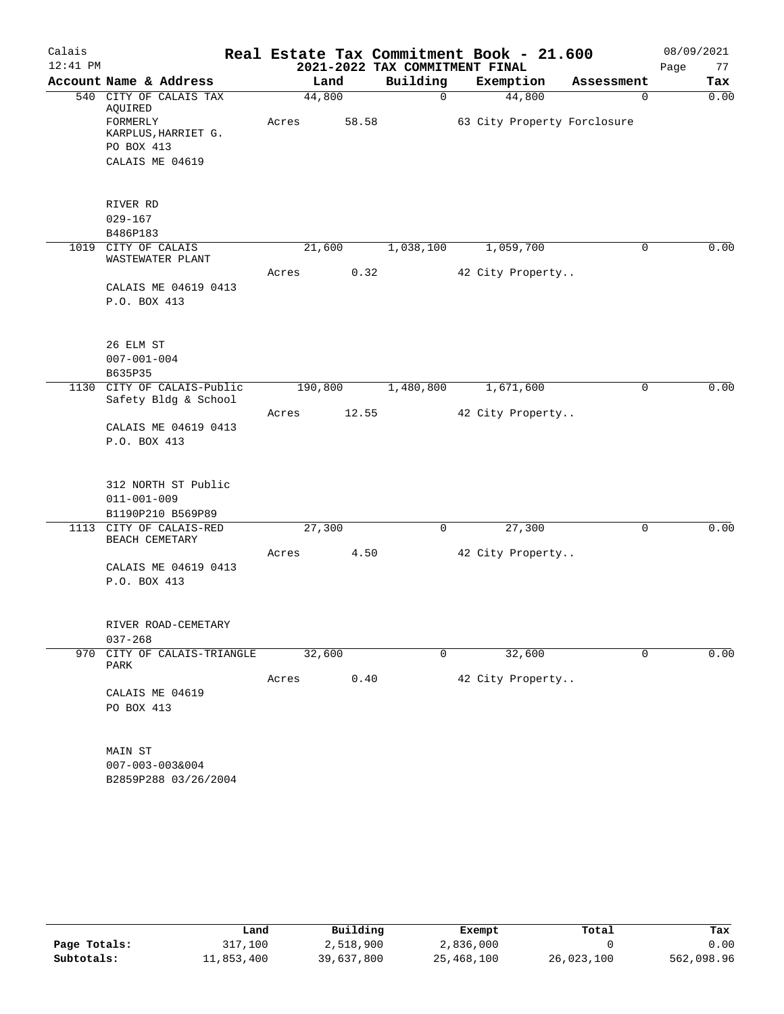| Calais     |                                               |       |         |                                | Real Estate Tax Commitment Book - 21.600 |                             | 08/09/2021          |
|------------|-----------------------------------------------|-------|---------|--------------------------------|------------------------------------------|-----------------------------|---------------------|
| $12:41$ PM |                                               |       |         | 2021-2022 TAX COMMITMENT FINAL |                                          |                             | 77<br>Page          |
|            | Account Name & Address                        |       | Land    | Building                       | Exemption                                | Assessment                  | Tax                 |
|            | 540 CITY OF CALAIS TAX<br>AQUIRED             |       | 44,800  | $\Omega$                       | 44,800                                   |                             | 0.00<br>$\Omega$    |
|            | FORMERLY<br>KARPLUS, HARRIET G.               | Acres | 58.58   |                                |                                          | 63 City Property Forclosure |                     |
|            | PO BOX 413                                    |       |         |                                |                                          |                             |                     |
|            | CALAIS ME 04619                               |       |         |                                |                                          |                             |                     |
|            |                                               |       |         |                                |                                          |                             |                     |
|            | RIVER RD                                      |       |         |                                |                                          |                             |                     |
|            | $029 - 167$                                   |       |         |                                |                                          |                             |                     |
| 1019       | B486P183<br>CITY OF CALAIS                    |       |         |                                |                                          |                             | 0.00<br>0           |
|            | WASTEWATER PLANT                              |       | 21,600  | 1,038,100                      | 1,059,700                                |                             |                     |
|            | CALAIS ME 04619 0413                          | Acres | 0.32    |                                | 42 City Property                         |                             |                     |
|            | P.O. BOX 413                                  |       |         |                                |                                          |                             |                     |
|            |                                               |       |         |                                |                                          |                             |                     |
|            | 26 ELM ST                                     |       |         |                                |                                          |                             |                     |
|            | $007 - 001 - 004$                             |       |         |                                |                                          |                             |                     |
|            | B635P35                                       |       |         |                                |                                          |                             |                     |
| 1130       | CITY OF CALAIS-Public<br>Safety Bldg & School |       | 190,800 | 1,480,800                      | 1,671,600                                |                             | 0.00<br>$\mathbf 0$ |
|            |                                               | Acres | 12.55   |                                | 42 City Property                         |                             |                     |
|            | CALAIS ME 04619 0413                          |       |         |                                |                                          |                             |                     |
|            | P.O. BOX 413                                  |       |         |                                |                                          |                             |                     |
|            |                                               |       |         |                                |                                          |                             |                     |
|            | 312 NORTH ST Public                           |       |         |                                |                                          |                             |                     |
|            | $011 - 001 - 009$                             |       |         |                                |                                          |                             |                     |
|            | B1190P210 B569P89                             |       |         |                                |                                          |                             |                     |
|            | 1113 CITY OF CALAIS-RED<br>BEACH CEMETARY     |       | 27,300  | $\mathbf 0$                    | 27,300                                   |                             | 0.00<br>0           |
|            |                                               | Acres | 4.50    |                                | 42 City Property                         |                             |                     |
|            | CALAIS ME 04619 0413<br>P.O. BOX 413          |       |         |                                |                                          |                             |                     |
|            |                                               |       |         |                                |                                          |                             |                     |
|            | RIVER ROAD-CEMETARY                           |       |         |                                |                                          |                             |                     |
|            | $037 - 268$                                   |       |         |                                |                                          |                             |                     |
|            | 970 CITY OF CALAIS-TRIANGLE<br>PARK           |       | 32,600  | 0                              | 32,600                                   |                             | 0.00<br>0           |
|            |                                               | Acres | 0.40    |                                | 42 City Property                         |                             |                     |
|            | CALAIS ME 04619                               |       |         |                                |                                          |                             |                     |
|            | PO BOX 413                                    |       |         |                                |                                          |                             |                     |
|            | MAIN ST                                       |       |         |                                |                                          |                             |                     |
|            | $007 - 003 - 003&004$                         |       |         |                                |                                          |                             |                     |
|            | B2859P288 03/26/2004                          |       |         |                                |                                          |                             |                     |
|            |                                               |       |         |                                |                                          |                             |                     |
|            |                                               |       |         |                                |                                          |                             |                     |

|              | Land       | Building   | Exempt     | Total      | Tax        |
|--------------|------------|------------|------------|------------|------------|
| Page Totals: | 317,100    | 2,518,900  | 2,836,000  |            | 0.00       |
| Subtotals:   | 11,853,400 | 39,637,800 | 25,468,100 | 26,023,100 | 562,098.96 |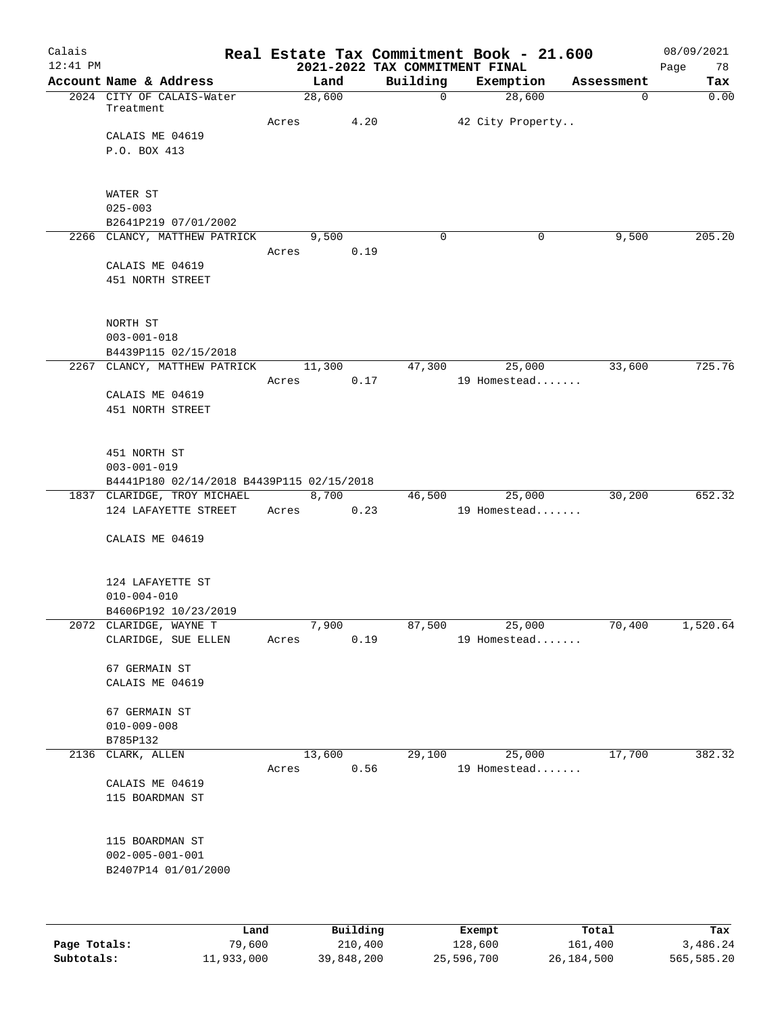| Calais<br>$12:41$ PM |                                                                          |                 |          |          |        | Real Estate Tax Commitment Book - 21.600<br>2021-2022 TAX COMMITMENT FINAL |             | 08/09/2021<br>Page<br>78 |
|----------------------|--------------------------------------------------------------------------|-----------------|----------|----------|--------|----------------------------------------------------------------------------|-------------|--------------------------|
|                      | Account Name & Address                                                   | Land            |          | Building |        | Exemption                                                                  | Assessment  | Tax                      |
|                      | 2024 CITY OF CALAIS-Water<br>Treatment                                   | 28,600          |          |          | 0      | 28,600                                                                     | $\mathbf 0$ | 0.00                     |
|                      |                                                                          | Acres           | 4.20     |          |        | 42 City Property                                                           |             |                          |
|                      | CALAIS ME 04619                                                          |                 |          |          |        |                                                                            |             |                          |
|                      | P.O. BOX 413                                                             |                 |          |          |        |                                                                            |             |                          |
|                      | WATER ST                                                                 |                 |          |          |        |                                                                            |             |                          |
|                      | $025 - 003$                                                              |                 |          |          |        |                                                                            |             |                          |
|                      | B2641P219 07/01/2002                                                     |                 |          |          |        |                                                                            |             |                          |
|                      | 2266 CLANCY, MATTHEW PATRICK                                             | 9,500           |          |          | 0      | 0                                                                          | 9,500       | 205.20                   |
|                      |                                                                          | Acres           | 0.19     |          |        |                                                                            |             |                          |
|                      | CALAIS ME 04619<br>451 NORTH STREET                                      |                 |          |          |        |                                                                            |             |                          |
|                      | NORTH ST                                                                 |                 |          |          |        |                                                                            |             |                          |
|                      | $003 - 001 - 018$                                                        |                 |          |          |        |                                                                            |             |                          |
|                      | B4439P115 02/15/2018                                                     |                 |          |          |        |                                                                            |             |                          |
|                      | 2267 CLANCY, MATTHEW PATRICK                                             | 11,300          |          |          | 47,300 | 25,000                                                                     | 33,600      | 725.76                   |
|                      |                                                                          | Acres           | 0.17     |          |        | 19 Homestead                                                               |             |                          |
|                      | CALAIS ME 04619                                                          |                 |          |          |        |                                                                            |             |                          |
|                      | 451 NORTH STREET                                                         |                 |          |          |        |                                                                            |             |                          |
|                      | 451 NORTH ST                                                             |                 |          |          |        |                                                                            |             |                          |
|                      | $003 - 001 - 019$                                                        |                 |          |          |        |                                                                            |             |                          |
|                      | B4441P180 02/14/2018 B4439P115 02/15/2018<br>1837 CLARIDGE, TROY MICHAEL | 8,700           |          |          | 46,500 | 25,000                                                                     | 30,200      | 652.32                   |
|                      | 124 LAFAYETTE STREET                                                     | Acres           | 0.23     |          |        | 19 Homestead                                                               |             |                          |
|                      | CALAIS ME 04619                                                          |                 |          |          |        |                                                                            |             |                          |
|                      |                                                                          |                 |          |          |        |                                                                            |             |                          |
|                      | 124 LAFAYETTE ST<br>$010 - 004 - 010$                                    |                 |          |          |        |                                                                            |             |                          |
|                      | B4606P192 10/23/2019                                                     |                 |          |          |        |                                                                            |             |                          |
|                      | 2072 CLARIDGE, WAYNE T                                                   | 7,900           |          | 87,500   |        | 25,000                                                                     | 70,400      | 1,520.64                 |
|                      | CLARIDGE, SUE ELLEN                                                      | Acres           | 0.19     |          |        | 19 Homestead                                                               |             |                          |
|                      | 67 GERMAIN ST                                                            |                 |          |          |        |                                                                            |             |                          |
|                      | CALAIS ME 04619                                                          |                 |          |          |        |                                                                            |             |                          |
|                      | 67 GERMAIN ST                                                            |                 |          |          |        |                                                                            |             |                          |
|                      | $010 - 009 - 008$                                                        |                 |          |          |        |                                                                            |             |                          |
|                      | B785P132                                                                 |                 |          |          |        |                                                                            |             |                          |
| 2136                 | CLARK, ALLEN                                                             | 13,600<br>Acres | 0.56     | 29,100   |        | 25,000<br>19 Homestead                                                     | 17,700      | 382.32                   |
|                      | CALAIS ME 04619                                                          |                 |          |          |        |                                                                            |             |                          |
|                      | 115 BOARDMAN ST                                                          |                 |          |          |        |                                                                            |             |                          |
|                      | 115 BOARDMAN ST                                                          |                 |          |          |        |                                                                            |             |                          |
|                      | $002 - 005 - 001 - 001$                                                  |                 |          |          |        |                                                                            |             |                          |
|                      | B2407P14 01/01/2000                                                      |                 |          |          |        |                                                                            |             |                          |
|                      |                                                                          |                 |          |          |        |                                                                            |             |                          |
|                      | Land                                                                     |                 | Building |          |        | Exempt                                                                     | Total       | Tax                      |
| Page Totals:         | 79,600                                                                   |                 | 210,400  |          |        | 128,600                                                                    | 161,400     | 3,486.24                 |

**Subtotals:** 11,933,000 39,848,200 25,596,700 26,184,500 565,585.20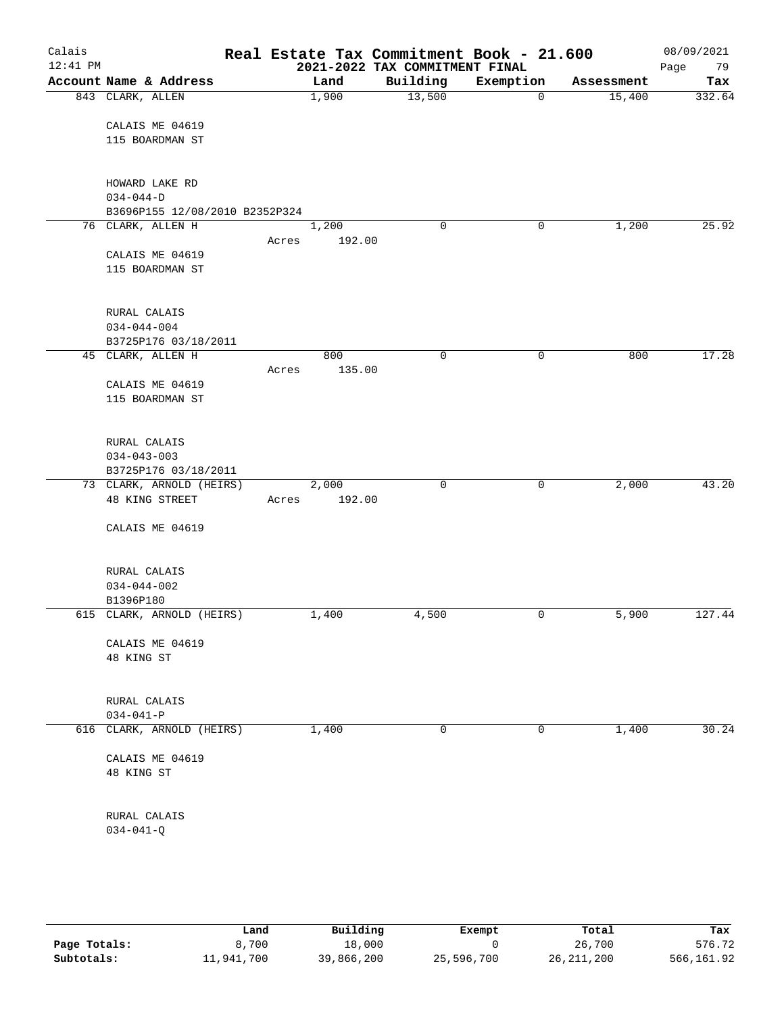| Calais<br>$12:41$ PM |                                |       |        | 2021-2022 TAX COMMITMENT FINAL | Real Estate Tax Commitment Book - 21.600 |            | 08/09/2021<br>Page<br>79 |
|----------------------|--------------------------------|-------|--------|--------------------------------|------------------------------------------|------------|--------------------------|
|                      | Account Name & Address         |       | Land   | Building                       | Exemption                                | Assessment | Tax                      |
|                      | 843 CLARK, ALLEN               |       | 1,900  | 13,500                         | $\mathbf 0$                              | 15,400     | 332.64                   |
|                      | CALAIS ME 04619                |       |        |                                |                                          |            |                          |
|                      | 115 BOARDMAN ST                |       |        |                                |                                          |            |                          |
|                      | HOWARD LAKE RD                 |       |        |                                |                                          |            |                          |
|                      | $034 - 044 - D$                |       |        |                                |                                          |            |                          |
|                      | B3696P155 12/08/2010 B2352P324 |       |        |                                |                                          |            |                          |
|                      | 76 CLARK, ALLEN H              |       | 1,200  | 0                              | 0                                        | 1,200      | 25.92                    |
|                      |                                | Acres | 192.00 |                                |                                          |            |                          |
|                      | CALAIS ME 04619                |       |        |                                |                                          |            |                          |
|                      | 115 BOARDMAN ST                |       |        |                                |                                          |            |                          |
|                      | RURAL CALAIS                   |       |        |                                |                                          |            |                          |
|                      | $034 - 044 - 004$              |       |        |                                |                                          |            |                          |
|                      | B3725P176 03/18/2011           |       |        |                                |                                          |            |                          |
|                      | 45 CLARK, ALLEN H              |       | 800    | 0                              | 0                                        | 800        | 17.28                    |
|                      |                                | Acres | 135.00 |                                |                                          |            |                          |
|                      | CALAIS ME 04619                |       |        |                                |                                          |            |                          |
|                      | 115 BOARDMAN ST                |       |        |                                |                                          |            |                          |
|                      |                                |       |        |                                |                                          |            |                          |
|                      | RURAL CALAIS                   |       |        |                                |                                          |            |                          |
|                      | $034 - 043 - 003$              |       |        |                                |                                          |            |                          |
|                      | B3725P176 03/18/2011           |       |        |                                |                                          |            |                          |
|                      | 73 CLARK, ARNOLD (HEIRS)       |       | 2,000  | $\mathbf 0$                    | 0                                        | 2,000      | 43.20                    |
|                      | 48 KING STREET                 | Acres | 192.00 |                                |                                          |            |                          |
|                      | CALAIS ME 04619                |       |        |                                |                                          |            |                          |
|                      |                                |       |        |                                |                                          |            |                          |
|                      | RURAL CALAIS                   |       |        |                                |                                          |            |                          |
|                      | $034 - 044 - 002$              |       |        |                                |                                          |            |                          |
|                      | B1396P180                      |       |        |                                |                                          |            |                          |
|                      | 615 CLARK, ARNOLD (HEIRS)      |       | 1,400  | 4,500                          | $\mathbf 0$                              | 5,900      | 127.44                   |
|                      | CALAIS ME 04619                |       |        |                                |                                          |            |                          |
|                      | 48 KING ST                     |       |        |                                |                                          |            |                          |
|                      |                                |       |        |                                |                                          |            |                          |
|                      | RURAL CALAIS                   |       |        |                                |                                          |            |                          |
|                      | $034 - 041 - P$                |       |        |                                |                                          |            |                          |
|                      | 616 CLARK, ARNOLD (HEIRS)      |       | 1,400  | 0                              | 0                                        | 1,400      | 30.24                    |
|                      | CALAIS ME 04619                |       |        |                                |                                          |            |                          |
|                      | 48 KING ST                     |       |        |                                |                                          |            |                          |
|                      |                                |       |        |                                |                                          |            |                          |
|                      | RURAL CALAIS                   |       |        |                                |                                          |            |                          |
|                      | $034 - 041 - Q$                |       |        |                                |                                          |            |                          |
|                      |                                |       |        |                                |                                          |            |                          |

|              | Land       | Building   | Exempt     | Total        | Tax        |
|--------------|------------|------------|------------|--------------|------------|
| Page Totals: | 8,700      | 18,000     |            | 26,700       | 576.72     |
| Subtotals:   | 11,941,700 | 39,866,200 | 25,596,700 | 26, 211, 200 | 566,161.92 |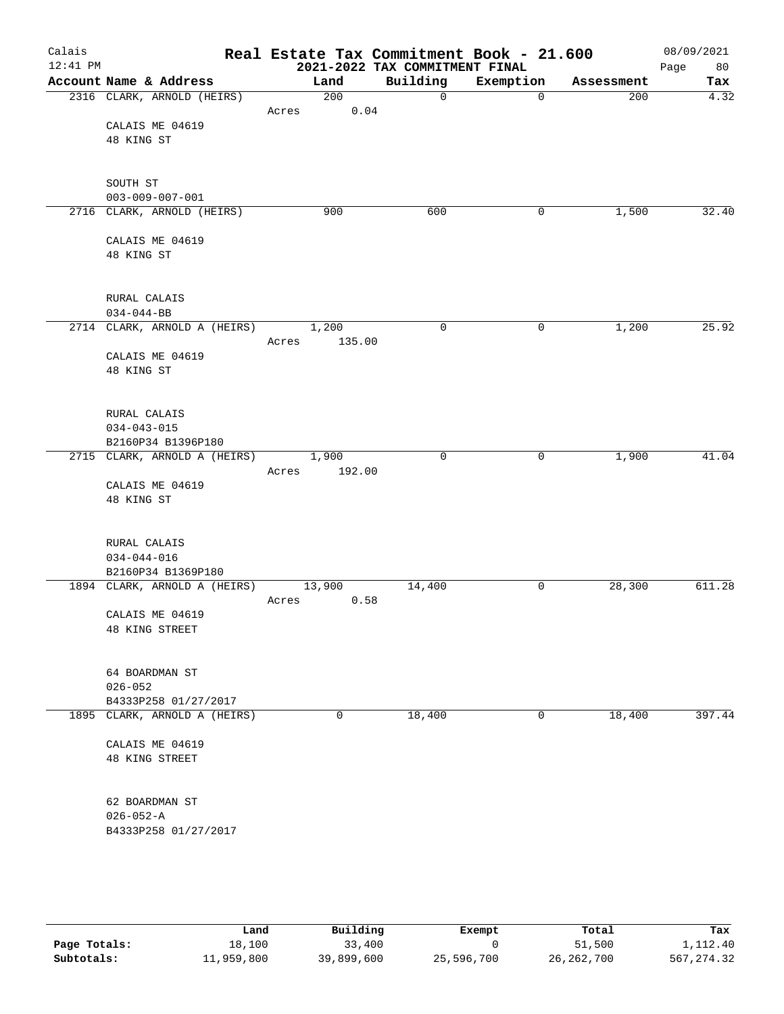| Calais<br>$12:41$ PM |                                                    | Real Estate Tax Commitment Book - 21.600 | 2021-2022 TAX COMMITMENT FINAL |             |            | 08/09/2021<br>80<br>Page |
|----------------------|----------------------------------------------------|------------------------------------------|--------------------------------|-------------|------------|--------------------------|
|                      | Account Name & Address                             | Land                                     | Building                       | Exemption   | Assessment | Tax                      |
|                      | 2316 CLARK, ARNOLD (HEIRS)                         | 200                                      | $\mathsf{O}$                   | $\mathbf 0$ | 200        | 4.32                     |
|                      |                                                    | 0.04<br>Acres                            |                                |             |            |                          |
|                      | CALAIS ME 04619<br>48 KING ST                      |                                          |                                |             |            |                          |
|                      |                                                    |                                          |                                |             |            |                          |
|                      |                                                    |                                          |                                |             |            |                          |
|                      | SOUTH ST                                           |                                          |                                |             |            |                          |
|                      | $003 - 009 - 007 - 001$                            |                                          |                                |             |            |                          |
|                      | 2716 CLARK, ARNOLD (HEIRS)                         | 900                                      | 600                            | 0           | 1,500      | 32.40                    |
|                      | CALAIS ME 04619                                    |                                          |                                |             |            |                          |
|                      | 48 KING ST                                         |                                          |                                |             |            |                          |
|                      |                                                    |                                          |                                |             |            |                          |
|                      |                                                    |                                          |                                |             |            |                          |
|                      | RURAL CALAIS                                       |                                          |                                |             |            |                          |
|                      | $034 - 044 - BB$<br>2714 CLARK, ARNOLD A (HEIRS)   | 1,200                                    | $\mathbf 0$                    | $\mathbf 0$ | 1,200      | 25.92                    |
|                      |                                                    | 135.00<br>Acres                          |                                |             |            |                          |
|                      | CALAIS ME 04619                                    |                                          |                                |             |            |                          |
|                      | 48 KING ST                                         |                                          |                                |             |            |                          |
|                      |                                                    |                                          |                                |             |            |                          |
|                      | RURAL CALAIS                                       |                                          |                                |             |            |                          |
|                      | $034 - 043 - 015$                                  |                                          |                                |             |            |                          |
|                      | B2160P34 B1396P180                                 |                                          |                                |             |            |                          |
|                      | 2715 CLARK, ARNOLD A (HEIRS)                       | 1,900                                    | $\mathbf 0$                    | 0           | 1,900      | 41.04                    |
|                      |                                                    | 192.00<br>Acres                          |                                |             |            |                          |
|                      | CALAIS ME 04619<br>48 KING ST                      |                                          |                                |             |            |                          |
|                      |                                                    |                                          |                                |             |            |                          |
|                      |                                                    |                                          |                                |             |            |                          |
|                      | RURAL CALAIS                                       |                                          |                                |             |            |                          |
|                      | $034 - 044 - 016$                                  |                                          |                                |             |            |                          |
|                      | B2160P34 B1369P180<br>1894 CLARK, ARNOLD A (HEIRS) | 13,900                                   | 14,400                         | 0           | 28,300     | 611.28                   |
|                      |                                                    | 0.58<br>Acres                            |                                |             |            |                          |
|                      | CALAIS ME 04619                                    |                                          |                                |             |            |                          |
|                      | 48 KING STREET                                     |                                          |                                |             |            |                          |
|                      |                                                    |                                          |                                |             |            |                          |
|                      | 64 BOARDMAN ST                                     |                                          |                                |             |            |                          |
|                      | $026 - 052$                                        |                                          |                                |             |            |                          |
|                      | B4333P258 01/27/2017                               |                                          |                                |             |            |                          |
|                      | 1895 CLARK, ARNOLD A (HEIRS)                       | 0                                        | 18,400                         | 0           | 18,400     | 397.44                   |
|                      |                                                    |                                          |                                |             |            |                          |
|                      | CALAIS ME 04619<br>48 KING STREET                  |                                          |                                |             |            |                          |
|                      |                                                    |                                          |                                |             |            |                          |
|                      |                                                    |                                          |                                |             |            |                          |
|                      | 62 BOARDMAN ST                                     |                                          |                                |             |            |                          |
|                      | $026 - 052 - A$                                    |                                          |                                |             |            |                          |
|                      | B4333P258 01/27/2017                               |                                          |                                |             |            |                          |
|                      |                                                    |                                          |                                |             |            |                          |
|                      |                                                    |                                          |                                |             |            |                          |

|              | Land       | Building   | Exempt     | Total        | Tax         |
|--------------|------------|------------|------------|--------------|-------------|
| Page Totals: | 18,100     | 33,400     |            | 51,500       | 1,112.40    |
| Subtotals:   | 11,959,800 | 39,899,600 | 25,596,700 | 26, 262, 700 | 567, 274.32 |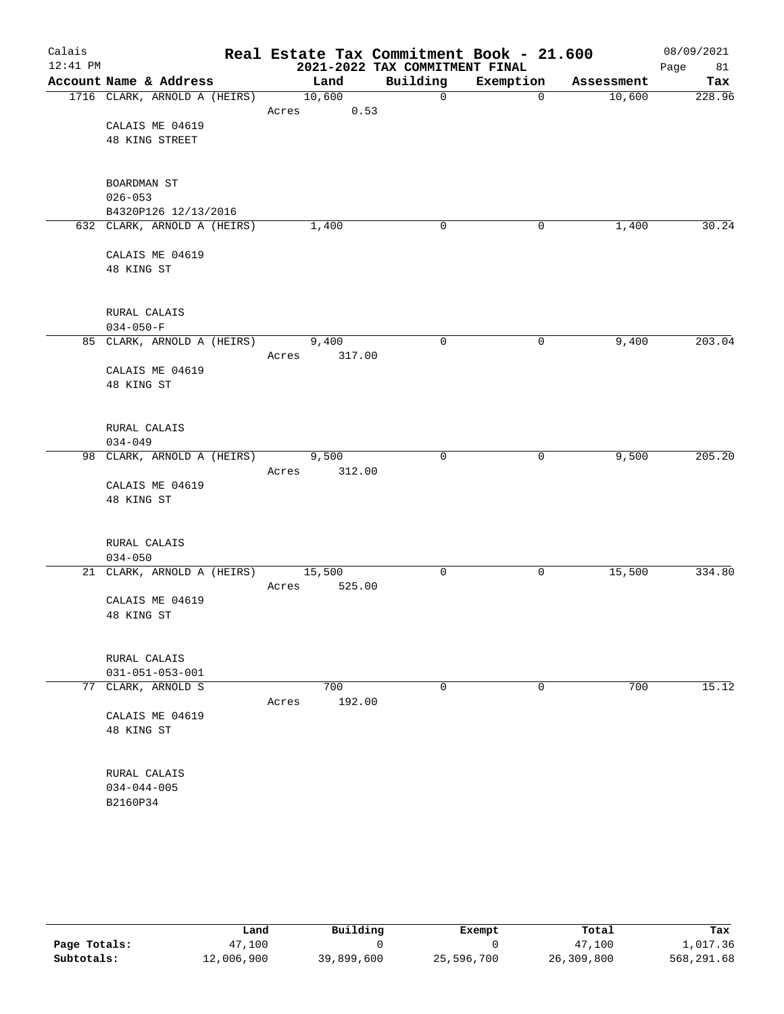| Calais     |                              |       |                | Real Estate Tax Commitment Book - 21.600 |              |            | 08/09/2021 |
|------------|------------------------------|-------|----------------|------------------------------------------|--------------|------------|------------|
| $12:41$ PM |                              |       |                | 2021-2022 TAX COMMITMENT FINAL           |              |            | 81<br>Page |
|            | Account Name & Address       |       | Land           | Building                                 | Exemption    | Assessment | Tax        |
|            | 1716 CLARK, ARNOLD A (HEIRS) | Acres | 10,600<br>0.53 | $\mathbf{0}$                             | $\mathbf{0}$ | 10,600     | 228.96     |
|            | CALAIS ME 04619              |       |                |                                          |              |            |            |
|            | 48 KING STREET               |       |                |                                          |              |            |            |
|            |                              |       |                |                                          |              |            |            |
|            | BOARDMAN ST                  |       |                |                                          |              |            |            |
|            | $026 - 053$                  |       |                |                                          |              |            |            |
|            | B4320P126 12/13/2016         |       |                |                                          |              |            |            |
|            | 632 CLARK, ARNOLD A (HEIRS)  |       | 1,400          | 0                                        | 0            | 1,400      | 30.24      |
|            |                              |       |                |                                          |              |            |            |
|            | CALAIS ME 04619              |       |                |                                          |              |            |            |
|            | 48 KING ST                   |       |                |                                          |              |            |            |
|            |                              |       |                |                                          |              |            |            |
|            | RURAL CALAIS                 |       |                |                                          |              |            |            |
|            | $034 - 050 - F$              |       |                |                                          |              |            |            |
|            | 85 CLARK, ARNOLD A (HEIRS)   |       | 9,400          | 0                                        | 0            | 9,400      | 203.04     |
|            |                              | Acres | 317.00         |                                          |              |            |            |
|            | CALAIS ME 04619              |       |                |                                          |              |            |            |
|            | 48 KING ST                   |       |                |                                          |              |            |            |
|            |                              |       |                |                                          |              |            |            |
|            |                              |       |                |                                          |              |            |            |
|            | RURAL CALAIS                 |       |                |                                          |              |            |            |
|            | $034 - 049$                  |       |                |                                          |              |            |            |
|            | 98 CLARK, ARNOLD A (HEIRS)   |       | 9,500          | $\mathbf 0$                              | 0            | 9,500      | 205.20     |
|            |                              | Acres | 312.00         |                                          |              |            |            |
|            | CALAIS ME 04619              |       |                |                                          |              |            |            |
|            | 48 KING ST                   |       |                |                                          |              |            |            |
|            |                              |       |                |                                          |              |            |            |
|            | RURAL CALAIS                 |       |                |                                          |              |            |            |
|            | $034 - 050$                  |       |                |                                          |              |            |            |
|            | 21 CLARK, ARNOLD A (HEIRS)   |       | 15,500         | 0                                        | 0            | 15,500     | 334.80     |
|            |                              | Acres | 525.00         |                                          |              |            |            |
|            | CALAIS ME 04619              |       |                |                                          |              |            |            |
|            | 48 KING ST                   |       |                |                                          |              |            |            |
|            |                              |       |                |                                          |              |            |            |
|            |                              |       |                |                                          |              |            |            |
|            | RURAL CALAIS                 |       |                |                                          |              |            |            |
|            | $031 - 051 - 053 - 001$      |       |                |                                          |              |            |            |
| 77         | CLARK, ARNOLD S              |       | 700            | 0                                        | $\mathbf 0$  | 700        | 15.12      |
|            |                              | Acres | 192.00         |                                          |              |            |            |
|            | CALAIS ME 04619              |       |                |                                          |              |            |            |
|            | 48 KING ST                   |       |                |                                          |              |            |            |
|            |                              |       |                |                                          |              |            |            |
|            | RURAL CALAIS                 |       |                |                                          |              |            |            |
|            | $034 - 044 - 005$            |       |                |                                          |              |            |            |
|            | B2160P34                     |       |                |                                          |              |            |            |
|            |                              |       |                |                                          |              |            |            |

|              | Land       | Building   | Exempt     | Total      | Tax        |
|--------------|------------|------------|------------|------------|------------|
| Page Totals: | 47,100     |            |            | 47.100     | 1,017.36   |
| Subtotals:   | 12,006,900 | 39,899,600 | 25,596,700 | 26,309,800 | 568,291.68 |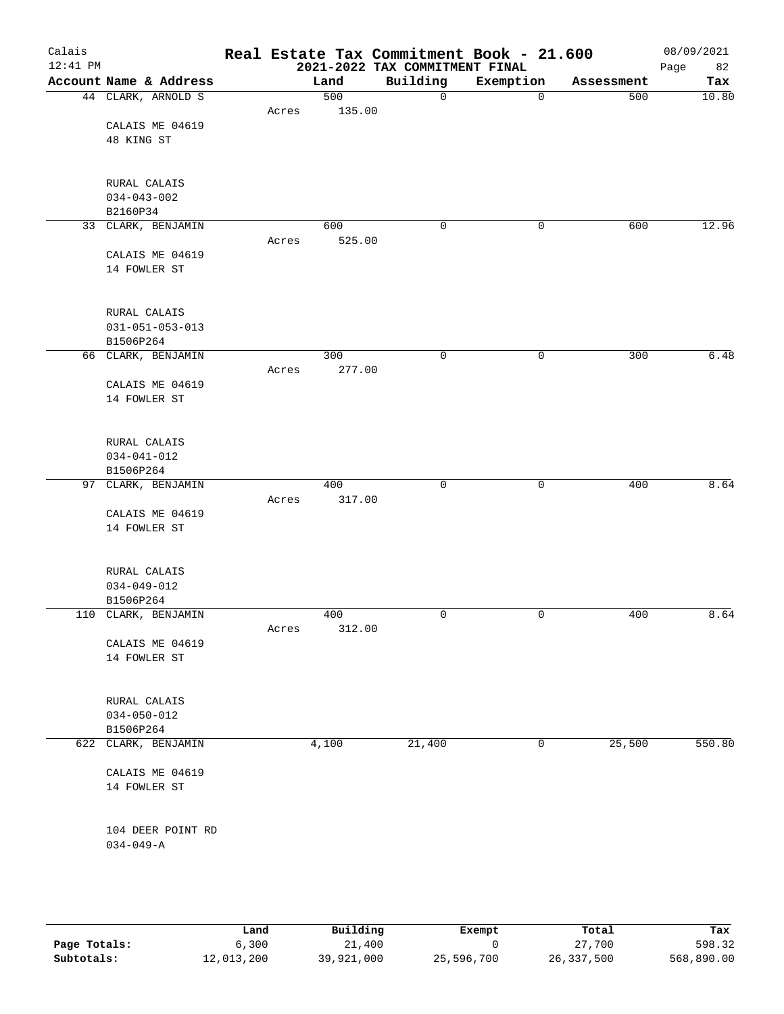| Calais<br>$12:41$ PM |                                 |       |        | Real Estate Tax Commitment Book - 21.600<br>2021-2022 TAX COMMITMENT FINAL |             |            | 08/09/2021<br>82<br>Page |
|----------------------|---------------------------------|-------|--------|----------------------------------------------------------------------------|-------------|------------|--------------------------|
|                      | Account Name & Address          |       | Land   | Building                                                                   | Exemption   | Assessment | Tax                      |
|                      | 44 CLARK, ARNOLD S              |       | 500    | 0                                                                          | $\mathbf 0$ | 500        | 10.80                    |
|                      |                                 | Acres | 135.00 |                                                                            |             |            |                          |
|                      | CALAIS ME 04619                 |       |        |                                                                            |             |            |                          |
|                      | 48 KING ST                      |       |        |                                                                            |             |            |                          |
|                      |                                 |       |        |                                                                            |             |            |                          |
|                      |                                 |       |        |                                                                            |             |            |                          |
|                      | RURAL CALAIS                    |       |        |                                                                            |             |            |                          |
|                      | $034 - 043 - 002$               |       |        |                                                                            |             |            |                          |
|                      | B2160P34                        |       |        |                                                                            |             |            |                          |
|                      | 33 CLARK, BENJAMIN              |       | 600    | $\mathbf 0$                                                                | 0           | 600        | 12.96                    |
|                      |                                 | Acres | 525.00 |                                                                            |             |            |                          |
|                      | CALAIS ME 04619                 |       |        |                                                                            |             |            |                          |
|                      | 14 FOWLER ST                    |       |        |                                                                            |             |            |                          |
|                      |                                 |       |        |                                                                            |             |            |                          |
|                      | RURAL CALAIS                    |       |        |                                                                            |             |            |                          |
|                      | $031 - 051 - 053 - 013$         |       |        |                                                                            |             |            |                          |
|                      | B1506P264                       |       |        |                                                                            |             |            |                          |
|                      | 66 CLARK, BENJAMIN              |       | 300    | 0                                                                          | $\mathbf 0$ | 300        | 6.48                     |
|                      |                                 | Acres | 277.00 |                                                                            |             |            |                          |
|                      | CALAIS ME 04619                 |       |        |                                                                            |             |            |                          |
|                      | 14 FOWLER ST                    |       |        |                                                                            |             |            |                          |
|                      |                                 |       |        |                                                                            |             |            |                          |
|                      | RURAL CALAIS                    |       |        |                                                                            |             |            |                          |
|                      | $034 - 041 - 012$               |       |        |                                                                            |             |            |                          |
|                      | B1506P264                       |       |        |                                                                            |             |            |                          |
|                      | 97 CLARK, BENJAMIN              |       | 400    | $\mathbf 0$                                                                | $\mathbf 0$ | 400        | 8.64                     |
|                      |                                 | Acres | 317.00 |                                                                            |             |            |                          |
|                      | CALAIS ME 04619<br>14 FOWLER ST |       |        |                                                                            |             |            |                          |
|                      |                                 |       |        |                                                                            |             |            |                          |
|                      | RURAL CALAIS                    |       |        |                                                                            |             |            |                          |
|                      | $034 - 049 - 012$               |       |        |                                                                            |             |            |                          |
|                      | B1506P264                       |       |        |                                                                            |             |            |                          |
|                      | 110 CLARK, BENJAMIN             |       | 400    | $\mathbf 0$                                                                | $\mathbf 0$ | 400        | 8.64                     |
|                      |                                 | Acres | 312.00 |                                                                            |             |            |                          |
|                      | CALAIS ME 04619                 |       |        |                                                                            |             |            |                          |
|                      | 14 FOWLER ST                    |       |        |                                                                            |             |            |                          |
|                      |                                 |       |        |                                                                            |             |            |                          |
|                      | RURAL CALAIS                    |       |        |                                                                            |             |            |                          |
|                      | $034 - 050 - 012$               |       |        |                                                                            |             |            |                          |
|                      | B1506P264                       |       |        |                                                                            |             |            |                          |
|                      | 622 CLARK, BENJAMIN             |       | 4,100  | 21,400                                                                     | 0           | 25,500     | 550.80                   |
|                      | CALAIS ME 04619                 |       |        |                                                                            |             |            |                          |
|                      | 14 FOWLER ST                    |       |        |                                                                            |             |            |                          |
|                      |                                 |       |        |                                                                            |             |            |                          |
|                      | 104 DEER POINT RD               |       |        |                                                                            |             |            |                          |
|                      | $034 - 049 - A$                 |       |        |                                                                            |             |            |                          |
|                      |                                 |       |        |                                                                            |             |            |                          |
|                      |                                 |       |        |                                                                            |             |            |                          |

|              | Land       | Building   | Exempt     | Total      | Tax        |
|--------------|------------|------------|------------|------------|------------|
| Page Totals: | 6,300      | 21,400     |            | 27,700     | 598.32     |
| Subtotals:   | 12,013,200 | 39,921,000 | 25,596,700 | 26,337,500 | 568,890.00 |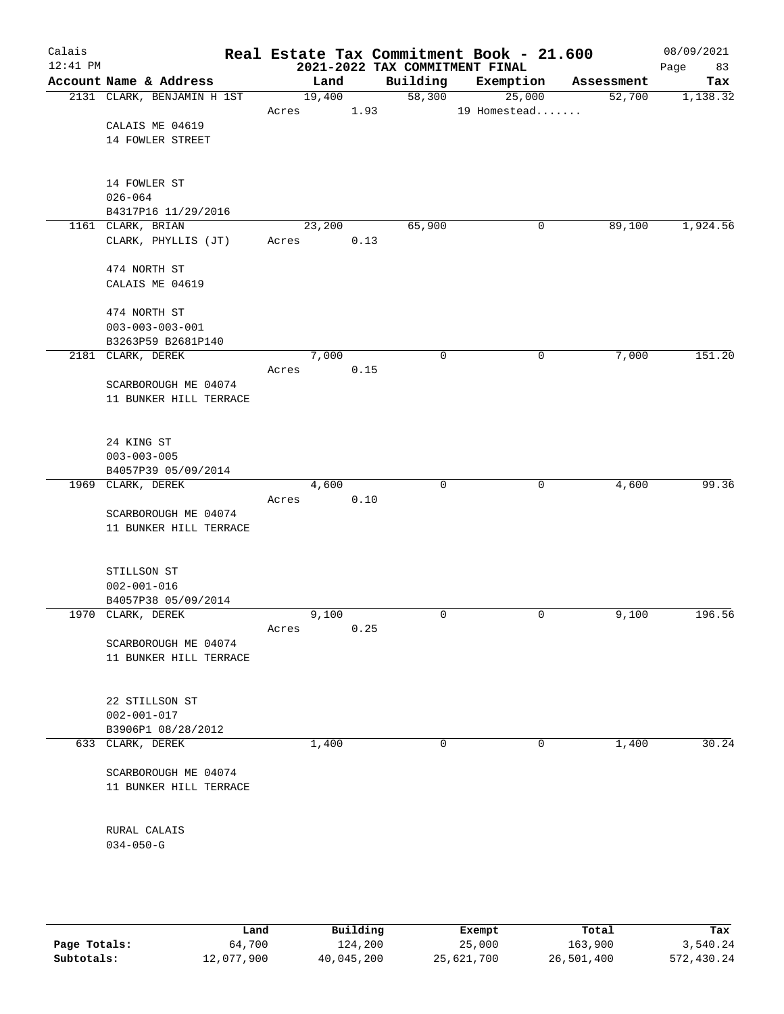| Calais<br>$12:41$ PM |                                        |       |        |      | 2021-2022 TAX COMMITMENT FINAL | Real Estate Tax Commitment Book - 21.600 |            | 08/09/2021<br>83<br>Page |
|----------------------|----------------------------------------|-------|--------|------|--------------------------------|------------------------------------------|------------|--------------------------|
|                      | Account Name & Address                 |       | Land   |      | Building                       | Exemption                                | Assessment | Tax                      |
|                      | 2131 CLARK, BENJAMIN H 1ST             |       | 19,400 |      | 58,300                         | 25,000                                   | 52,700     | 1,138.32                 |
|                      |                                        | Acres |        | 1.93 |                                | 19 Homestead                             |            |                          |
|                      | CALAIS ME 04619                        |       |        |      |                                |                                          |            |                          |
|                      | 14 FOWLER STREET                       |       |        |      |                                |                                          |            |                          |
|                      |                                        |       |        |      |                                |                                          |            |                          |
|                      | 14 FOWLER ST                           |       |        |      |                                |                                          |            |                          |
|                      | $026 - 064$                            |       |        |      |                                |                                          |            |                          |
|                      | B4317P16 11/29/2016                    |       |        |      |                                |                                          |            |                          |
|                      | 1161 CLARK, BRIAN                      |       | 23,200 |      | 65,900                         | 0                                        | 89,100     | 1,924.56                 |
|                      | CLARK, PHYLLIS (JT)                    | Acres |        | 0.13 |                                |                                          |            |                          |
|                      |                                        |       |        |      |                                |                                          |            |                          |
|                      | 474 NORTH ST                           |       |        |      |                                |                                          |            |                          |
|                      | CALAIS ME 04619                        |       |        |      |                                |                                          |            |                          |
|                      | 474 NORTH ST                           |       |        |      |                                |                                          |            |                          |
|                      | $003 - 003 - 003 - 001$                |       |        |      |                                |                                          |            |                          |
|                      | B3263P59 B2681P140                     |       |        |      |                                |                                          |            |                          |
|                      | 2181 CLARK, DEREK                      |       | 7,000  |      | 0                              | 0                                        | 7,000      | 151.20                   |
|                      |                                        | Acres |        | 0.15 |                                |                                          |            |                          |
|                      | SCARBOROUGH ME 04074                   |       |        |      |                                |                                          |            |                          |
|                      | 11 BUNKER HILL TERRACE                 |       |        |      |                                |                                          |            |                          |
|                      |                                        |       |        |      |                                |                                          |            |                          |
|                      | 24 KING ST                             |       |        |      |                                |                                          |            |                          |
|                      | $003 - 003 - 005$                      |       |        |      |                                |                                          |            |                          |
|                      | B4057P39 05/09/2014                    |       |        |      |                                |                                          |            |                          |
|                      | 1969 CLARK, DEREK                      |       | 4,600  |      | $\mathbf 0$                    | 0                                        | 4,600      | 99.36                    |
|                      |                                        | Acres |        | 0.10 |                                |                                          |            |                          |
|                      | SCARBOROUGH ME 04074                   |       |        |      |                                |                                          |            |                          |
|                      | 11 BUNKER HILL TERRACE                 |       |        |      |                                |                                          |            |                          |
|                      |                                        |       |        |      |                                |                                          |            |                          |
|                      | STILLSON ST                            |       |        |      |                                |                                          |            |                          |
|                      | $002 - 001 - 016$                      |       |        |      |                                |                                          |            |                          |
|                      | B4057P38 05/09/2014                    |       |        |      |                                |                                          |            |                          |
|                      | 1970 CLARK, DEREK                      |       | 9,100  |      | 0                              | 0                                        | 9,100      | 196.56                   |
|                      | SCARBOROUGH ME 04074                   | Acres |        | 0.25 |                                |                                          |            |                          |
|                      | 11 BUNKER HILL TERRACE                 |       |        |      |                                |                                          |            |                          |
|                      |                                        |       |        |      |                                |                                          |            |                          |
|                      |                                        |       |        |      |                                |                                          |            |                          |
|                      | 22 STILLSON ST                         |       |        |      |                                |                                          |            |                          |
|                      | $002 - 001 - 017$                      |       |        |      |                                |                                          |            |                          |
|                      | B3906P1 08/28/2012<br>633 CLARK, DEREK |       | 1,400  |      | 0                              | 0                                        | 1,400      | 30.24                    |
|                      |                                        |       |        |      |                                |                                          |            |                          |
|                      | SCARBOROUGH ME 04074                   |       |        |      |                                |                                          |            |                          |
|                      | 11 BUNKER HILL TERRACE                 |       |        |      |                                |                                          |            |                          |
|                      |                                        |       |        |      |                                |                                          |            |                          |
|                      |                                        |       |        |      |                                |                                          |            |                          |
|                      | RURAL CALAIS                           |       |        |      |                                |                                          |            |                          |
|                      | $034 - 050 - G$                        |       |        |      |                                |                                          |            |                          |
|                      |                                        |       |        |      |                                |                                          |            |                          |
|                      |                                        |       |        |      |                                |                                          |            |                          |

|              | Land       | Building   | Exempt     | Total      | Tax        |
|--------------|------------|------------|------------|------------|------------|
| Page Totals: | 64,700     | 124,200    | 25,000     | 163,900    | 3,540.24   |
| Subtotals:   | 12,077,900 | 40,045,200 | 25,621,700 | 26,501,400 | 572,430.24 |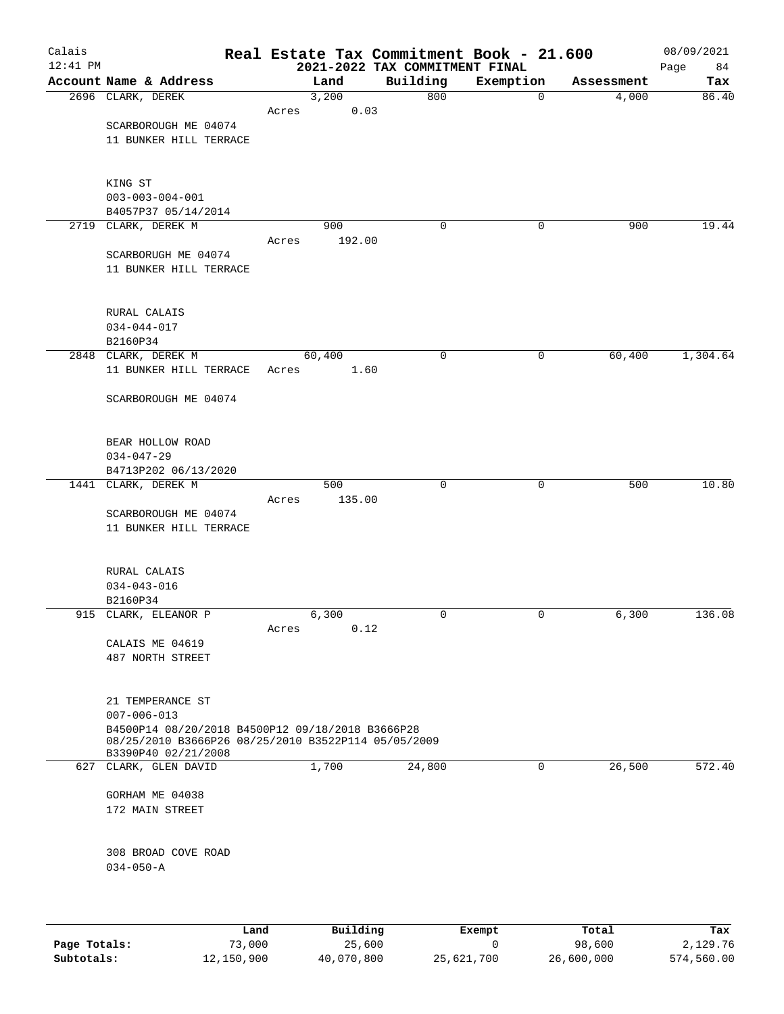| Calais<br>$12:41$ PM |                                                                                                         |       |               | Real Estate Tax Commitment Book - 21.600<br>2021-2022 TAX COMMITMENT FINAL |           |            | 08/09/2021<br>84<br>Page |
|----------------------|---------------------------------------------------------------------------------------------------------|-------|---------------|----------------------------------------------------------------------------|-----------|------------|--------------------------|
|                      | Account Name & Address                                                                                  |       | Land          | Building                                                                   | Exemption | Assessment | Tax                      |
|                      | 2696 CLARK, DEREK                                                                                       |       | 3,200         | 800                                                                        | 0         | 4,000      | 86.40                    |
|                      |                                                                                                         | Acres | 0.03          |                                                                            |           |            |                          |
|                      | SCARBOROUGH ME 04074                                                                                    |       |               |                                                                            |           |            |                          |
|                      | 11 BUNKER HILL TERRACE                                                                                  |       |               |                                                                            |           |            |                          |
|                      |                                                                                                         |       |               |                                                                            |           |            |                          |
|                      | KING ST                                                                                                 |       |               |                                                                            |           |            |                          |
|                      | $003 - 003 - 004 - 001$                                                                                 |       |               |                                                                            |           |            |                          |
|                      | B4057P37 05/14/2014                                                                                     |       |               |                                                                            |           |            |                          |
|                      | 2719 CLARK, DEREK M                                                                                     | Acres | 900<br>192.00 | 0                                                                          | 0         | 900        | 19.44                    |
|                      | SCARBORUGH ME 04074                                                                                     |       |               |                                                                            |           |            |                          |
|                      | 11 BUNKER HILL TERRACE                                                                                  |       |               |                                                                            |           |            |                          |
|                      |                                                                                                         |       |               |                                                                            |           |            |                          |
|                      | RURAL CALAIS                                                                                            |       |               |                                                                            |           |            |                          |
|                      | $034 - 044 - 017$                                                                                       |       |               |                                                                            |           |            |                          |
|                      | B2160P34                                                                                                |       |               |                                                                            |           |            |                          |
|                      | 2848 CLARK, DEREK M                                                                                     |       | 60,400        | $\mathbf 0$                                                                | 0         | 60,400     | 1,304.64                 |
|                      | 11 BUNKER HILL TERRACE                                                                                  | Acres | 1.60          |                                                                            |           |            |                          |
|                      | SCARBOROUGH ME 04074                                                                                    |       |               |                                                                            |           |            |                          |
|                      |                                                                                                         |       |               |                                                                            |           |            |                          |
|                      | BEAR HOLLOW ROAD                                                                                        |       |               |                                                                            |           |            |                          |
|                      | $034 - 047 - 29$                                                                                        |       |               |                                                                            |           |            |                          |
|                      | B4713P202 06/13/2020<br>1441 CLARK, DEREK M                                                             |       | 500           | $\mathbf 0$                                                                | 0         | 500        | 10.80                    |
|                      |                                                                                                         | Acres | 135.00        |                                                                            |           |            |                          |
|                      | SCARBOROUGH ME 04074                                                                                    |       |               |                                                                            |           |            |                          |
|                      | 11 BUNKER HILL TERRACE                                                                                  |       |               |                                                                            |           |            |                          |
|                      |                                                                                                         |       |               |                                                                            |           |            |                          |
|                      | RURAL CALAIS                                                                                            |       |               |                                                                            |           |            |                          |
|                      | $034 - 043 - 016$                                                                                       |       |               |                                                                            |           |            |                          |
|                      | B2160P34                                                                                                |       |               |                                                                            |           |            |                          |
|                      | 915 CLARK, ELEANOR P                                                                                    | Acres | 6,300<br>0.12 | 0                                                                          | 0         | 6,300      | 136.08                   |
|                      | CALAIS ME 04619                                                                                         |       |               |                                                                            |           |            |                          |
|                      | 487 NORTH STREET                                                                                        |       |               |                                                                            |           |            |                          |
|                      |                                                                                                         |       |               |                                                                            |           |            |                          |
|                      | 21 TEMPERANCE ST<br>$007 - 006 - 013$                                                                   |       |               |                                                                            |           |            |                          |
|                      | B4500P14 08/20/2018 B4500P12 09/18/2018 B3666P28<br>08/25/2010 B3666P26 08/25/2010 B3522P114 05/05/2009 |       |               |                                                                            |           |            |                          |
|                      | B3390P40 02/21/2008<br>627 CLARK, GLEN DAVID                                                            |       | 1,700         | 24,800                                                                     | 0         | 26,500     | 572.40                   |
|                      |                                                                                                         |       |               |                                                                            |           |            |                          |
|                      | GORHAM ME 04038                                                                                         |       |               |                                                                            |           |            |                          |
|                      | 172 MAIN STREET                                                                                         |       |               |                                                                            |           |            |                          |
|                      |                                                                                                         |       |               |                                                                            |           |            |                          |
|                      | 308 BROAD COVE ROAD                                                                                     |       |               |                                                                            |           |            |                          |
|                      | $034 - 050 - A$                                                                                         |       |               |                                                                            |           |            |                          |
|                      |                                                                                                         |       |               |                                                                            |           |            |                          |
|                      |                                                                                                         |       |               |                                                                            |           |            |                          |
|                      |                                                                                                         |       |               |                                                                            |           |            |                          |

|              | Land       | Building   | Exempt     | Total      | Tax        |
|--------------|------------|------------|------------|------------|------------|
| Page Totals: | 73,000     | 25,600     |            | 98,600     | 2,129.76   |
| Subtotals:   | 12,150,900 | 40,070,800 | 25,621,700 | 26,600,000 | 574,560.00 |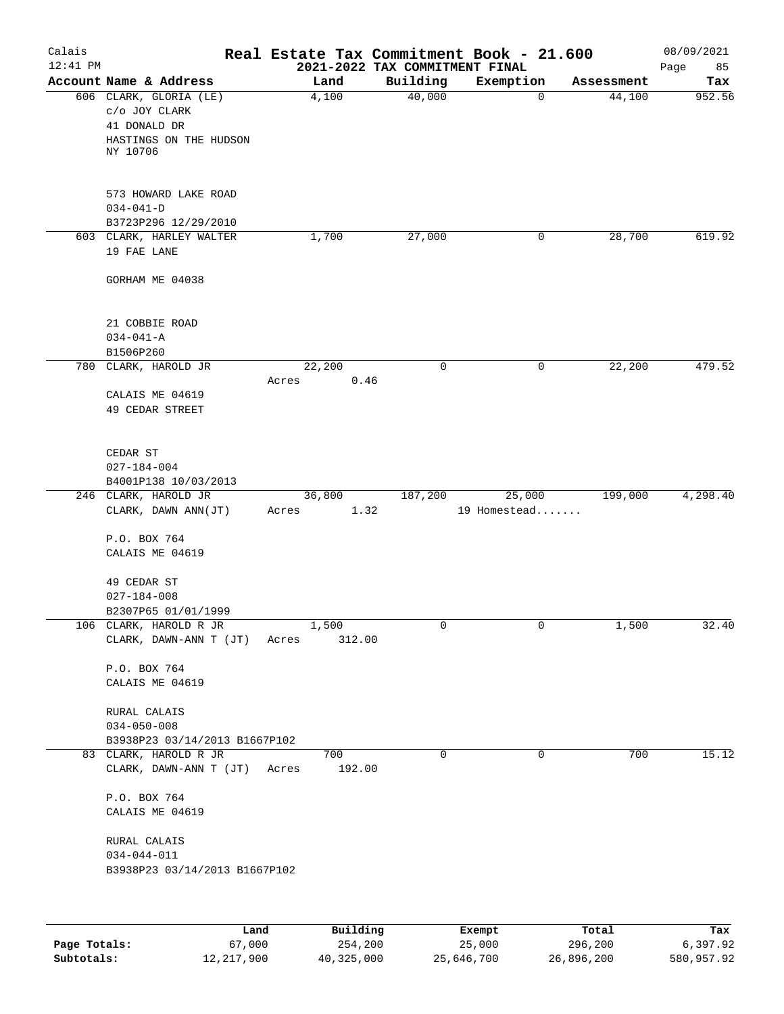| Calais<br>$12:41$ PM |                                                                                               |                          | 2021-2022 TAX COMMITMENT FINAL | Real Estate Tax Commitment Book - 21.600 |            | 08/09/2021<br>Page<br>85 |
|----------------------|-----------------------------------------------------------------------------------------------|--------------------------|--------------------------------|------------------------------------------|------------|--------------------------|
|                      | Account Name & Address                                                                        | Land                     | Building                       | Exemption                                | Assessment | Tax                      |
|                      | 606 CLARK, GLORIA (LE)<br>C/O JOY CLARK<br>41 DONALD DR<br>HASTINGS ON THE HUDSON<br>NY 10706 | 4,100                    | 40,000                         | $\mathbf 0$                              | 44,100     | 952.56                   |
|                      | 573 HOWARD LAKE ROAD<br>$034 - 041 - D$<br>B3723P296 12/29/2010                               |                          |                                |                                          |            |                          |
|                      | 603 CLARK, HARLEY WALTER<br>19 FAE LANE                                                       | 1,700                    | 27,000                         | 0                                        | 28,700     | 619.92                   |
|                      | GORHAM ME 04038                                                                               |                          |                                |                                          |            |                          |
|                      | 21 COBBIE ROAD<br>$034 - 041 - A$<br>B1506P260                                                |                          |                                |                                          |            |                          |
|                      | 780 CLARK, HAROLD JR                                                                          | 22,200                   | $\mathbf 0$                    | 0                                        | 22,200     | 479.52                   |
|                      | CALAIS ME 04619<br>49 CEDAR STREET                                                            | Acres                    | 0.46                           |                                          |            |                          |
|                      | CEDAR ST<br>$027 - 184 - 004$<br>B4001P138 10/03/2013                                         |                          |                                |                                          |            |                          |
|                      | 246 CLARK, HAROLD JR                                                                          | 36,800                   | 187,200                        | 25,000                                   | 199,000    | 4,298.40                 |
|                      | CLARK, DAWN ANN(JT)<br>P.O. BOX 764<br>CALAIS ME 04619<br>49 CEDAR ST                         | Acres                    | 1.32                           | 19 Homestead                             |            |                          |
|                      | $027 - 184 - 008$                                                                             |                          |                                |                                          |            |                          |
|                      | B2307P65 01/01/1999                                                                           |                          |                                |                                          |            |                          |
|                      | 106 CLARK, HAROLD R JR<br>CLARK, DAWN-ANN T (JT)<br>P.O. BOX 764<br>CALAIS ME 04619           | 1,500<br>312.00<br>Acres | 0                              | 0                                        | 1,500      | 32.40                    |
|                      | RURAL CALAIS<br>$034 - 050 - 008$                                                             |                          |                                |                                          |            |                          |
|                      | B3938P23 03/14/2013 B1667P102<br>83 CLARK, HAROLD R JR                                        | 700                      | 0                              | 0                                        | 700        | 15.12                    |
|                      | CLARK, DAWN-ANN T (JT)                                                                        | 192.00<br>Acres          |                                |                                          |            |                          |
|                      | P.O. BOX 764<br>CALAIS ME 04619                                                               |                          |                                |                                          |            |                          |
|                      | RURAL CALAIS<br>$034 - 044 - 011$<br>B3938P23 03/14/2013 B1667P102                            |                          |                                |                                          |            |                          |
|                      |                                                                                               |                          |                                |                                          |            |                          |

|              | Land       | Building   | Exempt     | Total      | Tax        |
|--------------|------------|------------|------------|------------|------------|
| Page Totals: | 67,000     | 254,200    | 25,000     | 296,200    | 6,397.92   |
| Subtotals:   | 12,217,900 | 40,325,000 | 25,646,700 | 26,896,200 | 580,957.92 |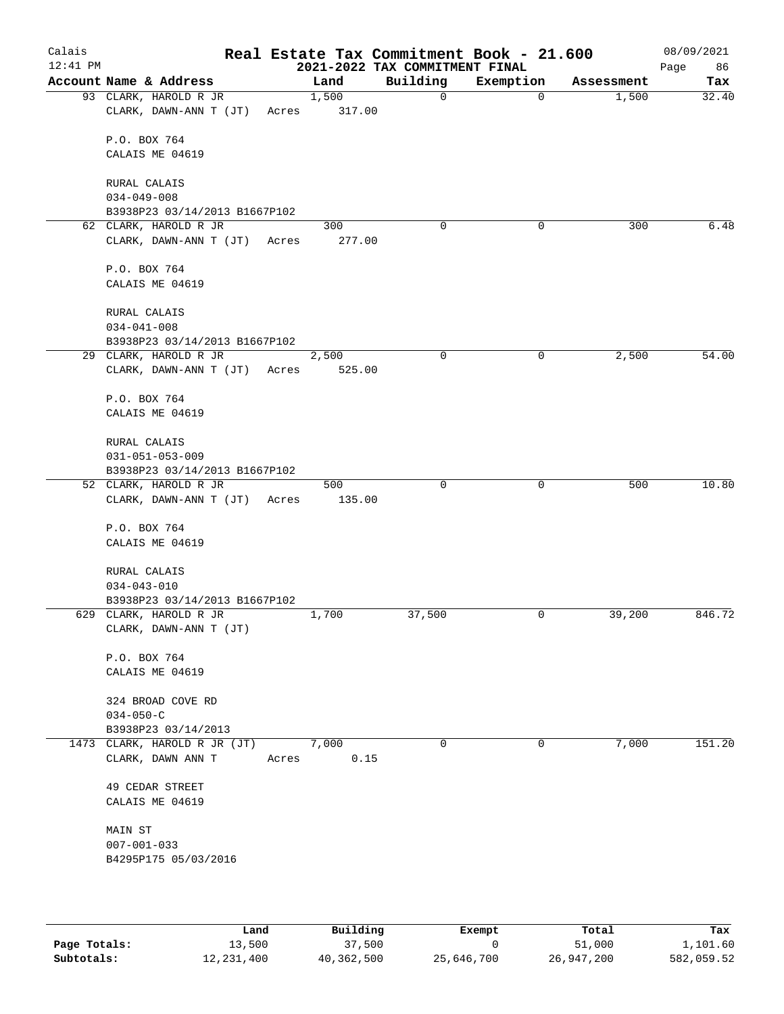| Calais<br>$12:41$ PM |                                                 |       |               | 2021-2022 TAX COMMITMENT FINAL | Real Estate Tax Commitment Book - 21.600 |            | 08/09/2021<br>Page<br>86 |
|----------------------|-------------------------------------------------|-------|---------------|--------------------------------|------------------------------------------|------------|--------------------------|
|                      | Account Name & Address                          |       | Land          | Building                       | Exemption                                | Assessment | Tax                      |
|                      | 93 CLARK, HAROLD R JR                           |       | 1,500         | $\mathbf 0$                    | 0                                        | 1,500      | 32.40                    |
|                      | CLARK, DAWN-ANN T (JT)                          | Acres | 317.00        |                                |                                          |            |                          |
|                      | P.O. BOX 764                                    |       |               |                                |                                          |            |                          |
|                      | CALAIS ME 04619                                 |       |               |                                |                                          |            |                          |
|                      | RURAL CALAIS                                    |       |               |                                |                                          |            |                          |
|                      | $034 - 049 - 008$                               |       |               |                                |                                          |            |                          |
|                      | B3938P23 03/14/2013 B1667P102                   |       |               |                                |                                          |            |                          |
|                      | 62 CLARK, HAROLD R JR                           |       | 300           | 0                              | 0                                        | 300        | 6.48                     |
|                      | CLARK, DAWN-ANN T (JT) Acres                    |       | 277.00        |                                |                                          |            |                          |
|                      | P.O. BOX 764                                    |       |               |                                |                                          |            |                          |
|                      | CALAIS ME 04619                                 |       |               |                                |                                          |            |                          |
|                      | RURAL CALAIS                                    |       |               |                                |                                          |            |                          |
|                      | $034 - 041 - 008$                               |       |               |                                |                                          |            |                          |
|                      | B3938P23 03/14/2013 B1667P102                   |       |               |                                |                                          |            |                          |
|                      | 29 CLARK, HAROLD R JR                           |       | 2,500         | 0                              | 0                                        | 2,500      | 54.00                    |
|                      | CLARK, DAWN-ANN T (JT)                          | Acres | 525.00        |                                |                                          |            |                          |
|                      | P.O. BOX 764                                    |       |               |                                |                                          |            |                          |
|                      | CALAIS ME 04619                                 |       |               |                                |                                          |            |                          |
|                      | RURAL CALAIS                                    |       |               |                                |                                          |            |                          |
|                      | $031 - 051 - 053 - 009$                         |       |               |                                |                                          |            |                          |
|                      | B3938P23 03/14/2013 B1667P102                   |       |               |                                |                                          |            |                          |
|                      | 52 CLARK, HAROLD R JR<br>CLARK, DAWN-ANN T (JT) | Acres | 500<br>135.00 | $\mathbf 0$                    | 0                                        | 500        | 10.80                    |
|                      |                                                 |       |               |                                |                                          |            |                          |
|                      | P.O. BOX 764                                    |       |               |                                |                                          |            |                          |
|                      | CALAIS ME 04619                                 |       |               |                                |                                          |            |                          |
|                      | RURAL CALAIS                                    |       |               |                                |                                          |            |                          |
|                      | $034 - 043 - 010$                               |       |               |                                |                                          |            |                          |
|                      | B3938P23 03/14/2013 B1667P102                   |       |               |                                |                                          |            |                          |
|                      | 629 CLARK, HAROLD R JR                          |       | 1,700         | 37,500                         | 0                                        | 39,200     | 846.72                   |
|                      | CLARK, DAWN-ANN T (JT)                          |       |               |                                |                                          |            |                          |
|                      | P.O. BOX 764                                    |       |               |                                |                                          |            |                          |
|                      | CALAIS ME 04619                                 |       |               |                                |                                          |            |                          |
|                      | 324 BROAD COVE RD                               |       |               |                                |                                          |            |                          |
|                      | $034 - 050 - C$                                 |       |               |                                |                                          |            |                          |
|                      | B3938P23 03/14/2013                             |       |               |                                |                                          |            |                          |
|                      | 1473 CLARK, HAROLD R JR (JT)                    |       | 7,000         | 0                              | 0                                        | 7,000      | 151.20                   |
|                      | CLARK, DAWN ANN T                               | Acres | 0.15          |                                |                                          |            |                          |
|                      | 49 CEDAR STREET                                 |       |               |                                |                                          |            |                          |
|                      | CALAIS ME 04619                                 |       |               |                                |                                          |            |                          |
|                      | MAIN ST                                         |       |               |                                |                                          |            |                          |
|                      | $007 - 001 - 033$                               |       |               |                                |                                          |            |                          |
|                      | B4295P175 05/03/2016                            |       |               |                                |                                          |            |                          |
|                      |                                                 |       |               |                                |                                          |            |                          |
|                      |                                                 |       |               |                                |                                          |            |                          |

|              | Land         | Building   | Exempt     | Total      | Tax        |
|--------------|--------------|------------|------------|------------|------------|
| Page Totals: | 13,500       | 37,500     |            | 51,000     | 1,101.60   |
| Subtotals:   | 12, 231, 400 | 40,362,500 | 25,646,700 | 26,947,200 | 582,059.52 |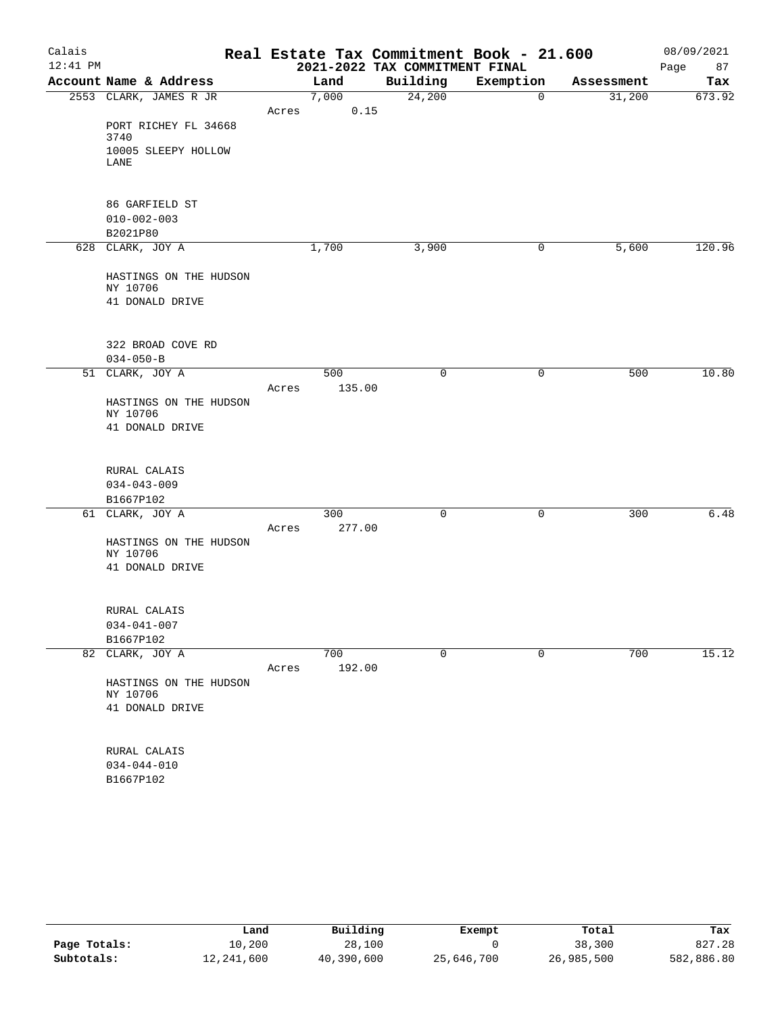| Calais     |                                    |       |        | Real Estate Tax Commitment Book - 21.600 |             |            | 08/09/2021 |
|------------|------------------------------------|-------|--------|------------------------------------------|-------------|------------|------------|
| $12:41$ PM |                                    |       |        | 2021-2022 TAX COMMITMENT FINAL           |             |            | 87<br>Page |
|            | Account Name & Address             |       | Land   | Building                                 | Exemption   | Assessment | Tax        |
|            | 2553 CLARK, JAMES R JR             |       | 7,000  | 24,200                                   | $\mathbf 0$ | 31,200     | 673.92     |
|            |                                    | Acres | 0.15   |                                          |             |            |            |
|            | PORT RICHEY FL 34668<br>3740       |       |        |                                          |             |            |            |
|            | 10005 SLEEPY HOLLOW<br>LANE        |       |        |                                          |             |            |            |
|            |                                    |       |        |                                          |             |            |            |
|            | 86 GARFIELD ST                     |       |        |                                          |             |            |            |
|            | $010 - 002 - 003$                  |       |        |                                          |             |            |            |
|            | B2021P80                           |       |        |                                          |             |            |            |
|            | 628 CLARK, JOY A                   |       | 1,700  | 3,900                                    | 0           | 5,600      | 120.96     |
|            | HASTINGS ON THE HUDSON<br>NY 10706 |       |        |                                          |             |            |            |
|            | 41 DONALD DRIVE                    |       |        |                                          |             |            |            |
|            |                                    |       |        |                                          |             |            |            |
|            | 322 BROAD COVE RD                  |       |        |                                          |             |            |            |
|            | $034 - 050 - B$                    |       |        |                                          |             |            |            |
|            | 51 CLARK, JOY A                    |       | 500    | $\mathbf 0$                              | $\mathbf 0$ | 500        | 10.80      |
|            |                                    | Acres | 135.00 |                                          |             |            |            |
|            | HASTINGS ON THE HUDSON             |       |        |                                          |             |            |            |
|            | NY 10706                           |       |        |                                          |             |            |            |
|            | 41 DONALD DRIVE                    |       |        |                                          |             |            |            |
|            | RURAL CALAIS                       |       |        |                                          |             |            |            |
|            | $034 - 043 - 009$                  |       |        |                                          |             |            |            |
|            | B1667P102                          |       |        |                                          |             |            |            |
|            | 61 CLARK, JOY A                    |       | 300    | $\mathbf 0$                              | $\mathbf 0$ | 300        | 6.48       |
|            |                                    | Acres | 277.00 |                                          |             |            |            |
|            | HASTINGS ON THE HUDSON<br>NY 10706 |       |        |                                          |             |            |            |
|            | 41 DONALD DRIVE                    |       |        |                                          |             |            |            |
|            |                                    |       |        |                                          |             |            |            |
|            | RURAL CALAIS                       |       |        |                                          |             |            |            |
|            | $034 - 041 - 007$                  |       |        |                                          |             |            |            |
|            | B1667P102                          |       |        |                                          |             |            |            |
|            | 82 CLARK, JOY A                    |       | 700    | 0                                        | 0           | 700        | 15.12      |
|            |                                    | Acres | 192.00 |                                          |             |            |            |
|            | HASTINGS ON THE HUDSON<br>NY 10706 |       |        |                                          |             |            |            |
|            | 41 DONALD DRIVE                    |       |        |                                          |             |            |            |
|            |                                    |       |        |                                          |             |            |            |
|            | RURAL CALAIS                       |       |        |                                          |             |            |            |
|            | $034 - 044 - 010$                  |       |        |                                          |             |            |            |
|            | B1667P102                          |       |        |                                          |             |            |            |
|            |                                    |       |        |                                          |             |            |            |
|            |                                    |       |        |                                          |             |            |            |

|              | Land       | Building   | Exempt     | Total      | Tax        |
|--------------|------------|------------|------------|------------|------------|
| Page Totals: | 10,200     | 28,100     |            | 38,300     | 827.28     |
| Subtotals:   | 12,241,600 | 40,390,600 | 25,646,700 | 26,985,500 | 582,886.80 |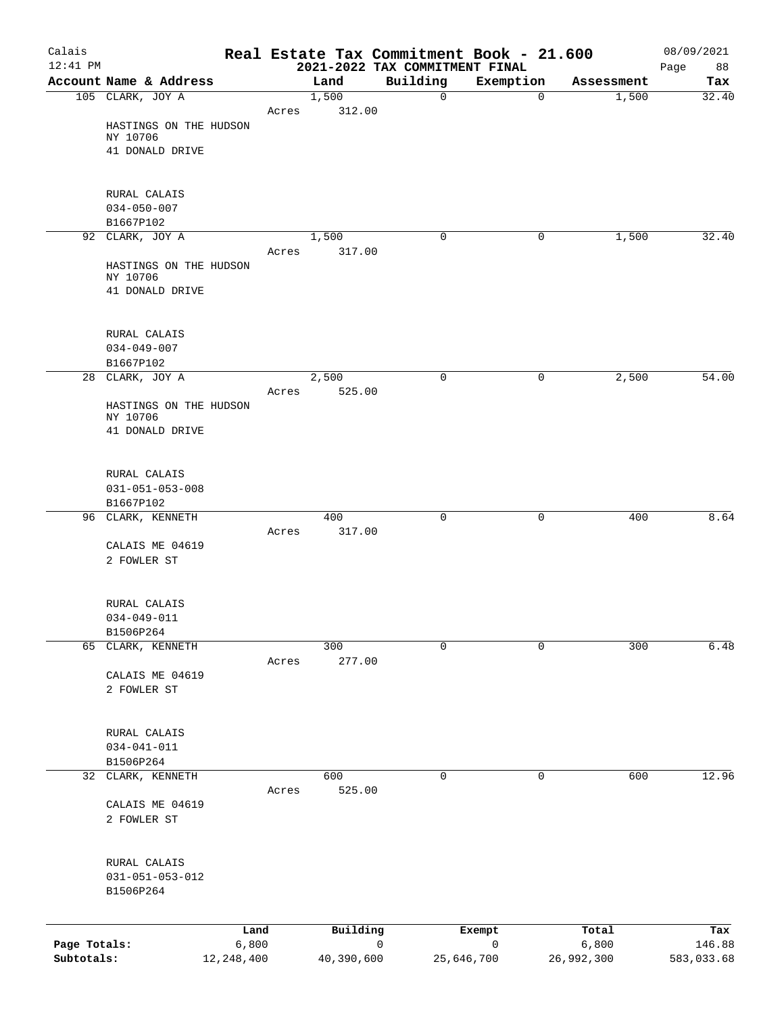| Calais<br>$12:41$ PM |                                   |              |       |               |   | Real Estate Tax Commitment Book - 21.600<br>2021-2022 TAX COMMITMENT FINAL |             |             |            | 08/09/2021<br>Page<br>88 |
|----------------------|-----------------------------------|--------------|-------|---------------|---|----------------------------------------------------------------------------|-------------|-------------|------------|--------------------------|
|                      | Account Name & Address            |              |       | Land          |   | Building                                                                   | Exemption   |             | Assessment | Tax                      |
|                      | 105 CLARK, JOY A                  |              |       | 1,500         |   | $\mathbf 0$                                                                |             | 0           | 1,500      | 32.40                    |
|                      |                                   |              | Acres | 312.00        |   |                                                                            |             |             |            |                          |
|                      | HASTINGS ON THE HUDSON            |              |       |               |   |                                                                            |             |             |            |                          |
|                      | NY 10706                          |              |       |               |   |                                                                            |             |             |            |                          |
|                      | 41 DONALD DRIVE                   |              |       |               |   |                                                                            |             |             |            |                          |
|                      |                                   |              |       |               |   |                                                                            |             |             |            |                          |
|                      | RURAL CALAIS                      |              |       |               |   |                                                                            |             |             |            |                          |
|                      | $034 - 050 - 007$                 |              |       |               |   |                                                                            |             |             |            |                          |
|                      | B1667P102                         |              |       |               |   |                                                                            |             |             |            |                          |
|                      | 92 CLARK, JOY A                   |              |       | 1,500         |   | 0                                                                          |             | 0           | 1,500      | 32.40                    |
|                      | HASTINGS ON THE HUDSON            |              | Acres | 317.00        |   |                                                                            |             |             |            |                          |
|                      | NY 10706                          |              |       |               |   |                                                                            |             |             |            |                          |
|                      | 41 DONALD DRIVE                   |              |       |               |   |                                                                            |             |             |            |                          |
|                      |                                   |              |       |               |   |                                                                            |             |             |            |                          |
|                      |                                   |              |       |               |   |                                                                            |             |             |            |                          |
|                      | RURAL CALAIS<br>$034 - 049 - 007$ |              |       |               |   |                                                                            |             |             |            |                          |
|                      | B1667P102                         |              |       |               |   |                                                                            |             |             |            |                          |
|                      | 28 CLARK, JOY A                   |              |       | 2,500         |   | $\mathbf 0$                                                                |             | 0           | 2,500      | 54.00                    |
|                      |                                   |              | Acres | 525.00        |   |                                                                            |             |             |            |                          |
|                      | HASTINGS ON THE HUDSON            |              |       |               |   |                                                                            |             |             |            |                          |
|                      | NY 10706<br>41 DONALD DRIVE       |              |       |               |   |                                                                            |             |             |            |                          |
|                      |                                   |              |       |               |   |                                                                            |             |             |            |                          |
|                      |                                   |              |       |               |   |                                                                            |             |             |            |                          |
|                      | RURAL CALAIS                      |              |       |               |   |                                                                            |             |             |            |                          |
|                      | $031 - 051 - 053 - 008$           |              |       |               |   |                                                                            |             |             |            |                          |
|                      | B1667P102                         |              |       |               |   | 0                                                                          |             | 0           | 400        | 8.64                     |
|                      | 96 CLARK, KENNETH                 |              | Acres | 400<br>317.00 |   |                                                                            |             |             |            |                          |
|                      | CALAIS ME 04619                   |              |       |               |   |                                                                            |             |             |            |                          |
|                      | 2 FOWLER ST                       |              |       |               |   |                                                                            |             |             |            |                          |
|                      |                                   |              |       |               |   |                                                                            |             |             |            |                          |
|                      |                                   |              |       |               |   |                                                                            |             |             |            |                          |
|                      | RURAL CALAIS                      |              |       |               |   |                                                                            |             |             |            |                          |
|                      | $034 - 049 - 011$<br>B1506P264    |              |       |               |   |                                                                            |             |             |            |                          |
|                      | 65 CLARK, KENNETH                 |              |       | 300           |   | $\mathbf 0$                                                                |             | $\mathbf 0$ | 300        | 6.48                     |
|                      |                                   |              | Acres | 277.00        |   |                                                                            |             |             |            |                          |
|                      | CALAIS ME 04619                   |              |       |               |   |                                                                            |             |             |            |                          |
|                      | 2 FOWLER ST                       |              |       |               |   |                                                                            |             |             |            |                          |
|                      |                                   |              |       |               |   |                                                                            |             |             |            |                          |
|                      | RURAL CALAIS                      |              |       |               |   |                                                                            |             |             |            |                          |
|                      | $034 - 041 - 011$                 |              |       |               |   |                                                                            |             |             |            |                          |
|                      | B1506P264                         |              |       |               |   |                                                                            |             |             |            |                          |
|                      | 32 CLARK, KENNETH                 |              |       | 600           |   | $\mathbf 0$                                                                |             | 0           | 600        | 12.96                    |
|                      |                                   |              | Acres | 525.00        |   |                                                                            |             |             |            |                          |
|                      | CALAIS ME 04619                   |              |       |               |   |                                                                            |             |             |            |                          |
|                      | 2 FOWLER ST                       |              |       |               |   |                                                                            |             |             |            |                          |
|                      |                                   |              |       |               |   |                                                                            |             |             |            |                          |
|                      | RURAL CALAIS                      |              |       |               |   |                                                                            |             |             |            |                          |
|                      | $031 - 051 - 053 - 012$           |              |       |               |   |                                                                            |             |             |            |                          |
|                      | B1506P264                         |              |       |               |   |                                                                            |             |             |            |                          |
|                      |                                   |              |       |               |   |                                                                            |             |             |            |                          |
|                      |                                   | Land         |       | Building      |   |                                                                            | Exempt      |             | Total      | Tax                      |
| Page Totals:         |                                   | 6,800        |       |               | 0 |                                                                            | $\mathbf 0$ |             | 6,800      | 146.88                   |
| Subtotals:           |                                   | 12, 248, 400 |       | 40,390,600    |   | 25,646,700                                                                 |             |             | 26,992,300 | 583,033.68               |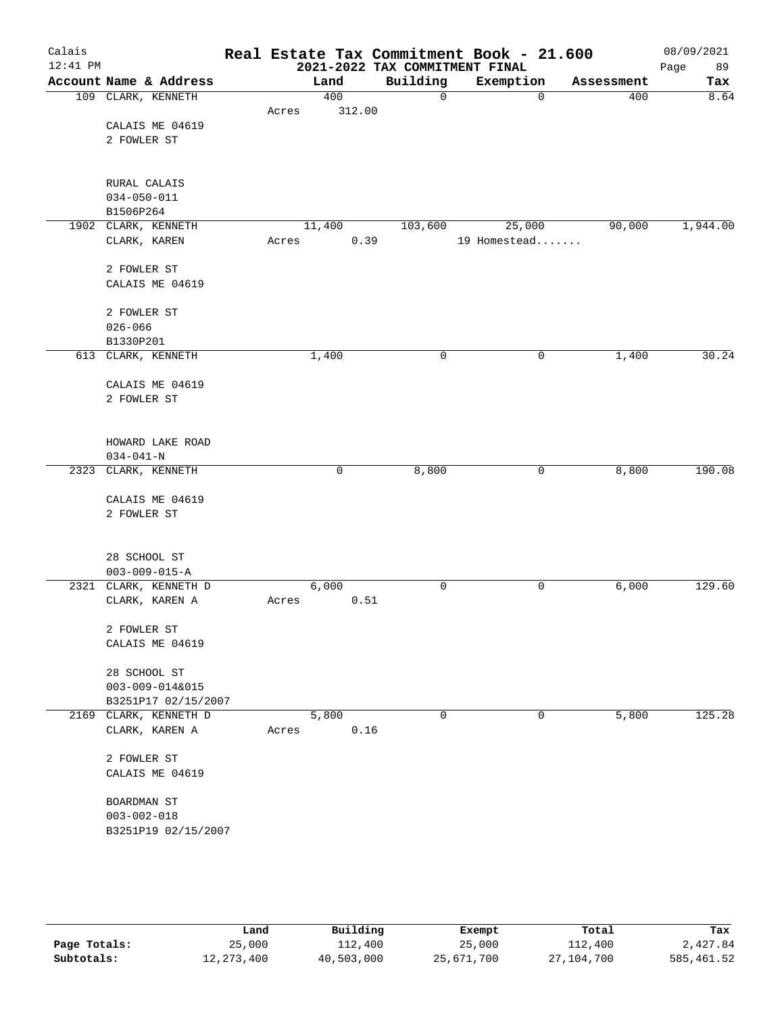| Calais<br>$12:41$ PM |                                |       |        |      | Real Estate Tax Commitment Book - 21.600<br>2021-2022 TAX COMMITMENT FINAL |              |             |            | 08/09/2021<br>Page<br>89 |
|----------------------|--------------------------------|-------|--------|------|----------------------------------------------------------------------------|--------------|-------------|------------|--------------------------|
|                      | Account Name & Address         |       | Land   |      | Building                                                                   | Exemption    |             | Assessment | Tax                      |
|                      | 109 CLARK, KENNETH             |       | 400    |      | 0                                                                          |              | $\mathbf 0$ | 400        | 8.64                     |
|                      |                                | Acres | 312.00 |      |                                                                            |              |             |            |                          |
|                      | CALAIS ME 04619                |       |        |      |                                                                            |              |             |            |                          |
|                      | 2 FOWLER ST                    |       |        |      |                                                                            |              |             |            |                          |
|                      |                                |       |        |      |                                                                            |              |             |            |                          |
|                      | RURAL CALAIS                   |       |        |      |                                                                            |              |             |            |                          |
|                      | $034 - 050 - 011$<br>B1506P264 |       |        |      |                                                                            |              |             |            |                          |
|                      | 1902 CLARK, KENNETH            |       | 11,400 |      | 103,600                                                                    | 25,000       |             | 90,000     | 1,944.00                 |
|                      | CLARK, KAREN                   | Acres |        | 0.39 |                                                                            | 19 Homestead |             |            |                          |
|                      | 2 FOWLER ST                    |       |        |      |                                                                            |              |             |            |                          |
|                      | CALAIS ME 04619                |       |        |      |                                                                            |              |             |            |                          |
|                      | 2 FOWLER ST                    |       |        |      |                                                                            |              |             |            |                          |
|                      | $026 - 066$                    |       |        |      |                                                                            |              |             |            |                          |
|                      | B1330P201                      |       |        |      |                                                                            |              |             |            |                          |
|                      | 613 CLARK, KENNETH             |       | 1,400  |      | 0                                                                          |              | 0           | 1,400      | 30.24                    |
|                      | CALAIS ME 04619                |       |        |      |                                                                            |              |             |            |                          |
|                      | 2 FOWLER ST                    |       |        |      |                                                                            |              |             |            |                          |
|                      |                                |       |        |      |                                                                            |              |             |            |                          |
|                      | HOWARD LAKE ROAD               |       |        |      |                                                                            |              |             |            |                          |
|                      | $034 - 041 - N$                |       |        |      |                                                                            |              |             |            |                          |
|                      | 2323 CLARK, KENNETH            |       | 0      |      | 8,800                                                                      |              | 0           | 8,800      | 190.08                   |
|                      | CALAIS ME 04619                |       |        |      |                                                                            |              |             |            |                          |
|                      | 2 FOWLER ST                    |       |        |      |                                                                            |              |             |            |                          |
|                      |                                |       |        |      |                                                                            |              |             |            |                          |
|                      | 28 SCHOOL ST                   |       |        |      |                                                                            |              |             |            |                          |
|                      | $003 - 009 - 015 - A$          |       |        |      |                                                                            |              |             |            |                          |
|                      | 2321 CLARK, KENNETH D          |       | 6,000  |      | $\mathbf 0$                                                                |              | 0           | 6,000      | 129.60                   |
|                      | CLARK, KAREN A                 | Acres |        | 0.51 |                                                                            |              |             |            |                          |
|                      | 2 FOWLER ST                    |       |        |      |                                                                            |              |             |            |                          |
|                      | CALAIS ME 04619                |       |        |      |                                                                            |              |             |            |                          |
|                      |                                |       |        |      |                                                                            |              |             |            |                          |
|                      | 28 SCHOOL ST                   |       |        |      |                                                                            |              |             |            |                          |
|                      | 003-009-014&015                |       |        |      |                                                                            |              |             |            |                          |
|                      | B3251P17 02/15/2007            |       |        |      |                                                                            |              |             |            |                          |
|                      | 2169 CLARK, KENNETH D          |       | 5,800  |      | 0                                                                          |              | 0           | 5,800      | 125.28                   |
|                      | CLARK, KAREN A                 | Acres |        | 0.16 |                                                                            |              |             |            |                          |
|                      | 2 FOWLER ST                    |       |        |      |                                                                            |              |             |            |                          |
|                      | CALAIS ME 04619                |       |        |      |                                                                            |              |             |            |                          |
|                      | BOARDMAN ST                    |       |        |      |                                                                            |              |             |            |                          |
|                      | $003 - 002 - 018$              |       |        |      |                                                                            |              |             |            |                          |
|                      | B3251P19 02/15/2007            |       |        |      |                                                                            |              |             |            |                          |
|                      |                                |       |        |      |                                                                            |              |             |            |                          |

|              | Land         | Building   | Exempt     | Total      | Tax         |
|--------------|--------------|------------|------------|------------|-------------|
| Page Totals: | 25,000       | 112,400    | 25,000     | 112,400    | 2,427.84    |
| Subtotals:   | 12, 273, 400 | 40,503,000 | 25,671,700 | 27,104,700 | 585, 461.52 |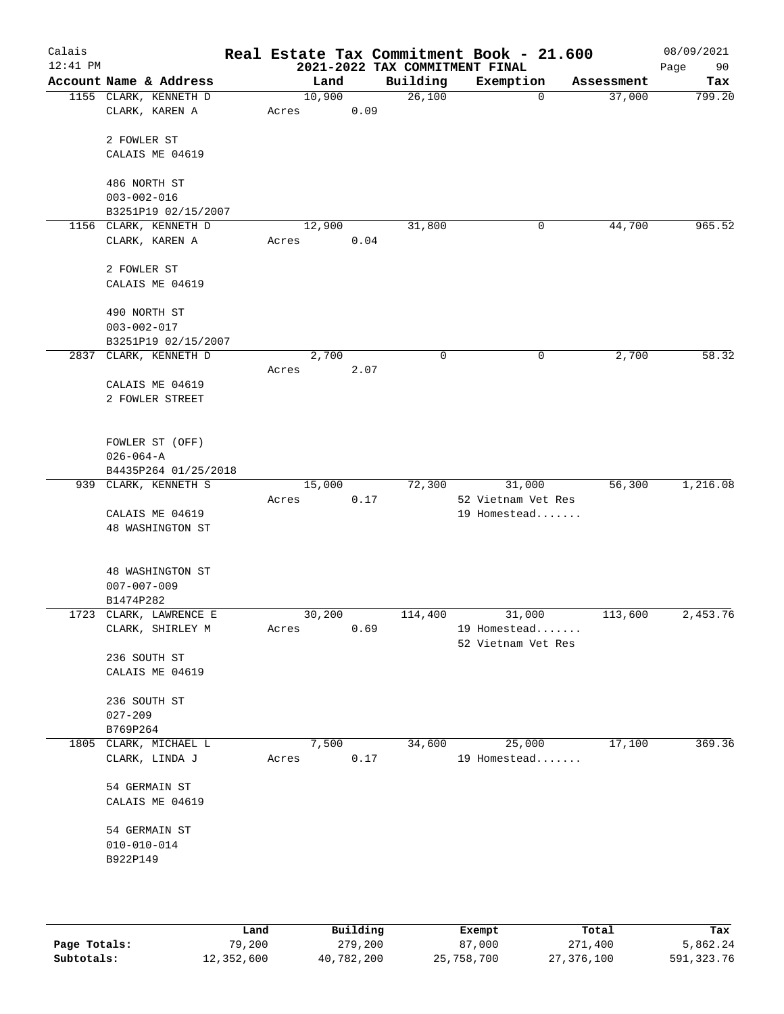| Account Name & Address<br>1155 CLARK, KENNETH D<br>CLARK, KAREN A<br>2 FOWLER ST<br>CALAIS ME 04619<br>486 NORTH ST<br>$003 - 002 - 016$<br>B3251P19 02/15/2007<br>1156 CLARK, KENNETH D<br>CLARK, KAREN A<br>2 FOWLER ST<br>CALAIS ME 04619<br>490 NORTH ST | 10,900<br>Acres<br>12,900<br>Acres              | Land<br>0.09<br>0.04 | Building<br>26,100<br>31,800 | Exemption<br>$\mathbf 0$<br>0 | Assessment<br>37,000<br>44,700 | Tax<br>799.20                                                                           |
|--------------------------------------------------------------------------------------------------------------------------------------------------------------------------------------------------------------------------------------------------------------|-------------------------------------------------|----------------------|------------------------------|-------------------------------|--------------------------------|-----------------------------------------------------------------------------------------|
|                                                                                                                                                                                                                                                              |                                                 |                      |                              |                               |                                |                                                                                         |
|                                                                                                                                                                                                                                                              |                                                 |                      |                              |                               |                                |                                                                                         |
|                                                                                                                                                                                                                                                              |                                                 |                      |                              |                               |                                | 965.52                                                                                  |
|                                                                                                                                                                                                                                                              |                                                 |                      |                              |                               |                                |                                                                                         |
|                                                                                                                                                                                                                                                              |                                                 |                      |                              |                               |                                |                                                                                         |
|                                                                                                                                                                                                                                                              |                                                 |                      |                              |                               |                                |                                                                                         |
|                                                                                                                                                                                                                                                              |                                                 |                      |                              |                               |                                |                                                                                         |
| $003 - 002 - 017$<br>B3251P19 02/15/2007                                                                                                                                                                                                                     |                                                 |                      |                              |                               |                                |                                                                                         |
| 2837 CLARK, KENNETH D                                                                                                                                                                                                                                        |                                                 | 2,700                | 0                            | 0                             | 2,700                          | 58.32                                                                                   |
| CALAIS ME 04619<br>2 FOWLER STREET                                                                                                                                                                                                                           | Acres                                           | 2.07                 |                              |                               |                                |                                                                                         |
| FOWLER ST (OFF)<br>$026 - 064 - A$<br>B4435P264 01/25/2018                                                                                                                                                                                                   |                                                 |                      |                              |                               |                                |                                                                                         |
| 939 CLARK, KENNETH S                                                                                                                                                                                                                                         | 15,000                                          |                      | 72,300                       | 31,000                        | 56,300                         | 1,216.08                                                                                |
| CALAIS ME 04619<br>48 WASHINGTON ST                                                                                                                                                                                                                          | Acres                                           | 0.17                 |                              | 52 Vietnam Vet Res            |                                |                                                                                         |
| 48 WASHINGTON ST<br>$007 - 007 - 009$                                                                                                                                                                                                                        |                                                 |                      |                              |                               |                                |                                                                                         |
|                                                                                                                                                                                                                                                              |                                                 |                      |                              |                               |                                | 2,453.76                                                                                |
| CLARK, SHIRLEY M                                                                                                                                                                                                                                             | Acres                                           |                      |                              |                               |                                |                                                                                         |
| 236 SOUTH ST<br>CALAIS ME 04619                                                                                                                                                                                                                              |                                                 |                      |                              |                               |                                |                                                                                         |
| 236 SOUTH ST<br>$027 - 209$                                                                                                                                                                                                                                  |                                                 |                      |                              |                               |                                |                                                                                         |
| B769P264                                                                                                                                                                                                                                                     |                                                 |                      |                              |                               |                                |                                                                                         |
| 1805 CLARK, MICHAEL L<br>CLARK, LINDA J                                                                                                                                                                                                                      | Acres                                           |                      |                              |                               |                                | 369.36                                                                                  |
| 54 GERMAIN ST<br>CALAIS ME 04619                                                                                                                                                                                                                             |                                                 |                      |                              |                               |                                |                                                                                         |
| 54 GERMAIN ST<br>$010 - 010 - 014$                                                                                                                                                                                                                           |                                                 |                      |                              |                               |                                |                                                                                         |
|                                                                                                                                                                                                                                                              | B1474P282<br>1723 CLARK, LAWRENCE E<br>B922P149 |                      | 30,200<br>7,500              | 114,400<br>0.69<br>0.17       | 31,000<br>34,600<br>25,000     | 19 Homestead<br>113,600<br>19 Homestead<br>52 Vietnam Vet Res<br>17,100<br>19 Homestead |

|              | Land       | Building   | Exempt     | Total      | Tax        |
|--------------|------------|------------|------------|------------|------------|
| Page Totals: | 79,200     | 279,200    | 87,000     | 271,400    | 5,862.24   |
| Subtotals:   | 12,352,600 | 40,782,200 | 25,758,700 | 27,376,100 | 591,323.76 |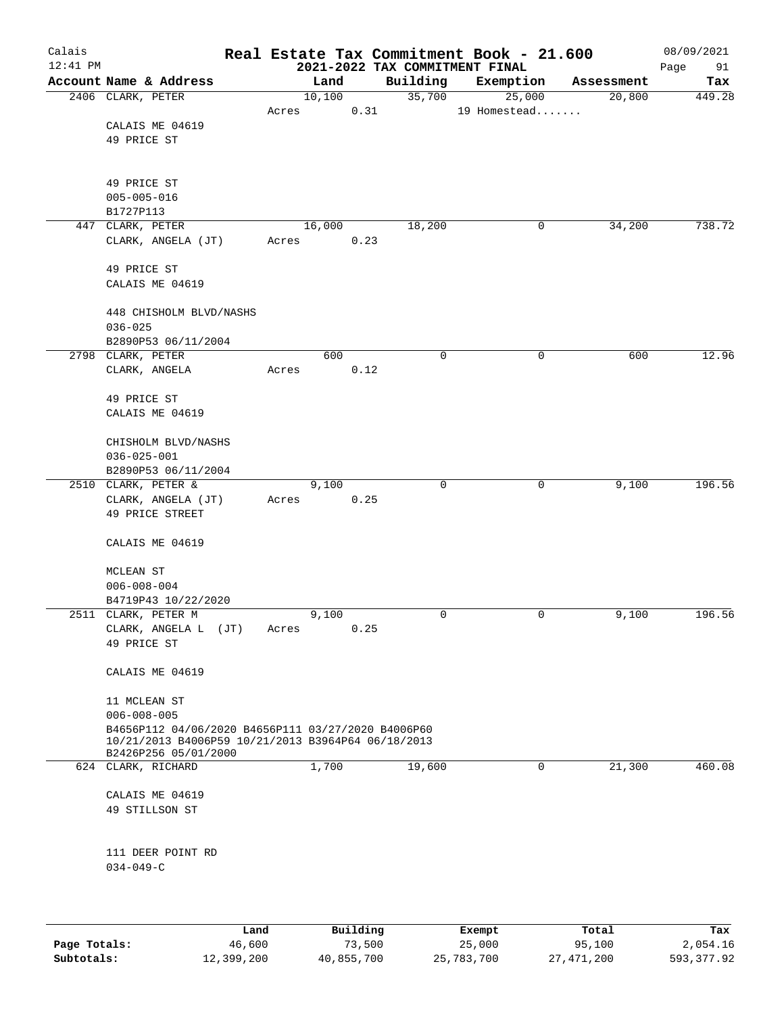| Calais<br>$12:41$ PM |                                                                            |       |        | 2021-2022 TAX COMMITMENT FINAL | Real Estate Tax Commitment Book - 21.600 |            | 08/09/2021<br>Page<br>91 |
|----------------------|----------------------------------------------------------------------------|-------|--------|--------------------------------|------------------------------------------|------------|--------------------------|
|                      | Account Name & Address                                                     |       | Land   | Building                       | Exemption                                | Assessment | Tax                      |
|                      | 2406 CLARK, PETER                                                          |       | 10,100 | 35,700                         | 25,000                                   | 20,800     | 449.28                   |
|                      |                                                                            | Acres | 0.31   |                                | 19 Homestead                             |            |                          |
|                      | CALAIS ME 04619                                                            |       |        |                                |                                          |            |                          |
|                      | 49 PRICE ST                                                                |       |        |                                |                                          |            |                          |
|                      |                                                                            |       |        |                                |                                          |            |                          |
|                      |                                                                            |       |        |                                |                                          |            |                          |
|                      | 49 PRICE ST                                                                |       |        |                                |                                          |            |                          |
|                      | $005 - 005 - 016$                                                          |       |        |                                |                                          |            |                          |
|                      | B1727P113                                                                  |       |        |                                |                                          |            |                          |
|                      | 447 CLARK, PETER                                                           |       | 16,000 | 18,200                         | 0                                        | 34,200     | 738.72                   |
|                      | CLARK, ANGELA (JT)                                                         | Acres | 0.23   |                                |                                          |            |                          |
|                      |                                                                            |       |        |                                |                                          |            |                          |
|                      | 49 PRICE ST<br>CALAIS ME 04619                                             |       |        |                                |                                          |            |                          |
|                      |                                                                            |       |        |                                |                                          |            |                          |
|                      | 448 CHISHOLM BLVD/NASHS                                                    |       |        |                                |                                          |            |                          |
|                      | $036 - 025$                                                                |       |        |                                |                                          |            |                          |
|                      | B2890P53 06/11/2004                                                        |       |        |                                |                                          |            |                          |
|                      | 2798 CLARK, PETER                                                          |       | 600    | $\mathbf 0$                    | 0                                        | 600        | 12.96                    |
|                      | CLARK, ANGELA                                                              | Acres | 0.12   |                                |                                          |            |                          |
|                      |                                                                            |       |        |                                |                                          |            |                          |
|                      | 49 PRICE ST                                                                |       |        |                                |                                          |            |                          |
|                      | CALAIS ME 04619                                                            |       |        |                                |                                          |            |                          |
|                      |                                                                            |       |        |                                |                                          |            |                          |
|                      | CHISHOLM BLVD/NASHS                                                        |       |        |                                |                                          |            |                          |
|                      | $036 - 025 - 001$                                                          |       |        |                                |                                          |            |                          |
|                      | B2890P53 06/11/2004                                                        |       |        |                                |                                          |            |                          |
|                      | 2510 CLARK, PETER &                                                        |       | 9,100  | $\mathbf 0$                    | 0                                        | 9,100      | 196.56                   |
|                      | CLARK, ANGELA (JT)                                                         | Acres | 0.25   |                                |                                          |            |                          |
|                      | 49 PRICE STREET                                                            |       |        |                                |                                          |            |                          |
|                      |                                                                            |       |        |                                |                                          |            |                          |
|                      | CALAIS ME 04619                                                            |       |        |                                |                                          |            |                          |
|                      | MCLEAN ST                                                                  |       |        |                                |                                          |            |                          |
|                      | $006 - 008 - 004$                                                          |       |        |                                |                                          |            |                          |
|                      | B4719P43 10/22/2020                                                        |       |        |                                |                                          |            |                          |
|                      | 2511 CLARK, PETER M                                                        |       | 9,100  | 0                              | 0                                        | 9,100      | 196.56                   |
|                      | CLARK, ANGELA L (JT)                                                       | Acres | 0.25   |                                |                                          |            |                          |
|                      | 49 PRICE ST                                                                |       |        |                                |                                          |            |                          |
|                      |                                                                            |       |        |                                |                                          |            |                          |
|                      | CALAIS ME 04619                                                            |       |        |                                |                                          |            |                          |
|                      |                                                                            |       |        |                                |                                          |            |                          |
|                      | 11 MCLEAN ST                                                               |       |        |                                |                                          |            |                          |
|                      | $006 - 008 - 005$                                                          |       |        |                                |                                          |            |                          |
|                      | B4656P112 04/06/2020 B4656P111 03/27/2020 B4006P60                         |       |        |                                |                                          |            |                          |
|                      | 10/21/2013 B4006P59 10/21/2013 B3964P64 06/18/2013<br>B2426P256 05/01/2000 |       |        |                                |                                          |            |                          |
|                      | 624 CLARK, RICHARD                                                         |       | 1,700  | 19,600                         | $\mathbf 0$                              | 21,300     | 460.08                   |
|                      |                                                                            |       |        |                                |                                          |            |                          |
|                      | CALAIS ME 04619                                                            |       |        |                                |                                          |            |                          |
|                      | 49 STILLSON ST                                                             |       |        |                                |                                          |            |                          |
|                      |                                                                            |       |        |                                |                                          |            |                          |
|                      |                                                                            |       |        |                                |                                          |            |                          |
|                      | 111 DEER POINT RD                                                          |       |        |                                |                                          |            |                          |
|                      | $034 - 049 - C$                                                            |       |        |                                |                                          |            |                          |
|                      |                                                                            |       |        |                                |                                          |            |                          |
|                      |                                                                            |       |        |                                |                                          |            |                          |
|                      |                                                                            |       |        |                                |                                          |            |                          |

|              | Land       | Building   | Exempt     | Total      | Tax        |
|--------------|------------|------------|------------|------------|------------|
| Page Totals: | 46,600     | 73,500     | 25,000     | 95,100     | 2,054.16   |
| Subtotals:   | 12,399,200 | 40,855,700 | 25,783,700 | 27,471,200 | 593,377.92 |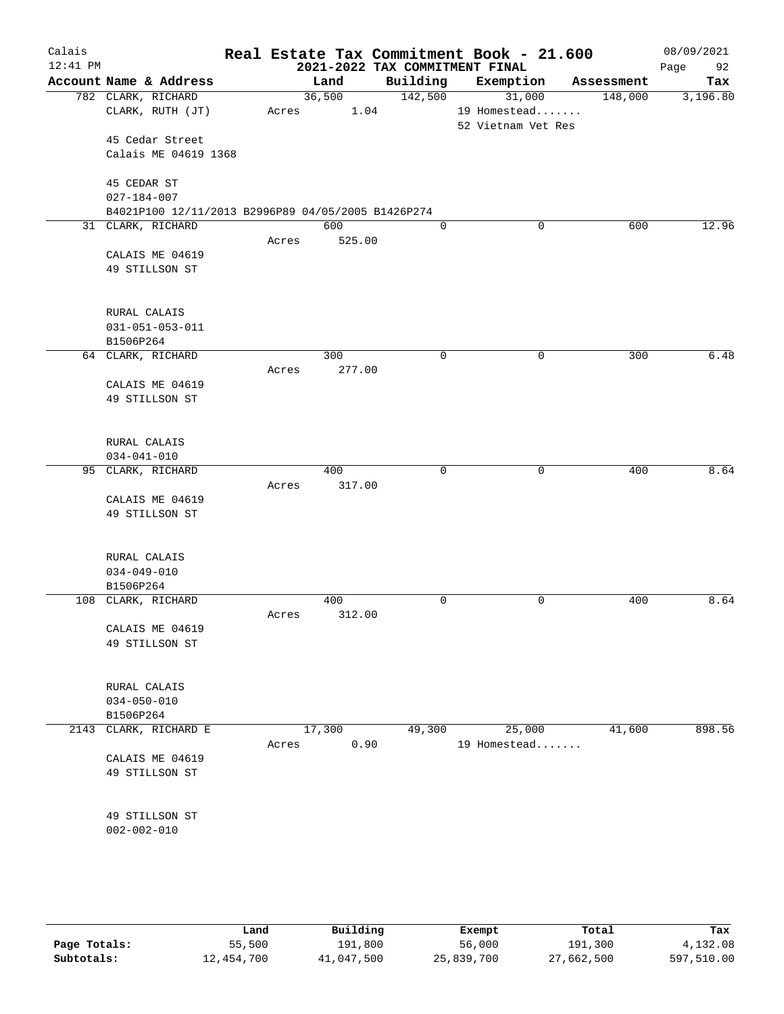| Calais     |                                                    |       |        |      |             | Real Estate Tax Commitment Book - 21.600 |            | 08/09/2021 |
|------------|----------------------------------------------------|-------|--------|------|-------------|------------------------------------------|------------|------------|
| $12:41$ PM |                                                    |       |        |      |             | 2021-2022 TAX COMMITMENT FINAL           |            | 92<br>Page |
|            | Account Name & Address                             |       | Land   |      | Building    | Exemption                                | Assessment | Tax        |
|            | 782 CLARK, RICHARD                                 |       | 36,500 |      | 142,500     | 31,000                                   | 148,000    | 3,196.80   |
|            | CLARK, RUTH (JT)                                   | Acres |        | 1.04 |             | 19 Homestead                             |            |            |
|            |                                                    |       |        |      |             | 52 Vietnam Vet Res                       |            |            |
|            | 45 Cedar Street                                    |       |        |      |             |                                          |            |            |
|            | Calais ME 04619 1368                               |       |        |      |             |                                          |            |            |
|            | 45 CEDAR ST                                        |       |        |      |             |                                          |            |            |
|            | $027 - 184 - 007$                                  |       |        |      |             |                                          |            |            |
|            | B4021P100 12/11/2013 B2996P89 04/05/2005 B1426P274 |       |        |      |             |                                          |            |            |
|            | 31 CLARK, RICHARD                                  |       | 600    |      | $\mathbf 0$ | 0                                        | 600        | 12.96      |
|            |                                                    | Acres | 525.00 |      |             |                                          |            |            |
|            | CALAIS ME 04619                                    |       |        |      |             |                                          |            |            |
|            | 49 STILLSON ST                                     |       |        |      |             |                                          |            |            |
|            |                                                    |       |        |      |             |                                          |            |            |
|            |                                                    |       |        |      |             |                                          |            |            |
|            | RURAL CALAIS                                       |       |        |      |             |                                          |            |            |
|            | $031 - 051 - 053 - 011$                            |       |        |      |             |                                          |            |            |
|            | B1506P264                                          |       |        |      |             |                                          |            |            |
|            | 64 CLARK, RICHARD                                  |       | 300    |      | 0           | 0                                        | 300        | 6.48       |
|            |                                                    | Acres | 277.00 |      |             |                                          |            |            |
|            | CALAIS ME 04619                                    |       |        |      |             |                                          |            |            |
|            | 49 STILLSON ST                                     |       |        |      |             |                                          |            |            |
|            |                                                    |       |        |      |             |                                          |            |            |
|            | RURAL CALAIS                                       |       |        |      |             |                                          |            |            |
|            | $034 - 041 - 010$                                  |       |        |      |             |                                          |            |            |
|            | 95 CLARK, RICHARD                                  |       | 400    |      | 0           | 0                                        | 400        | 8.64       |
|            |                                                    | Acres | 317.00 |      |             |                                          |            |            |
|            | CALAIS ME 04619                                    |       |        |      |             |                                          |            |            |
|            | 49 STILLSON ST                                     |       |        |      |             |                                          |            |            |
|            |                                                    |       |        |      |             |                                          |            |            |
|            |                                                    |       |        |      |             |                                          |            |            |
|            | RURAL CALAIS                                       |       |        |      |             |                                          |            |            |
|            | $034 - 049 - 010$                                  |       |        |      |             |                                          |            |            |
|            | B1506P264                                          |       |        |      |             |                                          |            |            |
|            | 108 CLARK, RICHARD                                 |       | 400    |      | 0           | 0                                        | 400        | 8.64       |
|            |                                                    | Acres | 312.00 |      |             |                                          |            |            |
|            | CALAIS ME 04619                                    |       |        |      |             |                                          |            |            |
|            | 49 STILLSON ST                                     |       |        |      |             |                                          |            |            |
|            |                                                    |       |        |      |             |                                          |            |            |
|            | RURAL CALAIS                                       |       |        |      |             |                                          |            |            |
|            | $034 - 050 - 010$                                  |       |        |      |             |                                          |            |            |
|            | B1506P264                                          |       |        |      |             |                                          |            |            |
|            | 2143 CLARK, RICHARD E                              |       | 17,300 |      | 49,300      | 25,000                                   | 41,600     | 898.56     |
|            |                                                    | Acres |        | 0.90 |             | 19 Homestead                             |            |            |
|            | CALAIS ME 04619                                    |       |        |      |             |                                          |            |            |
|            | 49 STILLSON ST                                     |       |        |      |             |                                          |            |            |
|            |                                                    |       |        |      |             |                                          |            |            |
|            |                                                    |       |        |      |             |                                          |            |            |
|            | 49 STILLSON ST                                     |       |        |      |             |                                          |            |            |
|            | $002 - 002 - 010$                                  |       |        |      |             |                                          |            |            |
|            |                                                    |       |        |      |             |                                          |            |            |
|            |                                                    |       |        |      |             |                                          |            |            |
|            |                                                    |       |        |      |             |                                          |            |            |

|              | Land       | Building   | Exempt     | Total      | Tax        |
|--------------|------------|------------|------------|------------|------------|
| Page Totals: | 55,500     | 191,800    | 56,000     | 191,300    | 4,132.08   |
| Subtotals:   | 12,454,700 | 41,047,500 | 25,839,700 | 27,662,500 | 597,510.00 |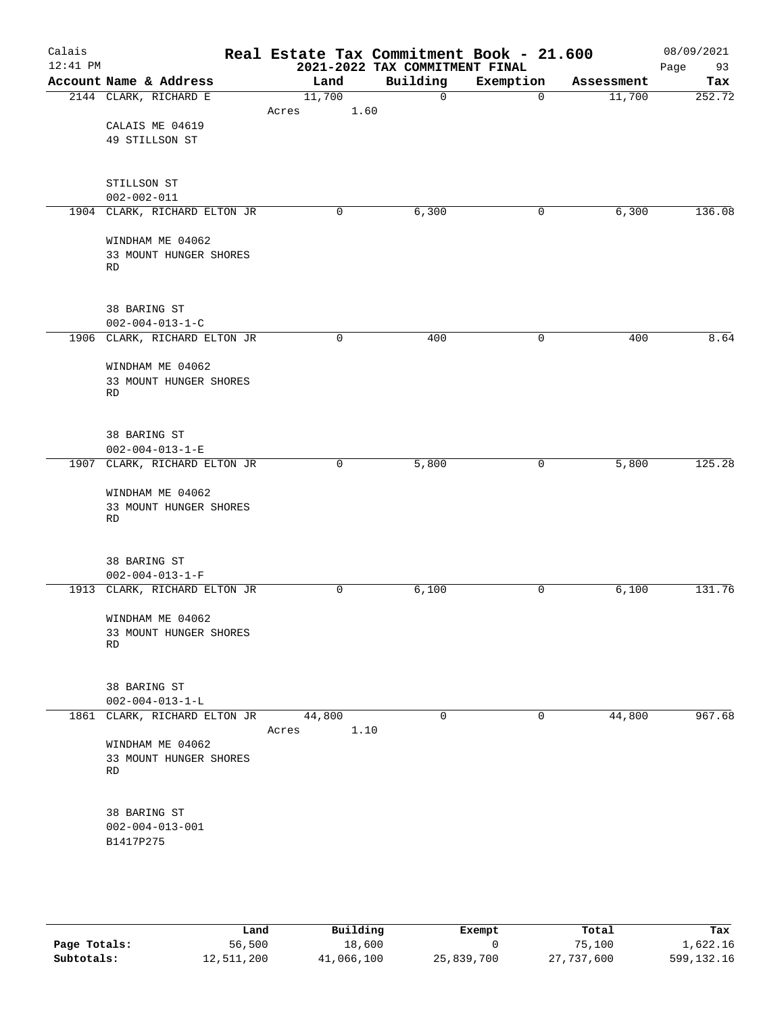| Calais     |                                                           | Real Estate Tax Commitment Book - 21.600 |                                |                          |            | 08/09/2021 |
|------------|-----------------------------------------------------------|------------------------------------------|--------------------------------|--------------------------|------------|------------|
| $12:41$ PM |                                                           |                                          | 2021-2022 TAX COMMITMENT FINAL |                          |            | Page<br>93 |
|            | Account Name & Address                                    | Land                                     | Building<br>$\Omega$           | Exemption<br>$\mathbf 0$ | Assessment | Tax        |
|            | 2144 CLARK, RICHARD E                                     | 11,700<br>1.60<br>Acres                  |                                |                          | 11,700     | 252.72     |
|            | CALAIS ME 04619                                           |                                          |                                |                          |            |            |
|            | 49 STILLSON ST                                            |                                          |                                |                          |            |            |
|            |                                                           |                                          |                                |                          |            |            |
|            |                                                           |                                          |                                |                          |            |            |
|            | STILLSON ST                                               |                                          |                                |                          |            |            |
|            | $002 - 002 - 011$<br>1904 CLARK, RICHARD ELTON JR         | $\mathbf 0$                              | 6,300                          | 0                        | 6,300      | 136.08     |
|            |                                                           |                                          |                                |                          |            |            |
|            | WINDHAM ME 04062                                          |                                          |                                |                          |            |            |
|            | 33 MOUNT HUNGER SHORES                                    |                                          |                                |                          |            |            |
|            | <b>RD</b>                                                 |                                          |                                |                          |            |            |
|            |                                                           |                                          |                                |                          |            |            |
|            | 38 BARING ST                                              |                                          |                                |                          |            |            |
|            | $002 - 004 - 013 - 1 - C$                                 |                                          |                                |                          |            |            |
|            | 1906 CLARK, RICHARD ELTON JR                              | 0                                        | 400                            | $\mathsf{O}$             | 400        | 8.64       |
|            |                                                           |                                          |                                |                          |            |            |
|            | WINDHAM ME 04062                                          |                                          |                                |                          |            |            |
|            | 33 MOUNT HUNGER SHORES<br>RD                              |                                          |                                |                          |            |            |
|            |                                                           |                                          |                                |                          |            |            |
|            |                                                           |                                          |                                |                          |            |            |
|            | 38 BARING ST                                              |                                          |                                |                          |            |            |
|            | $002 - 004 - 013 - 1 - E$<br>1907 CLARK, RICHARD ELTON JR | 0                                        | 5,800                          | 0                        | 5,800      | 125.28     |
|            |                                                           |                                          |                                |                          |            |            |
|            | WINDHAM ME 04062                                          |                                          |                                |                          |            |            |
|            | 33 MOUNT HUNGER SHORES                                    |                                          |                                |                          |            |            |
|            | <b>RD</b>                                                 |                                          |                                |                          |            |            |
|            |                                                           |                                          |                                |                          |            |            |
|            | 38 BARING ST                                              |                                          |                                |                          |            |            |
|            | $002 - 004 - 013 - 1 - F$                                 |                                          |                                |                          |            |            |
|            | 1913 CLARK, RICHARD ELTON JR                              | $\mathbf 0$                              | 6,100                          | $\mathbf 0$              | 6,100      | 131.76     |
|            | WINDHAM ME 04062                                          |                                          |                                |                          |            |            |
|            | 33 MOUNT HUNGER SHORES                                    |                                          |                                |                          |            |            |
|            | RD                                                        |                                          |                                |                          |            |            |
|            |                                                           |                                          |                                |                          |            |            |
|            | 38 BARING ST                                              |                                          |                                |                          |            |            |
|            | $002 - 004 - 013 - 1 - L$                                 |                                          |                                |                          |            |            |
|            | 1861 CLARK, RICHARD ELTON JR 44,800                       |                                          | 0                              | 0                        | 44,800     | 967.68     |
|            |                                                           | 1.10<br>Acres                            |                                |                          |            |            |
|            | WINDHAM ME 04062                                          |                                          |                                |                          |            |            |
|            | 33 MOUNT HUNGER SHORES<br>RD                              |                                          |                                |                          |            |            |
|            |                                                           |                                          |                                |                          |            |            |
|            |                                                           |                                          |                                |                          |            |            |
|            | 38 BARING ST                                              |                                          |                                |                          |            |            |
|            | $002 - 004 - 013 - 001$                                   |                                          |                                |                          |            |            |
|            | B1417P275                                                 |                                          |                                |                          |            |            |
|            |                                                           |                                          |                                |                          |            |            |

|              | Land       | Building   | Exempt     | Total      | Tax          |
|--------------|------------|------------|------------|------------|--------------|
| Page Totals: | 56,500     | 18,600     |            | 75,100     | 1,622.16     |
| Subtotals:   | 12,511,200 | 41,066,100 | 25,839,700 | 27,737,600 | 599, 132. 16 |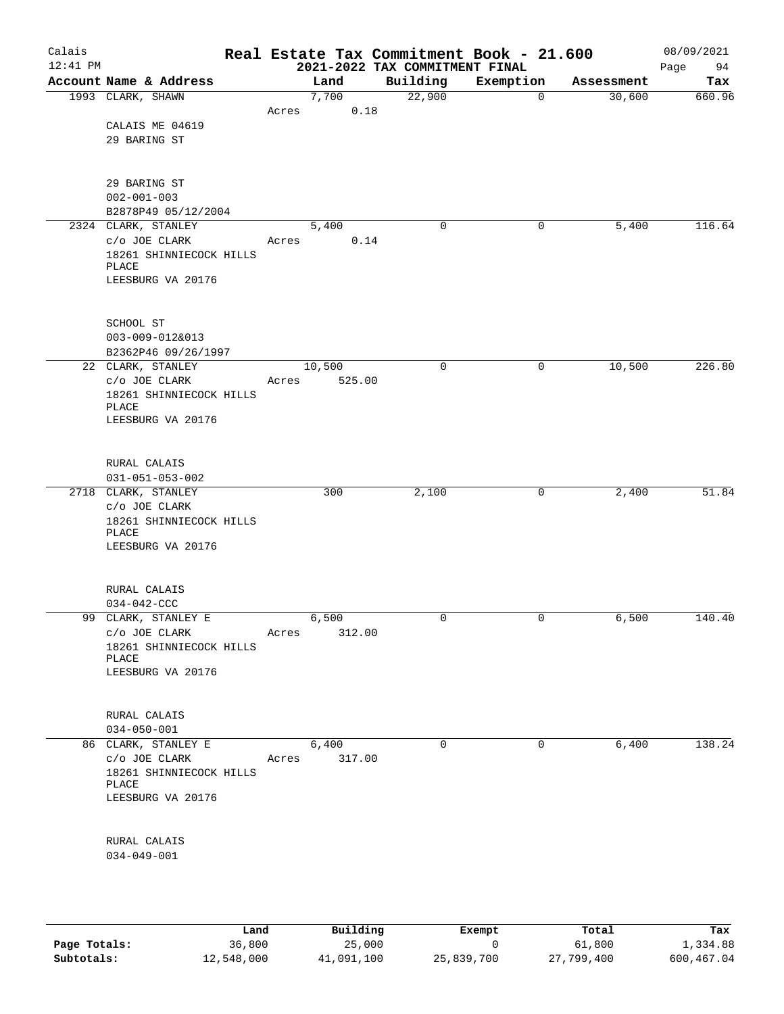| Calais<br>$12:41$ PM |                                          |       |        |        | Real Estate Tax Commitment Book - 21.600<br>2021-2022 TAX COMMITMENT FINAL |           |             |            | 08/09/2021<br>94<br>Page |
|----------------------|------------------------------------------|-------|--------|--------|----------------------------------------------------------------------------|-----------|-------------|------------|--------------------------|
|                      | Account Name & Address                   |       | Land   |        | Building                                                                   | Exemption |             | Assessment | Tax                      |
|                      | 1993 CLARK, SHAWN                        |       | 7,700  |        | 22,900                                                                     |           | $\mathbf 0$ | 30,600     | 660.96                   |
|                      |                                          | Acres |        | 0.18   |                                                                            |           |             |            |                          |
|                      | CALAIS ME 04619                          |       |        |        |                                                                            |           |             |            |                          |
|                      | 29 BARING ST                             |       |        |        |                                                                            |           |             |            |                          |
|                      |                                          |       |        |        |                                                                            |           |             |            |                          |
|                      |                                          |       |        |        |                                                                            |           |             |            |                          |
|                      | 29 BARING ST                             |       |        |        |                                                                            |           |             |            |                          |
|                      | $002 - 001 - 003$<br>B2878P49 05/12/2004 |       |        |        |                                                                            |           |             |            |                          |
|                      | 2324 CLARK, STANLEY                      |       | 5,400  |        | 0                                                                          |           | 0           | 5,400      | 116.64                   |
|                      | C/O JOE CLARK                            | Acres |        | 0.14   |                                                                            |           |             |            |                          |
|                      | 18261 SHINNIECOCK HILLS                  |       |        |        |                                                                            |           |             |            |                          |
|                      | PLACE                                    |       |        |        |                                                                            |           |             |            |                          |
|                      | LEESBURG VA 20176                        |       |        |        |                                                                            |           |             |            |                          |
|                      |                                          |       |        |        |                                                                            |           |             |            |                          |
|                      |                                          |       |        |        |                                                                            |           |             |            |                          |
|                      | SCHOOL ST<br>$003 - 009 - 012&013$       |       |        |        |                                                                            |           |             |            |                          |
|                      | B2362P46 09/26/1997                      |       |        |        |                                                                            |           |             |            |                          |
|                      | 22 CLARK, STANLEY                        |       | 10,500 |        | $\mathbf 0$                                                                |           | 0           | 10,500     | 226.80                   |
|                      | C/O JOE CLARK                            | Acres |        | 525.00 |                                                                            |           |             |            |                          |
|                      | 18261 SHINNIECOCK HILLS                  |       |        |        |                                                                            |           |             |            |                          |
|                      | PLACE                                    |       |        |        |                                                                            |           |             |            |                          |
|                      | LEESBURG VA 20176                        |       |        |        |                                                                            |           |             |            |                          |
|                      |                                          |       |        |        |                                                                            |           |             |            |                          |
|                      | RURAL CALAIS                             |       |        |        |                                                                            |           |             |            |                          |
|                      | $031 - 051 - 053 - 002$                  |       |        |        |                                                                            |           |             |            |                          |
|                      | 2718 CLARK, STANLEY                      |       | 300    |        | 2,100                                                                      |           | 0           | 2,400      | 51.84                    |
|                      | C/O JOE CLARK                            |       |        |        |                                                                            |           |             |            |                          |
|                      | 18261 SHINNIECOCK HILLS                  |       |        |        |                                                                            |           |             |            |                          |
|                      | PLACE                                    |       |        |        |                                                                            |           |             |            |                          |
|                      | LEESBURG VA 20176                        |       |        |        |                                                                            |           |             |            |                          |
|                      |                                          |       |        |        |                                                                            |           |             |            |                          |
|                      | RURAL CALAIS                             |       |        |        |                                                                            |           |             |            |                          |
|                      | $034 - 042 - CCC$                        |       |        |        |                                                                            |           |             |            |                          |
| 99                   | CLARK, STANLEY E                         |       | 6,500  |        | 0                                                                          |           | 0           | 6,500      | 140.40                   |
|                      | C/O JOE CLARK                            | Acres |        | 312.00 |                                                                            |           |             |            |                          |
|                      | 18261 SHINNIECOCK HILLS                  |       |        |        |                                                                            |           |             |            |                          |
|                      | PLACE                                    |       |        |        |                                                                            |           |             |            |                          |
|                      | LEESBURG VA 20176                        |       |        |        |                                                                            |           |             |            |                          |
|                      |                                          |       |        |        |                                                                            |           |             |            |                          |
|                      | RURAL CALAIS                             |       |        |        |                                                                            |           |             |            |                          |
|                      | $034 - 050 - 001$                        |       |        |        |                                                                            |           |             |            |                          |
|                      | 86 CLARK, STANLEY E                      |       | 6,400  |        | 0                                                                          |           | 0           | 6,400      | 138.24                   |
|                      | $C/O$ JOE CLARK                          | Acres |        | 317.00 |                                                                            |           |             |            |                          |
|                      | 18261 SHINNIECOCK HILLS                  |       |        |        |                                                                            |           |             |            |                          |
|                      | PLACE<br>LEESBURG VA 20176               |       |        |        |                                                                            |           |             |            |                          |
|                      |                                          |       |        |        |                                                                            |           |             |            |                          |
|                      |                                          |       |        |        |                                                                            |           |             |            |                          |
|                      | RURAL CALAIS                             |       |        |        |                                                                            |           |             |            |                          |
|                      | $034 - 049 - 001$                        |       |        |        |                                                                            |           |             |            |                          |
|                      |                                          |       |        |        |                                                                            |           |             |            |                          |
|                      |                                          |       |        |        |                                                                            |           |             |            |                          |

|              | Land       | Building   | Exempt     | Total      | Tax        |
|--------------|------------|------------|------------|------------|------------|
| Page Totals: | 36,800     | 25,000     |            | 61,800     | 1,334.88   |
| Subtotals:   | 12,548,000 | 41,091,100 | 25,839,700 | 27,799,400 | 600,467.04 |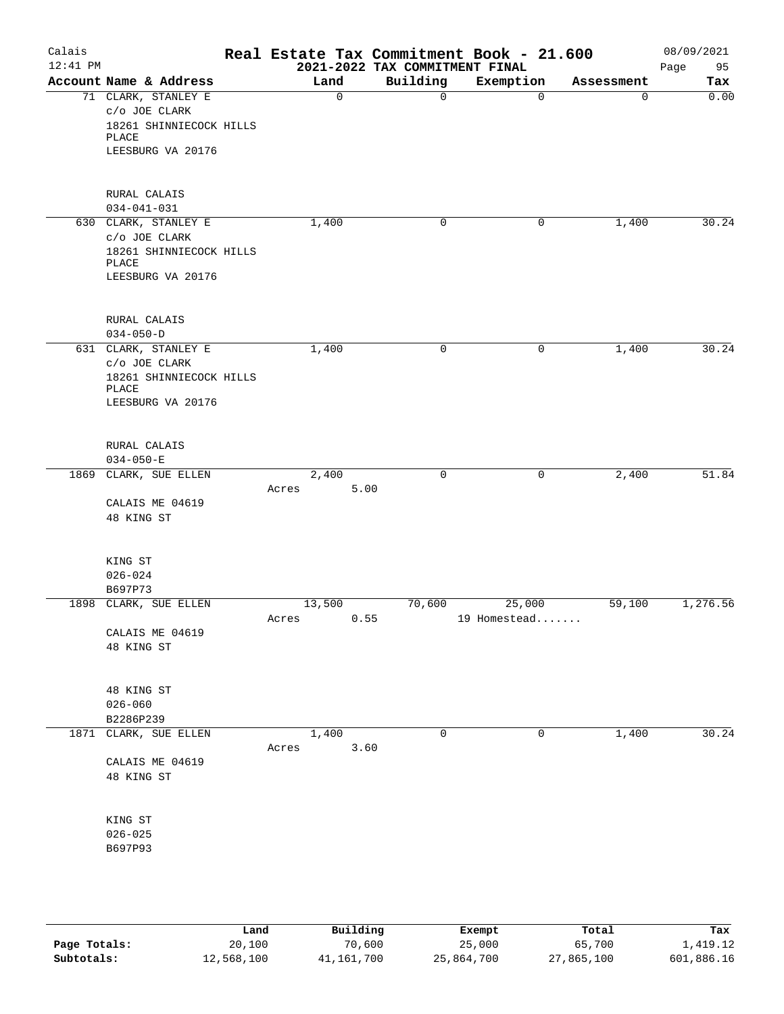| Calais<br>$12:41$ PM |                                  | Real Estate Tax Commitment Book - 21.600 |      | 2021-2022 TAX COMMITMENT FINAL |              |            | 08/09/2021<br>Page<br>95 |
|----------------------|----------------------------------|------------------------------------------|------|--------------------------------|--------------|------------|--------------------------|
|                      | Account Name & Address           | Land                                     |      | Building                       | Exemption    | Assessment | Tax                      |
|                      | 71 CLARK, STANLEY E              | 0                                        |      | 0                              | $\mathbf 0$  | 0          | 0.00                     |
|                      | C/O JOE CLARK                    |                                          |      |                                |              |            |                          |
|                      | 18261 SHINNIECOCK HILLS          |                                          |      |                                |              |            |                          |
|                      | PLACE                            |                                          |      |                                |              |            |                          |
|                      | LEESBURG VA 20176                |                                          |      |                                |              |            |                          |
|                      |                                  |                                          |      |                                |              |            |                          |
|                      |                                  |                                          |      |                                |              |            |                          |
|                      | RURAL CALAIS                     |                                          |      |                                |              |            |                          |
|                      | $034 - 041 - 031$                |                                          |      |                                |              |            |                          |
|                      | 630 CLARK, STANLEY E             | 1,400                                    |      | 0                              | 0            | 1,400      | 30.24                    |
|                      | C/O JOE CLARK                    |                                          |      |                                |              |            |                          |
|                      | 18261 SHINNIECOCK HILLS          |                                          |      |                                |              |            |                          |
|                      | PLACE<br>LEESBURG VA 20176       |                                          |      |                                |              |            |                          |
|                      |                                  |                                          |      |                                |              |            |                          |
|                      |                                  |                                          |      |                                |              |            |                          |
|                      | RURAL CALAIS                     |                                          |      |                                |              |            |                          |
|                      | $034 - 050 - D$                  |                                          |      |                                |              |            |                          |
|                      | 631 CLARK, STANLEY E             | 1,400                                    |      | 0                              | 0            | 1,400      | 30.24                    |
|                      | C/O JOE CLARK                    |                                          |      |                                |              |            |                          |
|                      | 18261 SHINNIECOCK HILLS          |                                          |      |                                |              |            |                          |
|                      | PLACE                            |                                          |      |                                |              |            |                          |
|                      | LEESBURG VA 20176                |                                          |      |                                |              |            |                          |
|                      |                                  |                                          |      |                                |              |            |                          |
|                      |                                  |                                          |      |                                |              |            |                          |
|                      | RURAL CALAIS                     |                                          |      |                                |              |            |                          |
|                      | $034 - 050 - E$                  |                                          |      |                                |              |            |                          |
|                      | 1869 CLARK, SUE ELLEN            | 2,400                                    |      | $\mathbf 0$                    | 0            | 2,400      | 51.84                    |
|                      |                                  | Acres                                    | 5.00 |                                |              |            |                          |
|                      | CALAIS ME 04619                  |                                          |      |                                |              |            |                          |
|                      | 48 KING ST                       |                                          |      |                                |              |            |                          |
|                      |                                  |                                          |      |                                |              |            |                          |
|                      |                                  |                                          |      |                                |              |            |                          |
|                      | KING ST                          |                                          |      |                                |              |            |                          |
|                      | $026 - 024$                      |                                          |      |                                |              |            |                          |
|                      | B697P73<br>1898 CLARK, SUE ELLEN | 13,500                                   |      | 70,600                         | 25,000       | 59,100     | 1,276.56                 |
|                      |                                  | Acres 0.55                               |      |                                | 19 Homestead |            |                          |
|                      | CALAIS ME 04619                  |                                          |      |                                |              |            |                          |
|                      | 48 KING ST                       |                                          |      |                                |              |            |                          |
|                      |                                  |                                          |      |                                |              |            |                          |
|                      |                                  |                                          |      |                                |              |            |                          |
|                      | 48 KING ST                       |                                          |      |                                |              |            |                          |
|                      | $026 - 060$                      |                                          |      |                                |              |            |                          |
|                      | B2286P239                        |                                          |      |                                |              |            |                          |
|                      | 1871 CLARK, SUE ELLEN            | 1,400                                    |      | 0                              | 0            | 1,400      | 30.24                    |
|                      |                                  | Acres                                    | 3.60 |                                |              |            |                          |
|                      | CALAIS ME 04619                  |                                          |      |                                |              |            |                          |
|                      | 48 KING ST                       |                                          |      |                                |              |            |                          |
|                      |                                  |                                          |      |                                |              |            |                          |
|                      |                                  |                                          |      |                                |              |            |                          |
|                      | KING ST                          |                                          |      |                                |              |            |                          |
|                      | $026 - 025$                      |                                          |      |                                |              |            |                          |
|                      | B697P93                          |                                          |      |                                |              |            |                          |
|                      |                                  |                                          |      |                                |              |            |                          |
|                      |                                  |                                          |      |                                |              |            |                          |
|                      |                                  |                                          |      |                                |              |            |                          |
|                      |                                  |                                          |      |                                |              |            |                          |

|              | Land       | Building   | Exempt     | Total      | Tax        |
|--------------|------------|------------|------------|------------|------------|
| Page Totals: | 20,100     | 70,600     | 25,000     | 65,700     | 1,419.12   |
| Subtotals:   | 12,568,100 | 41,161,700 | 25,864,700 | 27,865,100 | 601,886.16 |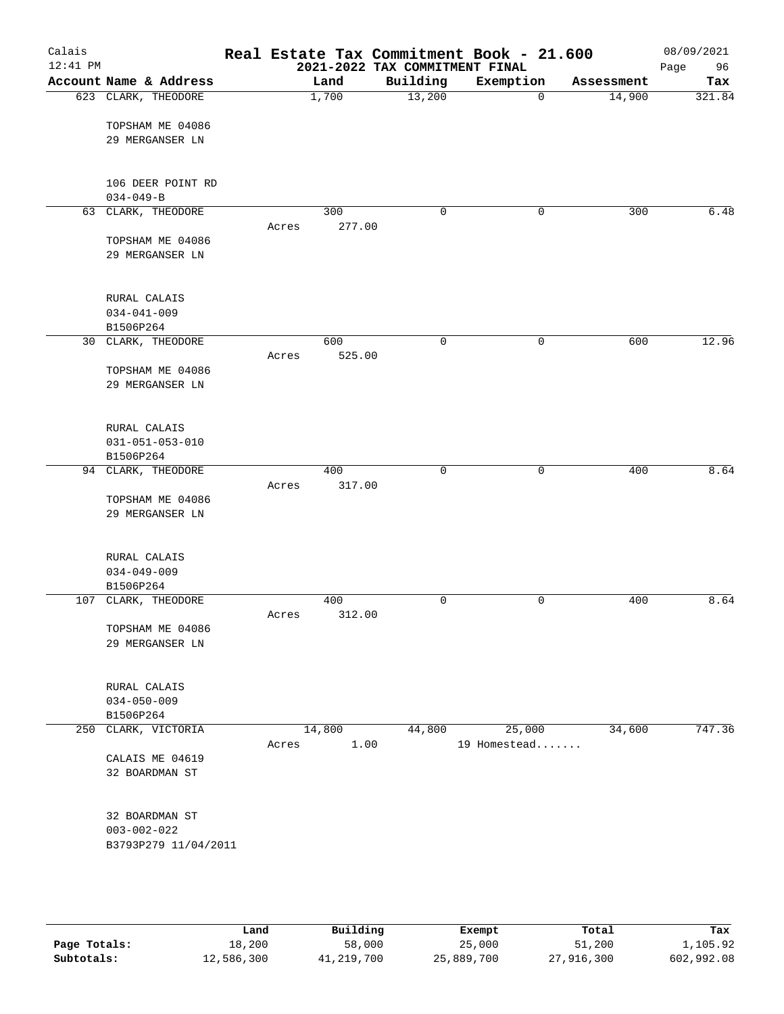| Calais<br>$12:41$ PM |                                     |       |               | 2021-2022 TAX COMMITMENT FINAL | Real Estate Tax Commitment Book - 21.600 |            | 08/09/2021<br>Page<br>96 |
|----------------------|-------------------------------------|-------|---------------|--------------------------------|------------------------------------------|------------|--------------------------|
|                      | Account Name & Address              |       | Land          | Building                       | Exemption                                | Assessment | Tax                      |
|                      | 623 CLARK, THEODORE                 |       | 1,700         | 13,200                         | 0                                        | 14,900     | 321.84                   |
|                      | TOPSHAM ME 04086                    |       |               |                                |                                          |            |                          |
|                      | 29 MERGANSER LN                     |       |               |                                |                                          |            |                          |
|                      | 106 DEER POINT RD                   |       |               |                                |                                          |            |                          |
|                      | $034 - 049 - B$                     |       |               |                                |                                          |            |                          |
|                      | 63 CLARK, THEODORE                  |       | 300           | $\mathbf 0$                    | 0                                        | 300        | 6.48                     |
|                      |                                     | Acres | 277.00        |                                |                                          |            |                          |
|                      | TOPSHAM ME 04086<br>29 MERGANSER LN |       |               |                                |                                          |            |                          |
|                      | RURAL CALAIS                        |       |               |                                |                                          |            |                          |
|                      | $034 - 041 - 009$                   |       |               |                                |                                          |            |                          |
|                      | B1506P264                           |       |               |                                |                                          |            |                          |
|                      | 30 CLARK, THEODORE                  |       | 600           | $\mathsf{O}$                   | $\mathsf{O}$                             | 600        | 12.96                    |
|                      |                                     | Acres | 525.00        |                                |                                          |            |                          |
|                      | TOPSHAM ME 04086<br>29 MERGANSER LN |       |               |                                |                                          |            |                          |
|                      |                                     |       |               |                                |                                          |            |                          |
|                      | RURAL CALAIS                        |       |               |                                |                                          |            |                          |
|                      | $031 - 051 - 053 - 010$             |       |               |                                |                                          |            |                          |
|                      | B1506P264                           |       |               | $\mathbf 0$                    |                                          |            | 8.64                     |
|                      | 94 CLARK, THEODORE                  | Acres | 400<br>317.00 |                                | 0                                        | 400        |                          |
|                      | TOPSHAM ME 04086                    |       |               |                                |                                          |            |                          |
|                      | 29 MERGANSER LN                     |       |               |                                |                                          |            |                          |
|                      | RURAL CALAIS                        |       |               |                                |                                          |            |                          |
|                      | $034 - 049 - 009$                   |       |               |                                |                                          |            |                          |
|                      | B1506P264                           |       |               |                                |                                          |            |                          |
| 107                  | CLARK, THEODORE                     |       | 400           | $\mathsf{O}$                   | 0                                        | 400        | 8.64                     |
|                      |                                     | Acres | 312.00        |                                |                                          |            |                          |
|                      | TOPSHAM ME 04086<br>29 MERGANSER LN |       |               |                                |                                          |            |                          |
|                      | RURAL CALAIS                        |       |               |                                |                                          |            |                          |
|                      | $034 - 050 - 009$                   |       |               |                                |                                          |            |                          |
|                      | B1506P264                           |       |               |                                |                                          |            |                          |
|                      | 250 CLARK, VICTORIA                 |       | 14,800        | 44,800                         | 25,000                                   | 34,600     | 747.36                   |
|                      |                                     | Acres | 1.00          |                                | 19 Homestead                             |            |                          |
|                      | CALAIS ME 04619<br>32 BOARDMAN ST   |       |               |                                |                                          |            |                          |
|                      | 32 BOARDMAN ST                      |       |               |                                |                                          |            |                          |
|                      | $003 - 002 - 022$                   |       |               |                                |                                          |            |                          |
|                      | B3793P279 11/04/2011                |       |               |                                |                                          |            |                          |
|                      |                                     |       |               |                                |                                          |            |                          |
|                      |                                     |       |               |                                |                                          |            |                          |

|              | Land       | Building   | Exempt     | Total      | Tax        |
|--------------|------------|------------|------------|------------|------------|
| Page Totals: | 18,200     | 58,000     | 25,000     | 51,200     | 1,105.92   |
| Subtotals:   | 12,586,300 | 41,219,700 | 25,889,700 | 27,916,300 | 602,992.08 |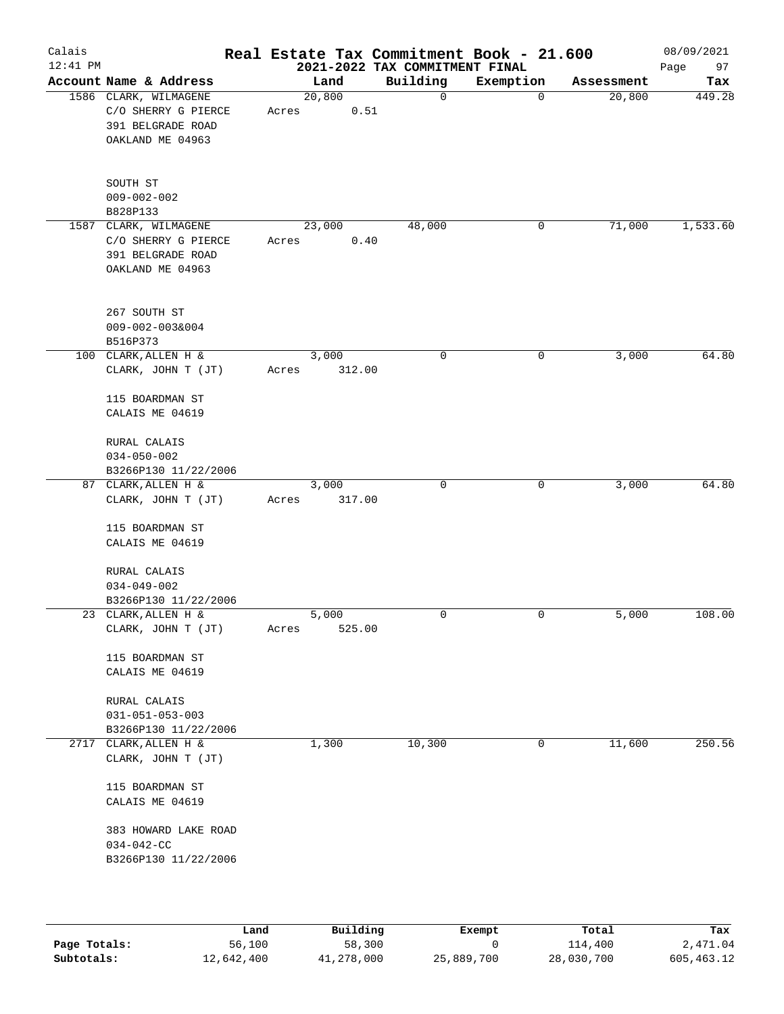| Calais<br>$12:41$ PM |                                                                                                                                                       | Real Estate Tax Commitment Book - 21.600 | 2021-2022 TAX COMMITMENT FINAL |           |            | 08/09/2021<br>97<br>Page |
|----------------------|-------------------------------------------------------------------------------------------------------------------------------------------------------|------------------------------------------|--------------------------------|-----------|------------|--------------------------|
|                      | Account Name & Address                                                                                                                                | Land                                     | Building                       | Exemption | Assessment | Tax                      |
|                      | 1586 CLARK, WILMAGENE<br>C/O SHERRY G PIERCE<br>391 BELGRADE ROAD<br>OAKLAND ME 04963                                                                 | 20,800<br>0.51<br>Acres                  | $\mathbf 0$                    | 0         | 20,800     | 449.28                   |
|                      | SOUTH ST<br>$009 - 002 - 002$<br>B828P133                                                                                                             |                                          |                                |           |            |                          |
| 1587                 | CLARK, WILMAGENE<br>C/O SHERRY G PIERCE<br>391 BELGRADE ROAD<br>OAKLAND ME 04963                                                                      | 23,000<br>0.40<br>Acres                  | 48,000                         | 0         | 71,000     | 1,533.60                 |
|                      | 267 SOUTH ST<br>$009 - 002 - 003&004$<br>B516P373                                                                                                     |                                          |                                |           |            |                          |
|                      | 100 CLARK, ALLEN H &<br>CLARK, JOHN T (JT)<br>115 BOARDMAN ST<br>CALAIS ME 04619                                                                      | 3,000<br>312.00<br>Acres                 | 0                              | 0         | 3,000      | 64.80                    |
|                      | RURAL CALAIS<br>$034 - 050 - 002$<br>B3266P130 11/22/2006                                                                                             |                                          |                                |           |            |                          |
|                      | 87 CLARK, ALLEN H &<br>CLARK, JOHN T (JT)<br>115 BOARDMAN ST<br>CALAIS ME 04619                                                                       | 3,000<br>317.00<br>Acres                 | 0                              | 0         | 3,000      | 64.80                    |
|                      | RURAL CALAIS<br>$034 - 049 - 002$<br>B3266P130 11/22/2006                                                                                             |                                          |                                |           |            |                          |
|                      | 23 CLARK, ALLEN H &<br>CLARK, JOHN T (JT)                                                                                                             | 5,000<br>525.00<br>Acres                 | 0                              | 0         | 5,000      | 108.00                   |
|                      | 115 BOARDMAN ST<br>CALAIS ME 04619<br>RURAL CALAIS<br>$031 - 051 - 053 - 003$                                                                         |                                          |                                |           |            |                          |
|                      | B3266P130 11/22/2006                                                                                                                                  |                                          |                                |           |            |                          |
|                      | 2717 CLARK, ALLEN H &<br>CLARK, JOHN T (JT)<br>115 BOARDMAN ST<br>CALAIS ME 04619<br>383 HOWARD LAKE ROAD<br>$034 - 042 - CC$<br>B3266P130 11/22/2006 | 1,300                                    | 10,300                         | 0         | 11,600     | 250.56                   |
|                      |                                                                                                                                                       |                                          |                                |           |            |                          |

|              | Land       | Building   | Exempt     | Total      | Tax        |
|--------------|------------|------------|------------|------------|------------|
| Page Totals: | 56,100     | 58,300     |            | 114,400    | 2,471.04   |
| Subtotals:   | 12,642,400 | 41,278,000 | 25,889,700 | 28,030,700 | 605,463.12 |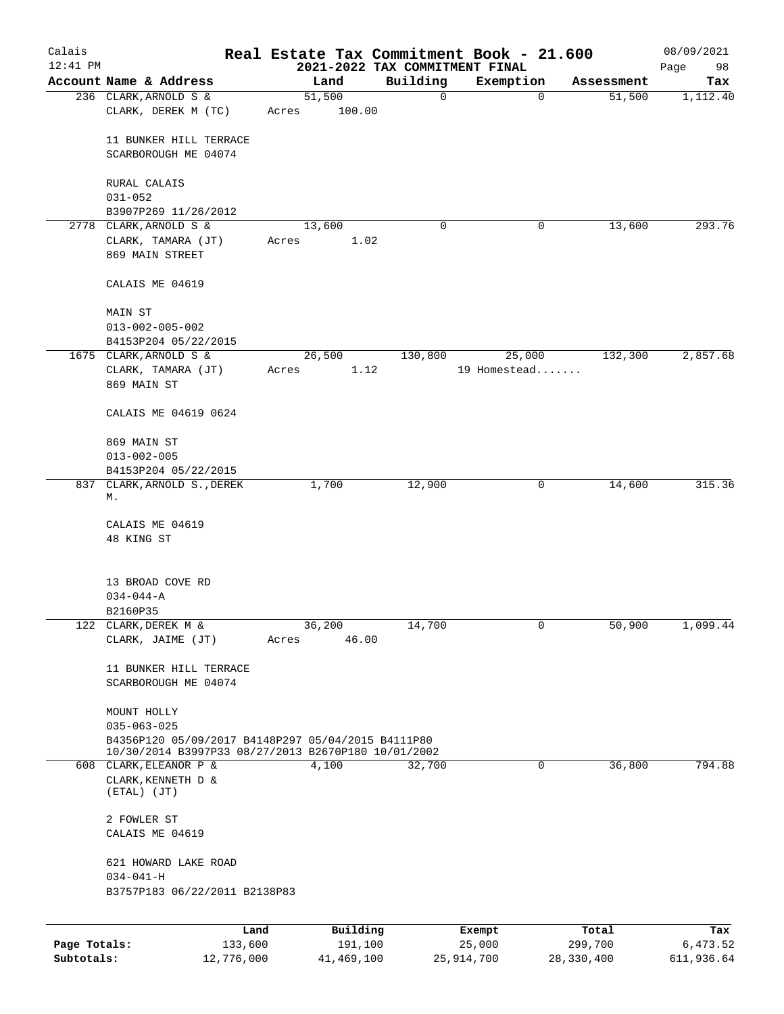| Calais       |                                                                               |                |                     |                                | Real Estate Tax Commitment Book - 21.600 |                      | 08/09/2021      |
|--------------|-------------------------------------------------------------------------------|----------------|---------------------|--------------------------------|------------------------------------------|----------------------|-----------------|
| $12:41$ PM   | Account Name & Address                                                        |                |                     | 2021-2022 TAX COMMITMENT FINAL |                                          |                      | Page<br>98      |
|              | 236 CLARK, ARNOLD S &                                                         | Land<br>51,500 |                     | Building<br>$\mathbf 0$        | Exemption<br>$\mathbf 0$                 | Assessment<br>51,500 | Tax<br>1,112.40 |
|              | CLARK, DEREK M (TC)                                                           | Acres          | 100.00              |                                |                                          |                      |                 |
|              |                                                                               |                |                     |                                |                                          |                      |                 |
|              | 11 BUNKER HILL TERRACE                                                        |                |                     |                                |                                          |                      |                 |
|              | SCARBOROUGH ME 04074                                                          |                |                     |                                |                                          |                      |                 |
|              |                                                                               |                |                     |                                |                                          |                      |                 |
|              | RURAL CALAIS<br>$031 - 052$                                                   |                |                     |                                |                                          |                      |                 |
|              | B3907P269 11/26/2012                                                          |                |                     |                                |                                          |                      |                 |
|              | 2778 CLARK, ARNOLD S &                                                        | 13,600         |                     | 0                              | 0                                        | 13,600               | 293.76          |
|              | CLARK, TAMARA (JT)                                                            | Acres          | 1.02                |                                |                                          |                      |                 |
|              | 869 MAIN STREET                                                               |                |                     |                                |                                          |                      |                 |
|              | CALAIS ME 04619                                                               |                |                     |                                |                                          |                      |                 |
|              | MAIN ST                                                                       |                |                     |                                |                                          |                      |                 |
|              | $013 - 002 - 005 - 002$                                                       |                |                     |                                |                                          |                      |                 |
|              | B4153P204 05/22/2015                                                          |                |                     |                                |                                          |                      |                 |
|              | 1675 CLARK, ARNOLD S &                                                        | 26,500         |                     | 130,800                        | 25,000                                   | 132,300              | 2,857.68        |
|              | CLARK, TAMARA (JT)                                                            | Acres          | 1.12                |                                | 19 Homestead                             |                      |                 |
|              | 869 MAIN ST                                                                   |                |                     |                                |                                          |                      |                 |
|              | CALAIS ME 04619 0624                                                          |                |                     |                                |                                          |                      |                 |
|              | 869 MAIN ST                                                                   |                |                     |                                |                                          |                      |                 |
|              | $013 - 002 - 005$                                                             |                |                     |                                |                                          |                      |                 |
|              | B4153P204 05/22/2015                                                          |                |                     |                                |                                          |                      |                 |
|              | 837 CLARK, ARNOLD S., DEREK                                                   | 1,700          |                     | 12,900                         | 0                                        | 14,600               | 315.36          |
|              | М.                                                                            |                |                     |                                |                                          |                      |                 |
|              | CALAIS ME 04619                                                               |                |                     |                                |                                          |                      |                 |
|              | 48 KING ST                                                                    |                |                     |                                |                                          |                      |                 |
|              |                                                                               |                |                     |                                |                                          |                      |                 |
|              | 13 BROAD COVE RD                                                              |                |                     |                                |                                          |                      |                 |
|              | $034 - 044 - A$                                                               |                |                     |                                |                                          |                      |                 |
|              | B2160P35                                                                      |                |                     |                                |                                          |                      |                 |
|              | 122 CLARK, DEREK M &                                                          | 36,200         |                     | 14,700                         | 0                                        | 50,900               | 1,099.44        |
|              | CLARK, JAIME (JT)                                                             | Acres          | 46.00               |                                |                                          |                      |                 |
|              |                                                                               |                |                     |                                |                                          |                      |                 |
|              | 11 BUNKER HILL TERRACE<br>SCARBOROUGH ME 04074                                |                |                     |                                |                                          |                      |                 |
|              |                                                                               |                |                     |                                |                                          |                      |                 |
|              | MOUNT HOLLY                                                                   |                |                     |                                |                                          |                      |                 |
|              | $035 - 063 - 025$                                                             |                |                     |                                |                                          |                      |                 |
|              | B4356P120 05/09/2017 B4148P297 05/04/2015 B4111P80                            |                |                     |                                |                                          |                      |                 |
|              | 10/30/2014 B3997P33 08/27/2013 B2670P180 10/01/2002<br>608 CLARK, ELEANOR P & | 4,100          |                     | 32,700                         | $\mathsf{O}$                             | 36,800               | 794.88          |
|              | CLARK, KENNETH D &                                                            |                |                     |                                |                                          |                      |                 |
|              | $(ETAL)$ $(JT)$                                                               |                |                     |                                |                                          |                      |                 |
|              | 2 FOWLER ST                                                                   |                |                     |                                |                                          |                      |                 |
|              | CALAIS ME 04619                                                               |                |                     |                                |                                          |                      |                 |
|              |                                                                               |                |                     |                                |                                          |                      |                 |
|              | 621 HOWARD LAKE ROAD                                                          |                |                     |                                |                                          |                      |                 |
|              | $034 - 041 - H$                                                               |                |                     |                                |                                          |                      |                 |
|              | B3757P183 06/22/2011 B2138P83                                                 |                |                     |                                |                                          |                      |                 |
|              |                                                                               |                |                     |                                |                                          |                      |                 |
| Page Totals: | Land<br>133,600                                                               |                | Building<br>191,100 |                                | Exempt<br>25,000                         | Total<br>299,700     | Tax<br>6,473.52 |
| Subtotals:   | 12,776,000                                                                    |                | 41,469,100          |                                | 25, 914, 700                             | 28,330,400           | 611,936.64      |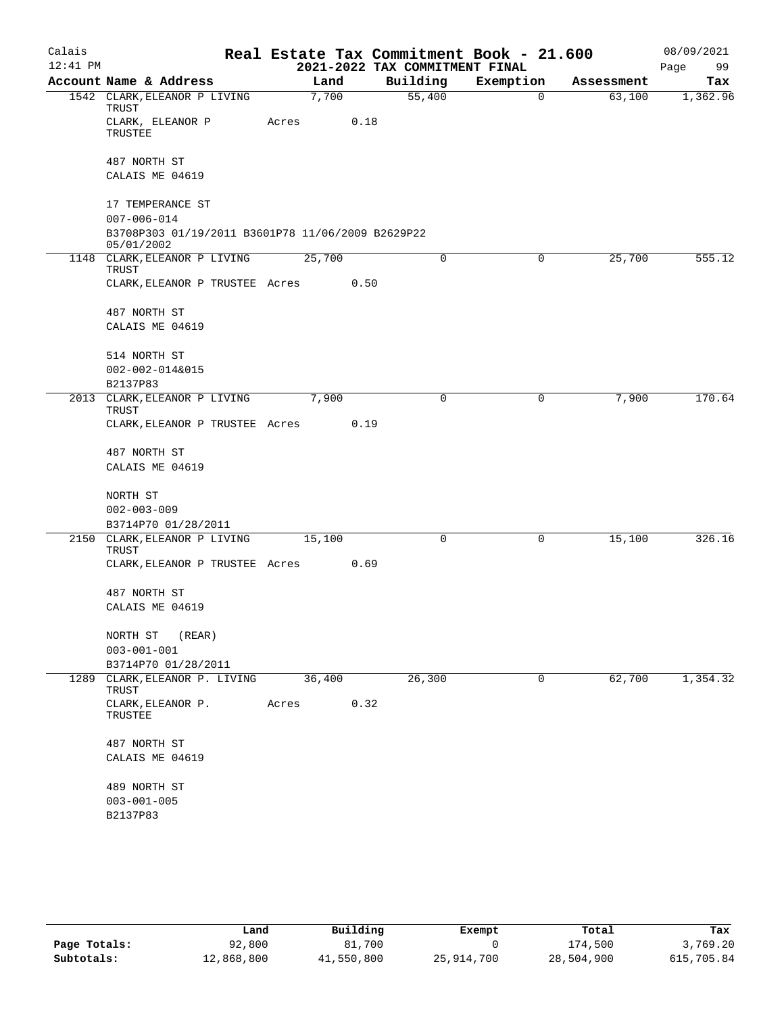| Calais     |                                                                 |        |      |                                | Real Estate Tax Commitment Book - 21.600 |            | 08/09/2021 |
|------------|-----------------------------------------------------------------|--------|------|--------------------------------|------------------------------------------|------------|------------|
| $12:41$ PM |                                                                 |        |      | 2021-2022 TAX COMMITMENT FINAL |                                          |            | Page<br>99 |
|            | Account Name & Address                                          | Land   |      | Building                       | Exemption                                | Assessment | Tax        |
|            | 1542 CLARK, ELEANOR P LIVING<br>TRUST                           | 7,700  |      | 55,400                         | 0                                        | 63,100     | 1,362.96   |
|            | CLARK, ELEANOR P<br>TRUSTEE                                     | Acres  | 0.18 |                                |                                          |            |            |
|            | 487 NORTH ST                                                    |        |      |                                |                                          |            |            |
|            | CALAIS ME 04619                                                 |        |      |                                |                                          |            |            |
|            | 17 TEMPERANCE ST                                                |        |      |                                |                                          |            |            |
|            | $007 - 006 - 014$                                               |        |      |                                |                                          |            |            |
|            | B3708P303 01/19/2011 B3601P78 11/06/2009 B2629P22<br>05/01/2002 |        |      |                                |                                          |            |            |
|            | 1148 CLARK, ELEANOR P LIVING<br>TRUST                           | 25,700 |      | 0                              | 0                                        | 25,700     | 555.12     |
|            | CLARK, ELEANOR P TRUSTEE Acres                                  |        | 0.50 |                                |                                          |            |            |
|            | 487 NORTH ST                                                    |        |      |                                |                                          |            |            |
|            | CALAIS ME 04619                                                 |        |      |                                |                                          |            |            |
|            | 514 NORTH ST                                                    |        |      |                                |                                          |            |            |
|            | $002 - 002 - 014&015$                                           |        |      |                                |                                          |            |            |
|            | B2137P83                                                        |        |      |                                |                                          |            |            |
|            | 2013 CLARK, ELEANOR P LIVING<br>TRUST                           | 7,900  |      | 0                              | 0                                        | 7,900      | 170.64     |
|            | CLARK, ELEANOR P TRUSTEE Acres                                  |        | 0.19 |                                |                                          |            |            |
|            | 487 NORTH ST                                                    |        |      |                                |                                          |            |            |
|            | CALAIS ME 04619                                                 |        |      |                                |                                          |            |            |
|            | NORTH ST                                                        |        |      |                                |                                          |            |            |
|            | $002 - 003 - 009$                                               |        |      |                                |                                          |            |            |
|            | B3714P70 01/28/2011                                             |        |      |                                |                                          |            |            |
| 2150       | CLARK, ELEANOR P LIVING                                         | 15,100 |      | 0                              | 0                                        | 15,100     | 326.16     |
|            | TRUST<br>CLARK, ELEANOR P TRUSTEE Acres                         |        | 0.69 |                                |                                          |            |            |
|            | 487 NORTH ST                                                    |        |      |                                |                                          |            |            |
|            | CALAIS ME 04619                                                 |        |      |                                |                                          |            |            |
|            |                                                                 |        |      |                                |                                          |            |            |
|            | NORTH ST<br>(REAR)                                              |        |      |                                |                                          |            |            |
|            | $003 - 001 - 001$<br>B3714P70 01/28/2011                        |        |      |                                |                                          |            |            |
| 1289       | CLARK, ELEANOR P. LIVING                                        | 36,400 |      | 26,300                         | 0                                        | 62,700     | 1,354.32   |
|            | TRUST                                                           |        |      |                                |                                          |            |            |
|            | CLARK, ELEANOR P.<br>TRUSTEE                                    | Acres  | 0.32 |                                |                                          |            |            |
|            | 487 NORTH ST                                                    |        |      |                                |                                          |            |            |
|            | CALAIS ME 04619                                                 |        |      |                                |                                          |            |            |
|            | 489 NORTH ST                                                    |        |      |                                |                                          |            |            |
|            | $003 - 001 - 005$                                               |        |      |                                |                                          |            |            |
|            | B2137P83                                                        |        |      |                                |                                          |            |            |

|              | Land       | Building   | Exempt     | Total      | Tax        |
|--------------|------------|------------|------------|------------|------------|
| Page Totals: | 92,800     | 81,700     |            | 174,500    | 3,769.20   |
| Subtotals:   | 12,868,800 | 41,550,800 | 25,914,700 | 28,504,900 | 615,705.84 |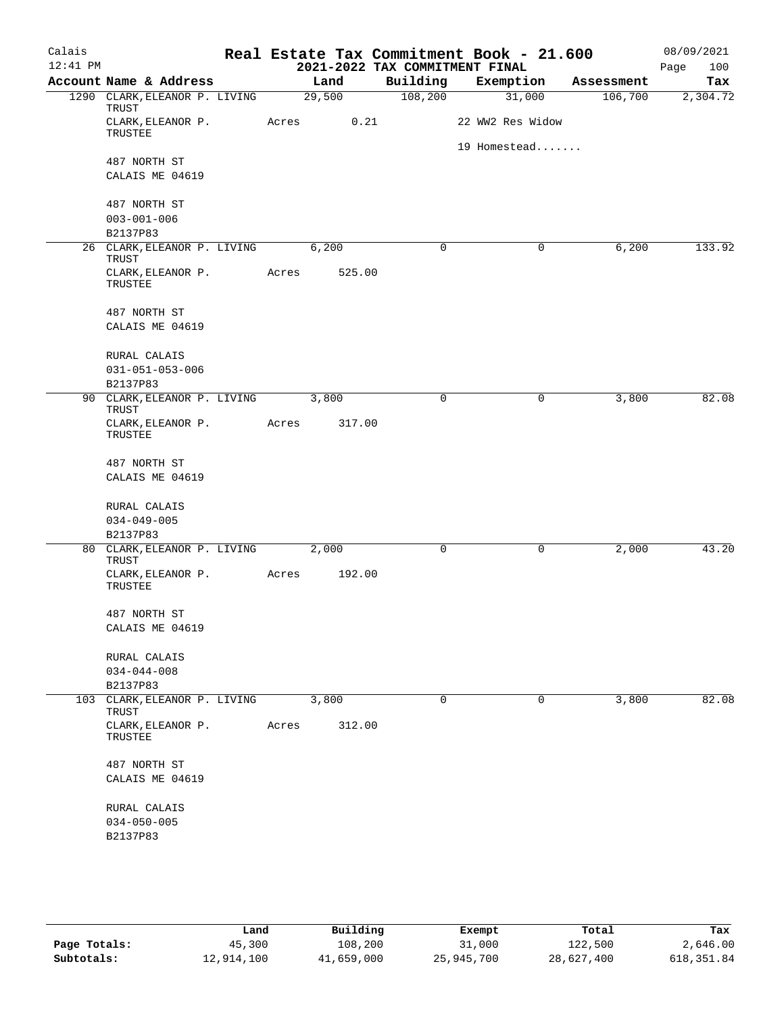| Calais     |                                        |       |        |          |              | Real Estate Tax Commitment Book - 21.600 |            | 08/09/2021  |
|------------|----------------------------------------|-------|--------|----------|--------------|------------------------------------------|------------|-------------|
| $12:41$ PM |                                        |       |        |          |              | 2021-2022 TAX COMMITMENT FINAL           |            | 100<br>Page |
|            | Account Name & Address                 |       | Land   | Building |              | Exemption                                | Assessment | Tax         |
|            | 1290 CLARK, ELEANOR P. LIVING<br>TRUST |       | 29,500 | 108,200  |              | 31,000                                   | 106,700    | 2,304.72    |
|            | CLARK, ELEANOR P.<br>TRUSTEE           | Acres | 0.21   |          |              | 22 WW2 Res Widow                         |            |             |
|            | 487 NORTH ST                           |       |        |          |              | 19 Homestead                             |            |             |
|            | CALAIS ME 04619                        |       |        |          |              |                                          |            |             |
|            | 487 NORTH ST                           |       |        |          |              |                                          |            |             |
|            | $003 - 001 - 006$                      |       |        |          |              |                                          |            |             |
|            | B2137P83                               |       |        |          | $\mathbf 0$  | 0                                        |            | 133.92      |
|            | 26 CLARK, ELEANOR P. LIVING<br>TRUST   |       | 6,200  |          |              |                                          | 6,200      |             |
|            | CLARK, ELEANOR P.<br>TRUSTEE           | Acres | 525.00 |          |              |                                          |            |             |
|            | 487 NORTH ST                           |       |        |          |              |                                          |            |             |
|            | CALAIS ME 04619                        |       |        |          |              |                                          |            |             |
|            | RURAL CALAIS                           |       |        |          |              |                                          |            |             |
|            | $031 - 051 - 053 - 006$                |       |        |          |              |                                          |            |             |
|            | B2137P83                               |       |        |          |              |                                          |            |             |
|            | 90 CLARK, ELEANOR P. LIVING<br>TRUST   |       | 3,800  |          | $\mathsf{O}$ | 0                                        | 3,800      | 82.08       |
|            | CLARK, ELEANOR P.<br>TRUSTEE           | Acres | 317.00 |          |              |                                          |            |             |
|            | 487 NORTH ST                           |       |        |          |              |                                          |            |             |
|            | CALAIS ME 04619                        |       |        |          |              |                                          |            |             |
|            | RURAL CALAIS                           |       |        |          |              |                                          |            |             |
|            | $034 - 049 - 005$                      |       |        |          |              |                                          |            |             |
| 80         | B2137P83<br>CLARK, ELEANOR P. LIVING   |       | 2,000  |          | $\mathbf 0$  | 0                                        | 2,000      | 43.20       |
|            | TRUST<br>CLARK, ELEANOR P.<br>TRUSTEE  | Acres | 192.00 |          |              |                                          |            |             |
|            |                                        |       |        |          |              |                                          |            |             |
|            | 487 NORTH ST                           |       |        |          |              |                                          |            |             |
|            | CALAIS ME 04619                        |       |        |          |              |                                          |            |             |
|            | RURAL CALAIS                           |       |        |          |              |                                          |            |             |
|            | $034 - 044 - 008$                      |       |        |          |              |                                          |            |             |
|            | B2137P83                               |       |        |          |              |                                          |            |             |
| 103        | CLARK, ELEANOR P. LIVING<br>TRUST      |       | 3,800  |          | 0            | 0                                        | 3,800      | 82.08       |
|            | CLARK, ELEANOR P.<br>TRUSTEE           | Acres | 312.00 |          |              |                                          |            |             |
|            | 487 NORTH ST                           |       |        |          |              |                                          |            |             |
|            | CALAIS ME 04619                        |       |        |          |              |                                          |            |             |
|            | RURAL CALAIS                           |       |        |          |              |                                          |            |             |
|            | $034 - 050 - 005$                      |       |        |          |              |                                          |            |             |
|            | B2137P83                               |       |        |          |              |                                          |            |             |
|            |                                        |       |        |          |              |                                          |            |             |
|            |                                        |       |        |          |              |                                          |            |             |

|              | Land       | Building   | Exempt     | Total      | Tax         |
|--------------|------------|------------|------------|------------|-------------|
| Page Totals: | 45,300     | 108,200    | 31,000     | 122,500    | 2,646.00    |
| Subtotals:   | 12,914,100 | 41,659,000 | 25,945,700 | 28,627,400 | 618, 351.84 |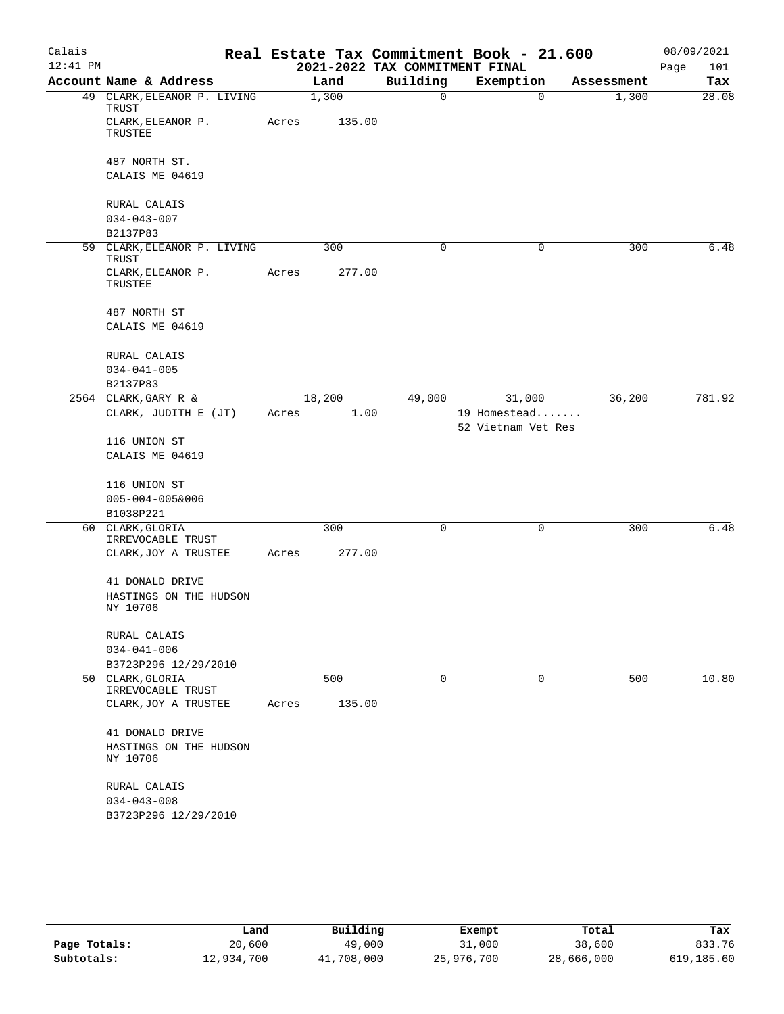| Calais     |                                              |       |                |                                | Real Estate Tax Commitment Book - 21.600     |            | 08/09/2021  |
|------------|----------------------------------------------|-------|----------------|--------------------------------|----------------------------------------------|------------|-------------|
| $12:41$ PM |                                              |       |                | 2021-2022 TAX COMMITMENT FINAL |                                              |            | Page<br>101 |
|            | Account Name & Address                       |       | Land           | Building                       | Exemption                                    | Assessment | Tax         |
|            | 49 CLARK, ELEANOR P. LIVING<br>TRUST         |       | 1,300          | $\overline{0}$                 | $\Omega$                                     | 1,300      | 28.08       |
|            | CLARK, ELEANOR P.<br>TRUSTEE                 | Acres | 135.00         |                                |                                              |            |             |
|            | 487 NORTH ST.                                |       |                |                                |                                              |            |             |
|            | CALAIS ME 04619                              |       |                |                                |                                              |            |             |
|            | RURAL CALAIS                                 |       |                |                                |                                              |            |             |
|            | $034 - 043 - 007$                            |       |                |                                |                                              |            |             |
|            | B2137P83                                     |       |                |                                |                                              |            |             |
|            | 59 CLARK, ELEANOR P. LIVING<br>TRUST         |       | 300            | 0                              | $\mathbf 0$                                  | 300        | 6.48        |
|            | CLARK, ELEANOR P.<br>TRUSTEE                 | Acres | 277.00         |                                |                                              |            |             |
|            | 487 NORTH ST                                 |       |                |                                |                                              |            |             |
|            | CALAIS ME 04619                              |       |                |                                |                                              |            |             |
|            | RURAL CALAIS                                 |       |                |                                |                                              |            |             |
|            | $034 - 041 - 005$                            |       |                |                                |                                              |            |             |
|            | B2137P83                                     |       |                |                                |                                              |            |             |
|            | 2564 CLARK, GARY R &<br>CLARK, JUDITH E (JT) | Acres | 18,200<br>1.00 | 49,000                         | 31,000<br>19 Homestead<br>52 Vietnam Vet Res | 36,200     | 781.92      |
|            | 116 UNION ST                                 |       |                |                                |                                              |            |             |
|            | CALAIS ME 04619                              |       |                |                                |                                              |            |             |
|            | 116 UNION ST                                 |       |                |                                |                                              |            |             |
|            | $005 - 004 - 005&006$                        |       |                |                                |                                              |            |             |
|            | B1038P221                                    |       |                |                                |                                              |            |             |
|            | 60 CLARK, GLORIA<br>IRREVOCABLE TRUST        |       | 300            | $\mathbf 0$                    | $\mathbf 0$                                  | 300        | 6.48        |
|            | CLARK, JOY A TRUSTEE                         | Acres | 277.00         |                                |                                              |            |             |
|            | 41 DONALD DRIVE                              |       |                |                                |                                              |            |             |
|            | HASTINGS ON THE HUDSON<br>NY 10706           |       |                |                                |                                              |            |             |
|            | RURAL CALAIS                                 |       |                |                                |                                              |            |             |
|            | $034 - 041 - 006$                            |       |                |                                |                                              |            |             |
|            | B3723P296 12/29/2010<br>50 CLARK, GLORIA     |       | 500            | 0                              | $\mathbf 0$                                  | 500        | 10.80       |
|            | IRREVOCABLE TRUST<br>CLARK, JOY A TRUSTEE    | Acres | 135.00         |                                |                                              |            |             |
|            |                                              |       |                |                                |                                              |            |             |
|            | 41 DONALD DRIVE                              |       |                |                                |                                              |            |             |
|            | HASTINGS ON THE HUDSON<br>NY 10706           |       |                |                                |                                              |            |             |
|            | RURAL CALAIS                                 |       |                |                                |                                              |            |             |
|            | $034 - 043 - 008$                            |       |                |                                |                                              |            |             |
|            | B3723P296 12/29/2010                         |       |                |                                |                                              |            |             |
|            |                                              |       |                |                                |                                              |            |             |

|              | Land       | Building   | Exempt     | Total      | Tax        |
|--------------|------------|------------|------------|------------|------------|
| Page Totals: | 20,600     | 49,000     | 31,000     | 38,600     | 833.76     |
| Subtotals:   | 12,934,700 | 41,708,000 | 25,976,700 | 28,666,000 | 619,185.60 |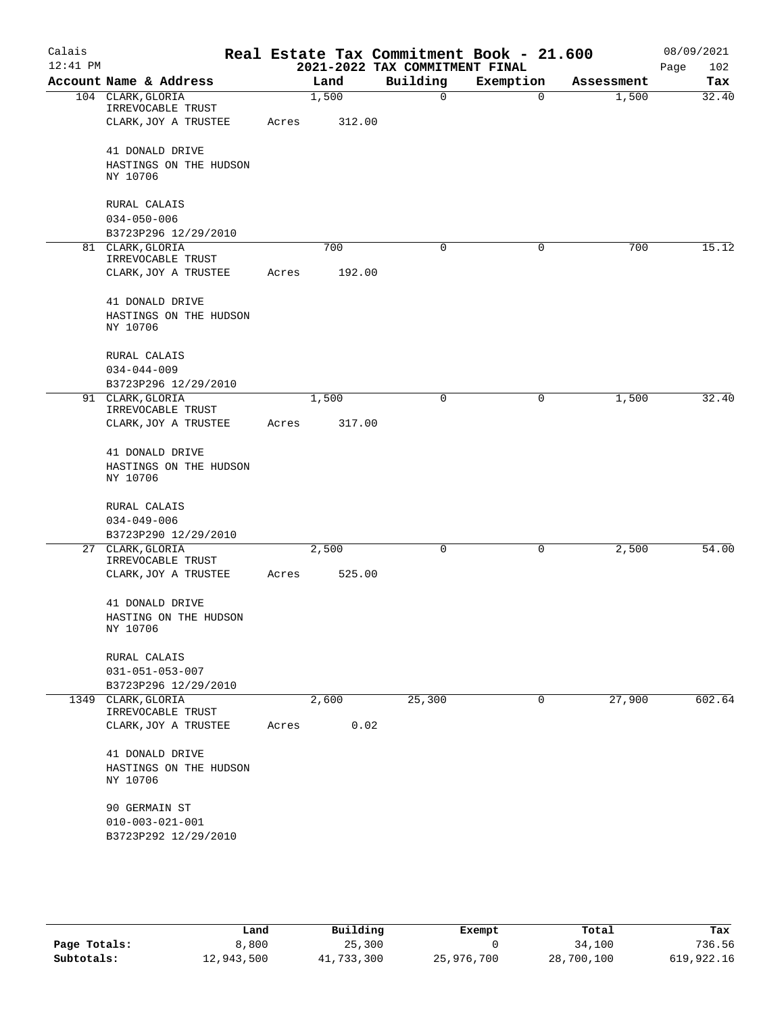| Calais<br>$12:41$ PM |                                           |       |        | 2021-2022 TAX COMMITMENT FINAL | Real Estate Tax Commitment Book - 21.600 |              |            | 08/09/2021<br>Page<br>102 |
|----------------------|-------------------------------------------|-------|--------|--------------------------------|------------------------------------------|--------------|------------|---------------------------|
|                      | Account Name & Address                    |       | Land   | Building                       | Exemption                                |              | Assessment | Tax                       |
|                      | 104 CLARK, GLORIA<br>IRREVOCABLE TRUST    |       | 1,500  | 0                              |                                          | $\mathbf 0$  | 1,500      | 32.40                     |
|                      | CLARK, JOY A TRUSTEE                      | Acres | 312.00 |                                |                                          |              |            |                           |
|                      | 41 DONALD DRIVE                           |       |        |                                |                                          |              |            |                           |
|                      | HASTINGS ON THE HUDSON<br>NY 10706        |       |        |                                |                                          |              |            |                           |
|                      | RURAL CALAIS                              |       |        |                                |                                          |              |            |                           |
|                      | $034 - 050 - 006$                         |       |        |                                |                                          |              |            |                           |
|                      | B3723P296 12/29/2010                      |       |        |                                |                                          |              |            |                           |
|                      | 81 CLARK, GLORIA<br>IRREVOCABLE TRUST     |       | 700    | 0                              |                                          | 0            | 700        | 15.12                     |
|                      | CLARK, JOY A TRUSTEE                      | Acres | 192.00 |                                |                                          |              |            |                           |
|                      | 41 DONALD DRIVE                           |       |        |                                |                                          |              |            |                           |
|                      | HASTINGS ON THE HUDSON<br>NY 10706        |       |        |                                |                                          |              |            |                           |
|                      | RURAL CALAIS                              |       |        |                                |                                          |              |            |                           |
|                      | $034 - 044 - 009$                         |       |        |                                |                                          |              |            |                           |
|                      | B3723P296 12/29/2010                      |       |        |                                |                                          |              |            |                           |
|                      | 91 CLARK, GLORIA<br>IRREVOCABLE TRUST     |       | 1,500  | 0                              |                                          | 0            | 1,500      | 32.40                     |
|                      | CLARK, JOY A TRUSTEE                      | Acres | 317.00 |                                |                                          |              |            |                           |
|                      | 41 DONALD DRIVE                           |       |        |                                |                                          |              |            |                           |
|                      | HASTINGS ON THE HUDSON<br>NY 10706        |       |        |                                |                                          |              |            |                           |
|                      | RURAL CALAIS                              |       |        |                                |                                          |              |            |                           |
|                      | $034 - 049 - 006$                         |       |        |                                |                                          |              |            |                           |
|                      | B3723P290 12/29/2010                      |       |        |                                |                                          |              |            |                           |
|                      | 27 CLARK, GLORIA                          |       | 2,500  | 0                              |                                          | $\mathsf{O}$ | 2,500      | 54.00                     |
|                      | IRREVOCABLE TRUST<br>CLARK, JOY A TRUSTEE | Acres | 525.00 |                                |                                          |              |            |                           |
|                      |                                           |       |        |                                |                                          |              |            |                           |
|                      | 41 DONALD DRIVE                           |       |        |                                |                                          |              |            |                           |
|                      | HASTING ON THE HUDSON<br>NY 10706         |       |        |                                |                                          |              |            |                           |
|                      | RURAL CALAIS                              |       |        |                                |                                          |              |            |                           |
|                      | $031 - 051 - 053 - 007$                   |       |        |                                |                                          |              |            |                           |
|                      | B3723P296 12/29/2010                      |       |        |                                |                                          |              |            |                           |
|                      | 1349 CLARK, GLORIA<br>IRREVOCABLE TRUST   |       | 2,600  | 25,300                         |                                          | 0            | 27,900     | 602.64                    |
|                      | CLARK, JOY A TRUSTEE                      | Acres | 0.02   |                                |                                          |              |            |                           |
|                      | 41 DONALD DRIVE                           |       |        |                                |                                          |              |            |                           |
|                      | HASTINGS ON THE HUDSON<br>NY 10706        |       |        |                                |                                          |              |            |                           |
|                      | 90 GERMAIN ST                             |       |        |                                |                                          |              |            |                           |
|                      | $010 - 003 - 021 - 001$                   |       |        |                                |                                          |              |            |                           |
|                      | B3723P292 12/29/2010                      |       |        |                                |                                          |              |            |                           |
|                      |                                           |       |        |                                |                                          |              |            |                           |

|              | Land       | Building   | Exempt     | Total      | Tax        |
|--------------|------------|------------|------------|------------|------------|
| Page Totals: | 8,800      | 25,300     |            | 34,100     | 736.56     |
| Subtotals:   | 12,943,500 | 41,733,300 | 25,976,700 | 28,700,100 | 619,922.16 |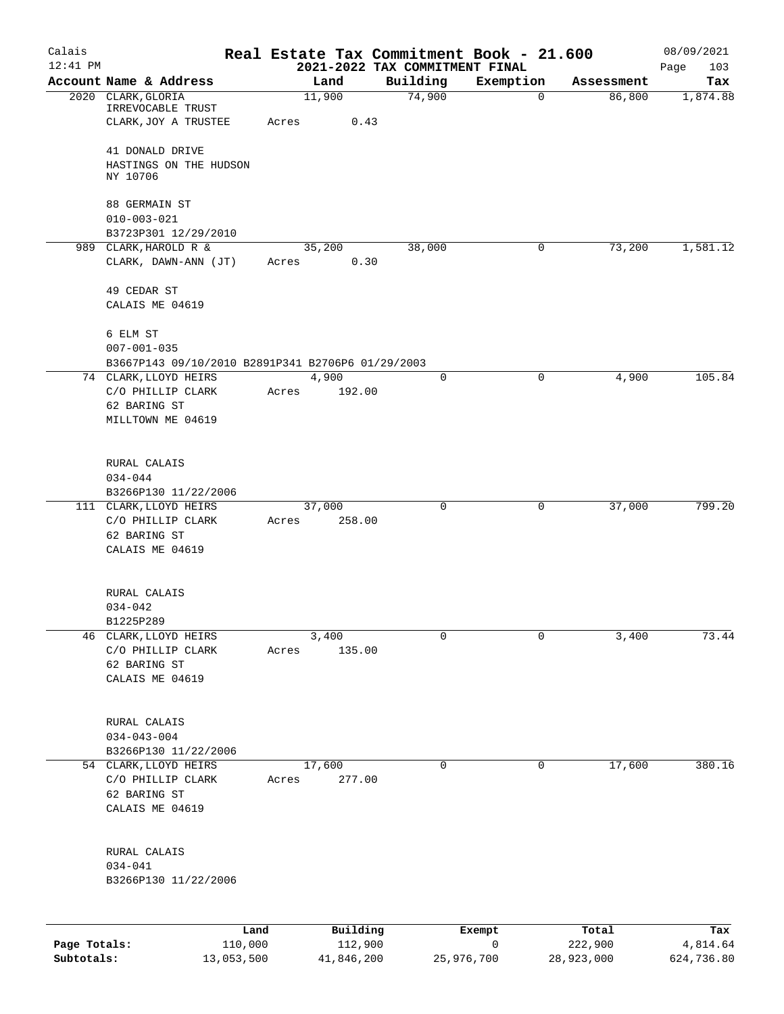| Calais       |                                                       |       |                  | Real Estate Tax Commitment Book - 21.600   |             |            | 08/09/2021         |
|--------------|-------------------------------------------------------|-------|------------------|--------------------------------------------|-------------|------------|--------------------|
| $12:41$ PM   | Account Name & Address                                |       | Land             | 2021-2022 TAX COMMITMENT FINAL<br>Building | Exemption   | Assessment | 103<br>Page<br>Tax |
|              | 2020 CLARK, GLORIA                                    |       | 11,900           | 74,900                                     | $\mathbf 0$ | 86,800     | 1,874.88           |
|              | IRREVOCABLE TRUST<br>CLARK, JOY A TRUSTEE             | Acres | 0.43             |                                            |             |            |                    |
|              | 41 DONALD DRIVE<br>HASTINGS ON THE HUDSON<br>NY 10706 |       |                  |                                            |             |            |                    |
|              | 88 GERMAIN ST<br>$010 - 003 - 021$                    |       |                  |                                            |             |            |                    |
|              | B3723P301 12/29/2010                                  |       |                  |                                            |             |            |                    |
|              | 989 CLARK, HAROLD R &                                 |       | 35,200           | 38,000                                     | 0           | 73,200     | 1,581.12           |
|              | CLARK, DAWN-ANN (JT)                                  | Acres | 0.30             |                                            |             |            |                    |
|              | 49 CEDAR ST                                           |       |                  |                                            |             |            |                    |
|              | CALAIS ME 04619                                       |       |                  |                                            |             |            |                    |
|              | 6 ELM ST                                              |       |                  |                                            |             |            |                    |
|              | $007 - 001 - 035$                                     |       |                  |                                            |             |            |                    |
|              | B3667P143 09/10/2010 B2891P341 B2706P6 01/29/2003     |       |                  |                                            |             |            |                    |
|              | 74 CLARK, LLOYD HEIRS                                 |       | 4,900            | 0                                          | 0           | 4,900      | 105.84             |
|              | C/O PHILLIP CLARK                                     | Acres | 192.00           |                                            |             |            |                    |
|              | 62 BARING ST<br>MILLTOWN ME 04619                     |       |                  |                                            |             |            |                    |
|              | RURAL CALAIS                                          |       |                  |                                            |             |            |                    |
|              | $034 - 044$                                           |       |                  |                                            |             |            |                    |
|              | B3266P130 11/22/2006                                  |       |                  |                                            |             |            |                    |
|              | 111 CLARK, LLOYD HEIRS<br>C/O PHILLIP CLARK           | Acres | 37,000<br>258.00 | 0                                          | 0           | 37,000     | 799.20             |
|              | 62 BARING ST<br>CALAIS ME 04619                       |       |                  |                                            |             |            |                    |
|              | RURAL CALAIS                                          |       |                  |                                            |             |            |                    |
|              | $034 - 042$                                           |       |                  |                                            |             |            |                    |
|              | B1225P289                                             |       |                  |                                            |             |            |                    |
| 46           | CLARK, LLOYD HEIRS                                    |       | 3,400            | 0                                          | 0           | 3,400      | 73.44              |
|              | C/O PHILLIP CLARK<br>62 BARING ST                     | Acres | 135.00           |                                            |             |            |                    |
|              | CALAIS ME 04619                                       |       |                  |                                            |             |            |                    |
|              |                                                       |       |                  |                                            |             |            |                    |
|              | RURAL CALAIS<br>$034 - 043 - 004$                     |       |                  |                                            |             |            |                    |
|              | B3266P130 11/22/2006                                  |       |                  |                                            |             |            |                    |
|              | 54 CLARK, LLOYD HEIRS                                 |       | 17,600           | 0                                          | 0           | 17,600     | 380.16             |
|              | C/O PHILLIP CLARK                                     | Acres | 277.00           |                                            |             |            |                    |
|              | 62 BARING ST                                          |       |                  |                                            |             |            |                    |
|              | CALAIS ME 04619                                       |       |                  |                                            |             |            |                    |
|              | RURAL CALAIS                                          |       |                  |                                            |             |            |                    |
|              | $034 - 041$                                           |       |                  |                                            |             |            |                    |
|              | B3266P130 11/22/2006                                  |       |                  |                                            |             |            |                    |
|              |                                                       |       |                  |                                            |             |            |                    |
|              | Land                                                  |       | Building         |                                            | Exempt      | Total      | Tax                |
| Page Totals: | 110,000                                               |       | 112,900          |                                            | 0           | 222,900    | 4,814.64           |

**Subtotals:** 13,053,500 41,846,200 25,976,700 28,923,000 624,736.80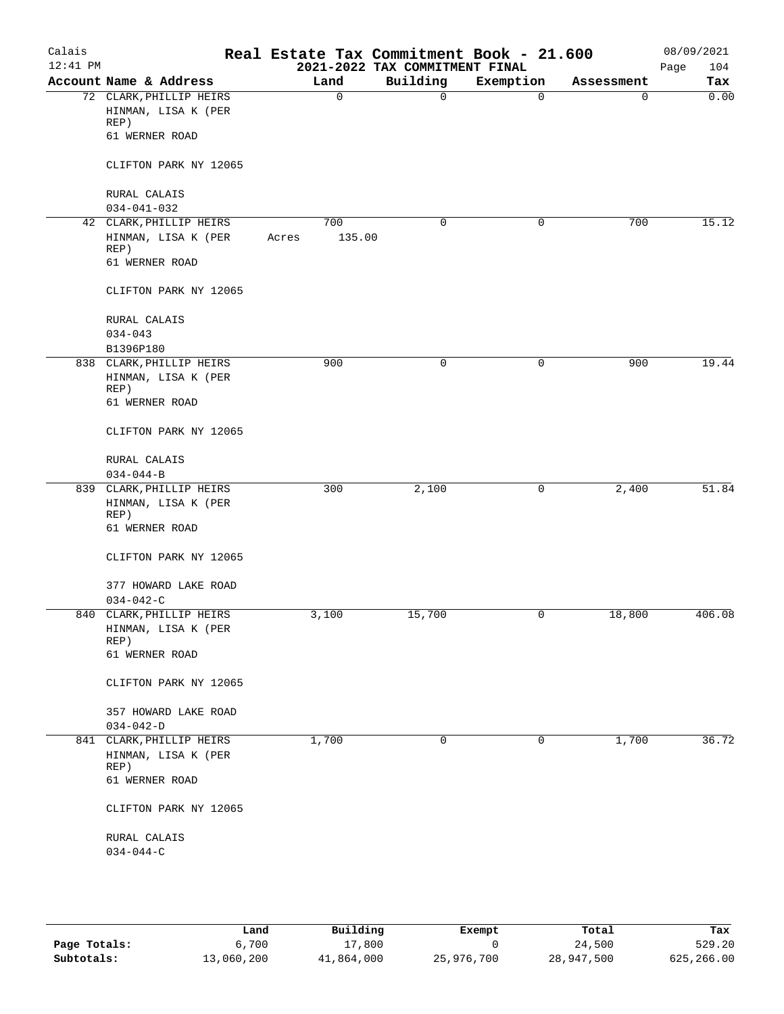| Calais<br>$12:41$ PM |                             |       |              | Real Estate Tax Commitment Book - 21.600<br>2021-2022 TAX COMMITMENT FINAL |             |            | 08/09/2021<br>104<br>Page |
|----------------------|-----------------------------|-------|--------------|----------------------------------------------------------------------------|-------------|------------|---------------------------|
|                      | Account Name & Address      |       | Land         | Building                                                                   | Exemption   | Assessment | Tax                       |
|                      | 72 CLARK, PHILLIP HEIRS     |       | $\mathsf{O}$ | 0                                                                          | $\mathbf 0$ | 0          | 0.00                      |
|                      | HINMAN, LISA K (PER         |       |              |                                                                            |             |            |                           |
|                      | REP)                        |       |              |                                                                            |             |            |                           |
|                      | 61 WERNER ROAD              |       |              |                                                                            |             |            |                           |
|                      | CLIFTON PARK NY 12065       |       |              |                                                                            |             |            |                           |
|                      | RURAL CALAIS                |       |              |                                                                            |             |            |                           |
|                      | $034 - 041 - 032$           |       |              |                                                                            |             |            |                           |
|                      | 42 CLARK, PHILLIP HEIRS     |       | 700          | $\mathbf 0$                                                                | 0           | 700        | 15.12                     |
|                      | HINMAN, LISA K (PER<br>REP) | Acres | 135.00       |                                                                            |             |            |                           |
|                      | 61 WERNER ROAD              |       |              |                                                                            |             |            |                           |
|                      | CLIFTON PARK NY 12065       |       |              |                                                                            |             |            |                           |
|                      | RURAL CALAIS                |       |              |                                                                            |             |            |                           |
|                      | $034 - 043$                 |       |              |                                                                            |             |            |                           |
|                      | B1396P180                   |       |              |                                                                            |             |            |                           |
|                      | 838 CLARK, PHILLIP HEIRS    |       | 900          | 0                                                                          | 0           | 900        | 19.44                     |
|                      | HINMAN, LISA K (PER<br>REP) |       |              |                                                                            |             |            |                           |
|                      | 61 WERNER ROAD              |       |              |                                                                            |             |            |                           |
|                      | CLIFTON PARK NY 12065       |       |              |                                                                            |             |            |                           |
|                      | RURAL CALAIS                |       |              |                                                                            |             |            |                           |
|                      | $034 - 044 - B$             |       |              |                                                                            |             |            |                           |
|                      | 839 CLARK, PHILLIP HEIRS    |       | 300          | 2,100                                                                      | 0           | 2,400      | 51.84                     |
|                      | HINMAN, LISA K (PER<br>REP) |       |              |                                                                            |             |            |                           |
|                      | 61 WERNER ROAD              |       |              |                                                                            |             |            |                           |
|                      | CLIFTON PARK NY 12065       |       |              |                                                                            |             |            |                           |
|                      | 377 HOWARD LAKE ROAD        |       |              |                                                                            |             |            |                           |
|                      | $034 - 042 - C$             |       |              |                                                                            |             |            |                           |
|                      | 840 CLARK, PHILLIP HEIRS    |       | 3,100        | 15,700                                                                     | 0           | 18,800     | 406.08                    |
|                      | HINMAN, LISA K (PER         |       |              |                                                                            |             |            |                           |
|                      | REP)                        |       |              |                                                                            |             |            |                           |
|                      | 61 WERNER ROAD              |       |              |                                                                            |             |            |                           |
|                      | CLIFTON PARK NY 12065       |       |              |                                                                            |             |            |                           |
|                      | 357 HOWARD LAKE ROAD        |       |              |                                                                            |             |            |                           |
|                      | $034 - 042 - D$             |       |              |                                                                            |             |            |                           |
|                      | 841 CLARK, PHILLIP HEIRS    |       | 1,700        | 0                                                                          | 0           | 1,700      | 36.72                     |
|                      | HINMAN, LISA K (PER         |       |              |                                                                            |             |            |                           |
|                      | REP)                        |       |              |                                                                            |             |            |                           |
|                      | 61 WERNER ROAD              |       |              |                                                                            |             |            |                           |
|                      | CLIFTON PARK NY 12065       |       |              |                                                                            |             |            |                           |
|                      | RURAL CALAIS                |       |              |                                                                            |             |            |                           |
|                      | $034 - 044 - C$             |       |              |                                                                            |             |            |                           |
|                      |                             |       |              |                                                                            |             |            |                           |

|              | Land       | Building   | Exempt     | Total      | Tax        |
|--------------|------------|------------|------------|------------|------------|
| Page Totals: | 6,700      | 17,800     |            | 24,500     | 529.20     |
| Subtotals:   | 13,060,200 | 41,864,000 | 25,976,700 | 28,947,500 | 625,266.00 |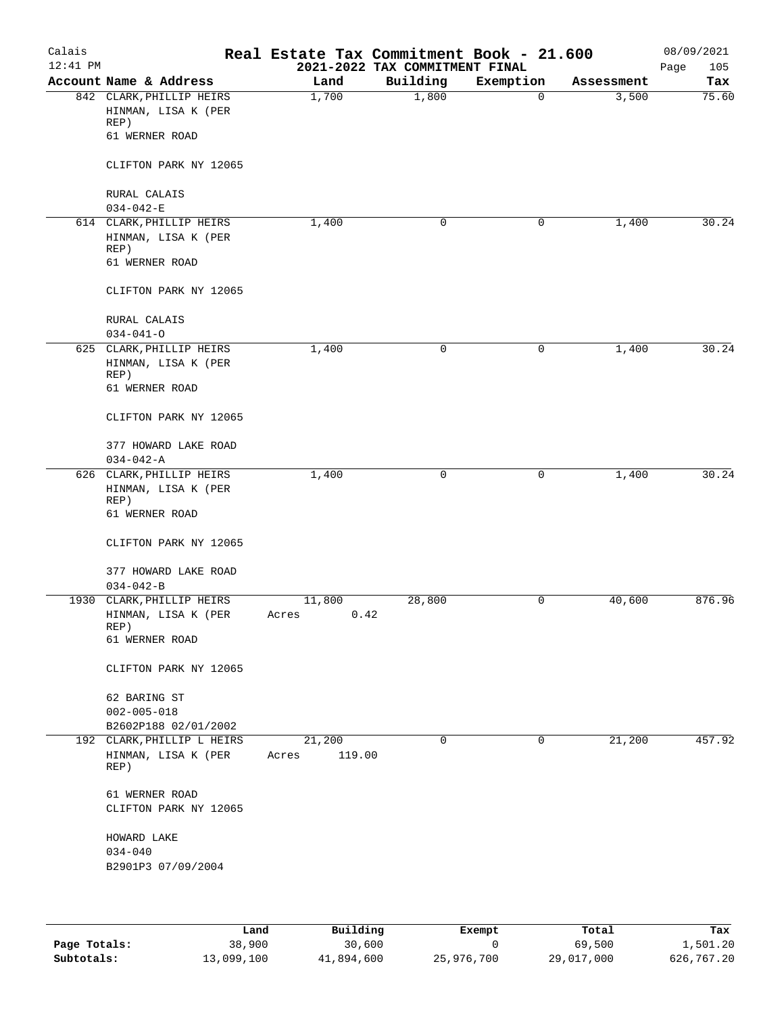| Calais     |                                                    | Real Estate Tax Commitment Book - 21.600 |                                |                |                     | 08/09/2021   |
|------------|----------------------------------------------------|------------------------------------------|--------------------------------|----------------|---------------------|--------------|
| $12:41$ PM |                                                    |                                          | 2021-2022 TAX COMMITMENT FINAL |                |                     | Page<br>105  |
|            | Account Name & Address<br>842 CLARK, PHILLIP HEIRS | Land<br>1,700                            | Building<br>1,800              | Exemption<br>0 | Assessment<br>3,500 | Tax<br>75.60 |
|            | HINMAN, LISA K (PER<br>REP)                        |                                          |                                |                |                     |              |
|            | 61 WERNER ROAD                                     |                                          |                                |                |                     |              |
|            | CLIFTON PARK NY 12065                              |                                          |                                |                |                     |              |
|            | RURAL CALAIS<br>$034 - 042 - E$                    |                                          |                                |                |                     |              |
|            | 614 CLARK, PHILLIP HEIRS                           | 1,400                                    | 0                              | 0              | 1,400               | 30.24        |
|            | HINMAN, LISA K (PER<br>REP)                        |                                          |                                |                |                     |              |
|            | 61 WERNER ROAD                                     |                                          |                                |                |                     |              |
|            | CLIFTON PARK NY 12065                              |                                          |                                |                |                     |              |
|            | RURAL CALAIS<br>$034 - 041 - 0$                    |                                          |                                |                |                     |              |
|            | 625 CLARK, PHILLIP HEIRS                           | 1,400                                    | $\mathsf{O}$                   | 0              | 1,400               | 30.24        |
|            | HINMAN, LISA K (PER<br>REP)                        |                                          |                                |                |                     |              |
|            | 61 WERNER ROAD                                     |                                          |                                |                |                     |              |
|            | CLIFTON PARK NY 12065                              |                                          |                                |                |                     |              |
|            | 377 HOWARD LAKE ROAD<br>$034 - 042 - A$            |                                          |                                |                |                     |              |
|            | 626 CLARK, PHILLIP HEIRS                           | 1,400                                    | $\mathsf{O}$                   | 0              | 1,400               | 30.24        |
|            | HINMAN, LISA K (PER<br>REP)                        |                                          |                                |                |                     |              |
|            | 61 WERNER ROAD                                     |                                          |                                |                |                     |              |
|            | CLIFTON PARK NY 12065                              |                                          |                                |                |                     |              |
|            | 377 HOWARD LAKE ROAD<br>$034 - 042 - B$            |                                          |                                |                |                     |              |
|            | 1930 CLARK, PHILLIP HEIRS                          | 11,800                                   | 28,800                         | 0              | 40,600              | 876.96       |
|            | HINMAN, LISA K (PER<br>REP)                        | 0.42<br>Acres                            |                                |                |                     |              |
|            | 61 WERNER ROAD                                     |                                          |                                |                |                     |              |
|            | CLIFTON PARK NY 12065                              |                                          |                                |                |                     |              |
|            | 62 BARING ST                                       |                                          |                                |                |                     |              |
|            | $002 - 005 - 018$                                  |                                          |                                |                |                     |              |
|            | B2602P188 02/01/2002                               |                                          |                                |                |                     |              |
|            | 192 CLARK, PHILLIP L HEIRS                         | 21,200                                   | 0                              | 0              | 21,200              | 457.92       |
|            | HINMAN, LISA K (PER<br>REP)                        | 119.00<br>Acres                          |                                |                |                     |              |
|            | 61 WERNER ROAD                                     |                                          |                                |                |                     |              |
|            | CLIFTON PARK NY 12065                              |                                          |                                |                |                     |              |
|            | HOWARD LAKE                                        |                                          |                                |                |                     |              |
|            | $034 - 040$<br>B2901P3 07/09/2004                  |                                          |                                |                |                     |              |
|            |                                                    |                                          |                                |                |                     |              |
|            |                                                    |                                          |                                |                |                     |              |

|              | Land       | Building   | Exempt     | Total      | Tax        |
|--------------|------------|------------|------------|------------|------------|
| Page Totals: | 38,900     | 30,600     |            | 69,500     | 1,501.20   |
| Subtotals:   | 13,099,100 | 41,894,600 | 25,976,700 | 29,017,000 | 626,767.20 |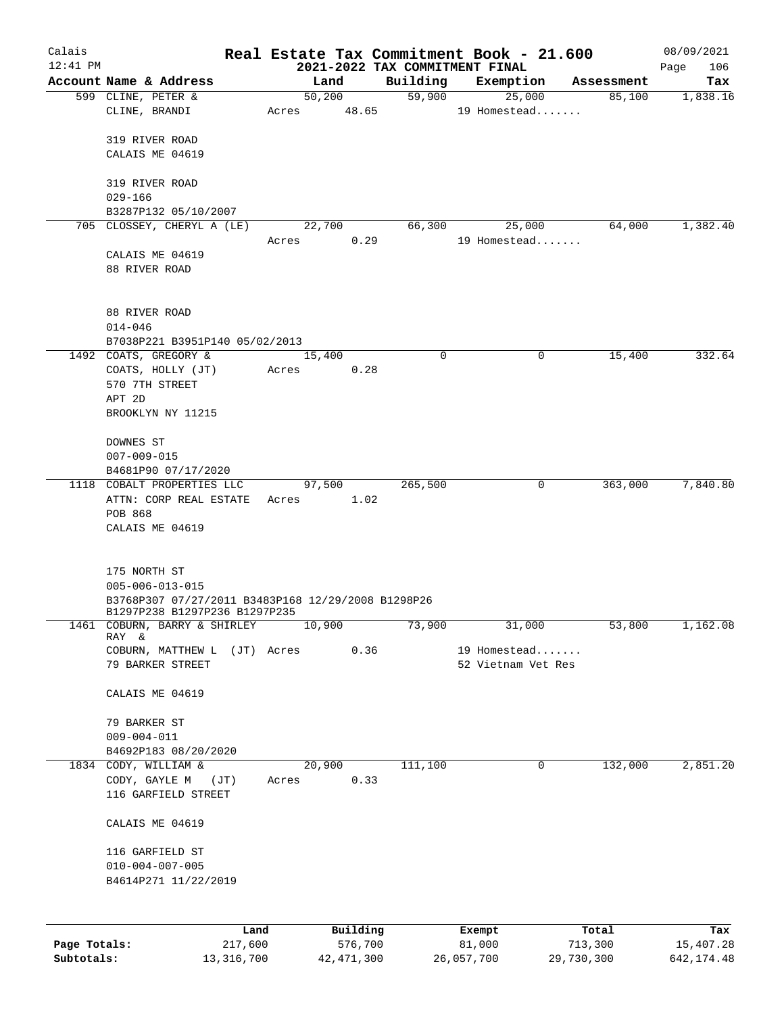| Calais       |                                                                                     |              |       |        |                 | Real Estate Tax Commitment Book - 21.600 |            |                        |            |            | 08/09/2021  |
|--------------|-------------------------------------------------------------------------------------|--------------|-------|--------|-----------------|------------------------------------------|------------|------------------------|------------|------------|-------------|
| $12:41$ PM   |                                                                                     |              |       |        |                 | 2021-2022 TAX COMMITMENT FINAL           |            |                        |            |            | 106<br>Page |
|              | Account Name & Address                                                              |              |       |        | Land            | Building                                 |            | Exemption              |            | Assessment | Tax         |
|              | 599 CLINE, PETER &<br>CLINE, BRANDI                                                 |              | Acres |        | 50,200<br>48.65 | 59,900                                   |            | 25,000<br>19 Homestead |            | 85,100     | 1,838.16    |
|              |                                                                                     |              |       |        |                 |                                          |            |                        |            |            |             |
|              | 319 RIVER ROAD                                                                      |              |       |        |                 |                                          |            |                        |            |            |             |
|              | CALAIS ME 04619                                                                     |              |       |        |                 |                                          |            |                        |            |            |             |
|              |                                                                                     |              |       |        |                 |                                          |            |                        |            |            |             |
|              | 319 RIVER ROAD                                                                      |              |       |        |                 |                                          |            |                        |            |            |             |
|              | $029 - 166$                                                                         |              |       |        |                 |                                          |            |                        |            |            |             |
|              | B3287P132 05/10/2007                                                                |              |       |        |                 |                                          |            |                        |            |            |             |
|              | 705 CLOSSEY, CHERYL A (LE)                                                          |              |       | 22,700 |                 | 66,300                                   |            | 25,000                 |            | 64,000     | 1,382.40    |
|              |                                                                                     |              | Acres |        | 0.29            |                                          |            | 19 Homestead           |            |            |             |
|              | CALAIS ME 04619                                                                     |              |       |        |                 |                                          |            |                        |            |            |             |
|              | 88 RIVER ROAD                                                                       |              |       |        |                 |                                          |            |                        |            |            |             |
|              |                                                                                     |              |       |        |                 |                                          |            |                        |            |            |             |
|              |                                                                                     |              |       |        |                 |                                          |            |                        |            |            |             |
|              | 88 RIVER ROAD                                                                       |              |       |        |                 |                                          |            |                        |            |            |             |
|              | $014 - 046$                                                                         |              |       |        |                 |                                          |            |                        |            |            |             |
|              | B7038P221 B3951P140 05/02/2013<br>1492 COATS, GREGORY &                             |              |       | 15,400 |                 | 0                                        |            | 0                      |            | 15,400     | 332.64      |
|              | COATS, HOLLY (JT)                                                                   |              | Acres |        | 0.28            |                                          |            |                        |            |            |             |
|              | 570 7TH STREET                                                                      |              |       |        |                 |                                          |            |                        |            |            |             |
|              | APT 2D                                                                              |              |       |        |                 |                                          |            |                        |            |            |             |
|              | BROOKLYN NY 11215                                                                   |              |       |        |                 |                                          |            |                        |            |            |             |
|              |                                                                                     |              |       |        |                 |                                          |            |                        |            |            |             |
|              | DOWNES ST                                                                           |              |       |        |                 |                                          |            |                        |            |            |             |
|              | $007 - 009 - 015$                                                                   |              |       |        |                 |                                          |            |                        |            |            |             |
|              | B4681P90 07/17/2020                                                                 |              |       |        |                 |                                          |            |                        |            |            |             |
|              | 1118 COBALT PROPERTIES LLC                                                          |              |       | 97,500 |                 | 265,500                                  |            | 0                      |            | 363,000    | 7,840.80    |
|              | ATTN: CORP REAL ESTATE                                                              |              | Acres |        | 1.02            |                                          |            |                        |            |            |             |
|              | POB 868                                                                             |              |       |        |                 |                                          |            |                        |            |            |             |
|              | CALAIS ME 04619                                                                     |              |       |        |                 |                                          |            |                        |            |            |             |
|              |                                                                                     |              |       |        |                 |                                          |            |                        |            |            |             |
|              |                                                                                     |              |       |        |                 |                                          |            |                        |            |            |             |
|              | 175 NORTH ST                                                                        |              |       |        |                 |                                          |            |                        |            |            |             |
|              | $005 - 006 - 013 - 015$                                                             |              |       |        |                 |                                          |            |                        |            |            |             |
|              | B3768P307 07/27/2011 B3483P168 12/29/2008 B1298P26<br>B1297P238 B1297P236 B1297P235 |              |       |        |                 |                                          |            |                        |            |            |             |
| 1461         | COBURN, BARRY & SHIRLEY                                                             |              |       | 10,900 |                 | 73,900                                   |            | 31,000                 |            | 53,800     | 1,162.08    |
|              | RAY &                                                                               |              |       |        |                 |                                          |            |                        |            |            |             |
|              | COBURN, MATTHEW L (JT) Acres                                                        |              |       |        | 0.36            |                                          |            | 19 Homestead           |            |            |             |
|              | 79 BARKER STREET                                                                    |              |       |        |                 |                                          |            | 52 Vietnam Vet Res     |            |            |             |
|              |                                                                                     |              |       |        |                 |                                          |            |                        |            |            |             |
|              | CALAIS ME 04619                                                                     |              |       |        |                 |                                          |            |                        |            |            |             |
|              | 79 BARKER ST                                                                        |              |       |        |                 |                                          |            |                        |            |            |             |
|              | $009 - 004 - 011$                                                                   |              |       |        |                 |                                          |            |                        |            |            |             |
|              | B4692P183 08/20/2020                                                                |              |       |        |                 |                                          |            |                        |            |            |             |
|              | 1834 CODY, WILLIAM &                                                                |              |       | 20,900 |                 | 111,100                                  |            | 0                      |            | 132,000    | 2,851.20    |
|              | CODY, GAYLE M                                                                       | (JT)         | Acres |        | 0.33            |                                          |            |                        |            |            |             |
|              | 116 GARFIELD STREET                                                                 |              |       |        |                 |                                          |            |                        |            |            |             |
|              |                                                                                     |              |       |        |                 |                                          |            |                        |            |            |             |
|              | CALAIS ME 04619                                                                     |              |       |        |                 |                                          |            |                        |            |            |             |
|              |                                                                                     |              |       |        |                 |                                          |            |                        |            |            |             |
|              | 116 GARFIELD ST                                                                     |              |       |        |                 |                                          |            |                        |            |            |             |
|              | $010 - 004 - 007 - 005$                                                             |              |       |        |                 |                                          |            |                        |            |            |             |
|              | B4614P271 11/22/2019                                                                |              |       |        |                 |                                          |            |                        |            |            |             |
|              |                                                                                     |              |       |        |                 |                                          |            |                        |            |            |             |
|              |                                                                                     |              |       |        |                 |                                          |            |                        |            |            |             |
|              |                                                                                     | Land         |       |        | Building        |                                          | Exempt     |                        |            | Total      | Tax         |
| Page Totals: |                                                                                     | 217,600      |       |        | 576,700         |                                          | 81,000     |                        | 713,300    |            | 15,407.28   |
| Subtotals:   |                                                                                     | 13, 316, 700 |       |        | 42, 471, 300    |                                          | 26,057,700 |                        | 29,730,300 |            | 642, 174.48 |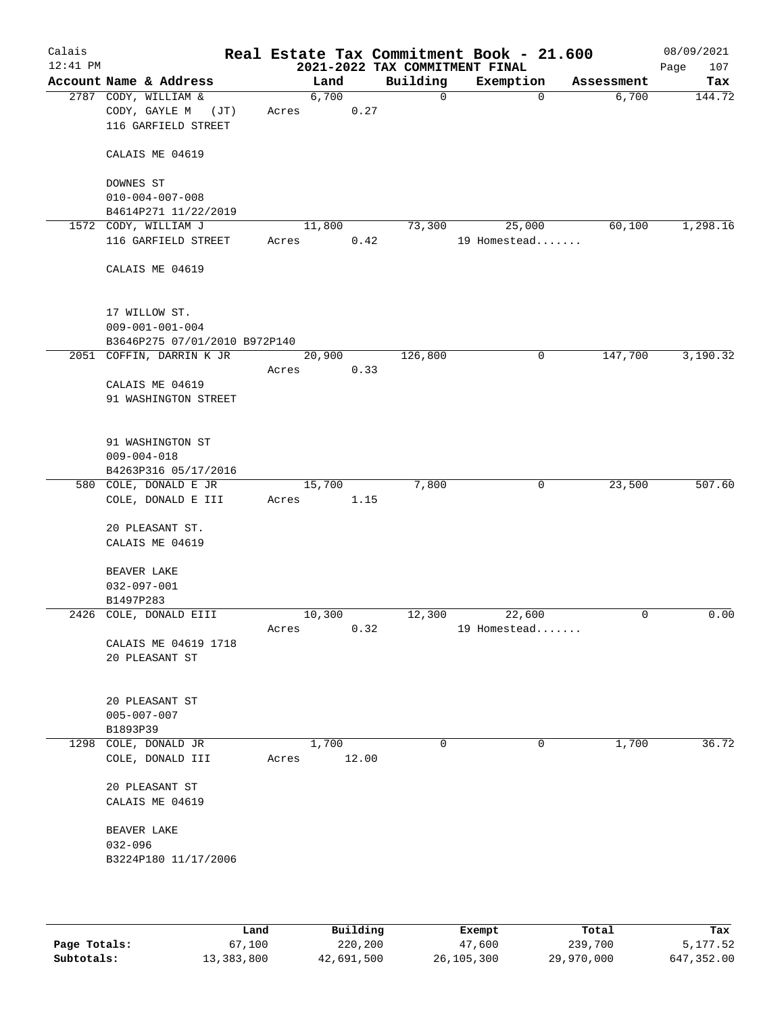| Calais<br>$12:41$ PM |                                                                           |       |                | 2021-2022 TAX COMMITMENT FINAL | Real Estate Tax Commitment Book - 21.600 |            | 08/09/2021<br>107<br>Page |
|----------------------|---------------------------------------------------------------------------|-------|----------------|--------------------------------|------------------------------------------|------------|---------------------------|
|                      | Account Name & Address                                                    |       | Land           | Building                       | Exemption                                | Assessment | Tax                       |
|                      | 2787 CODY, WILLIAM &<br>CODY, GAYLE M<br>(JT)<br>116 GARFIELD STREET      | Acres | 6,700<br>0.27  | $\mathbf 0$                    | $\mathbf 0$                              | 6,700      | 144.72                    |
|                      | CALAIS ME 04619                                                           |       |                |                                |                                          |            |                           |
|                      | DOWNES ST<br>$010 - 004 - 007 - 008$                                      |       |                |                                |                                          |            |                           |
|                      | B4614P271 11/22/2019                                                      |       |                |                                |                                          |            |                           |
|                      | 1572 CODY, WILLIAM J<br>116 GARFIELD STREET                               | Acres | 11,800<br>0.42 | 73,300                         | 25,000<br>19 Homestead                   | 60,100     | 1,298.16                  |
|                      | CALAIS ME 04619                                                           |       |                |                                |                                          |            |                           |
|                      | 17 WILLOW ST.<br>$009 - 001 - 001 - 004$<br>B3646P275 07/01/2010 B972P140 |       |                |                                |                                          |            |                           |
|                      | 2051 COFFIN, DARRIN K JR                                                  |       | 20,900         | 126,800                        | 0                                        | 147,700    | 3,190.32                  |
|                      |                                                                           | Acres | 0.33           |                                |                                          |            |                           |
|                      | CALAIS ME 04619<br>91 WASHINGTON STREET                                   |       |                |                                |                                          |            |                           |
|                      | 91 WASHINGTON ST<br>$009 - 004 - 018$<br>B4263P316 05/17/2016             |       |                |                                |                                          |            |                           |
|                      | 580 COLE, DONALD E JR                                                     |       | 15,700         | 7,800                          | 0                                        | 23,500     | 507.60                    |
|                      | COLE, DONALD E III                                                        | Acres | 1.15           |                                |                                          |            |                           |
|                      | 20 PLEASANT ST.<br>CALAIS ME 04619                                        |       |                |                                |                                          |            |                           |
|                      | BEAVER LAKE                                                               |       |                |                                |                                          |            |                           |
|                      | $032 - 097 - 001$                                                         |       |                |                                |                                          |            |                           |
|                      | B1497P283                                                                 |       |                |                                |                                          |            |                           |
|                      | 2426 COLE, DONALD EIII                                                    |       | 10,300         | 12,300                         | 22,600                                   | 0          | 0.00                      |
|                      | CALAIS ME 04619 1718<br>20 PLEASANT ST                                    | Acres | 0.32           |                                | 19 Homestead                             |            |                           |
|                      | 20 PLEASANT ST<br>$005 - 007 - 007$<br>B1893P39                           |       |                |                                |                                          |            |                           |
|                      | 1298 COLE, DONALD JR<br>COLE, DONALD III                                  | Acres | 1,700<br>12.00 | 0                              | 0                                        | 1,700      | 36.72                     |
|                      | 20 PLEASANT ST<br>CALAIS ME 04619                                         |       |                |                                |                                          |            |                           |
|                      | BEAVER LAKE<br>$032 - 096$<br>B3224P180 11/17/2006                        |       |                |                                |                                          |            |                           |
|                      |                                                                           |       |                |                                |                                          |            |                           |

|              | Land       | Building   | Exempt     | Total      | Tax        |
|--------------|------------|------------|------------|------------|------------|
| Page Totals: | 67,100     | 220,200    | 47,600     | 239,700    | 5,177.52   |
| Subtotals:   | 13,383,800 | 42,691,500 | 26,105,300 | 29,970,000 | 647,352.00 |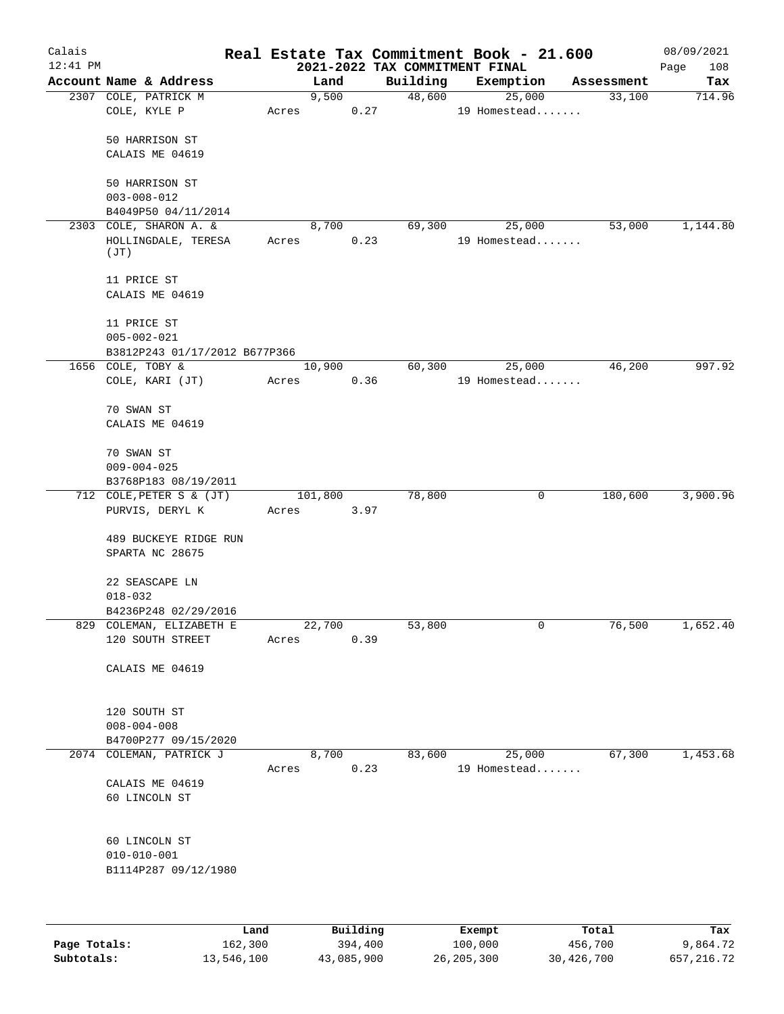| Calais<br>$12:41$ PM |                                             |       |       |         |          | 2021-2022 TAX COMMITMENT FINAL |        | Real Estate Tax Commitment Book - 21.600 |   |            | 08/09/2021<br>108<br>Page |
|----------------------|---------------------------------------------|-------|-------|---------|----------|--------------------------------|--------|------------------------------------------|---|------------|---------------------------|
|                      | Account Name & Address                      |       |       | Land    |          | Building                       |        | Exemption                                |   | Assessment | Tax                       |
|                      | 2307 COLE, PATRICK M<br>COLE, KYLE P        |       | Acres | 9,500   | 0.27     | 48,600                         |        | 25,000<br>19 Homestead                   |   | 33,100     | 714.96                    |
|                      | 50 HARRISON ST                              |       |       |         |          |                                |        |                                          |   |            |                           |
|                      | CALAIS ME 04619                             |       |       |         |          |                                |        |                                          |   |            |                           |
|                      | 50 HARRISON ST<br>$003 - 008 - 012$         |       |       |         |          |                                |        |                                          |   |            |                           |
|                      | B4049P50 04/11/2014                         |       |       |         |          |                                |        |                                          |   |            |                           |
|                      | 2303 COLE, SHARON A. &                      |       |       | 8,700   |          | 69,300                         |        | 25,000                                   |   | 53,000     | 1,144.80                  |
|                      | HOLLINGDALE, TERESA<br>(JT)                 |       | Acres |         | 0.23     |                                |        | 19 Homestead                             |   |            |                           |
|                      | 11 PRICE ST<br>CALAIS ME 04619              |       |       |         |          |                                |        |                                          |   |            |                           |
|                      | 11 PRICE ST                                 |       |       |         |          |                                |        |                                          |   |            |                           |
|                      | $005 - 002 - 021$                           |       |       |         |          |                                |        |                                          |   |            |                           |
|                      | B3812P243 01/17/2012 B677P366               |       |       |         |          |                                |        |                                          |   |            |                           |
|                      | 1656 COLE, TOBY &                           |       |       | 10,900  |          | 60,300                         |        | 25,000                                   |   | 46,200     | 997.92                    |
|                      | COLE, KARI (JT)                             |       | Acres |         | 0.36     |                                |        | 19 Homestead                             |   |            |                           |
|                      | 70 SWAN ST                                  |       |       |         |          |                                |        |                                          |   |            |                           |
|                      | CALAIS ME 04619                             |       |       |         |          |                                |        |                                          |   |            |                           |
|                      | 70 SWAN ST                                  |       |       |         |          |                                |        |                                          |   |            |                           |
|                      | $009 - 004 - 025$                           |       |       |         |          |                                |        |                                          |   |            |                           |
|                      | B3768P183 08/19/2011                        |       |       |         |          |                                |        |                                          |   |            |                           |
|                      | 712 COLE, PETER S & (JT)<br>PURVIS, DERYL K |       |       | 101,800 | 3.97     | 78,800                         |        |                                          | 0 | 180,600    | 3,900.96                  |
|                      |                                             |       | Acres |         |          |                                |        |                                          |   |            |                           |
|                      | 489 BUCKEYE RIDGE RUN<br>SPARTA NC 28675    |       |       |         |          |                                |        |                                          |   |            |                           |
|                      | 22 SEASCAPE LN<br>$018 - 032$               |       |       |         |          |                                |        |                                          |   |            |                           |
|                      | B4236P248 02/29/2016                        |       |       |         |          |                                |        |                                          |   |            |                           |
|                      | 829 COLEMAN, ELIZABETH E                    |       |       | 22,700  |          | 53,800                         |        |                                          | 0 | 76,500     | 1,652.40                  |
|                      | 120 SOUTH STREET                            |       | Acres |         | 0.39     |                                |        |                                          |   |            |                           |
|                      | CALAIS ME 04619                             |       |       |         |          |                                |        |                                          |   |            |                           |
|                      | 120 SOUTH ST                                |       |       |         |          |                                |        |                                          |   |            |                           |
|                      | $008 - 004 - 008$                           |       |       |         |          |                                |        |                                          |   |            |                           |
|                      | B4700P277 09/15/2020                        |       |       |         |          |                                |        |                                          |   |            |                           |
|                      | 2074 COLEMAN, PATRICK J                     |       | Acres | 8,700   | 0.23     | 83,600                         |        | 25,000<br>19 Homestead                   |   | 67,300     | 1,453.68                  |
|                      | CALAIS ME 04619                             |       |       |         |          |                                |        |                                          |   |            |                           |
|                      | 60 LINCOLN ST                               |       |       |         |          |                                |        |                                          |   |            |                           |
|                      | 60 LINCOLN ST                               |       |       |         |          |                                |        |                                          |   |            |                           |
|                      | $010 - 010 - 001$                           |       |       |         |          |                                |        |                                          |   |            |                           |
|                      | B1114P287 09/12/1980                        |       |       |         |          |                                |        |                                          |   |            |                           |
|                      |                                             |       |       |         |          |                                |        |                                          |   |            |                           |
|                      |                                             | Land, |       |         | Building |                                | Exempt |                                          |   | Total      | Tax                       |

|              | Land       | Building   | Exempt     | Total      | Tax        |
|--------------|------------|------------|------------|------------|------------|
| Page Totals: | 162,300    | 394,400    | 100,000    | 456,700    | 9,864.72   |
| Subtotals:   | 13,546,100 | 43,085,900 | 26,205,300 | 30,426,700 | 657,216.72 |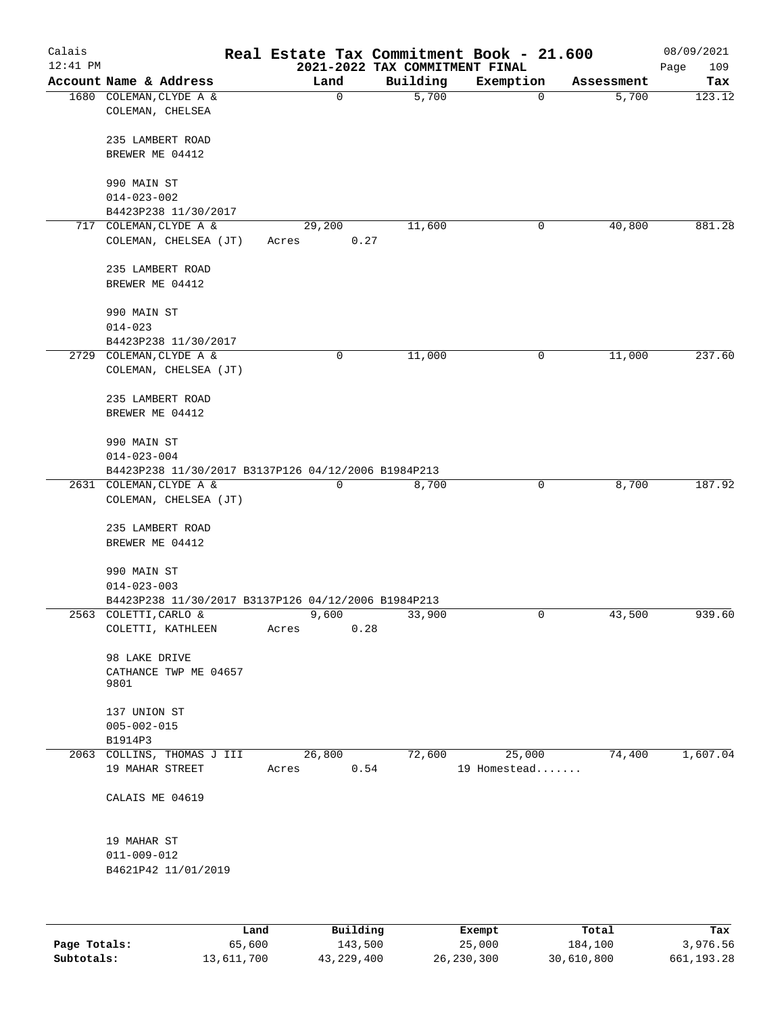| Calais<br>$12:41$ PM |                                                     |      |       |                | Real Estate Tax Commitment Book - 21.600<br>2021-2022 TAX COMMITMENT FINAL |                        |   |            | 08/09/2021<br>109<br>Page |
|----------------------|-----------------------------------------------------|------|-------|----------------|----------------------------------------------------------------------------|------------------------|---|------------|---------------------------|
|                      | Account Name & Address                              |      |       | Land           | Building                                                                   | Exemption              |   | Assessment | Tax                       |
|                      | 1680 COLEMAN, CLYDE A &<br>COLEMAN, CHELSEA         |      |       | $\mathbf 0$    | 5,700                                                                      |                        | 0 | 5,700      | 123.12                    |
|                      | 235 LAMBERT ROAD                                    |      |       |                |                                                                            |                        |   |            |                           |
|                      | BREWER ME 04412                                     |      |       |                |                                                                            |                        |   |            |                           |
|                      | 990 MAIN ST                                         |      |       |                |                                                                            |                        |   |            |                           |
|                      | $014 - 023 - 002$                                   |      |       |                |                                                                            |                        |   |            |                           |
|                      | B4423P238 11/30/2017                                |      |       |                |                                                                            |                        |   |            |                           |
|                      | 717 COLEMAN, CLYDE A &                              |      |       | 29,200         | 11,600                                                                     |                        | 0 | 40,800     | 881.28                    |
|                      | COLEMAN, CHELSEA (JT)                               |      | Acres | 0.27           |                                                                            |                        |   |            |                           |
|                      | 235 LAMBERT ROAD                                    |      |       |                |                                                                            |                        |   |            |                           |
|                      | BREWER ME 04412                                     |      |       |                |                                                                            |                        |   |            |                           |
|                      | 990 MAIN ST                                         |      |       |                |                                                                            |                        |   |            |                           |
|                      | $014 - 023$                                         |      |       |                |                                                                            |                        |   |            |                           |
|                      | B4423P238 11/30/2017                                |      |       |                |                                                                            |                        |   |            |                           |
|                      | 2729 COLEMAN, CLYDE A &                             |      |       | 0              | 11,000                                                                     |                        | 0 | 11,000     | 237.60                    |
|                      | COLEMAN, CHELSEA (JT)                               |      |       |                |                                                                            |                        |   |            |                           |
|                      | 235 LAMBERT ROAD                                    |      |       |                |                                                                            |                        |   |            |                           |
|                      | BREWER ME 04412                                     |      |       |                |                                                                            |                        |   |            |                           |
|                      | 990 MAIN ST                                         |      |       |                |                                                                            |                        |   |            |                           |
|                      | $014 - 023 - 004$                                   |      |       |                |                                                                            |                        |   |            |                           |
|                      | B4423P238 11/30/2017 B3137P126 04/12/2006 B1984P213 |      |       |                |                                                                            |                        |   |            |                           |
|                      | 2631 COLEMAN, CLYDE A &                             |      |       | $\mathbf 0$    | 8,700                                                                      |                        | 0 | 8,700      | 187.92                    |
|                      | COLEMAN, CHELSEA (JT)                               |      |       |                |                                                                            |                        |   |            |                           |
|                      | 235 LAMBERT ROAD                                    |      |       |                |                                                                            |                        |   |            |                           |
|                      | BREWER ME 04412                                     |      |       |                |                                                                            |                        |   |            |                           |
|                      | 990 MAIN ST                                         |      |       |                |                                                                            |                        |   |            |                           |
|                      | $014 - 023 - 003$                                   |      |       |                |                                                                            |                        |   |            |                           |
|                      | B4423P238 11/30/2017 B3137P126 04/12/2006 B1984P213 |      |       |                |                                                                            |                        |   |            |                           |
|                      | 2563 COLETTI, CARLO &                               |      |       | 9,600          | 33,900                                                                     |                        | 0 | 43,500     | 939.60                    |
|                      | COLETTI, KATHLEEN                                   |      | Acres | 0.28           |                                                                            |                        |   |            |                           |
|                      | 98 LAKE DRIVE                                       |      |       |                |                                                                            |                        |   |            |                           |
|                      | CATHANCE TWP ME 04657                               |      |       |                |                                                                            |                        |   |            |                           |
|                      | 9801                                                |      |       |                |                                                                            |                        |   |            |                           |
|                      | 137 UNION ST                                        |      |       |                |                                                                            |                        |   |            |                           |
|                      | $005 - 002 - 015$                                   |      |       |                |                                                                            |                        |   |            |                           |
|                      | B1914P3                                             |      |       |                |                                                                            |                        |   |            |                           |
|                      | 2063 COLLINS, THOMAS J III<br>19 MAHAR STREET       |      | Acres | 26,800<br>0.54 | 72,600                                                                     | 25,000<br>19 Homestead |   | 74,400     | 1,607.04                  |
|                      | CALAIS ME 04619                                     |      |       |                |                                                                            |                        |   |            |                           |
|                      |                                                     |      |       |                |                                                                            |                        |   |            |                           |
|                      | 19 MAHAR ST                                         |      |       |                |                                                                            |                        |   |            |                           |
|                      | $011 - 009 - 012$                                   |      |       |                |                                                                            |                        |   |            |                           |
|                      | B4621P42 11/01/2019                                 |      |       |                |                                                                            |                        |   |            |                           |
|                      |                                                     |      |       |                |                                                                            |                        |   |            |                           |
|                      |                                                     | Land |       | Building       |                                                                            | Exempt                 |   | Total      | Tax                       |

|              | nand.      | Building     | Exempt       | Total      | тах        |
|--------------|------------|--------------|--------------|------------|------------|
| Page Totals: | 65,600     | 143,500      | 25,000       | 184,100    | 3,976.56   |
| Subtotals:   | 13,611,700 | 43, 229, 400 | 26, 230, 300 | 30,610,800 | 661,193.28 |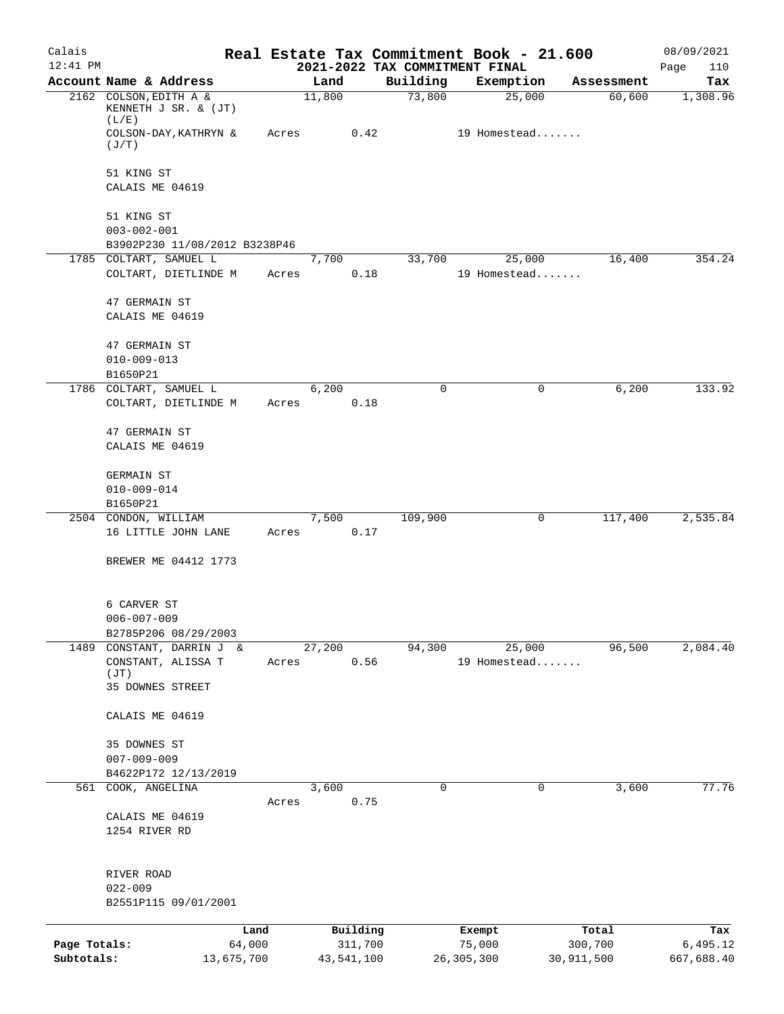| Calais       |                                                         |            |       |        |            |          | Real Estate Tax Commitment Book - 21.600    |                      | 08/09/2021         |
|--------------|---------------------------------------------------------|------------|-------|--------|------------|----------|---------------------------------------------|----------------------|--------------------|
| $12:41$ PM   | Account Name & Address                                  |            |       | Land   |            | Building | 2021-2022 TAX COMMITMENT FINAL<br>Exemption |                      | Page<br>110<br>Tax |
|              | 2162 COLSON, EDITH A &<br>KENNETH J SR. & (JT)          |            |       | 11,800 |            | 73,800   | 25,000                                      | Assessment<br>60,600 | 1,308.96           |
|              | (L/E)<br>COLSON-DAY, KATHRYN &<br>(J/T)                 |            | Acres |        | 0.42       |          | 19 Homestead                                |                      |                    |
|              | 51 KING ST                                              |            |       |        |            |          |                                             |                      |                    |
|              | CALAIS ME 04619                                         |            |       |        |            |          |                                             |                      |                    |
|              | 51 KING ST                                              |            |       |        |            |          |                                             |                      |                    |
|              | $003 - 002 - 001$                                       |            |       |        |            |          |                                             |                      |                    |
|              | B3902P230 11/08/2012 B3238P46<br>1785 COLTART, SAMUEL L |            |       | 7,700  |            | 33,700   | 25,000                                      | 16,400               | 354.24             |
|              | COLTART, DIETLINDE M                                    |            | Acres |        | 0.18       |          | 19 Homestead                                |                      |                    |
|              | 47 GERMAIN ST                                           |            |       |        |            |          |                                             |                      |                    |
|              | CALAIS ME 04619                                         |            |       |        |            |          |                                             |                      |                    |
|              | 47 GERMAIN ST                                           |            |       |        |            |          |                                             |                      |                    |
|              | $010 - 009 - 013$<br>B1650P21                           |            |       |        |            |          |                                             |                      |                    |
|              | 1786 COLTART, SAMUEL L                                  |            |       | 6,200  |            | 0        | 0                                           | 6,200                | 133.92             |
|              | COLTART, DIETLINDE M                                    |            | Acres |        | 0.18       |          |                                             |                      |                    |
|              | 47 GERMAIN ST                                           |            |       |        |            |          |                                             |                      |                    |
|              | CALAIS ME 04619                                         |            |       |        |            |          |                                             |                      |                    |
|              | GERMAIN ST                                              |            |       |        |            |          |                                             |                      |                    |
|              | $010 - 009 - 014$                                       |            |       |        |            |          |                                             |                      |                    |
|              | B1650P21<br>2504 CONDON, WILLIAM                        |            |       | 7,500  |            | 109,900  | 0                                           | 117,400              | 2,535.84           |
|              | 16 LITTLE JOHN LANE                                     |            | Acres |        | 0.17       |          |                                             |                      |                    |
|              | BREWER ME 04412 1773                                    |            |       |        |            |          |                                             |                      |                    |
|              | 6 CARVER ST                                             |            |       |        |            |          |                                             |                      |                    |
|              | $006 - 007 - 009$                                       |            |       |        |            |          |                                             |                      |                    |
|              | B2785P206 08/29/2003                                    |            |       |        |            |          |                                             |                      |                    |
| 1489         | CONSTANT, DARRIN J &                                    |            |       | 27,200 |            | 94,300   | 25,000                                      | 96,500               | 2,084.40           |
|              | CONSTANT, ALISSA T<br>(JT)                              |            | Acres |        | 0.56       |          | 19 Homestead                                |                      |                    |
|              | 35 DOWNES STREET                                        |            |       |        |            |          |                                             |                      |                    |
|              | CALAIS ME 04619                                         |            |       |        |            |          |                                             |                      |                    |
|              | 35 DOWNES ST                                            |            |       |        |            |          |                                             |                      |                    |
|              | $007 - 009 - 009$                                       |            |       |        |            |          |                                             |                      |                    |
|              | B4622P172 12/13/2019<br>561 COOK, ANGELINA              |            |       | 3,600  |            | 0        | 0                                           | 3,600                | 77.76              |
|              |                                                         |            | Acres |        | 0.75       |          |                                             |                      |                    |
|              | CALAIS ME 04619<br>1254 RIVER RD                        |            |       |        |            |          |                                             |                      |                    |
|              | RIVER ROAD                                              |            |       |        |            |          |                                             |                      |                    |
|              | $022 - 009$                                             |            |       |        |            |          |                                             |                      |                    |
|              | B2551P115 09/01/2001                                    |            |       |        |            |          |                                             |                      |                    |
|              |                                                         | Land       |       |        | Building   |          | Exempt                                      | Total                | Tax                |
| Page Totals: |                                                         | 64,000     |       |        | 311,700    |          | 75,000                                      | 300,700              | 6,495.12           |
| Subtotals:   |                                                         | 13,675,700 |       |        | 43,541,100 |          | 26, 305, 300                                | 30,911,500           | 667,688.40         |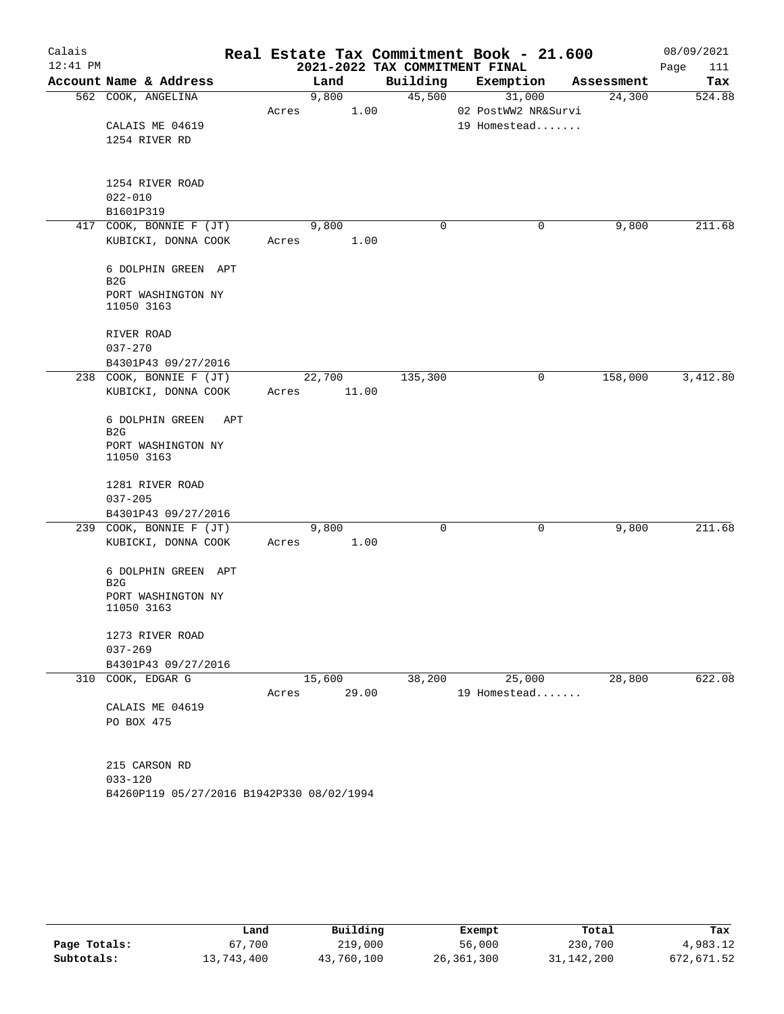| Calais     |                                            |       |        |                                | Real Estate Tax Commitment Book - 21.600 |            | 08/09/2021  |
|------------|--------------------------------------------|-------|--------|--------------------------------|------------------------------------------|------------|-------------|
| $12:41$ PM |                                            |       |        | 2021-2022 TAX COMMITMENT FINAL |                                          |            | Page<br>111 |
|            | Account Name & Address                     |       | Land   | Building                       | Exemption                                | Assessment | Tax         |
|            | 562 COOK, ANGELINA                         |       | 9,800  | 45,500                         | 31,000                                   | 24,300     | 524.88      |
|            |                                            | Acres | 1.00   |                                | 02 PostWW2 NR&Survi                      |            |             |
|            | CALAIS ME 04619                            |       |        |                                | 19 Homestead                             |            |             |
|            | 1254 RIVER RD                              |       |        |                                |                                          |            |             |
|            |                                            |       |        |                                |                                          |            |             |
|            | 1254 RIVER ROAD                            |       |        |                                |                                          |            |             |
|            | $022 - 010$                                |       |        |                                |                                          |            |             |
|            | B1601P319                                  |       |        |                                |                                          |            |             |
|            | 417 COOK, BONNIE F (JT)                    |       | 9,800  | 0                              | 0                                        | 9,800      | 211.68      |
|            | KUBICKI, DONNA COOK                        | Acres | 1.00   |                                |                                          |            |             |
|            | 6 DOLPHIN GREEN APT<br>B <sub>2</sub> G    |       |        |                                |                                          |            |             |
|            | PORT WASHINGTON NY<br>11050 3163           |       |        |                                |                                          |            |             |
|            | RIVER ROAD                                 |       |        |                                |                                          |            |             |
|            | $037 - 270$                                |       |        |                                |                                          |            |             |
|            | B4301P43 09/27/2016                        |       |        |                                |                                          |            |             |
|            | 238 COOK, BONNIE F (JT)                    |       | 22,700 | 135,300                        | 0                                        | 158,000    | 3,412.80    |
|            | KUBICKI, DONNA COOK                        | Acres | 11.00  |                                |                                          |            |             |
|            | 6 DOLPHIN GREEN<br>APT<br>B <sub>2</sub> G |       |        |                                |                                          |            |             |
|            | PORT WASHINGTON NY<br>11050 3163           |       |        |                                |                                          |            |             |
|            | 1281 RIVER ROAD                            |       |        |                                |                                          |            |             |
|            | $037 - 205$                                |       |        |                                |                                          |            |             |
|            | B4301P43 09/27/2016                        |       |        |                                |                                          |            |             |
|            | 239 COOK, BONNIE F (JT)                    |       | 9,800  | 0                              | $\mathbf 0$                              | 9,800      | 211.68      |
|            | KUBICKI, DONNA COOK                        | Acres | 1.00   |                                |                                          |            |             |
|            | 6 DOLPHIN GREEN APT<br>B2G                 |       |        |                                |                                          |            |             |
|            | PORT WASHINGTON NY<br>11050 3163           |       |        |                                |                                          |            |             |
|            | 1273 RIVER ROAD                            |       |        |                                |                                          |            |             |
|            | $037 - 269$                                |       |        |                                |                                          |            |             |
|            | B4301P43 09/27/2016                        |       |        |                                |                                          |            |             |
|            | 310 COOK, EDGAR G                          |       | 15,600 | 38,200                         | 25,000                                   | 28,800     | 622.08      |
|            |                                            | Acres | 29.00  |                                | 19 Homestead                             |            |             |
|            | CALAIS ME 04619                            |       |        |                                |                                          |            |             |
|            | PO BOX 475                                 |       |        |                                |                                          |            |             |
|            |                                            |       |        |                                |                                          |            |             |
|            | 215 CARSON RD                              |       |        |                                |                                          |            |             |
|            | $033 - 120$                                |       |        |                                |                                          |            |             |

B4260P119 05/27/2016 B1942P330 08/02/1994

|              | Land       | Building   | Exempt     | Total      | Tax        |
|--------------|------------|------------|------------|------------|------------|
|              |            |            |            |            |            |
| Page Totals: | 67,700     | 219,000    | 56,000     | 230,700    | 4,983.12   |
| Subtotals:   | 13,743,400 | 43,760,100 | 26,361,300 | 31,142,200 | 672,671.52 |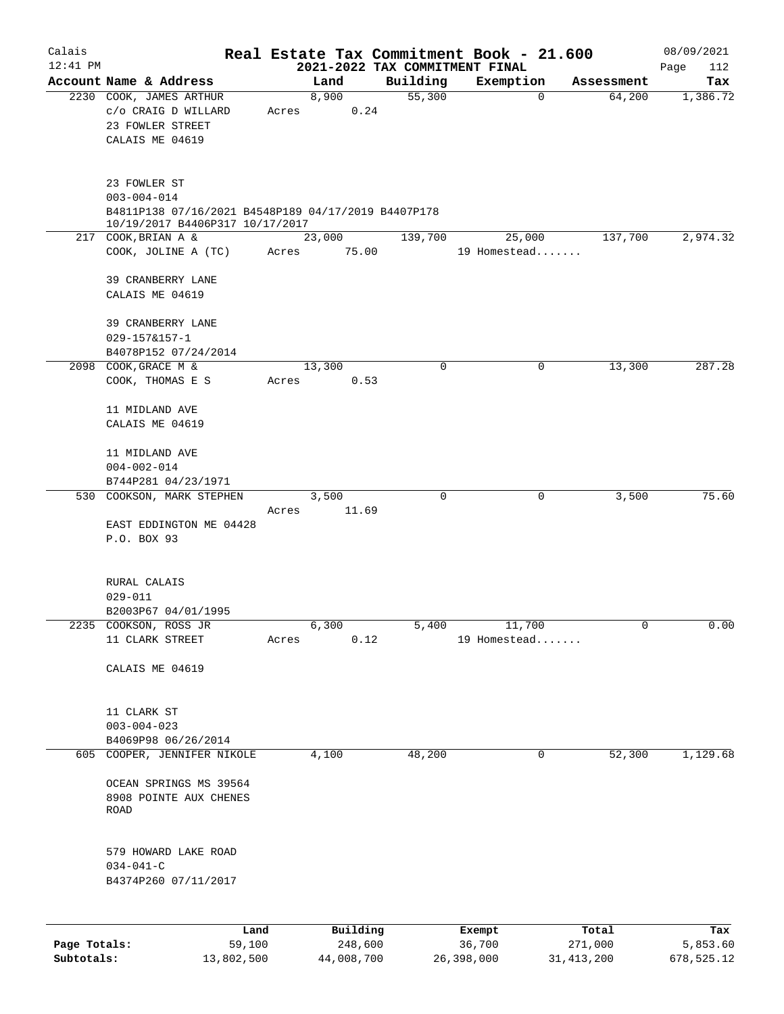| Calais       |                                                                                          |                     |                                | Real Estate Tax Commitment Book - 21.600 |                  | 08/09/2021      |
|--------------|------------------------------------------------------------------------------------------|---------------------|--------------------------------|------------------------------------------|------------------|-----------------|
| $12:41$ PM   |                                                                                          |                     | 2021-2022 TAX COMMITMENT FINAL |                                          |                  | Page<br>112     |
|              | Account Name & Address                                                                   | Land                | Building                       | Exemption                                | Assessment       | Tax             |
|              | 2230 COOK, JAMES ARTHUR<br>c/o CRAIG D WILLARD<br>23 FOWLER STREET<br>CALAIS ME 04619    | 8,900<br>Acres      | 55,300<br>0.24                 | $\overline{0}$                           | 64,200           | 1,386.72        |
|              | 23 FOWLER ST<br>$003 - 004 - 014$<br>B4811P138 07/16/2021 B4548P189 04/17/2019 B4407P178 |                     |                                |                                          |                  |                 |
|              | 10/19/2017 B4406P317 10/17/2017<br>217 COOK, BRIAN A &                                   | 23,000              | 139,700                        | 25,000                                   | 137,700          | 2,974.32        |
|              | COOK, JOLINE A (TC)                                                                      | 75.00<br>Acres      |                                | 19 Homestead                             |                  |                 |
|              | 39 CRANBERRY LANE<br>CALAIS ME 04619                                                     |                     |                                |                                          |                  |                 |
|              | 39 CRANBERRY LANE<br>$029 - 157 & 157 - 1$<br>B4078P152 07/24/2014                       |                     |                                |                                          |                  |                 |
|              | 2098 COOK, GRACE M &                                                                     | 13,300              | $\mathbf 0$                    | 0                                        | 13,300           | 287.28          |
|              | COOK, THOMAS E S                                                                         | Acres               | 0.53                           |                                          |                  |                 |
|              | 11 MIDLAND AVE<br>CALAIS ME 04619                                                        |                     |                                |                                          |                  |                 |
|              | 11 MIDLAND AVE<br>$004 - 002 - 014$<br>B744P281 04/23/1971                               |                     |                                |                                          |                  |                 |
|              | 530 COOKSON, MARK STEPHEN                                                                | 3,500               | 0                              | 0                                        | 3,500            | 75.60           |
|              | EAST EDDINGTON ME 04428<br>P.O. BOX 93                                                   | 11.69<br>Acres      |                                |                                          |                  |                 |
|              | RURAL CALAIS<br>$029 - 011$<br>B2003P67 04/01/1995                                       |                     |                                |                                          |                  |                 |
|              | 2235 COOKSON, ROSS JR                                                                    | 6,300               | 5,400                          | 11,700                                   | 0                | 0.00            |
|              | 11 CLARK STREET                                                                          | Acres               | 0.12                           | 19 Homestead                             |                  |                 |
|              | CALAIS ME 04619                                                                          |                     |                                |                                          |                  |                 |
|              | 11 CLARK ST<br>$003 - 004 - 023$<br>B4069P98 06/26/2014                                  |                     |                                |                                          |                  |                 |
|              | 605 COOPER, JENNIFER NIKOLE                                                              | 4,100               | 48,200                         | 0                                        | 52,300           | 1,129.68        |
|              | OCEAN SPRINGS MS 39564<br>8908 POINTE AUX CHENES<br>ROAD                                 |                     |                                |                                          |                  |                 |
|              | 579 HOWARD LAKE ROAD<br>$034 - 041 - C$<br>B4374P260 07/11/2017                          |                     |                                |                                          |                  |                 |
|              |                                                                                          |                     |                                |                                          |                  |                 |
| Page Totals: | Land<br>59,100                                                                           | Building<br>248,600 |                                | Exempt<br>36,700                         | Total<br>271,000 | Tax<br>5,853.60 |

**Subtotals:** 13,802,500 44,008,700 26,398,000 31,413,200 678,525.12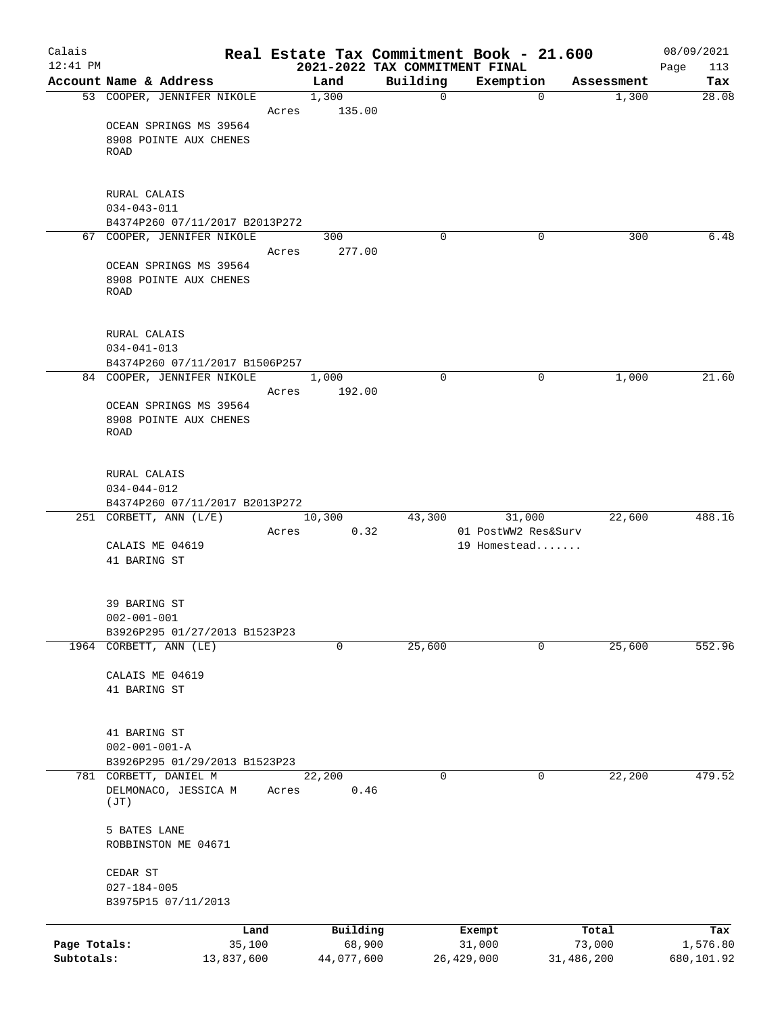| Calais       |                                                     |            |       |            |          | Real Estate Tax Commitment Book - 21.600    |             |            | 08/09/2021         |
|--------------|-----------------------------------------------------|------------|-------|------------|----------|---------------------------------------------|-------------|------------|--------------------|
| $12:41$ PM   | Account Name & Address                              |            |       | Land       | Building | 2021-2022 TAX COMMITMENT FINAL<br>Exemption |             | Assessment | Page<br>113<br>Tax |
|              | 53 COOPER, JENNIFER NIKOLE                          |            |       | 1,300      |          | $\mathbf 0$                                 | $\mathbf 0$ | 1,300      | 28.08              |
|              |                                                     |            | Acres | 135.00     |          |                                             |             |            |                    |
|              | OCEAN SPRINGS MS 39564                              |            |       |            |          |                                             |             |            |                    |
|              | 8908 POINTE AUX CHENES                              |            |       |            |          |                                             |             |            |                    |
|              | ROAD                                                |            |       |            |          |                                             |             |            |                    |
|              |                                                     |            |       |            |          |                                             |             |            |                    |
|              | RURAL CALAIS                                        |            |       |            |          |                                             |             |            |                    |
|              | $034 - 043 - 011$<br>B4374P260 07/11/2017 B2013P272 |            |       |            |          |                                             |             |            |                    |
|              | 67 COOPER, JENNIFER NIKOLE                          |            |       | 300        |          | $\Omega$                                    | 0           | 300        | 6.48               |
|              |                                                     |            | Acres | 277.00     |          |                                             |             |            |                    |
|              | OCEAN SPRINGS MS 39564                              |            |       |            |          |                                             |             |            |                    |
|              | 8908 POINTE AUX CHENES                              |            |       |            |          |                                             |             |            |                    |
|              | ROAD                                                |            |       |            |          |                                             |             |            |                    |
|              |                                                     |            |       |            |          |                                             |             |            |                    |
|              | RURAL CALAIS                                        |            |       |            |          |                                             |             |            |                    |
|              | $034 - 041 - 013$<br>B4374P260 07/11/2017 B1506P257 |            |       |            |          |                                             |             |            |                    |
|              | 84 COOPER, JENNIFER NIKOLE                          |            |       | 1,000      |          | $\Omega$                                    | 0           | 1,000      | 21.60              |
|              |                                                     |            | Acres | 192.00     |          |                                             |             |            |                    |
|              | OCEAN SPRINGS MS 39564                              |            |       |            |          |                                             |             |            |                    |
|              | 8908 POINTE AUX CHENES                              |            |       |            |          |                                             |             |            |                    |
|              | ROAD                                                |            |       |            |          |                                             |             |            |                    |
|              | RURAL CALAIS                                        |            |       |            |          |                                             |             |            |                    |
|              | $034 - 044 - 012$                                   |            |       |            |          |                                             |             |            |                    |
|              | B4374P260 07/11/2017 B2013P272                      |            |       |            |          |                                             |             |            |                    |
|              | 251 CORBETT, ANN (L/E)                              |            |       | 10,300     | 43,300   |                                             | 31,000      | 22,600     | 488.16             |
|              |                                                     |            | Acres | 0.32       |          | 01 PostWW2 Res&Surv                         |             |            |                    |
|              | CALAIS ME 04619                                     |            |       |            |          | 19 Homestead                                |             |            |                    |
|              | 41 BARING ST                                        |            |       |            |          |                                             |             |            |                    |
|              | 39 BARING ST                                        |            |       |            |          |                                             |             |            |                    |
|              | $002 - 001 - 001$                                   |            |       |            |          |                                             |             |            |                    |
|              | B3926P295 01/27/2013 B1523P23                       |            |       |            |          |                                             |             |            |                    |
|              | 1964 CORBETT, ANN (LE)                              |            |       | 0          | 25,600   |                                             | 0           | 25,600     | 552.96             |
|              | CALAIS ME 04619                                     |            |       |            |          |                                             |             |            |                    |
|              | 41 BARING ST                                        |            |       |            |          |                                             |             |            |                    |
|              |                                                     |            |       |            |          |                                             |             |            |                    |
|              | 41 BARING ST                                        |            |       |            |          |                                             |             |            |                    |
|              | $002 - 001 - 001 - A$                               |            |       |            |          |                                             |             |            |                    |
|              | B3926P295 01/29/2013 B1523P23                       |            |       |            |          |                                             |             |            |                    |
|              | 781 CORBETT, DANIEL M                               |            |       | 22,200     |          | 0                                           | 0           | 22,200     | 479.52             |
|              | DELMONACO, JESSICA M<br>(JT)                        |            | Acres | 0.46       |          |                                             |             |            |                    |
|              | 5 BATES LANE                                        |            |       |            |          |                                             |             |            |                    |
|              | ROBBINSTON ME 04671                                 |            |       |            |          |                                             |             |            |                    |
|              | CEDAR ST                                            |            |       |            |          |                                             |             |            |                    |
|              | $027 - 184 - 005$                                   |            |       |            |          |                                             |             |            |                    |
|              | B3975P15 07/11/2013                                 |            |       |            |          |                                             |             |            |                    |
|              |                                                     | Land       |       | Building   |          | Exempt                                      |             | Total      | Tax                |
| Page Totals: |                                                     | 35,100     |       | 68,900     |          | 31,000                                      |             | 73,000     | 1,576.80           |
| Subtotals:   |                                                     | 13,837,600 |       | 44,077,600 |          | 26, 429, 000                                |             | 31,486,200 | 680,101.92         |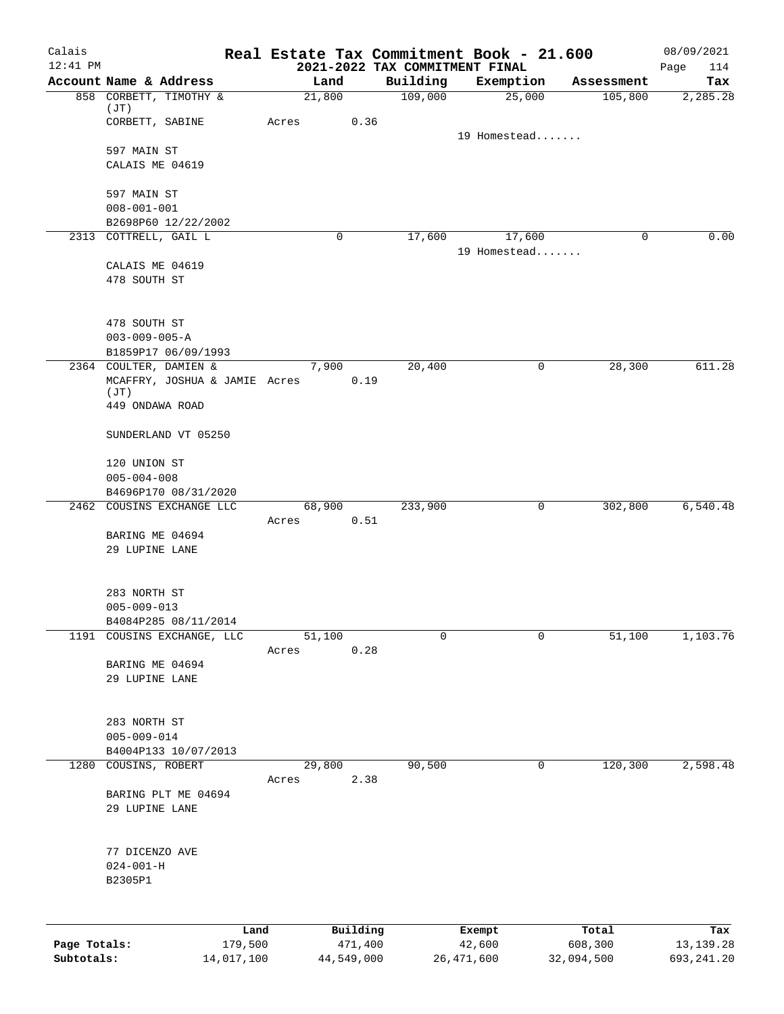| Calais       |                                                         |                 |                     |                                            | Real Estate Tax Commitment Book - 21.600 |                  | 08/09/2021         |
|--------------|---------------------------------------------------------|-----------------|---------------------|--------------------------------------------|------------------------------------------|------------------|--------------------|
| $12:41$ PM   | Account Name & Address                                  | Land            |                     | 2021-2022 TAX COMMITMENT FINAL<br>Building | Exemption                                | Assessment       | 114<br>Page<br>Tax |
|              | 858 CORBETT, TIMOTHY &                                  | 21,800          |                     | 109,000                                    | 25,000                                   | 105,800          | 2,285.28           |
|              | (JT)                                                    |                 |                     |                                            |                                          |                  |                    |
|              | CORBETT, SABINE                                         | Acres           | 0.36                |                                            | 19 Homestead                             |                  |                    |
|              | 597 MAIN ST                                             |                 |                     |                                            |                                          |                  |                    |
|              | CALAIS ME 04619                                         |                 |                     |                                            |                                          |                  |                    |
|              |                                                         |                 |                     |                                            |                                          |                  |                    |
|              | 597 MAIN ST                                             |                 |                     |                                            |                                          |                  |                    |
|              | $008 - 001 - 001$<br>B2698P60 12/22/2002                |                 |                     |                                            |                                          |                  |                    |
|              | 2313 COTTRELL, GAIL L                                   | 0               |                     | 17,600                                     | 17,600                                   | 0                | 0.00               |
|              |                                                         |                 |                     |                                            | 19 Homestead                             |                  |                    |
|              | CALAIS ME 04619                                         |                 |                     |                                            |                                          |                  |                    |
|              | 478 SOUTH ST                                            |                 |                     |                                            |                                          |                  |                    |
|              |                                                         |                 |                     |                                            |                                          |                  |                    |
|              | 478 SOUTH ST                                            |                 |                     |                                            |                                          |                  |                    |
|              | $003 - 009 - 005 - A$                                   |                 |                     |                                            |                                          |                  |                    |
|              | B1859P17 06/09/1993                                     |                 |                     |                                            |                                          |                  |                    |
|              | 2364 COULTER, DAMIEN &<br>MCAFFRY, JOSHUA & JAMIE Acres | 7,900           | 0.19                | 20,400                                     | 0                                        | 28,300           | 611.28             |
|              | (JT)                                                    |                 |                     |                                            |                                          |                  |                    |
|              | 449 ONDAWA ROAD                                         |                 |                     |                                            |                                          |                  |                    |
|              | SUNDERLAND VT 05250                                     |                 |                     |                                            |                                          |                  |                    |
|              |                                                         |                 |                     |                                            |                                          |                  |                    |
|              | 120 UNION ST                                            |                 |                     |                                            |                                          |                  |                    |
|              | $005 - 004 - 008$                                       |                 |                     |                                            |                                          |                  |                    |
|              | B4696P170 08/31/2020<br>2462 COUSINS EXCHANGE LLC       | 68,900          |                     | 233,900                                    | 0                                        | 302,800          | 6,540.48           |
|              |                                                         | Acres           | 0.51                |                                            |                                          |                  |                    |
|              | BARING ME 04694                                         |                 |                     |                                            |                                          |                  |                    |
|              | 29 LUPINE LANE                                          |                 |                     |                                            |                                          |                  |                    |
|              |                                                         |                 |                     |                                            |                                          |                  |                    |
|              | 283 NORTH ST                                            |                 |                     |                                            |                                          |                  |                    |
|              | $005 - 009 - 013$                                       |                 |                     |                                            |                                          |                  |                    |
|              | B4084P285 08/11/2014                                    |                 |                     |                                            |                                          |                  |                    |
|              | 1191 COUSINS EXCHANGE, LLC                              | 51,100<br>Acres | 0.28                | 0                                          | 0                                        | 51,100           | 1,103.76           |
|              | BARING ME 04694                                         |                 |                     |                                            |                                          |                  |                    |
|              | 29 LUPINE LANE                                          |                 |                     |                                            |                                          |                  |                    |
|              |                                                         |                 |                     |                                            |                                          |                  |                    |
|              | 283 NORTH ST                                            |                 |                     |                                            |                                          |                  |                    |
|              | $005 - 009 - 014$                                       |                 |                     |                                            |                                          |                  |                    |
|              | B4004P133 10/07/2013                                    |                 |                     |                                            |                                          |                  |                    |
| 1280         | COUSINS, ROBERT                                         | 29,800          |                     | 90,500                                     | 0                                        | 120,300          | 2,598.48           |
|              | BARING PLT ME 04694                                     | Acres           | 2.38                |                                            |                                          |                  |                    |
|              | 29 LUPINE LANE                                          |                 |                     |                                            |                                          |                  |                    |
|              |                                                         |                 |                     |                                            |                                          |                  |                    |
|              |                                                         |                 |                     |                                            |                                          |                  |                    |
|              | 77 DICENZO AVE<br>$024 - 001 - H$                       |                 |                     |                                            |                                          |                  |                    |
|              | B2305P1                                                 |                 |                     |                                            |                                          |                  |                    |
|              |                                                         |                 |                     |                                            |                                          |                  |                    |
|              |                                                         |                 |                     |                                            |                                          |                  |                    |
| Page Totals: | Land<br>179,500                                         |                 | Building<br>471,400 |                                            | Exempt<br>42,600                         | Total<br>608,300 | Tax<br>13, 139. 28 |
| Subtotals:   | 14,017,100                                              | 44,549,000      |                     |                                            | 26, 471, 600                             | 32,094,500       | 693, 241.20        |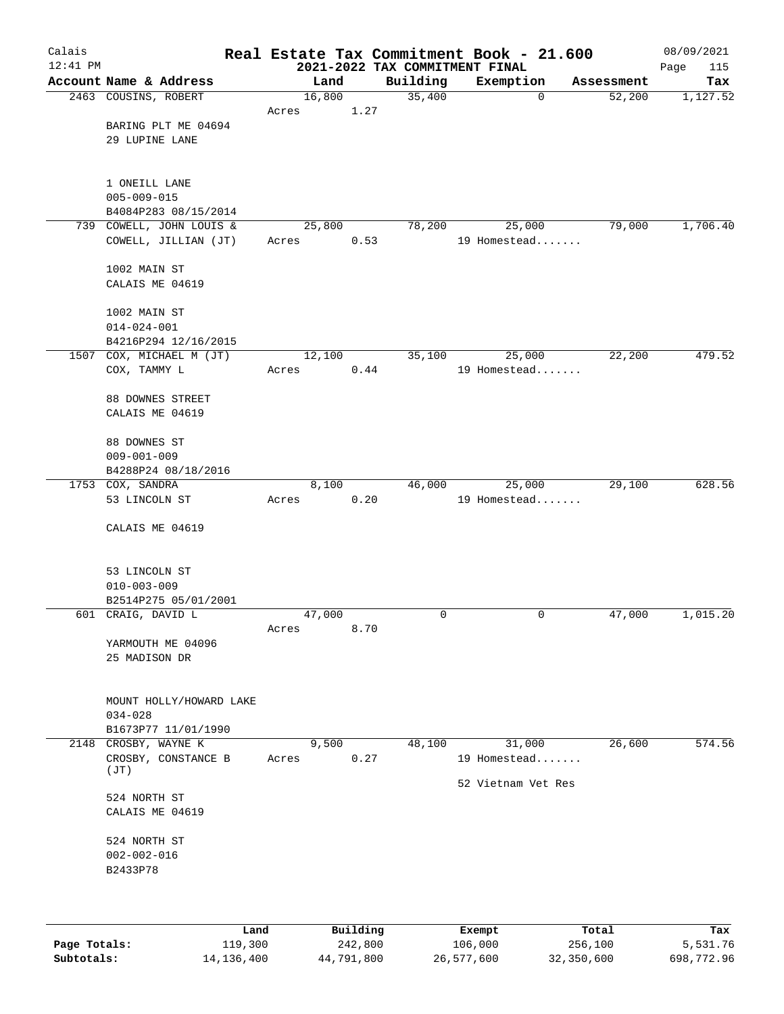| 2021-2022 TAX COMMITMENT FINAL<br>Page<br>115<br>Account Name & Address<br>Building<br>Land<br>Exemption<br>Assessment<br>Tax<br>2463 COUSINS, ROBERT<br>16,800<br>35,400<br>52,200<br>1,127.52<br>$\mathbf 0$<br>1.27<br>Acres<br>BARING PLT ME 04694<br>29 LUPINE LANE<br>1 ONEILL LANE<br>$005 - 009 - 015$<br>B4084P283 08/15/2014<br>739 COWELL, JOHN LOUIS &<br>78,200<br>79,000<br>25,800<br>25,000<br>COWELL, JILLIAN (JT)<br>0.53<br>19 Homestead<br>Acres<br>1002 MAIN ST<br>CALAIS ME 04619<br>1002 MAIN ST<br>$014 - 024 - 001$<br>B4216P294 12/16/2015<br>1507 COX, MICHAEL M (JT)<br>12,100<br>35,100<br>25,000<br>22,200<br>COX, TAMMY L<br>19 Homestead<br>Acres<br>0.44<br>88 DOWNES STREET<br>CALAIS ME 04619<br>88 DOWNES ST<br>$009 - 001 - 009$<br>B4288P24 08/18/2016<br>1753 COX, SANDRA<br>8,100<br>46,000<br>25,000<br>29,100<br>53 LINCOLN ST<br>0.20<br>19 Homestead<br>Acres<br>CALAIS ME 04619<br>53 LINCOLN ST<br>$010 - 003 - 009$<br>B2514P275 05/01/2001<br>601 CRAIG, DAVID L<br>47,000<br>47,000<br>0<br>0<br>8.70<br>Acres<br>YARMOUTH ME 04096<br>25 MADISON DR<br>MOUNT HOLLY/HOWARD LAKE<br>$034 - 028$<br>B1673P77 11/01/1990<br>26,600<br>2148 CROSBY, WAYNE K<br>9,500<br>48,100<br>31,000<br>CROSBY, CONSTANCE B<br>0.27<br>19 Homestead<br>Acres<br>(TT)<br>52 Vietnam Vet Res<br>524 NORTH ST<br>CALAIS ME 04619<br>524 NORTH ST<br>$002 - 002 - 016$<br>B2433P78<br>$D \cdot 1111 \cdot 24$<br>$T - 1$<br><b>TAMA</b><br>mas.<br>$P$ <sub>i</sub> $R$ | Calais     |  |  | Real Estate Tax Commitment Book - 21.600 | 08/09/2021 |
|-----------------------------------------------------------------------------------------------------------------------------------------------------------------------------------------------------------------------------------------------------------------------------------------------------------------------------------------------------------------------------------------------------------------------------------------------------------------------------------------------------------------------------------------------------------------------------------------------------------------------------------------------------------------------------------------------------------------------------------------------------------------------------------------------------------------------------------------------------------------------------------------------------------------------------------------------------------------------------------------------------------------------------------------------------------------------------------------------------------------------------------------------------------------------------------------------------------------------------------------------------------------------------------------------------------------------------------------------------------------------------------------------------------------------------------------------------------------------------------------------------|------------|--|--|------------------------------------------|------------|
|                                                                                                                                                                                                                                                                                                                                                                                                                                                                                                                                                                                                                                                                                                                                                                                                                                                                                                                                                                                                                                                                                                                                                                                                                                                                                                                                                                                                                                                                                                     | $12:41$ PM |  |  |                                          |            |
| 1,706.40<br>1,015.20<br>574.56                                                                                                                                                                                                                                                                                                                                                                                                                                                                                                                                                                                                                                                                                                                                                                                                                                                                                                                                                                                                                                                                                                                                                                                                                                                                                                                                                                                                                                                                      |            |  |  |                                          |            |
|                                                                                                                                                                                                                                                                                                                                                                                                                                                                                                                                                                                                                                                                                                                                                                                                                                                                                                                                                                                                                                                                                                                                                                                                                                                                                                                                                                                                                                                                                                     |            |  |  |                                          |            |
|                                                                                                                                                                                                                                                                                                                                                                                                                                                                                                                                                                                                                                                                                                                                                                                                                                                                                                                                                                                                                                                                                                                                                                                                                                                                                                                                                                                                                                                                                                     |            |  |  |                                          |            |
|                                                                                                                                                                                                                                                                                                                                                                                                                                                                                                                                                                                                                                                                                                                                                                                                                                                                                                                                                                                                                                                                                                                                                                                                                                                                                                                                                                                                                                                                                                     |            |  |  |                                          |            |
|                                                                                                                                                                                                                                                                                                                                                                                                                                                                                                                                                                                                                                                                                                                                                                                                                                                                                                                                                                                                                                                                                                                                                                                                                                                                                                                                                                                                                                                                                                     |            |  |  |                                          |            |
|                                                                                                                                                                                                                                                                                                                                                                                                                                                                                                                                                                                                                                                                                                                                                                                                                                                                                                                                                                                                                                                                                                                                                                                                                                                                                                                                                                                                                                                                                                     |            |  |  |                                          |            |
|                                                                                                                                                                                                                                                                                                                                                                                                                                                                                                                                                                                                                                                                                                                                                                                                                                                                                                                                                                                                                                                                                                                                                                                                                                                                                                                                                                                                                                                                                                     |            |  |  |                                          |            |
|                                                                                                                                                                                                                                                                                                                                                                                                                                                                                                                                                                                                                                                                                                                                                                                                                                                                                                                                                                                                                                                                                                                                                                                                                                                                                                                                                                                                                                                                                                     |            |  |  |                                          |            |
|                                                                                                                                                                                                                                                                                                                                                                                                                                                                                                                                                                                                                                                                                                                                                                                                                                                                                                                                                                                                                                                                                                                                                                                                                                                                                                                                                                                                                                                                                                     |            |  |  |                                          |            |
|                                                                                                                                                                                                                                                                                                                                                                                                                                                                                                                                                                                                                                                                                                                                                                                                                                                                                                                                                                                                                                                                                                                                                                                                                                                                                                                                                                                                                                                                                                     |            |  |  |                                          |            |
|                                                                                                                                                                                                                                                                                                                                                                                                                                                                                                                                                                                                                                                                                                                                                                                                                                                                                                                                                                                                                                                                                                                                                                                                                                                                                                                                                                                                                                                                                                     |            |  |  |                                          |            |
|                                                                                                                                                                                                                                                                                                                                                                                                                                                                                                                                                                                                                                                                                                                                                                                                                                                                                                                                                                                                                                                                                                                                                                                                                                                                                                                                                                                                                                                                                                     |            |  |  |                                          |            |
|                                                                                                                                                                                                                                                                                                                                                                                                                                                                                                                                                                                                                                                                                                                                                                                                                                                                                                                                                                                                                                                                                                                                                                                                                                                                                                                                                                                                                                                                                                     |            |  |  |                                          |            |
|                                                                                                                                                                                                                                                                                                                                                                                                                                                                                                                                                                                                                                                                                                                                                                                                                                                                                                                                                                                                                                                                                                                                                                                                                                                                                                                                                                                                                                                                                                     |            |  |  |                                          |            |
|                                                                                                                                                                                                                                                                                                                                                                                                                                                                                                                                                                                                                                                                                                                                                                                                                                                                                                                                                                                                                                                                                                                                                                                                                                                                                                                                                                                                                                                                                                     |            |  |  |                                          |            |
|                                                                                                                                                                                                                                                                                                                                                                                                                                                                                                                                                                                                                                                                                                                                                                                                                                                                                                                                                                                                                                                                                                                                                                                                                                                                                                                                                                                                                                                                                                     |            |  |  |                                          |            |
|                                                                                                                                                                                                                                                                                                                                                                                                                                                                                                                                                                                                                                                                                                                                                                                                                                                                                                                                                                                                                                                                                                                                                                                                                                                                                                                                                                                                                                                                                                     |            |  |  |                                          | 479.52     |
|                                                                                                                                                                                                                                                                                                                                                                                                                                                                                                                                                                                                                                                                                                                                                                                                                                                                                                                                                                                                                                                                                                                                                                                                                                                                                                                                                                                                                                                                                                     |            |  |  |                                          |            |
|                                                                                                                                                                                                                                                                                                                                                                                                                                                                                                                                                                                                                                                                                                                                                                                                                                                                                                                                                                                                                                                                                                                                                                                                                                                                                                                                                                                                                                                                                                     |            |  |  |                                          |            |
|                                                                                                                                                                                                                                                                                                                                                                                                                                                                                                                                                                                                                                                                                                                                                                                                                                                                                                                                                                                                                                                                                                                                                                                                                                                                                                                                                                                                                                                                                                     |            |  |  |                                          |            |
|                                                                                                                                                                                                                                                                                                                                                                                                                                                                                                                                                                                                                                                                                                                                                                                                                                                                                                                                                                                                                                                                                                                                                                                                                                                                                                                                                                                                                                                                                                     |            |  |  |                                          |            |
|                                                                                                                                                                                                                                                                                                                                                                                                                                                                                                                                                                                                                                                                                                                                                                                                                                                                                                                                                                                                                                                                                                                                                                                                                                                                                                                                                                                                                                                                                                     |            |  |  |                                          |            |
|                                                                                                                                                                                                                                                                                                                                                                                                                                                                                                                                                                                                                                                                                                                                                                                                                                                                                                                                                                                                                                                                                                                                                                                                                                                                                                                                                                                                                                                                                                     |            |  |  |                                          |            |
|                                                                                                                                                                                                                                                                                                                                                                                                                                                                                                                                                                                                                                                                                                                                                                                                                                                                                                                                                                                                                                                                                                                                                                                                                                                                                                                                                                                                                                                                                                     |            |  |  |                                          |            |
|                                                                                                                                                                                                                                                                                                                                                                                                                                                                                                                                                                                                                                                                                                                                                                                                                                                                                                                                                                                                                                                                                                                                                                                                                                                                                                                                                                                                                                                                                                     |            |  |  |                                          | 628.56     |
|                                                                                                                                                                                                                                                                                                                                                                                                                                                                                                                                                                                                                                                                                                                                                                                                                                                                                                                                                                                                                                                                                                                                                                                                                                                                                                                                                                                                                                                                                                     |            |  |  |                                          |            |
|                                                                                                                                                                                                                                                                                                                                                                                                                                                                                                                                                                                                                                                                                                                                                                                                                                                                                                                                                                                                                                                                                                                                                                                                                                                                                                                                                                                                                                                                                                     |            |  |  |                                          |            |
|                                                                                                                                                                                                                                                                                                                                                                                                                                                                                                                                                                                                                                                                                                                                                                                                                                                                                                                                                                                                                                                                                                                                                                                                                                                                                                                                                                                                                                                                                                     |            |  |  |                                          |            |
|                                                                                                                                                                                                                                                                                                                                                                                                                                                                                                                                                                                                                                                                                                                                                                                                                                                                                                                                                                                                                                                                                                                                                                                                                                                                                                                                                                                                                                                                                                     |            |  |  |                                          |            |
|                                                                                                                                                                                                                                                                                                                                                                                                                                                                                                                                                                                                                                                                                                                                                                                                                                                                                                                                                                                                                                                                                                                                                                                                                                                                                                                                                                                                                                                                                                     |            |  |  |                                          |            |
|                                                                                                                                                                                                                                                                                                                                                                                                                                                                                                                                                                                                                                                                                                                                                                                                                                                                                                                                                                                                                                                                                                                                                                                                                                                                                                                                                                                                                                                                                                     |            |  |  |                                          |            |
|                                                                                                                                                                                                                                                                                                                                                                                                                                                                                                                                                                                                                                                                                                                                                                                                                                                                                                                                                                                                                                                                                                                                                                                                                                                                                                                                                                                                                                                                                                     |            |  |  |                                          |            |
|                                                                                                                                                                                                                                                                                                                                                                                                                                                                                                                                                                                                                                                                                                                                                                                                                                                                                                                                                                                                                                                                                                                                                                                                                                                                                                                                                                                                                                                                                                     |            |  |  |                                          |            |
|                                                                                                                                                                                                                                                                                                                                                                                                                                                                                                                                                                                                                                                                                                                                                                                                                                                                                                                                                                                                                                                                                                                                                                                                                                                                                                                                                                                                                                                                                                     |            |  |  |                                          |            |
|                                                                                                                                                                                                                                                                                                                                                                                                                                                                                                                                                                                                                                                                                                                                                                                                                                                                                                                                                                                                                                                                                                                                                                                                                                                                                                                                                                                                                                                                                                     |            |  |  |                                          |            |
|                                                                                                                                                                                                                                                                                                                                                                                                                                                                                                                                                                                                                                                                                                                                                                                                                                                                                                                                                                                                                                                                                                                                                                                                                                                                                                                                                                                                                                                                                                     |            |  |  |                                          |            |
|                                                                                                                                                                                                                                                                                                                                                                                                                                                                                                                                                                                                                                                                                                                                                                                                                                                                                                                                                                                                                                                                                                                                                                                                                                                                                                                                                                                                                                                                                                     |            |  |  |                                          |            |
|                                                                                                                                                                                                                                                                                                                                                                                                                                                                                                                                                                                                                                                                                                                                                                                                                                                                                                                                                                                                                                                                                                                                                                                                                                                                                                                                                                                                                                                                                                     |            |  |  |                                          |            |
|                                                                                                                                                                                                                                                                                                                                                                                                                                                                                                                                                                                                                                                                                                                                                                                                                                                                                                                                                                                                                                                                                                                                                                                                                                                                                                                                                                                                                                                                                                     |            |  |  |                                          |            |
|                                                                                                                                                                                                                                                                                                                                                                                                                                                                                                                                                                                                                                                                                                                                                                                                                                                                                                                                                                                                                                                                                                                                                                                                                                                                                                                                                                                                                                                                                                     |            |  |  |                                          |            |
|                                                                                                                                                                                                                                                                                                                                                                                                                                                                                                                                                                                                                                                                                                                                                                                                                                                                                                                                                                                                                                                                                                                                                                                                                                                                                                                                                                                                                                                                                                     |            |  |  |                                          |            |
|                                                                                                                                                                                                                                                                                                                                                                                                                                                                                                                                                                                                                                                                                                                                                                                                                                                                                                                                                                                                                                                                                                                                                                                                                                                                                                                                                                                                                                                                                                     |            |  |  |                                          |            |
|                                                                                                                                                                                                                                                                                                                                                                                                                                                                                                                                                                                                                                                                                                                                                                                                                                                                                                                                                                                                                                                                                                                                                                                                                                                                                                                                                                                                                                                                                                     |            |  |  |                                          |            |
|                                                                                                                                                                                                                                                                                                                                                                                                                                                                                                                                                                                                                                                                                                                                                                                                                                                                                                                                                                                                                                                                                                                                                                                                                                                                                                                                                                                                                                                                                                     |            |  |  |                                          |            |
|                                                                                                                                                                                                                                                                                                                                                                                                                                                                                                                                                                                                                                                                                                                                                                                                                                                                                                                                                                                                                                                                                                                                                                                                                                                                                                                                                                                                                                                                                                     |            |  |  |                                          |            |
|                                                                                                                                                                                                                                                                                                                                                                                                                                                                                                                                                                                                                                                                                                                                                                                                                                                                                                                                                                                                                                                                                                                                                                                                                                                                                                                                                                                                                                                                                                     |            |  |  |                                          |            |
|                                                                                                                                                                                                                                                                                                                                                                                                                                                                                                                                                                                                                                                                                                                                                                                                                                                                                                                                                                                                                                                                                                                                                                                                                                                                                                                                                                                                                                                                                                     |            |  |  |                                          |            |
|                                                                                                                                                                                                                                                                                                                                                                                                                                                                                                                                                                                                                                                                                                                                                                                                                                                                                                                                                                                                                                                                                                                                                                                                                                                                                                                                                                                                                                                                                                     |            |  |  |                                          |            |
|                                                                                                                                                                                                                                                                                                                                                                                                                                                                                                                                                                                                                                                                                                                                                                                                                                                                                                                                                                                                                                                                                                                                                                                                                                                                                                                                                                                                                                                                                                     |            |  |  |                                          |            |
|                                                                                                                                                                                                                                                                                                                                                                                                                                                                                                                                                                                                                                                                                                                                                                                                                                                                                                                                                                                                                                                                                                                                                                                                                                                                                                                                                                                                                                                                                                     |            |  |  |                                          |            |
|                                                                                                                                                                                                                                                                                                                                                                                                                                                                                                                                                                                                                                                                                                                                                                                                                                                                                                                                                                                                                                                                                                                                                                                                                                                                                                                                                                                                                                                                                                     |            |  |  |                                          |            |

|              | Land       | Building   | Exempt     | Total      | Tax        |
|--------------|------------|------------|------------|------------|------------|
| Page Totals: | 119,300    | 242,800    | 106,000    | 256,100    | 5,531.76   |
| Subtotals:   | 14,136,400 | 44,791,800 | 26,577,600 | 32,350,600 | 698,772.96 |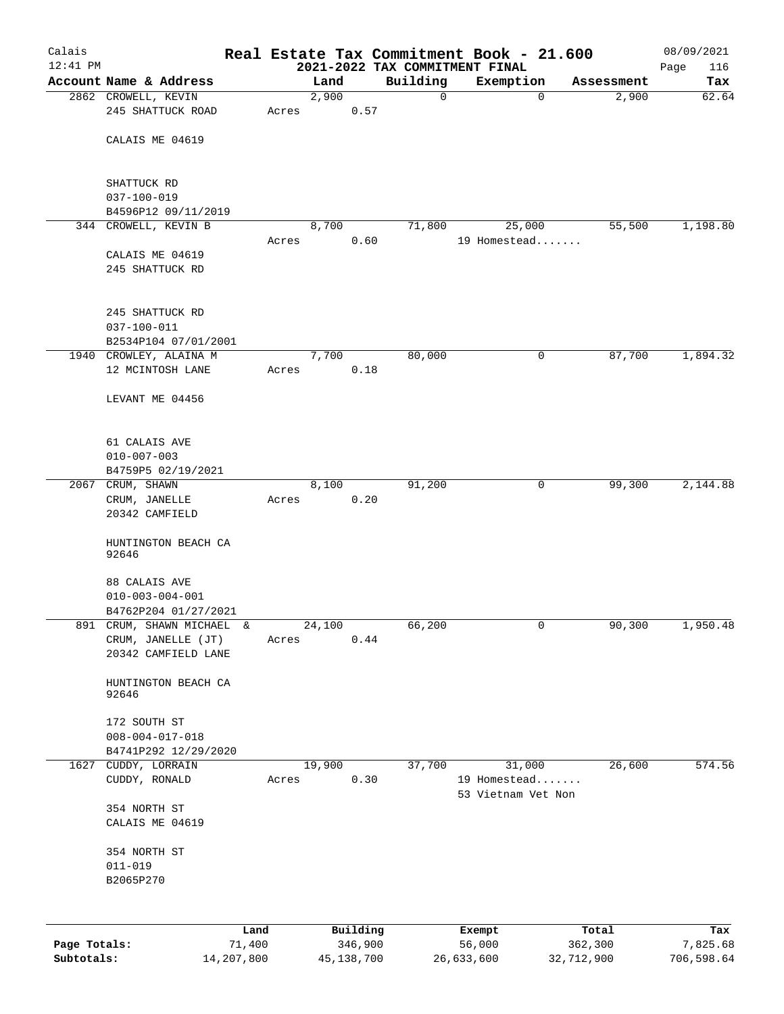| Calais       |                                                |            |       |        |              |          | Real Estate Tax Commitment Book - 21.600 |                        | 08/09/2021         |
|--------------|------------------------------------------------|------------|-------|--------|--------------|----------|------------------------------------------|------------------------|--------------------|
| $12:41$ PM   | Account Name & Address                         |            |       | Land   |              | Building | 2021-2022 TAX COMMITMENT FINAL           | Assessment             | 116<br>Page<br>Tax |
|              | 2862 CROWELL, KEVIN                            |            |       | 2,900  |              | 0        | Exemption                                | 2,900<br>0             | 62.64              |
|              | 245 SHATTUCK ROAD                              |            | Acres |        | 0.57         |          |                                          |                        |                    |
|              | CALAIS ME 04619                                |            |       |        |              |          |                                          |                        |                    |
|              | SHATTUCK RD                                    |            |       |        |              |          |                                          |                        |                    |
|              | $037 - 100 - 019$<br>B4596P12 09/11/2019       |            |       |        |              |          |                                          |                        |                    |
|              | 344 CROWELL, KEVIN B                           |            |       | 8,700  |              | 71,800   | 25,000                                   | 55,500                 | 1,198.80           |
|              |                                                |            | Acres |        | 0.60         |          | 19 Homestead                             |                        |                    |
|              | CALAIS ME 04619                                |            |       |        |              |          |                                          |                        |                    |
|              | 245 SHATTUCK RD                                |            |       |        |              |          |                                          |                        |                    |
|              | 245 SHATTUCK RD                                |            |       |        |              |          |                                          |                        |                    |
|              | 037-100-011                                    |            |       |        |              |          |                                          |                        |                    |
|              | B2534P104 07/01/2001<br>1940 CROWLEY, ALAINA M |            |       | 7,700  |              | 80,000   |                                          | 0<br>87,700            | 1,894.32           |
|              | 12 MCINTOSH LANE                               |            | Acres |        | 0.18         |          |                                          |                        |                    |
|              | LEVANT ME 04456                                |            |       |        |              |          |                                          |                        |                    |
|              |                                                |            |       |        |              |          |                                          |                        |                    |
|              | 61 CALAIS AVE                                  |            |       |        |              |          |                                          |                        |                    |
|              | $010 - 007 - 003$                              |            |       |        |              |          |                                          |                        |                    |
|              | B4759P5 02/19/2021                             |            |       |        |              |          |                                          |                        |                    |
|              | 2067 CRUM, SHAWN                               |            |       | 8,100  |              | 91,200   |                                          | $\mathbf{0}$<br>99,300 | 2,144.88           |
|              | CRUM, JANELLE<br>20342 CAMFIELD                |            | Acres |        | 0.20         |          |                                          |                        |                    |
|              | HUNTINGTON BEACH CA<br>92646                   |            |       |        |              |          |                                          |                        |                    |
|              | 88 CALAIS AVE                                  |            |       |        |              |          |                                          |                        |                    |
|              | $010 - 003 - 004 - 001$                        |            |       |        |              |          |                                          |                        |                    |
|              | B4762P204 01/27/2021                           |            |       |        |              |          |                                          |                        |                    |
| 891          | CRUM, SHAWN MICHAEL &                          |            |       | 24,100 |              | 66,200   |                                          | 0<br>90,300            | 1,950.48           |
|              | CRUM, JANELLE (JT)                             |            | Acres |        | 0.44         |          |                                          |                        |                    |
|              | 20342 CAMFIELD LANE                            |            |       |        |              |          |                                          |                        |                    |
|              | HUNTINGTON BEACH CA<br>92646                   |            |       |        |              |          |                                          |                        |                    |
|              | 172 SOUTH ST                                   |            |       |        |              |          |                                          |                        |                    |
|              | $008 - 004 - 017 - 018$                        |            |       |        |              |          |                                          |                        |                    |
|              | B4741P292 12/29/2020                           |            |       |        |              |          |                                          |                        |                    |
|              | 1627 CUDDY, LORRAIN                            |            |       | 19,900 |              | 37,700   | 31,000                                   | 26,600                 | 574.56             |
|              | CUDDY, RONALD                                  |            | Acres |        | 0.30         |          | 19 Homestead<br>53 Vietnam Vet Non       |                        |                    |
|              | 354 NORTH ST                                   |            |       |        |              |          |                                          |                        |                    |
|              | CALAIS ME 04619                                |            |       |        |              |          |                                          |                        |                    |
|              | 354 NORTH ST<br>$011 - 019$                    |            |       |        |              |          |                                          |                        |                    |
|              | B2065P270                                      |            |       |        |              |          |                                          |                        |                    |
|              |                                                | Land       |       |        | Building     |          | Exempt                                   | Total                  | Tax                |
| Page Totals: |                                                | 71,400     |       |        | 346,900      |          | 56,000                                   | 362,300                | 7,825.68           |
| Subtotals:   |                                                | 14,207,800 |       |        | 45, 138, 700 |          | 26,633,600                               | 32,712,900             | 706,598.64         |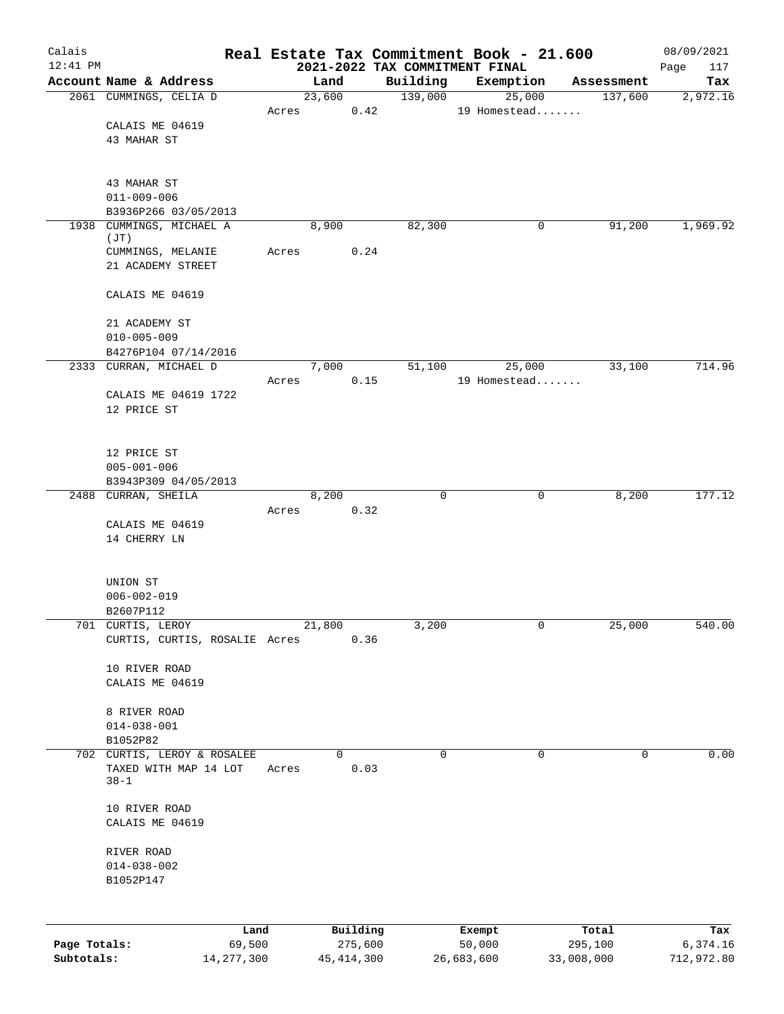| Calais       |                                                  |              |                |              |                     | Real Estate Tax Commitment Book - 21.600 |                       | 08/09/2021      |
|--------------|--------------------------------------------------|--------------|----------------|--------------|---------------------|------------------------------------------|-----------------------|-----------------|
| $12:41$ PM   |                                                  |              |                |              |                     | 2021-2022 TAX COMMITMENT FINAL           |                       | 117<br>Page     |
|              | Account Name & Address<br>2061 CUMMINGS, CELIA D |              | Land<br>23,600 |              | Building<br>139,000 | Exemption<br>25,000                      | Assessment<br>137,600 | Tax<br>2,972.16 |
|              |                                                  | Acres        |                | 0.42         |                     | 19 Homestead                             |                       |                 |
|              | CALAIS ME 04619                                  |              |                |              |                     |                                          |                       |                 |
|              | 43 MAHAR ST                                      |              |                |              |                     |                                          |                       |                 |
|              |                                                  |              |                |              |                     |                                          |                       |                 |
|              |                                                  |              |                |              |                     |                                          |                       |                 |
|              | 43 MAHAR ST<br>$011 - 009 - 006$                 |              |                |              |                     |                                          |                       |                 |
|              | B3936P266 03/05/2013                             |              |                |              |                     |                                          |                       |                 |
|              | 1938 CUMMINGS, MICHAEL A                         |              | 8,900          |              | 82,300              | 0                                        | 91,200                | 1,969.92        |
|              | (JT)                                             |              |                |              |                     |                                          |                       |                 |
|              | CUMMINGS, MELANIE                                | Acres        |                | 0.24         |                     |                                          |                       |                 |
|              | 21 ACADEMY STREET                                |              |                |              |                     |                                          |                       |                 |
|              | CALAIS ME 04619                                  |              |                |              |                     |                                          |                       |                 |
|              |                                                  |              |                |              |                     |                                          |                       |                 |
|              | 21 ACADEMY ST                                    |              |                |              |                     |                                          |                       |                 |
|              | $010 - 005 - 009$                                |              |                |              |                     |                                          |                       |                 |
|              | B4276P104 07/14/2016                             |              |                |              |                     |                                          |                       |                 |
|              | 2333 CURRAN, MICHAEL D                           |              | 7,000          | 0.15         | 51,100              | 25,000<br>19 Homestead                   | 33,100                | 714.96          |
|              | CALAIS ME 04619 1722                             | Acres        |                |              |                     |                                          |                       |                 |
|              | 12 PRICE ST                                      |              |                |              |                     |                                          |                       |                 |
|              |                                                  |              |                |              |                     |                                          |                       |                 |
|              |                                                  |              |                |              |                     |                                          |                       |                 |
|              | 12 PRICE ST                                      |              |                |              |                     |                                          |                       |                 |
|              | $005 - 001 - 006$                                |              |                |              |                     |                                          |                       |                 |
|              | B3943P309 04/05/2013<br>2488 CURRAN, SHEILA      |              | 8,200          |              | 0                   | 0                                        | 8,200                 | 177.12          |
|              |                                                  | Acres        |                | 0.32         |                     |                                          |                       |                 |
|              | CALAIS ME 04619                                  |              |                |              |                     |                                          |                       |                 |
|              | 14 CHERRY LN                                     |              |                |              |                     |                                          |                       |                 |
|              |                                                  |              |                |              |                     |                                          |                       |                 |
|              | UNION ST                                         |              |                |              |                     |                                          |                       |                 |
|              | $006 - 002 - 019$                                |              |                |              |                     |                                          |                       |                 |
|              | B2607P112                                        |              |                |              |                     |                                          |                       |                 |
|              | 701 CURTIS, LEROY                                |              | 21,800         |              | 3,200               | 0                                        | 25,000                | 540.00          |
|              | CURTIS, CURTIS, ROSALIE Acres                    |              |                | 0.36         |                     |                                          |                       |                 |
|              |                                                  |              |                |              |                     |                                          |                       |                 |
|              | 10 RIVER ROAD                                    |              |                |              |                     |                                          |                       |                 |
|              | CALAIS ME 04619                                  |              |                |              |                     |                                          |                       |                 |
|              | 8 RIVER ROAD                                     |              |                |              |                     |                                          |                       |                 |
|              | $014 - 038 - 001$                                |              |                |              |                     |                                          |                       |                 |
|              | B1052P82                                         |              |                |              |                     |                                          |                       |                 |
|              | 702 CURTIS, LEROY & ROSALEE                      |              | $\Omega$       |              | $\mathbf 0$         | $\mathbf 0$                              | 0                     | 0.00            |
|              | TAXED WITH MAP 14 LOT                            | Acres        |                | 0.03         |                     |                                          |                       |                 |
|              | $38 - 1$                                         |              |                |              |                     |                                          |                       |                 |
|              | 10 RIVER ROAD                                    |              |                |              |                     |                                          |                       |                 |
|              | CALAIS ME 04619                                  |              |                |              |                     |                                          |                       |                 |
|              |                                                  |              |                |              |                     |                                          |                       |                 |
|              | RIVER ROAD                                       |              |                |              |                     |                                          |                       |                 |
|              | $014 - 038 - 002$                                |              |                |              |                     |                                          |                       |                 |
|              | B1052P147                                        |              |                |              |                     |                                          |                       |                 |
|              |                                                  |              |                |              |                     |                                          |                       |                 |
|              |                                                  | Land         |                | Building     |                     | Exempt                                   | Total                 | Tax             |
| Page Totals: |                                                  | 69,500       |                | 275,600      |                     | 50,000                                   | 295,100               | 6,374.16        |
| Subtotals:   |                                                  | 14, 277, 300 |                | 45, 414, 300 |                     | 26,683,600                               | 33,008,000            | 712,972.80      |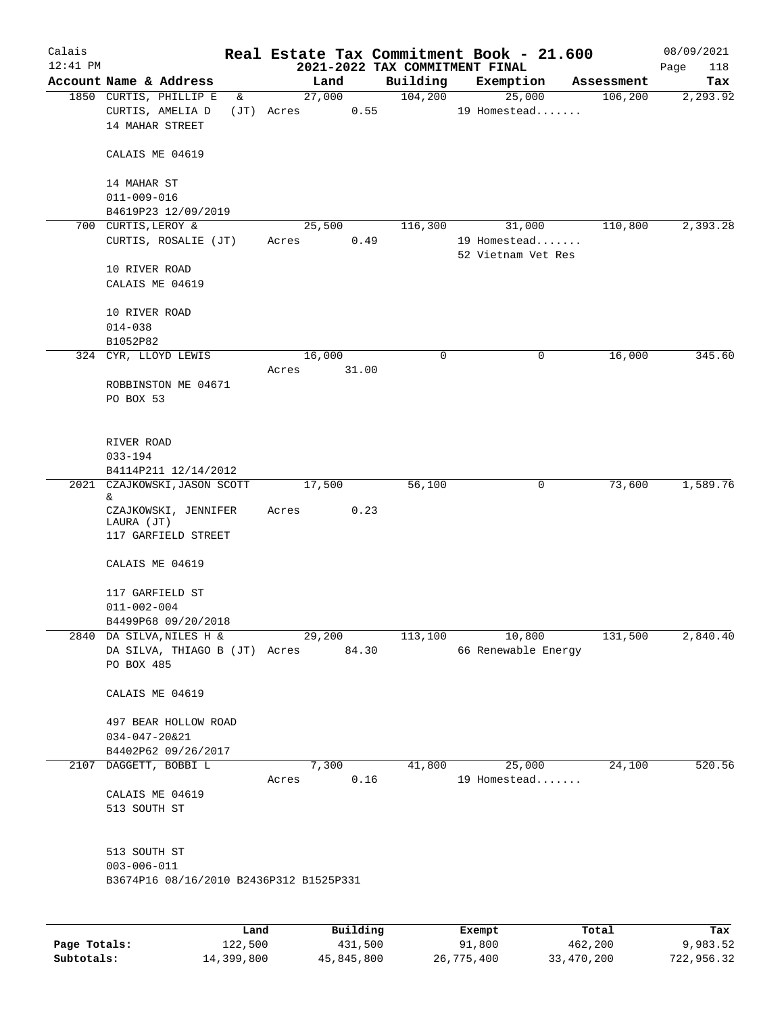| Calais     |                                                           |       |                |          |                     | Real Estate Tax Commitment Book - 21.600 |                        | 08/09/2021      |
|------------|-----------------------------------------------------------|-------|----------------|----------|---------------------|------------------------------------------|------------------------|-----------------|
| $12:41$ PM |                                                           |       |                |          |                     | 2021-2022 TAX COMMITMENT FINAL           |                        | Page<br>118     |
|            | Account Name & Address<br>1850 CURTIS, PHILLIP E<br>&     |       | Land<br>27,000 |          | Building<br>104,200 | Exemption<br>25,000                      | Assessment<br>106, 200 | Tax<br>2,293.92 |
|            | CURTIS, AMELIA D<br>14 MAHAR STREET                       |       | (JT) Acres     | 0.55     |                     | 19 Homestead                             |                        |                 |
|            | CALAIS ME 04619                                           |       |                |          |                     |                                          |                        |                 |
|            | 14 MAHAR ST<br>$011 - 009 - 016$                          |       |                |          |                     |                                          |                        |                 |
|            | B4619P23 12/09/2019                                       |       |                |          |                     |                                          |                        |                 |
|            | 700 CURTIS, LEROY &                                       |       | 25,500         |          | 116,300             | 31,000                                   | 110,800                | 2,393.28        |
|            | CURTIS, ROSALIE (JT)                                      |       | Acres          | 0.49     |                     | 19 Homestead<br>52 Vietnam Vet Res       |                        |                 |
|            | 10 RIVER ROAD<br>CALAIS ME 04619                          |       |                |          |                     |                                          |                        |                 |
|            | 10 RIVER ROAD<br>$014 - 038$                              |       |                |          |                     |                                          |                        |                 |
|            | B1052P82                                                  |       |                |          |                     |                                          |                        |                 |
|            | 324 CYR, LLOYD LEWIS                                      |       | 16,000         |          | 0                   |                                          | 16,000<br>0            | 345.60          |
|            |                                                           | Acres |                | 31.00    |                     |                                          |                        |                 |
|            | ROBBINSTON ME 04671                                       |       |                |          |                     |                                          |                        |                 |
|            | PO BOX 53                                                 |       |                |          |                     |                                          |                        |                 |
|            | RIVER ROAD                                                |       |                |          |                     |                                          |                        |                 |
|            | $033 - 194$                                               |       |                |          |                     |                                          |                        |                 |
|            | B4114P211 12/14/2012                                      |       | 17,500         |          |                     |                                          | 73,600<br>0            | 1,589.76        |
|            | 2021 CZAJKOWSKI, JASON SCOTT<br>&                         |       |                |          | 56,100              |                                          |                        |                 |
|            | CZAJKOWSKI, JENNIFER<br>LAURA (JT)<br>117 GARFIELD STREET | Acres |                | 0.23     |                     |                                          |                        |                 |
|            | CALAIS ME 04619                                           |       |                |          |                     |                                          |                        |                 |
|            | 117 GARFIELD ST<br>$011 - 002 - 004$                      |       |                |          |                     |                                          |                        |                 |
|            | B4499P68 09/20/2018                                       |       |                |          |                     |                                          |                        |                 |
|            | 2840 DA SILVA, NILES H &                                  |       | 29,200         |          | 113,100             | 10,800                                   | 131,500                | 2,840.40        |
|            | DA SILVA, THIAGO B (JT) Acres 84.30<br>PO BOX 485         |       |                |          |                     | 66 Renewable Energy                      |                        |                 |
|            | CALAIS ME 04619                                           |       |                |          |                     |                                          |                        |                 |
|            | 497 BEAR HOLLOW ROAD                                      |       |                |          |                     |                                          |                        |                 |
|            | $034 - 047 - 20221$                                       |       |                |          |                     |                                          |                        |                 |
|            | B4402P62 09/26/2017                                       |       |                |          |                     |                                          |                        |                 |
|            | 2107 DAGGETT, BOBBI L                                     |       | 7,300          |          | 41,800              | 25,000                                   | 24,100                 | 520.56          |
|            | CALAIS ME 04619<br>513 SOUTH ST                           | Acres |                | 0.16     |                     | 19 Homestead                             |                        |                 |
|            | 513 SOUTH ST<br>$003 - 006 - 011$                         |       |                |          |                     |                                          |                        |                 |
|            | B3674P16 08/16/2010 B2436P312 B1525P331                   |       |                |          |                     |                                          |                        |                 |
|            |                                                           |       |                |          |                     |                                          |                        |                 |
|            |                                                           | Land  |                | Building |                     | Exempt                                   | Total                  | Tax             |

|              | nana       | <b>DUITOTII</b> A | LACINDL    | TOLAT      | 1ax.       |
|--------------|------------|-------------------|------------|------------|------------|
| Page Totals: | 122,500    | 431,500           | 91,800     | 462,200    | 9,983.52   |
| Subtotals:   | 14,399,800 | 45,845,800        | 26,775,400 | 33,470,200 | 722,956.32 |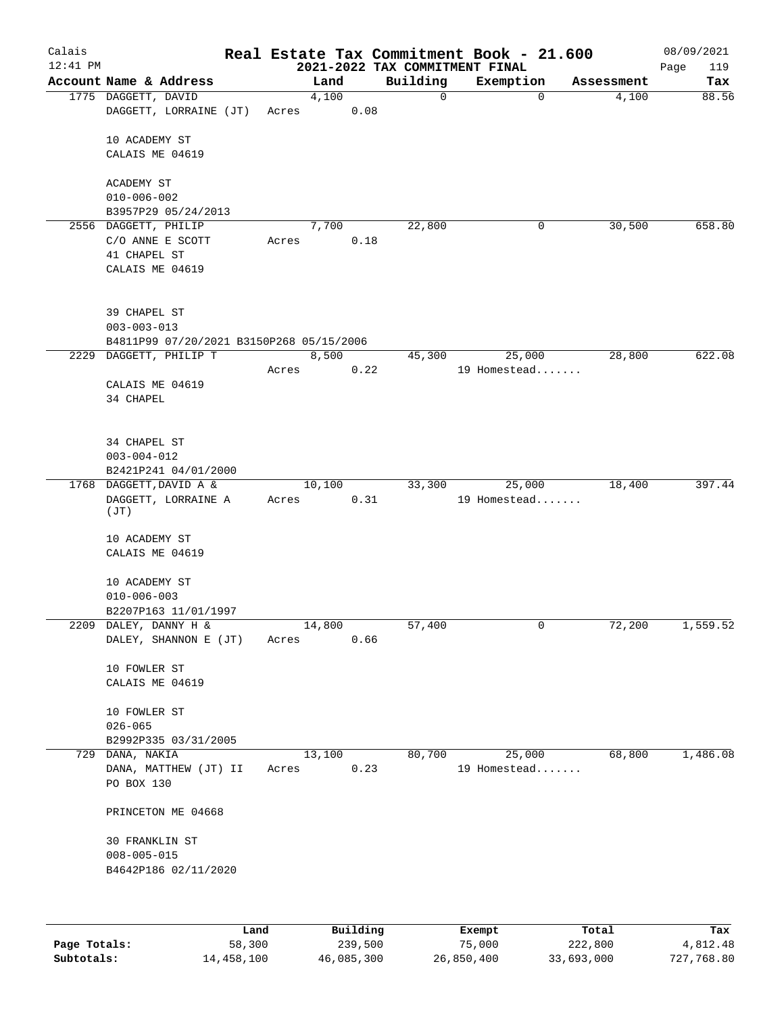| Calais<br>$12:41$ PM |                                                                               |       |        |      | Real Estate Tax Commitment Book - 21.600<br>2021-2022 TAX COMMITMENT FINAL |              |             |            | 08/09/2021<br>119<br>Page |
|----------------------|-------------------------------------------------------------------------------|-------|--------|------|----------------------------------------------------------------------------|--------------|-------------|------------|---------------------------|
|                      | Account Name & Address                                                        |       | Land   |      | Building                                                                   | Exemption    |             | Assessment | Tax                       |
|                      | 1775 DAGGETT, DAVID<br>DAGGETT, LORRAINE (JT)                                 | Acres | 4,100  | 0.08 | 0                                                                          |              | $\mathbf 0$ | 4,100      | 88.56                     |
|                      | 10 ACADEMY ST<br>CALAIS ME 04619                                              |       |        |      |                                                                            |              |             |            |                           |
|                      | ACADEMY ST<br>$010 - 006 - 002$                                               |       |        |      |                                                                            |              |             |            |                           |
|                      | B3957P29 05/24/2013                                                           |       |        |      |                                                                            |              |             |            |                           |
|                      | 2556 DAGGETT, PHILIP<br>C/O ANNE E SCOTT<br>41 CHAPEL ST<br>CALAIS ME 04619   | Acres | 7,700  | 0.18 | 22,800                                                                     |              | 0           | 30,500     | 658.80                    |
|                      | 39 CHAPEL ST<br>$003 - 003 - 013$<br>B4811P99 07/20/2021 B3150P268 05/15/2006 |       |        |      |                                                                            |              |             |            |                           |
| 2229                 | DAGGETT, PHILIP T                                                             |       | 8,500  |      | 45,300                                                                     |              | 25,000      | 28,800     | 622.08                    |
|                      | CALAIS ME 04619<br>34 CHAPEL                                                  | Acres |        | 0.22 |                                                                            | 19 Homestead |             |            |                           |
|                      | 34 CHAPEL ST<br>$003 - 004 - 012$<br>B2421P241 04/01/2000                     |       |        |      |                                                                            |              |             |            |                           |
|                      | 1768 DAGGETT, DAVID A &                                                       |       | 10,100 |      | 33,300                                                                     |              | 25,000      | 18,400     | 397.44                    |
|                      | DAGGETT, LORRAINE A<br>(JT)                                                   | Acres |        | 0.31 |                                                                            | 19 Homestead |             |            |                           |
|                      | 10 ACADEMY ST<br>CALAIS ME 04619                                              |       |        |      |                                                                            |              |             |            |                           |
|                      | 10 ACADEMY ST<br>$010 - 006 - 003$                                            |       |        |      |                                                                            |              |             |            |                           |
|                      | B2207P163 11/01/1997<br>2209 DALEY, DANNY H &                                 |       | 14,800 |      | 57,400                                                                     |              | 0           | 72,200     | 1,559.52                  |
|                      | DALEY, SHANNON E (JT)                                                         | Acres |        | 0.66 |                                                                            |              |             |            |                           |
|                      | 10 FOWLER ST<br>CALAIS ME 04619                                               |       |        |      |                                                                            |              |             |            |                           |
|                      | 10 FOWLER ST<br>$026 - 065$                                                   |       |        |      |                                                                            |              |             |            |                           |
| 729                  | B2992P335 03/31/2005<br>DANA, NAKIA                                           |       | 13,100 |      | 80,700                                                                     |              | 25,000      | 68,800     | 1,486.08                  |
|                      | DANA, MATTHEW (JT) II<br>PO BOX 130                                           | Acres |        | 0.23 |                                                                            | 19 Homestead |             |            |                           |
|                      | PRINCETON ME 04668                                                            |       |        |      |                                                                            |              |             |            |                           |
|                      | <b>30 FRANKLIN ST</b><br>$008 - 005 - 015$<br>B4642P186 02/11/2020            |       |        |      |                                                                            |              |             |            |                           |
|                      |                                                                               |       |        |      |                                                                            |              |             |            |                           |

|              | Land       | Building   | Exempt     | Total      | Tax        |
|--------------|------------|------------|------------|------------|------------|
| Page Totals: | 58,300     | 239,500    | 75,000     | 222,800    | 4,812.48   |
| Subtotals:   | 14,458,100 | 46,085,300 | 26,850,400 | 33,693,000 | 727,768.80 |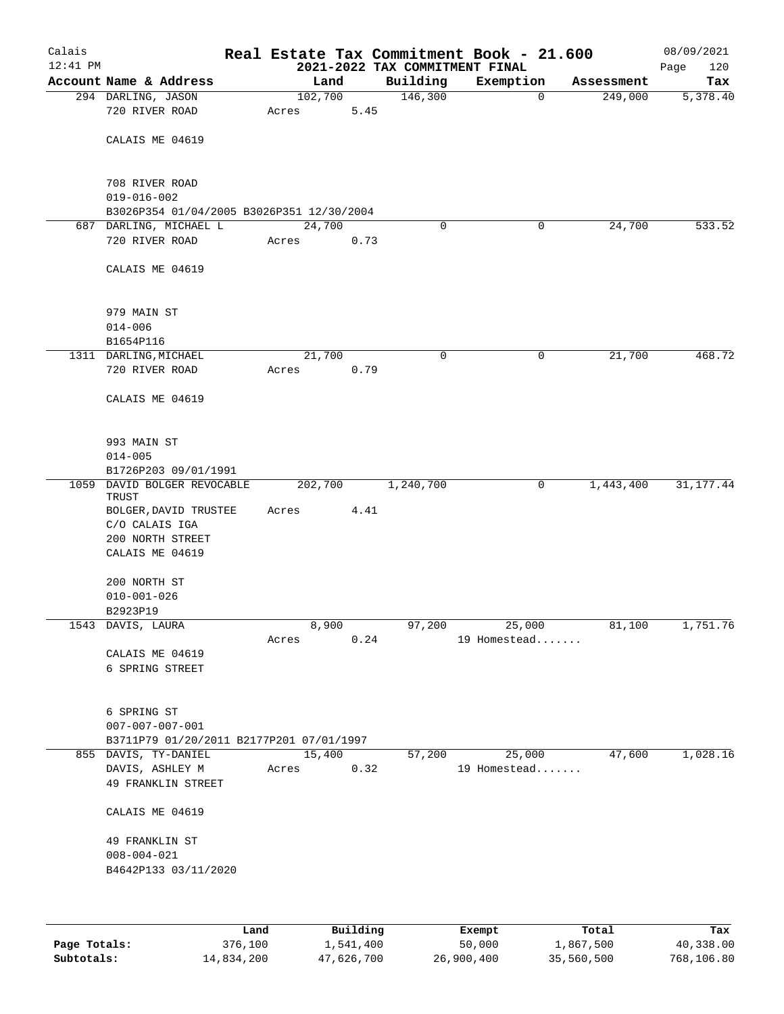| Calais<br>$12:41$ PM |                                           |         |        | 2021-2022 TAX COMMITMENT FINAL | Real Estate Tax Commitment Book - 21.600 |            | 08/09/2021<br>120<br>Page |
|----------------------|-------------------------------------------|---------|--------|--------------------------------|------------------------------------------|------------|---------------------------|
|                      | Account Name & Address                    |         | Land   | Building                       | Exemption                                | Assessment | Tax                       |
|                      | 294 DARLING, JASON                        | 102,700 |        | 146,300                        | $\mathbf 0$                              | 249,000    | 5,378.40                  |
|                      | 720 RIVER ROAD                            | Acres   | 5.45   |                                |                                          |            |                           |
|                      | CALAIS ME 04619                           |         |        |                                |                                          |            |                           |
|                      | 708 RIVER ROAD                            |         |        |                                |                                          |            |                           |
|                      | $019 - 016 - 002$                         |         |        |                                |                                          |            |                           |
|                      | B3026P354 01/04/2005 B3026P351 12/30/2004 |         |        |                                |                                          |            |                           |
|                      | 687 DARLING, MICHAEL L                    | 24,700  |        | 0                              | 0                                        | 24,700     | 533.52                    |
|                      | 720 RIVER ROAD                            | Acres   | 0.73   |                                |                                          |            |                           |
|                      | CALAIS ME 04619                           |         |        |                                |                                          |            |                           |
|                      | 979 MAIN ST                               |         |        |                                |                                          |            |                           |
|                      | $014 - 006$                               |         |        |                                |                                          |            |                           |
|                      | B1654P116                                 |         |        |                                |                                          |            |                           |
|                      | 1311 DARLING, MICHAEL                     | 21,700  |        | 0                              | 0                                        | 21,700     | 468.72                    |
|                      | 720 RIVER ROAD                            | Acres   | 0.79   |                                |                                          |            |                           |
|                      | CALAIS ME 04619                           |         |        |                                |                                          |            |                           |
|                      | 993 MAIN ST                               |         |        |                                |                                          |            |                           |
|                      | $014 - 005$                               |         |        |                                |                                          |            |                           |
|                      | B1726P203 09/01/1991                      |         |        |                                |                                          |            |                           |
|                      | 1059 DAVID BOLGER REVOCABLE<br>TRUST      | 202,700 |        | 1,240,700                      | 0                                        | 1,443,400  | 31, 177. 44               |
|                      | BOLGER, DAVID TRUSTEE<br>C/O CALAIS IGA   | Acres   | 4.41   |                                |                                          |            |                           |
|                      | 200 NORTH STREET<br>CALAIS ME 04619       |         |        |                                |                                          |            |                           |
|                      | 200 NORTH ST                              |         |        |                                |                                          |            |                           |
|                      | $010 - 001 - 026$                         |         |        |                                |                                          |            |                           |
|                      | B2923P19                                  |         |        |                                |                                          |            |                           |
|                      | 1543 DAVIS, LAURA                         |         | 8,900  | 97,200                         | 25,000                                   | 81,100     | 1,751.76                  |
|                      |                                           | Acres   | 0.24   |                                | 19 Homestead                             |            |                           |
|                      | CALAIS ME 04619<br>6 SPRING STREET        |         |        |                                |                                          |            |                           |
|                      |                                           |         |        |                                |                                          |            |                           |
|                      | 6 SPRING ST                               |         |        |                                |                                          |            |                           |
|                      | $007 - 007 - 007 - 001$                   |         |        |                                |                                          |            |                           |
|                      | B3711P79 01/20/2011 B2177P201 07/01/1997  |         |        |                                |                                          |            |                           |
|                      | 855 DAVIS, TY-DANIEL                      |         | 15,400 | 57,200                         | 25,000                                   | 47,600     | 1,028.16                  |
|                      | DAVIS, ASHLEY M<br>49 FRANKLIN STREET     | Acres   | 0.32   |                                | 19 Homestead                             |            |                           |
|                      | CALAIS ME 04619                           |         |        |                                |                                          |            |                           |
|                      | 49 FRANKLIN ST                            |         |        |                                |                                          |            |                           |
|                      | $008 - 004 - 021$                         |         |        |                                |                                          |            |                           |
|                      | B4642P133 03/11/2020                      |         |        |                                |                                          |            |                           |
|                      |                                           |         |        |                                |                                          |            |                           |
|                      |                                           |         |        |                                |                                          |            |                           |

|              | Land       | Building   | Exempt     | Total      | Tax        |
|--------------|------------|------------|------------|------------|------------|
| Page Totals: | 376,100    | 1,541,400  | 50,000     | 1,867,500  | 40,338.00  |
| Subtotals:   | 14,834,200 | 47,626,700 | 26,900,400 | 35,560,500 | 768,106.80 |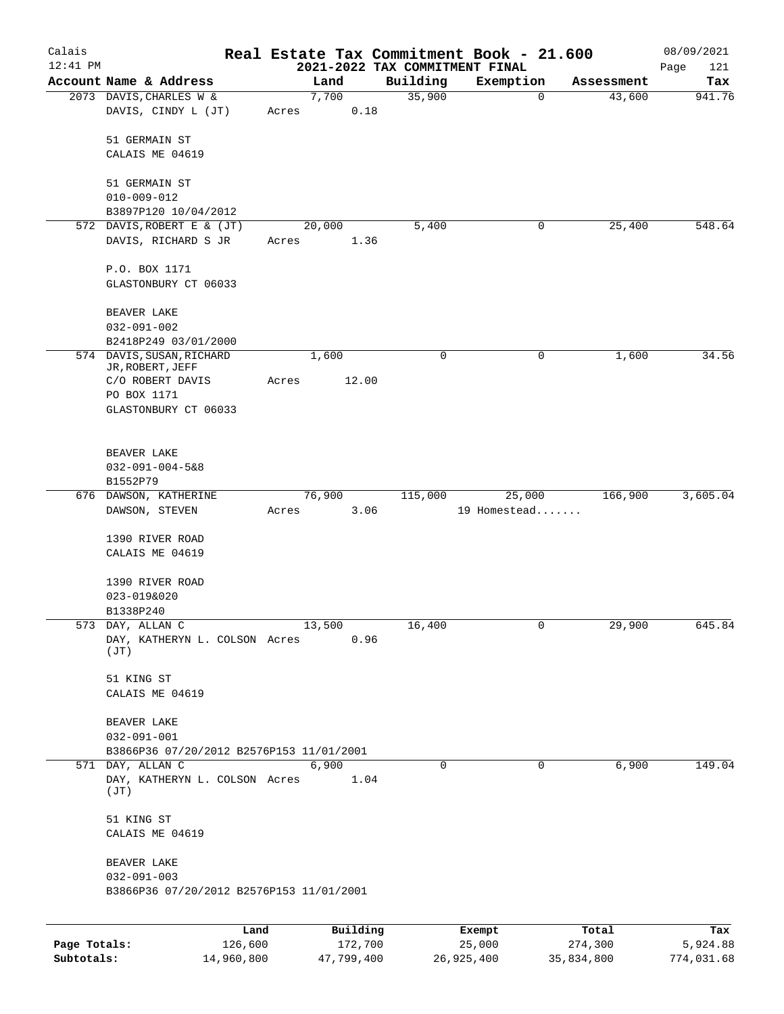| Calais<br>$12:41$ PM |                                                               |       |                |                                            | Real Estate Tax Commitment Book - 21.600 |            | 08/09/2021         |
|----------------------|---------------------------------------------------------------|-------|----------------|--------------------------------------------|------------------------------------------|------------|--------------------|
|                      | Account Name & Address                                        |       | Land           | 2021-2022 TAX COMMITMENT FINAL<br>Building | Exemption                                | Assessment | Page<br>121<br>Tax |
|                      | 2073 DAVIS, CHARLES W &                                       |       | 7,700          | 35,900                                     | $\mathbf 0$                              | 43,600     | 941.76             |
|                      | DAVIS, CINDY L (JT)                                           | Acres | 0.18           |                                            |                                          |            |                    |
|                      | 51 GERMAIN ST                                                 |       |                |                                            |                                          |            |                    |
|                      | CALAIS ME 04619                                               |       |                |                                            |                                          |            |                    |
|                      | 51 GERMAIN ST                                                 |       |                |                                            |                                          |            |                    |
|                      | $010 - 009 - 012$                                             |       |                |                                            |                                          |            |                    |
|                      | B3897P120 10/04/2012                                          |       |                |                                            |                                          |            |                    |
|                      | 572 DAVIS, ROBERT E & (JT)<br>DAVIS, RICHARD S JR             | Acres | 20,000<br>1.36 | 5,400                                      | 0                                        | 25,400     | 548.64             |
|                      | P.O. BOX 1171                                                 |       |                |                                            |                                          |            |                    |
|                      | GLASTONBURY CT 06033                                          |       |                |                                            |                                          |            |                    |
|                      | BEAVER LAKE<br>$032 - 091 - 002$                              |       |                |                                            |                                          |            |                    |
|                      | B2418P249 03/01/2000                                          |       |                |                                            |                                          |            |                    |
|                      | 574 DAVIS, SUSAN, RICHARD<br>JR, ROBERT, JEFF                 |       | 1,600          | 0                                          | 0                                        | 1,600      | 34.56              |
|                      | C/O ROBERT DAVIS                                              | Acres | 12.00          |                                            |                                          |            |                    |
|                      | PO BOX 1171                                                   |       |                |                                            |                                          |            |                    |
|                      | GLASTONBURY CT 06033                                          |       |                |                                            |                                          |            |                    |
|                      | BEAVER LAKE                                                   |       |                |                                            |                                          |            |                    |
|                      | $032 - 091 - 004 - 588$                                       |       |                |                                            |                                          |            |                    |
|                      | B1552P79                                                      |       |                |                                            |                                          |            |                    |
|                      | 676 DAWSON, KATHERINE<br>DAWSON, STEVEN                       | Acres | 76,900<br>3.06 | 115,000                                    | 25,000<br>19 Homestead                   | 166,900    | 3,605.04           |
|                      |                                                               |       |                |                                            |                                          |            |                    |
|                      | 1390 RIVER ROAD                                               |       |                |                                            |                                          |            |                    |
|                      | CALAIS ME 04619                                               |       |                |                                            |                                          |            |                    |
|                      | 1390 RIVER ROAD                                               |       |                |                                            |                                          |            |                    |
|                      | 023-019&020                                                   |       |                |                                            |                                          |            |                    |
|                      | B1338P240                                                     |       |                |                                            |                                          |            |                    |
|                      | 573 DAY, ALLAN C<br>DAY, KATHERYN L. COLSON Acres<br>(TT)     |       | 13,500<br>0.96 | 16,400                                     | 0                                        | 29,900     | 645.84             |
|                      | 51 KING ST                                                    |       |                |                                            |                                          |            |                    |
|                      | CALAIS ME 04619                                               |       |                |                                            |                                          |            |                    |
|                      | BEAVER LAKE                                                   |       |                |                                            |                                          |            |                    |
|                      | $032 - 091 - 001$                                             |       |                |                                            |                                          |            |                    |
|                      | B3866P36 07/20/2012 B2576P153 11/01/2001                      |       |                |                                            |                                          |            |                    |
|                      | 571 DAY, ALLAN C<br>DAY, KATHERYN L. COLSON Acres             |       | 6,900<br>1.04  | 0                                          | 0                                        | 6,900      | 149.04             |
|                      | (JT)                                                          |       |                |                                            |                                          |            |                    |
|                      | 51 KING ST                                                    |       |                |                                            |                                          |            |                    |
|                      | CALAIS ME 04619                                               |       |                |                                            |                                          |            |                    |
|                      | BEAVER LAKE                                                   |       |                |                                            |                                          |            |                    |
|                      | $032 - 091 - 003$<br>B3866P36 07/20/2012 B2576P153 11/01/2001 |       |                |                                            |                                          |            |                    |
|                      |                                                               |       |                |                                            |                                          |            |                    |
|                      | Land                                                          |       | Building       |                                            | Exempt                                   | Total      | Tax                |
| Page Totals:         | 126,600                                                       |       | 172,700        |                                            | 25,000                                   | 274,300    | 5,924.88           |

**Subtotals:** 14,960,800 47,799,400 26,925,400 35,834,800 774,031.68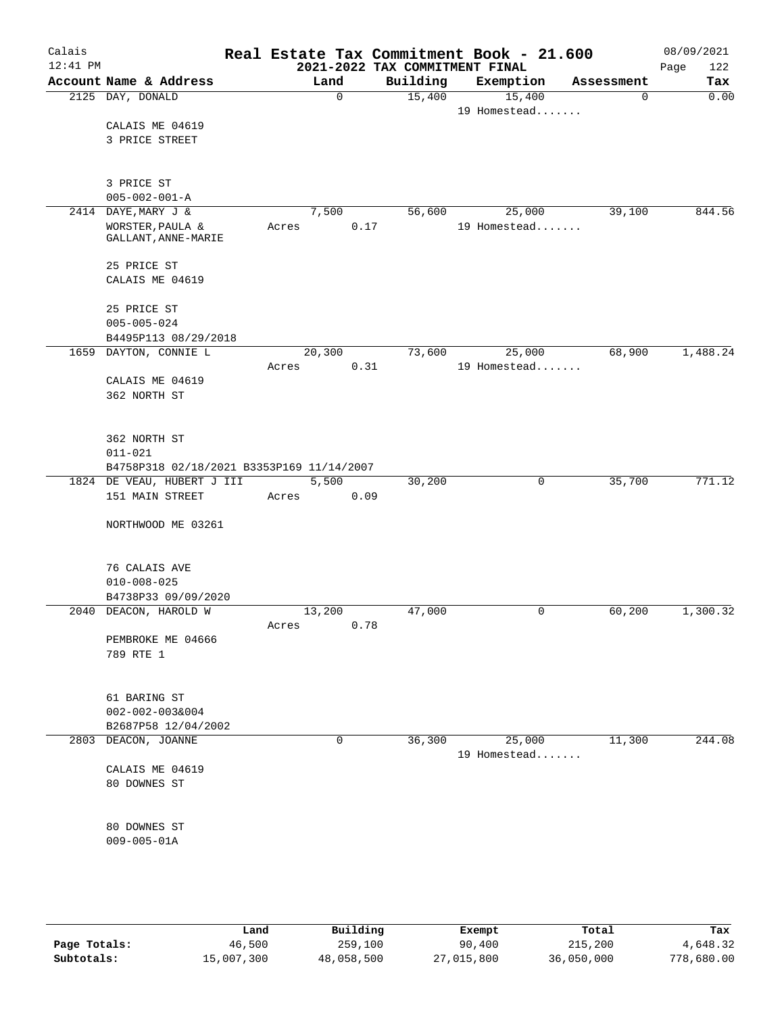| Calais<br>12:41 PM |                                           |       |               |                                            | Real Estate Tax Commitment Book - 21.600 |            | 08/09/2021         |
|--------------------|-------------------------------------------|-------|---------------|--------------------------------------------|------------------------------------------|------------|--------------------|
|                    | Account Name & Address                    |       | Land          | 2021-2022 TAX COMMITMENT FINAL<br>Building | Exemption                                | Assessment | 122<br>Page<br>Tax |
|                    | 2125 DAY, DONALD                          |       | $\mathbf 0$   | 15,400                                     | 15,400                                   | 0          | 0.00               |
|                    |                                           |       |               |                                            | 19 Homestead                             |            |                    |
|                    | CALAIS ME 04619                           |       |               |                                            |                                          |            |                    |
|                    | 3 PRICE STREET                            |       |               |                                            |                                          |            |                    |
|                    |                                           |       |               |                                            |                                          |            |                    |
|                    |                                           |       |               |                                            |                                          |            |                    |
|                    | 3 PRICE ST                                |       |               |                                            |                                          |            |                    |
|                    | $005 - 002 - 001 - A$                     |       |               |                                            |                                          |            |                    |
| 2414               | DAYE, MARY J &                            |       | 7,500<br>0.17 | 56,600                                     | 25,000<br>19 Homestead                   | 39,100     | 844.56             |
|                    | WORSTER, PAULA &<br>GALLANT, ANNE-MARIE   | Acres |               |                                            |                                          |            |                    |
|                    |                                           |       |               |                                            |                                          |            |                    |
|                    | 25 PRICE ST                               |       |               |                                            |                                          |            |                    |
|                    | CALAIS ME 04619                           |       |               |                                            |                                          |            |                    |
|                    |                                           |       |               |                                            |                                          |            |                    |
|                    | 25 PRICE ST                               |       |               |                                            |                                          |            |                    |
|                    | $005 - 005 - 024$                         |       |               |                                            |                                          |            |                    |
|                    | B4495P113 08/29/2018                      |       |               |                                            |                                          |            |                    |
|                    | 1659 DAYTON, CONNIE L                     |       | 20,300        | 73,600                                     | 25,000                                   | 68,900     | 1,488.24           |
|                    |                                           | Acres | 0.31          |                                            | 19 Homestead                             |            |                    |
|                    | CALAIS ME 04619                           |       |               |                                            |                                          |            |                    |
|                    | 362 NORTH ST                              |       |               |                                            |                                          |            |                    |
|                    |                                           |       |               |                                            |                                          |            |                    |
|                    | 362 NORTH ST                              |       |               |                                            |                                          |            |                    |
|                    | $011 - 021$                               |       |               |                                            |                                          |            |                    |
|                    | B4758P318 02/18/2021 B3353P169 11/14/2007 |       |               |                                            |                                          |            |                    |
|                    | 1824 DE VEAU, HUBERT J III                |       | 5,500         | 30,200                                     | 0                                        | 35,700     | 771.12             |
|                    | 151 MAIN STREET                           | Acres | 0.09          |                                            |                                          |            |                    |
|                    |                                           |       |               |                                            |                                          |            |                    |
|                    | NORTHWOOD ME 03261                        |       |               |                                            |                                          |            |                    |
|                    |                                           |       |               |                                            |                                          |            |                    |
|                    |                                           |       |               |                                            |                                          |            |                    |
|                    | 76 CALAIS AVE<br>$010 - 008 - 025$        |       |               |                                            |                                          |            |                    |
|                    | B4738P33 09/09/2020                       |       |               |                                            |                                          |            |                    |
|                    | 2040 DEACON, HAROLD W                     |       | 13,200        | 47,000                                     | $\mathbf 0$                              | 60,200     | 1,300.32           |
|                    |                                           | Acres | 0.78          |                                            |                                          |            |                    |
|                    | PEMBROKE ME 04666                         |       |               |                                            |                                          |            |                    |
|                    | 789 RTE 1                                 |       |               |                                            |                                          |            |                    |
|                    |                                           |       |               |                                            |                                          |            |                    |
|                    |                                           |       |               |                                            |                                          |            |                    |
|                    | 61 BARING ST                              |       |               |                                            |                                          |            |                    |
|                    | $002 - 002 - 003&004$                     |       |               |                                            |                                          |            |                    |
|                    | B2687P58 12/04/2002                       |       |               |                                            |                                          |            |                    |
|                    | 2803 DEACON, JOANNE                       |       | 0             | 36,300                                     | 25,000                                   | 11,300     | 244.08             |
|                    |                                           |       |               |                                            | 19 Homestead                             |            |                    |
|                    | CALAIS ME 04619                           |       |               |                                            |                                          |            |                    |
|                    | 80 DOWNES ST                              |       |               |                                            |                                          |            |                    |
|                    |                                           |       |               |                                            |                                          |            |                    |
|                    | 80 DOWNES ST                              |       |               |                                            |                                          |            |                    |
|                    | $009 - 005 - 01A$                         |       |               |                                            |                                          |            |                    |
|                    |                                           |       |               |                                            |                                          |            |                    |
|                    |                                           |       |               |                                            |                                          |            |                    |
|                    |                                           |       |               |                                            |                                          |            |                    |

|              | Land       | Building   | Exempt     | Total      | Tax        |
|--------------|------------|------------|------------|------------|------------|
| Page Totals: | 46,500     | 259,100    | 90,400     | 215,200    | 4,648.32   |
| Subtotals:   | 15,007,300 | 48,058,500 | 27,015,800 | 36,050,000 | 778,680.00 |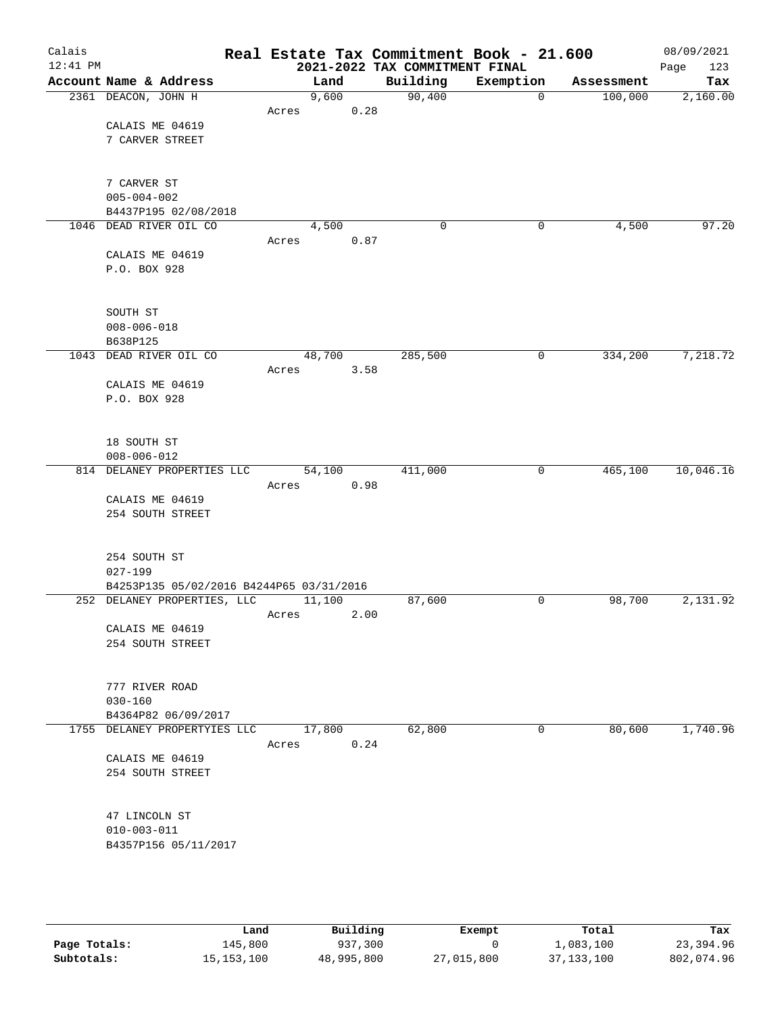| Calais     |                                                         |       |        |      | Real Estate Tax Commitment Book - 21.600 |              |            | 08/09/2021  |
|------------|---------------------------------------------------------|-------|--------|------|------------------------------------------|--------------|------------|-------------|
| $12:41$ PM |                                                         |       |        |      | 2021-2022 TAX COMMITMENT FINAL           |              |            | 123<br>Page |
|            | Account Name & Address                                  |       | Land   |      | Building                                 | Exemption    | Assessment | Tax         |
|            | 2361 DEACON, JOHN H                                     |       | 9,600  |      | 90,400                                   | $\mathbf{0}$ | 100,000    | 2,160.00    |
|            | CALAIS ME 04619                                         | Acres |        | 0.28 |                                          |              |            |             |
|            | 7 CARVER STREET                                         |       |        |      |                                          |              |            |             |
|            |                                                         |       |        |      |                                          |              |            |             |
|            |                                                         |       |        |      |                                          |              |            |             |
|            | 7 CARVER ST                                             |       |        |      |                                          |              |            |             |
|            | $005 - 004 - 002$                                       |       |        |      |                                          |              |            |             |
|            | B4437P195 02/08/2018                                    |       |        |      |                                          |              |            |             |
|            | 1046 DEAD RIVER OIL CO                                  |       | 4,500  |      | 0                                        | 0            | 4,500      | 97.20       |
|            |                                                         | Acres |        | 0.87 |                                          |              |            |             |
|            | CALAIS ME 04619<br>P.O. BOX 928                         |       |        |      |                                          |              |            |             |
|            |                                                         |       |        |      |                                          |              |            |             |
|            | SOUTH ST                                                |       |        |      |                                          |              |            |             |
|            | $008 - 006 - 018$                                       |       |        |      |                                          |              |            |             |
|            | B638P125                                                |       |        |      |                                          |              |            |             |
| 1043       | DEAD RIVER OIL CO                                       |       | 48,700 |      | 285,500                                  | 0            | 334,200    | 7,218.72    |
|            |                                                         | Acres |        | 3.58 |                                          |              |            |             |
|            | CALAIS ME 04619                                         |       |        |      |                                          |              |            |             |
|            | P.O. BOX 928                                            |       |        |      |                                          |              |            |             |
|            |                                                         |       |        |      |                                          |              |            |             |
|            | 18 SOUTH ST                                             |       |        |      |                                          |              |            |             |
|            | $008 - 006 - 012$                                       |       |        |      |                                          |              |            |             |
|            | 814 DELANEY PROPERTIES LLC                              |       | 54,100 |      | 411,000                                  | 0            | 465,100    | 10,046.16   |
|            |                                                         | Acres |        | 0.98 |                                          |              |            |             |
|            | CALAIS ME 04619                                         |       |        |      |                                          |              |            |             |
|            | 254 SOUTH STREET                                        |       |        |      |                                          |              |            |             |
|            |                                                         |       |        |      |                                          |              |            |             |
|            | 254 SOUTH ST                                            |       |        |      |                                          |              |            |             |
|            | $027 - 199$<br>B4253P135 05/02/2016 B4244P65 03/31/2016 |       |        |      |                                          |              |            |             |
|            | 252 DELANEY PROPERTIES, LLC                             |       | 11,100 |      | 87,600                                   | $\mathsf{O}$ | 98,700     | 2,131.92    |
|            |                                                         | Acres |        | 2.00 |                                          |              |            |             |
|            | CALAIS ME 04619                                         |       |        |      |                                          |              |            |             |
|            | 254 SOUTH STREET                                        |       |        |      |                                          |              |            |             |
|            |                                                         |       |        |      |                                          |              |            |             |
|            | 777 RIVER ROAD                                          |       |        |      |                                          |              |            |             |
|            | $030 - 160$                                             |       |        |      |                                          |              |            |             |
|            | B4364P82 06/09/2017                                     |       |        |      |                                          |              |            |             |
|            | 1755 DELANEY PROPERTYIES LLC                            |       | 17,800 |      | 62,800                                   | 0            | 80,600     | 1,740.96    |
|            |                                                         | Acres |        | 0.24 |                                          |              |            |             |
|            | CALAIS ME 04619                                         |       |        |      |                                          |              |            |             |
|            | 254 SOUTH STREET                                        |       |        |      |                                          |              |            |             |
|            |                                                         |       |        |      |                                          |              |            |             |
|            | 47 LINCOLN ST<br>$010 - 003 - 011$                      |       |        |      |                                          |              |            |             |
|            | B4357P156 05/11/2017                                    |       |        |      |                                          |              |            |             |
|            |                                                         |       |        |      |                                          |              |            |             |
|            |                                                         |       |        |      |                                          |              |            |             |

|              | Land         | Building   | Exempt     | Total        | Tax        |
|--------------|--------------|------------|------------|--------------|------------|
| Page Totals: | 145,800      | 937,300    |            | ⊥,083,100    | 23,394.96  |
| Subtotals:   | 15, 153, 100 | 48,995,800 | 27,015,800 | 37, 133, 100 | 802,074.96 |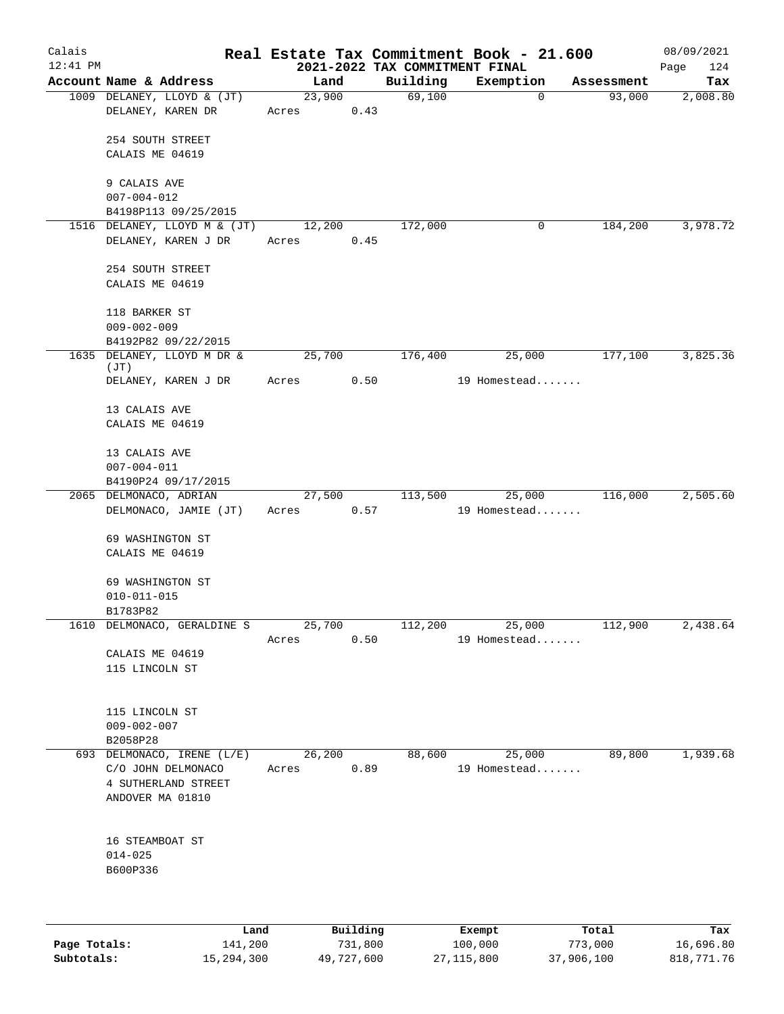| Calais<br>$12:41$ PM |                                                           |                 |                | 2021-2022 TAX COMMITMENT FINAL | Real Estate Tax Commitment Book - 21.600 |            | 08/09/2021<br>Page<br>124 |
|----------------------|-----------------------------------------------------------|-----------------|----------------|--------------------------------|------------------------------------------|------------|---------------------------|
|                      | Account Name & Address                                    |                 | Land           | Building                       | Exemption                                | Assessment | Tax                       |
|                      | 1009 DELANEY, LLOYD & (JT)<br>DELANEY, KAREN DR           | 23,900<br>Acres | 0.43           | 69,100                         | 0                                        | 93,000     | 2,008.80                  |
|                      | 254 SOUTH STREET<br>CALAIS ME 04619                       |                 |                |                                |                                          |            |                           |
|                      | 9 CALAIS AVE<br>$007 - 004 - 012$<br>B4198P113 09/25/2015 |                 |                |                                |                                          |            |                           |
|                      | 1516 DELANEY, LLOYD M & (JT)                              | 12,200          |                | 172,000                        | 0                                        | 184,200    | 3,978.72                  |
|                      | DELANEY, KAREN J DR                                       | Acres           | 0.45           |                                |                                          |            |                           |
|                      | 254 SOUTH STREET<br>CALAIS ME 04619                       |                 |                |                                |                                          |            |                           |
|                      | 118 BARKER ST<br>$009 - 002 - 009$                        |                 |                |                                |                                          |            |                           |
| 1635                 | B4192P82 09/22/2015<br>DELANEY, LLOYD M DR &              | 25,700          |                | 176,400                        | 25,000                                   | 177,100    | 3,825.36                  |
|                      | (JT)<br>DELANEY, KAREN J DR                               | Acres           | 0.50           |                                | 19 Homestead                             |            |                           |
|                      | 13 CALAIS AVE                                             |                 |                |                                |                                          |            |                           |
|                      | CALAIS ME 04619                                           |                 |                |                                |                                          |            |                           |
|                      | 13 CALAIS AVE<br>$007 - 004 - 011$                        |                 |                |                                |                                          |            |                           |
|                      | B4190P24 09/17/2015                                       |                 |                |                                |                                          |            |                           |
|                      | 2065 DELMONACO, ADRIAN                                    | 27,500          |                | 113,500                        | 25,000                                   | 116,000    | 2,505.60                  |
|                      | DELMONACO, JAMIE (JT)                                     | Acres           | 0.57           |                                | 19 Homestead                             |            |                           |
|                      | 69 WASHINGTON ST<br>CALAIS ME 04619                       |                 |                |                                |                                          |            |                           |
|                      | 69 WASHINGTON ST<br>$010 - 011 - 015$                     |                 |                |                                |                                          |            |                           |
|                      | B1783P82                                                  |                 |                |                                |                                          |            |                           |
|                      | 1610 DELMONACO, GERALDINE S                               | 25,700          |                | 112,200                        | 25,000                                   | 112,900    | 2,438.64                  |
|                      |                                                           | Acres           | 0.50           |                                | 19 Homestead                             |            |                           |
|                      | CALAIS ME 04619                                           |                 |                |                                |                                          |            |                           |
|                      | 115 LINCOLN ST                                            |                 |                |                                |                                          |            |                           |
|                      | 115 LINCOLN ST<br>$009 - 002 - 007$                       |                 |                |                                |                                          |            |                           |
|                      | B2058P28                                                  |                 |                |                                |                                          | 89,800     | 1,939.68                  |
|                      | 693 DELMONACO, IRENE (L/E)<br>C/O JOHN DELMONACO          | Acres           | 26,200<br>0.89 | 88,600                         | 25,000<br>19 Homestead                   |            |                           |
|                      | 4 SUTHERLAND STREET                                       |                 |                |                                |                                          |            |                           |
|                      | ANDOVER MA 01810                                          |                 |                |                                |                                          |            |                           |
|                      | 16 STEAMBOAT ST                                           |                 |                |                                |                                          |            |                           |
|                      | $014 - 025$<br>B600P336                                   |                 |                |                                |                                          |            |                           |
|                      |                                                           |                 |                |                                |                                          |            |                           |
|                      |                                                           |                 |                |                                |                                          |            |                           |

|              | Land       | Building   | Exempt     | Total      | Tax        |
|--------------|------------|------------|------------|------------|------------|
| Page Totals: | 141,200    | 731,800    | 100,000    | 773,000    | 16,696.80  |
| Subtotals:   | 15,294,300 | 49,727,600 | 27,115,800 | 37,906,100 | 818,771.76 |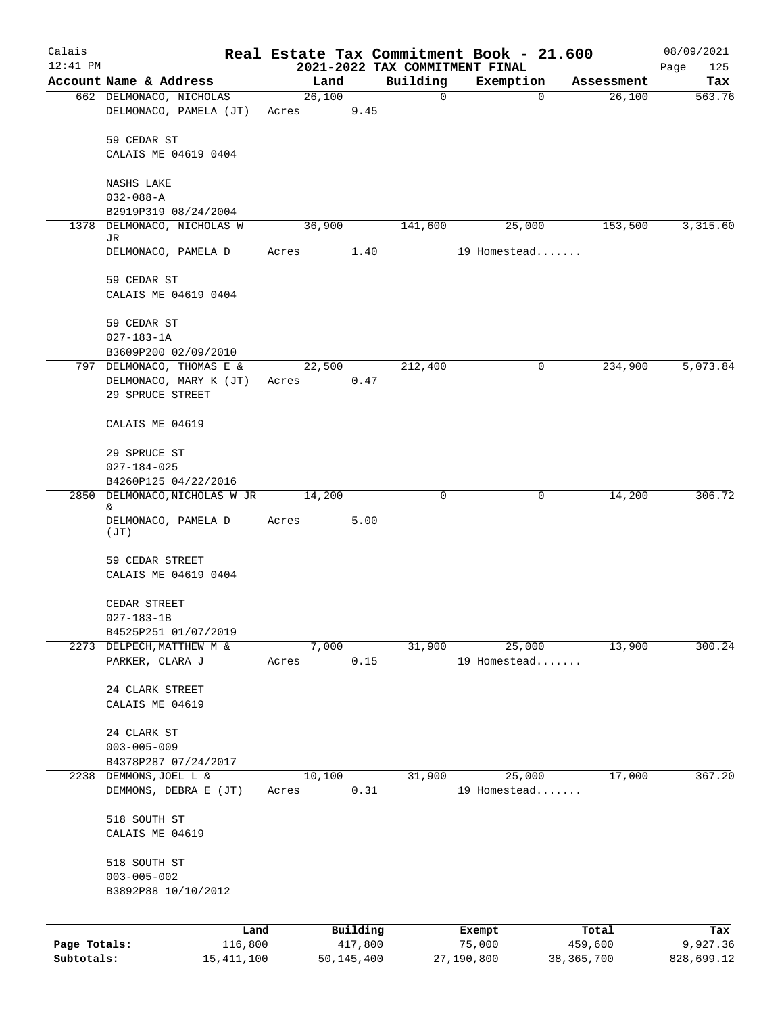| Calais                     |                                                   |                |                         |                                            | Real Estate Tax Commitment Book - 21.600 |                         | 08/09/2021             |
|----------------------------|---------------------------------------------------|----------------|-------------------------|--------------------------------------------|------------------------------------------|-------------------------|------------------------|
| $12:41$ PM                 | Account Name & Address                            | Land           |                         | 2021-2022 TAX COMMITMENT FINAL<br>Building | Exemption                                | Assessment              | Page<br>125            |
|                            | 662 DELMONACO, NICHOLAS                           | 26,100         |                         | $\mathbf 0$                                | 0                                        | 26,100                  | Tax<br>563.76          |
|                            | DELMONACO, PAMELA (JT)                            | Acres          | 9.45                    |                                            |                                          |                         |                        |
|                            | 59 CEDAR ST                                       |                |                         |                                            |                                          |                         |                        |
|                            | CALAIS ME 04619 0404                              |                |                         |                                            |                                          |                         |                        |
|                            | NASHS LAKE                                        |                |                         |                                            |                                          |                         |                        |
|                            | $032 - 088 - A$                                   |                |                         |                                            |                                          |                         |                        |
|                            | B2919P319 08/24/2004                              |                |                         |                                            |                                          |                         |                        |
|                            | 1378 DELMONACO, NICHOLAS W<br>JR                  | 36,900         |                         | 141,600                                    | 25,000                                   | 153,500                 | 3,315.60               |
|                            | DELMONACO, PAMELA D                               | Acres          | 1.40                    |                                            | 19 Homestead                             |                         |                        |
|                            | 59 CEDAR ST                                       |                |                         |                                            |                                          |                         |                        |
|                            | CALAIS ME 04619 0404                              |                |                         |                                            |                                          |                         |                        |
|                            | 59 CEDAR ST                                       |                |                         |                                            |                                          |                         |                        |
|                            | $027 - 183 - 1A$                                  |                |                         |                                            |                                          |                         |                        |
|                            | B3609P200 02/09/2010                              |                |                         |                                            |                                          |                         |                        |
|                            | 797 DELMONACO, THOMAS E &                         | 22,500         |                         | 212,400                                    | 0                                        | 234,900                 | 5,073.84               |
|                            | DELMONACO, MARY K (JT)<br>29 SPRUCE STREET        | Acres          | 0.47                    |                                            |                                          |                         |                        |
|                            |                                                   |                |                         |                                            |                                          |                         |                        |
|                            | CALAIS ME 04619                                   |                |                         |                                            |                                          |                         |                        |
|                            | 29 SPRUCE ST                                      |                |                         |                                            |                                          |                         |                        |
|                            | $027 - 184 - 025$                                 |                |                         |                                            |                                          |                         |                        |
|                            | B4260P125 04/22/2016                              |                |                         | 0                                          | 0                                        |                         | 306.72                 |
|                            | 2850 DELMONACO, NICHOLAS W JR<br>&                | 14,200         |                         |                                            |                                          | 14,200                  |                        |
|                            | DELMONACO, PAMELA D<br>(JT)                       | Acres          | 5.00                    |                                            |                                          |                         |                        |
|                            | 59 CEDAR STREET                                   |                |                         |                                            |                                          |                         |                        |
|                            | CALAIS ME 04619 0404                              |                |                         |                                            |                                          |                         |                        |
|                            | CEDAR STREET                                      |                |                         |                                            |                                          |                         |                        |
|                            | $027 - 183 - 1B$                                  |                |                         |                                            |                                          |                         |                        |
|                            | B4525P251 01/07/2019<br>2273 DELPECH, MATTHEW M & |                |                         |                                            | 25,000                                   | 13,900                  | 300.24                 |
|                            | PARKER, CLARA J                                   | 7,000<br>Acres | 0.15                    | 31,900                                     | 19 Homestead                             |                         |                        |
|                            |                                                   |                |                         |                                            |                                          |                         |                        |
|                            | 24 CLARK STREET<br>CALAIS ME 04619                |                |                         |                                            |                                          |                         |                        |
|                            |                                                   |                |                         |                                            |                                          |                         |                        |
|                            | 24 CLARK ST                                       |                |                         |                                            |                                          |                         |                        |
|                            | $003 - 005 - 009$<br>B4378P287 07/24/2017         |                |                         |                                            |                                          |                         |                        |
|                            | 2238 DEMMONS, JOEL L &                            | 10,100         |                         | 31,900                                     | 25,000                                   | 17,000                  | 367.20                 |
|                            | DEMMONS, DEBRA E (JT)                             | Acres          | 0.31                    |                                            | 19 Homestead                             |                         |                        |
|                            | 518 SOUTH ST                                      |                |                         |                                            |                                          |                         |                        |
|                            | CALAIS ME 04619                                   |                |                         |                                            |                                          |                         |                        |
|                            | 518 SOUTH ST                                      |                |                         |                                            |                                          |                         |                        |
|                            | $003 - 005 - 002$                                 |                |                         |                                            |                                          |                         |                        |
|                            | B3892P88 10/10/2012                               |                |                         |                                            |                                          |                         |                        |
|                            |                                                   |                |                         |                                            |                                          |                         |                        |
|                            |                                                   | Land           | Building                |                                            | Exempt                                   | Total                   | Tax                    |
| Page Totals:<br>Subtotals: | 116,800<br>15,411,100                             |                | 417,800<br>50, 145, 400 |                                            | 75,000<br>27,190,800                     | 459,600<br>38, 365, 700 | 9,927.36<br>828,699.12 |
|                            |                                                   |                |                         |                                            |                                          |                         |                        |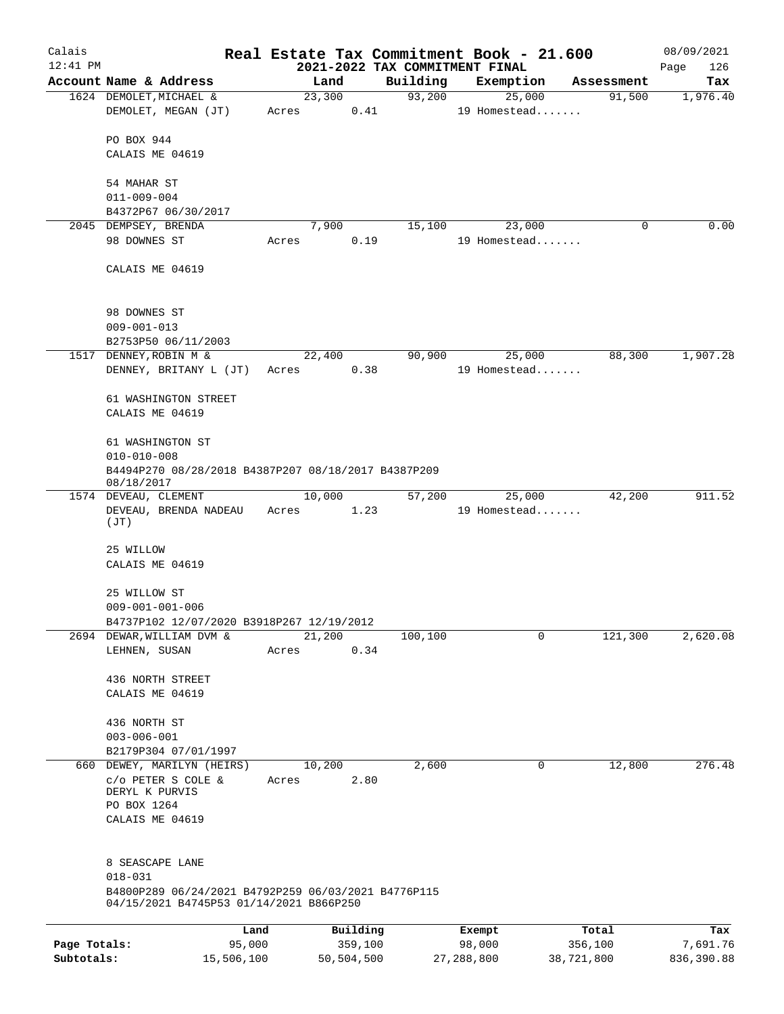| Calais       |                                                     |            |       |        |            |                                | Real Estate Tax Commitment Book - 21.600 |            | 08/09/2021  |
|--------------|-----------------------------------------------------|------------|-------|--------|------------|--------------------------------|------------------------------------------|------------|-------------|
| $12:41$ PM   |                                                     |            |       |        |            | 2021-2022 TAX COMMITMENT FINAL |                                          |            | Page<br>126 |
|              | Account Name & Address                              |            |       | Land   |            | Building                       | Exemption                                | Assessment | Tax         |
|              | 1624 DEMOLET, MICHAEL &                             |            |       | 23,300 |            | 93,200                         | 25,000                                   | 91,500     | 1,976.40    |
|              | DEMOLET, MEGAN (JT)                                 |            | Acres |        | 0.41       |                                | 19 Homestead                             |            |             |
|              | PO BOX 944                                          |            |       |        |            |                                |                                          |            |             |
|              | CALAIS ME 04619                                     |            |       |        |            |                                |                                          |            |             |
|              |                                                     |            |       |        |            |                                |                                          |            |             |
|              | 54 MAHAR ST                                         |            |       |        |            |                                |                                          |            |             |
|              | $011 - 009 - 004$                                   |            |       |        |            |                                |                                          |            |             |
|              | B4372P67 06/30/2017                                 |            |       |        |            |                                |                                          |            |             |
|              | 2045 DEMPSEY, BRENDA                                |            |       | 7,900  |            | 15,100                         | 23,000                                   | $\Omega$   | 0.00        |
|              | 98 DOWNES ST                                        |            | Acres |        | 0.19       |                                | 19 Homestead                             |            |             |
|              |                                                     |            |       |        |            |                                |                                          |            |             |
|              | CALAIS ME 04619                                     |            |       |        |            |                                |                                          |            |             |
|              |                                                     |            |       |        |            |                                |                                          |            |             |
|              |                                                     |            |       |        |            |                                |                                          |            |             |
|              | 98 DOWNES ST                                        |            |       |        |            |                                |                                          |            |             |
|              | $009 - 001 - 013$                                   |            |       |        |            |                                |                                          |            |             |
|              | B2753P50 06/11/2003                                 |            |       |        |            |                                |                                          |            |             |
|              | 1517 DENNEY, ROBIN M &                              |            |       | 22,400 |            | 90,900                         | 25,000                                   | 88,300     | 1,907.28    |
|              | DENNEY, BRITANY L (JT)                              |            | Acres |        | 0.38       |                                | 19 Homestead                             |            |             |
|              | 61 WASHINGTON STREET                                |            |       |        |            |                                |                                          |            |             |
|              | CALAIS ME 04619                                     |            |       |        |            |                                |                                          |            |             |
|              |                                                     |            |       |        |            |                                |                                          |            |             |
|              | 61 WASHINGTON ST                                    |            |       |        |            |                                |                                          |            |             |
|              | $010 - 010 - 008$                                   |            |       |        |            |                                |                                          |            |             |
|              | B4494P270 08/28/2018 B4387P207 08/18/2017 B4387P209 |            |       |        |            |                                |                                          |            |             |
|              | 08/18/2017                                          |            |       |        |            |                                |                                          |            |             |
|              | 1574 DEVEAU, CLEMENT                                |            |       | 10,000 |            | 57,200                         | 25,000                                   | 42,200     | 911.52      |
|              | DEVEAU, BRENDA NADEAU                               |            | Acres |        | 1.23       |                                | 19 Homestead                             |            |             |
|              | (JT)                                                |            |       |        |            |                                |                                          |            |             |
|              | 25 WILLOW                                           |            |       |        |            |                                |                                          |            |             |
|              | CALAIS ME 04619                                     |            |       |        |            |                                |                                          |            |             |
|              |                                                     |            |       |        |            |                                |                                          |            |             |
|              | 25 WILLOW ST                                        |            |       |        |            |                                |                                          |            |             |
|              | $009 - 001 - 001 - 006$                             |            |       |        |            |                                |                                          |            |             |
|              | B4737P102 12/07/2020 B3918P267 12/19/2012           |            |       |        |            |                                |                                          |            |             |
|              | 2694 DEWAR, WILLIAM DVM &                           |            |       | 21,200 |            | 100,100                        | 0                                        | 121,300    | 2,620.08    |
|              | LEHNEN, SUSAN                                       |            | Acres |        | 0.34       |                                |                                          |            |             |
|              |                                                     |            |       |        |            |                                |                                          |            |             |
|              | 436 NORTH STREET                                    |            |       |        |            |                                |                                          |            |             |
|              | CALAIS ME 04619                                     |            |       |        |            |                                |                                          |            |             |
|              |                                                     |            |       |        |            |                                |                                          |            |             |
|              | 436 NORTH ST                                        |            |       |        |            |                                |                                          |            |             |
|              | $003 - 006 - 001$                                   |            |       |        |            |                                |                                          |            |             |
|              | B2179P304 07/01/1997                                |            |       |        |            |                                |                                          |            |             |
|              | 660 DEWEY, MARILYN (HEIRS)                          |            |       | 10,200 |            | 2,600                          | 0                                        | 12,800     | 276.48      |
|              | C/O PETER S COLE &<br>DERYL K PURVIS                |            | Acres |        | 2.80       |                                |                                          |            |             |
|              | PO BOX 1264                                         |            |       |        |            |                                |                                          |            |             |
|              | CALAIS ME 04619                                     |            |       |        |            |                                |                                          |            |             |
|              |                                                     |            |       |        |            |                                |                                          |            |             |
|              |                                                     |            |       |        |            |                                |                                          |            |             |
|              | 8 SEASCAPE LANE                                     |            |       |        |            |                                |                                          |            |             |
|              | $018 - 031$                                         |            |       |        |            |                                |                                          |            |             |
|              | B4800P289 06/24/2021 B4792P259 06/03/2021 B4776P115 |            |       |        |            |                                |                                          |            |             |
|              | 04/15/2021 B4745P53 01/14/2021 B866P250             |            |       |        |            |                                |                                          |            |             |
|              |                                                     | Land       |       |        | Building   |                                | Exempt                                   | Total      | Tax         |
| Page Totals: |                                                     | 95,000     |       |        | 359,100    |                                | 98,000                                   | 356,100    | 7,691.76    |
| Subtotals:   |                                                     | 15,506,100 |       |        | 50,504,500 |                                | 27,288,800                               | 38,721,800 | 836,390.88  |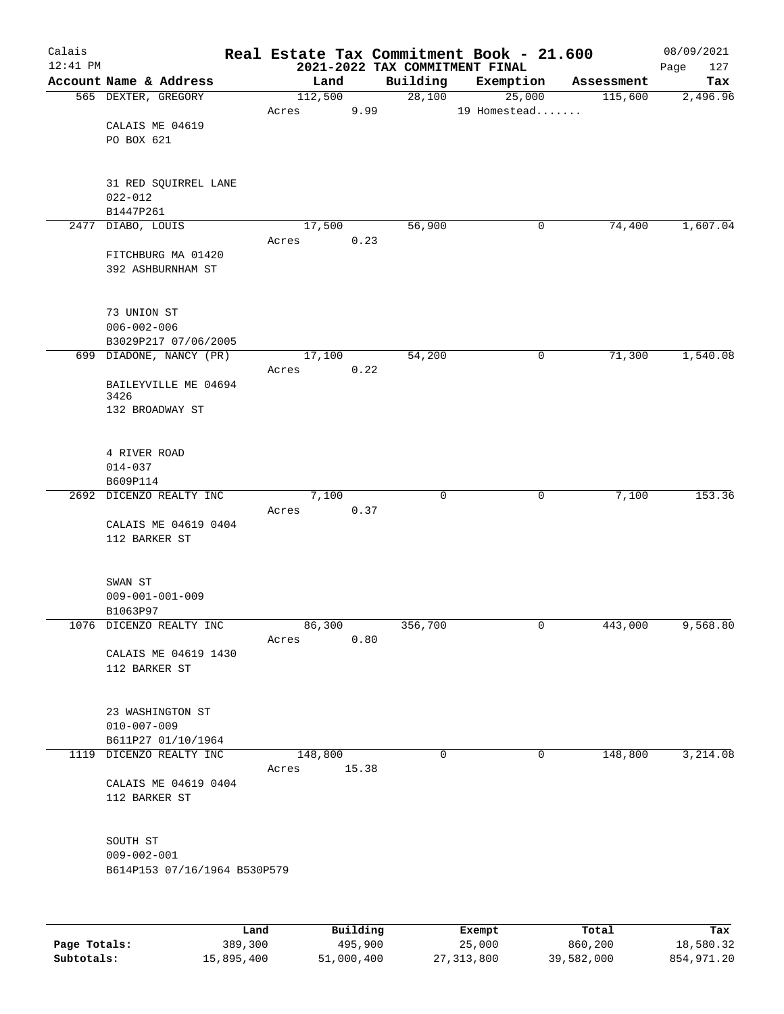| Calais<br>$12:41$ PM |                              |                 |          | 2021-2022 TAX COMMITMENT FINAL | Real Estate Tax Commitment Book - 21.600 |            | 08/09/2021<br>127<br>Page |
|----------------------|------------------------------|-----------------|----------|--------------------------------|------------------------------------------|------------|---------------------------|
|                      | Account Name & Address       | Land            |          | Building                       | Exemption                                | Assessment | Tax                       |
|                      | 565 DEXTER, GREGORY          | 112,500         |          | 28,100                         | 25,000                                   | 115,600    | 2,496.96                  |
|                      |                              | Acres           | 9.99     |                                | 19 Homestead                             |            |                           |
|                      | CALAIS ME 04619              |                 |          |                                |                                          |            |                           |
|                      | PO BOX 621                   |                 |          |                                |                                          |            |                           |
|                      |                              |                 |          |                                |                                          |            |                           |
|                      |                              |                 |          |                                |                                          |            |                           |
|                      | 31 RED SQUIRREL LANE         |                 |          |                                |                                          |            |                           |
|                      | $022 - 012$<br>B1447P261     |                 |          |                                |                                          |            |                           |
|                      | 2477 DIABO, LOUIS            | 17,500          |          | 56,900                         | 0                                        | 74,400     | 1,607.04                  |
|                      |                              | Acres           | 0.23     |                                |                                          |            |                           |
|                      | FITCHBURG MA 01420           |                 |          |                                |                                          |            |                           |
|                      | 392 ASHBURNHAM ST            |                 |          |                                |                                          |            |                           |
|                      |                              |                 |          |                                |                                          |            |                           |
|                      |                              |                 |          |                                |                                          |            |                           |
|                      | 73 UNION ST                  |                 |          |                                |                                          |            |                           |
|                      | $006 - 002 - 006$            |                 |          |                                |                                          |            |                           |
|                      | B3029P217 07/06/2005         |                 |          |                                |                                          |            |                           |
|                      | 699 DIADONE, NANCY (PR)      | 17,100          |          | 54,200                         | 0                                        | 71,300     | 1,540.08                  |
|                      |                              | Acres           | 0.22     |                                |                                          |            |                           |
|                      | BAILEYVILLE ME 04694<br>3426 |                 |          |                                |                                          |            |                           |
|                      | 132 BROADWAY ST              |                 |          |                                |                                          |            |                           |
|                      |                              |                 |          |                                |                                          |            |                           |
|                      |                              |                 |          |                                |                                          |            |                           |
|                      | 4 RIVER ROAD                 |                 |          |                                |                                          |            |                           |
|                      | $014 - 037$                  |                 |          |                                |                                          |            |                           |
|                      | B609P114                     |                 |          | $\mathbf 0$                    |                                          |            | 153.36                    |
| 2692                 | DICENZO REALTY INC           | 7,100<br>Acres  | 0.37     |                                | 0                                        | 7,100      |                           |
|                      | CALAIS ME 04619 0404         |                 |          |                                |                                          |            |                           |
|                      | 112 BARKER ST                |                 |          |                                |                                          |            |                           |
|                      |                              |                 |          |                                |                                          |            |                           |
|                      |                              |                 |          |                                |                                          |            |                           |
|                      | SWAN ST                      |                 |          |                                |                                          |            |                           |
|                      | $009 - 001 - 001 - 009$      |                 |          |                                |                                          |            |                           |
|                      | B1063P97                     |                 |          |                                |                                          |            |                           |
|                      | 1076 DICENZO REALTY INC      | 86,300<br>Acres | 0.80     | 356,700                        | 0                                        | 443,000    | 9,568.80                  |
|                      | CALAIS ME 04619 1430         |                 |          |                                |                                          |            |                           |
|                      | 112 BARKER ST                |                 |          |                                |                                          |            |                           |
|                      |                              |                 |          |                                |                                          |            |                           |
|                      |                              |                 |          |                                |                                          |            |                           |
|                      | 23 WASHINGTON ST             |                 |          |                                |                                          |            |                           |
|                      | $010 - 007 - 009$            |                 |          |                                |                                          |            |                           |
|                      | B611P27 01/10/1964           |                 |          |                                |                                          |            |                           |
|                      | 1119 DICENZO REALTY INC      | 148,800         | 15.38    | 0                              | 0                                        | 148,800    | 3,214.08                  |
|                      | CALAIS ME 04619 0404         | Acres           |          |                                |                                          |            |                           |
|                      | 112 BARKER ST                |                 |          |                                |                                          |            |                           |
|                      |                              |                 |          |                                |                                          |            |                           |
|                      |                              |                 |          |                                |                                          |            |                           |
|                      | SOUTH ST                     |                 |          |                                |                                          |            |                           |
|                      | $009 - 002 - 001$            |                 |          |                                |                                          |            |                           |
|                      | B614P153 07/16/1964 B530P579 |                 |          |                                |                                          |            |                           |
|                      |                              |                 |          |                                |                                          |            |                           |
|                      |                              |                 |          |                                |                                          |            |                           |
|                      | Land                         |                 | Building |                                | Exempt                                   | Total      | Tax                       |

|              | nand.      | Building   | Exempt       | Total      | тах        |
|--------------|------------|------------|--------------|------------|------------|
| Page Totals: | 389,300    | 495,900    | 25,000       | 860,200    | 18,580.32  |
| Subtotals:   | 15,895,400 | 51,000,400 | 27, 313, 800 | 39,582,000 | 854,971.20 |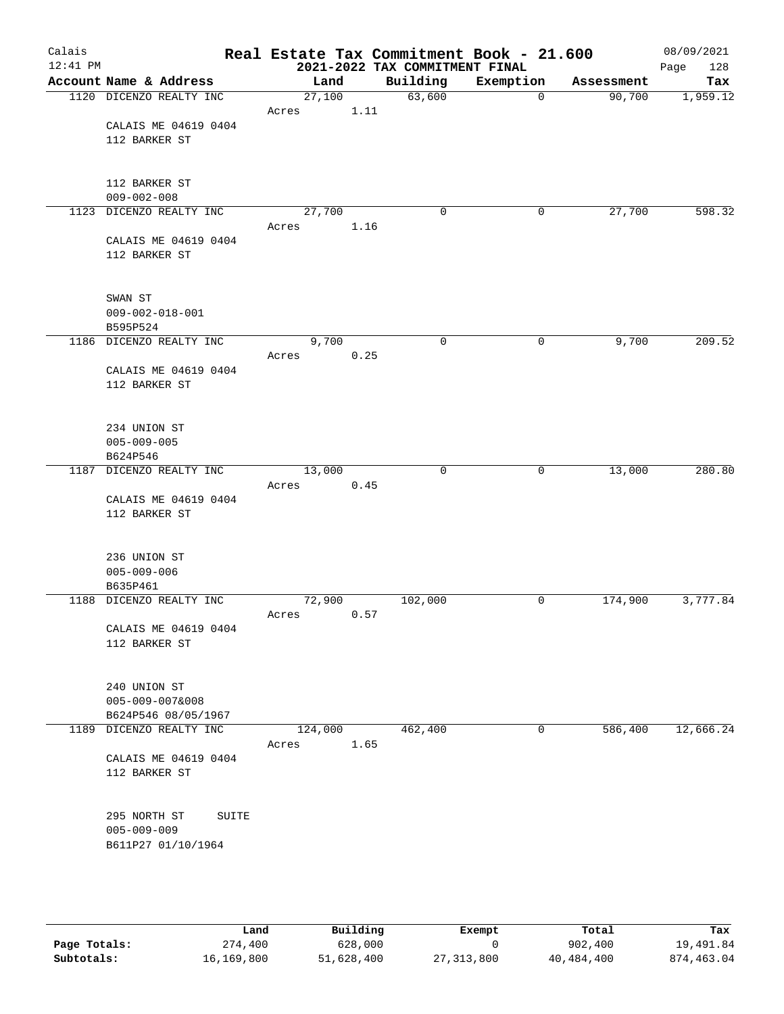| Calais     |                                       |                 |      |                                | Real Estate Tax Commitment Book - 21.600 |            | 08/09/2021  |
|------------|---------------------------------------|-----------------|------|--------------------------------|------------------------------------------|------------|-------------|
| $12:41$ PM |                                       |                 |      | 2021-2022 TAX COMMITMENT FINAL |                                          |            | Page<br>128 |
|            | Account Name & Address                | Land            |      | Building                       | Exemption                                | Assessment | Tax         |
|            | 1120 DICENZO REALTY INC               | 27,100          |      | 63,600                         | 0                                        | 90,700     | 1,959.12    |
|            |                                       | Acres           | 1.11 |                                |                                          |            |             |
|            | CALAIS ME 04619 0404<br>112 BARKER ST |                 |      |                                |                                          |            |             |
|            |                                       |                 |      |                                |                                          |            |             |
|            |                                       |                 |      |                                |                                          |            |             |
|            | 112 BARKER ST                         |                 |      |                                |                                          |            |             |
|            | $009 - 002 - 008$                     |                 |      |                                |                                          |            |             |
|            | 1123 DICENZO REALTY INC               | 27,700          |      | $\mathbf 0$                    | 0                                        | 27,700     | 598.32      |
|            |                                       | Acres           | 1.16 |                                |                                          |            |             |
|            | CALAIS ME 04619 0404<br>112 BARKER ST |                 |      |                                |                                          |            |             |
|            |                                       |                 |      |                                |                                          |            |             |
|            |                                       |                 |      |                                |                                          |            |             |
|            | SWAN ST                               |                 |      |                                |                                          |            |             |
|            | $009 - 002 - 018 - 001$               |                 |      |                                |                                          |            |             |
|            | B595P524                              |                 |      |                                |                                          |            |             |
|            | 1186 DICENZO REALTY INC               | 9,700           |      | $\mathbf 0$                    | 0                                        | 9,700      | 209.52      |
|            | CALAIS ME 04619 0404                  | Acres           | 0.25 |                                |                                          |            |             |
|            | 112 BARKER ST                         |                 |      |                                |                                          |            |             |
|            |                                       |                 |      |                                |                                          |            |             |
|            |                                       |                 |      |                                |                                          |            |             |
|            | 234 UNION ST                          |                 |      |                                |                                          |            |             |
|            | $005 - 009 - 005$                     |                 |      |                                |                                          |            |             |
|            | B624P546                              |                 |      | $\mathbf 0$                    |                                          |            | 280.80      |
| 1187       | DICENZO REALTY INC                    | 13,000<br>Acres | 0.45 |                                | 0                                        | 13,000     |             |
|            | CALAIS ME 04619 0404                  |                 |      |                                |                                          |            |             |
|            | 112 BARKER ST                         |                 |      |                                |                                          |            |             |
|            |                                       |                 |      |                                |                                          |            |             |
|            |                                       |                 |      |                                |                                          |            |             |
|            | 236 UNION ST<br>$005 - 009 - 006$     |                 |      |                                |                                          |            |             |
|            | B635P461                              |                 |      |                                |                                          |            |             |
|            | 1188 DICENZO REALTY INC               | 72,900          |      | 102,000                        | 0                                        | 174,900    | 3,777.84    |
|            |                                       | Acres           | 0.57 |                                |                                          |            |             |
|            | CALAIS ME 04619 0404                  |                 |      |                                |                                          |            |             |
|            | 112 BARKER ST                         |                 |      |                                |                                          |            |             |
|            |                                       |                 |      |                                |                                          |            |             |
|            | 240 UNION ST                          |                 |      |                                |                                          |            |             |
|            | $005 - 009 - 007&008$                 |                 |      |                                |                                          |            |             |
|            | B624P546 08/05/1967                   |                 |      |                                |                                          |            |             |
|            | 1189 DICENZO REALTY INC               | 124,000         |      | 462,400                        | 0                                        | 586,400    | 12,666.24   |
|            |                                       | Acres           | 1.65 |                                |                                          |            |             |
|            | CALAIS ME 04619 0404<br>112 BARKER ST |                 |      |                                |                                          |            |             |
|            |                                       |                 |      |                                |                                          |            |             |
|            |                                       |                 |      |                                |                                          |            |             |
|            | 295 NORTH ST<br>SUITE                 |                 |      |                                |                                          |            |             |
|            | $005 - 009 - 009$                     |                 |      |                                |                                          |            |             |
|            | B611P27 01/10/1964                    |                 |      |                                |                                          |            |             |
|            |                                       |                 |      |                                |                                          |            |             |
|            |                                       |                 |      |                                |                                          |            |             |
|            |                                       |                 |      |                                |                                          |            |             |

|              | Land       | Building   | Exempt     | Total      | Tax        |
|--------------|------------|------------|------------|------------|------------|
| Page Totals: | 274,400    | 628,000    |            | 902,400    | 19,491.84  |
| Subtotals:   | 16,169,800 | 51,628,400 | 27,313,800 | 40,484,400 | 874,463.04 |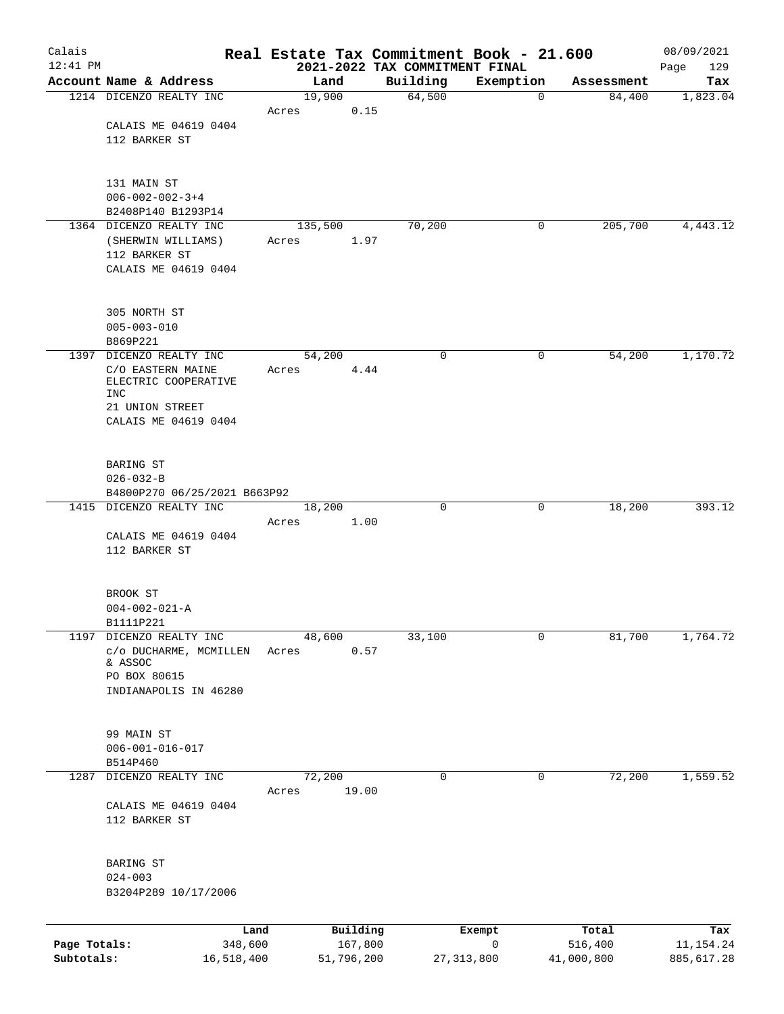| Calais       |                                                         |         |                     | Real Estate Tax Commitment Book - 21.600   |                       |                  | 08/09/2021         |
|--------------|---------------------------------------------------------|---------|---------------------|--------------------------------------------|-----------------------|------------------|--------------------|
| $12:41$ PM   | Account Name & Address                                  |         | Land                | 2021-2022 TAX COMMITMENT FINAL<br>Building | Exemption             | Assessment       | 129<br>Page<br>Tax |
|              | 1214 DICENZO REALTY INC                                 |         | 19,900              | 64,500                                     | $\mathbf 0$           | 84,400           | 1,823.04           |
|              |                                                         | Acres   | 0.15                |                                            |                       |                  |                    |
|              | CALAIS ME 04619 0404                                    |         |                     |                                            |                       |                  |                    |
|              | 112 BARKER ST                                           |         |                     |                                            |                       |                  |                    |
|              | 131 MAIN ST                                             |         |                     |                                            |                       |                  |                    |
|              | $006 - 002 - 002 - 3 + 4$                               |         |                     |                                            |                       |                  |                    |
|              | B2408P140 B1293P14                                      |         |                     |                                            |                       |                  |                    |
|              | 1364 DICENZO REALTY INC                                 | 135,500 |                     | 70,200                                     | 0                     | 205,700          | 4,443.12           |
|              | (SHERWIN WILLIAMS)<br>112 BARKER ST                     | Acres   | 1.97                |                                            |                       |                  |                    |
|              | CALAIS ME 04619 0404                                    |         |                     |                                            |                       |                  |                    |
|              | 305 NORTH ST                                            |         |                     |                                            |                       |                  |                    |
|              | $005 - 003 - 010$                                       |         |                     |                                            |                       |                  |                    |
|              | B869P221                                                |         |                     |                                            |                       |                  |                    |
|              | 1397 DICENZO REALTY INC                                 | 54,200  |                     | 0                                          | 0                     | 54,200           | 1,170.72           |
|              | C/O EASTERN MAINE<br>ELECTRIC COOPERATIVE<br>INC        | Acres   | 4.44                |                                            |                       |                  |                    |
|              | 21 UNION STREET                                         |         |                     |                                            |                       |                  |                    |
|              | CALAIS ME 04619 0404                                    |         |                     |                                            |                       |                  |                    |
|              | BARING ST                                               |         |                     |                                            |                       |                  |                    |
|              | $026 - 032 - B$                                         |         |                     |                                            |                       |                  |                    |
|              | B4800P270 06/25/2021 B663P92<br>1415 DICENZO REALTY INC | 18,200  |                     | 0                                          | 0                     | 18,200           | 393.12             |
|              |                                                         | Acres   | 1.00                |                                            |                       |                  |                    |
|              | CALAIS ME 04619 0404                                    |         |                     |                                            |                       |                  |                    |
|              | 112 BARKER ST                                           |         |                     |                                            |                       |                  |                    |
|              | BROOK ST                                                |         |                     |                                            |                       |                  |                    |
|              | $004 - 002 - 021 - A$                                   |         |                     |                                            |                       |                  |                    |
| 1197         | B1111P221<br>DICENZO REALTY INC                         | 48,600  |                     | 33,100                                     | 0                     | 81,700           | 1,764.72           |
|              | c/o DUCHARME, MCMILLEN                                  | Acres   | 0.57                |                                            |                       |                  |                    |
|              | & ASSOC                                                 |         |                     |                                            |                       |                  |                    |
|              | PO BOX 80615<br>INDIANAPOLIS IN 46280                   |         |                     |                                            |                       |                  |                    |
|              |                                                         |         |                     |                                            |                       |                  |                    |
|              | 99 MAIN ST                                              |         |                     |                                            |                       |                  |                    |
|              | $006 - 001 - 016 - 017$<br>B514P460                     |         |                     |                                            |                       |                  |                    |
| 1287         | DICENZO REALTY INC                                      | 72,200  |                     | 0                                          | 0                     | 72,200           | 1,559.52           |
|              |                                                         | Acres   | 19.00               |                                            |                       |                  |                    |
|              | CALAIS ME 04619 0404                                    |         |                     |                                            |                       |                  |                    |
|              | 112 BARKER ST                                           |         |                     |                                            |                       |                  |                    |
|              | BARING ST                                               |         |                     |                                            |                       |                  |                    |
|              | $024 - 003$                                             |         |                     |                                            |                       |                  |                    |
|              | B3204P289 10/17/2006                                    |         |                     |                                            |                       |                  |                    |
|              |                                                         |         |                     |                                            |                       |                  |                    |
| Page Totals: | 348,600                                                 | Land    | Building<br>167,800 |                                            | Exempt<br>$\mathbf 0$ | Total<br>516,400 | Tax<br>11, 154. 24 |
| Subtotals:   | 16,518,400                                              |         | 51,796,200          |                                            | 27, 313, 800          | 41,000,800       | 885,617.28         |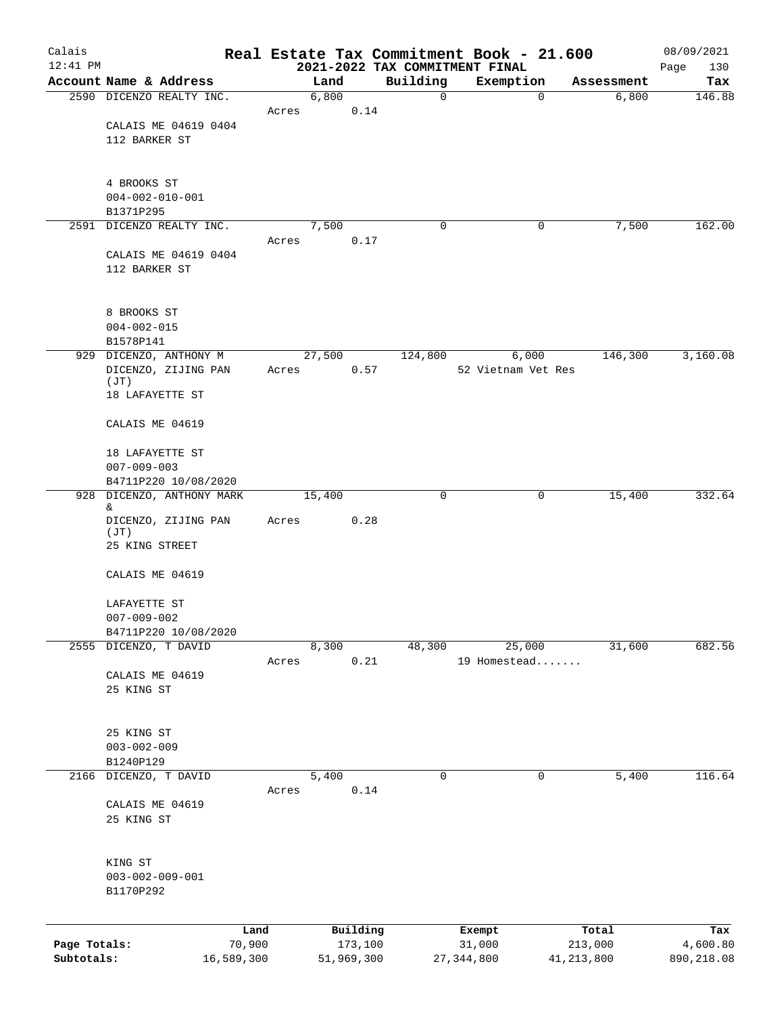| Calais                     |                                |       |                       |              | Real Estate Tax Commitment Book - 21.600    |                         | 08/09/2021             |
|----------------------------|--------------------------------|-------|-----------------------|--------------|---------------------------------------------|-------------------------|------------------------|
| $12:41$ PM                 | Account Name & Address         |       | Land                  | Building     | 2021-2022 TAX COMMITMENT FINAL<br>Exemption | Assessment              | 130<br>Page<br>Tax     |
|                            | 2590 DICENZO REALTY INC.       |       | 6,800                 | $\mathsf{O}$ | $\mathbf 0$                                 | 6,800                   | 146.88                 |
|                            |                                | Acres | 0.14                  |              |                                             |                         |                        |
|                            | CALAIS ME 04619 0404           |       |                       |              |                                             |                         |                        |
|                            | 112 BARKER ST                  |       |                       |              |                                             |                         |                        |
|                            |                                |       |                       |              |                                             |                         |                        |
|                            | 4 BROOKS ST                    |       |                       |              |                                             |                         |                        |
|                            | $004 - 002 - 010 - 001$        |       |                       |              |                                             |                         |                        |
|                            | B1371P295                      |       |                       |              |                                             |                         |                        |
|                            | 2591 DICENZO REALTY INC.       |       | 7,500                 | 0            | 0                                           | 7,500                   | 162.00                 |
|                            | CALAIS ME 04619 0404           | Acres | 0.17                  |              |                                             |                         |                        |
|                            | 112 BARKER ST                  |       |                       |              |                                             |                         |                        |
|                            |                                |       |                       |              |                                             |                         |                        |
|                            |                                |       |                       |              |                                             |                         |                        |
|                            | 8 BROOKS ST                    |       |                       |              |                                             |                         |                        |
|                            | $004 - 002 - 015$<br>B1578P141 |       |                       |              |                                             |                         |                        |
|                            | 929 DICENZO, ANTHONY M         |       | 27,500                | 124,800      | 6,000                                       | 146,300                 | 3,160.08               |
|                            | DICENZO, ZIJING PAN            | Acres | 0.57                  |              | 52 Vietnam Vet Res                          |                         |                        |
|                            | (JT)                           |       |                       |              |                                             |                         |                        |
|                            | 18 LAFAYETTE ST                |       |                       |              |                                             |                         |                        |
|                            | CALAIS ME 04619                |       |                       |              |                                             |                         |                        |
|                            | 18 LAFAYETTE ST                |       |                       |              |                                             |                         |                        |
|                            | $007 - 009 - 003$              |       |                       |              |                                             |                         |                        |
|                            | B4711P220 10/08/2020           |       |                       |              |                                             |                         |                        |
|                            | 928 DICENZO, ANTHONY MARK      |       | 15,400                | $\mathbf 0$  | 0                                           | 15,400                  | 332.64                 |
|                            | &                              |       |                       |              |                                             |                         |                        |
|                            | DICENZO, ZIJING PAN<br>(JT)    | Acres | 0.28                  |              |                                             |                         |                        |
|                            | 25 KING STREET                 |       |                       |              |                                             |                         |                        |
|                            |                                |       |                       |              |                                             |                         |                        |
|                            | CALAIS ME 04619                |       |                       |              |                                             |                         |                        |
|                            | LAFAYETTE ST                   |       |                       |              |                                             |                         |                        |
|                            | $007 - 009 - 002$              |       |                       |              |                                             |                         |                        |
|                            | B4711P220 10/08/2020           |       |                       |              |                                             |                         |                        |
|                            | 2555 DICENZO, T DAVID          |       | 8,300                 | 48,300       | 25,000                                      | 31,600                  | 682.56                 |
|                            |                                | Acres | 0.21                  |              | 19 Homestead                                |                         |                        |
|                            | CALAIS ME 04619<br>25 KING ST  |       |                       |              |                                             |                         |                        |
|                            |                                |       |                       |              |                                             |                         |                        |
|                            |                                |       |                       |              |                                             |                         |                        |
|                            | 25 KING ST                     |       |                       |              |                                             |                         |                        |
|                            | $003 - 002 - 009$              |       |                       |              |                                             |                         |                        |
|                            | B1240P129                      |       |                       | 0            |                                             |                         | 116.64                 |
|                            | 2166 DICENZO, T DAVID          | Acres | 5,400<br>0.14         |              | 0                                           | 5,400                   |                        |
|                            | CALAIS ME 04619                |       |                       |              |                                             |                         |                        |
|                            | 25 KING ST                     |       |                       |              |                                             |                         |                        |
|                            |                                |       |                       |              |                                             |                         |                        |
|                            | KING ST                        |       |                       |              |                                             |                         |                        |
|                            | $003 - 002 - 009 - 001$        |       |                       |              |                                             |                         |                        |
|                            | B1170P292                      |       |                       |              |                                             |                         |                        |
|                            |                                |       |                       |              |                                             |                         |                        |
|                            | Land                           |       | Building              |              | Exempt                                      | Total                   | Tax                    |
| Page Totals:<br>Subtotals: | 70,900<br>16,589,300           |       | 173,100<br>51,969,300 |              | 31,000<br>27, 344, 800                      | 213,000<br>41, 213, 800 | 4,600.80<br>890,218.08 |
|                            |                                |       |                       |              |                                             |                         |                        |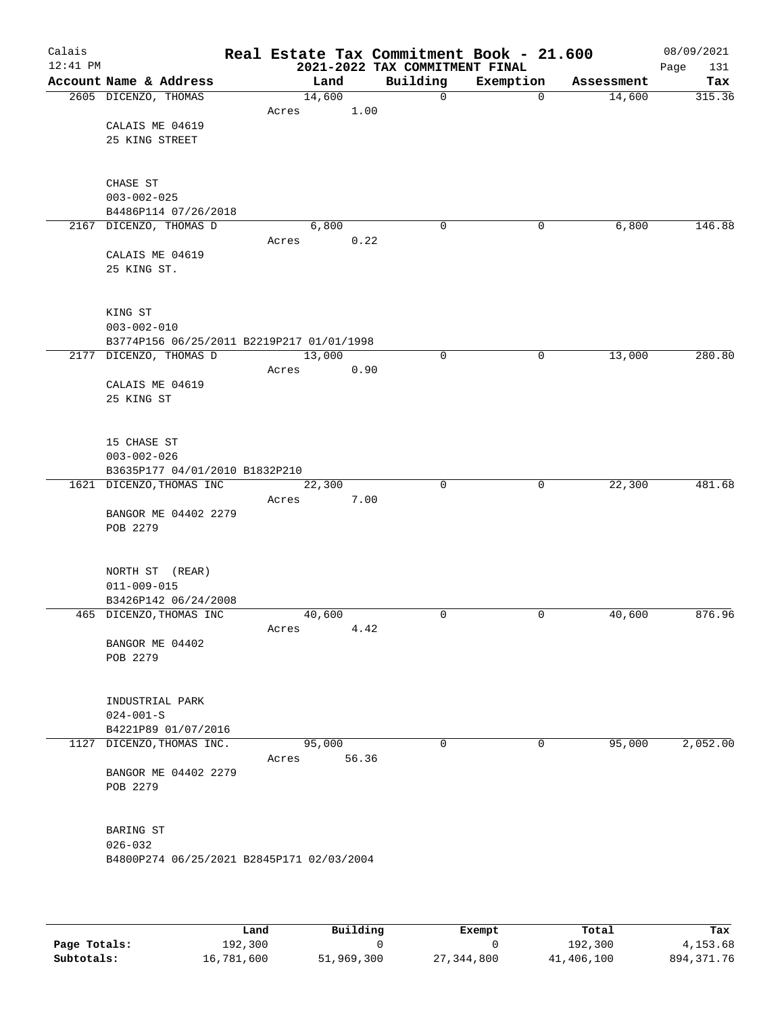| Calais<br>$12:41$ PM |                                                            |       |                 | Real Estate Tax Commitment Book - 21.600<br>2021-2022 TAX COMMITMENT FINAL |             |            | 08/09/2021<br>131<br>Page |
|----------------------|------------------------------------------------------------|-------|-----------------|----------------------------------------------------------------------------|-------------|------------|---------------------------|
|                      | Account Name & Address                                     |       | Land            | Building                                                                   | Exemption   | Assessment | Tax                       |
|                      | 2605 DICENZO, THOMAS                                       |       | 14,600          | $\mathbf 0$                                                                | $\mathbf 0$ | 14,600     | 315.36                    |
|                      |                                                            | Acres | 1.00            |                                                                            |             |            |                           |
|                      | CALAIS ME 04619                                            |       |                 |                                                                            |             |            |                           |
|                      | 25 KING STREET                                             |       |                 |                                                                            |             |            |                           |
|                      |                                                            |       |                 |                                                                            |             |            |                           |
|                      | CHASE ST                                                   |       |                 |                                                                            |             |            |                           |
|                      | $003 - 002 - 025$                                          |       |                 |                                                                            |             |            |                           |
|                      | B4486P114 07/26/2018                                       |       |                 |                                                                            |             |            |                           |
|                      | 2167 DICENZO, THOMAS D                                     |       | 6,800           | 0                                                                          | 0           | 6,800      | 146.88                    |
|                      |                                                            | Acres | 0.22            |                                                                            |             |            |                           |
|                      | CALAIS ME 04619<br>25 KING ST.                             |       |                 |                                                                            |             |            |                           |
|                      |                                                            |       |                 |                                                                            |             |            |                           |
|                      |                                                            |       |                 |                                                                            |             |            |                           |
|                      | KING ST                                                    |       |                 |                                                                            |             |            |                           |
|                      | $003 - 002 - 010$                                          |       |                 |                                                                            |             |            |                           |
|                      | B3774P156 06/25/2011 B2219P217 01/01/1998                  |       |                 |                                                                            |             |            |                           |
|                      | 2177 DICENZO, THOMAS D                                     | Acres | 13,000<br>0.90  | 0                                                                          | $\mathbf 0$ | 13,000     | 280.80                    |
|                      | CALAIS ME 04619                                            |       |                 |                                                                            |             |            |                           |
|                      | 25 KING ST                                                 |       |                 |                                                                            |             |            |                           |
|                      |                                                            |       |                 |                                                                            |             |            |                           |
|                      |                                                            |       |                 |                                                                            |             |            |                           |
|                      | 15 CHASE ST                                                |       |                 |                                                                            |             |            |                           |
|                      | $003 - 002 - 026$                                          |       |                 |                                                                            |             |            |                           |
|                      | B3635P177 04/01/2010 B1832P210<br>1621 DICENZO, THOMAS INC |       | 22,300          | 0                                                                          | 0           | 22,300     | 481.68                    |
|                      |                                                            | Acres | 7.00            |                                                                            |             |            |                           |
|                      | BANGOR ME 04402 2279                                       |       |                 |                                                                            |             |            |                           |
|                      | POB 2279                                                   |       |                 |                                                                            |             |            |                           |
|                      |                                                            |       |                 |                                                                            |             |            |                           |
|                      | NORTH ST (REAR)                                            |       |                 |                                                                            |             |            |                           |
|                      | $011 - 009 - 015$                                          |       |                 |                                                                            |             |            |                           |
|                      | B3426P142 06/24/2008                                       |       |                 |                                                                            |             |            |                           |
|                      | 465 DICENZO, THOMAS INC                                    |       | 40,600          | 0                                                                          | 0           | 40,600     | 876.96                    |
|                      |                                                            | Acres | 4.42            |                                                                            |             |            |                           |
|                      | BANGOR ME 04402                                            |       |                 |                                                                            |             |            |                           |
|                      | POB 2279                                                   |       |                 |                                                                            |             |            |                           |
|                      |                                                            |       |                 |                                                                            |             |            |                           |
|                      | INDUSTRIAL PARK                                            |       |                 |                                                                            |             |            |                           |
|                      | $024 - 001 - S$                                            |       |                 |                                                                            |             |            |                           |
|                      | B4221P89 01/07/2016                                        |       |                 |                                                                            |             |            |                           |
|                      | 1127 DICENZO, THOMAS INC.                                  |       | 95,000<br>56.36 | $\mathbf 0$                                                                | 0           | 95,000     | 2,052.00                  |
|                      | BANGOR ME 04402 2279                                       | Acres |                 |                                                                            |             |            |                           |
|                      | POB 2279                                                   |       |                 |                                                                            |             |            |                           |
|                      |                                                            |       |                 |                                                                            |             |            |                           |
|                      |                                                            |       |                 |                                                                            |             |            |                           |
|                      | BARING ST                                                  |       |                 |                                                                            |             |            |                           |
|                      | $026 - 032$<br>B4800P274 06/25/2021 B2845P171 02/03/2004   |       |                 |                                                                            |             |            |                           |
|                      |                                                            |       |                 |                                                                            |             |            |                           |
|                      |                                                            |       |                 |                                                                            |             |            |                           |
|                      |                                                            |       |                 |                                                                            |             |            |                           |

|              | Land       | Building   | Exempt     | Total      | Tax          |
|--------------|------------|------------|------------|------------|--------------|
| Page Totals: | 192,300    |            |            | 192,300    | 4,153.68     |
| Subtotals:   | 16,781,600 | 51,969,300 | 27,344,800 | 41,406,100 | 894, 371. 76 |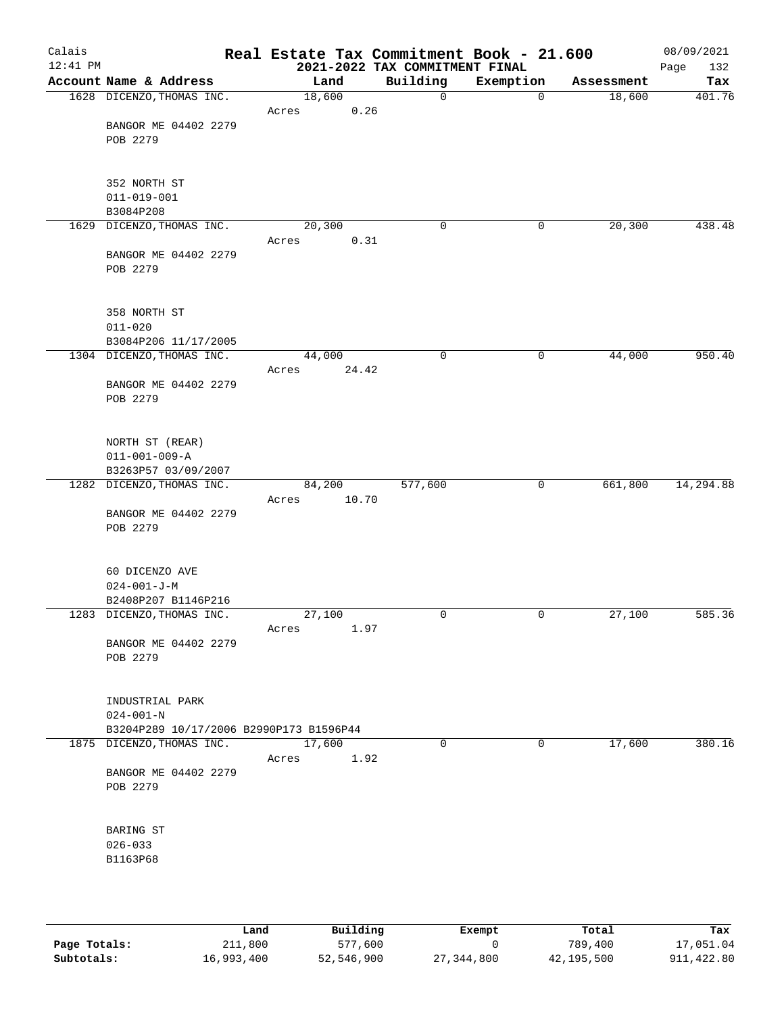| Calais<br>12:41 PM |                                         |        |       | 2021-2022 TAX COMMITMENT FINAL | Real Estate Tax Commitment Book - 21.600 |   |            | 08/09/2021<br>132<br>Page |
|--------------------|-----------------------------------------|--------|-------|--------------------------------|------------------------------------------|---|------------|---------------------------|
|                    | Account Name & Address                  |        | Land  | Building                       | Exemption                                |   | Assessment | Tax                       |
|                    | 1628 DICENZO, THOMAS INC.               | 18,600 |       | $\mathbf 0$                    |                                          | 0 | 18,600     | 401.76                    |
|                    |                                         | Acres  | 0.26  |                                |                                          |   |            |                           |
|                    | BANGOR ME 04402 2279                    |        |       |                                |                                          |   |            |                           |
|                    | POB 2279                                |        |       |                                |                                          |   |            |                           |
|                    |                                         |        |       |                                |                                          |   |            |                           |
|                    |                                         |        |       |                                |                                          |   |            |                           |
|                    | 352 NORTH ST                            |        |       |                                |                                          |   |            |                           |
|                    | $011 - 019 - 001$                       |        |       |                                |                                          |   |            |                           |
|                    | B3084P208                               |        |       |                                |                                          |   |            |                           |
|                    | 1629 DICENZO, THOMAS INC.               | 20,300 |       | 0                              |                                          | 0 | 20,300     | 438.48                    |
|                    |                                         | Acres  | 0.31  |                                |                                          |   |            |                           |
|                    | BANGOR ME 04402 2279                    |        |       |                                |                                          |   |            |                           |
|                    | POB 2279                                |        |       |                                |                                          |   |            |                           |
|                    |                                         |        |       |                                |                                          |   |            |                           |
|                    |                                         |        |       |                                |                                          |   |            |                           |
|                    | 358 NORTH ST                            |        |       |                                |                                          |   |            |                           |
|                    | $011 - 020$                             |        |       |                                |                                          |   |            |                           |
|                    | B3084P206 11/17/2005                    |        |       |                                |                                          |   |            |                           |
|                    | 1304 DICENZO, THOMAS INC.               | 44,000 |       | 0                              |                                          | 0 | 44,000     | 950.40                    |
|                    |                                         | Acres  | 24.42 |                                |                                          |   |            |                           |
|                    | BANGOR ME 04402 2279                    |        |       |                                |                                          |   |            |                           |
|                    | POB 2279                                |        |       |                                |                                          |   |            |                           |
|                    |                                         |        |       |                                |                                          |   |            |                           |
|                    |                                         |        |       |                                |                                          |   |            |                           |
|                    | NORTH ST (REAR)                         |        |       |                                |                                          |   |            |                           |
|                    | $011 - 001 - 009 - A$                   |        |       |                                |                                          |   |            |                           |
|                    | B3263P57 03/09/2007                     |        |       |                                |                                          |   |            |                           |
|                    | 1282 DICENZO, THOMAS INC.               | 84,200 | 10.70 | 577,600                        |                                          | 0 | 661,800    | 14, 294.88                |
|                    |                                         | Acres  |       |                                |                                          |   |            |                           |
|                    | BANGOR ME 04402 2279<br>POB 2279        |        |       |                                |                                          |   |            |                           |
|                    |                                         |        |       |                                |                                          |   |            |                           |
|                    |                                         |        |       |                                |                                          |   |            |                           |
|                    | 60 DICENZO AVE                          |        |       |                                |                                          |   |            |                           |
|                    | $024 - 001 - J - M$                     |        |       |                                |                                          |   |            |                           |
|                    | B2408P207 B1146P216                     |        |       |                                |                                          |   |            |                           |
|                    | 1283 DICENZO, THOMAS INC.               | 27,100 |       | 0                              |                                          | 0 | 27,100     | 585.36                    |
|                    |                                         | Acres  | 1.97  |                                |                                          |   |            |                           |
|                    | BANGOR ME 04402 2279                    |        |       |                                |                                          |   |            |                           |
|                    | POB 2279                                |        |       |                                |                                          |   |            |                           |
|                    |                                         |        |       |                                |                                          |   |            |                           |
|                    |                                         |        |       |                                |                                          |   |            |                           |
|                    | INDUSTRIAL PARK                         |        |       |                                |                                          |   |            |                           |
|                    | $024 - 001 - N$                         |        |       |                                |                                          |   |            |                           |
|                    | B3204P289 10/17/2006 B2990P173 B1596P44 |        |       |                                |                                          |   |            |                           |
|                    | 1875 DICENZO, THOMAS INC.               | 17,600 |       | $\mathbf 0$                    |                                          | 0 | 17,600     | 380.16                    |
|                    |                                         | Acres  | 1.92  |                                |                                          |   |            |                           |
|                    | BANGOR ME 04402 2279                    |        |       |                                |                                          |   |            |                           |
|                    | POB 2279                                |        |       |                                |                                          |   |            |                           |
|                    |                                         |        |       |                                |                                          |   |            |                           |
|                    |                                         |        |       |                                |                                          |   |            |                           |
|                    | BARING ST                               |        |       |                                |                                          |   |            |                           |
|                    | $026 - 033$                             |        |       |                                |                                          |   |            |                           |
|                    | B1163P68                                |        |       |                                |                                          |   |            |                           |
|                    |                                         |        |       |                                |                                          |   |            |                           |
|                    |                                         |        |       |                                |                                          |   |            |                           |
|                    |                                         |        |       |                                |                                          |   |            |                           |

|              | Land       | Building   | Exempt     | Total      | Tax         |
|--------------|------------|------------|------------|------------|-------------|
| Page Totals: | 211,800    | 577,600    |            | 789,400    | 17,051.04   |
| Subtotals:   | 16,993,400 | 52,546,900 | 27,344,800 | 42,195,500 | 911, 422.80 |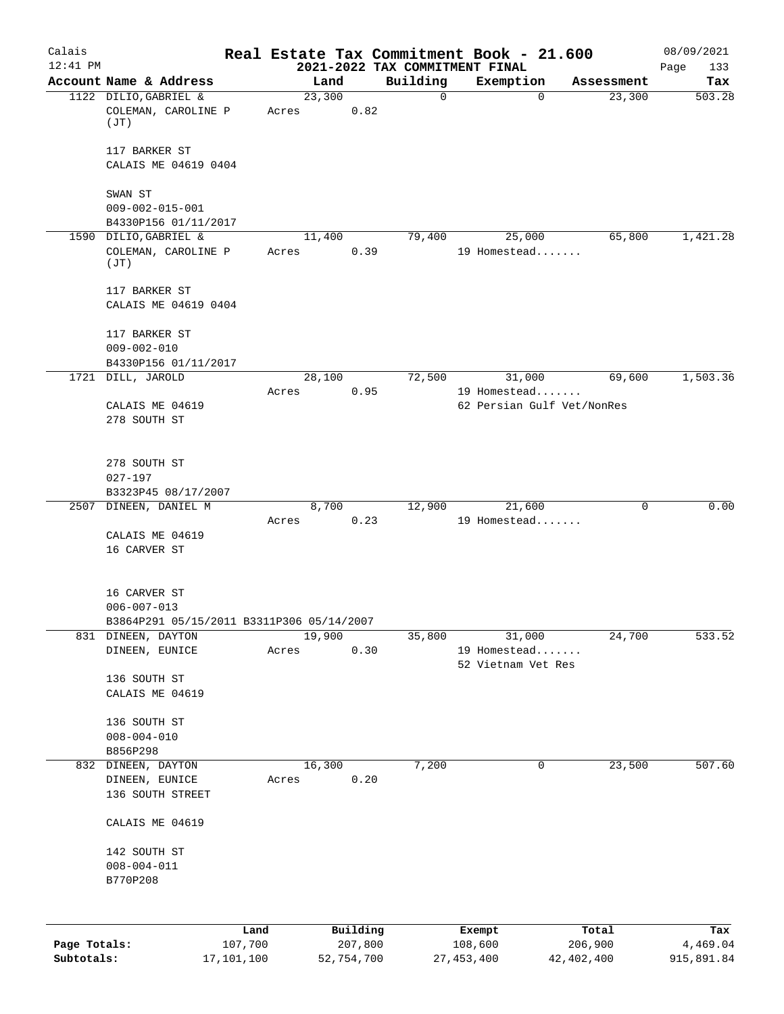| Calais       |                                                                |            |       |            |      |                                            | Real Estate Tax Commitment Book - 21.600 |              | 08/09/2021         |
|--------------|----------------------------------------------------------------|------------|-------|------------|------|--------------------------------------------|------------------------------------------|--------------|--------------------|
| $12:41$ PM   | Account Name & Address                                         |            |       | Land       |      | 2021-2022 TAX COMMITMENT FINAL<br>Building | Exemption                                | Assessment   | Page<br>133<br>Tax |
|              | 1122 DILIO, GABRIEL &                                          |            |       | 23,300     |      | 0                                          | $\mathbf 0$                              | 23,300       | 503.28             |
|              | COLEMAN, CAROLINE P<br>(JT)                                    |            | Acres |            | 0.82 |                                            |                                          |              |                    |
|              | 117 BARKER ST                                                  |            |       |            |      |                                            |                                          |              |                    |
|              | CALAIS ME 04619 0404                                           |            |       |            |      |                                            |                                          |              |                    |
|              | SWAN ST                                                        |            |       |            |      |                                            |                                          |              |                    |
|              | $009 - 002 - 015 - 001$<br>B4330P156 01/11/2017                |            |       |            |      |                                            |                                          |              |                    |
|              | 1590 DILIO, GABRIEL &                                          |            |       | 11,400     |      | 79,400                                     | 25,000                                   | 65,800       | 1,421.28           |
|              | COLEMAN, CAROLINE P<br>(TT)                                    |            | Acres |            | 0.39 |                                            | 19 Homestead                             |              |                    |
|              | 117 BARKER ST                                                  |            |       |            |      |                                            |                                          |              |                    |
|              | CALAIS ME 04619 0404                                           |            |       |            |      |                                            |                                          |              |                    |
|              | 117 BARKER ST                                                  |            |       |            |      |                                            |                                          |              |                    |
|              | $009 - 002 - 010$                                              |            |       |            |      |                                            |                                          |              |                    |
|              | B4330P156 01/11/2017<br>1721 DILL, JAROLD                      |            |       | 28,100     |      | 72,500                                     | 31,000                                   | 69,600       | 1,503.36           |
|              |                                                                |            | Acres |            | 0.95 |                                            | 19 Homestead                             |              |                    |
|              | CALAIS ME 04619                                                |            |       |            |      |                                            | 62 Persian Gulf Vet/NonRes               |              |                    |
|              | 278 SOUTH ST                                                   |            |       |            |      |                                            |                                          |              |                    |
|              | 278 SOUTH ST                                                   |            |       |            |      |                                            |                                          |              |                    |
|              | $027 - 197$                                                    |            |       |            |      |                                            |                                          |              |                    |
|              | B3323P45 08/17/2007<br>2507 DINEEN, DANIEL M                   |            |       | 8,700      |      | 12,900                                     | 21,600                                   | 0            | 0.00               |
|              |                                                                |            | Acres |            | 0.23 |                                            | 19 Homestead                             |              |                    |
|              | CALAIS ME 04619<br>16 CARVER ST                                |            |       |            |      |                                            |                                          |              |                    |
|              |                                                                |            |       |            |      |                                            |                                          |              |                    |
|              | 16 CARVER ST                                                   |            |       |            |      |                                            |                                          |              |                    |
|              | $006 - 007 - 013$<br>B3864P291 05/15/2011 B3311P306 05/14/2007 |            |       |            |      |                                            |                                          |              |                    |
|              | 831 DINEEN, DAYTON                                             |            |       | 19,900     |      | 35,800                                     | 31,000                                   | 24,700       | 533.52             |
|              | DINEEN, EUNICE                                                 |            | Acres |            | 0.30 |                                            | 19 Homestead<br>52 Vietnam Vet Res       |              |                    |
|              | 136 SOUTH ST                                                   |            |       |            |      |                                            |                                          |              |                    |
|              | CALAIS ME 04619                                                |            |       |            |      |                                            |                                          |              |                    |
|              | 136 SOUTH ST                                                   |            |       |            |      |                                            |                                          |              |                    |
|              | $008 - 004 - 010$                                              |            |       |            |      |                                            |                                          |              |                    |
|              | B856P298                                                       |            |       |            |      |                                            |                                          |              |                    |
| 832          | DINEEN, DAYTON                                                 |            |       | 16,300     |      | 7,200                                      | 0                                        | 23,500       | 507.60             |
|              | DINEEN, EUNICE<br>136 SOUTH STREET                             |            | Acres |            | 0.20 |                                            |                                          |              |                    |
|              |                                                                |            |       |            |      |                                            |                                          |              |                    |
|              | CALAIS ME 04619                                                |            |       |            |      |                                            |                                          |              |                    |
|              | 142 SOUTH ST                                                   |            |       |            |      |                                            |                                          |              |                    |
|              | $008 - 004 - 011$                                              |            |       |            |      |                                            |                                          |              |                    |
|              | B770P208                                                       |            |       |            |      |                                            |                                          |              |                    |
|              |                                                                | Land       |       | Building   |      |                                            | Exempt                                   | Total        | Tax                |
| Page Totals: |                                                                | 107,700    |       | 207,800    |      |                                            | 108,600                                  | 206,900      | 4,469.04           |
| Subtotals:   |                                                                | 17,101,100 |       | 52,754,700 |      | 27, 453, 400                               |                                          | 42, 402, 400 | 915,891.84         |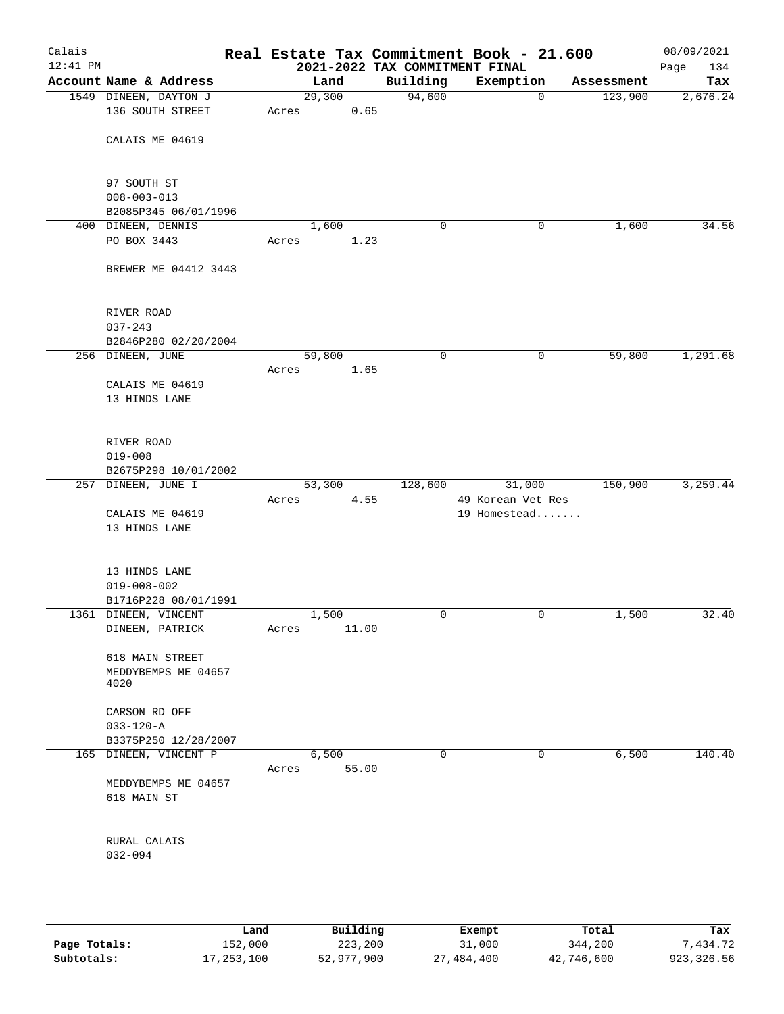| Calais<br>$12:41$ PM |                                  |                 |       | Real Estate Tax Commitment Book - 21.600<br>2021-2022 TAX COMMITMENT FINAL |                   |   |            | 08/09/2021<br>134<br>Page |
|----------------------|----------------------------------|-----------------|-------|----------------------------------------------------------------------------|-------------------|---|------------|---------------------------|
|                      | Account Name & Address           |                 | Land  | Building                                                                   | Exemption         |   | Assessment | Tax                       |
|                      | 1549 DINEEN, DAYTON J            | 29,300          |       | 94,600                                                                     |                   | 0 | 123,900    | 2,676.24                  |
|                      | 136 SOUTH STREET                 | Acres           | 0.65  |                                                                            |                   |   |            |                           |
|                      | CALAIS ME 04619                  |                 |       |                                                                            |                   |   |            |                           |
|                      | 97 SOUTH ST<br>$008 - 003 - 013$ |                 |       |                                                                            |                   |   |            |                           |
|                      | B2085P345 06/01/1996             |                 |       |                                                                            |                   |   |            |                           |
|                      | 400 DINEEN, DENNIS               |                 | 1,600 | 0                                                                          |                   | 0 | 1,600      | 34.56                     |
|                      | PO BOX 3443                      | Acres           | 1.23  |                                                                            |                   |   |            |                           |
|                      | BREWER ME 04412 3443             |                 |       |                                                                            |                   |   |            |                           |
|                      | RIVER ROAD                       |                 |       |                                                                            |                   |   |            |                           |
|                      | $037 - 243$                      |                 |       |                                                                            |                   |   |            |                           |
|                      | B2846P280 02/20/2004             |                 |       | $\mathbf 0$                                                                |                   |   |            |                           |
|                      | 256 DINEEN, JUNE                 | 59,800<br>Acres | 1.65  |                                                                            |                   | 0 | 59,800     | 1,291.68                  |
|                      | CALAIS ME 04619                  |                 |       |                                                                            |                   |   |            |                           |
|                      | 13 HINDS LANE                    |                 |       |                                                                            |                   |   |            |                           |
|                      | RIVER ROAD                       |                 |       |                                                                            |                   |   |            |                           |
|                      | $019 - 008$                      |                 |       |                                                                            |                   |   |            |                           |
|                      | B2675P298 10/01/2002             |                 |       |                                                                            |                   |   |            |                           |
|                      | 257 DINEEN, JUNE I               | 53,300          |       | 128,600                                                                    | 31,000            |   | 150,900    | 3,259.44                  |
|                      |                                  | Acres           | 4.55  |                                                                            | 49 Korean Vet Res |   |            |                           |
|                      | CALAIS ME 04619                  |                 |       |                                                                            | 19 Homestead      |   |            |                           |
|                      | 13 HINDS LANE                    |                 |       |                                                                            |                   |   |            |                           |
|                      | 13 HINDS LANE                    |                 |       |                                                                            |                   |   |            |                           |
|                      | $019 - 008 - 002$                |                 |       |                                                                            |                   |   |            |                           |
|                      | B1716P228 08/01/1991             |                 |       |                                                                            |                   |   |            |                           |
|                      | 1361 DINEEN, VINCENT             |                 | 1,500 | 0                                                                          |                   | 0 | 1,500      | 32.40                     |
|                      | DINEEN, PATRICK                  | Acres           | 11.00 |                                                                            |                   |   |            |                           |
|                      | 618 MAIN STREET                  |                 |       |                                                                            |                   |   |            |                           |
|                      | MEDDYBEMPS ME 04657              |                 |       |                                                                            |                   |   |            |                           |
|                      | 4020                             |                 |       |                                                                            |                   |   |            |                           |
|                      |                                  |                 |       |                                                                            |                   |   |            |                           |
|                      | CARSON RD OFF<br>$033 - 120 - A$ |                 |       |                                                                            |                   |   |            |                           |
|                      | B3375P250 12/28/2007             |                 |       |                                                                            |                   |   |            |                           |
|                      | 165 DINEEN, VINCENT P            |                 | 6,500 | $\mathbf 0$                                                                |                   | 0 | 6,500      | 140.40                    |
|                      |                                  | Acres           | 55.00 |                                                                            |                   |   |            |                           |
|                      | MEDDYBEMPS ME 04657              |                 |       |                                                                            |                   |   |            |                           |
|                      | 618 MAIN ST                      |                 |       |                                                                            |                   |   |            |                           |
|                      | RURAL CALAIS                     |                 |       |                                                                            |                   |   |            |                           |
|                      | $032 - 094$                      |                 |       |                                                                            |                   |   |            |                           |
|                      |                                  |                 |       |                                                                            |                   |   |            |                           |
|                      |                                  |                 |       |                                                                            |                   |   |            |                           |
|                      |                                  |                 |       |                                                                            |                   |   |            |                           |
|                      |                                  |                 |       |                                                                            |                   |   |            |                           |

|              | Land       | Building   | Exempt     | Total      | Tax         |
|--------------|------------|------------|------------|------------|-------------|
| Page Totals: | 152,000    | 223,200    | 31,000     | 344,200    | 7.434.72    |
| Subtotals:   | 17,253,100 | 52,977,900 | 27,484,400 | 42,746,600 | 923, 326.56 |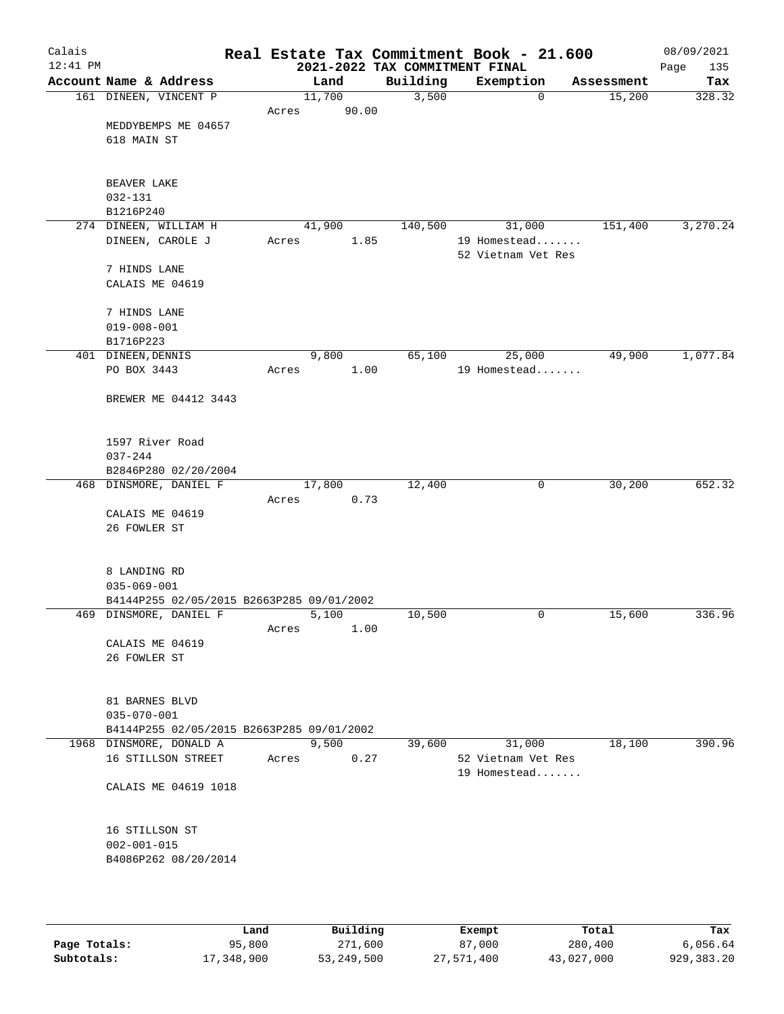| Calais<br>$12:41$ PM |                                                                     |        |       | 2021-2022 TAX COMMITMENT FINAL | Real Estate Tax Commitment Book - 21.600 |            | 08/09/2021<br>Page<br>135 |
|----------------------|---------------------------------------------------------------------|--------|-------|--------------------------------|------------------------------------------|------------|---------------------------|
|                      | Account Name & Address                                              | Land   |       | Building                       | Exemption                                | Assessment | Tax                       |
|                      | 161 DINEEN, VINCENT P                                               | 11,700 |       | 3,500                          | $\mathbf 0$                              | 15,200     | 328.32                    |
|                      |                                                                     | Acres  | 90.00 |                                |                                          |            |                           |
|                      | MEDDYBEMPS ME 04657                                                 |        |       |                                |                                          |            |                           |
|                      | 618 MAIN ST                                                         |        |       |                                |                                          |            |                           |
|                      |                                                                     |        |       |                                |                                          |            |                           |
|                      |                                                                     |        |       |                                |                                          |            |                           |
|                      | BEAVER LAKE                                                         |        |       |                                |                                          |            |                           |
|                      | $032 - 131$<br>B1216P240                                            |        |       |                                |                                          |            |                           |
|                      | 274 DINEEN, WILLIAM H                                               | 41,900 |       | 140,500                        | 31,000                                   | 151,400    | 3,270.24                  |
|                      | DINEEN, CAROLE J                                                    | Acres  | 1.85  |                                | 19 Homestead                             |            |                           |
|                      |                                                                     |        |       |                                | 52 Vietnam Vet Res                       |            |                           |
|                      | 7 HINDS LANE                                                        |        |       |                                |                                          |            |                           |
|                      | CALAIS ME 04619                                                     |        |       |                                |                                          |            |                           |
|                      |                                                                     |        |       |                                |                                          |            |                           |
|                      | 7 HINDS LANE                                                        |        |       |                                |                                          |            |                           |
|                      | $019 - 008 - 001$                                                   |        |       |                                |                                          |            |                           |
|                      | B1716P223                                                           |        |       |                                |                                          |            |                           |
|                      | 401 DINEEN, DENNIS                                                  | 9,800  |       | 65,100                         | 25,000                                   | 49,900     | 1,077.84                  |
|                      | PO BOX 3443                                                         | Acres  | 1.00  |                                | 19 Homestead                             |            |                           |
|                      |                                                                     |        |       |                                |                                          |            |                           |
|                      | BREWER ME 04412 3443                                                |        |       |                                |                                          |            |                           |
|                      |                                                                     |        |       |                                |                                          |            |                           |
|                      | 1597 River Road                                                     |        |       |                                |                                          |            |                           |
|                      | $037 - 244$                                                         |        |       |                                |                                          |            |                           |
|                      | B2846P280 02/20/2004                                                |        |       |                                |                                          |            |                           |
|                      | 468 DINSMORE, DANIEL F                                              | 17,800 |       | 12,400                         | 0                                        | 30,200     | 652.32                    |
|                      |                                                                     | Acres  | 0.73  |                                |                                          |            |                           |
|                      | CALAIS ME 04619                                                     |        |       |                                |                                          |            |                           |
|                      | 26 FOWLER ST                                                        |        |       |                                |                                          |            |                           |
|                      |                                                                     |        |       |                                |                                          |            |                           |
|                      |                                                                     |        |       |                                |                                          |            |                           |
|                      | 8 LANDING RD                                                        |        |       |                                |                                          |            |                           |
|                      | $035 - 069 - 001$                                                   |        |       |                                |                                          |            |                           |
|                      | B4144P255 02/05/2015 B2663P285 09/01/2002<br>469 DINSMORE, DANIEL F |        |       |                                |                                          | 15,600     | 336.96                    |
|                      |                                                                     | 5,100  | 1.00  | 10,500                         | 0                                        |            |                           |
|                      | CALAIS ME 04619                                                     | Acres  |       |                                |                                          |            |                           |
|                      | 26 FOWLER ST                                                        |        |       |                                |                                          |            |                           |
|                      |                                                                     |        |       |                                |                                          |            |                           |
|                      |                                                                     |        |       |                                |                                          |            |                           |
|                      | 81 BARNES BLVD                                                      |        |       |                                |                                          |            |                           |
|                      | $035 - 070 - 001$                                                   |        |       |                                |                                          |            |                           |
|                      | B4144P255 02/05/2015 B2663P285 09/01/2002                           |        |       |                                |                                          |            |                           |
|                      | 1968 DINSMORE, DONALD A                                             | 9,500  |       | 39,600                         | 31,000                                   | 18,100     | 390.96                    |
|                      | 16 STILLSON STREET                                                  | Acres  | 0.27  |                                | 52 Vietnam Vet Res                       |            |                           |
|                      |                                                                     |        |       |                                | 19 Homestead                             |            |                           |
|                      | CALAIS ME 04619 1018                                                |        |       |                                |                                          |            |                           |
|                      |                                                                     |        |       |                                |                                          |            |                           |
|                      | 16 STILLSON ST                                                      |        |       |                                |                                          |            |                           |
|                      | $002 - 001 - 015$                                                   |        |       |                                |                                          |            |                           |
|                      | B4086P262 08/20/2014                                                |        |       |                                |                                          |            |                           |
|                      |                                                                     |        |       |                                |                                          |            |                           |
|                      |                                                                     |        |       |                                |                                          |            |                           |
|                      |                                                                     |        |       |                                |                                          |            |                           |

|              | Land       | Building   | Exempt     | Total      | Tax          |
|--------------|------------|------------|------------|------------|--------------|
| Page Totals: | 95,800     | 271,600    | 87,000     | 280,400    | 6,056.64     |
| Subtotals:   | 17,348,900 | 53,249,500 | 27,571,400 | 43,027,000 | 929, 383, 20 |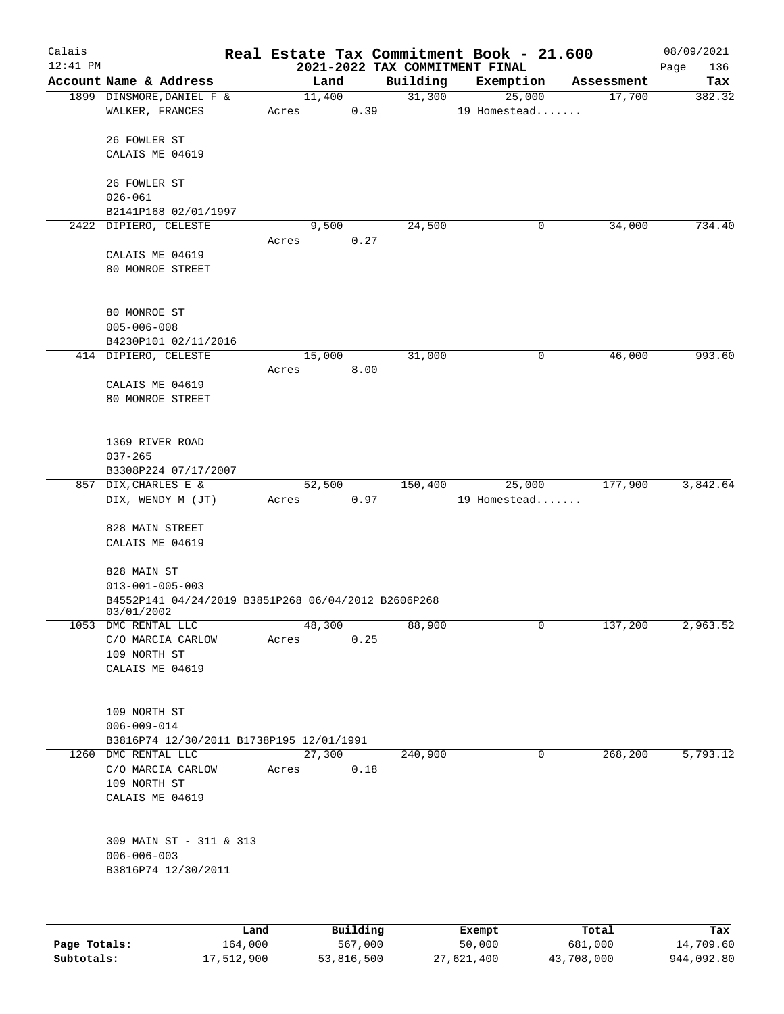| Calais     |                                                     |      |       |          |          | Real Estate Tax Commitment Book - 21.600    |   |            | 08/09/2021         |
|------------|-----------------------------------------------------|------|-------|----------|----------|---------------------------------------------|---|------------|--------------------|
| $12:41$ PM | Account Name & Address                              |      |       | Land     | Building | 2021-2022 TAX COMMITMENT FINAL<br>Exemption |   | Assessment | 136<br>Page<br>Tax |
|            | 1899 DINSMORE, DANIEL F &                           |      |       | 11,400   | 31,300   | 25,000                                      |   | 17,700     | 382.32             |
|            | WALKER, FRANCES                                     |      | Acres | 0.39     |          | 19 Homestead                                |   |            |                    |
|            | 26 FOWLER ST                                        |      |       |          |          |                                             |   |            |                    |
|            | CALAIS ME 04619                                     |      |       |          |          |                                             |   |            |                    |
|            | 26 FOWLER ST                                        |      |       |          |          |                                             |   |            |                    |
|            | $026 - 061$                                         |      |       |          |          |                                             |   |            |                    |
|            | B2141P168 02/01/1997                                |      |       |          |          |                                             |   |            |                    |
|            | 2422 DIPIERO, CELESTE                               |      |       | 9,500    | 24,500   |                                             | 0 | 34,000     | 734.40             |
|            |                                                     |      | Acres | 0.27     |          |                                             |   |            |                    |
|            | CALAIS ME 04619                                     |      |       |          |          |                                             |   |            |                    |
|            | 80 MONROE STREET                                    |      |       |          |          |                                             |   |            |                    |
|            |                                                     |      |       |          |          |                                             |   |            |                    |
|            | 80 MONROE ST                                        |      |       |          |          |                                             |   |            |                    |
|            | $005 - 006 - 008$                                   |      |       |          |          |                                             |   |            |                    |
|            | B4230P101 02/11/2016                                |      |       |          |          |                                             |   |            |                    |
|            | 414 DIPIERO, CELESTE                                |      | Acres | 15,000   | 31,000   |                                             | 0 | 46,000     | 993.60             |
|            | CALAIS ME 04619                                     |      |       | 8.00     |          |                                             |   |            |                    |
|            | 80 MONROE STREET                                    |      |       |          |          |                                             |   |            |                    |
|            |                                                     |      |       |          |          |                                             |   |            |                    |
|            | 1369 RIVER ROAD                                     |      |       |          |          |                                             |   |            |                    |
|            | $037 - 265$                                         |      |       |          |          |                                             |   |            |                    |
|            | B3308P224 07/17/2007                                |      |       |          |          |                                             |   |            |                    |
|            | 857 DIX, CHARLES E &                                |      |       | 52,500   | 150,400  | 25,000                                      |   | 177,900    | 3,842.64           |
|            | DIX, WENDY M (JT)                                   |      | Acres | 0.97     |          | 19 Homestead                                |   |            |                    |
|            |                                                     |      |       |          |          |                                             |   |            |                    |
|            | 828 MAIN STREET<br>CALAIS ME 04619                  |      |       |          |          |                                             |   |            |                    |
|            |                                                     |      |       |          |          |                                             |   |            |                    |
|            | 828 MAIN ST                                         |      |       |          |          |                                             |   |            |                    |
|            | $013 - 001 - 005 - 003$                             |      |       |          |          |                                             |   |            |                    |
|            | B4552P141 04/24/2019 B3851P268 06/04/2012 B2606P268 |      |       |          |          |                                             |   |            |                    |
|            | 03/01/2002                                          |      |       |          |          |                                             |   |            |                    |
|            | 1053 DMC RENTAL LLC                                 |      |       | 48,300   | 88,900   |                                             | 0 | 137,200    | 2,963.52           |
|            | C/O MARCIA CARLOW<br>109 NORTH ST                   |      | Acres | 0.25     |          |                                             |   |            |                    |
|            | CALAIS ME 04619                                     |      |       |          |          |                                             |   |            |                    |
|            |                                                     |      |       |          |          |                                             |   |            |                    |
|            | 109 NORTH ST                                        |      |       |          |          |                                             |   |            |                    |
|            | $006 - 009 - 014$                                   |      |       |          |          |                                             |   |            |                    |
|            | B3816P74 12/30/2011 B1738P195 12/01/1991            |      |       |          |          |                                             |   |            |                    |
|            | 1260 DMC RENTAL LLC                                 |      |       | 27,300   | 240,900  |                                             | 0 | 268,200    | 5,793.12           |
|            | C/O MARCIA CARLOW                                   |      | Acres | 0.18     |          |                                             |   |            |                    |
|            | 109 NORTH ST                                        |      |       |          |          |                                             |   |            |                    |
|            | CALAIS ME 04619                                     |      |       |          |          |                                             |   |            |                    |
|            |                                                     |      |       |          |          |                                             |   |            |                    |
|            | 309 MAIN ST - 311 & 313                             |      |       |          |          |                                             |   |            |                    |
|            | $006 - 006 - 003$                                   |      |       |          |          |                                             |   |            |                    |
|            | B3816P74 12/30/2011                                 |      |       |          |          |                                             |   |            |                    |
|            |                                                     |      |       |          |          |                                             |   |            |                    |
|            |                                                     | Land |       | Building |          | Exempt                                      |   | Total      | Tax                |

|              | Land       | Building   | Exempt     | тосат      | тах        |
|--------------|------------|------------|------------|------------|------------|
| Page Totals: | 164,000    | 567,000    | 50,000     | 681,000    | 14,709.60  |
| Subtotals:   | 17,512,900 | 53,816,500 | 27,621,400 | 43,708,000 | 944,092.80 |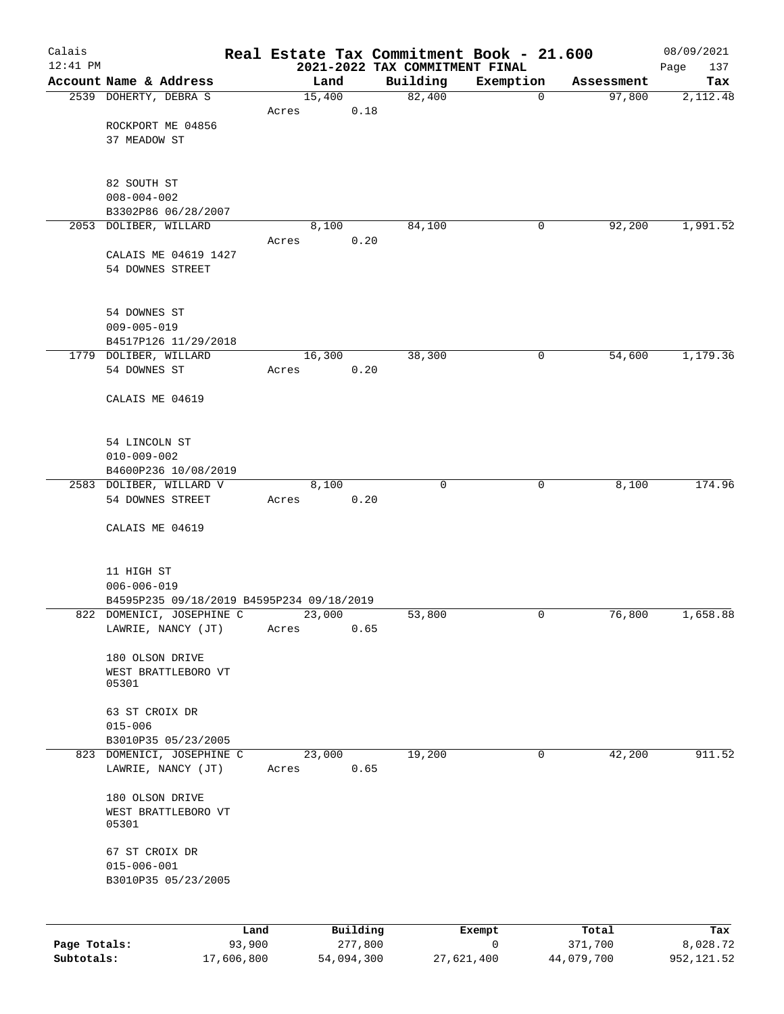| Calais       |                                           |                 |          | Real Estate Tax Commitment Book - 21.600   |           |            | 08/09/2021         |
|--------------|-------------------------------------------|-----------------|----------|--------------------------------------------|-----------|------------|--------------------|
| $12:41$ PM   | Account Name & Address                    | Land            |          | 2021-2022 TAX COMMITMENT FINAL<br>Building | Exemption | Assessment | 137<br>Page<br>Tax |
|              | 2539 DOHERTY, DEBRA S                     | 15,400          |          | 82,400                                     | 0         | 97,800     | 2,112.48           |
|              |                                           | Acres           | 0.18     |                                            |           |            |                    |
|              | ROCKPORT ME 04856                         |                 |          |                                            |           |            |                    |
|              | 37 MEADOW ST                              |                 |          |                                            |           |            |                    |
|              |                                           |                 |          |                                            |           |            |                    |
|              | 82 SOUTH ST                               |                 |          |                                            |           |            |                    |
|              | $008 - 004 - 002$                         |                 |          |                                            |           |            |                    |
|              | B3302P86 06/28/2007                       |                 |          |                                            |           |            |                    |
|              | 2053 DOLIBER, WILLARD                     | 8,100           |          | 84,100                                     | 0         | 92,200     | 1,991.52           |
|              | CALAIS ME 04619 1427                      | Acres           | 0.20     |                                            |           |            |                    |
|              | 54 DOWNES STREET                          |                 |          |                                            |           |            |                    |
|              |                                           |                 |          |                                            |           |            |                    |
|              |                                           |                 |          |                                            |           |            |                    |
|              | 54 DOWNES ST                              |                 |          |                                            |           |            |                    |
|              | $009 - 005 - 019$                         |                 |          |                                            |           |            |                    |
|              | B4517P126 11/29/2018                      |                 |          |                                            |           |            |                    |
|              | 1779 DOLIBER, WILLARD<br>54 DOWNES ST     | 16,300<br>Acres | 0.20     | 38,300                                     | 0         | 54,600     | 1,179.36           |
|              |                                           |                 |          |                                            |           |            |                    |
|              | CALAIS ME 04619                           |                 |          |                                            |           |            |                    |
|              |                                           |                 |          |                                            |           |            |                    |
|              |                                           |                 |          |                                            |           |            |                    |
|              | 54 LINCOLN ST<br>$010 - 009 - 002$        |                 |          |                                            |           |            |                    |
|              | B4600P236 10/08/2019                      |                 |          |                                            |           |            |                    |
|              | 2583 DOLIBER, WILLARD V                   | 8,100           |          | $\mathbf 0$                                | 0         | 8,100      | 174.96             |
|              | 54 DOWNES STREET                          | Acres           | 0.20     |                                            |           |            |                    |
|              |                                           |                 |          |                                            |           |            |                    |
|              | CALAIS ME 04619                           |                 |          |                                            |           |            |                    |
|              |                                           |                 |          |                                            |           |            |                    |
|              | 11 HIGH ST                                |                 |          |                                            |           |            |                    |
|              | $006 - 006 - 019$                         |                 |          |                                            |           |            |                    |
|              | B4595P235 09/18/2019 B4595P234 09/18/2019 |                 |          |                                            |           |            |                    |
|              | 822 DOMENICI, JOSEPHINE C                 | 23,000          |          | 53,800                                     | 0         | 76,800     | 1,658.88           |
|              | LAWRIE, NANCY (JT)                        | Acres           | 0.65     |                                            |           |            |                    |
|              | 180 OLSON DRIVE                           |                 |          |                                            |           |            |                    |
|              | WEST BRATTLEBORO VT                       |                 |          |                                            |           |            |                    |
|              | 05301                                     |                 |          |                                            |           |            |                    |
|              | 63 ST CROIX DR                            |                 |          |                                            |           |            |                    |
|              | $015 - 006$                               |                 |          |                                            |           |            |                    |
|              | B3010P35 05/23/2005                       |                 |          |                                            |           |            |                    |
|              | 823 DOMENICI, JOSEPHINE C                 | 23,000          |          | 19,200                                     | 0         | 42,200     | 911.52             |
|              | LAWRIE, NANCY (JT)                        | Acres           | 0.65     |                                            |           |            |                    |
|              | 180 OLSON DRIVE                           |                 |          |                                            |           |            |                    |
|              | WEST BRATTLEBORO VT                       |                 |          |                                            |           |            |                    |
|              | 05301                                     |                 |          |                                            |           |            |                    |
|              |                                           |                 |          |                                            |           |            |                    |
|              | 67 ST CROIX DR<br>$015 - 006 - 001$       |                 |          |                                            |           |            |                    |
|              | B3010P35 05/23/2005                       |                 |          |                                            |           |            |                    |
|              |                                           |                 |          |                                            |           |            |                    |
|              |                                           |                 |          |                                            |           |            |                    |
|              | Land                                      |                 | Building |                                            | Exempt    | Total      | Tax                |
| Page Totals: | 93,900                                    |                 | 277,800  |                                            | 0         | 371,700    | 8,028.72           |

**Page Totals:** 93,900 277,800 0 371,700 8,028.72 **Subtotals:** 17,606,800 54,094,300 27,621,400 44,079,700 952,121.52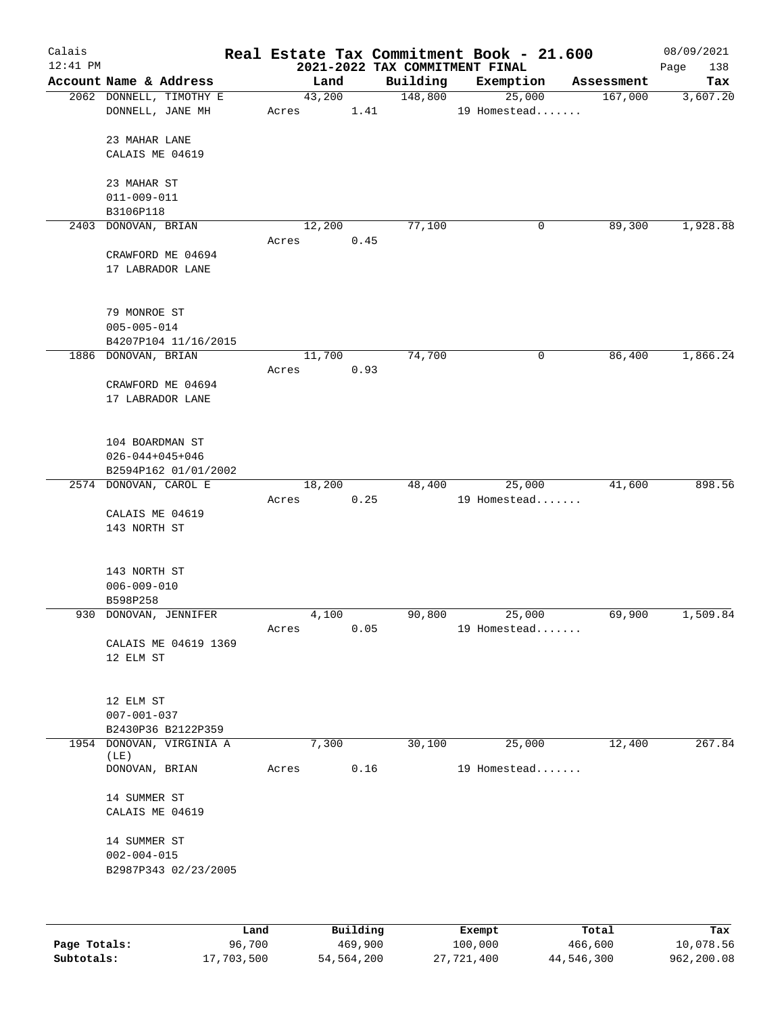| Calais<br>$12:41$ PM |                                                                    |       |        |          |          | Real Estate Tax Commitment Book - 21.600<br>2021-2022 TAX COMMITMENT FINAL |            | 08/09/2021<br>Page<br>138 |
|----------------------|--------------------------------------------------------------------|-------|--------|----------|----------|----------------------------------------------------------------------------|------------|---------------------------|
|                      | Account Name & Address                                             |       | Land   |          | Building | Exemption                                                                  | Assessment | Tax                       |
|                      | 2062 DONNELL, TIMOTHY E<br>DONNELL, JANE MH                        | Acres | 43,200 | 1.41     | 148,800  | 25,000<br>19 Homestead                                                     | 167,000    | 3,607.20                  |
|                      | 23 MAHAR LANE<br>CALAIS ME 04619                                   |       |        |          |          |                                                                            |            |                           |
|                      | 23 MAHAR ST<br>$011 - 009 - 011$<br>B3106P118                      |       |        |          |          |                                                                            |            |                           |
|                      | 2403 DONOVAN, BRIAN                                                |       | 12,200 |          | 77,100   | 0                                                                          | 89,300     | 1,928.88                  |
|                      | CRAWFORD ME 04694<br>17 LABRADOR LANE                              | Acres |        | 0.45     |          |                                                                            |            |                           |
|                      | 79 MONROE ST<br>$005 - 005 - 014$<br>B4207P104 11/16/2015          |       |        |          |          |                                                                            |            |                           |
|                      | 1886 DONOVAN, BRIAN                                                |       | 11,700 |          | 74,700   | 0                                                                          | 86,400     | 1,866.24                  |
|                      | CRAWFORD ME 04694<br>17 LABRADOR LANE                              | Acres |        | 0.93     |          |                                                                            |            |                           |
|                      | 104 BOARDMAN ST<br>$026 - 044 + 045 + 046$<br>B2594P162 01/01/2002 |       |        |          |          |                                                                            |            |                           |
|                      | 2574 DONOVAN, CAROL E                                              |       | 18,200 |          | 48,400   | 25,000                                                                     | 41,600     | 898.56                    |
|                      | CALAIS ME 04619<br>143 NORTH ST                                    | Acres |        | 0.25     |          | 19 Homestead                                                               |            |                           |
|                      | 143 NORTH ST<br>$006 - 009 - 010$<br>B598P258                      |       |        |          |          |                                                                            |            |                           |
|                      | 930 DONOVAN, JENNIFER                                              |       | 4,100  |          | 90,800   | 25,000                                                                     | 69,900     | 1,509.84                  |
|                      | CALAIS ME 04619 1369<br>12 ELM ST                                  | Acres |        | 0.05     |          | 19 Homestead                                                               |            |                           |
|                      | 12 ELM ST<br>$007 - 001 - 037$<br>B2430P36 B2122P359               |       |        |          |          |                                                                            |            |                           |
|                      | 1954 DONOVAN, VIRGINIA A                                           |       | 7,300  |          | 30,100   | 25,000                                                                     | 12,400     | 267.84                    |
|                      | (LE)<br>DONOVAN, BRIAN                                             | Acres |        | 0.16     |          | 19 Homestead                                                               |            |                           |
|                      | 14 SUMMER ST<br>CALAIS ME 04619                                    |       |        |          |          |                                                                            |            |                           |
|                      | 14 SUMMER ST<br>$002 - 004 - 015$<br>B2987P343 02/23/2005          |       |        |          |          |                                                                            |            |                           |
|                      |                                                                    | Land. |        | Building |          | $F$ vomnt                                                                  | $T0+21$    | T.                        |

|              | Land       | Building   | Exempt     | Total      | Tax        |
|--------------|------------|------------|------------|------------|------------|
| Page Totals: | 96,700     | 469,900    | 100,000    | 466,600    | 10,078.56  |
| Subtotals:   | 17,703,500 | 54,564,200 | 27,721,400 | 44,546,300 | 962,200.08 |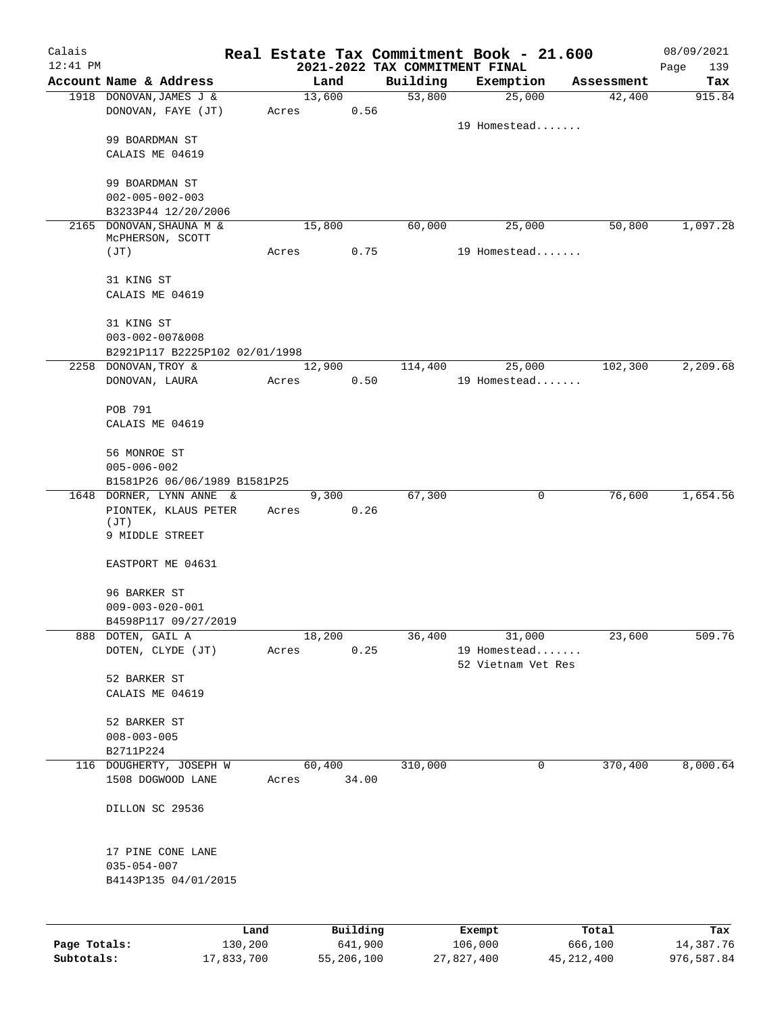| Calais       |                                                        |       |        |          |          | Real Estate Tax Commitment Book - 21.600    |            | 08/09/2021         |
|--------------|--------------------------------------------------------|-------|--------|----------|----------|---------------------------------------------|------------|--------------------|
| $12:41$ PM   | Account Name & Address                                 |       | Land   |          | Building | 2021-2022 TAX COMMITMENT FINAL<br>Exemption | Assessment | Page<br>139<br>Tax |
|              | 1918 DONOVAN, JAMES J &                                |       | 13,600 |          | 53,800   | 25,000                                      | 42,400     | 915.84             |
|              | DONOVAN, FAYE (JT)                                     | Acres |        | 0.56     |          |                                             |            |                    |
|              |                                                        |       |        |          |          | 19 Homestead                                |            |                    |
|              | 99 BOARDMAN ST                                         |       |        |          |          |                                             |            |                    |
|              | CALAIS ME 04619                                        |       |        |          |          |                                             |            |                    |
|              | 99 BOARDMAN ST                                         |       |        |          |          |                                             |            |                    |
|              | $002 - 005 - 002 - 003$                                |       |        |          |          |                                             |            |                    |
|              | B3233P44 12/20/2006                                    |       |        |          |          |                                             |            |                    |
|              | 2165 DONOVAN, SHAUNA M &                               |       | 15,800 |          | 60,000   | 25,000                                      | 50,800     | 1,097.28           |
|              | MCPHERSON, SCOTT                                       |       |        | 0.75     |          |                                             |            |                    |
|              | (JT)                                                   | Acres |        |          |          | 19 Homestead                                |            |                    |
|              | 31 KING ST                                             |       |        |          |          |                                             |            |                    |
|              | CALAIS ME 04619                                        |       |        |          |          |                                             |            |                    |
|              |                                                        |       |        |          |          |                                             |            |                    |
|              | 31 KING ST                                             |       |        |          |          |                                             |            |                    |
|              | $003 - 002 - 007&008$                                  |       |        |          |          |                                             |            |                    |
|              | B2921P117 B2225P102 02/01/1998<br>2258 DONOVAN, TROY & |       | 12,900 |          | 114,400  | 25,000                                      | 102,300    | 2,209.68           |
|              | DONOVAN, LAURA                                         | Acres |        | 0.50     |          | 19 Homestead                                |            |                    |
|              |                                                        |       |        |          |          |                                             |            |                    |
|              | POB 791                                                |       |        |          |          |                                             |            |                    |
|              | CALAIS ME 04619                                        |       |        |          |          |                                             |            |                    |
|              |                                                        |       |        |          |          |                                             |            |                    |
|              | 56 MONROE ST                                           |       |        |          |          |                                             |            |                    |
|              | $005 - 006 - 002$<br>B1581P26 06/06/1989 B1581P25      |       |        |          |          |                                             |            |                    |
|              | 1648 DORNER, LYNN ANNE &                               |       | 9,300  |          | 67,300   | 0                                           | 76,600     | 1,654.56           |
|              | PIONTEK, KLAUS PETER                                   | Acres |        | 0.26     |          |                                             |            |                    |
|              | (JT)                                                   |       |        |          |          |                                             |            |                    |
|              | 9 MIDDLE STREET                                        |       |        |          |          |                                             |            |                    |
|              | EASTPORT ME 04631                                      |       |        |          |          |                                             |            |                    |
|              |                                                        |       |        |          |          |                                             |            |                    |
|              | 96 BARKER ST                                           |       |        |          |          |                                             |            |                    |
|              | $009 - 003 - 020 - 001$                                |       |        |          |          |                                             |            |                    |
|              | B4598P117 09/27/2019                                   |       |        |          |          | 31,000                                      |            | 509.76             |
| 888          | DOTEN, GAIL A<br>DOTEN, CLYDE (JT)                     | Acres | 18,200 | 0.25     | 36,400   | 19 Homestead                                | 23,600     |                    |
|              |                                                        |       |        |          |          | 52 Vietnam Vet Res                          |            |                    |
|              | 52 BARKER ST                                           |       |        |          |          |                                             |            |                    |
|              | CALAIS ME 04619                                        |       |        |          |          |                                             |            |                    |
|              |                                                        |       |        |          |          |                                             |            |                    |
|              | 52 BARKER ST<br>$008 - 003 - 005$                      |       |        |          |          |                                             |            |                    |
|              | B2711P224                                              |       |        |          |          |                                             |            |                    |
| 116          | DOUGHERTY, JOSEPH W                                    |       | 60,400 |          | 310,000  | 0                                           | 370,400    | 8,000.64           |
|              | 1508 DOGWOOD LANE                                      | Acres |        | 34.00    |          |                                             |            |                    |
|              |                                                        |       |        |          |          |                                             |            |                    |
|              | DILLON SC 29536                                        |       |        |          |          |                                             |            |                    |
|              | 17 PINE CONE LANE                                      |       |        |          |          |                                             |            |                    |
|              | $035 - 054 - 007$                                      |       |        |          |          |                                             |            |                    |
|              | B4143P135 04/01/2015                                   |       |        |          |          |                                             |            |                    |
|              |                                                        |       |        |          |          |                                             |            |                    |
|              |                                                        |       |        |          |          |                                             |            |                    |
|              | Land                                                   |       |        | Building |          | Exempt                                      | Total      | Tax                |
| Page Totals: | 130,200                                                |       |        | 641,900  |          | 106,000                                     | 666,100    | 14,387.76          |

**Subtotals:** 17,833,700 55,206,100 27,827,400 45,212,400 976,587.84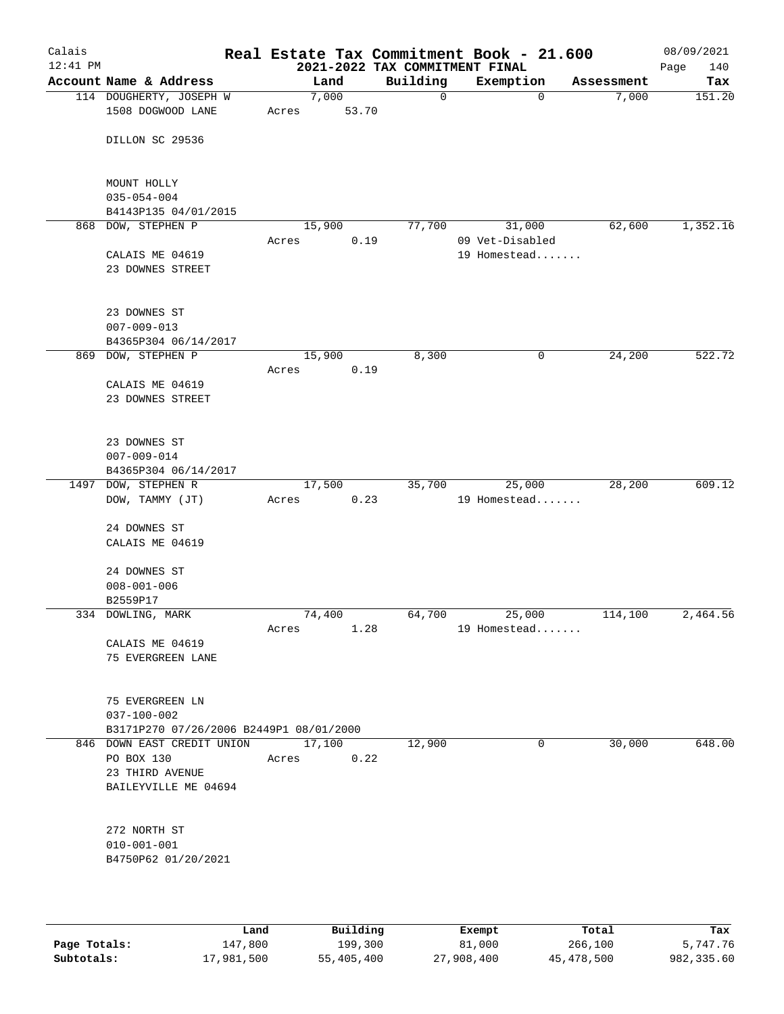| Calais<br>$12:41$ PM |                                           |       |                | 2021-2022 TAX COMMITMENT FINAL | Real Estate Tax Commitment Book - 21.600 |            | 08/09/2021<br>Page<br>140 |
|----------------------|-------------------------------------------|-------|----------------|--------------------------------|------------------------------------------|------------|---------------------------|
|                      | Account Name & Address                    |       | Land           | Building                       | Exemption                                | Assessment | Tax                       |
|                      | 114 DOUGHERTY, JOSEPH W                   |       | 7,000          | $\mathbf 0$                    | $\mathbf 0$                              | 7,000      | 151.20                    |
|                      | 1508 DOGWOOD LANE                         | Acres | 53.70          |                                |                                          |            |                           |
|                      | DILLON SC 29536                           |       |                |                                |                                          |            |                           |
|                      | MOUNT HOLLY                               |       |                |                                |                                          |            |                           |
|                      | $035 - 054 - 004$<br>B4143P135 04/01/2015 |       |                |                                |                                          |            |                           |
|                      | 868 DOW, STEPHEN P                        |       | 15,900         | 77,700                         | 31,000                                   | 62,600     | 1,352.16                  |
|                      | CALAIS ME 04619<br>23 DOWNES STREET       | Acres | 0.19           |                                | 09 Vet-Disabled<br>19 Homestead          |            |                           |
|                      |                                           |       |                |                                |                                          |            |                           |
|                      | 23 DOWNES ST                              |       |                |                                |                                          |            |                           |
|                      | $007 - 009 - 013$                         |       |                |                                |                                          |            |                           |
|                      | B4365P304 06/14/2017                      |       |                |                                |                                          |            |                           |
|                      | 869 DOW, STEPHEN P                        |       | 15,900         | 8,300                          | 0                                        | 24,200     | 522.72                    |
|                      |                                           | Acres | 0.19           |                                |                                          |            |                           |
|                      | CALAIS ME 04619                           |       |                |                                |                                          |            |                           |
|                      | 23 DOWNES STREET                          |       |                |                                |                                          |            |                           |
|                      | 23 DOWNES ST                              |       |                |                                |                                          |            |                           |
|                      | $007 - 009 - 014$                         |       |                |                                |                                          |            |                           |
|                      | B4365P304 06/14/2017                      |       |                |                                |                                          |            |                           |
|                      | 1497 DOW, STEPHEN R                       |       | 17,500         | 35,700                         | 25,000                                   | 28,200     | 609.12                    |
|                      | DOW, TAMMY (JT)                           | Acres | 0.23           |                                | 19 Homestead                             |            |                           |
|                      | 24 DOWNES ST                              |       |                |                                |                                          |            |                           |
|                      | CALAIS ME 04619                           |       |                |                                |                                          |            |                           |
|                      | 24 DOWNES ST                              |       |                |                                |                                          |            |                           |
|                      | $008 - 001 - 006$                         |       |                |                                |                                          |            |                           |
|                      | B2559P17                                  |       |                |                                |                                          |            |                           |
|                      | 334 DOWLING, MARK                         | Acres | 74,400<br>1.28 | 64,700                         | 25,000<br>19 Homestead                   | 114,100    | 2,464.56                  |
|                      | CALAIS ME 04619                           |       |                |                                |                                          |            |                           |
|                      | 75 EVERGREEN LANE                         |       |                |                                |                                          |            |                           |
|                      | 75 EVERGREEN LN                           |       |                |                                |                                          |            |                           |
|                      | $037 - 100 - 002$                         |       |                |                                |                                          |            |                           |
|                      | B3171P270 07/26/2006 B2449P1 08/01/2000   |       |                |                                |                                          |            |                           |
|                      | 846 DOWN EAST CREDIT UNION                |       | 17,100         | 12,900                         | 0                                        | 30,000     | 648.00                    |
|                      | PO BOX 130                                | Acres | 0.22           |                                |                                          |            |                           |
|                      | 23 THIRD AVENUE                           |       |                |                                |                                          |            |                           |
|                      | BAILEYVILLE ME 04694                      |       |                |                                |                                          |            |                           |
|                      | 272 NORTH ST                              |       |                |                                |                                          |            |                           |
|                      | $010 - 001 - 001$                         |       |                |                                |                                          |            |                           |
|                      | B4750P62 01/20/2021                       |       |                |                                |                                          |            |                           |
|                      |                                           |       |                |                                |                                          |            |                           |
|                      |                                           |       |                |                                |                                          |            |                           |

|              | Land       | Building   | Exempt     | Total      | Tax        |
|--------------|------------|------------|------------|------------|------------|
| Page Totals: | 147,800    | 199,300    | 81,000     | 266,100    | 5,747.76   |
| Subtotals:   | 17,981,500 | 55,405,400 | 27,908,400 | 45,478,500 | 982,335.60 |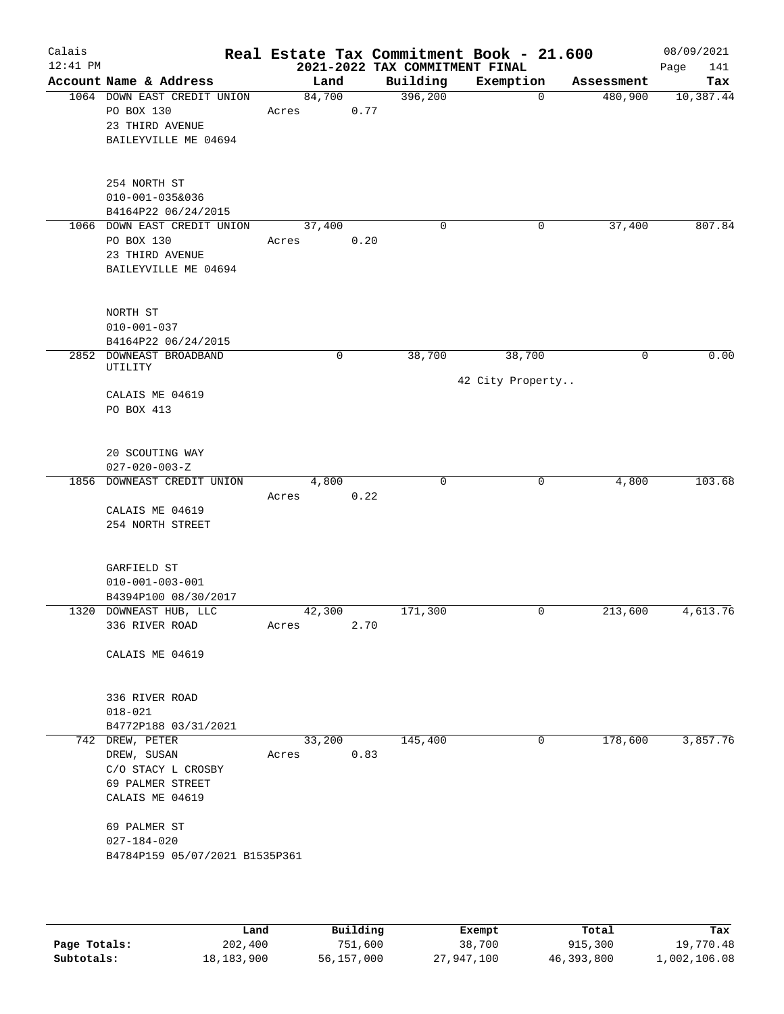| Calais     |                                                |                 |      |                                            | Real Estate Tax Commitment Book - 21.600 |            | 08/09/2021       |
|------------|------------------------------------------------|-----------------|------|--------------------------------------------|------------------------------------------|------------|------------------|
| $12:41$ PM | Account Name & Address                         | Land            |      | 2021-2022 TAX COMMITMENT FINAL<br>Building | Exemption                                | Assessment | Page<br>141      |
|            | 1064 DOWN EAST CREDIT UNION                    | 84,700          |      | 396,200                                    | 0                                        | 480,900    | Tax<br>10,387.44 |
|            | PO BOX 130                                     | Acres           | 0.77 |                                            |                                          |            |                  |
|            | 23 THIRD AVENUE                                |                 |      |                                            |                                          |            |                  |
|            | BAILEYVILLE ME 04694                           |                 |      |                                            |                                          |            |                  |
|            |                                                |                 |      |                                            |                                          |            |                  |
|            |                                                |                 |      |                                            |                                          |            |                  |
|            | 254 NORTH ST                                   |                 |      |                                            |                                          |            |                  |
|            | $010 - 001 - 035\&036$                         |                 |      |                                            |                                          |            |                  |
|            | B4164P22 06/24/2015                            |                 |      | 0                                          | 0                                        | 37,400     | 807.84           |
|            | 1066 DOWN EAST CREDIT UNION<br>PO BOX 130      | 37,400<br>Acres | 0.20 |                                            |                                          |            |                  |
|            | 23 THIRD AVENUE                                |                 |      |                                            |                                          |            |                  |
|            | BAILEYVILLE ME 04694                           |                 |      |                                            |                                          |            |                  |
|            |                                                |                 |      |                                            |                                          |            |                  |
|            |                                                |                 |      |                                            |                                          |            |                  |
|            | NORTH ST                                       |                 |      |                                            |                                          |            |                  |
|            | $010 - 001 - 037$                              |                 |      |                                            |                                          |            |                  |
|            | B4164P22 06/24/2015<br>2852 DOWNEAST BROADBAND |                 | 0    | 38,700                                     | 38,700                                   | 0          | 0.00             |
|            | UTILITY                                        |                 |      |                                            |                                          |            |                  |
|            |                                                |                 |      |                                            | 42 City Property                         |            |                  |
|            | CALAIS ME 04619                                |                 |      |                                            |                                          |            |                  |
|            | PO BOX 413                                     |                 |      |                                            |                                          |            |                  |
|            |                                                |                 |      |                                            |                                          |            |                  |
|            | 20 SCOUTING WAY                                |                 |      |                                            |                                          |            |                  |
|            | $027 - 020 - 003 - Z$                          |                 |      |                                            |                                          |            |                  |
|            | 1856 DOWNEAST CREDIT UNION                     | 4,800           |      | 0                                          | 0                                        | 4,800      | 103.68           |
|            |                                                | Acres           | 0.22 |                                            |                                          |            |                  |
|            | CALAIS ME 04619                                |                 |      |                                            |                                          |            |                  |
|            | 254 NORTH STREET                               |                 |      |                                            |                                          |            |                  |
|            |                                                |                 |      |                                            |                                          |            |                  |
|            | GARFIELD ST                                    |                 |      |                                            |                                          |            |                  |
|            | $010 - 001 - 003 - 001$                        |                 |      |                                            |                                          |            |                  |
|            | B4394P100 08/30/2017                           |                 |      |                                            |                                          |            |                  |
|            | 1320 DOWNEAST HUB, LLC                         | 42,300          |      | 171,300                                    | 0                                        | 213,600    | 4,613.76         |
|            | 336 RIVER ROAD                                 | Acres           | 2.70 |                                            |                                          |            |                  |
|            | CALAIS ME 04619                                |                 |      |                                            |                                          |            |                  |
|            |                                                |                 |      |                                            |                                          |            |                  |
|            |                                                |                 |      |                                            |                                          |            |                  |
|            | 336 RIVER ROAD                                 |                 |      |                                            |                                          |            |                  |
|            | $018 - 021$                                    |                 |      |                                            |                                          |            |                  |
|            | B4772P188 03/31/2021                           |                 |      |                                            |                                          |            |                  |
|            | 742 DREW, PETER<br>DREW, SUSAN                 | 33,200<br>Acres | 0.83 | 145,400                                    | 0                                        | 178,600    | 3,857.76         |
|            | C/O STACY L CROSBY                             |                 |      |                                            |                                          |            |                  |
|            | 69 PALMER STREET                               |                 |      |                                            |                                          |            |                  |
|            | CALAIS ME 04619                                |                 |      |                                            |                                          |            |                  |
|            |                                                |                 |      |                                            |                                          |            |                  |
|            | 69 PALMER ST                                   |                 |      |                                            |                                          |            |                  |
|            | $027 - 184 - 020$                              |                 |      |                                            |                                          |            |                  |
|            | B4784P159 05/07/2021 B1535P361                 |                 |      |                                            |                                          |            |                  |
|            |                                                |                 |      |                                            |                                          |            |                  |
|            |                                                |                 |      |                                            |                                          |            |                  |

|              | Land       | Building   | Exempt     | Total      | Tax          |
|--------------|------------|------------|------------|------------|--------------|
| Page Totals: | 202,400    | 751,600    | 38,700     | 915,300    | 19,770.48    |
| Subtotals:   | 18,183,900 | 56,157,000 | 27,947,100 | 46,393,800 | 1,002,106.08 |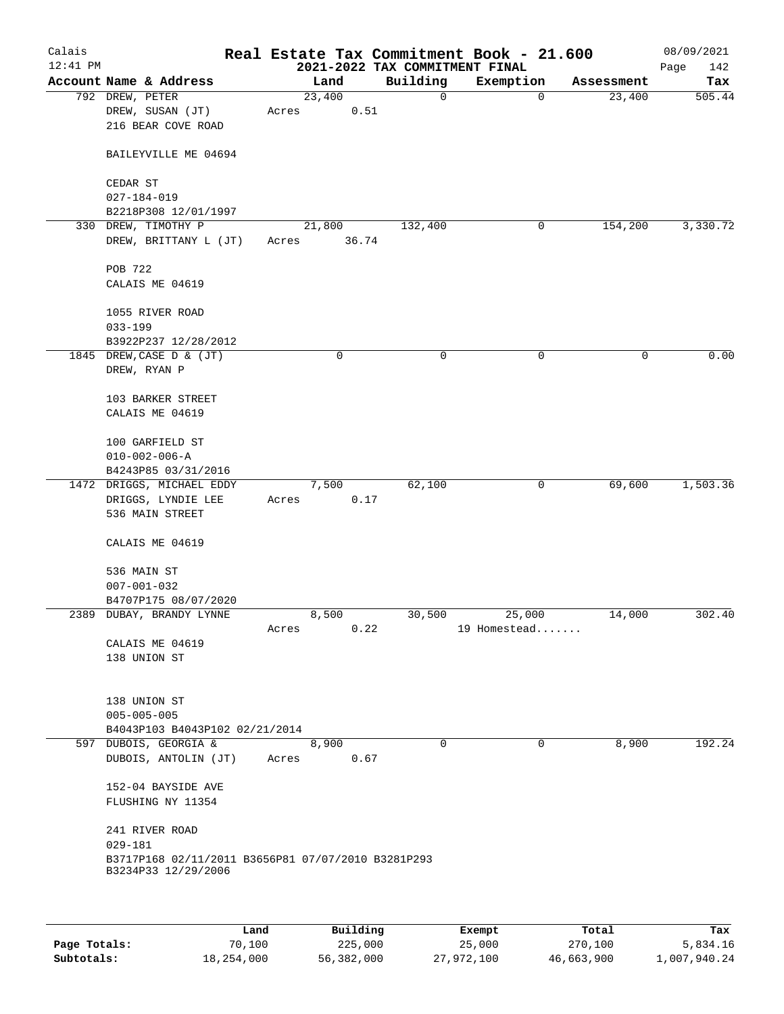| Calais<br>$12:41$ PM |                                                                           |       |                 | 2021-2022 TAX COMMITMENT FINAL | Real Estate Tax Commitment Book - 21.600 |            | 08/09/2021<br>Page<br>142 |
|----------------------|---------------------------------------------------------------------------|-------|-----------------|--------------------------------|------------------------------------------|------------|---------------------------|
|                      | Account Name & Address                                                    |       | Land            | Building                       | Exemption                                | Assessment | Tax                       |
|                      | 792 DREW, PETER<br>DREW, SUSAN (JT)<br>216 BEAR COVE ROAD                 | Acres | 23,400<br>0.51  | $\mathbf 0$                    | $\mathbf 0$                              | 23,400     | 505.44                    |
|                      | BAILEYVILLE ME 04694                                                      |       |                 |                                |                                          |            |                           |
|                      | CEDAR ST                                                                  |       |                 |                                |                                          |            |                           |
|                      | $027 - 184 - 019$                                                         |       |                 |                                |                                          |            |                           |
|                      | B2218P308 12/01/1997                                                      |       |                 |                                |                                          |            |                           |
|                      | 330 DREW, TIMOTHY P<br>DREW, BRITTANY L (JT)                              | Acres | 21,800<br>36.74 | 132,400                        | 0                                        | 154,200    | 3,330.72                  |
|                      | POB 722                                                                   |       |                 |                                |                                          |            |                           |
|                      | CALAIS ME 04619                                                           |       |                 |                                |                                          |            |                           |
|                      | 1055 RIVER ROAD<br>$033 - 199$                                            |       |                 |                                |                                          |            |                           |
|                      | B3922P237 12/28/2012                                                      |       |                 |                                |                                          |            |                           |
|                      | 1845 DREW, CASE D & (JT)<br>DREW, RYAN P                                  |       | 0               | 0                              | 0                                        | 0          | 0.00                      |
|                      | 103 BARKER STREET<br>CALAIS ME 04619                                      |       |                 |                                |                                          |            |                           |
|                      | 100 GARFIELD ST<br>$010 - 002 - 006 - A$                                  |       |                 |                                |                                          |            |                           |
|                      | B4243P85 03/31/2016<br>1472 DRIGGS, MICHAEL EDDY                          |       | 7,500           | 62,100                         | 0                                        | 69,600     | 1,503.36                  |
|                      | DRIGGS, LYNDIE LEE<br>536 MAIN STREET                                     | Acres | 0.17            |                                |                                          |            |                           |
|                      | CALAIS ME 04619                                                           |       |                 |                                |                                          |            |                           |
|                      | 536 MAIN ST                                                               |       |                 |                                |                                          |            |                           |
|                      | $007 - 001 - 032$                                                         |       |                 |                                |                                          |            |                           |
|                      | B4707P175 08/07/2020                                                      |       |                 |                                |                                          |            |                           |
|                      | 2389 DUBAY, BRANDY LYNNE                                                  | Acres | 8,500<br>0.22   | 30,500                         | 25,000<br>19 Homestead                   | 14,000     | 302.40                    |
|                      | CALAIS ME 04619<br>138 UNION ST                                           |       |                 |                                |                                          |            |                           |
|                      | 138 UNION ST                                                              |       |                 |                                |                                          |            |                           |
|                      | $005 - 005 - 005$<br>B4043P103 B4043P102 02/21/2014                       |       |                 |                                |                                          |            |                           |
|                      | 597 DUBOIS, GEORGIA &                                                     |       | 8,900           | $\Omega$                       | $\Omega$                                 | 8,900      | 192.24                    |
|                      | DUBOIS, ANTOLIN (JT)                                                      | Acres | 0.67            |                                |                                          |            |                           |
|                      | 152-04 BAYSIDE AVE<br>FLUSHING NY 11354                                   |       |                 |                                |                                          |            |                           |
|                      | 241 RIVER ROAD<br>$029 - 181$                                             |       |                 |                                |                                          |            |                           |
|                      | B3717P168 02/11/2011 B3656P81 07/07/2010 B3281P293<br>B3234P33 12/29/2006 |       |                 |                                |                                          |            |                           |
|                      |                                                                           |       |                 |                                |                                          |            |                           |
|                      |                                                                           |       |                 |                                |                                          |            |                           |

|              | Land       | Building   | Exempt     | Total      | Tax          |
|--------------|------------|------------|------------|------------|--------------|
| Page Totals: | 70,100     | 225,000    | 25,000     | 270,100    | 5,834.16     |
| Subtotals:   | 18,254,000 | 56,382,000 | 27,972,100 | 46,663,900 | 1,007,940.24 |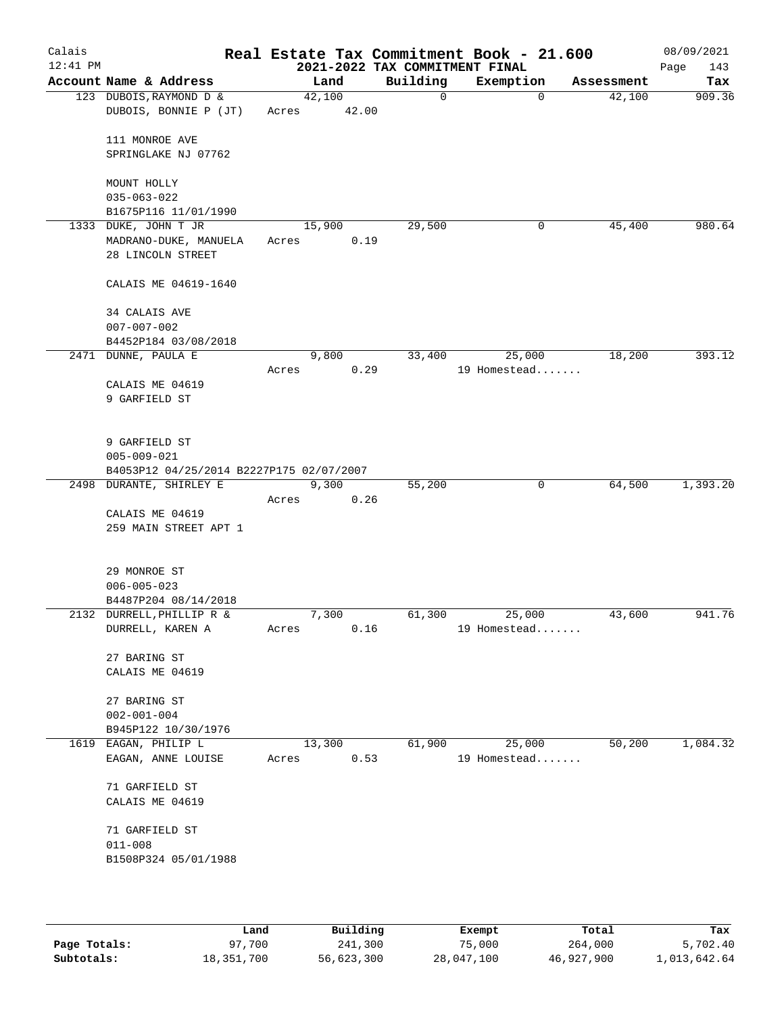| Calais<br>$12:41$ PM |                                                                                |                 |       | 2021-2022 TAX COMMITMENT FINAL | Real Estate Tax Commitment Book - 21.600 |            | 08/09/2021<br>Page<br>143 |
|----------------------|--------------------------------------------------------------------------------|-----------------|-------|--------------------------------|------------------------------------------|------------|---------------------------|
|                      | Account Name & Address                                                         | Land            |       | Building                       | Exemption                                | Assessment | Tax                       |
|                      | 123 DUBOIS, RAYMOND D &<br>DUBOIS, BONNIE P (JT)                               | 42,100<br>Acres | 42.00 | $\mathbf 0$                    | $\mathbf 0$                              | 42,100     | 909.36                    |
|                      | 111 MONROE AVE<br>SPRINGLAKE NJ 07762                                          |                 |       |                                |                                          |            |                           |
|                      | MOUNT HOLLY<br>$035 - 063 - 022$                                               |                 |       |                                |                                          |            |                           |
|                      | B1675P116 11/01/1990<br>1333 DUKE, JOHN T JR                                   | 15,900          |       | 29,500                         | 0                                        | 45,400     | 980.64                    |
|                      | MADRANO-DUKE, MANUELA<br>28 LINCOLN STREET                                     | Acres           | 0.19  |                                |                                          |            |                           |
|                      | CALAIS ME 04619-1640                                                           |                 |       |                                |                                          |            |                           |
|                      | 34 CALAIS AVE<br>$007 - 007 - 002$                                             |                 |       |                                |                                          |            |                           |
|                      | B4452P184 03/08/2018                                                           |                 |       |                                |                                          |            |                           |
|                      | 2471 DUNNE, PAULA E                                                            | 9,800<br>Acres  | 0.29  | 33,400                         | 25,000<br>19 Homestead                   | 18,200     | 393.12                    |
|                      | CALAIS ME 04619<br>9 GARFIELD ST                                               |                 |       |                                |                                          |            |                           |
|                      | 9 GARFIELD ST<br>$005 - 009 - 021$<br>B4053P12 04/25/2014 B2227P175 02/07/2007 |                 |       |                                |                                          |            |                           |
|                      | 2498 DURANTE, SHIRLEY E                                                        | 9,300           |       | 55,200                         | 0                                        | 64,500     | 1,393.20                  |
|                      |                                                                                | Acres           | 0.26  |                                |                                          |            |                           |
|                      | CALAIS ME 04619<br>259 MAIN STREET APT 1                                       |                 |       |                                |                                          |            |                           |
|                      | 29 MONROE ST<br>$006 - 005 - 023$<br>B4487P204 08/14/2018                      |                 |       |                                |                                          |            |                           |
|                      | 2132 DURRELL, PHILLIP R &                                                      | 7,300           |       | 61,300                         | 25,000                                   | 43,600     | 941.76                    |
|                      | DURRELL, KAREN A                                                               | Acres           | 0.16  |                                | 19 Homestead                             |            |                           |
|                      | 27 BARING ST<br>CALAIS ME 04619                                                |                 |       |                                |                                          |            |                           |
|                      | 27 BARING ST<br>$002 - 001 - 004$<br>B945P122 10/30/1976                       |                 |       |                                |                                          |            |                           |
|                      | 1619 EAGAN, PHILIP L<br>EAGAN, ANNE LOUISE                                     | 13,300<br>Acres | 0.53  | 61,900                         | 25,000<br>19 Homestead                   | 50,200     | 1,084.32                  |
|                      | 71 GARFIELD ST<br>CALAIS ME 04619                                              |                 |       |                                |                                          |            |                           |
|                      | 71 GARFIELD ST<br>$011 - 008$<br>B1508P324 05/01/1988                          |                 |       |                                |                                          |            |                           |
|                      |                                                                                |                 |       |                                |                                          |            |                           |

|              | Land       | Building   | Exempt     | Total      | Tax          |
|--------------|------------|------------|------------|------------|--------------|
| Page Totals: | 97,700     | 241,300    | 75,000     | 264,000    | 5,702.40     |
| Subtotals:   | 18,351,700 | 56,623,300 | 28,047,100 | 46,927,900 | 1,013,642.64 |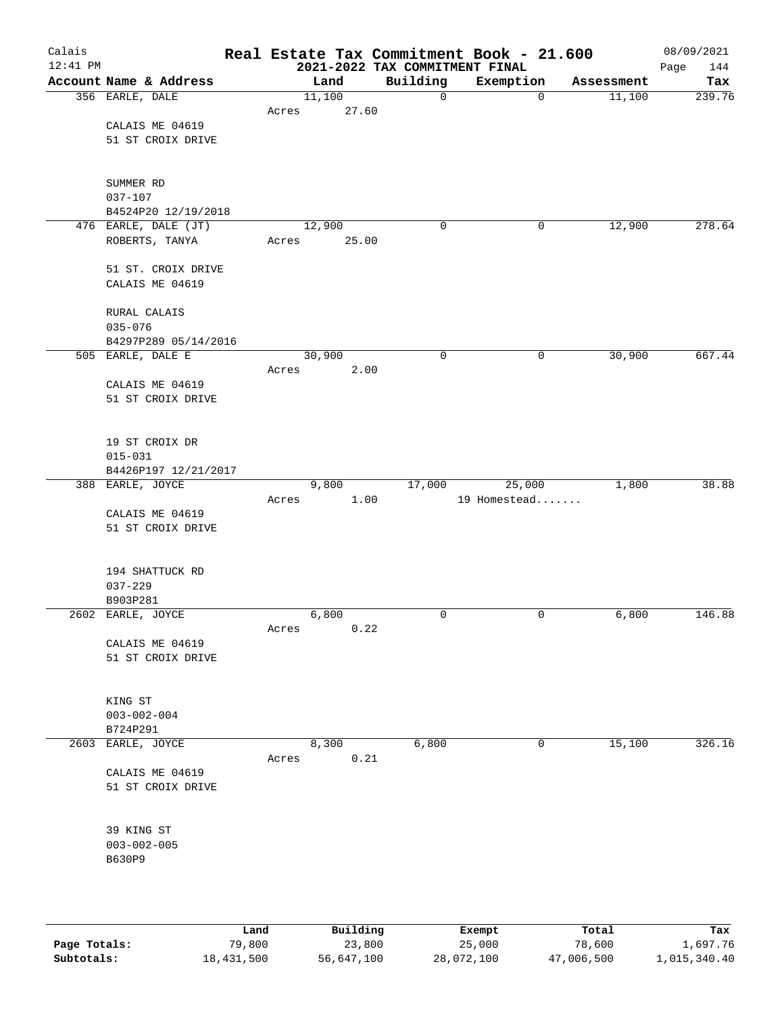| Calais<br>$12:41$ PM |                                             |       |        |       |             | Real Estate Tax Commitment Book - 21.600<br>2021-2022 TAX COMMITMENT FINAL |             |            | 08/09/2021<br>Page<br>144 |
|----------------------|---------------------------------------------|-------|--------|-------|-------------|----------------------------------------------------------------------------|-------------|------------|---------------------------|
|                      | Account Name & Address                      |       | Land   |       | Building    | Exemption                                                                  |             | Assessment | Tax                       |
|                      | 356 EARLE, DALE                             |       | 11,100 |       | 0           |                                                                            | $\mathbf 0$ | 11,100     | 239.76                    |
|                      |                                             | Acres |        | 27.60 |             |                                                                            |             |            |                           |
|                      | CALAIS ME 04619                             |       |        |       |             |                                                                            |             |            |                           |
|                      | 51 ST CROIX DRIVE                           |       |        |       |             |                                                                            |             |            |                           |
|                      |                                             |       |        |       |             |                                                                            |             |            |                           |
|                      |                                             |       |        |       |             |                                                                            |             |            |                           |
|                      | SUMMER RD                                   |       |        |       |             |                                                                            |             |            |                           |
|                      | $037 - 107$                                 |       |        |       |             |                                                                            |             |            |                           |
|                      | B4524P20 12/19/2018<br>476 EARLE, DALE (JT) |       | 12,900 |       | $\mathbf 0$ |                                                                            | 0           | 12,900     | 278.64                    |
|                      | ROBERTS, TANYA                              | Acres |        | 25.00 |             |                                                                            |             |            |                           |
|                      |                                             |       |        |       |             |                                                                            |             |            |                           |
|                      | 51 ST. CROIX DRIVE                          |       |        |       |             |                                                                            |             |            |                           |
|                      | CALAIS ME 04619                             |       |        |       |             |                                                                            |             |            |                           |
|                      |                                             |       |        |       |             |                                                                            |             |            |                           |
|                      | RURAL CALAIS                                |       |        |       |             |                                                                            |             |            |                           |
|                      | $035 - 076$                                 |       |        |       |             |                                                                            |             |            |                           |
|                      | B4297P289 05/14/2016                        |       |        |       |             |                                                                            |             |            |                           |
|                      | 505 EARLE, DALE E                           |       | 30,900 |       | $\mathbf 0$ |                                                                            | 0           | 30,900     | 667.44                    |
|                      | CALAIS ME 04619                             | Acres |        | 2.00  |             |                                                                            |             |            |                           |
|                      | 51 ST CROIX DRIVE                           |       |        |       |             |                                                                            |             |            |                           |
|                      |                                             |       |        |       |             |                                                                            |             |            |                           |
|                      |                                             |       |        |       |             |                                                                            |             |            |                           |
|                      | 19 ST CROIX DR                              |       |        |       |             |                                                                            |             |            |                           |
|                      | $015 - 031$                                 |       |        |       |             |                                                                            |             |            |                           |
|                      | B4426P197 12/21/2017                        |       |        |       |             |                                                                            |             |            |                           |
|                      | 388 EARLE, JOYCE                            |       | 9,800  |       | 17,000      | 25,000                                                                     |             | 1,800      | 38.88                     |
|                      |                                             | Acres |        | 1.00  |             | 19 Homestead                                                               |             |            |                           |
|                      | CALAIS ME 04619<br>51 ST CROIX DRIVE        |       |        |       |             |                                                                            |             |            |                           |
|                      |                                             |       |        |       |             |                                                                            |             |            |                           |
|                      |                                             |       |        |       |             |                                                                            |             |            |                           |
|                      | 194 SHATTUCK RD                             |       |        |       |             |                                                                            |             |            |                           |
|                      | $037 - 229$                                 |       |        |       |             |                                                                            |             |            |                           |
|                      | B903P281                                    |       |        |       |             |                                                                            |             |            |                           |
|                      | 2602 EARLE, JOYCE                           |       | 6,800  |       | 0           |                                                                            | 0           | 6,800      | 146.88                    |
|                      |                                             | Acres |        | 0.22  |             |                                                                            |             |            |                           |
|                      | CALAIS ME 04619                             |       |        |       |             |                                                                            |             |            |                           |
|                      | 51 ST CROIX DRIVE                           |       |        |       |             |                                                                            |             |            |                           |
|                      |                                             |       |        |       |             |                                                                            |             |            |                           |
|                      | KING ST                                     |       |        |       |             |                                                                            |             |            |                           |
|                      | $003 - 002 - 004$                           |       |        |       |             |                                                                            |             |            |                           |
|                      | B724P291                                    |       |        |       |             |                                                                            |             |            |                           |
| 2603                 | EARLE, JOYCE                                |       | 8,300  |       | 6,800       |                                                                            | 0           | 15,100     | 326.16                    |
|                      |                                             | Acres |        | 0.21  |             |                                                                            |             |            |                           |
|                      | CALAIS ME 04619                             |       |        |       |             |                                                                            |             |            |                           |
|                      | 51 ST CROIX DRIVE                           |       |        |       |             |                                                                            |             |            |                           |
|                      |                                             |       |        |       |             |                                                                            |             |            |                           |
|                      | 39 KING ST                                  |       |        |       |             |                                                                            |             |            |                           |
|                      | $003 - 002 - 005$                           |       |        |       |             |                                                                            |             |            |                           |
|                      | B630P9                                      |       |        |       |             |                                                                            |             |            |                           |
|                      |                                             |       |        |       |             |                                                                            |             |            |                           |
|                      |                                             |       |        |       |             |                                                                            |             |            |                           |
|                      |                                             |       |        |       |             |                                                                            |             |            |                           |
|                      |                                             |       |        |       |             |                                                                            |             |            |                           |

|              | Land       | Building   | Exempt     | Total      | Tax          |
|--------------|------------|------------|------------|------------|--------------|
| Page Totals: | 79.800     | 23,800     | 25,000     | 78,600     | 1,697.76     |
| Subtotals:   | 18,431,500 | 56,647,100 | 28,072,100 | 47,006,500 | 1,015,340.40 |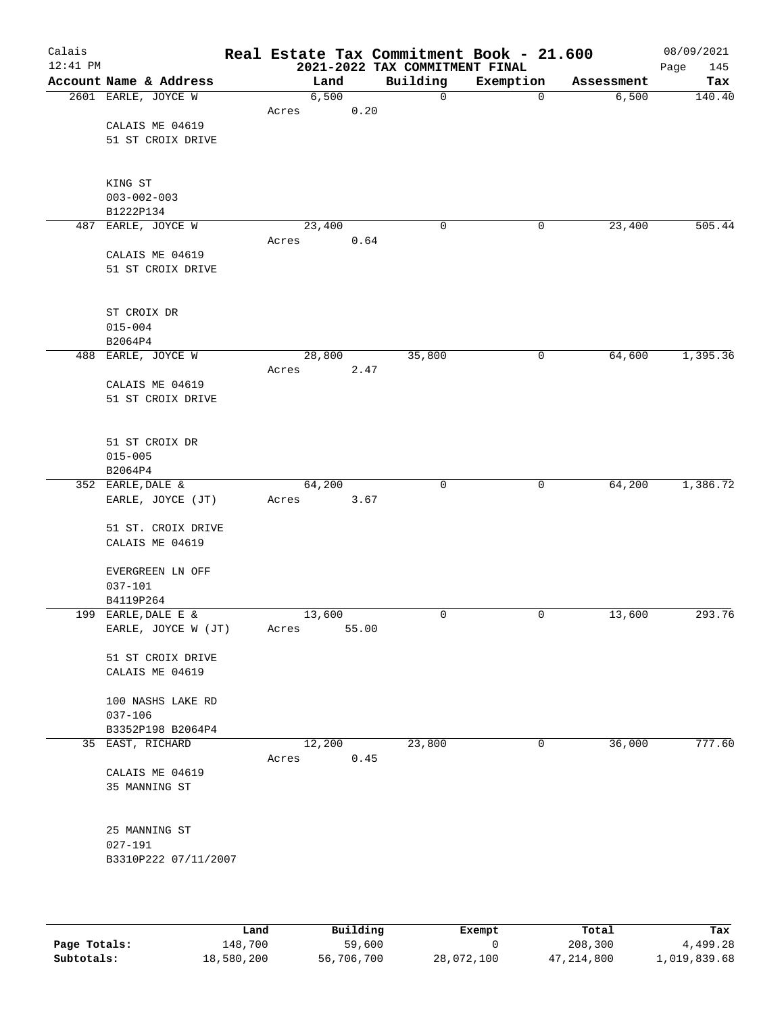| Calais<br>12:41 PM |                        |       |        |       | Real Estate Tax Commitment Book - 21.600<br>2021-2022 TAX COMMITMENT FINAL |           |             |            | 08/09/2021<br>145<br>Page |
|--------------------|------------------------|-------|--------|-------|----------------------------------------------------------------------------|-----------|-------------|------------|---------------------------|
|                    | Account Name & Address |       | Land   |       | Building                                                                   | Exemption |             | Assessment | Tax                       |
|                    | 2601 EARLE, JOYCE W    |       | 6,500  |       | 0                                                                          |           | $\mathbf 0$ | 6,500      | 140.40                    |
|                    |                        | Acres |        | 0.20  |                                                                            |           |             |            |                           |
|                    | CALAIS ME 04619        |       |        |       |                                                                            |           |             |            |                           |
|                    | 51 ST CROIX DRIVE      |       |        |       |                                                                            |           |             |            |                           |
|                    |                        |       |        |       |                                                                            |           |             |            |                           |
|                    |                        |       |        |       |                                                                            |           |             |            |                           |
|                    | KING ST                |       |        |       |                                                                            |           |             |            |                           |
|                    | $003 - 002 - 003$      |       |        |       |                                                                            |           |             |            |                           |
|                    | B1222P134              |       |        |       |                                                                            |           |             |            |                           |
|                    | 487 EARLE, JOYCE W     |       | 23,400 |       | $\mathbf 0$                                                                |           | 0           | 23,400     | 505.44                    |
|                    |                        | Acres |        | 0.64  |                                                                            |           |             |            |                           |
|                    | CALAIS ME 04619        |       |        |       |                                                                            |           |             |            |                           |
|                    | 51 ST CROIX DRIVE      |       |        |       |                                                                            |           |             |            |                           |
|                    |                        |       |        |       |                                                                            |           |             |            |                           |
|                    |                        |       |        |       |                                                                            |           |             |            |                           |
|                    | ST CROIX DR            |       |        |       |                                                                            |           |             |            |                           |
|                    | $015 - 004$            |       |        |       |                                                                            |           |             |            |                           |
|                    | B2064P4                |       |        |       |                                                                            |           |             |            |                           |
|                    | 488 EARLE, JOYCE W     |       | 28,800 |       | 35,800                                                                     |           | 0           | 64,600     | 1,395.36                  |
|                    |                        | Acres |        | 2.47  |                                                                            |           |             |            |                           |
|                    | CALAIS ME 04619        |       |        |       |                                                                            |           |             |            |                           |
|                    | 51 ST CROIX DRIVE      |       |        |       |                                                                            |           |             |            |                           |
|                    |                        |       |        |       |                                                                            |           |             |            |                           |
|                    |                        |       |        |       |                                                                            |           |             |            |                           |
|                    | 51 ST CROIX DR         |       |        |       |                                                                            |           |             |            |                           |
|                    | $015 - 005$            |       |        |       |                                                                            |           |             |            |                           |
|                    | B2064P4                |       |        |       |                                                                            |           |             |            |                           |
|                    | 352 EARLE, DALE &      |       | 64,200 |       | $\mathbf 0$                                                                |           | 0           | 64,200     | 1,386.72                  |
|                    | EARLE, JOYCE (JT)      | Acres |        | 3.67  |                                                                            |           |             |            |                           |
|                    | 51 ST. CROIX DRIVE     |       |        |       |                                                                            |           |             |            |                           |
|                    | CALAIS ME 04619        |       |        |       |                                                                            |           |             |            |                           |
|                    |                        |       |        |       |                                                                            |           |             |            |                           |
|                    | EVERGREEN LN OFF       |       |        |       |                                                                            |           |             |            |                           |
|                    | $037 - 101$            |       |        |       |                                                                            |           |             |            |                           |
|                    | B4119P264              |       |        |       |                                                                            |           |             |            |                           |
|                    | 199 EARLE, DALE E &    |       | 13,600 |       | 0                                                                          |           | 0           | 13,600     | 293.76                    |
|                    | EARLE, JOYCE W (JT)    | Acres |        | 55.00 |                                                                            |           |             |            |                           |
|                    |                        |       |        |       |                                                                            |           |             |            |                           |
|                    | 51 ST CROIX DRIVE      |       |        |       |                                                                            |           |             |            |                           |
|                    | CALAIS ME 04619        |       |        |       |                                                                            |           |             |            |                           |
|                    |                        |       |        |       |                                                                            |           |             |            |                           |
|                    | 100 NASHS LAKE RD      |       |        |       |                                                                            |           |             |            |                           |
|                    | $037 - 106$            |       |        |       |                                                                            |           |             |            |                           |
|                    | B3352P198 B2064P4      |       |        |       |                                                                            |           |             |            |                           |
|                    | 35 EAST, RICHARD       |       | 12,200 |       | 23,800                                                                     |           | 0           | 36,000     | 777.60                    |
|                    |                        | Acres |        | 0.45  |                                                                            |           |             |            |                           |
|                    | CALAIS ME 04619        |       |        |       |                                                                            |           |             |            |                           |
|                    | 35 MANNING ST          |       |        |       |                                                                            |           |             |            |                           |
|                    |                        |       |        |       |                                                                            |           |             |            |                           |
|                    |                        |       |        |       |                                                                            |           |             |            |                           |
|                    | 25 MANNING ST          |       |        |       |                                                                            |           |             |            |                           |
|                    | $027 - 191$            |       |        |       |                                                                            |           |             |            |                           |
|                    | B3310P222 07/11/2007   |       |        |       |                                                                            |           |             |            |                           |
|                    |                        |       |        |       |                                                                            |           |             |            |                           |
|                    |                        |       |        |       |                                                                            |           |             |            |                           |

|              | Land       | Building   | Exempt     | Total        | Tax          |
|--------------|------------|------------|------------|--------------|--------------|
| Page Totals: | 148,700    | 59,600     |            | 208,300      | 4,499.28     |
| Subtotals:   | 18,580,200 | 56,706,700 | 28,072,100 | 47, 214, 800 | 1,019,839.68 |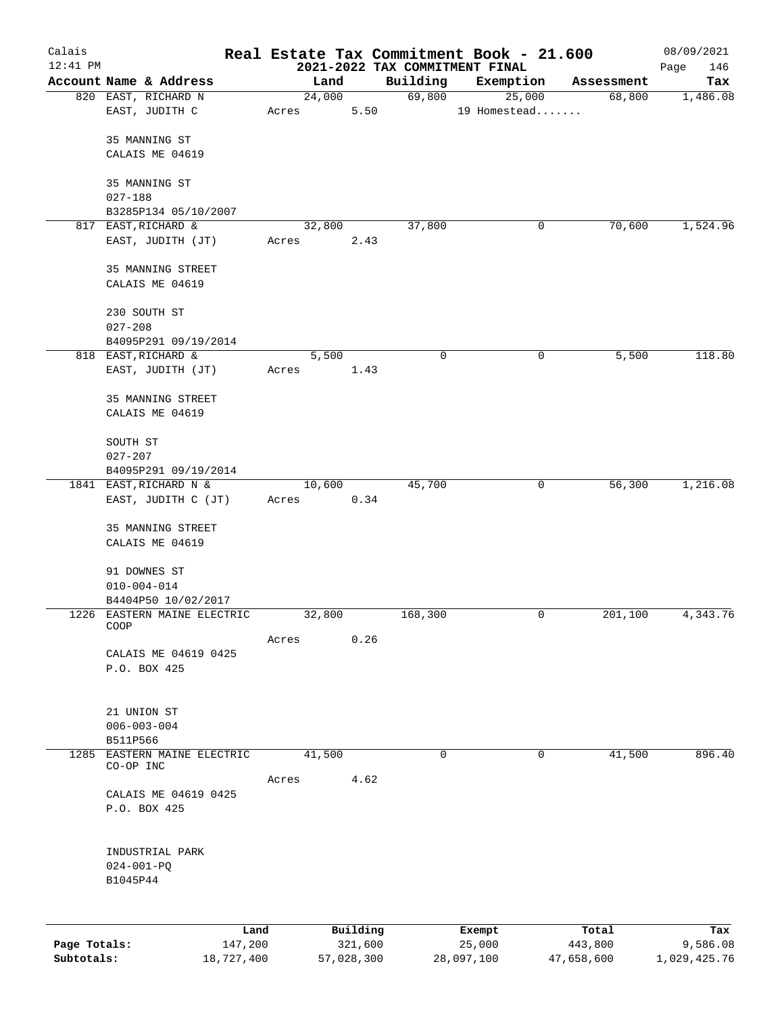| Calais       |                                               |            |                 |            |                                | Real Estate Tax Commitment Book - 21.600 |                      | 08/09/2021   |
|--------------|-----------------------------------------------|------------|-----------------|------------|--------------------------------|------------------------------------------|----------------------|--------------|
| $12:41$ PM   |                                               |            |                 |            | 2021-2022 TAX COMMITMENT FINAL |                                          |                      | 146<br>Page  |
|              | Account Name & Address<br>820 EAST, RICHARD N |            | Land<br>24,000  |            | Building<br>69,800             | Exemption<br>25,000                      | Assessment<br>68,800 | Tax          |
|              | EAST, JUDITH C                                |            | Acres           | 5.50       |                                | 19 Homestead                             |                      | 1,486.08     |
|              | 35 MANNING ST                                 |            |                 |            |                                |                                          |                      |              |
|              | CALAIS ME 04619                               |            |                 |            |                                |                                          |                      |              |
|              | 35 MANNING ST                                 |            |                 |            |                                |                                          |                      |              |
|              | $027 - 188$<br>B3285P134 05/10/2007           |            |                 |            |                                |                                          |                      |              |
|              | 817 EAST, RICHARD &                           |            | 32,800          |            | 37,800                         | 0                                        | 70,600               | 1,524.96     |
|              | EAST, JUDITH (JT)                             |            | Acres           | 2.43       |                                |                                          |                      |              |
|              | 35 MANNING STREET                             |            |                 |            |                                |                                          |                      |              |
|              | CALAIS ME 04619                               |            |                 |            |                                |                                          |                      |              |
|              | 230 SOUTH ST<br>$027 - 208$                   |            |                 |            |                                |                                          |                      |              |
|              | B4095P291 09/19/2014                          |            |                 |            |                                |                                          |                      |              |
|              | 818 EAST, RICHARD &                           |            | 5,500           |            | 0                              | 0                                        | 5,500                | 118.80       |
|              | EAST, JUDITH (JT)                             |            | Acres           | 1.43       |                                |                                          |                      |              |
|              | 35 MANNING STREET                             |            |                 |            |                                |                                          |                      |              |
|              | CALAIS ME 04619                               |            |                 |            |                                |                                          |                      |              |
|              | SOUTH ST                                      |            |                 |            |                                |                                          |                      |              |
|              | $027 - 207$                                   |            |                 |            |                                |                                          |                      |              |
|              | B4095P291 09/19/2014                          |            |                 |            |                                |                                          |                      |              |
|              | 1841 EAST, RICHARD N &<br>EAST, JUDITH C (JT) |            | 10,600<br>Acres | 0.34       | 45,700                         | 0                                        | 56,300               | 1,216.08     |
|              |                                               |            |                 |            |                                |                                          |                      |              |
|              | 35 MANNING STREET<br>CALAIS ME 04619          |            |                 |            |                                |                                          |                      |              |
|              | 91 DOWNES ST                                  |            |                 |            |                                |                                          |                      |              |
|              | $010 - 004 - 014$                             |            |                 |            |                                |                                          |                      |              |
|              | B4404P50 10/02/2017                           |            |                 |            |                                |                                          |                      |              |
|              | 1226 EASTERN MAINE ELECTRIC<br>COOP           |            | 32,800          |            | 168,300                        | 0                                        | 201,100              | 4,343.76     |
|              |                                               |            | Acres           | 0.26       |                                |                                          |                      |              |
|              | CALAIS ME 04619 0425<br>P.O. BOX 425          |            |                 |            |                                |                                          |                      |              |
|              |                                               |            |                 |            |                                |                                          |                      |              |
|              | 21 UNION ST                                   |            |                 |            |                                |                                          |                      |              |
|              | $006 - 003 - 004$                             |            |                 |            |                                |                                          |                      |              |
|              | B511P566                                      |            |                 |            | $\mathbf 0$                    | $\mathbf 0$                              |                      |              |
| 1285         | EASTERN MAINE ELECTRIC<br>CO-OP INC           |            | 41,500          |            |                                |                                          | 41,500               | 896.40       |
|              | CALAIS ME 04619 0425                          |            | Acres           | 4.62       |                                |                                          |                      |              |
|              | P.O. BOX 425                                  |            |                 |            |                                |                                          |                      |              |
|              |                                               |            |                 |            |                                |                                          |                      |              |
|              | INDUSTRIAL PARK<br>$024 - 001 - PQ$           |            |                 |            |                                |                                          |                      |              |
|              | B1045P44                                      |            |                 |            |                                |                                          |                      |              |
|              |                                               |            |                 |            |                                |                                          |                      |              |
|              |                                               | Land       |                 | Building   |                                | Exempt                                   | Total                | Tax          |
| Page Totals: |                                               | 147,200    |                 | 321,600    |                                | 25,000                                   | 443,800              | 9,586.08     |
| Subtotals:   |                                               | 18,727,400 |                 | 57,028,300 |                                | 28,097,100                               | 47,658,600           | 1,029,425.76 |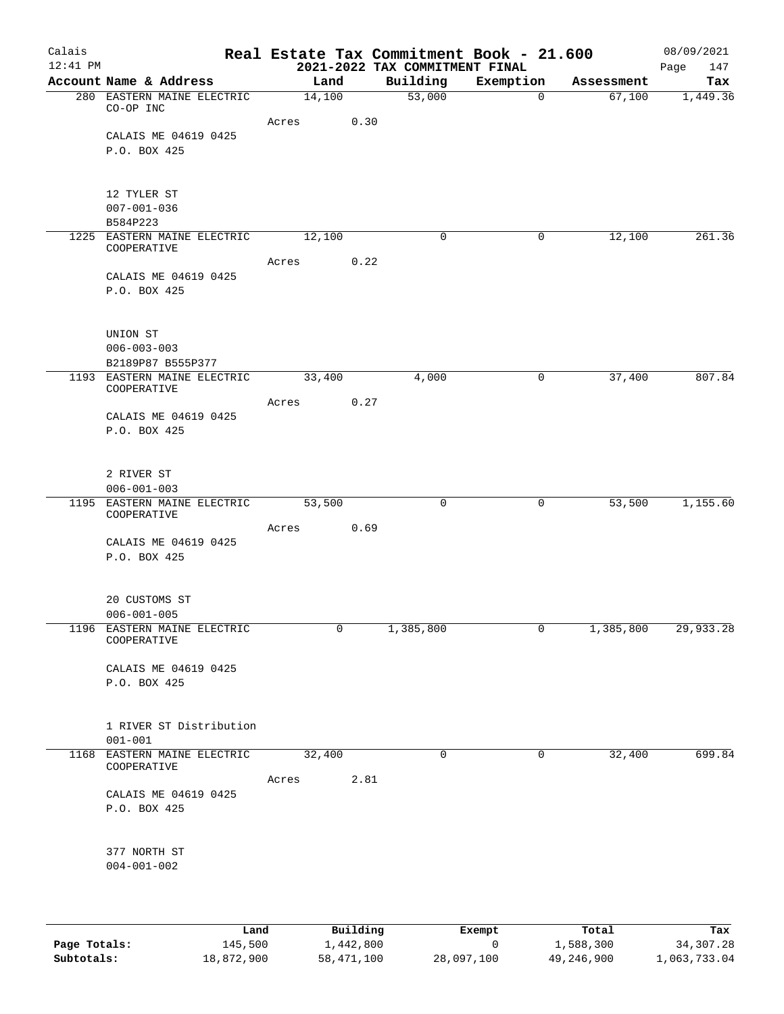| Calais<br>$12:41$ PM |                                            |        |          | 2021-2022 TAX COMMITMENT FINAL | Real Estate Tax Commitment Book - 21.600 |            | 08/09/2021<br>Page<br>147 |
|----------------------|--------------------------------------------|--------|----------|--------------------------------|------------------------------------------|------------|---------------------------|
|                      | Account Name & Address                     |        | Land     | Building                       | Exemption                                | Assessment | Tax                       |
|                      | 280 EASTERN MAINE ELECTRIC<br>CO-OP INC    | 14,100 |          | 53,000                         | $\overline{0}$                           | 67,100     | 1,449.36                  |
|                      |                                            | Acres  | 0.30     |                                |                                          |            |                           |
|                      | CALAIS ME 04619 0425                       |        |          |                                |                                          |            |                           |
|                      | P.O. BOX 425                               |        |          |                                |                                          |            |                           |
|                      | 12 TYLER ST                                |        |          |                                |                                          |            |                           |
|                      | $007 - 001 - 036$<br>B584P223              |        |          |                                |                                          |            |                           |
|                      | 1225 EASTERN MAINE ELECTRIC<br>COOPERATIVE | 12,100 |          | 0                              | 0                                        | 12,100     | 261.36                    |
|                      |                                            | Acres  | 0.22     |                                |                                          |            |                           |
|                      | CALAIS ME 04619 0425<br>P.O. BOX 425       |        |          |                                |                                          |            |                           |
|                      | UNION ST<br>$006 - 003 - 003$              |        |          |                                |                                          |            |                           |
|                      | B2189P87 B555P377                          |        |          |                                |                                          |            |                           |
|                      | 1193 EASTERN MAINE ELECTRIC<br>COOPERATIVE |        | 33,400   | 4,000                          | 0                                        | 37,400     | 807.84                    |
|                      |                                            | Acres  | 0.27     |                                |                                          |            |                           |
|                      | CALAIS ME 04619 0425                       |        |          |                                |                                          |            |                           |
|                      | P.O. BOX 425                               |        |          |                                |                                          |            |                           |
|                      | 2 RIVER ST                                 |        |          |                                |                                          |            |                           |
|                      | $006 - 001 - 003$                          |        |          |                                |                                          |            |                           |
|                      | 1195 EASTERN MAINE ELECTRIC<br>COOPERATIVE | 53,500 |          | $\mathbf 0$                    | 0                                        | 53,500     | 1,155.60                  |
|                      |                                            | Acres  | 0.69     |                                |                                          |            |                           |
|                      | CALAIS ME 04619 0425<br>P.O. BOX 425       |        |          |                                |                                          |            |                           |
|                      | 20 CUSTOMS ST<br>$006 - 001 - 005$         |        |          |                                |                                          |            |                           |
|                      | 1196 EASTERN MAINE ELECTRIC<br>COOPERATIVE |        | 0        | 1,385,800                      | 0                                        | 1,385,800  | 29,933.28                 |
|                      | CALAIS ME 04619 0425                       |        |          |                                |                                          |            |                           |
|                      | P.O. BOX 425                               |        |          |                                |                                          |            |                           |
|                      | 1 RIVER ST Distribution<br>$001 - 001$     |        |          |                                |                                          |            |                           |
| 1168                 | EASTERN MAINE ELECTRIC                     | 32,400 |          | 0                              | 0                                        | 32,400     | 699.84                    |
|                      | COOPERATIVE                                |        |          |                                |                                          |            |                           |
|                      |                                            | Acres  | 2.81     |                                |                                          |            |                           |
|                      | CALAIS ME 04619 0425<br>P.O. BOX 425       |        |          |                                |                                          |            |                           |
|                      | 377 NORTH ST                               |        |          |                                |                                          |            |                           |
|                      | $004 - 001 - 002$                          |        |          |                                |                                          |            |                           |
|                      |                                            |        |          |                                |                                          |            |                           |
|                      | Land                                       |        | Building |                                | Exempt                                   | Total      | Tax                       |

| Page Totals: | 145,500    | 1,442,800  |            | 1,588,300  | 34,307.28    |
|--------------|------------|------------|------------|------------|--------------|
| Subtotals:   | 18,872,900 | 58,471,100 | 28,097,100 | 49,246,900 | 1,063,733.04 |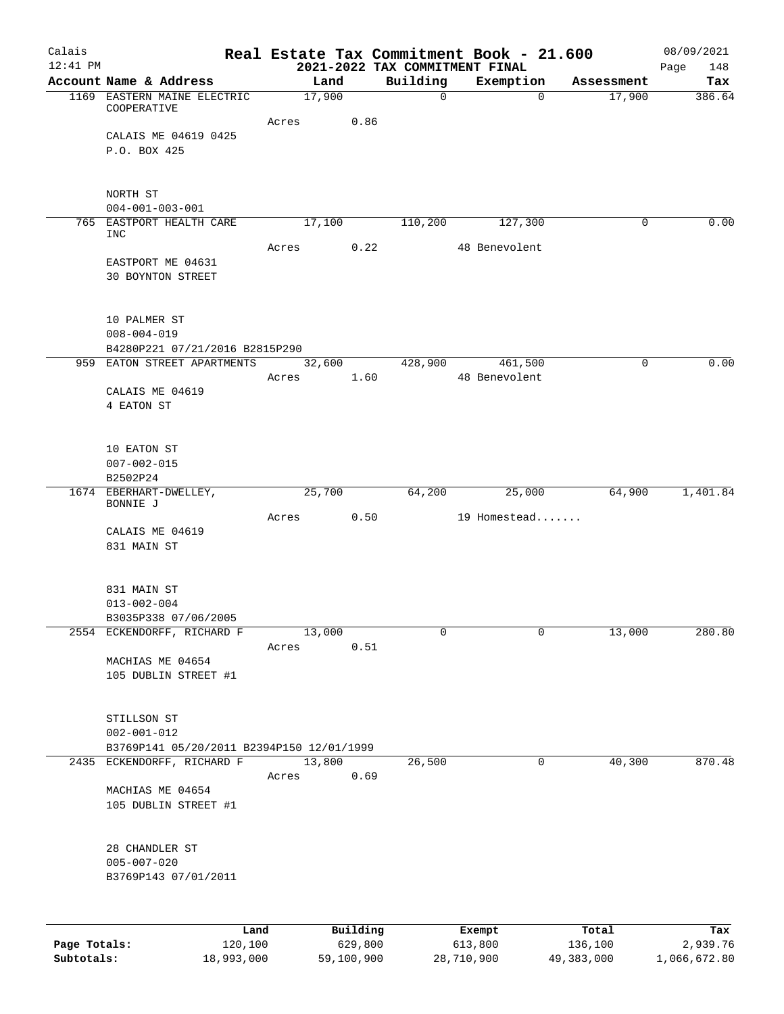| Calais       |                                                                    |                 |          | Real Estate Tax Commitment Book - 21.600   |                          |          |            | 08/09/2021         |
|--------------|--------------------------------------------------------------------|-----------------|----------|--------------------------------------------|--------------------------|----------|------------|--------------------|
| $12:41$ PM   | Account Name & Address                                             | Land            |          | 2021-2022 TAX COMMITMENT FINAL<br>Building | Exemption                |          | Assessment | Page<br>148<br>Tax |
|              | 1169 EASTERN MAINE ELECTRIC                                        | 17,900          |          | $\Omega$                                   |                          | $\Omega$ | 17,900     | 386.64             |
|              | COOPERATIVE                                                        | Acres           | 0.86     |                                            |                          |          |            |                    |
|              | CALAIS ME 04619 0425                                               |                 |          |                                            |                          |          |            |                    |
|              | P.O. BOX 425                                                       |                 |          |                                            |                          |          |            |                    |
|              | NORTH ST                                                           |                 |          |                                            |                          |          |            |                    |
|              | $004 - 001 - 003 - 001$                                            |                 |          |                                            |                          |          |            |                    |
|              | 765 EASTPORT HEALTH CARE<br>INC                                    | 17,100          |          | 110,200                                    |                          | 127,300  | $\Omega$   | 0.00               |
|              |                                                                    | Acres           | 0.22     |                                            | 48 Benevolent            |          |            |                    |
|              | EASTPORT ME 04631<br><b>30 BOYNTON STREET</b>                      |                 |          |                                            |                          |          |            |                    |
|              | 10 PALMER ST<br>$008 - 004 - 019$                                  |                 |          |                                            |                          |          |            |                    |
|              | B4280P221 07/21/2016 B2815P290                                     |                 |          |                                            |                          |          |            |                    |
|              | 959 EATON STREET APARTMENTS                                        | 32,600<br>Acres | 1.60     | 428,900                                    | 461,500<br>48 Benevolent |          | 0          | 0.00               |
|              | CALAIS ME 04619                                                    |                 |          |                                            |                          |          |            |                    |
|              | 4 EATON ST                                                         |                 |          |                                            |                          |          |            |                    |
|              | 10 EATON ST                                                        |                 |          |                                            |                          |          |            |                    |
|              | $007 - 002 - 015$<br>B2502P24                                      |                 |          |                                            |                          |          |            |                    |
|              | 1674 EBERHART-DWELLEY,                                             | 25,700          |          | 64,200                                     |                          | 25,000   | 64,900     | 1,401.84           |
|              | BONNIE J                                                           |                 |          |                                            |                          |          |            |                    |
|              | CALAIS ME 04619                                                    | Acres           | 0.50     |                                            | 19 Homestead             |          |            |                    |
|              | 831 MAIN ST                                                        |                 |          |                                            |                          |          |            |                    |
|              | 831 MAIN ST                                                        |                 |          |                                            |                          |          |            |                    |
|              | $013 - 002 - 004$                                                  |                 |          |                                            |                          |          |            |                    |
|              | B3035P338 07/06/2005                                               |                 |          |                                            |                          |          |            |                    |
|              | 2554 ECKENDORFF, RICHARD F                                         | 13,000<br>Acres | 0.51     | 0                                          |                          | 0        | 13,000     | 280.80             |
|              | MACHIAS ME 04654                                                   |                 |          |                                            |                          |          |            |                    |
|              | 105 DUBLIN STREET #1                                               |                 |          |                                            |                          |          |            |                    |
|              | STILLSON ST                                                        |                 |          |                                            |                          |          |            |                    |
|              | $002 - 001 - 012$                                                  |                 |          |                                            |                          |          |            |                    |
| 2435         | B3769P141 05/20/2011 B2394P150 12/01/1999<br>ECKENDORFF, RICHARD F | 13,800          |          | 26,500                                     |                          | 0        | 40,300     | 870.48             |
|              |                                                                    | Acres           | 0.69     |                                            |                          |          |            |                    |
|              | MACHIAS ME 04654                                                   |                 |          |                                            |                          |          |            |                    |
|              | 105 DUBLIN STREET #1                                               |                 |          |                                            |                          |          |            |                    |
|              | 28 CHANDLER ST                                                     |                 |          |                                            |                          |          |            |                    |
|              | $005 - 007 - 020$<br>B3769P143 07/01/2011                          |                 |          |                                            |                          |          |            |                    |
|              |                                                                    |                 |          |                                            |                          |          |            |                    |
|              | Land                                                               |                 | Building |                                            | Exempt                   |          | Total      | Tax                |
| Page Totals: | 120,100                                                            |                 | 629,800  |                                            | 613,800                  |          | 136,100    | 2,939.76           |

**Subtotals:** 18,993,000 59,100,900 28,710,900 49,383,000 1,066,672.80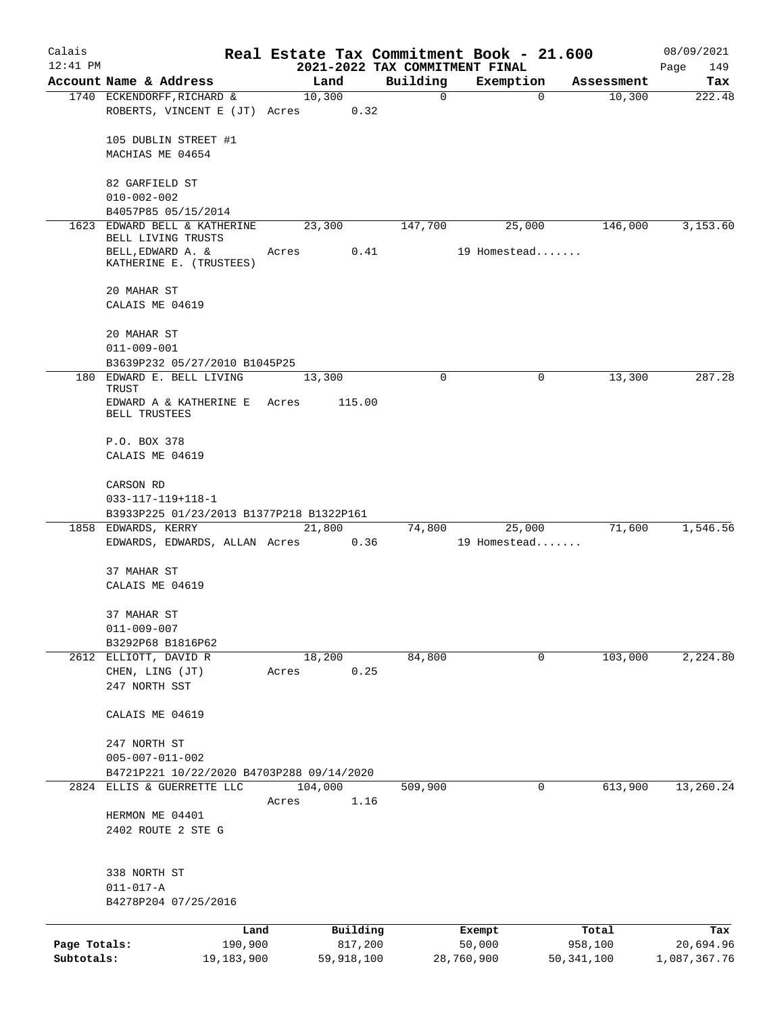| Calais       |                                                                      |       |                |                                            | Real Estate Tax Commitment Book - 21.600 |              | 08/09/2021         |
|--------------|----------------------------------------------------------------------|-------|----------------|--------------------------------------------|------------------------------------------|--------------|--------------------|
| $12:41$ PM   | Account Name & Address                                               |       | Land           | 2021-2022 TAX COMMITMENT FINAL<br>Building | Exemption                                | Assessment   | Page<br>149<br>Tax |
|              | 1740 ECKENDORFF, RICHARD &                                           |       | 10,300         | 0                                          | $\mathbf 0$                              | 10,300       | 222.48             |
|              | ROBERTS, VINCENT E (JT) Acres                                        |       | 0.32           |                                            |                                          |              |                    |
|              | 105 DUBLIN STREET #1                                                 |       |                |                                            |                                          |              |                    |
|              | MACHIAS ME 04654                                                     |       |                |                                            |                                          |              |                    |
|              | 82 GARFIELD ST                                                       |       |                |                                            |                                          |              |                    |
|              | $010 - 002 - 002$                                                    |       |                |                                            |                                          |              |                    |
|              | B4057P85 05/15/2014                                                  |       |                |                                            |                                          |              |                    |
| 1623         | EDWARD BELL & KATHERINE<br>BELL LIVING TRUSTS                        |       | 23,300         | 147,700                                    | 25,000                                   | 146,000      | 3,153.60           |
|              | BELL, EDWARD A. &<br>KATHERINE E. (TRUSTEES)                         | Acres | 0.41           |                                            | 19 Homestead                             |              |                    |
|              | 20 MAHAR ST                                                          |       |                |                                            |                                          |              |                    |
|              | CALAIS ME 04619                                                      |       |                |                                            |                                          |              |                    |
|              | 20 MAHAR ST                                                          |       |                |                                            |                                          |              |                    |
|              | $011 - 009 - 001$                                                    |       |                |                                            |                                          |              |                    |
|              | B3639P232 05/27/2010 B1045P25<br>180 EDWARD E. BELL LIVING           |       |                | $\Omega$                                   | 0                                        | 13,300       | 287.28             |
|              | TRUST                                                                |       | 13,300         |                                            |                                          |              |                    |
|              | EDWARD A & KATHERINE E<br>BELL TRUSTEES                              | Acres | 115.00         |                                            |                                          |              |                    |
|              | P.O. BOX 378                                                         |       |                |                                            |                                          |              |                    |
|              | CALAIS ME 04619                                                      |       |                |                                            |                                          |              |                    |
|              | CARSON RD                                                            |       |                |                                            |                                          |              |                    |
|              | $033 - 117 - 119 + 118 - 1$                                          |       |                |                                            |                                          |              |                    |
|              | B3933P225 01/23/2013 B1377P218 B1322P161                             |       |                |                                            |                                          |              |                    |
|              | 1858 EDWARDS, KERRY<br>EDWARDS, EDWARDS, ALLAN Acres                 |       | 21,800<br>0.36 | 74,800                                     | 25,000<br>19 Homestead                   | 71,600       | 1,546.56           |
|              |                                                                      |       |                |                                            |                                          |              |                    |
|              | 37 MAHAR ST<br>CALAIS ME 04619                                       |       |                |                                            |                                          |              |                    |
|              |                                                                      |       |                |                                            |                                          |              |                    |
|              | 37 MAHAR ST                                                          |       |                |                                            |                                          |              |                    |
|              | $011 - 009 - 007$                                                    |       |                |                                            |                                          |              |                    |
|              | B3292P68 B1816P62<br>2612 ELLIOTT, DAVID R                           |       |                | 84,800                                     | 0                                        |              | 2,224.80           |
|              | CHEN, LING (JT)                                                      | Acres | 18,200<br>0.25 |                                            |                                          | 103,000      |                    |
|              | 247 NORTH SST                                                        |       |                |                                            |                                          |              |                    |
|              | CALAIS ME 04619                                                      |       |                |                                            |                                          |              |                    |
|              |                                                                      |       |                |                                            |                                          |              |                    |
|              | 247 NORTH ST                                                         |       |                |                                            |                                          |              |                    |
|              | $005 - 007 - 011 - 002$<br>B4721P221 10/22/2020 B4703P288 09/14/2020 |       |                |                                            |                                          |              |                    |
| 2824         | ELLIS & GUERRETTE LLC                                                |       | 104,000        | 509,900                                    | 0                                        | 613,900      | 13,260.24          |
|              |                                                                      | Acres | 1.16           |                                            |                                          |              |                    |
|              | HERMON ME 04401                                                      |       |                |                                            |                                          |              |                    |
|              | 2402 ROUTE 2 STE G                                                   |       |                |                                            |                                          |              |                    |
|              |                                                                      |       |                |                                            |                                          |              |                    |
|              | 338 NORTH ST<br>$011 - 017 - A$                                      |       |                |                                            |                                          |              |                    |
|              | B4278P204 07/25/2016                                                 |       |                |                                            |                                          |              |                    |
|              |                                                                      |       |                |                                            |                                          |              |                    |
|              | Land                                                                 |       | Building       |                                            | Exempt                                   | Total        | Tax                |
| Page Totals: | 190,900                                                              |       | 817,200        |                                            | 50,000                                   | 958,100      | 20,694.96          |
| Subtotals:   | 19,183,900                                                           |       | 59,918,100     |                                            | 28,760,900                               | 50, 341, 100 | 1,087,367.76       |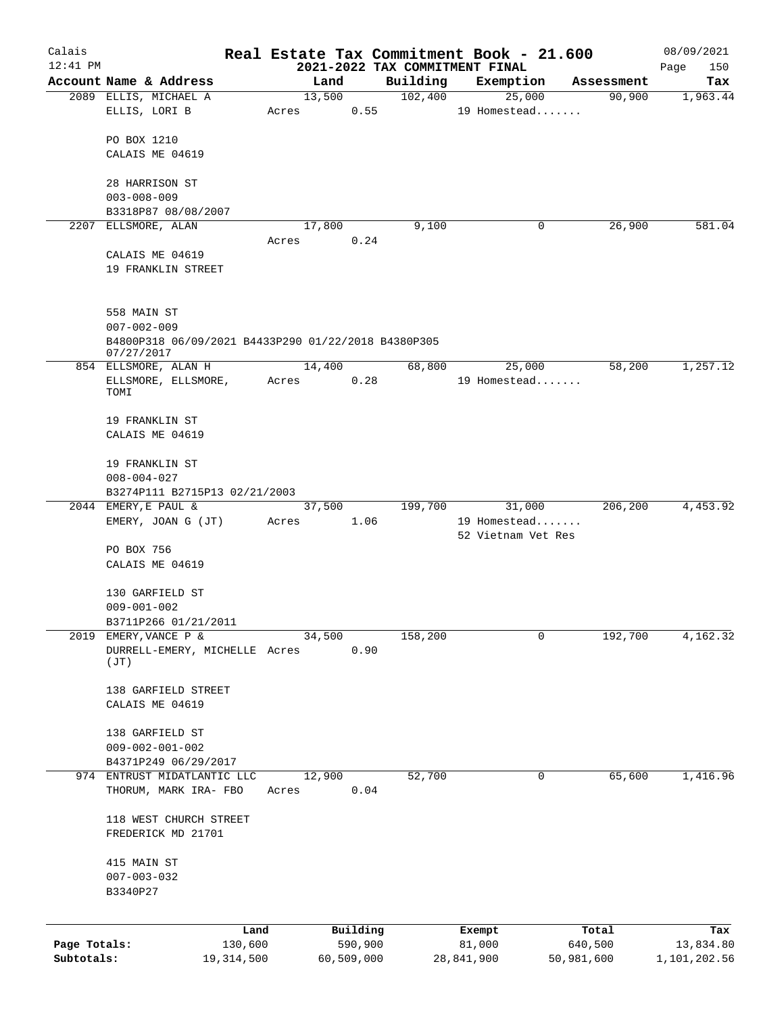| Calais                     |                                                                                        |                       |       |                       |      |          | Real Estate Tax Commitment Book - 21.600 |                       | 08/09/2021                |
|----------------------------|----------------------------------------------------------------------------------------|-----------------------|-------|-----------------------|------|----------|------------------------------------------|-----------------------|---------------------------|
| $12:41$ PM                 |                                                                                        |                       |       |                       |      |          | 2021-2022 TAX COMMITMENT FINAL           |                       | Page<br>150               |
|                            | Account Name & Address                                                                 |                       |       | Land<br>13,500        |      | Building | Exemption                                | Assessment            | Tax                       |
|                            | 2089 ELLIS, MICHAEL A<br>ELLIS, LORI B                                                 |                       | Acres |                       | 0.55 | 102,400  | 25,000<br>19 Homestead                   | 90,900                | 1,963.44                  |
|                            | PO BOX 1210                                                                            |                       |       |                       |      |          |                                          |                       |                           |
|                            | CALAIS ME 04619                                                                        |                       |       |                       |      |          |                                          |                       |                           |
|                            | 28 HARRISON ST<br>$003 - 008 - 009$                                                    |                       |       |                       |      |          |                                          |                       |                           |
|                            | B3318P87 08/08/2007                                                                    |                       |       |                       |      |          |                                          |                       |                           |
|                            | 2207 ELLSMORE, ALAN                                                                    |                       | Acres | 17,800                | 0.24 | 9,100    | 0                                        | 26,900                | 581.04                    |
|                            | CALAIS ME 04619                                                                        |                       |       |                       |      |          |                                          |                       |                           |
|                            | 19 FRANKLIN STREET                                                                     |                       |       |                       |      |          |                                          |                       |                           |
|                            | 558 MAIN ST                                                                            |                       |       |                       |      |          |                                          |                       |                           |
|                            | $007 - 002 - 009$<br>B4800P318 06/09/2021 B4433P290 01/22/2018 B4380P305<br>07/27/2017 |                       |       |                       |      |          |                                          |                       |                           |
|                            | 854 ELLSMORE, ALAN H                                                                   |                       |       | 14,400                |      | 68,800   | 25,000                                   | 58,200                | 1,257.12                  |
|                            | ELLSMORE, ELLSMORE,<br>TOMI                                                            |                       | Acres |                       | 0.28 |          | 19 Homestead                             |                       |                           |
|                            | 19 FRANKLIN ST                                                                         |                       |       |                       |      |          |                                          |                       |                           |
|                            | CALAIS ME 04619                                                                        |                       |       |                       |      |          |                                          |                       |                           |
|                            | 19 FRANKLIN ST<br>$008 - 004 - 027$                                                    |                       |       |                       |      |          |                                          |                       |                           |
|                            | B3274P111 B2715P13 02/21/2003                                                          |                       |       |                       |      |          |                                          |                       |                           |
|                            | 2044 EMERY, E PAUL &                                                                   |                       |       | 37,500                |      | 199,700  | 31,000                                   | 206,200               | 4,453.92                  |
|                            | EMERY, JOAN G (JT)                                                                     |                       | Acres |                       | 1.06 |          | 19 Homestead<br>52 Vietnam Vet Res       |                       |                           |
|                            | PO BOX 756<br>CALAIS ME 04619                                                          |                       |       |                       |      |          |                                          |                       |                           |
|                            |                                                                                        |                       |       |                       |      |          |                                          |                       |                           |
|                            | 130 GARFIELD ST                                                                        |                       |       |                       |      |          |                                          |                       |                           |
|                            | $009 - 001 - 002$<br>B3711P266 01/21/2011                                              |                       |       |                       |      |          |                                          |                       |                           |
| 2019                       | EMERY, VANCE P &                                                                       |                       |       | 34,500                |      | 158,200  | 0                                        | 192,700               | 4,162.32                  |
|                            | DURRELL-EMERY, MICHELLE Acres<br>(JT)                                                  |                       |       |                       | 0.90 |          |                                          |                       |                           |
|                            | 138 GARFIELD STREET                                                                    |                       |       |                       |      |          |                                          |                       |                           |
|                            | CALAIS ME 04619                                                                        |                       |       |                       |      |          |                                          |                       |                           |
|                            | 138 GARFIELD ST                                                                        |                       |       |                       |      |          |                                          |                       |                           |
|                            | $009 - 002 - 001 - 002$<br>B4371P249 06/29/2017                                        |                       |       |                       |      |          |                                          |                       |                           |
|                            | 974 ENTRUST MIDATLANTIC LLC                                                            |                       |       | 12,900                |      | 52,700   | 0                                        | 65,600                | 1,416.96                  |
|                            | THORUM, MARK IRA- FBO                                                                  |                       | Acres |                       | 0.04 |          |                                          |                       |                           |
|                            | 118 WEST CHURCH STREET<br>FREDERICK MD 21701                                           |                       |       |                       |      |          |                                          |                       |                           |
|                            | 415 MAIN ST<br>$007 - 003 - 032$<br>B3340P27                                           |                       |       |                       |      |          |                                          |                       |                           |
|                            |                                                                                        |                       |       |                       |      |          |                                          |                       |                           |
|                            |                                                                                        | Land                  |       | Building              |      |          | Exempt                                   | Total                 | Tax                       |
| Page Totals:<br>Subtotals: |                                                                                        | 130,600<br>19,314,500 |       | 590,900<br>60,509,000 |      |          | 81,000<br>28,841,900                     | 640,500<br>50,981,600 | 13,834.80<br>1,101,202.56 |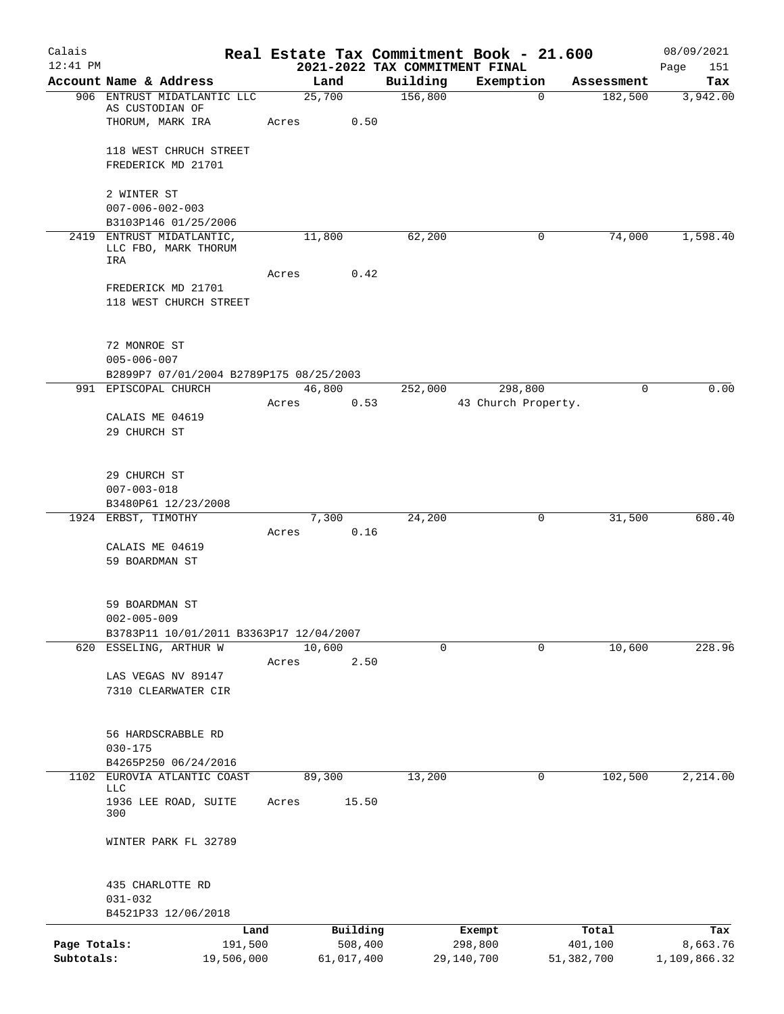| Calais       |                                                                   |       |            |          | Real Estate Tax Commitment Book - 21.600 |            | 08/09/2021   |
|--------------|-------------------------------------------------------------------|-------|------------|----------|------------------------------------------|------------|--------------|
| $12:41$ PM   |                                                                   |       |            |          | 2021-2022 TAX COMMITMENT FINAL           |            | Page<br>151  |
|              | Account Name & Address                                            |       | Land       | Building | Exemption                                | Assessment | Tax          |
|              | 906 ENTRUST MIDATLANTIC LLC<br>AS CUSTODIAN OF                    |       | 25,700     | 156,800  | $\mathbf 0$                              | 182,500    | 3,942.00     |
|              | THORUM, MARK IRA                                                  | Acres | 0.50       |          |                                          |            |              |
|              | 118 WEST CHRUCH STREET                                            |       |            |          |                                          |            |              |
|              | FREDERICK MD 21701                                                |       |            |          |                                          |            |              |
|              | 2 WINTER ST                                                       |       |            |          |                                          |            |              |
|              | $007 - 006 - 002 - 003$                                           |       |            |          |                                          |            |              |
|              | B3103P146 01/25/2006                                              |       |            |          |                                          |            |              |
|              | 2419 ENTRUST MIDATLANTIC,<br>LLC FBO, MARK THORUM                 |       | 11,800     | 62,200   | 0                                        | 74,000     | 1,598.40     |
|              | IRA                                                               | Acres | 0.42       |          |                                          |            |              |
|              | FREDERICK MD 21701                                                |       |            |          |                                          |            |              |
|              | 118 WEST CHURCH STREET                                            |       |            |          |                                          |            |              |
|              |                                                                   |       |            |          |                                          |            |              |
|              | 72 MONROE ST<br>$005 - 006 - 007$                                 |       |            |          |                                          |            |              |
|              | B2899P7 07/01/2004 B2789P175 08/25/2003                           |       |            |          |                                          |            |              |
|              | 991 EPISCOPAL CHURCH                                              |       | 46,800     | 252,000  | 298,800                                  | 0          | 0.00         |
|              |                                                                   | Acres | 0.53       |          | 43 Church Property.                      |            |              |
|              | CALAIS ME 04619                                                   |       |            |          |                                          |            |              |
|              | 29 CHURCH ST                                                      |       |            |          |                                          |            |              |
|              | 29 CHURCH ST                                                      |       |            |          |                                          |            |              |
|              | $007 - 003 - 018$                                                 |       |            |          |                                          |            |              |
|              | B3480P61 12/23/2008                                               |       |            |          |                                          |            |              |
|              | 1924 ERBST, TIMOTHY                                               |       | 7,300      | 24,200   | 0                                        | 31,500     | 680.40       |
|              | CALAIS ME 04619                                                   | Acres | 0.16       |          |                                          |            |              |
|              | 59 BOARDMAN ST                                                    |       |            |          |                                          |            |              |
|              |                                                                   |       |            |          |                                          |            |              |
|              | 59 BOARDMAN ST                                                    |       |            |          |                                          |            |              |
|              | $002 - 005 - 009$                                                 |       |            |          |                                          |            |              |
|              | B3783P11 10/01/2011 B3363P17 12/04/2007<br>620 ESSELING, ARTHUR W |       | 10,600     | $\Omega$ | 0                                        | 10,600     | 228.96       |
|              |                                                                   | Acres | 2.50       |          |                                          |            |              |
|              | LAS VEGAS NV 89147                                                |       |            |          |                                          |            |              |
|              | 7310 CLEARWATER CIR                                               |       |            |          |                                          |            |              |
|              | 56 HARDSCRABBLE RD                                                |       |            |          |                                          |            |              |
|              | $030 - 175$                                                       |       |            |          |                                          |            |              |
|              | B4265P250 06/24/2016                                              |       |            |          |                                          |            |              |
| 1102         | EUROVIA ATLANTIC COAST<br>LLC                                     |       | 89,300     | 13,200   | 0                                        | 102,500    | 2,214.00     |
|              | 1936 LEE ROAD, SUITE<br>300                                       | Acres | 15.50      |          |                                          |            |              |
|              | WINTER PARK FL 32789                                              |       |            |          |                                          |            |              |
|              | 435 CHARLOTTE RD                                                  |       |            |          |                                          |            |              |
|              | $031 - 032$                                                       |       |            |          |                                          |            |              |
|              | B4521P33 12/06/2018                                               |       |            |          |                                          |            |              |
|              | Land                                                              |       | Building   |          | Exempt                                   | Total      | Tax          |
| Page Totals: | 191,500                                                           |       | 508,400    |          | 298,800                                  | 401,100    | 8,663.76     |
| Subtotals:   | 19,506,000                                                        |       | 61,017,400 |          | 29,140,700                               | 51,382,700 | 1,109,866.32 |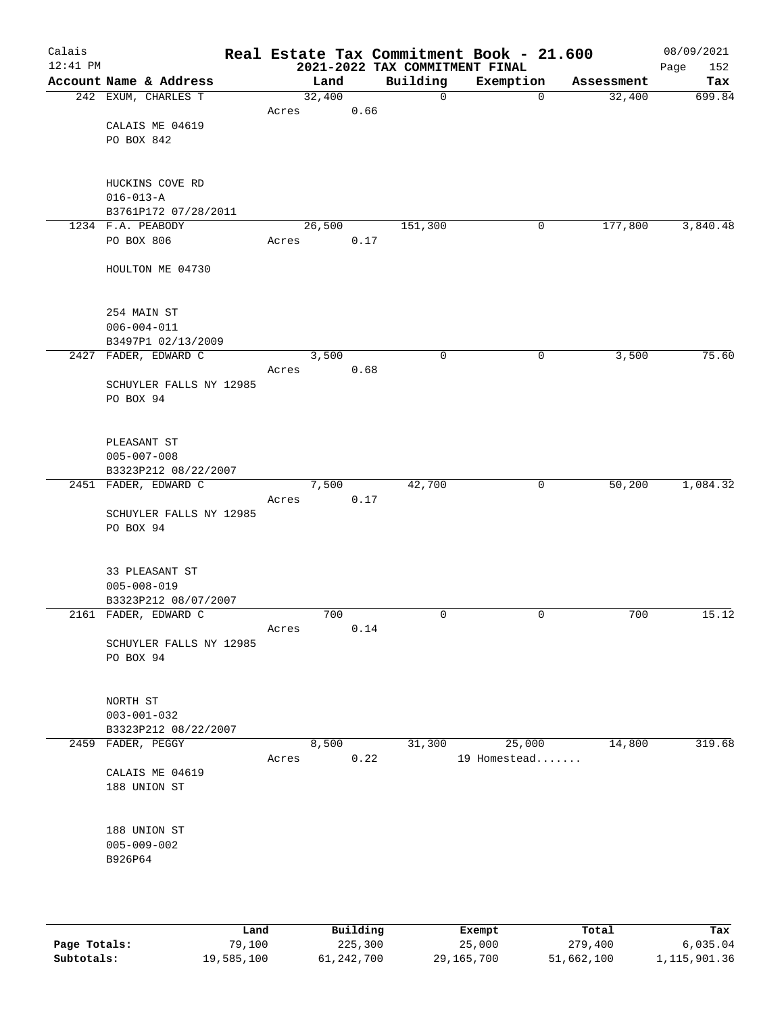| Calais<br>12:41 PM |                                              |        |       | 2021-2022 TAX COMMITMENT FINAL | Real Estate Tax Commitment Book - 21.600 |            | 08/09/2021<br>152<br>Page |
|--------------------|----------------------------------------------|--------|-------|--------------------------------|------------------------------------------|------------|---------------------------|
|                    | Account Name & Address                       |        | Land  | Building                       | Exemption                                | Assessment | Tax                       |
|                    | 242 EXUM, CHARLES T                          | 32,400 |       | 0                              | $\mathbf 0$                              | 32,400     | 699.84                    |
|                    |                                              | Acres  | 0.66  |                                |                                          |            |                           |
|                    | CALAIS ME 04619                              |        |       |                                |                                          |            |                           |
|                    | PO BOX 842                                   |        |       |                                |                                          |            |                           |
|                    |                                              |        |       |                                |                                          |            |                           |
|                    | HUCKINS COVE RD                              |        |       |                                |                                          |            |                           |
|                    | $016 - 013 - A$                              |        |       |                                |                                          |            |                           |
|                    | B3761P172 07/28/2011                         |        |       |                                |                                          |            |                           |
|                    | 1234 F.A. PEABODY                            | 26,500 |       | 151,300                        | 0                                        | 177,800    | 3,840.48                  |
|                    | PO BOX 806                                   | Acres  | 0.17  |                                |                                          |            |                           |
|                    | HOULTON ME 04730                             |        |       |                                |                                          |            |                           |
|                    |                                              |        |       |                                |                                          |            |                           |
|                    | 254 MAIN ST                                  |        |       |                                |                                          |            |                           |
|                    | $006 - 004 - 011$                            |        |       |                                |                                          |            |                           |
|                    | B3497P1 02/13/2009                           |        |       |                                |                                          |            |                           |
|                    | 2427 FADER, EDWARD C                         | 3,500  |       | $\mathbf 0$                    | 0                                        | 3,500      | 75.60                     |
|                    |                                              | Acres  | 0.68  |                                |                                          |            |                           |
|                    | SCHUYLER FALLS NY 12985                      |        |       |                                |                                          |            |                           |
|                    | PO BOX 94                                    |        |       |                                |                                          |            |                           |
|                    |                                              |        |       |                                |                                          |            |                           |
|                    | PLEASANT ST                                  |        |       |                                |                                          |            |                           |
|                    | $005 - 007 - 008$                            |        |       |                                |                                          |            |                           |
|                    | B3323P212 08/22/2007                         |        |       |                                |                                          |            |                           |
|                    | 2451 FADER, EDWARD C                         |        | 7,500 | 42,700                         | 0                                        | 50,200     | 1,084.32                  |
|                    |                                              | Acres  | 0.17  |                                |                                          |            |                           |
|                    | SCHUYLER FALLS NY 12985<br>PO BOX 94         |        |       |                                |                                          |            |                           |
|                    |                                              |        |       |                                |                                          |            |                           |
|                    |                                              |        |       |                                |                                          |            |                           |
|                    | 33 PLEASANT ST                               |        |       |                                |                                          |            |                           |
|                    | $005 - 008 - 019$                            |        |       |                                |                                          |            |                           |
|                    | B3323P212 08/07/2007<br>2161 FADER, EDWARD C |        | 700   | 0                              | 0                                        | 700        | 15.12                     |
|                    |                                              | Acres  | 0.14  |                                |                                          |            |                           |
|                    | SCHUYLER FALLS NY 12985                      |        |       |                                |                                          |            |                           |
|                    | PO BOX 94                                    |        |       |                                |                                          |            |                           |
|                    |                                              |        |       |                                |                                          |            |                           |
|                    |                                              |        |       |                                |                                          |            |                           |
|                    | NORTH ST<br>$003 - 001 - 032$                |        |       |                                |                                          |            |                           |
|                    | B3323P212 08/22/2007                         |        |       |                                |                                          |            |                           |
|                    | 2459 FADER, PEGGY                            | 8,500  |       | 31,300                         | 25,000                                   | 14,800     | 319.68                    |
|                    |                                              | Acres  | 0.22  |                                | 19 Homestead                             |            |                           |
|                    | CALAIS ME 04619                              |        |       |                                |                                          |            |                           |
|                    | 188 UNION ST                                 |        |       |                                |                                          |            |                           |
|                    |                                              |        |       |                                |                                          |            |                           |
|                    | 188 UNION ST                                 |        |       |                                |                                          |            |                           |
|                    | $005 - 009 - 002$                            |        |       |                                |                                          |            |                           |
|                    | B926P64                                      |        |       |                                |                                          |            |                           |
|                    |                                              |        |       |                                |                                          |            |                           |
|                    |                                              |        |       |                                |                                          |            |                           |
|                    |                                              |        |       |                                |                                          |            |                           |

|              | Land       | Building     | Exempt       | Total      | Tax          |
|--------------|------------|--------------|--------------|------------|--------------|
| Page Totals: | 79,100     | 225,300      | 25,000       | 279,400    | 6.035.04     |
| Subtotals:   | 19,585,100 | 61, 242, 700 | 29, 165, 700 | 51,662,100 | 1,115,901.36 |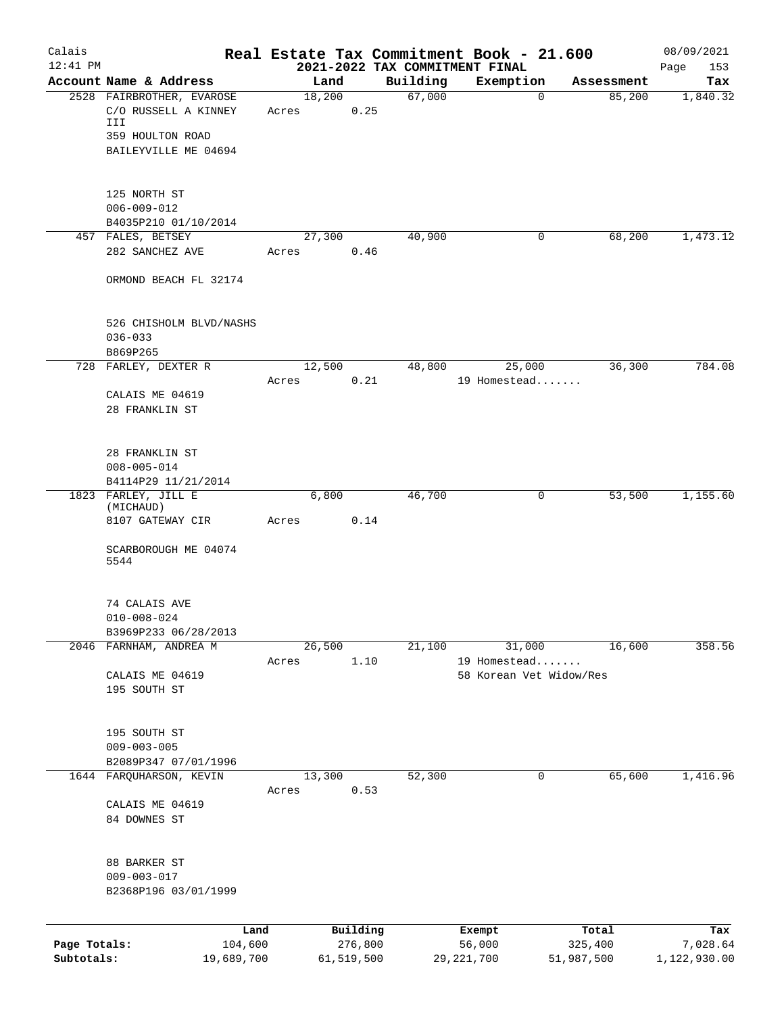| Calais       |                                   |        |                     |                                            | Real Estate Tax Commitment Book - 21.600 |                  | 08/09/2021         |
|--------------|-----------------------------------|--------|---------------------|--------------------------------------------|------------------------------------------|------------------|--------------------|
| $12:41$ PM   | Account Name & Address            | Land   |                     | 2021-2022 TAX COMMITMENT FINAL<br>Building | Exemption                                | Assessment       | 153<br>Page<br>Tax |
|              | 2528 FAIRBROTHER, EVAROSE         | 18,200 |                     | 67,000                                     | $\overline{0}$                           | 85,200           | 1,840.32           |
|              | C/O RUSSELL A KINNEY              | Acres  | 0.25                |                                            |                                          |                  |                    |
|              | III                               |        |                     |                                            |                                          |                  |                    |
|              | 359 HOULTON ROAD                  |        |                     |                                            |                                          |                  |                    |
|              | BAILEYVILLE ME 04694              |        |                     |                                            |                                          |                  |                    |
|              | 125 NORTH ST                      |        |                     |                                            |                                          |                  |                    |
|              | $006 - 009 - 012$                 |        |                     |                                            |                                          |                  |                    |
|              | B4035P210 01/10/2014              |        |                     |                                            |                                          |                  |                    |
|              | 457 FALES, BETSEY                 | 27,300 |                     | 40,900                                     | 0                                        | 68,200           | 1,473.12           |
|              | 282 SANCHEZ AVE                   | Acres  | 0.46                |                                            |                                          |                  |                    |
|              | ORMOND BEACH FL 32174             |        |                     |                                            |                                          |                  |                    |
|              | 526 CHISHOLM BLVD/NASHS           |        |                     |                                            |                                          |                  |                    |
|              | $036 - 033$                       |        |                     |                                            |                                          |                  |                    |
|              | B869P265                          |        |                     |                                            |                                          |                  |                    |
|              | 728 FARLEY, DEXTER R              | 12,500 |                     | 48,800                                     | 25,000                                   | 36,300           | 784.08             |
|              |                                   | Acres  | 0.21                |                                            | 19 Homestead                             |                  |                    |
|              | CALAIS ME 04619<br>28 FRANKLIN ST |        |                     |                                            |                                          |                  |                    |
|              |                                   |        |                     |                                            |                                          |                  |                    |
|              | 28 FRANKLIN ST                    |        |                     |                                            |                                          |                  |                    |
|              | $008 - 005 - 014$                 |        |                     |                                            |                                          |                  |                    |
|              | B4114P29 11/21/2014               |        |                     |                                            |                                          |                  |                    |
|              | 1823 FARLEY, JILL E               | 6,800  |                     | 46,700                                     | 0                                        | 53,500           | 1,155.60           |
|              | (MICHAUD)<br>8107 GATEWAY CIR     | Acres  | 0.14                |                                            |                                          |                  |                    |
|              |                                   |        |                     |                                            |                                          |                  |                    |
|              | SCARBOROUGH ME 04074              |        |                     |                                            |                                          |                  |                    |
|              | 5544                              |        |                     |                                            |                                          |                  |                    |
|              | 74 CALAIS AVE                     |        |                     |                                            |                                          |                  |                    |
|              | $010 - 008 - 024$                 |        |                     |                                            |                                          |                  |                    |
|              | B3969P233 06/28/2013              |        |                     |                                            |                                          |                  |                    |
|              | 2046 FARNHAM, ANDREA M            | 26,500 |                     | 21,100                                     | 31,000                                   | 16,600           | 358.56             |
|              | CALAIS ME 04619                   | Acres  | 1.10                |                                            | 19 Homestead<br>58 Korean Vet Widow/Res  |                  |                    |
|              | 195 SOUTH ST                      |        |                     |                                            |                                          |                  |                    |
|              |                                   |        |                     |                                            |                                          |                  |                    |
|              | 195 SOUTH ST                      |        |                     |                                            |                                          |                  |                    |
|              | $009 - 003 - 005$                 |        |                     |                                            |                                          |                  |                    |
|              | B2089P347 07/01/1996              |        |                     |                                            |                                          |                  |                    |
|              | 1644 FARQUHARSON, KEVIN           | 13,300 |                     | 52,300                                     | 0                                        | 65,600           | 1,416.96           |
|              |                                   | Acres  | 0.53                |                                            |                                          |                  |                    |
|              | CALAIS ME 04619                   |        |                     |                                            |                                          |                  |                    |
|              | 84 DOWNES ST                      |        |                     |                                            |                                          |                  |                    |
|              | 88 BARKER ST                      |        |                     |                                            |                                          |                  |                    |
|              | $009 - 003 - 017$                 |        |                     |                                            |                                          |                  |                    |
|              | B2368P196 03/01/1999              |        |                     |                                            |                                          |                  |                    |
|              |                                   |        |                     |                                            |                                          |                  |                    |
| Page Totals: | Land<br>104,600                   |        | Building<br>276,800 |                                            | Exempt<br>56,000                         | Total<br>325,400 | Tax<br>7,028.64    |
| Subtotals:   | 19,689,700                        |        | 61, 519, 500        |                                            | 29, 221, 700                             | 51,987,500       | 1,122,930.00       |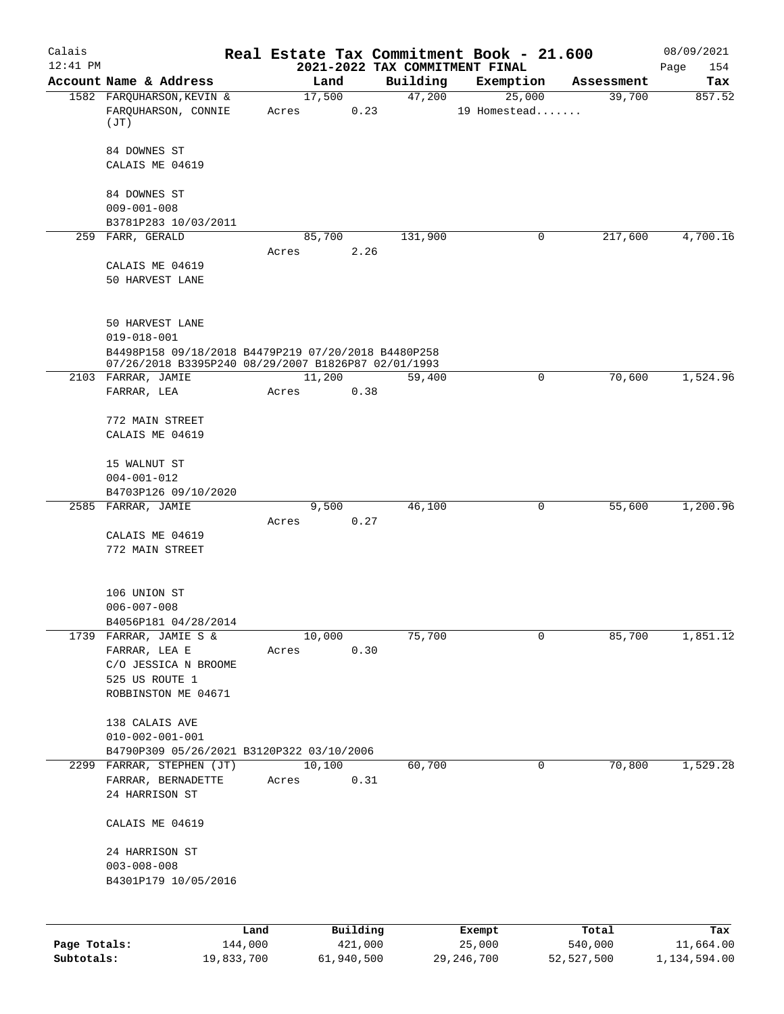| Calais<br>$12:41$ PM |                                                                                                            |         |                 |          |          | Real Estate Tax Commitment Book - 21.600<br>2021-2022 TAX COMMITMENT FINAL |             |            | 08/09/2021<br>Page<br>154 |
|----------------------|------------------------------------------------------------------------------------------------------------|---------|-----------------|----------|----------|----------------------------------------------------------------------------|-------------|------------|---------------------------|
|                      | Account Name & Address                                                                                     |         | Land            |          | Building | Exemption                                                                  |             | Assessment | Tax                       |
|                      | 1582 FARQUHARSON, KEVIN &<br>FARQUHARSON, CONNIE<br>(JT)                                                   |         | 17,500<br>Acres | 0.23     | 47,200   | 25,000<br>19 Homestead                                                     |             | 39,700     | 857.52                    |
|                      | 84 DOWNES ST<br>CALAIS ME 04619                                                                            |         |                 |          |          |                                                                            |             |            |                           |
|                      | 84 DOWNES ST                                                                                               |         |                 |          |          |                                                                            |             |            |                           |
|                      | $009 - 001 - 008$                                                                                          |         |                 |          |          |                                                                            |             |            |                           |
|                      | B3781P283 10/03/2011<br>259 FARR, GERALD                                                                   |         | 85,700          |          | 131,900  |                                                                            | 0           | 217,600    | 4,700.16                  |
|                      | CALAIS ME 04619<br>50 HARVEST LANE                                                                         |         | Acres           | 2.26     |          |                                                                            |             |            |                           |
|                      | 50 HARVEST LANE<br>$019 - 018 - 001$                                                                       |         |                 |          |          |                                                                            |             |            |                           |
|                      | B4498P158 09/18/2018 B4479P219 07/20/2018 B4480P258<br>07/26/2018 B3395P240 08/29/2007 B1826P87 02/01/1993 |         |                 |          |          |                                                                            |             |            |                           |
|                      | 2103 FARRAR, JAMIE                                                                                         |         | 11,200          |          | 59,400   |                                                                            | $\mathbf 0$ | 70,600     | 1,524.96                  |
|                      | FARRAR, LEA                                                                                                |         | Acres           | 0.38     |          |                                                                            |             |            |                           |
|                      | 772 MAIN STREET<br>CALAIS ME 04619                                                                         |         |                 |          |          |                                                                            |             |            |                           |
|                      | 15 WALNUT ST<br>$004 - 001 - 012$                                                                          |         |                 |          |          |                                                                            |             |            |                           |
|                      | B4703P126 09/10/2020                                                                                       |         |                 |          |          |                                                                            |             |            |                           |
|                      | 2585 FARRAR, JAMIE                                                                                         |         | 9,500<br>Acres  | 0.27     | 46,100   |                                                                            | 0           | 55,600     | 1,200.96                  |
|                      | CALAIS ME 04619<br>772 MAIN STREET                                                                         |         |                 |          |          |                                                                            |             |            |                           |
|                      | 106 UNION ST                                                                                               |         |                 |          |          |                                                                            |             |            |                           |
|                      | $006 - 007 - 008$<br>B4056P181 04/28/2014                                                                  |         |                 |          |          |                                                                            |             |            |                           |
|                      | 1739 FARRAR, JAMIE S &                                                                                     |         | 10,000          |          | 75,700   |                                                                            | 0           | 85,700     | 1,851.12                  |
|                      | FARRAR, LEA E<br>C/O JESSICA N BROOME                                                                      |         | Acres           | 0.30     |          |                                                                            |             |            |                           |
|                      | 525 US ROUTE 1                                                                                             |         |                 |          |          |                                                                            |             |            |                           |
|                      | ROBBINSTON ME 04671                                                                                        |         |                 |          |          |                                                                            |             |            |                           |
|                      | 138 CALAIS AVE<br>$010 - 002 - 001 - 001$                                                                  |         |                 |          |          |                                                                            |             |            |                           |
|                      | B4790P309 05/26/2021 B3120P322 03/10/2006<br>2299 FARRAR, STEPHEN (JT)                                     |         | 10,100          |          | 60,700   |                                                                            | 0           | 70,800     | 1,529.28                  |
|                      | FARRAR, BERNADETTE<br>24 HARRISON ST                                                                       |         | Acres           | 0.31     |          |                                                                            |             |            |                           |
|                      | CALAIS ME 04619                                                                                            |         |                 |          |          |                                                                            |             |            |                           |
|                      | 24 HARRISON ST<br>$003 - 008 - 008$<br>B4301P179 10/05/2016                                                |         |                 |          |          |                                                                            |             |            |                           |
|                      |                                                                                                            |         |                 |          |          |                                                                            |             |            |                           |
|                      |                                                                                                            | Land    |                 | Building |          | Exempt                                                                     |             | Total      | Tax                       |
| Page Totals:         |                                                                                                            | 144,000 |                 | 421,000  |          | 25,000                                                                     |             | 540,000    | 11,664.00                 |

**Subtotals:** 19,833,700 61,940,500 29,246,700 52,527,500 1,134,594.00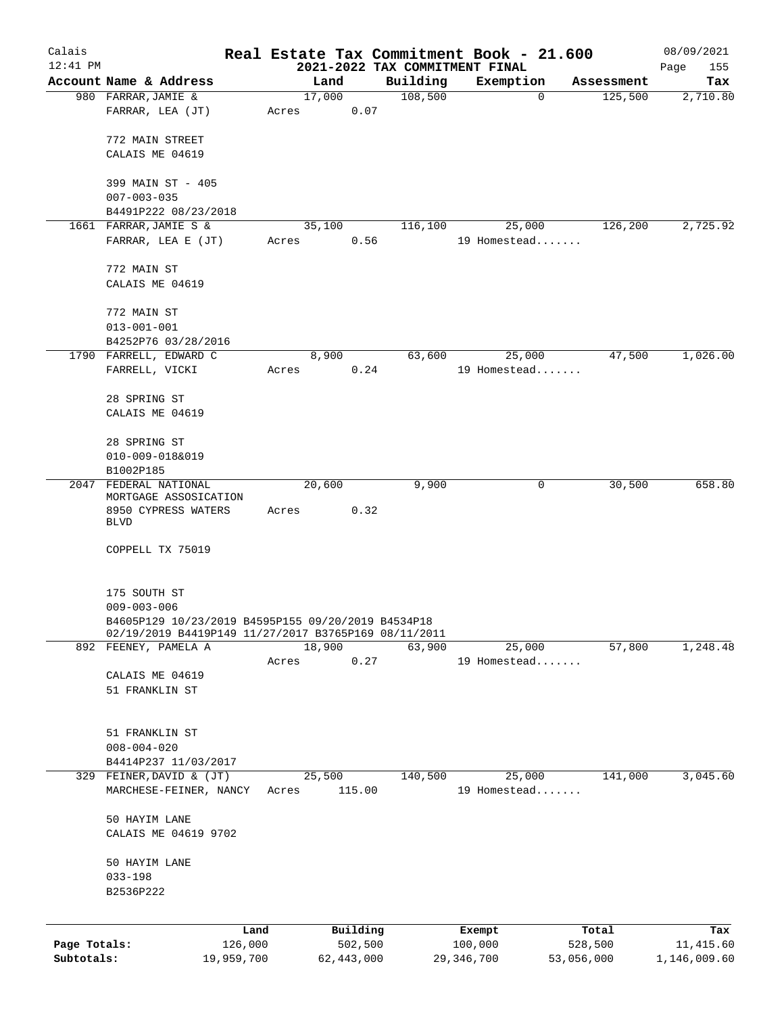| Calais       |                                                      |            |       |              |          | Real Estate Tax Commitment Book - 21.600 |              |              |            | 08/09/2021   |
|--------------|------------------------------------------------------|------------|-------|--------------|----------|------------------------------------------|--------------|--------------|------------|--------------|
| $12:41$ PM   |                                                      |            |       |              |          | 2021-2022 TAX COMMITMENT FINAL           |              |              |            | Page<br>155  |
|              | Account Name & Address                               |            |       | Land         |          | Building                                 |              | Exemption    | Assessment | Tax          |
|              | 980 FARRAR, JAMIE &                                  |            |       | 17,000       |          | 108,500                                  |              | 0            | 125,500    | 2,710.80     |
|              | FARRAR, LEA (JT)                                     |            | Acres |              | 0.07     |                                          |              |              |            |              |
|              |                                                      |            |       |              |          |                                          |              |              |            |              |
|              | 772 MAIN STREET                                      |            |       |              |          |                                          |              |              |            |              |
|              | CALAIS ME 04619                                      |            |       |              |          |                                          |              |              |            |              |
|              | 399 MAIN ST - 405                                    |            |       |              |          |                                          |              |              |            |              |
|              | $007 - 003 - 035$                                    |            |       |              |          |                                          |              |              |            |              |
|              | B4491P222 08/23/2018                                 |            |       |              |          |                                          |              |              |            |              |
|              | 1661 FARRAR, JAMIE S &                               |            |       | 35,100       |          | 116,100                                  |              | 25,000       | 126,200    | 2,725.92     |
|              | FARRAR, LEA E (JT)                                   |            | Acres |              | 0.56     |                                          |              | 19 Homestead |            |              |
|              |                                                      |            |       |              |          |                                          |              |              |            |              |
|              | 772 MAIN ST                                          |            |       |              |          |                                          |              |              |            |              |
|              | CALAIS ME 04619                                      |            |       |              |          |                                          |              |              |            |              |
|              |                                                      |            |       |              |          |                                          |              |              |            |              |
|              | 772 MAIN ST                                          |            |       |              |          |                                          |              |              |            |              |
|              | $013 - 001 - 001$                                    |            |       |              |          |                                          |              |              |            |              |
|              | B4252P76 03/28/2016                                  |            |       |              |          |                                          |              |              |            |              |
|              | 1790 FARRELL, EDWARD C                               |            |       | 8,900        |          | 63,600                                   |              | 25,000       | 47,500     | 1,026.00     |
|              | FARRELL, VICKI                                       |            | Acres |              | 0.24     |                                          |              | 19 Homestead |            |              |
|              |                                                      |            |       |              |          |                                          |              |              |            |              |
|              | 28 SPRING ST                                         |            |       |              |          |                                          |              |              |            |              |
|              | CALAIS ME 04619                                      |            |       |              |          |                                          |              |              |            |              |
|              | 28 SPRING ST                                         |            |       |              |          |                                          |              |              |            |              |
|              | 010-009-018&019                                      |            |       |              |          |                                          |              |              |            |              |
|              | B1002P185                                            |            |       |              |          |                                          |              |              |            |              |
|              | 2047 FEDERAL NATIONAL                                |            |       | 20,600       |          | 9,900                                    |              | 0            | 30,500     | 658.80       |
|              | MORTGAGE ASSOSICATION                                |            |       |              |          |                                          |              |              |            |              |
|              | 8950 CYPRESS WATERS                                  |            | Acres |              | 0.32     |                                          |              |              |            |              |
|              | <b>BLVD</b>                                          |            |       |              |          |                                          |              |              |            |              |
|              | COPPELL TX 75019                                     |            |       |              |          |                                          |              |              |            |              |
|              |                                                      |            |       |              |          |                                          |              |              |            |              |
|              |                                                      |            |       |              |          |                                          |              |              |            |              |
|              | 175 SOUTH ST                                         |            |       |              |          |                                          |              |              |            |              |
|              | $009 - 003 - 006$                                    |            |       |              |          |                                          |              |              |            |              |
|              | B4605P129 10/23/2019 B4595P155 09/20/2019 B4534P18   |            |       |              |          |                                          |              |              |            |              |
|              | 02/19/2019 B4419P149 11/27/2017 B3765P169 08/11/2011 |            |       |              |          |                                          |              |              |            |              |
|              | 892 FEENEY, PAMELA A                                 |            |       | 18,900       |          | 63,900                                   |              | 25,000       | 57,800     | 1,248.48     |
|              |                                                      |            | Acres |              | 0.27     |                                          |              | 19 Homestead |            |              |
|              | CALAIS ME 04619                                      |            |       |              |          |                                          |              |              |            |              |
|              | 51 FRANKLIN ST                                       |            |       |              |          |                                          |              |              |            |              |
|              |                                                      |            |       |              |          |                                          |              |              |            |              |
|              | 51 FRANKLIN ST                                       |            |       |              |          |                                          |              |              |            |              |
|              | $008 - 004 - 020$                                    |            |       |              |          |                                          |              |              |            |              |
|              | B4414P237 11/03/2017                                 |            |       |              |          |                                          |              |              |            |              |
|              | 329 FEINER, DAVID & (JT)                             |            |       | 25,500       |          | 140,500                                  |              | 25,000       | 141,000    | 3,045.60     |
|              | MARCHESE-FEINER, NANCY                               |            | Acres |              | 115.00   |                                          |              | 19 Homestead |            |              |
|              |                                                      |            |       |              |          |                                          |              |              |            |              |
|              | 50 HAYIM LANE                                        |            |       |              |          |                                          |              |              |            |              |
|              | CALAIS ME 04619 9702                                 |            |       |              |          |                                          |              |              |            |              |
|              |                                                      |            |       |              |          |                                          |              |              |            |              |
|              | 50 HAYIM LANE                                        |            |       |              |          |                                          |              |              |            |              |
|              | $033 - 198$                                          |            |       |              |          |                                          |              |              |            |              |
|              | B2536P222                                            |            |       |              |          |                                          |              |              |            |              |
|              |                                                      |            |       |              |          |                                          |              |              |            |              |
|              |                                                      | Land       |       |              | Building |                                          | Exempt       |              | Total      | Tax          |
| Page Totals: |                                                      | 126,000    |       |              | 502,500  |                                          | 100,000      |              | 528,500    | 11, 415.60   |
| Subtotals:   |                                                      | 19,959,700 |       | 62, 443, 000 |          |                                          | 29, 346, 700 |              | 53,056,000 | 1,146,009.60 |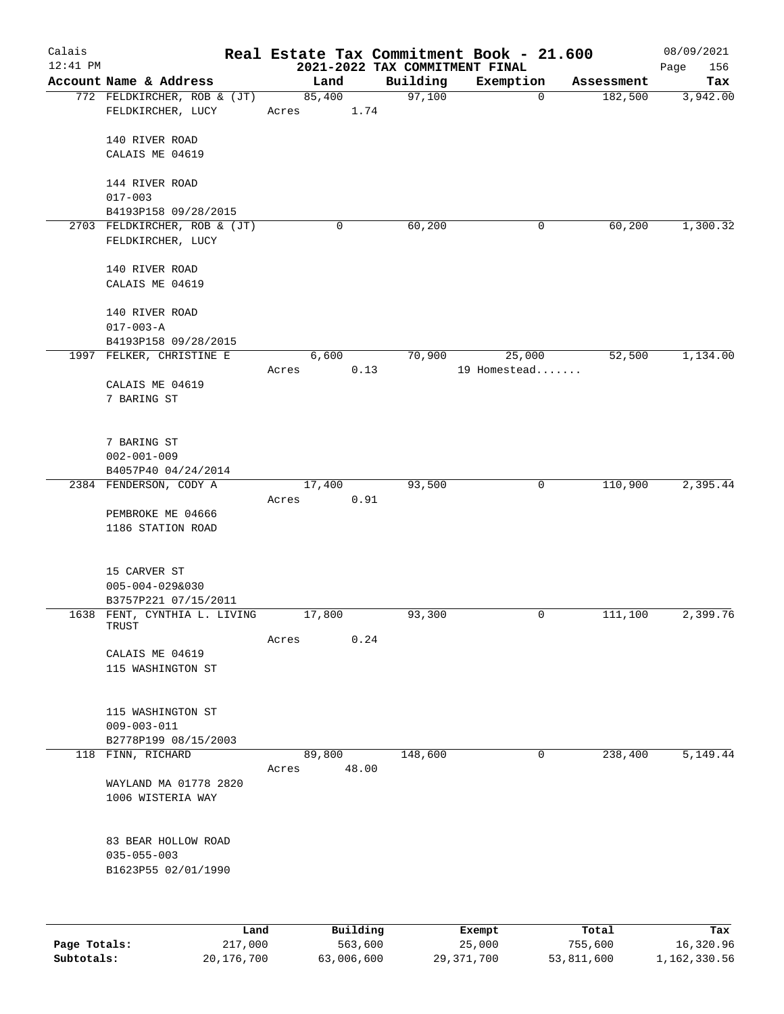| Calais<br>$12:41$ PM |                                                   |                         | 2021-2022 TAX COMMITMENT FINAL | Real Estate Tax Commitment Book - 21.600 |            | 08/09/2021<br>Page<br>156 |
|----------------------|---------------------------------------------------|-------------------------|--------------------------------|------------------------------------------|------------|---------------------------|
|                      | Account Name & Address                            | Land                    | Building                       | Exemption                                | Assessment | Tax                       |
|                      | 772 FELDKIRCHER, ROB & (JT)<br>FELDKIRCHER, LUCY  | 85,400<br>1.74<br>Acres | 97,100                         | $\mathbf 0$                              | 182,500    | 3,942.00                  |
|                      | 140 RIVER ROAD                                    |                         |                                |                                          |            |                           |
|                      | CALAIS ME 04619                                   |                         |                                |                                          |            |                           |
|                      | 144 RIVER ROAD                                    |                         |                                |                                          |            |                           |
|                      | $017 - 003$                                       |                         |                                |                                          |            |                           |
|                      | B4193P158 09/28/2015                              |                         |                                |                                          | 60, 200    |                           |
|                      | 2703 FELDKIRCHER, ROB & (JT)<br>FELDKIRCHER, LUCY | 0                       | 60,200                         | 0                                        |            | 1,300.32                  |
|                      | 140 RIVER ROAD<br>CALAIS ME 04619                 |                         |                                |                                          |            |                           |
|                      | 140 RIVER ROAD<br>$017 - 003 - A$                 |                         |                                |                                          |            |                           |
|                      | B4193P158 09/28/2015                              |                         |                                |                                          |            |                           |
|                      | 1997 FELKER, CHRISTINE E                          | 6,600                   | 70,900                         | 25,000                                   | 52,500     | 1,134.00                  |
|                      | CALAIS ME 04619                                   | 0.13<br>Acres           |                                | 19 Homestead                             |            |                           |
|                      | 7 BARING ST                                       |                         |                                |                                          |            |                           |
|                      | 7 BARING ST                                       |                         |                                |                                          |            |                           |
|                      | $002 - 001 - 009$                                 |                         |                                |                                          |            |                           |
|                      | B4057P40 04/24/2014<br>2384 FENDERSON, CODY A     | 17,400                  | 93,500                         | 0                                        | 110,900    | 2,395.44                  |
|                      |                                                   | 0.91<br>Acres           |                                |                                          |            |                           |
|                      | PEMBROKE ME 04666<br>1186 STATION ROAD            |                         |                                |                                          |            |                           |
|                      | 15 CARVER ST                                      |                         |                                |                                          |            |                           |
|                      | $005 - 004 - 0298030$<br>B3757P221 07/15/2011     |                         |                                |                                          |            |                           |
|                      | 1638 FENT, CYNTHIA L. LIVING<br>TRUST             | 17,800                  | 93,300                         | 0                                        | 111,100    | 2,399.76                  |
|                      |                                                   | 0.24<br>Acres           |                                |                                          |            |                           |
|                      | CALAIS ME 04619<br>115 WASHINGTON ST              |                         |                                |                                          |            |                           |
|                      | 115 WASHINGTON ST                                 |                         |                                |                                          |            |                           |
|                      | $009 - 003 - 011$                                 |                         |                                |                                          |            |                           |
| 118                  | B2778P199 08/15/2003<br>FINN, RICHARD             | 89,800                  | 148,600                        | 0                                        | 238,400    | 5,149.44                  |
|                      |                                                   | 48.00<br>Acres          |                                |                                          |            |                           |
|                      | WAYLAND MA 01778 2820<br>1006 WISTERIA WAY        |                         |                                |                                          |            |                           |
|                      | 83 BEAR HOLLOW ROAD<br>$035 - 055 - 003$          |                         |                                |                                          |            |                           |
|                      | B1623P55 02/01/1990                               |                         |                                |                                          |            |                           |
|                      |                                                   |                         |                                |                                          |            |                           |
|                      | Land                                              | Building                |                                | Exempt                                   | Total      | Tax                       |
| Page Totals:         | 217,000                                           | 563,600                 |                                | 25,000                                   | 755,600    | 16,320.96                 |

**Subtotals:** 20,176,700 63,006,600 29,371,700 53,811,600 1,162,330.56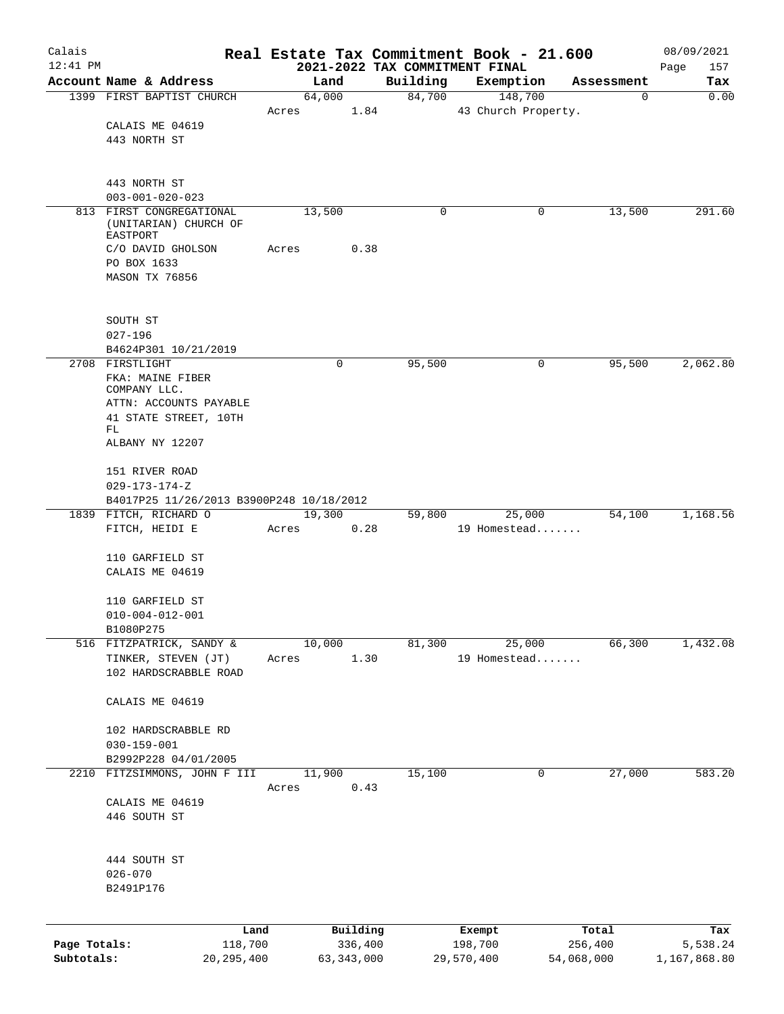| Calais       |                                                     |       |        |                     |                                            | Real Estate Tax Commitment Book - 21.600 |                  | 08/09/2021         |
|--------------|-----------------------------------------------------|-------|--------|---------------------|--------------------------------------------|------------------------------------------|------------------|--------------------|
| $12:41$ PM   | Account Name & Address                              |       | Land   |                     | 2021-2022 TAX COMMITMENT FINAL<br>Building |                                          |                  | Page<br>157<br>Tax |
|              | 1399 FIRST BAPTIST CHURCH                           |       | 64,000 |                     | 84,700                                     | Exemption<br>148,700                     | Assessment<br>0  | 0.00               |
|              |                                                     | Acres |        | 1.84                |                                            | 43 Church Property.                      |                  |                    |
|              | CALAIS ME 04619                                     |       |        |                     |                                            |                                          |                  |                    |
|              | 443 NORTH ST                                        |       |        |                     |                                            |                                          |                  |                    |
|              |                                                     |       |        |                     |                                            |                                          |                  |                    |
|              |                                                     |       |        |                     |                                            |                                          |                  |                    |
|              | 443 NORTH ST                                        |       |        |                     |                                            |                                          |                  |                    |
|              | $003 - 001 - 020 - 023$<br>813 FIRST CONGREGATIONAL |       | 13,500 |                     | 0                                          | 0                                        | 13,500           | 291.60             |
|              | (UNITARIAN) CHURCH OF<br>EASTPORT                   |       |        |                     |                                            |                                          |                  |                    |
|              | C/O DAVID GHOLSON                                   | Acres |        | 0.38                |                                            |                                          |                  |                    |
|              | PO BOX 1633                                         |       |        |                     |                                            |                                          |                  |                    |
|              | MASON TX 76856                                      |       |        |                     |                                            |                                          |                  |                    |
|              |                                                     |       |        |                     |                                            |                                          |                  |                    |
|              | SOUTH ST                                            |       |        |                     |                                            |                                          |                  |                    |
|              | $027 - 196$                                         |       |        |                     |                                            |                                          |                  |                    |
|              | B4624P301 10/21/2019                                |       |        |                     |                                            |                                          |                  |                    |
|              | 2708 FIRSTLIGHT                                     |       |        | 0                   | 95,500                                     | 0                                        | 95,500           | 2,062.80           |
|              | FKA: MAINE FIBER<br>COMPANY LLC.                    |       |        |                     |                                            |                                          |                  |                    |
|              | ATTN: ACCOUNTS PAYABLE                              |       |        |                     |                                            |                                          |                  |                    |
|              | 41 STATE STREET, 10TH                               |       |        |                     |                                            |                                          |                  |                    |
|              | FL                                                  |       |        |                     |                                            |                                          |                  |                    |
|              | ALBANY NY 12207                                     |       |        |                     |                                            |                                          |                  |                    |
|              | 151 RIVER ROAD                                      |       |        |                     |                                            |                                          |                  |                    |
|              | $029 - 173 - 174 - Z$                               |       |        |                     |                                            |                                          |                  |                    |
|              | B4017P25 11/26/2013 B3900P248 10/18/2012            |       |        |                     |                                            |                                          |                  |                    |
|              | 1839 FITCH, RICHARD O                               |       | 19,300 |                     | 59,800                                     | 25,000                                   | 54,100           | 1,168.56           |
|              | FITCH, HEIDI E                                      | Acres |        | 0.28                |                                            | 19 Homestead                             |                  |                    |
|              | 110 GARFIELD ST                                     |       |        |                     |                                            |                                          |                  |                    |
|              | CALAIS ME 04619                                     |       |        |                     |                                            |                                          |                  |                    |
|              |                                                     |       |        |                     |                                            |                                          |                  |                    |
|              | 110 GARFIELD ST                                     |       |        |                     |                                            |                                          |                  |                    |
|              | $010 - 004 - 012 - 001$                             |       |        |                     |                                            |                                          |                  |                    |
|              | B1080P275                                           |       |        |                     |                                            |                                          |                  |                    |
|              | 516 FITZPATRICK, SANDY &                            |       | 10,000 |                     | 81,300                                     | 25,000                                   | 66,300           | 1,432.08           |
|              | TINKER, STEVEN (JT)                                 | Acres |        | 1.30                |                                            | 19 Homestead                             |                  |                    |
|              | 102 HARDSCRABBLE ROAD                               |       |        |                     |                                            |                                          |                  |                    |
|              | CALAIS ME 04619                                     |       |        |                     |                                            |                                          |                  |                    |
|              |                                                     |       |        |                     |                                            |                                          |                  |                    |
|              | 102 HARDSCRABBLE RD                                 |       |        |                     |                                            |                                          |                  |                    |
|              | $030 - 159 - 001$                                   |       |        |                     |                                            |                                          |                  |                    |
|              | B2992P228 04/01/2005                                |       |        |                     |                                            |                                          |                  |                    |
| 2210         | FITZSIMMONS, JOHN F III                             |       | 11,900 |                     | 15,100                                     | 0                                        | 27,000           | 583.20             |
|              | CALAIS ME 04619                                     | Acres |        | 0.43                |                                            |                                          |                  |                    |
|              | 446 SOUTH ST                                        |       |        |                     |                                            |                                          |                  |                    |
|              |                                                     |       |        |                     |                                            |                                          |                  |                    |
|              |                                                     |       |        |                     |                                            |                                          |                  |                    |
|              | 444 SOUTH ST                                        |       |        |                     |                                            |                                          |                  |                    |
|              | $026 - 070$                                         |       |        |                     |                                            |                                          |                  |                    |
|              | B2491P176                                           |       |        |                     |                                            |                                          |                  |                    |
|              |                                                     |       |        |                     |                                            |                                          |                  |                    |
| Page Totals: | 118,700                                             | Land  |        | Building<br>336,400 |                                            | Exempt<br>198,700                        | Total<br>256,400 | Tax<br>5,538.24    |
| Subtotals:   | 20, 295, 400                                        |       |        | 63, 343, 000        |                                            | 29,570,400                               | 54,068,000       | 1,167,868.80       |
|              |                                                     |       |        |                     |                                            |                                          |                  |                    |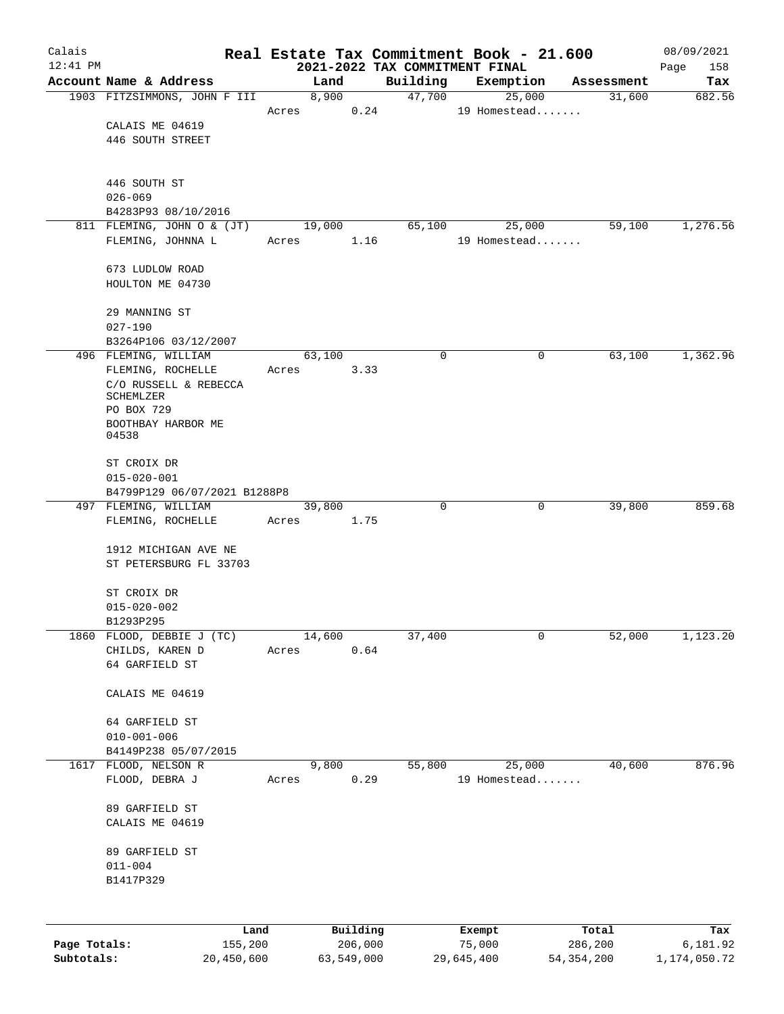| Calais       |                                              |                 |       |            |                     | Real Estate Tax Commitment Book - 21.600   |                     |   |                      | 08/09/2021      |
|--------------|----------------------------------------------|-----------------|-------|------------|---------------------|--------------------------------------------|---------------------|---|----------------------|-----------------|
| $12:41$ PM   | Account Name & Address                       |                 |       | Land       |                     | 2021-2022 TAX COMMITMENT FINAL<br>Building |                     |   |                      | Page<br>158     |
|              | 1903 FITZSIMMONS, JOHN F III                 |                 |       | 8,900      |                     | 47,700                                     | Exemption<br>25,000 |   | Assessment<br>31,600 | Tax<br>682.56   |
|              |                                              |                 | Acres |            | 0.24                |                                            | 19 Homestead        |   |                      |                 |
|              | CALAIS ME 04619                              |                 |       |            |                     |                                            |                     |   |                      |                 |
|              | 446 SOUTH STREET                             |                 |       |            |                     |                                            |                     |   |                      |                 |
|              |                                              |                 |       |            |                     |                                            |                     |   |                      |                 |
|              |                                              |                 |       |            |                     |                                            |                     |   |                      |                 |
|              | 446 SOUTH ST                                 |                 |       |            |                     |                                            |                     |   |                      |                 |
|              | $026 - 069$<br>B4283P93 08/10/2016           |                 |       |            |                     |                                            |                     |   |                      |                 |
|              | 811 FLEMING, JOHN O & (JT)                   |                 |       | 19,000     |                     | 65,100                                     | 25,000              |   | 59,100               | 1,276.56        |
|              | FLEMING, JOHNNA L                            |                 | Acres |            | 1.16                |                                            | 19 Homestead        |   |                      |                 |
|              |                                              |                 |       |            |                     |                                            |                     |   |                      |                 |
|              | 673 LUDLOW ROAD                              |                 |       |            |                     |                                            |                     |   |                      |                 |
|              | HOULTON ME 04730                             |                 |       |            |                     |                                            |                     |   |                      |                 |
|              |                                              |                 |       |            |                     |                                            |                     |   |                      |                 |
|              | 29 MANNING ST                                |                 |       |            |                     |                                            |                     |   |                      |                 |
|              | $027 - 190$                                  |                 |       |            |                     |                                            |                     |   |                      |                 |
|              | B3264P106 03/12/2007<br>496 FLEMING, WILLIAM |                 |       | 63,100     |                     | 0                                          |                     | 0 | 63,100               | 1,362.96        |
|              | FLEMING, ROCHELLE                            |                 | Acres |            | 3.33                |                                            |                     |   |                      |                 |
|              | C/O RUSSELL & REBECCA                        |                 |       |            |                     |                                            |                     |   |                      |                 |
|              | SCHEMLZER                                    |                 |       |            |                     |                                            |                     |   |                      |                 |
|              | PO BOX 729                                   |                 |       |            |                     |                                            |                     |   |                      |                 |
|              | BOOTHBAY HARBOR ME                           |                 |       |            |                     |                                            |                     |   |                      |                 |
|              | 04538                                        |                 |       |            |                     |                                            |                     |   |                      |                 |
|              | ST CROIX DR                                  |                 |       |            |                     |                                            |                     |   |                      |                 |
|              | $015 - 020 - 001$                            |                 |       |            |                     |                                            |                     |   |                      |                 |
|              | B4799P129 06/07/2021 B1288P8                 |                 |       |            |                     |                                            |                     |   |                      |                 |
|              | 497 FLEMING, WILLIAM                         |                 |       | 39,800     |                     | 0                                          |                     | 0 | 39,800               | 859.68          |
|              | FLEMING, ROCHELLE                            |                 | Acres |            | 1.75                |                                            |                     |   |                      |                 |
|              |                                              |                 |       |            |                     |                                            |                     |   |                      |                 |
|              | 1912 MICHIGAN AVE NE                         |                 |       |            |                     |                                            |                     |   |                      |                 |
|              | ST PETERSBURG FL 33703                       |                 |       |            |                     |                                            |                     |   |                      |                 |
|              | ST CROIX DR                                  |                 |       |            |                     |                                            |                     |   |                      |                 |
|              | $015 - 020 - 002$                            |                 |       |            |                     |                                            |                     |   |                      |                 |
|              | B1293P295                                    |                 |       |            |                     |                                            |                     |   |                      |                 |
| 1860         | FLOOD, DEBBIE J (TC)                         |                 |       | 14,600     |                     | 37,400                                     |                     | 0 | 52,000               | 1,123.20        |
|              | CHILDS, KAREN D                              |                 | Acres |            | 0.64                |                                            |                     |   |                      |                 |
|              | 64 GARFIELD ST                               |                 |       |            |                     |                                            |                     |   |                      |                 |
|              |                                              |                 |       |            |                     |                                            |                     |   |                      |                 |
|              | CALAIS ME 04619                              |                 |       |            |                     |                                            |                     |   |                      |                 |
|              |                                              |                 |       |            |                     |                                            |                     |   |                      |                 |
|              | 64 GARFIELD ST                               |                 |       |            |                     |                                            |                     |   |                      |                 |
|              | $010 - 001 - 006$<br>B4149P238 05/07/2015    |                 |       |            |                     |                                            |                     |   |                      |                 |
| 1617         | FLOOD, NELSON R                              |                 |       | 9,800      |                     | 55,800                                     | 25,000              |   | 40,600               | 876.96          |
|              | FLOOD, DEBRA J                               |                 | Acres |            | 0.29                |                                            | 19 Homestead        |   |                      |                 |
|              |                                              |                 |       |            |                     |                                            |                     |   |                      |                 |
|              | 89 GARFIELD ST                               |                 |       |            |                     |                                            |                     |   |                      |                 |
|              | CALAIS ME 04619                              |                 |       |            |                     |                                            |                     |   |                      |                 |
|              |                                              |                 |       |            |                     |                                            |                     |   |                      |                 |
|              | 89 GARFIELD ST                               |                 |       |            |                     |                                            |                     |   |                      |                 |
|              | $011 - 004$                                  |                 |       |            |                     |                                            |                     |   |                      |                 |
|              | B1417P329                                    |                 |       |            |                     |                                            |                     |   |                      |                 |
|              |                                              |                 |       |            |                     |                                            |                     |   |                      |                 |
|              |                                              |                 |       |            |                     |                                            |                     |   |                      |                 |
| Page Totals: |                                              | Land<br>155,200 |       |            | Building<br>206,000 |                                            | Exempt<br>75,000    |   | Total<br>286,200     | Tax<br>6,181.92 |
| Subtotals:   |                                              | 20,450,600      |       | 63,549,000 |                     |                                            | 29,645,400          |   | 54, 354, 200         | 1,174,050.72    |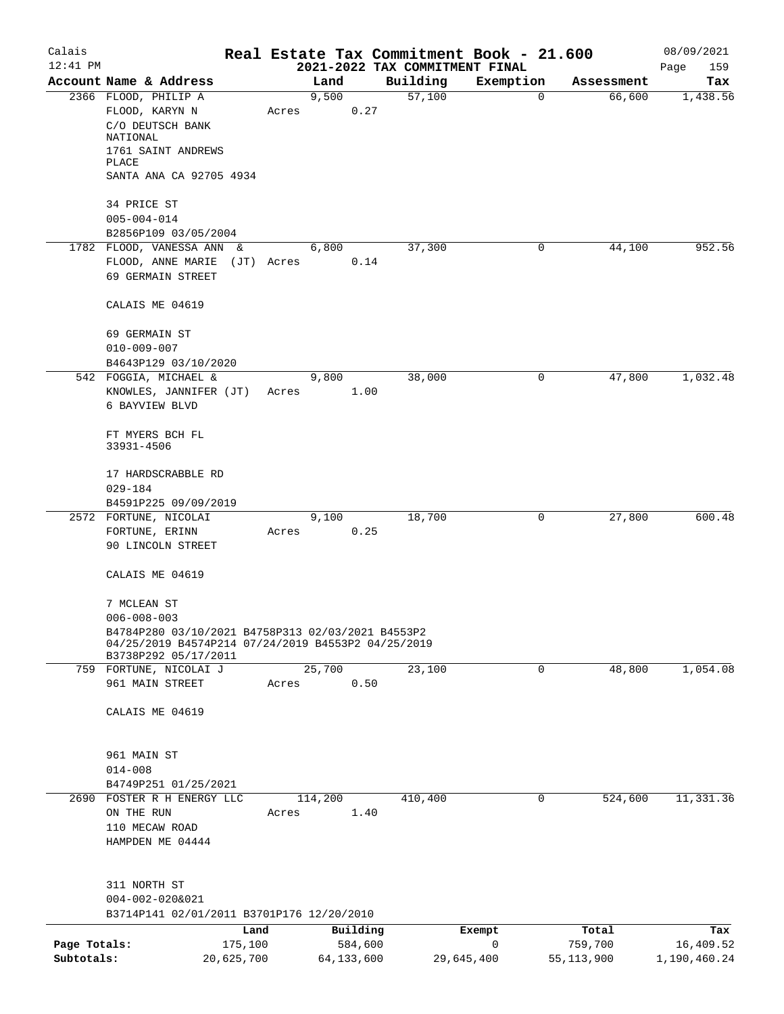| Calais       |                                                                            |            |       |              |         | Real Estate Tax Commitment Book - 21.600 |             |             |            | 08/09/2021   |
|--------------|----------------------------------------------------------------------------|------------|-------|--------------|---------|------------------------------------------|-------------|-------------|------------|--------------|
| $12:41$ PM   |                                                                            |            |       |              |         | 2021-2022 TAX COMMITMENT FINAL           |             |             |            | 159<br>Page  |
|              | Account Name & Address                                                     |            |       | Land         |         | Building                                 | Exemption   |             | Assessment | Tax          |
|              | 2366 FLOOD, PHILIP A                                                       |            |       | 9,500        |         | 57,100                                   |             | $\mathbf 0$ | 66,600     | 1,438.56     |
|              | FLOOD, KARYN N<br>C/O DEUTSCH BANK                                         |            | Acres |              | 0.27    |                                          |             |             |            |              |
|              | NATIONAL                                                                   |            |       |              |         |                                          |             |             |            |              |
|              | 1761 SAINT ANDREWS                                                         |            |       |              |         |                                          |             |             |            |              |
|              | PLACE                                                                      |            |       |              |         |                                          |             |             |            |              |
|              | SANTA ANA CA 92705 4934                                                    |            |       |              |         |                                          |             |             |            |              |
|              |                                                                            |            |       |              |         |                                          |             |             |            |              |
|              | 34 PRICE ST                                                                |            |       |              |         |                                          |             |             |            |              |
|              | $005 - 004 - 014$                                                          |            |       |              |         |                                          |             |             |            |              |
|              | B2856P109 03/05/2004                                                       |            |       |              |         |                                          |             |             |            |              |
|              | 1782 FLOOD, VANESSA ANN &                                                  |            |       | 6,800        |         | 37,300                                   |             | 0           | 44,100     | 952.56       |
|              | FLOOD, ANNE MARIE                                                          | (JT) Acres |       |              | 0.14    |                                          |             |             |            |              |
|              | 69 GERMAIN STREET                                                          |            |       |              |         |                                          |             |             |            |              |
|              |                                                                            |            |       |              |         |                                          |             |             |            |              |
|              | CALAIS ME 04619                                                            |            |       |              |         |                                          |             |             |            |              |
|              |                                                                            |            |       |              |         |                                          |             |             |            |              |
|              | 69 GERMAIN ST                                                              |            |       |              |         |                                          |             |             |            |              |
|              | $010 - 009 - 007$                                                          |            |       |              |         |                                          |             |             |            |              |
|              | B4643P129 03/10/2020                                                       |            |       |              |         |                                          |             |             |            |              |
|              | 542 FOGGIA, MICHAEL &                                                      |            |       | 9,800        |         | 38,000                                   |             | 0           | 47,800     | 1,032.48     |
|              | KNOWLES, JANNIFER (JT)                                                     |            | Acres |              | 1.00    |                                          |             |             |            |              |
|              | 6 BAYVIEW BLVD                                                             |            |       |              |         |                                          |             |             |            |              |
|              | FT MYERS BCH FL                                                            |            |       |              |         |                                          |             |             |            |              |
|              | 33931-4506                                                                 |            |       |              |         |                                          |             |             |            |              |
|              |                                                                            |            |       |              |         |                                          |             |             |            |              |
|              | 17 HARDSCRABBLE RD                                                         |            |       |              |         |                                          |             |             |            |              |
|              | $029 - 184$                                                                |            |       |              |         |                                          |             |             |            |              |
|              | B4591P225 09/09/2019                                                       |            |       |              |         |                                          |             |             |            |              |
|              | 2572 FORTUNE, NICOLAI                                                      |            |       | 9,100        |         | 18,700                                   |             | 0           | 27,800     | 600.48       |
|              | FORTUNE, ERINN                                                             |            | Acres |              | 0.25    |                                          |             |             |            |              |
|              | 90 LINCOLN STREET                                                          |            |       |              |         |                                          |             |             |            |              |
|              |                                                                            |            |       |              |         |                                          |             |             |            |              |
|              | CALAIS ME 04619                                                            |            |       |              |         |                                          |             |             |            |              |
|              |                                                                            |            |       |              |         |                                          |             |             |            |              |
|              | 7 MCLEAN ST                                                                |            |       |              |         |                                          |             |             |            |              |
|              | $006 - 008 - 003$                                                          |            |       |              |         |                                          |             |             |            |              |
|              | B4784P280 03/10/2021 B4758P313 02/03/2021 B4553P2                          |            |       |              |         |                                          |             |             |            |              |
|              | 04/25/2019 B4574P214 07/24/2019 B4553P2 04/25/2019<br>B3738P292 05/17/2011 |            |       |              |         |                                          |             |             |            |              |
|              | 759 FORTUNE, NICOLAI J                                                     |            |       | 25,700       |         | 23,100                                   |             | 0           | 48,800     | 1,054.08     |
|              | 961 MAIN STREET                                                            |            | Acres |              | 0.50    |                                          |             |             |            |              |
|              |                                                                            |            |       |              |         |                                          |             |             |            |              |
|              | CALAIS ME 04619                                                            |            |       |              |         |                                          |             |             |            |              |
|              |                                                                            |            |       |              |         |                                          |             |             |            |              |
|              |                                                                            |            |       |              |         |                                          |             |             |            |              |
|              | 961 MAIN ST                                                                |            |       |              |         |                                          |             |             |            |              |
|              | $014 - 008$                                                                |            |       |              |         |                                          |             |             |            |              |
|              | B4749P251 01/25/2021                                                       |            |       |              |         |                                          |             |             |            |              |
|              | 2690 FOSTER R H ENERGY LLC                                                 |            |       | 114,200      |         | 410,400                                  |             | 0           | 524,600    | 11,331.36    |
|              | ON THE RUN                                                                 |            | Acres |              | 1.40    |                                          |             |             |            |              |
|              | 110 MECAW ROAD                                                             |            |       |              |         |                                          |             |             |            |              |
|              | HAMPDEN ME 04444                                                           |            |       |              |         |                                          |             |             |            |              |
|              |                                                                            |            |       |              |         |                                          |             |             |            |              |
|              |                                                                            |            |       |              |         |                                          |             |             |            |              |
|              | 311 NORTH ST                                                               |            |       |              |         |                                          |             |             |            |              |
|              | $004 - 002 - 0208021$<br>B3714P141 02/01/2011 B3701P176 12/20/2010         |            |       |              |         |                                          |             |             |            |              |
|              |                                                                            |            |       |              |         |                                          |             |             |            |              |
|              |                                                                            | Land       |       | Building     |         |                                          | Exempt      |             | Total      | Tax          |
| Page Totals: |                                                                            | 175,100    |       |              | 584,600 |                                          | $\mathbf 0$ |             | 759,700    | 16,409.52    |
| Subtotals:   |                                                                            | 20,625,700 |       | 64, 133, 600 |         | 29,645,400                               |             |             | 55,113,900 | 1,190,460.24 |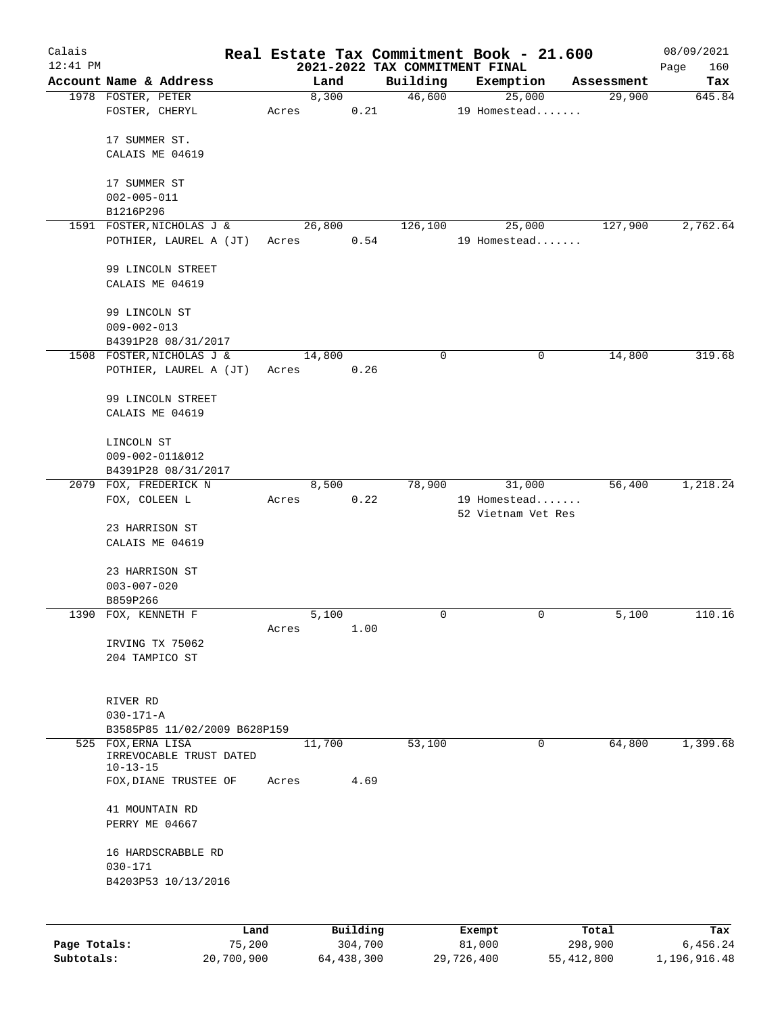| Calais<br>$12:41$ PM |                                               |       |        |          |          | Real Estate Tax Commitment Book - 21.600<br>2021-2022 TAX COMMITMENT FINAL |             |            | 08/09/2021<br>Page<br>160 |
|----------------------|-----------------------------------------------|-------|--------|----------|----------|----------------------------------------------------------------------------|-------------|------------|---------------------------|
|                      | Account Name & Address                        |       | Land   |          | Building | Exemption                                                                  |             | Assessment | Tax                       |
|                      | 1978 FOSTER, PETER                            |       | 8,300  |          | 46,600   | 25,000                                                                     |             | 29,900     | 645.84                    |
|                      | FOSTER, CHERYL                                | Acres |        | 0.21     |          | 19 Homestead                                                               |             |            |                           |
|                      |                                               |       |        |          |          |                                                                            |             |            |                           |
|                      | 17 SUMMER ST.<br>CALAIS ME 04619              |       |        |          |          |                                                                            |             |            |                           |
|                      |                                               |       |        |          |          |                                                                            |             |            |                           |
|                      | 17 SUMMER ST                                  |       |        |          |          |                                                                            |             |            |                           |
|                      | $002 - 005 - 011$                             |       |        |          |          |                                                                            |             |            |                           |
|                      | B1216P296                                     |       |        |          |          |                                                                            |             |            |                           |
|                      | 1591 FOSTER, NICHOLAS J &                     |       | 26,800 |          | 126,100  | 25,000                                                                     |             | 127,900    | 2,762.64                  |
|                      | POTHIER, LAUREL A (JT)                        | Acres |        | 0.54     |          | 19 Homestead                                                               |             |            |                           |
|                      | 99 LINCOLN STREET                             |       |        |          |          |                                                                            |             |            |                           |
|                      | CALAIS ME 04619                               |       |        |          |          |                                                                            |             |            |                           |
|                      |                                               |       |        |          |          |                                                                            |             |            |                           |
|                      | 99 LINCOLN ST                                 |       |        |          |          |                                                                            |             |            |                           |
|                      | $009 - 002 - 013$                             |       |        |          |          |                                                                            |             |            |                           |
|                      | B4391P28 08/31/2017                           |       |        |          |          |                                                                            |             |            |                           |
|                      | 1508 FOSTER, NICHOLAS J &                     |       | 14,800 |          | 0        |                                                                            | $\mathbf 0$ | 14,800     | 319.68                    |
|                      | POTHIER, LAUREL A (JT)                        | Acres |        | 0.26     |          |                                                                            |             |            |                           |
|                      | 99 LINCOLN STREET                             |       |        |          |          |                                                                            |             |            |                           |
|                      | CALAIS ME 04619                               |       |        |          |          |                                                                            |             |            |                           |
|                      |                                               |       |        |          |          |                                                                            |             |            |                           |
|                      | LINCOLN ST                                    |       |        |          |          |                                                                            |             |            |                           |
|                      | 009-002-011&012                               |       |        |          |          |                                                                            |             |            |                           |
|                      | B4391P28 08/31/2017                           |       |        |          |          |                                                                            |             |            |                           |
|                      | 2079 FOX, FREDERICK N                         |       | 8,500  |          | 78,900   | 31,000                                                                     |             | 56,400     | 1,218.24                  |
|                      | FOX, COLEEN L                                 | Acres |        | 0.22     |          | 19 Homestead                                                               |             |            |                           |
|                      | 23 HARRISON ST                                |       |        |          |          | 52 Vietnam Vet Res                                                         |             |            |                           |
|                      | CALAIS ME 04619                               |       |        |          |          |                                                                            |             |            |                           |
|                      |                                               |       |        |          |          |                                                                            |             |            |                           |
|                      | 23 HARRISON ST                                |       |        |          |          |                                                                            |             |            |                           |
|                      | $003 - 007 - 020$                             |       |        |          |          |                                                                            |             |            |                           |
|                      | B859P266                                      |       |        |          |          |                                                                            |             |            |                           |
|                      | 1390 FOX, KENNETH F                           |       | 5,100  |          | 0        |                                                                            | $\mathbf 0$ | 5,100      | 110.16                    |
|                      |                                               | Acres |        | 1.00     |          |                                                                            |             |            |                           |
|                      | IRVING TX 75062<br>204 TAMPICO ST             |       |        |          |          |                                                                            |             |            |                           |
|                      |                                               |       |        |          |          |                                                                            |             |            |                           |
|                      |                                               |       |        |          |          |                                                                            |             |            |                           |
|                      | RIVER RD                                      |       |        |          |          |                                                                            |             |            |                           |
|                      | $030 - 171 - A$                               |       |        |          |          |                                                                            |             |            |                           |
|                      | B3585P85 11/02/2009 B628P159                  |       |        |          |          |                                                                            |             |            |                           |
|                      | 525 FOX, ERNA LISA<br>IRREVOCABLE TRUST DATED |       | 11,700 |          | 53,100   |                                                                            | 0           | 64,800     | 1,399.68                  |
|                      | $10 - 13 - 15$                                |       |        |          |          |                                                                            |             |            |                           |
|                      | FOX, DIANE TRUSTEE OF                         | Acres |        | 4.69     |          |                                                                            |             |            |                           |
|                      |                                               |       |        |          |          |                                                                            |             |            |                           |
|                      | 41 MOUNTAIN RD                                |       |        |          |          |                                                                            |             |            |                           |
|                      | PERRY ME 04667                                |       |        |          |          |                                                                            |             |            |                           |
|                      | 16 HARDSCRABBLE RD                            |       |        |          |          |                                                                            |             |            |                           |
|                      | $030 - 171$                                   |       |        |          |          |                                                                            |             |            |                           |
|                      | B4203P53 10/13/2016                           |       |        |          |          |                                                                            |             |            |                           |
|                      |                                               |       |        |          |          |                                                                            |             |            |                           |
|                      |                                               |       |        |          |          |                                                                            |             |            |                           |
|                      |                                               | Land  |        | Building |          | Exempt                                                                     |             | Total      | Tax                       |

|              | Land       | Building   | Exempt     | тосат      | rax          |
|--------------|------------|------------|------------|------------|--------------|
| Page Totals: | 75,200     | 304,700    | 81,000     | 298,900    | 6,456.24     |
| Subtotals:   | 20,700,900 | 64,438,300 | 29,726,400 | 55,412,800 | 1,196,916.48 |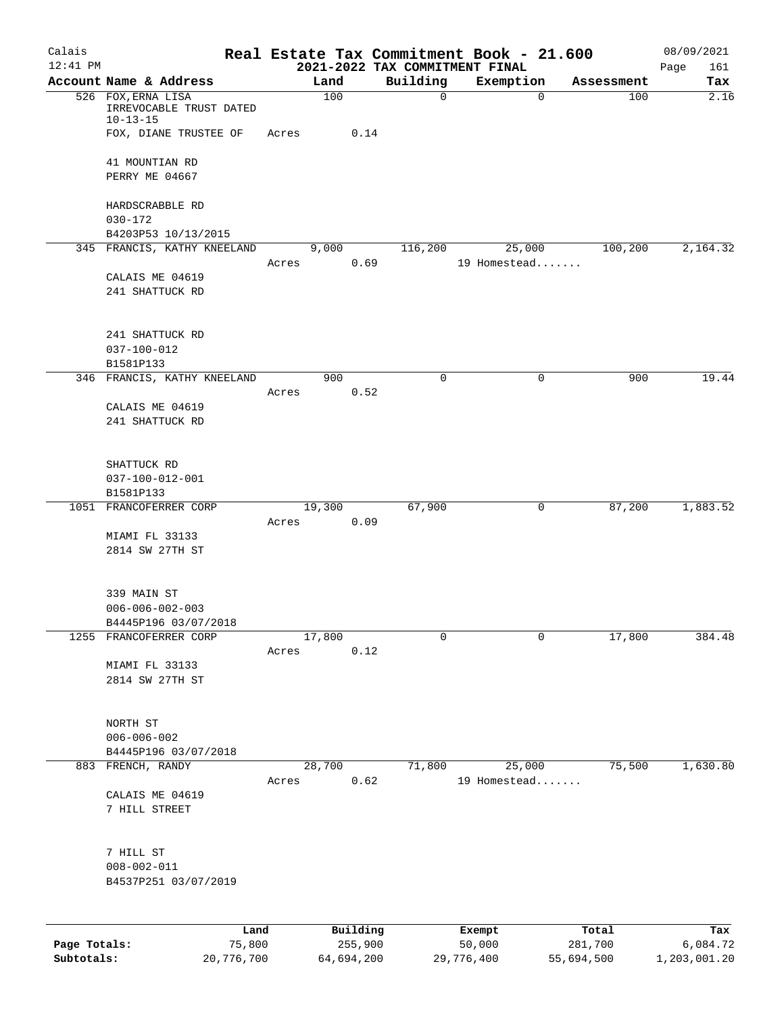| Calais       |                                                                 |        |          |                                | Real Estate Tax Commitment Book - 21.600 |            | 08/09/2021  |
|--------------|-----------------------------------------------------------------|--------|----------|--------------------------------|------------------------------------------|------------|-------------|
| $12:41$ PM   |                                                                 |        |          | 2021-2022 TAX COMMITMENT FINAL |                                          |            | 161<br>Page |
|              | Account Name & Address                                          | Land   |          | Building                       | Exemption                                | Assessment | Tax         |
|              | 526 FOX, ERNA LISA<br>IRREVOCABLE TRUST DATED<br>$10 - 13 - 15$ |        | 100      | $\mathbf 0$                    | 0                                        | 100        | 2.16        |
|              | FOX, DIANE TRUSTEE OF                                           | Acres  | 0.14     |                                |                                          |            |             |
|              | 41 MOUNTIAN RD                                                  |        |          |                                |                                          |            |             |
|              | PERRY ME 04667                                                  |        |          |                                |                                          |            |             |
|              | HARDSCRABBLE RD                                                 |        |          |                                |                                          |            |             |
|              | $030 - 172$                                                     |        |          |                                |                                          |            |             |
|              | B4203P53 10/13/2015<br>345 FRANCIS, KATHY KNEELAND              | 9,000  |          | 116,200                        | 25,000                                   | 100,200    | 2,164.32    |
|              |                                                                 | Acres  | 0.69     |                                | 19 Homestead                             |            |             |
|              | CALAIS ME 04619                                                 |        |          |                                |                                          |            |             |
|              | 241 SHATTUCK RD                                                 |        |          |                                |                                          |            |             |
|              | 241 SHATTUCK RD                                                 |        |          |                                |                                          |            |             |
|              | $037 - 100 - 012$                                               |        |          |                                |                                          |            |             |
|              | B1581P133                                                       |        |          |                                |                                          |            |             |
|              | 346 FRANCIS, KATHY KNEELAND                                     |        | 900      | $\Omega$                       | $\mathbf 0$                              | 900        | 19.44       |
|              |                                                                 | Acres  | 0.52     |                                |                                          |            |             |
|              | CALAIS ME 04619                                                 |        |          |                                |                                          |            |             |
|              | 241 SHATTUCK RD                                                 |        |          |                                |                                          |            |             |
|              | SHATTUCK RD                                                     |        |          |                                |                                          |            |             |
|              | 037-100-012-001                                                 |        |          |                                |                                          |            |             |
|              | B1581P133                                                       |        |          |                                |                                          |            |             |
|              | 1051 FRANCOFERRER CORP                                          | 19,300 |          | 67,900                         | 0                                        | 87,200     | 1,883.52    |
|              |                                                                 | Acres  | 0.09     |                                |                                          |            |             |
|              | MIAMI FL 33133<br>2814 SW 27TH ST                               |        |          |                                |                                          |            |             |
|              |                                                                 |        |          |                                |                                          |            |             |
|              | 339 MAIN ST                                                     |        |          |                                |                                          |            |             |
|              | $006 - 006 - 002 - 003$<br>B4445P196 03/07/2018                 |        |          |                                |                                          |            |             |
|              | 1255 FRANCOFERRER CORP                                          | 17,800 |          | 0                              | 0                                        | 17,800     | 384.48      |
|              |                                                                 | Acres  | 0.12     |                                |                                          |            |             |
|              | MIAMI FL 33133                                                  |        |          |                                |                                          |            |             |
|              | 2814 SW 27TH ST                                                 |        |          |                                |                                          |            |             |
|              | NORTH ST                                                        |        |          |                                |                                          |            |             |
|              | $006 - 006 - 002$                                               |        |          |                                |                                          |            |             |
|              | B4445P196 03/07/2018                                            |        |          |                                |                                          |            |             |
|              | 883 FRENCH, RANDY                                               | 28,700 |          | 71,800                         | 25,000                                   | 75,500     | 1,630.80    |
|              | CALAIS ME 04619                                                 | Acres  | 0.62     |                                | 19 Homestead                             |            |             |
|              | 7 HILL STREET                                                   |        |          |                                |                                          |            |             |
|              | 7 HILL ST                                                       |        |          |                                |                                          |            |             |
|              | $008 - 002 - 011$                                               |        |          |                                |                                          |            |             |
|              | B4537P251 03/07/2019                                            |        |          |                                |                                          |            |             |
|              |                                                                 |        |          |                                |                                          |            |             |
|              | Land                                                            |        | Building |                                | Exempt                                   | Total      | Tax         |
| Page Totals: | 75,800                                                          |        | 255,900  |                                | 50,000                                   | 281,700    | 6,084.72    |

**Subtotals:** 20,776,700 64,694,200 29,776,400 55,694,500 1,203,001.20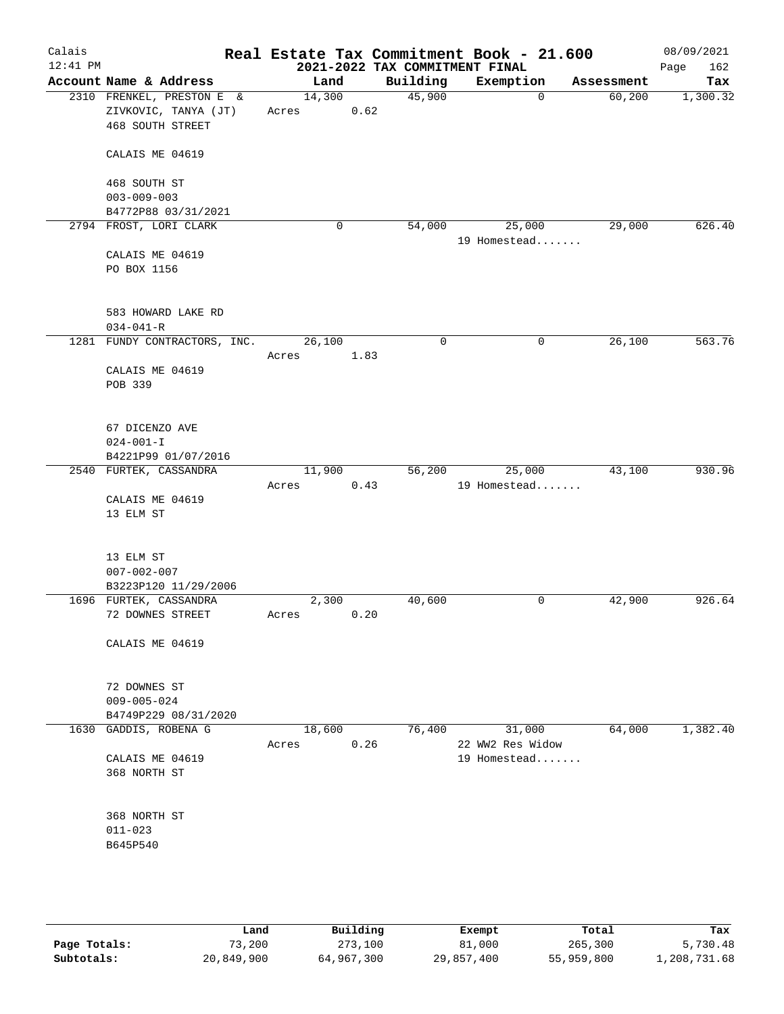| Calais<br>$12:41$ PM |                                                   |                 |      | Real Estate Tax Commitment Book - 21.600<br>2021-2022 TAX COMMITMENT FINAL |                  |             |            | 08/09/2021<br>Page<br>162 |
|----------------------|---------------------------------------------------|-----------------|------|----------------------------------------------------------------------------|------------------|-------------|------------|---------------------------|
|                      | Account Name & Address                            | Land            |      | Building                                                                   | Exemption        |             | Assessment | Tax                       |
|                      | 2310 FRENKEL, PRESTON E &<br>ZIVKOVIC, TANYA (JT) | 14,300<br>Acres | 0.62 | 45,900                                                                     |                  | $\mathbf 0$ | 60,200     | 1,300.32                  |
|                      | <b>468 SOUTH STREET</b>                           |                 |      |                                                                            |                  |             |            |                           |
|                      | CALAIS ME 04619                                   |                 |      |                                                                            |                  |             |            |                           |
|                      | 468 SOUTH ST<br>$003 - 009 - 003$                 |                 |      |                                                                            |                  |             |            |                           |
|                      | B4772P88 03/31/2021                               |                 |      |                                                                            |                  |             |            |                           |
|                      | 2794 FROST, LORI CLARK                            |                 | 0    | 54,000                                                                     |                  | 25,000      | 29,000     | 626.40                    |
|                      | CALAIS ME 04619<br>PO BOX 1156                    |                 |      |                                                                            | 19 Homestead     |             |            |                           |
|                      | 583 HOWARD LAKE RD                                |                 |      |                                                                            |                  |             |            |                           |
|                      | $034 - 041 - R$<br>1281 FUNDY CONTRACTORS, INC.   | 26,100          |      | $\mathbf 0$                                                                |                  | $\mathbf 0$ | 26,100     | 563.76                    |
|                      |                                                   | Acres           | 1.83 |                                                                            |                  |             |            |                           |
|                      | CALAIS ME 04619                                   |                 |      |                                                                            |                  |             |            |                           |
|                      | POB 339                                           |                 |      |                                                                            |                  |             |            |                           |
|                      | 67 DICENZO AVE                                    |                 |      |                                                                            |                  |             |            |                           |
|                      | $024 - 001 - I$                                   |                 |      |                                                                            |                  |             |            |                           |
|                      | B4221P99 01/07/2016<br>2540 FURTEK, CASSANDRA     | 11,900          |      | 56,200                                                                     |                  | 25,000      | 43,100     | 930.96                    |
|                      |                                                   | Acres           | 0.43 |                                                                            | 19 Homestead     |             |            |                           |
|                      | CALAIS ME 04619                                   |                 |      |                                                                            |                  |             |            |                           |
|                      | 13 ELM ST                                         |                 |      |                                                                            |                  |             |            |                           |
|                      | 13 ELM ST                                         |                 |      |                                                                            |                  |             |            |                           |
|                      | $007 - 002 - 007$<br>B3223P120 11/29/2006         |                 |      |                                                                            |                  |             |            |                           |
|                      | 1696 FURTEK, CASSANDRA                            | 2,300           |      | 40,600                                                                     |                  | 0           | 42,900     | 926.64                    |
|                      | 72 DOWNES STREET                                  | Acres           | 0.20 |                                                                            |                  |             |            |                           |
|                      | CALAIS ME 04619                                   |                 |      |                                                                            |                  |             |            |                           |
|                      | 72 DOWNES ST                                      |                 |      |                                                                            |                  |             |            |                           |
|                      | $009 - 005 - 024$                                 |                 |      |                                                                            |                  |             |            |                           |
|                      | B4749P229 08/31/2020<br>1630 GADDIS, ROBENA G     | 18,600          |      | 76,400                                                                     |                  | 31,000      | 64,000     | 1,382.40                  |
|                      |                                                   | Acres           | 0.26 |                                                                            | 22 WW2 Res Widow |             |            |                           |
|                      | CALAIS ME 04619<br>368 NORTH ST                   |                 |      |                                                                            | 19 Homestead     |             |            |                           |
|                      | 368 NORTH ST                                      |                 |      |                                                                            |                  |             |            |                           |
|                      | $011 - 023$                                       |                 |      |                                                                            |                  |             |            |                           |
|                      | B645P540                                          |                 |      |                                                                            |                  |             |            |                           |
|                      |                                                   |                 |      |                                                                            |                  |             |            |                           |
|                      |                                                   |                 |      |                                                                            |                  |             |            |                           |

|              | Land       | Building   | Exempt     | Total      | Tax          |
|--------------|------------|------------|------------|------------|--------------|
| Page Totals: | 73,200     | 273,100    | 81,000     | 265,300    | 5,730.48     |
| Subtotals:   | 20,849,900 | 64,967,300 | 29,857,400 | 55,959,800 | 1,208,731.68 |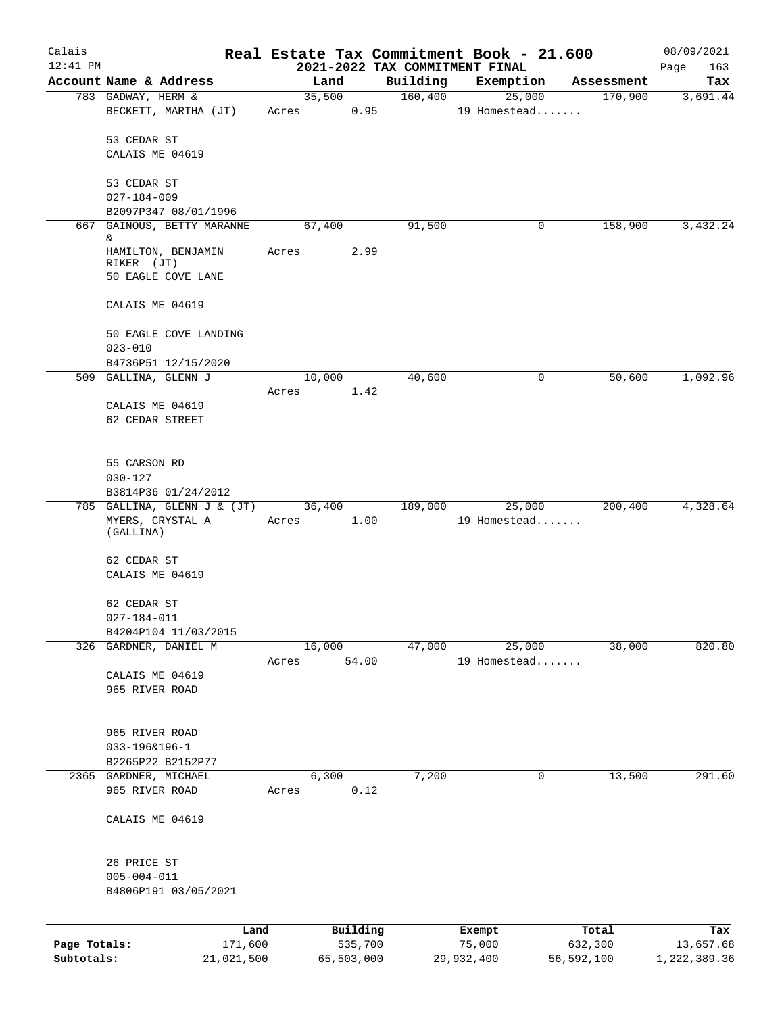| Calais<br>$12:41$ PM |                                                        |       |               | 2021-2022 TAX COMMITMENT FINAL | Real Estate Tax Commitment Book - 21.600 |            | 08/09/2021<br>163<br>Page |
|----------------------|--------------------------------------------------------|-------|---------------|--------------------------------|------------------------------------------|------------|---------------------------|
|                      | Account Name & Address                                 |       | Land          | Building                       | Exemption                                | Assessment | Tax                       |
|                      | 783 GADWAY, HERM &                                     |       | 35,500        | 160,400                        | 25,000                                   | 170,900    | 3,691.44                  |
|                      | BECKETT, MARTHA (JT)                                   | Acres | 0.95          |                                | 19 Homestead                             |            |                           |
|                      | 53 CEDAR ST                                            |       |               |                                |                                          |            |                           |
|                      | CALAIS ME 04619                                        |       |               |                                |                                          |            |                           |
|                      | 53 CEDAR ST                                            |       |               |                                |                                          |            |                           |
|                      | $027 - 184 - 009$                                      |       |               |                                |                                          |            |                           |
|                      | B2097P347 08/01/1996<br>667 GAINOUS, BETTY MARANNE     |       | 67,400        | 91,500                         | 0                                        | 158,900    | 3,432.24                  |
|                      | &                                                      |       |               |                                |                                          |            |                           |
|                      | HAMILTON, BENJAMIN<br>RIKER (JT)<br>50 EAGLE COVE LANE | Acres | 2.99          |                                |                                          |            |                           |
|                      | CALAIS ME 04619                                        |       |               |                                |                                          |            |                           |
|                      | 50 EAGLE COVE LANDING<br>$023 - 010$                   |       |               |                                |                                          |            |                           |
|                      | B4736P51 12/15/2020                                    |       |               |                                |                                          |            |                           |
|                      | 509 GALLINA, GLENN J                                   |       | 10,000        | 40,600                         | 0                                        | 50,600     | 1,092.96                  |
|                      |                                                        | Acres | 1.42          |                                |                                          |            |                           |
|                      | CALAIS ME 04619                                        |       |               |                                |                                          |            |                           |
|                      | 62 CEDAR STREET                                        |       |               |                                |                                          |            |                           |
|                      | 55 CARSON RD                                           |       |               |                                |                                          |            |                           |
|                      | $030 - 127$                                            |       |               |                                |                                          |            |                           |
|                      | B3814P36 01/24/2012                                    |       |               |                                |                                          |            |                           |
|                      | 785 GALLINA, GLENN J & (JT)                            |       | 36,400        | 189,000                        | 25,000                                   | 200,400    | 4,328.64                  |
|                      | MYERS, CRYSTAL A<br>(GALLINA)                          | Acres | 1.00          |                                | 19 Homestead                             |            |                           |
|                      | 62 CEDAR ST<br>CALAIS ME 04619                         |       |               |                                |                                          |            |                           |
|                      | 62 CEDAR ST                                            |       |               |                                |                                          |            |                           |
|                      | $027 - 184 - 011$                                      |       |               |                                |                                          |            |                           |
|                      | B4204P104 11/03/2015                                   |       |               |                                |                                          |            |                           |
|                      | 326 GARDNER, DANIEL M                                  |       | 16,000        | 47,000                         | 25,000                                   | 38,000     | 820.80                    |
|                      |                                                        | Acres | 54.00         |                                | 19 Homestead                             |            |                           |
|                      | CALAIS ME 04619                                        |       |               |                                |                                          |            |                           |
|                      | 965 RIVER ROAD                                         |       |               |                                |                                          |            |                           |
|                      | 965 RIVER ROAD                                         |       |               |                                |                                          |            |                           |
|                      | 033-196&196-1                                          |       |               |                                |                                          |            |                           |
|                      | B2265P22 B2152P77                                      |       |               |                                |                                          |            |                           |
|                      | 2365 GARDNER, MICHAEL<br>965 RIVER ROAD                | Acres | 6,300<br>0.12 | 7,200                          | 0                                        | 13,500     | 291.60                    |
|                      | CALAIS ME 04619                                        |       |               |                                |                                          |            |                           |
|                      | 26 PRICE ST                                            |       |               |                                |                                          |            |                           |
|                      | $005 - 004 - 011$                                      |       |               |                                |                                          |            |                           |
|                      | B4806P191 03/05/2021                                   |       |               |                                |                                          |            |                           |
|                      | Land                                                   |       | Building      |                                | Exempt                                   | Total      | Tax                       |
| Page Totals:         | 171,600                                                |       | 535,700       |                                | 75,000                                   | 632,300    | 13,657.68                 |
| Subtotals:           | 21,021,500                                             |       | 65,503,000    |                                | 29,932,400                               | 56,592,100 | 1,222,389.36              |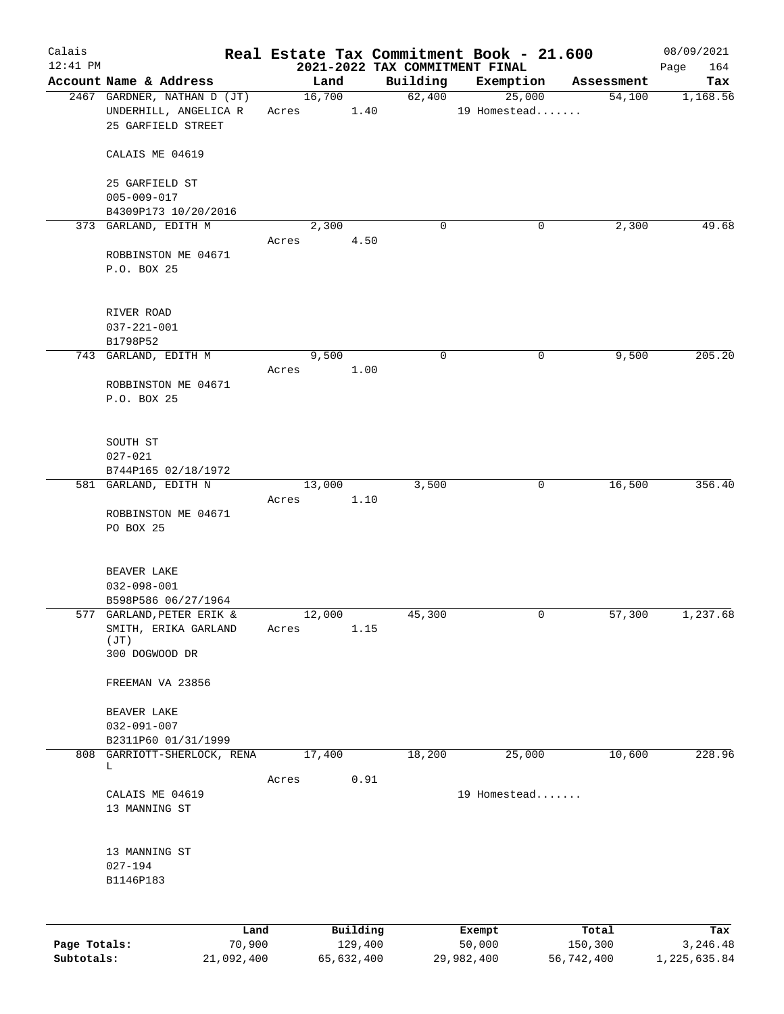| Calais                     |                                                           |                 |                                            | Real Estate Tax Commitment Book - 21.600 |                       | 08/09/2021               |
|----------------------------|-----------------------------------------------------------|-----------------|--------------------------------------------|------------------------------------------|-----------------------|--------------------------|
| $12:41$ PM                 | Account Name & Address                                    | Land            | 2021-2022 TAX COMMITMENT FINAL<br>Building | Exemption                                | Assessment            | 164<br>Page<br>Tax       |
|                            | 2467 GARDNER, NATHAN D (JT)                               | 16,700          | 62,400                                     | 25,000                                   | 54,100                | 1,168.56                 |
|                            | UNDERHILL, ANGELICA R<br>25 GARFIELD STREET               | Acres           | 1.40                                       | 19 Homestead                             |                       |                          |
|                            | CALAIS ME 04619                                           |                 |                                            |                                          |                       |                          |
|                            | 25 GARFIELD ST<br>$005 - 009 - 017$                       |                 |                                            |                                          |                       |                          |
|                            | B4309P173 10/20/2016                                      |                 |                                            |                                          |                       |                          |
|                            | 373 GARLAND, EDITH M                                      | 2,300<br>Acres  | 0<br>4.50                                  | 0                                        | 2,300                 | 49.68                    |
|                            | ROBBINSTON ME 04671<br>P.O. BOX 25                        |                 |                                            |                                          |                       |                          |
|                            | RIVER ROAD<br>$037 - 221 - 001$<br>B1798P52               |                 |                                            |                                          |                       |                          |
|                            | 743 GARLAND, EDITH M                                      | 9,500           | 0                                          | 0                                        | 9,500                 | 205.20                   |
|                            | ROBBINSTON ME 04671<br>P.O. BOX 25                        | Acres           | 1.00                                       |                                          |                       |                          |
|                            | SOUTH ST<br>$027 - 021$                                   |                 |                                            |                                          |                       |                          |
|                            | B744P165 02/18/1972<br>581 GARLAND, EDITH N               | 13,000          | 3,500                                      | 0                                        | 16,500                | 356.40                   |
|                            | ROBBINSTON ME 04671<br>PO BOX 25                          | Acres           | 1.10                                       |                                          |                       |                          |
|                            | BEAVER LAKE<br>$032 - 098 - 001$<br>B598P586 06/27/1964   |                 |                                            |                                          |                       |                          |
|                            | 577 GARLAND, PETER ERIK &<br>SMITH, ERIKA GARLAND<br>(JT) | 12,000<br>Acres | 45,300<br>1.15                             | 0                                        | 57,300                | 1,237.68                 |
|                            | 300 DOGWOOD DR                                            |                 |                                            |                                          |                       |                          |
|                            | FREEMAN VA 23856                                          |                 |                                            |                                          |                       |                          |
|                            | BEAVER LAKE<br>$032 - 091 - 007$                          |                 |                                            |                                          |                       |                          |
| 808                        | B2311P60 01/31/1999<br>GARRIOTT-SHERLOCK, RENA            | 17,400          | 18,200                                     | 25,000                                   | 10,600                | 228.96                   |
|                            | L                                                         | Acres           | 0.91                                       |                                          |                       |                          |
|                            | CALAIS ME 04619<br>13 MANNING ST                          |                 |                                            | 19 Homestead                             |                       |                          |
|                            | 13 MANNING ST<br>$027 - 194$<br>B1146P183                 |                 |                                            |                                          |                       |                          |
|                            | Land                                                      | Building        |                                            | Exempt                                   | Total                 | Tax                      |
| Page Totals:<br>Subtotals: | 70,900<br>21,092,400                                      | 65,632,400      | 129,400                                    | 50,000<br>29,982,400                     | 150,300<br>56,742,400 | 3,246.48<br>1,225,635.84 |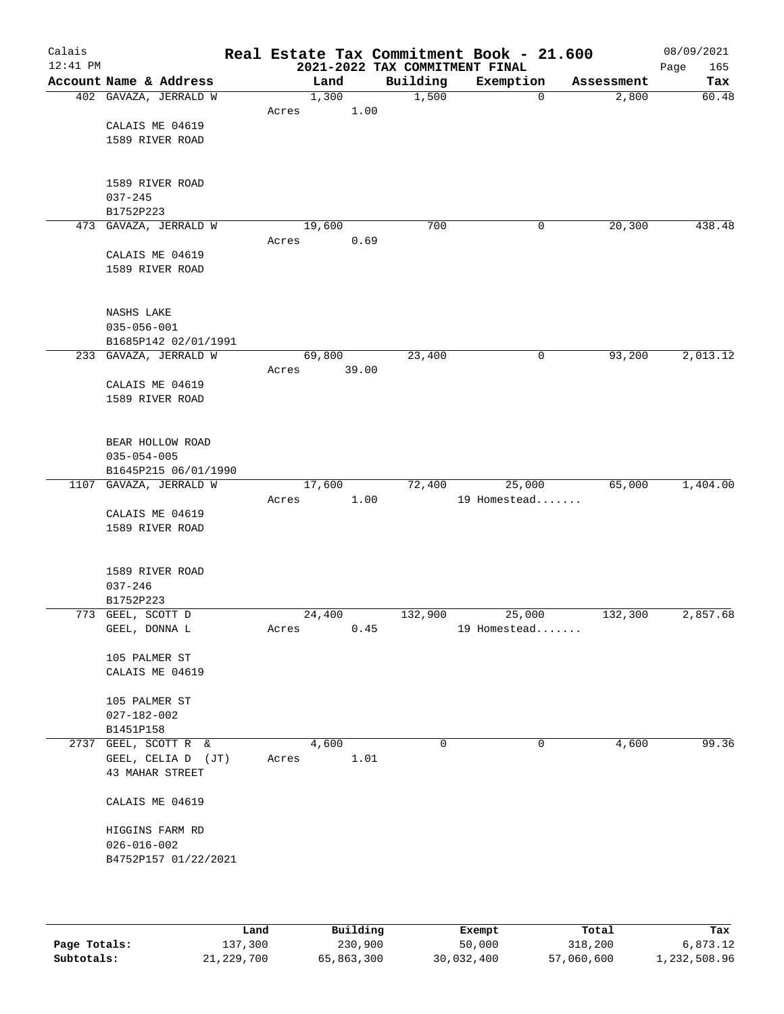| Calais<br>$12:41$ PM |                        | Real Estate Tax Commitment Book - 21.600 | 2021-2022 TAX COMMITMENT FINAL |              |            | 08/09/2021<br>165<br>Page |
|----------------------|------------------------|------------------------------------------|--------------------------------|--------------|------------|---------------------------|
|                      | Account Name & Address | Land                                     | Building                       | Exemption    | Assessment | Tax                       |
|                      | 402 GAVAZA, JERRALD W  | 1,300                                    | 1,500                          | 0            | 2,800      | 60.48                     |
|                      |                        | 1.00<br>Acres                            |                                |              |            |                           |
|                      | CALAIS ME 04619        |                                          |                                |              |            |                           |
|                      | 1589 RIVER ROAD        |                                          |                                |              |            |                           |
|                      |                        |                                          |                                |              |            |                           |
|                      |                        |                                          |                                |              |            |                           |
|                      | 1589 RIVER ROAD        |                                          |                                |              |            |                           |
|                      | $037 - 245$            |                                          |                                |              |            |                           |
|                      | B1752P223              |                                          |                                |              |            |                           |
|                      | 473 GAVAZA, JERRALD W  | 19,600                                   | 700                            | 0            | 20,300     | 438.48                    |
|                      |                        | 0.69<br>Acres                            |                                |              |            |                           |
|                      | CALAIS ME 04619        |                                          |                                |              |            |                           |
|                      | 1589 RIVER ROAD        |                                          |                                |              |            |                           |
|                      |                        |                                          |                                |              |            |                           |
|                      | NASHS LAKE             |                                          |                                |              |            |                           |
|                      | $035 - 056 - 001$      |                                          |                                |              |            |                           |
|                      | B1685P142 02/01/1991   |                                          |                                |              |            |                           |
|                      | 233 GAVAZA, JERRALD W  | 69,800                                   | 23,400                         | 0            | 93,200     | 2,013.12                  |
|                      |                        | 39.00<br>Acres                           |                                |              |            |                           |
|                      | CALAIS ME 04619        |                                          |                                |              |            |                           |
|                      | 1589 RIVER ROAD        |                                          |                                |              |            |                           |
|                      |                        |                                          |                                |              |            |                           |
|                      |                        |                                          |                                |              |            |                           |
|                      | BEAR HOLLOW ROAD       |                                          |                                |              |            |                           |
|                      | $035 - 054 - 005$      |                                          |                                |              |            |                           |
|                      | B1645P215 06/01/1990   |                                          |                                |              |            |                           |
|                      | 1107 GAVAZA, JERRALD W | 17,600                                   | 72,400                         | 25,000       | 65,000     | 1,404.00                  |
|                      |                        | 1.00<br>Acres                            |                                | 19 Homestead |            |                           |
|                      | CALAIS ME 04619        |                                          |                                |              |            |                           |
|                      | 1589 RIVER ROAD        |                                          |                                |              |            |                           |
|                      |                        |                                          |                                |              |            |                           |
|                      | 1589 RIVER ROAD        |                                          |                                |              |            |                           |
|                      | $037 - 246$            |                                          |                                |              |            |                           |
|                      | B1752P223              |                                          |                                |              |            |                           |
|                      | 773 GEEL, SCOTT D      | 24,400                                   | 132,900                        | 25,000       | 132,300    | 2,857.68                  |
|                      | GEEL, DONNA L          | 0.45<br>Acres                            |                                | 19 Homestead |            |                           |
|                      |                        |                                          |                                |              |            |                           |
|                      | 105 PALMER ST          |                                          |                                |              |            |                           |
|                      | CALAIS ME 04619        |                                          |                                |              |            |                           |
|                      |                        |                                          |                                |              |            |                           |
|                      | 105 PALMER ST          |                                          |                                |              |            |                           |
|                      | $027 - 182 - 002$      |                                          |                                |              |            |                           |
|                      | B1451P158              |                                          |                                |              |            |                           |
|                      | 2737 GEEL, SCOTT R &   | 4,600                                    | $\mathbf 0$                    | 0            | 4,600      | 99.36                     |
|                      | GEEL, CELIA D (JT)     | 1.01<br>Acres                            |                                |              |            |                           |
|                      | 43 MAHAR STREET        |                                          |                                |              |            |                           |
|                      | CALAIS ME 04619        |                                          |                                |              |            |                           |
|                      |                        |                                          |                                |              |            |                           |
|                      | HIGGINS FARM RD        |                                          |                                |              |            |                           |
|                      | $026 - 016 - 002$      |                                          |                                |              |            |                           |
|                      | B4752P157 01/22/2021   |                                          |                                |              |            |                           |
|                      |                        |                                          |                                |              |            |                           |
|                      |                        |                                          |                                |              |            |                           |
|                      |                        |                                          |                                |              |            |                           |
|                      |                        |                                          |                                |              |            |                           |

|              | Land       | Building   | Exempt     | Total      | Tax          |
|--------------|------------|------------|------------|------------|--------------|
| Page Totals: | 137,300    | 230,900    | 50,000     | 318,200    | 6,873.12     |
| Subtotals:   | 21,229,700 | 65,863,300 | 30,032,400 | 57,060,600 | 1,232,508.96 |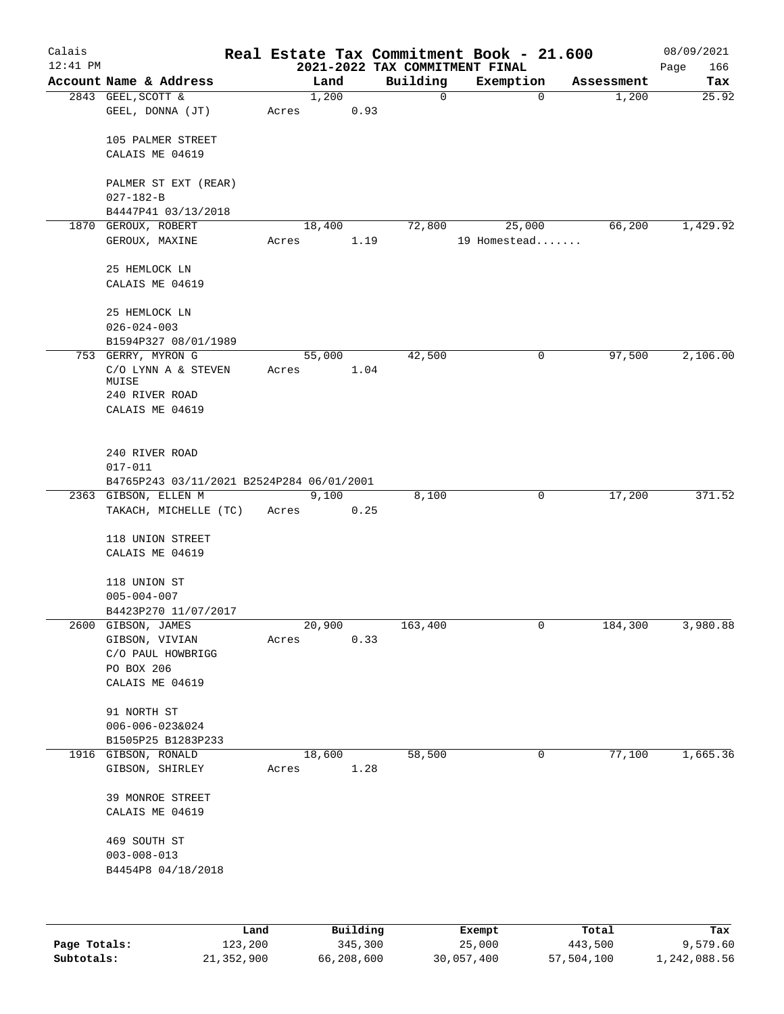| Calais     |                                           |       |                |          | Real Estate Tax Commitment Book - 21.600    |              | 08/09/2021         |
|------------|-------------------------------------------|-------|----------------|----------|---------------------------------------------|--------------|--------------------|
| $12:41$ PM | Account Name & Address                    |       | Land           | Building | 2021-2022 TAX COMMITMENT FINAL<br>Exemption | Assessment   | Page<br>166<br>Tax |
|            | 2843 GEEL, SCOTT &                        |       | 1,200          | 0        |                                             | 1,200<br>0   | 25.92              |
|            | GEEL, DONNA (JT)                          | Acres | 0.93           |          |                                             |              |                    |
|            | 105 PALMER STREET                         |       |                |          |                                             |              |                    |
|            | CALAIS ME 04619                           |       |                |          |                                             |              |                    |
|            | PALMER ST EXT (REAR)<br>$027 - 182 - B$   |       |                |          |                                             |              |                    |
|            | B4447P41 03/13/2018                       |       |                |          |                                             |              |                    |
| 1870       | GEROUX, ROBERT                            |       | 18,400         | 72,800   | 25,000                                      | 66,200       | 1,429.92           |
|            | GEROUX, MAXINE                            | Acres | 1.19           |          | 19 Homestead                                |              |                    |
|            | 25 HEMLOCK LN                             |       |                |          |                                             |              |                    |
|            | CALAIS ME 04619                           |       |                |          |                                             |              |                    |
|            | 25 HEMLOCK LN                             |       |                |          |                                             |              |                    |
|            | $026 - 024 - 003$                         |       |                |          |                                             |              |                    |
|            | B1594P327 08/01/1989                      |       |                |          |                                             |              |                    |
|            | 753 GERRY, MYRON G<br>C/O LYNN A & STEVEN | Acres | 55,000<br>1.04 | 42,500   |                                             | 0<br>97,500  | 2,106.00           |
|            | MUISE                                     |       |                |          |                                             |              |                    |
|            | 240 RIVER ROAD<br>CALAIS ME 04619         |       |                |          |                                             |              |                    |
|            |                                           |       |                |          |                                             |              |                    |
|            | 240 RIVER ROAD                            |       |                |          |                                             |              |                    |
|            | $017 - 011$                               |       |                |          |                                             |              |                    |
|            | B4765P243 03/11/2021 B2524P284 06/01/2001 |       |                |          |                                             |              |                    |
|            | 2363 GIBSON, ELLEN M                      |       | 9,100          | 8,100    |                                             | 17,200<br>0  | 371.52             |
|            | TAKACH, MICHELLE (TC)                     | Acres | 0.25           |          |                                             |              |                    |
|            | 118 UNION STREET                          |       |                |          |                                             |              |                    |
|            | CALAIS ME 04619                           |       |                |          |                                             |              |                    |
|            | 118 UNION ST                              |       |                |          |                                             |              |                    |
|            | $005 - 004 - 007$                         |       |                |          |                                             |              |                    |
|            | B4423P270 11/07/2017                      |       |                |          |                                             |              |                    |
|            | 2600 GIBSON, JAMES                        |       | 20,900         | 163,400  |                                             | 0<br>184,300 | 3,980.88           |
|            | GIBSON, VIVIAN<br>C/O PAUL HOWBRIGG       | Acres | 0.33           |          |                                             |              |                    |
|            | PO BOX 206                                |       |                |          |                                             |              |                    |
|            | CALAIS ME 04619                           |       |                |          |                                             |              |                    |
|            |                                           |       |                |          |                                             |              |                    |
|            | 91 NORTH ST                               |       |                |          |                                             |              |                    |
|            | 006-006-023&024<br>B1505P25 B1283P233     |       |                |          |                                             |              |                    |
|            | 1916 GIBSON, RONALD                       |       | 18,600         | 58,500   |                                             | 77,100<br>0  | 1,665.36           |
|            | GIBSON, SHIRLEY                           | Acres | 1.28           |          |                                             |              |                    |
|            | 39 MONROE STREET                          |       |                |          |                                             |              |                    |
|            | CALAIS ME 04619                           |       |                |          |                                             |              |                    |
|            | 469 SOUTH ST                              |       |                |          |                                             |              |                    |
|            | $003 - 008 - 013$                         |       |                |          |                                             |              |                    |
|            | B4454P8 04/18/2018                        |       |                |          |                                             |              |                    |
|            |                                           |       |                |          |                                             |              |                    |
|            | Land                                      |       | Building       |          | Exempt                                      | Total        | Tax                |

|              | nana       | <b>DULLULLY</b> | LACINUL    | ⊥∪∟a⊥      | ias.         |
|--------------|------------|-----------------|------------|------------|--------------|
| Page Totals: | 123,200    | 345,300         | 25,000     | 443,500    | 9,579.60     |
| Subtotals:   | 21,352,900 | 66,208,600      | 30,057,400 | 57,504,100 | 1,242,088.56 |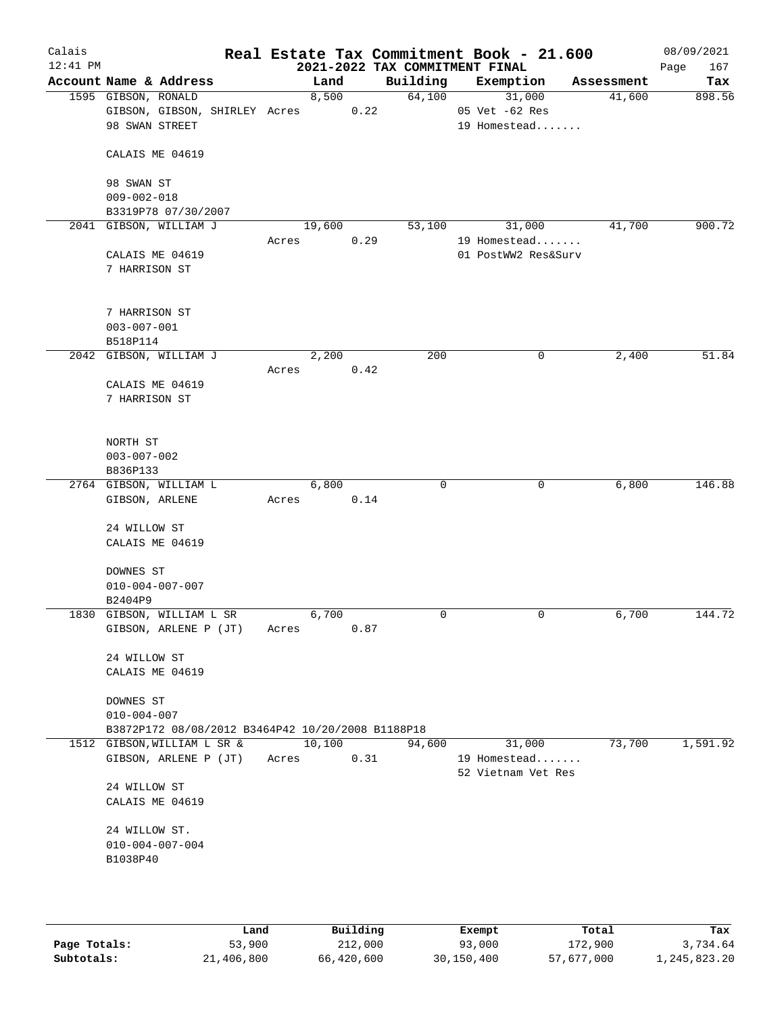| Calais     |                             |                                                   |       |        |      |                                | Real Estate Tax Commitment Book - 21.600 |            | 08/09/2021  |
|------------|-----------------------------|---------------------------------------------------|-------|--------|------|--------------------------------|------------------------------------------|------------|-------------|
| $12:41$ PM |                             |                                                   |       |        |      | 2021-2022 TAX COMMITMENT FINAL |                                          |            | 167<br>Page |
|            | Account Name & Address      |                                                   |       | Land   |      | Building                       | Exemption                                | Assessment | Tax         |
|            | 1595 GIBSON, RONALD         |                                                   |       | 8,500  |      | 64,100                         | 31,000                                   | 41,600     | 898.56      |
|            |                             | GIBSON, GIBSON, SHIRLEY Acres                     |       |        | 0.22 |                                | 05 Vet -62 Res                           |            |             |
|            | 98 SWAN STREET              |                                                   |       |        |      |                                | 19 Homestead                             |            |             |
|            |                             |                                                   |       |        |      |                                |                                          |            |             |
|            | CALAIS ME 04619             |                                                   |       |        |      |                                |                                          |            |             |
|            | 98 SWAN ST                  |                                                   |       |        |      |                                |                                          |            |             |
|            | $009 - 002 - 018$           |                                                   |       |        |      |                                |                                          |            |             |
|            | B3319P78 07/30/2007         |                                                   |       |        |      |                                |                                          |            |             |
|            | 2041 GIBSON, WILLIAM J      |                                                   |       | 19,600 |      | 53,100                         | 31,000                                   | 41,700     | 900.72      |
|            |                             |                                                   | Acres |        | 0.29 |                                | 19 Homestead                             |            |             |
|            | CALAIS ME 04619             |                                                   |       |        |      |                                | 01 PostWW2 Res&Surv                      |            |             |
|            | 7 HARRISON ST               |                                                   |       |        |      |                                |                                          |            |             |
|            |                             |                                                   |       |        |      |                                |                                          |            |             |
|            |                             |                                                   |       |        |      |                                |                                          |            |             |
|            | 7 HARRISON ST               |                                                   |       |        |      |                                |                                          |            |             |
|            | $003 - 007 - 001$           |                                                   |       |        |      |                                |                                          |            |             |
|            | B518P114                    |                                                   |       |        |      |                                |                                          |            |             |
|            | 2042 GIBSON, WILLIAM J      |                                                   |       | 2,200  | 0.42 | 200                            | 0                                        | 2,400      | 51.84       |
|            | CALAIS ME 04619             |                                                   | Acres |        |      |                                |                                          |            |             |
|            | 7 HARRISON ST               |                                                   |       |        |      |                                |                                          |            |             |
|            |                             |                                                   |       |        |      |                                |                                          |            |             |
|            |                             |                                                   |       |        |      |                                |                                          |            |             |
|            | NORTH ST                    |                                                   |       |        |      |                                |                                          |            |             |
|            | $003 - 007 - 002$           |                                                   |       |        |      |                                |                                          |            |             |
|            | B836P133                    |                                                   |       |        |      |                                |                                          |            |             |
|            | 2764 GIBSON, WILLIAM L      |                                                   |       | 6,800  |      | 0                              | 0                                        | 6,800      | 146.88      |
|            | GIBSON, ARLENE              |                                                   | Acres |        | 0.14 |                                |                                          |            |             |
|            |                             |                                                   |       |        |      |                                |                                          |            |             |
|            | 24 WILLOW ST                |                                                   |       |        |      |                                |                                          |            |             |
|            | CALAIS ME 04619             |                                                   |       |        |      |                                |                                          |            |             |
|            | DOWNES ST                   |                                                   |       |        |      |                                |                                          |            |             |
|            | $010 - 004 - 007 - 007$     |                                                   |       |        |      |                                |                                          |            |             |
|            | B2404P9                     |                                                   |       |        |      |                                |                                          |            |             |
|            | 1830 GIBSON, WILLIAM L SR   |                                                   |       | 6,700  |      | 0                              | 0                                        | 6,700      | 144.72      |
|            |                             | GIBSON, ARLENE P (JT)                             | Acres |        | 0.87 |                                |                                          |            |             |
|            |                             |                                                   |       |        |      |                                |                                          |            |             |
|            | 24 WILLOW ST                |                                                   |       |        |      |                                |                                          |            |             |
|            | CALAIS ME 04619             |                                                   |       |        |      |                                |                                          |            |             |
|            |                             |                                                   |       |        |      |                                |                                          |            |             |
|            | DOWNES ST                   |                                                   |       |        |      |                                |                                          |            |             |
|            | $010 - 004 - 007$           |                                                   |       |        |      |                                |                                          |            |             |
|            |                             | B3872P172 08/08/2012 B3464P42 10/20/2008 B1188P18 |       | 10,100 |      |                                |                                          | 73,700     | 1,591.92    |
|            | 1512 GIBSON, WILLIAM L SR & | GIBSON, ARLENE P (JT)                             |       |        | 0.31 | 94,600                         | 31,000<br>19 Homestead                   |            |             |
|            |                             |                                                   | Acres |        |      |                                | 52 Vietnam Vet Res                       |            |             |
|            | 24 WILLOW ST                |                                                   |       |        |      |                                |                                          |            |             |
|            | CALAIS ME 04619             |                                                   |       |        |      |                                |                                          |            |             |
|            |                             |                                                   |       |        |      |                                |                                          |            |             |
|            | 24 WILLOW ST.               |                                                   |       |        |      |                                |                                          |            |             |
|            | $010 - 004 - 007 - 004$     |                                                   |       |        |      |                                |                                          |            |             |
|            | B1038P40                    |                                                   |       |        |      |                                |                                          |            |             |
|            |                             |                                                   |       |        |      |                                |                                          |            |             |
|            |                             |                                                   |       |        |      |                                |                                          |            |             |
|            |                             |                                                   |       |        |      |                                |                                          |            |             |

|              | Land       | Building   | Exempt     | Total      | Tax          |
|--------------|------------|------------|------------|------------|--------------|
| Page Totals: | 53,900     | 212,000    | 93,000     | 172,900    | 3,734.64     |
| Subtotals:   | 21,406,800 | 66,420,600 | 30,150,400 | 57,677,000 | 1,245,823.20 |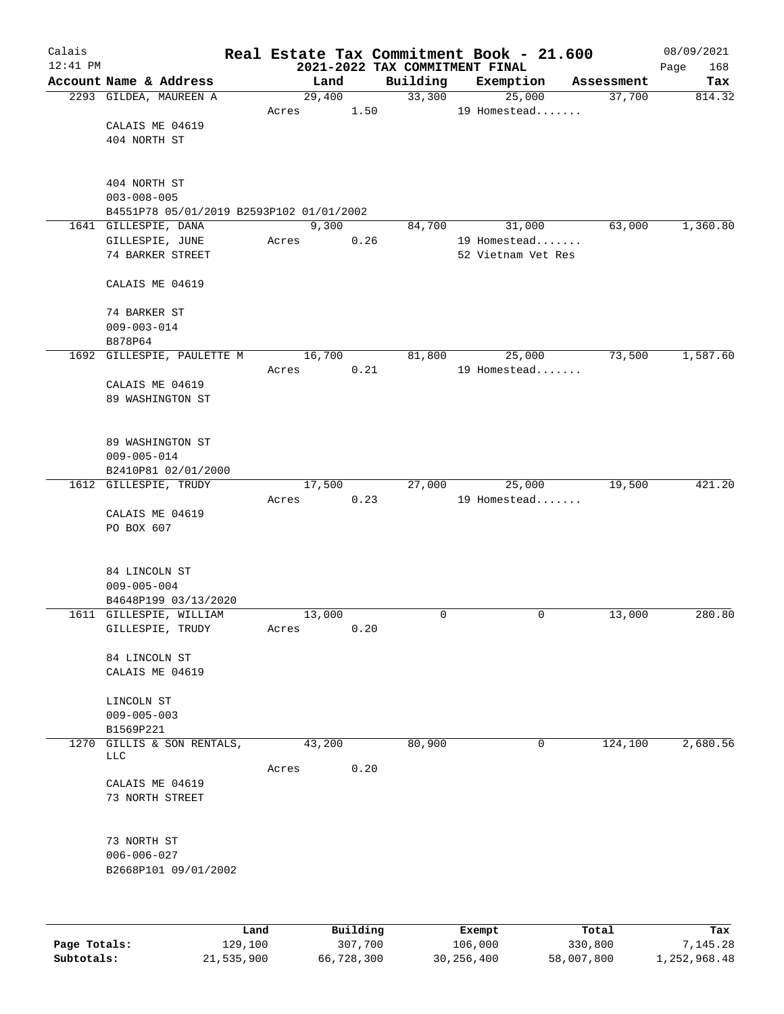| Calais       |                                          |       |        |          |          | Real Estate Tax Commitment Book - 21.600 |                      | 08/09/2021         |
|--------------|------------------------------------------|-------|--------|----------|----------|------------------------------------------|----------------------|--------------------|
| $12:41$ PM   | Account Name & Address                   |       | Land   |          | Building | 2021-2022 TAX COMMITMENT FINAL           |                      | 168<br>Page<br>Tax |
|              | 2293 GILDEA, MAUREEN A                   |       | 29,400 |          | 33,300   | Exemption<br>25,000                      | Assessment<br>37,700 | 814.32             |
|              |                                          | Acres |        | 1.50     |          | 19 Homestead                             |                      |                    |
|              | CALAIS ME 04619                          |       |        |          |          |                                          |                      |                    |
|              | 404 NORTH ST                             |       |        |          |          |                                          |                      |                    |
|              |                                          |       |        |          |          |                                          |                      |                    |
|              |                                          |       |        |          |          |                                          |                      |                    |
|              | 404 NORTH ST<br>$003 - 008 - 005$        |       |        |          |          |                                          |                      |                    |
|              | B4551P78 05/01/2019 B2593P102 01/01/2002 |       |        |          |          |                                          |                      |                    |
|              | 1641 GILLESPIE, DANA                     |       | 9,300  |          | 84,700   | 31,000                                   | 63,000               | 1,360.80           |
|              | GILLESPIE, JUNE                          | Acres |        | 0.26     |          | 19 Homestead                             |                      |                    |
|              | 74 BARKER STREET                         |       |        |          |          | 52 Vietnam Vet Res                       |                      |                    |
|              |                                          |       |        |          |          |                                          |                      |                    |
|              | CALAIS ME 04619                          |       |        |          |          |                                          |                      |                    |
|              | 74 BARKER ST                             |       |        |          |          |                                          |                      |                    |
|              | $009 - 003 - 014$                        |       |        |          |          |                                          |                      |                    |
|              | B878P64                                  |       |        |          |          |                                          |                      |                    |
|              | 1692 GILLESPIE, PAULETTE M               |       | 16,700 |          | 81,800   | 25,000                                   | 73,500               | 1,587.60           |
|              |                                          | Acres |        | 0.21     |          | 19 Homestead                             |                      |                    |
|              | CALAIS ME 04619                          |       |        |          |          |                                          |                      |                    |
|              | 89 WASHINGTON ST                         |       |        |          |          |                                          |                      |                    |
|              |                                          |       |        |          |          |                                          |                      |                    |
|              |                                          |       |        |          |          |                                          |                      |                    |
|              | 89 WASHINGTON ST<br>$009 - 005 - 014$    |       |        |          |          |                                          |                      |                    |
|              | B2410P81 02/01/2000                      |       |        |          |          |                                          |                      |                    |
|              | 1612 GILLESPIE, TRUDY                    |       | 17,500 |          | 27,000   | 25,000                                   | 19,500               | 421.20             |
|              |                                          | Acres |        | 0.23     |          | 19 Homestead                             |                      |                    |
|              | CALAIS ME 04619                          |       |        |          |          |                                          |                      |                    |
|              | PO BOX 607                               |       |        |          |          |                                          |                      |                    |
|              |                                          |       |        |          |          |                                          |                      |                    |
|              |                                          |       |        |          |          |                                          |                      |                    |
|              | 84 LINCOLN ST<br>$009 - 005 - 004$       |       |        |          |          |                                          |                      |                    |
|              | B4648P199 03/13/2020                     |       |        |          |          |                                          |                      |                    |
|              | 1611 GILLESPIE, WILLIAM                  |       | 13,000 |          | 0        | 0                                        | 13,000               | 280.80             |
|              | GILLESPIE, TRUDY                         | Acres |        | 0.20     |          |                                          |                      |                    |
|              |                                          |       |        |          |          |                                          |                      |                    |
|              | 84 LINCOLN ST                            |       |        |          |          |                                          |                      |                    |
|              | CALAIS ME 04619                          |       |        |          |          |                                          |                      |                    |
|              | LINCOLN ST                               |       |        |          |          |                                          |                      |                    |
|              | $009 - 005 - 003$                        |       |        |          |          |                                          |                      |                    |
|              | B1569P221                                |       |        |          |          |                                          |                      |                    |
| 1270         | GILLIS & SON RENTALS,                    |       | 43,200 |          | 80,900   | $\mathbf 0$                              | 124,100              | 2,680.56           |
|              | <b>LLC</b>                               |       |        |          |          |                                          |                      |                    |
|              | CALAIS ME 04619                          | Acres |        | 0.20     |          |                                          |                      |                    |
|              | 73 NORTH STREET                          |       |        |          |          |                                          |                      |                    |
|              |                                          |       |        |          |          |                                          |                      |                    |
|              |                                          |       |        |          |          |                                          |                      |                    |
|              | 73 NORTH ST                              |       |        |          |          |                                          |                      |                    |
|              | $006 - 006 - 027$                        |       |        |          |          |                                          |                      |                    |
|              | B2668P101 09/01/2002                     |       |        |          |          |                                          |                      |                    |
|              |                                          |       |        |          |          |                                          |                      |                    |
|              |                                          |       |        |          |          |                                          |                      |                    |
|              | Land                                     |       |        | Building |          | Exempt                                   | Total                | Tax                |
| Page Totals: | 129,100                                  |       |        | 307,700  |          | 106,000                                  | 330,800              | 7,145.28           |

**Subtotals:** 21,535,900 66,728,300 30,256,400 58,007,800 1,252,968.48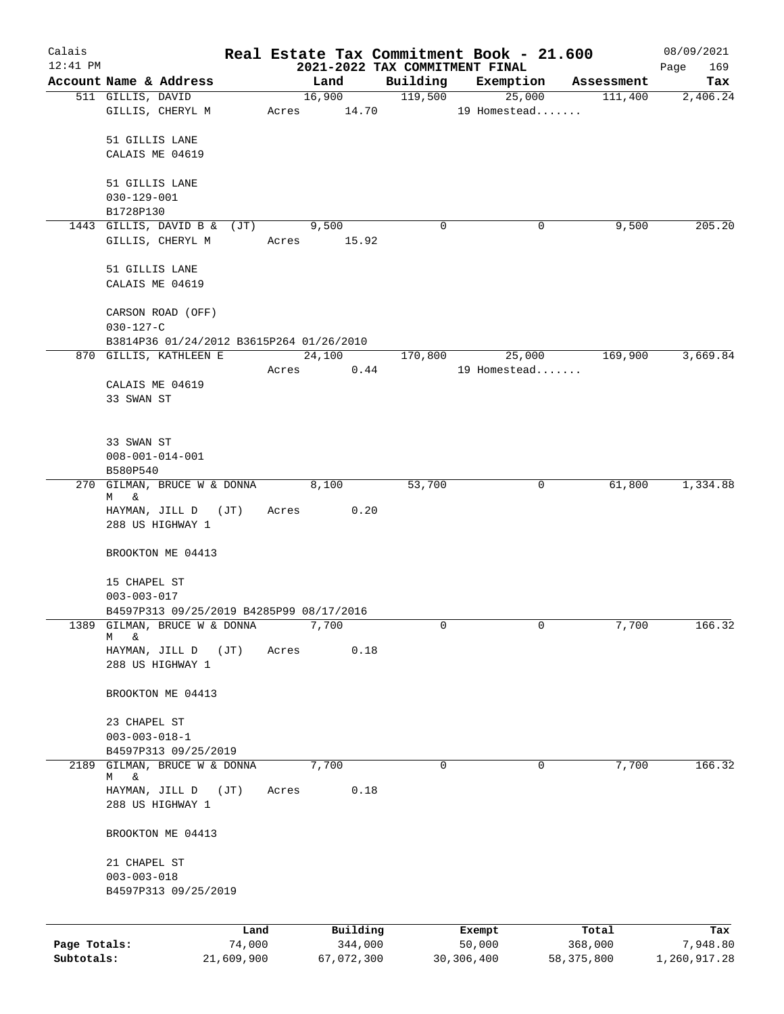| Calais       |                                          |            |       |                |      |                     | Real Estate Tax Commitment Book - 21.600 |                       | 08/09/2021      |
|--------------|------------------------------------------|------------|-------|----------------|------|---------------------|------------------------------------------|-----------------------|-----------------|
| 12:41 PM     | Account Name & Address                   |            |       |                |      |                     | 2021-2022 TAX COMMITMENT FINAL           |                       | 169<br>Page     |
|              | 511 GILLIS, DAVID                        |            |       | Land<br>16,900 |      | Building<br>119,500 | Exemption<br>25,000                      | Assessment<br>111,400 | Tax<br>2,406.24 |
|              | GILLIS, CHERYL M                         |            |       | Acres 14.70    |      |                     | 19 Homestead                             |                       |                 |
|              |                                          |            |       |                |      |                     |                                          |                       |                 |
|              | 51 GILLIS LANE                           |            |       |                |      |                     |                                          |                       |                 |
|              | CALAIS ME 04619                          |            |       |                |      |                     |                                          |                       |                 |
|              |                                          |            |       |                |      |                     |                                          |                       |                 |
|              | 51 GILLIS LANE                           |            |       |                |      |                     |                                          |                       |                 |
|              | $030 - 129 - 001$                        |            |       |                |      |                     |                                          |                       |                 |
|              | B1728P130                                |            |       |                |      |                     |                                          |                       |                 |
|              | 1443 GILLIS, DAVID B & (JT)              |            |       | 9,500          |      | 0                   | 0                                        | 9,500                 | 205.20          |
|              | GILLIS, CHERYL M                         |            |       | Acres 15.92    |      |                     |                                          |                       |                 |
|              |                                          |            |       |                |      |                     |                                          |                       |                 |
|              | 51 GILLIS LANE                           |            |       |                |      |                     |                                          |                       |                 |
|              | CALAIS ME 04619                          |            |       |                |      |                     |                                          |                       |                 |
|              | CARSON ROAD (OFF)                        |            |       |                |      |                     |                                          |                       |                 |
|              | $030 - 127 - C$                          |            |       |                |      |                     |                                          |                       |                 |
|              | B3814P36 01/24/2012 B3615P264 01/26/2010 |            |       |                |      |                     |                                          |                       |                 |
|              | 870 GILLIS, KATHLEEN E                   |            |       | 24,100         |      | 170,800             | 25,000                                   | 169,900               | 3,669.84        |
|              |                                          |            | Acres |                | 0.44 |                     | 19 Homestead                             |                       |                 |
|              | CALAIS ME 04619                          |            |       |                |      |                     |                                          |                       |                 |
|              | 33 SWAN ST                               |            |       |                |      |                     |                                          |                       |                 |
|              |                                          |            |       |                |      |                     |                                          |                       |                 |
|              |                                          |            |       |                |      |                     |                                          |                       |                 |
|              | 33 SWAN ST                               |            |       |                |      |                     |                                          |                       |                 |
|              | $008 - 001 - 014 - 001$                  |            |       |                |      |                     |                                          |                       |                 |
|              | B580P540                                 |            |       |                |      |                     |                                          |                       |                 |
|              | 270 GILMAN, BRUCE W & DONNA              |            |       | 8,100          |      | 53,700              | $\mathsf{O}$                             | 61,800                | 1,334.88        |
|              | &<br>M                                   |            |       | Acres          | 0.20 |                     |                                          |                       |                 |
|              | HAYMAN, JILL D (JT)<br>288 US HIGHWAY 1  |            |       |                |      |                     |                                          |                       |                 |
|              |                                          |            |       |                |      |                     |                                          |                       |                 |
|              | BROOKTON ME 04413                        |            |       |                |      |                     |                                          |                       |                 |
|              |                                          |            |       |                |      |                     |                                          |                       |                 |
|              | 15 CHAPEL ST                             |            |       |                |      |                     |                                          |                       |                 |
|              | $003 - 003 - 017$                        |            |       |                |      |                     |                                          |                       |                 |
|              | B4597P313 09/25/2019 B4285P99 08/17/2016 |            |       |                |      |                     |                                          |                       |                 |
| 1389         | GILMAN, BRUCE W & DONNA                  |            |       | 7,700          |      | 0                   | 0                                        | 7,700                 | 166.32          |
|              | &<br>М<br>HAYMAN, JILL D                 | (JT)       | Acres |                | 0.18 |                     |                                          |                       |                 |
|              | 288 US HIGHWAY 1                         |            |       |                |      |                     |                                          |                       |                 |
|              |                                          |            |       |                |      |                     |                                          |                       |                 |
|              | BROOKTON ME 04413                        |            |       |                |      |                     |                                          |                       |                 |
|              |                                          |            |       |                |      |                     |                                          |                       |                 |
|              | 23 CHAPEL ST                             |            |       |                |      |                     |                                          |                       |                 |
|              | $003 - 003 - 018 - 1$                    |            |       |                |      |                     |                                          |                       |                 |
|              | B4597P313 09/25/2019                     |            |       |                |      |                     |                                          |                       |                 |
| 2189         | GILMAN, BRUCE W & DONNA                  |            |       | 7,700          |      | 0                   | 0                                        | 7,700                 | 166.32          |
|              | &<br>М<br>HAYMAN, JILL D                 | (JT)       | Acres |                | 0.18 |                     |                                          |                       |                 |
|              | 288 US HIGHWAY 1                         |            |       |                |      |                     |                                          |                       |                 |
|              |                                          |            |       |                |      |                     |                                          |                       |                 |
|              | BROOKTON ME 04413                        |            |       |                |      |                     |                                          |                       |                 |
|              |                                          |            |       |                |      |                     |                                          |                       |                 |
|              | 21 CHAPEL ST                             |            |       |                |      |                     |                                          |                       |                 |
|              | $003 - 003 - 018$                        |            |       |                |      |                     |                                          |                       |                 |
|              | B4597P313 09/25/2019                     |            |       |                |      |                     |                                          |                       |                 |
|              |                                          |            |       |                |      |                     |                                          |                       |                 |
|              |                                          | Land       |       | Building       |      |                     | Exempt                                   | Total                 | Tax             |
| Page Totals: |                                          | 74,000     |       | 344,000        |      |                     | 50,000                                   | 368,000               | 7,948.80        |
| Subtotals:   |                                          | 21,609,900 |       | 67,072,300     |      |                     | 30, 306, 400                             | 58,375,800            | 1,260,917.28    |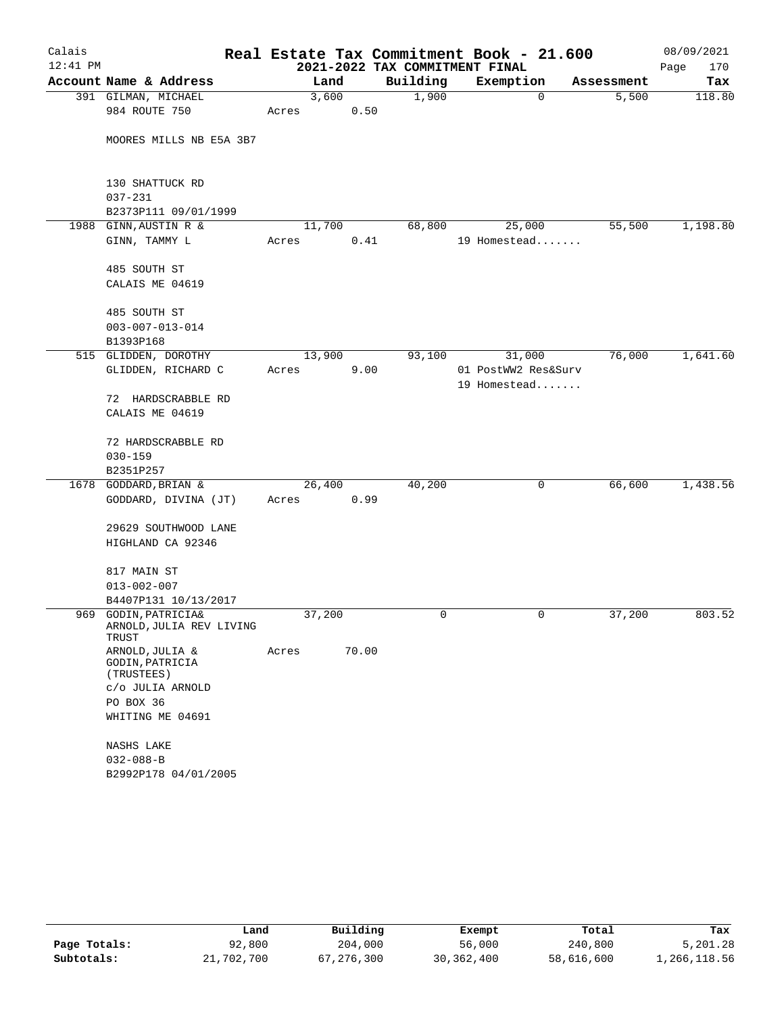| Calais     |                                      |       |        |       | Real Estate Tax Commitment Book - 21.600 |                     |             |            | 08/09/2021  |
|------------|--------------------------------------|-------|--------|-------|------------------------------------------|---------------------|-------------|------------|-------------|
| $12:41$ PM |                                      |       |        |       | 2021-2022 TAX COMMITMENT FINAL           |                     |             |            | 170<br>Page |
|            | Account Name & Address               |       | Land   |       | Building                                 | Exemption           |             | Assessment | Tax         |
|            | 391 GILMAN, MICHAEL                  |       | 3,600  |       | 1,900                                    |                     | $\mathbf 0$ | 5,500      | 118.80      |
|            | 984 ROUTE 750                        | Acres |        | 0.50  |                                          |                     |             |            |             |
|            |                                      |       |        |       |                                          |                     |             |            |             |
|            | MOORES MILLS NB E5A 3B7              |       |        |       |                                          |                     |             |            |             |
|            |                                      |       |        |       |                                          |                     |             |            |             |
|            | 130 SHATTUCK RD                      |       |        |       |                                          |                     |             |            |             |
|            | $037 - 231$                          |       |        |       |                                          |                     |             |            |             |
|            | B2373P111 09/01/1999                 |       |        |       |                                          |                     |             |            |             |
| 1988       | GINN, AUSTIN R &                     |       | 11,700 |       | 68,800                                   | 25,000              |             | 55,500     | 1,198.80    |
|            | GINN, TAMMY L                        | Acres |        | 0.41  |                                          | 19 Homestead        |             |            |             |
|            |                                      |       |        |       |                                          |                     |             |            |             |
|            | 485 SOUTH ST                         |       |        |       |                                          |                     |             |            |             |
|            | CALAIS ME 04619                      |       |        |       |                                          |                     |             |            |             |
|            |                                      |       |        |       |                                          |                     |             |            |             |
|            | 485 SOUTH ST                         |       |        |       |                                          |                     |             |            |             |
|            | $003 - 007 - 013 - 014$<br>B1393P168 |       |        |       |                                          |                     |             |            |             |
|            | 515 GLIDDEN, DOROTHY                 |       | 13,900 |       | 93,100                                   | 31,000              |             | 76,000     | 1,641.60    |
|            | GLIDDEN, RICHARD C                   | Acres |        | 9.00  |                                          | 01 PostWW2 Res&Surv |             |            |             |
|            |                                      |       |        |       |                                          | 19 Homestead        |             |            |             |
|            | 72 HARDSCRABBLE RD                   |       |        |       |                                          |                     |             |            |             |
|            | CALAIS ME 04619                      |       |        |       |                                          |                     |             |            |             |
|            |                                      |       |        |       |                                          |                     |             |            |             |
|            | 72 HARDSCRABBLE RD                   |       |        |       |                                          |                     |             |            |             |
|            | $030 - 159$                          |       |        |       |                                          |                     |             |            |             |
|            | B2351P257                            |       |        |       |                                          |                     |             |            |             |
|            | 1678 GODDARD, BRIAN &                |       | 26,400 |       | 40,200                                   |                     | 0           | 66,600     | 1,438.56    |
|            | GODDARD, DIVINA (JT)                 | Acres |        | 0.99  |                                          |                     |             |            |             |
|            | 29629 SOUTHWOOD LANE                 |       |        |       |                                          |                     |             |            |             |
|            | HIGHLAND CA 92346                    |       |        |       |                                          |                     |             |            |             |
|            |                                      |       |        |       |                                          |                     |             |            |             |
|            | 817 MAIN ST                          |       |        |       |                                          |                     |             |            |             |
|            | $013 - 002 - 007$                    |       |        |       |                                          |                     |             |            |             |
|            | B4407P131 10/13/2017                 |       |        |       |                                          |                     |             |            |             |
|            | 969 GODIN, PATRICIA&                 |       | 37,200 |       | 0                                        |                     | $\mathbf 0$ | 37,200     | 803.52      |
|            | ARNOLD, JULIA REV LIVING<br>TRUST    |       |        |       |                                          |                     |             |            |             |
|            | ARNOLD, JULIA &                      | Acres |        | 70.00 |                                          |                     |             |            |             |
|            | GODIN, PATRICIA                      |       |        |       |                                          |                     |             |            |             |
|            | (TRUSTEES)                           |       |        |       |                                          |                     |             |            |             |
|            | c/o JULIA ARNOLD<br>PO BOX 36        |       |        |       |                                          |                     |             |            |             |
|            | WHITING ME 04691                     |       |        |       |                                          |                     |             |            |             |
|            |                                      |       |        |       |                                          |                     |             |            |             |
|            | NASHS LAKE                           |       |        |       |                                          |                     |             |            |             |
|            | $032 - 088 - B$                      |       |        |       |                                          |                     |             |            |             |
|            | B2992P178 04/01/2005                 |       |        |       |                                          |                     |             |            |             |
|            |                                      |       |        |       |                                          |                     |             |            |             |

|              | Land       | Building   | Exempt     | Total      | Tax          |
|--------------|------------|------------|------------|------------|--------------|
| Page Totals: | 92,800     | 204,000    | 56,000     | 240,800    | 5,201.28     |
| Subtotals:   | 21,702,700 | 67,276,300 | 30,362,400 | 58,616,600 | 1,266,118.56 |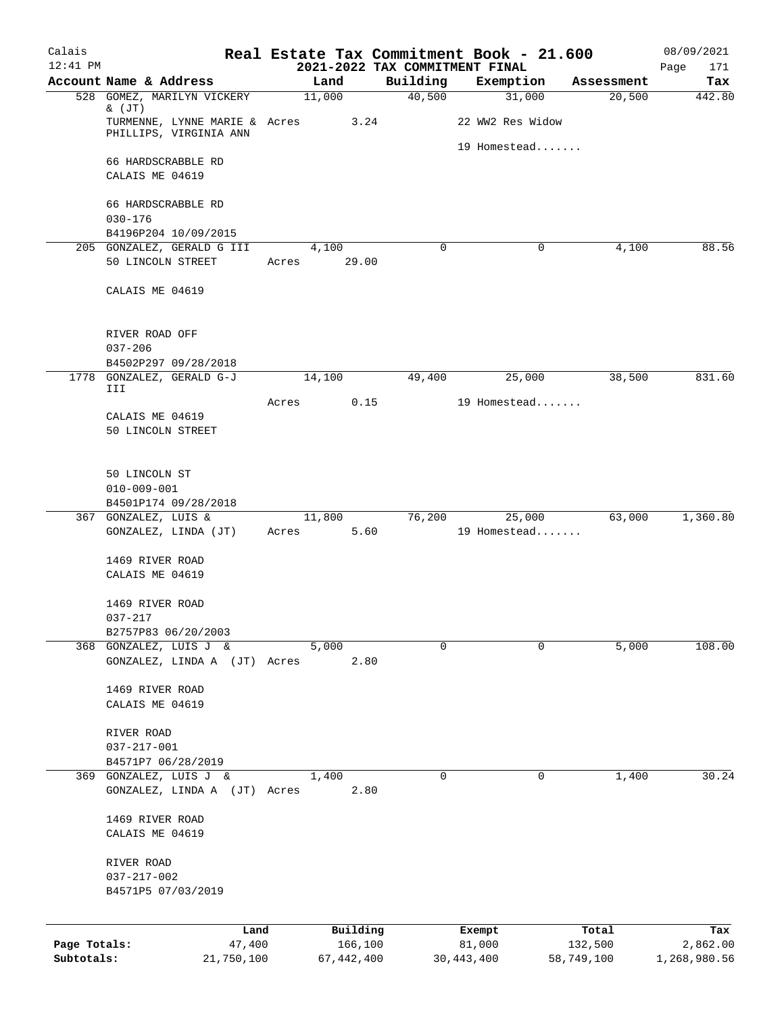| Calais       |                                                         |       |              |                                            | Real Estate Tax Commitment Book - 21.600 |            | 08/09/2021         |
|--------------|---------------------------------------------------------|-------|--------------|--------------------------------------------|------------------------------------------|------------|--------------------|
| $12:41$ PM   | Account Name & Address                                  |       | Land         | 2021-2022 TAX COMMITMENT FINAL<br>Building | Exemption                                | Assessment | Page<br>171<br>Tax |
|              | 528 GOMEZ, MARILYN VICKERY                              |       | 11,000       | 40,500                                     | 31,000                                   | 20,500     | 442.80             |
|              | $\&$ (JT)                                               |       |              |                                            |                                          |            |                    |
|              | TURMENNE, LYNNE MARIE & Acres<br>PHILLIPS, VIRGINIA ANN |       | 3.24         |                                            | 22 WW2 Res Widow                         |            |                    |
|              |                                                         |       |              |                                            | 19 Homestead                             |            |                    |
|              | 66 HARDSCRABBLE RD                                      |       |              |                                            |                                          |            |                    |
|              | CALAIS ME 04619                                         |       |              |                                            |                                          |            |                    |
|              | 66 HARDSCRABBLE RD                                      |       |              |                                            |                                          |            |                    |
|              | $030 - 176$                                             |       |              |                                            |                                          |            |                    |
|              | B4196P204 10/09/2015                                    |       |              |                                            |                                          |            |                    |
|              | 205 GONZALEZ, GERALD G III                              |       | 4,100        | 0                                          | 0                                        | 4,100      | 88.56              |
|              | 50 LINCOLN STREET                                       | Acres | 29.00        |                                            |                                          |            |                    |
|              | CALAIS ME 04619                                         |       |              |                                            |                                          |            |                    |
|              |                                                         |       |              |                                            |                                          |            |                    |
|              |                                                         |       |              |                                            |                                          |            |                    |
|              | RIVER ROAD OFF                                          |       |              |                                            |                                          |            |                    |
|              | $037 - 206$<br>B4502P297 09/28/2018                     |       |              |                                            |                                          |            |                    |
|              | 1778 GONZALEZ, GERALD G-J                               |       | 14,100       | 49,400                                     | 25,000                                   | 38,500     | 831.60             |
|              | III                                                     |       |              |                                            |                                          |            |                    |
|              | CALAIS ME 04619                                         | Acres | 0.15         |                                            | 19 Homestead                             |            |                    |
|              | 50 LINCOLN STREET                                       |       |              |                                            |                                          |            |                    |
|              |                                                         |       |              |                                            |                                          |            |                    |
|              |                                                         |       |              |                                            |                                          |            |                    |
|              | 50 LINCOLN ST<br>$010 - 009 - 001$                      |       |              |                                            |                                          |            |                    |
|              | B4501P174 09/28/2018                                    |       |              |                                            |                                          |            |                    |
|              | 367 GONZALEZ, LUIS &                                    |       | 11,800       | 76,200                                     | 25,000                                   | 63,000     | 1,360.80           |
|              | GONZALEZ, LINDA (JT)                                    | Acres | 5.60         |                                            | 19 Homestead                             |            |                    |
|              |                                                         |       |              |                                            |                                          |            |                    |
|              | 1469 RIVER ROAD<br>CALAIS ME 04619                      |       |              |                                            |                                          |            |                    |
|              |                                                         |       |              |                                            |                                          |            |                    |
|              | 1469 RIVER ROAD                                         |       |              |                                            |                                          |            |                    |
|              | 037-217                                                 |       |              |                                            |                                          |            |                    |
|              | B2757P83 06/20/2003<br>368 GONZALEZ, LUIS J &           |       | 5,000        | 0                                          | $\Omega$                                 | 5,000      | 108.00             |
|              | GONZALEZ, LINDA A (JT) Acres                            |       | 2.80         |                                            |                                          |            |                    |
|              |                                                         |       |              |                                            |                                          |            |                    |
|              | 1469 RIVER ROAD                                         |       |              |                                            |                                          |            |                    |
|              | CALAIS ME 04619                                         |       |              |                                            |                                          |            |                    |
|              | RIVER ROAD                                              |       |              |                                            |                                          |            |                    |
|              | $037 - 217 - 001$                                       |       |              |                                            |                                          |            |                    |
|              | B4571P7 06/28/2019                                      |       |              |                                            |                                          |            |                    |
|              | 369 GONZALEZ, LUIS J &                                  |       | 1,400        | 0                                          | 0                                        | 1,400      | 30.24              |
|              | GONZALEZ, LINDA A (JT) Acres                            |       | 2.80         |                                            |                                          |            |                    |
|              | 1469 RIVER ROAD                                         |       |              |                                            |                                          |            |                    |
|              | CALAIS ME 04619                                         |       |              |                                            |                                          |            |                    |
|              |                                                         |       |              |                                            |                                          |            |                    |
|              | RIVER ROAD                                              |       |              |                                            |                                          |            |                    |
|              | $037 - 217 - 002$<br>B4571P5 07/03/2019                 |       |              |                                            |                                          |            |                    |
|              |                                                         |       |              |                                            |                                          |            |                    |
|              | Land                                                    |       | Building     |                                            | Exempt                                   | Total      | Tax                |
| Page Totals: | 47,400                                                  |       | 166,100      |                                            | 81,000                                   | 132,500    | 2,862.00           |
| Subtotals:   | 21,750,100                                              |       | 67, 442, 400 |                                            | 30,443,400                               | 58,749,100 | 1,268,980.56       |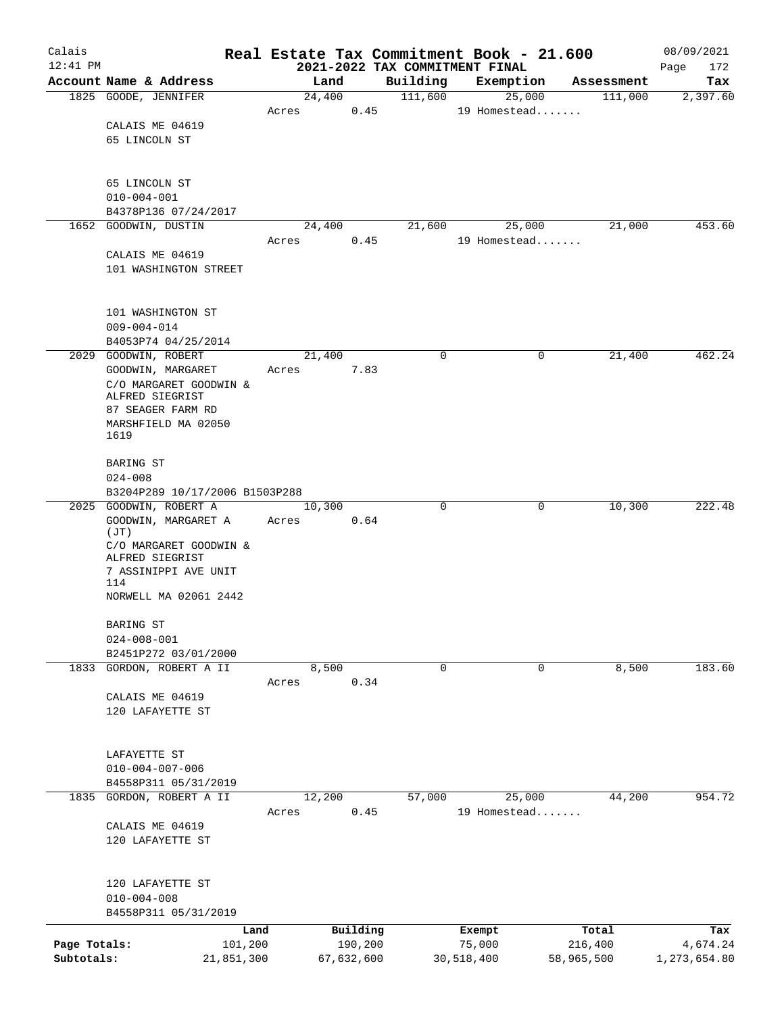| Calais                     |                                                 |       |                       |      |             | Real Estate Tax Commitment Book - 21.600    |        |                       | 08/09/2021               |
|----------------------------|-------------------------------------------------|-------|-----------------------|------|-------------|---------------------------------------------|--------|-----------------------|--------------------------|
| $12:41$ PM                 | Account Name & Address                          |       | Land                  |      | Building    | 2021-2022 TAX COMMITMENT FINAL<br>Exemption |        | Assessment            | Page<br>172<br>Tax       |
|                            | 1825 GOODE, JENNIFER                            |       | 24,400                |      | 111,600     |                                             | 25,000 | 111,000               | 2,397.60                 |
|                            |                                                 | Acres |                       | 0.45 |             | 19 Homestead                                |        |                       |                          |
|                            | CALAIS ME 04619                                 |       |                       |      |             |                                             |        |                       |                          |
|                            | 65 LINCOLN ST                                   |       |                       |      |             |                                             |        |                       |                          |
|                            |                                                 |       |                       |      |             |                                             |        |                       |                          |
|                            | 65 LINCOLN ST                                   |       |                       |      |             |                                             |        |                       |                          |
|                            | $010 - 004 - 001$                               |       |                       |      |             |                                             |        |                       |                          |
|                            | B4378P136 07/24/2017                            |       |                       |      |             |                                             |        |                       |                          |
|                            | 1652 GOODWIN, DUSTIN                            |       | 24,400                |      | 21,600      |                                             | 25,000 | 21,000                | 453.60                   |
|                            | CALAIS ME 04619                                 | Acres |                       | 0.45 |             | 19 Homestead                                |        |                       |                          |
|                            | 101 WASHINGTON STREET                           |       |                       |      |             |                                             |        |                       |                          |
|                            |                                                 |       |                       |      |             |                                             |        |                       |                          |
|                            |                                                 |       |                       |      |             |                                             |        |                       |                          |
|                            | 101 WASHINGTON ST                               |       |                       |      |             |                                             |        |                       |                          |
|                            | $009 - 004 - 014$<br>B4053P74 04/25/2014        |       |                       |      |             |                                             |        |                       |                          |
|                            | 2029 GOODWIN, ROBERT                            |       | 21,400                |      | 0           |                                             | 0      | 21,400                | 462.24                   |
|                            | GOODWIN, MARGARET                               | Acres |                       | 7.83 |             |                                             |        |                       |                          |
|                            | C/O MARGARET GOODWIN &                          |       |                       |      |             |                                             |        |                       |                          |
|                            | ALFRED SIEGRIST                                 |       |                       |      |             |                                             |        |                       |                          |
|                            | 87 SEAGER FARM RD                               |       |                       |      |             |                                             |        |                       |                          |
|                            | MARSHFIELD MA 02050<br>1619                     |       |                       |      |             |                                             |        |                       |                          |
|                            |                                                 |       |                       |      |             |                                             |        |                       |                          |
|                            | BARING ST                                       |       |                       |      |             |                                             |        |                       |                          |
|                            | $024 - 008$<br>B3204P289 10/17/2006 B1503P288   |       |                       |      |             |                                             |        |                       |                          |
|                            | 2025 GOODWIN, ROBERT A                          |       | 10,300                |      | $\mathbf 0$ |                                             | 0      | 10,300                | 222.48                   |
|                            | GOODWIN, MARGARET A                             | Acres |                       | 0.64 |             |                                             |        |                       |                          |
|                            | (JT)                                            |       |                       |      |             |                                             |        |                       |                          |
|                            | C/O MARGARET GOODWIN &<br>ALFRED SIEGRIST       |       |                       |      |             |                                             |        |                       |                          |
|                            | 7 ASSINIPPI AVE UNIT                            |       |                       |      |             |                                             |        |                       |                          |
|                            | 114                                             |       |                       |      |             |                                             |        |                       |                          |
|                            | NORWELL MA 02061 2442                           |       |                       |      |             |                                             |        |                       |                          |
|                            | BARING ST                                       |       |                       |      |             |                                             |        |                       |                          |
|                            | $024 - 008 - 001$                               |       |                       |      |             |                                             |        |                       |                          |
|                            | B2451P272 03/01/2000                            |       |                       |      |             |                                             |        |                       |                          |
|                            | 1833 GORDON, ROBERT A II                        |       | 8,500                 |      | 0           |                                             | 0      | 8,500                 | 183.60                   |
|                            |                                                 | Acres |                       | 0.34 |             |                                             |        |                       |                          |
|                            | CALAIS ME 04619<br>120 LAFAYETTE ST             |       |                       |      |             |                                             |        |                       |                          |
|                            |                                                 |       |                       |      |             |                                             |        |                       |                          |
|                            |                                                 |       |                       |      |             |                                             |        |                       |                          |
|                            | LAFAYETTE ST                                    |       |                       |      |             |                                             |        |                       |                          |
|                            | $010 - 004 - 007 - 006$<br>B4558P311 05/31/2019 |       |                       |      |             |                                             |        |                       |                          |
|                            | 1835 GORDON, ROBERT A II                        |       | 12,200                |      | 57,000      |                                             | 25,000 | 44,200                | 954.72                   |
|                            |                                                 | Acres |                       | 0.45 |             | 19 Homestead                                |        |                       |                          |
|                            | CALAIS ME 04619                                 |       |                       |      |             |                                             |        |                       |                          |
|                            | 120 LAFAYETTE ST                                |       |                       |      |             |                                             |        |                       |                          |
|                            |                                                 |       |                       |      |             |                                             |        |                       |                          |
|                            | 120 LAFAYETTE ST                                |       |                       |      |             |                                             |        |                       |                          |
|                            | $010 - 004 - 008$                               |       |                       |      |             |                                             |        |                       |                          |
|                            | B4558P311 05/31/2019                            |       |                       |      |             |                                             |        |                       |                          |
|                            |                                                 | Land  | Building              |      |             | Exempt                                      |        | Total                 | Tax                      |
| Page Totals:<br>Subtotals: | 101,200<br>21,851,300                           |       | 190,200<br>67,632,600 |      |             | 75,000<br>30,518,400                        |        | 216,400<br>58,965,500 | 4,674.24<br>1,273,654.80 |
|                            |                                                 |       |                       |      |             |                                             |        |                       |                          |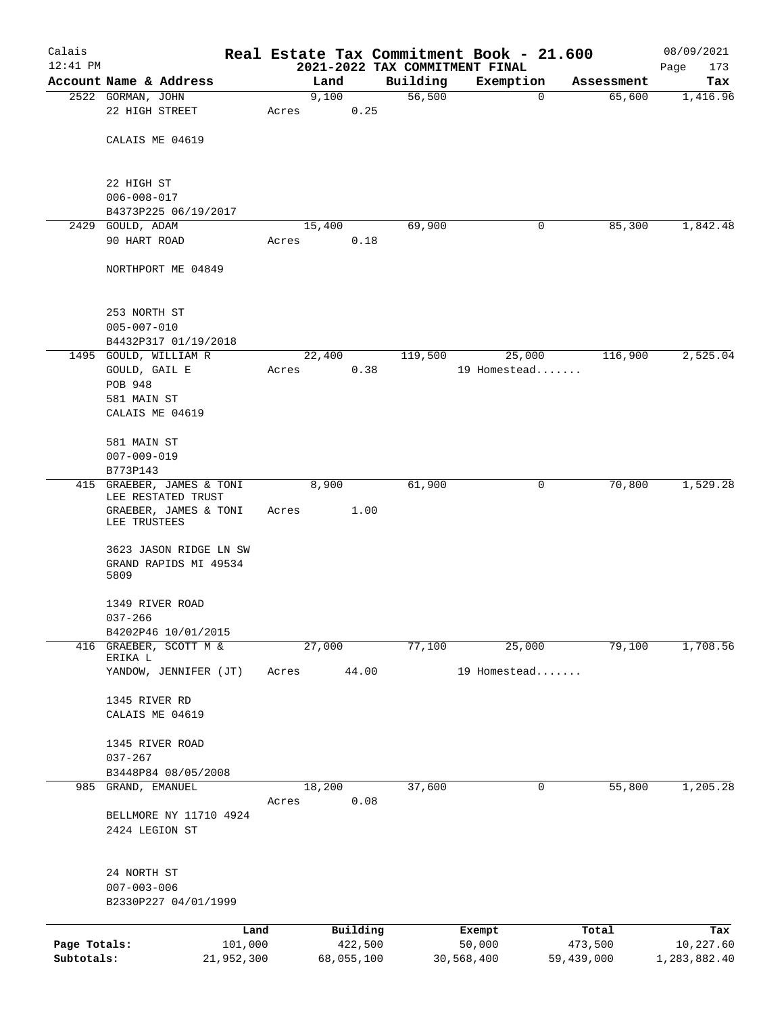| Calais       |                                                             |                 |       |                     |                    | Real Estate Tax Commitment Book - 21.600 |                           | 08/09/2021          |
|--------------|-------------------------------------------------------------|-----------------|-------|---------------------|--------------------|------------------------------------------|---------------------------|---------------------|
| $12:41$ PM   |                                                             |                 |       |                     |                    | 2021-2022 TAX COMMITMENT FINAL           |                           | Page<br>173         |
|              | Account Name & Address<br>2522 GORMAN, JOHN                 |                 |       | Land<br>9,100       | Building<br>56,500 | Exemption                                | Assessment<br>$\mathbf 0$ | Tax<br>65,600       |
|              | 22 HIGH STREET                                              |                 | Acres | 0.25                |                    |                                          |                           | 1,416.96            |
|              | CALAIS ME 04619                                             |                 |       |                     |                    |                                          |                           |                     |
|              | 22 HIGH ST                                                  |                 |       |                     |                    |                                          |                           |                     |
|              | $006 - 008 - 017$<br>B4373P225 06/19/2017                   |                 |       |                     |                    |                                          |                           |                     |
| 2429         | GOULD, ADAM                                                 |                 |       | 15,400              | 69,900             |                                          | 0                         | 85,300<br>1,842.48  |
|              | 90 HART ROAD                                                |                 | Acres | 0.18                |                    |                                          |                           |                     |
|              | NORTHPORT ME 04849                                          |                 |       |                     |                    |                                          |                           |                     |
|              | 253 NORTH ST<br>$005 - 007 - 010$                           |                 |       |                     |                    |                                          |                           |                     |
|              | B4432P317 01/19/2018                                        |                 |       |                     |                    |                                          |                           |                     |
|              | 1495 GOULD, WILLIAM R                                       |                 |       | 22,400              | 119,500            | 25,000                                   |                           | 2,525.04<br>116,900 |
|              | GOULD, GAIL E                                               |                 | Acres | 0.38                |                    | 19 Homestead                             |                           |                     |
|              | POB 948                                                     |                 |       |                     |                    |                                          |                           |                     |
|              | 581 MAIN ST                                                 |                 |       |                     |                    |                                          |                           |                     |
|              | CALAIS ME 04619                                             |                 |       |                     |                    |                                          |                           |                     |
|              | 581 MAIN ST                                                 |                 |       |                     |                    |                                          |                           |                     |
|              | $007 - 009 - 019$                                           |                 |       |                     |                    |                                          |                           |                     |
|              | B773P143                                                    |                 |       |                     |                    |                                          |                           |                     |
|              | 415 GRAEBER, JAMES & TONI                                   |                 |       | 8,900               | 61,900             |                                          | 0                         | 70,800<br>1,529.28  |
|              | LEE RESTATED TRUST<br>GRAEBER, JAMES & TONI<br>LEE TRUSTEES |                 | Acres | 1.00                |                    |                                          |                           |                     |
|              | 3623 JASON RIDGE LN SW                                      |                 |       |                     |                    |                                          |                           |                     |
|              | GRAND RAPIDS MI 49534<br>5809                               |                 |       |                     |                    |                                          |                           |                     |
|              | 1349 RIVER ROAD                                             |                 |       |                     |                    |                                          |                           |                     |
|              | $037 - 266$<br>B4202P46 10/01/2015                          |                 |       |                     |                    |                                          |                           |                     |
|              | 416 GRAEBER, SCOTT M &<br>ERIKA L                           |                 |       | 27,000              | 77,100             | 25,000                                   |                           | 79,100<br>1,708.56  |
|              | YANDOW, JENNIFER (JT)                                       |                 | Acres | 44.00               |                    | 19 Homestead                             |                           |                     |
|              | 1345 RIVER RD                                               |                 |       |                     |                    |                                          |                           |                     |
|              | CALAIS ME 04619                                             |                 |       |                     |                    |                                          |                           |                     |
|              | 1345 RIVER ROAD<br>$037 - 267$                              |                 |       |                     |                    |                                          |                           |                     |
|              | B3448P84 08/05/2008                                         |                 |       |                     |                    |                                          |                           |                     |
| 985          | GRAND, EMANUEL                                              |                 |       | 18,200              | 37,600             |                                          | 0                         | 55,800<br>1,205.28  |
|              |                                                             |                 | Acres | 0.08                |                    |                                          |                           |                     |
|              | BELLMORE NY 11710 4924<br>2424 LEGION ST                    |                 |       |                     |                    |                                          |                           |                     |
|              | 24 NORTH ST<br>$007 - 003 - 006$<br>B2330P227 04/01/1999    |                 |       |                     |                    |                                          |                           |                     |
|              |                                                             |                 |       |                     |                    |                                          |                           |                     |
| Page Totals: |                                                             | Land<br>101,000 |       | Building<br>422,500 |                    | Exempt<br>50,000                         | Total<br>473,500          | Tax<br>10,227.60    |
| Subtotals:   |                                                             | 21,952,300      |       | 68,055,100          |                    | 30,568,400                               | 59,439,000                | 1,283,882.40        |
|              |                                                             |                 |       |                     |                    |                                          |                           |                     |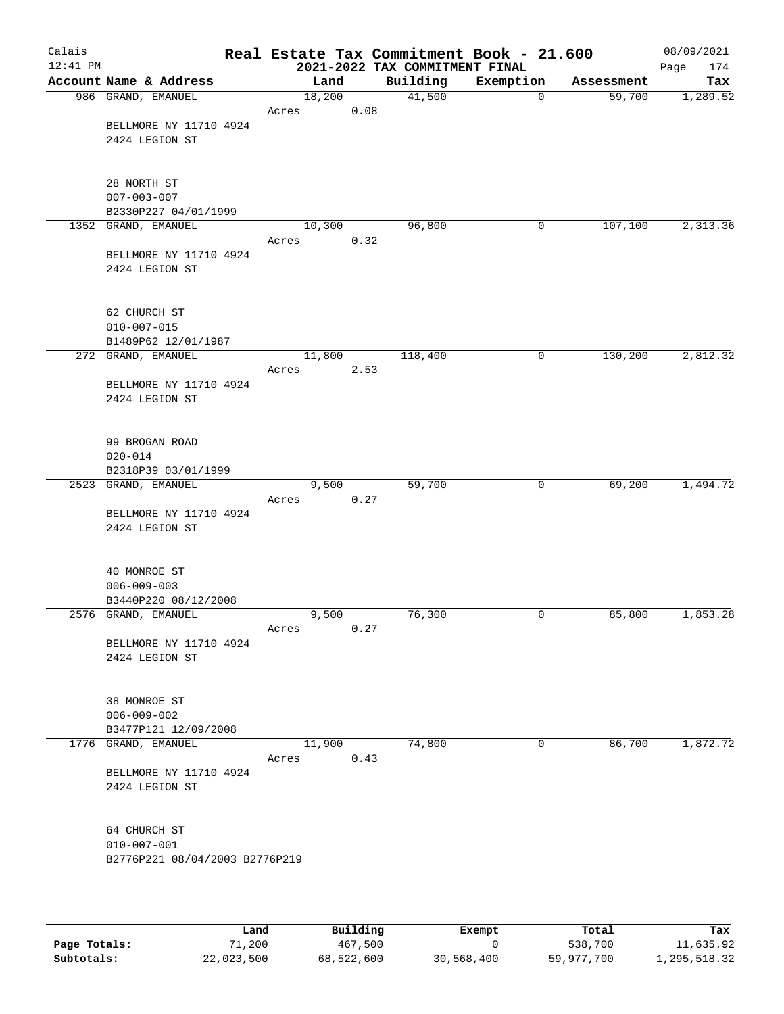| Calais<br>$12:41$ PM |                                             |        |       | Real Estate Tax Commitment Book - 21.600<br>2021-2022 TAX COMMITMENT FINAL |             |            | 08/09/2021<br>174<br>Page |
|----------------------|---------------------------------------------|--------|-------|----------------------------------------------------------------------------|-------------|------------|---------------------------|
|                      | Account Name & Address                      |        | Land  | Building                                                                   | Exemption   | Assessment | Tax                       |
|                      | 986 GRAND, EMANUEL                          | 18,200 |       | 41,500                                                                     | $\mathbf 0$ | 59,700     | 1,289.52                  |
|                      | BELLMORE NY 11710 4924<br>2424 LEGION ST    | Acres  | 0.08  |                                                                            |             |            |                           |
|                      |                                             |        |       |                                                                            |             |            |                           |
|                      | 28 NORTH ST<br>$007 - 003 - 007$            |        |       |                                                                            |             |            |                           |
|                      | B2330P227 04/01/1999<br>1352 GRAND, EMANUEL | 10,300 |       | 96,800                                                                     | 0           | 107,100    | 2,313.36                  |
|                      |                                             | Acres  | 0.32  |                                                                            |             |            |                           |
|                      | BELLMORE NY 11710 4924<br>2424 LEGION ST    |        |       |                                                                            |             |            |                           |
|                      | 62 CHURCH ST<br>$010 - 007 - 015$           |        |       |                                                                            |             |            |                           |
|                      | B1489P62 12/01/1987                         |        |       |                                                                            |             |            |                           |
|                      | 272 GRAND, EMANUEL                          | 11,800 |       | 118,400                                                                    | 0           | 130,200    | 2,812.32                  |
|                      |                                             | Acres  | 2.53  |                                                                            |             |            |                           |
|                      | BELLMORE NY 11710 4924<br>2424 LEGION ST    |        |       |                                                                            |             |            |                           |
|                      | 99 BROGAN ROAD<br>$020 - 014$               |        |       |                                                                            |             |            |                           |
|                      | B2318P39 03/01/1999                         |        |       |                                                                            |             |            |                           |
|                      | 2523 GRAND, EMANUEL                         |        | 9,500 | 59,700                                                                     | 0           | 69,200     | 1,494.72                  |
|                      |                                             | Acres  | 0.27  |                                                                            |             |            |                           |
|                      | BELLMORE NY 11710 4924<br>2424 LEGION ST    |        |       |                                                                            |             |            |                           |
|                      | 40 MONROE ST<br>$006 - 009 - 003$           |        |       |                                                                            |             |            |                           |
|                      | B3440P220 08/12/2008                        |        |       |                                                                            |             |            |                           |
|                      | 2576 GRAND, EMANUEL                         |        | 9,500 | 76,300                                                                     | 0           | 85,800     | 1,853.28                  |
|                      |                                             | Acres  | 0.27  |                                                                            |             |            |                           |
|                      | BELLMORE NY 11710 4924<br>2424 LEGION ST    |        |       |                                                                            |             |            |                           |
|                      | 38 MONROE ST<br>$006 - 009 - 002$           |        |       |                                                                            |             |            |                           |
|                      | B3477P121 12/09/2008                        |        |       |                                                                            |             |            |                           |
|                      | 1776 GRAND, EMANUEL                         | 11,900 |       | 74,800                                                                     | 0           | 86,700     | 1,872.72                  |
|                      |                                             | Acres  | 0.43  |                                                                            |             |            |                           |
|                      | BELLMORE NY 11710 4924<br>2424 LEGION ST    |        |       |                                                                            |             |            |                           |
|                      | 64 CHURCH ST<br>$010 - 007 - 001$           |        |       |                                                                            |             |            |                           |
|                      | B2776P221 08/04/2003 B2776P219              |        |       |                                                                            |             |            |                           |

|              | Land       | Building   | Exempt     | Total      | Tax          |
|--------------|------------|------------|------------|------------|--------------|
| Page Totals: | 71,200     | 467,500    |            | 538,700    | 11,635.92    |
| Subtotals:   | 22,023,500 | 68,522,600 | 30,568,400 | 59,977,700 | 1,295,518.32 |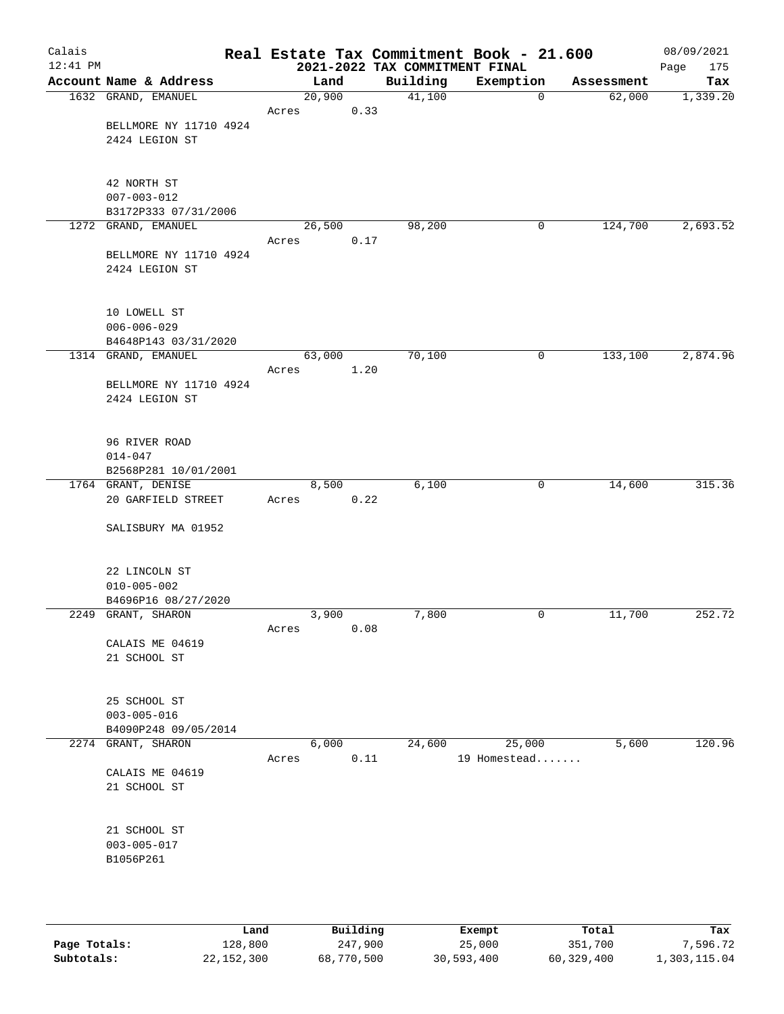| Calais<br>$12:41$ PM |                                            |        |      |      | 2021-2022 TAX COMMITMENT FINAL | Real Estate Tax Commitment Book - 21.600 |              |            | 08/09/2021<br>Page<br>175 |
|----------------------|--------------------------------------------|--------|------|------|--------------------------------|------------------------------------------|--------------|------------|---------------------------|
|                      | Account Name & Address                     | Land   |      |      | Building                       | Exemption                                |              | Assessment | Tax                       |
|                      | 1632 GRAND, EMANUEL                        | 20,900 |      |      | 41,100                         |                                          | $\mathbf 0$  | 62,000     | 1,339.20                  |
|                      |                                            | Acres  | 0.33 |      |                                |                                          |              |            |                           |
|                      | BELLMORE NY 11710 4924                     |        |      |      |                                |                                          |              |            |                           |
|                      | 2424 LEGION ST                             |        |      |      |                                |                                          |              |            |                           |
|                      |                                            |        |      |      |                                |                                          |              |            |                           |
|                      |                                            |        |      |      |                                |                                          |              |            |                           |
|                      | 42 NORTH ST<br>$007 - 003 - 012$           |        |      |      |                                |                                          |              |            |                           |
|                      | B3172P333 07/31/2006                       |        |      |      |                                |                                          |              |            |                           |
|                      | 1272 GRAND, EMANUEL                        | 26,500 |      |      | 98,200                         |                                          | 0            | 124,700    | 2,693.52                  |
|                      |                                            | Acres  |      | 0.17 |                                |                                          |              |            |                           |
|                      | BELLMORE NY 11710 4924                     |        |      |      |                                |                                          |              |            |                           |
|                      | 2424 LEGION ST                             |        |      |      |                                |                                          |              |            |                           |
|                      |                                            |        |      |      |                                |                                          |              |            |                           |
|                      |                                            |        |      |      |                                |                                          |              |            |                           |
|                      | 10 LOWELL ST                               |        |      |      |                                |                                          |              |            |                           |
|                      | $006 - 006 - 029$                          |        |      |      |                                |                                          |              |            |                           |
|                      | B4648P143 03/31/2020                       |        |      |      |                                |                                          |              |            |                           |
|                      | 1314 GRAND, EMANUEL                        | 63,000 |      |      | 70,100                         |                                          | 0            | 133,100    | 2,874.96                  |
|                      | BELLMORE NY 11710 4924                     | Acres  | 1.20 |      |                                |                                          |              |            |                           |
|                      | 2424 LEGION ST                             |        |      |      |                                |                                          |              |            |                           |
|                      |                                            |        |      |      |                                |                                          |              |            |                           |
|                      |                                            |        |      |      |                                |                                          |              |            |                           |
|                      | 96 RIVER ROAD                              |        |      |      |                                |                                          |              |            |                           |
|                      | $014 - 047$                                |        |      |      |                                |                                          |              |            |                           |
|                      | B2568P281 10/01/2001                       |        |      |      |                                |                                          |              |            |                           |
|                      | 1764 GRANT, DENISE                         | 8,500  |      |      | 6,100                          |                                          | $\mathsf{O}$ | 14,600     | 315.36                    |
|                      | 20 GARFIELD STREET                         | Acres  | 0.22 |      |                                |                                          |              |            |                           |
|                      |                                            |        |      |      |                                |                                          |              |            |                           |
|                      | SALISBURY MA 01952                         |        |      |      |                                |                                          |              |            |                           |
|                      |                                            |        |      |      |                                |                                          |              |            |                           |
|                      | 22 LINCOLN ST                              |        |      |      |                                |                                          |              |            |                           |
|                      | $010 - 005 - 002$                          |        |      |      |                                |                                          |              |            |                           |
|                      | B4696P16 08/27/2020                        |        |      |      |                                |                                          |              |            |                           |
|                      | 2249 GRANT, SHARON                         | 3,900  |      |      | 7,800                          |                                          | 0            | 11,700     | 252.72                    |
|                      |                                            | Acres  |      | 0.08 |                                |                                          |              |            |                           |
|                      | CALAIS ME 04619                            |        |      |      |                                |                                          |              |            |                           |
|                      | 21 SCHOOL ST                               |        |      |      |                                |                                          |              |            |                           |
|                      |                                            |        |      |      |                                |                                          |              |            |                           |
|                      |                                            |        |      |      |                                |                                          |              |            |                           |
|                      | 25 SCHOOL ST                               |        |      |      |                                |                                          |              |            |                           |
|                      | $003 - 005 - 016$                          |        |      |      |                                |                                          |              |            |                           |
|                      | B4090P248 09/05/2014<br>2274 GRANT, SHARON | 6,000  |      |      | 24,600                         | 25,000                                   |              | 5,600      | 120.96                    |
|                      |                                            | Acres  | 0.11 |      |                                | 19 Homestead                             |              |            |                           |
|                      | CALAIS ME 04619                            |        |      |      |                                |                                          |              |            |                           |
|                      | 21 SCHOOL ST                               |        |      |      |                                |                                          |              |            |                           |
|                      |                                            |        |      |      |                                |                                          |              |            |                           |
|                      |                                            |        |      |      |                                |                                          |              |            |                           |
|                      | 21 SCHOOL ST                               |        |      |      |                                |                                          |              |            |                           |
|                      | $003 - 005 - 017$                          |        |      |      |                                |                                          |              |            |                           |
|                      | B1056P261                                  |        |      |      |                                |                                          |              |            |                           |
|                      |                                            |        |      |      |                                |                                          |              |            |                           |
|                      |                                            |        |      |      |                                |                                          |              |            |                           |
|                      |                                            |        |      |      |                                |                                          |              |            |                           |

|              | Land       | Building   | Exempt     | Total      | Tax          |
|--------------|------------|------------|------------|------------|--------------|
| Page Totals: | 128,800    | 247,900    | 25,000     | 351,700    | 7,596.72     |
| Subtotals:   | 22,152,300 | 68,770,500 | 30,593,400 | 60,329,400 | 1,303,115.04 |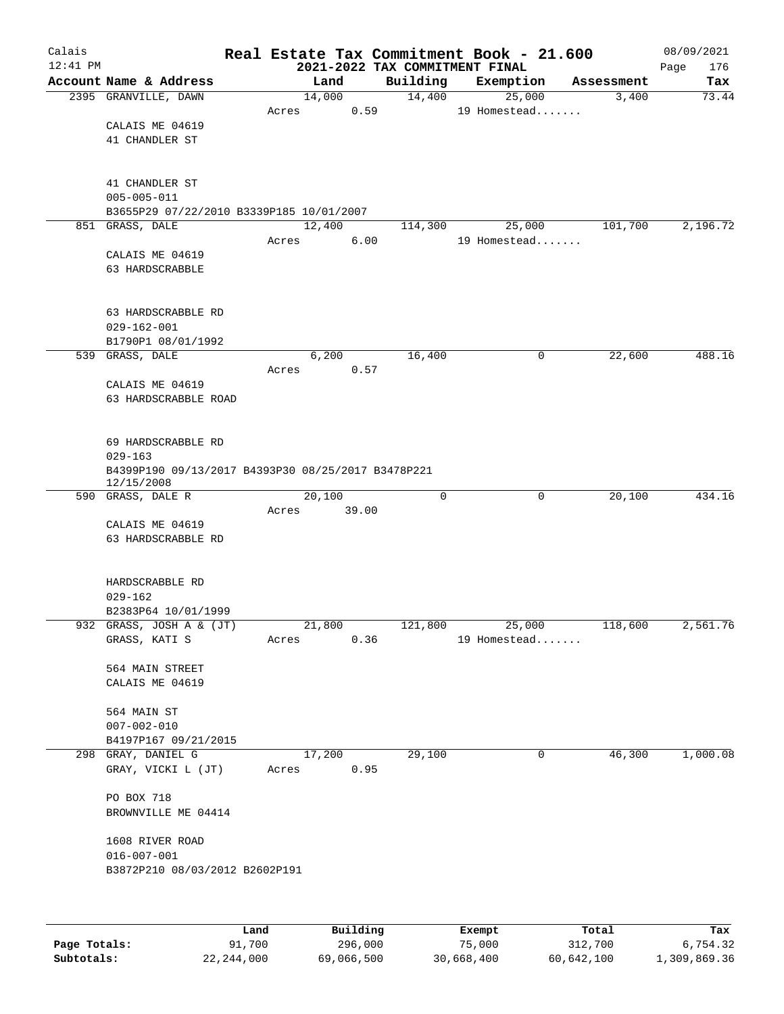| Calais<br>$12:41$ PM |                                                    |       |       |        |          | 2021-2022 TAX COMMITMENT FINAL |               | Real Estate Tax Commitment Book - 21.600 |            | 08/09/2021<br>176 |
|----------------------|----------------------------------------------------|-------|-------|--------|----------|--------------------------------|---------------|------------------------------------------|------------|-------------------|
|                      | Account Name & Address                             |       |       | Land   |          | Building                       |               | Exemption                                | Assessment | Page<br>Tax       |
|                      | 2395 GRANVILLE, DAWN                               |       |       | 14,000 |          | 14,400                         |               | 25,000                                   | 3,400      | 73.44             |
|                      |                                                    |       | Acres |        | 0.59     |                                |               | 19 Homestead                             |            |                   |
|                      | CALAIS ME 04619                                    |       |       |        |          |                                |               |                                          |            |                   |
|                      | 41 CHANDLER ST                                     |       |       |        |          |                                |               |                                          |            |                   |
|                      |                                                    |       |       |        |          |                                |               |                                          |            |                   |
|                      | 41 CHANDLER ST                                     |       |       |        |          |                                |               |                                          |            |                   |
|                      | $005 - 005 - 011$                                  |       |       |        |          |                                |               |                                          |            |                   |
|                      | B3655P29 07/22/2010 B3339P185 10/01/2007           |       |       |        |          |                                |               |                                          |            |                   |
|                      | 851 GRASS, DALE                                    |       |       | 12,400 |          | 114,300                        |               | 25,000                                   | 101,700    | 2,196.72          |
|                      |                                                    |       | Acres |        | 6.00     |                                |               | 19 Homestead                             |            |                   |
|                      | CALAIS ME 04619                                    |       |       |        |          |                                |               |                                          |            |                   |
|                      | 63 HARDSCRABBLE                                    |       |       |        |          |                                |               |                                          |            |                   |
|                      |                                                    |       |       |        |          |                                |               |                                          |            |                   |
|                      | 63 HARDSCRABBLE RD                                 |       |       |        |          |                                |               |                                          |            |                   |
|                      | $029 - 162 - 001$                                  |       |       |        |          |                                |               |                                          |            |                   |
|                      | B1790P1 08/01/1992                                 |       |       |        |          |                                |               |                                          |            |                   |
|                      | 539 GRASS, DALE                                    |       |       | 6,200  |          | 16,400                         |               | 0                                        | 22,600     | 488.16            |
|                      |                                                    |       | Acres |        | 0.57     |                                |               |                                          |            |                   |
|                      | CALAIS ME 04619                                    |       |       |        |          |                                |               |                                          |            |                   |
|                      | 63 HARDSCRABBLE ROAD                               |       |       |        |          |                                |               |                                          |            |                   |
|                      |                                                    |       |       |        |          |                                |               |                                          |            |                   |
|                      |                                                    |       |       |        |          |                                |               |                                          |            |                   |
|                      | 69 HARDSCRABBLE RD<br>$029 - 163$                  |       |       |        |          |                                |               |                                          |            |                   |
|                      | B4399P190 09/13/2017 B4393P30 08/25/2017 B3478P221 |       |       |        |          |                                |               |                                          |            |                   |
|                      | 12/15/2008                                         |       |       |        |          |                                |               |                                          |            |                   |
|                      | 590 GRASS, DALE R                                  |       |       | 20,100 |          | $\mathbf 0$                    |               | $\mathbf 0$                              | 20,100     | 434.16            |
|                      |                                                    |       | Acres |        | 39.00    |                                |               |                                          |            |                   |
|                      | CALAIS ME 04619                                    |       |       |        |          |                                |               |                                          |            |                   |
|                      | 63 HARDSCRABBLE RD                                 |       |       |        |          |                                |               |                                          |            |                   |
|                      |                                                    |       |       |        |          |                                |               |                                          |            |                   |
|                      | HARDSCRABBLE RD                                    |       |       |        |          |                                |               |                                          |            |                   |
|                      | $029 - 162$                                        |       |       |        |          |                                |               |                                          |            |                   |
|                      | B2383P64 10/01/1999                                |       |       |        |          |                                |               |                                          |            |                   |
|                      | 932 GRASS, JOSH A & (JT)                           |       |       | 21,800 |          | 121,800                        |               | 25,000                                   | 118,600    | 2,561.76          |
|                      | GRASS, KATI S                                      |       | Acres |        | 0.36     |                                |               | 19 Homestead                             |            |                   |
|                      | 564 MAIN STREET                                    |       |       |        |          |                                |               |                                          |            |                   |
|                      | CALAIS ME 04619                                    |       |       |        |          |                                |               |                                          |            |                   |
|                      |                                                    |       |       |        |          |                                |               |                                          |            |                   |
|                      | 564 MAIN ST                                        |       |       |        |          |                                |               |                                          |            |                   |
|                      | $007 - 002 - 010$                                  |       |       |        |          |                                |               |                                          |            |                   |
|                      | B4197P167 09/21/2015                               |       |       |        |          |                                |               |                                          |            |                   |
|                      | 298 GRAY, DANIEL G                                 |       |       | 17,200 |          | 29,100                         |               | 0                                        | 46,300     | 1,000.08          |
|                      | GRAY, VICKI L (JT)                                 |       | Acres |        | 0.95     |                                |               |                                          |            |                   |
|                      | PO BOX 718                                         |       |       |        |          |                                |               |                                          |            |                   |
|                      | BROWNVILLE ME 04414                                |       |       |        |          |                                |               |                                          |            |                   |
|                      |                                                    |       |       |        |          |                                |               |                                          |            |                   |
|                      | 1608 RIVER ROAD                                    |       |       |        |          |                                |               |                                          |            |                   |
|                      | $016 - 007 - 001$                                  |       |       |        |          |                                |               |                                          |            |                   |
|                      | B3872P210 08/03/2012 B2602P191                     |       |       |        |          |                                |               |                                          |            |                   |
|                      |                                                    |       |       |        |          |                                |               |                                          |            |                   |
|                      |                                                    |       |       |        |          |                                |               |                                          |            |                   |
|                      |                                                    | Land, |       |        | Building |                                | <b>Exempt</b> |                                          | Total      | Tax               |

|              | Land         | Building   | Exempt     | Total      | Tax          |
|--------------|--------------|------------|------------|------------|--------------|
| Page Totals: | 91,700       | 296,000    | 75,000     | 312,700    | 6,754.32     |
| Subtotals:   | 22, 244, 000 | 69,066,500 | 30,668,400 | 60,642,100 | 1,309,869.36 |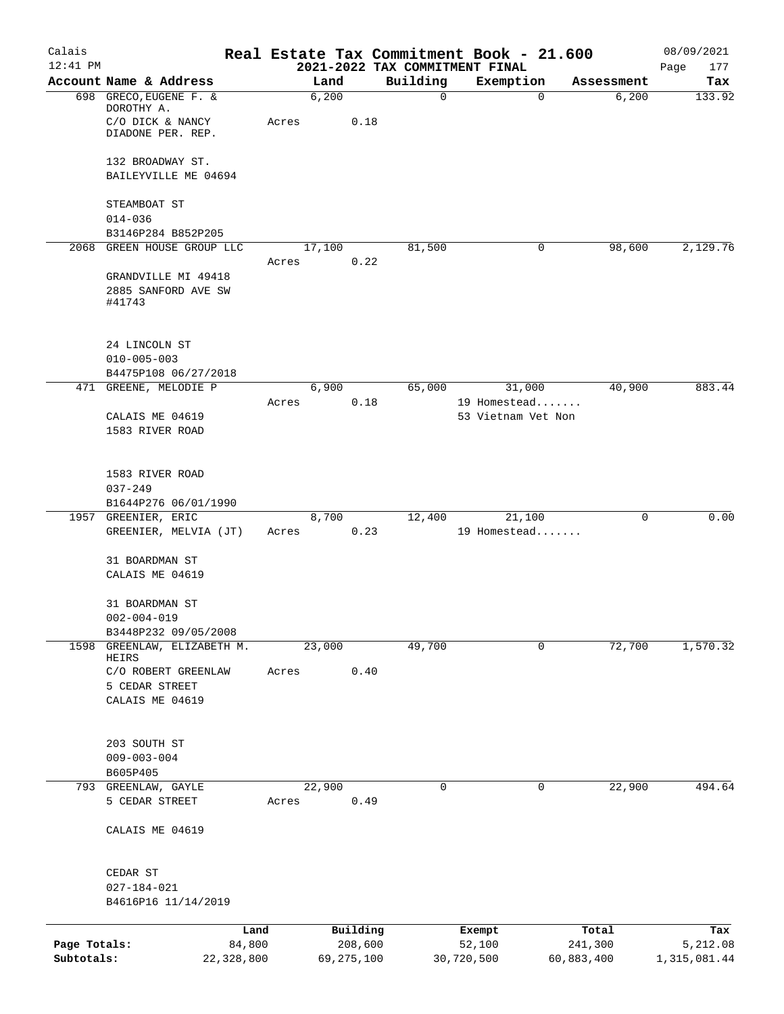| Calais                     |                                                          |       |                       |               | Real Estate Tax Commitment Book - 21.600 |                       | 08/09/2021               |
|----------------------------|----------------------------------------------------------|-------|-----------------------|---------------|------------------------------------------|-----------------------|--------------------------|
| $12:41$ PM                 | Account Name & Address                                   |       | Land                  |               | 2021-2022 TAX COMMITMENT FINAL           |                       | Page<br>177              |
|                            | 698 GRECO, EUGENE F. &                                   |       | 6,200                 | Building<br>0 | Exemption<br>$\mathbf 0$                 | Assessment<br>6,200   | Tax<br>133.92            |
|                            | DOROTHY A.<br>C/O DICK & NANCY<br>DIADONE PER. REP.      | Acres | 0.18                  |               |                                          |                       |                          |
|                            | 132 BROADWAY ST.                                         |       |                       |               |                                          |                       |                          |
|                            | BAILEYVILLE ME 04694                                     |       |                       |               |                                          |                       |                          |
|                            | STEAMBOAT ST                                             |       |                       |               |                                          |                       |                          |
|                            | $014 - 036$                                              |       |                       |               |                                          |                       |                          |
|                            | B3146P284 B852P205                                       |       |                       |               |                                          |                       |                          |
| 2068                       | GREEN HOUSE GROUP LLC                                    |       | 17,100                | 81,500        | 0                                        | 98,600                | 2,129.76                 |
|                            | GRANDVILLE MI 49418                                      | Acres | 0.22                  |               |                                          |                       |                          |
|                            | 2885 SANFORD AVE SW                                      |       |                       |               |                                          |                       |                          |
|                            | #41743                                                   |       |                       |               |                                          |                       |                          |
|                            | 24 LINCOLN ST                                            |       |                       |               |                                          |                       |                          |
|                            | $010 - 005 - 003$                                        |       |                       |               |                                          |                       |                          |
|                            | B4475P108 06/27/2018                                     |       |                       |               |                                          |                       |                          |
|                            | 471 GREENE, MELODIE P                                    | Acres | 6,900<br>0.18         | 65,000        | 31,000<br>19 Homestead                   | 40,900                | 883.44                   |
|                            | CALAIS ME 04619<br>1583 RIVER ROAD                       |       |                       |               | 53 Vietnam Vet Non                       |                       |                          |
|                            | 1583 RIVER ROAD                                          |       |                       |               |                                          |                       |                          |
|                            | $037 - 249$                                              |       |                       |               |                                          |                       |                          |
|                            | B1644P276 06/01/1990                                     |       |                       |               |                                          |                       |                          |
|                            | 1957 GREENIER, ERIC                                      |       | 8,700                 | 12,400        | 21,100                                   | 0                     | 0.00                     |
|                            | GREENIER, MELVIA (JT)                                    | Acres | 0.23                  |               | 19 Homestead                             |                       |                          |
|                            | 31 BOARDMAN ST<br>CALAIS ME 04619                        |       |                       |               |                                          |                       |                          |
|                            | 31 BOARDMAN ST<br>$002 - 004 - 019$                      |       |                       |               |                                          |                       |                          |
|                            | B3448P232 09/05/2008                                     |       |                       |               |                                          |                       |                          |
| 1598                       | GREENLAW, ELIZABETH M.<br>HEIRS                          |       | 23,000                | 49,700        | 0                                        | 72,700                | 1,570.32                 |
|                            | C/O ROBERT GREENLAW<br>5 CEDAR STREET<br>CALAIS ME 04619 | Acres | 0.40                  |               |                                          |                       |                          |
|                            |                                                          |       |                       |               |                                          |                       |                          |
|                            | 203 SOUTH ST<br>$009 - 003 - 004$                        |       |                       |               |                                          |                       |                          |
|                            | B605P405                                                 |       |                       |               |                                          |                       |                          |
| 793                        | GREENLAW, GAYLE                                          |       | 22,900                | 0             | 0                                        | 22,900                | 494.64                   |
|                            | 5 CEDAR STREET                                           | Acres | 0.49                  |               |                                          |                       |                          |
|                            | CALAIS ME 04619                                          |       |                       |               |                                          |                       |                          |
|                            | CEDAR ST                                                 |       |                       |               |                                          |                       |                          |
|                            | $027 - 184 - 021$<br>B4616P16 11/14/2019                 |       |                       |               |                                          |                       |                          |
|                            | Land                                                     |       | Building              |               | Exempt                                   | Total                 | Tax                      |
| Page Totals:<br>Subtotals: | 84,800<br>22,328,800                                     |       | 208,600<br>69,275,100 |               | 52,100<br>30,720,500                     | 241,300<br>60,883,400 | 5,212.08<br>1,315,081.44 |
|                            |                                                          |       |                       |               |                                          |                       |                          |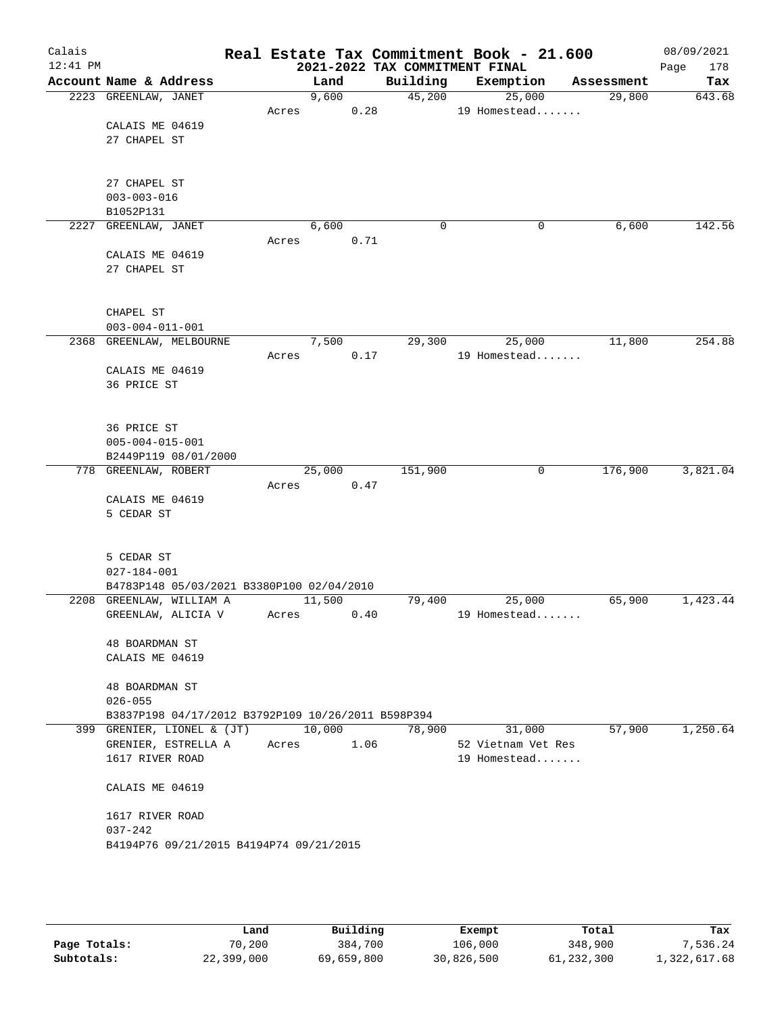| Calais<br>$12:41$ PM |                                                    |       |            |      | 2021-2022 TAX COMMITMENT FINAL | Real Estate Tax Commitment Book - 21.600 |            | 08/09/2021<br>178<br>Page |
|----------------------|----------------------------------------------------|-------|------------|------|--------------------------------|------------------------------------------|------------|---------------------------|
|                      | Account Name & Address                             |       | Land       |      | Building                       | Exemption                                | Assessment | Tax                       |
|                      | 2223 GREENLAW, JANET                               |       | 9,600      |      |                                | 45,200<br>25,000                         | 29,800     | 643.68                    |
|                      |                                                    | Acres |            | 0.28 |                                | 19 Homestead                             |            |                           |
|                      | CALAIS ME 04619                                    |       |            |      |                                |                                          |            |                           |
|                      | 27 CHAPEL ST                                       |       |            |      |                                |                                          |            |                           |
|                      |                                                    |       |            |      |                                |                                          |            |                           |
|                      | 27 CHAPEL ST                                       |       |            |      |                                |                                          |            |                           |
|                      | $003 - 003 - 016$                                  |       |            |      |                                |                                          |            |                           |
|                      | B1052P131                                          |       |            |      |                                |                                          |            |                           |
|                      | 2227 GREENLAW, JANET                               |       | 6,600      |      | $\mathbf 0$                    | 0                                        | 6,600      | 142.56                    |
|                      |                                                    | Acres |            | 0.71 |                                |                                          |            |                           |
|                      | CALAIS ME 04619                                    |       |            |      |                                |                                          |            |                           |
|                      | 27 CHAPEL ST                                       |       |            |      |                                |                                          |            |                           |
|                      |                                                    |       |            |      |                                |                                          |            |                           |
|                      | CHAPEL ST                                          |       |            |      |                                |                                          |            |                           |
|                      | $003 - 004 - 011 - 001$                            |       |            |      |                                |                                          |            |                           |
|                      | 2368 GREENLAW, MELBOURNE                           |       | 7,500      |      | 29,300                         | 25,000                                   | 11,800     | 254.88                    |
|                      |                                                    | Acres |            | 0.17 |                                | 19 Homestead                             |            |                           |
|                      | CALAIS ME 04619                                    |       |            |      |                                |                                          |            |                           |
|                      | 36 PRICE ST                                        |       |            |      |                                |                                          |            |                           |
|                      |                                                    |       |            |      |                                |                                          |            |                           |
|                      | 36 PRICE ST                                        |       |            |      |                                |                                          |            |                           |
|                      | $005 - 004 - 015 - 001$                            |       |            |      |                                |                                          |            |                           |
|                      | B2449P119 08/01/2000                               |       |            |      |                                |                                          |            |                           |
|                      | 778 GREENLAW, ROBERT                               |       | 25,000     |      | 151,900                        | 0                                        | 176,900    | 3,821.04                  |
|                      |                                                    | Acres |            | 0.47 |                                |                                          |            |                           |
|                      | CALAIS ME 04619                                    |       |            |      |                                |                                          |            |                           |
|                      | 5 CEDAR ST                                         |       |            |      |                                |                                          |            |                           |
|                      |                                                    |       |            |      |                                |                                          |            |                           |
|                      | 5 CEDAR ST                                         |       |            |      |                                |                                          |            |                           |
|                      | $027 - 184 - 001$                                  |       |            |      |                                |                                          |            |                           |
|                      | B4783P148 05/03/2021 B3380P100 02/04/2010          |       |            |      |                                |                                          |            |                           |
|                      | 2208 GREENLAW, WILLIAM A                           |       | 11,500     |      | 79,400                         | 25,000                                   | 65,900     | 1,423.44                  |
|                      | GREENLAW, ALICIA V                                 | Acres |            | 0.40 |                                | 19 Homestead                             |            |                           |
|                      | 48 BOARDMAN ST                                     |       |            |      |                                |                                          |            |                           |
|                      | CALAIS ME 04619                                    |       |            |      |                                |                                          |            |                           |
|                      |                                                    |       |            |      |                                |                                          |            |                           |
|                      | 48 BOARDMAN ST                                     |       |            |      |                                |                                          |            |                           |
|                      | $026 - 055$                                        |       |            |      |                                |                                          |            |                           |
|                      | B3837P198 04/17/2012 B3792P109 10/26/2011 B598P394 |       |            |      |                                |                                          |            |                           |
|                      | 399 GRENIER, LIONEL & (JT) 10,000                  |       |            |      | 78,900                         | 31,000                                   | 57,900     | 1,250.64                  |
|                      | GRENIER, ESTRELLA A<br>1617 RIVER ROAD             |       | Acres 1.06 |      |                                | 52 Vietnam Vet Res<br>19 Homestead       |            |                           |
|                      |                                                    |       |            |      |                                |                                          |            |                           |
|                      | CALAIS ME 04619                                    |       |            |      |                                |                                          |            |                           |
|                      | 1617 RIVER ROAD                                    |       |            |      |                                |                                          |            |                           |
|                      | $037 - 242$                                        |       |            |      |                                |                                          |            |                           |
|                      | B4194P76 09/21/2015 B4194P74 09/21/2015            |       |            |      |                                |                                          |            |                           |
|                      |                                                    |       |            |      |                                |                                          |            |                           |
|                      |                                                    |       |            |      |                                |                                          |            |                           |
|                      |                                                    |       |            |      |                                |                                          |            |                           |

|              | Land       | Building   | Exempt     | Total      | Tax          |
|--------------|------------|------------|------------|------------|--------------|
| Page Totals: | 70,200     | 384,700    | 106,000    | 348,900    | 7.536.24     |
| Subtotals:   | 22,399,000 | 69,659,800 | 30,826,500 | 61,232,300 | 1,322,617.68 |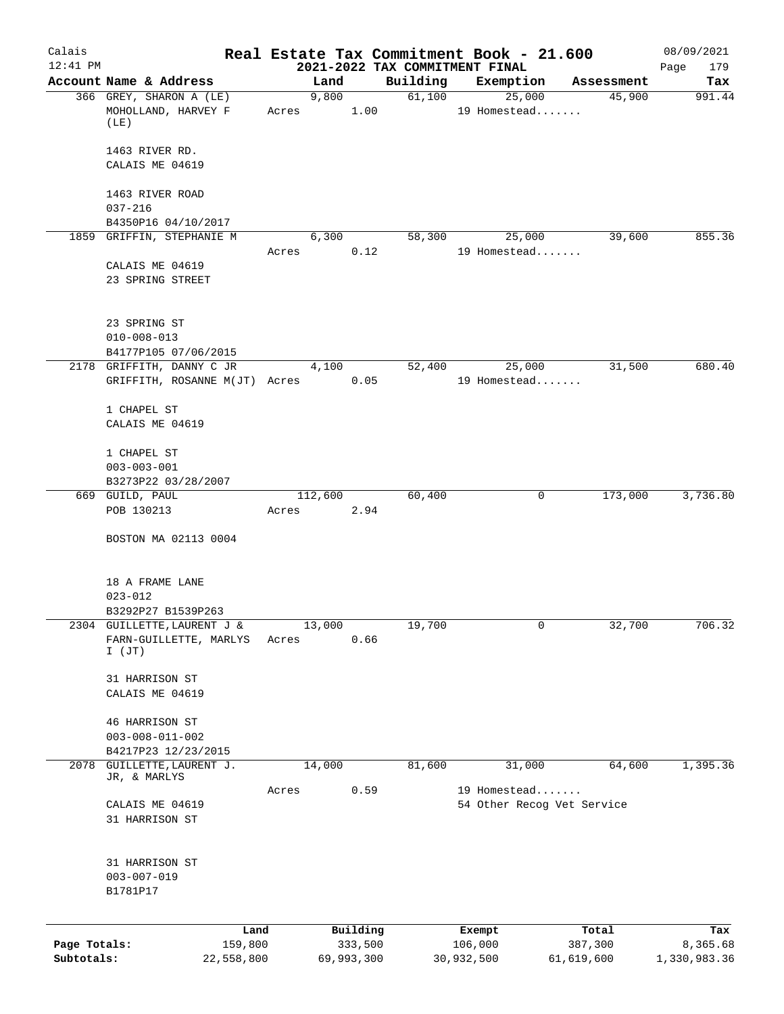| Calais       |                                                   |                     |                                | Real Estate Tax Commitment Book - 21.600 |                      | 08/09/2021      |
|--------------|---------------------------------------------------|---------------------|--------------------------------|------------------------------------------|----------------------|-----------------|
| $12:41$ PM   | Account Name & Address                            |                     | 2021-2022 TAX COMMITMENT FINAL |                                          |                      | Page<br>179     |
|              | 366 GREY, SHARON A (LE)                           | Land<br>9,800       | Building<br>61,100             | Exemption<br>25,000                      | Assessment<br>45,900 | Tax<br>991.44   |
|              | MOHOLLAND, HARVEY F<br>(LE)                       | Acres               | 1.00                           | 19 Homestead                             |                      |                 |
|              | 1463 RIVER RD.<br>CALAIS ME 04619                 |                     |                                |                                          |                      |                 |
|              | 1463 RIVER ROAD<br>$037 - 216$                    |                     |                                |                                          |                      |                 |
|              | B4350P16 04/10/2017                               |                     |                                |                                          |                      |                 |
|              | 1859 GRIFFIN, STEPHANIE M                         | 6,300               | 58,300                         | 25,000                                   | 39,600               | 855.36          |
|              |                                                   | Acres               | 0.12                           | 19 Homestead                             |                      |                 |
|              | CALAIS ME 04619<br>23 SPRING STREET               |                     |                                |                                          |                      |                 |
|              | 23 SPRING ST<br>$010 - 008 - 013$                 |                     |                                |                                          |                      |                 |
|              | B4177P105 07/06/2015                              |                     |                                |                                          |                      |                 |
|              | 2178 GRIFFITH, DANNY C JR                         | 4,100               | 52,400                         | 25,000                                   | 31,500               | 680.40          |
|              | GRIFFITH, ROSANNE M(JT) Acres                     |                     | 0.05                           | 19 Homestead                             |                      |                 |
|              | 1 CHAPEL ST<br>CALAIS ME 04619                    |                     |                                |                                          |                      |                 |
|              | 1 CHAPEL ST                                       |                     |                                |                                          |                      |                 |
|              | $003 - 003 - 001$                                 |                     |                                |                                          |                      |                 |
|              | B3273P22 03/28/2007                               |                     |                                |                                          |                      |                 |
|              | 669 GUILD, PAUL                                   | 112,600             | 60,400                         | 0                                        | 173,000              | 3,736.80        |
|              | POB 130213<br>BOSTON MA 02113 0004                | Acres               | 2.94                           |                                          |                      |                 |
|              |                                                   |                     |                                |                                          |                      |                 |
|              | 18 A FRAME LANE                                   |                     |                                |                                          |                      |                 |
|              | $023 - 012$                                       |                     |                                |                                          |                      |                 |
|              | B3292P27 B1539P263<br>2304 GUILLETTE, LAURENT J & | 13,000              | 19,700                         | 0                                        | 32,700               | 706.32          |
|              | FARN-GUILLETTE, MARLYS<br>$I$ (JT)                | Acres               | 0.66                           |                                          |                      |                 |
|              | 31 HARRISON ST                                    |                     |                                |                                          |                      |                 |
|              | CALAIS ME 04619                                   |                     |                                |                                          |                      |                 |
|              | 46 HARRISON ST<br>$003 - 008 - 011 - 002$         |                     |                                |                                          |                      |                 |
|              | B4217P23 12/23/2015                               |                     |                                |                                          |                      |                 |
| 2078         | GUILLETTE, LAURENT J.                             | 14,000              | 81,600                         | 31,000                                   | 64,600               | 1,395.36        |
|              | JR, & MARLYS                                      |                     |                                |                                          |                      |                 |
|              |                                                   | Acres               | 0.59                           | 19 Homestead                             |                      |                 |
|              | CALAIS ME 04619<br>31 HARRISON ST                 |                     |                                | 54 Other Recog Vet Service               |                      |                 |
|              | 31 HARRISON ST                                    |                     |                                |                                          |                      |                 |
|              | $003 - 007 - 019$<br>B1781P17                     |                     |                                |                                          |                      |                 |
|              |                                                   |                     |                                |                                          |                      |                 |
| Page Totals: | Land<br>159,800                                   | Building<br>333,500 |                                | Exempt<br>106,000                        | Total<br>387,300     | Tax<br>8,365.68 |
| Subtotals:   | 22,558,800                                        | 69,993,300          |                                | 30,932,500                               | 61,619,600           | 1,330,983.36    |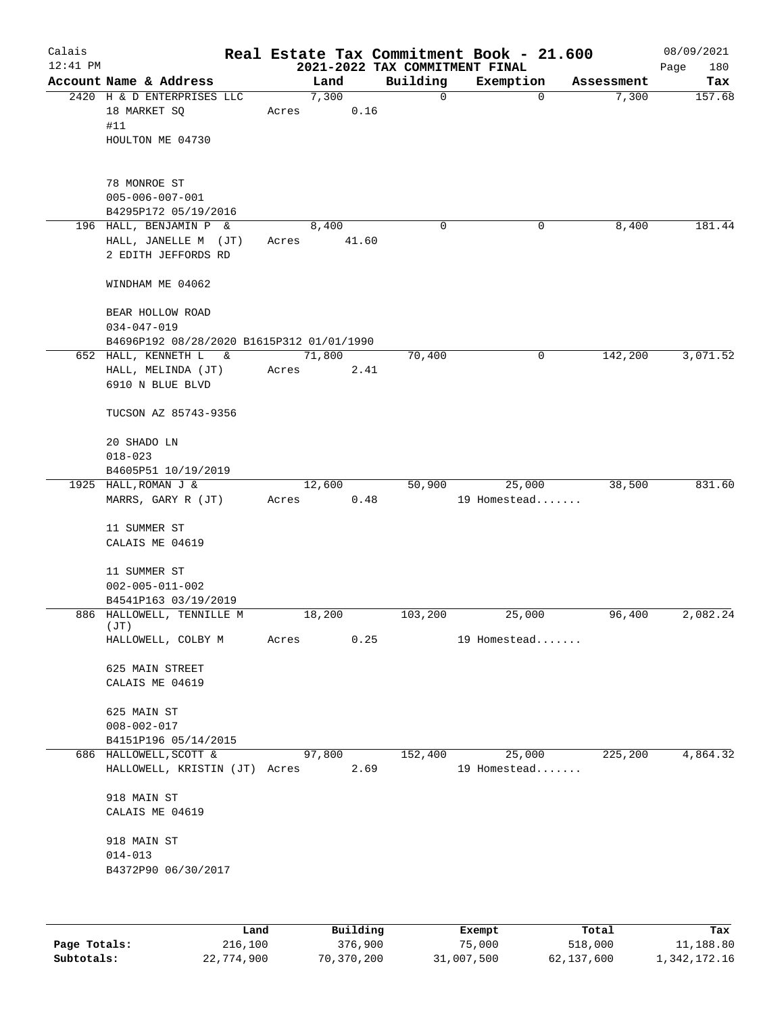| Calais<br>$12:41$ PM |                                                                                    |          |       |        |       |          | Real Estate Tax Commitment Book - 21.600<br>2021-2022 TAX COMMITMENT FINAL |   |            | 08/09/2021<br>180<br>Page |
|----------------------|------------------------------------------------------------------------------------|----------|-------|--------|-------|----------|----------------------------------------------------------------------------|---|------------|---------------------------|
|                      | Account Name & Address                                                             |          |       | Land   |       | Building | Exemption                                                                  |   | Assessment | Tax                       |
|                      | 2420 H & D ENTERPRISES LLC<br>18 MARKET SQ<br>#11<br>HOULTON ME 04730              |          | Acres | 7,300  | 0.16  | 0        |                                                                            | 0 | 7,300      | 157.68                    |
|                      | 78 MONROE ST<br>$005 - 006 - 007 - 001$<br>B4295P172 05/19/2016                    |          |       |        |       |          |                                                                            |   |            |                           |
|                      | 196 HALL, BENJAMIN P &<br>HALL, JANELLE M (JT)<br>2 EDITH JEFFORDS RD              |          | Acres | 8,400  | 41.60 | 0        |                                                                            | 0 | 8,400      | 181.44                    |
|                      | WINDHAM ME 04062                                                                   |          |       |        |       |          |                                                                            |   |            |                           |
|                      | BEAR HOLLOW ROAD<br>$034 - 047 - 019$<br>B4696P192 08/28/2020 B1615P312 01/01/1990 |          |       |        |       |          |                                                                            |   |            |                           |
|                      | 652 HALL, KENNETH L                                                                | $\delta$ |       | 71,800 |       | 70,400   |                                                                            | 0 | 142,200    | 3,071.52                  |
|                      | HALL, MELINDA (JT)<br>6910 N BLUE BLVD                                             |          | Acres |        | 2.41  |          |                                                                            |   |            |                           |
|                      | TUCSON AZ 85743-9356                                                               |          |       |        |       |          |                                                                            |   |            |                           |
|                      | 20 SHADO LN<br>$018 - 023$                                                         |          |       |        |       |          |                                                                            |   |            |                           |
|                      | B4605P51 10/19/2019<br>1925 HALL, ROMAN J &                                        |          |       | 12,600 |       | 50,900   | 25,000                                                                     |   | 38,500     | 831.60                    |
|                      | MARRS, GARY R (JT)                                                                 |          | Acres |        | 0.48  |          | 19 Homestead                                                               |   |            |                           |
|                      | 11 SUMMER ST<br>CALAIS ME 04619                                                    |          |       |        |       |          |                                                                            |   |            |                           |
|                      | 11 SUMMER ST<br>$002 - 005 - 011 - 002$<br>B4541P163 03/19/2019                    |          |       |        |       |          |                                                                            |   |            |                           |
|                      | 886 HALLOWELL, TENNILLE M                                                          |          |       | 18,200 |       | 103,200  | 25,000                                                                     |   | 96,400     | 2,082.24                  |
|                      | (TT)<br>HALLOWELL, COLBY M                                                         |          | Acres |        | 0.25  |          | 19 Homestead                                                               |   |            |                           |
|                      | 625 MAIN STREET                                                                    |          |       |        |       |          |                                                                            |   |            |                           |
|                      | CALAIS ME 04619                                                                    |          |       |        |       |          |                                                                            |   |            |                           |
|                      | 625 MAIN ST                                                                        |          |       |        |       |          |                                                                            |   |            |                           |
|                      | $008 - 002 - 017$                                                                  |          |       |        |       |          |                                                                            |   |            |                           |
|                      | B4151P196 05/14/2015                                                               |          |       |        |       |          |                                                                            |   |            |                           |
|                      | 686 HALLOWELL, SCOTT &<br>HALLOWELL, KRISTIN (JT) Acres                            |          |       | 97,800 | 2.69  | 152,400  | 25,000<br>19 Homestead                                                     |   | 225,200    | 4,864.32                  |
|                      | 918 MAIN ST                                                                        |          |       |        |       |          |                                                                            |   |            |                           |
|                      | CALAIS ME 04619                                                                    |          |       |        |       |          |                                                                            |   |            |                           |
|                      | 918 MAIN ST<br>$014 - 013$                                                         |          |       |        |       |          |                                                                            |   |            |                           |
|                      | B4372P90 06/30/2017                                                                |          |       |        |       |          |                                                                            |   |            |                           |
|                      |                                                                                    |          |       |        |       |          |                                                                            |   |            |                           |

|              | Land       | Building   | Exempt     | Total      | Tax          |
|--------------|------------|------------|------------|------------|--------------|
| Page Totals: | 216,100    | 376,900    | 75,000     | 518,000    | 11,188.80    |
| Subtotals:   | 22,774,900 | 70,370,200 | 31,007,500 | 62,137,600 | 1,342,172.16 |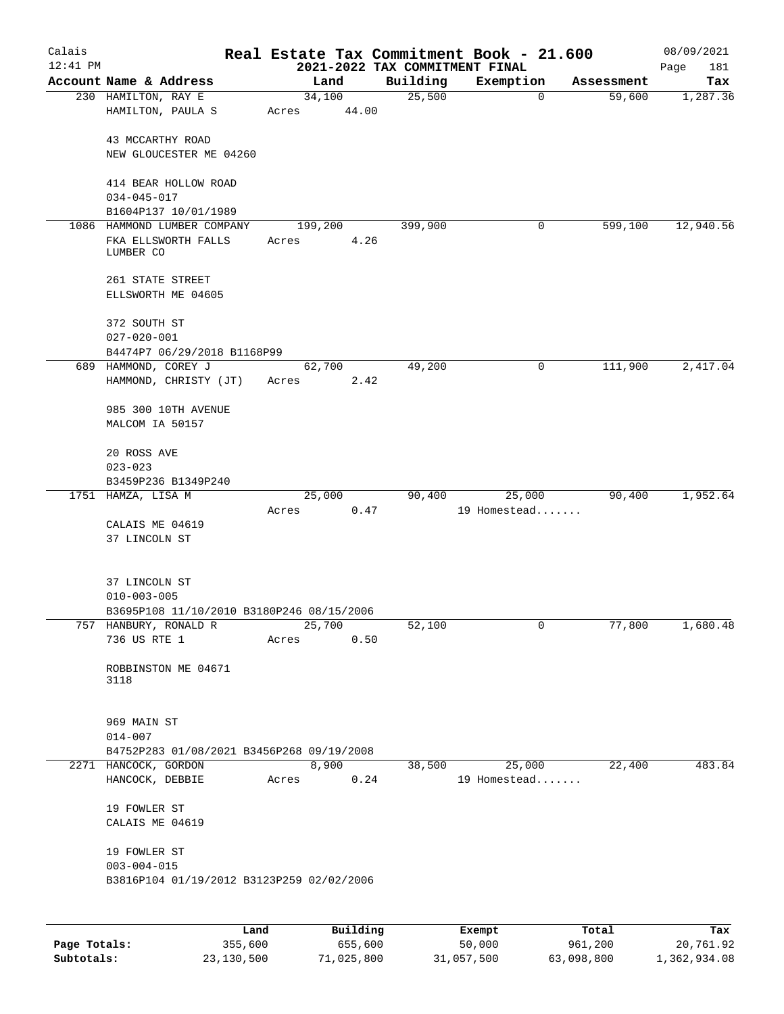| Calais<br>$12:41$ PM |                                                     |       |          | 2021-2022 TAX COMMITMENT FINAL | Real Estate Tax Commitment Book - 21.600 |                |            | 08/09/2021<br>Page<br>181 |
|----------------------|-----------------------------------------------------|-------|----------|--------------------------------|------------------------------------------|----------------|------------|---------------------------|
|                      | Account Name & Address                              |       | Land     | Building                       | Exemption                                |                | Assessment | Tax                       |
|                      | 230 HAMILTON, RAY E                                 |       | 34,100   | 25,500                         |                                          | $\mathbf 0$    | 59,600     | 1,287.36                  |
|                      | HAMILTON, PAULA S                                   | Acres | 44.00    |                                |                                          |                |            |                           |
|                      | 43 MCCARTHY ROAD                                    |       |          |                                |                                          |                |            |                           |
|                      | NEW GLOUCESTER ME 04260                             |       |          |                                |                                          |                |            |                           |
|                      | 414 BEAR HOLLOW ROAD                                |       |          |                                |                                          |                |            |                           |
|                      | $034 - 045 - 017$                                   |       |          |                                |                                          |                |            |                           |
|                      | B1604P137 10/01/1989                                |       |          |                                |                                          |                |            |                           |
|                      | 1086 HAMMOND LUMBER COMPANY                         |       | 199,200  | 399,900                        |                                          | 0              | 599,100    | 12,940.56                 |
|                      | FKA ELLSWORTH FALLS<br>LUMBER CO                    | Acres | 4.26     |                                |                                          |                |            |                           |
|                      | 261 STATE STREET                                    |       |          |                                |                                          |                |            |                           |
|                      | ELLSWORTH ME 04605                                  |       |          |                                |                                          |                |            |                           |
|                      | 372 SOUTH ST                                        |       |          |                                |                                          |                |            |                           |
|                      | $027 - 020 - 001$                                   |       |          |                                |                                          |                |            |                           |
|                      | B4474P7 06/29/2018 B1168P99<br>689 HAMMOND, COREY J |       | 62,700   | 49,200                         |                                          | 0              | 111,900    | 2,417.04                  |
|                      | HAMMOND, CHRISTY (JT)                               | Acres | 2.42     |                                |                                          |                |            |                           |
|                      |                                                     |       |          |                                |                                          |                |            |                           |
|                      | 985 300 10TH AVENUE                                 |       |          |                                |                                          |                |            |                           |
|                      | MALCOM IA 50157                                     |       |          |                                |                                          |                |            |                           |
|                      | 20 ROSS AVE                                         |       |          |                                |                                          |                |            |                           |
|                      | $023 - 023$                                         |       |          |                                |                                          |                |            |                           |
|                      | B3459P236 B1349P240                                 |       |          |                                |                                          |                |            |                           |
|                      | 1751 HAMZA, LISA M                                  |       | 25,000   | 90,400                         | 25,000                                   |                | 90,400     | 1,952.64                  |
|                      |                                                     | Acres | 0.47     |                                | 19 Homestead                             |                |            |                           |
|                      | CALAIS ME 04619<br>37 LINCOLN ST                    |       |          |                                |                                          |                |            |                           |
|                      |                                                     |       |          |                                |                                          |                |            |                           |
|                      | 37 LINCOLN ST                                       |       |          |                                |                                          |                |            |                           |
|                      | $010 - 003 - 005$                                   |       |          |                                |                                          |                |            |                           |
|                      | B3695P108 11/10/2010 B3180P246 08/15/2006           |       |          |                                |                                          |                |            |                           |
|                      | 757 HANBURY, RONALD R                               |       | 25,700   | 52,100                         |                                          | $\overline{0}$ | 77,800     | 1,680.48                  |
|                      | 736 US RTE 1                                        | Acres | 0.50     |                                |                                          |                |            |                           |
|                      | ROBBINSTON ME 04671                                 |       |          |                                |                                          |                |            |                           |
|                      | 3118                                                |       |          |                                |                                          |                |            |                           |
|                      |                                                     |       |          |                                |                                          |                |            |                           |
|                      | 969 MAIN ST                                         |       |          |                                |                                          |                |            |                           |
|                      | $014 - 007$                                         |       |          |                                |                                          |                |            |                           |
|                      | B4752P283 01/08/2021 B3456P268 09/19/2008           |       |          |                                |                                          |                |            |                           |
|                      | 2271 HANCOCK, GORDON                                |       | 8,900    | 38,500                         | 25,000                                   |                | 22,400     | 483.84                    |
|                      | HANCOCK, DEBBIE                                     | Acres | 0.24     |                                | 19 Homestead                             |                |            |                           |
|                      | 19 FOWLER ST                                        |       |          |                                |                                          |                |            |                           |
|                      | CALAIS ME 04619                                     |       |          |                                |                                          |                |            |                           |
|                      | 19 FOWLER ST                                        |       |          |                                |                                          |                |            |                           |
|                      | $003 - 004 - 015$                                   |       |          |                                |                                          |                |            |                           |
|                      | B3816P104 01/19/2012 B3123P259 02/02/2006           |       |          |                                |                                          |                |            |                           |
|                      |                                                     |       |          |                                |                                          |                |            |                           |
|                      | Land                                                |       | Building |                                | Exempt                                   | Total          |            | Tax                       |
|                      |                                                     |       |          |                                |                                          |                |            |                           |

|              | uanu       | <b>DULLULIN</b> | <b>BACILDL</b> | TOLAT      | ⊥a∧          |
|--------------|------------|-----------------|----------------|------------|--------------|
| Page Totals: | 355,600    | 655,600         | 50,000         | 961,200    | 20,761.92    |
| Subtotals:   | 23,130,500 | 71,025,800      | 31,057,500     | 63,098,800 | 1,362,934.08 |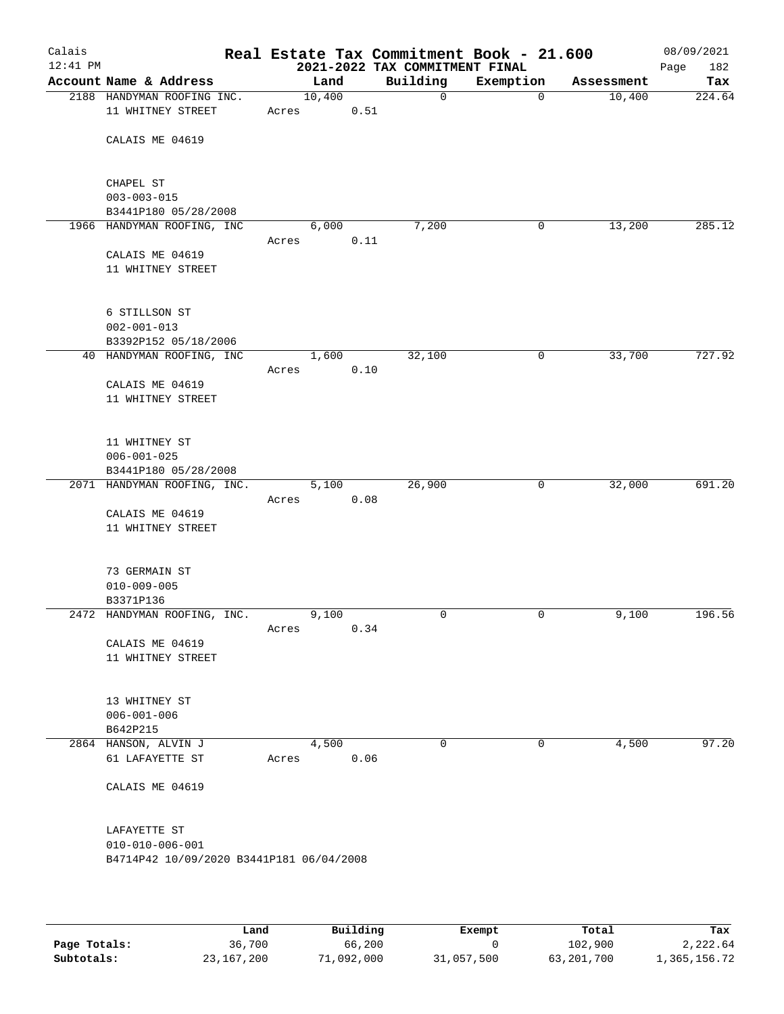| Calais<br>$12:41$ PM |                                                                                     |       |        |      | Real Estate Tax Commitment Book - 21.600<br>2021-2022 TAX COMMITMENT FINAL |             |            | 08/09/2021<br>182<br>Page |
|----------------------|-------------------------------------------------------------------------------------|-------|--------|------|----------------------------------------------------------------------------|-------------|------------|---------------------------|
|                      | Account Name & Address                                                              |       | Land   |      | Building                                                                   | Exemption   | Assessment | Tax                       |
|                      | 2188 HANDYMAN ROOFING INC.<br>11 WHITNEY STREET                                     | Acres | 10,400 | 0.51 | $\mathsf{O}$                                                               | $\mathbf 0$ | 10,400     | 224.64                    |
|                      | CALAIS ME 04619                                                                     |       |        |      |                                                                            |             |            |                           |
|                      | CHAPEL ST<br>$003 - 003 - 015$<br>B3441P180 05/28/2008                              |       |        |      |                                                                            |             |            |                           |
|                      | 1966 HANDYMAN ROOFING, INC                                                          |       | 6,000  |      | 7,200                                                                      | 0           | 13,200     | 285.12                    |
|                      | CALAIS ME 04619<br>11 WHITNEY STREET                                                | Acres |        | 0.11 |                                                                            |             |            |                           |
|                      | 6 STILLSON ST<br>$002 - 001 - 013$<br>B3392P152 05/18/2006                          |       |        |      |                                                                            |             |            |                           |
|                      | 40 HANDYMAN ROOFING, INC                                                            |       | 1,600  |      | 32,100                                                                     | 0           | 33,700     | 727.92                    |
|                      | CALAIS ME 04619<br>11 WHITNEY STREET                                                | Acres |        | 0.10 |                                                                            |             |            |                           |
|                      | 11 WHITNEY ST<br>$006 - 001 - 025$<br>B3441P180 05/28/2008                          |       |        |      |                                                                            |             |            |                           |
|                      | 2071 HANDYMAN ROOFING, INC.                                                         |       | 5,100  |      | 26,900                                                                     | 0           | 32,000     | 691.20                    |
|                      | CALAIS ME 04619<br>11 WHITNEY STREET                                                | Acres |        | 0.08 |                                                                            |             |            |                           |
|                      | 73 GERMAIN ST<br>$010 - 009 - 005$<br>B3371P136                                     |       |        |      |                                                                            |             |            |                           |
|                      | 2472 HANDYMAN ROOFING, INC.                                                         |       | 9,100  |      | 0                                                                          | 0           | 9,100      | 196.56                    |
|                      | CALAIS ME 04619<br>11 WHITNEY STREET                                                | Acres |        | 0.34 |                                                                            |             |            |                           |
|                      | 13 WHITNEY ST<br>$006 - 001 - 006$<br>B642P215                                      |       |        |      |                                                                            |             |            |                           |
|                      | 2864 HANSON, ALVIN J                                                                |       | 4,500  |      | $\Omega$                                                                   | 0           | 4,500      | 97.20                     |
|                      | 61 LAFAYETTE ST                                                                     | Acres |        | 0.06 |                                                                            |             |            |                           |
|                      | CALAIS ME 04619                                                                     |       |        |      |                                                                            |             |            |                           |
|                      | LAFAYETTE ST<br>$010 - 010 - 006 - 001$<br>B4714P42 10/09/2020 B3441P181 06/04/2008 |       |        |      |                                                                            |             |            |                           |
|                      |                                                                                     |       |        |      |                                                                            |             |            |                           |

|              | Land       | Building   | Exempt     | Total      | Tax          |
|--------------|------------|------------|------------|------------|--------------|
| Page Totals: | 36,700     | 66,200     |            | 102,900    | 2,222.64     |
| Subtotals:   | 23,167,200 | 71,092,000 | 31,057,500 | 63,201,700 | 1,365,156.72 |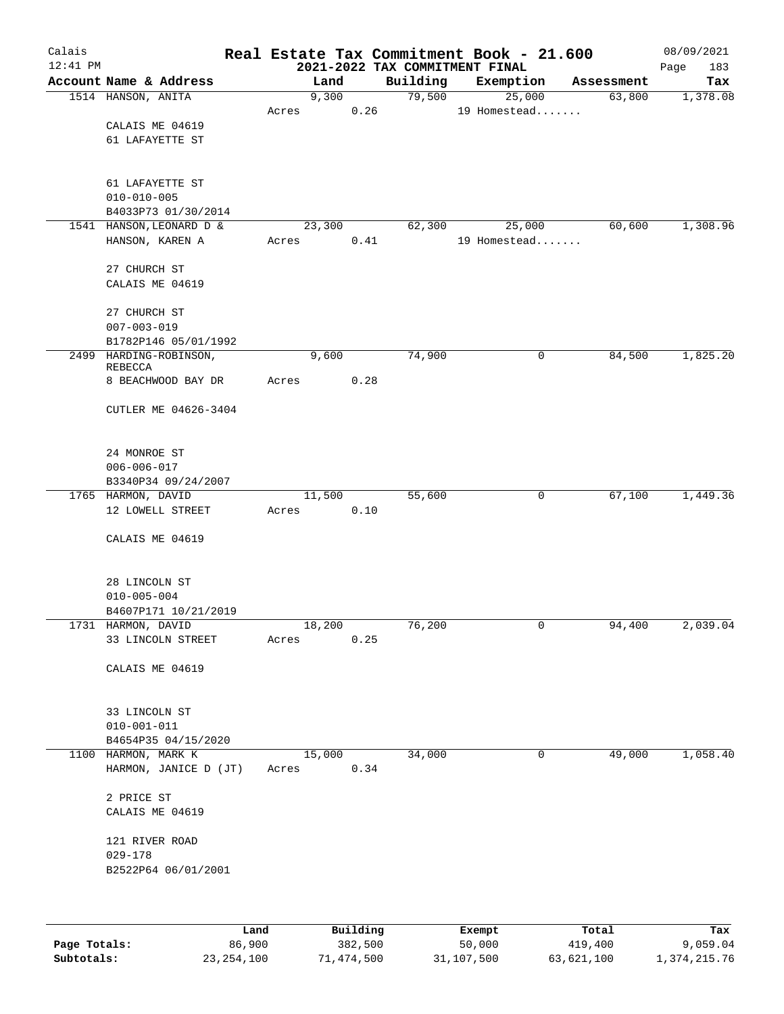| Calais<br>$12:41$ PM |                                          |             |       |                        |      |          | Real Estate Tax Commitment Book - 21.600<br>2021-2022 TAX COMMITMENT FINAL |             |            | 08/09/2021<br>Page<br>183 |
|----------------------|------------------------------------------|-------------|-------|------------------------|------|----------|----------------------------------------------------------------------------|-------------|------------|---------------------------|
|                      | Account Name & Address                   |             |       | Land                   |      | Building | Exemption                                                                  |             | Assessment | Tax                       |
|                      | 1514 HANSON, ANITA                       |             |       | 9,300                  |      | 79,500   | 25,000                                                                     |             | 63,800     | 1,378.08                  |
|                      |                                          |             | Acres |                        | 0.26 |          | 19 Homestead                                                               |             |            |                           |
|                      | CALAIS ME 04619                          |             |       |                        |      |          |                                                                            |             |            |                           |
|                      | 61 LAFAYETTE ST                          |             |       |                        |      |          |                                                                            |             |            |                           |
|                      |                                          |             |       |                        |      |          |                                                                            |             |            |                           |
|                      |                                          |             |       |                        |      |          |                                                                            |             |            |                           |
|                      | 61 LAFAYETTE ST                          |             |       |                        |      |          |                                                                            |             |            |                           |
|                      | $010 - 010 - 005$                        |             |       |                        |      |          |                                                                            |             |            |                           |
|                      | B4033P73 01/30/2014                      |             |       |                        |      |          |                                                                            |             |            |                           |
|                      | 1541 HANSON, LEONARD D &                 |             |       | 23,300                 |      | 62,300   | 25,000                                                                     |             | 60,600     | 1,308.96                  |
|                      | HANSON, KAREN A                          |             | Acres |                        | 0.41 |          | 19 Homestead                                                               |             |            |                           |
|                      |                                          |             |       |                        |      |          |                                                                            |             |            |                           |
|                      | 27 CHURCH ST                             |             |       |                        |      |          |                                                                            |             |            |                           |
|                      | CALAIS ME 04619                          |             |       |                        |      |          |                                                                            |             |            |                           |
|                      | 27 CHURCH ST                             |             |       |                        |      |          |                                                                            |             |            |                           |
|                      | $007 - 003 - 019$                        |             |       |                        |      |          |                                                                            |             |            |                           |
|                      | B1782P146 05/01/1992                     |             |       |                        |      |          |                                                                            |             |            |                           |
|                      | 2499 HARDING-ROBINSON,                   |             |       | 9,600                  |      | 74,900   |                                                                            | $\mathbf 0$ | 84,500     | 1,825.20                  |
|                      | <b>REBECCA</b>                           |             |       |                        |      |          |                                                                            |             |            |                           |
|                      | 8 BEACHWOOD BAY DR                       |             | Acres | 0.28                   |      |          |                                                                            |             |            |                           |
|                      |                                          |             |       |                        |      |          |                                                                            |             |            |                           |
|                      | CUTLER ME 04626-3404                     |             |       |                        |      |          |                                                                            |             |            |                           |
|                      |                                          |             |       |                        |      |          |                                                                            |             |            |                           |
|                      |                                          |             |       |                        |      |          |                                                                            |             |            |                           |
|                      | 24 MONROE ST                             |             |       |                        |      |          |                                                                            |             |            |                           |
|                      | $006 - 006 - 017$<br>B3340P34 09/24/2007 |             |       |                        |      |          |                                                                            |             |            |                           |
|                      | 1765 HARMON, DAVID                       |             |       | 11,500                 |      | 55,600   |                                                                            | 0           | 67,100     | 1,449.36                  |
|                      | 12 LOWELL STREET                         |             | Acres | 0.10                   |      |          |                                                                            |             |            |                           |
|                      |                                          |             |       |                        |      |          |                                                                            |             |            |                           |
|                      | CALAIS ME 04619                          |             |       |                        |      |          |                                                                            |             |            |                           |
|                      |                                          |             |       |                        |      |          |                                                                            |             |            |                           |
|                      |                                          |             |       |                        |      |          |                                                                            |             |            |                           |
|                      | 28 LINCOLN ST                            |             |       |                        |      |          |                                                                            |             |            |                           |
|                      | $010 - 005 - 004$                        |             |       |                        |      |          |                                                                            |             |            |                           |
|                      | B4607P171 10/21/2019                     |             |       |                        |      |          |                                                                            |             |            |                           |
|                      | 1731 HARMON, DAVID                       |             |       | 18,200                 |      | 76,200   |                                                                            | 0           | 94,400     | 2,039.04                  |
|                      | 33 LINCOLN STREET                        |             | Acres |                        | 0.25 |          |                                                                            |             |            |                           |
|                      |                                          |             |       |                        |      |          |                                                                            |             |            |                           |
|                      | CALAIS ME 04619                          |             |       |                        |      |          |                                                                            |             |            |                           |
|                      |                                          |             |       |                        |      |          |                                                                            |             |            |                           |
|                      | 33 LINCOLN ST                            |             |       |                        |      |          |                                                                            |             |            |                           |
|                      | $010 - 001 - 011$                        |             |       |                        |      |          |                                                                            |             |            |                           |
|                      | B4654P35 04/15/2020                      |             |       |                        |      |          |                                                                            |             |            |                           |
|                      | 1100 HARMON, MARK K                      |             |       | 15,000                 |      | 34,000   |                                                                            | 0           | 49,000     | 1,058.40                  |
|                      | HARMON, JANICE D (JT)                    |             | Acres |                        | 0.34 |          |                                                                            |             |            |                           |
|                      |                                          |             |       |                        |      |          |                                                                            |             |            |                           |
|                      | 2 PRICE ST                               |             |       |                        |      |          |                                                                            |             |            |                           |
|                      | CALAIS ME 04619                          |             |       |                        |      |          |                                                                            |             |            |                           |
|                      |                                          |             |       |                        |      |          |                                                                            |             |            |                           |
|                      | 121 RIVER ROAD                           |             |       |                        |      |          |                                                                            |             |            |                           |
|                      | $029 - 178$                              |             |       |                        |      |          |                                                                            |             |            |                           |
|                      | B2522P64 06/01/2001                      |             |       |                        |      |          |                                                                            |             |            |                           |
|                      |                                          |             |       |                        |      |          |                                                                            |             |            |                           |
|                      |                                          |             |       |                        |      |          |                                                                            |             |            |                           |
|                      |                                          |             |       |                        |      |          |                                                                            |             |            |                           |
|                      |                                          | <b>Tond</b> |       | $D_{11}$ in $A$ in $A$ |      |          | <b>Duramnt</b>                                                             |             | $T - 1$    | п.,                       |

|              | Land         | Building   | Exempt     | Total      | Tax          |
|--------------|--------------|------------|------------|------------|--------------|
| Page Totals: | 86,900       | 382,500    | 50,000     | 419,400    | 9,059.04     |
| Subtotals:   | 23, 254, 100 | 71,474,500 | 31,107,500 | 63,621,100 | 1,374,215.76 |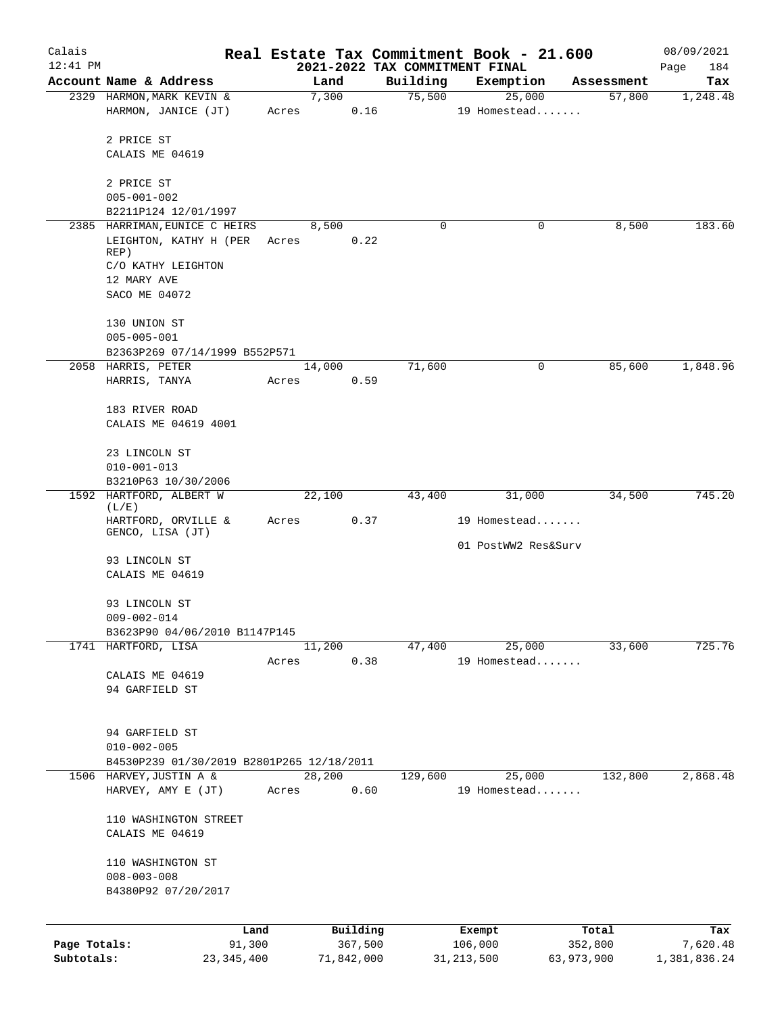| Calais       |                                                               |                |                     |                                            | Real Estate Tax Commitment Book - 21.600 |                      | 08/09/2021      |
|--------------|---------------------------------------------------------------|----------------|---------------------|--------------------------------------------|------------------------------------------|----------------------|-----------------|
| $12:41$ PM   | Account Name & Address                                        |                | Land                | 2021-2022 TAX COMMITMENT FINAL<br>Building |                                          |                      | Page<br>184     |
|              | 2329 HARMON, MARK KEVIN &                                     |                | 7,300               | 75,500                                     | Exemption<br>25,000                      | Assessment<br>57,800 | Tax<br>1,248.48 |
|              | HARMON, JANICE (JT)                                           | Acres          |                     | 0.16                                       | 19 Homestead                             |                      |                 |
|              | 2 PRICE ST<br>CALAIS ME 04619                                 |                |                     |                                            |                                          |                      |                 |
|              | 2 PRICE ST<br>$005 - 001 - 002$                               |                |                     |                                            |                                          |                      |                 |
|              | B2211P124 12/01/1997                                          |                |                     |                                            |                                          |                      |                 |
|              | 2385 HARRIMAN, EUNICE C HEIRS                                 |                | 8,500               | 0                                          | 0                                        | 8,500                | 183.60          |
|              | LEIGHTON, KATHY H (PER<br>REP)                                | Acres          |                     | 0.22                                       |                                          |                      |                 |
|              | C/O KATHY LEIGHTON<br>12 MARY AVE                             |                |                     |                                            |                                          |                      |                 |
|              | SACO ME 04072                                                 |                |                     |                                            |                                          |                      |                 |
|              | 130 UNION ST<br>$005 - 005 - 001$                             |                |                     |                                            |                                          |                      |                 |
|              | B2363P269 07/14/1999 B552P571                                 |                |                     |                                            |                                          |                      |                 |
|              | 2058 HARRIS, PETER                                            |                | 14,000              | 71,600                                     | 0                                        | 85,600               | 1,848.96        |
|              | HARRIS, TANYA                                                 | Acres          |                     | 0.59                                       |                                          |                      |                 |
|              | 183 RIVER ROAD                                                |                |                     |                                            |                                          |                      |                 |
|              | CALAIS ME 04619 4001                                          |                |                     |                                            |                                          |                      |                 |
|              | 23 LINCOLN ST                                                 |                |                     |                                            |                                          |                      |                 |
|              | $010 - 001 - 013$<br>B3210P63 10/30/2006                      |                |                     |                                            |                                          |                      |                 |
|              | 1592 HARTFORD, ALBERT W                                       |                | 22,100              | 43,400                                     | 31,000                                   | 34,500               | 745.20          |
|              | (L/E)<br>HARTFORD, ORVILLE &                                  | Acres          |                     | 0.37                                       | 19 Homestead                             |                      |                 |
|              | GENCO, LISA (JT)                                              |                |                     |                                            | 01 PostWW2 Res&Surv                      |                      |                 |
|              | 93 LINCOLN ST<br>CALAIS ME 04619                              |                |                     |                                            |                                          |                      |                 |
|              | 93 LINCOLN ST                                                 |                |                     |                                            |                                          |                      |                 |
|              | $009 - 002 - 014$<br>B3623P90 04/06/2010 B1147P145            |                |                     |                                            |                                          |                      |                 |
|              | 1741 HARTFORD, LISA                                           |                | 11,200              | 47,400                                     | 25,000                                   | 33,600               | 725.76          |
|              |                                                               | Acres          |                     | 0.38                                       | 19 Homestead                             |                      |                 |
|              | CALAIS ME 04619<br>94 GARFIELD ST                             |                |                     |                                            |                                          |                      |                 |
|              | 94 GARFIELD ST<br>$010 - 002 - 005$                           |                |                     |                                            |                                          |                      |                 |
|              | B4530P239 01/30/2019 B2801P265 12/18/2011                     |                |                     |                                            |                                          |                      |                 |
|              | 1506 HARVEY, JUSTIN A &<br>HARVEY, AMY E (JT)                 | Acres          | 28,200              | 129,600<br>0.60                            | 25,000<br>19 Homestead                   | 132,800              | 2,868.48        |
|              | 110 WASHINGTON STREET<br>CALAIS ME 04619                      |                |                     |                                            |                                          |                      |                 |
|              | 110 WASHINGTON ST<br>$008 - 003 - 008$<br>B4380P92 07/20/2017 |                |                     |                                            |                                          |                      |                 |
|              |                                                               |                |                     |                                            |                                          |                      |                 |
| Page Totals: |                                                               | Land<br>91,300 | Building<br>367,500 |                                            | Exempt<br>106,000                        | Total<br>352,800     | Tax<br>7,620.48 |
| Subtotals:   |                                                               | 23,345,400     | 71,842,000          |                                            | 31, 213, 500                             | 63,973,900           | 1,381,836.24    |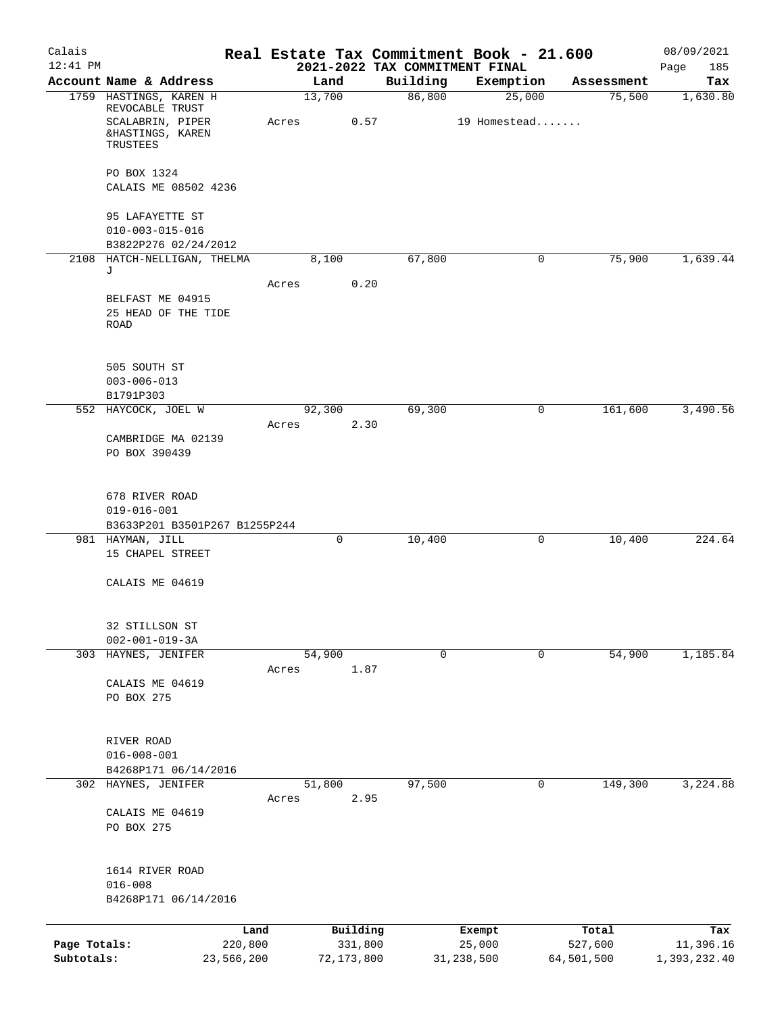| Calais                     |                                                                     |                       |                |          |                    | Real Estate Tax Commitment Book - 21.600 |                       | 08/09/2021                |
|----------------------------|---------------------------------------------------------------------|-----------------------|----------------|----------|--------------------|------------------------------------------|-----------------------|---------------------------|
| $12:41$ PM                 |                                                                     |                       |                |          |                    | 2021-2022 TAX COMMITMENT FINAL           |                       | 185<br>Page               |
|                            | Account Name & Address<br>1759 HASTINGS, KAREN H                    |                       | Land<br>13,700 |          | Building<br>86,800 | Exemption<br>25,000                      | Assessment<br>75,500  | Tax<br>1,630.80           |
|                            | REVOCABLE TRUST<br>SCALABRIN, PIPER<br>&HASTINGS, KAREN<br>TRUSTEES |                       | Acres          | 0.57     |                    | 19 Homestead                             |                       |                           |
|                            | PO BOX 1324<br>CALAIS ME 08502 4236                                 |                       |                |          |                    |                                          |                       |                           |
|                            | 95 LAFAYETTE ST<br>$010 - 003 - 015 - 016$<br>B3822P276 02/24/2012  |                       |                |          |                    |                                          |                       |                           |
|                            | 2108 HATCH-NELLIGAN, THELMA                                         |                       | 8,100          |          | 67,800             | 0                                        | 75,900                | 1,639.44                  |
|                            | J                                                                   |                       | Acres          | 0.20     |                    |                                          |                       |                           |
|                            | BELFAST ME 04915<br>25 HEAD OF THE TIDE<br><b>ROAD</b>              |                       |                |          |                    |                                          |                       |                           |
|                            | 505 SOUTH ST<br>$003 - 006 - 013$<br>B1791P303                      |                       |                |          |                    |                                          |                       |                           |
|                            | 552 HAYCOCK, JOEL W                                                 |                       | 92,300         |          | 69,300             | 0                                        | 161,600               | 3,490.56                  |
|                            | CAMBRIDGE MA 02139<br>PO BOX 390439                                 |                       | Acres          | 2.30     |                    |                                          |                       |                           |
|                            | 678 RIVER ROAD<br>$019 - 016 - 001$                                 |                       |                |          |                    |                                          |                       |                           |
|                            | B3633P201 B3501P267 B1255P244<br>981 HAYMAN, JILL                   |                       | 0              |          | 10,400             | 0                                        | 10,400                | 224.64                    |
|                            | 15 CHAPEL STREET                                                    |                       |                |          |                    |                                          |                       |                           |
|                            | CALAIS ME 04619                                                     |                       |                |          |                    |                                          |                       |                           |
|                            | 32 STILLSON ST<br>$002 - 001 - 019 - 3A$                            |                       |                |          |                    |                                          |                       |                           |
| 303                        | HAYNES, JENIFER                                                     |                       | 54,900         |          | 0                  | 0                                        | 54,900                | 1,185.84                  |
|                            | CALAIS ME 04619<br>PO BOX 275                                       |                       | Acres          | 1.87     |                    |                                          |                       |                           |
|                            | RIVER ROAD<br>$016 - 008 - 001$<br>B4268P171 06/14/2016             |                       |                |          |                    |                                          |                       |                           |
|                            | 302 HAYNES, JENIFER                                                 |                       | 51,800         |          | 97,500             | 0                                        | 149,300               | 3,224.88                  |
|                            | CALAIS ME 04619<br>PO BOX 275                                       |                       | Acres          | 2.95     |                    |                                          |                       |                           |
|                            | 1614 RIVER ROAD<br>$016 - 008$<br>B4268P171 06/14/2016              |                       |                |          |                    |                                          |                       |                           |
|                            |                                                                     | Land                  |                | Building |                    | Exempt                                   | Total                 | Tax                       |
| Page Totals:<br>Subtotals: |                                                                     | 220,800<br>23,566,200 | 72,173,800     | 331,800  |                    | 25,000<br>31,238,500                     | 527,600<br>64,501,500 | 11,396.16<br>1,393,232.40 |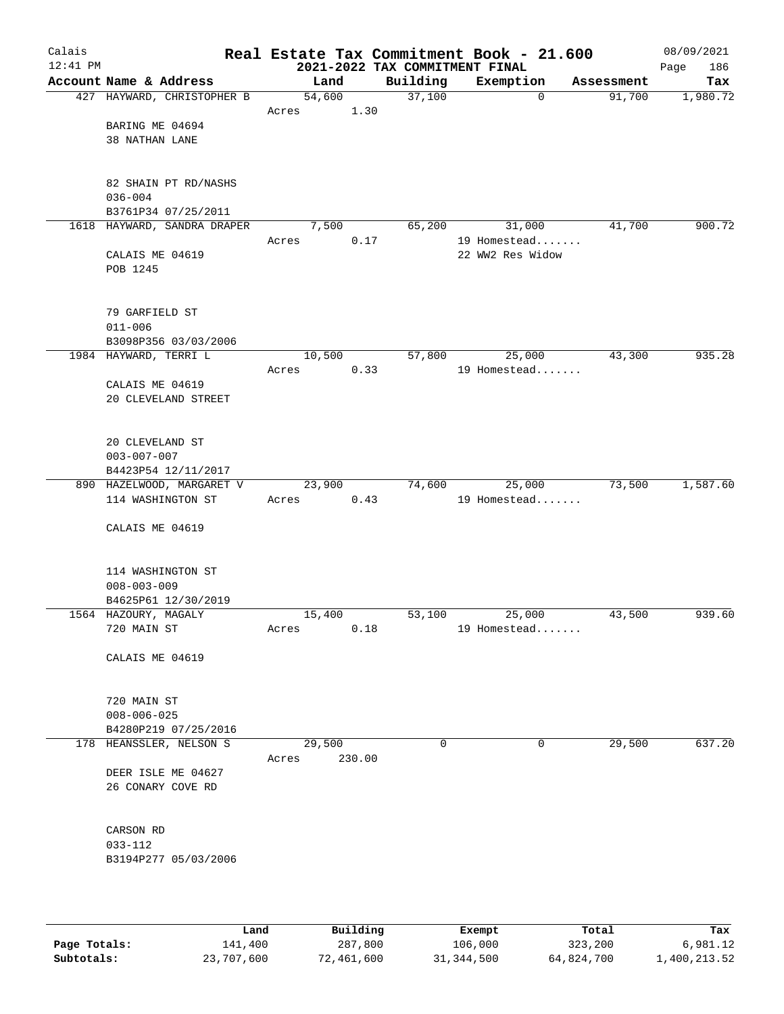| Calais<br>$12:41$ PM |                                      |                 |        | 2021-2022 TAX COMMITMENT FINAL | Real Estate Tax Commitment Book - 21.600 |            | 08/09/2021<br>186<br>Page |
|----------------------|--------------------------------------|-----------------|--------|--------------------------------|------------------------------------------|------------|---------------------------|
|                      | Account Name & Address               | Land            |        | Building                       | Exemption                                | Assessment | Tax                       |
|                      | 427 HAYWARD, CHRISTOPHER B           | 54,600          |        | 37,100                         | $\mathbf 0$                              | 91,700     | 1,980.72                  |
|                      |                                      | Acres           | 1.30   |                                |                                          |            |                           |
|                      | BARING ME 04694                      |                 |        |                                |                                          |            |                           |
|                      | 38 NATHAN LANE                       |                 |        |                                |                                          |            |                           |
|                      |                                      |                 |        |                                |                                          |            |                           |
|                      |                                      |                 |        |                                |                                          |            |                           |
|                      | 82 SHAIN PT RD/NASHS                 |                 |        |                                |                                          |            |                           |
|                      | $036 - 004$                          |                 |        |                                |                                          |            |                           |
|                      | B3761P34 07/25/2011                  |                 |        |                                |                                          |            |                           |
|                      | 1618 HAYWARD, SANDRA DRAPER          | 7,500           |        | 65,200                         | 31,000                                   | 41,700     | 900.72                    |
|                      | CALAIS ME 04619                      | Acres           | 0.17   |                                | 19 Homestead<br>22 WW2 Res Widow         |            |                           |
|                      | POB 1245                             |                 |        |                                |                                          |            |                           |
|                      |                                      |                 |        |                                |                                          |            |                           |
|                      |                                      |                 |        |                                |                                          |            |                           |
|                      | 79 GARFIELD ST                       |                 |        |                                |                                          |            |                           |
|                      | $011 - 006$                          |                 |        |                                |                                          |            |                           |
|                      | B3098P356 03/03/2006                 |                 |        |                                |                                          |            |                           |
|                      | 1984 HAYWARD, TERRI L                | 10,500          |        | 57,800                         | 25,000                                   | 43,300     | 935.28                    |
|                      |                                      | Acres           | 0.33   |                                | 19 Homestead                             |            |                           |
|                      | CALAIS ME 04619                      |                 |        |                                |                                          |            |                           |
|                      | 20 CLEVELAND STREET                  |                 |        |                                |                                          |            |                           |
|                      |                                      |                 |        |                                |                                          |            |                           |
|                      |                                      |                 |        |                                |                                          |            |                           |
|                      | 20 CLEVELAND ST<br>$003 - 007 - 007$ |                 |        |                                |                                          |            |                           |
|                      | B4423P54 12/11/2017                  |                 |        |                                |                                          |            |                           |
|                      | 890 HAZELWOOD, MARGARET V            | 23,900          |        | 74,600                         | 25,000                                   | 73,500     | 1,587.60                  |
|                      | 114 WASHINGTON ST                    | Acres           | 0.43   |                                | 19 Homestead                             |            |                           |
|                      |                                      |                 |        |                                |                                          |            |                           |
|                      | CALAIS ME 04619                      |                 |        |                                |                                          |            |                           |
|                      |                                      |                 |        |                                |                                          |            |                           |
|                      |                                      |                 |        |                                |                                          |            |                           |
|                      | 114 WASHINGTON ST                    |                 |        |                                |                                          |            |                           |
|                      | $008 - 003 - 009$                    |                 |        |                                |                                          |            |                           |
|                      | B4625P61 12/30/2019                  |                 |        |                                |                                          |            |                           |
|                      | 1564 HAZOURY, MAGALY<br>720 MAIN ST  | 15,400<br>Acres | 0.18   | 53,100                         | 25,000<br>19 Homestead                   | 43,500     | 939.60                    |
|                      |                                      |                 |        |                                |                                          |            |                           |
|                      | CALAIS ME 04619                      |                 |        |                                |                                          |            |                           |
|                      |                                      |                 |        |                                |                                          |            |                           |
|                      |                                      |                 |        |                                |                                          |            |                           |
|                      | 720 MAIN ST                          |                 |        |                                |                                          |            |                           |
|                      | $008 - 006 - 025$                    |                 |        |                                |                                          |            |                           |
|                      | B4280P219 07/25/2016                 |                 |        |                                |                                          |            |                           |
|                      | 178 HEANSSLER, NELSON S              | 29,500          |        | 0                              | 0                                        | 29,500     | 637.20                    |
|                      |                                      | Acres           | 230.00 |                                |                                          |            |                           |
|                      | DEER ISLE ME 04627                   |                 |        |                                |                                          |            |                           |
|                      | 26 CONARY COVE RD                    |                 |        |                                |                                          |            |                           |
|                      |                                      |                 |        |                                |                                          |            |                           |
|                      | CARSON RD                            |                 |        |                                |                                          |            |                           |
|                      | $033 - 112$                          |                 |        |                                |                                          |            |                           |
|                      | B3194P277 05/03/2006                 |                 |        |                                |                                          |            |                           |
|                      |                                      |                 |        |                                |                                          |            |                           |
|                      |                                      |                 |        |                                |                                          |            |                           |
|                      |                                      |                 |        |                                |                                          |            |                           |

|              | Land       | Building   | Exempt     | Total      | Tax          |
|--------------|------------|------------|------------|------------|--------------|
| Page Totals: | 141,400    | 287,800    | 106,000    | 323,200    | 6,981.12     |
| Subtotals:   | 23,707,600 | 72,461,600 | 31,344,500 | 64,824,700 | 1,400,213.52 |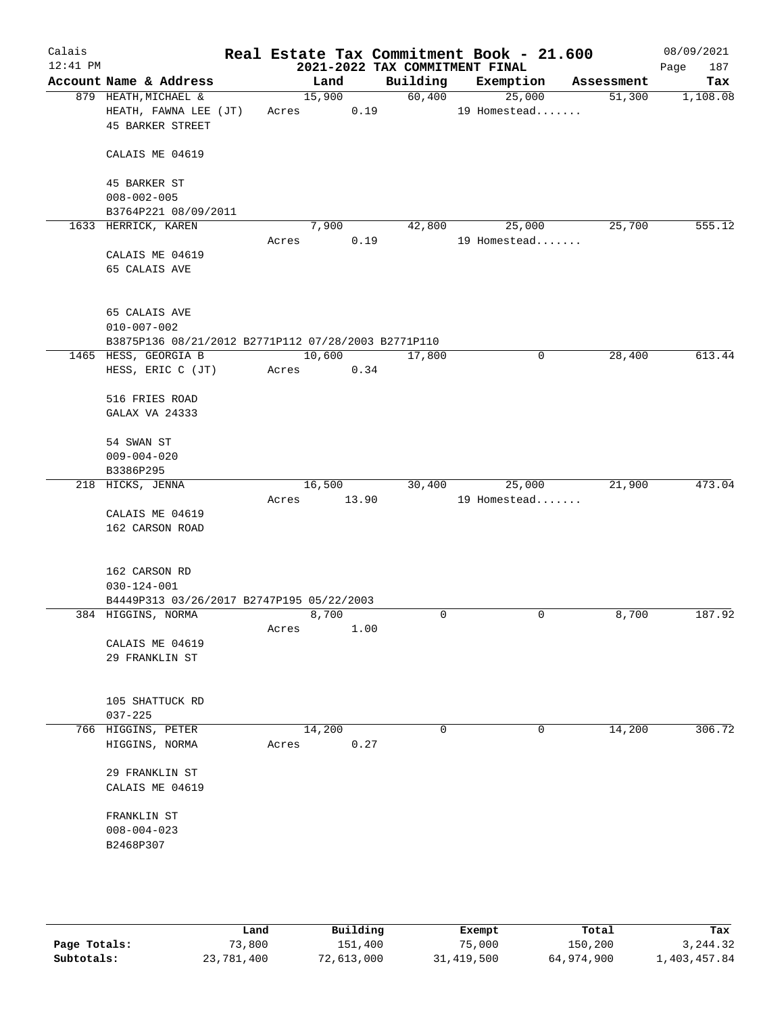| Calais<br>$12:41$ PM |                                                                                           |       |                 |          | 2021-2022 TAX COMMITMENT FINAL | Real Estate Tax Commitment Book - 21.600 |            | 08/09/2021<br>187<br>Page |
|----------------------|-------------------------------------------------------------------------------------------|-------|-----------------|----------|--------------------------------|------------------------------------------|------------|---------------------------|
|                      | Account Name & Address                                                                    |       | Land            | Building |                                | Exemption                                | Assessment | Tax                       |
|                      | 879 HEATH, MICHAEL &<br>HEATH, FAWNA LEE (JT)<br><b>45 BARKER STREET</b>                  | Acres | 15,900<br>0.19  | 60,400   |                                | 25,000<br>19 Homestead                   | 51,300     | 1,108.08                  |
|                      | CALAIS ME 04619                                                                           |       |                 |          |                                |                                          |            |                           |
|                      | 45 BARKER ST<br>$008 - 002 - 005$                                                         |       |                 |          |                                |                                          |            |                           |
|                      | B3764P221 08/09/2011                                                                      |       |                 |          |                                |                                          |            |                           |
|                      | 1633 HERRICK, KAREN                                                                       |       | 7,900           | 42,800   |                                | 25,000                                   | 25,700     | 555.12                    |
|                      | CALAIS ME 04619<br>65 CALAIS AVE                                                          | Acres | 0.19            |          |                                | 19 Homestead                             |            |                           |
|                      | 65 CALAIS AVE<br>$010 - 007 - 002$<br>B3875P136 08/21/2012 B2771P112 07/28/2003 B2771P110 |       |                 |          |                                |                                          |            |                           |
|                      | 1465 HESS, GEORGIA B                                                                      |       | 10,600          | 17,800   |                                | 0                                        | 28,400     | 613.44                    |
|                      | HESS, ERIC C (JT)                                                                         | Acres | 0.34            |          |                                |                                          |            |                           |
|                      | 516 FRIES ROAD<br>GALAX VA 24333                                                          |       |                 |          |                                |                                          |            |                           |
|                      | 54 SWAN ST<br>$009 - 004 - 020$                                                           |       |                 |          |                                |                                          |            |                           |
|                      | B3386P295                                                                                 |       |                 |          |                                |                                          |            |                           |
|                      | 218 HICKS, JENNA                                                                          | Acres | 16,500<br>13.90 | 30,400   |                                | 25,000<br>19 Homestead                   | 21,900     | 473.04                    |
|                      | CALAIS ME 04619<br>162 CARSON ROAD                                                        |       |                 |          |                                |                                          |            |                           |
|                      | 162 CARSON RD                                                                             |       |                 |          |                                |                                          |            |                           |
|                      | $030 - 124 - 001$                                                                         |       |                 |          |                                |                                          |            |                           |
|                      | B4449P313 03/26/2017 B2747P195 05/22/2003<br>384 HIGGINS, NORMA                           |       | 8,700           | 0        |                                | 0                                        | 8,700      | 187.92                    |
|                      |                                                                                           | Acres | 1.00            |          |                                |                                          |            |                           |
|                      | CALAIS ME 04619<br>29 FRANKLIN ST                                                         |       |                 |          |                                |                                          |            |                           |
|                      | 105 SHATTUCK RD<br>$037 - 225$                                                            |       |                 |          |                                |                                          |            |                           |
|                      | 766 HIGGINS, PETER                                                                        |       | 14,200          | 0        |                                | 0                                        | 14,200     | 306.72                    |
|                      | HIGGINS, NORMA                                                                            | Acres | 0.27            |          |                                |                                          |            |                           |
|                      | 29 FRANKLIN ST<br>CALAIS ME 04619                                                         |       |                 |          |                                |                                          |            |                           |
|                      | FRANKLIN ST<br>$008 - 004 - 023$<br>B2468P307                                             |       |                 |          |                                |                                          |            |                           |
|                      |                                                                                           |       |                 |          |                                |                                          |            |                           |
|                      |                                                                                           |       |                 |          |                                |                                          |            |                           |

|              | Land       | Building   | Exempt     | Total      | Tax          |
|--------------|------------|------------|------------|------------|--------------|
| Page Totals: | 73,800     | 151,400    | 75,000     | 150,200    | 3, 244, 32   |
| Subtotals:   | 23,781,400 | 72,613,000 | 31,419,500 | 64,974,900 | 1,403,457.84 |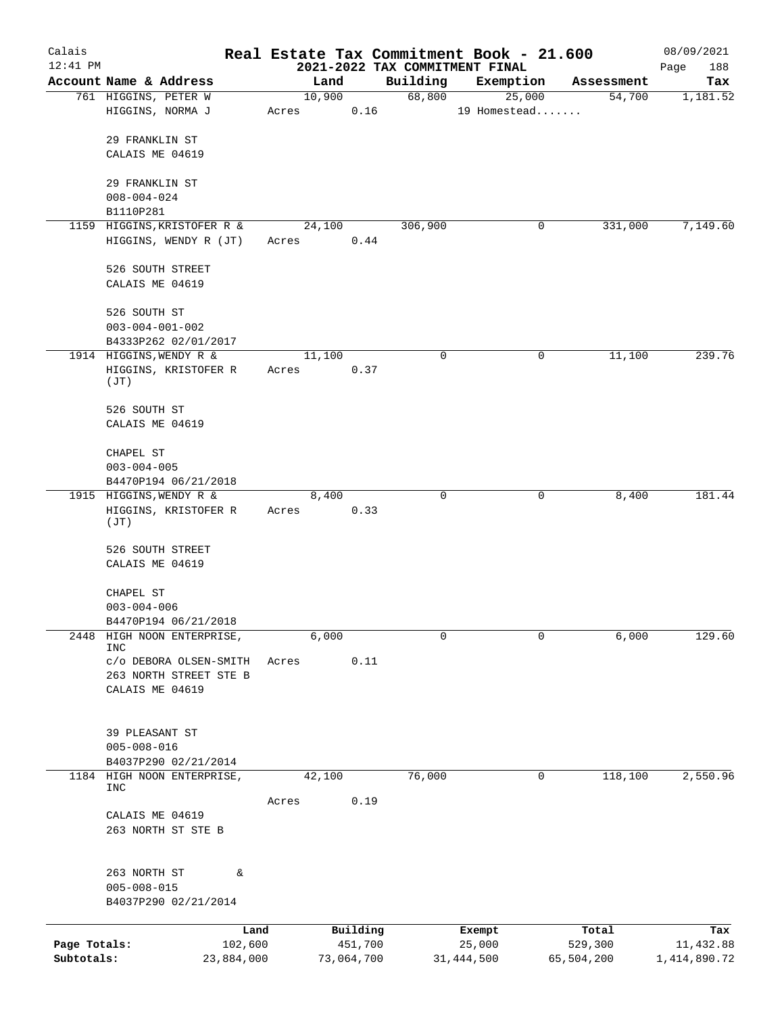| Calais       |                                                 |                 |       |                |                                | Real Estate Tax Commitment Book - 21.600 |                      | 08/09/2021       |
|--------------|-------------------------------------------------|-----------------|-------|----------------|--------------------------------|------------------------------------------|----------------------|------------------|
| $12:41$ PM   |                                                 |                 |       |                | 2021-2022 TAX COMMITMENT FINAL |                                          |                      | Page<br>188      |
|              | Account Name & Address<br>761 HIGGINS, PETER W  |                 |       | Land<br>10,900 | Building<br>68,800             | Exemption<br>25,000                      | Assessment<br>54,700 | Tax<br>1,181.52  |
|              | HIGGINS, NORMA J                                |                 | Acres | 0.16           |                                | 19 Homestead                             |                      |                  |
|              | 29 FRANKLIN ST                                  |                 |       |                |                                |                                          |                      |                  |
|              | CALAIS ME 04619                                 |                 |       |                |                                |                                          |                      |                  |
|              | 29 FRANKLIN ST                                  |                 |       |                |                                |                                          |                      |                  |
|              | $008 - 004 - 024$                               |                 |       |                |                                |                                          |                      |                  |
|              | B1110P281                                       |                 |       |                |                                |                                          |                      |                  |
|              | 1159 HIGGINS, KRISTOFER R &                     |                 |       | 24,100         | 306,900                        | 0                                        | 331,000              | 7,149.60         |
|              | HIGGINS, WENDY R (JT)                           |                 | Acres | 0.44           |                                |                                          |                      |                  |
|              | 526 SOUTH STREET                                |                 |       |                |                                |                                          |                      |                  |
|              | CALAIS ME 04619                                 |                 |       |                |                                |                                          |                      |                  |
|              | 526 SOUTH ST                                    |                 |       |                |                                |                                          |                      |                  |
|              | $003 - 004 - 001 - 002$                         |                 |       |                |                                |                                          |                      |                  |
|              | B4333P262 02/01/2017<br>1914 HIGGINS, WENDY R & |                 |       | 11,100         | 0                              | 0                                        | 11,100               | 239.76           |
|              | HIGGINS, KRISTOFER R                            |                 | Acres | 0.37           |                                |                                          |                      |                  |
|              | (JT)                                            |                 |       |                |                                |                                          |                      |                  |
|              | 526 SOUTH ST                                    |                 |       |                |                                |                                          |                      |                  |
|              | CALAIS ME 04619                                 |                 |       |                |                                |                                          |                      |                  |
|              | CHAPEL ST                                       |                 |       |                |                                |                                          |                      |                  |
|              | $003 - 004 - 005$                               |                 |       |                |                                |                                          |                      |                  |
|              | B4470P194 06/21/2018<br>1915 HIGGINS, WENDY R & |                 |       | 8,400          | 0                              | 0                                        | 8,400                | 181.44           |
|              | HIGGINS, KRISTOFER R<br>(TU)                    |                 | Acres | 0.33           |                                |                                          |                      |                  |
|              | 526 SOUTH STREET                                |                 |       |                |                                |                                          |                      |                  |
|              | CALAIS ME 04619                                 |                 |       |                |                                |                                          |                      |                  |
|              | CHAPEL ST                                       |                 |       |                |                                |                                          |                      |                  |
|              | $003 - 004 - 006$                               |                 |       |                |                                |                                          |                      |                  |
|              | B4470P194 06/21/2018                            |                 |       |                |                                |                                          |                      |                  |
| 2448         | HIGH NOON ENTERPRISE,<br><b>INC</b>             |                 |       | 6,000          | 0                              | 0                                        | 6,000                | 129.60           |
|              | c/o DEBORA OLSEN-SMITH                          |                 | Acres | 0.11           |                                |                                          |                      |                  |
|              | 263 NORTH STREET STE B                          |                 |       |                |                                |                                          |                      |                  |
|              | CALAIS ME 04619                                 |                 |       |                |                                |                                          |                      |                  |
|              |                                                 |                 |       |                |                                |                                          |                      |                  |
|              | 39 PLEASANT ST<br>$005 - 008 - 016$             |                 |       |                |                                |                                          |                      |                  |
|              | B4037P290 02/21/2014                            |                 |       |                |                                |                                          |                      |                  |
|              | 1184 HIGH NOON ENTERPRISE,                      |                 |       | 42,100         | 76,000                         | 0                                        | 118,100              | 2,550.96         |
|              | INC                                             |                 |       |                |                                |                                          |                      |                  |
|              | CALAIS ME 04619                                 |                 | Acres | 0.19           |                                |                                          |                      |                  |
|              | 263 NORTH ST STE B                              |                 |       |                |                                |                                          |                      |                  |
|              |                                                 |                 |       |                |                                |                                          |                      |                  |
|              | 263 NORTH ST<br>$005 - 008 - 015$               | &               |       |                |                                |                                          |                      |                  |
|              | B4037P290 02/21/2014                            |                 |       |                |                                |                                          |                      |                  |
|              |                                                 |                 |       | Building       |                                |                                          | Total                |                  |
| Page Totals: |                                                 | Land<br>102,600 |       | 451,700        |                                | Exempt<br>25,000                         | 529,300              | Tax<br>11,432.88 |
| Subtotals:   |                                                 | 23,884,000      |       | 73,064,700     |                                | 31, 444, 500                             | 65,504,200           | 1,414,890.72     |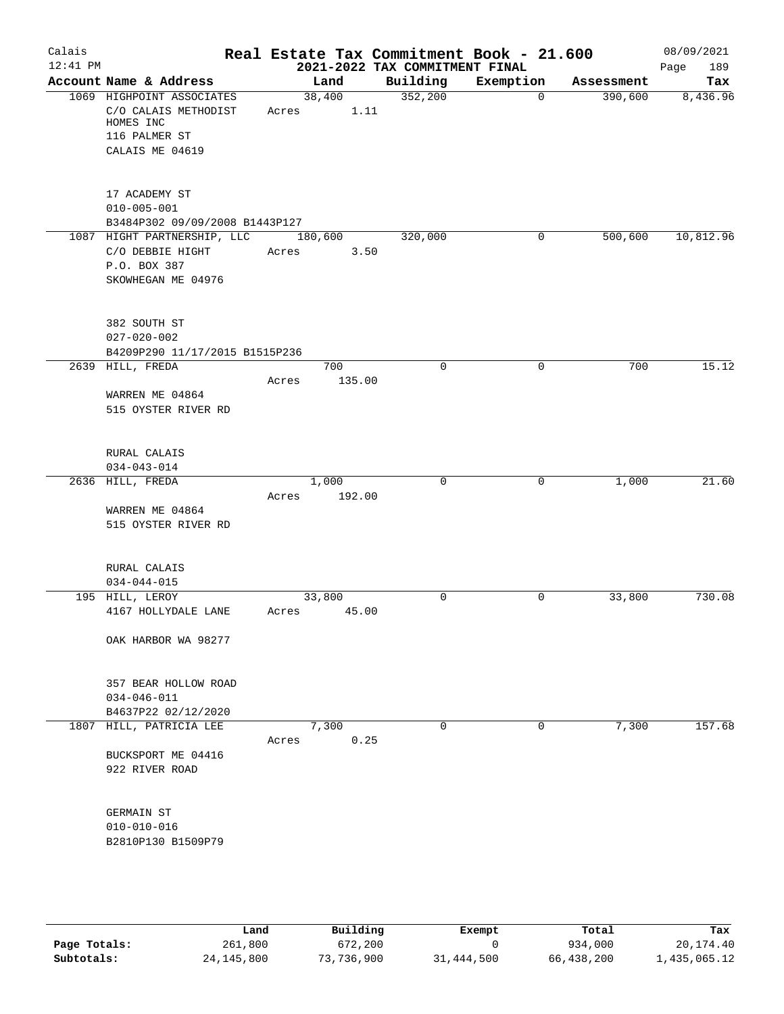| Calais     |                                      | Real Estate Tax Commitment Book - 21.600 |                                            |             |            | 08/09/2021         |
|------------|--------------------------------------|------------------------------------------|--------------------------------------------|-------------|------------|--------------------|
| $12:41$ PM | Account Name & Address               | Land                                     | 2021-2022 TAX COMMITMENT FINAL<br>Building | Exemption   | Assessment | Page<br>189<br>Tax |
|            | 1069 HIGHPOINT ASSOCIATES            | 38,400                                   | 352,200                                    | $\mathbf 0$ | 390,600    | 8,436.96           |
|            | C/O CALAIS METHODIST                 | 1.11<br>Acres                            |                                            |             |            |                    |
|            | HOMES INC                            |                                          |                                            |             |            |                    |
|            | 116 PALMER ST                        |                                          |                                            |             |            |                    |
|            | CALAIS ME 04619                      |                                          |                                            |             |            |                    |
|            |                                      |                                          |                                            |             |            |                    |
|            | 17 ACADEMY ST                        |                                          |                                            |             |            |                    |
|            | $010 - 005 - 001$                    |                                          |                                            |             |            |                    |
|            | B3484P302 09/09/2008 B1443P127       |                                          |                                            |             |            |                    |
|            | 1087 HIGHT PARTNERSHIP, LLC          | 180,600                                  | 320,000                                    | 0           | 500,600    | 10,812.96          |
|            | C/O DEBBIE HIGHT                     | 3.50<br>Acres                            |                                            |             |            |                    |
|            | P.O. BOX 387                         |                                          |                                            |             |            |                    |
|            | SKOWHEGAN ME 04976                   |                                          |                                            |             |            |                    |
|            |                                      |                                          |                                            |             |            |                    |
|            | 382 SOUTH ST                         |                                          |                                            |             |            |                    |
|            | $027 - 020 - 002$                    |                                          |                                            |             |            |                    |
|            | B4209P290 11/17/2015 B1515P236       |                                          |                                            |             |            |                    |
|            | 2639 HILL, FREDA                     | 700                                      | $\mathbf 0$                                | $\mathbf 0$ | 700        | 15.12              |
|            |                                      | 135.00<br>Acres                          |                                            |             |            |                    |
|            | WARREN ME 04864                      |                                          |                                            |             |            |                    |
|            | 515 OYSTER RIVER RD                  |                                          |                                            |             |            |                    |
|            |                                      |                                          |                                            |             |            |                    |
|            | RURAL CALAIS                         |                                          |                                            |             |            |                    |
|            | $034 - 043 - 014$                    |                                          |                                            |             |            |                    |
|            | 2636 HILL, FREDA                     | 1,000                                    | 0                                          | 0           | 1,000      | 21.60              |
|            |                                      | 192.00<br>Acres                          |                                            |             |            |                    |
|            | WARREN ME 04864                      |                                          |                                            |             |            |                    |
|            | 515 OYSTER RIVER RD                  |                                          |                                            |             |            |                    |
|            |                                      |                                          |                                            |             |            |                    |
|            | RURAL CALAIS                         |                                          |                                            |             |            |                    |
|            | $034 - 044 - 015$<br>195 HILL, LEROY | 33,800                                   | $\mathbf 0$                                | 0           | 33,800     | 730.08             |
|            | 4167 HOLLYDALE LANE                  | Acres 45.00                              |                                            |             |            |                    |
|            |                                      |                                          |                                            |             |            |                    |
|            | OAK HARBOR WA 98277                  |                                          |                                            |             |            |                    |
|            |                                      |                                          |                                            |             |            |                    |
|            | 357 BEAR HOLLOW ROAD                 |                                          |                                            |             |            |                    |
|            | $034 - 046 - 011$                    |                                          |                                            |             |            |                    |
|            | B4637P22 02/12/2020                  |                                          |                                            |             |            |                    |
|            | 1807 HILL, PATRICIA LEE              | 7,300                                    | $\mathbf 0$                                | 0           | 7,300      | 157.68             |
|            |                                      | 0.25<br>Acres                            |                                            |             |            |                    |
|            | BUCKSPORT ME 04416                   |                                          |                                            |             |            |                    |
|            | 922 RIVER ROAD                       |                                          |                                            |             |            |                    |
|            |                                      |                                          |                                            |             |            |                    |
|            | GERMAIN ST                           |                                          |                                            |             |            |                    |
|            | $010 - 010 - 016$                    |                                          |                                            |             |            |                    |
|            | B2810P130 B1509P79                   |                                          |                                            |             |            |                    |
|            |                                      |                                          |                                            |             |            |                    |
|            |                                      |                                          |                                            |             |            |                    |
|            |                                      |                                          |                                            |             |            |                    |

|              | Land         | Building   | Exempt     | Total      | Tax          |
|--------------|--------------|------------|------------|------------|--------------|
| Page Totals: | 261,800      | 672,200    |            | 934,000    | 20,174.40    |
| Subtotals:   | 24, 145, 800 | 73,736,900 | 31,444,500 | 66,438,200 | 1,435,065.12 |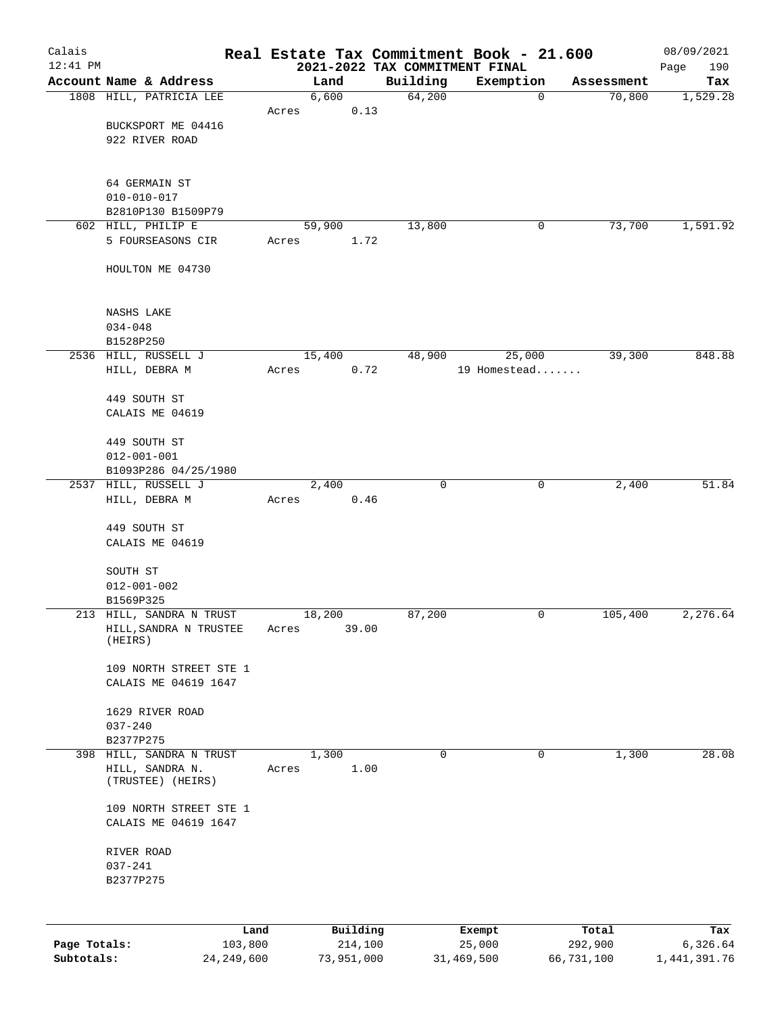| Calais                     |                                                |                         |       |                       |                                            | Real Estate Tax Commitment Book - 21.600 |                       | 08/09/2021                 |
|----------------------------|------------------------------------------------|-------------------------|-------|-----------------------|--------------------------------------------|------------------------------------------|-----------------------|----------------------------|
| $12:41$ PM                 | Account Name & Address                         |                         |       | Land                  | 2021-2022 TAX COMMITMENT FINAL<br>Building |                                          |                       | 190<br>Page                |
|                            | 1808 HILL, PATRICIA LEE                        |                         |       | 6,600                 | 64,200                                     | Exemption<br>$\mathbf 0$                 | Assessment<br>70,800  | Tax<br>1,529.28            |
|                            |                                                |                         | Acres | 0.13                  |                                            |                                          |                       |                            |
|                            | BUCKSPORT ME 04416                             |                         |       |                       |                                            |                                          |                       |                            |
|                            | 922 RIVER ROAD                                 |                         |       |                       |                                            |                                          |                       |                            |
|                            |                                                |                         |       |                       |                                            |                                          |                       |                            |
|                            |                                                |                         |       |                       |                                            |                                          |                       |                            |
|                            | 64 GERMAIN ST<br>$010 - 010 - 017$             |                         |       |                       |                                            |                                          |                       |                            |
|                            | B2810P130 B1509P79                             |                         |       |                       |                                            |                                          |                       |                            |
|                            | 602 HILL, PHILIP E                             |                         |       | 59,900                | 13,800                                     | 0                                        | 73,700                | 1,591.92                   |
|                            | 5 FOURSEASONS CIR                              |                         | Acres | 1.72                  |                                            |                                          |                       |                            |
|                            |                                                |                         |       |                       |                                            |                                          |                       |                            |
|                            | HOULTON ME 04730                               |                         |       |                       |                                            |                                          |                       |                            |
|                            |                                                |                         |       |                       |                                            |                                          |                       |                            |
|                            | <b>NASHS LAKE</b>                              |                         |       |                       |                                            |                                          |                       |                            |
|                            | $034 - 048$                                    |                         |       |                       |                                            |                                          |                       |                            |
|                            | B1528P250                                      |                         |       |                       |                                            |                                          |                       |                            |
|                            | 2536 HILL, RUSSELL J                           |                         |       | 15,400                | 48,900                                     | 25,000                                   | 39,300                | 848.88                     |
|                            | HILL, DEBRA M                                  |                         | Acres | 0.72                  |                                            | 19 Homestead                             |                       |                            |
|                            |                                                |                         |       |                       |                                            |                                          |                       |                            |
|                            | 449 SOUTH ST                                   |                         |       |                       |                                            |                                          |                       |                            |
|                            | CALAIS ME 04619                                |                         |       |                       |                                            |                                          |                       |                            |
|                            | 449 SOUTH ST                                   |                         |       |                       |                                            |                                          |                       |                            |
|                            | $012 - 001 - 001$                              |                         |       |                       |                                            |                                          |                       |                            |
|                            | B1093P286 04/25/1980                           |                         |       |                       |                                            |                                          |                       |                            |
|                            | 2537 HILL, RUSSELL J                           |                         |       | 2,400                 | $\mathbf 0$                                | $\mathbf 0$                              | 2,400                 | 51.84                      |
|                            | HILL, DEBRA M                                  |                         | Acres | 0.46                  |                                            |                                          |                       |                            |
|                            |                                                |                         |       |                       |                                            |                                          |                       |                            |
|                            | 449 SOUTH ST                                   |                         |       |                       |                                            |                                          |                       |                            |
|                            | CALAIS ME 04619                                |                         |       |                       |                                            |                                          |                       |                            |
|                            | SOUTH ST                                       |                         |       |                       |                                            |                                          |                       |                            |
|                            | $012 - 001 - 002$                              |                         |       |                       |                                            |                                          |                       |                            |
|                            | B1569P325                                      |                         |       |                       |                                            |                                          |                       |                            |
|                            | 213 HILL, SANDRA N TRUST                       |                         |       | 18,200                | 87,200                                     | 0                                        | 105,400               | 2,276.64                   |
|                            | HILL, SANDRA N TRUSTEE<br>(HEIRS)              |                         | Acres | 39.00                 |                                            |                                          |                       |                            |
|                            |                                                |                         |       |                       |                                            |                                          |                       |                            |
|                            | 109 NORTH STREET STE 1                         |                         |       |                       |                                            |                                          |                       |                            |
|                            | CALAIS ME 04619 1647                           |                         |       |                       |                                            |                                          |                       |                            |
|                            |                                                |                         |       |                       |                                            |                                          |                       |                            |
|                            | 1629 RIVER ROAD                                |                         |       |                       |                                            |                                          |                       |                            |
|                            | $037 - 240$<br>B2377P275                       |                         |       |                       |                                            |                                          |                       |                            |
|                            | 398 HILL, SANDRA N TRUST                       |                         |       | 1,300                 | $\mathbf 0$                                | $\mathbf 0$                              | 1,300                 | 28.08                      |
|                            | HILL, SANDRA N.                                |                         | Acres | 1.00                  |                                            |                                          |                       |                            |
|                            | (TRUSTEE) (HEIRS)                              |                         |       |                       |                                            |                                          |                       |                            |
|                            |                                                |                         |       |                       |                                            |                                          |                       |                            |
|                            | 109 NORTH STREET STE 1<br>CALAIS ME 04619 1647 |                         |       |                       |                                            |                                          |                       |                            |
|                            |                                                |                         |       |                       |                                            |                                          |                       |                            |
|                            | RIVER ROAD                                     |                         |       |                       |                                            |                                          |                       |                            |
|                            | $037 - 241$                                    |                         |       |                       |                                            |                                          |                       |                            |
|                            | B2377P275                                      |                         |       |                       |                                            |                                          |                       |                            |
|                            |                                                |                         |       |                       |                                            |                                          |                       |                            |
|                            |                                                |                         |       |                       |                                            |                                          |                       |                            |
|                            |                                                | Land                    |       | Building              |                                            | Exempt                                   | Total                 | Tax                        |
| Page Totals:<br>Subtotals: |                                                | 103,800<br>24, 249, 600 |       | 214,100<br>73,951,000 |                                            | 25,000<br>31,469,500                     | 292,900<br>66,731,100 | 6,326.64<br>1, 441, 391.76 |
|                            |                                                |                         |       |                       |                                            |                                          |                       |                            |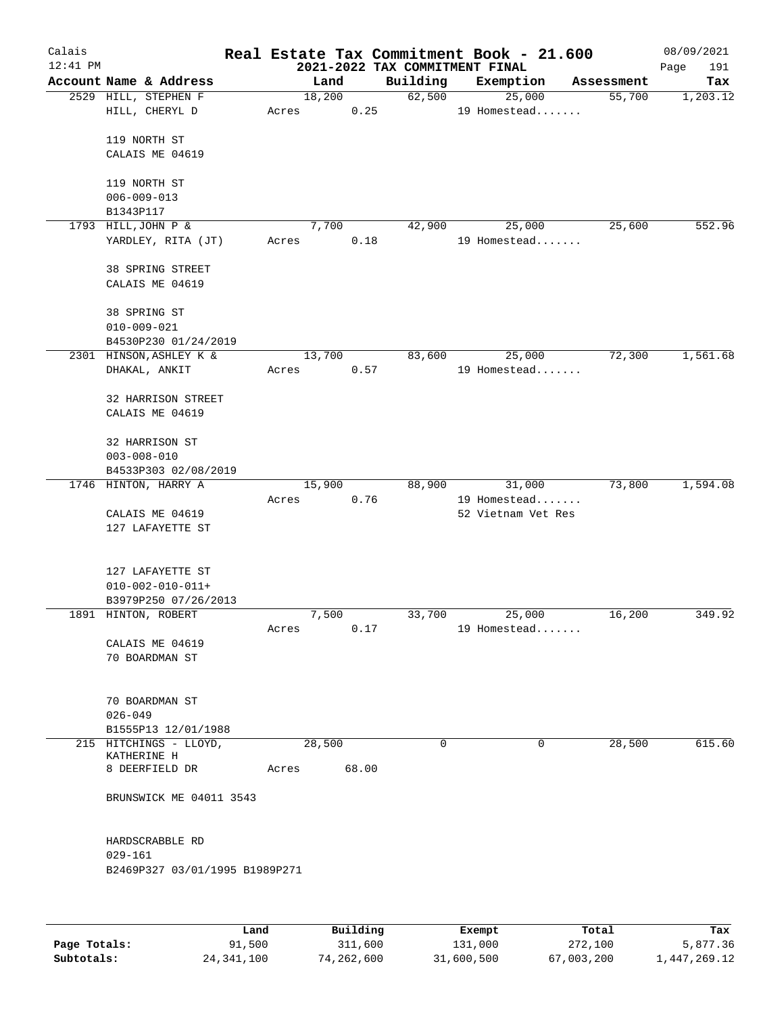| Calais<br>$12:41$ PM |                                                                       |        |                | 2021-2022 TAX COMMITMENT FINAL | Real Estate Tax Commitment Book - 21.600 |            | 08/09/2021<br>Page<br>191 |
|----------------------|-----------------------------------------------------------------------|--------|----------------|--------------------------------|------------------------------------------|------------|---------------------------|
|                      | Account Name & Address                                                |        | Land           | Building                       | Exemption                                | Assessment | Tax                       |
|                      | 2529 HILL, STEPHEN F<br>HILL, CHERYL D                                | Acres  | 18,200<br>0.25 | 62,500                         | 25,000<br>19 Homestead                   | 55,700     | 1,203.12                  |
|                      | 119 NORTH ST<br>CALAIS ME 04619                                       |        |                |                                |                                          |            |                           |
|                      | 119 NORTH ST<br>$006 - 009 - 013$                                     |        |                |                                |                                          |            |                           |
|                      | B1343P117                                                             |        |                |                                |                                          |            |                           |
|                      | 1793 HILL, JOHN P &                                                   |        | 7,700          | 42,900                         | 25,000                                   | 25,600     | 552.96                    |
|                      | YARDLEY, RITA (JT)                                                    | Acres  | 0.18           |                                | 19 Homestead                             |            |                           |
|                      | 38 SPRING STREET<br>CALAIS ME 04619                                   |        |                |                                |                                          |            |                           |
|                      | 38 SPRING ST<br>$010 - 009 - 021$                                     |        |                |                                |                                          |            |                           |
|                      | B4530P230 01/24/2019                                                  |        |                |                                |                                          |            |                           |
|                      | 2301 HINSON, ASHLEY K &<br>DHAKAL, ANKIT                              | Acres  | 13,700<br>0.57 | 83,600                         | 25,000<br>19 Homestead                   | 72,300     | 1,561.68                  |
|                      | 32 HARRISON STREET<br>CALAIS ME 04619                                 |        |                |                                |                                          |            |                           |
|                      | 32 HARRISON ST<br>$003 - 008 - 010$                                   |        |                |                                |                                          |            |                           |
|                      | B4533P303 02/08/2019                                                  |        |                |                                |                                          |            |                           |
|                      | 1746 HINTON, HARRY A                                                  |        | 15,900         | 88,900                         | 31,000                                   | 73,800     | 1,594.08                  |
|                      | CALAIS ME 04619<br>127 LAFAYETTE ST                                   | Acres  | 0.76           |                                | 19 Homestead<br>52 Vietnam Vet Res       |            |                           |
|                      | 127 LAFAYETTE ST<br>$010 - 002 - 010 - 011 +$<br>B3979P250 07/26/2013 |        |                |                                |                                          |            |                           |
|                      | 1891 HINTON, ROBERT                                                   |        | 7,500          | 33,700                         | 25,000                                   | 16,200     | 349.92                    |
|                      | CALAIS ME 04619<br>70 BOARDMAN ST                                     | Acres  | 0.17           |                                | 19 Homestead                             |            |                           |
|                      | 70 BOARDMAN ST<br>$026 - 049$                                         |        |                |                                |                                          |            |                           |
|                      | B1555P13 12/01/1988                                                   |        |                |                                |                                          |            |                           |
|                      | 215 HITCHINGS - LLOYD,<br>KATHERINE H                                 | 28,500 |                | $\Omega$                       | 0                                        | 28,500     | 615.60                    |
|                      | 8 DEERFIELD DR                                                        | Acres  | 68.00          |                                |                                          |            |                           |
|                      | BRUNSWICK ME 04011 3543                                               |        |                |                                |                                          |            |                           |
|                      | HARDSCRABBLE RD<br>$029 - 161$                                        |        |                |                                |                                          |            |                           |
|                      | B2469P327 03/01/1995 B1989P271                                        |        |                |                                |                                          |            |                           |
|                      |                                                                       |        |                |                                |                                          |            |                           |
|                      |                                                                       |        |                |                                |                                          |            |                           |

|              | Land         | Building   | Exempt     | Total      | Tax          |
|--------------|--------------|------------|------------|------------|--------------|
| Page Totals: | 91,500       | 311,600    | 131,000    | 272,100    | 5,877.36     |
| Subtotals:   | 24, 341, 100 | 74,262,600 | 31,600,500 | 67,003,200 | 1,447,269.12 |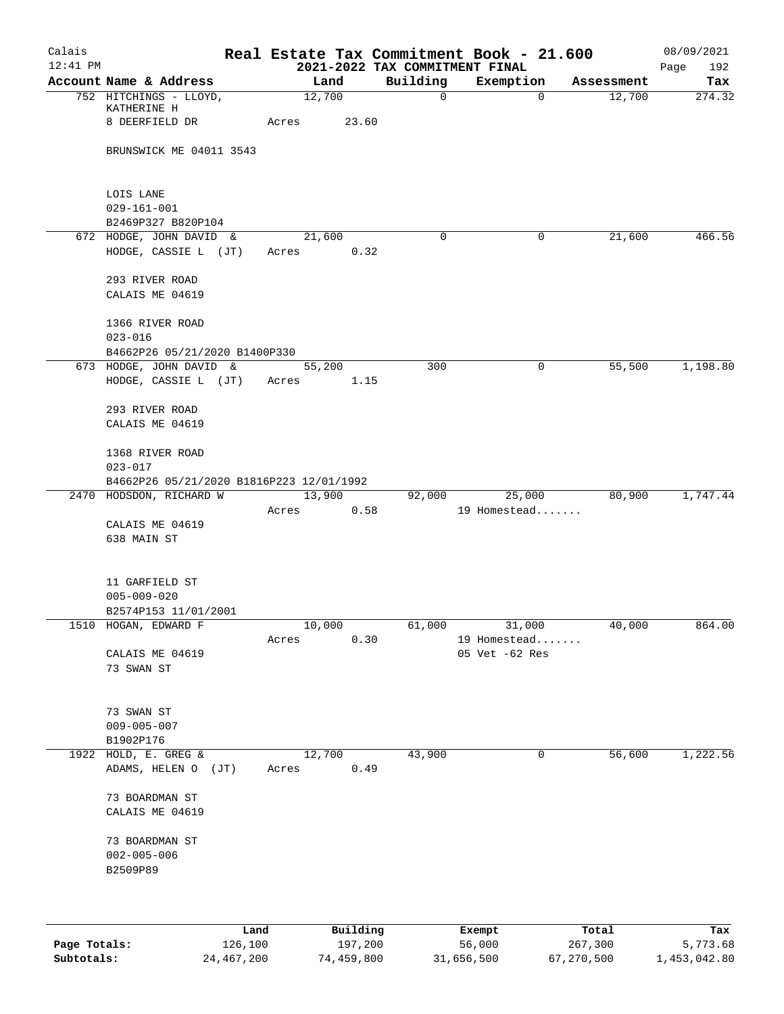| Calais     |                                          |                 |          |                                | Real Estate Tax Commitment Book - 21.600 |            | 08/09/2021    |
|------------|------------------------------------------|-----------------|----------|--------------------------------|------------------------------------------|------------|---------------|
| $12:41$ PM | Account Name & Address                   |                 |          | 2021-2022 TAX COMMITMENT FINAL |                                          | Assessment | Page<br>192   |
|            | 752 HITCHINGS - LLOYD,                   | Land<br>12,700  |          | Building<br>$\mathbf 0$        | Exemption<br>$\overline{0}$              | 12,700     | Tax<br>274.32 |
|            | KATHERINE H                              |                 |          |                                |                                          |            |               |
|            | 8 DEERFIELD DR                           | Acres           | 23.60    |                                |                                          |            |               |
|            |                                          |                 |          |                                |                                          |            |               |
|            | BRUNSWICK ME 04011 3543                  |                 |          |                                |                                          |            |               |
|            |                                          |                 |          |                                |                                          |            |               |
|            | LOIS LANE                                |                 |          |                                |                                          |            |               |
|            | $029 - 161 - 001$                        |                 |          |                                |                                          |            |               |
|            | B2469P327 B820P104                       |                 |          |                                |                                          |            |               |
|            | 672 HODGE, JOHN DAVID &                  | 21,600          |          | 0                              | 0                                        | 21,600     | 466.56        |
|            | HODGE, CASSIE L (JT)                     | Acres           | 0.32     |                                |                                          |            |               |
|            | 293 RIVER ROAD                           |                 |          |                                |                                          |            |               |
|            | CALAIS ME 04619                          |                 |          |                                |                                          |            |               |
|            |                                          |                 |          |                                |                                          |            |               |
|            | 1366 RIVER ROAD                          |                 |          |                                |                                          |            |               |
|            | $023 - 016$                              |                 |          |                                |                                          |            |               |
|            | B4662P26 05/21/2020 B1400P330            |                 |          |                                |                                          |            |               |
|            | 673 HODGE, JOHN DAVID &                  | 55,200          |          | 300                            | 0                                        | 55,500     | 1,198.80      |
|            | HODGE, CASSIE L (JT)                     | Acres           | 1.15     |                                |                                          |            |               |
|            | 293 RIVER ROAD                           |                 |          |                                |                                          |            |               |
|            | CALAIS ME 04619                          |                 |          |                                |                                          |            |               |
|            |                                          |                 |          |                                |                                          |            |               |
|            | 1368 RIVER ROAD                          |                 |          |                                |                                          |            |               |
|            | $023 - 017$                              |                 |          |                                |                                          |            |               |
|            | B4662P26 05/21/2020 B1816P223 12/01/1992 |                 |          |                                |                                          |            |               |
|            | 2470 HODSDON, RICHARD W                  | 13,900          |          | 92,000                         | 25,000                                   | 80,900     | 1,747.44      |
|            | CALAIS ME 04619                          | Acres           | 0.58     |                                | 19 Homestead                             |            |               |
|            | 638 MAIN ST                              |                 |          |                                |                                          |            |               |
|            |                                          |                 |          |                                |                                          |            |               |
|            |                                          |                 |          |                                |                                          |            |               |
|            | 11 GARFIELD ST                           |                 |          |                                |                                          |            |               |
|            | $005 - 009 - 020$                        |                 |          |                                |                                          |            |               |
|            | B2574P153 11/01/2001                     |                 |          |                                |                                          |            |               |
|            | 1510 HOGAN, EDWARD F                     | 10,000<br>Acres | 0.30     | 61,000                         | 31,000<br>19 Homestead                   | 40,000     | 864.00        |
|            | CALAIS ME 04619                          |                 |          |                                | 05 Vet -62 Res                           |            |               |
|            | 73 SWAN ST                               |                 |          |                                |                                          |            |               |
|            |                                          |                 |          |                                |                                          |            |               |
|            |                                          |                 |          |                                |                                          |            |               |
|            | 73 SWAN ST                               |                 |          |                                |                                          |            |               |
|            | $009 - 005 - 007$                        |                 |          |                                |                                          |            |               |
|            | B1902P176<br>1922 HOLD, E. GREG &        | 12,700          |          | 43,900                         | 0                                        | 56,600     | 1,222.56      |
|            | ADAMS, HELEN O (JT)                      | Acres           | 0.49     |                                |                                          |            |               |
|            |                                          |                 |          |                                |                                          |            |               |
|            | 73 BOARDMAN ST                           |                 |          |                                |                                          |            |               |
|            | CALAIS ME 04619                          |                 |          |                                |                                          |            |               |
|            |                                          |                 |          |                                |                                          |            |               |
|            | 73 BOARDMAN ST                           |                 |          |                                |                                          |            |               |
|            | $002 - 005 - 006$<br>B2509P89            |                 |          |                                |                                          |            |               |
|            |                                          |                 |          |                                |                                          |            |               |
|            |                                          |                 |          |                                |                                          |            |               |
|            |                                          |                 |          |                                |                                          |            |               |
|            | Land                                     |                 | Building |                                | Exempt                                   | Total      | Tax           |

|              | Land       | Building   | Exempt     | тосат      | тах          |
|--------------|------------|------------|------------|------------|--------------|
| Page Totals: | 126,100    | 197,200    | 56,000     | 267,300    | 5,773.68     |
| Subtotals:   | 24,467,200 | 74,459,800 | 31,656,500 | 67,270,500 | 1,453,042.80 |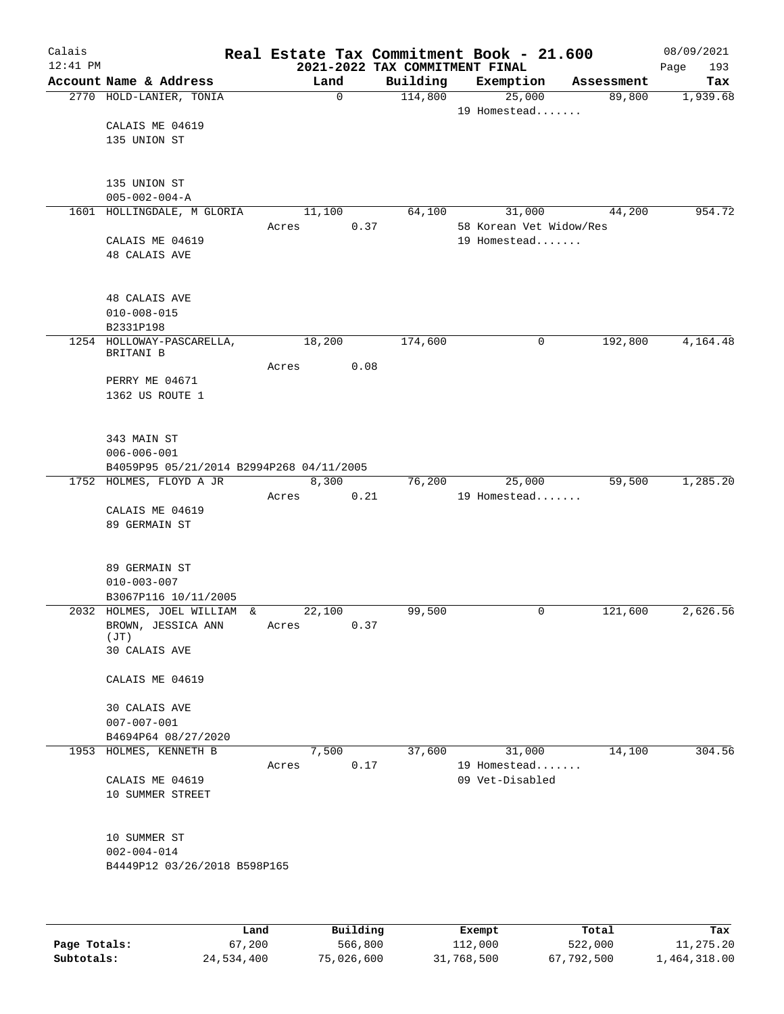| Calais     |                                               |      |       |              |      | Real Estate Tax Commitment Book - 21.600   |                         |       |                      | 08/09/2021 |            |
|------------|-----------------------------------------------|------|-------|--------------|------|--------------------------------------------|-------------------------|-------|----------------------|------------|------------|
| $12:41$ PM | Account Name & Address                        |      |       | Land         |      | 2021-2022 TAX COMMITMENT FINAL<br>Building | Exemption               |       |                      | Page       | 193<br>Tax |
|            | 2770 HOLD-LANIER, TONIA                       |      |       | $\mathsf{O}$ |      | 114,800                                    | 25,000                  |       | Assessment<br>89,800 | 1,939.68   |            |
|            |                                               |      |       |              |      |                                            | 19 Homestead            |       |                      |            |            |
|            | CALAIS ME 04619                               |      |       |              |      |                                            |                         |       |                      |            |            |
|            | 135 UNION ST                                  |      |       |              |      |                                            |                         |       |                      |            |            |
|            |                                               |      |       |              |      |                                            |                         |       |                      |            |            |
|            | 135 UNION ST                                  |      |       |              |      |                                            |                         |       |                      |            |            |
|            | $005 - 002 - 004 - A$                         |      |       |              |      |                                            |                         |       |                      |            |            |
|            | 1601 HOLLINGDALE, M GLORIA                    |      |       | 11,100       |      | 64,100                                     | 31,000                  |       | 44,200               | 954.72     |            |
|            |                                               |      | Acres |              | 0.37 |                                            | 58 Korean Vet Widow/Res |       |                      |            |            |
|            | CALAIS ME 04619                               |      |       |              |      |                                            | 19 Homestead            |       |                      |            |            |
|            | <b>48 CALAIS AVE</b>                          |      |       |              |      |                                            |                         |       |                      |            |            |
|            |                                               |      |       |              |      |                                            |                         |       |                      |            |            |
|            | <b>48 CALAIS AVE</b>                          |      |       |              |      |                                            |                         |       |                      |            |            |
|            | $010 - 008 - 015$                             |      |       |              |      |                                            |                         |       |                      |            |            |
|            | B2331P198                                     |      |       |              |      |                                            |                         |       |                      |            |            |
|            | 1254 HOLLOWAY-PASCARELLA,<br>BRITANI B        |      |       | 18,200       |      | 174,600                                    | 0                       |       | 192,800              | 4,164.48   |            |
|            |                                               |      | Acres |              | 0.08 |                                            |                         |       |                      |            |            |
|            | PERRY ME 04671                                |      |       |              |      |                                            |                         |       |                      |            |            |
|            | 1362 US ROUTE 1                               |      |       |              |      |                                            |                         |       |                      |            |            |
|            |                                               |      |       |              |      |                                            |                         |       |                      |            |            |
|            | 343 MAIN ST                                   |      |       |              |      |                                            |                         |       |                      |            |            |
|            | $006 - 006 - 001$                             |      |       |              |      |                                            |                         |       |                      |            |            |
|            | B4059P95 05/21/2014 B2994P268 04/11/2005      |      |       |              |      |                                            |                         |       |                      |            |            |
|            | 1752 HOLMES, FLOYD A JR                       |      |       | 8,300        |      | 76,200                                     | 25,000                  |       | 59,500               | 1,285.20   |            |
|            |                                               |      | Acres |              | 0.21 |                                            | 19 Homestead            |       |                      |            |            |
|            | CALAIS ME 04619<br>89 GERMAIN ST              |      |       |              |      |                                            |                         |       |                      |            |            |
|            |                                               |      |       |              |      |                                            |                         |       |                      |            |            |
|            |                                               |      |       |              |      |                                            |                         |       |                      |            |            |
|            | 89 GERMAIN ST                                 |      |       |              |      |                                            |                         |       |                      |            |            |
|            | $010 - 003 - 007$<br>B3067P116 10/11/2005     |      |       |              |      |                                            |                         |       |                      |            |            |
|            | 2032 HOLMES, JOEL WILLIAM &                   |      |       | 22,100       |      | 99,500                                     | 0                       |       | 121,600              | 2,626.56   |            |
|            | BROWN, JESSICA ANN                            |      | Acres |              | 0.37 |                                            |                         |       |                      |            |            |
|            | (TT)                                          |      |       |              |      |                                            |                         |       |                      |            |            |
|            | 30 CALAIS AVE                                 |      |       |              |      |                                            |                         |       |                      |            |            |
|            | CALAIS ME 04619                               |      |       |              |      |                                            |                         |       |                      |            |            |
|            |                                               |      |       |              |      |                                            |                         |       |                      |            |            |
|            | 30 CALAIS AVE                                 |      |       |              |      |                                            |                         |       |                      |            |            |
|            | $007 - 007 - 001$                             |      |       |              |      |                                            |                         |       |                      |            |            |
|            | B4694P64 08/27/2020<br>1953 HOLMES, KENNETH B |      |       | 7,500        |      | 37,600                                     | 31,000                  |       | 14,100               | 304.56     |            |
|            |                                               |      | Acres |              | 0.17 |                                            | 19 Homestead            |       |                      |            |            |
|            | CALAIS ME 04619                               |      |       |              |      |                                            | 09 Vet-Disabled         |       |                      |            |            |
|            | 10 SUMMER STREET                              |      |       |              |      |                                            |                         |       |                      |            |            |
|            |                                               |      |       |              |      |                                            |                         |       |                      |            |            |
|            | 10 SUMMER ST                                  |      |       |              |      |                                            |                         |       |                      |            |            |
|            | $002 - 004 - 014$                             |      |       |              |      |                                            |                         |       |                      |            |            |
|            | B4449P12 03/26/2018 B598P165                  |      |       |              |      |                                            |                         |       |                      |            |            |
|            |                                               |      |       |              |      |                                            |                         |       |                      |            |            |
|            |                                               |      |       |              |      |                                            |                         |       |                      |            |            |
|            |                                               |      |       |              |      |                                            |                         |       |                      |            |            |
|            |                                               | Land |       | Building     |      |                                            | Exempt                  | Total |                      |            | Tax        |

|              | Land       | Building   | Exempt     | Total      | Tax          |
|--------------|------------|------------|------------|------------|--------------|
| Page Totals: | 67,200     | 566,800    | 112,000    | 522,000    | 11,275.20    |
| Subtotals:   | 24,534,400 | 75,026,600 | 31,768,500 | 67,792,500 | 1,464,318.00 |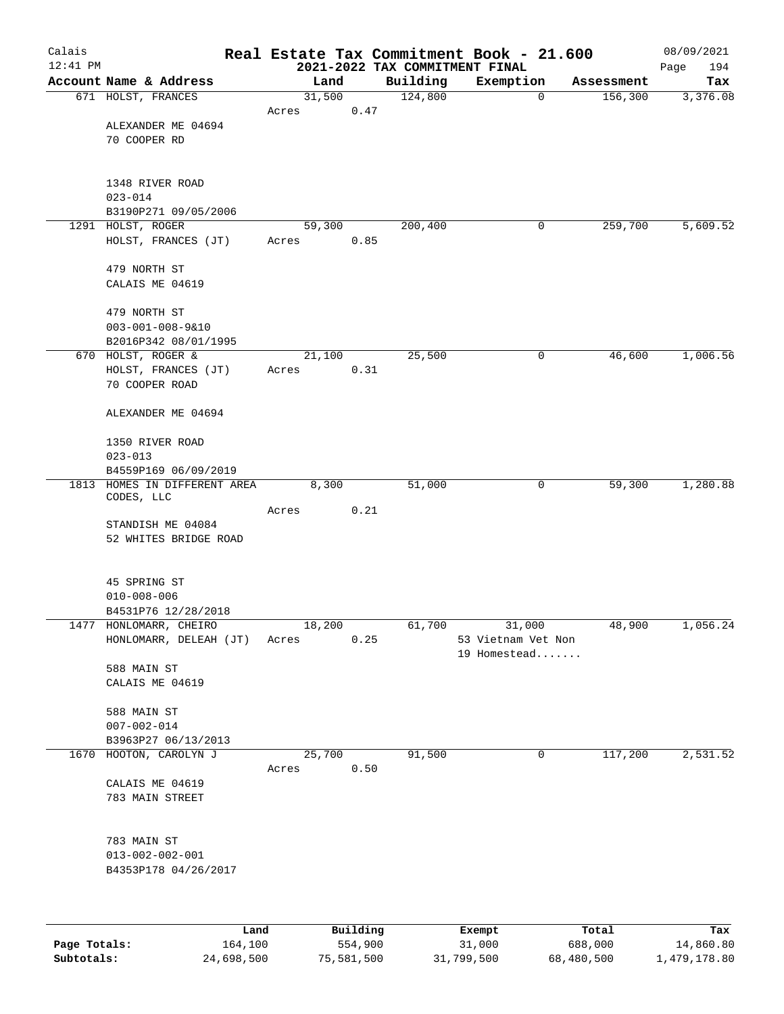| Calais       |                                                      |       |                |                                            | Real Estate Tax Commitment Book - 21.600 |            | 08/09/2021      |
|--------------|------------------------------------------------------|-------|----------------|--------------------------------------------|------------------------------------------|------------|-----------------|
| $12:41$ PM   | Account Name & Address                               |       |                | 2021-2022 TAX COMMITMENT FINAL<br>Building |                                          | Assessment | 194<br>Page     |
|              | 671 HOLST, FRANCES                                   |       | Land<br>31,500 | 124,800                                    | Exemption<br>$\mathbf 0$                 | 156,300    | Tax<br>3,376.08 |
|              |                                                      | Acres |                | 0.47                                       |                                          |            |                 |
|              | ALEXANDER ME 04694                                   |       |                |                                            |                                          |            |                 |
|              | 70 COOPER RD                                         |       |                |                                            |                                          |            |                 |
|              |                                                      |       |                |                                            |                                          |            |                 |
|              | 1348 RIVER ROAD                                      |       |                |                                            |                                          |            |                 |
|              | $023 - 014$                                          |       |                |                                            |                                          |            |                 |
|              | B3190P271 09/05/2006                                 |       |                |                                            |                                          |            |                 |
|              | 1291 HOLST, ROGER                                    |       | 59,300         | 200,400                                    | 0                                        | 259,700    | 5,609.52        |
|              | HOLST, FRANCES (JT)                                  | Acres |                | 0.85                                       |                                          |            |                 |
|              | 479 NORTH ST                                         |       |                |                                            |                                          |            |                 |
|              | CALAIS ME 04619                                      |       |                |                                            |                                          |            |                 |
|              |                                                      |       |                |                                            |                                          |            |                 |
|              | 479 NORTH ST<br>$003 - 001 - 008 - 9 & 10$           |       |                |                                            |                                          |            |                 |
|              | B2016P342 08/01/1995                                 |       |                |                                            |                                          |            |                 |
|              | 670 HOLST, ROGER &                                   |       | 21,100         | 25,500                                     | 0                                        | 46,600     | 1,006.56        |
|              | HOLST, FRANCES (JT)                                  | Acres |                | 0.31                                       |                                          |            |                 |
|              | 70 COOPER ROAD                                       |       |                |                                            |                                          |            |                 |
|              | ALEXANDER ME 04694                                   |       |                |                                            |                                          |            |                 |
|              |                                                      |       |                |                                            |                                          |            |                 |
|              | 1350 RIVER ROAD                                      |       |                |                                            |                                          |            |                 |
|              | $023 - 013$                                          |       |                |                                            |                                          |            |                 |
|              | B4559P169 06/09/2019<br>1813 HOMES IN DIFFERENT AREA |       | 8,300          | 51,000                                     | 0                                        | 59,300     | 1,280.88        |
|              | CODES, LLC                                           |       |                |                                            |                                          |            |                 |
|              |                                                      | Acres |                | 0.21                                       |                                          |            |                 |
|              | STANDISH ME 04084<br>52 WHITES BRIDGE ROAD           |       |                |                                            |                                          |            |                 |
|              |                                                      |       |                |                                            |                                          |            |                 |
|              |                                                      |       |                |                                            |                                          |            |                 |
|              | 45 SPRING ST                                         |       |                |                                            |                                          |            |                 |
|              | $010 - 008 - 006$<br>B4531P76 12/28/2018             |       |                |                                            |                                          |            |                 |
|              | 1477 HONLOMARR, CHEIRO                               |       | 18,200         | 61,700                                     | 31,000                                   | 48,900     | 1,056.24        |
|              | HONLOMARR, DELEAH (JT)                               | Acres |                | 0.25                                       | 53 Vietnam Vet Non                       |            |                 |
|              |                                                      |       |                |                                            | 19 Homestead                             |            |                 |
|              | 588 MAIN ST<br>CALAIS ME 04619                       |       |                |                                            |                                          |            |                 |
|              |                                                      |       |                |                                            |                                          |            |                 |
|              | 588 MAIN ST                                          |       |                |                                            |                                          |            |                 |
|              | $007 - 002 - 014$                                    |       |                |                                            |                                          |            |                 |
|              | B3963P27 06/13/2013<br>1670 HOOTON, CAROLYN J        |       |                | 91,500                                     | 0                                        |            |                 |
|              |                                                      | Acres | 25,700         | 0.50                                       |                                          | 117,200    | 2,531.52        |
|              | CALAIS ME 04619                                      |       |                |                                            |                                          |            |                 |
|              | 783 MAIN STREET                                      |       |                |                                            |                                          |            |                 |
|              |                                                      |       |                |                                            |                                          |            |                 |
|              | 783 MAIN ST                                          |       |                |                                            |                                          |            |                 |
|              | $013 - 002 - 002 - 001$                              |       |                |                                            |                                          |            |                 |
|              | B4353P178 04/26/2017                                 |       |                |                                            |                                          |            |                 |
|              |                                                      |       |                |                                            |                                          |            |                 |
|              |                                                      |       |                |                                            |                                          |            |                 |
|              | Land                                                 |       | Building       |                                            | Exempt                                   | Total      | Tax             |
| Page Totals: | 164,100                                              |       | 554,900        |                                            | 31,000                                   | 688,000    | 14,860.80       |

**Subtotals:** 24,698,500 75,581,500 31,799,500 68,480,500 1,479,178.80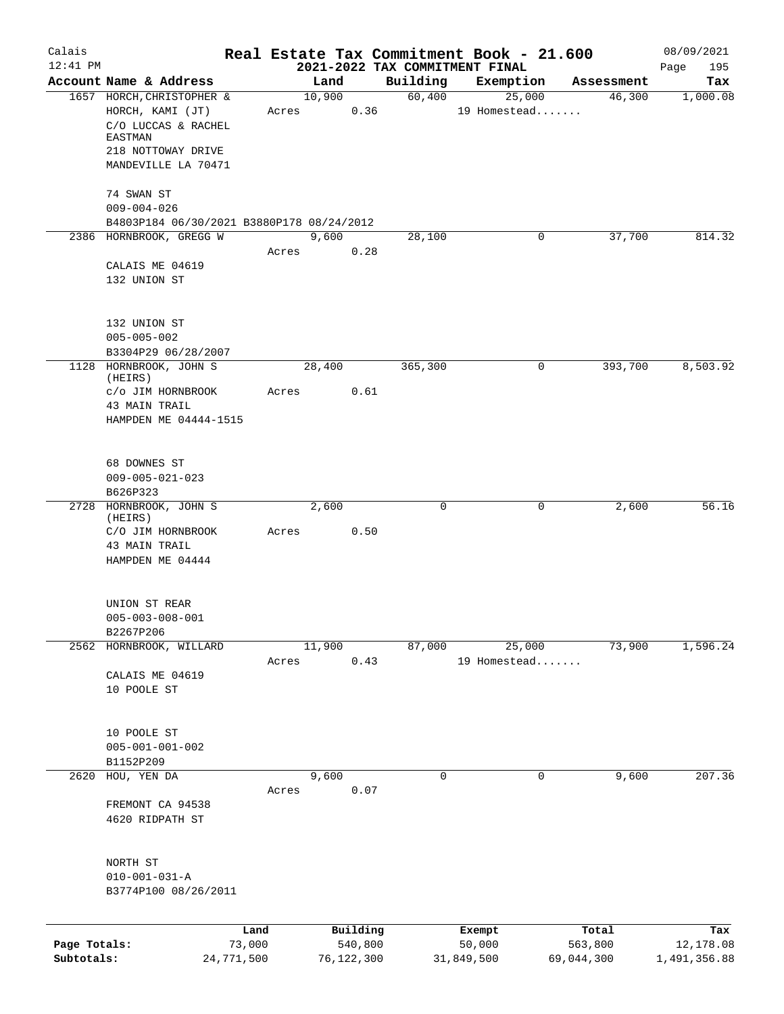| Calais       |                                                                      |            |       |                |          |                    | Real Estate Tax Commitment Book - 21.600 |                      | 08/09/2021      |
|--------------|----------------------------------------------------------------------|------------|-------|----------------|----------|--------------------|------------------------------------------|----------------------|-----------------|
| $12:41$ PM   |                                                                      |            |       |                |          |                    | 2021-2022 TAX COMMITMENT FINAL           |                      | 195<br>Page     |
|              | Account Name & Address<br>1657 HORCH, CHRISTOPHER &                  |            |       | Land<br>10,900 |          | Building<br>60,400 | Exemption<br>25,000                      | Assessment<br>46,300 | Tax<br>1,000.08 |
|              | HORCH, KAMI (JT)<br>C/O LUCCAS & RACHEL<br><b>EASTMAN</b>            |            | Acres |                | 0.36     |                    | 19 Homestead                             |                      |                 |
|              | 218 NOTTOWAY DRIVE<br>MANDEVILLE LA 70471                            |            |       |                |          |                    |                                          |                      |                 |
|              | 74 SWAN ST<br>$009 - 004 - 026$                                      |            |       |                |          |                    |                                          |                      |                 |
|              | B4803P184 06/30/2021 B3880P178 08/24/2012<br>2386 HORNBROOK, GREGG W |            |       | 9,600          |          | 28,100             | $\mathbf 0$                              | 37,700               | 814.32          |
|              |                                                                      |            | Acres |                | 0.28     |                    |                                          |                      |                 |
|              | CALAIS ME 04619<br>132 UNION ST                                      |            |       |                |          |                    |                                          |                      |                 |
|              | 132 UNION ST<br>$005 - 005 - 002$                                    |            |       |                |          |                    |                                          |                      |                 |
|              | B3304P29 06/28/2007                                                  |            |       |                |          |                    |                                          |                      |                 |
|              | 1128 HORNBROOK, JOHN S<br>(HEIRS)                                    |            |       | 28,400         |          | 365,300            | 0                                        | 393,700              | 8,503.92        |
|              | c/o JIM HORNBROOK                                                    |            | Acres |                | 0.61     |                    |                                          |                      |                 |
|              | 43 MAIN TRAIL                                                        |            |       |                |          |                    |                                          |                      |                 |
|              | HAMPDEN ME 04444-1515                                                |            |       |                |          |                    |                                          |                      |                 |
|              | 68 DOWNES ST                                                         |            |       |                |          |                    |                                          |                      |                 |
|              | $009 - 005 - 021 - 023$<br>B626P323                                  |            |       |                |          |                    |                                          |                      |                 |
|              | 2728 HORNBROOK, JOHN S                                               |            |       | 2,600          |          | $\mathbf 0$        | 0                                        | 2,600                | 56.16           |
|              | (HEIRS)                                                              |            |       |                |          |                    |                                          |                      |                 |
|              | C/O JIM HORNBROOK                                                    |            | Acres |                | 0.50     |                    |                                          |                      |                 |
|              | 43 MAIN TRAIL<br>HAMPDEN ME 04444                                    |            |       |                |          |                    |                                          |                      |                 |
|              | UNION ST REAR                                                        |            |       |                |          |                    |                                          |                      |                 |
|              | $005 - 003 - 008 - 001$                                              |            |       |                |          |                    |                                          |                      |                 |
|              | B2267P206<br>2562 HORNBROOK, WILLARD                                 |            |       | 11,900         |          | 87,000             | 25,000                                   | 73,900               | 1,596.24        |
|              |                                                                      |            | Acres |                | 0.43     |                    | 19 Homestead                             |                      |                 |
|              | CALAIS ME 04619                                                      |            |       |                |          |                    |                                          |                      |                 |
|              | 10 POOLE ST                                                          |            |       |                |          |                    |                                          |                      |                 |
|              | 10 POOLE ST                                                          |            |       |                |          |                    |                                          |                      |                 |
|              | $005 - 001 - 001 - 002$<br>B1152P209                                 |            |       |                |          |                    |                                          |                      |                 |
| 2620         | HOU, YEN DA                                                          |            |       | 9,600          |          | $\mathbf 0$        | 0                                        | 9,600                | 207.36          |
|              |                                                                      |            | Acres |                | 0.07     |                    |                                          |                      |                 |
|              | FREMONT CA 94538<br>4620 RIDPATH ST                                  |            |       |                |          |                    |                                          |                      |                 |
|              | NORTH ST                                                             |            |       |                |          |                    |                                          |                      |                 |
|              | $010 - 001 - 031 - A$                                                |            |       |                |          |                    |                                          |                      |                 |
|              | B3774P100 08/26/2011                                                 |            |       |                |          |                    |                                          |                      |                 |
|              |                                                                      | Land       |       |                | Building |                    | Exempt                                   | Total                | Tax             |
| Page Totals: |                                                                      | 73,000     |       |                | 540,800  |                    | 50,000                                   | 563,800              | 12,178.08       |
| Subtotals:   |                                                                      | 24,771,500 |       | 76,122,300     |          |                    | 31,849,500                               | 69,044,300           | 1,491,356.88    |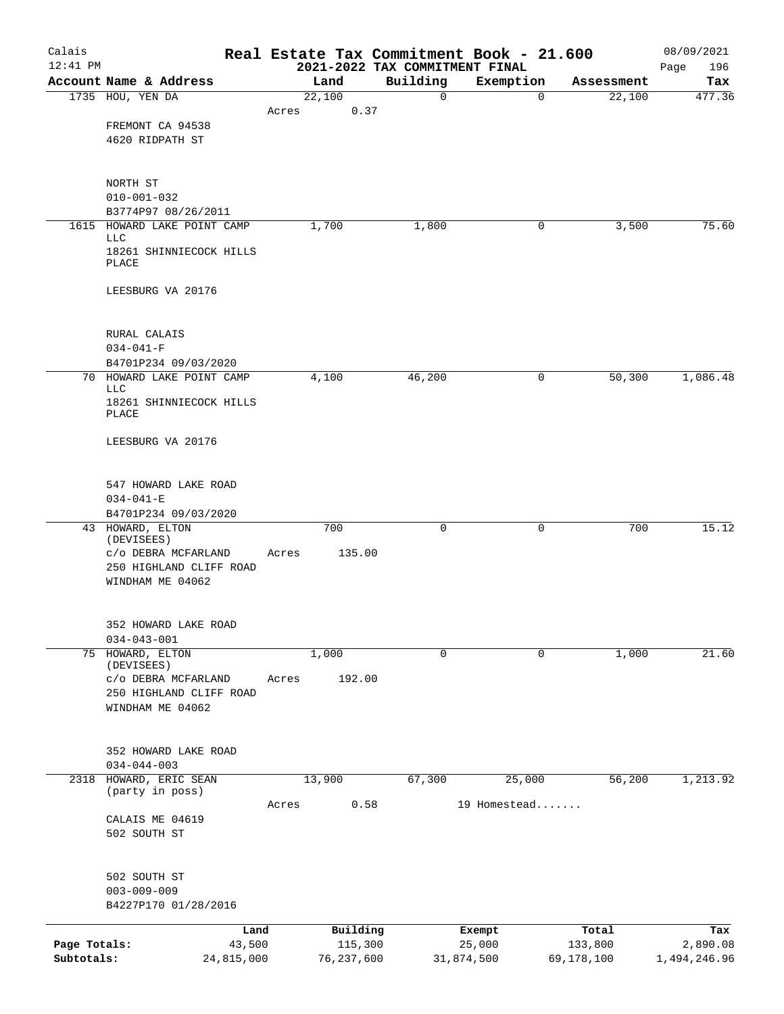| Calais       |                                      |                |       |                     |                                            | Real Estate Tax Commitment Book - 21.600 |                  | 08/09/2021         |
|--------------|--------------------------------------|----------------|-------|---------------------|--------------------------------------------|------------------------------------------|------------------|--------------------|
| 12:41 PM     | Account Name & Address               |                |       | Land                | 2021-2022 TAX COMMITMENT FINAL<br>Building | Exemption                                | Assessment       | 196<br>Page<br>Tax |
|              | 1735 HOU, YEN DA                     |                |       | 22,100              | 0                                          | $\mathbf 0$                              | 22,100           | 477.36             |
|              |                                      |                | Acres | 0.37                |                                            |                                          |                  |                    |
|              | FREMONT CA 94538                     |                |       |                     |                                            |                                          |                  |                    |
|              | 4620 RIDPATH ST                      |                |       |                     |                                            |                                          |                  |                    |
|              | NORTH ST                             |                |       |                     |                                            |                                          |                  |                    |
|              | $010 - 001 - 032$                    |                |       |                     |                                            |                                          |                  |                    |
|              | B3774P97 08/26/2011                  |                |       |                     |                                            |                                          |                  |                    |
|              | 1615 HOWARD LAKE POINT CAMP<br>LLC   |                |       | 1,700               | 1,800                                      | 0                                        | 3,500            | 75.60              |
|              | 18261 SHINNIECOCK HILLS<br>PLACE     |                |       |                     |                                            |                                          |                  |                    |
|              | LEESBURG VA 20176                    |                |       |                     |                                            |                                          |                  |                    |
|              | RURAL CALAIS                         |                |       |                     |                                            |                                          |                  |                    |
|              | $034 - 041 - F$                      |                |       |                     |                                            |                                          |                  |                    |
|              | B4701P234 09/03/2020                 |                |       |                     |                                            |                                          |                  |                    |
|              | 70 HOWARD LAKE POINT CAMP<br>LLC     |                |       | 4,100               | 46,200                                     | 0                                        | 50,300           | 1,086.48           |
|              | 18261 SHINNIECOCK HILLS<br>PLACE     |                |       |                     |                                            |                                          |                  |                    |
|              | LEESBURG VA 20176                    |                |       |                     |                                            |                                          |                  |                    |
|              |                                      |                |       |                     |                                            |                                          |                  |                    |
|              | 547 HOWARD LAKE ROAD                 |                |       |                     |                                            |                                          |                  |                    |
|              | $034 - 041 - E$                      |                |       |                     |                                            |                                          |                  |                    |
|              | B4701P234 09/03/2020                 |                |       |                     |                                            |                                          |                  |                    |
|              | 43 HOWARD, ELTON<br>(DEVISEES)       |                |       | 700                 | $\mathbf 0$                                | 0                                        | 700              | 15.12              |
|              | C/O DEBRA MCFARLAND                  |                | Acres | 135.00              |                                            |                                          |                  |                    |
|              | 250 HIGHLAND CLIFF ROAD              |                |       |                     |                                            |                                          |                  |                    |
|              | WINDHAM ME 04062                     |                |       |                     |                                            |                                          |                  |                    |
|              | 352 HOWARD LAKE ROAD                 |                |       |                     |                                            |                                          |                  |                    |
|              | $034 - 043 - 001$                    |                |       |                     |                                            |                                          |                  |                    |
|              | 75 HOWARD, ELTON<br>(DEVISEES)       |                |       | 1,000               | 0                                          | 0                                        | 1,000            | 21.60              |
|              | C/O DEBRA MCFARLAND                  |                | Acres | 192.00              |                                            |                                          |                  |                    |
|              | 250 HIGHLAND CLIFF ROAD              |                |       |                     |                                            |                                          |                  |                    |
|              | WINDHAM ME 04062                     |                |       |                     |                                            |                                          |                  |                    |
|              |                                      |                |       |                     |                                            |                                          |                  |                    |
|              | 352 HOWARD LAKE ROAD                 |                |       |                     |                                            |                                          |                  |                    |
|              | $034 - 044 - 003$                    |                |       |                     |                                            |                                          |                  |                    |
| 2318         | HOWARD, ERIC SEAN<br>(party in poss) |                |       | 13,900              | 67,300                                     | 25,000                                   | 56,200           | 1,213.92           |
|              |                                      |                | Acres | 0.58                |                                            | 19 Homestead                             |                  |                    |
|              | CALAIS ME 04619                      |                |       |                     |                                            |                                          |                  |                    |
|              | 502 SOUTH ST                         |                |       |                     |                                            |                                          |                  |                    |
|              | 502 SOUTH ST                         |                |       |                     |                                            |                                          |                  |                    |
|              | $003 - 009 - 009$                    |                |       |                     |                                            |                                          |                  |                    |
|              | B4227P170 01/28/2016                 |                |       |                     |                                            |                                          |                  |                    |
|              |                                      |                |       |                     |                                            |                                          |                  |                    |
| Page Totals: |                                      | Land<br>43,500 |       | Building<br>115,300 |                                            | Exempt<br>25,000                         | Total<br>133,800 | Tax<br>2,890.08    |
| Subtotals:   |                                      | 24,815,000     |       | 76,237,600          |                                            | 31,874,500                               | 69,178,100       | 1,494,246.96       |
|              |                                      |                |       |                     |                                            |                                          |                  |                    |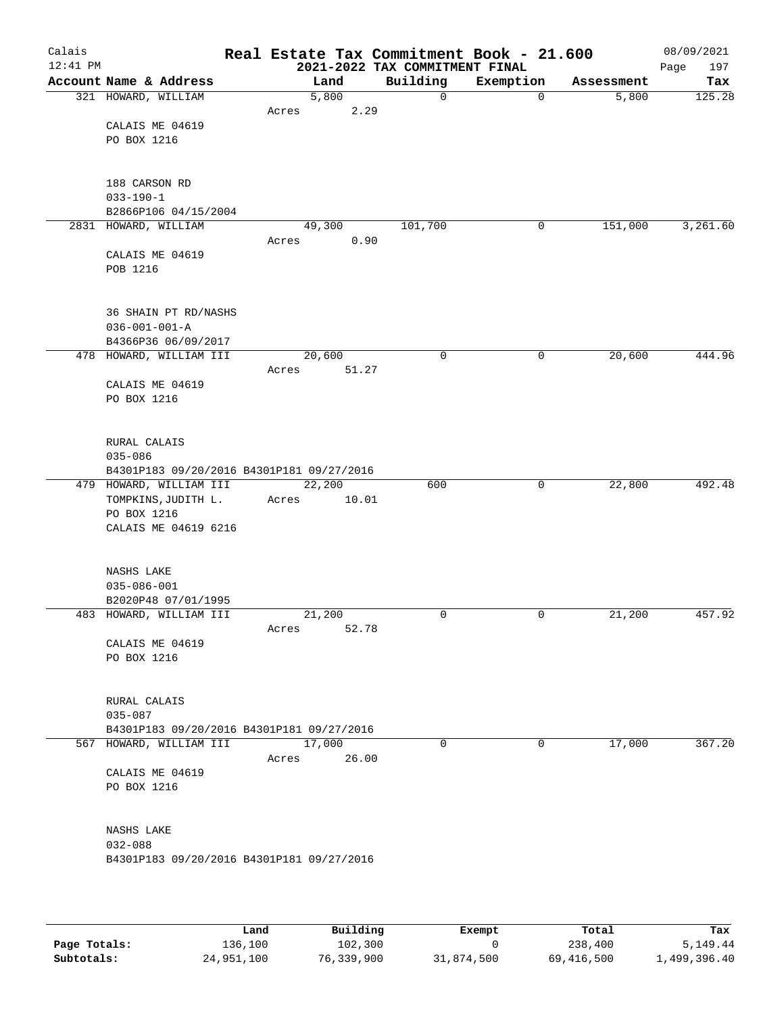| Calais     |                                               |       |        |               |      | Real Estate Tax Commitment Book - 21.600 |           |              |                     | 08/09/2021    |
|------------|-----------------------------------------------|-------|--------|---------------|------|------------------------------------------|-----------|--------------|---------------------|---------------|
| $12:41$ PM |                                               |       |        |               |      | 2021-2022 TAX COMMITMENT FINAL           |           |              |                     | 197<br>Page   |
|            | Account Name & Address<br>321 HOWARD, WILLIAM |       |        | Land<br>5,800 |      | Building<br>0                            | Exemption | $\mathbf 0$  | Assessment<br>5,800 | Tax<br>125.28 |
|            |                                               | Acres |        |               | 2.29 |                                          |           |              |                     |               |
|            | CALAIS ME 04619                               |       |        |               |      |                                          |           |              |                     |               |
|            | PO BOX 1216                                   |       |        |               |      |                                          |           |              |                     |               |
|            |                                               |       |        |               |      |                                          |           |              |                     |               |
|            |                                               |       |        |               |      |                                          |           |              |                     |               |
|            | 188 CARSON RD                                 |       |        |               |      |                                          |           |              |                     |               |
|            | $033 - 190 - 1$                               |       |        |               |      |                                          |           |              |                     |               |
|            | B2866P106 04/15/2004<br>2831 HOWARD, WILLIAM  |       | 49,300 |               |      | 101,700                                  |           | 0            | 151,000             | 3,261.60      |
|            |                                               | Acres |        |               | 0.90 |                                          |           |              |                     |               |
|            | CALAIS ME 04619                               |       |        |               |      |                                          |           |              |                     |               |
|            | POB 1216                                      |       |        |               |      |                                          |           |              |                     |               |
|            |                                               |       |        |               |      |                                          |           |              |                     |               |
|            |                                               |       |        |               |      |                                          |           |              |                     |               |
|            | 36 SHAIN PT RD/NASHS                          |       |        |               |      |                                          |           |              |                     |               |
|            | $036 - 001 - 001 - A$<br>B4366P36 06/09/2017  |       |        |               |      |                                          |           |              |                     |               |
|            | 478 HOWARD, WILLIAM III                       |       | 20,600 |               |      | 0                                        |           | 0            | 20,600              | 444.96        |
|            |                                               | Acres |        | 51.27         |      |                                          |           |              |                     |               |
|            | CALAIS ME 04619                               |       |        |               |      |                                          |           |              |                     |               |
|            | PO BOX 1216                                   |       |        |               |      |                                          |           |              |                     |               |
|            |                                               |       |        |               |      |                                          |           |              |                     |               |
|            | RURAL CALAIS                                  |       |        |               |      |                                          |           |              |                     |               |
|            | $035 - 086$                                   |       |        |               |      |                                          |           |              |                     |               |
|            | B4301P183 09/20/2016 B4301P181 09/27/2016     |       |        |               |      |                                          |           |              |                     |               |
|            | 479 HOWARD, WILLIAM III                       |       | 22,200 |               |      | 600                                      |           | $\mathsf{O}$ | 22,800              | 492.48        |
|            | TOMPKINS, JUDITH L.                           | Acres |        | 10.01         |      |                                          |           |              |                     |               |
|            | PO BOX 1216                                   |       |        |               |      |                                          |           |              |                     |               |
|            | CALAIS ME 04619 6216                          |       |        |               |      |                                          |           |              |                     |               |
|            |                                               |       |        |               |      |                                          |           |              |                     |               |
|            | NASHS LAKE                                    |       |        |               |      |                                          |           |              |                     |               |
|            | $035 - 086 - 001$                             |       |        |               |      |                                          |           |              |                     |               |
|            | B2020P48 07/01/1995                           |       |        |               |      |                                          |           |              |                     |               |
|            | 483 HOWARD, WILLIAM III                       |       | 21,200 |               |      | 0                                        |           | 0            | 21,200              | 457.92        |
|            |                                               | Acres |        | 52.78         |      |                                          |           |              |                     |               |
|            | CALAIS ME 04619<br>PO BOX 1216                |       |        |               |      |                                          |           |              |                     |               |
|            |                                               |       |        |               |      |                                          |           |              |                     |               |
|            |                                               |       |        |               |      |                                          |           |              |                     |               |
|            | RURAL CALAIS                                  |       |        |               |      |                                          |           |              |                     |               |
|            | 035-087                                       |       |        |               |      |                                          |           |              |                     |               |
|            | B4301P183 09/20/2016 B4301P181 09/27/2016     |       |        |               |      |                                          |           |              |                     |               |
|            | 567 HOWARD, WILLIAM III                       | Acres | 17,000 | 26.00         |      | 0                                        |           | 0            | 17,000              | 367.20        |
|            | CALAIS ME 04619                               |       |        |               |      |                                          |           |              |                     |               |
|            | PO BOX 1216                                   |       |        |               |      |                                          |           |              |                     |               |
|            |                                               |       |        |               |      |                                          |           |              |                     |               |
|            |                                               |       |        |               |      |                                          |           |              |                     |               |
|            | NASHS LAKE                                    |       |        |               |      |                                          |           |              |                     |               |
|            | $032 - 088$                                   |       |        |               |      |                                          |           |              |                     |               |
|            | B4301P183 09/20/2016 B4301P181 09/27/2016     |       |        |               |      |                                          |           |              |                     |               |
|            |                                               |       |        |               |      |                                          |           |              |                     |               |
|            |                                               |       |        |               |      |                                          |           |              |                     |               |

|              | Land       | Building   | Exempt     | Total      | Tax          |
|--------------|------------|------------|------------|------------|--------------|
| Page Totals: | 136,100    | 102,300    |            | 238,400    | 5,149.44     |
| Subtotals:   | 24,951,100 | 76,339,900 | 31,874,500 | 69,416,500 | 1,499,396.40 |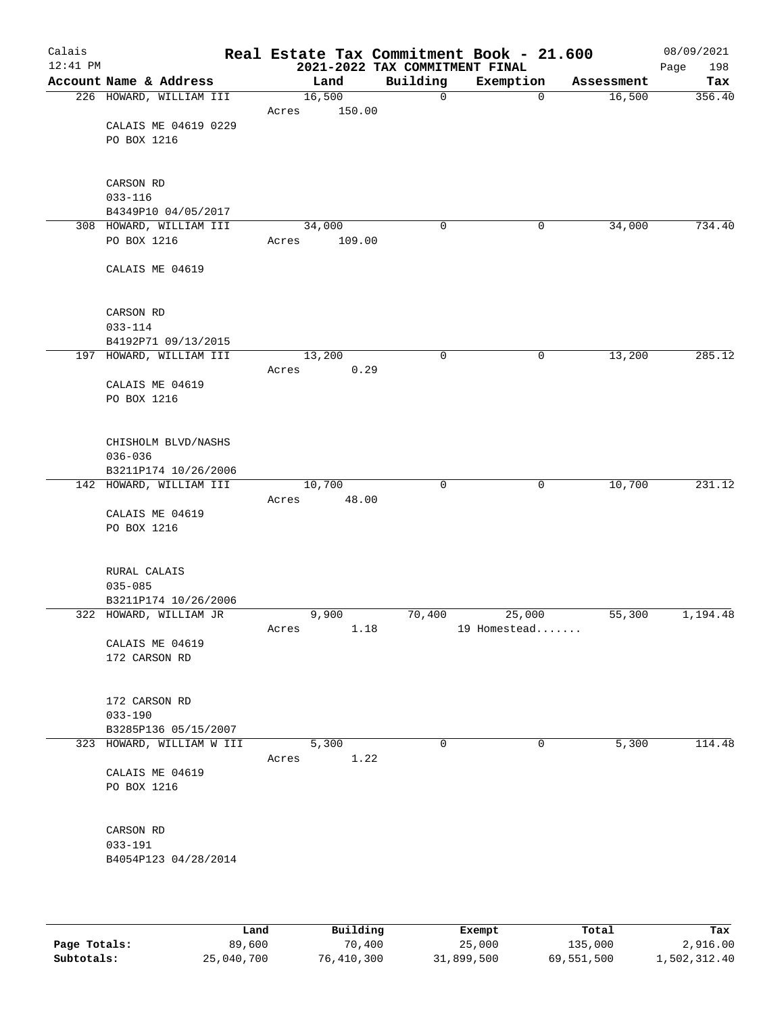| Calais<br>$12:41$ PM |                                |                 |        | 2021-2022 TAX COMMITMENT FINAL | Real Estate Tax Commitment Book - 21.600 |            | 08/09/2021<br>198<br>Page |
|----------------------|--------------------------------|-----------------|--------|--------------------------------|------------------------------------------|------------|---------------------------|
|                      | Account Name & Address         |                 | Land   | Building                       | Exemption                                | Assessment | Tax                       |
|                      | 226 HOWARD, WILLIAM III        | 16,500          |        | 0                              | $\mathbf 0$                              | 16,500     | 356.40                    |
|                      |                                | Acres           | 150.00 |                                |                                          |            |                           |
|                      | CALAIS ME 04619 0229           |                 |        |                                |                                          |            |                           |
|                      | PO BOX 1216                    |                 |        |                                |                                          |            |                           |
|                      |                                |                 |        |                                |                                          |            |                           |
|                      |                                |                 |        |                                |                                          |            |                           |
|                      | CARSON RD<br>$033 - 116$       |                 |        |                                |                                          |            |                           |
|                      | B4349P10 04/05/2017            |                 |        |                                |                                          |            |                           |
|                      | 308 HOWARD, WILLIAM III        | 34,000          |        | 0                              | 0                                        | 34,000     | 734.40                    |
|                      | PO BOX 1216                    | Acres           | 109.00 |                                |                                          |            |                           |
|                      |                                |                 |        |                                |                                          |            |                           |
|                      | CALAIS ME 04619                |                 |        |                                |                                          |            |                           |
|                      |                                |                 |        |                                |                                          |            |                           |
|                      |                                |                 |        |                                |                                          |            |                           |
|                      | CARSON RD                      |                 |        |                                |                                          |            |                           |
|                      | $033 - 114$                    |                 |        |                                |                                          |            |                           |
|                      | B4192P71 09/13/2015            |                 |        |                                |                                          |            |                           |
|                      | 197 HOWARD, WILLIAM III        | 13,200<br>Acres | 0.29   | 0                              | $\mathsf{O}$                             | 13,200     | 285.12                    |
|                      | CALAIS ME 04619                |                 |        |                                |                                          |            |                           |
|                      | PO BOX 1216                    |                 |        |                                |                                          |            |                           |
|                      |                                |                 |        |                                |                                          |            |                           |
|                      |                                |                 |        |                                |                                          |            |                           |
|                      | CHISHOLM BLVD/NASHS            |                 |        |                                |                                          |            |                           |
|                      | $036 - 036$                    |                 |        |                                |                                          |            |                           |
|                      | B3211P174 10/26/2006           |                 |        |                                |                                          |            |                           |
|                      | 142 HOWARD, WILLIAM III        | 10,700          |        | 0                              | $\mathsf{O}$                             | 10,700     | 231.12                    |
|                      |                                | Acres           | 48.00  |                                |                                          |            |                           |
|                      | CALAIS ME 04619<br>PO BOX 1216 |                 |        |                                |                                          |            |                           |
|                      |                                |                 |        |                                |                                          |            |                           |
|                      |                                |                 |        |                                |                                          |            |                           |
|                      | RURAL CALAIS                   |                 |        |                                |                                          |            |                           |
|                      | $035 - 085$                    |                 |        |                                |                                          |            |                           |
|                      | B3211P174 10/26/2006           |                 |        |                                |                                          |            |                           |
|                      | 322 HOWARD, WILLIAM JR         |                 | 9,900  | 70,400                         | 25,000                                   | 55,300     | 1,194.48                  |
|                      |                                | Acres           | 1.18   |                                | 19 Homestead                             |            |                           |
|                      | CALAIS ME 04619                |                 |        |                                |                                          |            |                           |
|                      | 172 CARSON RD                  |                 |        |                                |                                          |            |                           |
|                      |                                |                 |        |                                |                                          |            |                           |
|                      | 172 CARSON RD                  |                 |        |                                |                                          |            |                           |
|                      | $033 - 190$                    |                 |        |                                |                                          |            |                           |
|                      | B3285P136 05/15/2007           |                 |        |                                |                                          |            |                           |
|                      | 323 HOWARD, WILLIAM W III      |                 | 5,300  | 0                              | $\mathbf 0$                              | 5,300      | 114.48                    |
|                      |                                | Acres           | 1.22   |                                |                                          |            |                           |
|                      | CALAIS ME 04619                |                 |        |                                |                                          |            |                           |
|                      | PO BOX 1216                    |                 |        |                                |                                          |            |                           |
|                      |                                |                 |        |                                |                                          |            |                           |
|                      | CARSON RD                      |                 |        |                                |                                          |            |                           |
|                      | $033 - 191$                    |                 |        |                                |                                          |            |                           |
|                      | B4054P123 04/28/2014           |                 |        |                                |                                          |            |                           |
|                      |                                |                 |        |                                |                                          |            |                           |
|                      |                                |                 |        |                                |                                          |            |                           |
|                      |                                |                 |        |                                |                                          |            |                           |
|                      |                                |                 |        |                                |                                          |            |                           |

|              | Land       | Building   | Exempt     | Total      | Tax          |
|--------------|------------|------------|------------|------------|--------------|
| Page Totals: | 89,600     | 70,400     | 25,000     | 135,000    | 2,916.00     |
| Subtotals:   | 25,040,700 | 76,410,300 | 31,899,500 | 69,551,500 | 1,502,312.40 |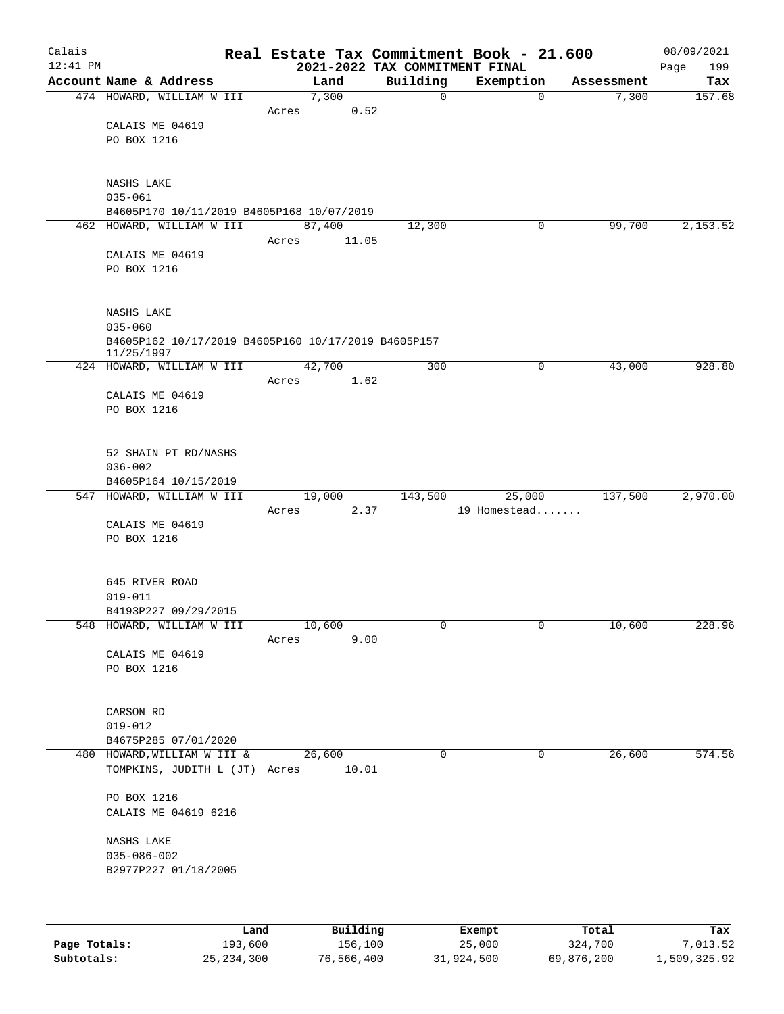| Calais     |                                                          |      |       |                |                                            | Real Estate Tax Commitment Book - 21.600 |                     | 08/09/2021    |
|------------|----------------------------------------------------------|------|-------|----------------|--------------------------------------------|------------------------------------------|---------------------|---------------|
| $12:41$ PM | Account Name & Address                                   |      |       | Land           | 2021-2022 TAX COMMITMENT FINAL<br>Building | Exemption                                |                     | 199<br>Page   |
|            | 474 HOWARD, WILLIAM W III                                |      |       | 7,300          | 0                                          | $\mathbf 0$                              | Assessment<br>7,300 | Tax<br>157.68 |
|            |                                                          |      | Acres | 0.52           |                                            |                                          |                     |               |
|            | CALAIS ME 04619                                          |      |       |                |                                            |                                          |                     |               |
|            | PO BOX 1216                                              |      |       |                |                                            |                                          |                     |               |
|            |                                                          |      |       |                |                                            |                                          |                     |               |
|            |                                                          |      |       |                |                                            |                                          |                     |               |
|            | NASHS LAKE                                               |      |       |                |                                            |                                          |                     |               |
|            | $035 - 061$<br>B4605P170 10/11/2019 B4605P168 10/07/2019 |      |       |                |                                            |                                          |                     |               |
|            | 462 HOWARD, WILLIAM W III                                |      |       | 87,400         | 12,300                                     | 0                                        | 99,700              | 2,153.52      |
|            |                                                          |      | Acres | 11.05          |                                            |                                          |                     |               |
|            | CALAIS ME 04619                                          |      |       |                |                                            |                                          |                     |               |
|            | PO BOX 1216                                              |      |       |                |                                            |                                          |                     |               |
|            |                                                          |      |       |                |                                            |                                          |                     |               |
|            | NASHS LAKE                                               |      |       |                |                                            |                                          |                     |               |
|            | $035 - 060$                                              |      |       |                |                                            |                                          |                     |               |
|            | B4605P162 10/17/2019 B4605P160 10/17/2019 B4605P157      |      |       |                |                                            |                                          |                     |               |
|            | 11/25/1997                                               |      |       |                |                                            |                                          |                     |               |
|            | 424 HOWARD, WILLIAM W III                                |      |       | 42,700         | 300                                        | 0                                        | 43,000              | 928.80        |
|            |                                                          |      | Acres | 1.62           |                                            |                                          |                     |               |
|            | CALAIS ME 04619<br>PO BOX 1216                           |      |       |                |                                            |                                          |                     |               |
|            |                                                          |      |       |                |                                            |                                          |                     |               |
|            |                                                          |      |       |                |                                            |                                          |                     |               |
|            | 52 SHAIN PT RD/NASHS                                     |      |       |                |                                            |                                          |                     |               |
|            | $036 - 002$                                              |      |       |                |                                            |                                          |                     |               |
|            | B4605P164 10/15/2019                                     |      |       |                |                                            |                                          |                     |               |
|            | 547 HOWARD, WILLIAM W III                                |      | Acres | 19,000<br>2.37 | 143,500                                    | 25,000<br>19 Homestead                   | 137,500             | 2,970.00      |
|            | CALAIS ME 04619                                          |      |       |                |                                            |                                          |                     |               |
|            | PO BOX 1216                                              |      |       |                |                                            |                                          |                     |               |
|            |                                                          |      |       |                |                                            |                                          |                     |               |
|            |                                                          |      |       |                |                                            |                                          |                     |               |
|            | 645 RIVER ROAD                                           |      |       |                |                                            |                                          |                     |               |
|            | $019 - 011$<br>B4193P227 09/29/2015                      |      |       |                |                                            |                                          |                     |               |
|            | 548 HOWARD, WILLIAM W III                                |      |       | 10,600         | 0                                          | $\overline{0}$                           | 10,600              | 228.96        |
|            |                                                          |      | Acres | 9.00           |                                            |                                          |                     |               |
|            | CALAIS ME 04619                                          |      |       |                |                                            |                                          |                     |               |
|            | PO BOX 1216                                              |      |       |                |                                            |                                          |                     |               |
|            |                                                          |      |       |                |                                            |                                          |                     |               |
|            | CARSON RD                                                |      |       |                |                                            |                                          |                     |               |
|            | $019 - 012$                                              |      |       |                |                                            |                                          |                     |               |
|            | B4675P285 07/01/2020                                     |      |       |                |                                            |                                          |                     |               |
|            | 480 HOWARD, WILLIAM W III &                              |      |       | 26,600         | $\Omega$                                   | 0                                        | 26,600              | 574.56        |
|            | TOMPKINS, JUDITH L (JT) Acres                            |      |       | 10.01          |                                            |                                          |                     |               |
|            | PO BOX 1216                                              |      |       |                |                                            |                                          |                     |               |
|            | CALAIS ME 04619 6216                                     |      |       |                |                                            |                                          |                     |               |
|            |                                                          |      |       |                |                                            |                                          |                     |               |
|            | NASHS LAKE                                               |      |       |                |                                            |                                          |                     |               |
|            | $035 - 086 - 002$                                        |      |       |                |                                            |                                          |                     |               |
|            | B2977P227 01/18/2005                                     |      |       |                |                                            |                                          |                     |               |
|            |                                                          |      |       |                |                                            |                                          |                     |               |
|            |                                                          |      |       |                |                                            |                                          |                     |               |
|            |                                                          | Land |       | Building       |                                            | Exempt                                   | Total               | Tax           |

|              | Land         | Building   | Exempt     | Total      | Tax          |
|--------------|--------------|------------|------------|------------|--------------|
| Page Totals: | 193,600      | 156,100    | 25,000     | 324,700    | 7,013.52     |
| Subtotals:   | 25, 234, 300 | 76,566,400 | 31,924,500 | 69,876,200 | 1,509,325.92 |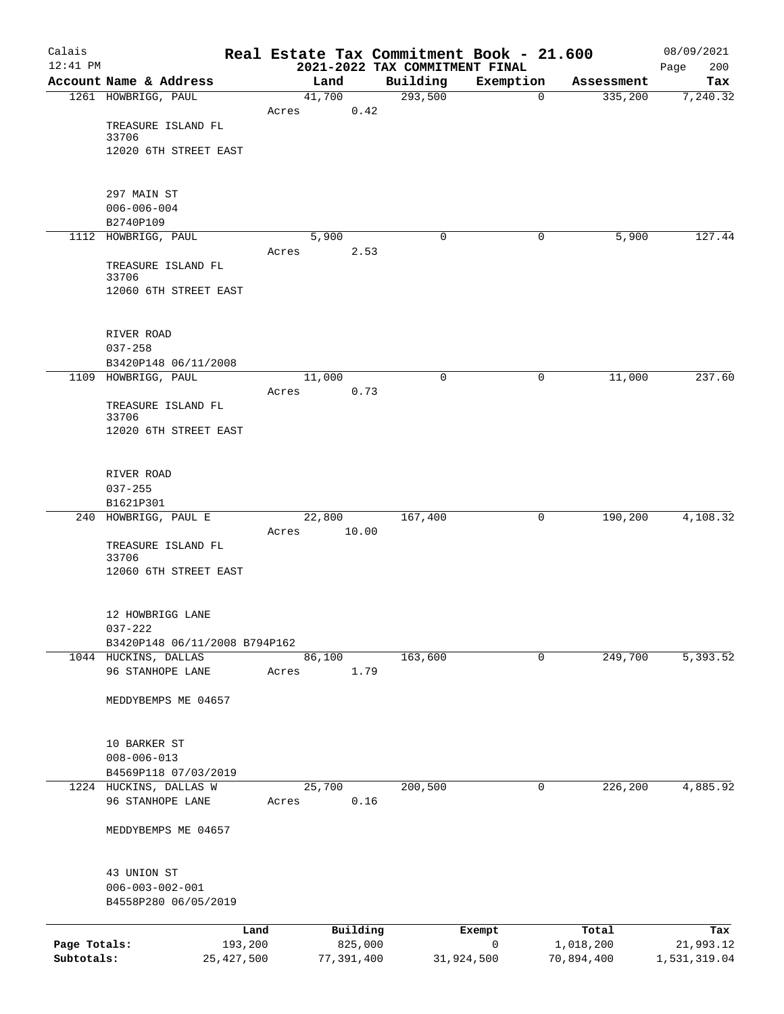| Calais<br>$12:41$ PM       |                                                |       |                       | Real Estate Tax Commitment Book - 21.600   |                 |                         | 08/09/2021                |
|----------------------------|------------------------------------------------|-------|-----------------------|--------------------------------------------|-----------------|-------------------------|---------------------------|
|                            | Account Name & Address                         |       | Land                  | 2021-2022 TAX COMMITMENT FINAL<br>Building | Exemption       | Assessment              | 200<br>Page<br>Tax        |
|                            | 1261 HOWBRIGG, PAUL                            |       | 41,700                | 293,500                                    | $\mathbf 0$     | 335,200                 | 7,240.32                  |
|                            |                                                | Acres | 0.42                  |                                            |                 |                         |                           |
|                            | TREASURE ISLAND FL                             |       |                       |                                            |                 |                         |                           |
|                            | 33706                                          |       |                       |                                            |                 |                         |                           |
|                            | 12020 6TH STREET EAST                          |       |                       |                                            |                 |                         |                           |
|                            | 297 MAIN ST                                    |       |                       |                                            |                 |                         |                           |
|                            | $006 - 006 - 004$                              |       |                       |                                            |                 |                         |                           |
|                            | B2740P109                                      |       |                       |                                            |                 |                         |                           |
|                            | 1112 HOWBRIGG, PAUL                            |       | 5,900                 | 0                                          | 0               | 5,900                   | 127.44                    |
|                            |                                                | Acres | 2.53                  |                                            |                 |                         |                           |
|                            | TREASURE ISLAND FL<br>33706                    |       |                       |                                            |                 |                         |                           |
|                            | 12060 6TH STREET EAST                          |       |                       |                                            |                 |                         |                           |
|                            |                                                |       |                       |                                            |                 |                         |                           |
|                            | RIVER ROAD                                     |       |                       |                                            |                 |                         |                           |
|                            | $037 - 258$                                    |       |                       |                                            |                 |                         |                           |
|                            | B3420P148 06/11/2008                           |       |                       |                                            |                 |                         |                           |
|                            | 1109 HOWBRIGG, PAUL                            |       | 11,000                | 0                                          | 0               | 11,000                  | 237.60                    |
|                            |                                                | Acres | 0.73                  |                                            |                 |                         |                           |
|                            | TREASURE ISLAND FL<br>33706                    |       |                       |                                            |                 |                         |                           |
|                            | 12020 6TH STREET EAST                          |       |                       |                                            |                 |                         |                           |
|                            |                                                |       |                       |                                            |                 |                         |                           |
|                            | RIVER ROAD                                     |       |                       |                                            |                 |                         |                           |
|                            | $037 - 255$<br>B1621P301                       |       |                       |                                            |                 |                         |                           |
|                            | 240 HOWBRIGG, PAUL E                           |       | $\frac{22}{800}$      | 167,400                                    | 0               | 190,200                 | 4,108.32                  |
|                            |                                                | Acres | 10.00                 |                                            |                 |                         |                           |
|                            | TREASURE ISLAND FL                             |       |                       |                                            |                 |                         |                           |
|                            | 33706                                          |       |                       |                                            |                 |                         |                           |
|                            | 12060 6TH STREET EAST                          |       |                       |                                            |                 |                         |                           |
|                            | 12 HOWBRIGG LANE                               |       |                       |                                            |                 |                         |                           |
|                            | $037 - 222$                                    |       |                       |                                            |                 |                         |                           |
|                            | B3420P148 06/11/2008 B794P162                  |       |                       |                                            |                 |                         |                           |
|                            | 1044 HUCKINS, DALLAS                           |       | 86,100                | 163,600                                    | 0               | 249,700                 | 5,393.52                  |
|                            | 96 STANHOPE LANE                               | Acres | 1.79                  |                                            |                 |                         |                           |
|                            | MEDDYBEMPS ME 04657                            |       |                       |                                            |                 |                         |                           |
|                            |                                                |       |                       |                                            |                 |                         |                           |
|                            | 10 BARKER ST                                   |       |                       |                                            |                 |                         |                           |
|                            | $008 - 006 - 013$                              |       |                       |                                            |                 |                         |                           |
|                            | B4569P118 07/03/2019<br>1224 HUCKINS, DALLAS W |       | 25,700                | 200,500                                    | 0               | 226,200                 | 4,885.92                  |
|                            | 96 STANHOPE LANE                               | Acres | 0.16                  |                                            |                 |                         |                           |
|                            |                                                |       |                       |                                            |                 |                         |                           |
|                            | MEDDYBEMPS ME 04657                            |       |                       |                                            |                 |                         |                           |
|                            | 43 UNION ST                                    |       |                       |                                            |                 |                         |                           |
|                            | $006 - 003 - 002 - 001$                        |       |                       |                                            |                 |                         |                           |
|                            | B4558P280 06/05/2019                           |       |                       |                                            |                 |                         |                           |
|                            |                                                | Land  | Building              |                                            | Exempt          | Total                   | Tax                       |
| Page Totals:<br>Subtotals: | 193,200<br>25, 427, 500                        |       | 825,000<br>77,391,400 |                                            | 0<br>31,924,500 | 1,018,200<br>70,894,400 | 21,993.12<br>1,531,319.04 |
|                            |                                                |       |                       |                                            |                 |                         |                           |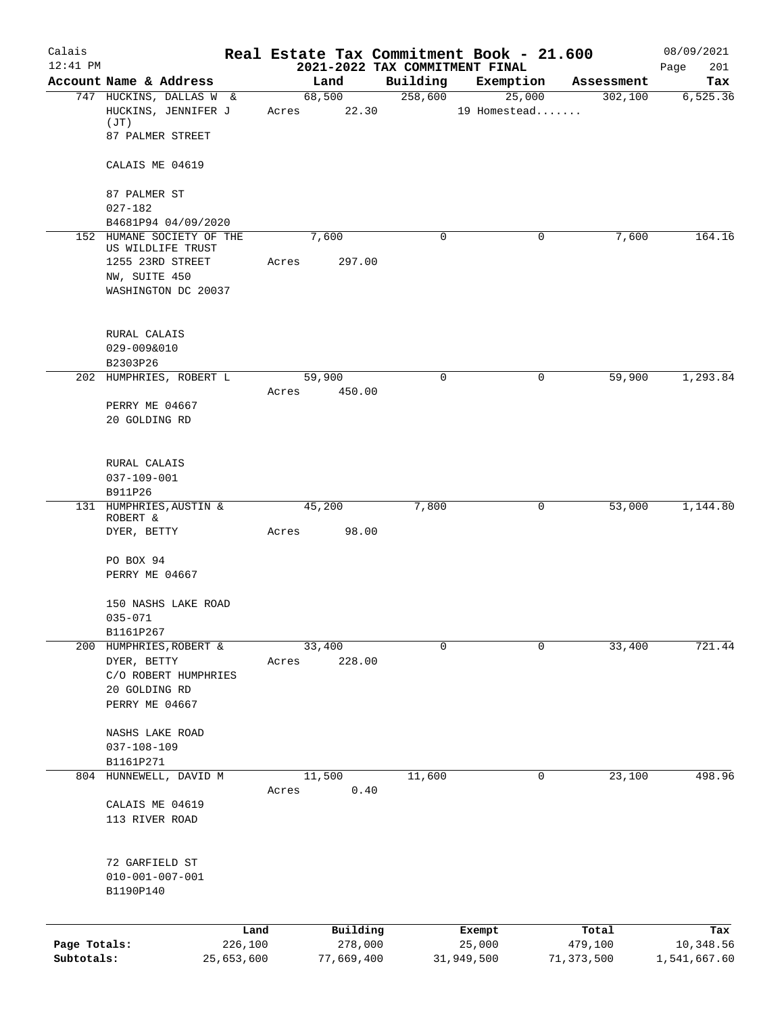| Calais<br>$12:41$ PM |                                      |         |             |          |             | Real Estate Tax Commitment Book - 21.600    |            | 08/09/2021         |
|----------------------|--------------------------------------|---------|-------------|----------|-------------|---------------------------------------------|------------|--------------------|
|                      | Account Name & Address               |         | Land        |          | Building    | 2021-2022 TAX COMMITMENT FINAL<br>Exemption | Assessment | 201<br>Page<br>Tax |
|                      | 747 HUCKINS, DALLAS W &              |         | 68,500      |          | 258,600     | 25,000                                      | 302,100    | 6, 525.36          |
|                      | HUCKINS, JENNIFER J<br>(JT)          |         | Acres 22.30 |          |             | 19 Homestead                                |            |                    |
|                      | 87 PALMER STREET                     |         |             |          |             |                                             |            |                    |
|                      | CALAIS ME 04619                      |         |             |          |             |                                             |            |                    |
|                      | 87 PALMER ST                         |         |             |          |             |                                             |            |                    |
|                      | $027 - 182$<br>B4681P94 04/09/2020   |         |             |          |             |                                             |            |                    |
|                      | 152 HUMANE SOCIETY OF THE            |         | 7,600       |          | 0           | 0                                           | 7,600      | 164.16             |
|                      | US WILDLIFE TRUST                    |         |             |          |             |                                             |            |                    |
|                      | 1255 23RD STREET<br>NW, SUITE 450    |         | Acres       | 297.00   |             |                                             |            |                    |
|                      | WASHINGTON DC 20037                  |         |             |          |             |                                             |            |                    |
|                      |                                      |         |             |          |             |                                             |            |                    |
|                      | RURAL CALAIS<br>029-009&010          |         |             |          |             |                                             |            |                    |
|                      | B2303P26                             |         |             |          |             |                                             |            |                    |
|                      | 202 HUMPHRIES, ROBERT L              |         | 59,900      |          | $\mathbf 0$ | 0                                           | 59,900     | 1,293.84           |
|                      | PERRY ME 04667                       |         | Acres       | 450.00   |             |                                             |            |                    |
|                      | 20 GOLDING RD                        |         |             |          |             |                                             |            |                    |
|                      | RURAL CALAIS                         |         |             |          |             |                                             |            |                    |
|                      | $037 - 109 - 001$                    |         |             |          |             |                                             |            |                    |
|                      | B911P26<br>131 HUMPHRIES, AUSTIN &   |         | 45,200      |          | 7,800       | 0                                           | 53,000     | 1,144.80           |
|                      | ROBERT &                             |         |             |          |             |                                             |            |                    |
|                      | DYER, BETTY                          |         | Acres       | 98.00    |             |                                             |            |                    |
|                      | PO BOX 94                            |         |             |          |             |                                             |            |                    |
|                      | PERRY ME 04667                       |         |             |          |             |                                             |            |                    |
|                      | 150 NASHS LAKE ROAD                  |         |             |          |             |                                             |            |                    |
|                      | $035 - 071$                          |         |             |          |             |                                             |            |                    |
|                      | B1161P267<br>200 HUMPHRIES, ROBERT & |         | 33,400      |          | $\mathbf 0$ | 0                                           | 33,400     | 721.44             |
|                      | DYER, BETTY                          |         | Acres       | 228.00   |             |                                             |            |                    |
|                      | C/O ROBERT HUMPHRIES                 |         |             |          |             |                                             |            |                    |
|                      | 20 GOLDING RD<br>PERRY ME 04667      |         |             |          |             |                                             |            |                    |
|                      |                                      |         |             |          |             |                                             |            |                    |
|                      | NASHS LAKE ROAD                      |         |             |          |             |                                             |            |                    |
|                      | $037 - 108 - 109$                    |         |             |          |             |                                             |            |                    |
|                      | B1161P271<br>804 HUNNEWELL, DAVID M  |         | 11,500      |          | 11,600      | 0                                           | 23,100     | 498.96             |
|                      |                                      |         | Acres       | 0.40     |             |                                             |            |                    |
|                      | CALAIS ME 04619                      |         |             |          |             |                                             |            |                    |
|                      | 113 RIVER ROAD                       |         |             |          |             |                                             |            |                    |
|                      | 72 GARFIELD ST                       |         |             |          |             |                                             |            |                    |
|                      | $010 - 001 - 007 - 001$<br>B1190P140 |         |             |          |             |                                             |            |                    |
|                      |                                      |         |             |          |             |                                             |            |                    |
|                      |                                      | Land    |             | Building |             | Exempt                                      | Total      | Tax                |
| Page Totals:         |                                      | 226,100 |             | 278,000  |             | 25,000                                      | 479,100    | 10,348.56          |
| Subtotals:           | 25,653,600                           |         | 77,669,400  |          |             | 31,949,500                                  | 71,373,500 | 1,541,667.60       |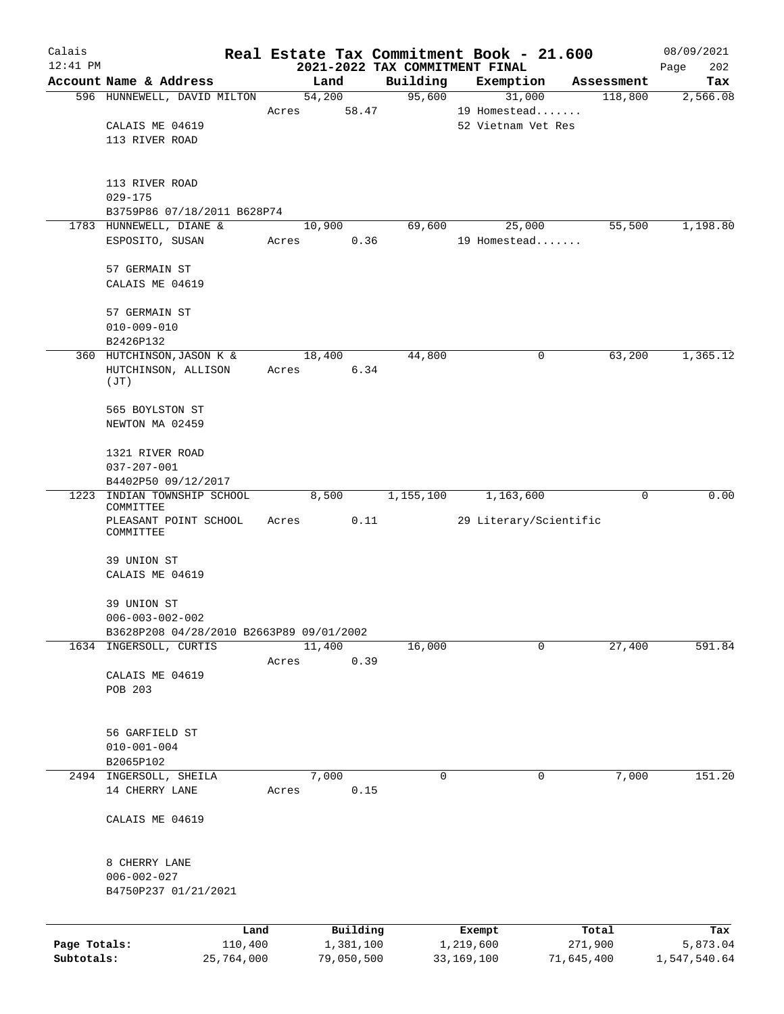| Calais       |                                                       |            |       |                |      |                                | Real Estate Tax Commitment Book - 21.600 |                       | 08/09/2021   |
|--------------|-------------------------------------------------------|------------|-------|----------------|------|--------------------------------|------------------------------------------|-----------------------|--------------|
| $12:41$ PM   |                                                       |            |       |                |      | 2021-2022 TAX COMMITMENT FINAL |                                          |                       | Page<br>202  |
|              | Account Name & Address<br>596 HUNNEWELL, DAVID MILTON |            |       | Land<br>54,200 |      | Building<br>95,600             | Exemption                                | Assessment<br>118,800 | Tax          |
|              |                                                       |            | Acres | 58.47          |      |                                | 31,000<br>19 Homestead                   |                       | 2,566.08     |
|              | CALAIS ME 04619                                       |            |       |                |      |                                | 52 Vietnam Vet Res                       |                       |              |
|              | 113 RIVER ROAD                                        |            |       |                |      |                                |                                          |                       |              |
|              |                                                       |            |       |                |      |                                |                                          |                       |              |
|              | 113 RIVER ROAD                                        |            |       |                |      |                                |                                          |                       |              |
|              | $029 - 175$                                           |            |       |                |      |                                |                                          |                       |              |
|              | B3759P86 07/18/2011 B628P74                           |            |       |                |      |                                |                                          |                       |              |
|              | 1783 HUNNEWELL, DIANE &                               |            |       | 10,900         |      | 69,600                         | 25,000                                   | 55,500                | 1,198.80     |
|              | ESPOSITO, SUSAN                                       |            | Acres |                | 0.36 |                                | 19 Homestead                             |                       |              |
|              | 57 GERMAIN ST                                         |            |       |                |      |                                |                                          |                       |              |
|              | CALAIS ME 04619                                       |            |       |                |      |                                |                                          |                       |              |
|              | 57 GERMAIN ST                                         |            |       |                |      |                                |                                          |                       |              |
|              | $010 - 009 - 010$                                     |            |       |                |      |                                |                                          |                       |              |
|              | B2426P132                                             |            |       |                |      |                                |                                          |                       |              |
|              | 360 HUTCHINSON, JASON K &                             |            |       | 18,400         |      | 44,800                         | 0                                        | 63,200                | 1,365.12     |
|              | HUTCHINSON, ALLISON                                   |            | Acres |                | 6.34 |                                |                                          |                       |              |
|              | (JT)                                                  |            |       |                |      |                                |                                          |                       |              |
|              | 565 BOYLSTON ST                                       |            |       |                |      |                                |                                          |                       |              |
|              | NEWTON MA 02459                                       |            |       |                |      |                                |                                          |                       |              |
|              | 1321 RIVER ROAD                                       |            |       |                |      |                                |                                          |                       |              |
|              | $037 - 207 - 001$                                     |            |       |                |      |                                |                                          |                       |              |
|              | B4402P50 09/12/2017                                   |            |       |                |      |                                |                                          |                       |              |
| 1223         | INDIAN TOWNSHIP SCHOOL                                |            |       | 8,500          |      | 1,155,100                      | 1,163,600                                | $\mathbf 0$           | 0.00         |
|              | COMMITTEE                                             |            |       |                |      |                                |                                          |                       |              |
|              | PLEASANT POINT SCHOOL<br>COMMITTEE                    |            | Acres |                | 0.11 |                                | 29 Literary/Scientific                   |                       |              |
|              | 39 UNION ST                                           |            |       |                |      |                                |                                          |                       |              |
|              | CALAIS ME 04619                                       |            |       |                |      |                                |                                          |                       |              |
|              | 39 UNION ST                                           |            |       |                |      |                                |                                          |                       |              |
|              | $006 - 003 - 002 - 002$                               |            |       |                |      |                                |                                          |                       |              |
|              | B3628P208 04/28/2010 B2663P89 09/01/2002              |            |       |                |      |                                |                                          |                       |              |
| 1634         | INGERSOLL, CURTIS                                     |            |       | 11,400         |      | 16,000                         | 0                                        | 27,400                | 591.84       |
|              |                                                       |            | Acres |                | 0.39 |                                |                                          |                       |              |
|              | CALAIS ME 04619                                       |            |       |                |      |                                |                                          |                       |              |
|              | POB 203                                               |            |       |                |      |                                |                                          |                       |              |
|              |                                                       |            |       |                |      |                                |                                          |                       |              |
|              | 56 GARFIELD ST                                        |            |       |                |      |                                |                                          |                       |              |
|              | $010 - 001 - 004$                                     |            |       |                |      |                                |                                          |                       |              |
|              | B2065P102                                             |            |       |                |      |                                |                                          |                       |              |
|              | 2494 INGERSOLL, SHEILA<br>14 CHERRY LANE              |            | Acres | 7,000          | 0.15 | 0                              | 0                                        | 7,000                 | 151.20       |
|              |                                                       |            |       |                |      |                                |                                          |                       |              |
|              | CALAIS ME 04619                                       |            |       |                |      |                                |                                          |                       |              |
|              |                                                       |            |       |                |      |                                |                                          |                       |              |
|              | 8 CHERRY LANE                                         |            |       |                |      |                                |                                          |                       |              |
|              | $006 - 002 - 027$                                     |            |       |                |      |                                |                                          |                       |              |
|              | B4750P237 01/21/2021                                  |            |       |                |      |                                |                                          |                       |              |
|              |                                                       | Land       |       | Building       |      |                                | Exempt                                   | Total                 | Tax          |
| Page Totals: |                                                       | 110,400    |       | 1,381,100      |      |                                | 1,219,600                                | 271,900               | 5,873.04     |
| Subtotals:   |                                                       | 25,764,000 |       | 79,050,500     |      |                                | 33, 169, 100<br>71,645,400               |                       | 1,547,540.64 |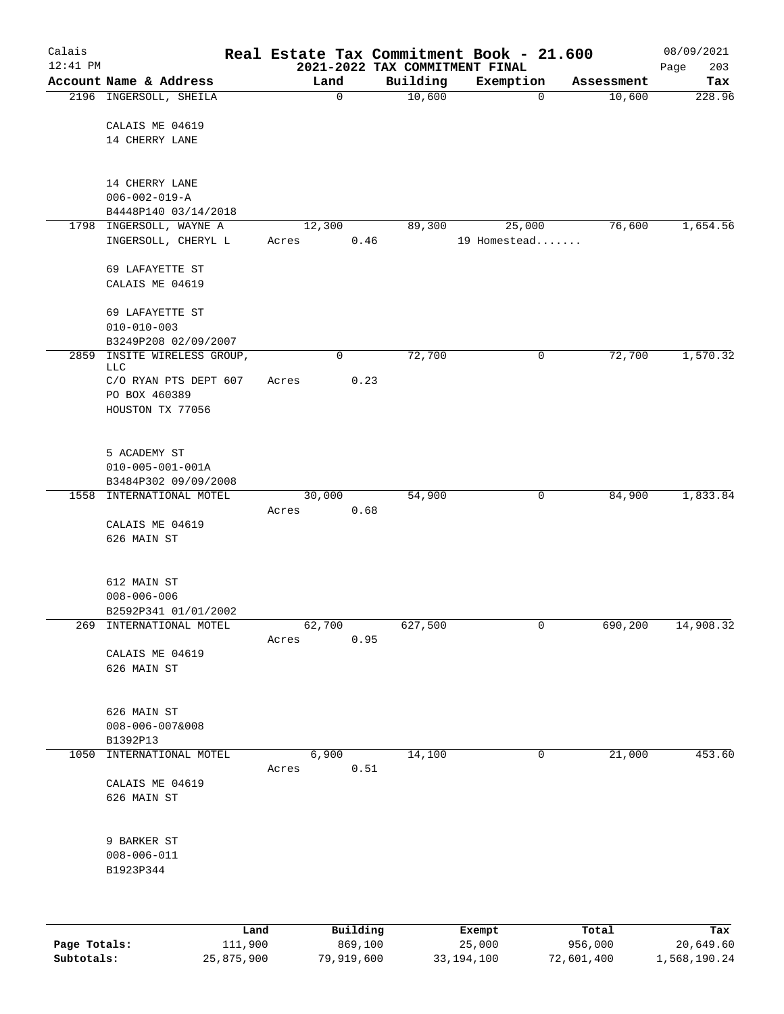| Calais       |                                          |       |             |                                | Real Estate Tax Commitment Book - 21.600 |            | 08/09/2021  |
|--------------|------------------------------------------|-------|-------------|--------------------------------|------------------------------------------|------------|-------------|
| $12:41$ PM   |                                          |       |             | 2021-2022 TAX COMMITMENT FINAL |                                          |            | 203<br>Page |
|              | Account Name & Address                   |       | Land        | Building                       | Exemption                                | Assessment | Tax         |
|              | 2196 INGERSOLL, SHEILA                   |       | $\mathbf 0$ | 10,600                         | $\mathbf 0$                              | 10,600     | 228.96      |
|              | CALAIS ME 04619                          |       |             |                                |                                          |            |             |
|              | 14 CHERRY LANE                           |       |             |                                |                                          |            |             |
|              |                                          |       |             |                                |                                          |            |             |
|              |                                          |       |             |                                |                                          |            |             |
|              | 14 CHERRY LANE<br>$006 - 002 - 019 - A$  |       |             |                                |                                          |            |             |
|              | B4448P140 03/14/2018                     |       |             |                                |                                          |            |             |
| 1798         | INGERSOLL, WAYNE A                       |       | 12,300      | 89,300                         | 25,000                                   | 76,600     | 1,654.56    |
|              | INGERSOLL, CHERYL L                      | Acres | 0.46        |                                | 19 Homestead                             |            |             |
|              |                                          |       |             |                                |                                          |            |             |
|              | 69 LAFAYETTE ST                          |       |             |                                |                                          |            |             |
|              | CALAIS ME 04619                          |       |             |                                |                                          |            |             |
|              | 69 LAFAYETTE ST                          |       |             |                                |                                          |            |             |
|              | $010 - 010 - 003$                        |       |             |                                |                                          |            |             |
|              | B3249P208 02/09/2007                     |       |             |                                |                                          |            |             |
| 2859         | INSITE WIRELESS GROUP,<br>LLC            |       | 0           | 72,700                         | 0                                        | 72,700     | 1,570.32    |
|              | C/O RYAN PTS DEPT 607                    | Acres | 0.23        |                                |                                          |            |             |
|              | PO BOX 460389                            |       |             |                                |                                          |            |             |
|              | HOUSTON TX 77056                         |       |             |                                |                                          |            |             |
|              |                                          |       |             |                                |                                          |            |             |
|              |                                          |       |             |                                |                                          |            |             |
|              | 5 ACADEMY ST<br>$010 - 005 - 001 - 001A$ |       |             |                                |                                          |            |             |
|              | B3484P302 09/09/2008                     |       |             |                                |                                          |            |             |
| 1558         | INTERNATIONAL MOTEL                      |       | 30,000      | 54,900                         | 0                                        | 84,900     | 1,833.84    |
|              |                                          | Acres | 0.68        |                                |                                          |            |             |
|              | CALAIS ME 04619                          |       |             |                                |                                          |            |             |
|              | 626 MAIN ST                              |       |             |                                |                                          |            |             |
|              |                                          |       |             |                                |                                          |            |             |
|              | 612 MAIN ST                              |       |             |                                |                                          |            |             |
|              | $008 - 006 - 006$                        |       |             |                                |                                          |            |             |
|              | B2592P341 01/01/2002                     |       |             |                                |                                          |            |             |
| 269          | INTERNATIONAL MOTEL                      |       | 62,700      | 627,500                        | 0                                        | 690,200    | 14,908.32   |
|              | CALAIS ME 04619                          | Acres | 0.95        |                                |                                          |            |             |
|              | 626 MAIN ST                              |       |             |                                |                                          |            |             |
|              |                                          |       |             |                                |                                          |            |             |
|              |                                          |       |             |                                |                                          |            |             |
|              | 626 MAIN ST                              |       |             |                                |                                          |            |             |
|              | $008 - 006 - 007&008$<br>B1392P13        |       |             |                                |                                          |            |             |
| 1050         | INTERNATIONAL MOTEL                      |       | 6,900       | 14,100                         | $\mathbf 0$                              | 21,000     | 453.60      |
|              |                                          | Acres | 0.51        |                                |                                          |            |             |
|              | CALAIS ME 04619                          |       |             |                                |                                          |            |             |
|              | 626 MAIN ST                              |       |             |                                |                                          |            |             |
|              |                                          |       |             |                                |                                          |            |             |
|              | 9 BARKER ST                              |       |             |                                |                                          |            |             |
|              | $008 - 006 - 011$                        |       |             |                                |                                          |            |             |
|              | B1923P344                                |       |             |                                |                                          |            |             |
|              |                                          |       |             |                                |                                          |            |             |
|              |                                          |       |             |                                |                                          |            |             |
|              | Land                                     |       | Building    |                                | Exempt                                   | Total      | Tax         |
| Page Totals: | 111,900                                  |       | 869,100     |                                | 25,000                                   | 956,000    | 20,649.60   |

**Subtotals:** 25,875,900 79,919,600 33,194,100 72,601,400 1,568,190.24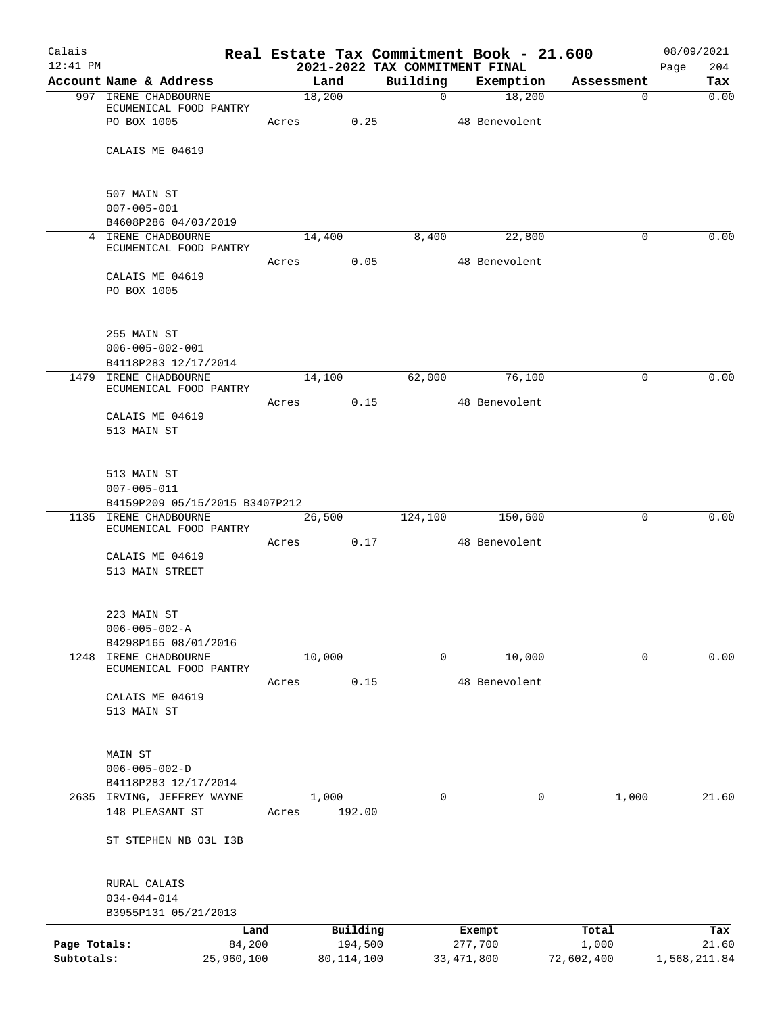| Calais<br>$12:41$ PM |                                                 |       |                     |             | Real Estate Tax Commitment Book - 21.600<br>2021-2022 TAX COMMITMENT FINAL |                | 08/09/2021<br>Page<br>204 |
|----------------------|-------------------------------------------------|-------|---------------------|-------------|----------------------------------------------------------------------------|----------------|---------------------------|
|                      | Account Name & Address                          |       | Land                | Building    | Exemption                                                                  | Assessment     | Tax                       |
|                      | 997 IRENE CHADBOURNE                            |       | 18,200              | $\mathbf 0$ | 18,200                                                                     | $\mathbf{0}$   | 0.00                      |
|                      | ECUMENICAL FOOD PANTRY                          |       |                     |             |                                                                            |                |                           |
|                      | PO BOX 1005                                     | Acres | 0.25                |             | 48 Benevolent                                                              |                |                           |
|                      | CALAIS ME 04619                                 |       |                     |             |                                                                            |                |                           |
|                      |                                                 |       |                     |             |                                                                            |                |                           |
|                      |                                                 |       |                     |             |                                                                            |                |                           |
|                      | 507 MAIN ST                                     |       |                     |             |                                                                            |                |                           |
|                      | $007 - 005 - 001$<br>B4608P286 04/03/2019       |       |                     |             |                                                                            |                |                           |
|                      | 4 IRENE CHADBOURNE                              |       | 14,400              | 8,400       | 22,800                                                                     | $\Omega$       | 0.00                      |
|                      | ECUMENICAL FOOD PANTRY                          |       |                     |             |                                                                            |                |                           |
|                      |                                                 | Acres | 0.05                |             | 48 Benevolent                                                              |                |                           |
|                      | CALAIS ME 04619<br>PO BOX 1005                  |       |                     |             |                                                                            |                |                           |
|                      |                                                 |       |                     |             |                                                                            |                |                           |
|                      |                                                 |       |                     |             |                                                                            |                |                           |
|                      | 255 MAIN ST                                     |       |                     |             |                                                                            |                |                           |
|                      | $006 - 005 - 002 - 001$                         |       |                     |             |                                                                            |                |                           |
|                      | B4118P283 12/17/2014<br>1479 IRENE CHADBOURNE   |       | 14,100              | 62,000      | 76,100                                                                     | 0              | 0.00                      |
|                      | ECUMENICAL FOOD PANTRY                          |       |                     |             |                                                                            |                |                           |
|                      |                                                 | Acres | 0.15                |             | 48 Benevolent                                                              |                |                           |
|                      | CALAIS ME 04619                                 |       |                     |             |                                                                            |                |                           |
|                      | 513 MAIN ST                                     |       |                     |             |                                                                            |                |                           |
|                      |                                                 |       |                     |             |                                                                            |                |                           |
|                      | 513 MAIN ST                                     |       |                     |             |                                                                            |                |                           |
|                      | $007 - 005 - 011$                               |       |                     |             |                                                                            |                |                           |
|                      | B4159P209 05/15/2015 B3407P212                  |       |                     |             |                                                                            |                |                           |
|                      | 1135 IRENE CHADBOURNE<br>ECUMENICAL FOOD PANTRY |       | 26,500              | 124,100     | 150,600                                                                    | $\mathbf 0$    | 0.00                      |
|                      |                                                 | Acres | 0.17                |             | 48 Benevolent                                                              |                |                           |
|                      | CALAIS ME 04619                                 |       |                     |             |                                                                            |                |                           |
|                      | 513 MAIN STREET                                 |       |                     |             |                                                                            |                |                           |
|                      |                                                 |       |                     |             |                                                                            |                |                           |
|                      | 223 MAIN ST                                     |       |                     |             |                                                                            |                |                           |
|                      | $006 - 005 - 002 - A$                           |       |                     |             |                                                                            |                |                           |
|                      | B4298P165 08/01/2016                            |       |                     |             |                                                                            |                |                           |
| 1248                 | IRENE CHADBOURNE                                |       | 10,000              | 0           | 10,000                                                                     | 0              | 0.00                      |
|                      | ECUMENICAL FOOD PANTRY                          | Acres | 0.15                |             | 48 Benevolent                                                              |                |                           |
|                      | CALAIS ME 04619                                 |       |                     |             |                                                                            |                |                           |
|                      | 513 MAIN ST                                     |       |                     |             |                                                                            |                |                           |
|                      |                                                 |       |                     |             |                                                                            |                |                           |
|                      |                                                 |       |                     |             |                                                                            |                |                           |
|                      | MAIN ST<br>$006 - 005 - 002 - D$                |       |                     |             |                                                                            |                |                           |
|                      | B4118P283 12/17/2014                            |       |                     |             |                                                                            |                |                           |
|                      | 2635 IRVING, JEFFREY WAYNE                      |       | 1,000               | 0           | $\Omega$                                                                   | 1,000          | 21.60                     |
|                      | 148 PLEASANT ST                                 | Acres | 192.00              |             |                                                                            |                |                           |
|                      |                                                 |       |                     |             |                                                                            |                |                           |
|                      | ST STEPHEN NB O3L I3B                           |       |                     |             |                                                                            |                |                           |
|                      |                                                 |       |                     |             |                                                                            |                |                           |
|                      | RURAL CALAIS                                    |       |                     |             |                                                                            |                |                           |
|                      | $034 - 044 - 014$                               |       |                     |             |                                                                            |                |                           |
|                      | B3955P131 05/21/2013                            |       |                     |             |                                                                            |                |                           |
| Page Totals:         | Land<br>84,200                                  |       | Building<br>194,500 |             | Exempt<br>277,700                                                          | Total<br>1,000 | Tax<br>21.60              |
| Subtotals:           | 25,960,100                                      |       | 80, 114, 100        |             | 33, 471, 800                                                               | 72,602,400     | 1,568,211.84              |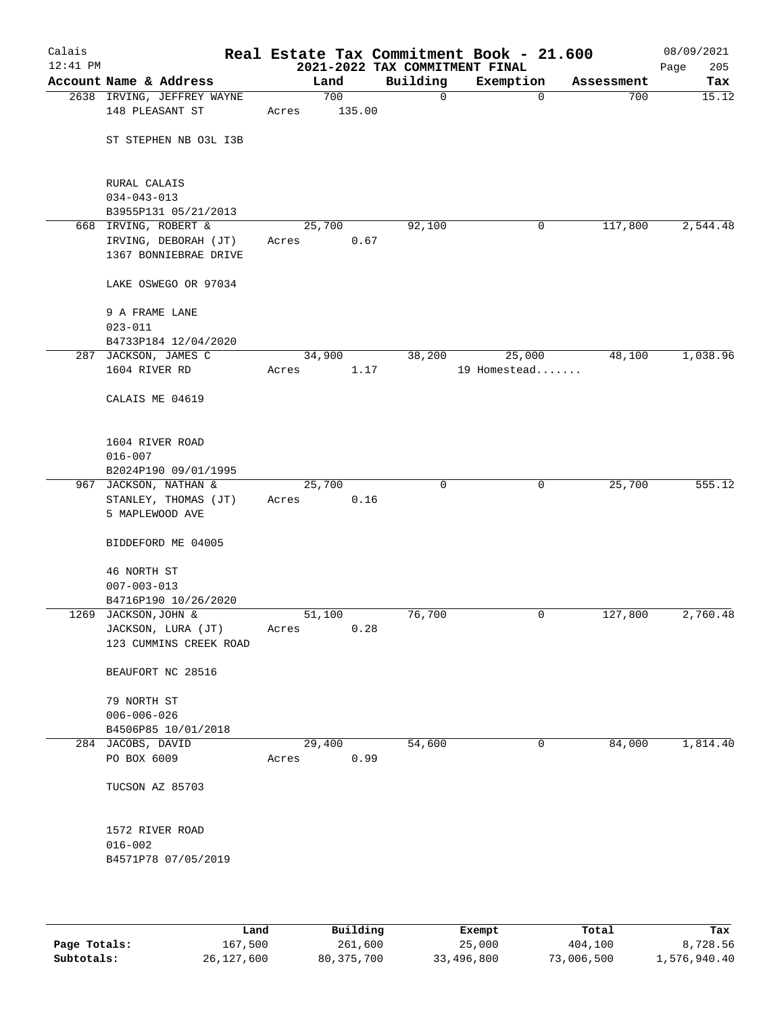| Calais<br>12:41 PM |                                                                       |                 |               | 2021-2022 TAX COMMITMENT FINAL | Real Estate Tax Commitment Book - 21.600 |            | 08/09/2021<br>205<br>Page |
|--------------------|-----------------------------------------------------------------------|-----------------|---------------|--------------------------------|------------------------------------------|------------|---------------------------|
|                    | Account Name & Address                                                |                 | Land          | Building                       | Exemption                                | Assessment | Tax                       |
|                    | 2638 IRVING, JEFFREY WAYNE<br>148 PLEASANT ST                         | Acres           | 700<br>135.00 | $\mathbf 0$                    | $\mathbf 0$                              | 700        | 15.12                     |
|                    | ST STEPHEN NB O3L I3B                                                 |                 |               |                                |                                          |            |                           |
|                    | RURAL CALAIS<br>$034 - 043 - 013$<br>B3955P131 05/21/2013             |                 |               |                                |                                          |            |                           |
|                    | 668 IRVING, ROBERT &<br>IRVING, DEBORAH (JT)<br>1367 BONNIEBRAE DRIVE | 25,700<br>Acres | 0.67          | 92,100                         | 0                                        | 117,800    | 2,544.48                  |
|                    | LAKE OSWEGO OR 97034                                                  |                 |               |                                |                                          |            |                           |
|                    | 9 A FRAME LANE<br>$023 - 011$<br>B4733P184 12/04/2020                 |                 |               |                                |                                          |            |                           |
|                    | 287 JACKSON, JAMES C                                                  |                 | 34,900        | 38,200                         | 25,000                                   | 48,100     | 1,038.96                  |
|                    | 1604 RIVER RD                                                         | Acres           | 1.17          |                                | 19 Homestead                             |            |                           |
|                    | CALAIS ME 04619                                                       |                 |               |                                |                                          |            |                           |
|                    | 1604 RIVER ROAD<br>$016 - 007$                                        |                 |               |                                |                                          |            |                           |
|                    | B2024P190 09/01/1995<br>967 JACKSON, NATHAN &                         | 25,700          |               | 0                              | 0                                        | 25,700     | 555.12                    |
|                    | STANLEY, THOMAS (JT)<br>5 MAPLEWOOD AVE                               | Acres           | 0.16          |                                |                                          |            |                           |
|                    | BIDDEFORD ME 04005                                                    |                 |               |                                |                                          |            |                           |
|                    | 46 NORTH ST<br>$007 - 003 - 013$<br>B4716P190 10/26/2020              |                 |               |                                |                                          |            |                           |
|                    | 1269 JACKSON, JOHN &                                                  | 51,100          |               | 76,700                         | 0                                        | 127,800    | 2,760.48                  |
|                    | JACKSON, LURA (JT)<br>123 CUMMINS CREEK ROAD                          | Acres           | 0.28          |                                |                                          |            |                           |
|                    | BEAUFORT NC 28516                                                     |                 |               |                                |                                          |            |                           |
|                    | 79 NORTH ST                                                           |                 |               |                                |                                          |            |                           |
|                    | $006 - 006 - 026$                                                     |                 |               |                                |                                          |            |                           |
|                    | B4506P85 10/01/2018                                                   |                 |               |                                |                                          |            |                           |
|                    | 284 JACOBS, DAVID                                                     | 29,400          |               | 54,600                         | 0                                        | 84,000     | 1,814.40                  |
|                    | PO BOX 6009                                                           | Acres           | 0.99          |                                |                                          |            |                           |
|                    | TUCSON AZ 85703                                                       |                 |               |                                |                                          |            |                           |
|                    | 1572 RIVER ROAD<br>$016 - 002$<br>B4571P78 07/05/2019                 |                 |               |                                |                                          |            |                           |
|                    |                                                                       |                 |               |                                |                                          |            |                           |

|              | Land       | Building   | Exempt     | Total      | Tax          |
|--------------|------------|------------|------------|------------|--------------|
| Page Totals: | 167,500    | 261,600    | 25,000     | 404,100    | 8,728.56     |
| Subtotals:   | 26,127,600 | 80,375,700 | 33,496,800 | 73,006,500 | 1,576,940.40 |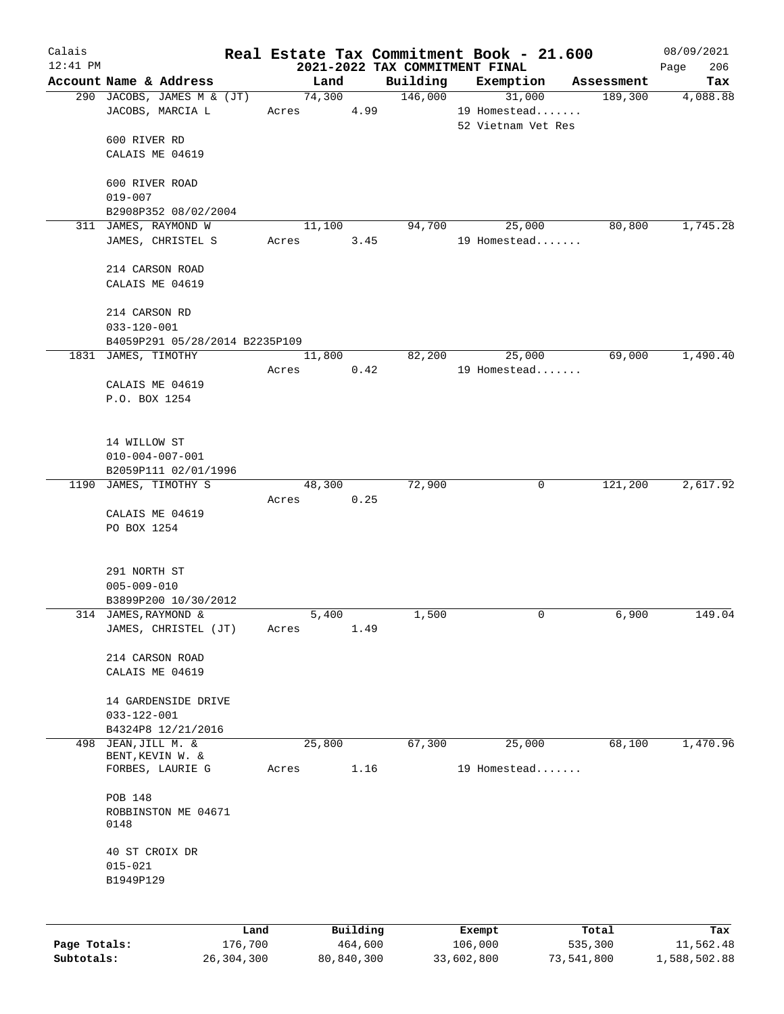| Calais       |                                               |         |       |          |         |          | Real Estate Tax Commitment Book - 21.600    |            | 08/09/2021         |
|--------------|-----------------------------------------------|---------|-------|----------|---------|----------|---------------------------------------------|------------|--------------------|
| $12:41$ PM   | Account Name & Address                        |         |       | Land     |         | Building | 2021-2022 TAX COMMITMENT FINAL<br>Exemption | Assessment | 206<br>Page<br>Tax |
|              | 290 JACOBS, JAMES M & (JT)                    |         |       | 74,300   |         | 146,000  | 31,000                                      | 189,300    | 4,088.88           |
|              | JACOBS, MARCIA L                              |         | Acres |          | 4.99    |          | 19 Homestead                                |            |                    |
|              |                                               |         |       |          |         |          | 52 Vietnam Vet Res                          |            |                    |
|              | 600 RIVER RD                                  |         |       |          |         |          |                                             |            |                    |
|              | CALAIS ME 04619                               |         |       |          |         |          |                                             |            |                    |
|              | 600 RIVER ROAD                                |         |       |          |         |          |                                             |            |                    |
|              | $019 - 007$                                   |         |       |          |         |          |                                             |            |                    |
|              | B2908P352 08/02/2004                          |         |       |          |         |          |                                             |            |                    |
|              | 311 JAMES, RAYMOND W                          |         | Acres | 11,100   | 3.45    | 94,700   | 25,000<br>19 Homestead                      | 80,800     | 1,745.28           |
|              | JAMES, CHRISTEL S                             |         |       |          |         |          |                                             |            |                    |
|              | 214 CARSON ROAD                               |         |       |          |         |          |                                             |            |                    |
|              | CALAIS ME 04619                               |         |       |          |         |          |                                             |            |                    |
|              |                                               |         |       |          |         |          |                                             |            |                    |
|              | 214 CARSON RD<br>$033 - 120 - 001$            |         |       |          |         |          |                                             |            |                    |
|              | B4059P291 05/28/2014 B2235P109                |         |       |          |         |          |                                             |            |                    |
|              | 1831 JAMES, TIMOTHY                           |         |       | 11,800   |         | 82,200   | 25,000                                      | 69,000     | 1,490.40           |
|              |                                               |         | Acres |          | 0.42    |          | 19 Homestead                                |            |                    |
|              | CALAIS ME 04619<br>P.O. BOX 1254              |         |       |          |         |          |                                             |            |                    |
|              |                                               |         |       |          |         |          |                                             |            |                    |
|              |                                               |         |       |          |         |          |                                             |            |                    |
|              | 14 WILLOW ST                                  |         |       |          |         |          |                                             |            |                    |
|              | $010 - 004 - 007 - 001$                       |         |       |          |         |          |                                             |            |                    |
|              | B2059P111 02/01/1996<br>1190 JAMES, TIMOTHY S |         |       | 48,300   |         | 72,900   | 0                                           | 121,200    | 2,617.92           |
|              |                                               |         | Acres |          | 0.25    |          |                                             |            |                    |
|              | CALAIS ME 04619                               |         |       |          |         |          |                                             |            |                    |
|              | PO BOX 1254                                   |         |       |          |         |          |                                             |            |                    |
|              |                                               |         |       |          |         |          |                                             |            |                    |
|              | 291 NORTH ST                                  |         |       |          |         |          |                                             |            |                    |
|              | $005 - 009 - 010$                             |         |       |          |         |          |                                             |            |                    |
|              | B3899P200 10/30/2012<br>314 JAMES, RAYMOND &  |         |       | 5,400    |         | 1,500    | 0                                           | 6,900      | 149.04             |
|              | JAMES, CHRISTEL (JT)                          |         | Acres |          | 1.49    |          |                                             |            |                    |
|              |                                               |         |       |          |         |          |                                             |            |                    |
|              | 214 CARSON ROAD                               |         |       |          |         |          |                                             |            |                    |
|              | CALAIS ME 04619                               |         |       |          |         |          |                                             |            |                    |
|              | 14 GARDENSIDE DRIVE                           |         |       |          |         |          |                                             |            |                    |
|              | $033 - 122 - 001$                             |         |       |          |         |          |                                             |            |                    |
|              | B4324P8 12/21/2016                            |         |       |          |         |          |                                             |            |                    |
| 498          | JEAN, JILL M. &<br>BENT, KEVIN W. &           |         |       | 25,800   |         | 67,300   | 25,000                                      | 68,100     | 1,470.96           |
|              | FORBES, LAURIE G                              |         | Acres |          | 1.16    |          | 19 Homestead                                |            |                    |
|              |                                               |         |       |          |         |          |                                             |            |                    |
|              | POB 148<br>ROBBINSTON ME 04671                |         |       |          |         |          |                                             |            |                    |
|              | 0148                                          |         |       |          |         |          |                                             |            |                    |
|              | 40 ST CROIX DR                                |         |       |          |         |          |                                             |            |                    |
|              | $015 - 021$                                   |         |       |          |         |          |                                             |            |                    |
|              | B1949P129                                     |         |       |          |         |          |                                             |            |                    |
|              |                                               |         |       |          |         |          |                                             |            |                    |
|              |                                               | Land    |       | Building |         |          | Exempt                                      | Total      | Tax                |
| Page Totals: |                                               | 176,700 |       |          | 464,600 |          | 106,000                                     | 535,300    | 11,562.48          |

**Subtotals:** 26,304,300 80,840,300 33,602,800 73,541,800 1,588,502.88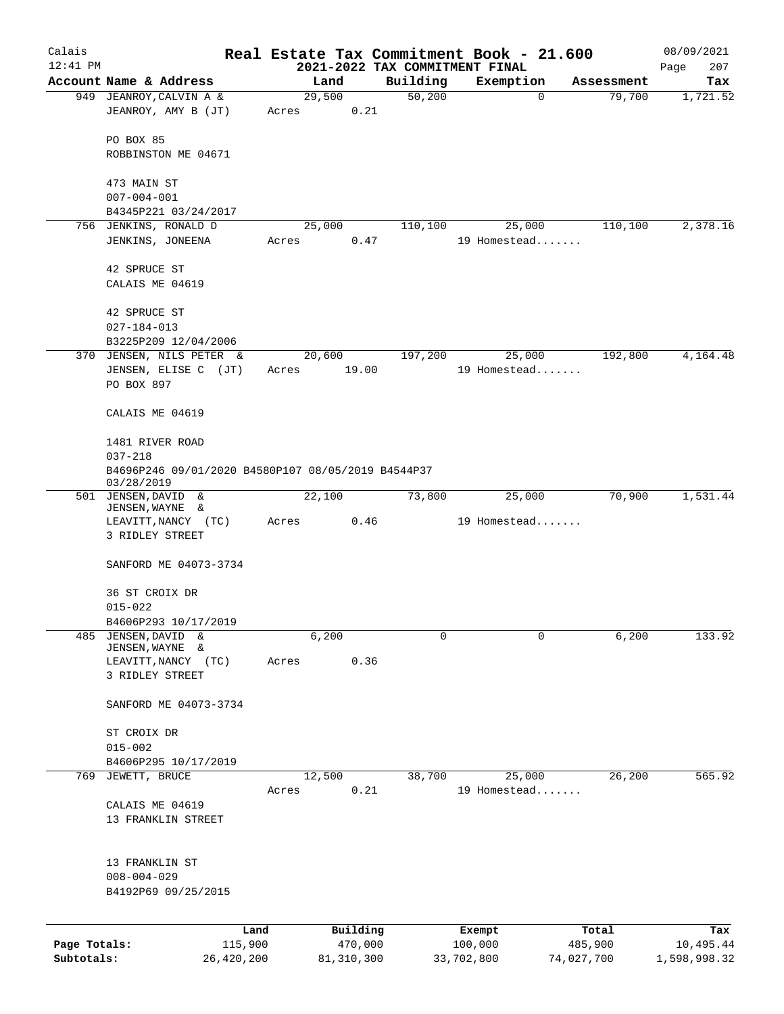| Calais       |                                                                                 |       |                 | Real Estate Tax Commitment Book - 21.600 |                        |             |                      | 08/09/2021      |
|--------------|---------------------------------------------------------------------------------|-------|-----------------|------------------------------------------|------------------------|-------------|----------------------|-----------------|
| $12:41$ PM   | Account Name & Address                                                          |       |                 | 2021-2022 TAX COMMITMENT FINAL           |                        |             |                      | 207<br>Page     |
|              |                                                                                 |       | Land<br>29,500  | Building<br>50,200                       | Exemption              | $\mathbf 0$ | Assessment<br>79,700 | Tax<br>1,721.52 |
|              | 949 JEANROY, CALVIN A &<br>JEANROY, AMY B (JT)                                  | Acres | 0.21            |                                          |                        |             |                      |                 |
|              | PO BOX 85<br>ROBBINSTON ME 04671                                                |       |                 |                                          |                        |             |                      |                 |
|              | 473 MAIN ST                                                                     |       |                 |                                          |                        |             |                      |                 |
|              | $007 - 004 - 001$                                                               |       |                 |                                          |                        |             |                      |                 |
|              | B4345P221 03/24/2017                                                            |       |                 |                                          |                        |             |                      |                 |
|              | 756 JENKINS, RONALD D                                                           |       | 25,000          | 110,100                                  | 25,000                 |             | 110,100              | 2,378.16        |
|              | JENKINS, JONEENA                                                                | Acres | 0.47            |                                          | 19 Homestead           |             |                      |                 |
|              | 42 SPRUCE ST                                                                    |       |                 |                                          |                        |             |                      |                 |
|              | CALAIS ME 04619                                                                 |       |                 |                                          |                        |             |                      |                 |
|              | 42 SPRUCE ST                                                                    |       |                 |                                          |                        |             |                      |                 |
|              | $027 - 184 - 013$                                                               |       |                 |                                          |                        |             |                      |                 |
|              | B3225P209 12/04/2006                                                            |       |                 |                                          |                        |             |                      | 4,164.48        |
|              | 370 JENSEN, NILS PETER &<br>JENSEN, ELISE C (JT)                                | Acres | 20,600<br>19.00 | 197,200                                  | 25,000<br>19 Homestead |             | 192,800              |                 |
|              | PO BOX 897                                                                      |       |                 |                                          |                        |             |                      |                 |
|              | CALAIS ME 04619                                                                 |       |                 |                                          |                        |             |                      |                 |
|              | 1481 RIVER ROAD                                                                 |       |                 |                                          |                        |             |                      |                 |
|              | $037 - 218$<br>B4696P246 09/01/2020 B4580P107 08/05/2019 B4544P37<br>03/28/2019 |       |                 |                                          |                        |             |                      |                 |
|              | 501 JENSEN, DAVID &                                                             |       | 22,100          | 73,800                                   | 25,000                 |             | 70,900               | 1,531.44        |
|              | JENSEN, WAYNE &                                                                 |       |                 |                                          |                        |             |                      |                 |
|              | LEAVITT, NANCY (TC)<br>3 RIDLEY STREET                                          | Acres | 0.46            |                                          | 19 Homestead           |             |                      |                 |
|              | SANFORD ME 04073-3734                                                           |       |                 |                                          |                        |             |                      |                 |
|              | 36 ST CROIX DR                                                                  |       |                 |                                          |                        |             |                      |                 |
|              | $015 - 022$                                                                     |       |                 |                                          |                        |             |                      |                 |
|              | B4606P293 10/17/2019                                                            |       |                 |                                          |                        |             |                      |                 |
| 485          | <b>JENSEN, DAVID</b><br>&                                                       |       | 6,200           | 0                                        |                        | 0           | 6,200                | 133.92          |
|              | JENSEN, WAYNE<br>&<br>LEAVITT, NANCY<br>(TC)                                    | Acres | 0.36            |                                          |                        |             |                      |                 |
|              | 3 RIDLEY STREET                                                                 |       |                 |                                          |                        |             |                      |                 |
|              | SANFORD ME 04073-3734                                                           |       |                 |                                          |                        |             |                      |                 |
|              | ST CROIX DR                                                                     |       |                 |                                          |                        |             |                      |                 |
|              | $015 - 002$                                                                     |       |                 |                                          |                        |             |                      |                 |
|              | B4606P295 10/17/2019                                                            |       |                 |                                          |                        |             |                      |                 |
| 769          | JEWETT, BRUCE                                                                   |       | 12,500          | 38,700                                   | 25,000                 |             | 26,200               | 565.92          |
|              | CALAIS ME 04619                                                                 | Acres | 0.21            |                                          | 19 Homestead           |             |                      |                 |
|              | 13 FRANKLIN STREET                                                              |       |                 |                                          |                        |             |                      |                 |
|              |                                                                                 |       |                 |                                          |                        |             |                      |                 |
|              | 13 FRANKLIN ST                                                                  |       |                 |                                          |                        |             |                      |                 |
|              | $008 - 004 - 029$                                                               |       |                 |                                          |                        |             |                      |                 |
|              | B4192P69 09/25/2015                                                             |       |                 |                                          |                        |             |                      |                 |
|              |                                                                                 | Land  | Building        |                                          | Exempt                 |             | Total                | Tax             |
| Page Totals: | 115,900                                                                         |       | 470,000         |                                          | 100,000                |             | 485,900              | 10,495.44       |
| Subtotals:   | 26,420,200                                                                      |       | 81, 310, 300    |                                          | 33,702,800             |             | 74,027,700           | 1,598,998.32    |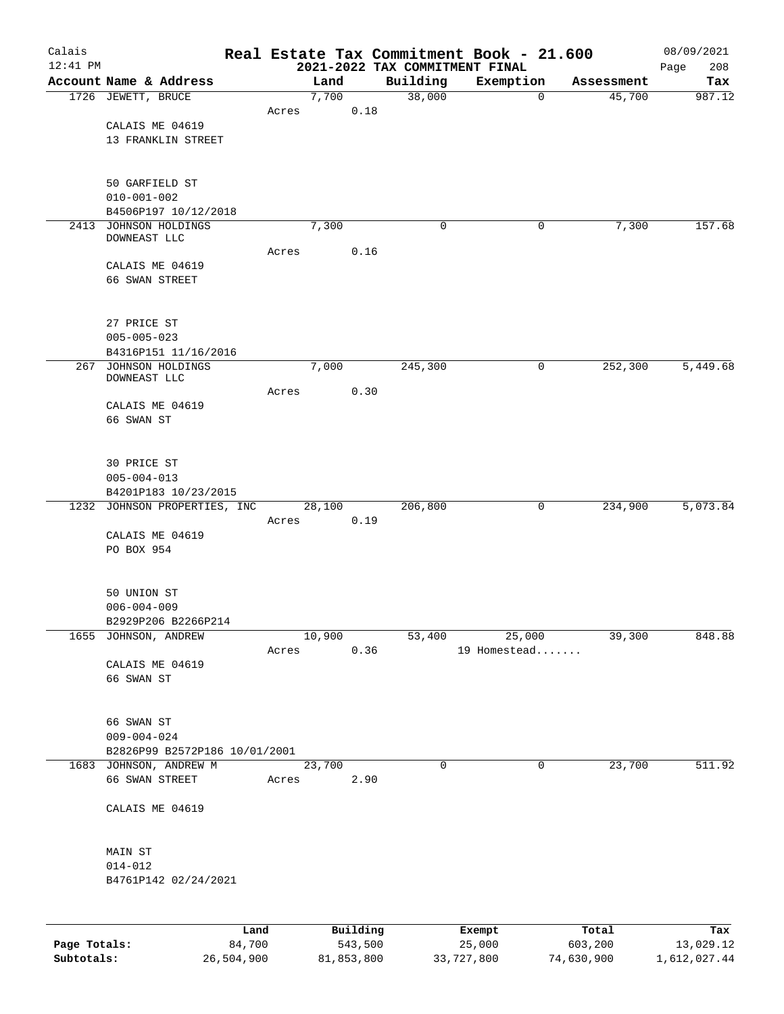| Calais<br>$12:41$ PM |                                                         |        |       |        |          |      | Real Estate Tax Commitment Book - 21.600   |                        |             |            | 08/09/2021         |
|----------------------|---------------------------------------------------------|--------|-------|--------|----------|------|--------------------------------------------|------------------------|-------------|------------|--------------------|
|                      | Account Name & Address                                  |        |       | Land   |          |      | 2021-2022 TAX COMMITMENT FINAL<br>Building | Exemption              |             | Assessment | 208<br>Page<br>Tax |
|                      | 1726 JEWETT, BRUCE                                      |        |       | 7,700  |          |      | 38,000                                     |                        | $\mathbf 0$ | 45,700     | 987.12             |
|                      |                                                         |        | Acres |        |          | 0.18 |                                            |                        |             |            |                    |
|                      | CALAIS ME 04619                                         |        |       |        |          |      |                                            |                        |             |            |                    |
|                      | 13 FRANKLIN STREET                                      |        |       |        |          |      |                                            |                        |             |            |                    |
|                      |                                                         |        |       |        |          |      |                                            |                        |             |            |                    |
|                      | 50 GARFIELD ST                                          |        |       |        |          |      |                                            |                        |             |            |                    |
|                      | $010 - 001 - 002$                                       |        |       |        |          |      |                                            |                        |             |            |                    |
|                      | B4506P197 10/12/2018                                    |        |       |        |          |      |                                            |                        |             |            |                    |
| 2413                 | JOHNSON HOLDINGS                                        |        |       | 7,300  |          |      | 0                                          |                        | 0           | 7,300      | 157.68             |
|                      | DOWNEAST LLC                                            |        |       |        |          |      |                                            |                        |             |            |                    |
|                      | CALAIS ME 04619                                         |        | Acres |        |          | 0.16 |                                            |                        |             |            |                    |
|                      | 66 SWAN STREET                                          |        |       |        |          |      |                                            |                        |             |            |                    |
|                      |                                                         |        |       |        |          |      |                                            |                        |             |            |                    |
|                      |                                                         |        |       |        |          |      |                                            |                        |             |            |                    |
|                      | 27 PRICE ST                                             |        |       |        |          |      |                                            |                        |             |            |                    |
|                      | $005 - 005 - 023$                                       |        |       |        |          |      |                                            |                        |             |            |                    |
|                      | B4316P151 11/16/2016                                    |        |       |        |          |      |                                            |                        |             |            |                    |
| 267                  | JOHNSON HOLDINGS<br>DOWNEAST LLC                        |        |       | 7,000  |          |      | 245,300                                    |                        | 0           | 252,300    | 5,449.68           |
|                      |                                                         |        | Acres |        |          | 0.30 |                                            |                        |             |            |                    |
|                      | CALAIS ME 04619                                         |        |       |        |          |      |                                            |                        |             |            |                    |
|                      | 66 SWAN ST                                              |        |       |        |          |      |                                            |                        |             |            |                    |
|                      |                                                         |        |       |        |          |      |                                            |                        |             |            |                    |
|                      | 30 PRICE ST                                             |        |       |        |          |      |                                            |                        |             |            |                    |
|                      | $005 - 004 - 013$                                       |        |       |        |          |      |                                            |                        |             |            |                    |
|                      | B4201P183 10/23/2015                                    |        |       |        |          |      |                                            |                        |             |            |                    |
|                      | 1232 JOHNSON PROPERTIES, INC                            |        |       | 28,100 |          |      | 206,800                                    |                        | 0           | 234,900    | 5,073.84           |
|                      |                                                         |        | Acres |        |          | 0.19 |                                            |                        |             |            |                    |
|                      | CALAIS ME 04619                                         |        |       |        |          |      |                                            |                        |             |            |                    |
|                      | PO BOX 954                                              |        |       |        |          |      |                                            |                        |             |            |                    |
|                      |                                                         |        |       |        |          |      |                                            |                        |             |            |                    |
|                      | 50 UNION ST                                             |        |       |        |          |      |                                            |                        |             |            |                    |
|                      | $006 - 004 - 009$                                       |        |       |        |          |      |                                            |                        |             |            |                    |
|                      | B2929P206 B2266P214                                     |        |       |        |          |      |                                            |                        |             |            |                    |
|                      | 1655 JOHNSON, ANDREW                                    |        | Acres | 10,900 |          |      | 53,400                                     | 25,000<br>19 Homestead |             | 39,300     | 848.88             |
|                      | CALAIS ME 04619                                         |        |       |        |          | 0.36 |                                            |                        |             |            |                    |
|                      | 66 SWAN ST                                              |        |       |        |          |      |                                            |                        |             |            |                    |
|                      |                                                         |        |       |        |          |      |                                            |                        |             |            |                    |
|                      |                                                         |        |       |        |          |      |                                            |                        |             |            |                    |
|                      | 66 SWAN ST                                              |        |       |        |          |      |                                            |                        |             |            |                    |
|                      | $009 - 004 - 024$                                       |        |       |        |          |      |                                            |                        |             |            |                    |
|                      | B2826P99 B2572P186 10/01/2001<br>1683 JOHNSON, ANDREW M |        |       | 23,700 |          |      | 0                                          |                        | $\mathbf 0$ | 23,700     | 511.92             |
|                      | 66 SWAN STREET                                          |        | Acres |        |          | 2.90 |                                            |                        |             |            |                    |
|                      |                                                         |        |       |        |          |      |                                            |                        |             |            |                    |
|                      | CALAIS ME 04619                                         |        |       |        |          |      |                                            |                        |             |            |                    |
|                      |                                                         |        |       |        |          |      |                                            |                        |             |            |                    |
|                      |                                                         |        |       |        |          |      |                                            |                        |             |            |                    |
|                      | MAIN ST<br>$014 - 012$                                  |        |       |        |          |      |                                            |                        |             |            |                    |
|                      | B4761P142 02/24/2021                                    |        |       |        |          |      |                                            |                        |             |            |                    |
|                      |                                                         |        |       |        |          |      |                                            |                        |             |            |                    |
|                      |                                                         |        |       |        |          |      |                                            |                        |             |            |                    |
|                      |                                                         | Land   |       |        | Building |      |                                            | Exempt                 |             | Total      | Tax                |
| Page Totals:         |                                                         | 84,700 |       |        | 543,500  |      |                                            | 25,000                 |             | 603,200    | 13,029.12          |

**Subtotals:** 26,504,900 81,853,800 33,727,800 74,630,900 1,612,027.44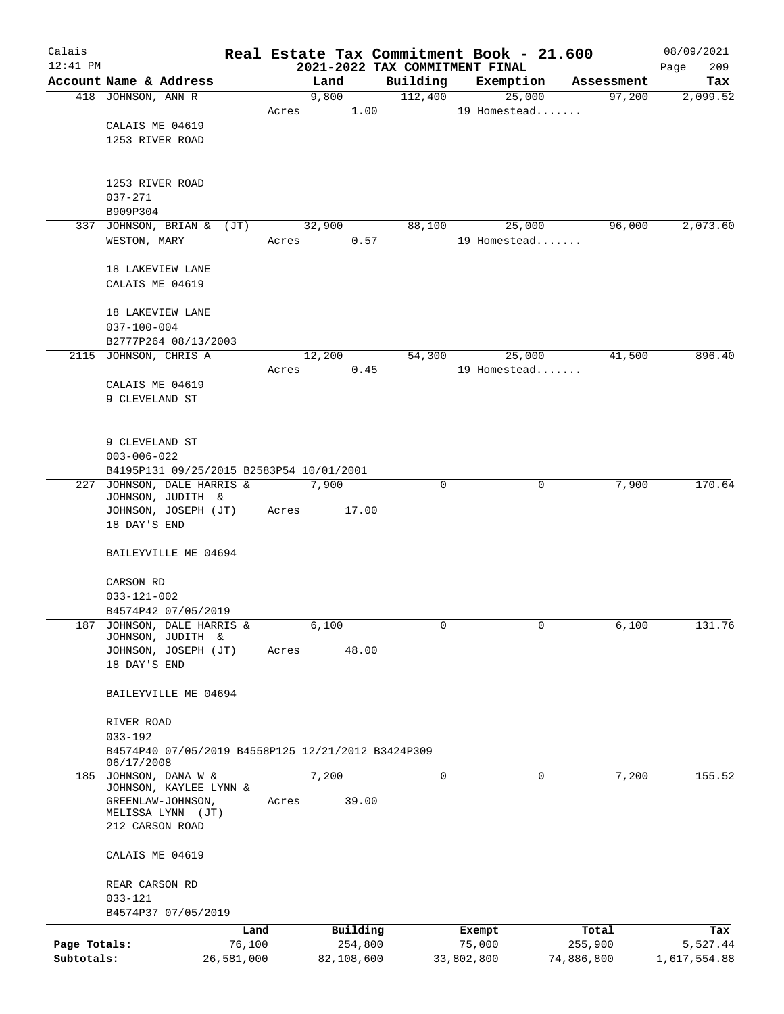| Calais       |                                                    |            |       |        |            |                                | Real Estate Tax Commitment Book - 21.600 |            | 08/09/2021   |
|--------------|----------------------------------------------------|------------|-------|--------|------------|--------------------------------|------------------------------------------|------------|--------------|
| $12:41$ PM   |                                                    |            |       |        |            | 2021-2022 TAX COMMITMENT FINAL |                                          |            | 209<br>Page  |
|              | Account Name & Address                             |            |       | Land   |            | Building                       | Exemption                                | Assessment | Tax          |
|              | 418 JOHNSON, ANN R                                 |            | Acres | 9,800  | 1.00       | 112,400                        | 25,000<br>19 Homestead                   | 97,200     | 2,099.52     |
|              | CALAIS ME 04619                                    |            |       |        |            |                                |                                          |            |              |
|              | 1253 RIVER ROAD                                    |            |       |        |            |                                |                                          |            |              |
|              |                                                    |            |       |        |            |                                |                                          |            |              |
|              |                                                    |            |       |        |            |                                |                                          |            |              |
|              | 1253 RIVER ROAD                                    |            |       |        |            |                                |                                          |            |              |
|              | $037 - 271$                                        |            |       |        |            |                                |                                          |            |              |
|              | B909P304                                           |            |       |        |            |                                |                                          |            |              |
|              | 337 JOHNSON, BRIAN & (JT)                          |            |       | 32,900 |            | 88,100                         | 25,000                                   | 96,000     | 2,073.60     |
|              | WESTON, MARY                                       |            | Acres |        | 0.57       |                                | 19 Homestead                             |            |              |
|              | 18 LAKEVIEW LANE                                   |            |       |        |            |                                |                                          |            |              |
|              | CALAIS ME 04619                                    |            |       |        |            |                                |                                          |            |              |
|              |                                                    |            |       |        |            |                                |                                          |            |              |
|              | 18 LAKEVIEW LANE                                   |            |       |        |            |                                |                                          |            |              |
|              | $037 - 100 - 004$                                  |            |       |        |            |                                |                                          |            |              |
|              | B2777P264 08/13/2003                               |            |       |        |            |                                |                                          |            |              |
|              | 2115 JOHNSON, CHRIS A                              |            |       | 12,200 |            | 54,300                         | 25,000                                   | 41,500     | 896.40       |
|              |                                                    |            | Acres |        | 0.45       |                                | 19 Homestead                             |            |              |
|              | CALAIS ME 04619                                    |            |       |        |            |                                |                                          |            |              |
|              | 9 CLEVELAND ST                                     |            |       |        |            |                                |                                          |            |              |
|              |                                                    |            |       |        |            |                                |                                          |            |              |
|              | 9 CLEVELAND ST                                     |            |       |        |            |                                |                                          |            |              |
|              | $003 - 006 - 022$                                  |            |       |        |            |                                |                                          |            |              |
|              | B4195P131 09/25/2015 B2583P54 10/01/2001           |            |       |        |            |                                |                                          |            |              |
|              | 227 JOHNSON, DALE HARRIS &                         |            |       | 7,900  |            | 0                              | $\mathbf 0$                              | 7,900      | 170.64       |
|              | JOHNSON, JUDITH &                                  |            |       |        |            |                                |                                          |            |              |
|              | JOHNSON, JOSEPH (JT)                               |            | Acres |        | 17.00      |                                |                                          |            |              |
|              | 18 DAY'S END                                       |            |       |        |            |                                |                                          |            |              |
|              | BAILEYVILLE ME 04694                               |            |       |        |            |                                |                                          |            |              |
|              |                                                    |            |       |        |            |                                |                                          |            |              |
|              | CARSON RD                                          |            |       |        |            |                                |                                          |            |              |
|              | $033 - 121 - 002$                                  |            |       |        |            |                                |                                          |            |              |
|              | B4574P42 07/05/2019                                |            |       |        |            |                                |                                          |            |              |
| 187          | JOHNSON, DALE HARRIS &                             |            |       | 6,100  |            | 0                              | 0                                        | 6,100      | 131.76       |
|              | JOHNSON, JUDITH &                                  |            |       |        |            |                                |                                          |            |              |
|              | JOHNSON, JOSEPH (JT)<br>18 DAY'S END               |            | Acres |        | 48.00      |                                |                                          |            |              |
|              |                                                    |            |       |        |            |                                |                                          |            |              |
|              | BAILEYVILLE ME 04694                               |            |       |        |            |                                |                                          |            |              |
|              |                                                    |            |       |        |            |                                |                                          |            |              |
|              | RIVER ROAD                                         |            |       |        |            |                                |                                          |            |              |
|              | $033 - 192$                                        |            |       |        |            |                                |                                          |            |              |
|              | B4574P40 07/05/2019 B4558P125 12/21/2012 B3424P309 |            |       |        |            |                                |                                          |            |              |
|              | 06/17/2008<br>185 JOHNSON, DANA W &                |            |       | 7,200  |            | 0                              | 0                                        | 7,200      | 155.52       |
|              | JOHNSON, KAYLEE LYNN &                             |            |       |        |            |                                |                                          |            |              |
|              | GREENLAW-JOHNSON,                                  |            | Acres |        | 39.00      |                                |                                          |            |              |
|              | MELISSA LYNN (JT)                                  |            |       |        |            |                                |                                          |            |              |
|              | 212 CARSON ROAD                                    |            |       |        |            |                                |                                          |            |              |
|              | CALAIS ME 04619                                    |            |       |        |            |                                |                                          |            |              |
|              |                                                    |            |       |        |            |                                |                                          |            |              |
|              | REAR CARSON RD                                     |            |       |        |            |                                |                                          |            |              |
|              | $033 - 121$                                        |            |       |        |            |                                |                                          |            |              |
|              | B4574P37 07/05/2019                                |            |       |        |            |                                |                                          |            |              |
|              |                                                    | Land       |       |        | Building   |                                | Exempt                                   | Total      | Tax          |
| Page Totals: |                                                    | 76,100     |       |        | 254,800    |                                | 75,000                                   | 255,900    | 5,527.44     |
| Subtotals:   |                                                    | 26,581,000 |       |        | 82,108,600 |                                | 33,802,800                               | 74,886,800 | 1,617,554.88 |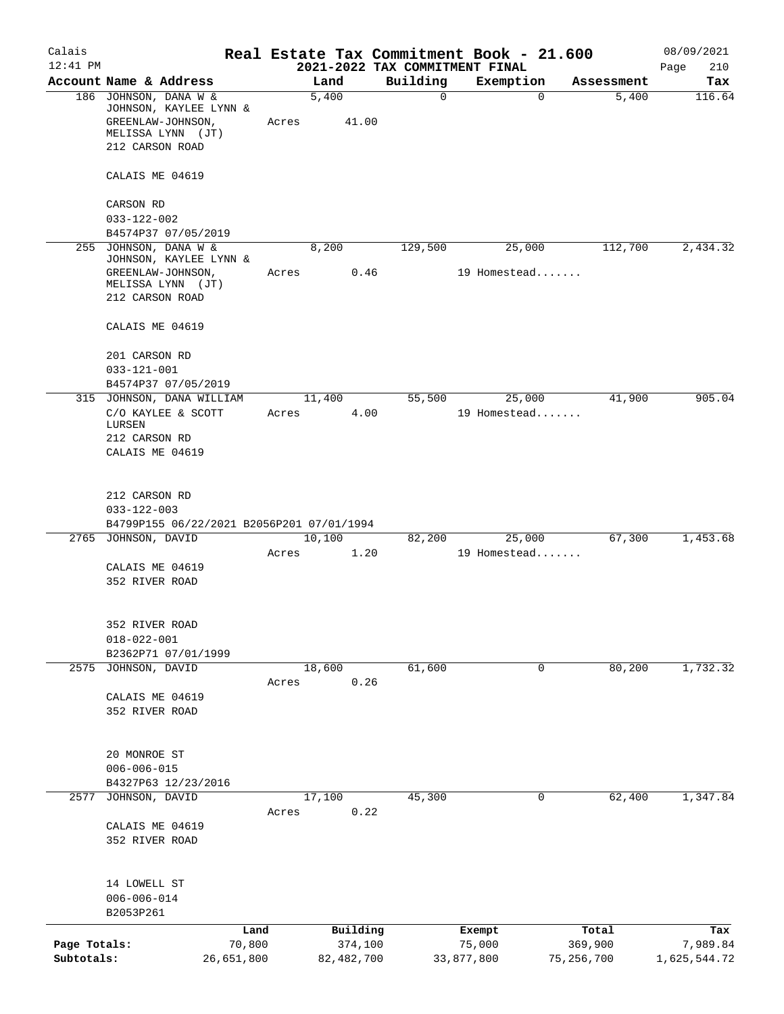| Calais                     |                                                                                                              |                         |                                | Real Estate Tax Commitment Book - 21.600 |                         | 08/09/2021               |
|----------------------------|--------------------------------------------------------------------------------------------------------------|-------------------------|--------------------------------|------------------------------------------|-------------------------|--------------------------|
| $12:41$ PM                 |                                                                                                              |                         | 2021-2022 TAX COMMITMENT FINAL |                                          |                         | 210<br>Page              |
|                            | Account Name & Address                                                                                       | Land                    | Building                       | Exemption                                | Assessment              | Tax                      |
|                            | 186 JOHNSON, DANA W &<br>JOHNSON, KAYLEE LYNN &<br>GREENLAW-JOHNSON,<br>MELISSA LYNN (JT)<br>212 CARSON ROAD | 5,400<br>41.00<br>Acres | $\mathsf{O}$                   | $\mathbf 0$                              | 5,400                   | 116.64                   |
|                            | CALAIS ME 04619                                                                                              |                         |                                |                                          |                         |                          |
|                            | CARSON RD<br>$033 - 122 - 002$                                                                               |                         |                                |                                          |                         |                          |
|                            | B4574P37 07/05/2019                                                                                          |                         |                                |                                          |                         |                          |
|                            | 255 JOHNSON, DANA W &<br>JOHNSON, KAYLEE LYNN &<br>GREENLAW-JOHNSON,<br>MELISSA LYNN (JT)<br>212 CARSON ROAD | 8,200<br>Acres          | 129,500<br>0.46                | 25,000<br>19 Homestead                   | 112,700                 | 2,434.32                 |
|                            | CALAIS ME 04619                                                                                              |                         |                                |                                          |                         |                          |
|                            | 201 CARSON RD<br>$033 - 121 - 001$<br>B4574P37 07/05/2019                                                    |                         |                                |                                          |                         |                          |
|                            | 315 JOHNSON, DANA WILLIAM<br>C/O KAYLEE & SCOTT<br>LURSEN<br>212 CARSON RD<br>CALAIS ME 04619                | 11,400<br>Acres         | 55,500<br>4.00                 | 25,000<br>19 Homestead                   | 41,900                  | 905.04                   |
|                            | 212 CARSON RD<br>$033 - 122 - 003$                                                                           |                         |                                |                                          |                         |                          |
|                            | B4799P155 06/22/2021 B2056P201 07/01/1994<br>2765 JOHNSON, DAVID                                             | 10,100                  | 82,200                         | 25,000                                   | 67,300                  | 1,453.68                 |
|                            |                                                                                                              | Acres                   | 1.20                           | 19 Homestead                             |                         |                          |
|                            | CALAIS ME 04619<br>352 RIVER ROAD                                                                            |                         |                                |                                          |                         |                          |
|                            | 352 RIVER ROAD<br>$018 - 022 - 001$<br>B2362P71 07/01/1999                                                   |                         |                                |                                          |                         |                          |
|                            | 2575 JOHNSON, DAVID                                                                                          | 18,600                  | 61,600                         | 0                                        | 80,200                  | 1,732.32                 |
|                            | CALAIS ME 04619<br>352 RIVER ROAD                                                                            | 0.26<br>Acres           |                                |                                          |                         |                          |
| 2577                       | 20 MONROE ST<br>$006 - 006 - 015$<br>B4327P63 12/23/2016                                                     | 17,100                  | 45,300                         | 0                                        | 62,400                  | 1,347.84                 |
|                            | JOHNSON, DAVID<br>CALAIS ME 04619<br>352 RIVER ROAD                                                          | 0.22<br>Acres           |                                |                                          |                         |                          |
|                            | 14 LOWELL ST<br>$006 - 006 - 014$<br>B2053P261                                                               |                         |                                |                                          |                         |                          |
|                            |                                                                                                              | Building<br>Land        |                                | Exempt                                   | Total                   | Tax                      |
| Page Totals:<br>Subtotals: | 70,800<br>26,651,800                                                                                         | 374,100<br>82, 482, 700 |                                | 75,000<br>33,877,800                     | 369,900<br>75, 256, 700 | 7,989.84<br>1,625,544.72 |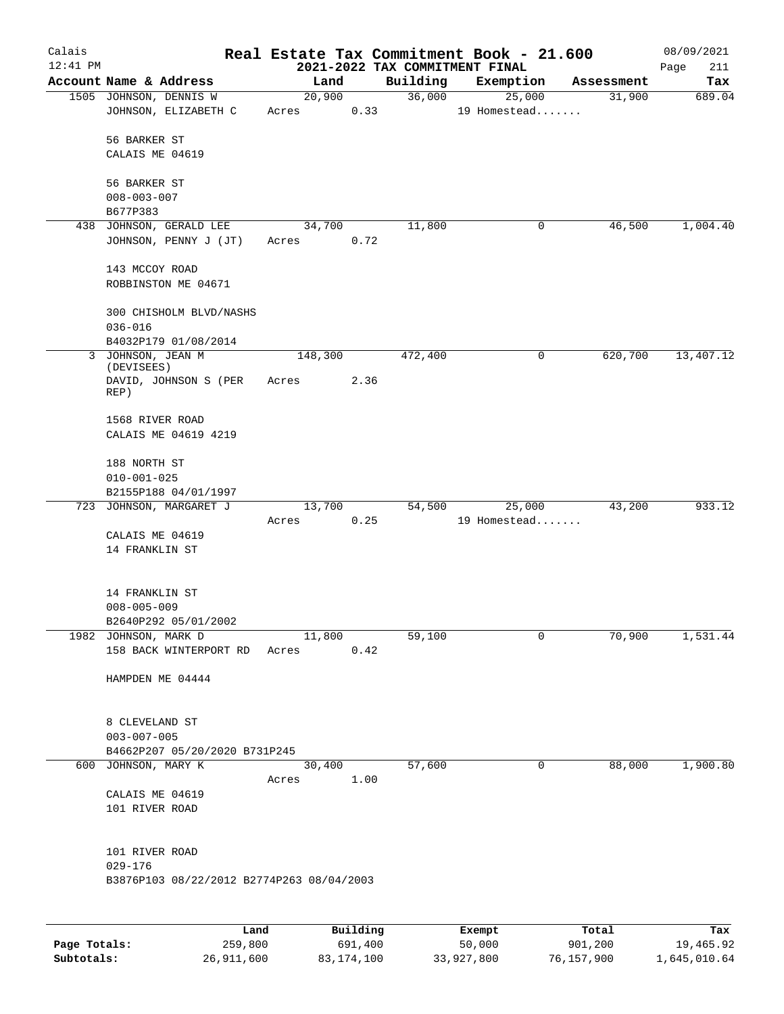| Calais<br>$12:41$ PM |                                                                            |                 |          | 2021-2022 TAX COMMITMENT FINAL | Real Estate Tax Commitment Book - 21.600 |            | 08/09/2021<br>Page<br>211 |
|----------------------|----------------------------------------------------------------------------|-----------------|----------|--------------------------------|------------------------------------------|------------|---------------------------|
|                      | Account Name & Address                                                     |                 | Land     | Building                       | Exemption                                | Assessment | Tax                       |
|                      | 1505 JOHNSON, DENNIS W<br>JOHNSON, ELIZABETH C                             | 20,900<br>Acres | 0.33     | 36,000                         | 25,000<br>19 Homestead                   | 31,900     | 689.04                    |
|                      | 56 BARKER ST                                                               |                 |          |                                |                                          |            |                           |
|                      | CALAIS ME 04619                                                            |                 |          |                                |                                          |            |                           |
|                      | 56 BARKER ST<br>$008 - 003 - 007$                                          |                 |          |                                |                                          |            |                           |
|                      | B677P383                                                                   |                 |          |                                |                                          |            |                           |
|                      | 438 JOHNSON, GERALD LEE<br>JOHNSON, PENNY J (JT)                           | 34,700<br>Acres | 0.72     | 11,800                         | 0                                        | 46,500     | 1,004.40                  |
|                      | 143 MCCOY ROAD<br>ROBBINSTON ME 04671                                      |                 |          |                                |                                          |            |                           |
|                      | 300 CHISHOLM BLVD/NASHS<br>$036 - 016$                                     |                 |          |                                |                                          |            |                           |
|                      | B4032P179 01/08/2014                                                       |                 |          |                                |                                          |            |                           |
|                      | 3 JOHNSON, JEAN M<br>(DEVISEES)                                            | 148,300         |          | 472,400                        | 0                                        | 620,700    | 13,407.12                 |
|                      | DAVID, JOHNSON S (PER<br>REP)                                              | Acres           | 2.36     |                                |                                          |            |                           |
|                      | 1568 RIVER ROAD<br>CALAIS ME 04619 4219                                    |                 |          |                                |                                          |            |                           |
|                      | 188 NORTH ST<br>$010 - 001 - 025$                                          |                 |          |                                |                                          |            |                           |
|                      | B2155P188 04/01/1997<br>723 JOHNSON, MARGARET J                            |                 |          |                                | 25,000                                   |            |                           |
|                      |                                                                            | 13,700<br>Acres | 0.25     | 54,500                         | 19 Homestead                             | 43,200     | 933.12                    |
|                      | CALAIS ME 04619<br>14 FRANKLIN ST                                          |                 |          |                                |                                          |            |                           |
|                      | 14 FRANKLIN ST<br>$008 - 005 - 009$                                        |                 |          |                                |                                          |            |                           |
|                      | B2640P292 05/01/2002                                                       |                 |          |                                |                                          |            |                           |
|                      | 1982 JOHNSON, MARK D<br>158 BACK WINTERPORT RD                             | 11,800<br>Acres | 0.42     | 59,100                         | 0                                        | 70,900     | 1,531.44                  |
|                      | HAMPDEN ME 04444                                                           |                 |          |                                |                                          |            |                           |
|                      | 8 CLEVELAND ST<br>$003 - 007 - 005$                                        |                 |          |                                |                                          |            |                           |
|                      | B4662P207 05/20/2020 B731P245                                              |                 |          |                                |                                          |            |                           |
|                      | 600 JOHNSON, MARY K                                                        | Acres 1.00      | 30,400   | 57,600                         | 0                                        | 88,000     | 1,900.80                  |
|                      | CALAIS ME 04619<br>101 RIVER ROAD                                          |                 |          |                                |                                          |            |                           |
|                      | 101 RIVER ROAD<br>$029 - 176$<br>B3876P103 08/22/2012 B2774P263 08/04/2003 |                 |          |                                |                                          |            |                           |
|                      |                                                                            |                 |          |                                |                                          |            |                           |
|                      | Land.                                                                      |                 | Building |                                | $F$ vomnt                                | $T0+21$    | To:                       |

|              | Land       | Building   | Exempt     | Total      | Tax          |
|--------------|------------|------------|------------|------------|--------------|
| Page Totals: | 259,800    | 691,400    | 50,000     | 901,200    | 19,465.92    |
| Subtotals:   | 26,911,600 | 83,174,100 | 33,927,800 | 76,157,900 | 1,645,010.64 |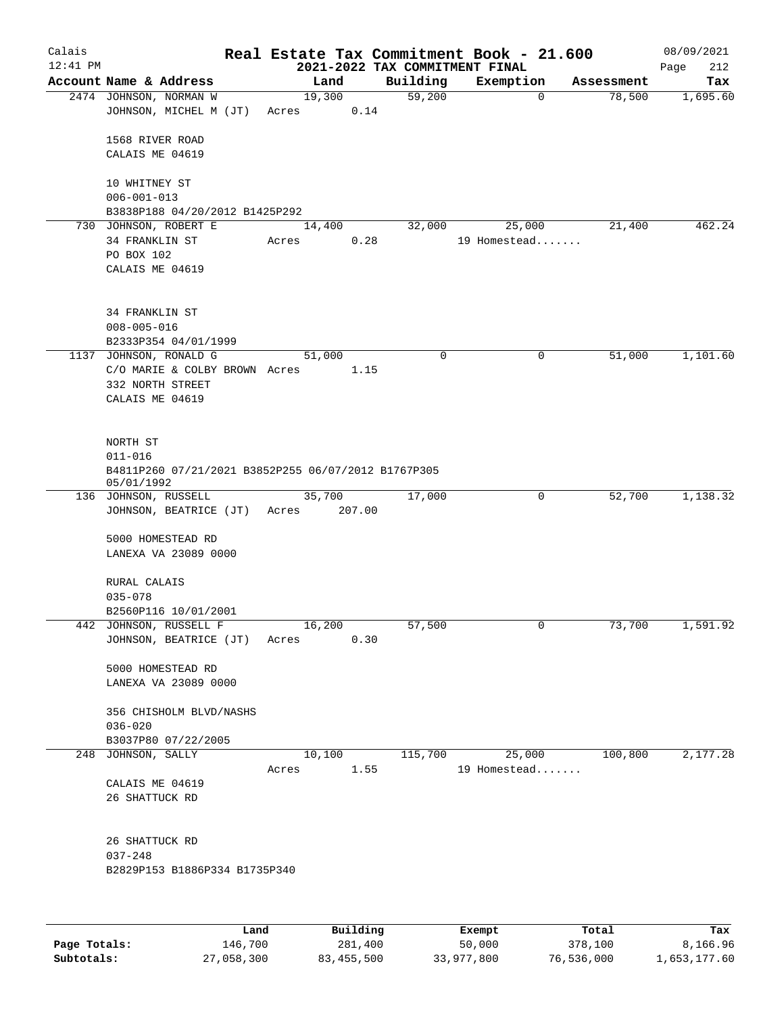| Calais<br>$12:41$ PM |                                                                   |                 |        | 2021-2022 TAX COMMITMENT FINAL | Real Estate Tax Commitment Book - 21.600 |            | 08/09/2021<br>Page<br>212 |
|----------------------|-------------------------------------------------------------------|-----------------|--------|--------------------------------|------------------------------------------|------------|---------------------------|
|                      | Account Name & Address                                            |                 | Land   | Building                       | Exemption                                | Assessment | Tax                       |
|                      | 2474 JOHNSON, NORMAN W<br>JOHNSON, MICHEL M (JT)                  | 19,300<br>Acres | 0.14   | 59,200                         | 0                                        | 78,500     | 1,695.60                  |
|                      |                                                                   |                 |        |                                |                                          |            |                           |
|                      | 1568 RIVER ROAD<br>CALAIS ME 04619                                |                 |        |                                |                                          |            |                           |
|                      | 10 WHITNEY ST                                                     |                 |        |                                |                                          |            |                           |
|                      | $006 - 001 - 013$                                                 |                 |        |                                |                                          |            |                           |
|                      | B3838P188 04/20/2012 B1425P292<br>730 JOHNSON, ROBERT E           | 14,400          |        | 32,000                         | 25,000                                   | 21,400     | 462.24                    |
|                      | 34 FRANKLIN ST                                                    | Acres           | 0.28   |                                | 19 Homestead                             |            |                           |
|                      | PO BOX 102                                                        |                 |        |                                |                                          |            |                           |
|                      | CALAIS ME 04619                                                   |                 |        |                                |                                          |            |                           |
|                      | 34 FRANKLIN ST                                                    |                 |        |                                |                                          |            |                           |
|                      | $008 - 005 - 016$                                                 |                 |        |                                |                                          |            |                           |
|                      | B2333P354 04/01/1999                                              |                 |        |                                |                                          |            |                           |
|                      | 1137 JOHNSON, RONALD G                                            | 51,000          |        | 0                              | 0                                        | 51,000     | 1,101.60                  |
|                      | C/O MARIE & COLBY BROWN Acres                                     |                 | 1.15   |                                |                                          |            |                           |
|                      | 332 NORTH STREET                                                  |                 |        |                                |                                          |            |                           |
|                      | CALAIS ME 04619                                                   |                 |        |                                |                                          |            |                           |
|                      | NORTH ST                                                          |                 |        |                                |                                          |            |                           |
|                      | $011 - 016$                                                       |                 |        |                                |                                          |            |                           |
|                      | B4811P260 07/21/2021 B3852P255 06/07/2012 B1767P305<br>05/01/1992 |                 |        |                                |                                          |            |                           |
|                      | 136 JOHNSON, RUSSELL                                              | 35,700          |        | 17,000                         | 0                                        | 52,700     | 1,138.32                  |
|                      | JOHNSON, BEATRICE (JT)                                            | Acres           | 207.00 |                                |                                          |            |                           |
|                      | 5000 HOMESTEAD RD<br>LANEXA VA 23089 0000                         |                 |        |                                |                                          |            |                           |
|                      | RURAL CALAIS                                                      |                 |        |                                |                                          |            |                           |
|                      | $035 - 078$                                                       |                 |        |                                |                                          |            |                           |
|                      | B2560P116 10/01/2001                                              |                 |        |                                |                                          |            |                           |
|                      | 442 JOHNSON, RUSSELL F                                            | 16,200          |        | 57,500                         | 0                                        | 73,700     | 1,591.92                  |
|                      | JOHNSON, BEATRICE (JT)                                            | Acres           | 0.30   |                                |                                          |            |                           |
|                      | 5000 HOMESTEAD RD                                                 |                 |        |                                |                                          |            |                           |
|                      | LANEXA VA 23089 0000                                              |                 |        |                                |                                          |            |                           |
|                      |                                                                   |                 |        |                                |                                          |            |                           |
|                      | 356 CHISHOLM BLVD/NASHS                                           |                 |        |                                |                                          |            |                           |
|                      | $036 - 020$                                                       |                 |        |                                |                                          |            |                           |
|                      | B3037P80 07/22/2005                                               |                 |        |                                |                                          |            |                           |
|                      | 248 JOHNSON, SALLY                                                |                 | 10,100 | 115,700                        | 25,000                                   | 100,800    | 2,177.28                  |
|                      |                                                                   | Acres           | 1.55   |                                | 19 Homestead                             |            |                           |
|                      | CALAIS ME 04619                                                   |                 |        |                                |                                          |            |                           |
|                      | 26 SHATTUCK RD                                                    |                 |        |                                |                                          |            |                           |
|                      | 26 SHATTUCK RD                                                    |                 |        |                                |                                          |            |                           |
|                      | $037 - 248$                                                       |                 |        |                                |                                          |            |                           |
|                      | B2829P153 B1886P334 B1735P340                                     |                 |        |                                |                                          |            |                           |
|                      |                                                                   |                 |        |                                |                                          |            |                           |
|                      |                                                                   |                 |        |                                |                                          |            | m.                        |

|              | Land       | Building   | Exempt     | Total      | Tax          |
|--------------|------------|------------|------------|------------|--------------|
| Page Totals: | 146,700    | 281,400    | 50,000     | 378,100    | 8,166.96     |
| Subtotals:   | 27,058,300 | 83,455,500 | 33,977,800 | 76,536,000 | 1,653,177.60 |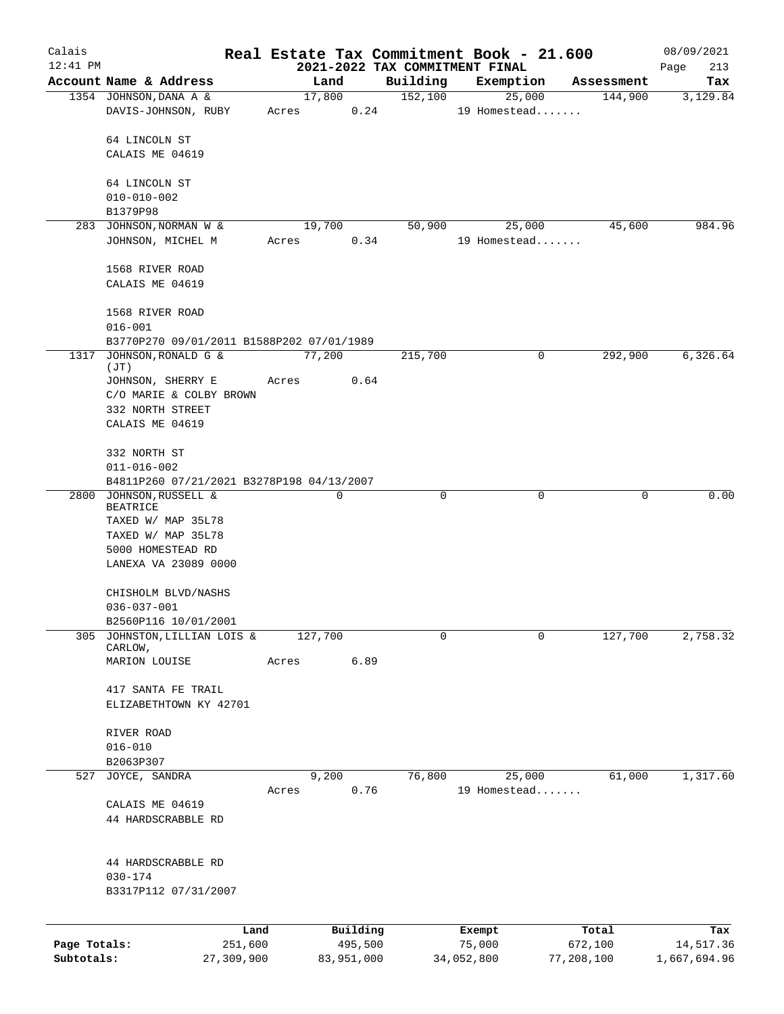| Calais       |                                           |       |         |          |                                | Real Estate Tax Commitment Book - 21.600 |                        | 08/09/2021  |
|--------------|-------------------------------------------|-------|---------|----------|--------------------------------|------------------------------------------|------------------------|-------------|
| $12:41$ PM   |                                           |       |         |          | 2021-2022 TAX COMMITMENT FINAL |                                          |                        | Page<br>213 |
|              | Account Name & Address                    |       | Land    |          | Building                       | Exemption                                | Assessment             | Tax         |
|              | 1354 JOHNSON, DANA A &                    |       | 17,800  |          | 152,100                        | 25,000                                   | 144,900                | 3,129.84    |
|              | DAVIS-JOHNSON, RUBY                       | Acres |         | 0.24     |                                | 19 Homestead                             |                        |             |
|              | 64 LINCOLN ST                             |       |         |          |                                |                                          |                        |             |
|              | CALAIS ME 04619                           |       |         |          |                                |                                          |                        |             |
|              |                                           |       |         |          |                                |                                          |                        |             |
|              | 64 LINCOLN ST                             |       |         |          |                                |                                          |                        |             |
|              | $010 - 010 - 002$                         |       |         |          |                                |                                          |                        |             |
|              | B1379P98                                  |       |         |          |                                |                                          |                        |             |
|              | 283 JOHNSON, NORMAN W &                   |       | 19,700  |          | 50,900                         | 25,000                                   | 45,600                 | 984.96      |
|              | JOHNSON, MICHEL M                         | Acres |         | 0.34     |                                | 19 Homestead                             |                        |             |
|              |                                           |       |         |          |                                |                                          |                        |             |
|              | 1568 RIVER ROAD                           |       |         |          |                                |                                          |                        |             |
|              | CALAIS ME 04619                           |       |         |          |                                |                                          |                        |             |
|              |                                           |       |         |          |                                |                                          |                        |             |
|              | 1568 RIVER ROAD                           |       |         |          |                                |                                          |                        |             |
|              | $016 - 001$                               |       |         |          |                                |                                          |                        |             |
|              | B3770P270 09/01/2011 B1588P202 07/01/1989 |       |         |          |                                |                                          |                        |             |
| 1317         | JOHNSON, RONALD G &                       |       | 77,200  |          | 215,700                        |                                          | 292,900<br>0           | 6,326.64    |
|              | (JT)                                      |       |         |          |                                |                                          |                        |             |
|              | JOHNSON, SHERRY E                         | Acres |         | 0.64     |                                |                                          |                        |             |
|              | C/O MARIE & COLBY BROWN                   |       |         |          |                                |                                          |                        |             |
|              | 332 NORTH STREET<br>CALAIS ME 04619       |       |         |          |                                |                                          |                        |             |
|              |                                           |       |         |          |                                |                                          |                        |             |
|              | 332 NORTH ST                              |       |         |          |                                |                                          |                        |             |
|              | $011 - 016 - 002$                         |       |         |          |                                |                                          |                        |             |
|              | B4811P260 07/21/2021 B3278P198 04/13/2007 |       |         |          |                                |                                          |                        |             |
| 2800         | JOHNSON, RUSSELL &                        |       | 0       |          | 0                              |                                          | $\mathbf 0$<br>0       | 0.00        |
|              | <b>BEATRICE</b>                           |       |         |          |                                |                                          |                        |             |
|              | TAXED W/ MAP 35L78                        |       |         |          |                                |                                          |                        |             |
|              | TAXED W/ MAP 35L78                        |       |         |          |                                |                                          |                        |             |
|              | 5000 HOMESTEAD RD                         |       |         |          |                                |                                          |                        |             |
|              | LANEXA VA 23089 0000                      |       |         |          |                                |                                          |                        |             |
|              |                                           |       |         |          |                                |                                          |                        |             |
|              | CHISHOLM BLVD/NASHS<br>$036 - 037 - 001$  |       |         |          |                                |                                          |                        |             |
|              | B2560P116 10/01/2001                      |       |         |          |                                |                                          |                        |             |
| 305          | JOHNSTON, LILLIAN LOIS &                  |       | 127,700 |          | 0                              |                                          | 127,700<br>$\mathbf 0$ | 2,758.32    |
|              | CARLOW,                                   |       |         |          |                                |                                          |                        |             |
|              | MARION LOUISE                             | Acres |         | 6.89     |                                |                                          |                        |             |
|              |                                           |       |         |          |                                |                                          |                        |             |
|              | 417 SANTA FE TRAIL                        |       |         |          |                                |                                          |                        |             |
|              | ELIZABETHTOWN KY 42701                    |       |         |          |                                |                                          |                        |             |
|              |                                           |       |         |          |                                |                                          |                        |             |
|              | RIVER ROAD<br>$016 - 010$                 |       |         |          |                                |                                          |                        |             |
|              | B2063P307                                 |       |         |          |                                |                                          |                        |             |
|              | 527 JOYCE, SANDRA                         |       | 9,200   |          | 76,800                         | 25,000                                   | 61,000                 | 1,317.60    |
|              |                                           | Acres |         | 0.76     |                                | 19 Homestead                             |                        |             |
|              | CALAIS ME 04619                           |       |         |          |                                |                                          |                        |             |
|              | 44 HARDSCRABBLE RD                        |       |         |          |                                |                                          |                        |             |
|              |                                           |       |         |          |                                |                                          |                        |             |
|              |                                           |       |         |          |                                |                                          |                        |             |
|              | 44 HARDSCRABBLE RD                        |       |         |          |                                |                                          |                        |             |
|              | $030 - 174$                               |       |         |          |                                |                                          |                        |             |
|              | B3317P112 07/31/2007                      |       |         |          |                                |                                          |                        |             |
|              |                                           |       |         |          |                                |                                          |                        |             |
|              | Land                                      |       |         | Building |                                | Exempt                                   | Total                  | Tax         |
| Page Totals: | 251,600                                   |       |         | 495,500  |                                | 75,000                                   | 672,100                | 14,517.36   |

**Subtotals:** 27,309,900 83,951,000 34,052,800 77,208,100 1,667,694.96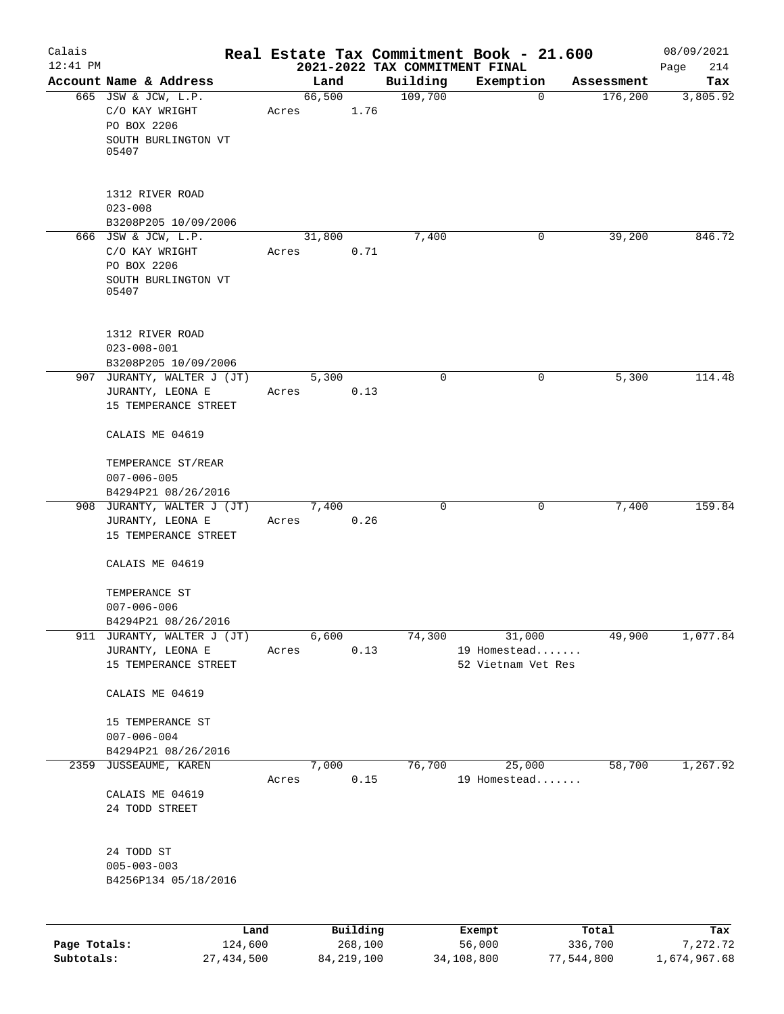| Calais       |                                                                             |         |       |        |          | Real Estate Tax Commitment Book - 21.600   |                        |             |            | 08/09/2021      |
|--------------|-----------------------------------------------------------------------------|---------|-------|--------|----------|--------------------------------------------|------------------------|-------------|------------|-----------------|
| $12:41$ PM   | Account Name & Address                                                      |         |       | Land   |          | 2021-2022 TAX COMMITMENT FINAL<br>Building | Exemption              |             | Assessment | 214<br>Page     |
|              | 665 JSW & JCW, L.P.                                                         |         |       | 66,500 |          | 109,700                                    |                        | $\mathbf 0$ | 176,200    | Tax<br>3,805.92 |
|              | C/O KAY WRIGHT<br>PO BOX 2206                                               |         | Acres |        | 1.76     |                                            |                        |             |            |                 |
|              | SOUTH BURLINGTON VT<br>05407                                                |         |       |        |          |                                            |                        |             |            |                 |
|              | 1312 RIVER ROAD                                                             |         |       |        |          |                                            |                        |             |            |                 |
|              | $023 - 008$<br>B3208P205 10/09/2006                                         |         |       |        |          |                                            |                        |             |            |                 |
|              | 666 JSW & JCW, L.P.<br>C/O KAY WRIGHT<br>PO BOX 2206<br>SOUTH BURLINGTON VT |         | Acres | 31,800 | 0.71     | 7,400                                      |                        | 0           | 39,200     | 846.72          |
|              | 05407                                                                       |         |       |        |          |                                            |                        |             |            |                 |
|              | 1312 RIVER ROAD<br>$023 - 008 - 001$<br>B3208P205 10/09/2006                |         |       |        |          |                                            |                        |             |            |                 |
|              | 907 JURANTY, WALTER J (JT)                                                  |         |       | 5,300  |          | 0                                          |                        | 0           | 5,300      | 114.48          |
|              | JURANTY, LEONA E<br>15 TEMPERANCE STREET                                    |         | Acres |        | 0.13     |                                            |                        |             |            |                 |
|              | CALAIS ME 04619                                                             |         |       |        |          |                                            |                        |             |            |                 |
|              | TEMPERANCE ST/REAR<br>$007 - 006 - 005$                                     |         |       |        |          |                                            |                        |             |            |                 |
|              | B4294P21 08/26/2016                                                         |         |       |        |          |                                            |                        |             |            |                 |
|              | 908 JURANTY, WALTER J (JT)<br>JURANTY, LEONA E<br>15 TEMPERANCE STREET      |         | Acres | 7,400  | 0.26     | $\mathbf 0$                                |                        | $\mathbf 0$ | 7,400      | 159.84          |
|              | CALAIS ME 04619                                                             |         |       |        |          |                                            |                        |             |            |                 |
|              | TEMPERANCE ST                                                               |         |       |        |          |                                            |                        |             |            |                 |
|              | $007 - 006 - 006$                                                           |         |       |        |          |                                            |                        |             |            |                 |
|              | B4294P21 08/26/2016                                                         |         |       |        |          |                                            |                        |             |            |                 |
| 911          | JURANTY, WALTER J (JT)<br>JURANTY, LEONA E                                  |         | Acres | 6,600  | 0.13     | 74,300                                     | 31,000<br>19 Homestead |             | 49,900     | 1,077.84        |
|              | 15 TEMPERANCE STREET                                                        |         |       |        |          |                                            | 52 Vietnam Vet Res     |             |            |                 |
|              | CALAIS ME 04619                                                             |         |       |        |          |                                            |                        |             |            |                 |
|              | 15 TEMPERANCE ST<br>$007 - 006 - 004$                                       |         |       |        |          |                                            |                        |             |            |                 |
| 2359         | B4294P21 08/26/2016<br>JUSSEAUME, KAREN                                     |         |       | 7,000  |          | 76,700                                     | 25,000                 |             | 58,700     | 1,267.92        |
|              |                                                                             |         | Acres |        | 0.15     |                                            | 19 Homestead           |             |            |                 |
|              | CALAIS ME 04619<br>24 TODD STREET                                           |         |       |        |          |                                            |                        |             |            |                 |
|              | 24 TODD ST<br>$005 - 003 - 003$<br>B4256P134 05/18/2016                     |         |       |        |          |                                            |                        |             |            |                 |
|              |                                                                             |         |       |        |          |                                            |                        |             |            |                 |
|              |                                                                             | Land    |       |        | Building |                                            | Exempt                 |             | Total      | Tax             |
| Page Totals: |                                                                             | 124,600 |       |        | 268,100  |                                            | 56,000                 |             | 336,700    | 7,272.72        |

**Subtotals:** 27,434,500 84,219,100 34,108,800 77,544,800 1,674,967.68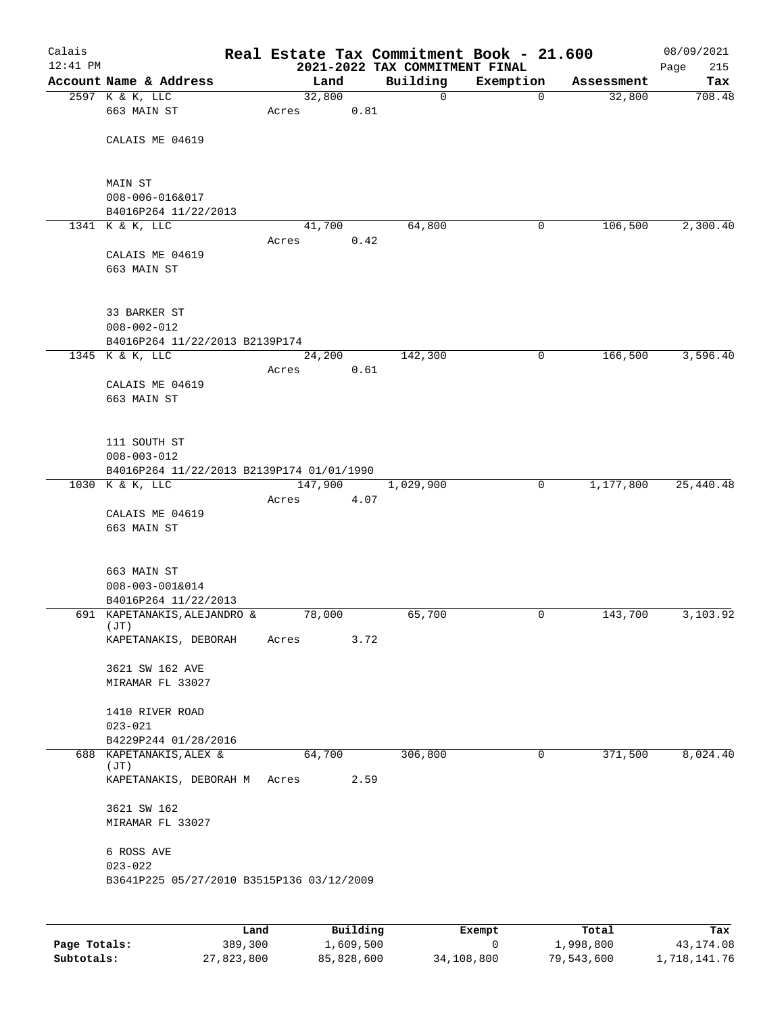| Calais<br>$12:41$ PM |                                                          |      |         |          | 2021-2022 TAX COMMITMENT FINAL | Real Estate Tax Commitment Book - 21.600 |              |            | 08/09/2021<br>215<br>Page |
|----------------------|----------------------------------------------------------|------|---------|----------|--------------------------------|------------------------------------------|--------------|------------|---------------------------|
|                      | Account Name & Address                                   |      |         | Land     | Building                       | Exemption                                |              | Assessment | Tax                       |
|                      | 2597 K & K, LLC                                          |      | 32,800  |          | $\mathbf 0$                    |                                          | $\mathbf 0$  | 32,800     | 708.48                    |
|                      | 663 MAIN ST                                              |      | Acres   | 0.81     |                                |                                          |              |            |                           |
|                      |                                                          |      |         |          |                                |                                          |              |            |                           |
|                      | CALAIS ME 04619                                          |      |         |          |                                |                                          |              |            |                           |
|                      |                                                          |      |         |          |                                |                                          |              |            |                           |
|                      | MAIN ST                                                  |      |         |          |                                |                                          |              |            |                           |
|                      | 008-006-016&017                                          |      |         |          |                                |                                          |              |            |                           |
|                      | B4016P264 11/22/2013                                     |      |         |          |                                |                                          |              |            |                           |
|                      | 1341 K & K, LLC                                          |      | 41,700  |          | 64,800                         |                                          | 0            | 106,500    | 2,300.40                  |
|                      |                                                          |      | Acres   | 0.42     |                                |                                          |              |            |                           |
|                      | CALAIS ME 04619                                          |      |         |          |                                |                                          |              |            |                           |
|                      | 663 MAIN ST                                              |      |         |          |                                |                                          |              |            |                           |
|                      |                                                          |      |         |          |                                |                                          |              |            |                           |
|                      | 33 BARKER ST                                             |      |         |          |                                |                                          |              |            |                           |
|                      | $008 - 002 - 012$                                        |      |         |          |                                |                                          |              |            |                           |
|                      | B4016P264 11/22/2013 B2139P174                           |      |         |          |                                |                                          |              |            |                           |
|                      | 1345 K & K, LLC                                          |      |         | 24,200   | 142,300                        |                                          | 0            | 166,500    | 3,596.40                  |
|                      |                                                          |      | Acres   | 0.61     |                                |                                          |              |            |                           |
|                      | CALAIS ME 04619                                          |      |         |          |                                |                                          |              |            |                           |
|                      | 663 MAIN ST                                              |      |         |          |                                |                                          |              |            |                           |
|                      |                                                          |      |         |          |                                |                                          |              |            |                           |
|                      | 111 SOUTH ST                                             |      |         |          |                                |                                          |              |            |                           |
|                      | $008 - 003 - 012$                                        |      |         |          |                                |                                          |              |            |                           |
|                      | B4016P264 11/22/2013 B2139P174 01/01/1990                |      |         |          |                                |                                          |              |            |                           |
|                      | 1030 K & K, LLC                                          |      | 147,900 |          | 1,029,900                      |                                          | $\mathsf{O}$ | 1,177,800  | 25,440.48                 |
|                      |                                                          |      | Acres   | 4.07     |                                |                                          |              |            |                           |
|                      | CALAIS ME 04619<br>663 MAIN ST                           |      |         |          |                                |                                          |              |            |                           |
|                      |                                                          |      |         |          |                                |                                          |              |            |                           |
|                      |                                                          |      |         |          |                                |                                          |              |            |                           |
|                      | 663 MAIN ST                                              |      |         |          |                                |                                          |              |            |                           |
|                      | 008-003-001&014                                          |      |         |          |                                |                                          |              |            |                           |
|                      | B4016P264 11/22/2013                                     |      |         |          |                                |                                          |              |            |                           |
|                      | 691 KAPETANAKIS, ALEJANDRO &<br>(JT)                     |      | 78,000  |          | 65,700                         |                                          | 0            | 143,700    | 3,103.92                  |
|                      | KAPETANAKIS, DEBORAH                                     |      | Acres   | 3.72     |                                |                                          |              |            |                           |
|                      |                                                          |      |         |          |                                |                                          |              |            |                           |
|                      | 3621 SW 162 AVE                                          |      |         |          |                                |                                          |              |            |                           |
|                      | MIRAMAR FL 33027                                         |      |         |          |                                |                                          |              |            |                           |
|                      | 1410 RIVER ROAD                                          |      |         |          |                                |                                          |              |            |                           |
|                      | $023 - 021$                                              |      |         |          |                                |                                          |              |            |                           |
|                      | B4229P244 01/28/2016                                     |      |         |          |                                |                                          |              |            |                           |
|                      | 688 KAPETANAKIS, ALEX &                                  |      | 64,700  |          | 306,800                        |                                          | 0            | 371,500    | 8,024.40                  |
|                      | (JT)                                                     |      |         |          |                                |                                          |              |            |                           |
|                      | KAPETANAKIS, DEBORAH M                                   |      | Acres   | 2.59     |                                |                                          |              |            |                           |
|                      | 3621 SW 162                                              |      |         |          |                                |                                          |              |            |                           |
|                      | MIRAMAR FL 33027                                         |      |         |          |                                |                                          |              |            |                           |
|                      |                                                          |      |         |          |                                |                                          |              |            |                           |
|                      | 6 ROSS AVE                                               |      |         |          |                                |                                          |              |            |                           |
|                      | $023 - 022$<br>B3641P225 05/27/2010 B3515P136 03/12/2009 |      |         |          |                                |                                          |              |            |                           |
|                      |                                                          |      |         |          |                                |                                          |              |            |                           |
|                      |                                                          |      |         |          |                                |                                          |              |            |                           |
|                      |                                                          | Land |         | Building |                                | Exempt                                   |              | Total      | Tax                       |

|              | Lanu       | Building   | вхешрс     | TOLAT      | rax.         |
|--------------|------------|------------|------------|------------|--------------|
| Page Totals: | 389,300    | 1,609,500  |            | 1,998,800  | 43,174.08    |
| Subtotals:   | 27,823,800 | 85,828,600 | 34,108,800 | 79,543,600 | 1,718,141.76 |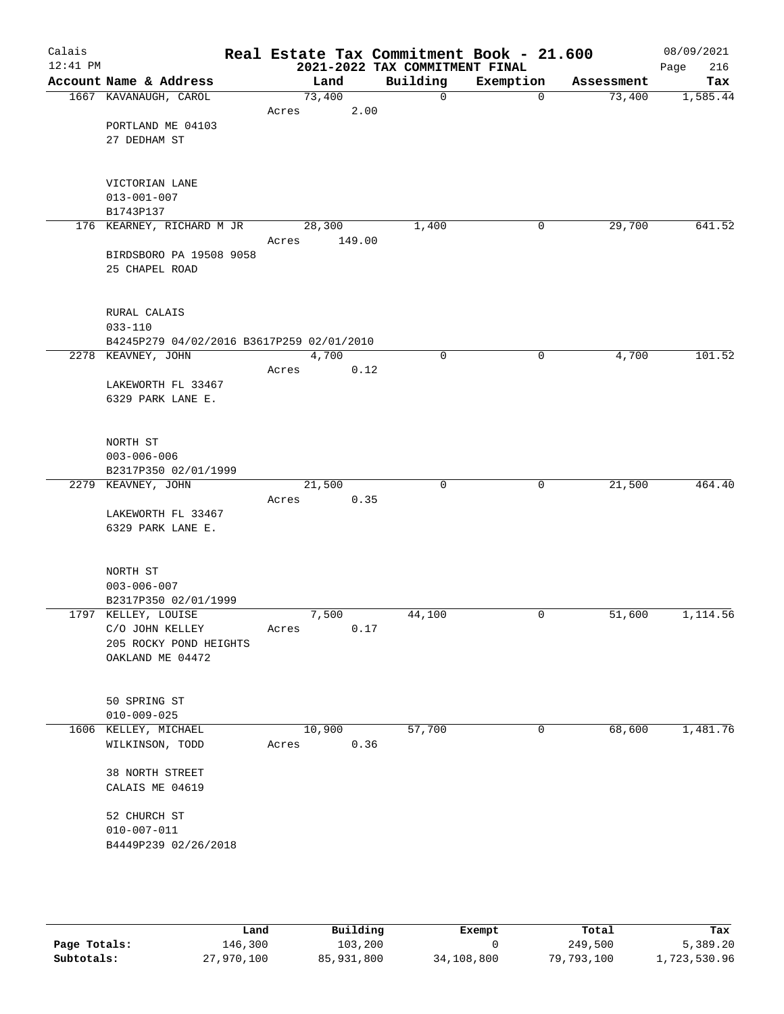| Calais<br>$12:41$ PM |                                            | Real Estate Tax Commitment Book - 21.600 | 2021-2022 TAX COMMITMENT FINAL |             |            | 08/09/2021<br>216<br>Page |
|----------------------|--------------------------------------------|------------------------------------------|--------------------------------|-------------|------------|---------------------------|
|                      | Account Name & Address                     | Land                                     | Building                       | Exemption   | Assessment | Tax                       |
|                      | 1667 KAVANAUGH, CAROL                      | 73,400                                   | $\mathbf 0$                    | $\mathbf 0$ | 73,400     | 1,585.44                  |
|                      |                                            | 2.00<br>Acres                            |                                |             |            |                           |
|                      | PORTLAND ME 04103                          |                                          |                                |             |            |                           |
|                      | 27 DEDHAM ST                               |                                          |                                |             |            |                           |
|                      |                                            |                                          |                                |             |            |                           |
|                      |                                            |                                          |                                |             |            |                           |
|                      | VICTORIAN LANE<br>$013 - 001 - 007$        |                                          |                                |             |            |                           |
|                      | B1743P137                                  |                                          |                                |             |            |                           |
|                      | 176 KEARNEY, RICHARD M JR                  | 28,300                                   | 1,400                          | 0           | 29,700     | 641.52                    |
|                      |                                            | Acres<br>149.00                          |                                |             |            |                           |
|                      | BIRDSBORO PA 19508 9058                    |                                          |                                |             |            |                           |
|                      | 25 CHAPEL ROAD                             |                                          |                                |             |            |                           |
|                      |                                            |                                          |                                |             |            |                           |
|                      | RURAL CALAIS                               |                                          |                                |             |            |                           |
|                      | $033 - 110$                                |                                          |                                |             |            |                           |
|                      | B4245P279 04/02/2016 B3617P259 02/01/2010  |                                          |                                |             |            |                           |
|                      | 2278 KEAVNEY, JOHN                         | 4,700                                    | 0                              | 0           | 4,700      | 101.52                    |
|                      |                                            | 0.12<br>Acres                            |                                |             |            |                           |
|                      | LAKEWORTH FL 33467                         |                                          |                                |             |            |                           |
|                      | 6329 PARK LANE E.                          |                                          |                                |             |            |                           |
|                      |                                            |                                          |                                |             |            |                           |
|                      | NORTH ST                                   |                                          |                                |             |            |                           |
|                      | $003 - 006 - 006$                          |                                          |                                |             |            |                           |
|                      | B2317P350 02/01/1999                       |                                          |                                |             |            |                           |
|                      | 2279 KEAVNEY, JOHN                         | 21,500                                   | $\mathbf 0$                    | 0           | 21,500     | 464.40                    |
|                      |                                            | 0.35<br>Acres                            |                                |             |            |                           |
|                      | LAKEWORTH FL 33467                         |                                          |                                |             |            |                           |
|                      | 6329 PARK LANE E.                          |                                          |                                |             |            |                           |
|                      |                                            |                                          |                                |             |            |                           |
|                      | NORTH ST                                   |                                          |                                |             |            |                           |
|                      | $003 - 006 - 007$                          |                                          |                                |             |            |                           |
|                      | B2317P350 02/01/1999                       |                                          |                                |             |            |                           |
|                      | 1797 KELLEY, LOUISE                        | 7,500                                    | 44,100                         | 0           | 51,600     | 1,114.56                  |
|                      | C/O JOHN KELLEY                            | 0.17<br>Acres                            |                                |             |            |                           |
|                      | 205 ROCKY POND HEIGHTS<br>OAKLAND ME 04472 |                                          |                                |             |            |                           |
|                      |                                            |                                          |                                |             |            |                           |
|                      |                                            |                                          |                                |             |            |                           |
|                      | 50 SPRING ST                               |                                          |                                |             |            |                           |
|                      | $010 - 009 - 025$                          |                                          |                                |             |            |                           |
|                      | 1606 KELLEY, MICHAEL                       | 10,900                                   | 57,700                         | 0           | 68,600     | 1,481.76                  |
|                      | WILKINSON, TODD                            | 0.36<br>Acres                            |                                |             |            |                           |
|                      | 38 NORTH STREET                            |                                          |                                |             |            |                           |
|                      | CALAIS ME 04619                            |                                          |                                |             |            |                           |
|                      |                                            |                                          |                                |             |            |                           |
|                      | 52 CHURCH ST                               |                                          |                                |             |            |                           |
|                      | $010 - 007 - 011$                          |                                          |                                |             |            |                           |
|                      | B4449P239 02/26/2018                       |                                          |                                |             |            |                           |
|                      |                                            |                                          |                                |             |            |                           |
|                      |                                            |                                          |                                |             |            |                           |
|                      |                                            |                                          |                                |             |            |                           |

|              | Land       | Building   | Exempt     | Total      | Tax          |
|--------------|------------|------------|------------|------------|--------------|
| Page Totals: | 146,300    | 103,200    |            | 249,500    | 5,389.20     |
| Subtotals:   | 27,970,100 | 85,931,800 | 34,108,800 | 79,793,100 | 1,723,530.96 |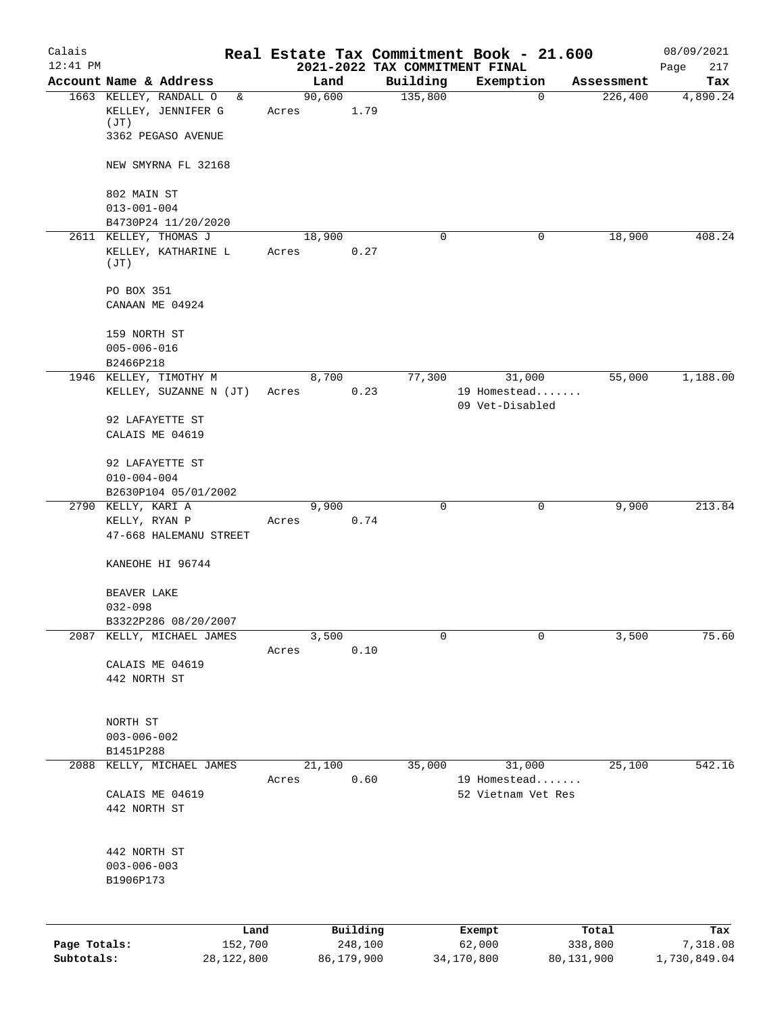| Calais       |                                                  |            |                |          |                                | Real Estate Tax Commitment Book - 21.600 |                       | 08/09/2021      |
|--------------|--------------------------------------------------|------------|----------------|----------|--------------------------------|------------------------------------------|-----------------------|-----------------|
| $12:41$ PM   | Account Name & Address                           |            |                |          | 2021-2022 TAX COMMITMENT FINAL |                                          |                       | 217<br>Page     |
|              | 1663 KELLEY, RANDALL O                           | &          | Land<br>90,600 |          | Building<br>135,800            | Exemption<br>$\mathbf 0$                 | Assessment<br>226,400 | Tax<br>4,890.24 |
|              | KELLEY, JENNIFER G<br>(JT)                       |            | Acres          | 1.79     |                                |                                          |                       |                 |
|              | 3362 PEGASO AVENUE                               |            |                |          |                                |                                          |                       |                 |
|              | NEW SMYRNA FL 32168                              |            |                |          |                                |                                          |                       |                 |
|              | 802 MAIN ST                                      |            |                |          |                                |                                          |                       |                 |
|              | $013 - 001 - 004$                                |            |                |          |                                |                                          |                       |                 |
|              | B4730P24 11/20/2020                              |            |                |          |                                |                                          |                       |                 |
|              | 2611 KELLEY, THOMAS J                            |            | 18,900         |          | $\mathbf 0$                    | 0                                        | 18,900                | 408.24          |
|              | KELLEY, KATHARINE L<br>(JT)                      |            | Acres          | 0.27     |                                |                                          |                       |                 |
|              | PO BOX 351                                       |            |                |          |                                |                                          |                       |                 |
|              | CANAAN ME 04924                                  |            |                |          |                                |                                          |                       |                 |
|              | 159 NORTH ST                                     |            |                |          |                                |                                          |                       |                 |
|              | $005 - 006 - 016$                                |            |                |          |                                |                                          |                       |                 |
|              | B2466P218                                        |            |                |          |                                |                                          |                       |                 |
|              | 1946 KELLEY, TIMOTHY M<br>KELLEY, SUZANNE N (JT) |            | 8,700<br>Acres | 0.23     | 77,300                         | 31,000<br>19 Homestead                   | 55,000                | 1,188.00        |
|              |                                                  |            |                |          |                                | 09 Vet-Disabled                          |                       |                 |
|              | 92 LAFAYETTE ST                                  |            |                |          |                                |                                          |                       |                 |
|              | CALAIS ME 04619                                  |            |                |          |                                |                                          |                       |                 |
|              | 92 LAFAYETTE ST                                  |            |                |          |                                |                                          |                       |                 |
|              | $010 - 004 - 004$                                |            |                |          |                                |                                          |                       |                 |
|              | B2630P104 05/01/2002                             |            |                |          |                                |                                          |                       |                 |
|              | 2790 KELLY, KARI A                               |            | 9,900          |          | 0                              | 0                                        | 9,900                 | 213.84          |
|              | KELLY, RYAN P<br>47-668 HALEMANU STREET          |            | Acres          | 0.74     |                                |                                          |                       |                 |
|              |                                                  |            |                |          |                                |                                          |                       |                 |
|              | KANEOHE HI 96744                                 |            |                |          |                                |                                          |                       |                 |
|              | BEAVER LAKE                                      |            |                |          |                                |                                          |                       |                 |
|              | $032 - 098$                                      |            |                |          |                                |                                          |                       |                 |
|              | B3322P286 08/20/2007                             |            |                |          |                                |                                          |                       |                 |
| 2087         | KELLY, MICHAEL JAMES                             |            | 3,500<br>Acres | 0.10     | 0                              | 0                                        | 3,500                 | 75.60           |
|              | CALAIS ME 04619                                  |            |                |          |                                |                                          |                       |                 |
|              | 442 NORTH ST                                     |            |                |          |                                |                                          |                       |                 |
|              |                                                  |            |                |          |                                |                                          |                       |                 |
|              | NORTH ST                                         |            |                |          |                                |                                          |                       |                 |
|              | $003 - 006 - 002$                                |            |                |          |                                |                                          |                       |                 |
|              | B1451P288                                        |            |                |          |                                |                                          |                       |                 |
| 2088         | KELLY, MICHAEL JAMES                             |            | 21,100         |          | 35,000                         | 31,000                                   | 25,100                | 542.16          |
|              |                                                  |            | Acres          | 0.60     |                                | 19 Homestead                             |                       |                 |
|              | CALAIS ME 04619<br>442 NORTH ST                  |            |                |          |                                | 52 Vietnam Vet Res                       |                       |                 |
|              |                                                  |            |                |          |                                |                                          |                       |                 |
|              |                                                  |            |                |          |                                |                                          |                       |                 |
|              | 442 NORTH ST                                     |            |                |          |                                |                                          |                       |                 |
|              | $003 - 006 - 003$                                |            |                |          |                                |                                          |                       |                 |
|              | B1906P173                                        |            |                |          |                                |                                          |                       |                 |
|              |                                                  |            |                |          |                                |                                          |                       |                 |
|              |                                                  | Land       |                | Building |                                | Exempt                                   | Total                 | Tax             |
| Page Totals: |                                                  | 152,700    |                | 248,100  |                                | 62,000                                   | 338,800               | 7,318.08        |
| Subtotals:   |                                                  | 28,122,800 | 86,179,900     |          |                                | 34,170,800                               | 80,131,900            | 1,730,849.04    |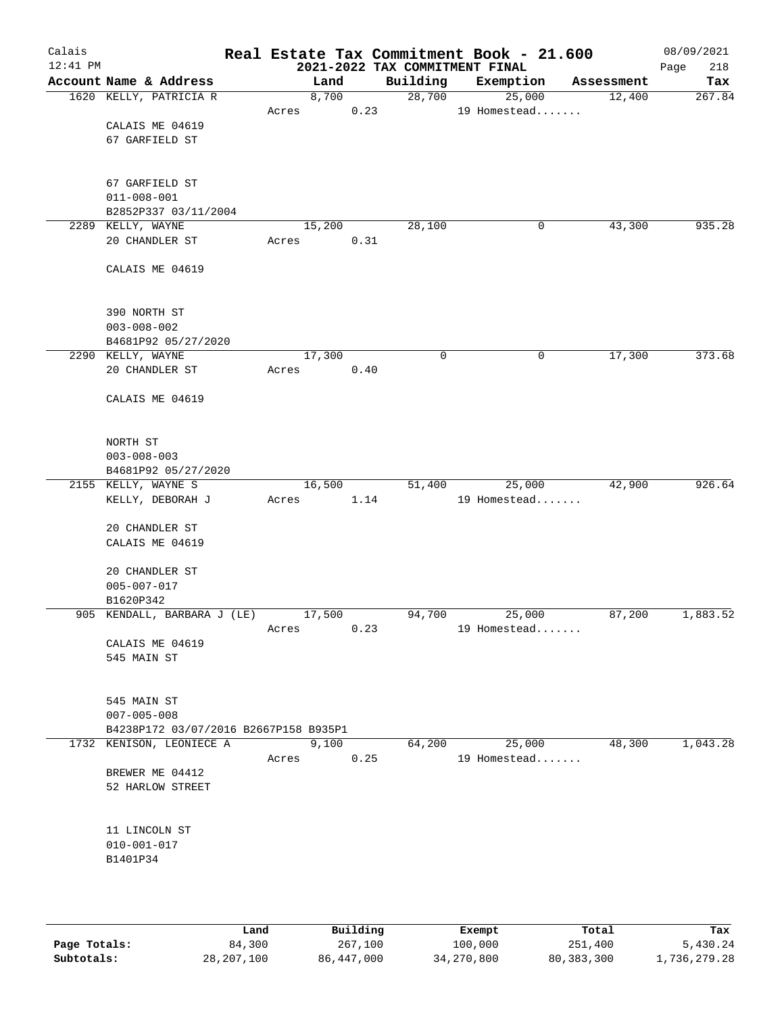| Calais<br>$12:41$ PM |                                       |       |        |       | 2021-2022 TAX COMMITMENT FINAL | Real Estate Tax Commitment Book - 21.600 |   |            | 08/09/2021<br>218<br>Page |
|----------------------|---------------------------------------|-------|--------|-------|--------------------------------|------------------------------------------|---|------------|---------------------------|
|                      | Account Name & Address                |       | Land   |       | Building                       | Exemption                                |   | Assessment | Tax                       |
|                      | 1620 KELLY, PATRICIA R                |       |        | 8,700 | 28,700                         | 25,000                                   |   | 12,400     | 267.84                    |
|                      |                                       | Acres |        | 0.23  |                                | 19 Homestead                             |   |            |                           |
|                      | CALAIS ME 04619                       |       |        |       |                                |                                          |   |            |                           |
|                      | 67 GARFIELD ST                        |       |        |       |                                |                                          |   |            |                           |
|                      |                                       |       |        |       |                                |                                          |   |            |                           |
|                      |                                       |       |        |       |                                |                                          |   |            |                           |
|                      | 67 GARFIELD ST                        |       |        |       |                                |                                          |   |            |                           |
|                      | $011 - 008 - 001$                     |       |        |       |                                |                                          |   |            |                           |
|                      | B2852P337 03/11/2004                  |       |        |       |                                |                                          |   |            |                           |
|                      | 2289 KELLY, WAYNE                     |       | 15,200 |       | 28,100                         |                                          | 0 | 43,300     | 935.28                    |
|                      | 20 CHANDLER ST                        | Acres |        | 0.31  |                                |                                          |   |            |                           |
|                      |                                       |       |        |       |                                |                                          |   |            |                           |
|                      | CALAIS ME 04619                       |       |        |       |                                |                                          |   |            |                           |
|                      |                                       |       |        |       |                                |                                          |   |            |                           |
|                      |                                       |       |        |       |                                |                                          |   |            |                           |
|                      | 390 NORTH ST                          |       |        |       |                                |                                          |   |            |                           |
|                      | $003 - 008 - 002$                     |       |        |       |                                |                                          |   |            |                           |
|                      | B4681P92 05/27/2020                   |       |        |       |                                |                                          |   |            |                           |
|                      | 2290 KELLY, WAYNE                     |       | 17,300 |       | 0                              |                                          | 0 | 17,300     | 373.68                    |
|                      | 20 CHANDLER ST                        | Acres |        | 0.40  |                                |                                          |   |            |                           |
|                      |                                       |       |        |       |                                |                                          |   |            |                           |
|                      | CALAIS ME 04619                       |       |        |       |                                |                                          |   |            |                           |
|                      |                                       |       |        |       |                                |                                          |   |            |                           |
|                      |                                       |       |        |       |                                |                                          |   |            |                           |
|                      | NORTH ST                              |       |        |       |                                |                                          |   |            |                           |
|                      | $003 - 008 - 003$                     |       |        |       |                                |                                          |   |            |                           |
|                      | B4681P92 05/27/2020                   |       |        |       |                                |                                          |   |            |                           |
|                      | 2155 KELLY, WAYNE S                   |       | 16,500 |       | 51,400                         | 25,000                                   |   | 42,900     | 926.64                    |
|                      | KELLY, DEBORAH J                      | Acres |        | 1.14  |                                | 19 Homestead                             |   |            |                           |
|                      |                                       |       |        |       |                                |                                          |   |            |                           |
|                      | 20 CHANDLER ST                        |       |        |       |                                |                                          |   |            |                           |
|                      | CALAIS ME 04619                       |       |        |       |                                |                                          |   |            |                           |
|                      |                                       |       |        |       |                                |                                          |   |            |                           |
|                      | 20 CHANDLER ST                        |       |        |       |                                |                                          |   |            |                           |
|                      | $005 - 007 - 017$                     |       |        |       |                                |                                          |   |            |                           |
|                      | B1620P342                             |       |        |       |                                |                                          |   |            |                           |
|                      | 905 KENDALL, BARBARA J (LE)           |       | 17,500 |       | 94,700                         | 25,000                                   |   | 87,200     | 1,883.52                  |
|                      |                                       | Acres |        | 0.23  |                                | 19 Homestead                             |   |            |                           |
|                      | CALAIS ME 04619                       |       |        |       |                                |                                          |   |            |                           |
|                      | 545 MAIN ST                           |       |        |       |                                |                                          |   |            |                           |
|                      |                                       |       |        |       |                                |                                          |   |            |                           |
|                      |                                       |       |        |       |                                |                                          |   |            |                           |
|                      | 545 MAIN ST                           |       |        |       |                                |                                          |   |            |                           |
|                      | $007 - 005 - 008$                     |       |        |       |                                |                                          |   |            |                           |
|                      | B4238P172 03/07/2016 B2667P158 B935P1 |       |        |       |                                |                                          |   |            |                           |
|                      | 1732 KENISON, LEONIECE A              |       | 9,100  |       | 64,200                         | 25,000                                   |   | 48,300     | 1,043.28                  |
|                      |                                       | Acres |        | 0.25  |                                | 19 Homestead                             |   |            |                           |
|                      | BREWER ME 04412                       |       |        |       |                                |                                          |   |            |                           |
|                      | 52 HARLOW STREET                      |       |        |       |                                |                                          |   |            |                           |
|                      |                                       |       |        |       |                                |                                          |   |            |                           |
|                      |                                       |       |        |       |                                |                                          |   |            |                           |
|                      | 11 LINCOLN ST                         |       |        |       |                                |                                          |   |            |                           |
|                      | $010 - 001 - 017$                     |       |        |       |                                |                                          |   |            |                           |
|                      | B1401P34                              |       |        |       |                                |                                          |   |            |                           |
|                      |                                       |       |        |       |                                |                                          |   |            |                           |
|                      |                                       |       |        |       |                                |                                          |   |            |                           |
|                      |                                       |       |        |       |                                |                                          |   |            |                           |

|              | Land       | Building   | Exempt     | Total        | Tax          |
|--------------|------------|------------|------------|--------------|--------------|
| Page Totals: | 84,300     | 267,100    | 100,000    | 251,400      | 5,430.24     |
| Subtotals:   | 28,207,100 | 86,447,000 | 34,270,800 | 80, 383, 300 | 1,736,279.28 |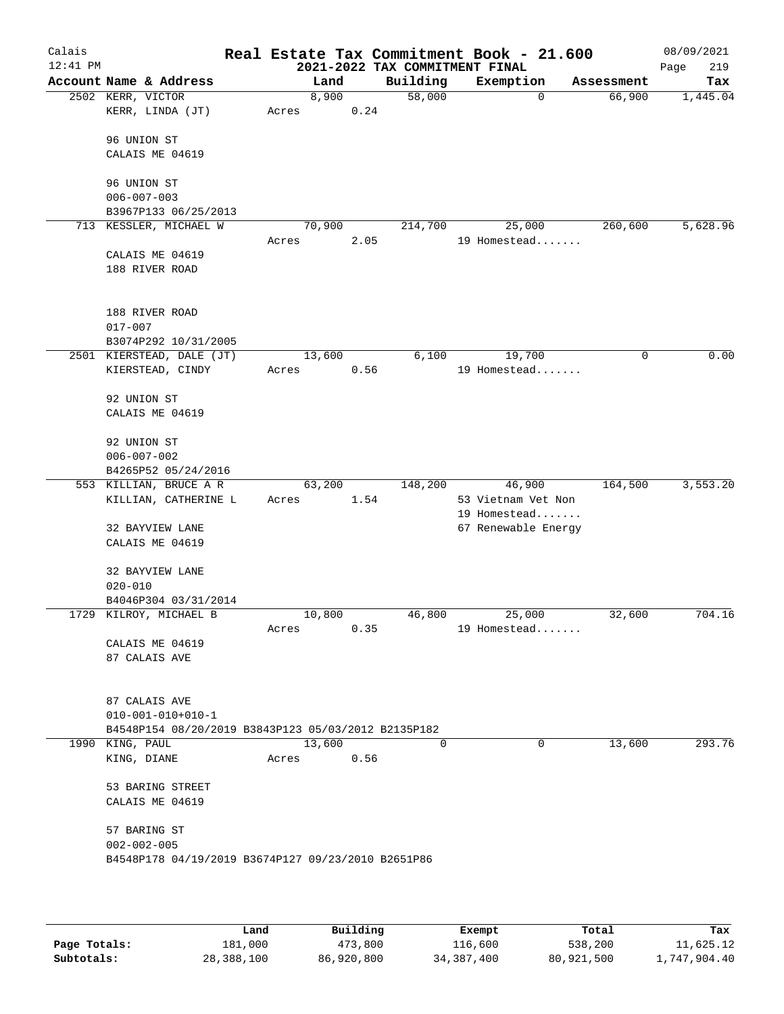| Calais<br>$12:41$ PM |                                                     |       |        |      | 2021-2022 TAX COMMITMENT FINAL | Real Estate Tax Commitment Book - 21.600 |            | 08/09/2021<br>Page<br>219 |
|----------------------|-----------------------------------------------------|-------|--------|------|--------------------------------|------------------------------------------|------------|---------------------------|
|                      | Account Name & Address                              |       | Land   |      | Building                       | Exemption                                | Assessment | Tax                       |
|                      | 2502 KERR, VICTOR                                   |       | 8,900  |      | 58,000                         | 0                                        | 66,900     | 1,445.04                  |
|                      | KERR, LINDA (JT)                                    | Acres |        | 0.24 |                                |                                          |            |                           |
|                      | 96 UNION ST                                         |       |        |      |                                |                                          |            |                           |
|                      | CALAIS ME 04619                                     |       |        |      |                                |                                          |            |                           |
|                      |                                                     |       |        |      |                                |                                          |            |                           |
|                      | 96 UNION ST                                         |       |        |      |                                |                                          |            |                           |
|                      | $006 - 007 - 003$                                   |       |        |      |                                |                                          |            |                           |
|                      | B3967P133 06/25/2013                                |       |        |      |                                |                                          |            |                           |
|                      | 713 KESSLER, MICHAEL W                              |       | 70,900 |      | 214,700                        | 25,000                                   | 260,600    | 5,628.96                  |
|                      |                                                     | Acres |        | 2.05 |                                | 19 Homestead                             |            |                           |
|                      | CALAIS ME 04619                                     |       |        |      |                                |                                          |            |                           |
|                      | 188 RIVER ROAD                                      |       |        |      |                                |                                          |            |                           |
|                      |                                                     |       |        |      |                                |                                          |            |                           |
|                      |                                                     |       |        |      |                                |                                          |            |                           |
|                      | 188 RIVER ROAD                                      |       |        |      |                                |                                          |            |                           |
|                      | $017 - 007$                                         |       |        |      |                                |                                          |            |                           |
|                      | B3074P292 10/31/2005<br>2501 KIERSTEAD, DALE (JT)   |       | 13,600 |      | 6,100                          | 19,700                                   | 0          | 0.00                      |
|                      | KIERSTEAD, CINDY                                    | Acres |        | 0.56 |                                | 19 Homestead                             |            |                           |
|                      |                                                     |       |        |      |                                |                                          |            |                           |
|                      | 92 UNION ST                                         |       |        |      |                                |                                          |            |                           |
|                      | CALAIS ME 04619                                     |       |        |      |                                |                                          |            |                           |
|                      |                                                     |       |        |      |                                |                                          |            |                           |
|                      | 92 UNION ST                                         |       |        |      |                                |                                          |            |                           |
|                      | $006 - 007 - 002$                                   |       |        |      |                                |                                          |            |                           |
|                      | B4265P52 05/24/2016                                 |       |        |      |                                |                                          |            |                           |
|                      | 553 KILLIAN, BRUCE A R                              |       | 63,200 |      | 148,200                        | 46,900                                   | 164,500    | 3,553.20                  |
|                      | KILLIAN, CATHERINE L                                | Acres |        | 1.54 |                                | 53 Vietnam Vet Non                       |            |                           |
|                      |                                                     |       |        |      |                                | 19 Homestead                             |            |                           |
|                      | 32 BAYVIEW LANE                                     |       |        |      |                                | 67 Renewable Energy                      |            |                           |
|                      | CALAIS ME 04619                                     |       |        |      |                                |                                          |            |                           |
|                      | 32 BAYVIEW LANE                                     |       |        |      |                                |                                          |            |                           |
|                      | $020 - 010$                                         |       |        |      |                                |                                          |            |                           |
|                      | B4046P304 03/31/2014                                |       |        |      |                                |                                          |            |                           |
|                      | 1729 KILROY, MICHAEL B                              |       | 10,800 |      | 46,800                         | 25,000                                   | 32,600     | 704.16                    |
|                      |                                                     | Acres |        | 0.35 |                                | 19 Homestead                             |            |                           |
|                      | CALAIS ME 04619                                     |       |        |      |                                |                                          |            |                           |
|                      | 87 CALAIS AVE                                       |       |        |      |                                |                                          |            |                           |
|                      |                                                     |       |        |      |                                |                                          |            |                           |
|                      |                                                     |       |        |      |                                |                                          |            |                           |
|                      | 87 CALAIS AVE                                       |       |        |      |                                |                                          |            |                           |
|                      | $010 - 001 - 010 + 010 - 1$                         |       |        |      |                                |                                          |            |                           |
|                      | B4548P154 08/20/2019 B3843P123 05/03/2012 B2135P182 |       |        |      |                                |                                          |            |                           |
|                      | 1990 KING, PAUL                                     |       | 13,600 |      | $\Omega$                       | $\Omega$                                 | 13,600     | 293.76                    |
|                      | KING, DIANE                                         | Acres |        | 0.56 |                                |                                          |            |                           |
|                      |                                                     |       |        |      |                                |                                          |            |                           |
|                      | 53 BARING STREET                                    |       |        |      |                                |                                          |            |                           |
|                      | CALAIS ME 04619                                     |       |        |      |                                |                                          |            |                           |
|                      | 57 BARING ST                                        |       |        |      |                                |                                          |            |                           |
|                      | $002 - 002 - 005$                                   |       |        |      |                                |                                          |            |                           |
|                      | B4548P178 04/19/2019 B3674P127 09/23/2010 B2651P86  |       |        |      |                                |                                          |            |                           |
|                      |                                                     |       |        |      |                                |                                          |            |                           |
|                      |                                                     |       |        |      |                                |                                          |            |                           |
|                      |                                                     |       |        |      |                                |                                          |            |                           |

|              | Land       | Building   | Exempt     | Total      | Tax          |
|--------------|------------|------------|------------|------------|--------------|
| Page Totals: | 181,000    | 473,800    | 116,600    | 538,200    | 11,625.12    |
| Subtotals:   | 28,388,100 | 86,920,800 | 34,387,400 | 80,921,500 | l,747,904.40 |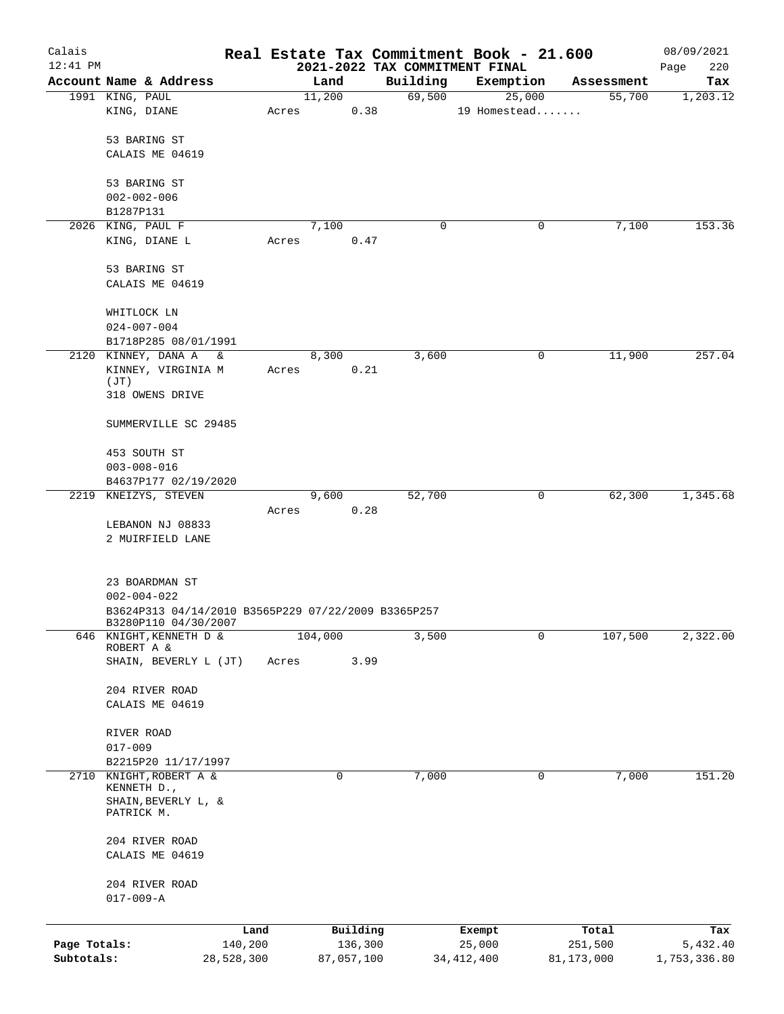| Calais                     |                                                                          |                       |       |                       |      |                    | Real Estate Tax Commitment Book - 21.600 |                         | 08/09/2021               |
|----------------------------|--------------------------------------------------------------------------|-----------------------|-------|-----------------------|------|--------------------|------------------------------------------|-------------------------|--------------------------|
| $12:41$ PM                 | Account Name & Address                                                   |                       |       |                       |      |                    | 2021-2022 TAX COMMITMENT FINAL           |                         | 220<br>Page              |
|                            | 1991 KING, PAUL                                                          |                       |       | Land<br>11,200        |      | Building<br>69,500 | Exemption<br>25,000                      | Assessment<br>55,700    | Tax<br>1,203.12          |
|                            | KING, DIANE                                                              |                       | Acres |                       | 0.38 |                    | 19 Homestead                             |                         |                          |
|                            | 53 BARING ST                                                             |                       |       |                       |      |                    |                                          |                         |                          |
|                            | CALAIS ME 04619                                                          |                       |       |                       |      |                    |                                          |                         |                          |
|                            | 53 BARING ST                                                             |                       |       |                       |      |                    |                                          |                         |                          |
|                            | $002 - 002 - 006$                                                        |                       |       |                       |      |                    |                                          |                         |                          |
|                            | B1287P131<br>2026 KING, PAUL F                                           |                       |       | 7,100                 |      | 0                  | 0                                        | 7,100                   | 153.36                   |
|                            | KING, DIANE L                                                            |                       | Acres |                       | 0.47 |                    |                                          |                         |                          |
|                            | 53 BARING ST                                                             |                       |       |                       |      |                    |                                          |                         |                          |
|                            | CALAIS ME 04619                                                          |                       |       |                       |      |                    |                                          |                         |                          |
|                            | WHITLOCK LN                                                              |                       |       |                       |      |                    |                                          |                         |                          |
|                            | $024 - 007 - 004$                                                        |                       |       |                       |      |                    |                                          |                         |                          |
|                            | B1718P285 08/01/1991<br>2120 KINNEY, DANA A<br>$\delta$                  |                       |       | 8,300                 |      | 3,600              | 0                                        | 11,900                  | 257.04                   |
|                            | KINNEY, VIRGINIA M                                                       |                       | Acres |                       | 0.21 |                    |                                          |                         |                          |
|                            | (JT)<br>318 OWENS DRIVE                                                  |                       |       |                       |      |                    |                                          |                         |                          |
|                            | SUMMERVILLE SC 29485                                                     |                       |       |                       |      |                    |                                          |                         |                          |
|                            | 453 SOUTH ST                                                             |                       |       |                       |      |                    |                                          |                         |                          |
|                            | $003 - 008 - 016$                                                        |                       |       |                       |      |                    |                                          |                         |                          |
|                            | B4637P177 02/19/2020                                                     |                       |       |                       |      |                    |                                          |                         |                          |
| 2219                       | KNEIZYS, STEVEN                                                          |                       | Acres | 9,600                 | 0.28 | 52,700             | 0                                        | 62,300                  | 1,345.68                 |
|                            | LEBANON NJ 08833<br>2 MUIRFIELD LANE                                     |                       |       |                       |      |                    |                                          |                         |                          |
|                            | 23 BOARDMAN ST                                                           |                       |       |                       |      |                    |                                          |                         |                          |
|                            | $002 - 004 - 022$<br>B3624P313 04/14/2010 B3565P229 07/22/2009 B3365P257 |                       |       |                       |      |                    |                                          |                         |                          |
| 646                        | B3280P110 04/30/2007<br>KNIGHT, KENNETH D &<br>ROBERT A &                |                       |       | 104,000               |      | 3,500              | 0                                        | 107,500                 | 2,322.00                 |
|                            | SHAIN, BEVERLY L (JT)                                                    |                       | Acres |                       | 3.99 |                    |                                          |                         |                          |
|                            | 204 RIVER ROAD                                                           |                       |       |                       |      |                    |                                          |                         |                          |
|                            | CALAIS ME 04619                                                          |                       |       |                       |      |                    |                                          |                         |                          |
|                            | RIVER ROAD                                                               |                       |       |                       |      |                    |                                          |                         |                          |
|                            | $017 - 009$                                                              |                       |       |                       |      |                    |                                          |                         |                          |
|                            | B2215P20 11/17/1997                                                      |                       |       |                       |      |                    |                                          |                         |                          |
| 2710                       | KNIGHT, ROBERT A &<br>KENNETH D.,                                        |                       |       | 0                     |      | 7,000              | 0                                        | 7,000                   | 151.20                   |
|                            | SHAIN, BEVERLY L, &<br>PATRICK M.                                        |                       |       |                       |      |                    |                                          |                         |                          |
|                            | 204 RIVER ROAD                                                           |                       |       |                       |      |                    |                                          |                         |                          |
|                            | CALAIS ME 04619                                                          |                       |       |                       |      |                    |                                          |                         |                          |
|                            | 204 RIVER ROAD                                                           |                       |       |                       |      |                    |                                          |                         |                          |
|                            | $017 - 009 - A$                                                          |                       |       |                       |      |                    |                                          |                         |                          |
|                            |                                                                          | Land                  |       | Building              |      |                    | Exempt                                   | Total                   | Tax                      |
| Page Totals:<br>Subtotals: |                                                                          | 140,200<br>28,528,300 |       | 136,300<br>87,057,100 |      |                    | 25,000<br>34, 412, 400                   | 251,500<br>81, 173, 000 | 5,432.40<br>1,753,336.80 |
|                            |                                                                          |                       |       |                       |      |                    |                                          |                         |                          |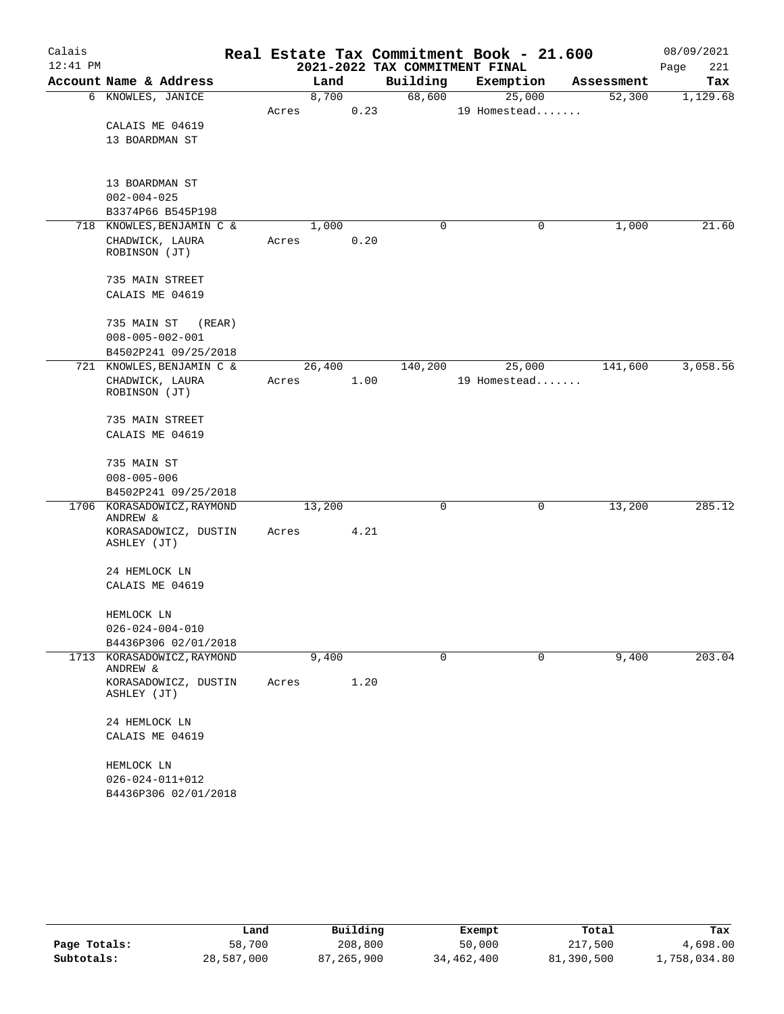| Calais     |                                     |       |        |      | Real Estate Tax Commitment Book - 21.600 |              |        |            | 08/09/2021  |
|------------|-------------------------------------|-------|--------|------|------------------------------------------|--------------|--------|------------|-------------|
| $12:41$ PM |                                     |       |        |      | 2021-2022 TAX COMMITMENT FINAL           |              |        |            | Page<br>221 |
|            | Account Name & Address              |       | Land   |      | Building                                 | Exemption    |        | Assessment | Tax         |
|            | 6 KNOWLES, JANICE                   |       | 8,700  |      | 68,600                                   |              | 25,000 | 52,300     | 1,129.68    |
|            |                                     | Acres |        | 0.23 |                                          | 19 Homestead |        |            |             |
|            | CALAIS ME 04619                     |       |        |      |                                          |              |        |            |             |
|            | 13 BOARDMAN ST                      |       |        |      |                                          |              |        |            |             |
|            | 13 BOARDMAN ST                      |       |        |      |                                          |              |        |            |             |
|            | $002 - 004 - 025$                   |       |        |      |                                          |              |        |            |             |
|            | B3374P66 B545P198                   |       |        |      |                                          |              |        |            |             |
|            | 718 KNOWLES, BENJAMIN C &           |       | 1,000  |      | $\mathbf 0$                              |              | 0      | 1,000      | 21.60       |
|            | CHADWICK, LAURA<br>ROBINSON (JT)    | Acres |        | 0.20 |                                          |              |        |            |             |
|            | 735 MAIN STREET                     |       |        |      |                                          |              |        |            |             |
|            | CALAIS ME 04619                     |       |        |      |                                          |              |        |            |             |
|            |                                     |       |        |      |                                          |              |        |            |             |
|            | 735 MAIN ST<br>(REAR)               |       |        |      |                                          |              |        |            |             |
|            | $008 - 005 - 002 - 001$             |       |        |      |                                          |              |        |            |             |
|            | B4502P241 09/25/2018                |       |        |      |                                          |              |        |            |             |
|            | 721 KNOWLES, BENJAMIN C &           |       | 26,400 |      | 140,200                                  |              | 25,000 | 141,600    | 3,058.56    |
|            | CHADWICK, LAURA<br>ROBINSON (JT)    | Acres |        | 1.00 |                                          | 19 Homestead |        |            |             |
|            |                                     |       |        |      |                                          |              |        |            |             |
|            | 735 MAIN STREET                     |       |        |      |                                          |              |        |            |             |
|            | CALAIS ME 04619                     |       |        |      |                                          |              |        |            |             |
|            | 735 MAIN ST                         |       |        |      |                                          |              |        |            |             |
|            | $008 - 005 - 006$                   |       |        |      |                                          |              |        |            |             |
|            | B4502P241 09/25/2018                |       |        |      |                                          |              |        |            |             |
|            | 1706 KORASADOWICZ, RAYMOND          |       | 13,200 |      | 0                                        |              | 0      | 13,200     | 285.12      |
|            | ANDREW &                            |       |        |      |                                          |              |        |            |             |
|            | KORASADOWICZ, DUSTIN<br>ASHLEY (JT) | Acres |        | 4.21 |                                          |              |        |            |             |
|            | 24 HEMLOCK LN                       |       |        |      |                                          |              |        |            |             |
|            | CALAIS ME 04619                     |       |        |      |                                          |              |        |            |             |
|            |                                     |       |        |      |                                          |              |        |            |             |
|            | HEMLOCK LN                          |       |        |      |                                          |              |        |            |             |
|            | $026 - 024 - 004 - 010$             |       |        |      |                                          |              |        |            |             |
|            | B4436P306 02/01/2018                |       |        |      |                                          |              |        |            |             |
|            | 1713 KORASADOWICZ, RAYMOND          |       | 9,400  |      | $\mathbf 0$                              |              | 0      | 9,400      | 203.04      |
|            | ANDREW &                            |       |        |      |                                          |              |        |            |             |
|            | KORASADOWICZ, DUSTIN<br>ASHLEY (JT) | Acres |        | 1.20 |                                          |              |        |            |             |
|            | 24 HEMLOCK LN                       |       |        |      |                                          |              |        |            |             |
|            | CALAIS ME 04619                     |       |        |      |                                          |              |        |            |             |
|            | HEMLOCK LN                          |       |        |      |                                          |              |        |            |             |
|            | $026 - 024 - 011 + 012$             |       |        |      |                                          |              |        |            |             |
|            | B4436P306 02/01/2018                |       |        |      |                                          |              |        |            |             |
|            |                                     |       |        |      |                                          |              |        |            |             |

|              | Land       | Building   | Exempt     | Total      | Tax          |
|--------------|------------|------------|------------|------------|--------------|
| Page Totals: | 58,700     | 208,800    | 50,000     | 217,500    | 4,698.00     |
| Subtotals:   | 28,587,000 | 87,265,900 | 34,462,400 | 81,390,500 | 1,758,034.80 |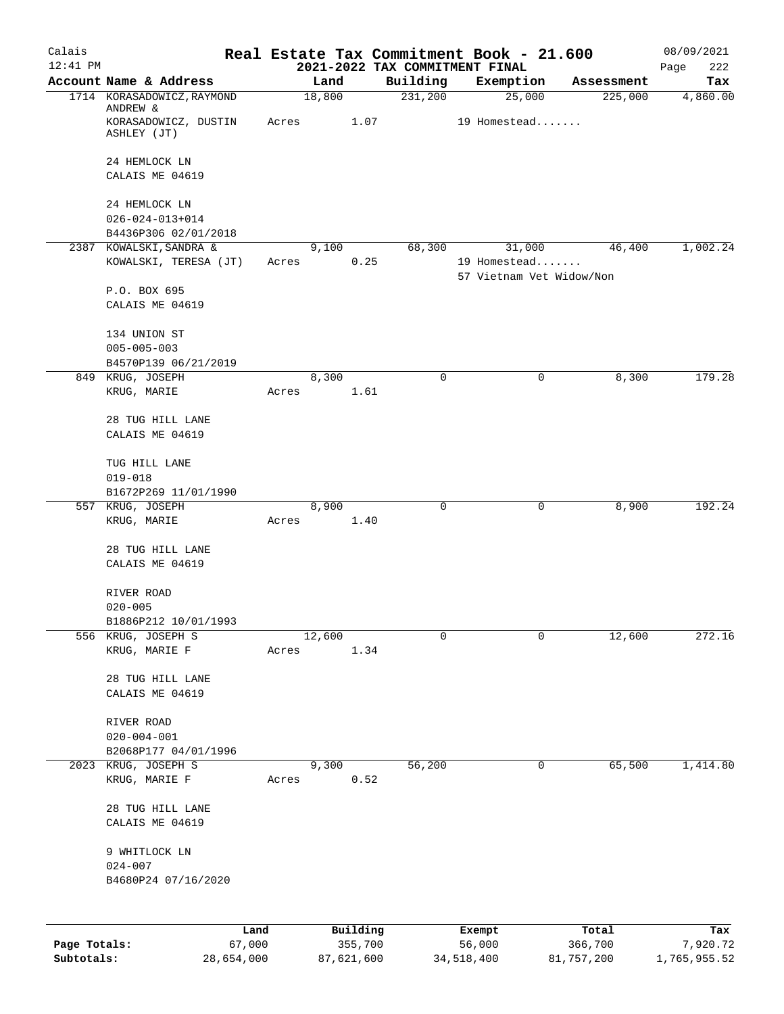| Calais                     |                                                                               |       |        |                       |          | Real Estate Tax Commitment Book - 21.600 |                       | 08/09/2021               |
|----------------------------|-------------------------------------------------------------------------------|-------|--------|-----------------------|----------|------------------------------------------|-----------------------|--------------------------|
| $12:41$ PM                 |                                                                               |       |        |                       |          | 2021-2022 TAX COMMITMENT FINAL           |                       | Page<br>222              |
|                            | Account Name & Address                                                        |       | Land   |                       | Building | Exemption                                | Assessment            | Tax                      |
|                            | 1714 KORASADOWICZ, RAYMOND<br>ANDREW &<br>KORASADOWICZ, DUSTIN<br>ASHLEY (JT) | Acres | 18,800 | 1.07                  | 231,200  | 25,000<br>19 Homestead                   | 225,000               | 4,860.00                 |
|                            |                                                                               |       |        |                       |          |                                          |                       |                          |
|                            | 24 HEMLOCK LN<br>CALAIS ME 04619                                              |       |        |                       |          |                                          |                       |                          |
|                            | 24 HEMLOCK LN                                                                 |       |        |                       |          |                                          |                       |                          |
|                            | $026 - 024 - 013 + 014$                                                       |       |        |                       |          |                                          |                       |                          |
|                            | B4436P306 02/01/2018                                                          |       |        |                       |          |                                          |                       |                          |
|                            | 2387 KOWALSKI, SANDRA &                                                       |       | 9,100  |                       | 68,300   | 31,000                                   | 46,400                | 1,002.24                 |
|                            | KOWALSKI, TERESA (JT)                                                         | Acres |        | 0.25                  |          | 19 Homestead<br>57 Vietnam Vet Widow/Non |                       |                          |
|                            | P.O. BOX 695                                                                  |       |        |                       |          |                                          |                       |                          |
|                            | CALAIS ME 04619                                                               |       |        |                       |          |                                          |                       |                          |
|                            | 134 UNION ST                                                                  |       |        |                       |          |                                          |                       |                          |
|                            | $005 - 005 - 003$                                                             |       |        |                       |          |                                          |                       |                          |
|                            | B4570P139 06/21/2019                                                          |       |        |                       |          |                                          |                       |                          |
|                            | 849 KRUG, JOSEPH<br>KRUG, MARIE                                               | Acres | 8,300  | 1.61                  | 0        | 0                                        | 8,300                 | 179.28                   |
|                            |                                                                               |       |        |                       |          |                                          |                       |                          |
|                            | 28 TUG HILL LANE<br>CALAIS ME 04619                                           |       |        |                       |          |                                          |                       |                          |
|                            | TUG HILL LANE                                                                 |       |        |                       |          |                                          |                       |                          |
|                            | $019 - 018$                                                                   |       |        |                       |          |                                          |                       |                          |
|                            | B1672P269 11/01/1990                                                          |       |        |                       |          |                                          |                       |                          |
|                            | 557 KRUG, JOSEPH                                                              |       | 8,900  |                       | 0        | 0                                        | 8,900                 | 192.24                   |
|                            | KRUG, MARIE                                                                   | Acres |        | 1.40                  |          |                                          |                       |                          |
|                            | 28 TUG HILL LANE                                                              |       |        |                       |          |                                          |                       |                          |
|                            | CALAIS ME 04619                                                               |       |        |                       |          |                                          |                       |                          |
|                            | RIVER ROAD                                                                    |       |        |                       |          |                                          |                       |                          |
|                            | $020 - 005$                                                                   |       |        |                       |          |                                          |                       |                          |
|                            | B1886P212 10/01/1993                                                          |       |        |                       |          |                                          |                       |                          |
|                            | 556 KRUG, JOSEPH S                                                            |       | 12,600 |                       | 0        | 0                                        | 12,600                | 272.16                   |
|                            | KRUG, MARIE F                                                                 | Acres |        | 1.34                  |          |                                          |                       |                          |
|                            | 28 TUG HILL LANE                                                              |       |        |                       |          |                                          |                       |                          |
|                            | CALAIS ME 04619                                                               |       |        |                       |          |                                          |                       |                          |
|                            | RIVER ROAD                                                                    |       |        |                       |          |                                          |                       |                          |
|                            | $020 - 004 - 001$                                                             |       |        |                       |          |                                          |                       |                          |
|                            | B2068P177 04/01/1996                                                          |       |        |                       |          |                                          |                       |                          |
|                            | 2023 KRUG, JOSEPH S<br>KRUG, MARIE F                                          | Acres | 9,300  | 0.52                  | 56,200   | $\mathbf 0$                              | 65,500                | 1,414.80                 |
|                            | 28 TUG HILL LANE<br>CALAIS ME 04619                                           |       |        |                       |          |                                          |                       |                          |
|                            |                                                                               |       |        |                       |          |                                          |                       |                          |
|                            | 9 WHITLOCK LN<br>$024 - 007$                                                  |       |        |                       |          |                                          |                       |                          |
|                            | B4680P24 07/16/2020                                                           |       |        |                       |          |                                          |                       |                          |
|                            |                                                                               |       |        |                       |          |                                          |                       |                          |
|                            |                                                                               | Land  |        | Building              |          | Exempt                                   | Total                 | Tax                      |
| Page Totals:<br>Subtotals: | 67,000<br>28,654,000                                                          |       |        | 355,700<br>87,621,600 |          | 56,000<br>34, 518, 400                   | 366,700<br>81,757,200 | 7,920.72<br>1,765,955.52 |
|                            |                                                                               |       |        |                       |          |                                          |                       |                          |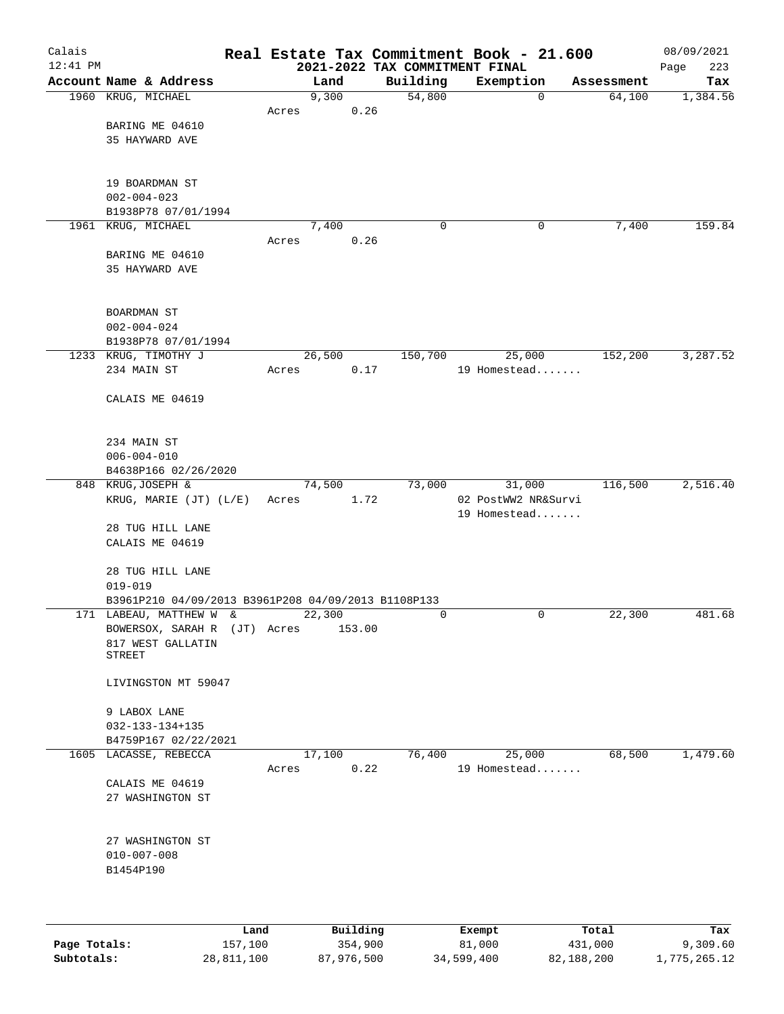| Calais     |                                                     |       |        |          |             | Real Estate Tax Commitment Book - 21.600 |            | 08/09/2021         |
|------------|-----------------------------------------------------|-------|--------|----------|-------------|------------------------------------------|------------|--------------------|
| $12:41$ PM | Account Name & Address                              |       | Land   |          | Building    | 2021-2022 TAX COMMITMENT FINAL           | Assessment | 223<br>Page<br>Tax |
|            | 1960 KRUG, MICHAEL                                  |       | 9,300  |          | 54,800      | Exemption<br>$\mathbf 0$                 | 64,100     | 1,384.56           |
|            |                                                     | Acres |        | 0.26     |             |                                          |            |                    |
|            | BARING ME 04610                                     |       |        |          |             |                                          |            |                    |
|            | 35 HAYWARD AVE                                      |       |        |          |             |                                          |            |                    |
|            |                                                     |       |        |          |             |                                          |            |                    |
|            |                                                     |       |        |          |             |                                          |            |                    |
|            | 19 BOARDMAN ST<br>$002 - 004 - 023$                 |       |        |          |             |                                          |            |                    |
|            | B1938P78 07/01/1994                                 |       |        |          |             |                                          |            |                    |
|            | 1961 KRUG, MICHAEL                                  |       | 7,400  |          | $\mathbf 0$ | 0                                        | 7,400      | 159.84             |
|            |                                                     | Acres |        | 0.26     |             |                                          |            |                    |
|            | BARING ME 04610                                     |       |        |          |             |                                          |            |                    |
|            | 35 HAYWARD AVE                                      |       |        |          |             |                                          |            |                    |
|            |                                                     |       |        |          |             |                                          |            |                    |
|            |                                                     |       |        |          |             |                                          |            |                    |
|            | BOARDMAN ST<br>$002 - 004 - 024$                    |       |        |          |             |                                          |            |                    |
|            | B1938P78 07/01/1994                                 |       |        |          |             |                                          |            |                    |
|            | 1233 KRUG, TIMOTHY J                                |       | 26,500 |          | 150,700     | 25,000                                   | 152,200    | 3,287.52           |
|            | 234 MAIN ST                                         | Acres |        | 0.17     |             | 19 Homestead                             |            |                    |
|            |                                                     |       |        |          |             |                                          |            |                    |
|            | CALAIS ME 04619                                     |       |        |          |             |                                          |            |                    |
|            |                                                     |       |        |          |             |                                          |            |                    |
|            | 234 MAIN ST                                         |       |        |          |             |                                          |            |                    |
|            | $006 - 004 - 010$                                   |       |        |          |             |                                          |            |                    |
|            | B4638P166 02/26/2020                                |       |        |          |             |                                          |            |                    |
|            | 848 KRUG, JOSEPH &                                  |       | 74,500 |          | 73,000      | 31,000                                   | 116,500    | 2,516.40           |
|            | KRUG, MARIE (JT) (L/E)                              | Acres |        | 1.72     |             | 02 PostWW2 NR&Survi                      |            |                    |
|            |                                                     |       |        |          |             | 19 Homestead                             |            |                    |
|            | 28 TUG HILL LANE                                    |       |        |          |             |                                          |            |                    |
|            | CALAIS ME 04619                                     |       |        |          |             |                                          |            |                    |
|            | 28 TUG HILL LANE                                    |       |        |          |             |                                          |            |                    |
|            | $019 - 019$                                         |       |        |          |             |                                          |            |                    |
|            | B3961P210 04/09/2013 B3961P208 04/09/2013 B1108P133 |       |        |          |             |                                          |            |                    |
|            | 171 LABEAU, MATTHEW W &                             |       | 22,300 |          | 0           | 0                                        | 22,300     | 481.68             |
|            | BOWERSOX, SARAH R (JT) Acres<br>817 WEST GALLATIN   |       |        | 153.00   |             |                                          |            |                    |
|            | <b>STREET</b>                                       |       |        |          |             |                                          |            |                    |
|            |                                                     |       |        |          |             |                                          |            |                    |
|            | LIVINGSTON MT 59047                                 |       |        |          |             |                                          |            |                    |
|            |                                                     |       |        |          |             |                                          |            |                    |
|            | 9 LABOX LANE<br>$032 - 133 - 134 + 135$             |       |        |          |             |                                          |            |                    |
|            | B4759P167 02/22/2021                                |       |        |          |             |                                          |            |                    |
|            | 1605 LACASSE, REBECCA                               |       | 17,100 |          | 76,400      | 25,000                                   | 68,500     | 1,479.60           |
|            |                                                     | Acres |        | 0.22     |             | 19 Homestead                             |            |                    |
|            | CALAIS ME 04619                                     |       |        |          |             |                                          |            |                    |
|            | 27 WASHINGTON ST                                    |       |        |          |             |                                          |            |                    |
|            |                                                     |       |        |          |             |                                          |            |                    |
|            | 27 WASHINGTON ST                                    |       |        |          |             |                                          |            |                    |
|            | $010 - 007 - 008$                                   |       |        |          |             |                                          |            |                    |
|            | B1454P190                                           |       |        |          |             |                                          |            |                    |
|            |                                                     |       |        |          |             |                                          |            |                    |
|            |                                                     |       |        |          |             |                                          |            |                    |
|            |                                                     | Land  |        | Building |             | Exempt                                   | Total      | Tax                |

**Page Totals:** 157,100 354,900 81,000 431,000 9,309.60 **Subtotals:** 28,811,100 87,976,500 34,599,400 82,188,200 1,775,265.12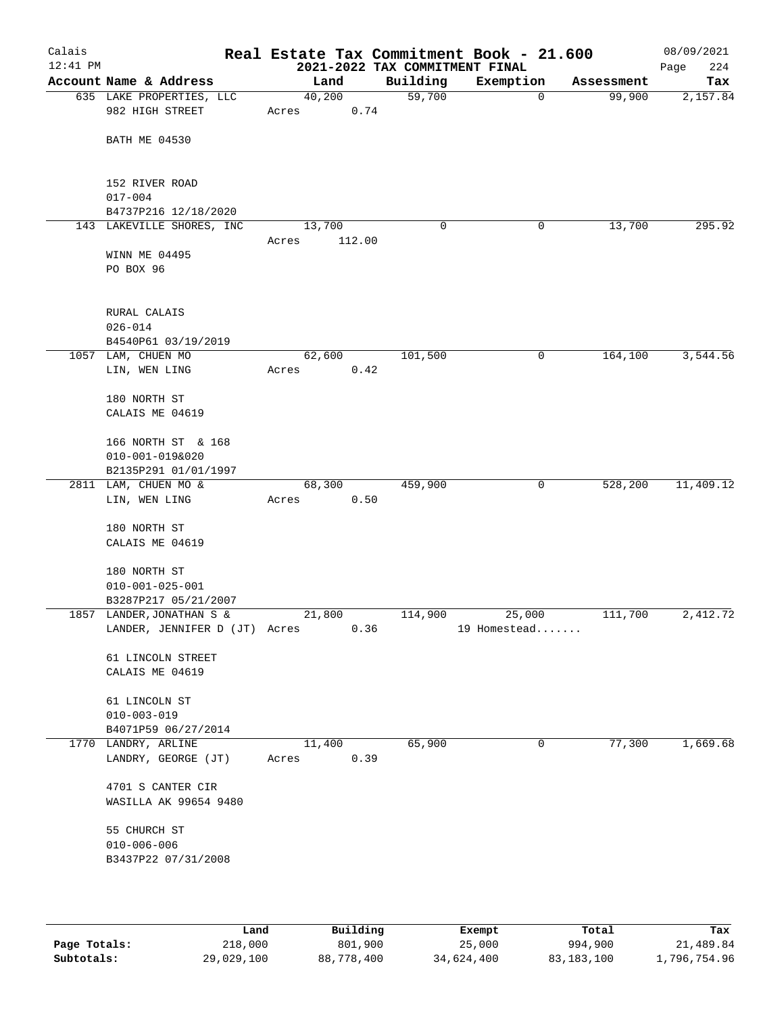| Calais<br>$12:41$ PM |                                                            |                 |        | 2021-2022 TAX COMMITMENT FINAL | Real Estate Tax Commitment Book - 21.600 |            | 08/09/2021<br>224<br>Page |
|----------------------|------------------------------------------------------------|-----------------|--------|--------------------------------|------------------------------------------|------------|---------------------------|
|                      | Account Name & Address                                     | Land            |        | Building                       | Exemption                                | Assessment | Tax                       |
|                      | 635 LAKE PROPERTIES, LLC<br>982 HIGH STREET                | 40,200<br>Acres | 0.74   | 59,700                         | $\mathbf 0$                              | 99,900     | 2,157.84                  |
|                      | <b>BATH ME 04530</b>                                       |                 |        |                                |                                          |            |                           |
|                      | 152 RIVER ROAD                                             |                 |        |                                |                                          |            |                           |
|                      | $017 - 004$<br>B4737P216 12/18/2020                        |                 |        |                                |                                          |            |                           |
|                      | 143 LAKEVILLE SHORES, INC                                  | 13,700          |        | 0                              | 0                                        | 13,700     | 295.92                    |
|                      | WINN ME 04495<br>PO BOX 96                                 | Acres           | 112.00 |                                |                                          |            |                           |
|                      | RURAL CALAIS<br>$026 - 014$                                |                 |        |                                |                                          |            |                           |
|                      | B4540P61 03/19/2019                                        |                 |        |                                |                                          |            |                           |
|                      | 1057 LAM, CHUEN MO<br>LIN, WEN LING                        | 62,600<br>Acres | 0.42   | 101,500                        | 0                                        | 164,100    | 3,544.56                  |
|                      | 180 NORTH ST<br>CALAIS ME 04619                            |                 |        |                                |                                          |            |                           |
|                      | 166 NORTH ST & 168<br>010-001-019&020                      |                 |        |                                |                                          |            |                           |
|                      | B2135P291 01/01/1997<br>2811 LAM, CHUEN MO &               | 68,300          |        | 459,900                        | 0                                        | 528,200    | 11,409.12                 |
|                      | LIN, WEN LING                                              | Acres           | 0.50   |                                |                                          |            |                           |
|                      | 180 NORTH ST<br>CALAIS ME 04619                            |                 |        |                                |                                          |            |                           |
|                      | 180 NORTH ST<br>$010 - 001 - 025 - 001$                    |                 |        |                                |                                          |            |                           |
|                      | B3287P217 05/21/2007                                       |                 |        |                                |                                          |            |                           |
|                      | 1857 LANDER, JONATHAN S &<br>LANDER, JENNIFER D (JT) Acres | 21,800          | 0.36   | 114,900                        | 25,000<br>19 Homestead                   | 111,700    | 2,412.72                  |
|                      | 61 LINCOLN STREET<br>CALAIS ME 04619                       |                 |        |                                |                                          |            |                           |
|                      | 61 LINCOLN ST<br>$010 - 003 - 019$                         |                 |        |                                |                                          |            |                           |
|                      | B4071P59 06/27/2014                                        |                 |        |                                |                                          |            |                           |
|                      | 1770 LANDRY, ARLINE<br>LANDRY, GEORGE (JT)                 | 11,400<br>Acres | 0.39   | 65,900                         | 0                                        | 77,300     | 1,669.68                  |
|                      | 4701 S CANTER CIR<br>WASILLA AK 99654 9480                 |                 |        |                                |                                          |            |                           |
|                      | 55 CHURCH ST<br>$010 - 006 - 006$<br>B3437P22 07/31/2008   |                 |        |                                |                                          |            |                           |

|              | Land       | Building   | Exempt     | Total      | Tax          |
|--------------|------------|------------|------------|------------|--------------|
| Page Totals: | 218,000    | 801,900    | 25,000     | 994,900    | 21,489.84    |
| Subtotals:   | 29,029,100 | 88,778,400 | 34,624,400 | 83,183,100 | 1,796,754.96 |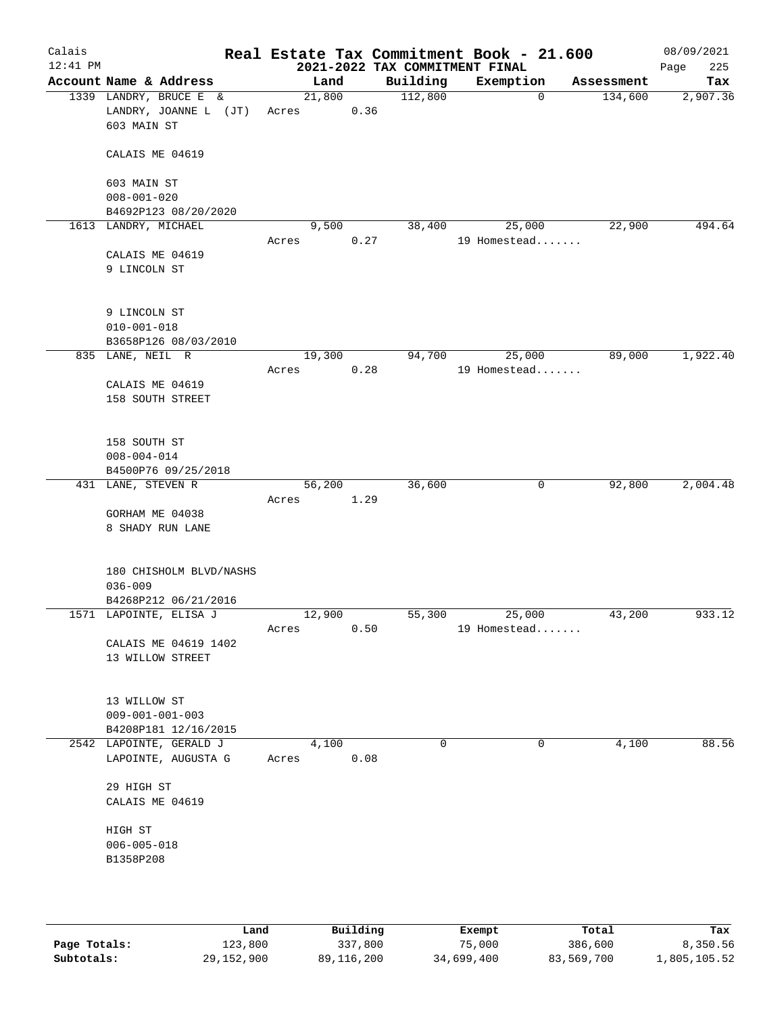| Calais<br>$12:41$ PM |                                                                |                 |      | 2021-2022 TAX COMMITMENT FINAL | Real Estate Tax Commitment Book - 21.600 |            | 08/09/2021<br>225<br>Page |
|----------------------|----------------------------------------------------------------|-----------------|------|--------------------------------|------------------------------------------|------------|---------------------------|
|                      | Account Name & Address                                         | Land            |      | Building                       | Exemption                                | Assessment | Tax                       |
|                      | 1339 LANDRY, BRUCE E &<br>LANDRY, JOANNE L (JT)<br>603 MAIN ST | 21,800<br>Acres | 0.36 | 112,800                        | $\mathbf 0$                              | 134,600    | 2,907.36                  |
|                      | CALAIS ME 04619                                                |                 |      |                                |                                          |            |                           |
|                      | 603 MAIN ST                                                    |                 |      |                                |                                          |            |                           |
|                      | $008 - 001 - 020$                                              |                 |      |                                |                                          |            |                           |
|                      | B4692P123 08/20/2020<br>1613 LANDRY, MICHAEL                   | 9,500           |      | 38,400                         | 25,000                                   | 22,900     | 494.64                    |
|                      |                                                                | Acres           | 0.27 |                                | 19 Homestead                             |            |                           |
|                      | CALAIS ME 04619<br>9 LINCOLN ST                                |                 |      |                                |                                          |            |                           |
|                      | 9 LINCOLN ST                                                   |                 |      |                                |                                          |            |                           |
|                      | $010 - 001 - 018$<br>B3658P126 08/03/2010                      |                 |      |                                |                                          |            |                           |
|                      | 835 LANE, NEIL R                                               | 19,300          |      | 94,700                         | 25,000                                   | 89,000     | 1,922.40                  |
|                      |                                                                | Acres           | 0.28 |                                | 19 Homestead                             |            |                           |
|                      | CALAIS ME 04619<br>158 SOUTH STREET                            |                 |      |                                |                                          |            |                           |
|                      | 158 SOUTH ST                                                   |                 |      |                                |                                          |            |                           |
|                      | $008 - 004 - 014$<br>B4500P76 09/25/2018                       |                 |      |                                |                                          |            |                           |
|                      | 431 LANE, STEVEN R                                             | 56,200          |      | 36,600                         | 0                                        | 92,800     | 2,004.48                  |
|                      |                                                                | Acres           | 1.29 |                                |                                          |            |                           |
|                      | GORHAM ME 04038                                                |                 |      |                                |                                          |            |                           |
|                      | 8 SHADY RUN LANE                                               |                 |      |                                |                                          |            |                           |
|                      | 180 CHISHOLM BLVD/NASHS<br>$036 - 009$                         |                 |      |                                |                                          |            |                           |
|                      | B4268P212 06/21/2016                                           |                 |      |                                |                                          |            |                           |
|                      | 1571 LAPOINTE, ELISA J                                         | 12,900          | 0.50 | 55,300                         | 25,000<br>19 Homestead                   | 43,200     | 933.12                    |
|                      | CALAIS ME 04619 1402                                           | Acres           |      |                                |                                          |            |                           |
|                      | 13 WILLOW STREET                                               |                 |      |                                |                                          |            |                           |
|                      | 13 WILLOW ST<br>$009 - 001 - 001 - 003$                        |                 |      |                                |                                          |            |                           |
|                      | B4208P181 12/16/2015                                           |                 |      |                                |                                          |            |                           |
|                      | 2542 LAPOINTE, GERALD J                                        | 4,100           |      | $\Omega$                       | 0                                        | 4,100      | 88.56                     |
|                      | LAPOINTE, AUGUSTA G                                            | Acres           | 0.08 |                                |                                          |            |                           |
|                      | 29 HIGH ST<br>CALAIS ME 04619                                  |                 |      |                                |                                          |            |                           |
|                      | HIGH ST                                                        |                 |      |                                |                                          |            |                           |
|                      | $006 - 005 - 018$                                              |                 |      |                                |                                          |            |                           |
|                      | B1358P208                                                      |                 |      |                                |                                          |            |                           |
|                      |                                                                |                 |      |                                |                                          |            |                           |
|                      |                                                                |                 |      |                                |                                          |            |                           |
|                      |                                                                |                 |      |                                |                                          |            |                           |

|              | úand       | Building   | Exempt     | Total      | Tax          |
|--------------|------------|------------|------------|------------|--------------|
| Page Totals: | 123,800    | 337,800    | 75,000     | 386,600    | 8,350.56     |
| Subtotals:   | 29,152,900 | 89,116,200 | 34,699,400 | 83,569,700 | 1,805,105.52 |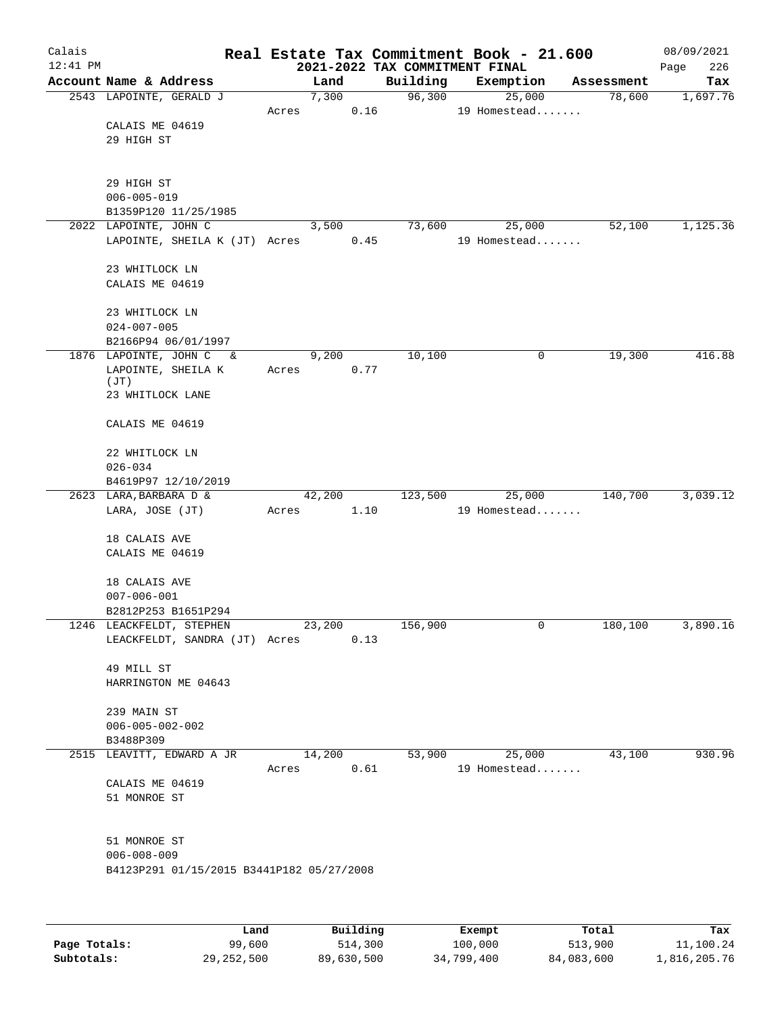| Calais<br>12:41 PM |                                           |       |        |       |          | Real Estate Tax Commitment Book - 21.600<br>2021-2022 TAX COMMITMENT FINAL |             |            | 08/09/2021<br>226<br>Page |
|--------------------|-------------------------------------------|-------|--------|-------|----------|----------------------------------------------------------------------------|-------------|------------|---------------------------|
|                    | Account Name & Address                    |       |        | Land  | Building | Exemption                                                                  |             | Assessment | Tax                       |
|                    | 2543 LAPOINTE, GERALD J                   |       |        | 7,300 | 96,300   | 25,000                                                                     |             | 78,600     | 1,697.76                  |
|                    |                                           | Acres |        | 0.16  |          | 19 Homestead                                                               |             |            |                           |
|                    | CALAIS ME 04619                           |       |        |       |          |                                                                            |             |            |                           |
|                    | 29 HIGH ST                                |       |        |       |          |                                                                            |             |            |                           |
|                    |                                           |       |        |       |          |                                                                            |             |            |                           |
|                    |                                           |       |        |       |          |                                                                            |             |            |                           |
|                    | 29 HIGH ST                                |       |        |       |          |                                                                            |             |            |                           |
|                    | $006 - 005 - 019$                         |       |        |       |          |                                                                            |             |            |                           |
|                    | B1359P120 11/25/1985                      |       |        |       |          |                                                                            |             |            |                           |
|                    | 2022 LAPOINTE, JOHN C                     |       |        | 3,500 | 73,600   | 25,000                                                                     |             | 52,100     | 1,125.36                  |
|                    | LAPOINTE, SHEILA K (JT) Acres             |       |        | 0.45  |          | 19 Homestead                                                               |             |            |                           |
|                    | 23 WHITLOCK LN                            |       |        |       |          |                                                                            |             |            |                           |
|                    | CALAIS ME 04619                           |       |        |       |          |                                                                            |             |            |                           |
|                    |                                           |       |        |       |          |                                                                            |             |            |                           |
|                    | 23 WHITLOCK LN                            |       |        |       |          |                                                                            |             |            |                           |
|                    | $024 - 007 - 005$                         |       |        |       |          |                                                                            |             |            |                           |
|                    | B2166P94 06/01/1997                       |       |        |       |          |                                                                            |             |            |                           |
|                    | 1876 LAPOINTE, JOHN C<br>$\delta$         |       |        | 9,200 | 10,100   |                                                                            | $\mathbf 0$ | 19,300     | 416.88                    |
|                    | LAPOINTE, SHEILA K                        | Acres |        | 0.77  |          |                                                                            |             |            |                           |
|                    | (JT)                                      |       |        |       |          |                                                                            |             |            |                           |
|                    | 23 WHITLOCK LANE                          |       |        |       |          |                                                                            |             |            |                           |
|                    |                                           |       |        |       |          |                                                                            |             |            |                           |
|                    | CALAIS ME 04619                           |       |        |       |          |                                                                            |             |            |                           |
|                    |                                           |       |        |       |          |                                                                            |             |            |                           |
|                    | 22 WHITLOCK LN                            |       |        |       |          |                                                                            |             |            |                           |
|                    | $026 - 034$<br>B4619P97 12/10/2019        |       |        |       |          |                                                                            |             |            |                           |
|                    | 2623 LARA, BARBARA D &                    |       | 42,200 |       | 123,500  | 25,000                                                                     |             | 140,700    | 3,039.12                  |
|                    | LARA, JOSE (JT)                           | Acres |        | 1.10  |          | 19 Homestead                                                               |             |            |                           |
|                    |                                           |       |        |       |          |                                                                            |             |            |                           |
|                    | 18 CALAIS AVE                             |       |        |       |          |                                                                            |             |            |                           |
|                    | CALAIS ME 04619                           |       |        |       |          |                                                                            |             |            |                           |
|                    |                                           |       |        |       |          |                                                                            |             |            |                           |
|                    | 18 CALAIS AVE                             |       |        |       |          |                                                                            |             |            |                           |
|                    | $007 - 006 - 001$                         |       |        |       |          |                                                                            |             |            |                           |
|                    | B2812P253 B1651P294                       |       |        |       |          |                                                                            |             |            |                           |
|                    | 1246 LEACKFELDT, STEPHEN                  |       | 23,200 |       | 156,900  |                                                                            | 0           | 180,100    | 3,890.16                  |
|                    | LEACKFELDT, SANDRA (JT) Acres             |       |        | 0.13  |          |                                                                            |             |            |                           |
|                    |                                           |       |        |       |          |                                                                            |             |            |                           |
|                    | 49 MILL ST                                |       |        |       |          |                                                                            |             |            |                           |
|                    | HARRINGTON ME 04643                       |       |        |       |          |                                                                            |             |            |                           |
|                    |                                           |       |        |       |          |                                                                            |             |            |                           |
|                    | 239 MAIN ST                               |       |        |       |          |                                                                            |             |            |                           |
|                    | $006 - 005 - 002 - 002$                   |       |        |       |          |                                                                            |             |            |                           |
|                    | B3488P309<br>2515 LEAVITT, EDWARD A JR    |       | 14,200 |       | 53,900   | 25,000                                                                     |             | 43,100     | 930.96                    |
|                    |                                           | Acres |        | 0.61  |          | 19 Homestead                                                               |             |            |                           |
|                    | CALAIS ME 04619                           |       |        |       |          |                                                                            |             |            |                           |
|                    | 51 MONROE ST                              |       |        |       |          |                                                                            |             |            |                           |
|                    |                                           |       |        |       |          |                                                                            |             |            |                           |
|                    |                                           |       |        |       |          |                                                                            |             |            |                           |
|                    | 51 MONROE ST                              |       |        |       |          |                                                                            |             |            |                           |
|                    | $006 - 008 - 009$                         |       |        |       |          |                                                                            |             |            |                           |
|                    | B4123P291 01/15/2015 B3441P182 05/27/2008 |       |        |       |          |                                                                            |             |            |                           |
|                    |                                           |       |        |       |          |                                                                            |             |            |                           |
|                    |                                           |       |        |       |          |                                                                            |             |            |                           |
|                    |                                           |       |        |       |          |                                                                            |             |            |                           |
|                    |                                           |       |        |       |          |                                                                            |             |            |                           |

|              | Land       | Building   | Exempt     | Total      | Tax          |
|--------------|------------|------------|------------|------------|--------------|
| Page Totals: | 99,600     | 514,300    | 100,000    | 513,900    | 11,100.24    |
| Subtotals:   | 29,252,500 | 89,630,500 | 34,799,400 | 84,083,600 | 1,816,205.76 |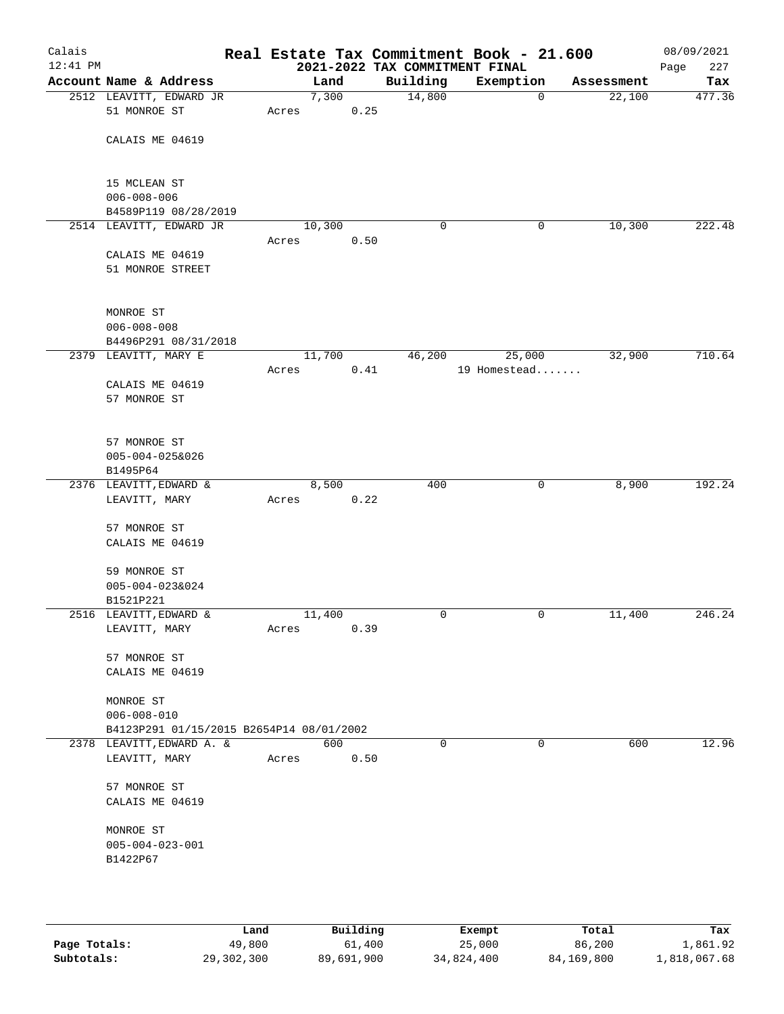| Calais<br>$12:41$ PM |                                          |       |        |      | 2021-2022 TAX COMMITMENT FINAL | Real Estate Tax Commitment Book - 21.600 |   |            | 08/09/2021<br>227<br>Page |
|----------------------|------------------------------------------|-------|--------|------|--------------------------------|------------------------------------------|---|------------|---------------------------|
|                      | Account Name & Address                   |       | Land   |      | Building                       | Exemption                                |   | Assessment | Tax                       |
|                      | 2512 LEAVITT, EDWARD JR                  |       | 7,300  |      | 14,800                         |                                          | 0 | 22,100     | 477.36                    |
|                      | 51 MONROE ST                             | Acres |        | 0.25 |                                |                                          |   |            |                           |
|                      | CALAIS ME 04619                          |       |        |      |                                |                                          |   |            |                           |
|                      |                                          |       |        |      |                                |                                          |   |            |                           |
|                      | 15 MCLEAN ST                             |       |        |      |                                |                                          |   |            |                           |
|                      | $006 - 008 - 006$                        |       |        |      |                                |                                          |   |            |                           |
|                      | B4589P119 08/28/2019                     |       |        |      | $\mathbf 0$                    |                                          |   |            |                           |
|                      | 2514 LEAVITT, EDWARD JR                  | Acres | 10,300 | 0.50 |                                |                                          | 0 | 10,300     | 222.48                    |
|                      | CALAIS ME 04619                          |       |        |      |                                |                                          |   |            |                           |
|                      | 51 MONROE STREET                         |       |        |      |                                |                                          |   |            |                           |
|                      |                                          |       |        |      |                                |                                          |   |            |                           |
|                      | MONROE ST                                |       |        |      |                                |                                          |   |            |                           |
|                      | $006 - 008 - 008$                        |       |        |      |                                |                                          |   |            |                           |
|                      | B4496P291 08/31/2018                     |       |        |      |                                |                                          |   |            |                           |
|                      | 2379 LEAVITT, MARY E                     |       | 11,700 |      | 46,200                         | 25,000                                   |   | 32,900     | 710.64                    |
|                      |                                          | Acres |        | 0.41 |                                | 19 Homestead                             |   |            |                           |
|                      | CALAIS ME 04619                          |       |        |      |                                |                                          |   |            |                           |
|                      | 57 MONROE ST                             |       |        |      |                                |                                          |   |            |                           |
|                      |                                          |       |        |      |                                |                                          |   |            |                           |
|                      | 57 MONROE ST                             |       |        |      |                                |                                          |   |            |                           |
|                      | $005 - 004 - 025&026$                    |       |        |      |                                |                                          |   |            |                           |
|                      | B1495P64<br>2376 LEAVITT, EDWARD &       |       | 8,500  |      | 400                            |                                          | 0 | 8,900      | 192.24                    |
|                      | LEAVITT, MARY                            | Acres |        | 0.22 |                                |                                          |   |            |                           |
|                      |                                          |       |        |      |                                |                                          |   |            |                           |
|                      | 57 MONROE ST                             |       |        |      |                                |                                          |   |            |                           |
|                      | CALAIS ME 04619                          |       |        |      |                                |                                          |   |            |                           |
|                      | 59 MONROE ST                             |       |        |      |                                |                                          |   |            |                           |
|                      | 005-004-023&024                          |       |        |      |                                |                                          |   |            |                           |
|                      | B1521P221                                |       |        |      |                                |                                          |   |            |                           |
|                      | 2516 LEAVITT, EDWARD &                   |       | 11,400 |      | 0                              |                                          | 0 | 11,400     | 246.24                    |
|                      | LEAVITT, MARY                            | Acres |        | 0.39 |                                |                                          |   |            |                           |
|                      | 57 MONROE ST                             |       |        |      |                                |                                          |   |            |                           |
|                      | CALAIS ME 04619                          |       |        |      |                                |                                          |   |            |                           |
|                      | MONROE ST                                |       |        |      |                                |                                          |   |            |                           |
|                      | $006 - 008 - 010$                        |       |        |      |                                |                                          |   |            |                           |
|                      | B4123P291 01/15/2015 B2654P14 08/01/2002 |       |        |      |                                |                                          |   |            |                           |
|                      | 2378 LEAVITT, EDWARD A. &                |       | 600    |      | 0                              |                                          | 0 | 600        | 12.96                     |
|                      | LEAVITT, MARY                            | Acres |        | 0.50 |                                |                                          |   |            |                           |
|                      | 57 MONROE ST                             |       |        |      |                                |                                          |   |            |                           |
|                      | CALAIS ME 04619                          |       |        |      |                                |                                          |   |            |                           |
|                      | MONROE ST                                |       |        |      |                                |                                          |   |            |                           |
|                      | $005 - 004 - 023 - 001$                  |       |        |      |                                |                                          |   |            |                           |
|                      | B1422P67                                 |       |        |      |                                |                                          |   |            |                           |
|                      |                                          |       |        |      |                                |                                          |   |            |                           |
|                      |                                          |       |        |      |                                |                                          |   |            |                           |

|              | Land       | Building   | Exempt     | Total      | Tax          |
|--------------|------------|------------|------------|------------|--------------|
| Page Totals: | 49,800     | 61,400     | 25,000     | 86,200     | 1,861.92     |
| Subtotals:   | 29,302,300 | 89,691,900 | 34,824,400 | 84,169,800 | 1,818,067.68 |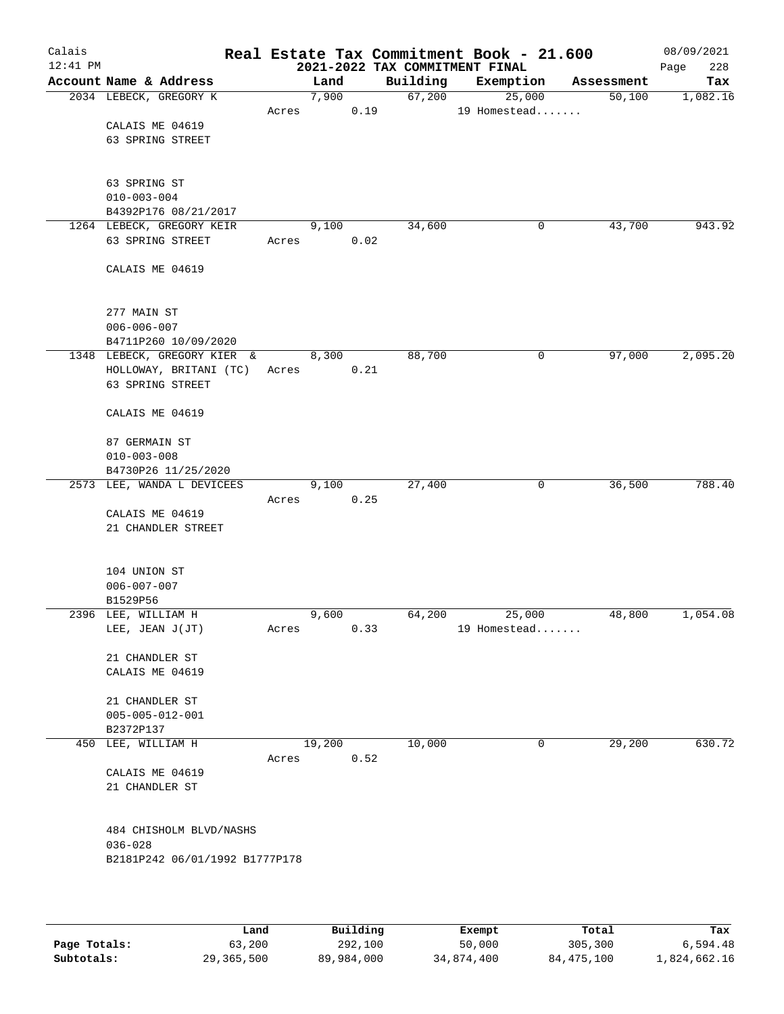| Calais<br>$12:41$ PM |                                           |       |        |      |          | Real Estate Tax Commitment Book - 21.600<br>2021-2022 TAX COMMITMENT FINAL |             |            | 08/09/2021<br>228<br>Page |
|----------------------|-------------------------------------------|-------|--------|------|----------|----------------------------------------------------------------------------|-------------|------------|---------------------------|
|                      | Account Name & Address                    |       | Land   |      | Building | Exemption                                                                  |             | Assessment | Tax                       |
|                      | 2034 LEBECK, GREGORY K                    |       | 7,900  |      | 67,200   | 25,000                                                                     |             | 50,100     | 1,082.16                  |
|                      |                                           | Acres |        | 0.19 |          | 19 Homestead                                                               |             |            |                           |
|                      | CALAIS ME 04619                           |       |        |      |          |                                                                            |             |            |                           |
|                      | 63 SPRING STREET                          |       |        |      |          |                                                                            |             |            |                           |
|                      |                                           |       |        |      |          |                                                                            |             |            |                           |
|                      |                                           |       |        |      |          |                                                                            |             |            |                           |
|                      | 63 SPRING ST                              |       |        |      |          |                                                                            |             |            |                           |
|                      | $010 - 003 - 004$<br>B4392P176 08/21/2017 |       |        |      |          |                                                                            |             |            |                           |
|                      | 1264 LEBECK, GREGORY KEIR                 |       | 9,100  |      | 34,600   |                                                                            | 0           | 43,700     | 943.92                    |
|                      | 63 SPRING STREET                          | Acres |        | 0.02 |          |                                                                            |             |            |                           |
|                      |                                           |       |        |      |          |                                                                            |             |            |                           |
|                      | CALAIS ME 04619                           |       |        |      |          |                                                                            |             |            |                           |
|                      |                                           |       |        |      |          |                                                                            |             |            |                           |
|                      |                                           |       |        |      |          |                                                                            |             |            |                           |
|                      | 277 MAIN ST                               |       |        |      |          |                                                                            |             |            |                           |
|                      | $006 - 006 - 007$                         |       |        |      |          |                                                                            |             |            |                           |
|                      | B4711P260 10/09/2020                      |       |        |      |          |                                                                            |             |            |                           |
|                      | 1348 LEBECK, GREGORY KIER &               |       | 8,300  |      | 88,700   |                                                                            | 0           | 97,000     | 2,095.20                  |
|                      | HOLLOWAY, BRITANI (TC)                    | Acres |        | 0.21 |          |                                                                            |             |            |                           |
|                      | 63 SPRING STREET                          |       |        |      |          |                                                                            |             |            |                           |
|                      | CALAIS ME 04619                           |       |        |      |          |                                                                            |             |            |                           |
|                      |                                           |       |        |      |          |                                                                            |             |            |                           |
|                      | 87 GERMAIN ST                             |       |        |      |          |                                                                            |             |            |                           |
|                      | $010 - 003 - 008$                         |       |        |      |          |                                                                            |             |            |                           |
|                      | B4730P26 11/25/2020                       |       |        |      |          |                                                                            |             |            |                           |
|                      | 2573 LEE, WANDA L DEVICEES                |       | 9,100  |      | 27,400   |                                                                            | $\mathbf 0$ | 36,500     | 788.40                    |
|                      |                                           | Acres |        | 0.25 |          |                                                                            |             |            |                           |
|                      | CALAIS ME 04619                           |       |        |      |          |                                                                            |             |            |                           |
|                      | 21 CHANDLER STREET                        |       |        |      |          |                                                                            |             |            |                           |
|                      |                                           |       |        |      |          |                                                                            |             |            |                           |
|                      |                                           |       |        |      |          |                                                                            |             |            |                           |
|                      | 104 UNION ST<br>$006 - 007 - 007$         |       |        |      |          |                                                                            |             |            |                           |
|                      | B1529P56                                  |       |        |      |          |                                                                            |             |            |                           |
|                      | 2396 LEE, WILLIAM H                       |       | 9,600  |      | 64,200   | 25,000                                                                     |             | 48,800     | 1,054.08                  |
|                      | LEE, JEAN J(JT)                           | Acres |        | 0.33 |          | 19 Homestead                                                               |             |            |                           |
|                      |                                           |       |        |      |          |                                                                            |             |            |                           |
|                      | 21 CHANDLER ST                            |       |        |      |          |                                                                            |             |            |                           |
|                      | CALAIS ME 04619                           |       |        |      |          |                                                                            |             |            |                           |
|                      |                                           |       |        |      |          |                                                                            |             |            |                           |
|                      | 21 CHANDLER ST                            |       |        |      |          |                                                                            |             |            |                           |
|                      | $005 - 005 - 012 - 001$                   |       |        |      |          |                                                                            |             |            |                           |
|                      | B2372P137                                 |       | 19,200 |      | 10,000   |                                                                            | 0           | 29,200     | 630.72                    |
| 450                  | LEE, WILLIAM H                            | Acres |        | 0.52 |          |                                                                            |             |            |                           |
|                      | CALAIS ME 04619                           |       |        |      |          |                                                                            |             |            |                           |
|                      | 21 CHANDLER ST                            |       |        |      |          |                                                                            |             |            |                           |
|                      |                                           |       |        |      |          |                                                                            |             |            |                           |
|                      |                                           |       |        |      |          |                                                                            |             |            |                           |
|                      | 484 CHISHOLM BLVD/NASHS                   |       |        |      |          |                                                                            |             |            |                           |
|                      | $036 - 028$                               |       |        |      |          |                                                                            |             |            |                           |
|                      | B2181P242 06/01/1992 B1777P178            |       |        |      |          |                                                                            |             |            |                           |
|                      |                                           |       |        |      |          |                                                                            |             |            |                           |
|                      |                                           |       |        |      |          |                                                                            |             |            |                           |
|                      |                                           |       |        |      |          |                                                                            |             |            |                           |

|              | Land       | Building   | Exempt     | Total      | Tax          |
|--------------|------------|------------|------------|------------|--------------|
| Page Totals: | 63,200     | 292,100    | 50,000     | 305,300    | 6,594.48     |
| Subtotals:   | 29,365,500 | 89,984,000 | 34,874,400 | 84,475,100 | 1,824,662.16 |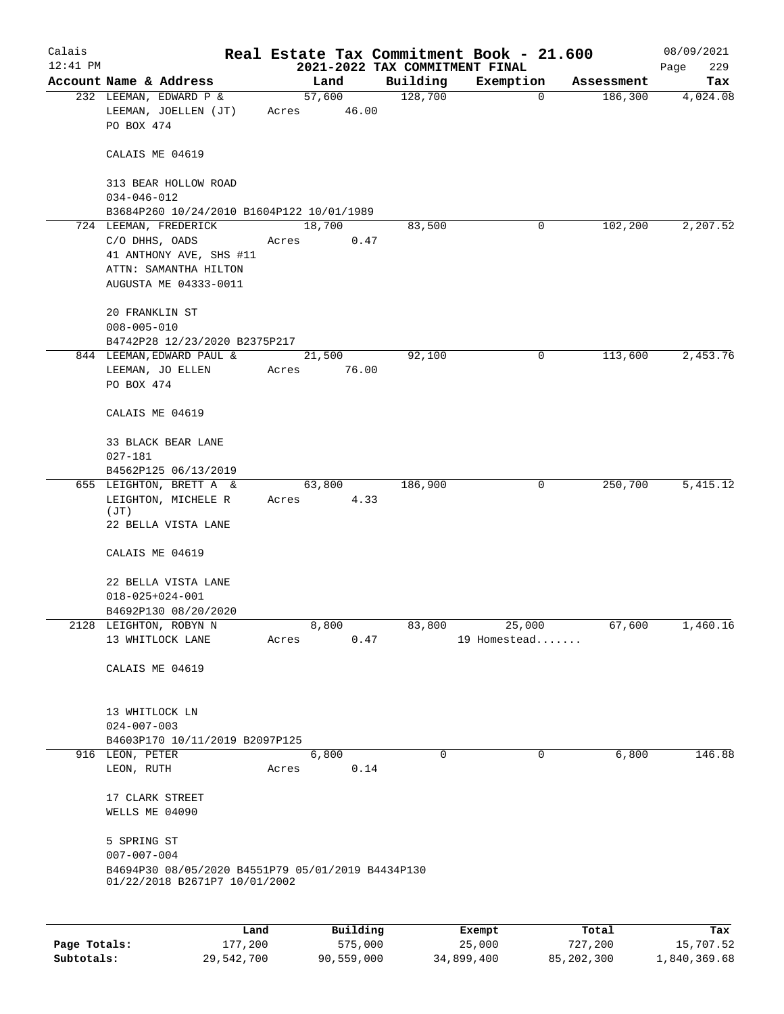| Calais       |                                                                                                                      |             |                 |                                | Real Estate Tax Commitment Book - 21.600 |            | 08/09/2021  |
|--------------|----------------------------------------------------------------------------------------------------------------------|-------------|-----------------|--------------------------------|------------------------------------------|------------|-------------|
| $12:41$ PM   |                                                                                                                      |             |                 | 2021-2022 TAX COMMITMENT FINAL |                                          |            | 229<br>Page |
|              | Account Name & Address                                                                                               |             | Land            | Building                       | Exemption                                | Assessment | Tax         |
|              | 232 LEEMAN, EDWARD P &<br>LEEMAN, JOELLEN (JT)<br>PO BOX 474                                                         | Acres 46.00 | 57,600          | 128,700                        | $\mathbf 0$                              | 186,300    | 4,024.08    |
|              | CALAIS ME 04619                                                                                                      |             |                 |                                |                                          |            |             |
|              | 313 BEAR HOLLOW ROAD<br>$034 - 046 - 012$                                                                            |             |                 |                                |                                          |            |             |
|              | B3684P260 10/24/2010 B1604P122 10/01/1989                                                                            |             |                 |                                |                                          |            |             |
|              | 724 LEEMAN, FREDERICK<br>C/O DHHS, OADS<br>41 ANTHONY AVE, SHS #11<br>ATTN: SAMANTHA HILTON<br>AUGUSTA ME 04333-0011 | Acres       | 18,700<br>0.47  | 83,500                         | 0                                        | 102,200    | 2,207.52    |
|              | 20 FRANKLIN ST<br>$008 - 005 - 010$                                                                                  |             |                 |                                |                                          |            |             |
|              | B4742P28 12/23/2020 B2375P217                                                                                        |             |                 |                                |                                          |            |             |
|              | 844 LEEMAN, EDWARD PAUL &<br>LEEMAN, JO ELLEN<br>PO BOX 474                                                          | Acres       | 21,500<br>76.00 | 92,100                         | 0                                        | 113,600    | 2,453.76    |
|              | CALAIS ME 04619                                                                                                      |             |                 |                                |                                          |            |             |
|              | 33 BLACK BEAR LANE<br>027-181                                                                                        |             |                 |                                |                                          |            |             |
|              | B4562P125 06/13/2019                                                                                                 |             |                 |                                |                                          |            |             |
|              | 655 LEIGHTON, BRETT A &<br>LEIGHTON, MICHELE R<br>(JT)                                                               | Acres 4.33  | 63,800          | 186,900                        | 0                                        | 250,700    | 5,415.12    |
|              | 22 BELLA VISTA LANE                                                                                                  |             |                 |                                |                                          |            |             |
|              | CALAIS ME 04619                                                                                                      |             |                 |                                |                                          |            |             |
|              | 22 BELLA VISTA LANE                                                                                                  |             |                 |                                |                                          |            |             |
|              | $018 - 025 + 024 - 001$                                                                                              |             |                 |                                |                                          |            |             |
|              | B4692P130 08/20/2020                                                                                                 |             |                 |                                |                                          |            |             |
|              | 2128 LEIGHTON, ROBYN N                                                                                               |             | 8,800           | 83,800                         | 25,000                                   | 67,600     | 1,460.16    |
|              | 13 WHITLOCK LANE                                                                                                     | Acres       | 0.47            |                                | 19 Homestead                             |            |             |
|              | CALAIS ME 04619                                                                                                      |             |                 |                                |                                          |            |             |
|              | 13 WHITLOCK LN<br>$024 - 007 - 003$                                                                                  |             |                 |                                |                                          |            |             |
|              | B4603P170 10/11/2019 B2097P125                                                                                       |             |                 |                                |                                          |            |             |
|              | 916 LEON, PETER<br>LEON, RUTH                                                                                        | Acres       | 6,800<br>0.14   | $\Omega$                       | 0                                        | 6,800      | 146.88      |
|              | 17 CLARK STREET<br>WELLS ME 04090                                                                                    |             |                 |                                |                                          |            |             |
|              | 5 SPRING ST<br>$007 - 007 - 004$                                                                                     |             |                 |                                |                                          |            |             |
|              | B4694P30 08/05/2020 B4551P79 05/01/2019 B4434P130<br>01/22/2018 B2671P7 10/01/2002                                   |             |                 |                                |                                          |            |             |
|              |                                                                                                                      |             |                 |                                |                                          |            |             |
|              | Land                                                                                                                 |             | Building        |                                | Exempt                                   | Total      | Tax         |
| Page Totals: | 177,200                                                                                                              |             | 575,000         |                                | 25,000                                   | 727,200    | 15,707.52   |

**Subtotals:** 29,542,700 90,559,000 34,899,400 85,202,300 1,840,369.68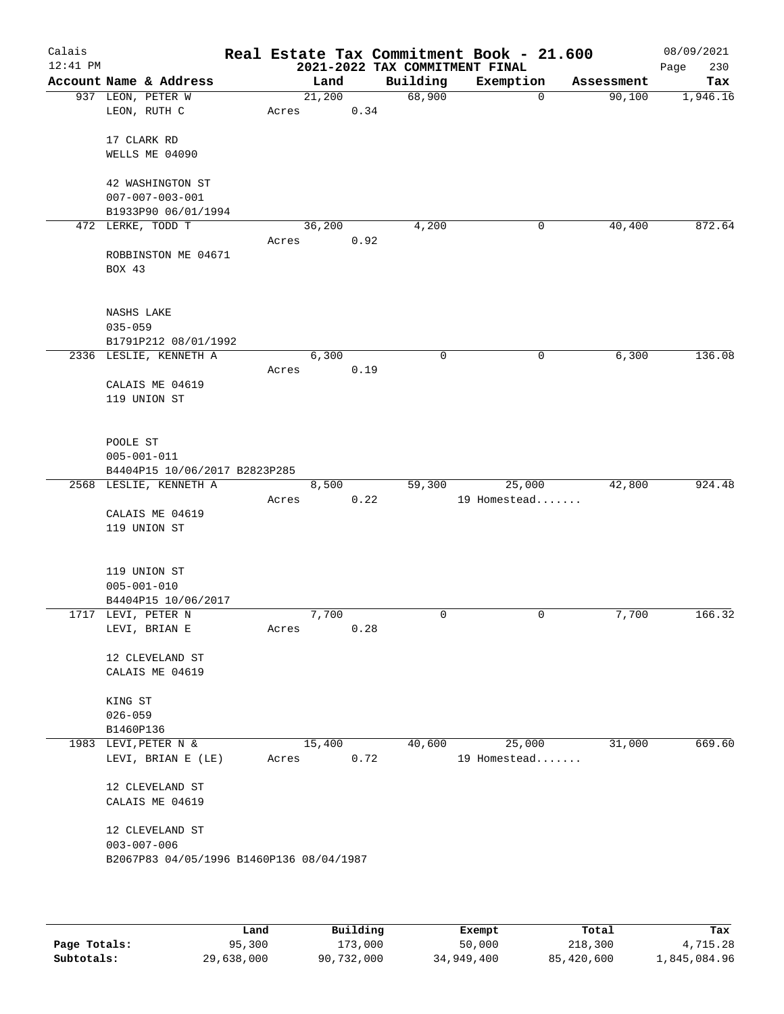| Calais<br>$12:41$ PM |                                          |       |        |      | 2021-2022 TAX COMMITMENT FINAL | Real Estate Tax Commitment Book - 21.600 |            | 08/09/2021<br>Page<br>230 |
|----------------------|------------------------------------------|-------|--------|------|--------------------------------|------------------------------------------|------------|---------------------------|
|                      | Account Name & Address                   |       | Land   |      | Building                       | Exemption                                | Assessment | Tax                       |
|                      | 937 LEON, PETER W                        |       | 21,200 |      | 68,900                         | $\mathbf 0$                              | 90,100     | 1,946.16                  |
|                      | LEON, RUTH C                             | Acres |        | 0.34 |                                |                                          |            |                           |
|                      |                                          |       |        |      |                                |                                          |            |                           |
|                      | 17 CLARK RD                              |       |        |      |                                |                                          |            |                           |
|                      | WELLS ME 04090                           |       |        |      |                                |                                          |            |                           |
|                      | 42 WASHINGTON ST                         |       |        |      |                                |                                          |            |                           |
|                      | $007 - 007 - 003 - 001$                  |       |        |      |                                |                                          |            |                           |
|                      | B1933P90 06/01/1994                      |       |        |      |                                |                                          |            |                           |
|                      | 472 LERKE, TODD T                        |       | 36,200 |      | 4,200                          | 0                                        | 40,400     | 872.64                    |
|                      |                                          | Acres |        | 0.92 |                                |                                          |            |                           |
|                      | ROBBINSTON ME 04671                      |       |        |      |                                |                                          |            |                           |
|                      | BOX 43                                   |       |        |      |                                |                                          |            |                           |
|                      |                                          |       |        |      |                                |                                          |            |                           |
|                      |                                          |       |        |      |                                |                                          |            |                           |
|                      | NASHS LAKE                               |       |        |      |                                |                                          |            |                           |
|                      | $035 - 059$                              |       |        |      |                                |                                          |            |                           |
|                      | B1791P212 08/01/1992                     |       |        |      |                                |                                          |            |                           |
|                      | 2336 LESLIE, KENNETH A                   |       | 6,300  |      | 0                              | 0                                        | 6,300      | 136.08                    |
|                      | CALAIS ME 04619                          | Acres |        | 0.19 |                                |                                          |            |                           |
|                      | 119 UNION ST                             |       |        |      |                                |                                          |            |                           |
|                      |                                          |       |        |      |                                |                                          |            |                           |
|                      |                                          |       |        |      |                                |                                          |            |                           |
|                      | POOLE ST                                 |       |        |      |                                |                                          |            |                           |
|                      | $005 - 001 - 011$                        |       |        |      |                                |                                          |            |                           |
|                      | B4404P15 10/06/2017 B2823P285            |       |        |      |                                |                                          |            |                           |
|                      | 2568 LESLIE, KENNETH A                   |       | 8,500  |      | 59,300                         | 25,000                                   | 42,800     | 924.48                    |
|                      |                                          | Acres |        | 0.22 |                                | 19 Homestead                             |            |                           |
|                      | CALAIS ME 04619                          |       |        |      |                                |                                          |            |                           |
|                      | 119 UNION ST                             |       |        |      |                                |                                          |            |                           |
|                      |                                          |       |        |      |                                |                                          |            |                           |
|                      | 119 UNION ST                             |       |        |      |                                |                                          |            |                           |
|                      | $005 - 001 - 010$                        |       |        |      |                                |                                          |            |                           |
|                      | B4404P15 10/06/2017                      |       |        |      |                                |                                          |            |                           |
|                      | 1717 LEVI, PETER N                       |       | 7,700  |      | 0                              | 0                                        | 7,700      | 166.32                    |
|                      | LEVI, BRIAN E                            | Acres |        | 0.28 |                                |                                          |            |                           |
|                      |                                          |       |        |      |                                |                                          |            |                           |
|                      | 12 CLEVELAND ST                          |       |        |      |                                |                                          |            |                           |
|                      | CALAIS ME 04619                          |       |        |      |                                |                                          |            |                           |
|                      |                                          |       |        |      |                                |                                          |            |                           |
|                      | KING ST                                  |       |        |      |                                |                                          |            |                           |
|                      | $026 - 059$<br>B1460P136                 |       |        |      |                                |                                          |            |                           |
|                      | 1983 LEVI, PETER N &                     |       | 15,400 |      | 40,600                         | 25,000                                   | 31,000     | 669.60                    |
|                      | LEVI, BRIAN E (LE)                       | Acres |        | 0.72 |                                | 19 Homestead                             |            |                           |
|                      |                                          |       |        |      |                                |                                          |            |                           |
|                      | 12 CLEVELAND ST                          |       |        |      |                                |                                          |            |                           |
|                      | CALAIS ME 04619                          |       |        |      |                                |                                          |            |                           |
|                      |                                          |       |        |      |                                |                                          |            |                           |
|                      | 12 CLEVELAND ST                          |       |        |      |                                |                                          |            |                           |
|                      | $003 - 007 - 006$                        |       |        |      |                                |                                          |            |                           |
|                      | B2067P83 04/05/1996 B1460P136 08/04/1987 |       |        |      |                                |                                          |            |                           |
|                      |                                          |       |        |      |                                |                                          |            |                           |
|                      |                                          |       |        |      |                                |                                          |            |                           |
|                      |                                          |       |        |      |                                |                                          |            |                           |

|              | Land       | Building   | Exempt     | Total      | Tax          |
|--------------|------------|------------|------------|------------|--------------|
| Page Totals: | 95,300     | 173,000    | 50,000     | 218,300    | 4,715.28     |
| Subtotals:   | 29,638,000 | 90,732,000 | 34,949,400 | 85,420,600 | 1,845,084.96 |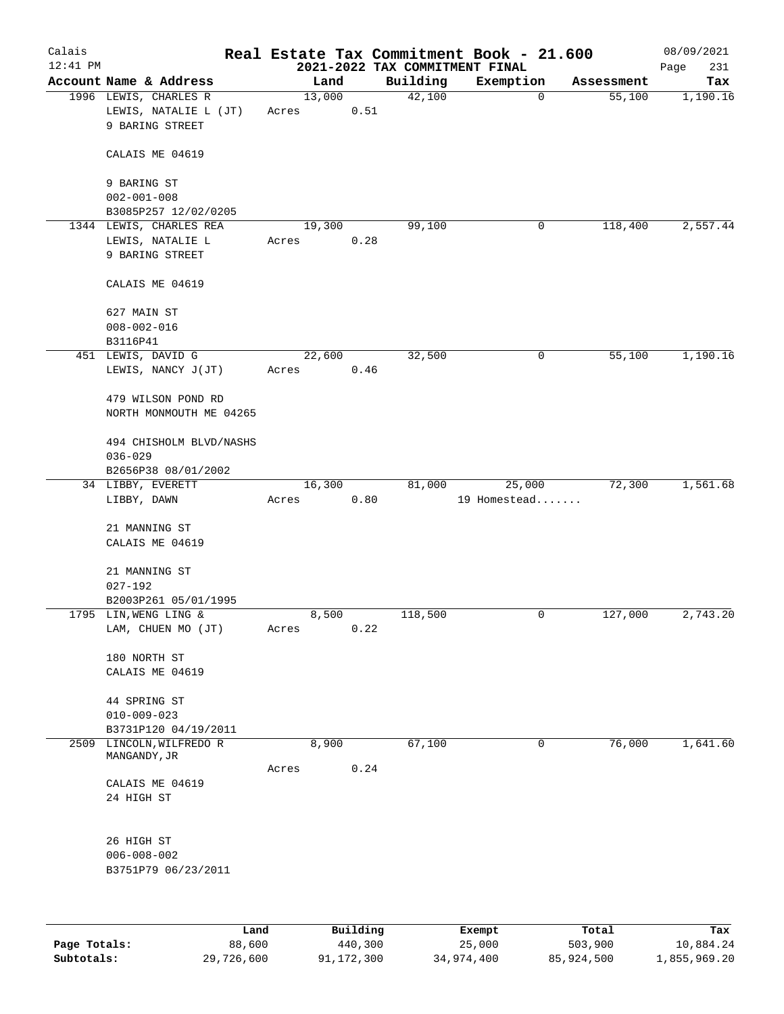| Calais<br>$12:41$ PM |                                                                   |       |        |               |          | Real Estate Tax Commitment Book - 21.600<br>2021-2022 TAX COMMITMENT FINAL |             |            | 08/09/2021<br>Page<br>231 |
|----------------------|-------------------------------------------------------------------|-------|--------|---------------|----------|----------------------------------------------------------------------------|-------------|------------|---------------------------|
|                      | Account Name & Address                                            |       |        | Land          | Building | Exemption                                                                  |             | Assessment | Tax                       |
|                      | 1996 LEWIS, CHARLES R<br>LEWIS, NATALIE L (JT)<br>9 BARING STREET | Acres | 13,000 | 0.51          | 42,100   |                                                                            | $\mathbf 0$ | 55,100     | 1,190.16                  |
|                      | CALAIS ME 04619                                                   |       |        |               |          |                                                                            |             |            |                           |
|                      | 9 BARING ST<br>$002 - 001 - 008$                                  |       |        |               |          |                                                                            |             |            |                           |
|                      | B3085P257 12/02/0205                                              |       |        |               |          |                                                                            |             |            |                           |
|                      | 1344 LEWIS, CHARLES REA                                           |       | 19,300 |               | 99,100   |                                                                            | 0           | 118,400    | 2,557.44                  |
|                      | LEWIS, NATALIE L<br>9 BARING STREET                               | Acres |        | 0.28          |          |                                                                            |             |            |                           |
|                      | CALAIS ME 04619                                                   |       |        |               |          |                                                                            |             |            |                           |
|                      | 627 MAIN ST                                                       |       |        |               |          |                                                                            |             |            |                           |
|                      | $008 - 002 - 016$                                                 |       |        |               |          |                                                                            |             |            |                           |
|                      | B3116P41                                                          |       |        |               |          |                                                                            |             |            |                           |
|                      | 451 LEWIS, DAVID G<br>LEWIS, NANCY J(JT)                          | Acres | 22,600 | 0.46          | 32,500   |                                                                            | 0           | 55,100     | 1,190.16                  |
|                      | 479 WILSON POND RD<br>NORTH MONMOUTH ME 04265                     |       |        |               |          |                                                                            |             |            |                           |
|                      | 494 CHISHOLM BLVD/NASHS<br>$036 - 029$                            |       |        |               |          |                                                                            |             |            |                           |
|                      | B2656P38 08/01/2002<br>34 LIBBY, EVERETT                          |       | 16,300 |               | 81,000   | 25,000                                                                     |             | 72,300     | 1,561.68                  |
|                      | LIBBY, DAWN                                                       | Acres |        | 0.80          |          | 19 Homestead                                                               |             |            |                           |
|                      | 21 MANNING ST<br>CALAIS ME 04619                                  |       |        |               |          |                                                                            |             |            |                           |
|                      | 21 MANNING ST<br>$027 - 192$                                      |       |        |               |          |                                                                            |             |            |                           |
|                      | B2003P261 05/01/1995                                              |       |        |               |          |                                                                            |             |            |                           |
|                      | 1795 LIN, WENG LING &<br>LAM, CHUEN MO (JT)                       | Acres |        | 8,500<br>0.22 | 118,500  |                                                                            | $\mathbf 0$ | 127,000    | 2,743.20                  |
|                      | 180 NORTH ST                                                      |       |        |               |          |                                                                            |             |            |                           |
|                      | CALAIS ME 04619                                                   |       |        |               |          |                                                                            |             |            |                           |
|                      | 44 SPRING ST<br>$010 - 009 - 023$                                 |       |        |               |          |                                                                            |             |            |                           |
|                      | B3731P120 04/19/2011                                              |       |        |               |          |                                                                            |             |            |                           |
| 2509                 | LINCOLN, WILFREDO R<br>$\tt MANGANDY$ , $\tt JR$                  | Acres | 8,900  | 0.24          | 67,100   |                                                                            | 0           | 76,000     | 1,641.60                  |
|                      | CALAIS ME 04619<br>24 HIGH ST                                     |       |        |               |          |                                                                            |             |            |                           |
|                      | 26 HIGH ST<br>$006 - 008 - 002$<br>B3751P79 06/23/2011            |       |        |               |          |                                                                            |             |            |                           |
|                      |                                                                   |       |        |               |          |                                                                            |             |            |                           |
|                      |                                                                   | Land. |        | Building      |          | $F$ vomnt                                                                  |             | $T0+21$    | T.                        |

|              | Land       | Building   | Exempt     | Total      | Tax          |
|--------------|------------|------------|------------|------------|--------------|
| Page Totals: | 88,600     | 440,300    | 25,000     | 503,900    | 10,884.24    |
| Subtotals:   | 29,726,600 | 91,172,300 | 34,974,400 | 85,924,500 | 1,855,969.20 |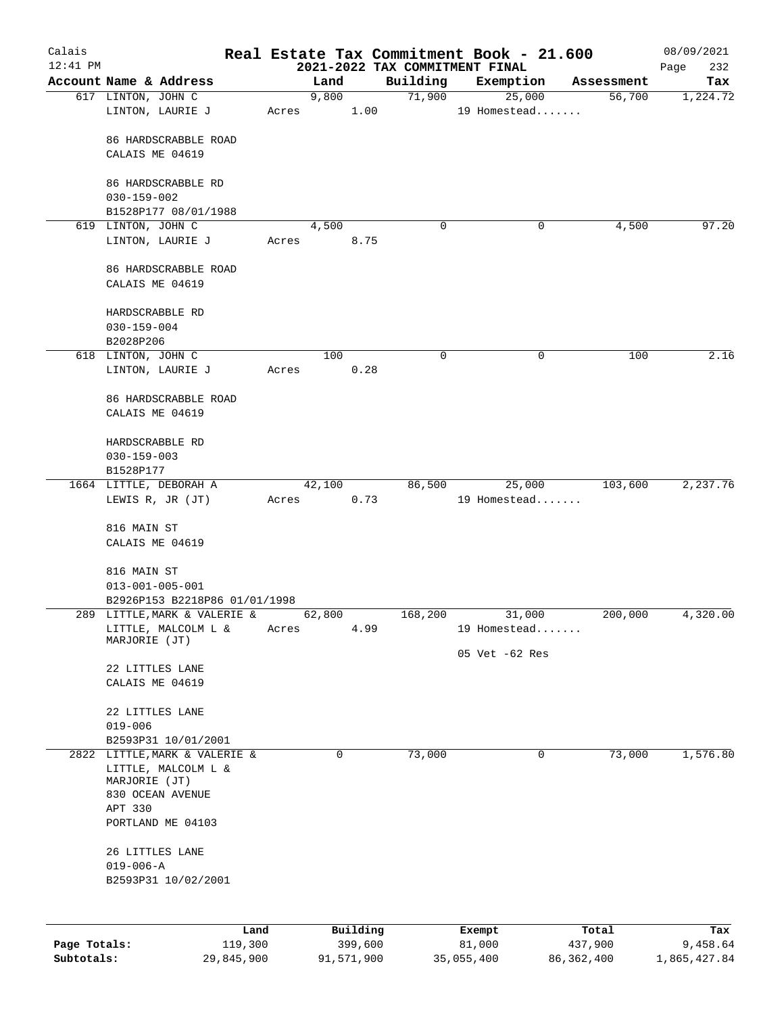| Calais       |                                         |       |               |         |                                | Real Estate Tax Commitment Book - 21.600 |                      | 08/09/2021  |
|--------------|-----------------------------------------|-------|---------------|---------|--------------------------------|------------------------------------------|----------------------|-------------|
| $12:41$ PM   |                                         |       |               |         | 2021-2022 TAX COMMITMENT FINAL |                                          |                      | 232<br>Page |
|              | Account Name & Address                  |       | Land<br>9,800 |         | Building<br>71,900             | Exemption<br>25,000                      | Assessment<br>56,700 | Tax         |
|              | 617 LINTON, JOHN C<br>LINTON, LAURIE J  | Acres |               | 1.00    |                                | 19 Homestead                             |                      | 1,224.72    |
|              | 86 HARDSCRABBLE ROAD                    |       |               |         |                                |                                          |                      |             |
|              | CALAIS ME 04619                         |       |               |         |                                |                                          |                      |             |
|              | 86 HARDSCRABBLE RD<br>$030 - 159 - 002$ |       |               |         |                                |                                          |                      |             |
|              | B1528P177 08/01/1988                    |       |               |         |                                |                                          |                      |             |
|              | 619 LINTON, JOHN C                      |       | 4,500         |         | 0                              | 0                                        | 4,500                | 97.20       |
|              | LINTON, LAURIE J                        | Acres |               | 8.75    |                                |                                          |                      |             |
|              | 86 HARDSCRABBLE ROAD                    |       |               |         |                                |                                          |                      |             |
|              | CALAIS ME 04619                         |       |               |         |                                |                                          |                      |             |
|              | HARDSCRABBLE RD                         |       |               |         |                                |                                          |                      |             |
|              | $030 - 159 - 004$                       |       |               |         |                                |                                          |                      |             |
|              | B2028P206<br>618 LINTON, JOHN C         |       | 100           |         | 0                              | 0                                        | 100                  | 2.16        |
|              | LINTON, LAURIE J                        | Acres |               | 0.28    |                                |                                          |                      |             |
|              | 86 HARDSCRABBLE ROAD                    |       |               |         |                                |                                          |                      |             |
|              | CALAIS ME 04619                         |       |               |         |                                |                                          |                      |             |
|              | HARDSCRABBLE RD                         |       |               |         |                                |                                          |                      |             |
|              | $030 - 159 - 003$                       |       |               |         |                                |                                          |                      |             |
|              | B1528P177                               |       |               |         |                                |                                          |                      |             |
|              | 1664 LITTLE, DEBORAH A                  |       | 42,100        |         | 86,500                         | 25,000                                   | 103,600              | 2,237.76    |
|              | LEWIS R, JR (JT)                        | Acres |               | 0.73    |                                | 19 Homestead                             |                      |             |
|              | 816 MAIN ST                             |       |               |         |                                |                                          |                      |             |
|              | CALAIS ME 04619                         |       |               |         |                                |                                          |                      |             |
|              | 816 MAIN ST                             |       |               |         |                                |                                          |                      |             |
|              | $013 - 001 - 005 - 001$                 |       |               |         |                                |                                          |                      |             |
|              | B2926P153 B2218P86 01/01/1998           |       |               |         |                                |                                          |                      |             |
|              | 289 LITTLE, MARK & VALERIE &            |       | 62,800        |         | 168,200                        | 31,000                                   | 200,000              | 4,320.00    |
|              | LITTLE, MALCOLM L &<br>MARJORIE (JT)    | Acres |               | 4.99    |                                | 19 Homestead                             |                      |             |
|              |                                         |       |               |         |                                | 05 Vet -62 Res                           |                      |             |
|              | 22 LITTLES LANE                         |       |               |         |                                |                                          |                      |             |
|              | CALAIS ME 04619                         |       |               |         |                                |                                          |                      |             |
|              | 22 LITTLES LANE<br>$019 - 006$          |       |               |         |                                |                                          |                      |             |
|              | B2593P31 10/01/2001                     |       |               |         |                                |                                          |                      |             |
|              | 2822 LITTLE, MARK & VALERIE &           |       | $\mathbf 0$   |         | 73,000                         | 0                                        | 73,000               | 1,576.80    |
|              | LITTLE, MALCOLM L &<br>MARJORIE (JT)    |       |               |         |                                |                                          |                      |             |
|              | 830 OCEAN AVENUE                        |       |               |         |                                |                                          |                      |             |
|              | APT 330                                 |       |               |         |                                |                                          |                      |             |
|              | PORTLAND ME 04103                       |       |               |         |                                |                                          |                      |             |
|              | 26 LITTLES LANE                         |       |               |         |                                |                                          |                      |             |
|              | $019 - 006 - A$                         |       |               |         |                                |                                          |                      |             |
|              | B2593P31 10/02/2001                     |       |               |         |                                |                                          |                      |             |
|              |                                         |       |               |         |                                |                                          |                      |             |
|              | Land                                    |       | Building      |         |                                | Exempt                                   | Total                | Tax         |
| Page Totals: | 119,300                                 |       |               | 399,600 |                                | 81,000                                   | 437,900              | 9,458.64    |

**Subtotals:** 29,845,900 91,571,900 35,055,400 86,362,400 1,865,427.84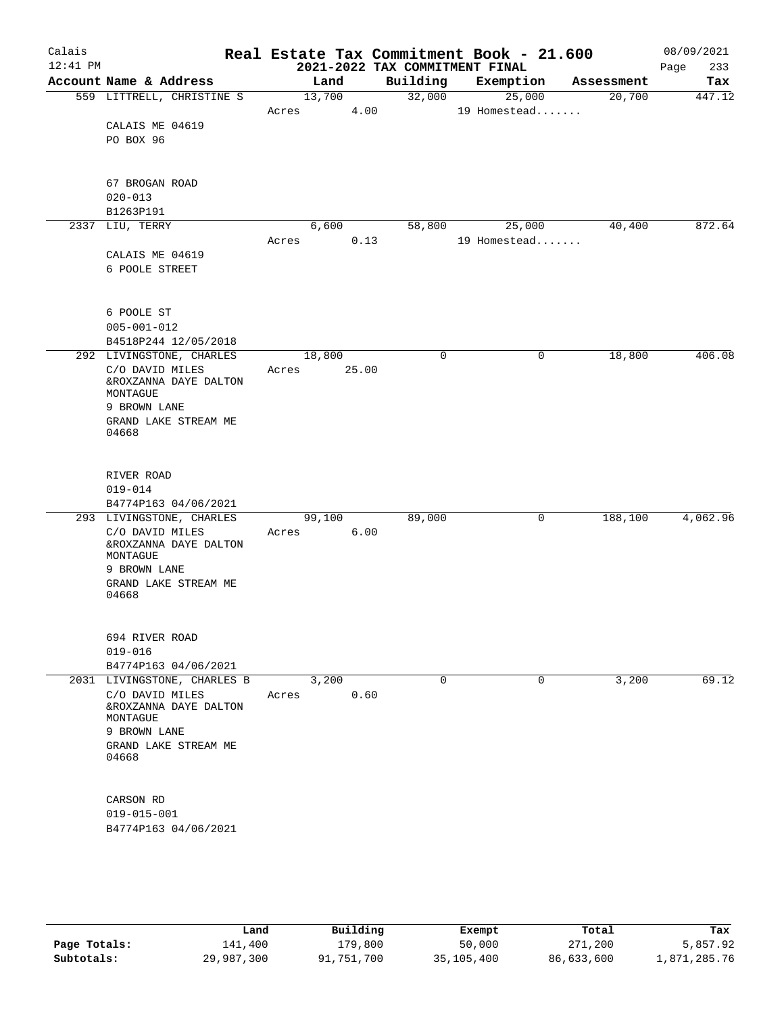| Calais<br>$12:41$ PM |                               |       |        | 2021-2022 TAX COMMITMENT FINAL | Real Estate Tax Commitment Book - 21.600 |            | 08/09/2021<br>233<br>Page |
|----------------------|-------------------------------|-------|--------|--------------------------------|------------------------------------------|------------|---------------------------|
|                      | Account Name & Address        |       | Land   | Building                       | Exemption                                | Assessment | Tax                       |
|                      | 559 LITTRELL, CHRISTINE S     |       | 13,700 | 32,000                         | 25,000                                   | 20,700     | 447.12                    |
|                      |                               | Acres | 4.00   |                                | 19 Homestead                             |            |                           |
|                      | CALAIS ME 04619               |       |        |                                |                                          |            |                           |
|                      | PO BOX 96                     |       |        |                                |                                          |            |                           |
|                      |                               |       |        |                                |                                          |            |                           |
|                      |                               |       |        |                                |                                          |            |                           |
|                      | 67 BROGAN ROAD                |       |        |                                |                                          |            |                           |
|                      | $020 - 013$                   |       |        |                                |                                          |            |                           |
|                      | B1263P191                     |       |        |                                |                                          |            |                           |
|                      | 2337 LIU, TERRY               |       | 6,600  | 58,800                         | 25,000                                   | 40,400     | 872.64                    |
|                      |                               | Acres | 0.13   |                                | 19 Homestead                             |            |                           |
|                      | CALAIS ME 04619               |       |        |                                |                                          |            |                           |
|                      | 6 POOLE STREET                |       |        |                                |                                          |            |                           |
|                      |                               |       |        |                                |                                          |            |                           |
|                      | 6 POOLE ST                    |       |        |                                |                                          |            |                           |
|                      | $005 - 001 - 012$             |       |        |                                |                                          |            |                           |
|                      | B4518P244 12/05/2018          |       |        |                                |                                          |            |                           |
|                      | 292 LIVINGSTONE, CHARLES      |       | 18,800 | 0                              | 0                                        | 18,800     | 406.08                    |
|                      | C/O DAVID MILES               | Acres | 25.00  |                                |                                          |            |                           |
|                      | &ROXZANNA DAYE DALTON         |       |        |                                |                                          |            |                           |
|                      | MONTAGUE                      |       |        |                                |                                          |            |                           |
|                      | 9 BROWN LANE                  |       |        |                                |                                          |            |                           |
|                      | GRAND LAKE STREAM ME          |       |        |                                |                                          |            |                           |
|                      | 04668                         |       |        |                                |                                          |            |                           |
|                      |                               |       |        |                                |                                          |            |                           |
|                      | RIVER ROAD                    |       |        |                                |                                          |            |                           |
|                      | $019 - 014$                   |       |        |                                |                                          |            |                           |
|                      | B4774P163 04/06/2021          |       |        |                                |                                          |            |                           |
|                      | 293 LIVINGSTONE, CHARLES      |       | 99,100 | 89,000                         | 0                                        | 188,100    | 4,062.96                  |
|                      | C/O DAVID MILES               | Acres | 6.00   |                                |                                          |            |                           |
|                      | &ROXZANNA DAYE DALTON         |       |        |                                |                                          |            |                           |
|                      | MONTAGUE                      |       |        |                                |                                          |            |                           |
|                      | 9 BROWN LANE                  |       |        |                                |                                          |            |                           |
|                      | GRAND LAKE STREAM ME<br>04668 |       |        |                                |                                          |            |                           |
|                      |                               |       |        |                                |                                          |            |                           |
|                      |                               |       |        |                                |                                          |            |                           |
|                      | 694 RIVER ROAD                |       |        |                                |                                          |            |                           |
|                      | $019 - 016$                   |       |        |                                |                                          |            |                           |
|                      | B4774P163 04/06/2021          |       |        |                                |                                          |            |                           |
|                      | 2031 LIVINGSTONE, CHARLES B   |       | 3,200  | 0                              | $\mathbf 0$                              | 3,200      | 69.12                     |
|                      | C/O DAVID MILES               | Acres | 0.60   |                                |                                          |            |                           |
|                      | &ROXZANNA DAYE DALTON         |       |        |                                |                                          |            |                           |
|                      | MONTAGUE                      |       |        |                                |                                          |            |                           |
|                      | 9 BROWN LANE                  |       |        |                                |                                          |            |                           |
|                      | GRAND LAKE STREAM ME<br>04668 |       |        |                                |                                          |            |                           |
|                      |                               |       |        |                                |                                          |            |                           |
|                      |                               |       |        |                                |                                          |            |                           |
|                      | CARSON RD                     |       |        |                                |                                          |            |                           |
|                      | $019 - 015 - 001$             |       |        |                                |                                          |            |                           |
|                      | B4774P163 04/06/2021          |       |        |                                |                                          |            |                           |
|                      |                               |       |        |                                |                                          |            |                           |
|                      |                               |       |        |                                |                                          |            |                           |
|                      |                               |       |        |                                |                                          |            |                           |

|              | Land       | Building   | Exempt     | Total      | Tax          |
|--------------|------------|------------|------------|------------|--------------|
| Page Totals: | 141,400    | 179,800    | 50,000     | 271,200    | 5,857.92     |
| Subtotals:   | 29,987,300 | 91,751,700 | 35,105,400 | 86,633,600 | 1,871,285.76 |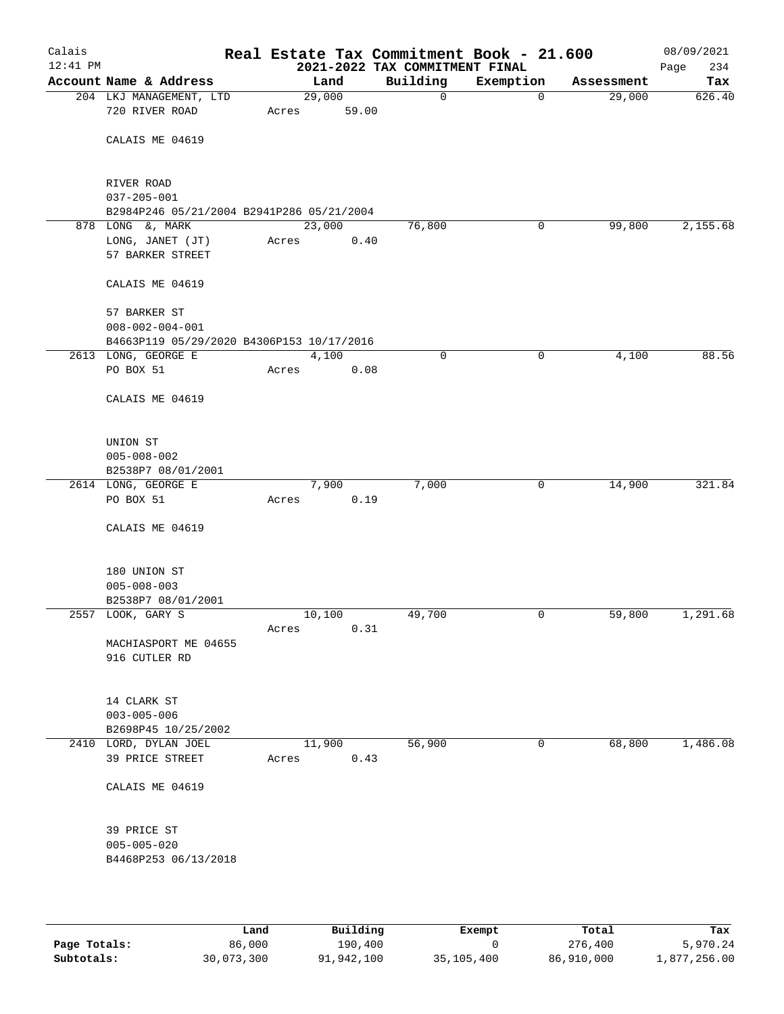| Calais<br>12:41 PM |                                                               |       |        | 2021-2022 TAX COMMITMENT FINAL | Real Estate Tax Commitment Book - 21.600 |            | 08/09/2021<br>234<br>Page |
|--------------------|---------------------------------------------------------------|-------|--------|--------------------------------|------------------------------------------|------------|---------------------------|
|                    | Account Name & Address                                        |       | Land   | Building                       | Exemption                                | Assessment | Tax                       |
|                    | 204 LKJ MANAGEMENT, LTD                                       |       | 29,000 | 0                              | $\mathbf 0$                              | 29,000     | 626.40                    |
|                    | 720 RIVER ROAD                                                | Acres | 59.00  |                                |                                          |            |                           |
|                    | CALAIS ME 04619                                               |       |        |                                |                                          |            |                           |
|                    |                                                               |       |        |                                |                                          |            |                           |
|                    |                                                               |       |        |                                |                                          |            |                           |
|                    | RIVER ROAD                                                    |       |        |                                |                                          |            |                           |
|                    | $037 - 205 - 001$                                             |       |        |                                |                                          |            |                           |
|                    | B2984P246 05/21/2004 B2941P286 05/21/2004<br>878 LONG &, MARK |       | 23,000 | 76,800                         | 0                                        | 99,800     | 2,155.68                  |
|                    | LONG, JANET (JT)                                              | Acres | 0.40   |                                |                                          |            |                           |
|                    | 57 BARKER STREET                                              |       |        |                                |                                          |            |                           |
|                    |                                                               |       |        |                                |                                          |            |                           |
|                    | CALAIS ME 04619                                               |       |        |                                |                                          |            |                           |
|                    | 57 BARKER ST                                                  |       |        |                                |                                          |            |                           |
|                    | $008 - 002 - 004 - 001$                                       |       |        |                                |                                          |            |                           |
|                    | B4663P119 05/29/2020 B4306P153 10/17/2016                     |       |        |                                |                                          |            |                           |
|                    | 2613 LONG, GEORGE E                                           |       | 4,100  | $\mathbf 0$                    | 0                                        | 4,100      | 88.56                     |
|                    | PO BOX 51                                                     | Acres | 0.08   |                                |                                          |            |                           |
|                    | CALAIS ME 04619                                               |       |        |                                |                                          |            |                           |
|                    |                                                               |       |        |                                |                                          |            |                           |
|                    | UNION ST                                                      |       |        |                                |                                          |            |                           |
|                    | $005 - 008 - 002$                                             |       |        |                                |                                          |            |                           |
|                    | B2538P7 08/01/2001                                            |       |        |                                |                                          |            |                           |
|                    | 2614 LONG, GEORGE E                                           |       | 7,900  | 7,000                          | 0                                        | 14,900     | 321.84                    |
|                    | PO BOX 51                                                     | Acres | 0.19   |                                |                                          |            |                           |
|                    | CALAIS ME 04619                                               |       |        |                                |                                          |            |                           |
|                    |                                                               |       |        |                                |                                          |            |                           |
|                    | 180 UNION ST                                                  |       |        |                                |                                          |            |                           |
|                    | $005 - 008 - 003$                                             |       |        |                                |                                          |            |                           |
|                    | B2538P7 08/01/2001                                            |       |        |                                |                                          |            |                           |
|                    | 2557 LOOK, GARY S                                             |       | 10,100 | 49,700                         | 0                                        | 59,800     | 1,291.68                  |
|                    |                                                               | Acres | 0.31   |                                |                                          |            |                           |
|                    | MACHIASPORT ME 04655<br>916 CUTLER RD                         |       |        |                                |                                          |            |                           |
|                    |                                                               |       |        |                                |                                          |            |                           |
|                    |                                                               |       |        |                                |                                          |            |                           |
|                    | 14 CLARK ST<br>$003 - 005 - 006$                              |       |        |                                |                                          |            |                           |
|                    | B2698P45 10/25/2002                                           |       |        |                                |                                          |            |                           |
|                    | 2410 LORD, DYLAN JOEL                                         |       | 11,900 | 56,900                         | 0                                        | 68,800     | 1,486.08                  |
|                    | 39 PRICE STREET                                               | Acres | 0.43   |                                |                                          |            |                           |
|                    | CALAIS ME 04619                                               |       |        |                                |                                          |            |                           |
|                    |                                                               |       |        |                                |                                          |            |                           |
|                    | 39 PRICE ST                                                   |       |        |                                |                                          |            |                           |
|                    | $005 - 005 - 020$                                             |       |        |                                |                                          |            |                           |
|                    | B4468P253 06/13/2018                                          |       |        |                                |                                          |            |                           |
|                    |                                                               |       |        |                                |                                          |            |                           |

|              | Land       | Building   | Exempt     | Total      | Tax          |
|--------------|------------|------------|------------|------------|--------------|
| Page Totals: | 86,000     | 190,400    |            | 276,400    | 5,970.24     |
| Subtotals:   | 30,073,300 | 91,942,100 | 35,105,400 | 86,910,000 | 1,877,256.00 |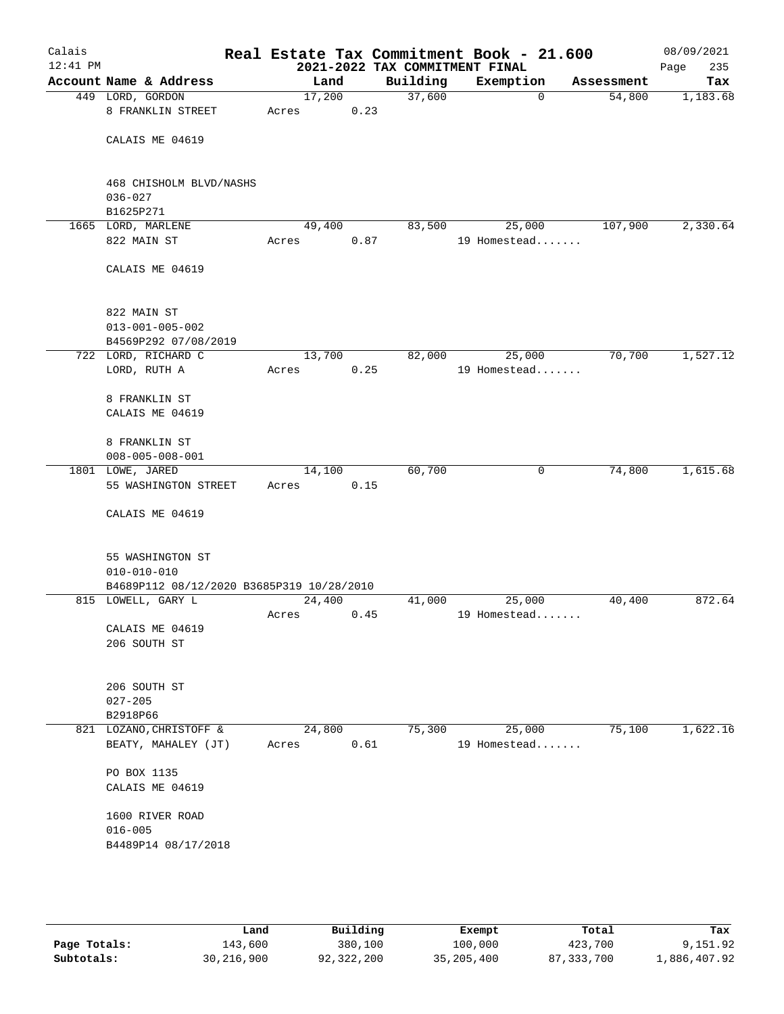| Calais<br>$12:41$ PM |                                           |                 |      | 2021-2022 TAX COMMITMENT FINAL | Real Estate Tax Commitment Book - 21.600 |            | 08/09/2021<br>235<br>Page |
|----------------------|-------------------------------------------|-----------------|------|--------------------------------|------------------------------------------|------------|---------------------------|
|                      | Account Name & Address                    | Land            |      | Building                       | Exemption                                | Assessment | Tax                       |
|                      | 449 LORD, GORDON                          | 17,200          |      | 37,600                         | 0                                        | 54,800     | 1,183.68                  |
|                      | 8 FRANKLIN STREET                         | Acres           | 0.23 |                                |                                          |            |                           |
|                      |                                           |                 |      |                                |                                          |            |                           |
|                      | CALAIS ME 04619                           |                 |      |                                |                                          |            |                           |
|                      |                                           |                 |      |                                |                                          |            |                           |
|                      |                                           |                 |      |                                |                                          |            |                           |
|                      | 468 CHISHOLM BLVD/NASHS                   |                 |      |                                |                                          |            |                           |
|                      | $036 - 027$                               |                 |      |                                |                                          |            |                           |
|                      | B1625P271                                 |                 |      |                                |                                          |            |                           |
|                      | 1665 LORD, MARLENE<br>822 MAIN ST         | 49,400          |      | 83,500                         | 25,000                                   | 107,900    | 2,330.64                  |
|                      |                                           | Acres           | 0.87 |                                | 19 Homestead                             |            |                           |
|                      | CALAIS ME 04619                           |                 |      |                                |                                          |            |                           |
|                      |                                           |                 |      |                                |                                          |            |                           |
|                      |                                           |                 |      |                                |                                          |            |                           |
|                      | 822 MAIN ST                               |                 |      |                                |                                          |            |                           |
|                      | $013 - 001 - 005 - 002$                   |                 |      |                                |                                          |            |                           |
|                      | B4569P292 07/08/2019                      |                 |      |                                |                                          |            |                           |
|                      | 722 LORD, RICHARD C                       | 13,700          |      | 82,000                         | 25,000                                   | 70,700     | 1,527.12                  |
|                      | LORD, RUTH A                              | Acres           | 0.25 |                                | 19 Homestead                             |            |                           |
|                      |                                           |                 |      |                                |                                          |            |                           |
|                      | 8 FRANKLIN ST                             |                 |      |                                |                                          |            |                           |
|                      | CALAIS ME 04619                           |                 |      |                                |                                          |            |                           |
|                      |                                           |                 |      |                                |                                          |            |                           |
|                      | 8 FRANKLIN ST                             |                 |      |                                |                                          |            |                           |
|                      | $008 - 005 - 008 - 001$                   |                 |      |                                |                                          |            |                           |
|                      | 1801 LOWE, JARED<br>55 WASHINGTON STREET  | 14,100<br>Acres | 0.15 | 60,700                         | 0                                        | 74,800     | 1,615.68                  |
|                      |                                           |                 |      |                                |                                          |            |                           |
|                      | CALAIS ME 04619                           |                 |      |                                |                                          |            |                           |
|                      |                                           |                 |      |                                |                                          |            |                           |
|                      |                                           |                 |      |                                |                                          |            |                           |
|                      | 55 WASHINGTON ST                          |                 |      |                                |                                          |            |                           |
|                      | $010 - 010 - 010$                         |                 |      |                                |                                          |            |                           |
|                      | B4689P112 08/12/2020 B3685P319 10/28/2010 |                 |      |                                |                                          |            |                           |
|                      | 815 LOWELL, GARY L                        | 24,400          |      | 41,000                         | 25,000                                   | 40,400     | 872.64                    |
|                      |                                           | Acres           | 0.45 |                                | 19 Homestead                             |            |                           |
|                      | CALAIS ME 04619                           |                 |      |                                |                                          |            |                           |
|                      | 206 SOUTH ST                              |                 |      |                                |                                          |            |                           |
|                      |                                           |                 |      |                                |                                          |            |                           |
|                      | 206 SOUTH ST                              |                 |      |                                |                                          |            |                           |
|                      | $027 - 205$                               |                 |      |                                |                                          |            |                           |
|                      | B2918P66                                  |                 |      |                                |                                          |            |                           |
|                      | 821 LOZANO, CHRISTOFF &                   | 24,800          |      | 75,300                         | 25,000                                   | 75,100     | 1,622.16                  |
|                      | BEATY, MAHALEY (JT)                       | Acres           | 0.61 |                                | 19 Homestead                             |            |                           |
|                      |                                           |                 |      |                                |                                          |            |                           |
|                      | PO BOX 1135                               |                 |      |                                |                                          |            |                           |
|                      | CALAIS ME 04619                           |                 |      |                                |                                          |            |                           |
|                      |                                           |                 |      |                                |                                          |            |                           |
|                      | 1600 RIVER ROAD                           |                 |      |                                |                                          |            |                           |
|                      | $016 - 005$                               |                 |      |                                |                                          |            |                           |
|                      | B4489P14 08/17/2018                       |                 |      |                                |                                          |            |                           |
|                      |                                           |                 |      |                                |                                          |            |                           |
|                      |                                           |                 |      |                                |                                          |            |                           |
|                      |                                           |                 |      |                                |                                          |            |                           |

|              | Land         | Building   | Exempt       | Total        | Tax          |
|--------------|--------------|------------|--------------|--------------|--------------|
| Page Totals: | 143,600      | 380,100    | 100,000      | 423,700      | 9,151.92     |
| Subtotals:   | 30, 216, 900 | 92,322,200 | 35, 205, 400 | 87, 333, 700 | 1,886,407.92 |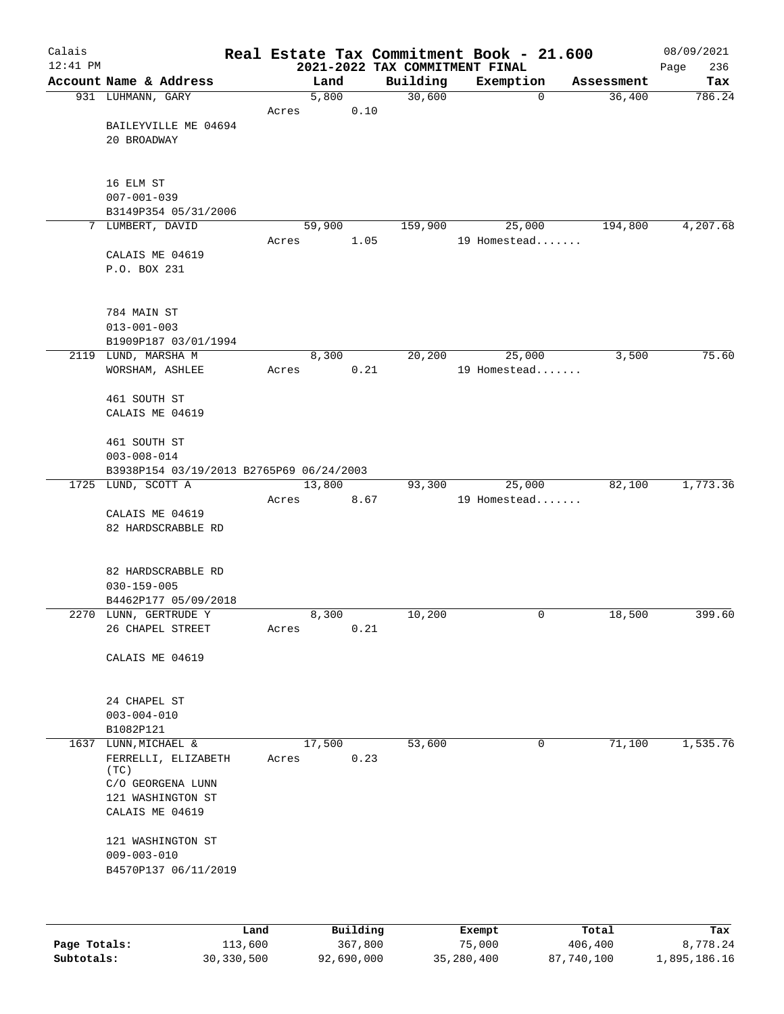| Calais     |                                             |       |                |                                | Real Estate Tax Commitment Book - 21.600 |                      | 08/09/2021    |
|------------|---------------------------------------------|-------|----------------|--------------------------------|------------------------------------------|----------------------|---------------|
| $12:41$ PM |                                             |       |                | 2021-2022 TAX COMMITMENT FINAL |                                          |                      | 236<br>Page   |
|            | Account Name & Address<br>931 LUHMANN, GARY |       | Land<br>5,800  | Building<br>30,600             | Exemption<br>$\mathbf 0$                 | Assessment<br>36,400 | Tax<br>786.24 |
|            |                                             | Acres | 0.10           |                                |                                          |                      |               |
|            | BAILEYVILLE ME 04694                        |       |                |                                |                                          |                      |               |
|            | 20 BROADWAY                                 |       |                |                                |                                          |                      |               |
|            |                                             |       |                |                                |                                          |                      |               |
|            |                                             |       |                |                                |                                          |                      |               |
|            | 16 ELM ST<br>$007 - 001 - 039$              |       |                |                                |                                          |                      |               |
|            | B3149P354 05/31/2006                        |       |                |                                |                                          |                      |               |
|            | 7 LUMBERT, DAVID                            |       | 59,900         | 159,900                        | 25,000                                   | 194,800              | 4,207.68      |
|            |                                             | Acres | 1.05           |                                | 19 Homestead                             |                      |               |
|            | CALAIS ME 04619                             |       |                |                                |                                          |                      |               |
|            | P.O. BOX 231                                |       |                |                                |                                          |                      |               |
|            |                                             |       |                |                                |                                          |                      |               |
|            | 784 MAIN ST                                 |       |                |                                |                                          |                      |               |
|            | $013 - 001 - 003$                           |       |                |                                |                                          |                      |               |
|            | B1909P187 03/01/1994                        |       |                |                                |                                          |                      |               |
|            | 2119 LUND, MARSHA M                         |       | 8,300          | 20,200                         | 25,000                                   | 3,500                | 75.60         |
|            | WORSHAM, ASHLEE                             | Acres | 0.21           |                                | 19 Homestead                             |                      |               |
|            |                                             |       |                |                                |                                          |                      |               |
|            | 461 SOUTH ST                                |       |                |                                |                                          |                      |               |
|            | CALAIS ME 04619                             |       |                |                                |                                          |                      |               |
|            | 461 SOUTH ST                                |       |                |                                |                                          |                      |               |
|            | $003 - 008 - 014$                           |       |                |                                |                                          |                      |               |
|            | B3938P154 03/19/2013 B2765P69 06/24/2003    |       |                |                                |                                          |                      |               |
|            | 1725 LUND, SCOTT A                          |       | 13,800         | 93,300                         | 25,000                                   | 82,100               | 1,773.36      |
|            |                                             | Acres | 8.67           |                                | 19 Homestead                             |                      |               |
|            | CALAIS ME 04619                             |       |                |                                |                                          |                      |               |
|            | 82 HARDSCRABBLE RD                          |       |                |                                |                                          |                      |               |
|            |                                             |       |                |                                |                                          |                      |               |
|            | 82 HARDSCRABBLE RD                          |       |                |                                |                                          |                      |               |
|            | $030 - 159 - 005$                           |       |                |                                |                                          |                      |               |
|            | B4462P177 05/09/2018                        |       |                |                                |                                          |                      |               |
|            | 2270 LUNN, GERTRUDE Y                       |       | 8,300          | 10,200                         | 0                                        | 18,500               | 399.60        |
|            | 26 CHAPEL STREET                            | Acres | 0.21           |                                |                                          |                      |               |
|            | CALAIS ME 04619                             |       |                |                                |                                          |                      |               |
|            |                                             |       |                |                                |                                          |                      |               |
|            |                                             |       |                |                                |                                          |                      |               |
|            | 24 CHAPEL ST                                |       |                |                                |                                          |                      |               |
|            | $003 - 004 - 010$                           |       |                |                                |                                          |                      |               |
|            | B1082P121                                   |       |                |                                |                                          |                      |               |
| 1637       | LUNN, MICHAEL &<br>FERRELLI, ELIZABETH      | Acres | 17,500<br>0.23 | 53,600                         | 0                                        | 71,100               | 1,535.76      |
|            | (TC)                                        |       |                |                                |                                          |                      |               |
|            | C/O GEORGENA LUNN                           |       |                |                                |                                          |                      |               |
|            | 121 WASHINGTON ST                           |       |                |                                |                                          |                      |               |
|            | CALAIS ME 04619                             |       |                |                                |                                          |                      |               |
|            |                                             |       |                |                                |                                          |                      |               |
|            | 121 WASHINGTON ST<br>$009 - 003 - 010$      |       |                |                                |                                          |                      |               |
|            | B4570P137 06/11/2019                        |       |                |                                |                                          |                      |               |
|            |                                             |       |                |                                |                                          |                      |               |
|            |                                             |       |                |                                |                                          |                      |               |
|            |                                             |       |                |                                |                                          |                      |               |

|              | Land       | Building   | Exempt     | Total      | Tax          |
|--------------|------------|------------|------------|------------|--------------|
| Page Totals: | 113,600    | 367,800    | 75,000     | 406,400    | 8,778.24     |
| Subtotals:   | 30,330,500 | 92,690,000 | 35,280,400 | 87,740,100 | 1,895,186.16 |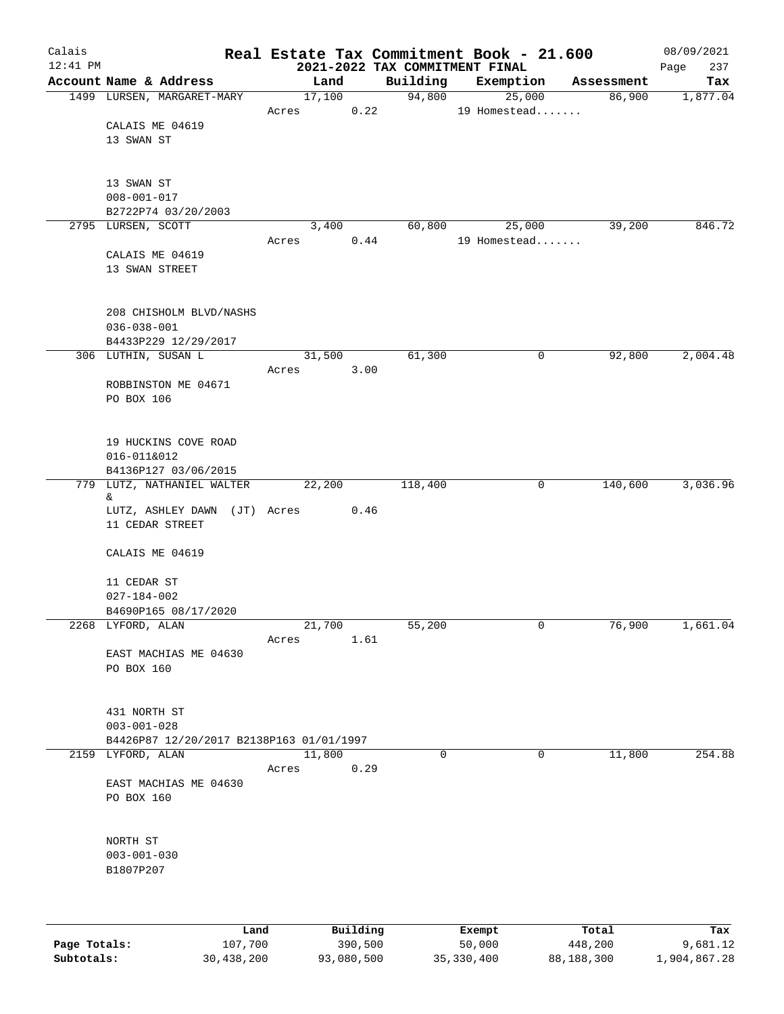| Calais<br>$12:41$ PM |                                          |       |        |          |          | Real Estate Tax Commitment Book - 21.600<br>2021-2022 TAX COMMITMENT FINAL |             |            | 08/09/2021<br>237<br>Page |
|----------------------|------------------------------------------|-------|--------|----------|----------|----------------------------------------------------------------------------|-------------|------------|---------------------------|
|                      | Account Name & Address                   |       | Land   |          | Building | Exemption                                                                  |             | Assessment | Tax                       |
|                      | 1499 LURSEN, MARGARET-MARY               |       | 17,100 |          | 94,800   |                                                                            | 25,000      | 86,900     | 1,877.04                  |
|                      |                                          | Acres |        | 0.22     |          | 19 Homestead                                                               |             |            |                           |
|                      | CALAIS ME 04619                          |       |        |          |          |                                                                            |             |            |                           |
|                      | 13 SWAN ST                               |       |        |          |          |                                                                            |             |            |                           |
|                      |                                          |       |        |          |          |                                                                            |             |            |                           |
|                      |                                          |       |        |          |          |                                                                            |             |            |                           |
|                      | 13 SWAN ST<br>$008 - 001 - 017$          |       |        |          |          |                                                                            |             |            |                           |
|                      | B2722P74 03/20/2003                      |       |        |          |          |                                                                            |             |            |                           |
|                      | 2795 LURSEN, SCOTT                       |       | 3,400  |          | 60,800   |                                                                            | 25,000      | 39,200     | 846.72                    |
|                      |                                          | Acres |        | 0.44     |          | 19 Homestead                                                               |             |            |                           |
|                      | CALAIS ME 04619                          |       |        |          |          |                                                                            |             |            |                           |
|                      | 13 SWAN STREET                           |       |        |          |          |                                                                            |             |            |                           |
|                      |                                          |       |        |          |          |                                                                            |             |            |                           |
|                      |                                          |       |        |          |          |                                                                            |             |            |                           |
|                      | 208 CHISHOLM BLVD/NASHS                  |       |        |          |          |                                                                            |             |            |                           |
|                      | $036 - 038 - 001$                        |       |        |          |          |                                                                            |             |            |                           |
|                      | B4433P229 12/29/2017                     |       |        |          |          |                                                                            |             |            |                           |
|                      | 306 LUTHIN, SUSAN L                      |       | 31,500 |          | 61,300   |                                                                            | 0           | 92,800     | 2,004.48                  |
|                      |                                          | Acres |        | 3.00     |          |                                                                            |             |            |                           |
|                      | ROBBINSTON ME 04671                      |       |        |          |          |                                                                            |             |            |                           |
|                      | PO BOX 106                               |       |        |          |          |                                                                            |             |            |                           |
|                      |                                          |       |        |          |          |                                                                            |             |            |                           |
|                      |                                          |       |        |          |          |                                                                            |             |            |                           |
|                      | 19 HUCKINS COVE ROAD                     |       |        |          |          |                                                                            |             |            |                           |
|                      | 016-011&012                              |       |        |          |          |                                                                            |             |            |                           |
|                      | B4136P127 03/06/2015                     |       |        |          |          |                                                                            |             |            |                           |
|                      | 779 LUTZ, NATHANIEL WALTER               |       | 22,200 |          | 118,400  |                                                                            | $\mathbf 0$ | 140,600    | 3,036.96                  |
|                      | &.<br>LUTZ, ASHLEY DAWN (JT) Acres       |       |        | 0.46     |          |                                                                            |             |            |                           |
|                      | 11 CEDAR STREET                          |       |        |          |          |                                                                            |             |            |                           |
|                      |                                          |       |        |          |          |                                                                            |             |            |                           |
|                      | CALAIS ME 04619                          |       |        |          |          |                                                                            |             |            |                           |
|                      |                                          |       |        |          |          |                                                                            |             |            |                           |
|                      | 11 CEDAR ST                              |       |        |          |          |                                                                            |             |            |                           |
|                      | $027 - 184 - 002$                        |       |        |          |          |                                                                            |             |            |                           |
|                      | B4690P165 08/17/2020                     |       |        |          |          |                                                                            |             |            |                           |
|                      | 2268 LYFORD, ALAN                        |       | 21,700 |          | 55,200   |                                                                            | 0           | 76,900     | 1,661.04                  |
|                      |                                          | Acres |        | 1.61     |          |                                                                            |             |            |                           |
|                      | EAST MACHIAS ME 04630                    |       |        |          |          |                                                                            |             |            |                           |
|                      | PO BOX 160                               |       |        |          |          |                                                                            |             |            |                           |
|                      |                                          |       |        |          |          |                                                                            |             |            |                           |
|                      |                                          |       |        |          |          |                                                                            |             |            |                           |
|                      | 431 NORTH ST                             |       |        |          |          |                                                                            |             |            |                           |
|                      | $003 - 001 - 028$                        |       |        |          |          |                                                                            |             |            |                           |
|                      | B4426P87 12/20/2017 B2138P163 01/01/1997 |       |        |          |          |                                                                            |             |            |                           |
| 2159                 | LYFORD, ALAN                             |       | 11,800 |          |          | 0                                                                          | 0           | 11,800     | 254.88                    |
|                      |                                          | Acres |        | 0.29     |          |                                                                            |             |            |                           |
|                      | EAST MACHIAS ME 04630                    |       |        |          |          |                                                                            |             |            |                           |
|                      | PO BOX 160                               |       |        |          |          |                                                                            |             |            |                           |
|                      |                                          |       |        |          |          |                                                                            |             |            |                           |
|                      |                                          |       |        |          |          |                                                                            |             |            |                           |
|                      | NORTH ST                                 |       |        |          |          |                                                                            |             |            |                           |
|                      | $003 - 001 - 030$                        |       |        |          |          |                                                                            |             |            |                           |
|                      | B1807P207                                |       |        |          |          |                                                                            |             |            |                           |
|                      |                                          |       |        |          |          |                                                                            |             |            |                           |
|                      |                                          |       |        |          |          |                                                                            |             |            |                           |
|                      |                                          | Land  |        | Building |          |                                                                            |             | Total      | Tax                       |
| Page Totals:         | 107,700                                  |       |        | 390,500  |          | Exempt<br>50,000                                                           |             | 448,200    | 9,681.12                  |
|                      |                                          |       |        |          |          |                                                                            |             |            |                           |

**Subtotals:** 30,438,200 93,080,500 35,330,400 88,188,300 1,904,867.28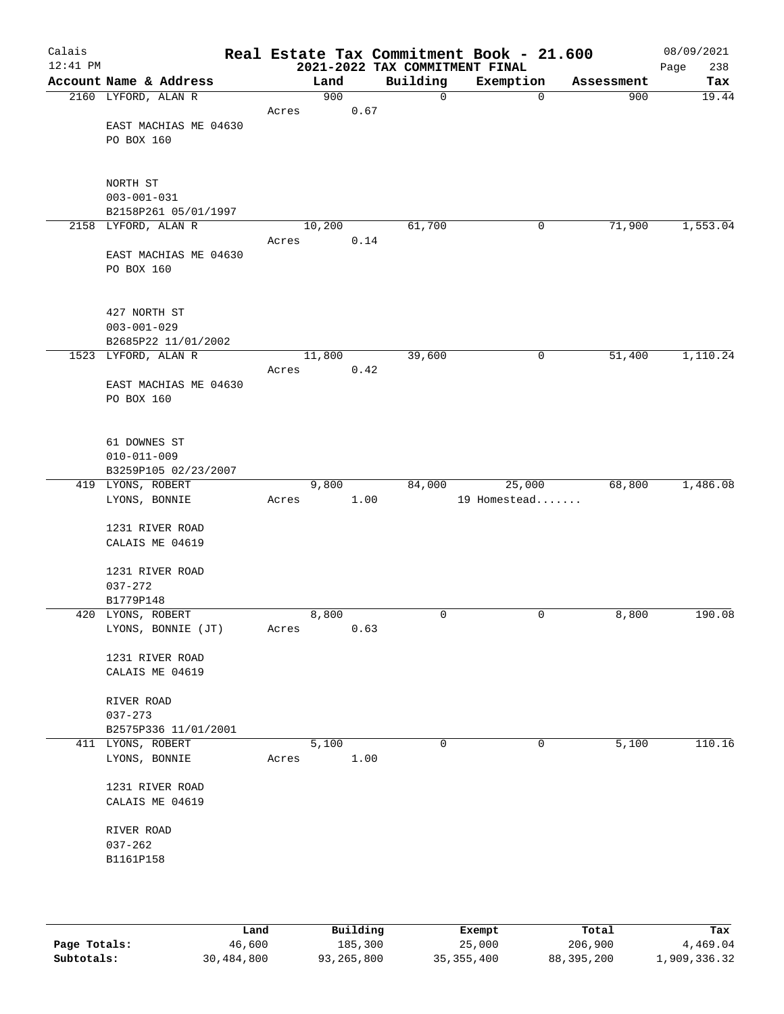| Calais<br>$12:41$ PM |                                    |        |      | 2021-2022 TAX COMMITMENT FINAL | Real Estate Tax Commitment Book - 21.600 |            | 08/09/2021<br>238<br>Page |
|----------------------|------------------------------------|--------|------|--------------------------------|------------------------------------------|------------|---------------------------|
|                      | Account Name & Address             | Land   |      | Building                       | Exemption                                | Assessment | Tax                       |
|                      | 2160 LYFORD, ALAN R                | 900    |      | 0                              | $\mathbf 0$                              | 900        | 19.44                     |
|                      |                                    | Acres  | 0.67 |                                |                                          |            |                           |
|                      | EAST MACHIAS ME 04630              |        |      |                                |                                          |            |                           |
|                      | PO BOX 160                         |        |      |                                |                                          |            |                           |
|                      |                                    |        |      |                                |                                          |            |                           |
|                      |                                    |        |      |                                |                                          |            |                           |
|                      | NORTH ST<br>$003 - 001 - 031$      |        |      |                                |                                          |            |                           |
|                      | B2158P261 05/01/1997               |        |      |                                |                                          |            |                           |
|                      | 2158 LYFORD, ALAN R                | 10,200 |      | 61,700                         | 0                                        | 71,900     | 1,553.04                  |
|                      |                                    | Acres  | 0.14 |                                |                                          |            |                           |
|                      | EAST MACHIAS ME 04630              |        |      |                                |                                          |            |                           |
|                      | PO BOX 160                         |        |      |                                |                                          |            |                           |
|                      |                                    |        |      |                                |                                          |            |                           |
|                      |                                    |        |      |                                |                                          |            |                           |
|                      | 427 NORTH ST                       |        |      |                                |                                          |            |                           |
|                      | $003 - 001 - 029$                  |        |      |                                |                                          |            |                           |
|                      | B2685P22 11/01/2002                |        |      |                                |                                          |            |                           |
|                      | 1523 LYFORD, ALAN R                | 11,800 |      | 39,600                         | 0                                        | 51,400     | 1,110.24                  |
|                      | EAST MACHIAS ME 04630              | Acres  | 0.42 |                                |                                          |            |                           |
|                      | PO BOX 160                         |        |      |                                |                                          |            |                           |
|                      |                                    |        |      |                                |                                          |            |                           |
|                      |                                    |        |      |                                |                                          |            |                           |
|                      | 61 DOWNES ST                       |        |      |                                |                                          |            |                           |
|                      | $010 - 011 - 009$                  |        |      |                                |                                          |            |                           |
|                      | B3259P105 02/23/2007               |        |      |                                |                                          |            |                           |
|                      | 419 LYONS, ROBERT                  | 9,800  |      | 84,000                         | 25,000                                   | 68,800     | 1,486.08                  |
|                      | LYONS, BONNIE                      | Acres  | 1.00 |                                | 19 Homestead                             |            |                           |
|                      | 1231 RIVER ROAD                    |        |      |                                |                                          |            |                           |
|                      | CALAIS ME 04619                    |        |      |                                |                                          |            |                           |
|                      |                                    |        |      |                                |                                          |            |                           |
|                      | 1231 RIVER ROAD                    |        |      |                                |                                          |            |                           |
|                      | $037 - 272$                        |        |      |                                |                                          |            |                           |
|                      | B1779P148                          |        |      |                                |                                          |            |                           |
|                      | 420 LYONS, ROBERT                  | 8,800  |      | 0                              | 0                                        | 8,800      | 190.08                    |
|                      | LYONS, BONNIE (JT)                 | Acres  | 0.63 |                                |                                          |            |                           |
|                      |                                    |        |      |                                |                                          |            |                           |
|                      | 1231 RIVER ROAD<br>CALAIS ME 04619 |        |      |                                |                                          |            |                           |
|                      |                                    |        |      |                                |                                          |            |                           |
|                      | RIVER ROAD                         |        |      |                                |                                          |            |                           |
|                      | $037 - 273$                        |        |      |                                |                                          |            |                           |
|                      | B2575P336 11/01/2001               |        |      |                                |                                          |            |                           |
|                      | 411 LYONS, ROBERT                  | 5,100  |      | 0                              | 0                                        | 5,100      | 110.16                    |
|                      | LYONS, BONNIE                      | Acres  | 1.00 |                                |                                          |            |                           |
|                      |                                    |        |      |                                |                                          |            |                           |
|                      | 1231 RIVER ROAD                    |        |      |                                |                                          |            |                           |
|                      | CALAIS ME 04619                    |        |      |                                |                                          |            |                           |
|                      | RIVER ROAD                         |        |      |                                |                                          |            |                           |
|                      | $037 - 262$                        |        |      |                                |                                          |            |                           |
|                      | B1161P158                          |        |      |                                |                                          |            |                           |
|                      |                                    |        |      |                                |                                          |            |                           |
|                      |                                    |        |      |                                |                                          |            |                           |
|                      |                                    |        |      |                                |                                          |            |                           |
|                      |                                    |        |      |                                |                                          |            |                           |

|              | úand       | Building   | Exempt     | Total      | Tax          |
|--------------|------------|------------|------------|------------|--------------|
| Page Totals: | 46,600     | 185,300    | 25,000     | 206,900    | 4,469.04     |
| Subtotals:   | 30,484,800 | 93,265,800 | 35,355,400 | 88,395,200 | 1,909,336.32 |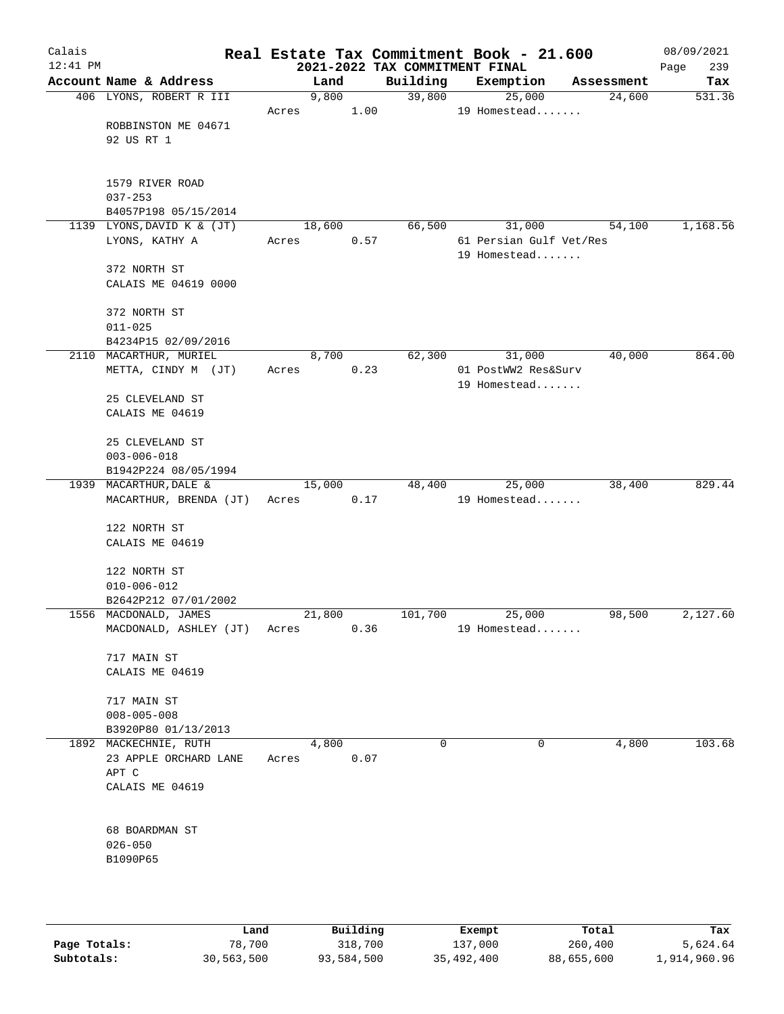| Calais<br>$12:41$ PM |                                     |        |      | 2021-2022 TAX COMMITMENT FINAL | Real Estate Tax Commitment Book - 21.600 |            | 08/09/2021<br>239<br>Page |
|----------------------|-------------------------------------|--------|------|--------------------------------|------------------------------------------|------------|---------------------------|
|                      | Account Name & Address              | Land   |      | Building                       | Exemption                                | Assessment | Tax                       |
|                      | 406 LYONS, ROBERT R III             | 9,800  |      | 39,800                         | 25,000                                   | 24,600     | 531.36                    |
|                      |                                     | Acres  | 1.00 |                                | 19 Homestead                             |            |                           |
|                      | ROBBINSTON ME 04671                 |        |      |                                |                                          |            |                           |
|                      | 92 US RT 1                          |        |      |                                |                                          |            |                           |
|                      |                                     |        |      |                                |                                          |            |                           |
|                      |                                     |        |      |                                |                                          |            |                           |
|                      | 1579 RIVER ROAD                     |        |      |                                |                                          |            |                           |
|                      | $037 - 253$<br>B4057P198 05/15/2014 |        |      |                                |                                          |            |                           |
|                      | 1139 LYONS, DAVID K & (JT)          | 18,600 |      | 66,500                         | 31,000                                   | 54,100     | 1,168.56                  |
|                      | LYONS, KATHY A                      | Acres  | 0.57 |                                | 61 Persian Gulf Vet/Res                  |            |                           |
|                      |                                     |        |      |                                | 19 Homestead                             |            |                           |
|                      | 372 NORTH ST                        |        |      |                                |                                          |            |                           |
|                      | CALAIS ME 04619 0000                |        |      |                                |                                          |            |                           |
|                      |                                     |        |      |                                |                                          |            |                           |
|                      | 372 NORTH ST                        |        |      |                                |                                          |            |                           |
|                      | $011 - 025$                         |        |      |                                |                                          |            |                           |
|                      | B4234P15 02/09/2016                 |        |      |                                |                                          |            |                           |
|                      | 2110 MACARTHUR, MURIEL              | 8,700  |      | 62,300                         | 31,000                                   | 40,000     | 864.00                    |
|                      | METTA, CINDY M (JT)                 | Acres  | 0.23 |                                | 01 PostWW2 Res&Surv<br>19 Homestead      |            |                           |
|                      | 25 CLEVELAND ST                     |        |      |                                |                                          |            |                           |
|                      | CALAIS ME 04619                     |        |      |                                |                                          |            |                           |
|                      |                                     |        |      |                                |                                          |            |                           |
|                      | 25 CLEVELAND ST                     |        |      |                                |                                          |            |                           |
|                      | $003 - 006 - 018$                   |        |      |                                |                                          |            |                           |
|                      | B1942P224 08/05/1994                |        |      |                                |                                          |            |                           |
|                      | 1939 MACARTHUR, DALE &              | 15,000 |      | 48,400                         | 25,000                                   | 38,400     | 829.44                    |
|                      | MACARTHUR, BRENDA (JT)              | Acres  | 0.17 |                                | 19 Homestead                             |            |                           |
|                      |                                     |        |      |                                |                                          |            |                           |
|                      | 122 NORTH ST<br>CALAIS ME 04619     |        |      |                                |                                          |            |                           |
|                      |                                     |        |      |                                |                                          |            |                           |
|                      | 122 NORTH ST                        |        |      |                                |                                          |            |                           |
|                      | $010 - 006 - 012$                   |        |      |                                |                                          |            |                           |
|                      | B2642P212 07/01/2002                |        |      |                                |                                          |            |                           |
|                      | 1556 MACDONALD, JAMES               | 21,800 |      | 101,700                        | 25,000                                   | 98,500     | 2,127.60                  |
|                      | MACDONALD, ASHLEY (JT)              | Acres  | 0.36 |                                | 19 Homestead                             |            |                           |
|                      |                                     |        |      |                                |                                          |            |                           |
|                      | 717 MAIN ST                         |        |      |                                |                                          |            |                           |
|                      | CALAIS ME 04619                     |        |      |                                |                                          |            |                           |
|                      | 717 MAIN ST                         |        |      |                                |                                          |            |                           |
|                      | $008 - 005 - 008$                   |        |      |                                |                                          |            |                           |
|                      | B3920P80 01/13/2013                 |        |      |                                |                                          |            |                           |
|                      | 1892 MACKECHNIE, RUTH               | 4,800  |      | $\Omega$                       | 0                                        | 4,800      | 103.68                    |
|                      | 23 APPLE ORCHARD LANE               | Acres  | 0.07 |                                |                                          |            |                           |
|                      | APT C                               |        |      |                                |                                          |            |                           |
|                      | CALAIS ME 04619                     |        |      |                                |                                          |            |                           |
|                      |                                     |        |      |                                |                                          |            |                           |
|                      | 68 BOARDMAN ST                      |        |      |                                |                                          |            |                           |
|                      | $026 - 050$                         |        |      |                                |                                          |            |                           |
|                      | B1090P65                            |        |      |                                |                                          |            |                           |
|                      |                                     |        |      |                                |                                          |            |                           |
|                      |                                     |        |      |                                |                                          |            |                           |
|                      |                                     |        |      |                                |                                          |            |                           |

|              | Land       | Building   | Exempt     | Total      | Tax          |
|--------------|------------|------------|------------|------------|--------------|
| Page Totals: | 78,700     | 318,700    | 137,000    | 260,400    | 5,624.64     |
| Subtotals:   | 30,563,500 | 93,584,500 | 35,492,400 | 88,655,600 | 1,914,960.96 |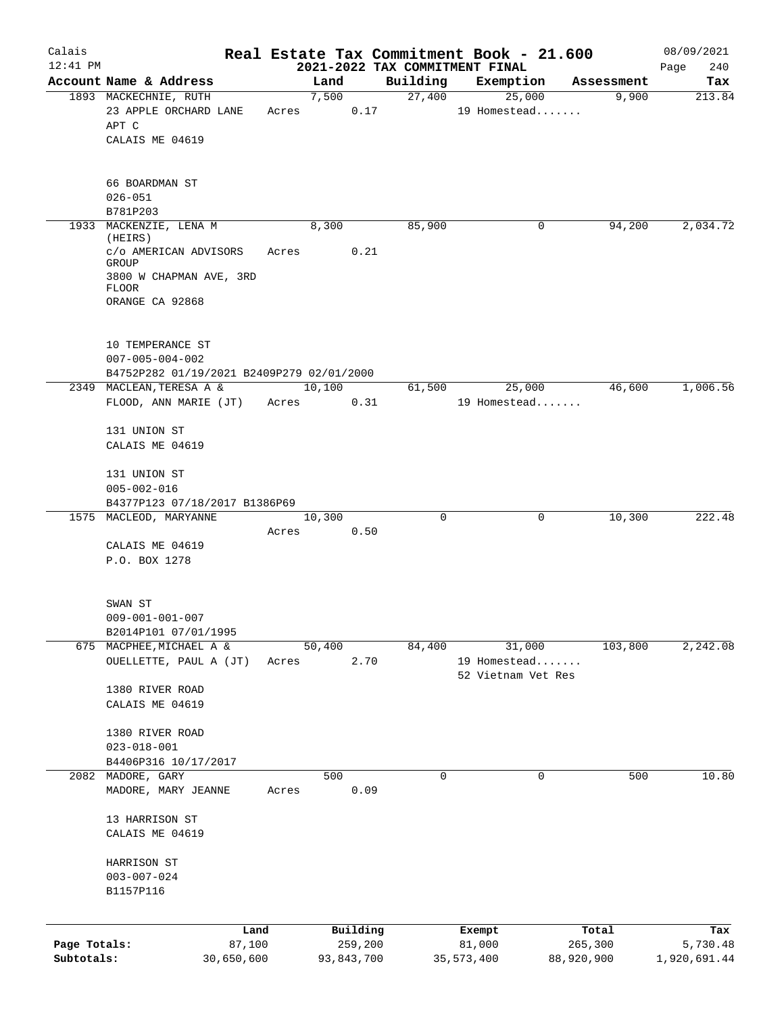| Calais       |                                                    |       |               |                     |                    | Real Estate Tax Commitment Book - 21.600 |                     | 08/09/2021      |
|--------------|----------------------------------------------------|-------|---------------|---------------------|--------------------|------------------------------------------|---------------------|-----------------|
| $12:41$ PM   | Account Name & Address                             |       |               |                     |                    | 2021-2022 TAX COMMITMENT FINAL           |                     | 240<br>Page     |
|              | 1893 MACKECHNIE, RUTH                              |       | Land<br>7,500 |                     | Building<br>27,400 | Exemption<br>25,000                      | Assessment<br>9,900 | Tax<br>213.84   |
|              | 23 APPLE ORCHARD LANE                              | Acres |               | 0.17                |                    | 19 Homestead                             |                     |                 |
|              | APT C                                              |       |               |                     |                    |                                          |                     |                 |
|              | CALAIS ME 04619                                    |       |               |                     |                    |                                          |                     |                 |
|              | 66 BOARDMAN ST                                     |       |               |                     |                    |                                          |                     |                 |
|              | $026 - 051$                                        |       |               |                     |                    |                                          |                     |                 |
|              | B781P203                                           |       |               |                     |                    |                                          |                     |                 |
|              | 1933 MACKENZIE, LENA M                             |       | 8,300         |                     | 85,900             | 0                                        | 94,200              | 2,034.72        |
|              | (HEIRS)<br>c/o AMERICAN ADVISORS<br>GROUP          | Acres |               | 0.21                |                    |                                          |                     |                 |
|              | 3800 W CHAPMAN AVE, 3RD<br><b>FLOOR</b>            |       |               |                     |                    |                                          |                     |                 |
|              | ORANGE CA 92868                                    |       |               |                     |                    |                                          |                     |                 |
|              | 10 TEMPERANCE ST                                   |       |               |                     |                    |                                          |                     |                 |
|              | $007 - 005 - 004 - 002$                            |       |               |                     |                    |                                          |                     |                 |
|              | B4752P282 01/19/2021 B2409P279 02/01/2000          |       |               |                     |                    |                                          |                     |                 |
|              | 2349 MACLEAN, TERESA A &                           |       | 10,100        |                     | 61,500             | 25,000                                   | 46,600              | 1,006.56        |
|              | FLOOD, ANN MARIE (JT)                              | Acres |               | 0.31                |                    | 19 Homestead                             |                     |                 |
|              | 131 UNION ST                                       |       |               |                     |                    |                                          |                     |                 |
|              | CALAIS ME 04619                                    |       |               |                     |                    |                                          |                     |                 |
|              | 131 UNION ST                                       |       |               |                     |                    |                                          |                     |                 |
|              | $005 - 002 - 016$<br>B4377P123 07/18/2017 B1386P69 |       |               |                     |                    |                                          |                     |                 |
|              | 1575 MACLEOD, MARYANNE                             |       | 10,300        |                     | 0                  | 0                                        | 10,300              | 222.48          |
|              |                                                    | Acres |               | 0.50                |                    |                                          |                     |                 |
|              | CALAIS ME 04619                                    |       |               |                     |                    |                                          |                     |                 |
|              | P.O. BOX 1278                                      |       |               |                     |                    |                                          |                     |                 |
|              | SWAN ST                                            |       |               |                     |                    |                                          |                     |                 |
|              | $009 - 001 - 001 - 007$                            |       |               |                     |                    |                                          |                     |                 |
|              | B2014P101 07/01/1995                               |       |               |                     |                    |                                          |                     |                 |
|              | 675 MACPHEE, MICHAEL A &                           |       | 50,400        |                     | 84,400             | 31,000                                   | 103,800             | 2,242.08        |
|              | OUELLETTE, PAUL A (JT)                             | Acres |               | 2.70                |                    | 19 Homestead<br>52 Vietnam Vet Res       |                     |                 |
|              | 1380 RIVER ROAD                                    |       |               |                     |                    |                                          |                     |                 |
|              | CALAIS ME 04619                                    |       |               |                     |                    |                                          |                     |                 |
|              | 1380 RIVER ROAD                                    |       |               |                     |                    |                                          |                     |                 |
|              | $023 - 018 - 001$                                  |       |               |                     |                    |                                          |                     |                 |
|              | B4406P316 10/17/2017                               |       | 500           |                     | 0                  | 0                                        | 500                 | 10.80           |
|              | 2082 MADORE, GARY<br>MADORE, MARY JEANNE           | Acres |               | 0.09                |                    |                                          |                     |                 |
|              | 13 HARRISON ST                                     |       |               |                     |                    |                                          |                     |                 |
|              | CALAIS ME 04619                                    |       |               |                     |                    |                                          |                     |                 |
|              | HARRISON ST                                        |       |               |                     |                    |                                          |                     |                 |
|              | $003 - 007 - 024$                                  |       |               |                     |                    |                                          |                     |                 |
|              | B1157P116                                          |       |               |                     |                    |                                          |                     |                 |
|              |                                                    |       |               |                     |                    |                                          |                     |                 |
| Page Totals: | Land<br>87,100                                     |       |               | Building<br>259,200 |                    | Exempt<br>81,000                         | Total<br>265,300    | Tax<br>5,730.48 |
| Subtotals:   | 30,650,600                                         |       |               | 93,843,700          |                    | 35, 573, 400                             | 88,920,900          | 1,920,691.44    |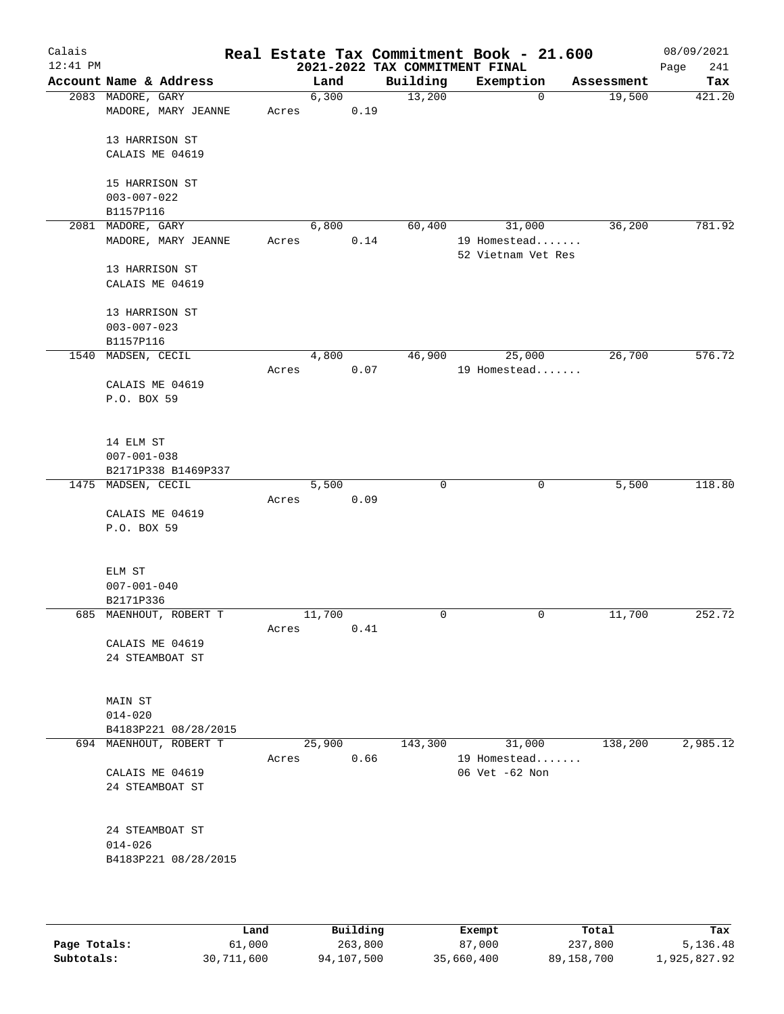| Calais     |                                    |       |        |      |                                            | Real Estate Tax Commitment Book - 21.600 |            | 08/09/2021         |
|------------|------------------------------------|-------|--------|------|--------------------------------------------|------------------------------------------|------------|--------------------|
| $12:41$ PM | Account Name & Address             |       | Land   |      | 2021-2022 TAX COMMITMENT FINAL<br>Building | Exemption                                | Assessment | 241<br>Page<br>Tax |
|            | 2083 MADORE, GARY                  |       | 6,300  |      | 13,200                                     | $\mathbf 0$                              | 19,500     | 421.20             |
|            | MADORE, MARY JEANNE                | Acres |        | 0.19 |                                            |                                          |            |                    |
|            | 13 HARRISON ST                     |       |        |      |                                            |                                          |            |                    |
|            | CALAIS ME 04619                    |       |        |      |                                            |                                          |            |                    |
|            | 15 HARRISON ST                     |       |        |      |                                            |                                          |            |                    |
|            | $003 - 007 - 022$<br>B1157P116     |       |        |      |                                            |                                          |            |                    |
| 2081       | MADORE, GARY                       |       | 6,800  |      | 60,400                                     | 31,000                                   | 36,200     | 781.92             |
|            | MADORE, MARY JEANNE                | Acres |        | 0.14 |                                            | 19 Homestead<br>52 Vietnam Vet Res       |            |                    |
|            | 13 HARRISON ST                     |       |        |      |                                            |                                          |            |                    |
|            | CALAIS ME 04619                    |       |        |      |                                            |                                          |            |                    |
|            | 13 HARRISON ST                     |       |        |      |                                            |                                          |            |                    |
|            | $003 - 007 - 023$                  |       |        |      |                                            |                                          |            |                    |
| 1540       | B1157P116<br>MADSEN, CECIL         |       | 4,800  |      | 46,900                                     | 25,000                                   | 26,700     | 576.72             |
|            |                                    | Acres |        | 0.07 |                                            | 19 Homestead                             |            |                    |
|            | CALAIS ME 04619                    |       |        |      |                                            |                                          |            |                    |
|            | P.O. BOX 59                        |       |        |      |                                            |                                          |            |                    |
|            | 14 ELM ST                          |       |        |      |                                            |                                          |            |                    |
|            | $007 - 001 - 038$                  |       |        |      |                                            |                                          |            |                    |
|            | B2171P338 B1469P337                |       |        |      |                                            |                                          |            |                    |
|            | 1475 MADSEN, CECIL                 | Acres | 5,500  | 0.09 | 0                                          | 0                                        | 5,500      | 118.80             |
|            | CALAIS ME 04619                    |       |        |      |                                            |                                          |            |                    |
|            | P.O. BOX 59                        |       |        |      |                                            |                                          |            |                    |
|            | ELM ST                             |       |        |      |                                            |                                          |            |                    |
|            | $007 - 001 - 040$                  |       |        |      |                                            |                                          |            |                    |
|            | B2171P336                          |       |        |      |                                            |                                          |            |                    |
|            | 685 MAENHOUT, ROBERT T             |       | 11,700 |      | $\mathbf 0$                                | $\mathbf 0$                              | 11,700     | 252.72             |
|            |                                    | Acres |        | 0.41 |                                            |                                          |            |                    |
|            | CALAIS ME 04619<br>24 STEAMBOAT ST |       |        |      |                                            |                                          |            |                    |
|            |                                    |       |        |      |                                            |                                          |            |                    |
|            | MAIN ST                            |       |        |      |                                            |                                          |            |                    |
|            | $014 - 020$                        |       |        |      |                                            |                                          |            |                    |
|            | B4183P221 08/28/2015               |       |        |      |                                            |                                          |            |                    |
|            | 694 MAENHOUT, ROBERT T             | Acres | 25,900 | 0.66 | 143,300                                    | 31,000<br>19 Homestead                   | 138,200    | 2,985.12           |
|            | CALAIS ME 04619                    |       |        |      |                                            | 06 Vet -62 Non                           |            |                    |
|            | 24 STEAMBOAT ST                    |       |        |      |                                            |                                          |            |                    |
|            | 24 STEAMBOAT ST                    |       |        |      |                                            |                                          |            |                    |
|            | $014 - 026$                        |       |        |      |                                            |                                          |            |                    |
|            | B4183P221 08/28/2015               |       |        |      |                                            |                                          |            |                    |
|            |                                    |       |        |      |                                            |                                          |            |                    |
|            |                                    |       |        |      |                                            |                                          |            |                    |

|              | Land       | Building   | Exempt     | Total      | Tax          |
|--------------|------------|------------|------------|------------|--------------|
| Page Totals: | 61,000     | 263,800    | 87,000     | 237,800    | 5,136.48     |
| Subtotals:   | 30,711,600 | 94,107,500 | 35,660,400 | 89,158,700 | 1,925,827.92 |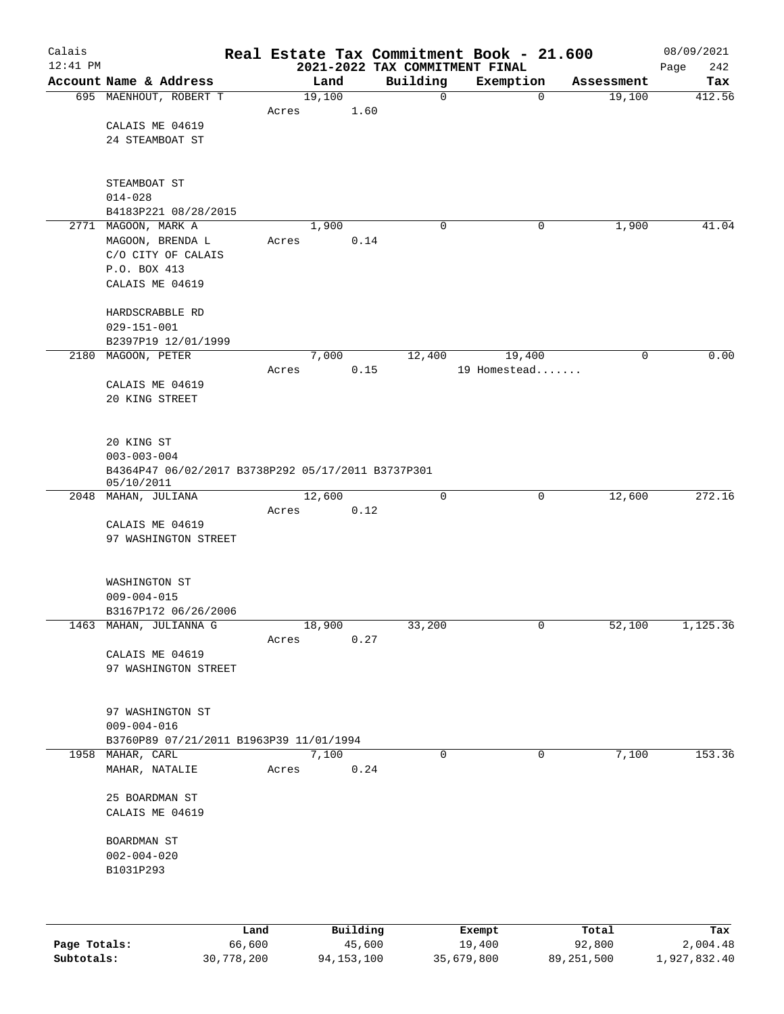| Calais<br>$12:41$ PM |                                                    |       |        |          |          | Real Estate Tax Commitment Book - 21.600<br>2021-2022 TAX COMMITMENT FINAL |        |            | 08/09/2021<br>242<br>Page |
|----------------------|----------------------------------------------------|-------|--------|----------|----------|----------------------------------------------------------------------------|--------|------------|---------------------------|
|                      | Account Name & Address                             |       | Land   |          | Building | Exemption                                                                  |        | Assessment | Tax                       |
|                      | 695 MAENHOUT, ROBERT T                             |       | 19,100 |          |          | $\mathbf 0$                                                                | 0      | 19,100     | 412.56                    |
|                      |                                                    | Acres |        | 1.60     |          |                                                                            |        |            |                           |
|                      | CALAIS ME 04619                                    |       |        |          |          |                                                                            |        |            |                           |
|                      | 24 STEAMBOAT ST                                    |       |        |          |          |                                                                            |        |            |                           |
|                      |                                                    |       |        |          |          |                                                                            |        |            |                           |
|                      | STEAMBOAT ST                                       |       |        |          |          |                                                                            |        |            |                           |
|                      | $014 - 028$                                        |       |        |          |          |                                                                            |        |            |                           |
|                      | B4183P221 08/28/2015                               |       |        |          |          |                                                                            |        |            |                           |
|                      | 2771 MAGOON, MARK A                                |       | 1,900  |          | 0        |                                                                            | 0      | 1,900      | 41.04                     |
|                      | MAGOON, BRENDA L                                   | Acres |        | 0.14     |          |                                                                            |        |            |                           |
|                      | C/O CITY OF CALAIS                                 |       |        |          |          |                                                                            |        |            |                           |
|                      | P.O. BOX 413                                       |       |        |          |          |                                                                            |        |            |                           |
|                      | CALAIS ME 04619                                    |       |        |          |          |                                                                            |        |            |                           |
|                      | HARDSCRABBLE RD                                    |       |        |          |          |                                                                            |        |            |                           |
|                      | $029 - 151 - 001$                                  |       |        |          |          |                                                                            |        |            |                           |
|                      | B2397P19 12/01/1999                                |       |        |          |          |                                                                            |        |            |                           |
|                      | 2180 MAGOON, PETER                                 |       | 7,000  |          | 12,400   |                                                                            | 19,400 | 0          | 0.00                      |
|                      |                                                    | Acres |        | 0.15     |          | 19 Homestead                                                               |        |            |                           |
|                      | CALAIS ME 04619                                    |       |        |          |          |                                                                            |        |            |                           |
|                      | 20 KING STREET                                     |       |        |          |          |                                                                            |        |            |                           |
|                      |                                                    |       |        |          |          |                                                                            |        |            |                           |
|                      | 20 KING ST                                         |       |        |          |          |                                                                            |        |            |                           |
|                      | $003 - 003 - 004$                                  |       |        |          |          |                                                                            |        |            |                           |
|                      | B4364P47 06/02/2017 B3738P292 05/17/2011 B3737P301 |       |        |          |          |                                                                            |        |            |                           |
|                      | 05/10/2011                                         |       |        |          |          |                                                                            |        |            |                           |
|                      | 2048 MAHAN, JULIANA                                | Acres | 12,600 | 0.12     |          | 0                                                                          | 0      | 12,600     | 272.16                    |
|                      | CALAIS ME 04619                                    |       |        |          |          |                                                                            |        |            |                           |
|                      | 97 WASHINGTON STREET                               |       |        |          |          |                                                                            |        |            |                           |
|                      |                                                    |       |        |          |          |                                                                            |        |            |                           |
|                      |                                                    |       |        |          |          |                                                                            |        |            |                           |
|                      | WASHINGTON ST                                      |       |        |          |          |                                                                            |        |            |                           |
|                      | $009 - 004 - 015$<br>B3167P172 06/26/2006          |       |        |          |          |                                                                            |        |            |                           |
|                      | 1463 MAHAN, JULIANNA G                             |       | 18,900 |          | 33,200   |                                                                            | 0      | 52,100     | 1,125.36                  |
|                      |                                                    | Acres |        | 0.27     |          |                                                                            |        |            |                           |
|                      | CALAIS ME 04619                                    |       |        |          |          |                                                                            |        |            |                           |
|                      | 97 WASHINGTON STREET                               |       |        |          |          |                                                                            |        |            |                           |
|                      |                                                    |       |        |          |          |                                                                            |        |            |                           |
|                      | 97 WASHINGTON ST                                   |       |        |          |          |                                                                            |        |            |                           |
|                      | $009 - 004 - 016$                                  |       |        |          |          |                                                                            |        |            |                           |
|                      | B3760P89 07/21/2011 B1963P39 11/01/1994            |       |        |          |          |                                                                            |        |            |                           |
|                      | 1958 MAHAR, CARL                                   |       | 7,100  |          |          | 0                                                                          | 0      | 7,100      | 153.36                    |
|                      | MAHAR, NATALIE                                     | Acres |        | 0.24     |          |                                                                            |        |            |                           |
|                      |                                                    |       |        |          |          |                                                                            |        |            |                           |
|                      | 25 BOARDMAN ST                                     |       |        |          |          |                                                                            |        |            |                           |
|                      | CALAIS ME 04619                                    |       |        |          |          |                                                                            |        |            |                           |
|                      | BOARDMAN ST                                        |       |        |          |          |                                                                            |        |            |                           |
|                      | $002 - 004 - 020$                                  |       |        |          |          |                                                                            |        |            |                           |
|                      | B1031P293                                          |       |        |          |          |                                                                            |        |            |                           |
|                      |                                                    |       |        |          |          |                                                                            |        |            |                           |
|                      |                                                    |       |        |          |          |                                                                            |        |            |                           |
|                      |                                                    | Land  |        | Building |          | Exempt                                                                     |        | Total      | Tax                       |
|                      |                                                    |       |        |          |          |                                                                            |        |            |                           |

|              | Lanu       | <b>Building</b> | вхешрс     | TOLAT      | rax.         |
|--------------|------------|-----------------|------------|------------|--------------|
| Page Totals: | 66,600     | 45,600          | 19,400     | 92,800     | 2,004.48     |
| Subtotals:   | 30,778,200 | 94, 153, 100    | 35,679,800 | 89,251,500 | 1,927,832.40 |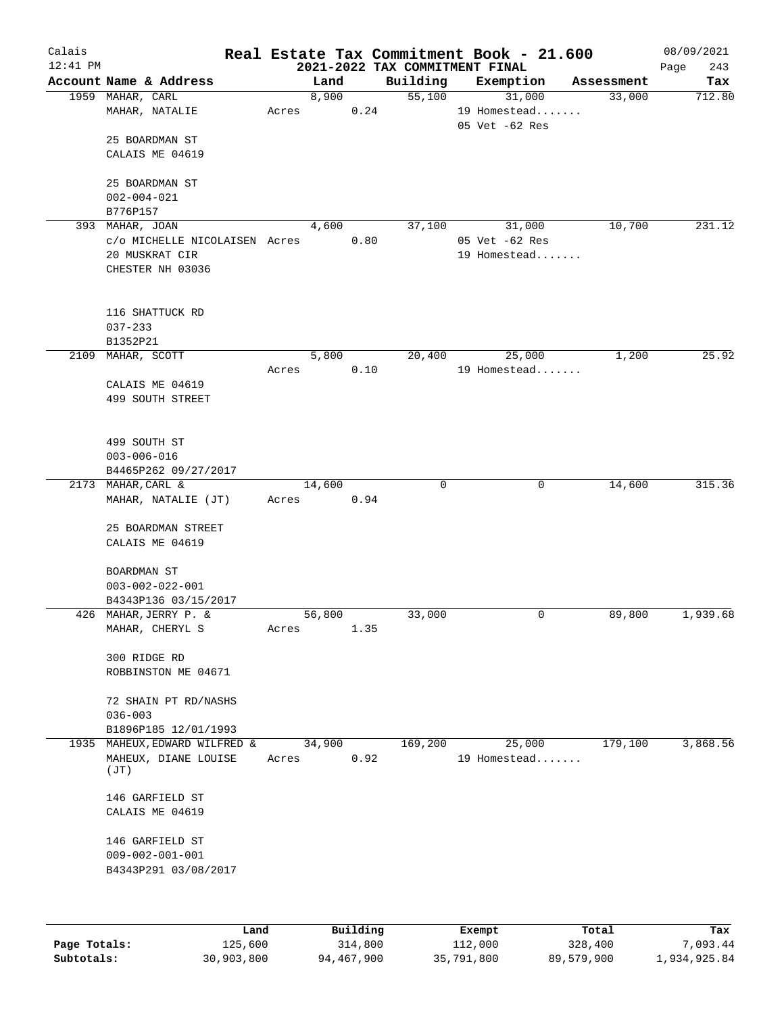| Calais<br>$12:41$ PM |                                     |       |        |      | 2021-2022 TAX COMMITMENT FINAL | Real Estate Tax Commitment Book - 21.600 |            | 08/09/2021<br>243<br>Page |
|----------------------|-------------------------------------|-------|--------|------|--------------------------------|------------------------------------------|------------|---------------------------|
|                      | Account Name & Address              |       | Land   |      | Building                       | Exemption                                | Assessment | Tax                       |
|                      | 1959 MAHAR, CARL                    |       | 8,900  |      | 55,100                         | 31,000                                   | 33,000     | 712.80                    |
|                      | MAHAR, NATALIE                      | Acres |        | 0.24 |                                | 19 Homestead<br>05 Vet -62 Res           |            |                           |
|                      | 25 BOARDMAN ST                      |       |        |      |                                |                                          |            |                           |
|                      | CALAIS ME 04619                     |       |        |      |                                |                                          |            |                           |
|                      | 25 BOARDMAN ST<br>$002 - 004 - 021$ |       |        |      |                                |                                          |            |                           |
|                      | B776P157                            |       |        |      |                                |                                          |            |                           |
|                      | 393 MAHAR, JOAN                     |       | 4,600  |      | 37,100                         | 31,000                                   | 10,700     | 231.12                    |
|                      | c/o MICHELLE NICOLAISEN Acres       |       |        | 0.80 |                                | 05 Vet -62 Res                           |            |                           |
|                      | 20 MUSKRAT CIR                      |       |        |      |                                | 19 Homestead                             |            |                           |
|                      | CHESTER NH 03036                    |       |        |      |                                |                                          |            |                           |
|                      |                                     |       |        |      |                                |                                          |            |                           |
|                      | 116 SHATTUCK RD                     |       |        |      |                                |                                          |            |                           |
|                      | $037 - 233$<br>B1352P21             |       |        |      |                                |                                          |            |                           |
| 2109                 | MAHAR, SCOTT                        |       | 5,800  |      | 20,400                         | 25,000                                   | 1,200      | 25.92                     |
|                      |                                     | Acres |        | 0.10 |                                | 19 Homestead                             |            |                           |
|                      | CALAIS ME 04619                     |       |        |      |                                |                                          |            |                           |
|                      | 499 SOUTH STREET                    |       |        |      |                                |                                          |            |                           |
|                      |                                     |       |        |      |                                |                                          |            |                           |
|                      | 499 SOUTH ST                        |       |        |      |                                |                                          |            |                           |
|                      | $003 - 006 - 016$                   |       |        |      |                                |                                          |            |                           |
|                      | B4465P262 09/27/2017                |       |        |      |                                |                                          |            |                           |
|                      | 2173 MAHAR, CARL &                  |       | 14,600 |      | 0                              | $\mathbf 0$                              | 14,600     | 315.36                    |
|                      | MAHAR, NATALIE (JT)                 | Acres |        | 0.94 |                                |                                          |            |                           |
|                      | 25 BOARDMAN STREET                  |       |        |      |                                |                                          |            |                           |
|                      | CALAIS ME 04619                     |       |        |      |                                |                                          |            |                           |
|                      | BOARDMAN ST                         |       |        |      |                                |                                          |            |                           |
|                      | $003 - 002 - 022 - 001$             |       |        |      |                                |                                          |            |                           |
|                      | B4343P136 03/15/2017                |       |        |      |                                |                                          |            |                           |
|                      | 426 MAHAR, JERRY P. &               |       | 56,800 |      | 33,000                         | 0                                        | 89,800     | 1,939.68                  |
|                      | MAHAR, CHERYL S                     | Acres |        | 1.35 |                                |                                          |            |                           |
|                      | 300 RIDGE RD                        |       |        |      |                                |                                          |            |                           |
|                      | ROBBINSTON ME 04671                 |       |        |      |                                |                                          |            |                           |
|                      | 72 SHAIN PT RD/NASHS<br>$036 - 003$ |       |        |      |                                |                                          |            |                           |
|                      | B1896P185 12/01/1993                |       |        |      |                                |                                          |            |                           |
|                      | 1935 MAHEUX, EDWARD WILFRED &       |       | 34,900 |      | 169,200                        | 25,000                                   | 179,100    | 3,868.56                  |
|                      | MAHEUX, DIANE LOUISE<br>(JT)        | Acres |        | 0.92 |                                | 19 Homestead                             |            |                           |
|                      |                                     |       |        |      |                                |                                          |            |                           |
|                      | 146 GARFIELD ST<br>CALAIS ME 04619  |       |        |      |                                |                                          |            |                           |
|                      |                                     |       |        |      |                                |                                          |            |                           |
|                      | 146 GARFIELD ST                     |       |        |      |                                |                                          |            |                           |
|                      | $009 - 002 - 001 - 001$             |       |        |      |                                |                                          |            |                           |
|                      | B4343P291 03/08/2017                |       |        |      |                                |                                          |            |                           |
|                      |                                     |       |        |      |                                |                                          |            |                           |
|                      |                                     |       |        |      |                                |                                          |            |                           |

|              | Land       | Building   | Exempt     | Total      | Tax          |
|--------------|------------|------------|------------|------------|--------------|
| Page Totals: | 125,600    | 314,800    | 112,000    | 328,400    | 7,093.44     |
| Subtotals:   | 30,903,800 | 94,467,900 | 35,791,800 | 89,579,900 | 1,934,925.84 |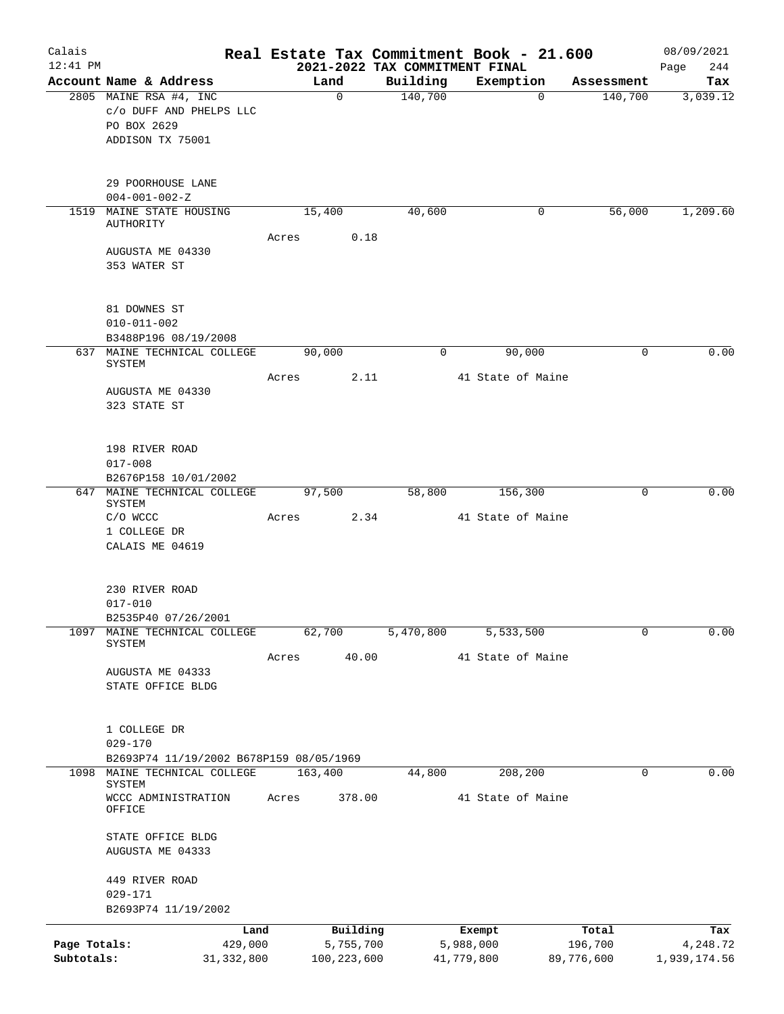| Calais       |                                         |         |               |           | Real Estate Tax Commitment Book - 21.600 |             | 08/09/2021          |
|--------------|-----------------------------------------|---------|---------------|-----------|------------------------------------------|-------------|---------------------|
| $12:41$ PM   |                                         |         |               |           | 2021-2022 TAX COMMITMENT FINAL           |             | 244<br>Page         |
|              | Account Name & Address                  |         | Land          | Building  | Exemption                                | Assessment  | Tax                 |
|              | 2805 MAINE RSA #4, INC                  |         | $\mathbf 0$   | 140,700   | $\mathbf 0$                              | 140,700     | 3,039.12            |
|              | c/o DUFF AND PHELPS LLC<br>PO BOX 2629  |         |               |           |                                          |             |                     |
|              | ADDISON TX 75001                        |         |               |           |                                          |             |                     |
|              |                                         |         |               |           |                                          |             |                     |
|              | 29 POORHOUSE LANE                       |         |               |           |                                          |             |                     |
|              | $004 - 001 - 002 - Z$                   |         |               |           |                                          |             |                     |
| 1519         | MAINE STATE HOUSING                     | 15,400  |               | 40,600    |                                          | 56,000<br>0 | 1,209.60            |
|              | AUTHORITY                               | Acres   | 0.18          |           |                                          |             |                     |
|              | AUGUSTA ME 04330                        |         |               |           |                                          |             |                     |
|              | 353 WATER ST                            |         |               |           |                                          |             |                     |
|              | 81 DOWNES ST                            |         |               |           |                                          |             |                     |
|              | $010 - 011 - 002$                       |         |               |           |                                          |             |                     |
|              | B3488P196 08/19/2008                    |         |               |           |                                          |             |                     |
|              | 637 MAINE TECHNICAL COLLEGE             | 90,000  |               | 0         | 90,000                                   |             | 0.00<br>0           |
|              | SYSTEM                                  | Acres   | 2.11          |           | 41 State of Maine                        |             |                     |
|              | AUGUSTA ME 04330                        |         |               |           |                                          |             |                     |
|              | 323 STATE ST                            |         |               |           |                                          |             |                     |
|              |                                         |         |               |           |                                          |             |                     |
|              | 198 RIVER ROAD                          |         |               |           |                                          |             |                     |
|              | $017 - 008$                             |         |               |           |                                          |             |                     |
|              | B2676P158 10/01/2002                    |         |               |           |                                          |             |                     |
|              | 647 MAINE TECHNICAL COLLEGE             | 97,500  |               | 58,800    | 156,300                                  |             | 0.00<br>0           |
|              | SYSTEM                                  |         |               |           |                                          |             |                     |
|              | C/O WCCC                                | Acres   | 2.34          |           | 41 State of Maine                        |             |                     |
|              | 1 COLLEGE DR<br>CALAIS ME 04619         |         |               |           |                                          |             |                     |
|              |                                         |         |               |           |                                          |             |                     |
|              | 230 RIVER ROAD                          |         |               |           |                                          |             |                     |
|              | $017 - 010$                             |         |               |           |                                          |             |                     |
|              | B2535P40 07/26/2001                     |         |               |           |                                          |             |                     |
| 1097         | MAINE TECHNICAL COLLEGE                 | 62,700  |               | 5,470,800 | 5,533,500                                |             | 0.00<br>$\mathbf 0$ |
|              | SYSTEM                                  |         |               |           |                                          |             |                     |
|              |                                         | Acres   | 40.00         |           | 41 State of Maine                        |             |                     |
|              | AUGUSTA ME 04333<br>STATE OFFICE BLDG   |         |               |           |                                          |             |                     |
|              |                                         |         |               |           |                                          |             |                     |
|              | 1 COLLEGE DR                            |         |               |           |                                          |             |                     |
|              | $029 - 170$                             |         |               |           |                                          |             |                     |
|              | B2693P74 11/19/2002 B678P159 08/05/1969 |         |               |           |                                          |             |                     |
| 1098         | MAINE TECHNICAL COLLEGE<br>SYSTEM       | 163,400 |               | 44,800    | 208, 200                                 |             | 0.00<br>0           |
|              | WCCC ADMINISTRATION                     | Acres   | 378.00        |           | 41 State of Maine                        |             |                     |
|              | OFFICE                                  |         |               |           |                                          |             |                     |
|              | STATE OFFICE BLDG                       |         |               |           |                                          |             |                     |
|              | AUGUSTA ME 04333                        |         |               |           |                                          |             |                     |
|              | 449 RIVER ROAD                          |         |               |           |                                          |             |                     |
|              | $029 - 171$                             |         |               |           |                                          |             |                     |
|              | B2693P74 11/19/2002                     |         |               |           |                                          |             |                     |
|              | Land                                    |         | Building      |           | Exempt                                   | Total       | Tax                 |
| Page Totals: | 429,000                                 |         | 5,755,700     |           | 5,988,000                                | 196,700     | 4,248.72            |
| Subtotals:   | 31, 332, 800                            |         | 100, 223, 600 |           | 41,779,800                               | 89,776,600  | 1,939,174.56        |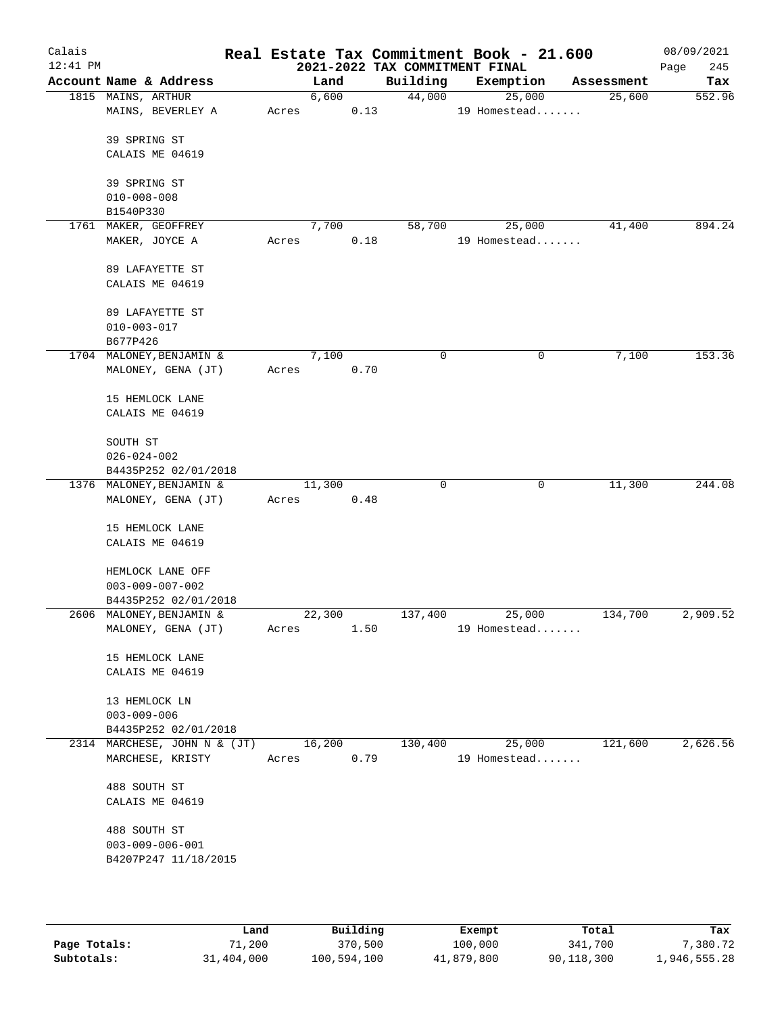| Calais<br>$12:41$ PM |                                                |       |        |      | Real Estate Tax Commitment Book - 21.600<br>2021-2022 TAX COMMITMENT FINAL |              |        |            | 08/09/2021<br>Page<br>245 |
|----------------------|------------------------------------------------|-------|--------|------|----------------------------------------------------------------------------|--------------|--------|------------|---------------------------|
|                      | Account Name & Address                         |       | Land   |      | Building                                                                   | Exemption    |        | Assessment | Tax                       |
|                      | 1815 MAINS, ARTHUR                             |       | 6,600  |      | 44,000                                                                     |              | 25,000 | 25,600     | 552.96                    |
|                      | MAINS, BEVERLEY A                              | Acres |        | 0.13 |                                                                            | 19 Homestead |        |            |                           |
|                      |                                                |       |        |      |                                                                            |              |        |            |                           |
|                      | 39 SPRING ST                                   |       |        |      |                                                                            |              |        |            |                           |
|                      | CALAIS ME 04619                                |       |        |      |                                                                            |              |        |            |                           |
|                      | 39 SPRING ST                                   |       |        |      |                                                                            |              |        |            |                           |
|                      | $010 - 008 - 008$                              |       |        |      |                                                                            |              |        |            |                           |
|                      | B1540P330                                      |       |        |      |                                                                            |              |        |            |                           |
|                      | 1761 MAKER, GEOFFREY                           |       | 7,700  |      | 58,700                                                                     |              | 25,000 | 41,400     | 894.24                    |
|                      | MAKER, JOYCE A                                 | Acres |        | 0.18 |                                                                            | 19 Homestead |        |            |                           |
|                      |                                                |       |        |      |                                                                            |              |        |            |                           |
|                      | 89 LAFAYETTE ST                                |       |        |      |                                                                            |              |        |            |                           |
|                      | CALAIS ME 04619                                |       |        |      |                                                                            |              |        |            |                           |
|                      |                                                |       |        |      |                                                                            |              |        |            |                           |
|                      | 89 LAFAYETTE ST<br>$010 - 003 - 017$           |       |        |      |                                                                            |              |        |            |                           |
|                      | B677P426                                       |       |        |      |                                                                            |              |        |            |                           |
|                      | 1704 MALONEY, BENJAMIN &                       |       | 7,100  |      | 0                                                                          |              | 0      | 7,100      | 153.36                    |
|                      | MALONEY, GENA (JT)                             | Acres |        | 0.70 |                                                                            |              |        |            |                           |
|                      |                                                |       |        |      |                                                                            |              |        |            |                           |
|                      | 15 HEMLOCK LANE                                |       |        |      |                                                                            |              |        |            |                           |
|                      | CALAIS ME 04619                                |       |        |      |                                                                            |              |        |            |                           |
|                      |                                                |       |        |      |                                                                            |              |        |            |                           |
|                      | SOUTH ST                                       |       |        |      |                                                                            |              |        |            |                           |
|                      | $026 - 024 - 002$                              |       |        |      |                                                                            |              |        |            |                           |
|                      | B4435P252 02/01/2018                           |       | 11,300 |      | $\mathbf 0$                                                                |              | 0      | 11,300     | 244.08                    |
|                      | 1376 MALONEY, BENJAMIN &<br>MALONEY, GENA (JT) | Acres |        | 0.48 |                                                                            |              |        |            |                           |
|                      |                                                |       |        |      |                                                                            |              |        |            |                           |
|                      | 15 HEMLOCK LANE                                |       |        |      |                                                                            |              |        |            |                           |
|                      | CALAIS ME 04619                                |       |        |      |                                                                            |              |        |            |                           |
|                      |                                                |       |        |      |                                                                            |              |        |            |                           |
|                      | HEMLOCK LANE OFF                               |       |        |      |                                                                            |              |        |            |                           |
|                      | $003 - 009 - 007 - 002$                        |       |        |      |                                                                            |              |        |            |                           |
|                      | B4435P252 02/01/2018                           |       |        |      |                                                                            |              |        |            |                           |
|                      | 2606 MALONEY, BENJAMIN &                       |       | 22,300 |      | 137,400                                                                    |              | 25,000 | 134,700    | 2,909.52                  |
|                      | MALONEY, GENA (JT)                             | Acres |        | 1.50 |                                                                            | 19 Homestead |        |            |                           |
|                      | 15 HEMLOCK LANE                                |       |        |      |                                                                            |              |        |            |                           |
|                      | CALAIS ME 04619                                |       |        |      |                                                                            |              |        |            |                           |
|                      |                                                |       |        |      |                                                                            |              |        |            |                           |
|                      | 13 HEMLOCK LN                                  |       |        |      |                                                                            |              |        |            |                           |
|                      | $003 - 009 - 006$                              |       |        |      |                                                                            |              |        |            |                           |
|                      | B4435P252 02/01/2018                           |       |        |      |                                                                            |              |        |            |                           |
|                      | 2314 MARCHESE, JOHN N & (JT)                   |       | 16,200 |      | 130,400                                                                    |              | 25,000 | 121,600    | 2,626.56                  |
|                      | MARCHESE, KRISTY                               | Acres |        | 0.79 |                                                                            | 19 Homestead |        |            |                           |
|                      |                                                |       |        |      |                                                                            |              |        |            |                           |
|                      | 488 SOUTH ST<br>CALAIS ME 04619                |       |        |      |                                                                            |              |        |            |                           |
|                      |                                                |       |        |      |                                                                            |              |        |            |                           |
|                      | 488 SOUTH ST                                   |       |        |      |                                                                            |              |        |            |                           |
|                      | $003 - 009 - 006 - 001$                        |       |        |      |                                                                            |              |        |            |                           |
|                      | B4207P247 11/18/2015                           |       |        |      |                                                                            |              |        |            |                           |
|                      |                                                |       |        |      |                                                                            |              |        |            |                           |
|                      |                                                |       |        |      |                                                                            |              |        |            |                           |

|              | Land       | Building    | Exempt     | Total      | Tax          |
|--------------|------------|-------------|------------|------------|--------------|
| Page Totals: | 71,200     | 370,500     | 100,000    | 341,700    | 7,380.72     |
| Subtotals:   | 31,404,000 | 100,594,100 | 41,879,800 | 90,118,300 | 1,946,555.28 |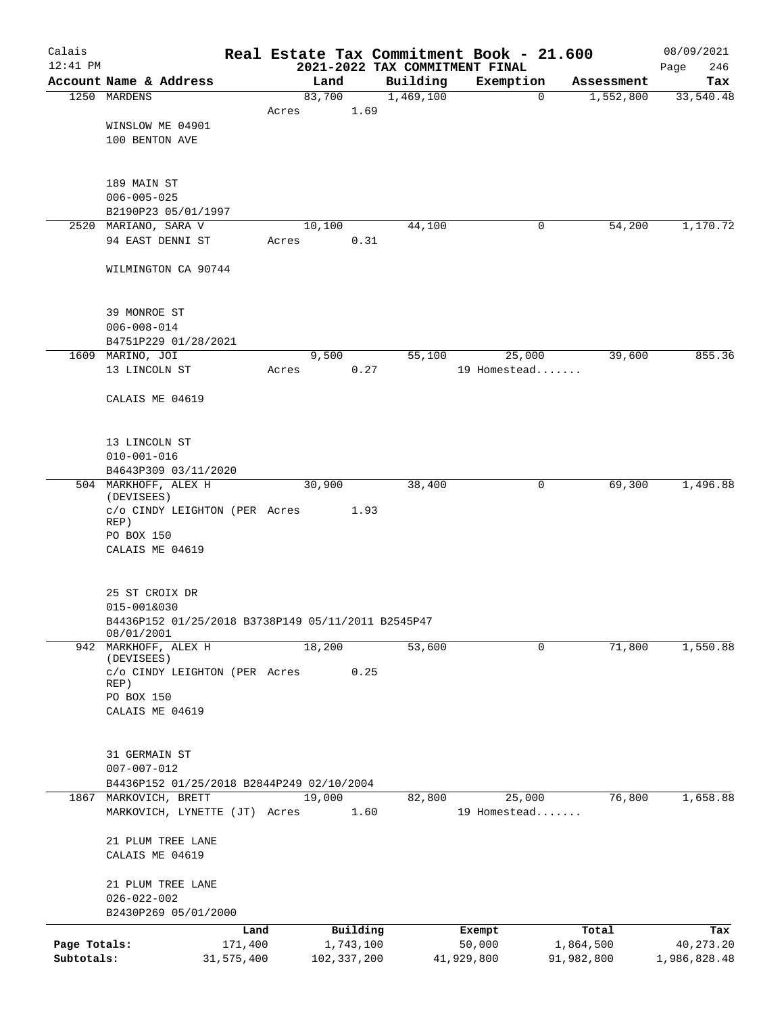| Calais                     |                                                                  |                       |       |                            |           | Real Estate Tax Commitment Book - 21.600    |                         |                         | 08/09/2021                  |
|----------------------------|------------------------------------------------------------------|-----------------------|-------|----------------------------|-----------|---------------------------------------------|-------------------------|-------------------------|-----------------------------|
| $12:41$ PM                 | Account Name & Address                                           |                       |       |                            | Building  | 2021-2022 TAX COMMITMENT FINAL<br>Exemption |                         |                         | 246<br>Page                 |
|                            | 1250 MARDENS                                                     |                       |       | Land<br>83,700             | 1,469,100 |                                             | $\mathbf 0$             | Assessment<br>1,552,800 | Tax<br>33,540.48            |
|                            |                                                                  |                       | Acres | 1.69                       |           |                                             |                         |                         |                             |
|                            | WINSLOW ME 04901                                                 |                       |       |                            |           |                                             |                         |                         |                             |
|                            | 100 BENTON AVE                                                   |                       |       |                            |           |                                             |                         |                         |                             |
|                            |                                                                  |                       |       |                            |           |                                             |                         |                         |                             |
|                            | 189 MAIN ST                                                      |                       |       |                            |           |                                             |                         |                         |                             |
|                            | $006 - 005 - 025$<br>B2190P23 05/01/1997                         |                       |       |                            |           |                                             |                         |                         |                             |
|                            | 2520 MARIANO, SARA V                                             |                       |       | 10,100                     | 44,100    |                                             | 0                       | 54,200                  | 1,170.72                    |
|                            | 94 EAST DENNI ST                                                 |                       | Acres | 0.31                       |           |                                             |                         |                         |                             |
|                            | WILMINGTON CA 90744                                              |                       |       |                            |           |                                             |                         |                         |                             |
|                            | 39 MONROE ST                                                     |                       |       |                            |           |                                             |                         |                         |                             |
|                            | $006 - 008 - 014$                                                |                       |       |                            |           |                                             |                         |                         |                             |
|                            | B4751P229 01/28/2021                                             |                       |       |                            |           |                                             |                         |                         |                             |
|                            | 1609 MARINO, JOI                                                 |                       |       | 9,500                      | 55,100    | 25,000                                      |                         | 39,600                  | 855.36                      |
|                            | 13 LINCOLN ST                                                    |                       | Acres | 0.27                       |           | 19 Homestead                                |                         |                         |                             |
|                            | CALAIS ME 04619                                                  |                       |       |                            |           |                                             |                         |                         |                             |
|                            | 13 LINCOLN ST                                                    |                       |       |                            |           |                                             |                         |                         |                             |
|                            | $010 - 001 - 016$                                                |                       |       |                            |           |                                             |                         |                         |                             |
|                            | B4643P309 03/11/2020                                             |                       |       |                            |           |                                             |                         |                         |                             |
|                            | 504 MARKHOFF, ALEX H<br>(DEVISEES)                               |                       |       | 30,900                     | 38,400    |                                             | 0                       | 69,300                  | 1,496.88                    |
|                            | c/o CINDY LEIGHTON (PER Acres<br>REP)                            |                       |       | 1.93                       |           |                                             |                         |                         |                             |
|                            | PO BOX 150                                                       |                       |       |                            |           |                                             |                         |                         |                             |
|                            | CALAIS ME 04619                                                  |                       |       |                            |           |                                             |                         |                         |                             |
|                            | 25 ST CROIX DR                                                   |                       |       |                            |           |                                             |                         |                         |                             |
|                            | 015-001&030                                                      |                       |       |                            |           |                                             |                         |                         |                             |
|                            | B4436P152 01/25/2018 B3738P149 05/11/2011 B2545P47<br>08/01/2001 |                       |       |                            |           |                                             |                         |                         |                             |
|                            | 942 MARKHOFF, ALEX H                                             |                       |       | 18,200                     | 53,600    |                                             | 0                       | 71,800                  | 1,550.88                    |
|                            | (DEVISEES)<br>c/o CINDY LEIGHTON (PER Acres                      |                       |       | 0.25                       |           |                                             |                         |                         |                             |
|                            | REP)<br>PO BOX 150                                               |                       |       |                            |           |                                             |                         |                         |                             |
|                            | CALAIS ME 04619                                                  |                       |       |                            |           |                                             |                         |                         |                             |
|                            | 31 GERMAIN ST                                                    |                       |       |                            |           |                                             |                         |                         |                             |
|                            | $007 - 007 - 012$                                                |                       |       |                            |           |                                             |                         |                         |                             |
|                            | B4436P152 01/25/2018 B2844P249 02/10/2004                        |                       |       |                            |           |                                             |                         |                         |                             |
|                            | 1867 MARKOVICH, BRETT<br>MARKOVICH, LYNETTE (JT) Acres           |                       |       | 19,000<br>1.60             | 82,800    | 25,000<br>19 Homestead                      |                         | 76,800                  | 1,658.88                    |
|                            |                                                                  |                       |       |                            |           |                                             |                         |                         |                             |
|                            | 21 PLUM TREE LANE<br>CALAIS ME 04619                             |                       |       |                            |           |                                             |                         |                         |                             |
|                            | 21 PLUM TREE LANE                                                |                       |       |                            |           |                                             |                         |                         |                             |
|                            | $026 - 022 - 002$                                                |                       |       |                            |           |                                             |                         |                         |                             |
|                            | B2430P269 05/01/2000                                             |                       |       |                            |           |                                             |                         |                         |                             |
|                            |                                                                  | Land                  |       | Building                   |           | Exempt                                      | Total                   |                         | Tax                         |
| Page Totals:<br>Subtotals: |                                                                  | 171,400<br>31,575,400 |       | 1,743,100<br>102, 337, 200 |           | 50,000<br>41,929,800                        | 1,864,500<br>91,982,800 |                         | 40, 273. 20<br>1,986,828.48 |
|                            |                                                                  |                       |       |                            |           |                                             |                         |                         |                             |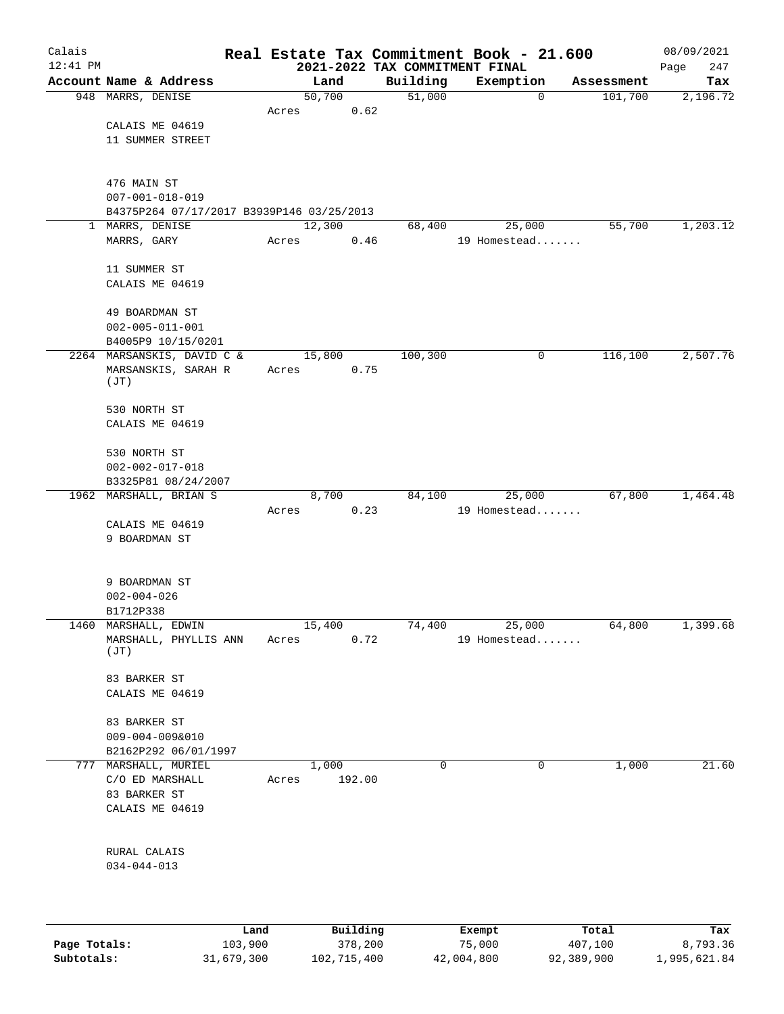| Calais       |                                           |         |       |                |          |                    | Real Estate Tax Commitment Book - 21.600 |             |                       | 08/09/2021      |
|--------------|-------------------------------------------|---------|-------|----------------|----------|--------------------|------------------------------------------|-------------|-----------------------|-----------------|
| $12:41$ PM   | Account Name & Address                    |         |       |                |          |                    | 2021-2022 TAX COMMITMENT FINAL           |             |                       | 247<br>Page     |
|              | 948 MARRS, DENISE                         |         |       | Land<br>50,700 |          | Building<br>51,000 | Exemption                                | $\mathbf 0$ | Assessment<br>101,700 | Tax<br>2,196.72 |
|              |                                           |         | Acres |                | 0.62     |                    |                                          |             |                       |                 |
|              | CALAIS ME 04619                           |         |       |                |          |                    |                                          |             |                       |                 |
|              | 11 SUMMER STREET                          |         |       |                |          |                    |                                          |             |                       |                 |
|              |                                           |         |       |                |          |                    |                                          |             |                       |                 |
|              |                                           |         |       |                |          |                    |                                          |             |                       |                 |
|              | 476 MAIN ST<br>$007 - 001 - 018 - 019$    |         |       |                |          |                    |                                          |             |                       |                 |
|              | B4375P264 07/17/2017 B3939P146 03/25/2013 |         |       |                |          |                    |                                          |             |                       |                 |
| $\mathbf{1}$ | MARRS, DENISE                             |         |       | 12,300         |          | 68,400             | 25,000                                   |             | 55,700                | 1,203.12        |
|              | MARRS, GARY                               |         | Acres |                | 0.46     |                    | 19 Homestead                             |             |                       |                 |
|              |                                           |         |       |                |          |                    |                                          |             |                       |                 |
|              | 11 SUMMER ST                              |         |       |                |          |                    |                                          |             |                       |                 |
|              | CALAIS ME 04619                           |         |       |                |          |                    |                                          |             |                       |                 |
|              | 49 BOARDMAN ST                            |         |       |                |          |                    |                                          |             |                       |                 |
|              | $002 - 005 - 011 - 001$                   |         |       |                |          |                    |                                          |             |                       |                 |
|              | B4005P9 10/15/0201                        |         |       |                |          |                    |                                          |             |                       |                 |
|              | 2264 MARSANSKIS, DAVID C &                |         |       | 15,800         |          | 100,300            |                                          | 0           | 116,100               | 2,507.76        |
|              | MARSANSKIS, SARAH R                       |         | Acres |                | 0.75     |                    |                                          |             |                       |                 |
|              | (JT)                                      |         |       |                |          |                    |                                          |             |                       |                 |
|              | 530 NORTH ST                              |         |       |                |          |                    |                                          |             |                       |                 |
|              | CALAIS ME 04619                           |         |       |                |          |                    |                                          |             |                       |                 |
|              |                                           |         |       |                |          |                    |                                          |             |                       |                 |
|              | 530 NORTH ST                              |         |       |                |          |                    |                                          |             |                       |                 |
|              | $002 - 002 - 017 - 018$                   |         |       |                |          |                    |                                          |             |                       |                 |
|              | B3325P81 08/24/2007                       |         |       |                |          |                    |                                          |             |                       |                 |
|              | 1962 MARSHALL, BRIAN S                    |         | Acres | 8,700          | 0.23     | 84,100             | 25,000<br>19 Homestead                   |             | 67,800                | 1,464.48        |
|              | CALAIS ME 04619                           |         |       |                |          |                    |                                          |             |                       |                 |
|              | 9 BOARDMAN ST                             |         |       |                |          |                    |                                          |             |                       |                 |
|              |                                           |         |       |                |          |                    |                                          |             |                       |                 |
|              |                                           |         |       |                |          |                    |                                          |             |                       |                 |
|              | 9 BOARDMAN ST                             |         |       |                |          |                    |                                          |             |                       |                 |
|              | $002 - 004 - 026$<br>B1712P338            |         |       |                |          |                    |                                          |             |                       |                 |
|              | 1460 MARSHALL, EDWIN                      |         |       | 15,400         |          | 74,400             | 25,000                                   |             | 64,800                | 1,399.68        |
|              | MARSHALL, PHYLLIS ANN                     |         | Acres |                | 0.72     |                    | 19 Homestead                             |             |                       |                 |
|              | (JT)                                      |         |       |                |          |                    |                                          |             |                       |                 |
|              | 83 BARKER ST                              |         |       |                |          |                    |                                          |             |                       |                 |
|              | CALAIS ME 04619                           |         |       |                |          |                    |                                          |             |                       |                 |
|              |                                           |         |       |                |          |                    |                                          |             |                       |                 |
|              | 83 BARKER ST                              |         |       |                |          |                    |                                          |             |                       |                 |
|              | $009 - 004 - 009&010$                     |         |       |                |          |                    |                                          |             |                       |                 |
|              | B2162P292 06/01/1997                      |         |       |                |          |                    |                                          |             |                       |                 |
|              | 777 MARSHALL, MURIEL                      |         |       | 1,000          |          | 0                  |                                          | $\mathbf 0$ | 1,000                 | 21.60           |
|              | C/O ED MARSHALL<br>83 BARKER ST           |         | Acres |                | 192.00   |                    |                                          |             |                       |                 |
|              | CALAIS ME 04619                           |         |       |                |          |                    |                                          |             |                       |                 |
|              |                                           |         |       |                |          |                    |                                          |             |                       |                 |
|              |                                           |         |       |                |          |                    |                                          |             |                       |                 |
|              | RURAL CALAIS                              |         |       |                |          |                    |                                          |             |                       |                 |
|              | $034 - 044 - 013$                         |         |       |                |          |                    |                                          |             |                       |                 |
|              |                                           |         |       |                |          |                    |                                          |             |                       |                 |
|              |                                           |         |       |                |          |                    |                                          |             |                       |                 |
|              |                                           | Land    |       |                | Building |                    | Exempt                                   |             | Total                 | Tax             |
| Page Totals: |                                           | 103,900 |       |                | 378,200  |                    | 75,000                                   |             | 407,100               | 8,793.36        |

**Subtotals:** 31,679,300 102,715,400 42,004,800 92,389,900 1,995,621.84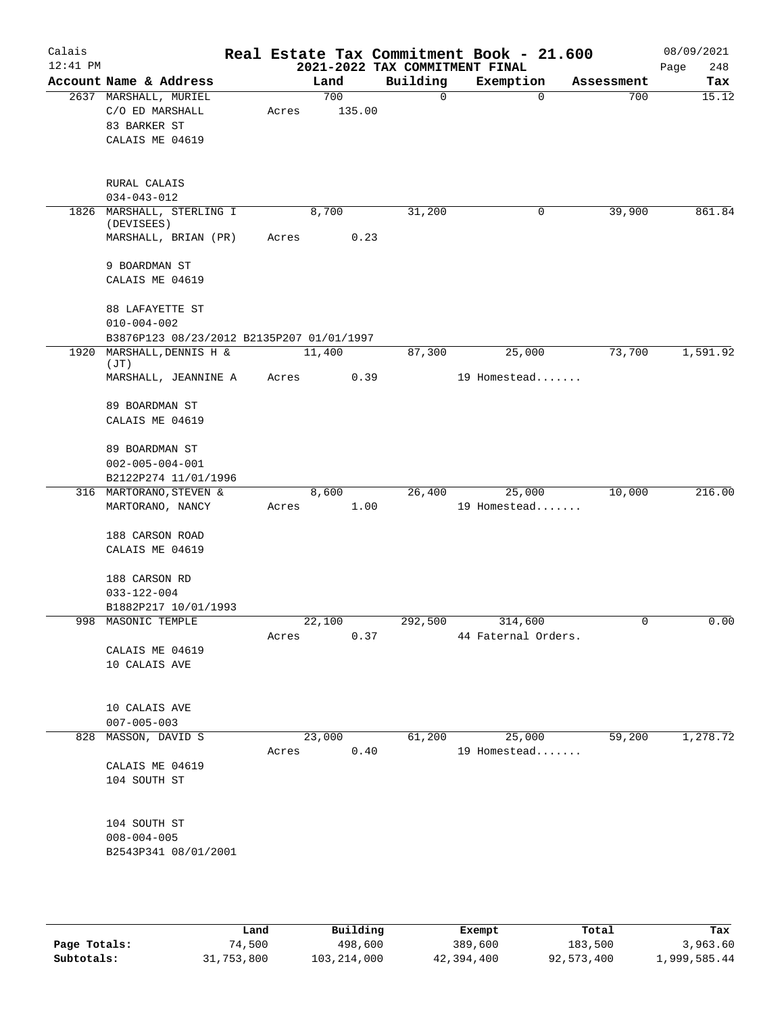| Calais     |                                             |       |        |        | Real Estate Tax Commitment Book - 21.600   |                        |             |                   | 08/09/2021         |
|------------|---------------------------------------------|-------|--------|--------|--------------------------------------------|------------------------|-------------|-------------------|--------------------|
| $12:41$ PM | Account Name & Address                      |       | Land   |        | 2021-2022 TAX COMMITMENT FINAL<br>Building | Exemption              |             |                   | 248<br>Page<br>Tax |
|            | 2637 MARSHALL, MURIEL                       |       | 700    |        | 0                                          |                        | $\mathbf 0$ | Assessment<br>700 | 15.12              |
|            | C/O ED MARSHALL                             | Acres |        | 135.00 |                                            |                        |             |                   |                    |
|            | 83 BARKER ST                                |       |        |        |                                            |                        |             |                   |                    |
|            | CALAIS ME 04619                             |       |        |        |                                            |                        |             |                   |                    |
|            |                                             |       |        |        |                                            |                        |             |                   |                    |
|            |                                             |       |        |        |                                            |                        |             |                   |                    |
|            | RURAL CALAIS                                |       |        |        |                                            |                        |             |                   |                    |
|            | $034 - 043 - 012$                           |       |        |        |                                            |                        |             | 39,900            |                    |
|            | 1826 MARSHALL, STERLING I<br>(DEVISEES)     |       | 8,700  |        | 31,200                                     |                        | 0           |                   | 861.84             |
|            | MARSHALL, BRIAN (PR)                        | Acres |        | 0.23   |                                            |                        |             |                   |                    |
|            | 9 BOARDMAN ST                               |       |        |        |                                            |                        |             |                   |                    |
|            | CALAIS ME 04619                             |       |        |        |                                            |                        |             |                   |                    |
|            | 88 LAFAYETTE ST                             |       |        |        |                                            |                        |             |                   |                    |
|            | $010 - 004 - 002$                           |       |        |        |                                            |                        |             |                   |                    |
|            | B3876P123 08/23/2012 B2135P207 01/01/1997   |       |        |        |                                            |                        |             |                   |                    |
|            | 1920 MARSHALL, DENNIS H &                   |       | 11,400 |        | 87,300                                     | 25,000                 |             | 73,700            | 1,591.92           |
|            | (JT)                                        |       |        |        |                                            |                        |             |                   |                    |
|            | MARSHALL, JEANNINE A                        | Acres |        | 0.39   |                                            | 19 Homestead           |             |                   |                    |
|            | 89 BOARDMAN ST                              |       |        |        |                                            |                        |             |                   |                    |
|            | CALAIS ME 04619                             |       |        |        |                                            |                        |             |                   |                    |
|            |                                             |       |        |        |                                            |                        |             |                   |                    |
|            | 89 BOARDMAN ST                              |       |        |        |                                            |                        |             |                   |                    |
|            | $002 - 005 - 004 - 001$                     |       |        |        |                                            |                        |             |                   |                    |
|            | B2122P274 11/01/1996                        |       |        |        | 26,400                                     |                        |             |                   | 216.00             |
|            | 316 MARTORANO, STEVEN &<br>MARTORANO, NANCY | Acres | 8,600  | 1.00   |                                            | 25,000<br>19 Homestead |             | 10,000            |                    |
|            |                                             |       |        |        |                                            |                        |             |                   |                    |
|            | 188 CARSON ROAD                             |       |        |        |                                            |                        |             |                   |                    |
|            | CALAIS ME 04619                             |       |        |        |                                            |                        |             |                   |                    |
|            | 188 CARSON RD                               |       |        |        |                                            |                        |             |                   |                    |
|            | $033 - 122 - 004$                           |       |        |        |                                            |                        |             |                   |                    |
|            | B1882P217 10/01/1993                        |       |        |        |                                            |                        |             |                   |                    |
|            | 998 MASONIC TEMPLE                          |       | 22,100 |        |                                            | 292,500 314,600        |             |                   | 0.00               |
|            |                                             | Acres |        | 0.37   |                                            | 44 Faternal Orders.    |             |                   |                    |
|            | CALAIS ME 04619                             |       |        |        |                                            |                        |             |                   |                    |
|            | 10 CALAIS AVE                               |       |        |        |                                            |                        |             |                   |                    |
|            |                                             |       |        |        |                                            |                        |             |                   |                    |
|            | 10 CALAIS AVE                               |       |        |        |                                            |                        |             |                   |                    |
|            | $007 - 005 - 003$                           |       |        |        |                                            |                        |             |                   |                    |
|            | 828 MASSON, DAVID S                         |       | 23,000 |        | 61,200                                     | 25,000                 |             | 59,200            | 1,278.72           |
|            |                                             |       | Acres  | 0.40   |                                            | 19 Homestead           |             |                   |                    |
|            | CALAIS ME 04619                             |       |        |        |                                            |                        |             |                   |                    |
|            | 104 SOUTH ST                                |       |        |        |                                            |                        |             |                   |                    |
|            |                                             |       |        |        |                                            |                        |             |                   |                    |
|            | 104 SOUTH ST                                |       |        |        |                                            |                        |             |                   |                    |
|            | $008 - 004 - 005$                           |       |        |        |                                            |                        |             |                   |                    |
|            | B2543P341 08/01/2001                        |       |        |        |                                            |                        |             |                   |                    |
|            |                                             |       |        |        |                                            |                        |             |                   |                    |
|            |                                             |       |        |        |                                            |                        |             |                   |                    |
|            |                                             |       |        |        |                                            |                        |             |                   |                    |
|            |                                             |       |        |        |                                            |                        |             |                   |                    |

|              | Land       | Building    | Exempt     | Total      | Tax          |
|--------------|------------|-------------|------------|------------|--------------|
| Page Totals: | 74,500     | 498,600     | 389,600    | 183,500    | 3,963.60     |
| Subtotals:   | 31,753,800 | 103,214,000 | 42,394,400 | 92,573,400 | 1,999,585.44 |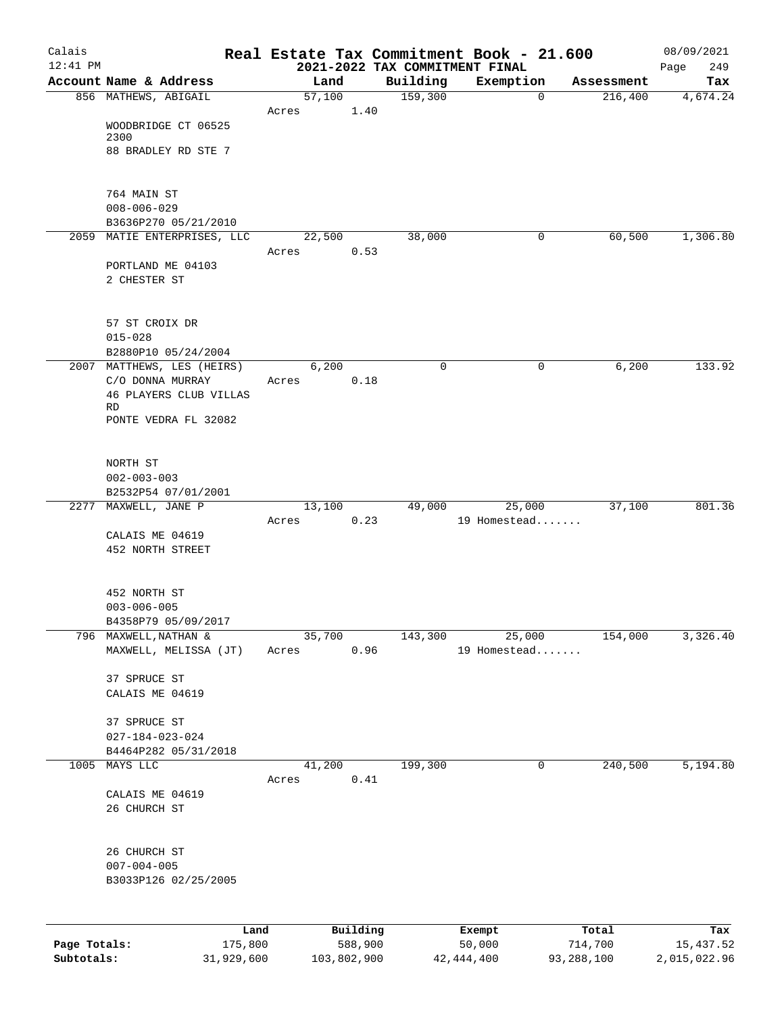| Calais       |                                            |                 |                                            | Real Estate Tax Commitment Book - 21.600 |            | 08/09/2021         |
|--------------|--------------------------------------------|-----------------|--------------------------------------------|------------------------------------------|------------|--------------------|
| $12:41$ PM   | Account Name & Address                     | Land            | 2021-2022 TAX COMMITMENT FINAL<br>Building | Exemption                                | Assessment | 249<br>Page<br>Tax |
|              | 856 MATHEWS, ABIGAIL                       | 57,100          | 159,300                                    | $\mathbf 0$                              | 216,400    | 4,674.24           |
|              |                                            | Acres           | 1.40                                       |                                          |            |                    |
|              | WOODBRIDGE CT 06525                        |                 |                                            |                                          |            |                    |
|              | 2300<br>88 BRADLEY RD STE 7                |                 |                                            |                                          |            |                    |
|              |                                            |                 |                                            |                                          |            |                    |
|              |                                            |                 |                                            |                                          |            |                    |
|              | 764 MAIN ST<br>$008 - 006 - 029$           |                 |                                            |                                          |            |                    |
|              | B3636P270 05/21/2010                       |                 |                                            |                                          |            |                    |
|              | 2059 MATIE ENTERPRISES, LLC                | 22,500          | 38,000                                     | 0                                        | 60,500     | 1,306.80           |
|              |                                            | Acres           | 0.53                                       |                                          |            |                    |
|              | PORTLAND ME 04103<br>2 CHESTER ST          |                 |                                            |                                          |            |                    |
|              |                                            |                 |                                            |                                          |            |                    |
|              |                                            |                 |                                            |                                          |            |                    |
|              | 57 ST CROIX DR                             |                 |                                            |                                          |            |                    |
|              | $015 - 028$<br>B2880P10 05/24/2004         |                 |                                            |                                          |            |                    |
|              | 2007 MATTHEWS, LES (HEIRS)                 | 6,200           | $\mathbf 0$                                | 0                                        | 6,200      | 133.92             |
|              | C/O DONNA MURRAY                           | Acres           | 0.18                                       |                                          |            |                    |
|              | 46 PLAYERS CLUB VILLAS<br><b>RD</b>        |                 |                                            |                                          |            |                    |
|              | PONTE VEDRA FL 32082                       |                 |                                            |                                          |            |                    |
|              |                                            |                 |                                            |                                          |            |                    |
|              | NORTH ST                                   |                 |                                            |                                          |            |                    |
|              | $002 - 003 - 003$                          |                 |                                            |                                          |            |                    |
|              | B2532P54 07/01/2001                        |                 |                                            |                                          |            |                    |
|              | 2277 MAXWELL, JANE P                       | 13,100<br>Acres | 49,000<br>0.23                             | 25,000<br>19 Homestead                   | 37,100     | 801.36             |
|              | CALAIS ME 04619                            |                 |                                            |                                          |            |                    |
|              | 452 NORTH STREET                           |                 |                                            |                                          |            |                    |
|              |                                            |                 |                                            |                                          |            |                    |
|              | 452 NORTH ST                               |                 |                                            |                                          |            |                    |
|              | $003 - 006 - 005$                          |                 |                                            |                                          |            |                    |
|              | B4358P79 05/09/2017                        |                 |                                            |                                          |            |                    |
| 796          | MAXWELL, NATHAN &<br>MAXWELL, MELISSA (JT) | 35,700<br>Acres | 143,300<br>0.96                            | 25,000<br>19 Homestead                   | 154,000    | 3,326.40           |
|              |                                            |                 |                                            |                                          |            |                    |
|              | 37 SPRUCE ST                               |                 |                                            |                                          |            |                    |
|              | CALAIS ME 04619                            |                 |                                            |                                          |            |                    |
|              | 37 SPRUCE ST                               |                 |                                            |                                          |            |                    |
|              | $027 - 184 - 023 - 024$                    |                 |                                            |                                          |            |                    |
|              | B4464P282 05/31/2018                       |                 |                                            |                                          |            |                    |
| 1005         | MAYS LLC                                   | 41,200<br>Acres | 199,300<br>0.41                            | 0                                        | 240,500    | 5,194.80           |
|              | CALAIS ME 04619                            |                 |                                            |                                          |            |                    |
|              | 26 CHURCH ST                               |                 |                                            |                                          |            |                    |
|              |                                            |                 |                                            |                                          |            |                    |
|              | 26 CHURCH ST                               |                 |                                            |                                          |            |                    |
|              | $007 - 004 - 005$                          |                 |                                            |                                          |            |                    |
|              | B3033P126 02/25/2005                       |                 |                                            |                                          |            |                    |
|              |                                            |                 |                                            |                                          |            |                    |
|              | Land                                       | Building        |                                            | Exempt                                   | Total      | Tax                |
| Page Totals: | 175,800                                    | 588,900         |                                            | 50,000                                   | 714,700    | 15, 437.52         |

**Subtotals:** 31,929,600 103,802,900 42,444,400 93,288,100 2,015,022.96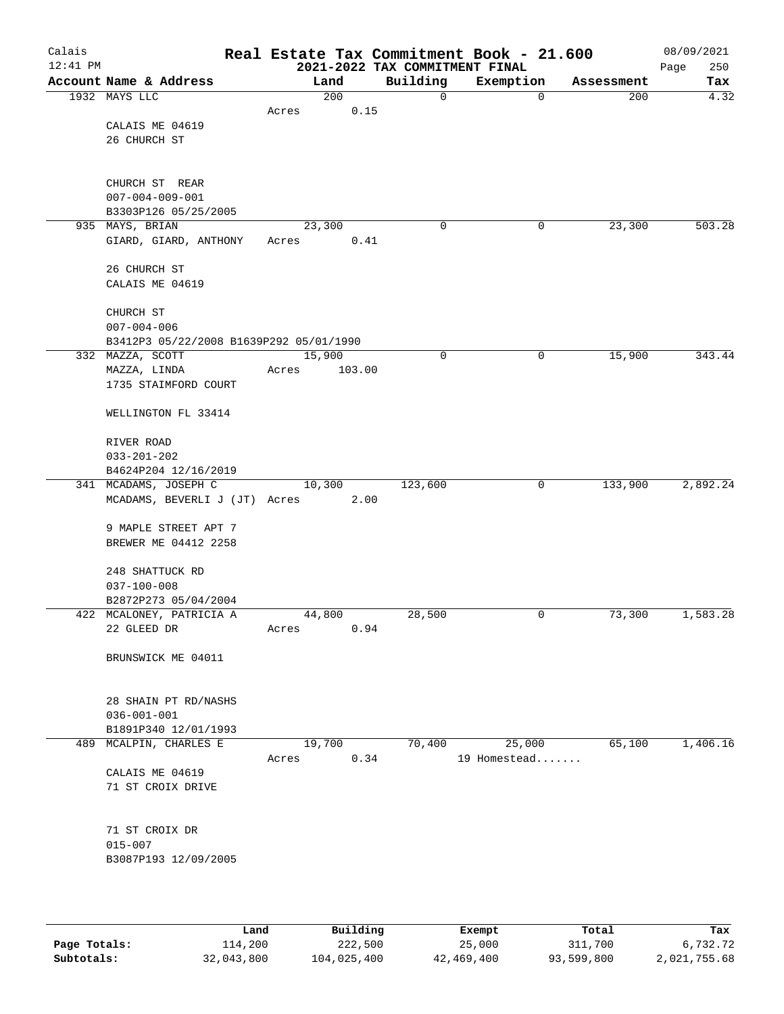| Calais<br>$12:41$ PM |                                         |        |        | 2021-2022 TAX COMMITMENT FINAL | Real Estate Tax Commitment Book - 21.600 |            | 08/09/2021<br>250<br>Page |
|----------------------|-----------------------------------------|--------|--------|--------------------------------|------------------------------------------|------------|---------------------------|
|                      | Account Name & Address                  |        | Land   | Building                       | Exemption                                | Assessment | Tax                       |
|                      | 1932 MAYS LLC                           |        | 200    | 0                              | $\mathbf 0$                              | 200        | 4.32                      |
|                      |                                         | Acres  | 0.15   |                                |                                          |            |                           |
|                      | CALAIS ME 04619                         |        |        |                                |                                          |            |                           |
|                      | 26 CHURCH ST                            |        |        |                                |                                          |            |                           |
|                      |                                         |        |        |                                |                                          |            |                           |
|                      |                                         |        |        |                                |                                          |            |                           |
|                      | CHURCH ST REAR                          |        |        |                                |                                          |            |                           |
|                      | $007 - 004 - 009 - 001$                 |        |        |                                |                                          |            |                           |
|                      | B3303P126 05/25/2005                    |        |        |                                |                                          |            |                           |
|                      | 935 MAYS, BRIAN                         | 23,300 |        | 0                              | 0                                        | 23,300     | 503.28                    |
|                      | GIARD, GIARD, ANTHONY                   | Acres  | 0.41   |                                |                                          |            |                           |
|                      |                                         |        |        |                                |                                          |            |                           |
|                      | 26 CHURCH ST                            |        |        |                                |                                          |            |                           |
|                      | CALAIS ME 04619                         |        |        |                                |                                          |            |                           |
|                      | CHURCH ST                               |        |        |                                |                                          |            |                           |
|                      | $007 - 004 - 006$                       |        |        |                                |                                          |            |                           |
|                      | B3412P3 05/22/2008 B1639P292 05/01/1990 |        |        |                                |                                          |            |                           |
|                      | 332 MAZZA, SCOTT                        | 15,900 |        | 0                              | 0                                        | 15,900     | 343.44                    |
|                      | MAZZA, LINDA                            | Acres  | 103.00 |                                |                                          |            |                           |
|                      | 1735 STAIMFORD COURT                    |        |        |                                |                                          |            |                           |
|                      |                                         |        |        |                                |                                          |            |                           |
|                      | WELLINGTON FL 33414                     |        |        |                                |                                          |            |                           |
|                      |                                         |        |        |                                |                                          |            |                           |
|                      | RIVER ROAD                              |        |        |                                |                                          |            |                           |
|                      | $033 - 201 - 202$                       |        |        |                                |                                          |            |                           |
|                      | B4624P204 12/16/2019                    |        |        |                                |                                          |            |                           |
|                      | 341 MCADAMS, JOSEPH C                   | 10,300 |        | 123,600                        | 0                                        | 133,900    | 2,892.24                  |
|                      | MCADAMS, BEVERLI J (JT) Acres           |        | 2.00   |                                |                                          |            |                           |
|                      |                                         |        |        |                                |                                          |            |                           |
|                      | 9 MAPLE STREET APT 7                    |        |        |                                |                                          |            |                           |
|                      | BREWER ME 04412 2258                    |        |        |                                |                                          |            |                           |
|                      | 248 SHATTUCK RD                         |        |        |                                |                                          |            |                           |
|                      | $037 - 100 - 008$                       |        |        |                                |                                          |            |                           |
|                      | B2872P273 05/04/2004                    |        |        |                                |                                          |            |                           |
|                      | 422 MCALONEY, PATRICIA A                | 44,800 |        | 28,500                         | 0                                        | 73,300     | 1,583.28                  |
|                      | 22 GLEED DR                             | Acres  | 0.94   |                                |                                          |            |                           |
|                      |                                         |        |        |                                |                                          |            |                           |
|                      | BRUNSWICK ME 04011                      |        |        |                                |                                          |            |                           |
|                      |                                         |        |        |                                |                                          |            |                           |
|                      |                                         |        |        |                                |                                          |            |                           |
|                      | 28 SHAIN PT RD/NASHS                    |        |        |                                |                                          |            |                           |
|                      | $036 - 001 - 001$                       |        |        |                                |                                          |            |                           |
|                      | B1891P340 12/01/1993                    |        |        |                                |                                          |            |                           |
|                      | 489 MCALPIN, CHARLES E                  | 19,700 |        | 70,400                         | 25,000                                   | 65,100     | 1,406.16                  |
|                      |                                         | Acres  | 0.34   |                                | 19 Homestead                             |            |                           |
|                      | CALAIS ME 04619                         |        |        |                                |                                          |            |                           |
|                      | 71 ST CROIX DRIVE                       |        |        |                                |                                          |            |                           |
|                      |                                         |        |        |                                |                                          |            |                           |
|                      | 71 ST CROIX DR                          |        |        |                                |                                          |            |                           |
|                      | $015 - 007$                             |        |        |                                |                                          |            |                           |
|                      | B3087P193 12/09/2005                    |        |        |                                |                                          |            |                           |
|                      |                                         |        |        |                                |                                          |            |                           |
|                      |                                         |        |        |                                |                                          |            |                           |
|                      |                                         |        |        |                                |                                          |            |                           |

|              | Land       | Building    | Exempt     | Total      | Tax          |
|--------------|------------|-------------|------------|------------|--------------|
| Page Totals: | 114,200    | 222,500     | 25,000     | 311,700    | 6,732.72     |
| Subtotals:   | 32,043,800 | 104,025,400 | 42,469,400 | 93,599,800 | 2,021,755.68 |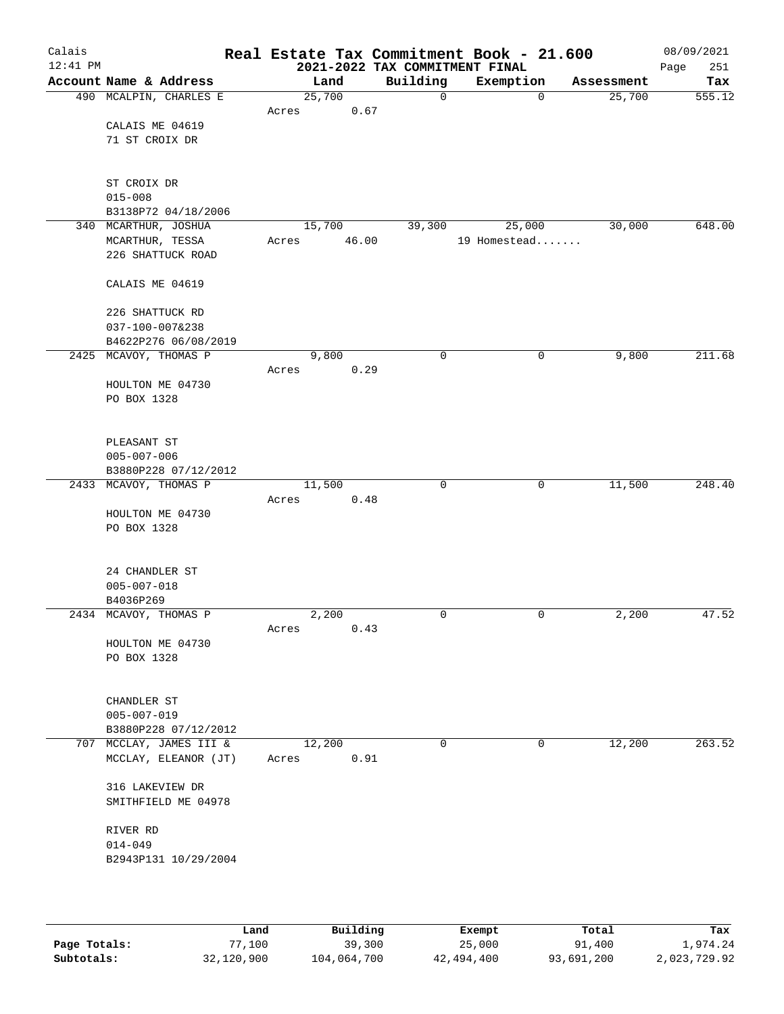| Calais<br>$12:41$ PM |                         |        |        |          |             | Real Estate Tax Commitment Book - 21.600<br>2021-2022 TAX COMMITMENT FINAL |            | 08/09/2021<br>251<br>Page |
|----------------------|-------------------------|--------|--------|----------|-------------|----------------------------------------------------------------------------|------------|---------------------------|
|                      | Account Name & Address  |        | Land   | Building |             | Exemption                                                                  | Assessment | Tax                       |
|                      | 490 MCALPIN, CHARLES E  | 25,700 |        |          | $\mathbf 0$ | $\mathbf 0$                                                                | 25,700     | 555.12                    |
|                      |                         | Acres  | 0.67   |          |             |                                                                            |            |                           |
|                      | CALAIS ME 04619         |        |        |          |             |                                                                            |            |                           |
|                      | 71 ST CROIX DR          |        |        |          |             |                                                                            |            |                           |
|                      |                         |        |        |          |             |                                                                            |            |                           |
|                      |                         |        |        |          |             |                                                                            |            |                           |
|                      | ST CROIX DR             |        |        |          |             |                                                                            |            |                           |
|                      | $015 - 008$             |        |        |          |             |                                                                            |            |                           |
|                      | B3138P72 04/18/2006     |        |        |          |             |                                                                            |            |                           |
|                      | 340 MCARTHUR, JOSHUA    |        | 15,700 | 39,300   |             | 25,000                                                                     | 30,000     | 648.00                    |
|                      | MCARTHUR, TESSA         | Acres  | 46.00  |          |             | 19 Homestead                                                               |            |                           |
|                      | 226 SHATTUCK ROAD       |        |        |          |             |                                                                            |            |                           |
|                      |                         |        |        |          |             |                                                                            |            |                           |
|                      | CALAIS ME 04619         |        |        |          |             |                                                                            |            |                           |
|                      | 226 SHATTUCK RD         |        |        |          |             |                                                                            |            |                           |
|                      | 037-100-007&238         |        |        |          |             |                                                                            |            |                           |
|                      | B4622P276 06/08/2019    |        |        |          |             |                                                                            |            |                           |
|                      | 2425 MCAVOY, THOMAS P   |        | 9,800  |          | 0           | 0                                                                          | 9,800      | 211.68                    |
|                      |                         | Acres  | 0.29   |          |             |                                                                            |            |                           |
|                      | HOULTON ME 04730        |        |        |          |             |                                                                            |            |                           |
|                      | PO BOX 1328             |        |        |          |             |                                                                            |            |                           |
|                      |                         |        |        |          |             |                                                                            |            |                           |
|                      | PLEASANT ST             |        |        |          |             |                                                                            |            |                           |
|                      | $005 - 007 - 006$       |        |        |          |             |                                                                            |            |                           |
|                      | B3880P228 07/12/2012    |        |        |          |             |                                                                            |            |                           |
|                      | 2433 MCAVOY, THOMAS P   |        | 11,500 |          | 0           | 0                                                                          | 11,500     | 248.40                    |
|                      |                         | Acres  | 0.48   |          |             |                                                                            |            |                           |
|                      | HOULTON ME 04730        |        |        |          |             |                                                                            |            |                           |
|                      | PO BOX 1328             |        |        |          |             |                                                                            |            |                           |
|                      |                         |        |        |          |             |                                                                            |            |                           |
|                      | 24 CHANDLER ST          |        |        |          |             |                                                                            |            |                           |
|                      | $005 - 007 - 018$       |        |        |          |             |                                                                            |            |                           |
|                      | B4036P269               |        |        |          |             |                                                                            |            |                           |
|                      | 2434 MCAVOY, THOMAS P   |        | 2,200  |          | 0           | 0                                                                          | 2,200      | 47.52                     |
|                      |                         | Acres  | 0.43   |          |             |                                                                            |            |                           |
|                      | HOULTON ME 04730        |        |        |          |             |                                                                            |            |                           |
|                      | PO BOX 1328             |        |        |          |             |                                                                            |            |                           |
|                      |                         |        |        |          |             |                                                                            |            |                           |
|                      |                         |        |        |          |             |                                                                            |            |                           |
|                      | CHANDLER ST             |        |        |          |             |                                                                            |            |                           |
|                      | $005 - 007 - 019$       |        |        |          |             |                                                                            |            |                           |
|                      | B3880P228 07/12/2012    |        |        |          |             |                                                                            |            |                           |
|                      | 707 MCCLAY, JAMES III & |        | 12,200 |          | $\mathbf 0$ | 0                                                                          | 12,200     | 263.52                    |
|                      | MCCLAY, ELEANOR (JT)    | Acres  | 0.91   |          |             |                                                                            |            |                           |
|                      |                         |        |        |          |             |                                                                            |            |                           |
|                      | 316 LAKEVIEW DR         |        |        |          |             |                                                                            |            |                           |
|                      | SMITHFIELD ME 04978     |        |        |          |             |                                                                            |            |                           |
|                      |                         |        |        |          |             |                                                                            |            |                           |
|                      | RIVER RD                |        |        |          |             |                                                                            |            |                           |
|                      | $014 - 049$             |        |        |          |             |                                                                            |            |                           |
|                      | B2943P131 10/29/2004    |        |        |          |             |                                                                            |            |                           |
|                      |                         |        |        |          |             |                                                                            |            |                           |
|                      |                         |        |        |          |             |                                                                            |            |                           |
|                      |                         |        |        |          |             |                                                                            |            |                           |

|              | Land       | Building    | Exempt     | Total      | Tax          |
|--------------|------------|-------------|------------|------------|--------------|
| Page Totals: | 77,100     | 39,300      | 25,000     | 91,400     | 1,974.24     |
| Subtotals:   | 32,120,900 | 104,064,700 | 42,494,400 | 93,691,200 | 2,023,729.92 |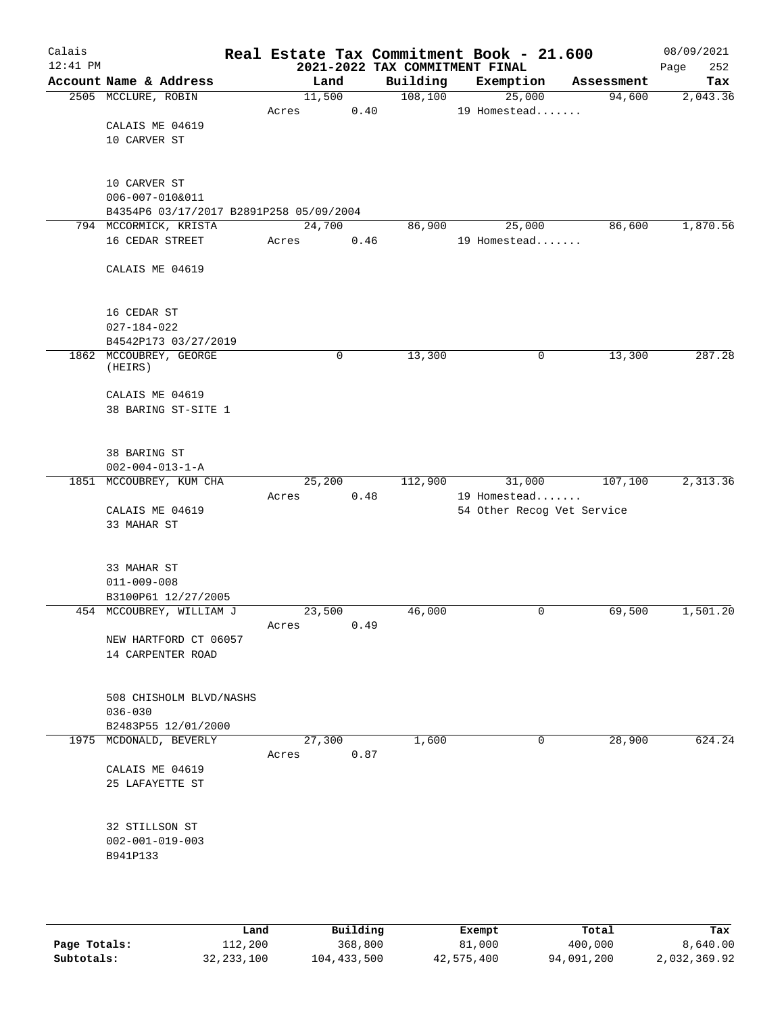| Calais<br>$12:41$ PM |                                                            |        |      | 2021-2022 TAX COMMITMENT FINAL | Real Estate Tax Commitment Book - 21.600 |            | 08/09/2021<br>252<br>Page |
|----------------------|------------------------------------------------------------|--------|------|--------------------------------|------------------------------------------|------------|---------------------------|
|                      | Account Name & Address                                     | Land   |      | Building                       | Exemption                                | Assessment | Tax                       |
|                      | 2505 MCCLURE, ROBIN                                        | 11,500 |      | 108, 100                       | 25,000                                   | 94,600     | 2,043.36                  |
|                      |                                                            | Acres  | 0.40 |                                | 19 Homestead                             |            |                           |
|                      | CALAIS ME 04619                                            |        |      |                                |                                          |            |                           |
|                      | 10 CARVER ST                                               |        |      |                                |                                          |            |                           |
|                      |                                                            |        |      |                                |                                          |            |                           |
|                      |                                                            |        |      |                                |                                          |            |                           |
|                      | 10 CARVER ST                                               |        |      |                                |                                          |            |                           |
|                      | 006-007-010&011<br>B4354P6 03/17/2017 B2891P258 05/09/2004 |        |      |                                |                                          |            |                           |
|                      | 794 MCCORMICK, KRISTA                                      | 24,700 |      | 86,900                         | 25,000                                   | 86,600     | 1,870.56                  |
|                      | 16 CEDAR STREET                                            | Acres  | 0.46 |                                | 19 Homestead                             |            |                           |
|                      |                                                            |        |      |                                |                                          |            |                           |
|                      | CALAIS ME 04619                                            |        |      |                                |                                          |            |                           |
|                      |                                                            |        |      |                                |                                          |            |                           |
|                      |                                                            |        |      |                                |                                          |            |                           |
|                      | 16 CEDAR ST                                                |        |      |                                |                                          |            |                           |
|                      | $027 - 184 - 022$                                          |        |      |                                |                                          |            |                           |
|                      | B4542P173 03/27/2019                                       |        |      |                                |                                          |            |                           |
|                      | 1862 MCCOUBREY, GEORGE<br>(HEIRS)                          |        | 0    | 13,300                         | 0                                        | 13,300     | 287.28                    |
|                      |                                                            |        |      |                                |                                          |            |                           |
|                      | CALAIS ME 04619                                            |        |      |                                |                                          |            |                           |
|                      | 38 BARING ST-SITE 1                                        |        |      |                                |                                          |            |                           |
|                      |                                                            |        |      |                                |                                          |            |                           |
|                      |                                                            |        |      |                                |                                          |            |                           |
|                      | 38 BARING ST                                               |        |      |                                |                                          |            |                           |
|                      | $002 - 004 - 013 - 1 - A$                                  |        |      |                                |                                          |            |                           |
|                      | 1851 MCCOUBREY, KUM CHA                                    | 25,200 |      | 112,900                        | 31,000                                   | 107,100    | 2,313.36                  |
|                      |                                                            | Acres  | 0.48 |                                | 19 Homestead                             |            |                           |
|                      | CALAIS ME 04619<br>33 MAHAR ST                             |        |      |                                | 54 Other Recog Vet Service               |            |                           |
|                      |                                                            |        |      |                                |                                          |            |                           |
|                      |                                                            |        |      |                                |                                          |            |                           |
|                      | 33 MAHAR ST                                                |        |      |                                |                                          |            |                           |
|                      | $011 - 009 - 008$                                          |        |      |                                |                                          |            |                           |
|                      | B3100P61 12/27/2005                                        |        |      |                                |                                          |            |                           |
|                      | 454 MCCOUBREY, WILLIAM J                                   | 23,500 |      | 46,000                         | 0                                        | 69,500     | 1,501.20                  |
|                      |                                                            | Acres  | 0.49 |                                |                                          |            |                           |
|                      | NEW HARTFORD CT 06057                                      |        |      |                                |                                          |            |                           |
|                      | 14 CARPENTER ROAD                                          |        |      |                                |                                          |            |                           |
|                      |                                                            |        |      |                                |                                          |            |                           |
|                      | 508 CHISHOLM BLVD/NASHS                                    |        |      |                                |                                          |            |                           |
|                      | $036 - 030$                                                |        |      |                                |                                          |            |                           |
|                      | B2483P55 12/01/2000                                        |        |      |                                |                                          |            |                           |
|                      | 1975 MCDONALD, BEVERLY                                     | 27,300 |      | 1,600                          | 0                                        | 28,900     | 624.24                    |
|                      |                                                            | Acres  | 0.87 |                                |                                          |            |                           |
|                      | CALAIS ME 04619                                            |        |      |                                |                                          |            |                           |
|                      | 25 LAFAYETTE ST                                            |        |      |                                |                                          |            |                           |
|                      |                                                            |        |      |                                |                                          |            |                           |
|                      |                                                            |        |      |                                |                                          |            |                           |
|                      | 32 STILLSON ST<br>$002 - 001 - 019 - 003$                  |        |      |                                |                                          |            |                           |
|                      | B941P133                                                   |        |      |                                |                                          |            |                           |
|                      |                                                            |        |      |                                |                                          |            |                           |
|                      |                                                            |        |      |                                |                                          |            |                           |
|                      |                                                            |        |      |                                |                                          |            |                           |

|              | Land         | Building    | Exempt     | Total      | Tax          |
|--------------|--------------|-------------|------------|------------|--------------|
| Page Totals: | 112,200      | 368,800     | 81,000     | 400,000    | 8,640.00     |
| Subtotals:   | 32, 233, 100 | 104,433,500 | 42,575,400 | 94,091,200 | 2,032,369.92 |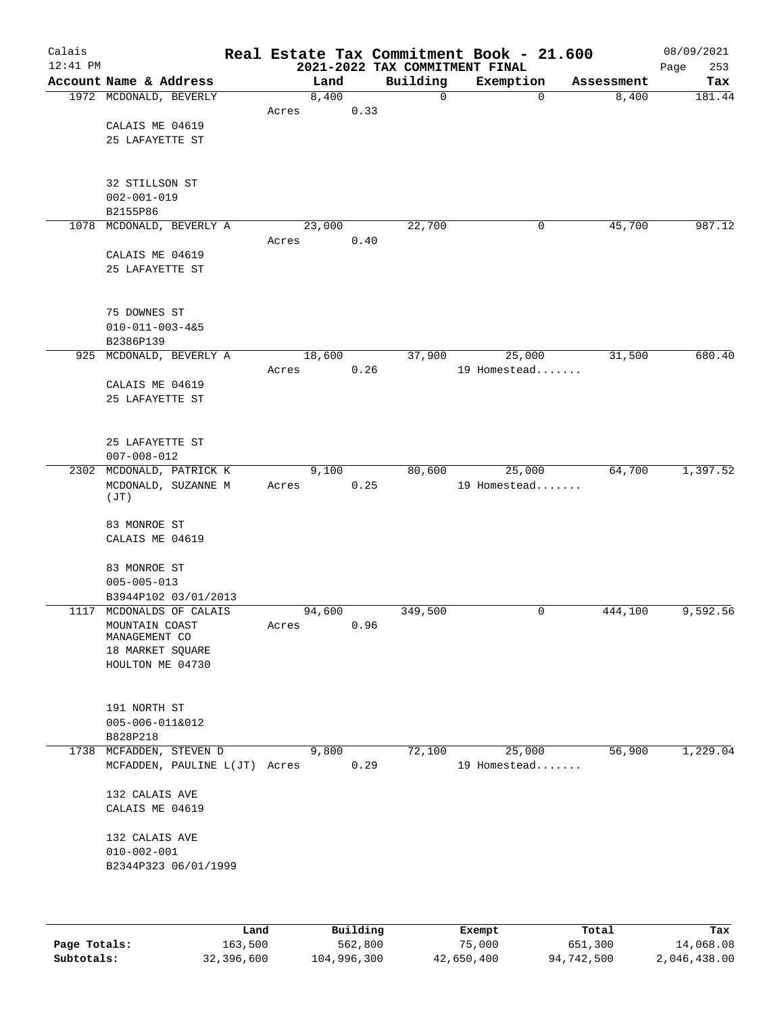| Calais<br>$12:41$ PM |                                      |        |      | 2021-2022 TAX COMMITMENT FINAL | Real Estate Tax Commitment Book - 21.600 |            | 08/09/2021<br>253<br>Page |
|----------------------|--------------------------------------|--------|------|--------------------------------|------------------------------------------|------------|---------------------------|
|                      | Account Name & Address               | Land   |      | Building                       | Exemption                                | Assessment | Tax                       |
|                      | 1972 MCDONALD, BEVERLY               | 8,400  |      | $\mathsf{O}$                   | 0                                        | 8,400      | 181.44                    |
|                      |                                      | Acres  | 0.33 |                                |                                          |            |                           |
|                      | CALAIS ME 04619                      |        |      |                                |                                          |            |                           |
|                      | 25 LAFAYETTE ST                      |        |      |                                |                                          |            |                           |
|                      |                                      |        |      |                                |                                          |            |                           |
|                      |                                      |        |      |                                |                                          |            |                           |
|                      | 32 STILLSON ST                       |        |      |                                |                                          |            |                           |
|                      | $002 - 001 - 019$                    |        |      |                                |                                          |            |                           |
|                      | B2155P86                             |        |      |                                |                                          |            |                           |
| 1078                 | MCDONALD, BEVERLY A                  | 23,000 |      | 22,700                         | 0                                        | 45,700     | 987.12                    |
|                      |                                      | Acres  | 0.40 |                                |                                          |            |                           |
|                      | CALAIS ME 04619                      |        |      |                                |                                          |            |                           |
|                      | 25 LAFAYETTE ST                      |        |      |                                |                                          |            |                           |
|                      |                                      |        |      |                                |                                          |            |                           |
|                      |                                      |        |      |                                |                                          |            |                           |
|                      | 75 DOWNES ST                         |        |      |                                |                                          |            |                           |
|                      | $010 - 011 - 003 - 485$              |        |      |                                |                                          |            |                           |
|                      | B2386P139                            |        |      |                                |                                          |            |                           |
| 925                  | MCDONALD, BEVERLY A                  | 18,600 |      | 37,900                         | 25,000                                   | 31,500     | 680.40                    |
|                      |                                      | Acres  | 0.26 |                                | 19 Homestead                             |            |                           |
|                      | CALAIS ME 04619                      |        |      |                                |                                          |            |                           |
|                      | 25 LAFAYETTE ST                      |        |      |                                |                                          |            |                           |
|                      |                                      |        |      |                                |                                          |            |                           |
|                      |                                      |        |      |                                |                                          |            |                           |
|                      | 25 LAFAYETTE ST<br>$007 - 008 - 012$ |        |      |                                |                                          |            |                           |
|                      | 2302 MCDONALD, PATRICK K             | 9,100  |      | 80,600                         | 25,000                                   | 64,700     | 1,397.52                  |
|                      | MCDONALD, SUZANNE M                  | Acres  | 0.25 |                                | 19 Homestead                             |            |                           |
|                      | (JT)                                 |        |      |                                |                                          |            |                           |
|                      |                                      |        |      |                                |                                          |            |                           |
|                      | 83 MONROE ST                         |        |      |                                |                                          |            |                           |
|                      | CALAIS ME 04619                      |        |      |                                |                                          |            |                           |
|                      |                                      |        |      |                                |                                          |            |                           |
|                      | 83 MONROE ST                         |        |      |                                |                                          |            |                           |
|                      | $005 - 005 - 013$                    |        |      |                                |                                          |            |                           |
|                      | B3944P102 03/01/2013                 |        |      |                                |                                          |            |                           |
|                      | 1117 MCDONALDS OF CALAIS             | 94,600 |      | 349,500                        | 0                                        | 444,100    | 9,592.56                  |
|                      | MOUNTAIN COAST                       | Acres  | 0.96 |                                |                                          |            |                           |
|                      | MANAGEMENT CO                        |        |      |                                |                                          |            |                           |
|                      | 18 MARKET SQUARE                     |        |      |                                |                                          |            |                           |
|                      | HOULTON ME 04730                     |        |      |                                |                                          |            |                           |
|                      |                                      |        |      |                                |                                          |            |                           |
|                      | 191 NORTH ST                         |        |      |                                |                                          |            |                           |
|                      | 005-006-011&012                      |        |      |                                |                                          |            |                           |
|                      | B828P218                             |        |      |                                |                                          |            |                           |
|                      | 1738 MCFADDEN, STEVEN D              | 9,800  |      | 72,100                         | 25,000                                   | 56,900     | 1,229.04                  |
|                      | MCFADDEN, PAULINE L(JT) Acres        |        | 0.29 |                                | 19 Homestead                             |            |                           |
|                      |                                      |        |      |                                |                                          |            |                           |
|                      | 132 CALAIS AVE                       |        |      |                                |                                          |            |                           |
|                      | CALAIS ME 04619                      |        |      |                                |                                          |            |                           |
|                      |                                      |        |      |                                |                                          |            |                           |
|                      | 132 CALAIS AVE                       |        |      |                                |                                          |            |                           |
|                      | $010 - 002 - 001$                    |        |      |                                |                                          |            |                           |
|                      | B2344P323 06/01/1999                 |        |      |                                |                                          |            |                           |
|                      |                                      |        |      |                                |                                          |            |                           |
|                      |                                      |        |      |                                |                                          |            |                           |
|                      |                                      |        |      |                                |                                          |            |                           |

|              | Land       | Building    | Exempt     | Total      | Tax          |
|--------------|------------|-------------|------------|------------|--------------|
| Page Totals: | 163,500    | 562,800     | 75,000     | 651,300    | 14,068.08    |
| Subtotals:   | 32,396,600 | 104,996,300 | 42,650,400 | 94,742,500 | 2,046,438.00 |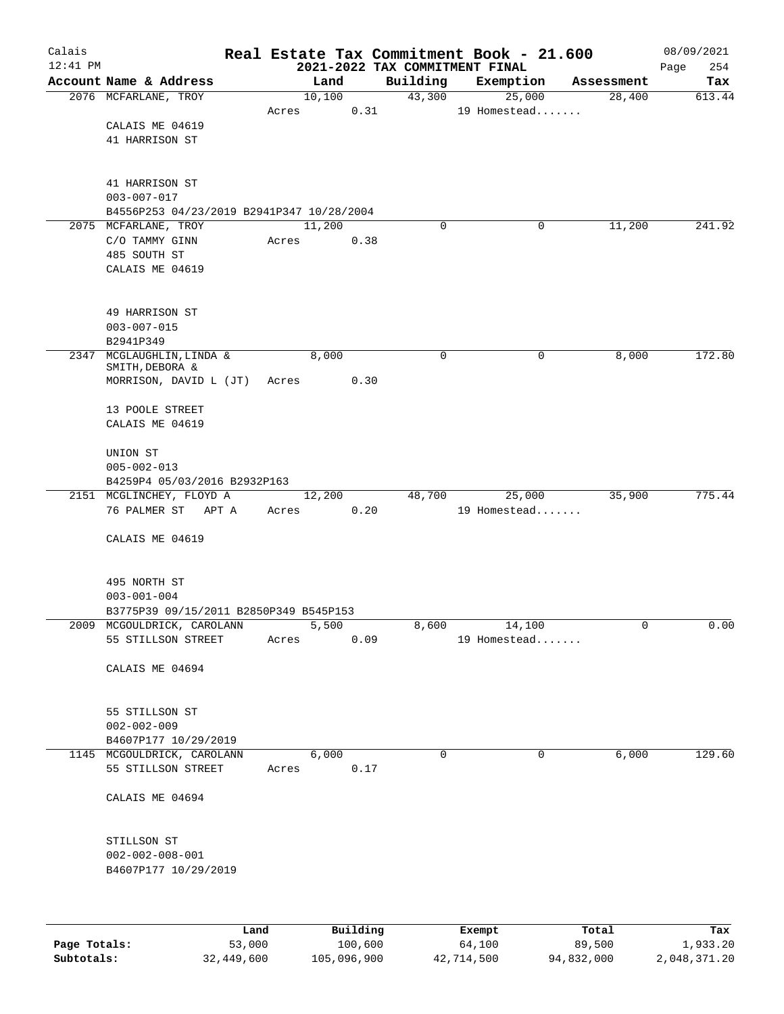| Calais       |                                                  |                |       |                |          | Real Estate Tax Commitment Book - 21.600 |                  |                     |                      | 08/09/2021      |
|--------------|--------------------------------------------------|----------------|-------|----------------|----------|------------------------------------------|------------------|---------------------|----------------------|-----------------|
| $12:41$ PM   |                                                  |                |       |                |          | 2021-2022 TAX COMMITMENT FINAL           |                  |                     |                      | 254<br>Page     |
|              | Account Name & Address                           |                |       | Land<br>10,100 |          | Building<br>43,300                       |                  | Exemption<br>25,000 | Assessment<br>28,400 | Tax<br>613.44   |
|              | 2076 MCFARLANE, TROY                             |                | Acres |                | 0.31     |                                          |                  | 19 Homestead        |                      |                 |
|              | CALAIS ME 04619                                  |                |       |                |          |                                          |                  |                     |                      |                 |
|              | 41 HARRISON ST                                   |                |       |                |          |                                          |                  |                     |                      |                 |
|              |                                                  |                |       |                |          |                                          |                  |                     |                      |                 |
|              | 41 HARRISON ST                                   |                |       |                |          |                                          |                  |                     |                      |                 |
|              | $003 - 007 - 017$                                |                |       |                |          |                                          |                  |                     |                      |                 |
|              | B4556P253 04/23/2019 B2941P347 10/28/2004        |                |       |                |          |                                          |                  |                     |                      |                 |
|              | 2075 MCFARLANE, TROY                             |                |       | 11,200         |          | 0                                        |                  | 0                   | 11,200               | 241.92          |
|              | C/O TAMMY GINN                                   |                | Acres |                | 0.38     |                                          |                  |                     |                      |                 |
|              | 485 SOUTH ST                                     |                |       |                |          |                                          |                  |                     |                      |                 |
|              | CALAIS ME 04619                                  |                |       |                |          |                                          |                  |                     |                      |                 |
|              | 49 HARRISON ST                                   |                |       |                |          |                                          |                  |                     |                      |                 |
|              | $003 - 007 - 015$                                |                |       |                |          |                                          |                  |                     |                      |                 |
|              | B2941P349                                        |                |       |                |          |                                          |                  |                     |                      |                 |
|              | 2347 MCGLAUGHLIN, LINDA &                        |                |       | 8,000          |          | 0                                        |                  | 0                   | 8,000                | 172.80          |
|              | SMITH, DEBORA &                                  |                |       |                |          |                                          |                  |                     |                      |                 |
|              | MORRISON, DAVID L (JT)                           |                | Acres |                | 0.30     |                                          |                  |                     |                      |                 |
|              | 13 POOLE STREET                                  |                |       |                |          |                                          |                  |                     |                      |                 |
|              | CALAIS ME 04619                                  |                |       |                |          |                                          |                  |                     |                      |                 |
|              | UNION ST                                         |                |       |                |          |                                          |                  |                     |                      |                 |
|              | $005 - 002 - 013$                                |                |       |                |          |                                          |                  |                     |                      |                 |
|              | B4259P4 05/03/2016 B2932P163                     |                |       |                |          |                                          |                  |                     |                      |                 |
|              | 2151 MCGLINCHEY, FLOYD A                         |                |       | 12,200         |          | 48,700                                   |                  | 25,000              | 35,900               | 775.44          |
|              | 76 PALMER ST<br>APT A                            |                | Acres |                | 0.20     |                                          |                  | 19 Homestead        |                      |                 |
|              | CALAIS ME 04619                                  |                |       |                |          |                                          |                  |                     |                      |                 |
|              |                                                  |                |       |                |          |                                          |                  |                     |                      |                 |
|              | 495 NORTH ST                                     |                |       |                |          |                                          |                  |                     |                      |                 |
|              | $003 - 001 - 004$                                |                |       |                |          |                                          |                  |                     |                      |                 |
|              | B3775P39 09/15/2011 B2850P349 B545P153           |                |       |                |          |                                          |                  |                     |                      |                 |
|              | 2009 MCGOULDRICK, CAROLANN                       |                |       | 5,500          |          | 8,600                                    |                  | 14,100              | 0                    | 0.00            |
|              | 55 STILLSON STREET                               |                | Acres |                | 0.09     |                                          |                  | 19 Homestead        |                      |                 |
|              | CALAIS ME 04694                                  |                |       |                |          |                                          |                  |                     |                      |                 |
|              |                                                  |                |       |                |          |                                          |                  |                     |                      |                 |
|              | 55 STILLSON ST                                   |                |       |                |          |                                          |                  |                     |                      |                 |
|              | $002 - 002 - 009$                                |                |       |                |          |                                          |                  |                     |                      |                 |
|              | B4607P177 10/29/2019                             |                |       |                |          |                                          |                  |                     |                      |                 |
|              | 1145 MCGOULDRICK, CAROLANN<br>55 STILLSON STREET |                | Acres | 6,000          | 0.17     | $\mathbf 0$                              |                  | $\mathbf 0$         | 6,000                | 129.60          |
|              | CALAIS ME 04694                                  |                |       |                |          |                                          |                  |                     |                      |                 |
|              |                                                  |                |       |                |          |                                          |                  |                     |                      |                 |
|              | STILLSON ST                                      |                |       |                |          |                                          |                  |                     |                      |                 |
|              | $002 - 002 - 008 - 001$                          |                |       |                |          |                                          |                  |                     |                      |                 |
|              | B4607P177 10/29/2019                             |                |       |                |          |                                          |                  |                     |                      |                 |
|              |                                                  |                |       |                |          |                                          |                  |                     |                      |                 |
|              |                                                  |                |       |                | Building |                                          |                  |                     |                      |                 |
| Page Totals: |                                                  | Land<br>53,000 |       |                | 100,600  |                                          | Exempt<br>64,100 |                     | Total<br>89,500      | Tax<br>1,933.20 |

**Subtotals:** 32,449,600 105,096,900 42,714,500 94,832,000 2,048,371.20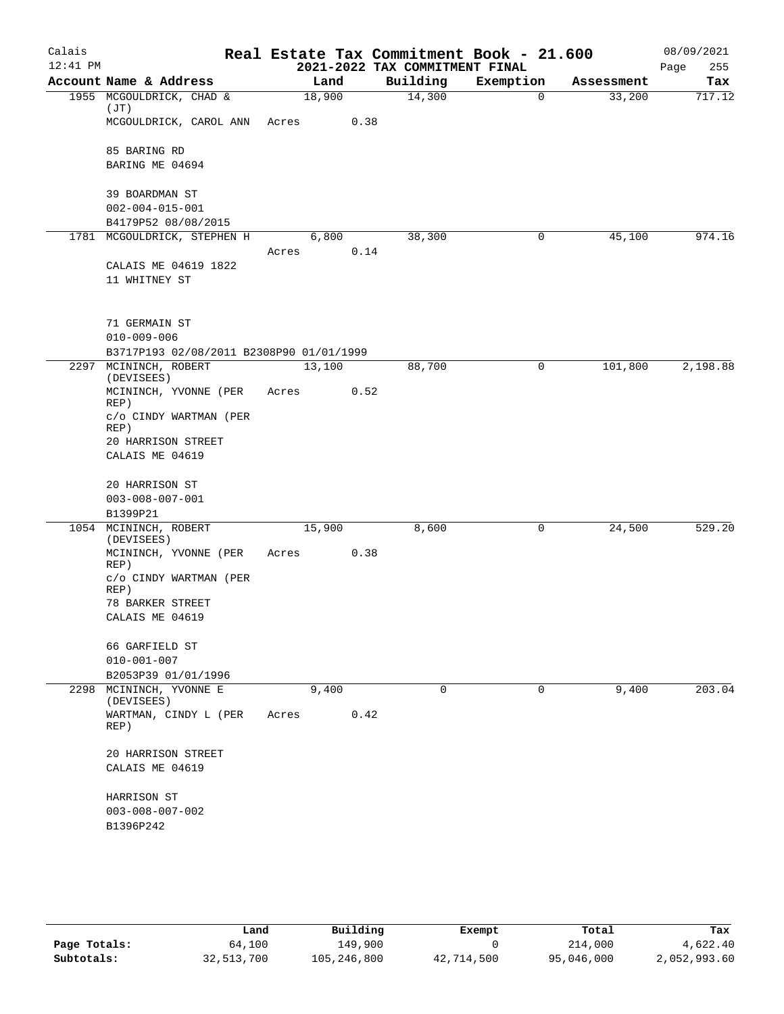| Calais     |                                          |       |        |      | Real Estate Tax Commitment Book - 21.600 |           |             |            | 08/09/2021  |
|------------|------------------------------------------|-------|--------|------|------------------------------------------|-----------|-------------|------------|-------------|
| $12:41$ PM |                                          |       |        |      | 2021-2022 TAX COMMITMENT FINAL           |           |             |            | Page<br>255 |
|            | Account Name & Address                   |       | Land   |      | Building                                 | Exemption |             | Assessment | Tax         |
|            | 1955 MCGOULDRICK, CHAD &<br>(JT)         |       | 18,900 |      | 14,300                                   |           | $\Omega$    | 33,200     | 717.12      |
|            | MCGOULDRICK, CAROL ANN                   | Acres |        | 0.38 |                                          |           |             |            |             |
|            | 85 BARING RD                             |       |        |      |                                          |           |             |            |             |
|            | BARING ME 04694                          |       |        |      |                                          |           |             |            |             |
|            | 39 BOARDMAN ST                           |       |        |      |                                          |           |             |            |             |
|            | $002 - 004 - 015 - 001$                  |       |        |      |                                          |           |             |            |             |
|            | B4179P52 08/08/2015                      |       |        |      |                                          |           |             |            |             |
|            | 1781 MCGOULDRICK, STEPHEN H              |       | 6,800  |      | 38,300                                   |           | 0           | 45,100     | 974.16      |
|            | CALAIS ME 04619 1822                     | Acres |        | 0.14 |                                          |           |             |            |             |
|            | 11 WHITNEY ST                            |       |        |      |                                          |           |             |            |             |
|            | 71 GERMAIN ST                            |       |        |      |                                          |           |             |            |             |
|            | $010 - 009 - 006$                        |       |        |      |                                          |           |             |            |             |
|            | B3717P193 02/08/2011 B2308P90 01/01/1999 |       |        |      |                                          |           |             |            |             |
|            | 2297 MCININCH, ROBERT<br>(DEVISEES)      |       | 13,100 |      | 88,700                                   |           | $\mathbf 0$ | 101,800    | 2,198.88    |
|            | MCININCH, YVONNE (PER<br>REP)            | Acres |        | 0.52 |                                          |           |             |            |             |
|            | c/o CINDY WARTMAN (PER<br>REP)           |       |        |      |                                          |           |             |            |             |
|            | 20 HARRISON STREET                       |       |        |      |                                          |           |             |            |             |
|            | CALAIS ME 04619                          |       |        |      |                                          |           |             |            |             |
|            | 20 HARRISON ST                           |       |        |      |                                          |           |             |            |             |
|            | $003 - 008 - 007 - 001$                  |       |        |      |                                          |           |             |            |             |
|            | B1399P21                                 |       |        |      |                                          |           | 0           | 24,500     | 529.20      |
|            | 1054 MCININCH, ROBERT<br>(DEVISEES)      |       | 15,900 |      | 8,600                                    |           |             |            |             |
|            | MCININCH, YVONNE (PER<br>REP)            | Acres |        | 0.38 |                                          |           |             |            |             |
|            | c/o CINDY WARTMAN (PER<br>REP)           |       |        |      |                                          |           |             |            |             |
|            | 78 BARKER STREET                         |       |        |      |                                          |           |             |            |             |
|            | CALAIS ME 04619                          |       |        |      |                                          |           |             |            |             |
|            | 66 GARFIELD ST                           |       |        |      |                                          |           |             |            |             |
|            | $010 - 001 - 007$<br>B2053P39 01/01/1996 |       |        |      |                                          |           |             |            |             |
|            | 2298 MCININCH, YVONNE E<br>(DEVISEES)    |       | 9,400  |      | $\Omega$                                 |           | $\mathbf 0$ | 9,400      | 203.04      |
|            | WARTMAN, CINDY L (PER<br>REP)            | Acres |        | 0.42 |                                          |           |             |            |             |
|            | 20 HARRISON STREET                       |       |        |      |                                          |           |             |            |             |
|            | CALAIS ME 04619                          |       |        |      |                                          |           |             |            |             |
|            | HARRISON ST                              |       |        |      |                                          |           |             |            |             |
|            | $003 - 008 - 007 - 002$                  |       |        |      |                                          |           |             |            |             |
|            | B1396P242                                |       |        |      |                                          |           |             |            |             |
|            |                                          |       |        |      |                                          |           |             |            |             |

|              | Land       | Building    | Exempt     | Total      | Tax          |
|--------------|------------|-------------|------------|------------|--------------|
| Page Totals: | 64,100     | 149,900     |            | 214,000    | 4,622.40     |
| Subtotals:   | 32,513,700 | 105,246,800 | 42,714,500 | 95,046,000 | 2,052,993.60 |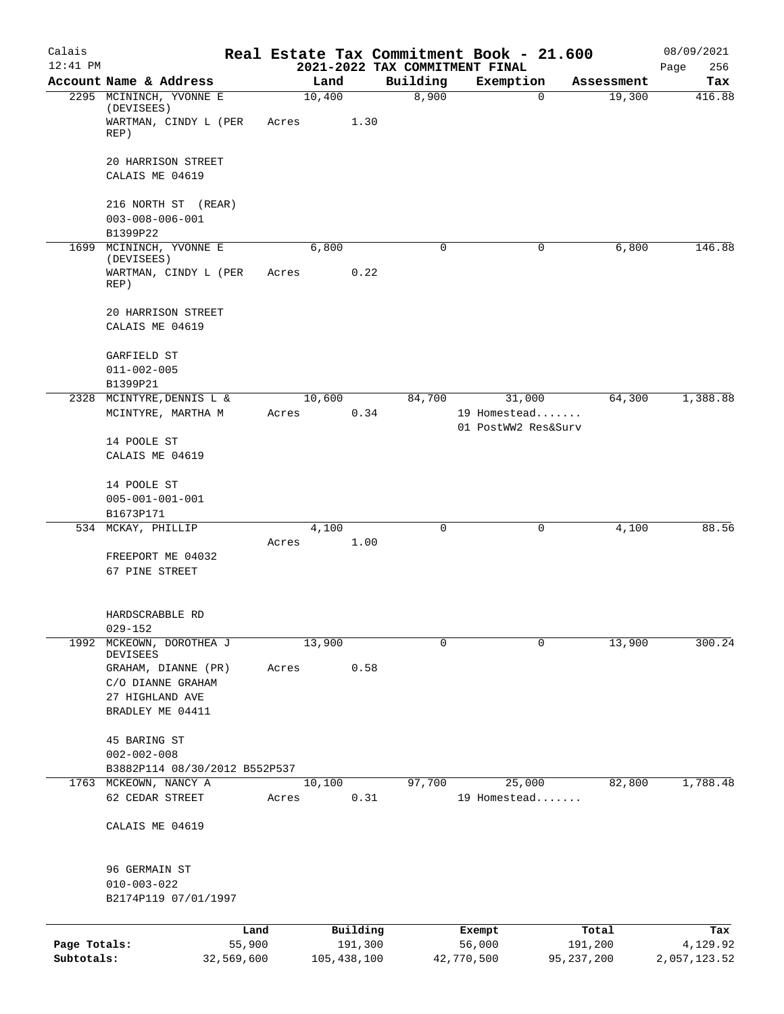| Calais                     |                                                            |                      |       |               |          | Real Estate Tax Commitment Book - 21.600   |                                     |             |                         | 08/09/2021               |
|----------------------------|------------------------------------------------------------|----------------------|-------|---------------|----------|--------------------------------------------|-------------------------------------|-------------|-------------------------|--------------------------|
| $12:41$ PM                 | Account Name & Address                                     |                      |       | Land          |          | 2021-2022 TAX COMMITMENT FINAL<br>Building | Exemption                           |             | Assessment              | 256<br>Page<br>Tax       |
|                            | 2295 MCININCH, YVONNE E<br>(DEVISEES)                      |                      |       | 10,400        |          | 8,900                                      |                                     | $\mathbf 0$ | 19,300                  | 416.88                   |
|                            | WARTMAN, CINDY L (PER<br>REP)                              |                      | Acres |               | 1.30     |                                            |                                     |             |                         |                          |
|                            | 20 HARRISON STREET                                         |                      |       |               |          |                                            |                                     |             |                         |                          |
|                            | CALAIS ME 04619                                            |                      |       |               |          |                                            |                                     |             |                         |                          |
|                            | 216 NORTH ST (REAR)<br>$003 - 008 - 006 - 001$<br>B1399P22 |                      |       |               |          |                                            |                                     |             |                         |                          |
| 1699                       | MCININCH, YVONNE E                                         |                      |       | 6,800         |          | 0                                          |                                     | 0           | 6,800                   | 146.88                   |
|                            | (DEVISEES)<br>WARTMAN, CINDY L (PER<br>REP)                |                      | Acres |               | 0.22     |                                            |                                     |             |                         |                          |
|                            | 20 HARRISON STREET<br>CALAIS ME 04619                      |                      |       |               |          |                                            |                                     |             |                         |                          |
|                            | GARFIELD ST                                                |                      |       |               |          |                                            |                                     |             |                         |                          |
|                            | $011 - 002 - 005$                                          |                      |       |               |          |                                            |                                     |             |                         |                          |
|                            | B1399P21                                                   |                      |       |               |          |                                            |                                     |             |                         |                          |
|                            | 2328 MCINTYRE, DENNIS L &                                  |                      |       | 10,600        |          | 84,700                                     | 31,000                              |             | 64,300                  | 1,388.88                 |
|                            | MCINTYRE, MARTHA M                                         |                      | Acres |               | 0.34     |                                            | 19 Homestead<br>01 PostWW2 Res&Surv |             |                         |                          |
|                            | 14 POOLE ST<br>CALAIS ME 04619                             |                      |       |               |          |                                            |                                     |             |                         |                          |
|                            | 14 POOLE ST                                                |                      |       |               |          |                                            |                                     |             |                         |                          |
|                            | $005 - 001 - 001 - 001$                                    |                      |       |               |          |                                            |                                     |             |                         |                          |
|                            | B1673P171<br>534 MCKAY, PHILLIP                            |                      |       | 4,100         |          | 0                                          |                                     | 0           | 4,100                   | 88.56                    |
|                            |                                                            |                      | Acres |               | 1.00     |                                            |                                     |             |                         |                          |
|                            | FREEPORT ME 04032<br>67 PINE STREET                        |                      |       |               |          |                                            |                                     |             |                         |                          |
|                            | HARDSCRABBLE RD<br>$029 - 152$                             |                      |       |               |          |                                            |                                     |             |                         |                          |
| 1992                       | MCKEOWN, DOROTHEA J<br><b>DEVISEES</b>                     |                      |       | 13,900        |          | 0                                          |                                     | 0           | 13,900                  | 300.24                   |
|                            | GRAHAM, DIANNE (PR)<br>C/O DIANNE GRAHAM                   |                      | Acres |               | 0.58     |                                            |                                     |             |                         |                          |
|                            | 27 HIGHLAND AVE                                            |                      |       |               |          |                                            |                                     |             |                         |                          |
|                            | BRADLEY ME 04411                                           |                      |       |               |          |                                            |                                     |             |                         |                          |
|                            | 45 BARING ST<br>$002 - 002 - 008$                          |                      |       |               |          |                                            |                                     |             |                         |                          |
|                            | B3882P114 08/30/2012 B552P537                              |                      |       |               |          |                                            |                                     |             |                         |                          |
|                            | 1763 MCKEOWN, NANCY A<br>62 CEDAR STREET                   |                      | Acres | 10,100        | 0.31     | 97,700                                     | 25,000<br>19 Homestead              |             | 82,800                  | 1,788.48                 |
|                            |                                                            |                      |       |               |          |                                            |                                     |             |                         |                          |
|                            | CALAIS ME 04619                                            |                      |       |               |          |                                            |                                     |             |                         |                          |
|                            | 96 GERMAIN ST<br>$010 - 003 - 022$<br>B2174P119 07/01/1997 |                      |       |               |          |                                            |                                     |             |                         |                          |
|                            |                                                            | Land                 |       |               | Building |                                            | Exempt                              |             | Total                   | Tax                      |
| Page Totals:<br>Subtotals: |                                                            | 55,900<br>32,569,600 |       | 105, 438, 100 | 191,300  |                                            | 56,000<br>42,770,500                |             | 191,200<br>95, 237, 200 | 4,129.92<br>2,057,123.52 |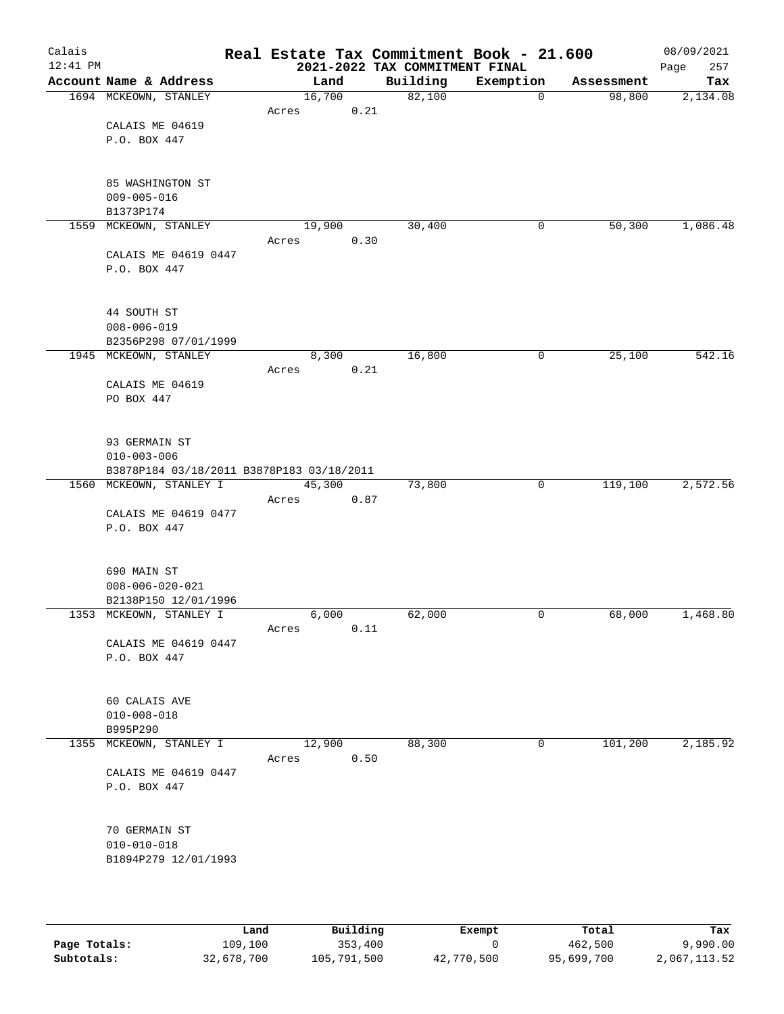| Calais<br>12:41 PM |                                           |        |        | Real Estate Tax Commitment Book - 21.600<br>2021-2022 TAX COMMITMENT FINAL |           |             |            | 08/09/2021<br>257<br>Page |
|--------------------|-------------------------------------------|--------|--------|----------------------------------------------------------------------------|-----------|-------------|------------|---------------------------|
|                    | Account Name & Address                    |        | Land   | Building                                                                   | Exemption |             | Assessment | Tax                       |
|                    | 1694 MCKEOWN, STANLEY                     | 16,700 |        | 82,100                                                                     |           | $\mathbf 0$ | 98,800     | 2,134.08                  |
|                    |                                           | Acres  | 0.21   |                                                                            |           |             |            |                           |
|                    | CALAIS ME 04619                           |        |        |                                                                            |           |             |            |                           |
|                    | P.O. BOX 447                              |        |        |                                                                            |           |             |            |                           |
|                    |                                           |        |        |                                                                            |           |             |            |                           |
|                    |                                           |        |        |                                                                            |           |             |            |                           |
|                    | 85 WASHINGTON ST                          |        |        |                                                                            |           |             |            |                           |
|                    | $009 - 005 - 016$                         |        |        |                                                                            |           |             |            |                           |
|                    | B1373P174                                 |        |        |                                                                            |           |             |            |                           |
|                    | 1559 MCKEOWN, STANLEY                     | 19,900 |        | 30,400                                                                     |           | 0           | 50,300     | 1,086.48                  |
|                    |                                           | Acres  | 0.30   |                                                                            |           |             |            |                           |
|                    | CALAIS ME 04619 0447                      |        |        |                                                                            |           |             |            |                           |
|                    | P.O. BOX 447                              |        |        |                                                                            |           |             |            |                           |
|                    |                                           |        |        |                                                                            |           |             |            |                           |
|                    |                                           |        |        |                                                                            |           |             |            |                           |
|                    | 44 SOUTH ST                               |        |        |                                                                            |           |             |            |                           |
|                    | $008 - 006 - 019$                         |        |        |                                                                            |           |             |            |                           |
|                    | B2356P298 07/01/1999                      |        |        |                                                                            |           |             |            |                           |
|                    | 1945 MCKEOWN, STANLEY                     |        | 8,300  | 16,800                                                                     |           | 0           | 25,100     | 542.16                    |
|                    |                                           | Acres  | 0.21   |                                                                            |           |             |            |                           |
|                    | CALAIS ME 04619                           |        |        |                                                                            |           |             |            |                           |
|                    | PO BOX 447                                |        |        |                                                                            |           |             |            |                           |
|                    |                                           |        |        |                                                                            |           |             |            |                           |
|                    |                                           |        |        |                                                                            |           |             |            |                           |
|                    | 93 GERMAIN ST                             |        |        |                                                                            |           |             |            |                           |
|                    | $010 - 003 - 006$                         |        |        |                                                                            |           |             |            |                           |
|                    | B3878P184 03/18/2011 B3878P183 03/18/2011 |        |        |                                                                            |           |             |            |                           |
|                    | 1560 MCKEOWN, STANLEY I                   | 45,300 |        | 73,800                                                                     |           | 0           | 119,100    | 2,572.56                  |
|                    |                                           | Acres  | 0.87   |                                                                            |           |             |            |                           |
|                    | CALAIS ME 04619 0477                      |        |        |                                                                            |           |             |            |                           |
|                    | P.O. BOX 447                              |        |        |                                                                            |           |             |            |                           |
|                    |                                           |        |        |                                                                            |           |             |            |                           |
|                    |                                           |        |        |                                                                            |           |             |            |                           |
|                    | 690 MAIN ST                               |        |        |                                                                            |           |             |            |                           |
|                    | $008 - 006 - 020 - 021$                   |        |        |                                                                            |           |             |            |                           |
|                    | B2138P150 12/01/1996                      |        |        |                                                                            |           |             |            |                           |
|                    | 1353 MCKEOWN, STANLEY I                   |        | 6,000  | 62,000                                                                     |           | 0           | 68,000     | 1,468.80                  |
|                    |                                           | Acres  | 0.11   |                                                                            |           |             |            |                           |
|                    | CALAIS ME 04619 0447                      |        |        |                                                                            |           |             |            |                           |
|                    | P.O. BOX 447                              |        |        |                                                                            |           |             |            |                           |
|                    |                                           |        |        |                                                                            |           |             |            |                           |
|                    |                                           |        |        |                                                                            |           |             |            |                           |
|                    | 60 CALAIS AVE                             |        |        |                                                                            |           |             |            |                           |
|                    | $010 - 008 - 018$                         |        |        |                                                                            |           |             |            |                           |
|                    | B995P290                                  |        |        |                                                                            |           |             |            |                           |
|                    | 1355 MCKEOWN, STANLEY I                   |        | 12,900 | 88,300                                                                     |           | 0           | 101,200    | 2,185.92                  |
|                    |                                           | Acres  | 0.50   |                                                                            |           |             |            |                           |
|                    | CALAIS ME 04619 0447                      |        |        |                                                                            |           |             |            |                           |
|                    | P.O. BOX 447                              |        |        |                                                                            |           |             |            |                           |
|                    |                                           |        |        |                                                                            |           |             |            |                           |
|                    |                                           |        |        |                                                                            |           |             |            |                           |
|                    | 70 GERMAIN ST                             |        |        |                                                                            |           |             |            |                           |
|                    | $010 - 010 - 018$                         |        |        |                                                                            |           |             |            |                           |
|                    | B1894P279 12/01/1993                      |        |        |                                                                            |           |             |            |                           |
|                    |                                           |        |        |                                                                            |           |             |            |                           |
|                    |                                           |        |        |                                                                            |           |             |            |                           |
|                    |                                           |        |        |                                                                            |           |             |            |                           |

|              | Land       | Building    | Exempt     | Total      | Tax          |
|--------------|------------|-------------|------------|------------|--------------|
| Page Totals: | 109,100    | 353,400     |            | 462,500    | 9,990.00     |
| Subtotals:   | 32,678,700 | 105,791,500 | 42,770,500 | 95,699,700 | 2,067,113.52 |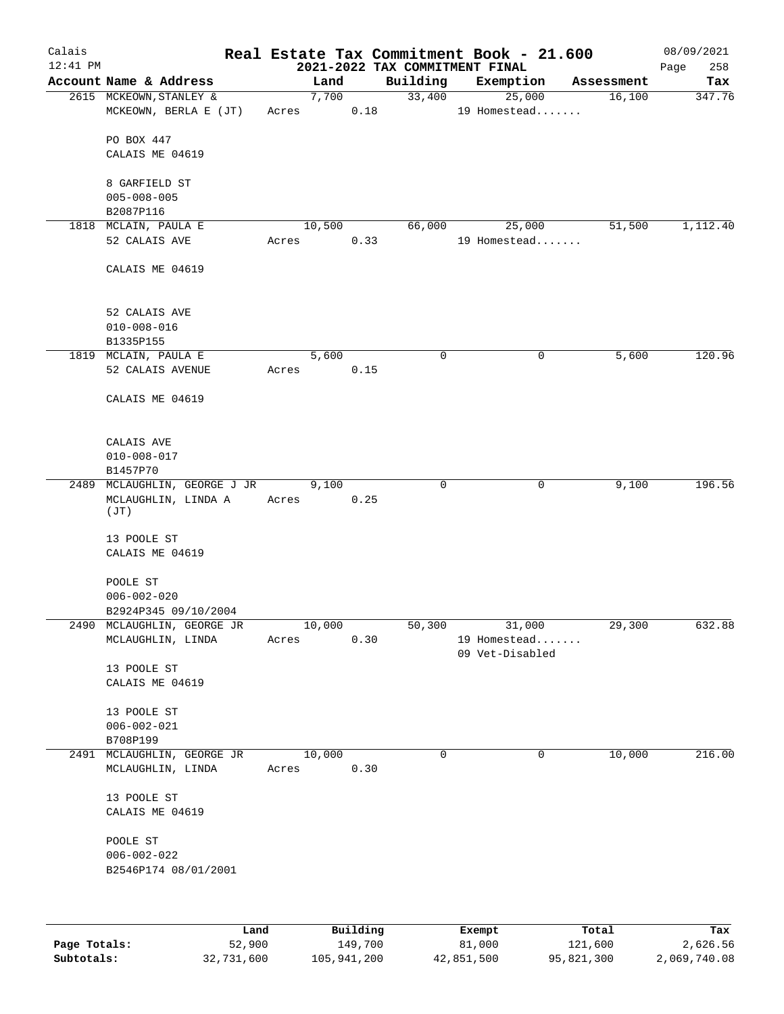| Calais<br>$12:41$ PM |                                |       |          | 2021-2022 TAX COMMITMENT FINAL | Real Estate Tax Commitment Book - 21.600 |            | 08/09/2021<br>258<br>Page |
|----------------------|--------------------------------|-------|----------|--------------------------------|------------------------------------------|------------|---------------------------|
|                      | Account Name & Address         |       | Land     | Building                       | Exemption                                | Assessment | Tax                       |
|                      | 2615 MCKEOWN, STANLEY &        |       | 7,700    | 33,400                         | 25,000                                   | 16,100     | 347.76                    |
|                      | MCKEOWN, BERLA E (JT)          |       | Acres    | 0.18                           | 19 Homestead                             |            |                           |
|                      | PO BOX 447                     |       |          |                                |                                          |            |                           |
|                      | CALAIS ME 04619                |       |          |                                |                                          |            |                           |
|                      | 8 GARFIELD ST                  |       |          |                                |                                          |            |                           |
|                      | $005 - 008 - 005$              |       |          |                                |                                          |            |                           |
|                      | B2087P116                      |       |          |                                |                                          |            |                           |
|                      | 1818 MCLAIN, PAULA E           |       | 10,500   | 66,000                         | 25,000                                   | 51,500     | 1,112.40                  |
|                      | 52 CALAIS AVE                  | Acres |          | 0.33                           | 19 Homestead                             |            |                           |
|                      | CALAIS ME 04619                |       |          |                                |                                          |            |                           |
|                      |                                |       |          |                                |                                          |            |                           |
|                      | 52 CALAIS AVE                  |       |          |                                |                                          |            |                           |
|                      | $010 - 008 - 016$<br>B1335P155 |       |          |                                |                                          |            |                           |
|                      | 1819 MCLAIN, PAULA E           |       | 5,600    | 0                              | 0                                        | 5,600      | 120.96                    |
|                      | 52 CALAIS AVENUE               | Acres | 0.15     |                                |                                          |            |                           |
|                      |                                |       |          |                                |                                          |            |                           |
|                      | CALAIS ME 04619                |       |          |                                |                                          |            |                           |
|                      | CALAIS AVE                     |       |          |                                |                                          |            |                           |
|                      | $010 - 008 - 017$              |       |          |                                |                                          |            |                           |
|                      | B1457P70                       |       |          |                                |                                          |            |                           |
|                      | 2489 MCLAUGHLIN, GEORGE J JR   |       | 9,100    | $\mathbf 0$                    | 0                                        | 9,100      | 196.56                    |
|                      | MCLAUGHLIN, LINDA A<br>(JT)    | Acres | 0.25     |                                |                                          |            |                           |
|                      | 13 POOLE ST                    |       |          |                                |                                          |            |                           |
|                      | CALAIS ME 04619                |       |          |                                |                                          |            |                           |
|                      | POOLE ST                       |       |          |                                |                                          |            |                           |
|                      | $006 - 002 - 020$              |       |          |                                |                                          |            |                           |
|                      | B2924P345 09/10/2004           |       |          |                                |                                          |            |                           |
|                      | 2490 MCLAUGHLIN, GEORGE JR     |       | 10,000   | 50,300                         | 31,000                                   | 29,300     | 632.88                    |
|                      | MCLAUGHLIN, LINDA              | Acres |          | 0.30                           | 19 Homestead                             |            |                           |
|                      |                                |       |          |                                | 09 Vet-Disabled                          |            |                           |
|                      | 13 POOLE ST                    |       |          |                                |                                          |            |                           |
|                      | CALAIS ME 04619                |       |          |                                |                                          |            |                           |
|                      | 13 POOLE ST                    |       |          |                                |                                          |            |                           |
|                      | $006 - 002 - 021$              |       |          |                                |                                          |            |                           |
|                      | B708P199                       |       |          |                                |                                          |            |                           |
|                      | 2491 MCLAUGHLIN, GEORGE JR     |       | 10,000   | $\Omega$                       | 0                                        | 10,000     | 216.00                    |
|                      | MCLAUGHLIN, LINDA              | Acres |          | 0.30                           |                                          |            |                           |
|                      | 13 POOLE ST                    |       |          |                                |                                          |            |                           |
|                      | CALAIS ME 04619                |       |          |                                |                                          |            |                           |
|                      | POOLE ST                       |       |          |                                |                                          |            |                           |
|                      | $006 - 002 - 022$              |       |          |                                |                                          |            |                           |
|                      | B2546P174 08/01/2001           |       |          |                                |                                          |            |                           |
|                      |                                |       |          |                                |                                          |            |                           |
|                      | Land                           |       | Building |                                | Exempt                                   | Total      | Tax                       |
| Page Totals:         | 52,900                         |       | 149,700  |                                | 81,000                                   | 121,600    | 2,626.56                  |

**Subtotals:** 32,731,600 105,941,200 42,851,500 95,821,300 2,069,740.08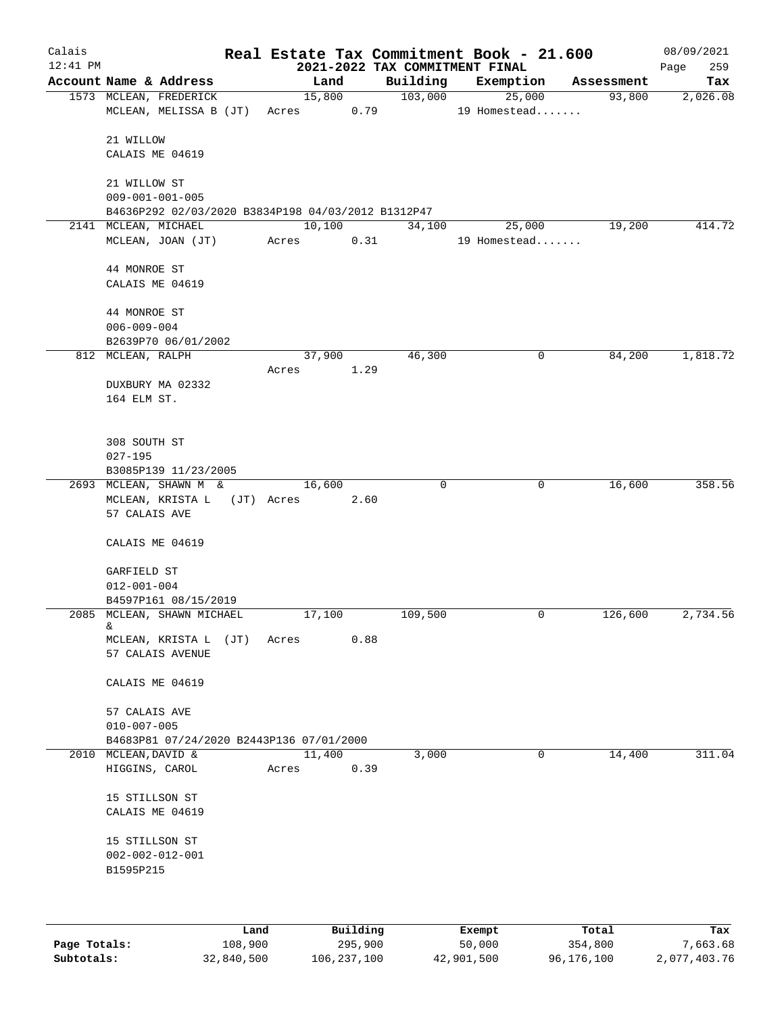| Calais<br>$12:41$ PM |                                                                               |      |       |                      |          | 2021-2022 TAX COMMITMENT FINAL | Real Estate Tax Commitment Book - 21.600 |        |            | 08/09/2021<br>259<br>Page |
|----------------------|-------------------------------------------------------------------------------|------|-------|----------------------|----------|--------------------------------|------------------------------------------|--------|------------|---------------------------|
|                      | Account Name & Address                                                        |      |       | Land                 |          | Building                       | Exemption                                |        | Assessment | Tax                       |
|                      | 1573 MCLEAN, FREDERICK<br>MCLEAN, MELISSA B (JT)                              |      |       | 15,800<br>Acres 0.79 |          | 103,000                        | 19 Homestead                             | 25,000 | 93,800     | 2,026.08                  |
|                      | 21 WILLOW<br>CALAIS ME 04619                                                  |      |       |                      |          |                                |                                          |        |            |                           |
|                      | 21 WILLOW ST                                                                  |      |       |                      |          |                                |                                          |        |            |                           |
|                      | $009 - 001 - 001 - 005$<br>B4636P292 02/03/2020 B3834P198 04/03/2012 B1312P47 |      |       |                      |          |                                |                                          |        |            |                           |
|                      | 2141 MCLEAN, MICHAEL                                                          |      |       | 10,100               |          | 34,100                         | 25,000                                   |        | 19,200     | 414.72                    |
|                      | MCLEAN, JOAN (JT)                                                             |      |       | Acres 0.31           |          |                                | 19 Homestead                             |        |            |                           |
|                      | 44 MONROE ST<br>CALAIS ME 04619                                               |      |       |                      |          |                                |                                          |        |            |                           |
|                      | 44 MONROE ST<br>$006 - 009 - 004$                                             |      |       |                      |          |                                |                                          |        |            |                           |
|                      | B2639P70 06/01/2002                                                           |      |       |                      |          |                                |                                          |        |            |                           |
|                      | 812 MCLEAN, RALPH                                                             |      | Acres | 37,900<br>1.29       |          | 46,300                         |                                          | 0      | 84,200     | 1,818.72                  |
|                      | DUXBURY MA 02332<br>164 ELM ST.                                               |      |       |                      |          |                                |                                          |        |            |                           |
|                      | 308 SOUTH ST<br>$027 - 195$                                                   |      |       |                      |          |                                |                                          |        |            |                           |
|                      | B3085P139 11/23/2005                                                          |      |       |                      |          |                                |                                          |        |            |                           |
|                      | 2693 MCLEAN, SHAWN M &<br>MCLEAN, KRISTA L (JT) Acres<br>57 CALAIS AVE        |      |       | 16,600               | 2.60     | $\Omega$                       |                                          | 0      | 16,600     | 358.56                    |
|                      | CALAIS ME 04619                                                               |      |       |                      |          |                                |                                          |        |            |                           |
|                      | GARFIELD ST<br>$012 - 001 - 004$                                              |      |       |                      |          |                                |                                          |        |            |                           |
|                      | B4597P161 08/15/2019                                                          |      |       |                      |          |                                |                                          |        |            |                           |
|                      | 2085 MCLEAN, SHAWN MICHAEL<br>&<br>MCLEAN, KRISTA L<br>57 CALAIS AVENUE       | (JT) | Acres | 17,100               | 0.88     | 109,500                        |                                          | 0      | 126,600    | 2,734.56                  |
|                      | CALAIS ME 04619                                                               |      |       |                      |          |                                |                                          |        |            |                           |
|                      | 57 CALAIS AVE<br>$010 - 007 - 005$                                            |      |       |                      |          |                                |                                          |        |            |                           |
|                      | B4683P81 07/24/2020 B2443P136 07/01/2000                                      |      |       |                      |          |                                |                                          |        |            |                           |
| 2010                 | MCLEAN, DAVID &<br>HIGGINS, CAROL                                             |      | Acres | 11,400               | 0.39     | 3,000                          |                                          | 0      | 14,400     | 311.04                    |
|                      | 15 STILLSON ST<br>CALAIS ME 04619                                             |      |       |                      |          |                                |                                          |        |            |                           |
|                      | 15 STILLSON ST<br>$002 - 002 - 012 - 001$<br>B1595P215                        |      |       |                      |          |                                |                                          |        |            |                           |
|                      |                                                                               |      |       |                      |          |                                |                                          |        |            |                           |
|                      |                                                                               | Land |       |                      | Building |                                | Exempt                                   |        | Total      | Tax                       |

|              | Lanu       | <b>Building</b> | вхешрс     | TOLAT      | 1ax.         |
|--------------|------------|-----------------|------------|------------|--------------|
| Page Totals: | 108,900    | 295,900         | 50,000     | 354,800    | 7,663.68     |
| Subtotals:   | 32,840,500 | 106,237,100     | 42,901,500 | 96,176,100 | 2,077,403.76 |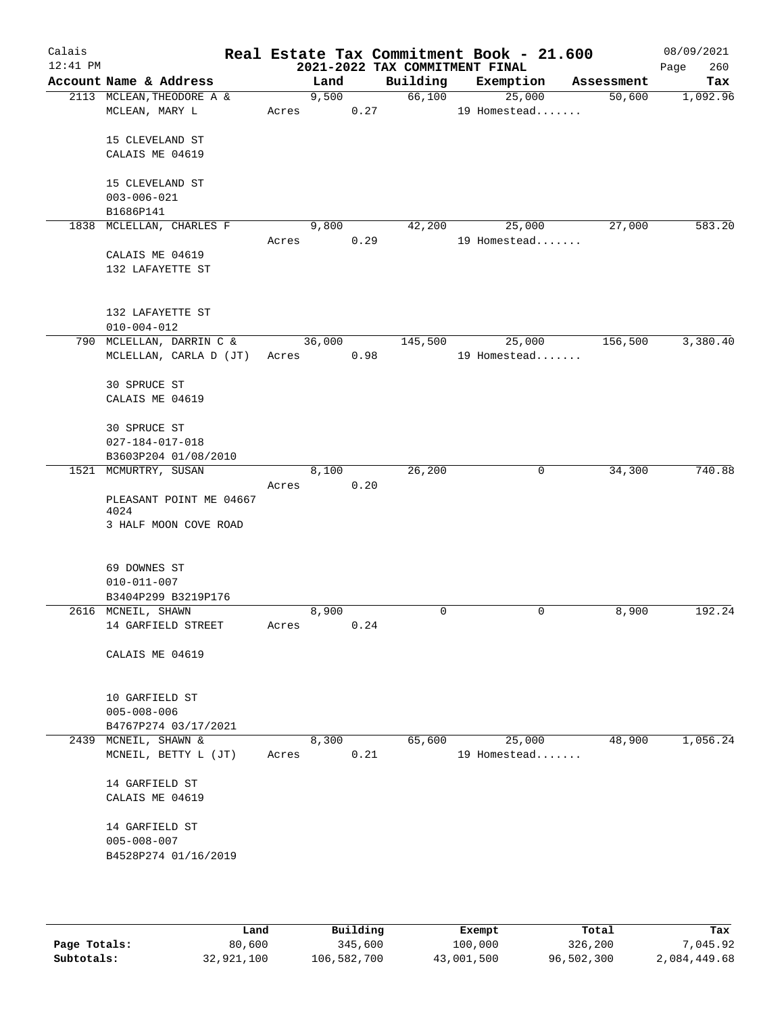| Calais     |                                             |       |        |      | Real Estate Tax Commitment Book - 21.600 |                        |   |            | 08/09/2021  |
|------------|---------------------------------------------|-------|--------|------|------------------------------------------|------------------------|---|------------|-------------|
| $12:41$ PM |                                             |       |        |      | 2021-2022 TAX COMMITMENT FINAL           |                        |   |            | 260<br>Page |
|            | Account Name & Address                      |       | Land   |      | Building                                 | Exemption              |   | Assessment | Tax         |
|            | 2113 MCLEAN, THEODORE A &<br>MCLEAN, MARY L | Acres | 9,500  | 0.27 | 66,100                                   | 25,000<br>19 Homestead |   | 50,600     | 1,092.96    |
|            |                                             |       |        |      |                                          |                        |   |            |             |
|            | 15 CLEVELAND ST                             |       |        |      |                                          |                        |   |            |             |
|            | CALAIS ME 04619                             |       |        |      |                                          |                        |   |            |             |
|            | 15 CLEVELAND ST                             |       |        |      |                                          |                        |   |            |             |
|            | $003 - 006 - 021$                           |       |        |      |                                          |                        |   |            |             |
|            | B1686P141                                   |       |        |      |                                          |                        |   |            |             |
|            | 1838 MCLELLAN, CHARLES F                    | Acres | 9,800  | 0.29 | 42,200                                   | 25,000<br>19 Homestead |   | 27,000     | 583.20      |
|            | CALAIS ME 04619                             |       |        |      |                                          |                        |   |            |             |
|            | 132 LAFAYETTE ST                            |       |        |      |                                          |                        |   |            |             |
|            |                                             |       |        |      |                                          |                        |   |            |             |
|            | 132 LAFAYETTE ST                            |       |        |      |                                          |                        |   |            |             |
|            | $010 - 004 - 012$                           |       |        |      |                                          |                        |   |            |             |
|            | 790 MCLELLAN, DARRIN C &                    |       | 36,000 |      | 145,500                                  | 25,000                 |   | 156,500    | 3,380.40    |
|            | MCLELLAN, CARLA D (JT)                      |       | Acres  | 0.98 |                                          | 19 Homestead           |   |            |             |
|            | 30 SPRUCE ST                                |       |        |      |                                          |                        |   |            |             |
|            | CALAIS ME 04619                             |       |        |      |                                          |                        |   |            |             |
|            | 30 SPRUCE ST                                |       |        |      |                                          |                        |   |            |             |
|            | $027 - 184 - 017 - 018$                     |       |        |      |                                          |                        |   |            |             |
|            | B3603P204 01/08/2010                        |       |        |      |                                          |                        |   |            |             |
|            | 1521 MCMURTRY, SUSAN                        |       | 8,100  |      | 26,200                                   |                        | 0 | 34,300     | 740.88      |
|            |                                             | Acres |        | 0.20 |                                          |                        |   |            |             |
|            | PLEASANT POINT ME 04667                     |       |        |      |                                          |                        |   |            |             |
|            | 4024<br>3 HALF MOON COVE ROAD               |       |        |      |                                          |                        |   |            |             |
|            |                                             |       |        |      |                                          |                        |   |            |             |
|            | 69 DOWNES ST                                |       |        |      |                                          |                        |   |            |             |
|            | $010 - 011 - 007$                           |       |        |      |                                          |                        |   |            |             |
|            | B3404P299 B3219P176                         |       |        |      |                                          |                        |   |            |             |
|            | 2616 MCNEIL, SHAWN                          |       | 8,900  |      | 0                                        |                        | 0 | 8,900      | 192.24      |
|            | 14 GARFIELD STREET                          | Acres |        | 0.24 |                                          |                        |   |            |             |
|            |                                             |       |        |      |                                          |                        |   |            |             |
|            | CALAIS ME 04619                             |       |        |      |                                          |                        |   |            |             |
|            |                                             |       |        |      |                                          |                        |   |            |             |
|            | 10 GARFIELD ST                              |       |        |      |                                          |                        |   |            |             |
|            | $005 - 008 - 006$<br>B4767P274 03/17/2021   |       |        |      |                                          |                        |   |            |             |
| 2439       | MCNEIL, SHAWN &                             |       | 8,300  |      | 65,600                                   | 25,000                 |   | 48,900     | 1,056.24    |
|            | MCNEIL, BETTY L (JT)                        | Acres |        | 0.21 |                                          | 19 Homestead           |   |            |             |
|            | 14 GARFIELD ST                              |       |        |      |                                          |                        |   |            |             |
|            | CALAIS ME 04619                             |       |        |      |                                          |                        |   |            |             |
|            |                                             |       |        |      |                                          |                        |   |            |             |
|            | 14 GARFIELD ST                              |       |        |      |                                          |                        |   |            |             |
|            | $005 - 008 - 007$                           |       |        |      |                                          |                        |   |            |             |
|            | B4528P274 01/16/2019                        |       |        |      |                                          |                        |   |            |             |
|            |                                             |       |        |      |                                          |                        |   |            |             |
|            |                                             |       |        |      |                                          |                        |   |            |             |

|              | Land       | Building    | Exempt     | Total      | Tax          |
|--------------|------------|-------------|------------|------------|--------------|
| Page Totals: | 80,600     | 345,600     | 100,000    | 326,200    | 7,045.92     |
| Subtotals:   | 32,921,100 | 106,582,700 | 43,001,500 | 96,502,300 | 2,084,449.68 |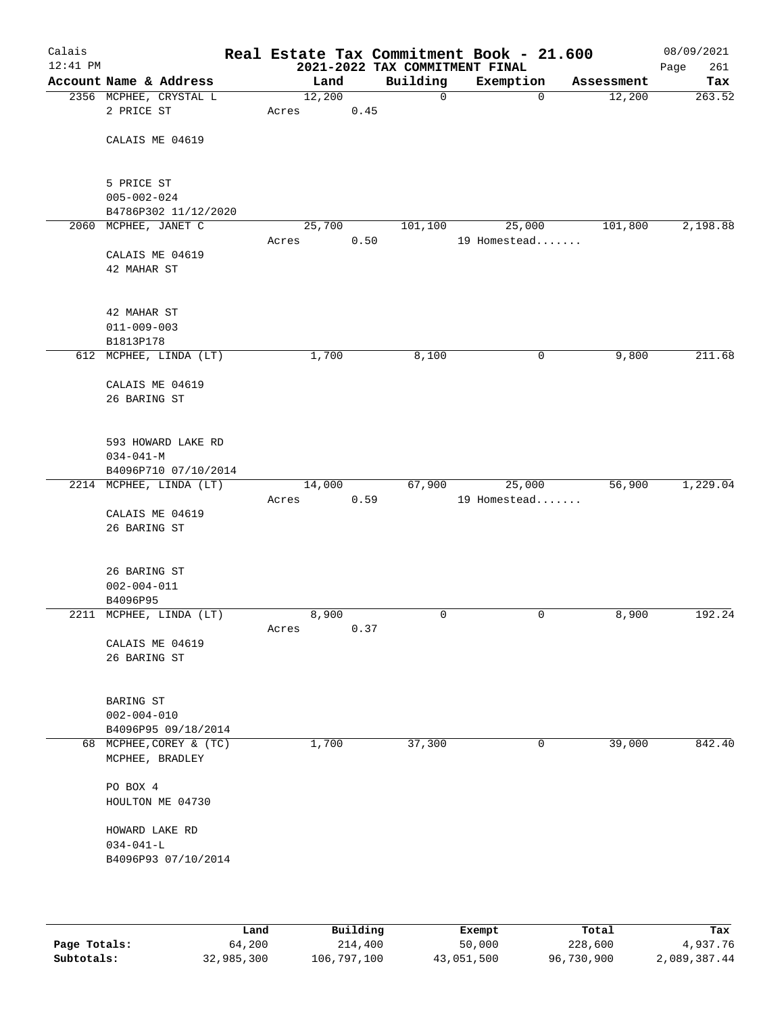| Calais     |                                              |       |        |      | Real Estate Tax Commitment Book - 21.600 |              |             |            | 08/09/2021  |
|------------|----------------------------------------------|-------|--------|------|------------------------------------------|--------------|-------------|------------|-------------|
| $12:41$ PM |                                              |       |        |      | 2021-2022 TAX COMMITMENT FINAL           |              |             |            | Page<br>261 |
|            | Account Name & Address                       |       | Land   |      | Building                                 | Exemption    |             | Assessment | Tax         |
|            | 2356 MCPHEE, CRYSTAL L                       |       | 12,200 |      | $\mathbf 0$                              |              | $\mathbf 0$ | 12,200     | 263.52      |
|            | 2 PRICE ST                                   | Acres |        | 0.45 |                                          |              |             |            |             |
|            |                                              |       |        |      |                                          |              |             |            |             |
|            | CALAIS ME 04619                              |       |        |      |                                          |              |             |            |             |
|            |                                              |       |        |      |                                          |              |             |            |             |
|            |                                              |       |        |      |                                          |              |             |            |             |
|            | 5 PRICE ST                                   |       |        |      |                                          |              |             |            |             |
|            | $005 - 002 - 024$                            |       |        |      |                                          |              |             |            |             |
|            | B4786P302 11/12/2020<br>2060 MCPHEE, JANET C |       |        |      |                                          | 25,000       |             |            | 2,198.88    |
|            |                                              |       | 25,700 | 0.50 | 101,100                                  | 19 Homestead |             | 101,800    |             |
|            | CALAIS ME 04619                              | Acres |        |      |                                          |              |             |            |             |
|            | 42 MAHAR ST                                  |       |        |      |                                          |              |             |            |             |
|            |                                              |       |        |      |                                          |              |             |            |             |
|            |                                              |       |        |      |                                          |              |             |            |             |
|            | 42 MAHAR ST                                  |       |        |      |                                          |              |             |            |             |
|            | $011 - 009 - 003$                            |       |        |      |                                          |              |             |            |             |
|            | B1813P178                                    |       |        |      |                                          |              |             |            |             |
|            | 612 MCPHEE, LINDA (LT)                       |       | 1,700  |      | 8,100                                    |              | 0           | 9,800      | 211.68      |
|            |                                              |       |        |      |                                          |              |             |            |             |
|            | CALAIS ME 04619                              |       |        |      |                                          |              |             |            |             |
|            | 26 BARING ST                                 |       |        |      |                                          |              |             |            |             |
|            |                                              |       |        |      |                                          |              |             |            |             |
|            |                                              |       |        |      |                                          |              |             |            |             |
|            | 593 HOWARD LAKE RD                           |       |        |      |                                          |              |             |            |             |
|            | $034 - 041 - M$                              |       |        |      |                                          |              |             |            |             |
|            | B4096P710 07/10/2014                         |       |        |      |                                          |              |             |            |             |
|            | 2214 MCPHEE, LINDA (LT)                      |       | 14,000 |      | 67,900                                   | 25,000       |             | 56,900     | 1,229.04    |
|            |                                              | Acres |        | 0.59 |                                          | 19 Homestead |             |            |             |
|            | CALAIS ME 04619                              |       |        |      |                                          |              |             |            |             |
|            | 26 BARING ST                                 |       |        |      |                                          |              |             |            |             |
|            |                                              |       |        |      |                                          |              |             |            |             |
|            |                                              |       |        |      |                                          |              |             |            |             |
|            | 26 BARING ST                                 |       |        |      |                                          |              |             |            |             |
|            | $002 - 004 - 011$                            |       |        |      |                                          |              |             |            |             |
|            | B4096P95                                     |       |        |      |                                          |              |             |            |             |
|            | 2211 MCPHEE, LINDA (LT)                      |       | 8,900  |      | $\mathbf 0$                              |              | $\mathbf 0$ | 8,900      | 192.24      |
|            |                                              | Acres |        | 0.37 |                                          |              |             |            |             |
|            | CALAIS ME 04619                              |       |        |      |                                          |              |             |            |             |
|            | 26 BARING ST                                 |       |        |      |                                          |              |             |            |             |
|            |                                              |       |        |      |                                          |              |             |            |             |
|            | BARING ST                                    |       |        |      |                                          |              |             |            |             |
|            | $002 - 004 - 010$                            |       |        |      |                                          |              |             |            |             |
|            | B4096P95 09/18/2014                          |       |        |      |                                          |              |             |            |             |
|            | 68 MCPHEE, COREY & (TC)                      |       | 1,700  |      | 37,300                                   |              | 0           | 39,000     | 842.40      |
|            | MCPHEE, BRADLEY                              |       |        |      |                                          |              |             |            |             |
|            |                                              |       |        |      |                                          |              |             |            |             |
|            | PO BOX 4                                     |       |        |      |                                          |              |             |            |             |
|            | HOULTON ME 04730                             |       |        |      |                                          |              |             |            |             |
|            |                                              |       |        |      |                                          |              |             |            |             |
|            | HOWARD LAKE RD                               |       |        |      |                                          |              |             |            |             |
|            | $034 - 041 - L$                              |       |        |      |                                          |              |             |            |             |
|            | B4096P93 07/10/2014                          |       |        |      |                                          |              |             |            |             |
|            |                                              |       |        |      |                                          |              |             |            |             |
|            |                                              |       |        |      |                                          |              |             |            |             |
|            |                                              |       |        |      |                                          |              |             |            |             |

|              | Land       | Building    | Exempt     | Total      | Tax          |
|--------------|------------|-------------|------------|------------|--------------|
| Page Totals: | 64,200     | 214,400     | 50,000     | 228,600    | 4,937.76     |
| Subtotals:   | 32,985,300 | 106,797,100 | 43,051,500 | 96,730,900 | 2,089,387.44 |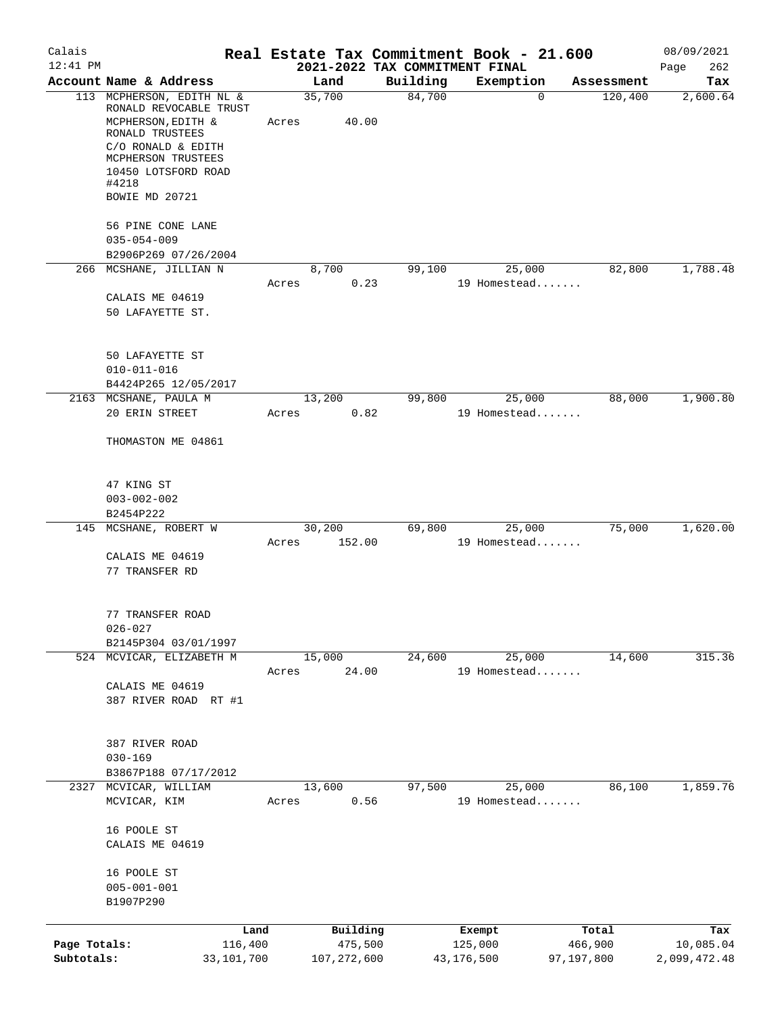| Calais                     |                                                                                                                                                                                            |                       |       |                          |                                |                       | Real Estate Tax Commitment Book - 21.600 |                       | 08/09/2021                |
|----------------------------|--------------------------------------------------------------------------------------------------------------------------------------------------------------------------------------------|-----------------------|-------|--------------------------|--------------------------------|-----------------------|------------------------------------------|-----------------------|---------------------------|
| $12:41$ PM                 |                                                                                                                                                                                            |                       |       |                          | 2021-2022 TAX COMMITMENT FINAL |                       |                                          |                       | 262<br>Page               |
|                            | Account Name & Address                                                                                                                                                                     |                       |       | Land                     | Building                       |                       | Exemption                                | Assessment            | Tax                       |
|                            | 113 MCPHERSON, EDITH NL &<br>RONALD REVOCABLE TRUST<br>MCPHERSON, EDITH &<br>RONALD TRUSTEES<br>C/O RONALD & EDITH<br>MCPHERSON TRUSTEES<br>10450 LOTSFORD ROAD<br>#4218<br>BOWIE MD 20721 |                       | Acres | 35,700<br>40.00          | 84,700                         |                       | $\Omega$                                 | 120,400               | 2,600.64                  |
|                            | 56 PINE CONE LANE<br>$035 - 054 - 009$                                                                                                                                                     |                       |       |                          |                                |                       |                                          |                       |                           |
|                            | B2906P269 07/26/2004                                                                                                                                                                       |                       |       |                          |                                |                       |                                          |                       |                           |
|                            | 266 MCSHANE, JILLIAN N<br>CALAIS ME 04619<br>50 LAFAYETTE ST.                                                                                                                              |                       | Acres | 8,700<br>0.23            | 99,100                         |                       | 25,000<br>19 Homestead                   | 82,800                | 1,788.48                  |
|                            | 50 LAFAYETTE ST<br>$010 - 011 - 016$<br>B4424P265 12/05/2017                                                                                                                               |                       |       |                          |                                |                       |                                          |                       |                           |
|                            | 2163 MCSHANE, PAULA M                                                                                                                                                                      |                       |       | 13,200                   | 99,800                         |                       | 25,000                                   | 88,000                | 1,900.80                  |
|                            | 20 ERIN STREET<br>THOMASTON ME 04861                                                                                                                                                       |                       | Acres | 0.82                     |                                |                       | 19 Homestead                             |                       |                           |
|                            | 47 KING ST<br>$003 - 002 - 002$<br>B2454P222                                                                                                                                               |                       |       |                          |                                |                       |                                          |                       |                           |
|                            | 145 MCSHANE, ROBERT W<br>CALAIS ME 04619<br>77 TRANSFER RD                                                                                                                                 |                       | Acres | 30,200<br>152.00         | 69,800                         |                       | 25,000<br>19 Homestead                   | 75,000                | 1,620.00                  |
|                            | 77 TRANSFER ROAD<br>$026 - 027$<br>B2145P304 03/01/1997                                                                                                                                    |                       |       |                          |                                |                       |                                          |                       |                           |
|                            | 524 MCVICAR, ELIZABETH M<br>CALAIS ME 04619<br>387 RIVER ROAD RT #1                                                                                                                        |                       | Acres | 15,000<br>24.00          | 24,600                         |                       | 25,000<br>19 Homestead                   | 14,600                | 315.36                    |
|                            | 387 RIVER ROAD<br>$030 - 169$<br>B3867P188 07/17/2012                                                                                                                                      |                       |       |                          |                                |                       |                                          |                       |                           |
| 2327                       | MCVICAR, WILLIAM                                                                                                                                                                           |                       |       | 13,600                   | 97,500                         |                       | 25,000                                   | 86,100                | 1,859.76                  |
|                            | MCVICAR, KIM<br>16 POOLE ST<br>CALAIS ME 04619<br>16 POOLE ST<br>$005 - 001 - 001$<br>B1907P290                                                                                            |                       | Acres | 0.56                     |                                |                       | 19 Homestead                             |                       |                           |
|                            |                                                                                                                                                                                            | Land                  |       | Building                 |                                |                       | Exempt                                   | Total                 | Tax                       |
| Page Totals:<br>Subtotals: |                                                                                                                                                                                            | 116,400<br>33,101,700 |       | 475,500<br>107, 272, 600 |                                | 125,000<br>43,176,500 |                                          | 466,900<br>97,197,800 | 10,085.04<br>2,099,472.48 |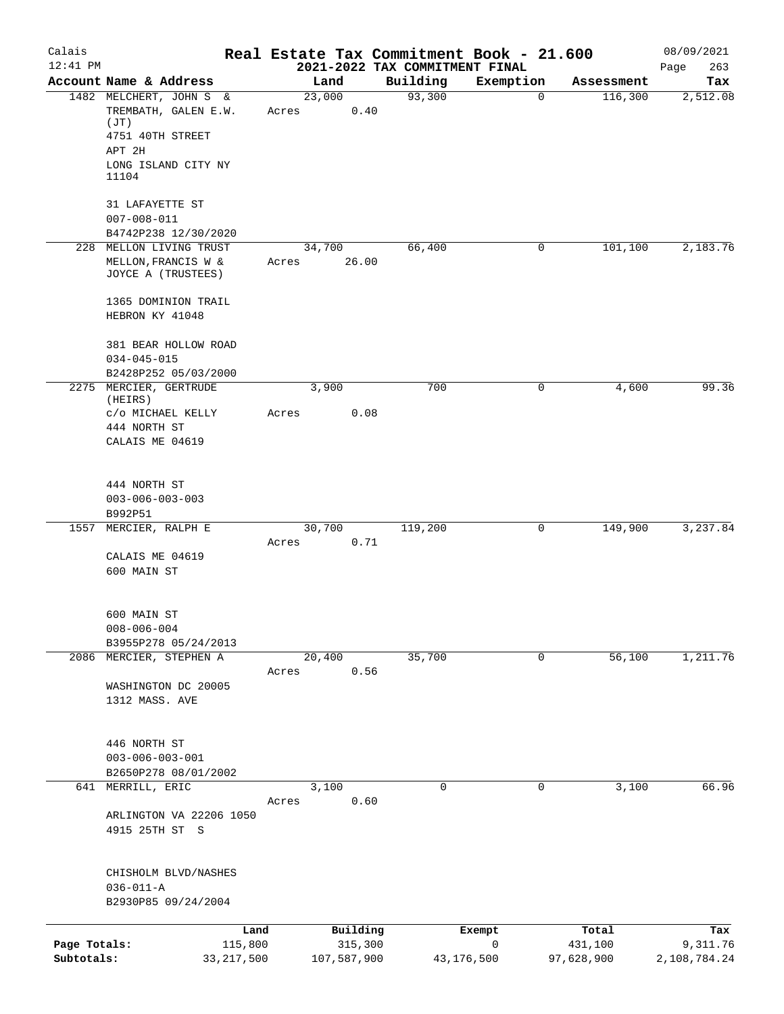| Calais                     |                                                                                                                     | Real Estate Tax Commitment Book - 21.600 |                                            |                           |                                | 08/09/2021                      |
|----------------------------|---------------------------------------------------------------------------------------------------------------------|------------------------------------------|--------------------------------------------|---------------------------|--------------------------------|---------------------------------|
| $12:41$ PM                 | Account Name & Address                                                                                              | Land                                     | 2021-2022 TAX COMMITMENT FINAL<br>Building | Exemption                 | Assessment                     | 263<br>Page<br>Tax              |
|                            | 1482 MELCHERT, JOHN S &<br>TREMBATH, GALEN E.W.<br>(JT)<br>4751 40TH STREET<br>APT 2H<br>LONG ISLAND CITY NY        | 23,000<br>0.40<br>Acres                  | 93,300                                     | 0                         | 116,300                        | 2,512.08                        |
| 228                        | 11104<br>31 LAFAYETTE ST<br>$007 - 008 - 011$<br>B4742P238 12/30/2020<br>MELLON LIVING TRUST<br>MELLON, FRANCIS W & | 34,700<br>26.00<br>Acres                 | 66,400                                     | 0                         | 101,100                        | 2,183.76                        |
|                            | JOYCE A (TRUSTEES)<br>1365 DOMINION TRAIL<br>HEBRON KY 41048<br>381 BEAR HOLLOW ROAD<br>$034 - 045 - 015$           |                                          |                                            |                           |                                |                                 |
|                            | B2428P252 05/03/2000<br>2275 MERCIER, GERTRUDE<br>(HEIRS)<br>C/O MICHAEL KELLY<br>444 NORTH ST<br>CALAIS ME 04619   | 3,900<br>0.08<br>Acres                   | 700                                        | 0                         | 4,600                          | 99.36                           |
| 1557                       | 444 NORTH ST<br>$003 - 006 - 003 - 003$<br>B992P51<br>MERCIER, RALPH E                                              | 30,700                                   | 119,200                                    | 0                         | 149,900                        | 3,237.84                        |
|                            | CALAIS ME 04619<br>600 MAIN ST                                                                                      | 0.71<br>Acres                            |                                            |                           |                                |                                 |
|                            | 600 MAIN ST<br>$008 - 006 - 004$<br>B3955P278 05/24/2013                                                            |                                          |                                            |                           |                                |                                 |
| 2086                       | MERCIER, STEPHEN A<br>WASHINGTON DC 20005<br>1312 MASS. AVE                                                         | 20,400<br>0.56<br>Acres                  | 35,700                                     | $\mathsf{O}$              | 56,100                         | 1,211.76                        |
|                            | 446 NORTH ST<br>$003 - 006 - 003 - 001$<br>B2650P278 08/01/2002<br>641 MERRILL, ERIC                                | 3,100                                    | 0                                          | 0                         | 3,100                          | 66.96                           |
|                            | ARLINGTON VA 22206 1050<br>4915 25TH ST S                                                                           | 0.60<br>Acres                            |                                            |                           |                                |                                 |
|                            | CHISHOLM BLVD/NASHES<br>$036 - 011 - A$<br>B2930P85 09/24/2004                                                      |                                          |                                            |                           |                                |                                 |
| Page Totals:<br>Subtotals: | Land<br>115,800<br>33, 217, 500                                                                                     | Building<br>315,300<br>107,587,900       |                                            | Exempt<br>0<br>43,176,500 | Total<br>431,100<br>97,628,900 | Tax<br>9,311.76<br>2,108,784.24 |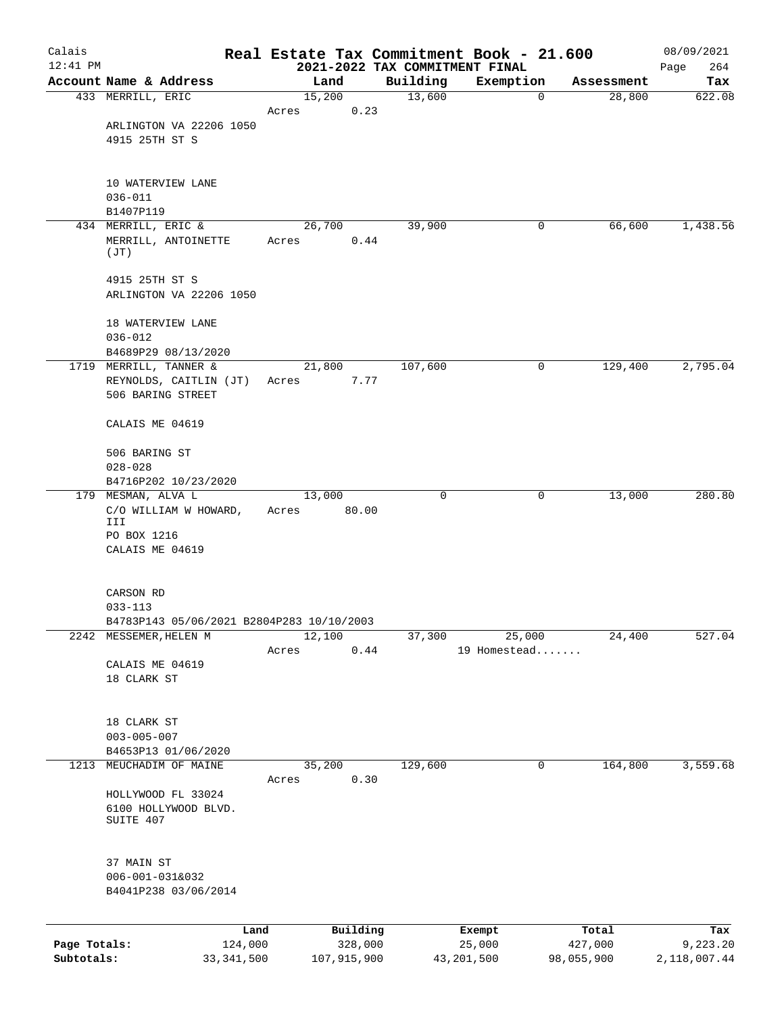| Calais                     |                                                         |                 |                        |                                            | Real Estate Tax Commitment Book - 21.600 |                       | 08/09/2021               |
|----------------------------|---------------------------------------------------------|-----------------|------------------------|--------------------------------------------|------------------------------------------|-----------------------|--------------------------|
| $12:41$ PM                 | Account Name & Address                                  |                 | Land                   | 2021-2022 TAX COMMITMENT FINAL<br>Building | Exemption                                | Assessment            | 264<br>Page<br>Tax       |
|                            | 433 MERRILL, ERIC                                       | 15,200          |                        | 13,600                                     | $\mathbf 0$                              | 28,800                | 622.08                   |
|                            |                                                         | Acres           | 0.23                   |                                            |                                          |                       |                          |
|                            | ARLINGTON VA 22206 1050<br>4915 25TH ST S               |                 |                        |                                            |                                          |                       |                          |
|                            | 10 WATERVIEW LANE<br>$036 - 011$                        |                 |                        |                                            |                                          |                       |                          |
|                            | B1407P119                                               |                 |                        |                                            |                                          |                       |                          |
|                            | 434 MERRILL, ERIC &<br>MERRILL, ANTOINETTE<br>(JT)      | Acres           | 26,700<br>0.44         | 39,900                                     | 0                                        | 66,600                | 1,438.56                 |
|                            | 4915 25TH ST S<br>ARLINGTON VA 22206 1050               |                 |                        |                                            |                                          |                       |                          |
|                            | 18 WATERVIEW LANE<br>$036 - 012$                        |                 |                        |                                            |                                          |                       |                          |
| 1719                       | B4689P29 08/13/2020<br>MERRILL, TANNER &                | 21,800          |                        | 107,600                                    | 0                                        | 129,400               | 2,795.04                 |
|                            | REYNOLDS, CAITLIN (JT)<br>506 BARING STREET             | Acres           | 7.77                   |                                            |                                          |                       |                          |
|                            | CALAIS ME 04619                                         |                 |                        |                                            |                                          |                       |                          |
|                            | 506 BARING ST<br>$028 - 028$                            |                 |                        |                                            |                                          |                       |                          |
|                            | B4716P202 10/23/2020                                    |                 |                        |                                            |                                          |                       |                          |
|                            | 179 MESMAN, ALVA L<br>C/O WILLIAM W HOWARD,<br>III      | 13,000<br>Acres | 80.00                  | 0                                          | 0                                        | 13,000                | 280.80                   |
|                            | PO BOX 1216<br>CALAIS ME 04619                          |                 |                        |                                            |                                          |                       |                          |
|                            | CARSON RD<br>$033 - 113$                                |                 |                        |                                            |                                          |                       |                          |
|                            | B4783P143 05/06/2021 B2804P283 10/10/2003               |                 |                        |                                            |                                          |                       |                          |
| 2242                       | MESSEMER, HELEN M                                       | 12,100          |                        | 37,300                                     | 25,000                                   | 24,400                | 527.04                   |
|                            | CALAIS ME 04619<br>18 CLARK ST                          | Acres           | 0.44                   |                                            | 19 Homestead                             |                       |                          |
|                            | 18 CLARK ST<br>$003 - 005 - 007$                        |                 |                        |                                            |                                          |                       |                          |
|                            | B4653P13 01/06/2020                                     |                 |                        |                                            |                                          |                       |                          |
| 1213                       | MEUCHADIM OF MAINE                                      | 35,200<br>Acres | 0.30                   | 129,600                                    | $\mathsf{O}$                             | 164,800               | 3,559.68                 |
|                            | HOLLYWOOD FL 33024<br>6100 HOLLYWOOD BLVD.<br>SUITE 407 |                 |                        |                                            |                                          |                       |                          |
|                            | 37 MAIN ST<br>006-001-031&032<br>B4041P238 03/06/2014   |                 |                        |                                            |                                          |                       |                          |
|                            | Land                                                    |                 | Building               |                                            | Exempt                                   | Total                 | Tax                      |
| Page Totals:<br>Subtotals: | 124,000<br>33, 341, 500                                 |                 | 328,000<br>107,915,900 |                                            | 25,000<br>43, 201, 500                   | 427,000<br>98,055,900 | 9,223.20<br>2,118,007.44 |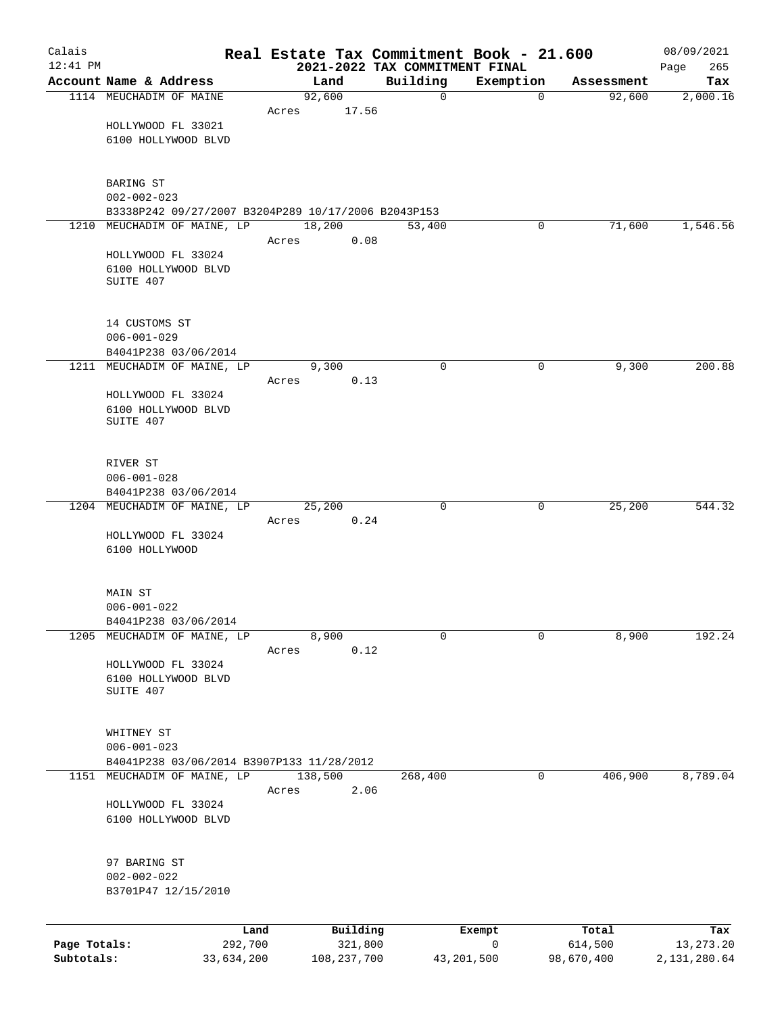| Calais       |                                                     |         |                     | Real Estate Tax Commitment Book - 21.600   |                       |                  | 08/09/2021         |
|--------------|-----------------------------------------------------|---------|---------------------|--------------------------------------------|-----------------------|------------------|--------------------|
| $12:41$ PM   | Account Name & Address                              | Land    |                     | 2021-2022 TAX COMMITMENT FINAL<br>Building | Exemption             | Assessment       | 265<br>Page<br>Tax |
|              | 1114 MEUCHADIM OF MAINE                             | 92,600  |                     | 0                                          | $\mathbf 0$           | 92,600           | 2,000.16           |
|              |                                                     | Acres   | 17.56               |                                            |                       |                  |                    |
|              | HOLLYWOOD FL 33021                                  |         |                     |                                            |                       |                  |                    |
|              | 6100 HOLLYWOOD BLVD                                 |         |                     |                                            |                       |                  |                    |
|              |                                                     |         |                     |                                            |                       |                  |                    |
|              | BARING ST<br>$002 - 002 - 023$                      |         |                     |                                            |                       |                  |                    |
|              | B3338P242 09/27/2007 B3204P289 10/17/2006 B2043P153 |         |                     |                                            |                       |                  |                    |
| 1210         | MEUCHADIM OF MAINE, LP                              | 18,200  |                     | 53,400                                     | 0                     | 71,600           | 1,546.56           |
|              | HOLLYWOOD FL 33024                                  | Acres   | 0.08                |                                            |                       |                  |                    |
|              | 6100 HOLLYWOOD BLVD                                 |         |                     |                                            |                       |                  |                    |
|              | SUITE 407                                           |         |                     |                                            |                       |                  |                    |
|              |                                                     |         |                     |                                            |                       |                  |                    |
|              | 14 CUSTOMS ST                                       |         |                     |                                            |                       |                  |                    |
|              | $006 - 001 - 029$                                   |         |                     |                                            |                       |                  |                    |
|              | B4041P238 03/06/2014                                | 9,300   |                     | $\mathbf 0$                                | 0                     | 9,300            | 200.88             |
|              | 1211 MEUCHADIM OF MAINE, LP                         | Acres   | 0.13                |                                            |                       |                  |                    |
|              | HOLLYWOOD FL 33024                                  |         |                     |                                            |                       |                  |                    |
|              | 6100 HOLLYWOOD BLVD                                 |         |                     |                                            |                       |                  |                    |
|              | SUITE 407                                           |         |                     |                                            |                       |                  |                    |
|              |                                                     |         |                     |                                            |                       |                  |                    |
|              | RIVER ST                                            |         |                     |                                            |                       |                  |                    |
|              | $006 - 001 - 028$<br>B4041P238 03/06/2014           |         |                     |                                            |                       |                  |                    |
|              | 1204 MEUCHADIM OF MAINE, LP                         | 25,200  |                     | $\mathbf 0$                                | 0                     | 25,200           | 544.32             |
|              |                                                     | Acres   | 0.24                |                                            |                       |                  |                    |
|              | HOLLYWOOD FL 33024                                  |         |                     |                                            |                       |                  |                    |
|              | 6100 HOLLYWOOD                                      |         |                     |                                            |                       |                  |                    |
|              |                                                     |         |                     |                                            |                       |                  |                    |
|              | MAIN ST<br>$006 - 001 - 022$                        |         |                     |                                            |                       |                  |                    |
|              | B4041P238 03/06/2014                                |         |                     |                                            |                       |                  |                    |
|              | 1205 MEUCHADIM OF MAINE, LP                         | 8,900   |                     | 0                                          | 0                     | 8,900            | 192.24             |
|              |                                                     | Acres   | 0.12                |                                            |                       |                  |                    |
|              | HOLLYWOOD FL 33024                                  |         |                     |                                            |                       |                  |                    |
|              | 6100 HOLLYWOOD BLVD<br>SUITE 407                    |         |                     |                                            |                       |                  |                    |
|              |                                                     |         |                     |                                            |                       |                  |                    |
|              | WHITNEY ST                                          |         |                     |                                            |                       |                  |                    |
|              | $006 - 001 - 023$                                   |         |                     |                                            |                       |                  |                    |
|              | B4041P238 03/06/2014 B3907P133 11/28/2012           |         |                     |                                            |                       |                  |                    |
|              | 1151 MEUCHADIM OF MAINE, LP                         | 138,500 |                     | 268,400                                    | 0                     | 406,900          | 8,789.04           |
|              | HOLLYWOOD FL 33024                                  | Acres   | 2.06                |                                            |                       |                  |                    |
|              | 6100 HOLLYWOOD BLVD                                 |         |                     |                                            |                       |                  |                    |
|              |                                                     |         |                     |                                            |                       |                  |                    |
|              | 97 BARING ST                                        |         |                     |                                            |                       |                  |                    |
|              | $002 - 002 - 022$                                   |         |                     |                                            |                       |                  |                    |
|              | B3701P47 12/15/2010                                 |         |                     |                                            |                       |                  |                    |
|              |                                                     |         |                     |                                            |                       |                  |                    |
| Page Totals: | Land<br>292,700                                     |         | Building<br>321,800 |                                            | Exempt<br>$\mathbf 0$ | Total<br>614,500 | Tax<br>13, 273. 20 |
| Subtotals:   | 33,634,200                                          |         | 108, 237, 700       | 43, 201, 500                               |                       | 98,670,400       | 2,131,280.64       |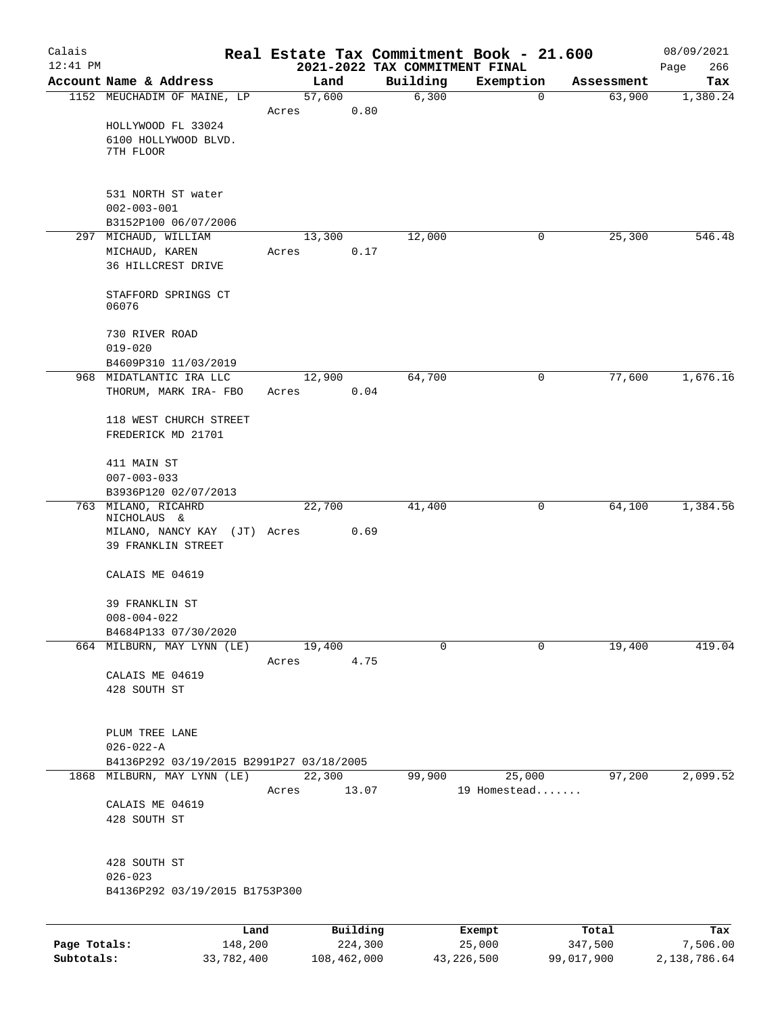| Calais       |                                             |                 |             | Real Estate Tax Commitment Book - 21.600   |                        |            | 08/09/2021         |
|--------------|---------------------------------------------|-----------------|-------------|--------------------------------------------|------------------------|------------|--------------------|
| $12:41$ PM   | Account Name & Address                      |                 | Land        | 2021-2022 TAX COMMITMENT FINAL<br>Building | Exemption              | Assessment | 266<br>Page<br>Tax |
|              | 1152 MEUCHADIM OF MAINE, LP                 | 57,600          |             | 6,300                                      | $\mathbf 0$            | 63,900     | 1,380.24           |
|              |                                             | Acres           | 0.80        |                                            |                        |            |                    |
|              | HOLLYWOOD FL 33024                          |                 |             |                                            |                        |            |                    |
|              | 6100 HOLLYWOOD BLVD.                        |                 |             |                                            |                        |            |                    |
|              | 7TH FLOOR                                   |                 |             |                                            |                        |            |                    |
|              | 531 NORTH ST water                          |                 |             |                                            |                        |            |                    |
|              | $002 - 003 - 001$                           |                 |             |                                            |                        |            |                    |
|              | B3152P100 06/07/2006                        |                 |             |                                            |                        |            |                    |
|              | 297 MICHAUD, WILLIAM                        | 13,300          |             | 12,000                                     | 0                      | 25,300     | 546.48             |
|              | MICHAUD, KAREN                              | Acres           | 0.17        |                                            |                        |            |                    |
|              | 36 HILLCREST DRIVE                          |                 |             |                                            |                        |            |                    |
|              | STAFFORD SPRINGS CT<br>06076                |                 |             |                                            |                        |            |                    |
|              | 730 RIVER ROAD                              |                 |             |                                            |                        |            |                    |
|              | $019 - 020$                                 |                 |             |                                            |                        |            |                    |
|              | B4609P310 11/03/2019                        |                 |             |                                            |                        |            |                    |
|              | 968 MIDATLANTIC IRA LLC                     | 12,900          |             | 64,700                                     | 0                      | 77,600     | 1,676.16           |
|              | THORUM, MARK IRA- FBO                       | Acres           | 0.04        |                                            |                        |            |                    |
|              | 118 WEST CHURCH STREET                      |                 |             |                                            |                        |            |                    |
|              | FREDERICK MD 21701                          |                 |             |                                            |                        |            |                    |
|              | 411 MAIN ST                                 |                 |             |                                            |                        |            |                    |
|              | $007 - 003 - 033$                           |                 |             |                                            |                        |            |                    |
|              | B3936P120 02/07/2013                        |                 |             |                                            |                        |            |                    |
|              | 763 MILANO, RICAHRD                         | 22,700          |             | 41,400                                     | 0                      | 64,100     | 1,384.56           |
|              | NICHOLAUS &<br>MILANO, NANCY KAY (JT) Acres |                 | 0.69        |                                            |                        |            |                    |
|              | 39 FRANKLIN STREET                          |                 |             |                                            |                        |            |                    |
|              | CALAIS ME 04619                             |                 |             |                                            |                        |            |                    |
|              |                                             |                 |             |                                            |                        |            |                    |
|              | 39 FRANKLIN ST                              |                 |             |                                            |                        |            |                    |
|              | $008 - 004 - 022$<br>B4684P133 07/30/2020   |                 |             |                                            |                        |            |                    |
|              | 664 MILBURN, MAY LYNN (LE)                  | 19,400          |             | $\Omega$                                   | 0                      | 19,400     | 419.04             |
|              |                                             | Acres           | 4.75        |                                            |                        |            |                    |
|              | CALAIS ME 04619                             |                 |             |                                            |                        |            |                    |
|              | 428 SOUTH ST                                |                 |             |                                            |                        |            |                    |
|              |                                             |                 |             |                                            |                        |            |                    |
|              | PLUM TREE LANE                              |                 |             |                                            |                        |            |                    |
|              | $026 - 022 - A$                             |                 |             |                                            |                        |            |                    |
|              | B4136P292 03/19/2015 B2991P27 03/18/2005    |                 |             |                                            |                        |            |                    |
|              | 1868 MILBURN, MAY LYNN (LE)                 | 22,300<br>Acres | 13.07       | 99,900                                     | 25,000<br>19 Homestead | 97,200     | 2,099.52           |
|              | CALAIS ME 04619                             |                 |             |                                            |                        |            |                    |
|              | 428 SOUTH ST                                |                 |             |                                            |                        |            |                    |
|              |                                             |                 |             |                                            |                        |            |                    |
|              | 428 SOUTH ST                                |                 |             |                                            |                        |            |                    |
|              | $026 - 023$                                 |                 |             |                                            |                        |            |                    |
|              | B4136P292 03/19/2015 B1753P300              |                 |             |                                            |                        |            |                    |
|              | Land                                        |                 | Building    |                                            | Exempt                 | Total      | Tax                |
| Page Totals: | 148,200                                     |                 | 224,300     |                                            | 25,000                 | 347,500    | 7,506.00           |
| Subtotals:   | 33,782,400                                  |                 | 108,462,000 |                                            | 43, 226, 500           | 99,017,900 | 2,138,786.64       |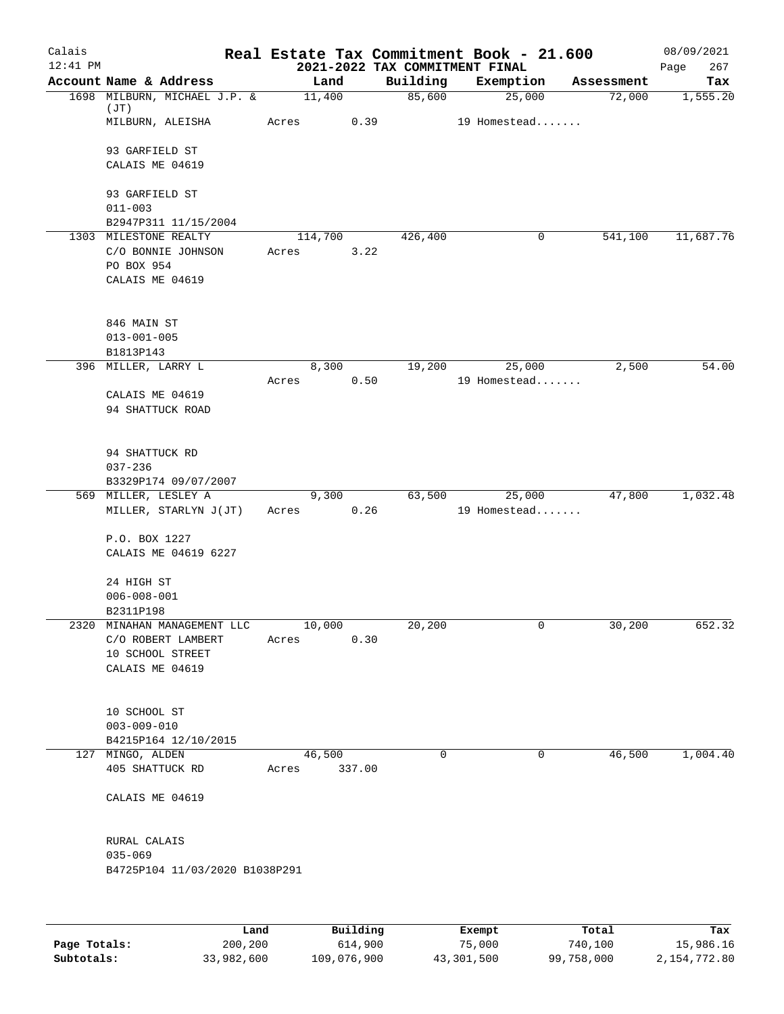| Calais<br>$12:41$ PM |                                                   |      |                  |          |          | Real Estate Tax Commitment Book - 21.600<br>2021-2022 TAX COMMITMENT FINAL |            | 08/09/2021<br>267<br>Page |
|----------------------|---------------------------------------------------|------|------------------|----------|----------|----------------------------------------------------------------------------|------------|---------------------------|
|                      | Account Name & Address                            |      |                  | Land     | Building | Exemption                                                                  | Assessment | Tax                       |
|                      | 1698 MILBURN, MICHAEL J.P. &                      |      | 11,400           |          | 85,600   | 25,000                                                                     | 72,000     | 1,555.20                  |
|                      | (JT)<br>MILBURN, ALEISHA                          |      | Acres            | 0.39     |          | 19 Homestead                                                               |            |                           |
|                      | 93 GARFIELD ST                                    |      |                  |          |          |                                                                            |            |                           |
|                      | CALAIS ME 04619                                   |      |                  |          |          |                                                                            |            |                           |
|                      | 93 GARFIELD ST                                    |      |                  |          |          |                                                                            |            |                           |
|                      | $011 - 003$                                       |      |                  |          |          |                                                                            |            |                           |
|                      | B2947P311 11/15/2004                              |      |                  |          |          |                                                                            |            |                           |
|                      | 1303 MILESTONE REALTY<br>C/O BONNIE JOHNSON       |      | 114,700<br>Acres | 3.22     | 426,400  | 0                                                                          | 541,100    | 11,687.76                 |
|                      | PO BOX 954                                        |      |                  |          |          |                                                                            |            |                           |
|                      | CALAIS ME 04619                                   |      |                  |          |          |                                                                            |            |                           |
|                      |                                                   |      |                  |          |          |                                                                            |            |                           |
|                      | 846 MAIN ST                                       |      |                  |          |          |                                                                            |            |                           |
|                      | $013 - 001 - 005$<br>B1813P143                    |      |                  |          |          |                                                                            |            |                           |
|                      | 396 MILLER, LARRY L                               |      |                  | 8,300    | 19,200   | 25,000                                                                     | 2,500      | 54.00                     |
|                      |                                                   |      | Acres            | 0.50     |          | 19 Homestead                                                               |            |                           |
|                      | CALAIS ME 04619                                   |      |                  |          |          |                                                                            |            |                           |
|                      | 94 SHATTUCK ROAD                                  |      |                  |          |          |                                                                            |            |                           |
|                      | 94 SHATTUCK RD                                    |      |                  |          |          |                                                                            |            |                           |
|                      | $037 - 236$                                       |      |                  |          |          |                                                                            |            |                           |
|                      | B3329P174 09/07/2007                              |      |                  |          |          |                                                                            |            |                           |
|                      | 569 MILLER, LESLEY A                              |      |                  | 9,300    | 63,500   | 25,000                                                                     | 47,800     | 1,032.48                  |
|                      | MILLER, STARLYN J(JT)                             |      | Acres            | 0.26     |          | 19 Homestead                                                               |            |                           |
|                      | P.O. BOX 1227                                     |      |                  |          |          |                                                                            |            |                           |
|                      | CALAIS ME 04619 6227                              |      |                  |          |          |                                                                            |            |                           |
|                      | 24 HIGH ST                                        |      |                  |          |          |                                                                            |            |                           |
|                      | $006 - 008 - 001$                                 |      |                  |          |          |                                                                            |            |                           |
|                      | B2311P198                                         |      |                  |          |          |                                                                            |            |                           |
|                      | 2320 MINAHAN MANAGEMENT LLC<br>C/O ROBERT LAMBERT |      | 10,000<br>Acres  | 0.30     | 20, 200  | 0                                                                          | 30,200     | 652.32                    |
|                      | 10 SCHOOL STREET                                  |      |                  |          |          |                                                                            |            |                           |
|                      | CALAIS ME 04619                                   |      |                  |          |          |                                                                            |            |                           |
|                      |                                                   |      |                  |          |          |                                                                            |            |                           |
|                      | 10 SCHOOL ST<br>$003 - 009 - 010$                 |      |                  |          |          |                                                                            |            |                           |
|                      | B4215P164 12/10/2015                              |      |                  |          |          |                                                                            |            |                           |
|                      | 127 MINGO, ALDEN                                  |      | 46,500           |          | $\Omega$ | 0                                                                          | 46,500     | 1,004.40                  |
|                      | 405 SHATTUCK RD                                   |      | Acres            | 337.00   |          |                                                                            |            |                           |
|                      | CALAIS ME 04619                                   |      |                  |          |          |                                                                            |            |                           |
|                      | RURAL CALAIS                                      |      |                  |          |          |                                                                            |            |                           |
|                      | $035 - 069$                                       |      |                  |          |          |                                                                            |            |                           |
|                      | B4725P104 11/03/2020 B1038P291                    |      |                  |          |          |                                                                            |            |                           |
|                      |                                                   |      |                  |          |          |                                                                            |            |                           |
|                      |                                                   | Land |                  | Building |          | Exempt                                                                     | Total      | Tax                       |

|              | Land       | Building    | Exempt     | Total      | Tax          |
|--------------|------------|-------------|------------|------------|--------------|
| Page Totals: | 200,200    | 614,900     | 75,000     | 740,100    | 15,986.16    |
| Subtotals:   | 33,982,600 | 109,076,900 | 43,301,500 | 99,758,000 | 2,154,772.80 |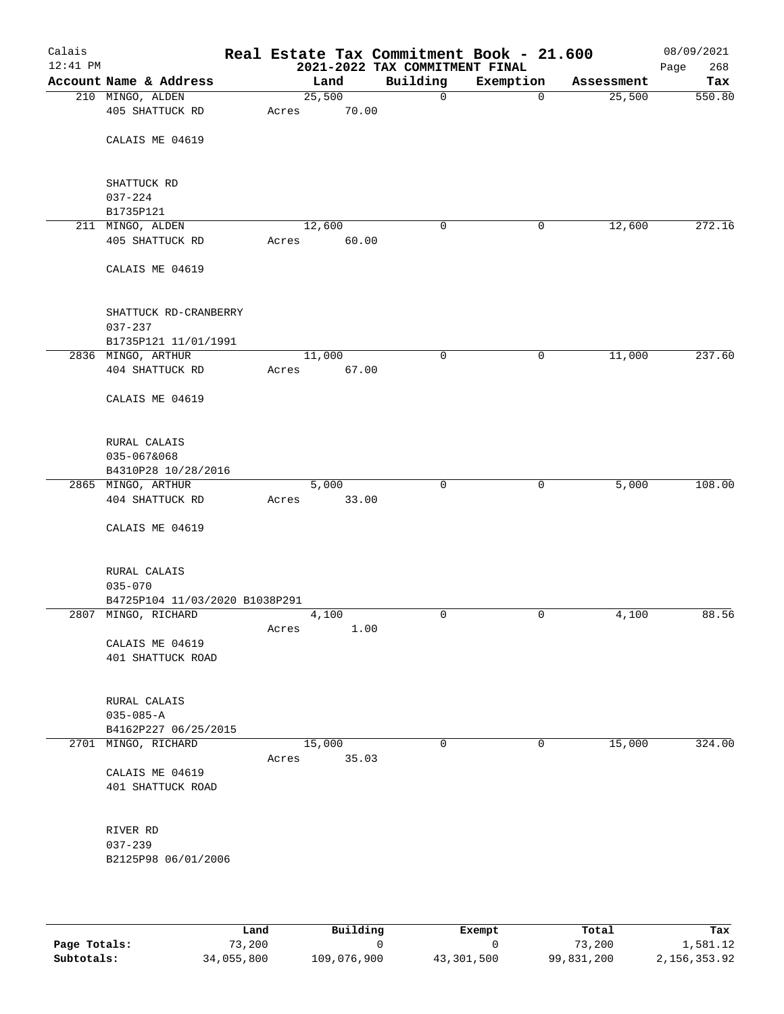| Calais<br>$12:41$ PM |                                 |        |       | Real Estate Tax Commitment Book - 21.600<br>2021-2022 TAX COMMITMENT FINAL |              |            | 08/09/2021<br>268<br>Page |
|----------------------|---------------------------------|--------|-------|----------------------------------------------------------------------------|--------------|------------|---------------------------|
|                      | Account Name & Address          |        | Land  | Building                                                                   | Exemption    | Assessment | Tax                       |
|                      | 210 MINGO, ALDEN                | 25,500 |       | $\mathsf{O}$                                                               | $\mathbf 0$  | 25,500     | 550.80                    |
|                      | 405 SHATTUCK RD                 | Acres  | 70.00 |                                                                            |              |            |                           |
|                      |                                 |        |       |                                                                            |              |            |                           |
|                      | CALAIS ME 04619                 |        |       |                                                                            |              |            |                           |
|                      |                                 |        |       |                                                                            |              |            |                           |
|                      |                                 |        |       |                                                                            |              |            |                           |
|                      | SHATTUCK RD<br>$037 - 224$      |        |       |                                                                            |              |            |                           |
|                      | B1735P121                       |        |       |                                                                            |              |            |                           |
|                      | 211 MINGO, ALDEN                | 12,600 |       | $\mathbf 0$                                                                | 0            | 12,600     | 272.16                    |
|                      | 405 SHATTUCK RD                 | Acres  | 60.00 |                                                                            |              |            |                           |
|                      |                                 |        |       |                                                                            |              |            |                           |
|                      | CALAIS ME 04619                 |        |       |                                                                            |              |            |                           |
|                      |                                 |        |       |                                                                            |              |            |                           |
|                      |                                 |        |       |                                                                            |              |            |                           |
|                      | SHATTUCK RD-CRANBERRY           |        |       |                                                                            |              |            |                           |
|                      | $037 - 237$                     |        |       |                                                                            |              |            |                           |
|                      | B1735P121 11/01/1991            |        |       |                                                                            |              |            |                           |
|                      | 2836 MINGO, ARTHUR              | 11,000 |       | 0                                                                          | $\mathsf{O}$ | 11,000     | 237.60                    |
|                      | 404 SHATTUCK RD                 | Acres  | 67.00 |                                                                            |              |            |                           |
|                      | CALAIS ME 04619                 |        |       |                                                                            |              |            |                           |
|                      |                                 |        |       |                                                                            |              |            |                           |
|                      |                                 |        |       |                                                                            |              |            |                           |
|                      | RURAL CALAIS                    |        |       |                                                                            |              |            |                           |
|                      | 035-067&068                     |        |       |                                                                            |              |            |                           |
|                      | B4310P28 10/28/2016             |        |       |                                                                            |              |            |                           |
|                      | 2865 MINGO, ARTHUR              |        | 5,000 | $\mathbf 0$                                                                | 0            | 5,000      | 108.00                    |
|                      | 404 SHATTUCK RD                 | Acres  | 33.00 |                                                                            |              |            |                           |
|                      |                                 |        |       |                                                                            |              |            |                           |
|                      | CALAIS ME 04619                 |        |       |                                                                            |              |            |                           |
|                      |                                 |        |       |                                                                            |              |            |                           |
|                      | RURAL CALAIS                    |        |       |                                                                            |              |            |                           |
|                      | $035 - 070$                     |        |       |                                                                            |              |            |                           |
|                      | B4725P104 11/03/2020 B1038P291  |        |       |                                                                            |              |            |                           |
|                      | 2807 MINGO, RICHARD             |        | 4,100 | $\mathbf 0$                                                                | $\mathbf 0$  | 4,100      | 88.56                     |
|                      |                                 | Acres  | 1.00  |                                                                            |              |            |                           |
|                      | CALAIS ME 04619                 |        |       |                                                                            |              |            |                           |
|                      | 401 SHATTUCK ROAD               |        |       |                                                                            |              |            |                           |
|                      |                                 |        |       |                                                                            |              |            |                           |
|                      |                                 |        |       |                                                                            |              |            |                           |
|                      | RURAL CALAIS<br>$035 - 085 - A$ |        |       |                                                                            |              |            |                           |
|                      | B4162P227 06/25/2015            |        |       |                                                                            |              |            |                           |
|                      | 2701 MINGO, RICHARD             | 15,000 |       | 0                                                                          | 0            | 15,000     | 324.00                    |
|                      |                                 | Acres  | 35.03 |                                                                            |              |            |                           |
|                      | CALAIS ME 04619                 |        |       |                                                                            |              |            |                           |
|                      | 401 SHATTUCK ROAD               |        |       |                                                                            |              |            |                           |
|                      |                                 |        |       |                                                                            |              |            |                           |
|                      |                                 |        |       |                                                                            |              |            |                           |
|                      | RIVER RD                        |        |       |                                                                            |              |            |                           |
|                      | $037 - 239$                     |        |       |                                                                            |              |            |                           |
|                      | B2125P98 06/01/2006             |        |       |                                                                            |              |            |                           |
|                      |                                 |        |       |                                                                            |              |            |                           |
|                      |                                 |        |       |                                                                            |              |            |                           |

|              | Land       | Building    | Exempt     | Total      | Tax          |
|--------------|------------|-------------|------------|------------|--------------|
| Page Totals: | 73,200     |             |            | 73,200     | 1,581.12     |
| Subtotals:   | 34,055,800 | 109,076,900 | 43,301,500 | 99,831,200 | 2,156,353.92 |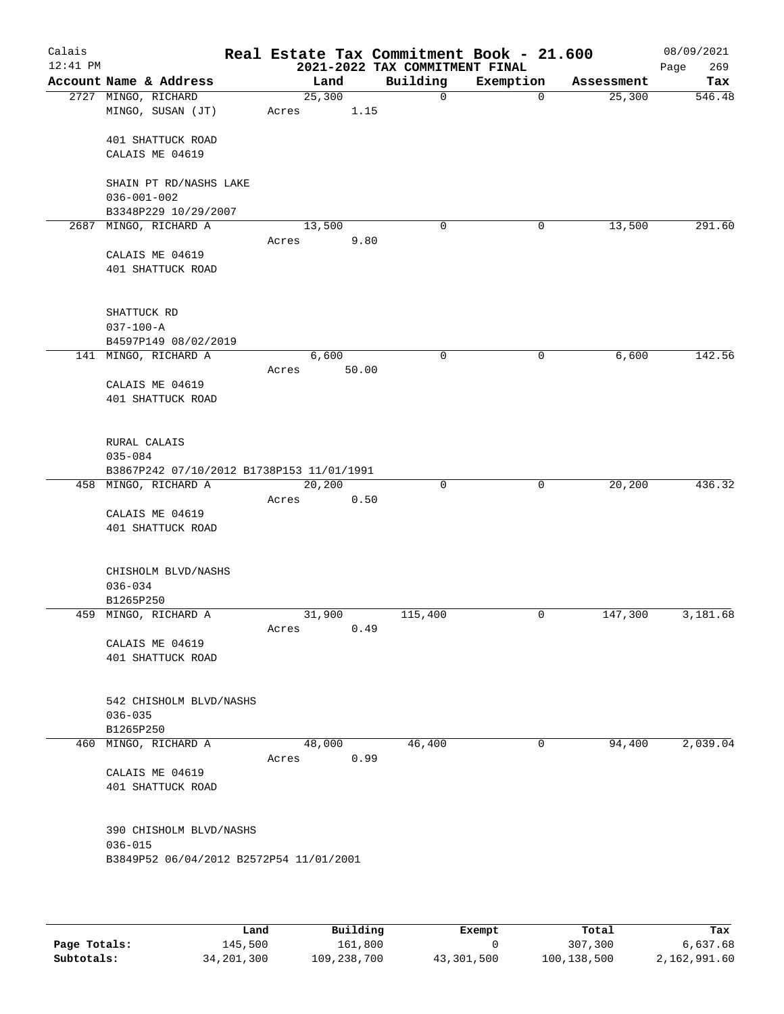| Calais<br>$12:41$ PM |                                           |        |       | Real Estate Tax Commitment Book - 21.600<br>2021-2022 TAX COMMITMENT FINAL |              |            | 08/09/2021<br>269<br>Page |
|----------------------|-------------------------------------------|--------|-------|----------------------------------------------------------------------------|--------------|------------|---------------------------|
|                      | Account Name & Address                    | Land   |       | Building                                                                   | Exemption    | Assessment | Tax                       |
|                      | 2727 MINGO, RICHARD                       | 25,300 |       | $\mathsf{O}$                                                               | $\mathbf 0$  | 25,300     | 546.48                    |
|                      | MINGO, SUSAN (JT)                         | Acres  | 1.15  |                                                                            |              |            |                           |
|                      | 401 SHATTUCK ROAD                         |        |       |                                                                            |              |            |                           |
|                      | CALAIS ME 04619                           |        |       |                                                                            |              |            |                           |
|                      |                                           |        |       |                                                                            |              |            |                           |
|                      | SHAIN PT RD/NASHS LAKE                    |        |       |                                                                            |              |            |                           |
|                      | $036 - 001 - 002$                         |        |       |                                                                            |              |            |                           |
|                      | B3348P229 10/29/2007                      |        |       |                                                                            |              |            |                           |
|                      | 2687 MINGO, RICHARD A                     | 13,500 |       | 0                                                                          | 0            | 13,500     | 291.60                    |
|                      |                                           | Acres  | 9.80  |                                                                            |              |            |                           |
|                      | CALAIS ME 04619                           |        |       |                                                                            |              |            |                           |
|                      | 401 SHATTUCK ROAD                         |        |       |                                                                            |              |            |                           |
|                      |                                           |        |       |                                                                            |              |            |                           |
|                      |                                           |        |       |                                                                            |              |            |                           |
|                      | SHATTUCK RD                               |        |       |                                                                            |              |            |                           |
|                      | $037 - 100 - A$                           |        |       |                                                                            |              |            |                           |
|                      | B4597P149 08/02/2019                      |        |       |                                                                            |              |            |                           |
|                      | 141 MINGO, RICHARD A                      | 6,600  |       | 0                                                                          | $\mathsf{O}$ | 6,600      | 142.56                    |
|                      |                                           | Acres  | 50.00 |                                                                            |              |            |                           |
|                      | CALAIS ME 04619                           |        |       |                                                                            |              |            |                           |
|                      | 401 SHATTUCK ROAD                         |        |       |                                                                            |              |            |                           |
|                      |                                           |        |       |                                                                            |              |            |                           |
|                      | RURAL CALAIS                              |        |       |                                                                            |              |            |                           |
|                      | $035 - 084$                               |        |       |                                                                            |              |            |                           |
|                      | B3867P242 07/10/2012 B1738P153 11/01/1991 |        |       |                                                                            |              |            |                           |
|                      | 458 MINGO, RICHARD A                      | 20,200 |       | $\mathbf 0$                                                                | $\mathbf 0$  | 20,200     | 436.32                    |
|                      |                                           | Acres  | 0.50  |                                                                            |              |            |                           |
|                      | CALAIS ME 04619                           |        |       |                                                                            |              |            |                           |
|                      | 401 SHATTUCK ROAD                         |        |       |                                                                            |              |            |                           |
|                      |                                           |        |       |                                                                            |              |            |                           |
|                      | CHISHOLM BLVD/NASHS                       |        |       |                                                                            |              |            |                           |
|                      | $036 - 034$                               |        |       |                                                                            |              |            |                           |
|                      | B1265P250                                 |        |       |                                                                            |              |            |                           |
|                      | 459 MINGO, RICHARD A                      | 31,900 |       | 115,400                                                                    | 0            | 147,300    | 3,181.68                  |
|                      |                                           | Acres  | 0.49  |                                                                            |              |            |                           |
|                      | CALAIS ME 04619                           |        |       |                                                                            |              |            |                           |
|                      | 401 SHATTUCK ROAD                         |        |       |                                                                            |              |            |                           |
|                      |                                           |        |       |                                                                            |              |            |                           |
|                      | 542 CHISHOLM BLVD/NASHS                   |        |       |                                                                            |              |            |                           |
|                      | $036 - 035$                               |        |       |                                                                            |              |            |                           |
|                      | B1265P250                                 |        |       |                                                                            |              |            |                           |
|                      | 460 MINGO, RICHARD A                      | 48,000 |       | 46,400                                                                     | 0            | 94,400     | 2,039.04                  |
|                      |                                           | Acres  | 0.99  |                                                                            |              |            |                           |
|                      | CALAIS ME 04619                           |        |       |                                                                            |              |            |                           |
|                      | 401 SHATTUCK ROAD                         |        |       |                                                                            |              |            |                           |
|                      |                                           |        |       |                                                                            |              |            |                           |
|                      |                                           |        |       |                                                                            |              |            |                           |
|                      | 390 CHISHOLM BLVD/NASHS                   |        |       |                                                                            |              |            |                           |
|                      | $036 - 015$                               |        |       |                                                                            |              |            |                           |
|                      | B3849P52 06/04/2012 B2572P54 11/01/2001   |        |       |                                                                            |              |            |                           |
|                      |                                           |        |       |                                                                            |              |            |                           |
|                      |                                           |        |       |                                                                            |              |            |                           |

|              | Land         | Building    | Exempt     | Total       | Tax          |
|--------------|--------------|-------------|------------|-------------|--------------|
| Page Totals: | 145,500      | 161,800     |            | 307,300     | 6,637.68     |
| Subtotals:   | 34, 201, 300 | 109,238,700 | 43,301,500 | 100,138,500 | 2,162,991.60 |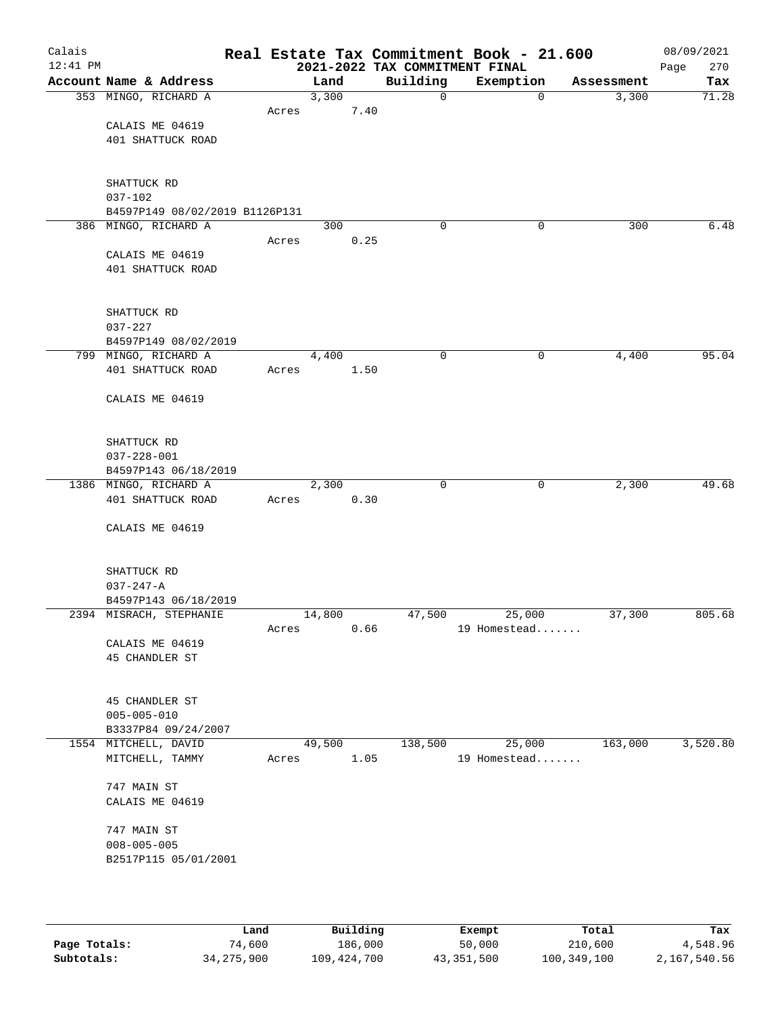| Calais<br>$12:41$ PM |                                             |       |        |      | Real Estate Tax Commitment Book - 21.600<br>2021-2022 TAX COMMITMENT FINAL |              |              |            | 08/09/2021<br>270<br>Page |
|----------------------|---------------------------------------------|-------|--------|------|----------------------------------------------------------------------------|--------------|--------------|------------|---------------------------|
|                      | Account Name & Address                      |       | Land   |      | Building                                                                   | Exemption    |              | Assessment | Tax                       |
|                      | 353 MINGO, RICHARD A                        |       | 3,300  |      | $\mathbf 0$                                                                |              | $\mathbf 0$  | 3,300      | 71.28                     |
|                      |                                             | Acres |        | 7.40 |                                                                            |              |              |            |                           |
|                      | CALAIS ME 04619                             |       |        |      |                                                                            |              |              |            |                           |
|                      | 401 SHATTUCK ROAD                           |       |        |      |                                                                            |              |              |            |                           |
|                      |                                             |       |        |      |                                                                            |              |              |            |                           |
|                      |                                             |       |        |      |                                                                            |              |              |            |                           |
|                      | SHATTUCK RD                                 |       |        |      |                                                                            |              |              |            |                           |
|                      | $037 - 102$                                 |       |        |      |                                                                            |              |              |            |                           |
|                      | B4597P149 08/02/2019 B1126P131              |       |        |      |                                                                            |              |              |            |                           |
|                      | 386 MINGO, RICHARD A                        |       | 300    |      | $\Omega$                                                                   |              | 0            | 300        | 6.48                      |
|                      |                                             | Acres |        | 0.25 |                                                                            |              |              |            |                           |
|                      | CALAIS ME 04619<br>401 SHATTUCK ROAD        |       |        |      |                                                                            |              |              |            |                           |
|                      |                                             |       |        |      |                                                                            |              |              |            |                           |
|                      |                                             |       |        |      |                                                                            |              |              |            |                           |
|                      | SHATTUCK RD                                 |       |        |      |                                                                            |              |              |            |                           |
|                      | $037 - 227$                                 |       |        |      |                                                                            |              |              |            |                           |
|                      | B4597P149 08/02/2019                        |       |        |      |                                                                            |              |              |            |                           |
|                      | 799 MINGO, RICHARD A                        |       | 4,400  |      | $\mathbf 0$                                                                |              | $\mathsf{O}$ | 4,400      | 95.04                     |
|                      | 401 SHATTUCK ROAD                           | Acres |        | 1.50 |                                                                            |              |              |            |                           |
|                      |                                             |       |        |      |                                                                            |              |              |            |                           |
|                      | CALAIS ME 04619                             |       |        |      |                                                                            |              |              |            |                           |
|                      |                                             |       |        |      |                                                                            |              |              |            |                           |
|                      |                                             |       |        |      |                                                                            |              |              |            |                           |
|                      | SHATTUCK RD                                 |       |        |      |                                                                            |              |              |            |                           |
|                      | $037 - 228 - 001$                           |       |        |      |                                                                            |              |              |            |                           |
|                      | B4597P143 06/18/2019                        |       |        |      |                                                                            |              |              |            |                           |
|                      | 1386 MINGO, RICHARD A                       |       | 2,300  |      | $\mathbf 0$                                                                |              | $\mathbf 0$  | 2,300      | 49.68                     |
|                      | 401 SHATTUCK ROAD                           | Acres |        | 0.30 |                                                                            |              |              |            |                           |
|                      | CALAIS ME 04619                             |       |        |      |                                                                            |              |              |            |                           |
|                      |                                             |       |        |      |                                                                            |              |              |            |                           |
|                      |                                             |       |        |      |                                                                            |              |              |            |                           |
|                      | SHATTUCK RD                                 |       |        |      |                                                                            |              |              |            |                           |
|                      | $037 - 247 - A$                             |       |        |      |                                                                            |              |              |            |                           |
|                      | B4597P143 06/18/2019                        |       |        |      |                                                                            |              |              |            |                           |
|                      | 2394 MISRACH, STEPHANIE                     |       | 14,800 |      | 47,500                                                                     | 25,000       |              | 37,300     | 805.68                    |
|                      |                                             | Acres |        | 0.66 |                                                                            | 19 Homestead |              |            |                           |
|                      | CALAIS ME 04619                             |       |        |      |                                                                            |              |              |            |                           |
|                      | 45 CHANDLER ST                              |       |        |      |                                                                            |              |              |            |                           |
|                      |                                             |       |        |      |                                                                            |              |              |            |                           |
|                      |                                             |       |        |      |                                                                            |              |              |            |                           |
|                      | 45 CHANDLER ST                              |       |        |      |                                                                            |              |              |            |                           |
|                      | $005 - 005 - 010$                           |       |        |      |                                                                            |              |              |            |                           |
|                      | B3337P84 09/24/2007<br>1554 MITCHELL, DAVID |       | 49,500 |      | 138,500                                                                    | 25,000       |              | 163,000    | 3,520.80                  |
|                      | MITCHELL, TAMMY                             | Acres |        | 1.05 |                                                                            | 19 Homestead |              |            |                           |
|                      |                                             |       |        |      |                                                                            |              |              |            |                           |
|                      | 747 MAIN ST                                 |       |        |      |                                                                            |              |              |            |                           |
|                      | CALAIS ME 04619                             |       |        |      |                                                                            |              |              |            |                           |
|                      |                                             |       |        |      |                                                                            |              |              |            |                           |
|                      | 747 MAIN ST                                 |       |        |      |                                                                            |              |              |            |                           |
|                      | $008 - 005 - 005$                           |       |        |      |                                                                            |              |              |            |                           |
|                      | B2517P115 05/01/2001                        |       |        |      |                                                                            |              |              |            |                           |
|                      |                                             |       |        |      |                                                                            |              |              |            |                           |
|                      |                                             |       |        |      |                                                                            |              |              |            |                           |
|                      |                                             |       |        |      |                                                                            |              |              |            |                           |

|              | Land         | Building    | Exempt     | Total       | Tax          |
|--------------|--------------|-------------|------------|-------------|--------------|
| Page Totals: | 74,600       | 186,000     | 50,000     | 210,600     | 4,548.96     |
| Subtotals:   | 34, 275, 900 | 109,424,700 | 43,351,500 | 100,349,100 | 2,167,540.56 |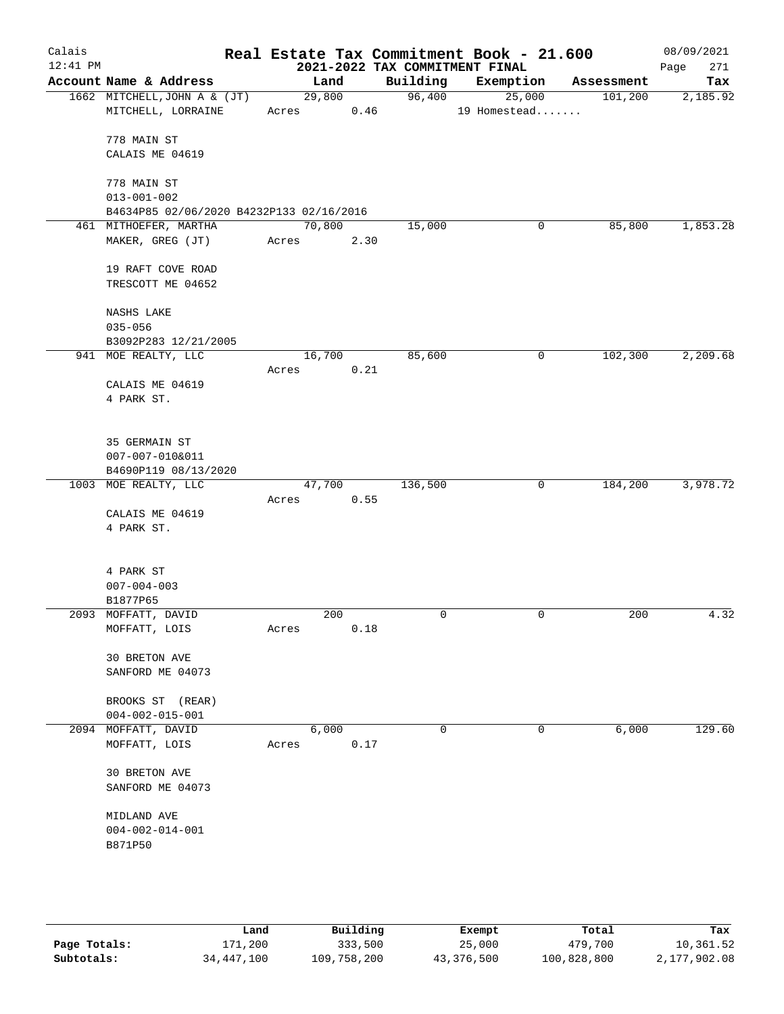| Calais<br>$12:41$ PM |                                                               |       |        |      |             | Real Estate Tax Commitment Book - 21.600<br>2021-2022 TAX COMMITMENT FINAL |            | 08/09/2021<br>271<br>Page |
|----------------------|---------------------------------------------------------------|-------|--------|------|-------------|----------------------------------------------------------------------------|------------|---------------------------|
|                      | Account Name & Address                                        |       | Land   |      | Building    | Exemption                                                                  | Assessment | Tax                       |
|                      | 1662 MITCHELL, JOHN A & (JT)<br>MITCHELL, LORRAINE            | Acres | 29,800 | 0.46 |             | 96,400<br>25,000<br>19 Homestead                                           | 101, 200   | 2,185.92                  |
|                      | 778 MAIN ST                                                   |       |        |      |             |                                                                            |            |                           |
|                      | CALAIS ME 04619                                               |       |        |      |             |                                                                            |            |                           |
|                      | 778 MAIN ST                                                   |       |        |      |             |                                                                            |            |                           |
|                      | $013 - 001 - 002$<br>B4634P85 02/06/2020 B4232P133 02/16/2016 |       |        |      |             |                                                                            |            |                           |
|                      | 461 MITHOEFER, MARTHA                                         |       | 70,800 |      | 15,000      | 0                                                                          | 85,800     | 1,853.28                  |
|                      | MAKER, GREG (JT)                                              | Acres |        | 2.30 |             |                                                                            |            |                           |
|                      | 19 RAFT COVE ROAD<br>TRESCOTT ME 04652                        |       |        |      |             |                                                                            |            |                           |
|                      | NASHS LAKE                                                    |       |        |      |             |                                                                            |            |                           |
|                      | $035 - 056$                                                   |       |        |      |             |                                                                            |            |                           |
|                      | B3092P283 12/21/2005                                          |       |        |      |             |                                                                            |            |                           |
|                      | 941 MOE REALTY, LLC                                           | Acres | 16,700 | 0.21 | 85,600      | 0                                                                          | 102,300    | 2,209.68                  |
|                      | CALAIS ME 04619                                               |       |        |      |             |                                                                            |            |                           |
|                      | 4 PARK ST.                                                    |       |        |      |             |                                                                            |            |                           |
|                      | 35 GERMAIN ST                                                 |       |        |      |             |                                                                            |            |                           |
|                      | 007-007-010&011                                               |       |        |      |             |                                                                            |            |                           |
|                      | B4690P119 08/13/2020                                          |       |        |      |             |                                                                            |            |                           |
|                      | 1003 MOE REALTY, LLC                                          |       | 47,700 |      | 136,500     | $\mathbf 0$                                                                | 184,200    | 3,978.72                  |
|                      |                                                               | Acres |        | 0.55 |             |                                                                            |            |                           |
|                      | CALAIS ME 04619<br>4 PARK ST.                                 |       |        |      |             |                                                                            |            |                           |
|                      |                                                               |       |        |      |             |                                                                            |            |                           |
|                      | 4 PARK ST                                                     |       |        |      |             |                                                                            |            |                           |
|                      | $007 - 004 - 003$                                             |       |        |      |             |                                                                            |            |                           |
|                      | B1877P65                                                      |       |        |      |             |                                                                            |            |                           |
|                      | 2093 MOFFATT, DAVID<br>MOFFATT, LOIS                          | Acres | 200    | 0.18 | $\mathbf 0$ | $\mathbf 0$                                                                | 200        | 4.32                      |
|                      | 30 BRETON AVE                                                 |       |        |      |             |                                                                            |            |                           |
|                      | SANFORD ME 04073                                              |       |        |      |             |                                                                            |            |                           |
|                      | BROOKS ST (REAR)                                              |       |        |      |             |                                                                            |            |                           |
|                      | $004 - 002 - 015 - 001$<br>2094 MOFFATT, DAVID                |       | 6,000  |      | $\mathbf 0$ | 0                                                                          | 6,000      | 129.60                    |
|                      | MOFFATT, LOIS                                                 | Acres |        | 0.17 |             |                                                                            |            |                           |
|                      |                                                               |       |        |      |             |                                                                            |            |                           |
|                      | 30 BRETON AVE<br>SANFORD ME 04073                             |       |        |      |             |                                                                            |            |                           |
|                      | MIDLAND AVE                                                   |       |        |      |             |                                                                            |            |                           |
|                      | $004 - 002 - 014 - 001$                                       |       |        |      |             |                                                                            |            |                           |
|                      | B871P50                                                       |       |        |      |             |                                                                            |            |                           |
|                      |                                                               |       |        |      |             |                                                                            |            |                           |
|                      |                                                               |       |        |      |             |                                                                            |            |                           |
|                      |                                                               |       |        |      |             |                                                                            |            |                           |
|                      |                                                               |       |        |      |             |                                                                            |            |                           |

|              | Land       | Building    | Exempt     | Total       | Tax          |
|--------------|------------|-------------|------------|-------------|--------------|
| Page Totals: | 171,200    | 333,500     | 25,000     | 479,700     | 10,361.52    |
| Subtotals:   | 34,447,100 | 109,758,200 | 43,376,500 | 100,828,800 | 2,177,902.08 |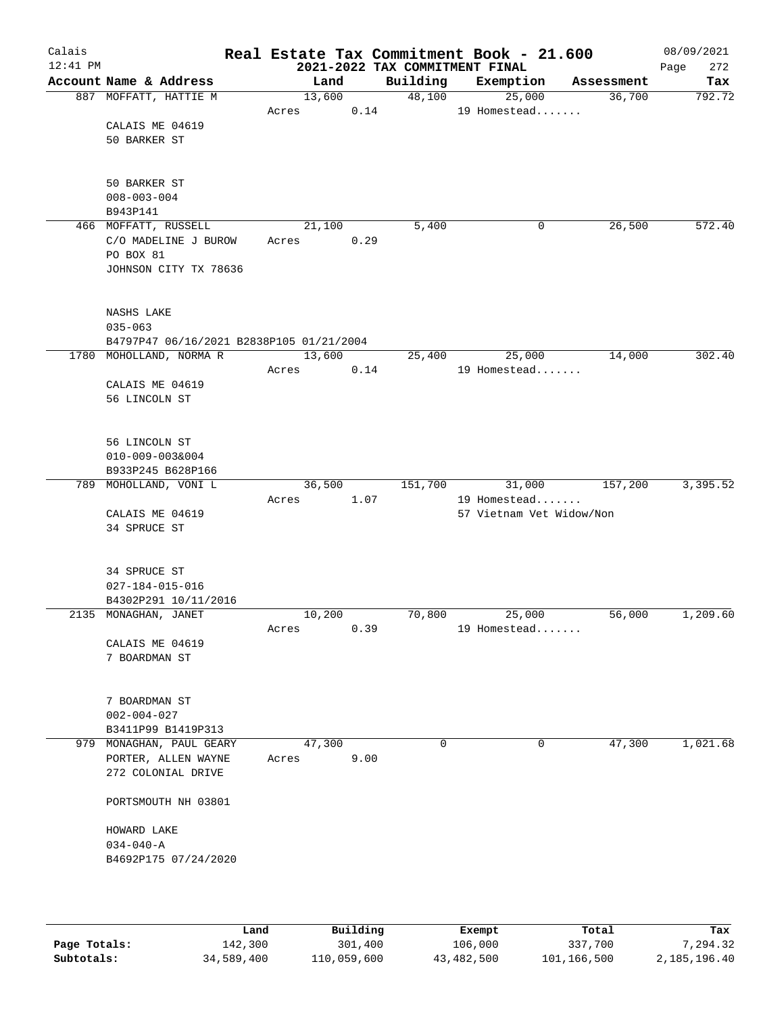| Calais<br>$12:41$ PM |                                                                       |                 |      | 2021-2022 TAX COMMITMENT FINAL | Real Estate Tax Commitment Book - 21.600 |            | 08/09/2021<br>272<br>Page |
|----------------------|-----------------------------------------------------------------------|-----------------|------|--------------------------------|------------------------------------------|------------|---------------------------|
|                      | Account Name & Address                                                | Land            |      | Building                       | Exemption                                | Assessment | Tax                       |
|                      | 887 MOFFATT, HATTIE M                                                 | 13,600<br>Acres | 0.14 | 48,100                         | 25,000<br>19 Homestead                   | 36,700     | 792.72                    |
|                      | CALAIS ME 04619<br>50 BARKER ST                                       |                 |      |                                |                                          |            |                           |
|                      | 50 BARKER ST<br>$008 - 003 - 004$<br>B943P141                         |                 |      |                                |                                          |            |                           |
|                      | 466 MOFFATT, RUSSELL                                                  | 21,100          |      | 5,400                          | 0                                        | 26,500     | 572.40                    |
|                      | C/O MADELINE J BUROW<br>PO BOX 81<br>JOHNSON CITY TX 78636            | Acres           | 0.29 |                                |                                          |            |                           |
|                      | NASHS LAKE<br>$035 - 063$<br>B4797P47 06/16/2021 B2838P105 01/21/2004 |                 |      |                                |                                          |            |                           |
|                      | 1780 MOHOLLAND, NORMAR                                                | 13,600          |      | 25,400                         | 25,000                                   | 14,000     | 302.40                    |
|                      | CALAIS ME 04619<br>56 LINCOLN ST                                      | Acres           | 0.14 |                                | 19 Homestead                             |            |                           |
|                      | 56 LINCOLN ST<br>$010 - 009 - 003&004$<br>B933P245 B628P166           |                 |      |                                |                                          |            |                           |
|                      | 789 MOHOLLAND, VONI L                                                 | 36,500          |      | 151,700                        | 31,000                                   | 157,200    | 3,395.52                  |
|                      | CALAIS ME 04619<br>34 SPRUCE ST                                       | Acres           | 1.07 |                                | 19 Homestead<br>57 Vietnam Vet Widow/Non |            |                           |
|                      | 34 SPRUCE ST<br>$027 - 184 - 015 - 016$<br>B4302P291 10/11/2016       |                 |      |                                |                                          |            |                           |
|                      | 2135 MONAGHAN, JANET                                                  | 10,200          |      | 70,800                         | 25,000                                   | 56,000     | 1,209.60                  |
|                      | CALAIS ME 04619<br>7 BOARDMAN ST                                      | Acres           | 0.39 |                                | 19 Homestead                             |            |                           |
|                      | 7 BOARDMAN ST<br>$002 - 004 - 027$<br>B3411P99 B1419P313              |                 |      |                                |                                          |            |                           |
|                      | 979 MONAGHAN, PAUL GEARY                                              | 47,300          |      | 0                              | 0                                        | 47,300     | 1,021.68                  |
|                      | PORTER, ALLEN WAYNE<br>272 COLONIAL DRIVE                             | Acres           | 9.00 |                                |                                          |            |                           |
|                      | PORTSMOUTH NH 03801                                                   |                 |      |                                |                                          |            |                           |
|                      | HOWARD LAKE<br>$034 - 040 - A$<br>B4692P175 07/24/2020                |                 |      |                                |                                          |            |                           |
|                      |                                                                       |                 |      |                                |                                          |            |                           |

|              | Land       | Building    | Exempt     | Total       | Tax          |
|--------------|------------|-------------|------------|-------------|--------------|
| Page Totals: | 142,300    | 301,400     | 106,000    | 337,700     | 7.294.32     |
| Subtotals:   | 34,589,400 | 110,059,600 | 43,482,500 | 101,166,500 | 2,185,196.40 |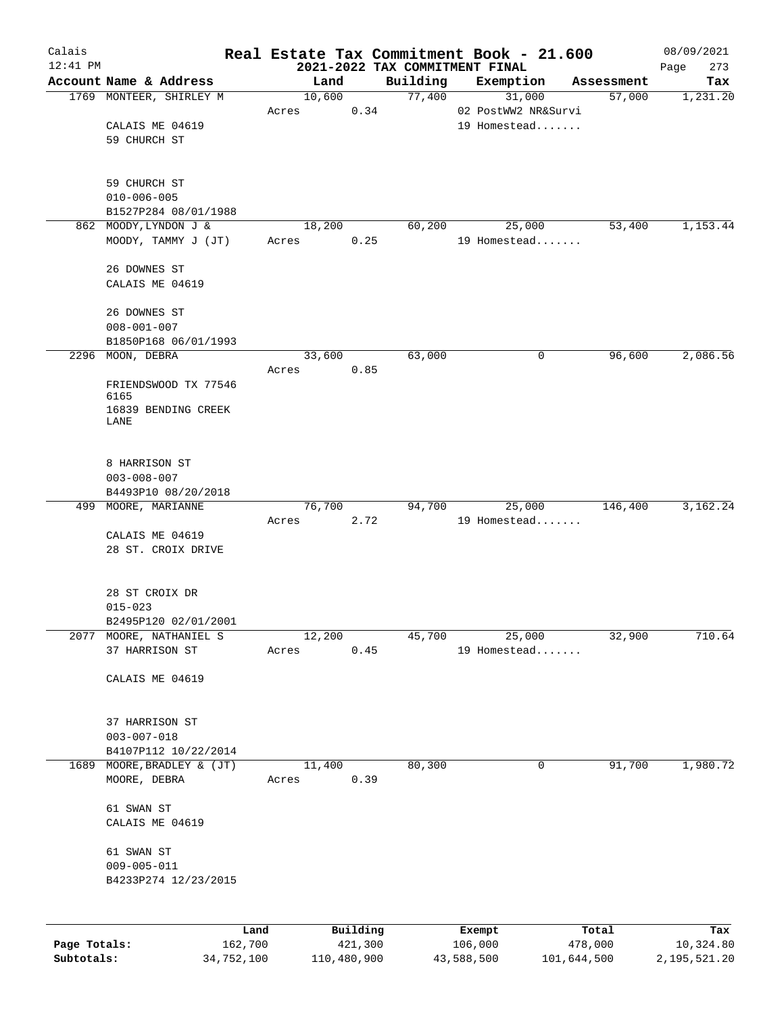| Calais                     |                                           |                 |          |                                            | Real Estate Tax Commitment Book - 21.600 |                      | 08/09/2021                |
|----------------------------|-------------------------------------------|-----------------|----------|--------------------------------------------|------------------------------------------|----------------------|---------------------------|
| $12:41$ PM                 | Account Name & Address                    |                 |          | 2021-2022 TAX COMMITMENT FINAL<br>Building |                                          |                      | 273<br>Page               |
|                            | 1769 MONTEER, SHIRLEY M                   | Land<br>10,600  |          | 77,400                                     | Exemption<br>31,000                      | Assessment<br>57,000 | Tax<br>1,231.20           |
|                            |                                           | Acres           | 0.34     |                                            | 02 PostWW2 NR&Survi                      |                      |                           |
|                            | CALAIS ME 04619                           |                 |          |                                            | 19 Homestead                             |                      |                           |
|                            | 59 CHURCH ST                              |                 |          |                                            |                                          |                      |                           |
|                            |                                           |                 |          |                                            |                                          |                      |                           |
|                            |                                           |                 |          |                                            |                                          |                      |                           |
|                            | 59 CHURCH ST<br>$010 - 006 - 005$         |                 |          |                                            |                                          |                      |                           |
|                            | B1527P284 08/01/1988                      |                 |          |                                            |                                          |                      |                           |
| 862                        | MOODY, LYNDON J &                         | 18,200          |          | 60,200                                     | 25,000                                   | 53,400               | 1,153.44                  |
|                            | MOODY, TAMMY J (JT)                       | Acres           | 0.25     |                                            | 19 Homestead                             |                      |                           |
|                            |                                           |                 |          |                                            |                                          |                      |                           |
|                            | 26 DOWNES ST                              |                 |          |                                            |                                          |                      |                           |
|                            | CALAIS ME 04619                           |                 |          |                                            |                                          |                      |                           |
|                            | 26 DOWNES ST                              |                 |          |                                            |                                          |                      |                           |
|                            | $008 - 001 - 007$                         |                 |          |                                            |                                          |                      |                           |
|                            | B1850P168 06/01/1993                      |                 |          |                                            |                                          |                      |                           |
|                            | 2296 MOON, DEBRA                          | 33,600          |          | 63,000                                     | 0                                        | 96,600               | 2,086.56                  |
|                            |                                           | Acres           | 0.85     |                                            |                                          |                      |                           |
|                            | FRIENDSWOOD TX 77546<br>6165              |                 |          |                                            |                                          |                      |                           |
|                            | 16839 BENDING CREEK                       |                 |          |                                            |                                          |                      |                           |
|                            | LANE                                      |                 |          |                                            |                                          |                      |                           |
|                            |                                           |                 |          |                                            |                                          |                      |                           |
|                            | 8 HARRISON ST                             |                 |          |                                            |                                          |                      |                           |
|                            | $003 - 008 - 007$                         |                 |          |                                            |                                          |                      |                           |
|                            | B4493P10 08/20/2018                       |                 |          |                                            |                                          |                      |                           |
|                            | 499 MOORE, MARIANNE                       | 76,700          |          | 94,700                                     | 25,000                                   | 146,400              | 3,162.24                  |
|                            |                                           | Acres           | 2.72     |                                            | 19 Homestead                             |                      |                           |
|                            | CALAIS ME 04619                           |                 |          |                                            |                                          |                      |                           |
|                            | 28 ST. CROIX DRIVE                        |                 |          |                                            |                                          |                      |                           |
|                            |                                           |                 |          |                                            |                                          |                      |                           |
|                            | 28 ST CROIX DR                            |                 |          |                                            |                                          |                      |                           |
|                            | $015 - 023$                               |                 |          |                                            |                                          |                      |                           |
|                            | B2495P120 02/01/2001                      |                 |          |                                            |                                          |                      |                           |
| 2077                       | MOORE, NATHANIEL S<br>37 HARRISON ST      | 12,200<br>Acres | 0.45     | 45,700                                     | 25,000<br>19 Homestead                   | 32,900               | 710.64                    |
|                            |                                           |                 |          |                                            |                                          |                      |                           |
|                            | CALAIS ME 04619                           |                 |          |                                            |                                          |                      |                           |
|                            |                                           |                 |          |                                            |                                          |                      |                           |
|                            |                                           |                 |          |                                            |                                          |                      |                           |
|                            | 37 HARRISON ST                            |                 |          |                                            |                                          |                      |                           |
|                            | $003 - 007 - 018$<br>B4107P112 10/22/2014 |                 |          |                                            |                                          |                      |                           |
| 1689                       | MOORE, BRADLEY & (JT)                     | 11,400          |          | 80,300                                     | 0                                        | 91,700               | 1,980.72                  |
|                            | MOORE, DEBRA                              | Acres           | 0.39     |                                            |                                          |                      |                           |
|                            |                                           |                 |          |                                            |                                          |                      |                           |
|                            | 61 SWAN ST                                |                 |          |                                            |                                          |                      |                           |
|                            | CALAIS ME 04619                           |                 |          |                                            |                                          |                      |                           |
|                            | 61 SWAN ST                                |                 |          |                                            |                                          |                      |                           |
|                            | $009 - 005 - 011$                         |                 |          |                                            |                                          |                      |                           |
|                            | B4233P274 12/23/2015                      |                 |          |                                            |                                          |                      |                           |
|                            |                                           |                 |          |                                            |                                          |                      |                           |
|                            |                                           |                 |          |                                            |                                          |                      |                           |
|                            | Land                                      |                 | Building |                                            | Exempt                                   | Total                | Tax                       |
| Page Totals:<br>Subtotals: | 162,700<br>34,752,100                     | 110,480,900     | 421,300  |                                            | 106,000<br>43,588,500<br>101,644,500     | 478,000              | 10,324.80<br>2,195,521.20 |
|                            |                                           |                 |          |                                            |                                          |                      |                           |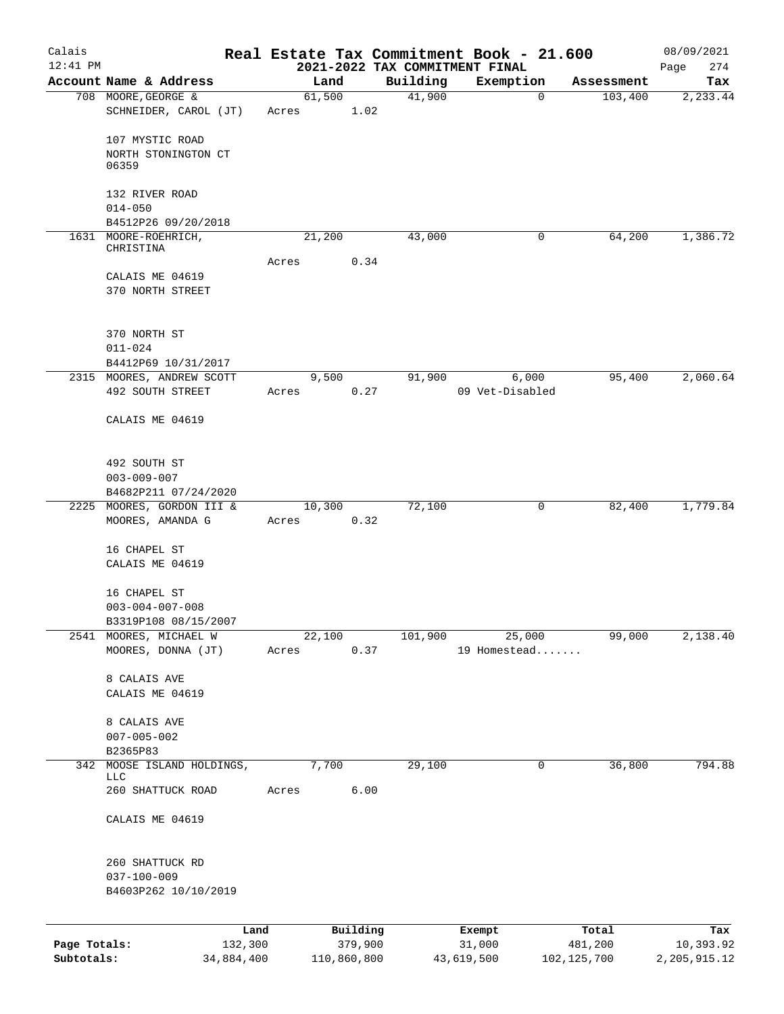| Calais       |                                               |       |                |                     |                                | Real Estate Tax Commitment Book - 21.600 |                       | 08/09/2021       |
|--------------|-----------------------------------------------|-------|----------------|---------------------|--------------------------------|------------------------------------------|-----------------------|------------------|
| $12:41$ PM   |                                               |       |                |                     | 2021-2022 TAX COMMITMENT FINAL |                                          |                       | 274<br>Page      |
|              | Account Name & Address<br>708 MOORE, GEORGE & |       | Land<br>61,500 |                     | Building<br>41,900             | Exemption<br>$\mathbf 0$                 | Assessment<br>103,400 | Tax<br>2,233.44  |
|              | SCHNEIDER, CAROL (JT)                         | Acres |                | 1.02                |                                |                                          |                       |                  |
|              |                                               |       |                |                     |                                |                                          |                       |                  |
|              | 107 MYSTIC ROAD                               |       |                |                     |                                |                                          |                       |                  |
|              | NORTH STONINGTON CT<br>06359                  |       |                |                     |                                |                                          |                       |                  |
|              | 132 RIVER ROAD                                |       |                |                     |                                |                                          |                       |                  |
|              | $014 - 050$                                   |       |                |                     |                                |                                          |                       |                  |
|              | B4512P26 09/20/2018                           |       |                |                     |                                | 0                                        |                       |                  |
|              | 1631 MOORE-ROEHRICH,<br>CHRISTINA             |       | 21,200         |                     | 43,000                         |                                          | 64,200                | 1,386.72         |
|              |                                               | Acres |                | 0.34                |                                |                                          |                       |                  |
|              | CALAIS ME 04619                               |       |                |                     |                                |                                          |                       |                  |
|              | 370 NORTH STREET                              |       |                |                     |                                |                                          |                       |                  |
|              | 370 NORTH ST                                  |       |                |                     |                                |                                          |                       |                  |
|              | $011 - 024$                                   |       |                |                     |                                |                                          |                       |                  |
|              | B4412P69 10/31/2017                           |       |                |                     |                                |                                          |                       |                  |
|              | 2315 MOORES, ANDREW SCOTT                     |       | 9,500          |                     | 91,900                         | 6,000                                    | 95,400                | 2,060.64         |
|              | 492 SOUTH STREET                              | Acres |                | 0.27                |                                | 09 Vet-Disabled                          |                       |                  |
|              | CALAIS ME 04619                               |       |                |                     |                                |                                          |                       |                  |
|              |                                               |       |                |                     |                                |                                          |                       |                  |
|              | 492 SOUTH ST                                  |       |                |                     |                                |                                          |                       |                  |
|              | $003 - 009 - 007$                             |       |                |                     |                                |                                          |                       |                  |
|              | B4682P211 07/24/2020                          |       |                |                     |                                |                                          |                       |                  |
|              | 2225 MOORES, GORDON III &<br>MOORES, AMANDA G | Acres | 10,300         | 0.32                | 72,100                         | 0                                        | 82,400                | 1,779.84         |
|              |                                               |       |                |                     |                                |                                          |                       |                  |
|              | 16 CHAPEL ST                                  |       |                |                     |                                |                                          |                       |                  |
|              | CALAIS ME 04619                               |       |                |                     |                                |                                          |                       |                  |
|              | 16 CHAPEL ST                                  |       |                |                     |                                |                                          |                       |                  |
|              | $003 - 004 - 007 - 008$                       |       |                |                     |                                |                                          |                       |                  |
|              | B3319P108 08/15/2007                          |       |                |                     |                                |                                          |                       |                  |
| 2541         | MOORES, MICHAEL W                             |       | 22,100         |                     | 101,900                        | 25,000                                   | 99,000                | 2,138.40         |
|              | MOORES, DONNA (JT)                            | Acres |                | 0.37                |                                | 19 Homestead                             |                       |                  |
|              | 8 CALAIS AVE                                  |       |                |                     |                                |                                          |                       |                  |
|              | CALAIS ME 04619                               |       |                |                     |                                |                                          |                       |                  |
|              | 8 CALAIS AVE                                  |       |                |                     |                                |                                          |                       |                  |
|              | $007 - 005 - 002$                             |       |                |                     |                                |                                          |                       |                  |
|              | B2365P83                                      |       |                |                     |                                |                                          |                       |                  |
| 342          | MOOSE ISLAND HOLDINGS,                        |       | 7,700          |                     | 29,100                         | 0                                        | 36,800                | 794.88           |
|              | <b>LLC</b><br>260 SHATTUCK ROAD               | Acres |                | 6.00                |                                |                                          |                       |                  |
|              |                                               |       |                |                     |                                |                                          |                       |                  |
|              | CALAIS ME 04619                               |       |                |                     |                                |                                          |                       |                  |
|              | 260 SHATTUCK RD                               |       |                |                     |                                |                                          |                       |                  |
|              | $037 - 100 - 009$                             |       |                |                     |                                |                                          |                       |                  |
|              | B4603P262 10/10/2019                          |       |                |                     |                                |                                          |                       |                  |
|              |                                               |       |                |                     |                                |                                          |                       |                  |
| Page Totals: | 132,300                                       | Land  |                | Building<br>379,900 |                                | Exempt<br>31,000                         | Total<br>481,200      | Tax<br>10,393.92 |
| Subtotals:   | 34,884,400                                    |       | 110,860,800    |                     |                                | 43,619,500                               | 102, 125, 700         | 2,205,915.12     |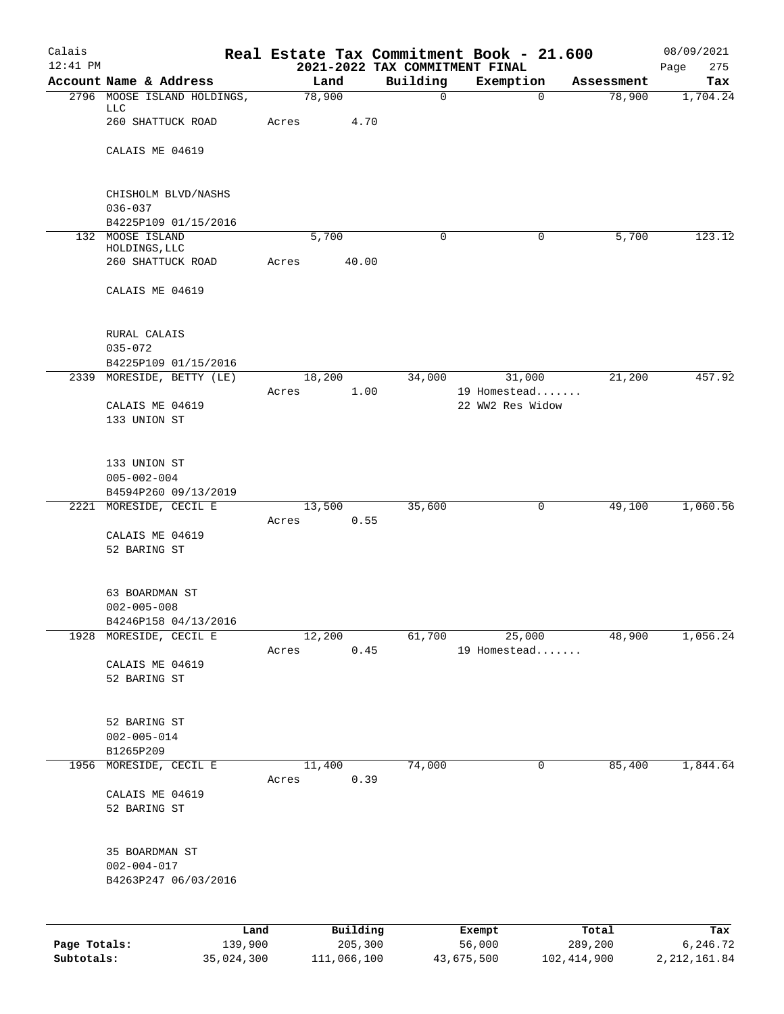| Calais<br>$12:41$ PM |                                                   |            |          |          |             | Real Estate Tax Commitment Book - 21.600<br>2021-2022 TAX COMMITMENT FINAL |            | 08/09/2021<br>Page<br>275 |
|----------------------|---------------------------------------------------|------------|----------|----------|-------------|----------------------------------------------------------------------------|------------|---------------------------|
|                      | Account Name & Address                            |            | Land     | Building |             | Exemption                                                                  | Assessment | Tax                       |
|                      | 2796 MOOSE ISLAND HOLDINGS,<br>LLC                | 78,900     |          |          | $\mathbf 0$ | $\Omega$                                                                   | 78,900     | 1,704.24                  |
|                      | 260 SHATTUCK ROAD                                 | Acres      | 4.70     |          |             |                                                                            |            |                           |
|                      | CALAIS ME 04619                                   |            |          |          |             |                                                                            |            |                           |
|                      |                                                   |            |          |          |             |                                                                            |            |                           |
|                      | CHISHOLM BLVD/NASHS<br>$036 - 037$                |            |          |          |             |                                                                            |            |                           |
|                      | B4225P109 01/15/2016                              |            |          |          |             |                                                                            |            |                           |
|                      | 132 MOOSE ISLAND<br>HOLDINGS, LLC                 |            | 5,700    |          | $\Omega$    | $\mathbf 0$                                                                | 5,700      | 123.12                    |
|                      | 260 SHATTUCK ROAD                                 | Acres      | 40.00    |          |             |                                                                            |            |                           |
|                      | CALAIS ME 04619                                   |            |          |          |             |                                                                            |            |                           |
|                      | RURAL CALAIS                                      |            |          |          |             |                                                                            |            |                           |
|                      | $035 - 072$                                       |            |          |          |             |                                                                            |            |                           |
|                      | B4225P109 01/15/2016<br>2339 MORESIDE, BETTY (LE) |            | 18,200   |          | 34,000      | 31,000                                                                     | 21,200     | 457.92                    |
|                      |                                                   | Acres      | 1.00     |          |             | 19 Homestead                                                               |            |                           |
|                      | CALAIS ME 04619                                   |            |          |          |             | 22 WW2 Res Widow                                                           |            |                           |
|                      | 133 UNION ST                                      |            |          |          |             |                                                                            |            |                           |
|                      | 133 UNION ST                                      |            |          |          |             |                                                                            |            |                           |
|                      | $005 - 002 - 004$                                 |            |          |          |             |                                                                            |            |                           |
|                      | B4594P260 09/13/2019<br>2221 MORESIDE, CECIL E    |            | 13,500   | 35,600   |             | 0                                                                          | 49,100     | 1,060.56                  |
|                      |                                                   | Acres 0.55 |          |          |             |                                                                            |            |                           |
|                      | CALAIS ME 04619                                   |            |          |          |             |                                                                            |            |                           |
|                      | 52 BARING ST                                      |            |          |          |             |                                                                            |            |                           |
|                      | 63 BOARDMAN ST                                    |            |          |          |             |                                                                            |            |                           |
|                      | $002 - 005 - 008$                                 |            |          |          |             |                                                                            |            |                           |
|                      | B4246P158 04/13/2016<br>1928 MORESIDE, CECIL E    |            | 12,200   | 61,700   |             | 25,000                                                                     | 48,900     | 1,056.24                  |
|                      |                                                   | Acres      | 0.45     |          |             | 19 Homestead                                                               |            |                           |
|                      | CALAIS ME 04619                                   |            |          |          |             |                                                                            |            |                           |
|                      | 52 BARING ST                                      |            |          |          |             |                                                                            |            |                           |
|                      | 52 BARING ST                                      |            |          |          |             |                                                                            |            |                           |
|                      | $002 - 005 - 014$                                 |            |          |          |             |                                                                            |            |                           |
| 1956                 | B1265P209<br>MORESIDE, CECIL E                    |            | 11,400   | 74,000   |             | 0                                                                          | 85,400     | 1,844.64                  |
|                      |                                                   | Acres      | 0.39     |          |             |                                                                            |            |                           |
|                      | CALAIS ME 04619                                   |            |          |          |             |                                                                            |            |                           |
|                      | 52 BARING ST                                      |            |          |          |             |                                                                            |            |                           |
|                      | 35 BOARDMAN ST                                    |            |          |          |             |                                                                            |            |                           |
|                      | $002 - 004 - 017$                                 |            |          |          |             |                                                                            |            |                           |
|                      | B4263P247 06/03/2016                              |            |          |          |             |                                                                            |            |                           |
|                      |                                                   | Land       | Building |          |             | Exempt                                                                     | Total      | Tax                       |
| Page Totals:         | 139,900                                           |            | 205,300  |          |             | 56,000                                                                     | 289,200    | 6,246.72                  |

**Subtotals:** 35,024,300 111,066,100 43,675,500 102,414,900 2,212,161.84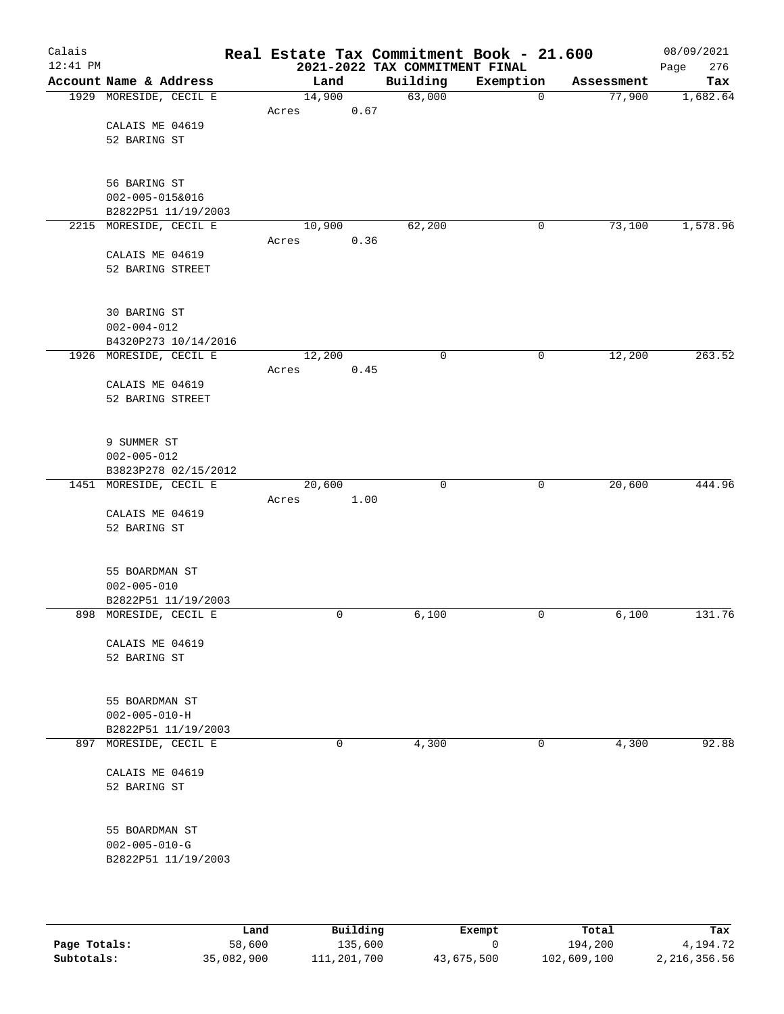| Calais<br>$12:41$ PM |                                                                |        |      | Real Estate Tax Commitment Book - 21.600<br>2021-2022 TAX COMMITMENT FINAL |             |            | 08/09/2021<br>Page<br>276 |
|----------------------|----------------------------------------------------------------|--------|------|----------------------------------------------------------------------------|-------------|------------|---------------------------|
|                      | Account Name & Address                                         | Land   |      | Building                                                                   | Exemption   | Assessment | Tax                       |
|                      | 1929 MORESIDE, CECIL E                                         | 14,900 |      | 63,000                                                                     | 0           | 77,900     | 1,682.64                  |
|                      | CALAIS ME 04619<br>52 BARING ST                                | Acres  | 0.67 |                                                                            |             |            |                           |
|                      | 56 BARING ST<br>$002 - 005 - 015&016$<br>B2822P51 11/19/2003   |        |      |                                                                            |             |            |                           |
|                      | 2215 MORESIDE, CECIL E                                         | 10,900 |      | 62,200                                                                     | 0           | 73,100     | 1,578.96                  |
|                      | CALAIS ME 04619<br>52 BARING STREET                            | Acres  | 0.36 |                                                                            |             |            |                           |
|                      | 30 BARING ST<br>$002 - 004 - 012$<br>B4320P273 10/14/2016      |        |      |                                                                            |             |            |                           |
|                      | 1926 MORESIDE, CECIL E                                         | 12,200 |      | 0                                                                          | 0           | 12,200     | 263.52                    |
|                      | CALAIS ME 04619<br>52 BARING STREET                            | Acres  | 0.45 |                                                                            |             |            |                           |
|                      | 9 SUMMER ST<br>$002 - 005 - 012$<br>B3823P278 02/15/2012       |        |      |                                                                            |             |            |                           |
|                      | 1451 MORESIDE, CECIL E                                         | 20,600 |      | $\mathbf 0$                                                                | $\mathbf 0$ | 20,600     | 444.96                    |
|                      | CALAIS ME 04619<br>52 BARING ST                                | Acres  | 1.00 |                                                                            |             |            |                           |
|                      | 55 BOARDMAN ST<br>$002 - 005 - 010$                            |        |      |                                                                            |             |            |                           |
|                      | B2822P51 11/19/2003<br>898 MORESIDE, CECIL E                   |        | 0    | 6,100                                                                      | 0           | 6,100      | 131.76                    |
|                      | CALAIS ME 04619<br>52 BARING ST                                |        |      |                                                                            |             |            |                           |
|                      | 55 BOARDMAN ST<br>$002 - 005 - 010 - H$<br>B2822P51 11/19/2003 |        |      |                                                                            |             |            |                           |
|                      | 897 MORESIDE, CECIL E                                          |        | 0    | 4,300                                                                      | 0           | 4,300      | 92.88                     |
|                      | CALAIS ME 04619<br>52 BARING ST                                |        |      |                                                                            |             |            |                           |
|                      | 55 BOARDMAN ST<br>$002 - 005 - 010 - G$<br>B2822P51 11/19/2003 |        |      |                                                                            |             |            |                           |
|                      |                                                                |        |      |                                                                            |             |            |                           |

|              | Land       | Building    | Exempt     | Total       | Tax          |
|--------------|------------|-------------|------------|-------------|--------------|
| Page Totals: | 58,600     | 135,600     |            | 194,200     | 4,194.72     |
| Subtotals:   | 35,082,900 | 111,201,700 | 43,675,500 | 102,609,100 | 2,216,356.56 |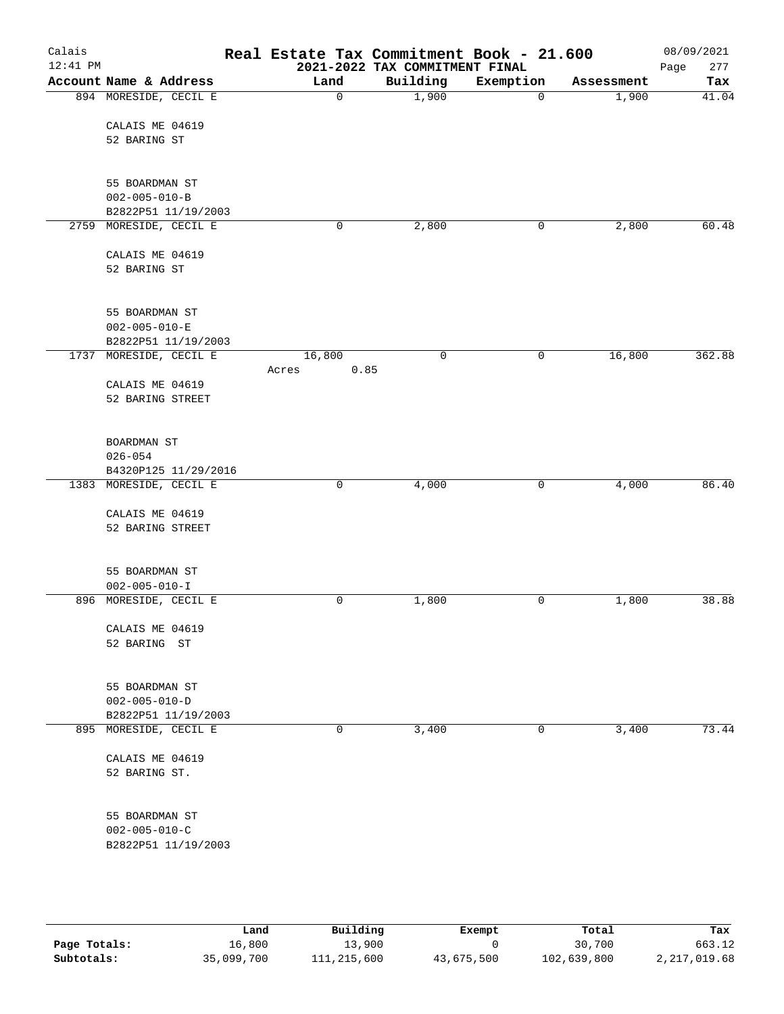| Calais     |                                              | Real Estate Tax Commitment Book - 21.600 |                                |           |            | 08/09/2021  |
|------------|----------------------------------------------|------------------------------------------|--------------------------------|-----------|------------|-------------|
| $12:41$ PM |                                              |                                          | 2021-2022 TAX COMMITMENT FINAL |           |            | Page<br>277 |
|            | Account Name & Address                       | Land                                     | Building                       | Exemption | Assessment | Tax         |
|            | 894 MORESIDE, CECIL E                        | 0                                        | 1,900                          | 0         | 1,900      | 41.04       |
|            | CALAIS ME 04619                              |                                          |                                |           |            |             |
|            | 52 BARING ST                                 |                                          |                                |           |            |             |
|            |                                              |                                          |                                |           |            |             |
|            | 55 BOARDMAN ST                               |                                          |                                |           |            |             |
|            | $002 - 005 - 010 - B$                        |                                          |                                |           |            |             |
|            | B2822P51 11/19/2003                          |                                          |                                |           |            |             |
|            | 2759 MORESIDE, CECIL E                       | 0                                        | 2,800                          | 0         | 2,800      | 60.48       |
|            | CALAIS ME 04619                              |                                          |                                |           |            |             |
|            | 52 BARING ST                                 |                                          |                                |           |            |             |
|            |                                              |                                          |                                |           |            |             |
|            | 55 BOARDMAN ST                               |                                          |                                |           |            |             |
|            | $002 - 005 - 010 - E$                        |                                          |                                |           |            |             |
|            | B2822P51 11/19/2003                          |                                          |                                |           |            |             |
|            | 1737 MORESIDE, CECIL E                       | 16,800                                   | $\mathbf 0$                    | 0         | 16,800     | 362.88      |
|            |                                              | Acres<br>0.85                            |                                |           |            |             |
|            | CALAIS ME 04619                              |                                          |                                |           |            |             |
|            | 52 BARING STREET                             |                                          |                                |           |            |             |
|            |                                              |                                          |                                |           |            |             |
|            | BOARDMAN ST                                  |                                          |                                |           |            |             |
|            | $026 - 054$                                  |                                          |                                |           |            |             |
|            | B4320P125 11/29/2016                         |                                          |                                |           |            |             |
|            | 1383 MORESIDE, CECIL E                       | 0                                        | 4,000                          | 0         | 4,000      | 86.40       |
|            | CALAIS ME 04619                              |                                          |                                |           |            |             |
|            | 52 BARING STREET                             |                                          |                                |           |            |             |
|            |                                              |                                          |                                |           |            |             |
|            | 55 BOARDMAN ST                               |                                          |                                |           |            |             |
|            | $002 - 005 - 010 - I$                        |                                          |                                |           |            |             |
|            | 896 MORESIDE, CECIL E                        | 0                                        | 1,800                          | 0         | 1,800      | 38.88       |
|            |                                              |                                          |                                |           |            |             |
|            | CALAIS ME 04619                              |                                          |                                |           |            |             |
|            | 52 BARING ST                                 |                                          |                                |           |            |             |
|            |                                              |                                          |                                |           |            |             |
|            | 55 BOARDMAN ST                               |                                          |                                |           |            |             |
|            | $002 - 005 - 010 - D$<br>B2822P51 11/19/2003 |                                          |                                |           |            |             |
|            | 895 MORESIDE, CECIL E                        | 0                                        | 3,400                          | 0         | 3,400      | 73.44       |
|            |                                              |                                          |                                |           |            |             |
|            | CALAIS ME 04619                              |                                          |                                |           |            |             |
|            | 52 BARING ST.                                |                                          |                                |           |            |             |
|            |                                              |                                          |                                |           |            |             |
|            | 55 BOARDMAN ST                               |                                          |                                |           |            |             |
|            | $002 - 005 - 010 - C$                        |                                          |                                |           |            |             |
|            | B2822P51 11/19/2003                          |                                          |                                |           |            |             |
|            |                                              |                                          |                                |           |            |             |
|            |                                              |                                          |                                |           |            |             |

|              | Land       | Building    | Exempt     | Total       | Tax          |
|--------------|------------|-------------|------------|-------------|--------------|
| Page Totals: | 16,800     | 13,900      |            | 30,700      | 663.12       |
| Subtotals:   | 35,099,700 | 111,215,600 | 43,675,500 | 102,639,800 | 2,217,019.68 |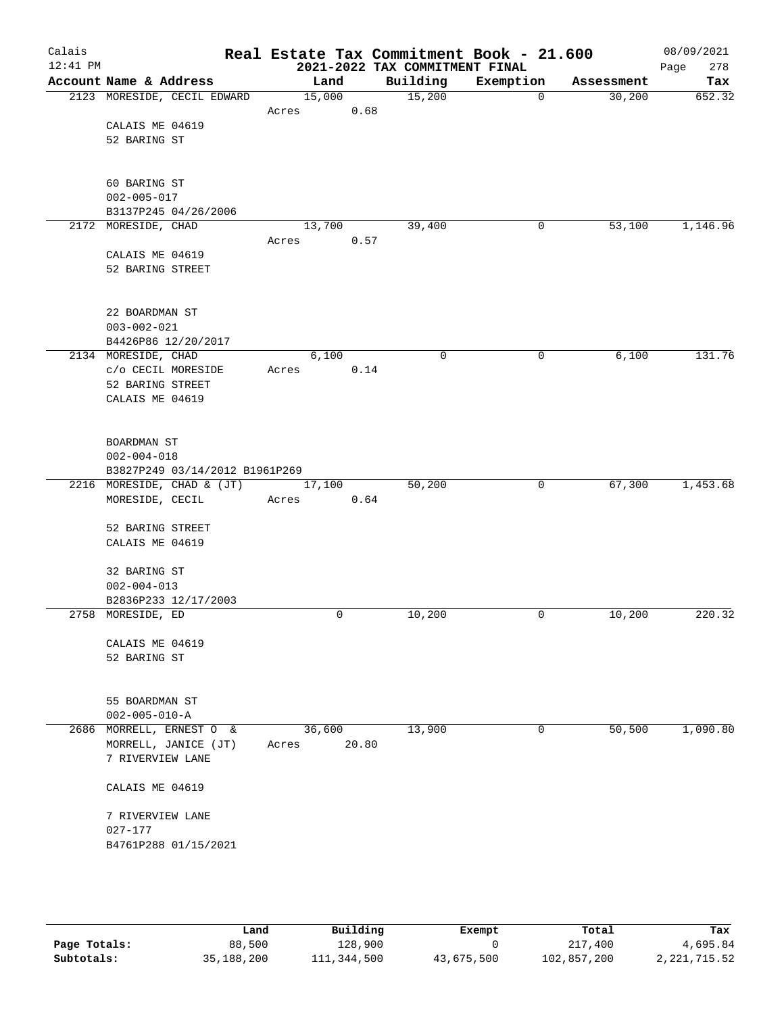| Calais<br>$12:41$ PM |                                |        |       | Real Estate Tax Commitment Book - 21.600<br>2021-2022 TAX COMMITMENT FINAL |           |            | 08/09/2021<br>278<br>Page |
|----------------------|--------------------------------|--------|-------|----------------------------------------------------------------------------|-----------|------------|---------------------------|
|                      | Account Name & Address         | Land   |       | Building                                                                   | Exemption | Assessment | Tax                       |
|                      | 2123 MORESIDE, CECIL EDWARD    | 15,000 |       | 15,200                                                                     | 0         | 30,200     | 652.32                    |
|                      |                                | Acres  | 0.68  |                                                                            |           |            |                           |
|                      | CALAIS ME 04619                |        |       |                                                                            |           |            |                           |
|                      | 52 BARING ST                   |        |       |                                                                            |           |            |                           |
|                      |                                |        |       |                                                                            |           |            |                           |
|                      |                                |        |       |                                                                            |           |            |                           |
|                      | 60 BARING ST                   |        |       |                                                                            |           |            |                           |
|                      | $002 - 005 - 017$              |        |       |                                                                            |           |            |                           |
|                      | B3137P245 04/26/2006           |        |       |                                                                            |           |            |                           |
|                      | 2172 MORESIDE, CHAD            | 13,700 |       | 39,400                                                                     | 0         | 53,100     | 1,146.96                  |
|                      |                                | Acres  | 0.57  |                                                                            |           |            |                           |
|                      | CALAIS ME 04619                |        |       |                                                                            |           |            |                           |
|                      | 52 BARING STREET               |        |       |                                                                            |           |            |                           |
|                      | 22 BOARDMAN ST                 |        |       |                                                                            |           |            |                           |
|                      | $003 - 002 - 021$              |        |       |                                                                            |           |            |                           |
|                      | B4426P86 12/20/2017            |        |       |                                                                            |           |            |                           |
|                      | 2134 MORESIDE, CHAD            | 6,100  |       | $\mathbf 0$                                                                | 0         | 6,100      | 131.76                    |
|                      | c/o CECIL MORESIDE             | Acres  | 0.14  |                                                                            |           |            |                           |
|                      | 52 BARING STREET               |        |       |                                                                            |           |            |                           |
|                      | CALAIS ME 04619                |        |       |                                                                            |           |            |                           |
|                      |                                |        |       |                                                                            |           |            |                           |
|                      | BOARDMAN ST                    |        |       |                                                                            |           |            |                           |
|                      | $002 - 004 - 018$              |        |       |                                                                            |           |            |                           |
|                      | B3827P249 03/14/2012 B1961P269 |        |       |                                                                            |           |            |                           |
|                      | 2216 MORESIDE, CHAD & (JT)     | 17,100 |       | 50,200                                                                     | 0         | 67,300     | 1,453.68                  |
|                      | MORESIDE, CECIL                | Acres  | 0.64  |                                                                            |           |            |                           |
|                      |                                |        |       |                                                                            |           |            |                           |
|                      | 52 BARING STREET               |        |       |                                                                            |           |            |                           |
|                      | CALAIS ME 04619                |        |       |                                                                            |           |            |                           |
|                      | 32 BARING ST                   |        |       |                                                                            |           |            |                           |
|                      | $002 - 004 - 013$              |        |       |                                                                            |           |            |                           |
|                      | B2836P233 12/17/2003           |        |       |                                                                            |           |            |                           |
|                      | 2758 MORESIDE, ED              |        | 0     | 10,200                                                                     | 0         | 10,200     | 220.32                    |
|                      |                                |        |       |                                                                            |           |            |                           |
|                      | CALAIS ME 04619                |        |       |                                                                            |           |            |                           |
|                      | 52 BARING ST                   |        |       |                                                                            |           |            |                           |
|                      |                                |        |       |                                                                            |           |            |                           |
|                      | 55 BOARDMAN ST                 |        |       |                                                                            |           |            |                           |
|                      | $002 - 005 - 010 - A$          |        |       |                                                                            |           |            |                           |
|                      | 2686 MORRELL, ERNEST O &       | 36,600 |       | 13,900                                                                     | 0         | 50,500     | 1,090.80                  |
|                      | MORRELL, JANICE (JT)           | Acres  | 20.80 |                                                                            |           |            |                           |
|                      | 7 RIVERVIEW LANE               |        |       |                                                                            |           |            |                           |
|                      | CALAIS ME 04619                |        |       |                                                                            |           |            |                           |
|                      | 7 RIVERVIEW LANE               |        |       |                                                                            |           |            |                           |
|                      | $027 - 177$                    |        |       |                                                                            |           |            |                           |
|                      | B4761P288 01/15/2021           |        |       |                                                                            |           |            |                           |
|                      |                                |        |       |                                                                            |           |            |                           |
|                      |                                |        |       |                                                                            |           |            |                           |

|              | Land       | Building    | Exempt     | Total       | Tax            |
|--------------|------------|-------------|------------|-------------|----------------|
| Page Totals: | 88,500     | 128,900     |            | 217,400     | 4,695.84       |
| Subtotals:   | 35,188,200 | 111,344,500 | 43,675,500 | 102,857,200 | 2, 221, 715.52 |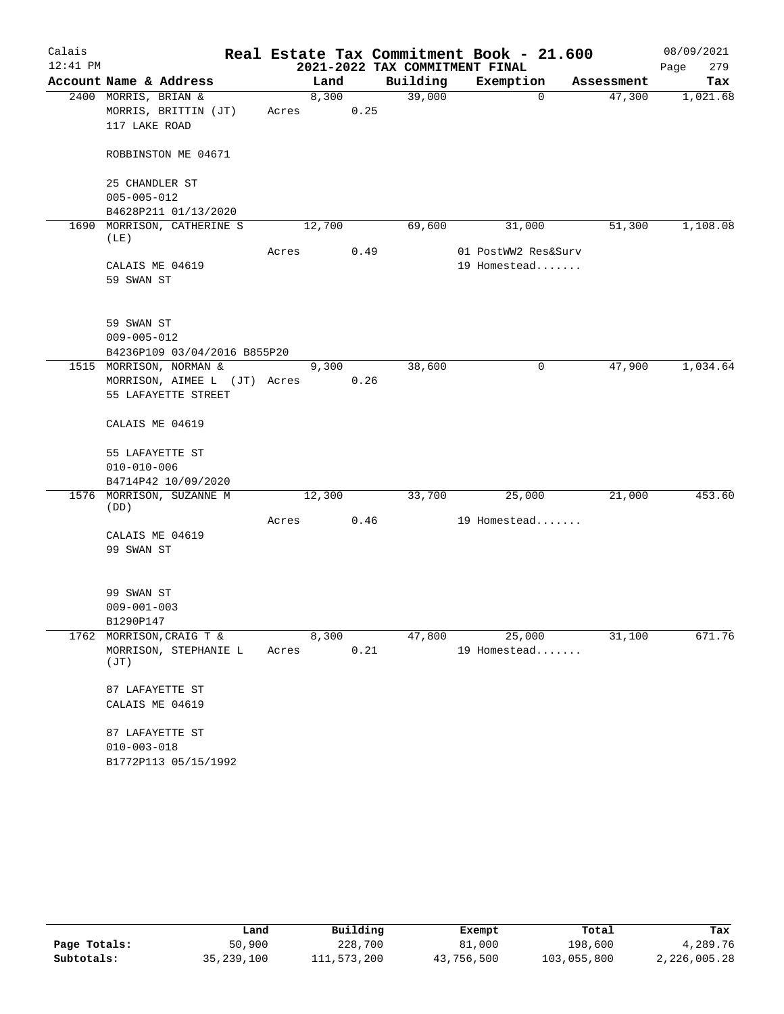| Calais     |                                                                                |       |        |      |                                | Real Estate Tax Commitment Book - 21.600 |                        | 08/09/2021  |
|------------|--------------------------------------------------------------------------------|-------|--------|------|--------------------------------|------------------------------------------|------------------------|-------------|
| $12:41$ PM |                                                                                |       |        |      | 2021-2022 TAX COMMITMENT FINAL |                                          |                        | 279<br>Page |
|            | Account Name & Address                                                         |       | Land   |      | Building                       | Exemption                                | Assessment             | Tax         |
|            | 2400 MORRIS, BRIAN &<br>MORRIS, BRITTIN (JT)<br>117 LAKE ROAD                  | Acres | 8,300  | 0.25 | 39,000                         |                                          | $\mathbf{0}$<br>47,300 | 1,021.68    |
|            | ROBBINSTON ME 04671                                                            |       |        |      |                                |                                          |                        |             |
|            | 25 CHANDLER ST<br>$005 - 005 - 012$<br>B4628P211 01/13/2020                    |       |        |      |                                |                                          |                        |             |
| 1690       | MORRISON, CATHERINE S<br>(LE)                                                  |       | 12,700 |      | 69,600                         | 31,000                                   | 51,300                 | 1,108.08    |
|            | CALAIS ME 04619<br>59 SWAN ST                                                  | Acres |        | 0.49 |                                | 01 PostWW2 Res&Surv<br>19 Homestead      |                        |             |
|            | 59 SWAN ST<br>$009 - 005 - 012$<br>B4236P109 03/04/2016 B855P20                |       |        |      |                                |                                          |                        |             |
|            | 1515 MORRISON, NORMAN &<br>MORRISON, AIMEE L (JT) Acres<br>55 LAFAYETTE STREET |       | 9,300  | 0.26 | 38,600                         |                                          | $\mathbf 0$<br>47,900  | 1,034.64    |
|            | CALAIS ME 04619                                                                |       |        |      |                                |                                          |                        |             |
|            | 55 LAFAYETTE ST<br>$010 - 010 - 006$<br>B4714P42 10/09/2020                    |       |        |      |                                |                                          |                        |             |
|            | 1576 MORRISON, SUZANNE M                                                       |       | 12,300 |      | 33,700                         | 25,000                                   | 21,000                 | 453.60      |
|            | (DD)<br>CALAIS ME 04619<br>99 SWAN ST                                          | Acres |        | 0.46 |                                | 19 Homestead                             |                        |             |
|            | 99 SWAN ST<br>$009 - 001 - 003$<br>B1290P147                                   |       |        |      |                                |                                          |                        |             |
|            | 1762 MORRISON, CRAIG T &<br>MORRISON, STEPHANIE L<br>(TT)                      | Acres | 8,300  | 0.21 | 47,800                         | 25,000<br>19 Homestead                   | 31,100                 | 671.76      |
|            | 87 LAFAYETTE ST<br>CALAIS ME 04619                                             |       |        |      |                                |                                          |                        |             |
|            | 87 LAFAYETTE ST<br>$010 - 003 - 018$<br>B1772P113 05/15/1992                   |       |        |      |                                |                                          |                        |             |

|              | Land       | Building    | Exempt     | Total       | Tax          |
|--------------|------------|-------------|------------|-------------|--------------|
| Page Totals: | 50,900     | 228,700     | 81,000     | 198,600     | 4,289.76     |
| Subtotals:   | 35,239,100 | 111,573,200 | 43,756,500 | 103,055,800 | 2,226,005.28 |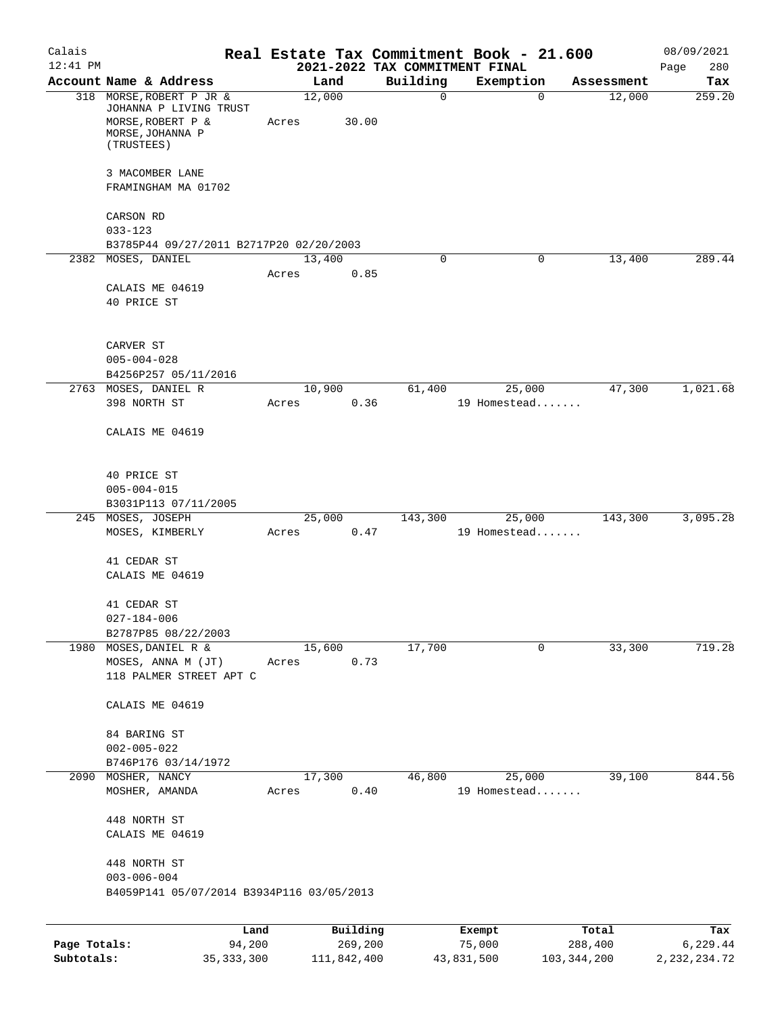| Calais<br>$12:41$ PM |                                                                         |              |                 |             |             | Real Estate Tax Commitment Book - 21.600<br>2021-2022 TAX COMMITMENT FINAL |               | 08/09/2021<br>280<br>Page |
|----------------------|-------------------------------------------------------------------------|--------------|-----------------|-------------|-------------|----------------------------------------------------------------------------|---------------|---------------------------|
|                      | Account Name & Address                                                  |              |                 | Land        | Building    | Exemption                                                                  | Assessment    | Tax                       |
|                      | 318 MORSE, ROBERT P JR &<br>JOHANNA P LIVING TRUST<br>MORSE, ROBERT P & |              | 12,000<br>Acres | 30.00       | 0           | $\mathbf 0$                                                                | 12,000        | 259.20                    |
|                      | MORSE, JOHANNA P<br>(TRUSTEES)                                          |              |                 |             |             |                                                                            |               |                           |
|                      | 3 MACOMBER LANE<br>FRAMINGHAM MA 01702                                  |              |                 |             |             |                                                                            |               |                           |
|                      | CARSON RD<br>$033 - 123$                                                |              |                 |             |             |                                                                            |               |                           |
|                      | B3785P44 09/27/2011 B2717P20 02/20/2003                                 |              |                 |             |             |                                                                            |               |                           |
| 2382                 | MOSES, DANIEL                                                           |              | 13,400<br>Acres | 0.85        | $\mathbf 0$ | 0                                                                          | 13,400        | 289.44                    |
|                      | CALAIS ME 04619<br>40 PRICE ST                                          |              |                 |             |             |                                                                            |               |                           |
|                      | CARVER ST<br>$005 - 004 - 028$                                          |              |                 |             |             |                                                                            |               |                           |
|                      | B4256P257 05/11/2016                                                    |              |                 |             |             |                                                                            |               |                           |
|                      | 2763 MOSES, DANIEL R<br>398 NORTH ST                                    |              | 10,900<br>Acres | 0.36        | 61,400      | 25,000<br>19 Homestead                                                     | 47,300        | 1,021.68                  |
|                      | CALAIS ME 04619                                                         |              |                 |             |             |                                                                            |               |                           |
|                      | 40 PRICE ST                                                             |              |                 |             |             |                                                                            |               |                           |
|                      | $005 - 004 - 015$<br>B3031P113 07/11/2005                               |              |                 |             |             |                                                                            |               |                           |
| 245                  | MOSES, JOSEPH<br>MOSES, KIMBERLY                                        |              | 25,000<br>Acres | 0.47        | 143,300     | 25,000<br>19 Homestead                                                     | 143,300       | 3,095.28                  |
|                      | 41 CEDAR ST<br>CALAIS ME 04619                                          |              |                 |             |             |                                                                            |               |                           |
|                      | 41 CEDAR ST<br>$027 - 184 - 006$                                        |              |                 |             |             |                                                                            |               |                           |
|                      | B2787P85 08/22/2003                                                     |              |                 |             |             |                                                                            |               |                           |
|                      | 1980 MOSES, DANIEL R &<br>MOSES, ANNA M (JT)<br>118 PALMER STREET APT C |              | 15,600<br>Acres | 0.73        | 17,700      | 0                                                                          | 33,300        | 719.28                    |
|                      | CALAIS ME 04619                                                         |              |                 |             |             |                                                                            |               |                           |
|                      | 84 BARING ST<br>$002 - 005 - 022$                                       |              |                 |             |             |                                                                            |               |                           |
|                      | B746P176 03/14/1972                                                     |              |                 |             |             |                                                                            |               |                           |
|                      | 2090 MOSHER, NANCY                                                      |              | 17,300          |             | 46,800      | 25,000                                                                     | 39,100        | 844.56                    |
|                      | MOSHER, AMANDA                                                          |              | Acres           | 0.40        |             | 19 Homestead                                                               |               |                           |
|                      | 448 NORTH ST<br>CALAIS ME 04619                                         |              |                 |             |             |                                                                            |               |                           |
|                      | 448 NORTH ST<br>$003 - 006 - 004$                                       |              |                 |             |             |                                                                            |               |                           |
|                      | B4059P141 05/07/2014 B3934P116 03/05/2013                               |              |                 |             |             |                                                                            |               |                           |
|                      |                                                                         | Land         |                 | Building    |             | Exempt                                                                     | Total         | Tax                       |
| Page Totals:         |                                                                         | 94,200       |                 | 269,200     |             | 75,000                                                                     | 288,400       | 6,229.44                  |
| Subtotals:           |                                                                         | 35, 333, 300 |                 | 111,842,400 |             | 43,831,500                                                                 | 103, 344, 200 | 2, 232, 234.72            |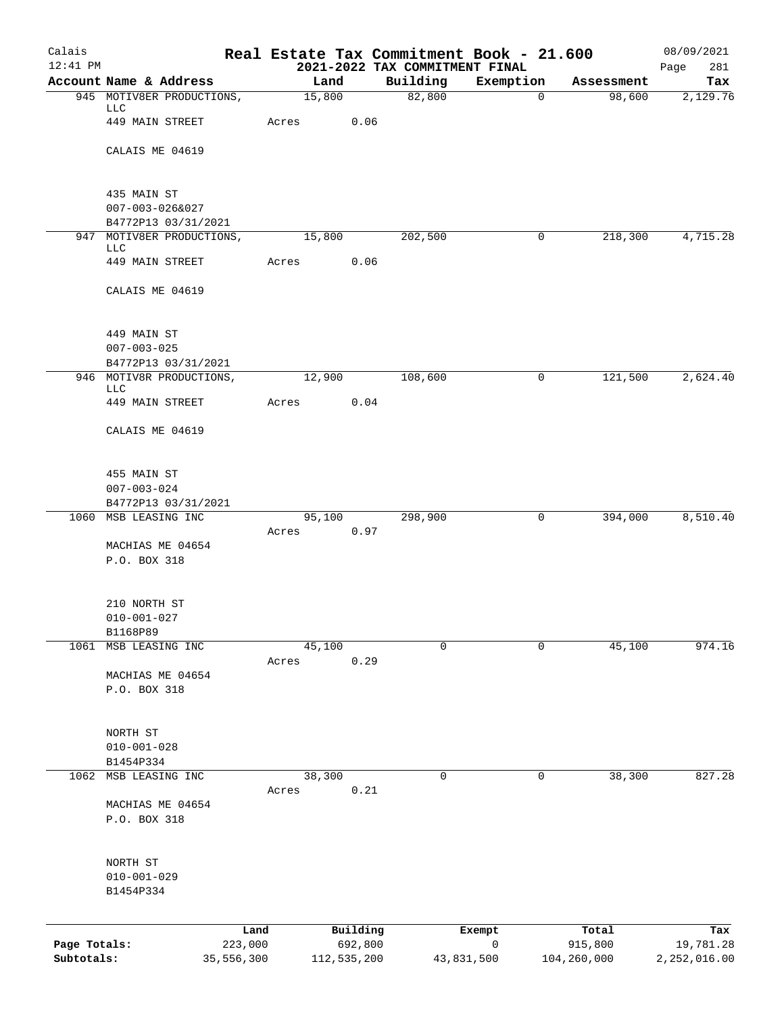| Calais       |                                        |         |             |         | Real Estate Tax Commitment Book - 21.600   |           |                |             | 08/09/2021         |
|--------------|----------------------------------------|---------|-------------|---------|--------------------------------------------|-----------|----------------|-------------|--------------------|
| $12:41$ PM   | Account Name & Address                 |         | Land        |         | 2021-2022 TAX COMMITMENT FINAL<br>Building | Exemption |                | Assessment  | Page<br>281<br>Tax |
|              | 945 MOTIV8ER PRODUCTIONS,              |         | 15,800      |         | 82,800                                     |           | $\overline{0}$ | 98,600      | 2,129.76           |
|              | LLC                                    |         |             |         |                                            |           |                |             |                    |
|              | 449 MAIN STREET                        | Acres   |             | 0.06    |                                            |           |                |             |                    |
|              | CALAIS ME 04619                        |         |             |         |                                            |           |                |             |                    |
|              |                                        |         |             |         |                                            |           |                |             |                    |
|              | 435 MAIN ST                            |         |             |         |                                            |           |                |             |                    |
|              | 007-003-026&027<br>B4772P13 03/31/2021 |         |             |         |                                            |           |                |             |                    |
|              | 947 MOTIV8ER PRODUCTIONS,              |         | 15,800      |         | 202,500                                    |           | 0              | 218,300     | 4,715.28           |
|              | LLC                                    |         |             |         |                                            |           |                |             |                    |
|              | 449 MAIN STREET                        | Acres   |             | 0.06    |                                            |           |                |             |                    |
|              | CALAIS ME 04619                        |         |             |         |                                            |           |                |             |                    |
|              | 449 MAIN ST                            |         |             |         |                                            |           |                |             |                    |
|              | $007 - 003 - 025$                      |         |             |         |                                            |           |                |             |                    |
|              | B4772P13 03/31/2021                    |         |             |         |                                            |           |                |             |                    |
|              | 946 MOTIV8R PRODUCTIONS,<br>LLC        |         | 12,900      |         | 108,600                                    |           | 0              | 121,500     | 2,624.40           |
|              | 449 MAIN STREET                        | Acres   |             | 0.04    |                                            |           |                |             |                    |
|              | CALAIS ME 04619                        |         |             |         |                                            |           |                |             |                    |
|              |                                        |         |             |         |                                            |           |                |             |                    |
|              | 455 MAIN ST<br>$007 - 003 - 024$       |         |             |         |                                            |           |                |             |                    |
|              | B4772P13 03/31/2021                    |         |             |         |                                            |           |                |             |                    |
|              | 1060 MSB LEASING INC                   |         | 95,100      |         | 298,900                                    |           | 0              | 394,000     | 8,510.40           |
|              |                                        | Acres   |             | 0.97    |                                            |           |                |             |                    |
|              | MACHIAS ME 04654<br>P.O. BOX 318       |         |             |         |                                            |           |                |             |                    |
|              |                                        |         |             |         |                                            |           |                |             |                    |
|              | 210 NORTH ST                           |         |             |         |                                            |           |                |             |                    |
|              | $010 - 001 - 027$                      |         |             |         |                                            |           |                |             |                    |
| 1061         | B1168P89<br>MSB LEASING INC            |         | 45,100      |         | $\mathbf 0$                                |           | $\mathbf 0$    | 45,100      | 974.16             |
|              |                                        | Acres   |             | 0.29    |                                            |           |                |             |                    |
|              | MACHIAS ME 04654                       |         |             |         |                                            |           |                |             |                    |
|              | P.O. BOX 318                           |         |             |         |                                            |           |                |             |                    |
|              | NORTH ST                               |         |             |         |                                            |           |                |             |                    |
|              | $010 - 001 - 028$                      |         |             |         |                                            |           |                |             |                    |
|              | B1454P334                              |         |             |         |                                            |           |                |             |                    |
| 1062         | MSB LEASING INC                        | Acres   | 38,300      | 0.21    | 0                                          |           | 0              | 38,300      | 827.28             |
|              | MACHIAS ME 04654                       |         |             |         |                                            |           |                |             |                    |
|              | P.O. BOX 318                           |         |             |         |                                            |           |                |             |                    |
|              | NORTH ST                               |         |             |         |                                            |           |                |             |                    |
|              | $010 - 001 - 029$                      |         |             |         |                                            |           |                |             |                    |
|              | B1454P334                              |         |             |         |                                            |           |                |             |                    |
|              |                                        | Land    | Building    |         |                                            | Exempt    |                | Total       | Tax                |
| Page Totals: |                                        | 223,000 |             | 692,800 |                                            | 0         |                | 915,800     | 19,781.28          |
| Subtotals:   | 35,556,300                             |         | 112,535,200 |         | 43,831,500                                 |           |                | 104,260,000 | 2,252,016.00       |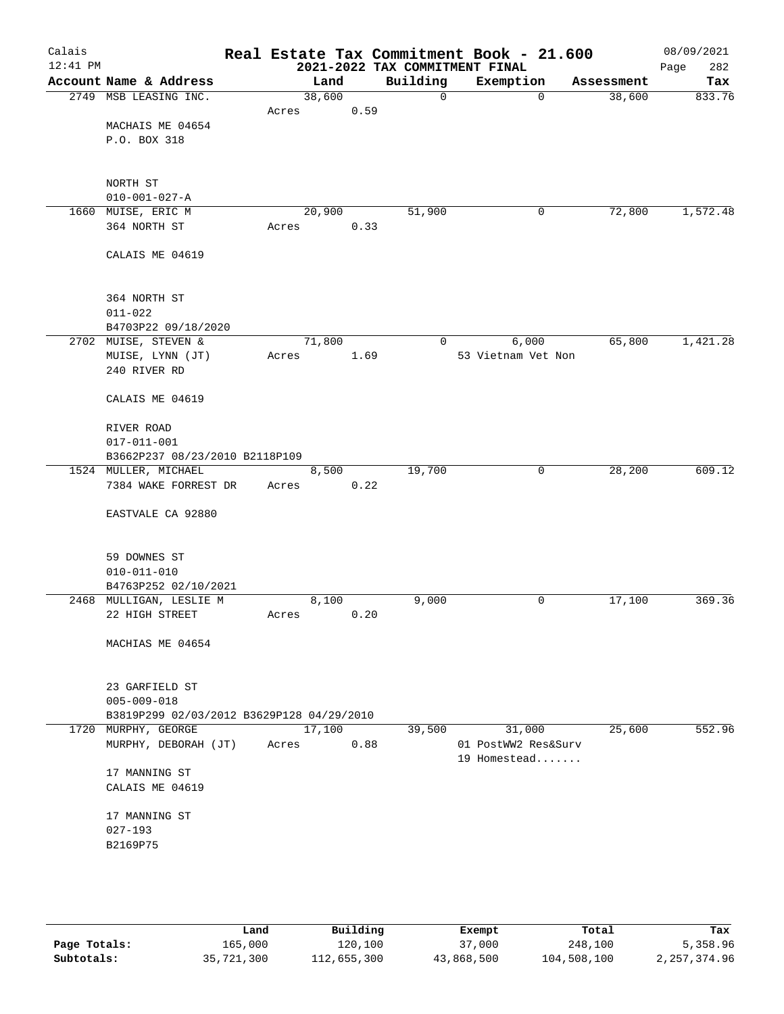| Calais     |                                           |        |       |          | Real Estate Tax Commitment Book - 21.600 |            | 08/09/2021  |
|------------|-------------------------------------------|--------|-------|----------|------------------------------------------|------------|-------------|
| $12:41$ PM |                                           |        |       |          | 2021-2022 TAX COMMITMENT FINAL           |            | Page<br>282 |
|            | Account Name & Address                    |        | Land  | Building | Exemption                                | Assessment | Tax         |
|            | 2749 MSB LEASING INC.                     | 38,600 |       | 0        | $\mathbf 0$                              | 38,600     | 833.76      |
|            | MACHAIS ME 04654                          | Acres  | 0.59  |          |                                          |            |             |
|            | P.O. BOX 318                              |        |       |          |                                          |            |             |
|            |                                           |        |       |          |                                          |            |             |
|            |                                           |        |       |          |                                          |            |             |
|            | NORTH ST                                  |        |       |          |                                          |            |             |
|            | $010 - 001 - 027 - A$                     |        |       |          |                                          |            |             |
|            | 1660 MUISE, ERIC M                        | 20,900 |       | 51,900   | 0                                        | 72,800     | 1,572.48    |
|            | 364 NORTH ST                              | Acres  | 0.33  |          |                                          |            |             |
|            | CALAIS ME 04619                           |        |       |          |                                          |            |             |
|            |                                           |        |       |          |                                          |            |             |
|            | 364 NORTH ST                              |        |       |          |                                          |            |             |
|            | $011 - 022$                               |        |       |          |                                          |            |             |
|            | B4703P22 09/18/2020                       |        |       |          |                                          |            |             |
|            | 2702 MUISE, STEVEN &                      | 71,800 |       | 0        | 6,000                                    | 65,800     | 1,421.28    |
|            | MUISE, LYNN (JT)                          | Acres  | 1.69  |          | 53 Vietnam Vet Non                       |            |             |
|            | 240 RIVER RD                              |        |       |          |                                          |            |             |
|            | CALAIS ME 04619                           |        |       |          |                                          |            |             |
|            | RIVER ROAD                                |        |       |          |                                          |            |             |
|            | $017 - 011 - 001$                         |        |       |          |                                          |            |             |
|            | B3662P237 08/23/2010 B2118P109            |        |       |          |                                          |            |             |
|            | 1524 MULLER, MICHAEL                      |        | 8,500 | 19,700   | 0                                        | 28,200     | 609.12      |
|            | 7384 WAKE FORREST DR                      | Acres  | 0.22  |          |                                          |            |             |
|            | EASTVALE CA 92880                         |        |       |          |                                          |            |             |
|            |                                           |        |       |          |                                          |            |             |
|            | 59 DOWNES ST                              |        |       |          |                                          |            |             |
|            | $010 - 011 - 010$                         |        |       |          |                                          |            |             |
|            | B4763P252 02/10/2021                      |        |       |          |                                          |            |             |
|            | 2468 MULLIGAN, LESLIE M                   |        | 8,100 | 9,000    | 0                                        | 17,100     | 369.36      |
|            | 22 HIGH STREET                            | Acres  | 0.20  |          |                                          |            |             |
|            | MACHIAS ME 04654                          |        |       |          |                                          |            |             |
|            |                                           |        |       |          |                                          |            |             |
|            | 23 GARFIELD ST                            |        |       |          |                                          |            |             |
|            | $005 - 009 - 018$                         |        |       |          |                                          |            |             |
|            | B3819P299 02/03/2012 B3629P128 04/29/2010 |        |       |          |                                          |            |             |
|            | 1720 MURPHY, GEORGE                       | 17,100 |       | 39,500   | 31,000                                   | 25,600     | 552.96      |
|            | MURPHY, DEBORAH (JT)                      | Acres  | 0.88  |          | 01 PostWW2 Res&Surv<br>19 Homestead      |            |             |
|            | 17 MANNING ST                             |        |       |          |                                          |            |             |
|            | CALAIS ME 04619                           |        |       |          |                                          |            |             |
|            |                                           |        |       |          |                                          |            |             |
|            | 17 MANNING ST<br>$027 - 193$              |        |       |          |                                          |            |             |
|            | B2169P75                                  |        |       |          |                                          |            |             |
|            |                                           |        |       |          |                                          |            |             |
|            |                                           |        |       |          |                                          |            |             |
|            |                                           |        |       |          |                                          |            |             |

|              | Land       | Building    | Exempt     | Total       | Tax            |
|--------------|------------|-------------|------------|-------------|----------------|
| Page Totals: | 165,000    | 120,100     | 37,000     | 248,100     | 5,358.96       |
| Subtotals:   | 35,721,300 | 112,655,300 | 43,868,500 | 104,508,100 | 2, 257, 374.96 |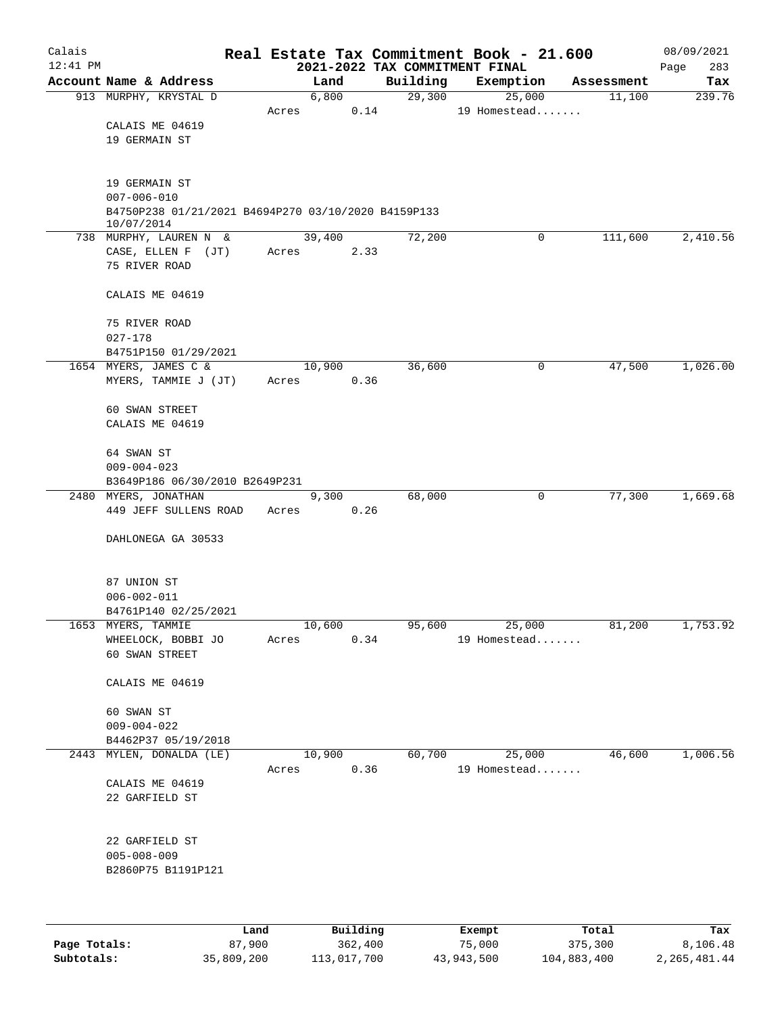| Calais       |                                                                   |       |                |                                | Real Estate Tax Commitment Book - 21.600 |            | 08/09/2021  |
|--------------|-------------------------------------------------------------------|-------|----------------|--------------------------------|------------------------------------------|------------|-------------|
| $12:41$ PM   |                                                                   |       |                | 2021-2022 TAX COMMITMENT FINAL |                                          |            | 283<br>Page |
|              | Account Name & Address                                            |       | Land           | Building                       | Exemption                                | Assessment | Tax         |
|              | 913 MURPHY, KRYSTAL D                                             | Acres | 6,800<br>0.14  | 29,300                         | 25,000<br>19 Homestead                   | 11,100     | 239.76      |
|              | CALAIS ME 04619                                                   |       |                |                                |                                          |            |             |
|              | 19 GERMAIN ST                                                     |       |                |                                |                                          |            |             |
|              |                                                                   |       |                |                                |                                          |            |             |
|              |                                                                   |       |                |                                |                                          |            |             |
|              | 19 GERMAIN ST                                                     |       |                |                                |                                          |            |             |
|              | $007 - 006 - 010$                                                 |       |                |                                |                                          |            |             |
|              | B4750P238 01/21/2021 B4694P270 03/10/2020 B4159P133<br>10/07/2014 |       |                |                                |                                          |            |             |
|              | 738 MURPHY, LAUREN N &                                            |       | 39,400         | 72,200                         | $\mathbf 0$                              | 111,600    | 2,410.56    |
|              | CASE, ELLEN F (JT)                                                | Acres | 2.33           |                                |                                          |            |             |
|              | 75 RIVER ROAD                                                     |       |                |                                |                                          |            |             |
|              | CALAIS ME 04619                                                   |       |                |                                |                                          |            |             |
|              |                                                                   |       |                |                                |                                          |            |             |
|              | 75 RIVER ROAD                                                     |       |                |                                |                                          |            |             |
|              | $027 - 178$<br>B4751P150 01/29/2021                               |       |                |                                |                                          |            |             |
|              | 1654 MYERS, JAMES C &                                             |       | 10,900         | 36,600                         | 0                                        | 47,500     | 1,026.00    |
|              | MYERS, TAMMIE J (JT)                                              | Acres | 0.36           |                                |                                          |            |             |
|              |                                                                   |       |                |                                |                                          |            |             |
|              | 60 SWAN STREET                                                    |       |                |                                |                                          |            |             |
|              | CALAIS ME 04619                                                   |       |                |                                |                                          |            |             |
|              |                                                                   |       |                |                                |                                          |            |             |
|              | 64 SWAN ST<br>$009 - 004 - 023$                                   |       |                |                                |                                          |            |             |
|              | B3649P186 06/30/2010 B2649P231                                    |       |                |                                |                                          |            |             |
|              | 2480 MYERS, JONATHAN                                              |       | 9,300          | 68,000                         | 0                                        | 77,300     | 1,669.68    |
|              | 449 JEFF SULLENS ROAD                                             | Acres | 0.26           |                                |                                          |            |             |
|              |                                                                   |       |                |                                |                                          |            |             |
|              | DAHLONEGA GA 30533                                                |       |                |                                |                                          |            |             |
|              |                                                                   |       |                |                                |                                          |            |             |
|              | 87 UNION ST                                                       |       |                |                                |                                          |            |             |
|              | $006 - 002 - 011$                                                 |       |                |                                |                                          |            |             |
|              | B4761P140 02/25/2021                                              |       |                |                                |                                          |            |             |
|              | 1653 MYERS, TAMMIE<br>WHEELOCK, BOBBI JO                          | Acres | 10,600<br>0.34 | 95,600                         | 25,000<br>19 Homestead                   | 81,200     | 1,753.92    |
|              | 60 SWAN STREET                                                    |       |                |                                |                                          |            |             |
|              |                                                                   |       |                |                                |                                          |            |             |
|              | CALAIS ME 04619                                                   |       |                |                                |                                          |            |             |
|              | 60 SWAN ST                                                        |       |                |                                |                                          |            |             |
|              | $009 - 004 - 022$                                                 |       |                |                                |                                          |            |             |
|              | B4462P37 05/19/2018                                               |       |                |                                |                                          |            |             |
|              | 2443 MYLEN, DONALDA (LE)                                          |       | 10,900         | 60,700                         | 25,000                                   | 46,600     | 1,006.56    |
|              |                                                                   | Acres | 0.36           |                                | 19 Homestead                             |            |             |
|              | CALAIS ME 04619                                                   |       |                |                                |                                          |            |             |
|              | 22 GARFIELD ST                                                    |       |                |                                |                                          |            |             |
|              |                                                                   |       |                |                                |                                          |            |             |
|              | 22 GARFIELD ST                                                    |       |                |                                |                                          |            |             |
|              | $005 - 008 - 009$                                                 |       |                |                                |                                          |            |             |
|              | B2860P75 B1191P121                                                |       |                |                                |                                          |            |             |
|              |                                                                   |       |                |                                |                                          |            |             |
|              |                                                                   |       |                |                                |                                          |            |             |
|              | Land                                                              |       | Building       |                                | Exempt                                   | Total      | Tax         |
| Page Totals: | 87,900                                                            |       | 362,400        |                                | 75,000                                   | 375,300    | 8,106.48    |

**Subtotals:** 35,809,200 113,017,700 43,943,500 104,883,400 2,265,481.44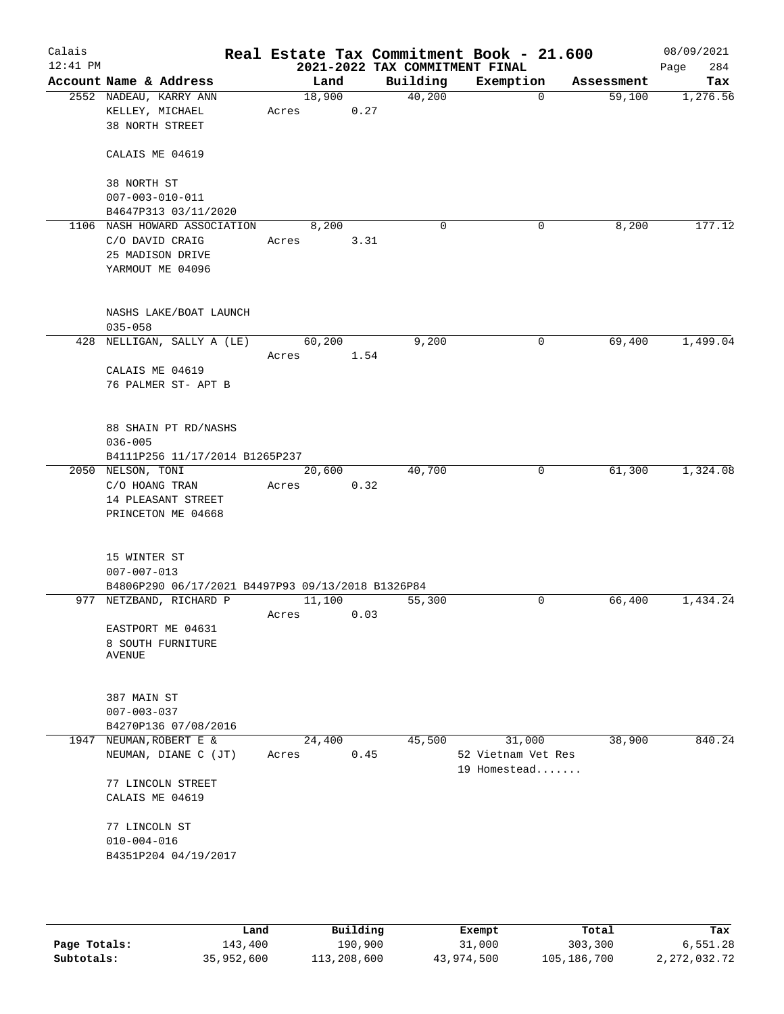| Calais<br>12:41 PM |                                                   |       |        |      | 2021-2022 TAX COMMITMENT FINAL | Real Estate Tax Commitment Book - 21.600 |             |            | 08/09/2021<br>284<br>Page |
|--------------------|---------------------------------------------------|-------|--------|------|--------------------------------|------------------------------------------|-------------|------------|---------------------------|
|                    | Account Name & Address                            |       | Land   |      | Building                       | Exemption                                |             | Assessment | Tax                       |
|                    | 2552 NADEAU, KARRY ANN                            |       | 18,900 |      | 40,200                         |                                          | $\mathbf 0$ | 59,100     | 1,276.56                  |
|                    | KELLEY, MICHAEL                                   | Acres |        | 0.27 |                                |                                          |             |            |                           |
|                    | 38 NORTH STREET                                   |       |        |      |                                |                                          |             |            |                           |
|                    | CALAIS ME 04619                                   |       |        |      |                                |                                          |             |            |                           |
|                    | 38 NORTH ST                                       |       |        |      |                                |                                          |             |            |                           |
|                    | $007 - 003 - 010 - 011$                           |       |        |      |                                |                                          |             |            |                           |
|                    | B4647P313 03/11/2020                              |       |        |      |                                |                                          |             |            |                           |
|                    | 1106 NASH HOWARD ASSOCIATION                      |       | 8,200  |      | 0                              |                                          | 0           | 8,200      | 177.12                    |
|                    | C/O DAVID CRAIG                                   | Acres |        | 3.31 |                                |                                          |             |            |                           |
|                    | 25 MADISON DRIVE                                  |       |        |      |                                |                                          |             |            |                           |
|                    | YARMOUT ME 04096                                  |       |        |      |                                |                                          |             |            |                           |
|                    | NASHS LAKE/BOAT LAUNCH                            |       |        |      |                                |                                          |             |            |                           |
|                    | $035 - 058$                                       |       |        |      |                                |                                          |             |            |                           |
| 428                | NELLIGAN, SALLY A (LE)                            |       | 60,200 |      | 9,200                          |                                          | 0           | 69,400     | 1,499.04                  |
|                    |                                                   | Acres |        | 1.54 |                                |                                          |             |            |                           |
|                    | CALAIS ME 04619                                   |       |        |      |                                |                                          |             |            |                           |
|                    | 76 PALMER ST- APT B                               |       |        |      |                                |                                          |             |            |                           |
|                    |                                                   |       |        |      |                                |                                          |             |            |                           |
|                    | 88 SHAIN PT RD/NASHS                              |       |        |      |                                |                                          |             |            |                           |
|                    | $036 - 005$                                       |       |        |      |                                |                                          |             |            |                           |
|                    | B4111P256 11/17/2014 B1265P237                    |       |        |      |                                |                                          |             |            |                           |
|                    | 2050 NELSON, TONI                                 |       | 20,600 |      | 40,700                         |                                          | 0           | 61,300     | 1,324.08                  |
|                    | C/O HOANG TRAN                                    | Acres |        | 0.32 |                                |                                          |             |            |                           |
|                    | 14 PLEASANT STREET                                |       |        |      |                                |                                          |             |            |                           |
|                    | PRINCETON ME 04668                                |       |        |      |                                |                                          |             |            |                           |
|                    |                                                   |       |        |      |                                |                                          |             |            |                           |
|                    | 15 WINTER ST                                      |       |        |      |                                |                                          |             |            |                           |
|                    | $007 - 007 - 013$                                 |       |        |      |                                |                                          |             |            |                           |
|                    | B4806P290 06/17/2021 B4497P93 09/13/2018 B1326P84 |       |        |      |                                |                                          |             |            |                           |
|                    | 977 NETZBAND, RICHARD P                           |       | 11,100 |      | 55,300                         |                                          | 0           | 66,400     | 1,434.24                  |
|                    |                                                   | Acres |        | 0.03 |                                |                                          |             |            |                           |
|                    | EASTPORT ME 04631                                 |       |        |      |                                |                                          |             |            |                           |
|                    | 8 SOUTH FURNITURE                                 |       |        |      |                                |                                          |             |            |                           |
|                    | <b>AVENUE</b>                                     |       |        |      |                                |                                          |             |            |                           |
|                    |                                                   |       |        |      |                                |                                          |             |            |                           |
|                    | 387 MAIN ST                                       |       |        |      |                                |                                          |             |            |                           |
|                    | $007 - 003 - 037$                                 |       |        |      |                                |                                          |             |            |                           |
|                    | B4270P136 07/08/2016                              |       |        |      |                                |                                          |             |            |                           |
| 1947               | NEUMAN, ROBERT E &                                |       | 24,400 |      | 45,500                         | 31,000                                   |             | 38,900     | 840.24                    |
|                    | NEUMAN, DIANE C (JT)                              | Acres |        | 0.45 |                                | 52 Vietnam Vet Res                       |             |            |                           |
|                    |                                                   |       |        |      |                                | 19 Homestead                             |             |            |                           |
|                    | 77 LINCOLN STREET                                 |       |        |      |                                |                                          |             |            |                           |
|                    | CALAIS ME 04619                                   |       |        |      |                                |                                          |             |            |                           |
|                    | 77 LINCOLN ST                                     |       |        |      |                                |                                          |             |            |                           |
|                    | $010 - 004 - 016$                                 |       |        |      |                                |                                          |             |            |                           |
|                    | B4351P204 04/19/2017                              |       |        |      |                                |                                          |             |            |                           |
|                    |                                                   |       |        |      |                                |                                          |             |            |                           |
|                    |                                                   |       |        |      |                                |                                          |             |            |                           |
|                    |                                                   |       |        |      |                                |                                          |             |            |                           |

|              | Land       | Building    | Exempt     | Total       | Tax          |
|--------------|------------|-------------|------------|-------------|--------------|
| Page Totals: | 143,400    | 190,900     | 31,000     | 303,300     | 6,551.28     |
| Subtotals:   | 35,952,600 | 113,208,600 | 43,974,500 | 105,186,700 | 2,272,032.72 |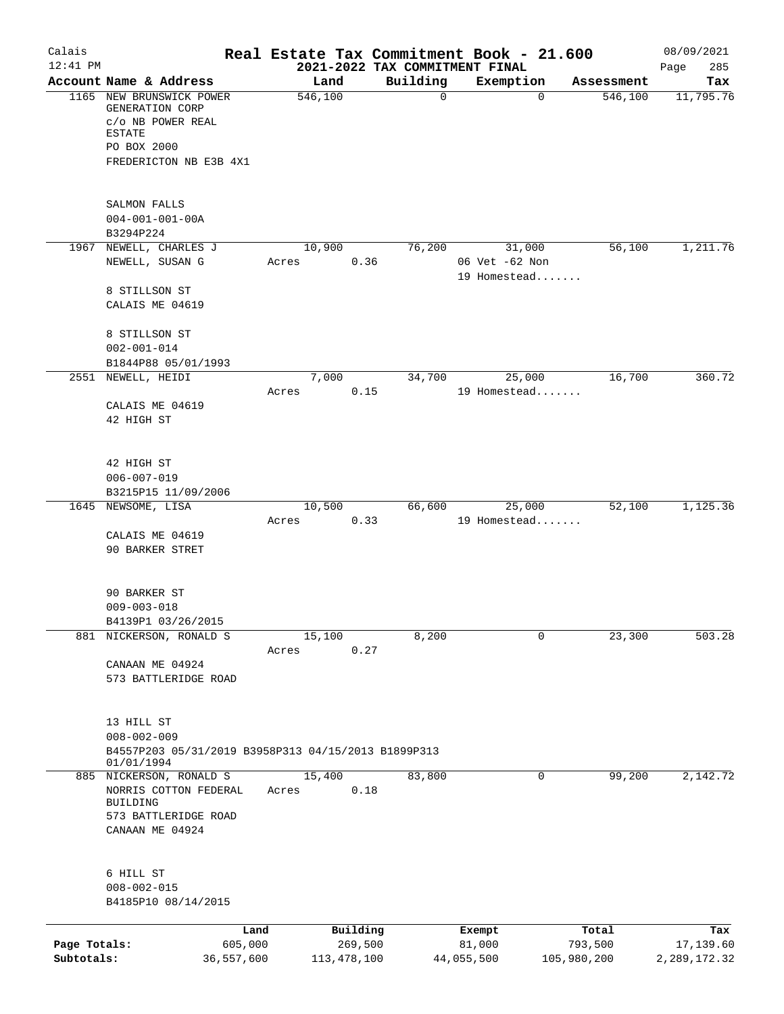| Calais<br>$12:41$ PM       |                                                                                                                              |                               |                                      |             | Real Estate Tax Commitment Book - 21.600<br>2021-2022 TAX COMMITMENT FINAL |                                 | 08/09/2021<br>285<br>Page        |
|----------------------------|------------------------------------------------------------------------------------------------------------------------------|-------------------------------|--------------------------------------|-------------|----------------------------------------------------------------------------|---------------------------------|----------------------------------|
|                            | Account Name & Address                                                                                                       |                               | Land                                 | Building    | Exemption                                                                  | Assessment                      | Tax                              |
|                            | 1165 NEW BRUNSWICK POWER<br>GENERATION CORP<br>c/o NB POWER REAL<br><b>ESTATE</b><br>PO BOX 2000<br>FREDERICTON NB E3B 4X1   |                               | 546,100                              | $\mathbf 0$ |                                                                            | $\Omega$<br>546,100             | 11,795.76                        |
|                            | SALMON FALLS<br>$004 - 001 - 001 - 00A$<br>B3294P224                                                                         |                               |                                      |             |                                                                            |                                 |                                  |
|                            | 1967 NEWELL, CHARLES J<br>NEWELL, SUSAN G                                                                                    | Acres                         | 10,900<br>0.36                       | 76,200      | 31,000<br>06 Vet -62 Non<br>19 Homestead                                   | 56,100                          | 1,211.76                         |
|                            | 8 STILLSON ST<br>CALAIS ME 04619                                                                                             |                               |                                      |             |                                                                            |                                 |                                  |
|                            | 8 STILLSON ST<br>$002 - 001 - 014$                                                                                           |                               |                                      |             |                                                                            |                                 |                                  |
|                            | B1844P88 05/01/1993<br>2551 NEWELL, HEIDI                                                                                    |                               | 7,000                                | 34,700      | 25,000                                                                     | 16,700                          | 360.72                           |
|                            | CALAIS ME 04619<br>42 HIGH ST                                                                                                | Acres                         | 0.15                                 |             | 19 Homestead                                                               |                                 |                                  |
|                            | 42 HIGH ST<br>$006 - 007 - 019$<br>B3215P15 11/09/2006                                                                       |                               |                                      |             |                                                                            |                                 |                                  |
|                            | 1645 NEWSOME, LISA<br>CALAIS ME 04619<br>90 BARKER STRET                                                                     | Acres                         | 10,500<br>0.33                       | 66,600      | 25,000<br>19 Homestead                                                     | 52,100                          | 1,125.36                         |
|                            | 90 BARKER ST<br>$009 - 003 - 018$<br>B4139P1 03/26/2015                                                                      |                               |                                      |             |                                                                            |                                 |                                  |
|                            | 881 NICKERSON, RONALD S<br>CANAAN ME 04924<br>573 BATTLERIDGE ROAD                                                           | Acres                         | 15,100<br>0.27                       | 8,200       |                                                                            | 23,300<br>0                     | 503.28                           |
|                            | 13 HILL ST<br>$008 - 002 - 009$<br>B4557P203 05/31/2019 B3958P313 04/15/2013 B1899P313                                       |                               |                                      |             |                                                                            |                                 |                                  |
|                            | 01/01/1994<br>885 NICKERSON, RONALD S<br>NORRIS COTTON FEDERAL<br><b>BUILDING</b><br>573 BATTLERIDGE ROAD<br>CANAAN ME 04924 | Acres                         | 15,400<br>0.18                       | 83,800      |                                                                            | 99,200<br>0                     | 2,142.72                         |
|                            | 6 HILL ST<br>$008 - 002 - 015$<br>B4185P10 08/14/2015                                                                        |                               |                                      |             |                                                                            |                                 |                                  |
| Page Totals:<br>Subtotals: |                                                                                                                              | Land<br>605,000<br>36,557,600 | Building<br>269,500<br>113, 478, 100 |             | Exempt<br>81,000<br>44,055,500                                             | Total<br>793,500<br>105,980,200 | Tax<br>17,139.60<br>2,289,172.32 |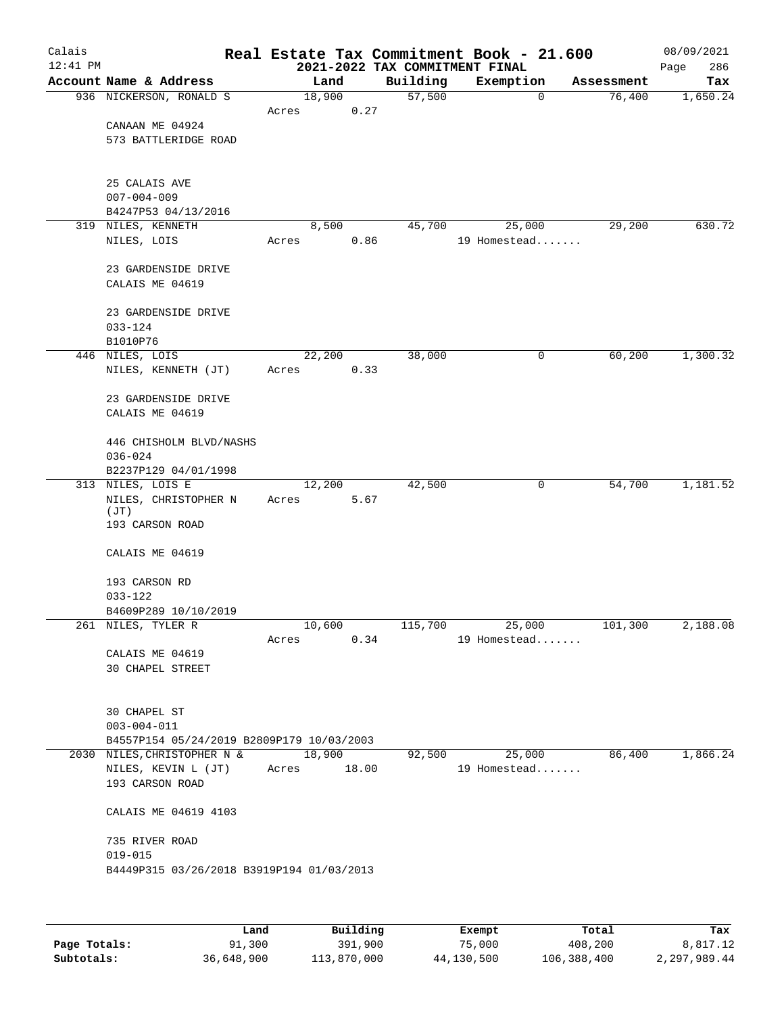| Calais<br>$12:41$ PM |                                                          |             |        | 2021-2022 TAX COMMITMENT FINAL | Real Estate Tax Commitment Book - 21.600 |                       | 08/09/2021<br>286<br>Page |
|----------------------|----------------------------------------------------------|-------------|--------|--------------------------------|------------------------------------------|-----------------------|---------------------------|
|                      | Account Name & Address                                   |             | Land   | Building                       | Exemption                                | Assessment            | Tax                       |
|                      | 936 NICKERSON, RONALD S                                  | 18,900      |        | 57,500                         |                                          | 76,400<br>$\mathbf 0$ | 1,650.24                  |
|                      |                                                          | Acres       | 0.27   |                                |                                          |                       |                           |
|                      | CANAAN ME 04924                                          |             |        |                                |                                          |                       |                           |
|                      | 573 BATTLERIDGE ROAD                                     |             |        |                                |                                          |                       |                           |
|                      |                                                          |             |        |                                |                                          |                       |                           |
|                      |                                                          |             |        |                                |                                          |                       |                           |
|                      | 25 CALAIS AVE                                            |             |        |                                |                                          |                       |                           |
|                      | $007 - 004 - 009$                                        |             |        |                                |                                          |                       |                           |
|                      | B4247P53 04/13/2016<br>319 NILES, KENNETH                |             | 8,500  | 45,700                         | 25,000                                   | 29,200                | 630.72                    |
|                      | NILES, LOIS                                              | Acres       | 0.86   |                                | 19 Homestead                             |                       |                           |
|                      |                                                          |             |        |                                |                                          |                       |                           |
|                      | 23 GARDENSIDE DRIVE                                      |             |        |                                |                                          |                       |                           |
|                      | CALAIS ME 04619                                          |             |        |                                |                                          |                       |                           |
|                      |                                                          |             |        |                                |                                          |                       |                           |
|                      | 23 GARDENSIDE DRIVE                                      |             |        |                                |                                          |                       |                           |
|                      | $033 - 124$                                              |             |        |                                |                                          |                       |                           |
|                      | B1010P76                                                 |             |        |                                |                                          |                       |                           |
|                      | 446 NILES, LOIS                                          | 22,200      |        | 38,000                         |                                          | 60,200<br>0           | 1,300.32                  |
|                      | NILES, KENNETH (JT)                                      | Acres       | 0.33   |                                |                                          |                       |                           |
|                      |                                                          |             |        |                                |                                          |                       |                           |
|                      | 23 GARDENSIDE DRIVE<br>CALAIS ME 04619                   |             |        |                                |                                          |                       |                           |
|                      |                                                          |             |        |                                |                                          |                       |                           |
|                      | 446 CHISHOLM BLVD/NASHS                                  |             |        |                                |                                          |                       |                           |
|                      | $036 - 024$                                              |             |        |                                |                                          |                       |                           |
|                      | B2237P129 04/01/1998                                     |             |        |                                |                                          |                       |                           |
|                      | 313 NILES, LOIS E                                        | 12,200      |        | 42,500                         |                                          | 0<br>54,700           | 1,181.52                  |
|                      | NILES, CHRISTOPHER N                                     | Acres       | 5.67   |                                |                                          |                       |                           |
|                      | (JT)                                                     |             |        |                                |                                          |                       |                           |
|                      | 193 CARSON ROAD                                          |             |        |                                |                                          |                       |                           |
|                      | CALAIS ME 04619                                          |             |        |                                |                                          |                       |                           |
|                      |                                                          |             |        |                                |                                          |                       |                           |
|                      | 193 CARSON RD                                            |             |        |                                |                                          |                       |                           |
|                      | $033 - 122$                                              |             |        |                                |                                          |                       |                           |
|                      | B4609P289 10/10/2019                                     |             |        |                                |                                          |                       |                           |
|                      | 261 NILES, TYLER R                                       |             | 10,600 | 115,700                        |                                          | 25,000<br>101,300     | 2,188.08                  |
|                      |                                                          | Acres       |        | 0.34                           | 19 Homestead                             |                       |                           |
|                      | CALAIS ME 04619                                          |             |        |                                |                                          |                       |                           |
|                      | <b>30 CHAPEL STREET</b>                                  |             |        |                                |                                          |                       |                           |
|                      |                                                          |             |        |                                |                                          |                       |                           |
|                      | 30 CHAPEL ST                                             |             |        |                                |                                          |                       |                           |
|                      | $003 - 004 - 011$                                        |             |        |                                |                                          |                       |                           |
|                      | B4557P154 05/24/2019 B2809P179 10/03/2003                |             |        |                                |                                          |                       |                           |
|                      | 2030 NILES, CHRISTOPHER N &                              | 18,900      |        | 92,500                         | 25,000                                   | 86,400                | 1,866.24                  |
|                      | NILES, KEVIN L (JT)                                      | Acres 18.00 |        |                                | 19 Homestead                             |                       |                           |
|                      | 193 CARSON ROAD                                          |             |        |                                |                                          |                       |                           |
|                      |                                                          |             |        |                                |                                          |                       |                           |
|                      | CALAIS ME 04619 4103                                     |             |        |                                |                                          |                       |                           |
|                      |                                                          |             |        |                                |                                          |                       |                           |
|                      | 735 RIVER ROAD                                           |             |        |                                |                                          |                       |                           |
|                      | $019 - 015$<br>B4449P315 03/26/2018 B3919P194 01/03/2013 |             |        |                                |                                          |                       |                           |
|                      |                                                          |             |        |                                |                                          |                       |                           |
|                      |                                                          |             |        |                                |                                          |                       |                           |
|                      |                                                          |             |        |                                |                                          |                       |                           |

|              | Land       | Building    | Exempt     | Total       | Tax          |
|--------------|------------|-------------|------------|-------------|--------------|
| Page Totals: | 91,300     | 391,900     | 75,000     | 408,200     | 8,817.12     |
| Subtotals:   | 36,648,900 | 113,870,000 | 44,130,500 | 106,388,400 | 2,297,989.44 |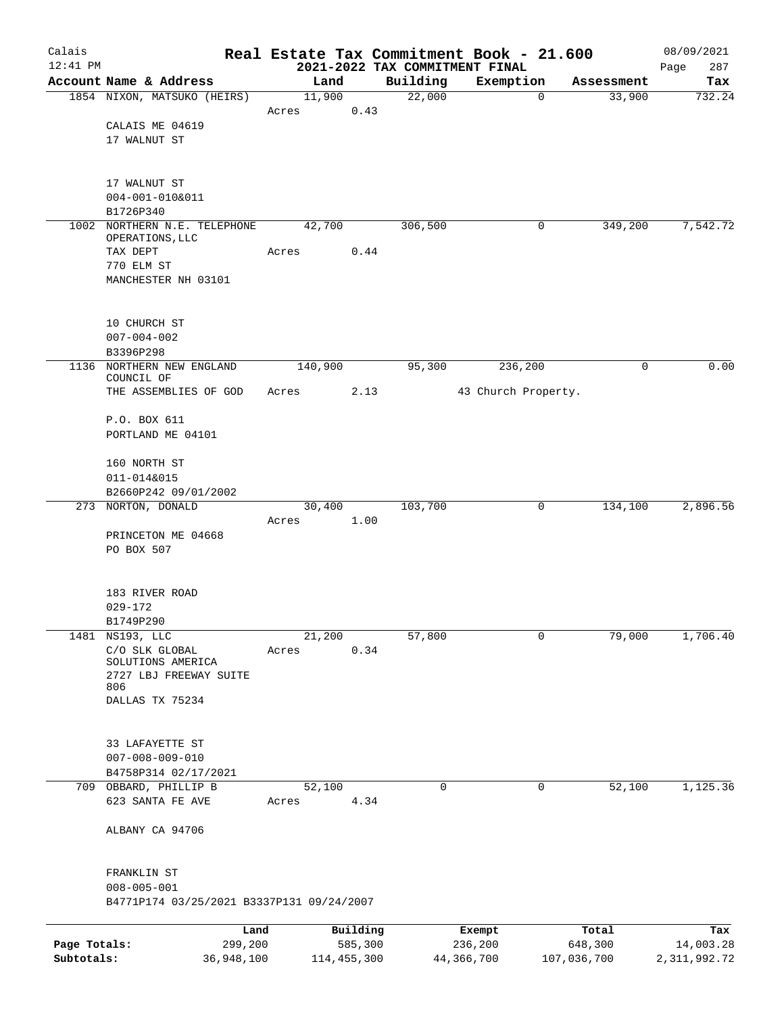| Calais       |                                           |         |          |                                            | Real Estate Tax Commitment Book - 21.600 |            | 08/09/2021         |
|--------------|-------------------------------------------|---------|----------|--------------------------------------------|------------------------------------------|------------|--------------------|
| $12:41$ PM   | Account Name & Address                    |         | Land     | 2021-2022 TAX COMMITMENT FINAL<br>Building | Exemption                                | Assessment | 287<br>Page<br>Tax |
|              | 1854 NIXON, MATSUKO (HEIRS)               | 11,900  |          | 22,000                                     | $\mathbf 0$                              | 33,900     | 732.24             |
|              |                                           | Acres   | 0.43     |                                            |                                          |            |                    |
|              | CALAIS ME 04619                           |         |          |                                            |                                          |            |                    |
|              | 17 WALNUT ST                              |         |          |                                            |                                          |            |                    |
|              |                                           |         |          |                                            |                                          |            |                    |
|              | 17 WALNUT ST                              |         |          |                                            |                                          |            |                    |
|              | 004-001-010&011                           |         |          |                                            |                                          |            |                    |
|              | B1726P340                                 |         |          |                                            |                                          |            |                    |
|              | 1002 NORTHERN N.E. TELEPHONE              | 42,700  |          | 306, 500                                   | 0                                        | 349,200    | 7,542.72           |
|              | OPERATIONS, LLC<br>TAX DEPT               | Acres   | 0.44     |                                            |                                          |            |                    |
|              | 770 ELM ST                                |         |          |                                            |                                          |            |                    |
|              | MANCHESTER NH 03101                       |         |          |                                            |                                          |            |                    |
|              |                                           |         |          |                                            |                                          |            |                    |
|              | 10 CHURCH ST                              |         |          |                                            |                                          |            |                    |
|              | $007 - 004 - 002$                         |         |          |                                            |                                          |            |                    |
|              | B3396P298                                 |         |          |                                            |                                          |            |                    |
|              | 1136 NORTHERN NEW ENGLAND                 | 140,900 |          | 95,300                                     | 236,200                                  | 0          | 0.00               |
|              | COUNCIL OF<br>THE ASSEMBLIES OF GOD       | Acres   | 2.13     |                                            | 43 Church Property.                      |            |                    |
|              |                                           |         |          |                                            |                                          |            |                    |
|              | P.O. BOX 611                              |         |          |                                            |                                          |            |                    |
|              | PORTLAND ME 04101                         |         |          |                                            |                                          |            |                    |
|              | 160 NORTH ST                              |         |          |                                            |                                          |            |                    |
|              | 011-014&015                               |         |          |                                            |                                          |            |                    |
|              | B2660P242 09/01/2002                      |         |          |                                            |                                          |            |                    |
|              | 273 NORTON, DONALD                        | 30,400  |          | 103,700                                    | 0                                        | 134,100    | 2,896.56           |
|              |                                           | Acres   | 1.00     |                                            |                                          |            |                    |
|              | PRINCETON ME 04668<br>PO BOX 507          |         |          |                                            |                                          |            |                    |
|              |                                           |         |          |                                            |                                          |            |                    |
|              |                                           |         |          |                                            |                                          |            |                    |
|              | 183 RIVER ROAD<br>$029 - 172$             |         |          |                                            |                                          |            |                    |
|              | B1749P290                                 |         |          |                                            |                                          |            |                    |
| 1481         | NS193, LLC                                | 21,200  |          | 57,800                                     | 0                                        | 79,000     | 1,706.40           |
|              | C/O SLK GLOBAL                            | Acres   | 0.34     |                                            |                                          |            |                    |
|              | SOLUTIONS AMERICA                         |         |          |                                            |                                          |            |                    |
|              | 2727 LBJ FREEWAY SUITE<br>806             |         |          |                                            |                                          |            |                    |
|              | DALLAS TX 75234                           |         |          |                                            |                                          |            |                    |
|              |                                           |         |          |                                            |                                          |            |                    |
|              | 33 LAFAYETTE ST                           |         |          |                                            |                                          |            |                    |
|              | $007 - 008 - 009 - 010$                   |         |          |                                            |                                          |            |                    |
|              | B4758P314 02/17/2021                      |         |          |                                            |                                          |            |                    |
| 709          | OBBARD, PHILLIP B                         | 52,100  |          | 0                                          | 0                                        | 52,100     | 1,125.36           |
|              | 623 SANTA FE AVE                          | Acres   | 4.34     |                                            |                                          |            |                    |
|              | ALBANY CA 94706                           |         |          |                                            |                                          |            |                    |
|              |                                           |         |          |                                            |                                          |            |                    |
|              |                                           |         |          |                                            |                                          |            |                    |
|              | FRANKLIN ST<br>$008 - 005 - 001$          |         |          |                                            |                                          |            |                    |
|              | B4771P174 03/25/2021 B3337P131 09/24/2007 |         |          |                                            |                                          |            |                    |
|              |                                           |         |          |                                            |                                          |            |                    |
|              | Land                                      |         | Building |                                            | Exempt                                   | Total      | Tax                |
| Page Totals: | 299,200                                   |         | 585,300  |                                            | 236,200                                  | 648,300    | 14,003.28          |

**Subtotals:** 36,948,100 114,455,300 44,366,700 107,036,700 2,311,992.72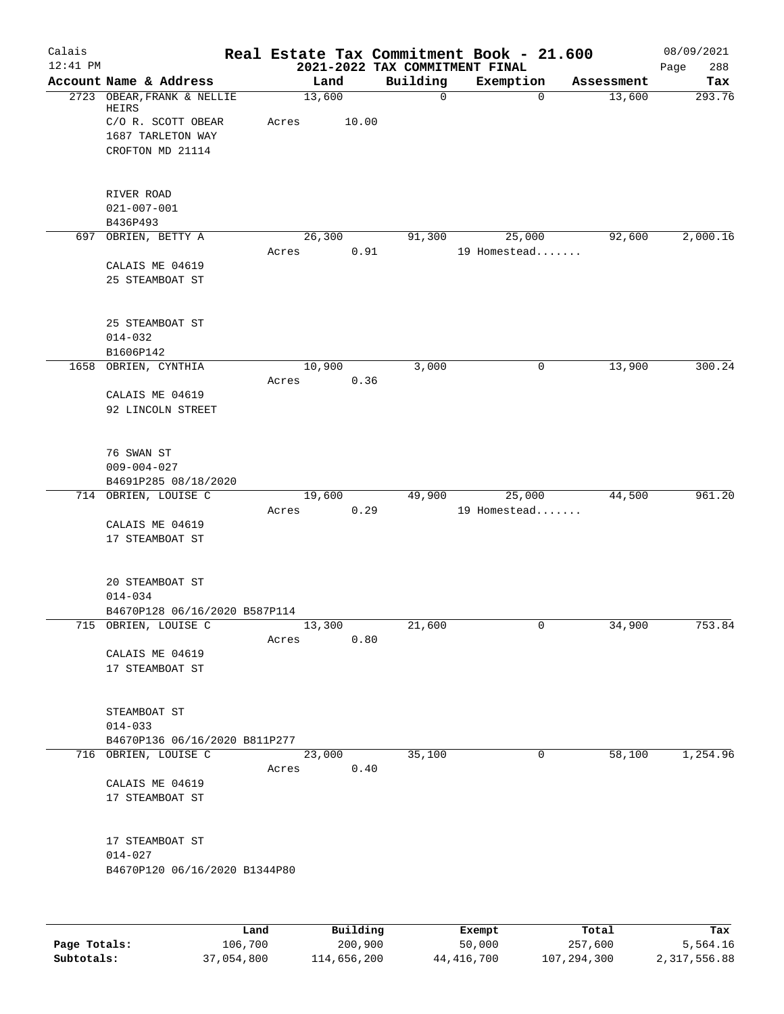| Calais<br>$12:41$ PM |                                                                                                    |       |                 | 2021-2022 TAX COMMITMENT FINAL | Real Estate Tax Commitment Book - 21.600 |            | 08/09/2021<br>288<br>Page |
|----------------------|----------------------------------------------------------------------------------------------------|-------|-----------------|--------------------------------|------------------------------------------|------------|---------------------------|
|                      | Account Name & Address                                                                             |       | Land            | Building                       | Exemption                                | Assessment | Tax                       |
|                      | 2723 OBEAR, FRANK & NELLIE<br>HEIRS<br>C/O R. SCOTT OBEAR<br>1687 TARLETON WAY<br>CROFTON MD 21114 | Acres | 13,600<br>10.00 | 0                              | $\mathbf 0$                              | 13,600     | 293.76                    |
|                      | RIVER ROAD<br>$021 - 007 - 001$<br>B436P493                                                        |       |                 |                                |                                          |            |                           |
|                      | 697 OBRIEN, BETTY A                                                                                |       | 26,300          | 91,300                         | 25,000                                   | 92,600     | 2,000.16                  |
|                      | CALAIS ME 04619<br>25 STEAMBOAT ST                                                                 | Acres |                 | 0.91                           | 19 Homestead                             |            |                           |
|                      | 25 STEAMBOAT ST<br>$014 - 032$<br>B1606P142                                                        |       |                 |                                |                                          |            |                           |
| 1658                 | OBRIEN, CYNTHIA                                                                                    | Acres | 10,900          | 3,000<br>0.36                  | 0                                        | 13,900     | 300.24                    |
|                      | CALAIS ME 04619<br>92 LINCOLN STREET                                                               |       |                 |                                |                                          |            |                           |
|                      | 76 SWAN ST<br>$009 - 004 - 027$<br>B4691P285 08/18/2020                                            |       |                 |                                |                                          |            |                           |
|                      | 714 OBRIEN, LOUISE C                                                                               | Acres | 19,600          | 49,900<br>0.29                 | 25,000<br>19 Homestead                   | 44,500     | 961.20                    |
|                      | CALAIS ME 04619<br>17 STEAMBOAT ST                                                                 |       |                 |                                |                                          |            |                           |
|                      | 20 STEAMBOAT ST<br>$014 - 034$<br>B4670P128 06/16/2020 B587P114                                    |       |                 |                                |                                          |            |                           |
|                      | 715 OBRIEN, LOUISE C                                                                               |       | 13,300          | 21,600                         | 0                                        | 34,900     | 753.84                    |
|                      | CALAIS ME 04619<br>17 STEAMBOAT ST                                                                 | Acres |                 | 0.80                           |                                          |            |                           |
|                      | STEAMBOAT ST<br>$014 - 033$                                                                        |       |                 |                                |                                          |            |                           |
|                      | B4670P136 06/16/2020 B811P277<br>716 OBRIEN, LOUISE C                                              |       | 23,000          | 35,100                         | 0                                        | 58,100     | 1,254.96                  |
|                      | CALAIS ME 04619<br>17 STEAMBOAT ST                                                                 | Acres |                 | 0.40                           |                                          |            |                           |
|                      | 17 STEAMBOAT ST<br>$014 - 027$<br>B4670P120 06/16/2020 B1344P80                                    |       |                 |                                |                                          |            |                           |
|                      |                                                                                                    | Land  | Building        |                                | Exempt                                   | Total      | Tax                       |

|              | Land       | Building    | Exempt     | Total       | тах          |
|--------------|------------|-------------|------------|-------------|--------------|
| Page Totals: | 106,700    | 200,900     | 50,000     | 257,600     | 5,564.16     |
| Subtotals:   | 37,054,800 | 114,656,200 | 44,416,700 | 107,294,300 | 2,317,556.88 |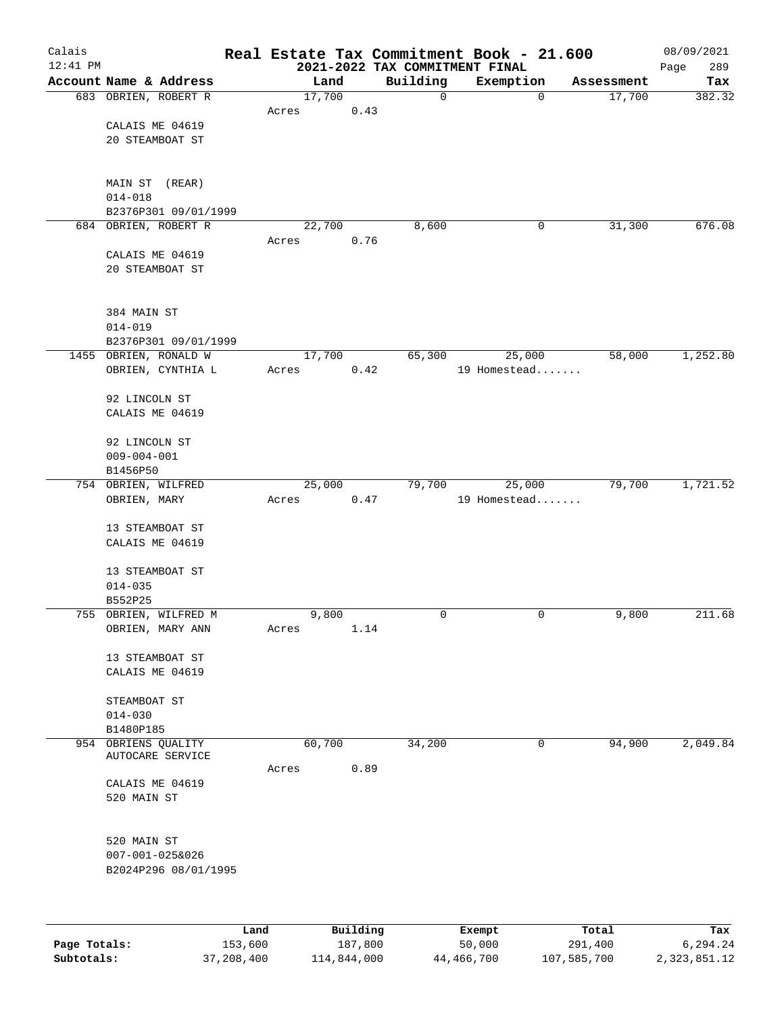| Calais       |                                 |         |        |          |      |                                            | Real Estate Tax Commitment Book - 21.600 |            | 08/09/2021         |
|--------------|---------------------------------|---------|--------|----------|------|--------------------------------------------|------------------------------------------|------------|--------------------|
| $12:41$ PM   | Account Name & Address          |         |        | Land     |      | 2021-2022 TAX COMMITMENT FINAL<br>Building | Exemption                                | Assessment | 289<br>Page<br>Tax |
|              | 683 OBRIEN, ROBERT R            |         | 17,700 |          |      | $\mathbf 0$                                | 0                                        | 17,700     | 382.32             |
|              |                                 |         | Acres  |          | 0.43 |                                            |                                          |            |                    |
|              | CALAIS ME 04619                 |         |        |          |      |                                            |                                          |            |                    |
|              | 20 STEAMBOAT ST                 |         |        |          |      |                                            |                                          |            |                    |
|              |                                 |         |        |          |      |                                            |                                          |            |                    |
|              | MAIN ST (REAR)                  |         |        |          |      |                                            |                                          |            |                    |
|              | $014 - 018$                     |         |        |          |      |                                            |                                          |            |                    |
|              | B2376P301 09/01/1999            |         |        |          |      |                                            |                                          |            |                    |
|              | 684 OBRIEN, ROBERT R            |         | 22,700 |          |      | 8,600                                      | 0                                        | 31,300     | 676.08             |
|              |                                 |         | Acres  |          | 0.76 |                                            |                                          |            |                    |
|              | CALAIS ME 04619                 |         |        |          |      |                                            |                                          |            |                    |
|              | 20 STEAMBOAT ST                 |         |        |          |      |                                            |                                          |            |                    |
|              |                                 |         |        |          |      |                                            |                                          |            |                    |
|              | 384 MAIN ST                     |         |        |          |      |                                            |                                          |            |                    |
|              | $014 - 019$                     |         |        |          |      |                                            |                                          |            |                    |
|              | B2376P301 09/01/1999            |         |        |          |      |                                            |                                          |            |                    |
|              | 1455 OBRIEN, RONALD W           |         | 17,700 |          |      | 65,300                                     | 25,000                                   | 58,000     | 1,252.80           |
|              | OBRIEN, CYNTHIA L               |         | Acres  |          | 0.42 |                                            | 19 Homestead                             |            |                    |
|              | 92 LINCOLN ST                   |         |        |          |      |                                            |                                          |            |                    |
|              | CALAIS ME 04619                 |         |        |          |      |                                            |                                          |            |                    |
|              |                                 |         |        |          |      |                                            |                                          |            |                    |
|              | 92 LINCOLN ST                   |         |        |          |      |                                            |                                          |            |                    |
|              | $009 - 004 - 001$               |         |        |          |      |                                            |                                          |            |                    |
|              | B1456P50<br>754 OBRIEN, WILFRED |         | 25,000 |          |      | 79,700                                     | 25,000                                   | 79,700     | 1,721.52           |
|              | OBRIEN, MARY                    |         | Acres  |          | 0.47 |                                            | 19 Homestead                             |            |                    |
|              |                                 |         |        |          |      |                                            |                                          |            |                    |
|              | 13 STEAMBOAT ST                 |         |        |          |      |                                            |                                          |            |                    |
|              | CALAIS ME 04619                 |         |        |          |      |                                            |                                          |            |                    |
|              |                                 |         |        |          |      |                                            |                                          |            |                    |
|              | 13 STEAMBOAT ST<br>$014 - 035$  |         |        |          |      |                                            |                                          |            |                    |
|              | B552P25                         |         |        |          |      |                                            |                                          |            |                    |
|              | 755 OBRIEN, WILFRED M           |         |        | 9,800    |      | 0                                          | 0                                        | 9,800      | 211.68             |
|              | OBRIEN, MARY ANN                |         | Acres  |          | 1.14 |                                            |                                          |            |                    |
|              |                                 |         |        |          |      |                                            |                                          |            |                    |
|              | 13 STEAMBOAT ST                 |         |        |          |      |                                            |                                          |            |                    |
|              | CALAIS ME 04619                 |         |        |          |      |                                            |                                          |            |                    |
|              | STEAMBOAT ST                    |         |        |          |      |                                            |                                          |            |                    |
|              | $014 - 030$                     |         |        |          |      |                                            |                                          |            |                    |
|              | B1480P185                       |         |        |          |      |                                            |                                          |            |                    |
| 954          | OBRIENS QUALITY                 |         | 60,700 |          |      | 34,200                                     | 0                                        | 94,900     | 2,049.84           |
|              | AUTOCARE SERVICE                |         | Acres  |          | 0.89 |                                            |                                          |            |                    |
|              | CALAIS ME 04619                 |         |        |          |      |                                            |                                          |            |                    |
|              | 520 MAIN ST                     |         |        |          |      |                                            |                                          |            |                    |
|              |                                 |         |        |          |      |                                            |                                          |            |                    |
|              |                                 |         |        |          |      |                                            |                                          |            |                    |
|              | 520 MAIN ST                     |         |        |          |      |                                            |                                          |            |                    |
|              | 007-001-025&026                 |         |        |          |      |                                            |                                          |            |                    |
|              | B2024P296 08/01/1995            |         |        |          |      |                                            |                                          |            |                    |
|              |                                 |         |        |          |      |                                            |                                          |            |                    |
|              |                                 |         |        |          |      |                                            |                                          |            |                    |
|              |                                 | Land    |        | Building |      |                                            | Exempt                                   | Total      | Tax                |
| Page Totals: |                                 | 153,600 |        | 187,800  |      |                                            | 50,000                                   | 291,400    | 6,294.24           |

**Subtotals:** 37,208,400 114,844,000 44,466,700 107,585,700 2,323,851.12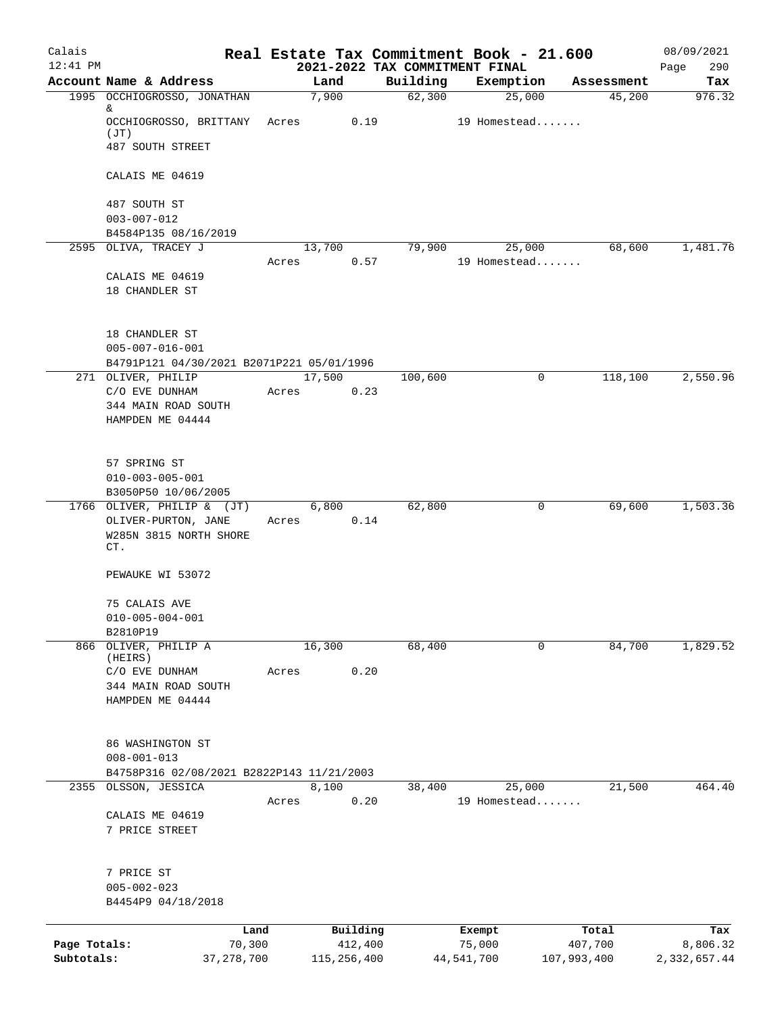| Calais<br>$12:41$ PM |                                           |               | 2021-2022 TAX COMMITMENT FINAL | Real Estate Tax Commitment Book - 21.600 |             | 08/09/2021<br>290<br>Page |
|----------------------|-------------------------------------------|---------------|--------------------------------|------------------------------------------|-------------|---------------------------|
|                      | Account Name & Address                    | Land          | Building                       | Exemption                                | Assessment  | Tax                       |
|                      | 1995 OCCHIOGROSSO, JONATHAN<br>&          | 7,900         | 62,300                         | 25,000                                   | 45,200      | 976.32                    |
|                      | OCCHIOGROSSO, BRITTANY Acres<br>(JT)      | 0.19          |                                | 19 Homestead                             |             |                           |
|                      | 487 SOUTH STREET                          |               |                                |                                          |             |                           |
|                      | CALAIS ME 04619                           |               |                                |                                          |             |                           |
|                      | 487 SOUTH ST<br>$003 - 007 - 012$         |               |                                |                                          |             |                           |
|                      | B4584P135 08/16/2019                      |               |                                |                                          |             |                           |
|                      | 2595 OLIVA, TRACEY J                      | 13,700        | 79,900                         | 25,000                                   | 68,600      | 1,481.76                  |
|                      |                                           | Acres<br>0.57 |                                | 19 Homestead                             |             |                           |
|                      | CALAIS ME 04619                           |               |                                |                                          |             |                           |
|                      | 18 CHANDLER ST                            |               |                                |                                          |             |                           |
|                      | 18 CHANDLER ST                            |               |                                |                                          |             |                           |
|                      | $005 - 007 - 016 - 001$                   |               |                                |                                          |             |                           |
|                      | B4791P121 04/30/2021 B2071P221 05/01/1996 |               |                                |                                          |             |                           |
|                      | 271 OLIVER, PHILIP                        | 17,500        | 100,600                        | $\mathbf 0$                              | 118,100     | 2,550.96                  |
|                      | C/O EVE DUNHAM                            | 0.23<br>Acres |                                |                                          |             |                           |
|                      | 344 MAIN ROAD SOUTH                       |               |                                |                                          |             |                           |
|                      | HAMPDEN ME 04444                          |               |                                |                                          |             |                           |
|                      | 57 SPRING ST                              |               |                                |                                          |             |                           |
|                      | $010 - 003 - 005 - 001$                   |               |                                |                                          |             |                           |
|                      | B3050P50 10/06/2005                       |               |                                |                                          |             |                           |
|                      | 1766 OLIVER, PHILIP & (JT)                | 6,800         | 62,800                         | 0                                        | 69,600      | 1,503.36                  |
|                      | OLIVER-PURTON, JANE                       | 0.14<br>Acres |                                |                                          |             |                           |
|                      | W285N 3815 NORTH SHORE<br>CT.             |               |                                |                                          |             |                           |
|                      |                                           |               |                                |                                          |             |                           |
|                      | PEWAUKE WI 53072                          |               |                                |                                          |             |                           |
|                      | 75 CALAIS AVE                             |               |                                |                                          |             |                           |
|                      | $010 - 005 - 004 - 001$                   |               |                                |                                          |             |                           |
|                      | B2810P19                                  |               |                                |                                          |             |                           |
| 866                  | OLIVER, PHILIP A                          | 16,300        | 68,400                         | $\mathbf 0$                              | 84,700      | 1,829.52                  |
|                      | (HEIRS)                                   |               |                                |                                          |             |                           |
|                      | C/O EVE DUNHAM                            | 0.20<br>Acres |                                |                                          |             |                           |
|                      | 344 MAIN ROAD SOUTH                       |               |                                |                                          |             |                           |
|                      | HAMPDEN ME 04444                          |               |                                |                                          |             |                           |
|                      | 86 WASHINGTON ST                          |               |                                |                                          |             |                           |
|                      | $008 - 001 - 013$                         |               |                                |                                          |             |                           |
|                      | B4758P316 02/08/2021 B2822P143 11/21/2003 |               |                                |                                          |             |                           |
| 2355                 | OLSSON, JESSICA                           | 8,100         | 38,400                         | 25,000                                   | 21,500      | 464.40                    |
|                      |                                           | 0.20<br>Acres |                                | 19 Homestead                             |             |                           |
|                      | CALAIS ME 04619                           |               |                                |                                          |             |                           |
|                      | 7 PRICE STREET                            |               |                                |                                          |             |                           |
|                      | 7 PRICE ST                                |               |                                |                                          |             |                           |
|                      | $005 - 002 - 023$                         |               |                                |                                          |             |                           |
|                      | B4454P9 04/18/2018                        |               |                                |                                          |             |                           |
|                      |                                           |               |                                |                                          |             |                           |
|                      | Land                                      | Building      |                                | Exempt                                   | Total       | Tax                       |
| Page Totals:         | 70,300                                    | 412,400       |                                | 75,000                                   | 407,700     | 8,806.32                  |
| Subtotals:           | 37, 278, 700                              | 115,256,400   |                                | 44,541,700                               | 107,993,400 | 2,332,657.44              |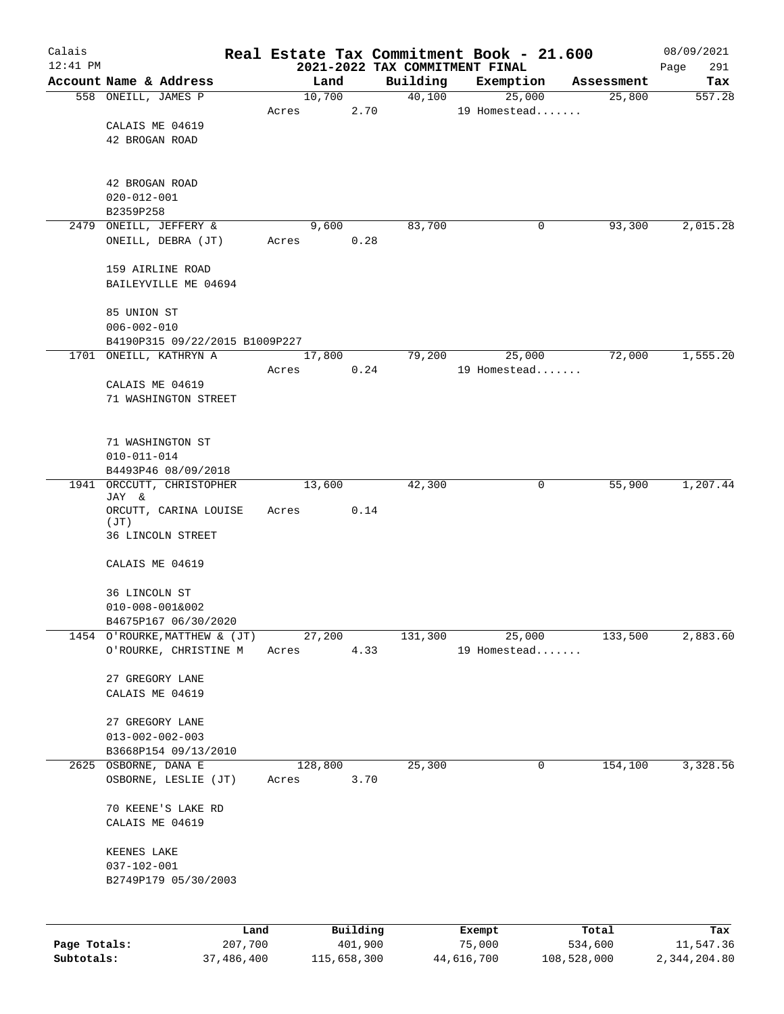| Calais       |                                              |         |             |                                            | Real Estate Tax Commitment Book - 21.600 |             | 08/09/2021         |
|--------------|----------------------------------------------|---------|-------------|--------------------------------------------|------------------------------------------|-------------|--------------------|
| $12:41$ PM   | Account Name & Address                       | Land    |             | 2021-2022 TAX COMMITMENT FINAL<br>Building | Exemption                                | Assessment  | 291<br>Page<br>Tax |
|              | 558 ONEILL, JAMES P                          | 10,700  |             | 40,100                                     | 25,000                                   | 25,800      | 557.28             |
|              |                                              | Acres   | 2.70        |                                            | 19 Homestead                             |             |                    |
|              | CALAIS ME 04619                              |         |             |                                            |                                          |             |                    |
|              | 42 BROGAN ROAD                               |         |             |                                            |                                          |             |                    |
|              |                                              |         |             |                                            |                                          |             |                    |
|              |                                              |         |             |                                            |                                          |             |                    |
|              | 42 BROGAN ROAD<br>$020 - 012 - 001$          |         |             |                                            |                                          |             |                    |
|              | B2359P258                                    |         |             |                                            |                                          |             |                    |
|              | 2479 ONEILL, JEFFERY &                       | 9,600   |             | 83,700                                     | 0                                        | 93,300      | 2,015.28           |
|              | ONEILL, DEBRA (JT)                           | Acres   | 0.28        |                                            |                                          |             |                    |
|              |                                              |         |             |                                            |                                          |             |                    |
|              | 159 AIRLINE ROAD                             |         |             |                                            |                                          |             |                    |
|              | BAILEYVILLE ME 04694                         |         |             |                                            |                                          |             |                    |
|              | 85 UNION ST                                  |         |             |                                            |                                          |             |                    |
|              | $006 - 002 - 010$                            |         |             |                                            |                                          |             |                    |
|              | B4190P315 09/22/2015 B1009P227               |         |             |                                            |                                          |             |                    |
|              | 1701 ONEILL, KATHRYN A                       | 17,800  |             | 79,200                                     | 25,000                                   | 72,000      | 1,555.20           |
|              |                                              | Acres   | 0.24        |                                            | 19 Homestead                             |             |                    |
|              | CALAIS ME 04619                              |         |             |                                            |                                          |             |                    |
|              | 71 WASHINGTON STREET                         |         |             |                                            |                                          |             |                    |
|              |                                              |         |             |                                            |                                          |             |                    |
|              | 71 WASHINGTON ST                             |         |             |                                            |                                          |             |                    |
|              | $010 - 011 - 014$                            |         |             |                                            |                                          |             |                    |
|              | B4493P46 08/09/2018                          |         |             |                                            |                                          |             |                    |
|              | 1941 ORCCUTT, CHRISTOPHER<br>JAY &           | 13,600  |             | 42,300                                     | 0                                        | 55,900      | 1,207.44           |
|              | ORCUTT, CARINA LOUISE                        | Acres   | 0.14        |                                            |                                          |             |                    |
|              | (JT)                                         |         |             |                                            |                                          |             |                    |
|              | 36 LINCOLN STREET                            |         |             |                                            |                                          |             |                    |
|              | CALAIS ME 04619                              |         |             |                                            |                                          |             |                    |
|              |                                              |         |             |                                            |                                          |             |                    |
|              | 36 LINCOLN ST                                |         |             |                                            |                                          |             |                    |
|              | $010 - 008 - 001&002$                        |         |             |                                            |                                          |             |                    |
|              | B4675P167 06/30/2020                         |         |             |                                            |                                          |             |                    |
|              | 1454 O'ROURKE, MATTHEW & (JT)                | 27,200  |             | 131,300                                    | 25,000                                   | 133,500     | 2,883.60           |
|              | O'ROURKE, CHRISTINE M                        | Acres   | 4.33        |                                            | 19 Homestead                             |             |                    |
|              | 27 GREGORY LANE                              |         |             |                                            |                                          |             |                    |
|              | CALAIS ME 04619                              |         |             |                                            |                                          |             |                    |
|              |                                              |         |             |                                            |                                          |             |                    |
|              | 27 GREGORY LANE                              |         |             |                                            |                                          |             |                    |
|              | $013 - 002 - 002 - 003$                      |         |             |                                            |                                          |             |                    |
|              | B3668P154 09/13/2010                         |         |             |                                            |                                          |             |                    |
|              | 2625 OSBORNE, DANA E<br>OSBORNE, LESLIE (JT) | 128,800 |             | 25,300                                     | 0                                        | 154,100     | 3,328.56           |
|              |                                              | Acres   | 3.70        |                                            |                                          |             |                    |
|              | 70 KEENE'S LAKE RD                           |         |             |                                            |                                          |             |                    |
|              | CALAIS ME 04619                              |         |             |                                            |                                          |             |                    |
|              |                                              |         |             |                                            |                                          |             |                    |
|              | KEENES LAKE                                  |         |             |                                            |                                          |             |                    |
|              | $037 - 102 - 001$                            |         |             |                                            |                                          |             |                    |
|              | B2749P179 05/30/2003                         |         |             |                                            |                                          |             |                    |
|              |                                              |         |             |                                            |                                          |             |                    |
|              | Land                                         |         | Building    |                                            | Exempt                                   | Total       | Tax                |
| Page Totals: | 207,700                                      |         | 401,900     |                                            | 75,000                                   | 534,600     | 11,547.36          |
| Subtotals:   | 37,486,400                                   |         | 115,658,300 |                                            | 44,616,700                               | 108,528,000 | 2,344,204.80       |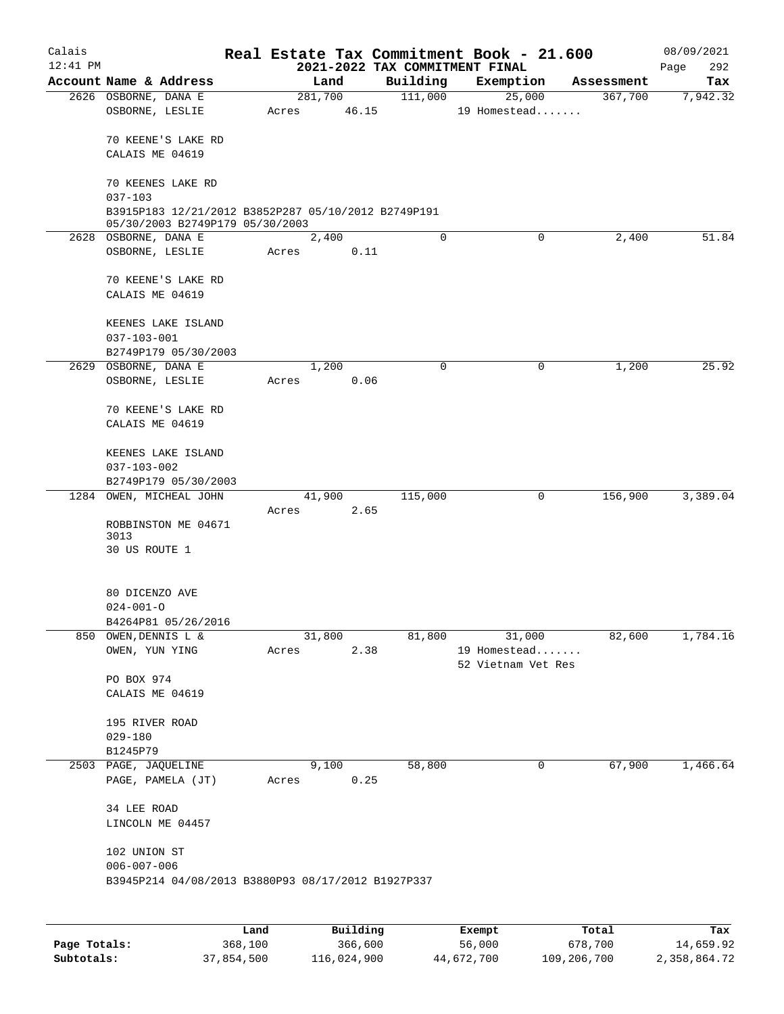| Calais     |                                                         |       |                 |          |                                | Real Estate Tax Commitment Book - 21.600 |                       | 08/09/2021      |
|------------|---------------------------------------------------------|-------|-----------------|----------|--------------------------------|------------------------------------------|-----------------------|-----------------|
| $12:41$ PM |                                                         |       |                 |          | 2021-2022 TAX COMMITMENT FINAL |                                          |                       | 292<br>Page     |
|            | Account Name & Address<br>2626 OSBORNE, DANA E          |       | Land<br>281,700 |          | Building<br>111,000            | Exemption<br>25,000                      | Assessment<br>367,700 | Tax<br>7,942.32 |
|            | OSBORNE, LESLIE                                         | Acres |                 | 46.15    |                                | 19 Homestead                             |                       |                 |
|            |                                                         |       |                 |          |                                |                                          |                       |                 |
|            | 70 KEENE'S LAKE RD                                      |       |                 |          |                                |                                          |                       |                 |
|            | CALAIS ME 04619                                         |       |                 |          |                                |                                          |                       |                 |
|            | 70 KEENES LAKE RD                                       |       |                 |          |                                |                                          |                       |                 |
|            | $037 - 103$                                             |       |                 |          |                                |                                          |                       |                 |
|            | B3915P183 12/21/2012 B3852P287 05/10/2012 B2749P191     |       |                 |          |                                |                                          |                       |                 |
|            | 05/30/2003 B2749P179 05/30/2003<br>2628 OSBORNE, DANA E |       | 2,400           |          | $\mathbf 0$                    | 0                                        | 2,400                 | 51.84           |
|            | OSBORNE, LESLIE                                         | Acres |                 | 0.11     |                                |                                          |                       |                 |
|            |                                                         |       |                 |          |                                |                                          |                       |                 |
|            | 70 KEENE'S LAKE RD                                      |       |                 |          |                                |                                          |                       |                 |
|            | CALAIS ME 04619                                         |       |                 |          |                                |                                          |                       |                 |
|            | KEENES LAKE ISLAND                                      |       |                 |          |                                |                                          |                       |                 |
|            | $037 - 103 - 001$                                       |       |                 |          |                                |                                          |                       |                 |
|            | B2749P179 05/30/2003                                    |       |                 |          |                                |                                          |                       |                 |
|            | 2629 OSBORNE, DANA E                                    |       | 1,200           |          | $\mathbf 0$                    | 0                                        | 1,200                 | 25.92           |
|            | OSBORNE, LESLIE                                         | Acres |                 | 0.06     |                                |                                          |                       |                 |
|            | 70 KEENE'S LAKE RD                                      |       |                 |          |                                |                                          |                       |                 |
|            | CALAIS ME 04619                                         |       |                 |          |                                |                                          |                       |                 |
|            |                                                         |       |                 |          |                                |                                          |                       |                 |
|            | KEENES LAKE ISLAND                                      |       |                 |          |                                |                                          |                       |                 |
|            | $037 - 103 - 002$                                       |       |                 |          |                                |                                          |                       |                 |
|            | B2749P179 05/30/2003<br>1284 OWEN, MICHEAL JOHN         |       | 41,900          |          | 115,000                        | 0                                        | 156,900               | 3,389.04        |
|            |                                                         | Acres |                 | 2.65     |                                |                                          |                       |                 |
|            | ROBBINSTON ME 04671                                     |       |                 |          |                                |                                          |                       |                 |
|            | 3013                                                    |       |                 |          |                                |                                          |                       |                 |
|            | 30 US ROUTE 1                                           |       |                 |          |                                |                                          |                       |                 |
|            | 80 DICENZO AVE                                          |       |                 |          |                                |                                          |                       |                 |
|            | $024 - 001 - 0$                                         |       |                 |          |                                |                                          |                       |                 |
|            | B4264P81 05/26/2016                                     |       |                 |          |                                |                                          |                       |                 |
| 850        | OWEN, DENNIS L &                                        |       | 31,800          |          | 81,800                         | 31,000                                   | 82,600                | 1,784.16        |
|            | OWEN, YUN YING                                          | Acres |                 | 2.38     |                                | 19 Homestead                             |                       |                 |
|            | PO BOX 974                                              |       |                 |          |                                | 52 Vietnam Vet Res                       |                       |                 |
|            | CALAIS ME 04619                                         |       |                 |          |                                |                                          |                       |                 |
|            |                                                         |       |                 |          |                                |                                          |                       |                 |
|            | 195 RIVER ROAD                                          |       |                 |          |                                |                                          |                       |                 |
|            | $029 - 180$<br>B1245P79                                 |       |                 |          |                                |                                          |                       |                 |
|            | 2503 PAGE, JAQUELINE                                    |       | 9,100           |          | 58,800                         | 0                                        | 67,900                | 1,466.64        |
|            | PAGE, PAMELA (JT)                                       | Acres |                 | 0.25     |                                |                                          |                       |                 |
|            |                                                         |       |                 |          |                                |                                          |                       |                 |
|            | 34 LEE ROAD                                             |       |                 |          |                                |                                          |                       |                 |
|            | LINCOLN ME 04457                                        |       |                 |          |                                |                                          |                       |                 |
|            | 102 UNION ST                                            |       |                 |          |                                |                                          |                       |                 |
|            | $006 - 007 - 006$                                       |       |                 |          |                                |                                          |                       |                 |
|            | B3945P214 04/08/2013 B3880P93 08/17/2012 B1927P337      |       |                 |          |                                |                                          |                       |                 |
|            |                                                         |       |                 |          |                                |                                          |                       |                 |
|            |                                                         | Land  |                 | Building |                                | Exempt                                   | Total                 | Tax             |

|              | Land.      | Building    | Exempt     | тосат       | rax.         |
|--------------|------------|-------------|------------|-------------|--------------|
| Page Totals: | 368,100    | 366,600     | 56,000     | 678,700     | 14,659.92    |
| Subtotals:   | 37,854,500 | 116,024,900 | 44,672,700 | 109,206,700 | 2,358,864.72 |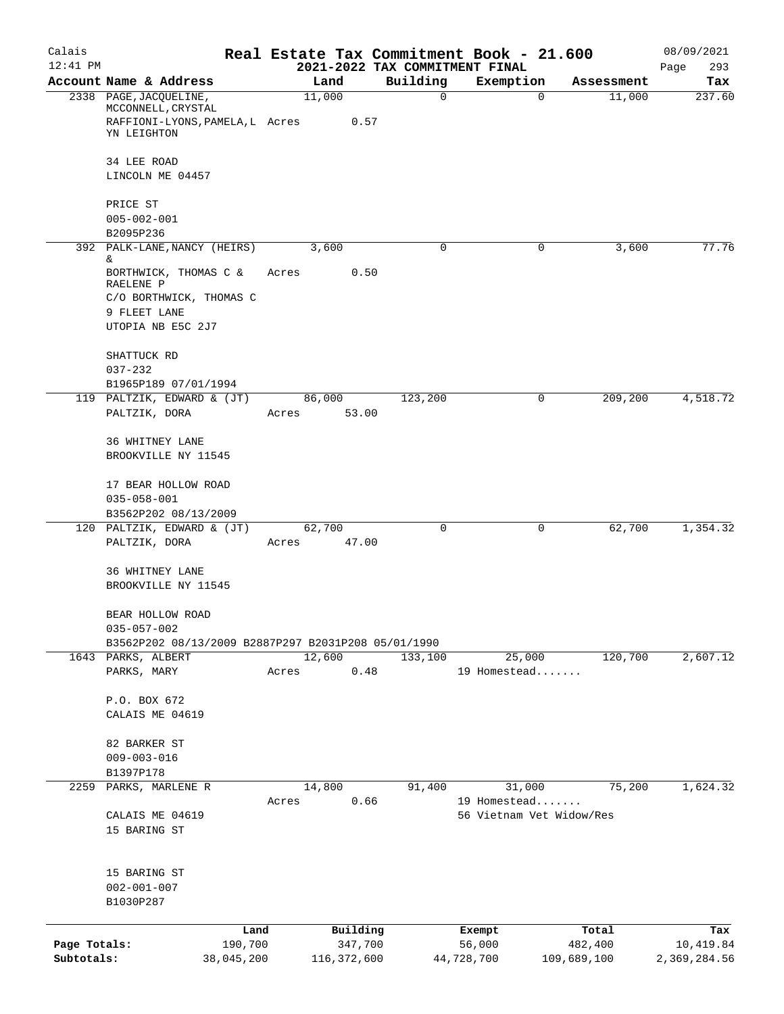| Calais<br>$12:41$ PM |                                                                          |            |                 |                                            | Real Estate Tax Commitment Book - 21.600 |             | 08/09/2021         |
|----------------------|--------------------------------------------------------------------------|------------|-----------------|--------------------------------------------|------------------------------------------|-------------|--------------------|
|                      | Account Name & Address                                                   |            | Land            | 2021-2022 TAX COMMITMENT FINAL<br>Building | Exemption                                | Assessment  | Page<br>293<br>Tax |
|                      | 2338 PAGE, JACQUELINE,<br>MCCONNELL, CRYSTAL                             |            | 11,000          | $\mathbf 0$                                | 0                                        | 11,000      | 237.60             |
|                      | RAFFIONI-LYONS, PAMELA, L Acres<br>YN LEIGHTON                           |            | 0.57            |                                            |                                          |             |                    |
|                      | 34 LEE ROAD<br>LINCOLN ME 04457                                          |            |                 |                                            |                                          |             |                    |
|                      |                                                                          |            |                 |                                            |                                          |             |                    |
|                      | PRICE ST<br>$005 - 002 - 001$                                            |            |                 |                                            |                                          |             |                    |
|                      | B2095P236                                                                |            |                 |                                            |                                          |             |                    |
|                      | 392 PALK-LANE, NANCY (HEIRS)<br>&.                                       |            | 3,600           | 0                                          | 0                                        | 3,600       | 77.76              |
|                      | BORTHWICK, THOMAS C &<br>RAELENE P                                       | Acres      | 0.50            |                                            |                                          |             |                    |
|                      | C/O BORTHWICK, THOMAS C                                                  |            |                 |                                            |                                          |             |                    |
|                      | 9 FLEET LANE<br>UTOPIA NB E5C 2J7                                        |            |                 |                                            |                                          |             |                    |
|                      | SHATTUCK RD                                                              |            |                 |                                            |                                          |             |                    |
|                      | $037 - 232$                                                              |            |                 |                                            |                                          |             |                    |
|                      | B1965P189 07/01/1994                                                     |            |                 |                                            |                                          |             |                    |
|                      | 119 PALTZIK, EDWARD & (JT)<br>PALTZIK, DORA                              | Acres      | 86,000<br>53.00 | 123,200                                    | 0                                        | 209,200     | 4,518.72           |
|                      | 36 WHITNEY LANE                                                          |            |                 |                                            |                                          |             |                    |
|                      | BROOKVILLE NY 11545                                                      |            |                 |                                            |                                          |             |                    |
|                      | 17 BEAR HOLLOW ROAD                                                      |            |                 |                                            |                                          |             |                    |
|                      | $035 - 058 - 001$<br>B3562P202 08/13/2009                                |            |                 |                                            |                                          |             |                    |
|                      | 120 PALTZIK, EDWARD & (JT)                                               |            | 62,700          | 0                                          | 0                                        | 62,700      | 1,354.32           |
|                      | PALTZIK, DORA                                                            | Acres      | 47.00           |                                            |                                          |             |                    |
|                      | 36 WHITNEY LANE                                                          |            |                 |                                            |                                          |             |                    |
|                      | BROOKVILLE NY 11545                                                      |            |                 |                                            |                                          |             |                    |
|                      | BEAR HOLLOW ROAD                                                         |            |                 |                                            |                                          |             |                    |
|                      | $035 - 057 - 002$<br>B3562P202 08/13/2009 B2887P297 B2031P208 05/01/1990 |            |                 |                                            |                                          |             |                    |
|                      | 1643 PARKS, ALBERT                                                       |            | 12,600          | 133,100                                    | 25,000                                   | 120,700     | 2,607.12           |
|                      | PARKS, MARY                                                              | Acres      | 0.48            |                                            | 19 Homestead                             |             |                    |
|                      | P.O. BOX 672                                                             |            |                 |                                            |                                          |             |                    |
|                      | CALAIS ME 04619                                                          |            |                 |                                            |                                          |             |                    |
|                      | 82 BARKER ST                                                             |            |                 |                                            |                                          |             |                    |
|                      | $009 - 003 - 016$                                                        |            |                 |                                            |                                          |             |                    |
|                      | B1397P178<br>PARKS, MARLENE R                                            |            |                 | 91,400                                     |                                          |             | 1,624.32           |
| 2259                 |                                                                          | Acres      | 14,800<br>0.66  |                                            | 31,000<br>19 Homestead                   | 75,200      |                    |
|                      | CALAIS ME 04619                                                          |            |                 |                                            | 56 Vietnam Vet Widow/Res                 |             |                    |
|                      | 15 BARING ST                                                             |            |                 |                                            |                                          |             |                    |
|                      | 15 BARING ST                                                             |            |                 |                                            |                                          |             |                    |
|                      | $002 - 001 - 007$                                                        |            |                 |                                            |                                          |             |                    |
|                      | B1030P287                                                                |            |                 |                                            |                                          |             |                    |
|                      |                                                                          | Land       | Building        |                                            |                                          | Total       | Tax                |
| Page Totals:         |                                                                          | 190,700    | 347,700         |                                            | Exempt<br>56,000                         | 482,400     | 10,419.84          |
| Subtotals:           |                                                                          | 38,045,200 | 116, 372, 600   |                                            | 44,728,700                               | 109,689,100 | 2,369,284.56       |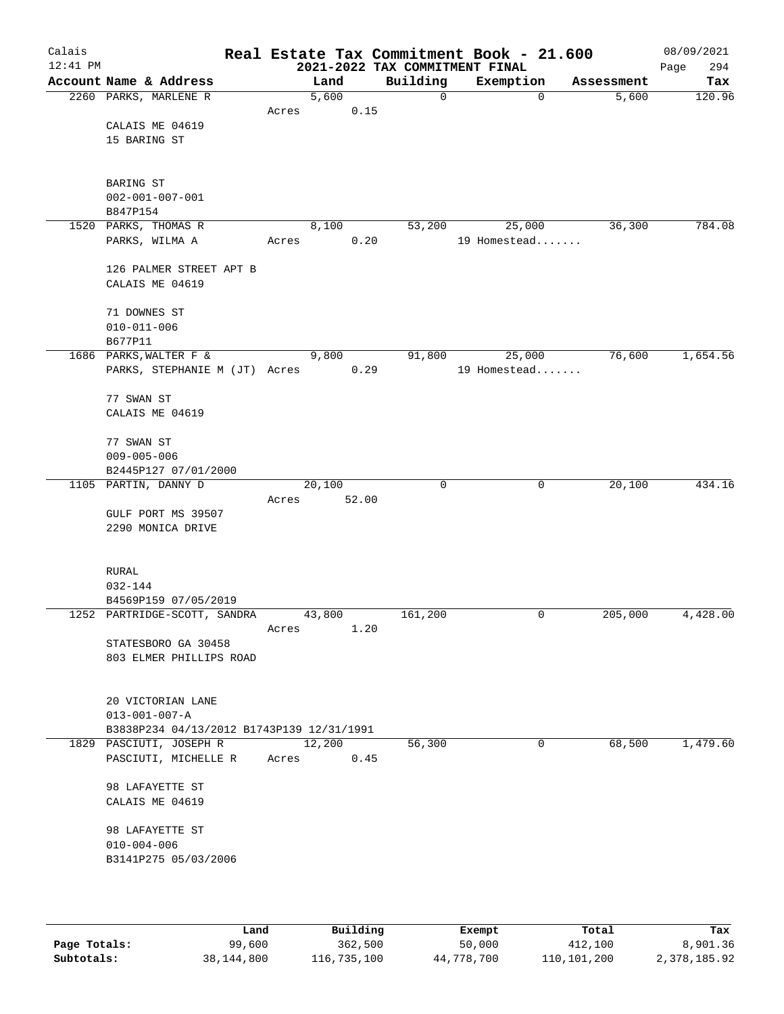| Calais<br>$12:41$ PM |                                                         |       |        |       | 2021-2022 TAX COMMITMENT FINAL |             | Real Estate Tax Commitment Book - 21.600 |            | 08/09/2021<br>294<br>Page |
|----------------------|---------------------------------------------------------|-------|--------|-------|--------------------------------|-------------|------------------------------------------|------------|---------------------------|
|                      | Account Name & Address                                  |       | Land   |       | Building                       |             | Exemption                                | Assessment | Tax                       |
|                      | 2260 PARKS, MARLENE R                                   |       | 5,600  |       |                                | $\mathbf 0$ | $\mathbf 0$                              | 5,600      | 120.96                    |
|                      |                                                         | Acres |        | 0.15  |                                |             |                                          |            |                           |
|                      | CALAIS ME 04619                                         |       |        |       |                                |             |                                          |            |                           |
|                      | 15 BARING ST                                            |       |        |       |                                |             |                                          |            |                           |
|                      |                                                         |       |        |       |                                |             |                                          |            |                           |
|                      | BARING ST                                               |       |        |       |                                |             |                                          |            |                           |
|                      | $002 - 001 - 007 - 001$                                 |       |        |       |                                |             |                                          |            |                           |
|                      | B847P154                                                |       |        |       |                                |             |                                          |            |                           |
|                      | 1520 PARKS, THOMAS R                                    |       | 8,100  |       | 53,200                         |             | 25,000                                   | 36,300     | 784.08                    |
|                      | PARKS, WILMA A                                          | Acres |        | 0.20  |                                |             | 19 Homestead                             |            |                           |
|                      |                                                         |       |        |       |                                |             |                                          |            |                           |
|                      | 126 PALMER STREET APT B                                 |       |        |       |                                |             |                                          |            |                           |
|                      | CALAIS ME 04619                                         |       |        |       |                                |             |                                          |            |                           |
|                      |                                                         |       |        |       |                                |             |                                          |            |                           |
|                      | 71 DOWNES ST                                            |       |        |       |                                |             |                                          |            |                           |
|                      | $010 - 011 - 006$                                       |       |        |       |                                |             |                                          |            |                           |
|                      | B677P11                                                 |       | 9,800  |       |                                |             |                                          | 76,600     | 1,654.56                  |
|                      | 1686 PARKS, WALTER F &<br>PARKS, STEPHANIE M (JT) Acres |       |        | 0.29  | 91,800                         |             | 25,000<br>19 Homestead                   |            |                           |
|                      |                                                         |       |        |       |                                |             |                                          |            |                           |
|                      | 77 SWAN ST                                              |       |        |       |                                |             |                                          |            |                           |
|                      | CALAIS ME 04619                                         |       |        |       |                                |             |                                          |            |                           |
|                      |                                                         |       |        |       |                                |             |                                          |            |                           |
|                      | 77 SWAN ST                                              |       |        |       |                                |             |                                          |            |                           |
|                      | $009 - 005 - 006$                                       |       |        |       |                                |             |                                          |            |                           |
|                      | B2445P127 07/01/2000                                    |       |        |       |                                |             |                                          |            |                           |
|                      | 1105 PARTIN, DANNY D                                    |       | 20,100 |       |                                | 0           | 0                                        | 20,100     | 434.16                    |
|                      |                                                         | Acres |        | 52.00 |                                |             |                                          |            |                           |
|                      | GULF PORT MS 39507                                      |       |        |       |                                |             |                                          |            |                           |
|                      | 2290 MONICA DRIVE                                       |       |        |       |                                |             |                                          |            |                           |
|                      |                                                         |       |        |       |                                |             |                                          |            |                           |
|                      | RURAL                                                   |       |        |       |                                |             |                                          |            |                           |
|                      | 032-144                                                 |       |        |       |                                |             |                                          |            |                           |
|                      | B4569P159 07/05/2019                                    |       |        |       |                                |             |                                          |            |                           |
|                      | 1252 PARTRIDGE-SCOTT, SANDRA                            |       | 43,800 |       | 161,200                        |             | 0                                        | 205,000    | 4,428.00                  |
|                      |                                                         | Acres |        | 1.20  |                                |             |                                          |            |                           |
|                      | STATESBORO GA 30458                                     |       |        |       |                                |             |                                          |            |                           |
|                      | 803 ELMER PHILLIPS ROAD                                 |       |        |       |                                |             |                                          |            |                           |
|                      |                                                         |       |        |       |                                |             |                                          |            |                           |
|                      | 20 VICTORIAN LANE                                       |       |        |       |                                |             |                                          |            |                           |
|                      | $013 - 001 - 007 - A$                                   |       |        |       |                                |             |                                          |            |                           |
|                      | B3838P234 04/13/2012 B1743P139 12/31/1991               |       |        |       |                                |             |                                          |            |                           |
|                      | 1829 PASCIUTI, JOSEPH R                                 |       | 12,200 |       | 56,300                         |             | $\mathbf 0$                              | 68,500     | 1,479.60                  |
|                      | PASCIUTI, MICHELLE R                                    | Acres |        | 0.45  |                                |             |                                          |            |                           |
|                      |                                                         |       |        |       |                                |             |                                          |            |                           |
|                      | 98 LAFAYETTE ST                                         |       |        |       |                                |             |                                          |            |                           |
|                      | CALAIS ME 04619                                         |       |        |       |                                |             |                                          |            |                           |
|                      |                                                         |       |        |       |                                |             |                                          |            |                           |
|                      | 98 LAFAYETTE ST                                         |       |        |       |                                |             |                                          |            |                           |
|                      | $010 - 004 - 006$<br>B3141P275 05/03/2006               |       |        |       |                                |             |                                          |            |                           |
|                      |                                                         |       |        |       |                                |             |                                          |            |                           |
|                      |                                                         |       |        |       |                                |             |                                          |            |                           |
|                      |                                                         |       |        |       |                                |             |                                          |            |                           |

|              | Land       | Building    | Exempt     | Total       | Tax          |
|--------------|------------|-------------|------------|-------------|--------------|
| Page Totals: | 99,600     | 362,500     | 50,000     | 412,100     | 8,901.36     |
| Subtotals:   | 38,144,800 | 116,735,100 | 44,778,700 | 110,101,200 | 2,378,185.92 |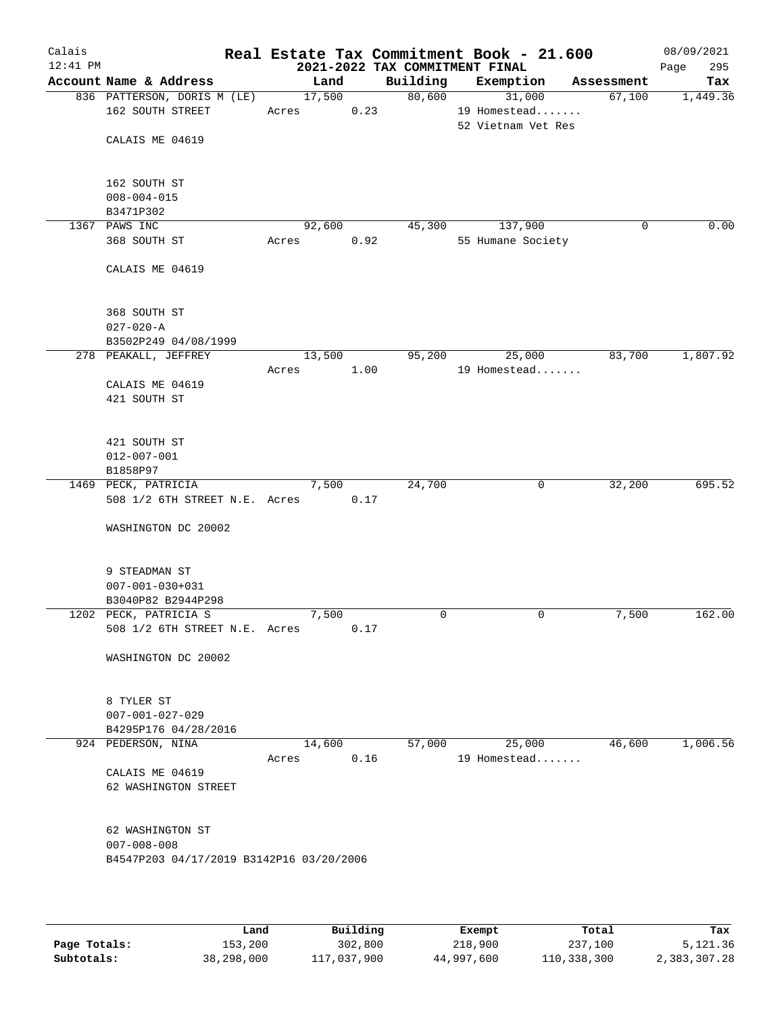| Calais<br>$12:41$ PM |                                                        |                 |      | 2021-2022 TAX COMMITMENT FINAL | Real Estate Tax Commitment Book - 21.600 |            | 08/09/2021<br>295<br>Page |
|----------------------|--------------------------------------------------------|-----------------|------|--------------------------------|------------------------------------------|------------|---------------------------|
|                      | Account Name & Address                                 | Land            |      | Building                       | Exemption                                | Assessment | Tax                       |
|                      | 836 PATTERSON, DORIS M (LE)<br>162 SOUTH STREET        | 17,500<br>Acres | 0.23 | 80,600                         | 31,000<br>19 Homestead                   | 67,100     | 1,449.36                  |
|                      | CALAIS ME 04619                                        |                 |      |                                | 52 Vietnam Vet Res                       |            |                           |
|                      | 162 SOUTH ST                                           |                 |      |                                |                                          |            |                           |
|                      | $008 - 004 - 015$<br>B3471P302                         |                 |      |                                |                                          |            |                           |
|                      | 1367 PAWS INC                                          | 92,600          |      | 45,300                         | 137,900                                  | 0          | 0.00                      |
|                      | 368 SOUTH ST                                           | Acres           | 0.92 |                                | 55 Humane Society                        |            |                           |
|                      | CALAIS ME 04619                                        |                 |      |                                |                                          |            |                           |
|                      | 368 SOUTH ST                                           |                 |      |                                |                                          |            |                           |
|                      | $027 - 020 - A$                                        |                 |      |                                |                                          |            |                           |
|                      | B3502P249 04/08/1999                                   |                 |      |                                |                                          |            |                           |
|                      | 278 PEAKALL, JEFFREY                                   | 13,500          |      | 95,200                         | 25,000                                   | 83,700     | 1,807.92                  |
|                      |                                                        | Acres           | 1.00 |                                | 19 Homestead                             |            |                           |
|                      | CALAIS ME 04619<br>421 SOUTH ST                        |                 |      |                                |                                          |            |                           |
|                      | 421 SOUTH ST                                           |                 |      |                                |                                          |            |                           |
|                      | $012 - 007 - 001$                                      |                 |      |                                |                                          |            |                           |
|                      | B1858P97                                               |                 |      |                                |                                          |            |                           |
|                      | 1469 PECK, PATRICIA                                    | 7,500           |      | 24,700                         | $\mathbf 0$                              | 32,200     | 695.52                    |
|                      | 508 1/2 6TH STREET N.E. Acres                          |                 | 0.17 |                                |                                          |            |                           |
|                      | WASHINGTON DC 20002                                    |                 |      |                                |                                          |            |                           |
|                      | 9 STEADMAN ST                                          |                 |      |                                |                                          |            |                           |
|                      | $007 - 001 - 030 + 031$                                |                 |      |                                |                                          |            |                           |
|                      | B3040P82 B2944P298                                     |                 |      |                                |                                          |            |                           |
|                      | 1202 PECK, PATRICIA S<br>508 1/2 6TH STREET N.E. Acres | 7,500           | 0.17 | 0                              | 0                                        | 7,500      | 162.00                    |
|                      | WASHINGTON DC 20002                                    |                 |      |                                |                                          |            |                           |
|                      | 8 TYLER ST<br>$007 - 001 - 027 - 029$                  |                 |      |                                |                                          |            |                           |
|                      | B4295P176 04/28/2016                                   |                 |      |                                |                                          |            |                           |
|                      | 924 PEDERSON, NINA                                     | 14,600          |      | 57,000                         | 25,000                                   | 46,600     | 1,006.56                  |
|                      |                                                        | Acres           | 0.16 |                                | 19 Homestead                             |            |                           |
|                      | CALAIS ME 04619<br>62 WASHINGTON STREET                |                 |      |                                |                                          |            |                           |
|                      | 62 WASHINGTON ST                                       |                 |      |                                |                                          |            |                           |
|                      | $007 - 008 - 008$                                      |                 |      |                                |                                          |            |                           |
|                      | B4547P203 04/17/2019 B3142P16 03/20/2006               |                 |      |                                |                                          |            |                           |
|                      |                                                        |                 |      |                                |                                          |            |                           |

|              | Land       | Building    | Exempt     | Total       | Tax          |
|--------------|------------|-------------|------------|-------------|--------------|
| Page Totals: | 153,200    | 302,800     | 218,900    | 237,100     | 5,121.36     |
| Subtotals:   | 38,298,000 | 117,037,900 | 44,997,600 | 110,338,300 | 2,383,307.28 |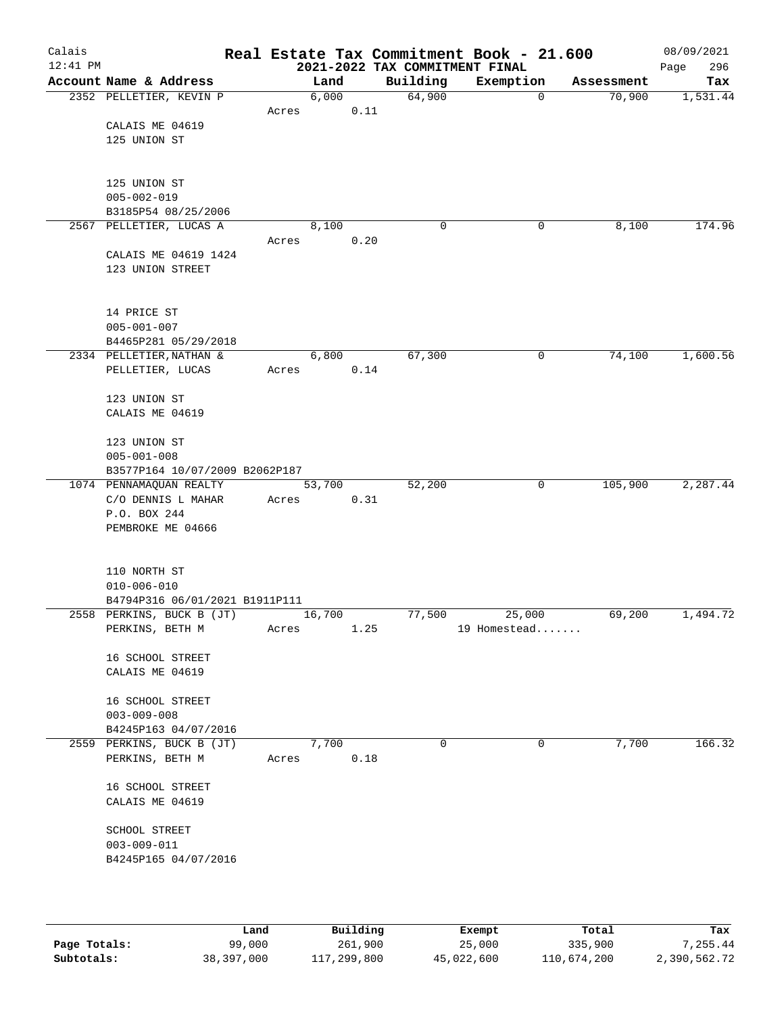| Calais<br>$12:41$ PM |                                |       |        |      | 2021-2022 TAX COMMITMENT FINAL | Real Estate Tax Commitment Book - 21.600 |            | 08/09/2021<br>296<br>Page |
|----------------------|--------------------------------|-------|--------|------|--------------------------------|------------------------------------------|------------|---------------------------|
|                      | Account Name & Address         |       | Land   |      | Building                       | Exemption                                | Assessment | Tax                       |
|                      | 2352 PELLETIER, KEVIN P        |       | 6,000  |      | 64,900                         | $\mathbf 0$                              | 70,900     | 1,531.44                  |
|                      |                                | Acres |        | 0.11 |                                |                                          |            |                           |
|                      | CALAIS ME 04619                |       |        |      |                                |                                          |            |                           |
|                      | 125 UNION ST                   |       |        |      |                                |                                          |            |                           |
|                      |                                |       |        |      |                                |                                          |            |                           |
|                      |                                |       |        |      |                                |                                          |            |                           |
|                      | 125 UNION ST                   |       |        |      |                                |                                          |            |                           |
|                      | $005 - 002 - 019$              |       |        |      |                                |                                          |            |                           |
|                      | B3185P54 08/25/2006            |       |        |      |                                |                                          |            |                           |
|                      | 2567 PELLETIER, LUCAS A        |       | 8,100  |      | 0                              | 0                                        | 8,100      | 174.96                    |
|                      |                                | Acres |        | 0.20 |                                |                                          |            |                           |
|                      | CALAIS ME 04619 1424           |       |        |      |                                |                                          |            |                           |
|                      | 123 UNION STREET               |       |        |      |                                |                                          |            |                           |
|                      |                                |       |        |      |                                |                                          |            |                           |
|                      | 14 PRICE ST                    |       |        |      |                                |                                          |            |                           |
|                      | $005 - 001 - 007$              |       |        |      |                                |                                          |            |                           |
|                      | B4465P281 05/29/2018           |       |        |      |                                |                                          |            |                           |
|                      | 2334 PELLETIER, NATHAN &       |       | 6,800  |      | 67,300                         | $\mathbf 0$                              | 74,100     | 1,600.56                  |
|                      | PELLETIER, LUCAS               | Acres |        | 0.14 |                                |                                          |            |                           |
|                      |                                |       |        |      |                                |                                          |            |                           |
|                      | 123 UNION ST                   |       |        |      |                                |                                          |            |                           |
|                      | CALAIS ME 04619                |       |        |      |                                |                                          |            |                           |
|                      |                                |       |        |      |                                |                                          |            |                           |
|                      | 123 UNION ST                   |       |        |      |                                |                                          |            |                           |
|                      | $005 - 001 - 008$              |       |        |      |                                |                                          |            |                           |
|                      | B3577P164 10/07/2009 B2062P187 |       |        |      |                                |                                          |            |                           |
|                      | 1074 PENNAMAQUAN REALTY        |       | 53,700 |      | 52,200                         | 0                                        | 105,900    | 2,287.44                  |
|                      | C/O DENNIS L MAHAR             | Acres |        | 0.31 |                                |                                          |            |                           |
|                      | P.O. BOX 244                   |       |        |      |                                |                                          |            |                           |
|                      | PEMBROKE ME 04666              |       |        |      |                                |                                          |            |                           |
|                      |                                |       |        |      |                                |                                          |            |                           |
|                      | 110 NORTH ST                   |       |        |      |                                |                                          |            |                           |
|                      | $010 - 006 - 010$              |       |        |      |                                |                                          |            |                           |
|                      | B4794P316 06/01/2021 B1911P111 |       |        |      |                                |                                          |            |                           |
|                      | 2558 PERKINS, BUCK B (JT)      |       | 16,700 |      | 77,500                         | 25,000                                   | 69,200     | 1,494.72                  |
|                      | PERKINS, BETH M                | Acres |        | 1.25 |                                | 19 Homestead                             |            |                           |
|                      |                                |       |        |      |                                |                                          |            |                           |
|                      | 16 SCHOOL STREET               |       |        |      |                                |                                          |            |                           |
|                      | CALAIS ME 04619                |       |        |      |                                |                                          |            |                           |
|                      |                                |       |        |      |                                |                                          |            |                           |
|                      | 16 SCHOOL STREET               |       |        |      |                                |                                          |            |                           |
|                      | $003 - 009 - 008$              |       |        |      |                                |                                          |            |                           |
|                      | B4245P163 04/07/2016           |       |        |      |                                |                                          | 7,700      |                           |
|                      | 2559 PERKINS, BUCK B (JT)      |       | 7,700  |      | $\mathbf 0$                    | 0                                        |            | 166.32                    |
|                      | PERKINS, BETH M                | Acres |        | 0.18 |                                |                                          |            |                           |
|                      | 16 SCHOOL STREET               |       |        |      |                                |                                          |            |                           |
|                      | CALAIS ME 04619                |       |        |      |                                |                                          |            |                           |
|                      |                                |       |        |      |                                |                                          |            |                           |
|                      | SCHOOL STREET                  |       |        |      |                                |                                          |            |                           |
|                      | $003 - 009 - 011$              |       |        |      |                                |                                          |            |                           |
|                      | B4245P165 04/07/2016           |       |        |      |                                |                                          |            |                           |
|                      |                                |       |        |      |                                |                                          |            |                           |
|                      |                                |       |        |      |                                |                                          |            |                           |
|                      |                                |       |        |      |                                |                                          |            |                           |

|              | Land       | Building    | Exempt     | Total       | Tax          |
|--------------|------------|-------------|------------|-------------|--------------|
| Page Totals: | 99,000     | 261,900     | 25,000     | 335,900     | 7.255.44     |
| Subtotals:   | 38,397,000 | 117,299,800 | 45,022,600 | 110,674,200 | 2,390,562.72 |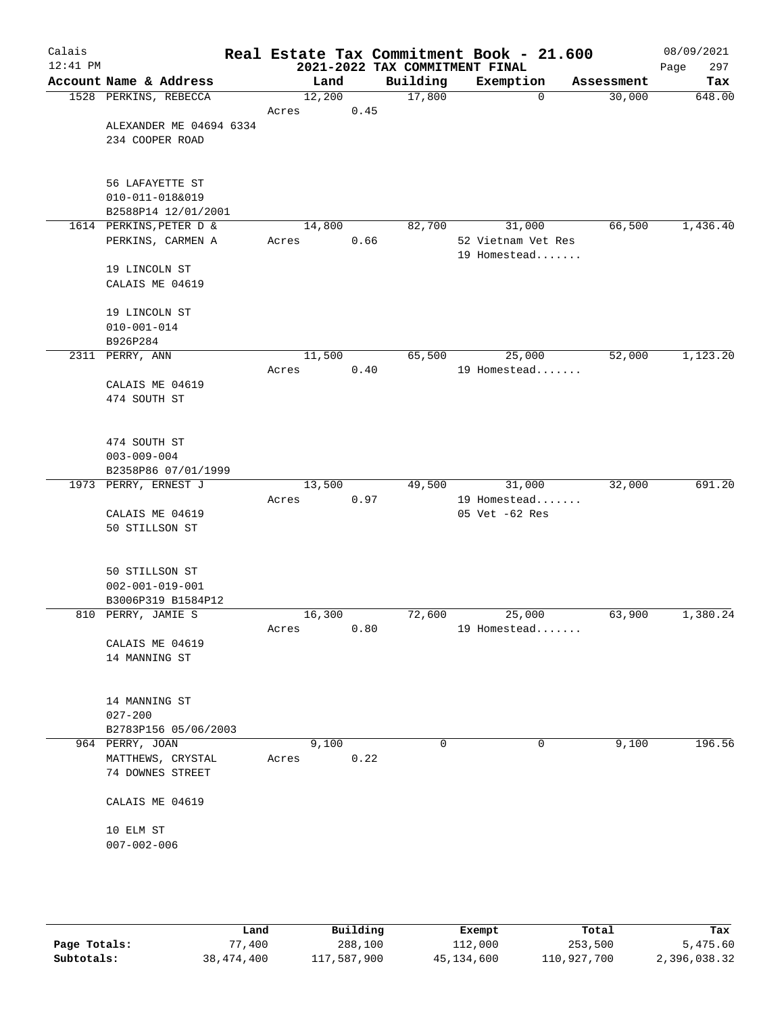| Calais<br>$12:41$ PM |                         |        |      | 2021-2022 TAX COMMITMENT FINAL | Real Estate Tax Commitment Book - 21.600 |            | 08/09/2021<br>Page<br>297 |
|----------------------|-------------------------|--------|------|--------------------------------|------------------------------------------|------------|---------------------------|
|                      | Account Name & Address  | Land   |      | Building                       | Exemption                                | Assessment | Tax                       |
|                      | 1528 PERKINS, REBECCA   | 12,200 |      | 17,800                         | $\mathbf 0$                              | 30,000     | 648.00                    |
|                      |                         | Acres  | 0.45 |                                |                                          |            |                           |
|                      | ALEXANDER ME 04694 6334 |        |      |                                |                                          |            |                           |
|                      | 234 COOPER ROAD         |        |      |                                |                                          |            |                           |
|                      |                         |        |      |                                |                                          |            |                           |
|                      | 56 LAFAYETTE ST         |        |      |                                |                                          |            |                           |
|                      | 010-011-018&019         |        |      |                                |                                          |            |                           |
|                      | B2588P14 12/01/2001     |        |      |                                |                                          |            |                           |
|                      | 1614 PERKINS, PETER D & | 14,800 |      | 82,700                         | 31,000                                   | 66,500     | 1,436.40                  |
|                      | PERKINS, CARMEN A       | Acres  | 0.66 |                                | 52 Vietnam Vet Res                       |            |                           |
|                      |                         |        |      |                                | 19 Homestead                             |            |                           |
|                      | 19 LINCOLN ST           |        |      |                                |                                          |            |                           |
|                      | CALAIS ME 04619         |        |      |                                |                                          |            |                           |
|                      | 19 LINCOLN ST           |        |      |                                |                                          |            |                           |
|                      | $010 - 001 - 014$       |        |      |                                |                                          |            |                           |
|                      | B926P284                |        |      |                                |                                          |            |                           |
|                      | 2311 PERRY, ANN         | 11,500 |      | 65,500                         | 25,000                                   | 52,000     | 1,123.20                  |
|                      |                         | Acres  | 0.40 |                                | 19 Homestead                             |            |                           |
|                      | CALAIS ME 04619         |        |      |                                |                                          |            |                           |
|                      | 474 SOUTH ST            |        |      |                                |                                          |            |                           |
|                      |                         |        |      |                                |                                          |            |                           |
|                      | 474 SOUTH ST            |        |      |                                |                                          |            |                           |
|                      | $003 - 009 - 004$       |        |      |                                |                                          |            |                           |
|                      | B2358P86 07/01/1999     |        |      |                                |                                          |            |                           |
|                      | 1973 PERRY, ERNEST J    | 13,500 |      | 49,500                         | 31,000                                   | 32,000     | 691.20                    |
|                      |                         | Acres  | 0.97 |                                | 19 Homestead                             |            |                           |
|                      | CALAIS ME 04619         |        |      |                                | 05 Vet -62 Res                           |            |                           |
|                      | 50 STILLSON ST          |        |      |                                |                                          |            |                           |
|                      |                         |        |      |                                |                                          |            |                           |
|                      | 50 STILLSON ST          |        |      |                                |                                          |            |                           |
|                      | $002 - 001 - 019 - 001$ |        |      |                                |                                          |            |                           |
|                      | B3006P319 B1584P12      |        |      |                                |                                          |            |                           |
|                      | 810 PERRY, JAMIE S      | 16,300 |      | 72,600                         | 25,000                                   | 63,900     | 1,380.24                  |
|                      |                         | Acres  | 0.80 |                                | 19 Homestead                             |            |                           |
|                      | CALAIS ME 04619         |        |      |                                |                                          |            |                           |
|                      | 14 MANNING ST           |        |      |                                |                                          |            |                           |
|                      |                         |        |      |                                |                                          |            |                           |
|                      | 14 MANNING ST           |        |      |                                |                                          |            |                           |
|                      | $027 - 200$             |        |      |                                |                                          |            |                           |
|                      | B2783P156 05/06/2003    |        |      |                                |                                          |            |                           |
|                      | 964 PERRY, JOAN         | 9,100  |      | $\Omega$                       | 0                                        | 9,100      | 196.56                    |
|                      | MATTHEWS, CRYSTAL       | Acres  | 0.22 |                                |                                          |            |                           |
|                      | 74 DOWNES STREET        |        |      |                                |                                          |            |                           |
|                      | CALAIS ME 04619         |        |      |                                |                                          |            |                           |
|                      | 10 ELM ST               |        |      |                                |                                          |            |                           |
|                      | $007 - 002 - 006$       |        |      |                                |                                          |            |                           |
|                      |                         |        |      |                                |                                          |            |                           |
|                      |                         |        |      |                                |                                          |            |                           |
|                      |                         |        |      |                                |                                          |            |                           |

|              | Land         | Building    | Exempt     | Total       | Tax          |
|--------------|--------------|-------------|------------|-------------|--------------|
| Page Totals: | .400         | 288,100     | 112,000    | 253,500     | 5,475.60     |
| Subtotals:   | 38, 474, 400 | 117,587,900 | 45,134,600 | 110,927,700 | 2,396,038.32 |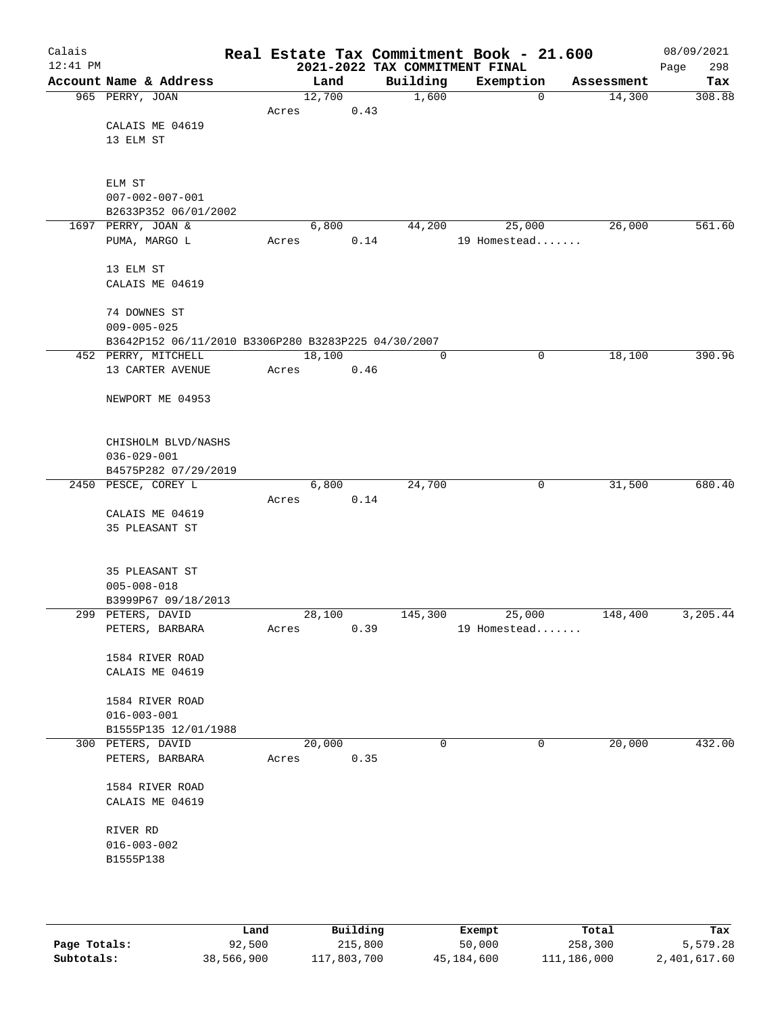| Calais<br>$12:41$ PM |                                                     |       |        |      | 2021-2022 TAX COMMITMENT FINAL | Real Estate Tax Commitment Book - 21.600 |            | 08/09/2021<br>298<br>Page |
|----------------------|-----------------------------------------------------|-------|--------|------|--------------------------------|------------------------------------------|------------|---------------------------|
|                      | Account Name & Address                              |       | Land   |      | Building                       | Exemption                                | Assessment | Tax                       |
|                      | 965 PERRY, JOAN                                     |       | 12,700 |      | 1,600                          | $\mathbf 0$                              | 14,300     | 308.88                    |
|                      |                                                     | Acres |        | 0.43 |                                |                                          |            |                           |
|                      | CALAIS ME 04619                                     |       |        |      |                                |                                          |            |                           |
|                      | 13 ELM ST                                           |       |        |      |                                |                                          |            |                           |
|                      |                                                     |       |        |      |                                |                                          |            |                           |
|                      |                                                     |       |        |      |                                |                                          |            |                           |
|                      | ELM ST                                              |       |        |      |                                |                                          |            |                           |
|                      | $007 - 002 - 007 - 001$                             |       |        |      |                                |                                          |            |                           |
|                      | B2633P352 06/01/2002                                |       |        |      |                                |                                          |            |                           |
|                      | 1697 PERRY, JOAN &                                  |       | 6,800  |      | 44,200                         | 25,000                                   | 26,000     | 561.60                    |
|                      | PUMA, MARGO L                                       | Acres |        | 0.14 |                                | 19 Homestead                             |            |                           |
|                      |                                                     |       |        |      |                                |                                          |            |                           |
|                      | 13 ELM ST                                           |       |        |      |                                |                                          |            |                           |
|                      | CALAIS ME 04619                                     |       |        |      |                                |                                          |            |                           |
|                      |                                                     |       |        |      |                                |                                          |            |                           |
|                      | 74 DOWNES ST                                        |       |        |      |                                |                                          |            |                           |
|                      | $009 - 005 - 025$                                   |       |        |      |                                |                                          |            |                           |
|                      | B3642P152 06/11/2010 B3306P280 B3283P225 04/30/2007 |       |        |      |                                |                                          |            |                           |
|                      | 452 PERRY, MITCHELL                                 |       | 18,100 |      | $\mathbf 0$                    | 0                                        | 18,100     | 390.96                    |
|                      | 13 CARTER AVENUE                                    | Acres |        | 0.46 |                                |                                          |            |                           |
|                      | NEWPORT ME 04953                                    |       |        |      |                                |                                          |            |                           |
|                      |                                                     |       |        |      |                                |                                          |            |                           |
|                      |                                                     |       |        |      |                                |                                          |            |                           |
|                      | CHISHOLM BLVD/NASHS                                 |       |        |      |                                |                                          |            |                           |
|                      | $036 - 029 - 001$                                   |       |        |      |                                |                                          |            |                           |
|                      | B4575P282 07/29/2019                                |       |        |      |                                |                                          |            |                           |
|                      | 2450 PESCE, COREY L                                 |       | 6,800  |      | 24,700                         | 0                                        | 31,500     | 680.40                    |
|                      |                                                     | Acres |        | 0.14 |                                |                                          |            |                           |
|                      | CALAIS ME 04619                                     |       |        |      |                                |                                          |            |                           |
|                      | 35 PLEASANT ST                                      |       |        |      |                                |                                          |            |                           |
|                      |                                                     |       |        |      |                                |                                          |            |                           |
|                      |                                                     |       |        |      |                                |                                          |            |                           |
|                      | 35 PLEASANT ST                                      |       |        |      |                                |                                          |            |                           |
|                      | $005 - 008 - 018$                                   |       |        |      |                                |                                          |            |                           |
|                      | B3999P67 09/18/2013                                 |       |        |      |                                |                                          |            |                           |
|                      | 299 PETERS, DAVID                                   |       | 28,100 |      | 145,300                        | 25,000                                   | 148,400    | 3,205.44                  |
|                      | PETERS, BARBARA                                     | Acres |        | 0.39 |                                | 19 Homestead                             |            |                           |
|                      |                                                     |       |        |      |                                |                                          |            |                           |
|                      | 1584 RIVER ROAD                                     |       |        |      |                                |                                          |            |                           |
|                      | CALAIS ME 04619                                     |       |        |      |                                |                                          |            |                           |
|                      |                                                     |       |        |      |                                |                                          |            |                           |
|                      | 1584 RIVER ROAD                                     |       |        |      |                                |                                          |            |                           |
|                      | $016 - 003 - 001$                                   |       |        |      |                                |                                          |            |                           |
|                      | B1555P135 12/01/1988                                |       | 20,000 |      | $\mathbf 0$                    | 0                                        |            | 432.00                    |
|                      | 300 PETERS, DAVID                                   |       |        |      |                                |                                          | 20,000     |                           |
|                      | PETERS, BARBARA                                     | Acres |        | 0.35 |                                |                                          |            |                           |
|                      | 1584 RIVER ROAD                                     |       |        |      |                                |                                          |            |                           |
|                      | CALAIS ME 04619                                     |       |        |      |                                |                                          |            |                           |
|                      |                                                     |       |        |      |                                |                                          |            |                           |
|                      | RIVER RD                                            |       |        |      |                                |                                          |            |                           |
|                      | $016 - 003 - 002$                                   |       |        |      |                                |                                          |            |                           |
|                      | B1555P138                                           |       |        |      |                                |                                          |            |                           |
|                      |                                                     |       |        |      |                                |                                          |            |                           |
|                      |                                                     |       |        |      |                                |                                          |            |                           |
|                      |                                                     |       |        |      |                                |                                          |            |                           |
|                      |                                                     |       |        |      |                                |                                          |            |                           |

|              | Land       | Building    | Exempt     | Total       | Tax          |
|--------------|------------|-------------|------------|-------------|--------------|
| Page Totals: | 92,500     | 215,800     | 50,000     | 258,300     | 5,579.28     |
| Subtotals:   | 38,566,900 | 117,803,700 | 45,184,600 | 111,186,000 | 2,401,617.60 |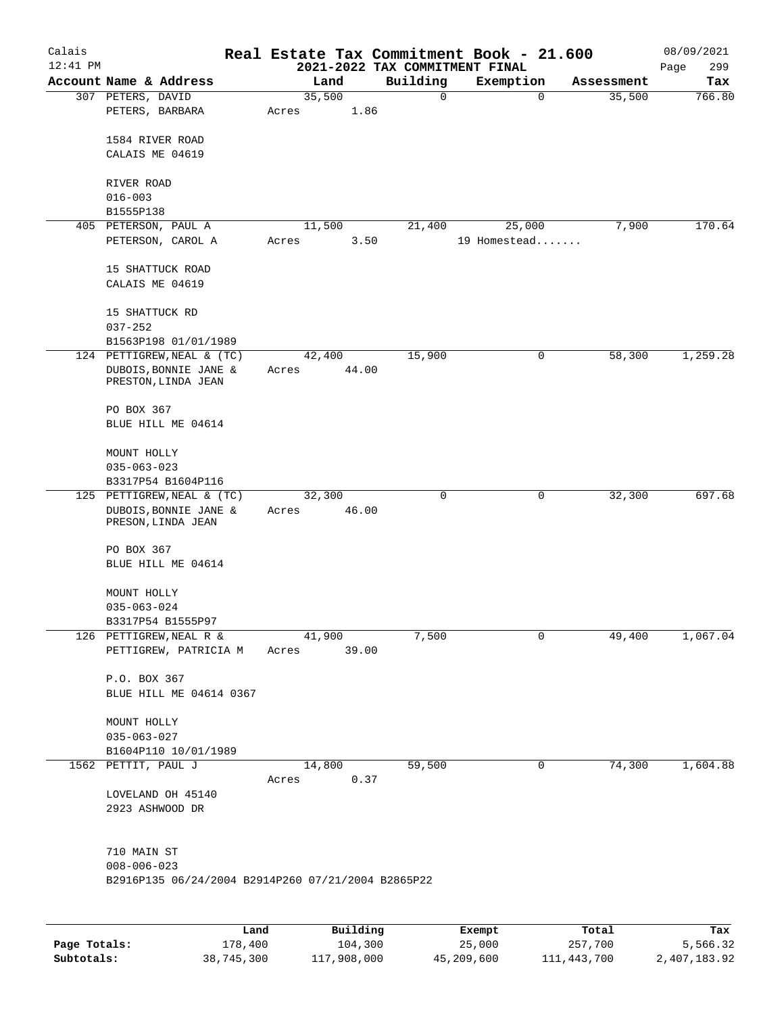| Calais     |                                                    |       |          |                                            | Real Estate Tax Commitment Book - 21.600 |                      | 08/09/2021    |
|------------|----------------------------------------------------|-------|----------|--------------------------------------------|------------------------------------------|----------------------|---------------|
| $12:41$ PM | Account Name & Address                             |       | Land     | 2021-2022 TAX COMMITMENT FINAL<br>Building |                                          |                      | 299<br>Page   |
|            | 307 PETERS, DAVID                                  |       | 35,500   | $\mathbf 0$                                | Exemption<br>$\mathbf 0$                 | Assessment<br>35,500 | Tax<br>766.80 |
|            | PETERS, BARBARA                                    | Acres | 1.86     |                                            |                                          |                      |               |
|            |                                                    |       |          |                                            |                                          |                      |               |
|            | 1584 RIVER ROAD<br>CALAIS ME 04619                 |       |          |                                            |                                          |                      |               |
|            |                                                    |       |          |                                            |                                          |                      |               |
|            | RIVER ROAD                                         |       |          |                                            |                                          |                      |               |
|            | $016 - 003$                                        |       |          |                                            |                                          |                      |               |
|            | B1555P138                                          |       |          |                                            |                                          |                      |               |
|            | 405 PETERSON, PAUL A                               |       | 11,500   | 21,400                                     | 25,000                                   | 7,900                | 170.64        |
|            | PETERSON, CAROL A                                  | Acres | 3.50     |                                            | 19 Homestead                             |                      |               |
|            | 15 SHATTUCK ROAD                                   |       |          |                                            |                                          |                      |               |
|            | CALAIS ME 04619                                    |       |          |                                            |                                          |                      |               |
|            |                                                    |       |          |                                            |                                          |                      |               |
|            | 15 SHATTUCK RD                                     |       |          |                                            |                                          |                      |               |
|            | $037 - 252$                                        |       |          |                                            |                                          |                      |               |
|            | B1563P198 01/01/1989                               |       |          |                                            |                                          |                      |               |
|            | 124 PETTIGREW, NEAL & (TC)                         |       | 42,400   | 15,900                                     | 0                                        | 58,300               | 1,259.28      |
|            | DUBOIS, BONNIE JANE &<br>PRESTON, LINDA JEAN       | Acres | 44.00    |                                            |                                          |                      |               |
|            |                                                    |       |          |                                            |                                          |                      |               |
|            | PO BOX 367                                         |       |          |                                            |                                          |                      |               |
|            | BLUE HILL ME 04614                                 |       |          |                                            |                                          |                      |               |
|            |                                                    |       |          |                                            |                                          |                      |               |
|            | MOUNT HOLLY                                        |       |          |                                            |                                          |                      |               |
|            | $035 - 063 - 023$<br>B3317P54 B1604P116            |       |          |                                            |                                          |                      |               |
|            | 125 PETTIGREW, NEAL & (TC)                         |       | 32,300   | 0                                          | 0                                        | 32,300               | 697.68        |
|            | DUBOIS, BONNIE JANE &                              | Acres | 46.00    |                                            |                                          |                      |               |
|            | PRESON, LINDA JEAN                                 |       |          |                                            |                                          |                      |               |
|            |                                                    |       |          |                                            |                                          |                      |               |
|            | PO BOX 367<br>BLUE HILL ME 04614                   |       |          |                                            |                                          |                      |               |
|            |                                                    |       |          |                                            |                                          |                      |               |
|            | MOUNT HOLLY                                        |       |          |                                            |                                          |                      |               |
|            | $035 - 063 - 024$                                  |       |          |                                            |                                          |                      |               |
|            | B3317P54 B1555P97                                  |       |          |                                            |                                          |                      |               |
|            | 126 PETTIGREW, NEAL R &                            |       | 41,900   | 7,500                                      | 0                                        | 49,400               | 1,067.04      |
|            | PETTIGREW, PATRICIA M                              | Acres | 39.00    |                                            |                                          |                      |               |
|            |                                                    |       |          |                                            |                                          |                      |               |
|            | P.O. BOX 367<br>BLUE HILL ME 04614 0367            |       |          |                                            |                                          |                      |               |
|            |                                                    |       |          |                                            |                                          |                      |               |
|            | MOUNT HOLLY                                        |       |          |                                            |                                          |                      |               |
|            | $035 - 063 - 027$                                  |       |          |                                            |                                          |                      |               |
|            | B1604P110 10/01/1989                               |       |          |                                            |                                          |                      |               |
|            | 1562 PETTIT, PAUL J                                |       | 14,800   | 59,500                                     | 0                                        | 74,300               | 1,604.88      |
|            |                                                    | Acres | 0.37     |                                            |                                          |                      |               |
|            | LOVELAND OH 45140                                  |       |          |                                            |                                          |                      |               |
|            | 2923 ASHWOOD DR                                    |       |          |                                            |                                          |                      |               |
|            |                                                    |       |          |                                            |                                          |                      |               |
|            | 710 MAIN ST                                        |       |          |                                            |                                          |                      |               |
|            | $008 - 006 - 023$                                  |       |          |                                            |                                          |                      |               |
|            | B2916P135 06/24/2004 B2914P260 07/21/2004 B2865P22 |       |          |                                            |                                          |                      |               |
|            |                                                    |       |          |                                            |                                          |                      |               |
|            |                                                    |       |          |                                            |                                          |                      |               |
|            | Land                                               |       | Building |                                            | Exempt.                                  | Total                | Tax           |

|              | Land       | Building    | Exempt     | Total       | Tax          |
|--------------|------------|-------------|------------|-------------|--------------|
| Page Totals: | 178,400    | 104,300     | 25,000     | 257,700     | 5,566.32     |
| Subtotals:   | 38,745,300 | 117,908,000 | 45,209,600 | 111,443,700 | 2,407,183.92 |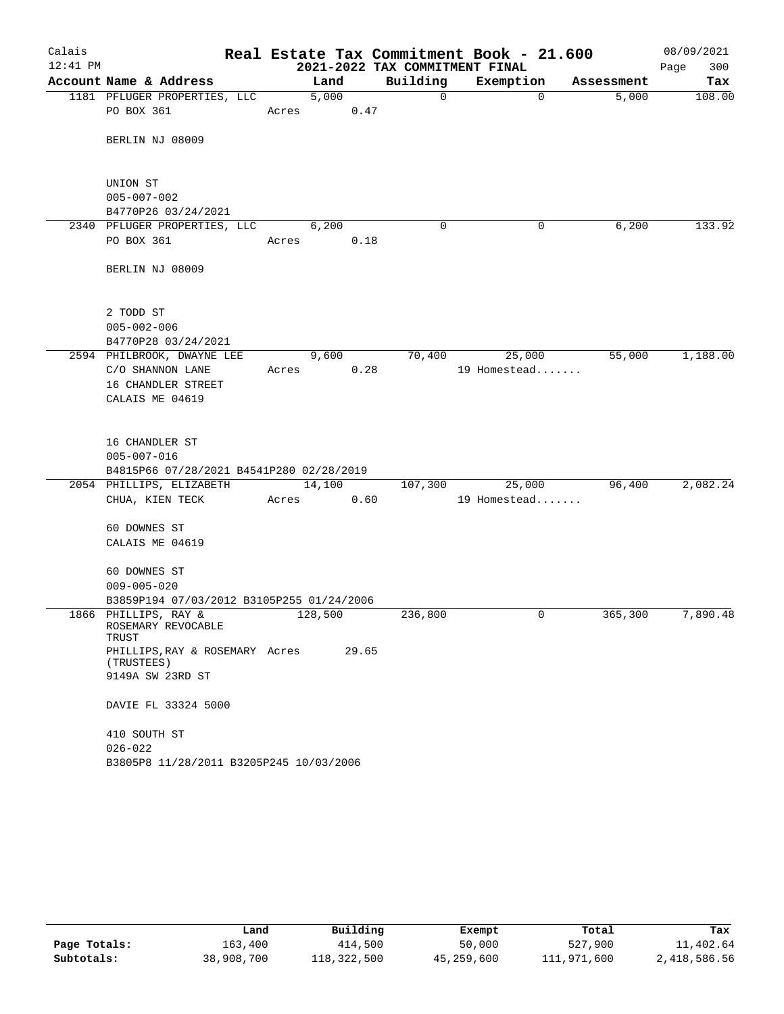| Calais     |                                                     |       |         |      |          | Real Estate Tax Commitment Book - 21.600 |            | 08/09/2021  |
|------------|-----------------------------------------------------|-------|---------|------|----------|------------------------------------------|------------|-------------|
| $12:41$ PM |                                                     |       |         |      |          | 2021-2022 TAX COMMITMENT FINAL           |            | 300<br>Page |
|            | Account Name & Address                              |       | Land    |      | Building | Exemption                                | Assessment | Tax         |
|            | 1181 PFLUGER PROPERTIES, LLC<br>PO BOX 361          | Acres | 5,000   | 0.47 | 0        | $\mathbf 0$                              | 5,000      | 108.00      |
|            | BERLIN NJ 08009                                     |       |         |      |          |                                          |            |             |
|            | UNION ST<br>$005 - 007 - 002$                       |       |         |      |          |                                          |            |             |
|            | B4770P26 03/24/2021                                 |       |         |      |          |                                          |            |             |
|            | 2340 PFLUGER PROPERTIES, LLC                        |       | 6,200   |      | $\Omega$ | 0                                        | 6,200      | 133.92      |
|            | PO BOX 361                                          | Acres |         | 0.18 |          |                                          |            |             |
|            | BERLIN NJ 08009                                     |       |         |      |          |                                          |            |             |
|            | 2 TODD ST                                           |       |         |      |          |                                          |            |             |
|            | $005 - 002 - 006$<br>B4770P28 03/24/2021            |       |         |      |          |                                          |            |             |
|            | 2594 PHILBROOK, DWAYNE LEE                          |       | 9,600   |      | 70,400   | 25,000                                   | 55,000     | 1,188.00    |
|            | C/O SHANNON LANE                                    | Acres |         | 0.28 |          | 19 Homestead                             |            |             |
|            | 16 CHANDLER STREET                                  |       |         |      |          |                                          |            |             |
|            | CALAIS ME 04619                                     |       |         |      |          |                                          |            |             |
|            | 16 CHANDLER ST                                      |       |         |      |          |                                          |            |             |
|            | $005 - 007 - 016$                                   |       |         |      |          |                                          |            |             |
|            | B4815P66 07/28/2021 B4541P280 02/28/2019            |       |         |      |          |                                          |            |             |
|            | 2054 PHILLIPS, ELIZABETH                            |       | 14,100  |      | 107,300  | 25,000                                   | 96,400     | 2,082.24    |
|            | CHUA, KIEN TECK                                     | Acres |         | 0.60 |          | 19 Homestead                             |            |             |
|            | 60 DOWNES ST                                        |       |         |      |          |                                          |            |             |
|            | CALAIS ME 04619                                     |       |         |      |          |                                          |            |             |
|            |                                                     |       |         |      |          |                                          |            |             |
|            | 60 DOWNES ST                                        |       |         |      |          |                                          |            |             |
|            | $009 - 005 - 020$                                   |       |         |      |          |                                          |            |             |
|            | B3859P194 07/03/2012 B3105P255 01/24/2006           |       |         |      |          | 0                                        |            | 7,890.48    |
|            | 1866 PHILLIPS, RAY &<br>ROSEMARY REVOCABLE<br>TRUST |       | 128,500 |      | 236,800  |                                          | 365,300    |             |
|            | PHILLIPS, RAY & ROSEMARY Acres 29.65                |       |         |      |          |                                          |            |             |
|            | (TRUSTEES)<br>9149A SW 23RD ST                      |       |         |      |          |                                          |            |             |
|            | DAVIE FL 33324 5000                                 |       |         |      |          |                                          |            |             |
|            | 410 SOUTH ST                                        |       |         |      |          |                                          |            |             |
|            | $026 - 022$                                         |       |         |      |          |                                          |            |             |
|            | B3805P8 11/28/2011 B3205P245 10/03/2006             |       |         |      |          |                                          |            |             |

|              | Land       | Building    | Exempt     | Total       | Tax          |
|--------------|------------|-------------|------------|-------------|--------------|
| Page Totals: | 163,400    | 414,500     | 50,000     | 527,900     | 11,402.64    |
| Subtotals:   | 38,908,700 | 118,322,500 | 45,259,600 | 111,971,600 | 2,418,586.56 |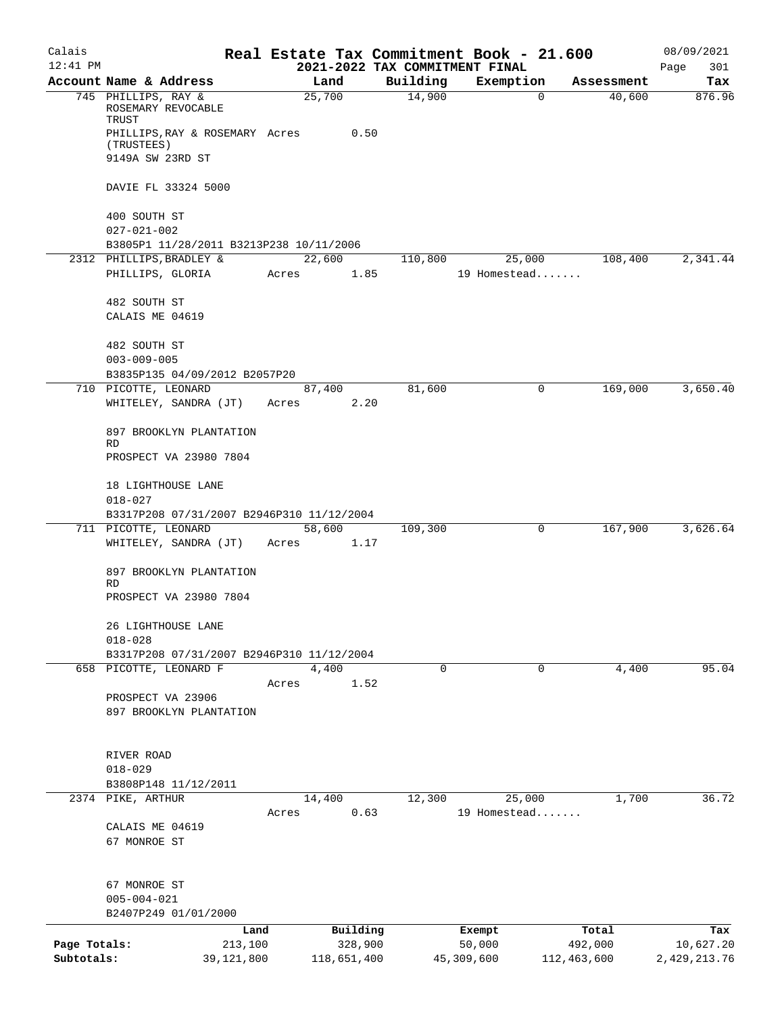| Calais                     |                                                              |         |                        |                                | Real Estate Tax Commitment Book - 21.600 |                        | 08/09/2021                |
|----------------------------|--------------------------------------------------------------|---------|------------------------|--------------------------------|------------------------------------------|------------------------|---------------------------|
| $12:41$ PM                 |                                                              |         |                        | 2021-2022 TAX COMMITMENT FINAL |                                          |                        | 301<br>Page               |
|                            | Account Name & Address                                       |         | Land                   | Building                       | Exemption                                | Assessment             | Tax                       |
|                            | 745 PHILLIPS, RAY &<br>ROSEMARY REVOCABLE<br>TRUST           |         | 25,700                 | 14,900                         | 0                                        | 40,600                 | 876.96                    |
|                            | PHILLIPS, RAY & ROSEMARY Acres<br>(TRUSTEES)                 |         | 0.50                   |                                |                                          |                        |                           |
|                            | 9149A SW 23RD ST                                             |         |                        |                                |                                          |                        |                           |
|                            | DAVIE FL 33324 5000                                          |         |                        |                                |                                          |                        |                           |
|                            | 400 SOUTH ST                                                 |         |                        |                                |                                          |                        |                           |
|                            | $027 - 021 - 002$<br>B3805P1 11/28/2011 B3213P238 10/11/2006 |         |                        |                                |                                          |                        |                           |
|                            | 2312 PHILLIPS, BRADLEY &                                     |         | 22,600                 | 110,800                        | 25,000                                   | 108,400                | 2,341.44                  |
|                            | PHILLIPS, GLORIA                                             | Acres   | 1.85                   |                                | 19 Homestead                             |                        |                           |
|                            | 482 SOUTH ST                                                 |         |                        |                                |                                          |                        |                           |
|                            | CALAIS ME 04619                                              |         |                        |                                |                                          |                        |                           |
|                            | 482 SOUTH ST<br>$003 - 009 - 005$                            |         |                        |                                |                                          |                        |                           |
|                            | B3835P135 04/09/2012 B2057P20                                |         |                        |                                |                                          |                        |                           |
|                            | 710 PICOTTE, LEONARD                                         |         | 87,400                 | 81,600                         | 0                                        | 169,000                | 3,650.40                  |
|                            | WHITELEY, SANDRA (JT)                                        | Acres   | 2.20                   |                                |                                          |                        |                           |
|                            | 897 BROOKLYN PLANTATION<br>RD                                |         |                        |                                |                                          |                        |                           |
|                            | PROSPECT VA 23980 7804                                       |         |                        |                                |                                          |                        |                           |
|                            | 18 LIGHTHOUSE LANE<br>$018 - 027$                            |         |                        |                                |                                          |                        |                           |
|                            | B3317P208 07/31/2007 B2946P310 11/12/2004                    |         |                        |                                |                                          |                        |                           |
|                            | 711 PICOTTE, LEONARD                                         |         | 58,600                 | 109,300                        | 0                                        | 167,900                | 3,626.64                  |
|                            | WHITELEY, SANDRA (JT)                                        | Acres   | 1.17                   |                                |                                          |                        |                           |
|                            | 897 BROOKLYN PLANTATION<br>RD                                |         |                        |                                |                                          |                        |                           |
|                            | PROSPECT VA 23980 7804                                       |         |                        |                                |                                          |                        |                           |
|                            | 26 LIGHTHOUSE LANE<br>$018 - 028$                            |         |                        |                                |                                          |                        |                           |
|                            | B3317P208 07/31/2007 B2946P310 11/12/2004                    |         |                        |                                |                                          |                        |                           |
|                            | 658 PICOTTE, LEONARD F                                       |         | 4,400                  | 0                              | 0                                        | 4,400                  | 95.04                     |
|                            |                                                              | Acres   | 1.52                   |                                |                                          |                        |                           |
|                            | PROSPECT VA 23906                                            |         |                        |                                |                                          |                        |                           |
|                            | 897 BROOKLYN PLANTATION                                      |         |                        |                                |                                          |                        |                           |
|                            | RIVER ROAD                                                   |         |                        |                                |                                          |                        |                           |
|                            | $018 - 029$                                                  |         |                        |                                |                                          |                        |                           |
|                            | B3808P148 11/12/2011                                         |         |                        |                                |                                          |                        |                           |
|                            | 2374 PIKE, ARTHUR                                            | Acres   | 14,400<br>0.63         | 12,300                         | 25,000<br>19 Homestead                   | 1,700                  | 36.72                     |
|                            | CALAIS ME 04619<br>67 MONROE ST                              |         |                        |                                |                                          |                        |                           |
|                            | 67 MONROE ST                                                 |         |                        |                                |                                          |                        |                           |
|                            | $005 - 004 - 021$                                            |         |                        |                                |                                          |                        |                           |
|                            | B2407P249 01/01/2000                                         |         |                        |                                |                                          |                        |                           |
|                            |                                                              | Land    | Building               |                                | Exempt                                   | Total                  | Tax                       |
| Page Totals:<br>Subtotals: | 39, 121, 800                                                 | 213,100 | 328,900<br>118,651,400 |                                | 50,000<br>45,309,600                     | 492,000<br>112,463,600 | 10,627.20<br>2,429,213.76 |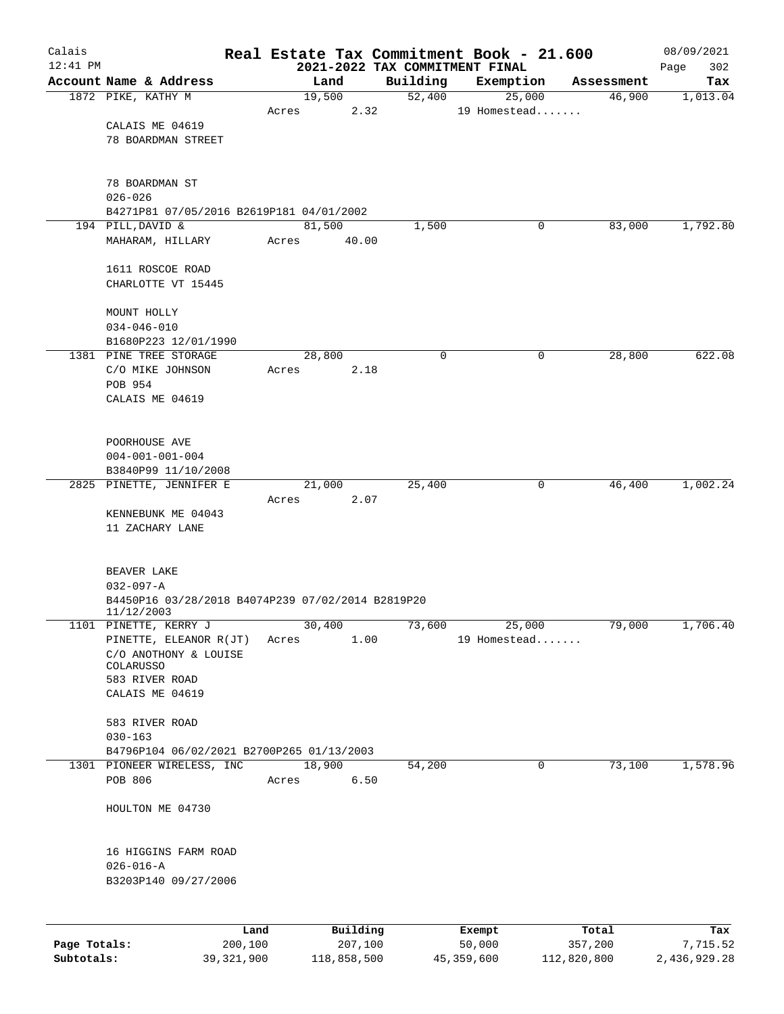| Calais       |                                                   |       |                |                                            | Real Estate Tax Commitment Book - 21.600 |                      | 08/09/2021      |
|--------------|---------------------------------------------------|-------|----------------|--------------------------------------------|------------------------------------------|----------------------|-----------------|
| $12:41$ PM   | Account Name & Address                            |       | Land           | 2021-2022 TAX COMMITMENT FINAL<br>Building |                                          |                      | 302<br>Page     |
|              | 1872 PIKE, KATHY M                                |       | 19,500         | 52,400                                     | Exemption<br>25,000                      | Assessment<br>46,900 | Tax<br>1,013.04 |
|              |                                                   | Acres | 2.32           |                                            | 19 Homestead                             |                      |                 |
|              | CALAIS ME 04619                                   |       |                |                                            |                                          |                      |                 |
|              | 78 BOARDMAN STREET                                |       |                |                                            |                                          |                      |                 |
|              |                                                   |       |                |                                            |                                          |                      |                 |
|              | 78 BOARDMAN ST                                    |       |                |                                            |                                          |                      |                 |
|              | $026 - 026$                                       |       |                |                                            |                                          |                      |                 |
|              | B4271P81 07/05/2016 B2619P181 04/01/2002          |       |                |                                            |                                          |                      |                 |
|              | 194 PILL, DAVID &                                 |       | 81,500         | 1,500                                      | 0                                        | 83,000               | 1,792.80        |
|              | MAHARAM, HILLARY                                  | Acres | 40.00          |                                            |                                          |                      |                 |
|              |                                                   |       |                |                                            |                                          |                      |                 |
|              | 1611 ROSCOE ROAD<br>CHARLOTTE VT 15445            |       |                |                                            |                                          |                      |                 |
|              |                                                   |       |                |                                            |                                          |                      |                 |
|              | MOUNT HOLLY                                       |       |                |                                            |                                          |                      |                 |
|              | $034 - 046 - 010$                                 |       |                |                                            |                                          |                      |                 |
|              | B1680P223 12/01/1990                              |       |                |                                            |                                          |                      |                 |
|              | 1381 PINE TREE STORAGE                            |       | 28,800         | 0                                          | 0                                        | 28,800               | 622.08          |
|              | C/O MIKE JOHNSON                                  | Acres | 2.18           |                                            |                                          |                      |                 |
|              | POB 954<br>CALAIS ME 04619                        |       |                |                                            |                                          |                      |                 |
|              |                                                   |       |                |                                            |                                          |                      |                 |
|              |                                                   |       |                |                                            |                                          |                      |                 |
|              | POORHOUSE AVE                                     |       |                |                                            |                                          |                      |                 |
|              | $004 - 001 - 001 - 004$                           |       |                |                                            |                                          |                      |                 |
|              | B3840P99 11/10/2008                               |       |                |                                            |                                          |                      |                 |
|              | 2825 PINETTE, JENNIFER E                          | Acres | 21,000<br>2.07 | 25,400                                     | 0                                        | 46,400               | 1,002.24        |
|              | KENNEBUNK ME 04043                                |       |                |                                            |                                          |                      |                 |
|              | 11 ZACHARY LANE                                   |       |                |                                            |                                          |                      |                 |
|              |                                                   |       |                |                                            |                                          |                      |                 |
|              | BEAVER LAKE                                       |       |                |                                            |                                          |                      |                 |
|              | $032 - 097 - A$                                   |       |                |                                            |                                          |                      |                 |
|              | B4450P16 03/28/2018 B4074P239 07/02/2014 B2819P20 |       |                |                                            |                                          |                      |                 |
|              | 11/12/2003                                        |       |                |                                            |                                          |                      |                 |
|              | 1101 PINETTE, KERRY J                             |       | 30,400         | 73,600                                     | 25,000                                   | 79,000               | 1,706.40        |
|              | PINETTE, ELEANOR R(JT)<br>C/O ANOTHONY & LOUISE   | Acres | 1.00           |                                            | 19 Homestead                             |                      |                 |
|              | COLARUSSO                                         |       |                |                                            |                                          |                      |                 |
|              | 583 RIVER ROAD                                    |       |                |                                            |                                          |                      |                 |
|              | CALAIS ME 04619                                   |       |                |                                            |                                          |                      |                 |
|              | 583 RIVER ROAD                                    |       |                |                                            |                                          |                      |                 |
|              | $030 - 163$                                       |       |                |                                            |                                          |                      |                 |
|              | B4796P104 06/02/2021 B2700P265 01/13/2003         |       |                |                                            |                                          |                      |                 |
|              | 1301 PIONEER WIRELESS, INC                        |       | 18,900         | 54,200                                     | 0                                        | 73,100               | 1,578.96        |
|              | POB 806                                           | Acres | 6.50           |                                            |                                          |                      |                 |
|              |                                                   |       |                |                                            |                                          |                      |                 |
|              | HOULTON ME 04730                                  |       |                |                                            |                                          |                      |                 |
|              |                                                   |       |                |                                            |                                          |                      |                 |
|              | 16 HIGGINS FARM ROAD                              |       |                |                                            |                                          |                      |                 |
|              | $026 - 016 - A$<br>B3203P140 09/27/2006           |       |                |                                            |                                          |                      |                 |
|              |                                                   |       |                |                                            |                                          |                      |                 |
|              |                                                   |       |                |                                            |                                          |                      |                 |
|              | Land                                              |       | Building       |                                            | Exempt                                   | Total                | Tax             |
| Page Totals: | 200,100                                           |       | 207,100        |                                            | 50,000                                   | 357,200              | 7,715.52        |

**Subtotals:** 39,321,900 118,858,500 45,359,600 112,820,800 2,436,929.28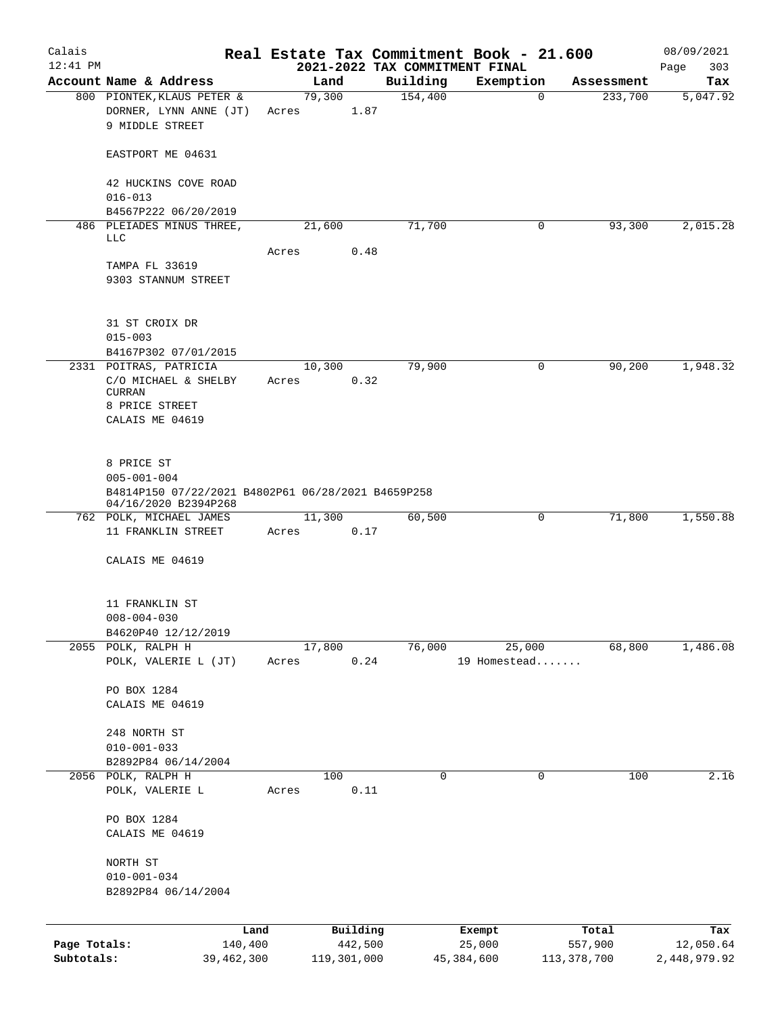| Calais                     |                                                                                               |                       |       |             |          | Real Estate Tax Commitment Book - 21.600   |                        |             |                        | 08/09/2021                |
|----------------------------|-----------------------------------------------------------------------------------------------|-----------------------|-------|-------------|----------|--------------------------------------------|------------------------|-------------|------------------------|---------------------------|
| $12:41$ PM                 | Account Name & Address                                                                        |                       |       | Land        |          | 2021-2022 TAX COMMITMENT FINAL<br>Building | Exemption              |             |                        | 303<br>Page               |
|                            | 800 PIONTEK, KLAUS PETER &                                                                    |                       |       | 79,300      |          | 154,400                                    |                        | $\mathbf 0$ | Assessment<br>233,700  | Tax<br>5,047.92           |
|                            | DORNER, LYNN ANNE (JT)<br>9 MIDDLE STREET                                                     |                       | Acres |             | 1.87     |                                            |                        |             |                        |                           |
|                            | EASTPORT ME 04631                                                                             |                       |       |             |          |                                            |                        |             |                        |                           |
|                            | 42 HUCKINS COVE ROAD<br>$016 - 013$                                                           |                       |       |             |          |                                            |                        |             |                        |                           |
|                            | B4567P222 06/20/2019<br>486 PLEIADES MINUS THREE,<br><b>LLC</b>                               |                       |       | 21,600      |          | 71,700                                     |                        | $\mathbf 0$ | 93,300                 | 2,015.28                  |
|                            |                                                                                               |                       | Acres |             | 0.48     |                                            |                        |             |                        |                           |
|                            | TAMPA FL 33619<br>9303 STANNUM STREET                                                         |                       |       |             |          |                                            |                        |             |                        |                           |
|                            | 31 ST CROIX DR<br>$015 - 003$                                                                 |                       |       |             |          |                                            |                        |             |                        |                           |
|                            | B4167P302 07/01/2015                                                                          |                       |       |             |          |                                            |                        |             |                        |                           |
|                            | 2331 POITRAS, PATRICIA<br>C/O MICHAEL & SHELBY<br>CURRAN<br>8 PRICE STREET<br>CALAIS ME 04619 |                       | Acres | 10,300      | 0.32     | 79,900                                     |                        | 0           | 90,200                 | 1,948.32                  |
|                            | 8 PRICE ST<br>$005 - 001 - 004$<br>B4814P150 07/22/2021 B4802P61 06/28/2021 B4659P258         |                       |       |             |          |                                            |                        |             |                        |                           |
|                            | 04/16/2020 B2394P268<br>762 POLK, MICHAEL JAMES                                               |                       |       | 11,300      |          | 60,500                                     |                        | 0           | 71,800                 | 1,550.88                  |
|                            | 11 FRANKLIN STREET                                                                            |                       | Acres |             | 0.17     |                                            |                        |             |                        |                           |
|                            | CALAIS ME 04619                                                                               |                       |       |             |          |                                            |                        |             |                        |                           |
|                            | 11 FRANKLIN ST<br>$008 - 004 - 030$                                                           |                       |       |             |          |                                            |                        |             |                        |                           |
|                            | B4620P40 12/12/2019                                                                           |                       |       |             |          |                                            |                        |             |                        |                           |
|                            | 2055 POLK, RALPH H<br>POLK, VALERIE L (JT)                                                    |                       | Acres | 17,800      | 0.24     | 76,000                                     | 25,000<br>19 Homestead |             | 68,800                 | 1,486.08                  |
|                            | PO BOX 1284                                                                                   |                       |       |             |          |                                            |                        |             |                        |                           |
|                            | CALAIS ME 04619                                                                               |                       |       |             |          |                                            |                        |             |                        |                           |
|                            | 248 NORTH ST                                                                                  |                       |       |             |          |                                            |                        |             |                        |                           |
|                            | $010 - 001 - 033$                                                                             |                       |       |             |          |                                            |                        |             |                        |                           |
|                            | B2892P84 06/14/2004<br>2056 POLK, RALPH H                                                     |                       |       | 100         |          | 0                                          |                        | 0           | 100                    | 2.16                      |
|                            | POLK, VALERIE L                                                                               |                       | Acres |             | 0.11     |                                            |                        |             |                        |                           |
|                            | PO BOX 1284<br>CALAIS ME 04619                                                                |                       |       |             |          |                                            |                        |             |                        |                           |
|                            | NORTH ST                                                                                      |                       |       |             |          |                                            |                        |             |                        |                           |
|                            | $010 - 001 - 034$<br>B2892P84 06/14/2004                                                      |                       |       |             |          |                                            |                        |             |                        |                           |
|                            |                                                                                               |                       |       |             |          |                                            |                        |             |                        |                           |
|                            |                                                                                               | Land                  |       |             | Building |                                            | Exempt                 |             | Total                  | Tax                       |
| Page Totals:<br>Subtotals: |                                                                                               | 140,400<br>39,462,300 |       | 119,301,000 | 442,500  |                                            | 25,000<br>45,384,600   |             | 557,900<br>113,378,700 | 12,050.64<br>2,448,979.92 |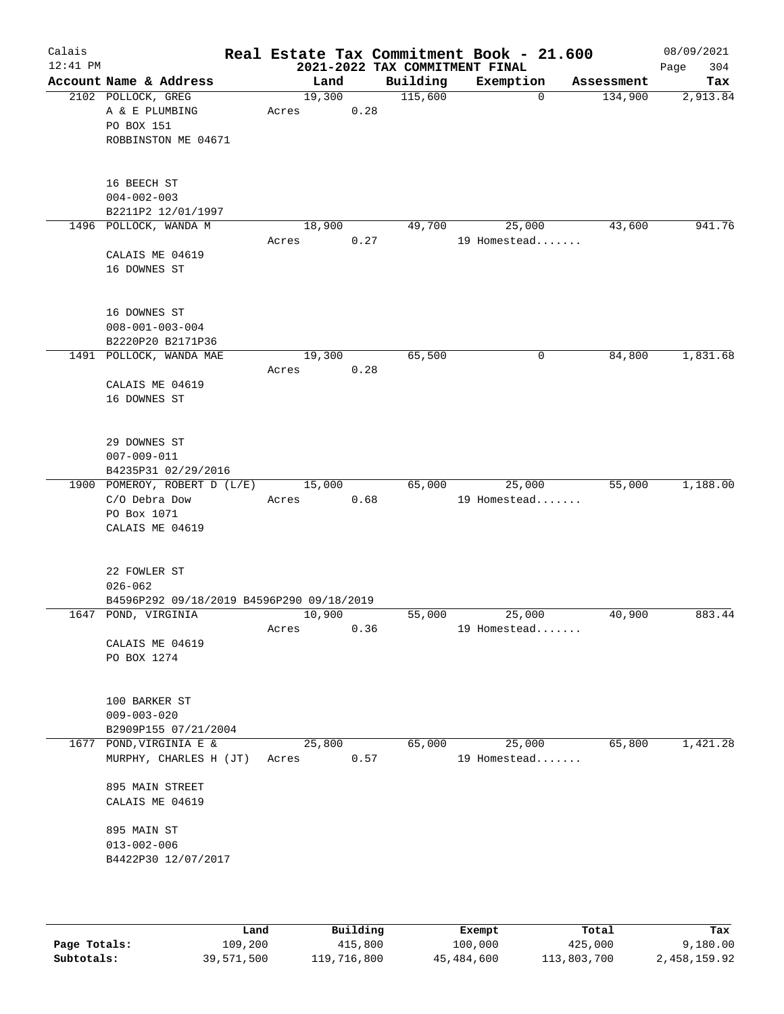| Calais<br>$12:41$ PM |                                                          |                 |      |          | Real Estate Tax Commitment Book - 21.600<br>2021-2022 TAX COMMITMENT FINAL |            | 08/09/2021<br>304<br>Page |
|----------------------|----------------------------------------------------------|-----------------|------|----------|----------------------------------------------------------------------------|------------|---------------------------|
|                      | Account Name & Address                                   | Land            |      | Building | Exemption                                                                  | Assessment | Tax                       |
|                      | 2102 POLLOCK, GREG                                       | 19,300          |      | 115,600  | 0                                                                          | 134,900    | 2,913.84                  |
|                      | A & E PLUMBING                                           | Acres           | 0.28 |          |                                                                            |            |                           |
|                      | PO BOX 151                                               |                 |      |          |                                                                            |            |                           |
|                      | ROBBINSTON ME 04671                                      |                 |      |          |                                                                            |            |                           |
|                      | 16 BEECH ST                                              |                 |      |          |                                                                            |            |                           |
|                      | $004 - 002 - 003$                                        |                 |      |          |                                                                            |            |                           |
|                      | B2211P2 12/01/1997                                       |                 |      |          |                                                                            |            |                           |
|                      | 1496 POLLOCK, WANDA M                                    | 18,900          |      | 49,700   | 25,000                                                                     | 43,600     | 941.76                    |
|                      |                                                          | Acres           | 0.27 |          | 19 Homestead                                                               |            |                           |
|                      | CALAIS ME 04619<br>16 DOWNES ST                          |                 |      |          |                                                                            |            |                           |
|                      |                                                          |                 |      |          |                                                                            |            |                           |
|                      | 16 DOWNES ST                                             |                 |      |          |                                                                            |            |                           |
|                      | $008 - 001 - 003 - 004$                                  |                 |      |          |                                                                            |            |                           |
|                      | B2220P20 B2171P36                                        |                 |      |          |                                                                            |            |                           |
|                      | 1491 POLLOCK, WANDA MAE                                  | 19,300          |      | 65,500   | 0                                                                          | 84,800     | 1,831.68                  |
|                      |                                                          | Acres           | 0.28 |          |                                                                            |            |                           |
|                      | CALAIS ME 04619<br>16 DOWNES ST                          |                 |      |          |                                                                            |            |                           |
|                      |                                                          |                 |      |          |                                                                            |            |                           |
|                      | 29 DOWNES ST                                             |                 |      |          |                                                                            |            |                           |
|                      | $007 - 009 - 011$                                        |                 |      |          |                                                                            |            |                           |
|                      | B4235P31 02/29/2016                                      |                 |      |          |                                                                            |            |                           |
|                      | 1900 POMEROY, ROBERT D (L/E)<br>C/O Debra Dow            | 15,000<br>Acres | 0.68 | 65,000   | 25,000<br>19 Homestead                                                     | 55,000     | 1,188.00                  |
|                      | PO Box 1071                                              |                 |      |          |                                                                            |            |                           |
|                      | CALAIS ME 04619                                          |                 |      |          |                                                                            |            |                           |
|                      |                                                          |                 |      |          |                                                                            |            |                           |
|                      | 22 FOWLER ST                                             |                 |      |          |                                                                            |            |                           |
|                      | $026 - 062$<br>B4596P292 09/18/2019 B4596P290 09/18/2019 |                 |      |          |                                                                            |            |                           |
|                      | 1647 POND, VIRGINIA                                      | 10,900          |      | 55,000   | 25,000                                                                     | 40,900     | 883.44                    |
|                      |                                                          | Acres           | 0.36 |          | 19 Homestead                                                               |            |                           |
|                      | CALAIS ME 04619                                          |                 |      |          |                                                                            |            |                           |
|                      | PO BOX 1274                                              |                 |      |          |                                                                            |            |                           |
|                      |                                                          |                 |      |          |                                                                            |            |                           |
|                      | 100 BARKER ST                                            |                 |      |          |                                                                            |            |                           |
|                      | $009 - 003 - 020$                                        |                 |      |          |                                                                            |            |                           |
|                      | B2909P155 07/21/2004<br>1677 POND, VIRGINIA E &          |                 |      |          |                                                                            |            | 1,421.28                  |
|                      | MURPHY, CHARLES H (JT)                                   | 25,800<br>Acres | 0.57 | 65,000   | 25,000<br>19 Homestead                                                     | 65,800     |                           |
|                      |                                                          |                 |      |          |                                                                            |            |                           |
|                      | 895 MAIN STREET                                          |                 |      |          |                                                                            |            |                           |
|                      | CALAIS ME 04619                                          |                 |      |          |                                                                            |            |                           |
|                      | 895 MAIN ST                                              |                 |      |          |                                                                            |            |                           |
|                      | $013 - 002 - 006$                                        |                 |      |          |                                                                            |            |                           |
|                      | B4422P30 12/07/2017                                      |                 |      |          |                                                                            |            |                           |
|                      |                                                          |                 |      |          |                                                                            |            |                           |
|                      |                                                          |                 |      |          |                                                                            |            |                           |
|                      |                                                          |                 |      |          |                                                                            |            |                           |

|              | Land       | Building    | Exempt     | Total       | Tax          |
|--------------|------------|-------------|------------|-------------|--------------|
| Page Totals: | 109,200    | 415,800     | 100,000    | 425,000     | 9,180.00     |
| Subtotals:   | 39,571,500 | 119,716,800 | 45,484,600 | 113,803,700 | 2,458,159.92 |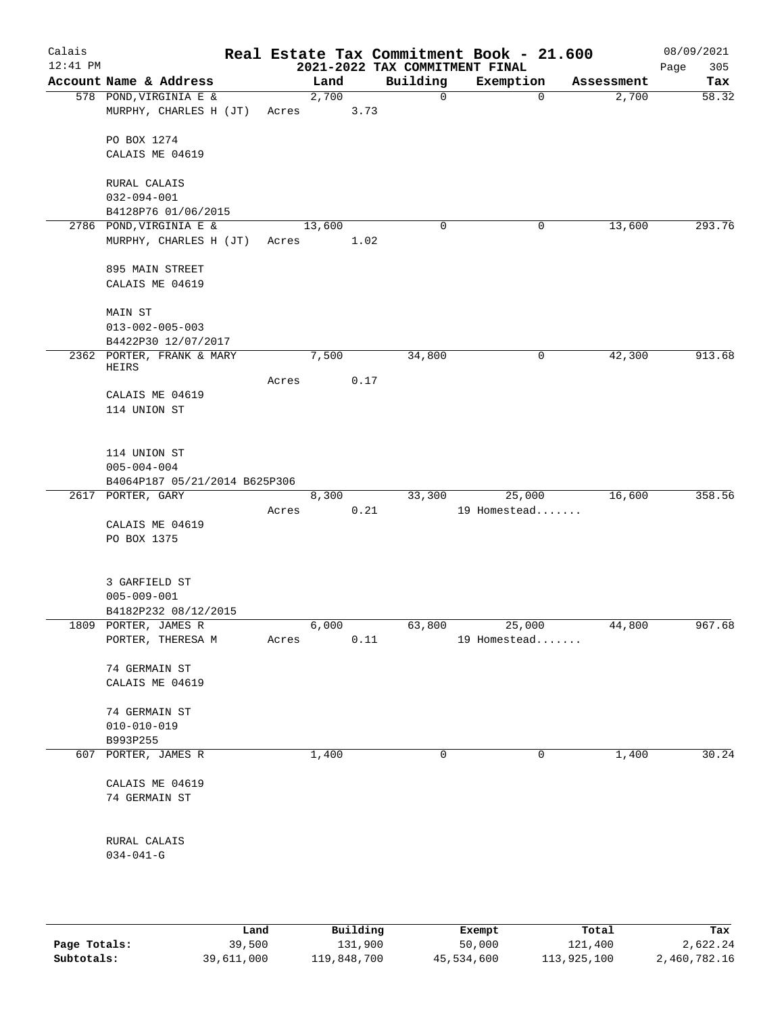| Calais<br>$12:41$ PM |                                                    |       |        |      | 2021-2022 TAX COMMITMENT FINAL | Real Estate Tax Commitment Book - 21.600 |            | 08/09/2021<br>305 |
|----------------------|----------------------------------------------------|-------|--------|------|--------------------------------|------------------------------------------|------------|-------------------|
|                      | Account Name & Address                             |       | Land   |      | Building                       | Exemption                                | Assessment | Page<br>Tax       |
|                      | 578 POND, VIRGINIA E &                             |       | 2,700  |      | $\mathbf 0$                    | $\mathbf 0$                              | 2,700      | 58.32             |
|                      | MURPHY, CHARLES H (JT)                             | Acres |        | 3.73 |                                |                                          |            |                   |
|                      | PO BOX 1274                                        |       |        |      |                                |                                          |            |                   |
|                      | CALAIS ME 04619                                    |       |        |      |                                |                                          |            |                   |
|                      | RURAL CALAIS                                       |       |        |      |                                |                                          |            |                   |
|                      | $032 - 094 - 001$                                  |       |        |      |                                |                                          |            |                   |
|                      | B4128P76 01/06/2015                                |       |        |      |                                |                                          |            |                   |
|                      | 2786 POND, VIRGINIA E &<br>MURPHY, CHARLES H (JT)  | Acres | 13,600 | 1.02 | $\mathbf 0$                    | 0                                        | 13,600     | 293.76            |
|                      |                                                    |       |        |      |                                |                                          |            |                   |
|                      | 895 MAIN STREET<br>CALAIS ME 04619                 |       |        |      |                                |                                          |            |                   |
|                      |                                                    |       |        |      |                                |                                          |            |                   |
|                      | <b>MAIN ST</b>                                     |       |        |      |                                |                                          |            |                   |
|                      | $013 - 002 - 005 - 003$<br>B4422P30 12/07/2017     |       |        |      |                                |                                          |            |                   |
|                      | 2362 PORTER, FRANK & MARY                          |       | 7,500  |      | 34,800                         | 0                                        | 42,300     | 913.68            |
|                      | HEIRS                                              |       |        |      |                                |                                          |            |                   |
|                      | CALAIS ME 04619                                    | Acres |        | 0.17 |                                |                                          |            |                   |
|                      | 114 UNION ST                                       |       |        |      |                                |                                          |            |                   |
|                      |                                                    |       |        |      |                                |                                          |            |                   |
|                      | 114 UNION ST                                       |       |        |      |                                |                                          |            |                   |
|                      | $005 - 004 - 004$<br>B4064P187 05/21/2014 B625P306 |       |        |      |                                |                                          |            |                   |
|                      | 2617 PORTER, GARY                                  |       | 8,300  |      | 33,300                         | 25,000                                   | 16,600     | 358.56            |
|                      |                                                    | Acres |        | 0.21 |                                | 19 Homestead                             |            |                   |
|                      | CALAIS ME 04619                                    |       |        |      |                                |                                          |            |                   |
|                      | PO BOX 1375                                        |       |        |      |                                |                                          |            |                   |
|                      | 3 GARFIELD ST                                      |       |        |      |                                |                                          |            |                   |
|                      | $005 - 009 - 001$                                  |       |        |      |                                |                                          |            |                   |
|                      | B4182P232 08/12/2015                               |       |        |      |                                |                                          |            |                   |
|                      | 1809 PORTER, JAMES R<br>PORTER, THERESA M          | Acres | 6,000  | 0.11 | 63,800                         | 25,000<br>19 Homestead                   | 44,800     | 967.68            |
|                      |                                                    |       |        |      |                                |                                          |            |                   |
|                      | 74 GERMAIN ST                                      |       |        |      |                                |                                          |            |                   |
|                      | CALAIS ME 04619                                    |       |        |      |                                |                                          |            |                   |
|                      | 74 GERMAIN ST                                      |       |        |      |                                |                                          |            |                   |
|                      | $010 - 010 - 019$                                  |       |        |      |                                |                                          |            |                   |
|                      | B993P255                                           |       |        |      |                                |                                          |            |                   |
|                      | 607 PORTER, JAMES R                                |       | 1,400  |      | 0                              | 0                                        | 1,400      | 30.24             |
|                      | CALAIS ME 04619                                    |       |        |      |                                |                                          |            |                   |
|                      | 74 GERMAIN ST                                      |       |        |      |                                |                                          |            |                   |
|                      | RURAL CALAIS                                       |       |        |      |                                |                                          |            |                   |
|                      | $034 - 041 - G$                                    |       |        |      |                                |                                          |            |                   |
|                      |                                                    |       |        |      |                                |                                          |            |                   |
|                      |                                                    |       |        |      |                                |                                          |            |                   |
|                      |                                                    |       |        |      |                                |                                          |            |                   |
|                      |                                                    |       |        |      |                                |                                          |            |                   |

|              | Land       | Building    | Exempt     | Total       | Tax          |
|--------------|------------|-------------|------------|-------------|--------------|
| Page Totals: | 39,500     | 131,900     | 50,000     | 121,400     | 2,622.24     |
| Subtotals:   | 39,611,000 | 119,848,700 | 45,534,600 | 113,925,100 | 2,460,782.16 |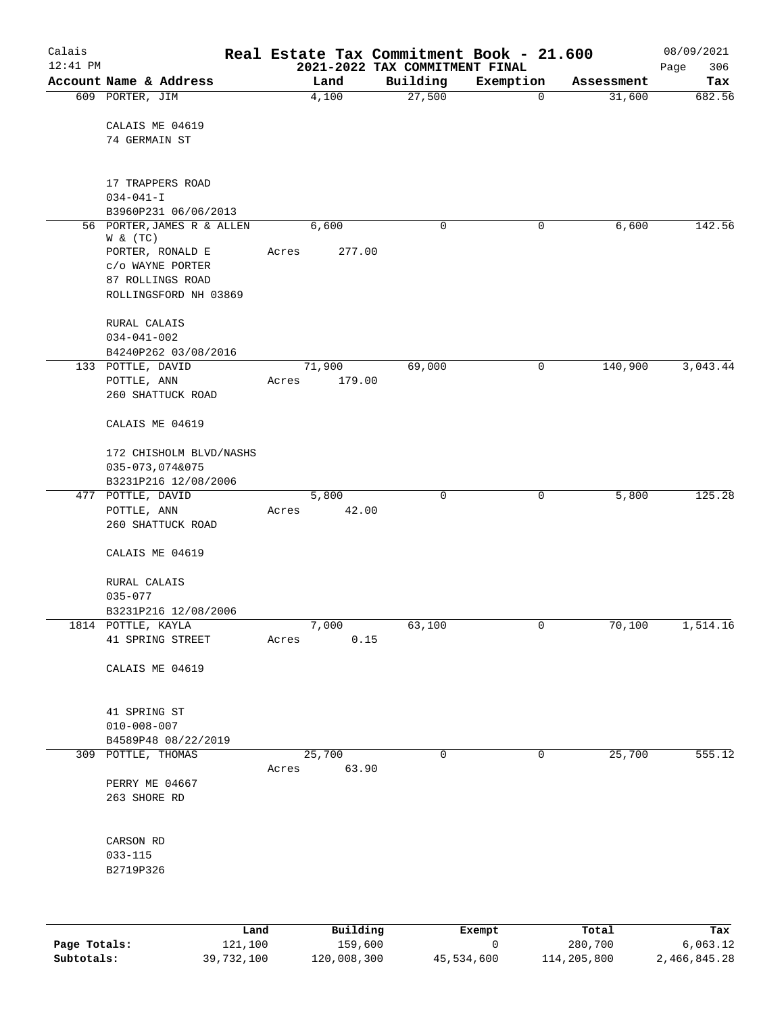| Calais<br>$12:41$ PM |                                           |       |          | 2021-2022 TAX COMMITMENT FINAL | Real Estate Tax Commitment Book - 21.600 |            | 08/09/2021<br>306<br>Page |
|----------------------|-------------------------------------------|-------|----------|--------------------------------|------------------------------------------|------------|---------------------------|
|                      | Account Name & Address                    |       | Land     | Building                       | Exemption                                | Assessment | Tax                       |
|                      | 609 PORTER, JIM<br>CALAIS ME 04619        |       | 4,100    | 27,500                         | $\mathbf 0$                              | 31,600     | 682.56                    |
|                      | 74 GERMAIN ST                             |       |          |                                |                                          |            |                           |
|                      | 17 TRAPPERS ROAD                          |       |          |                                |                                          |            |                           |
|                      | $034 - 041 - I$<br>B3960P231 06/06/2013   |       |          |                                |                                          |            |                           |
|                      | 56 PORTER, JAMES R & ALLEN                |       | 6,600    | 0                              | 0                                        | 6,600      | 142.56                    |
|                      | W & (TC)                                  |       |          |                                |                                          |            |                           |
|                      | PORTER, RONALD E                          | Acres | 277.00   |                                |                                          |            |                           |
|                      | C/O WAYNE PORTER                          |       |          |                                |                                          |            |                           |
|                      | 87 ROLLINGS ROAD<br>ROLLINGSFORD NH 03869 |       |          |                                |                                          |            |                           |
|                      | RURAL CALAIS                              |       |          |                                |                                          |            |                           |
|                      | $034 - 041 - 002$                         |       |          |                                |                                          |            |                           |
|                      | B4240P262 03/08/2016<br>133 POTTLE, DAVID |       | 71,900   | 69,000                         | 0                                        | 140,900    | 3,043.44                  |
|                      | POTTLE, ANN                               | Acres | 179.00   |                                |                                          |            |                           |
|                      | 260 SHATTUCK ROAD                         |       |          |                                |                                          |            |                           |
|                      | CALAIS ME 04619                           |       |          |                                |                                          |            |                           |
|                      | 172 CHISHOLM BLVD/NASHS                   |       |          |                                |                                          |            |                           |
|                      | 035-073,074&075                           |       |          |                                |                                          |            |                           |
|                      | B3231P216 12/08/2006<br>477 POTTLE, DAVID |       | 5,800    | $\mathbf 0$                    | 0                                        | 5,800      | 125.28                    |
|                      | POTTLE, ANN                               | Acres | 42.00    |                                |                                          |            |                           |
|                      | 260 SHATTUCK ROAD                         |       |          |                                |                                          |            |                           |
|                      | CALAIS ME 04619                           |       |          |                                |                                          |            |                           |
|                      | RURAL CALAIS<br>$035 - 077$               |       |          |                                |                                          |            |                           |
|                      | B3231P216 12/08/2006                      |       |          |                                |                                          |            |                           |
|                      | 1814 POTTLE, KAYLA                        |       | 7,000    | 63,100                         | 0                                        | 70,100     | 1,514.16                  |
|                      | 41 SPRING STREET                          | Acres | 0.15     |                                |                                          |            |                           |
|                      | CALAIS ME 04619                           |       |          |                                |                                          |            |                           |
|                      |                                           |       |          |                                |                                          |            |                           |
|                      | 41 SPRING ST                              |       |          |                                |                                          |            |                           |
|                      | $010 - 008 - 007$                         |       |          |                                |                                          |            |                           |
|                      | B4589P48 08/22/2019                       |       |          |                                |                                          |            |                           |
|                      | 309 POTTLE, THOMAS                        |       | 25,700   | $\mathbf 0$                    | 0                                        | 25,700     | 555.12                    |
|                      | PERRY ME 04667                            | Acres | 63.90    |                                |                                          |            |                           |
|                      | 263 SHORE RD                              |       |          |                                |                                          |            |                           |
|                      |                                           |       |          |                                |                                          |            |                           |
|                      | CARSON RD                                 |       |          |                                |                                          |            |                           |
|                      | $033 - 115$<br>B2719P326                  |       |          |                                |                                          |            |                           |
|                      |                                           |       |          |                                |                                          |            |                           |
|                      |                                           |       |          |                                |                                          |            |                           |
|                      |                                           | Land  | Building |                                | Exempt                                   | Total      | Tax                       |

|              | -----      | --------    | -------    | -----       | .            |
|--------------|------------|-------------|------------|-------------|--------------|
| Page Totals: | 121,100    | 159,600     |            | 280,700     | 6.063.12     |
| Subtotals:   | 39,732,100 | 120,008,300 | 45,534,600 | 114,205,800 | 2,466,845.28 |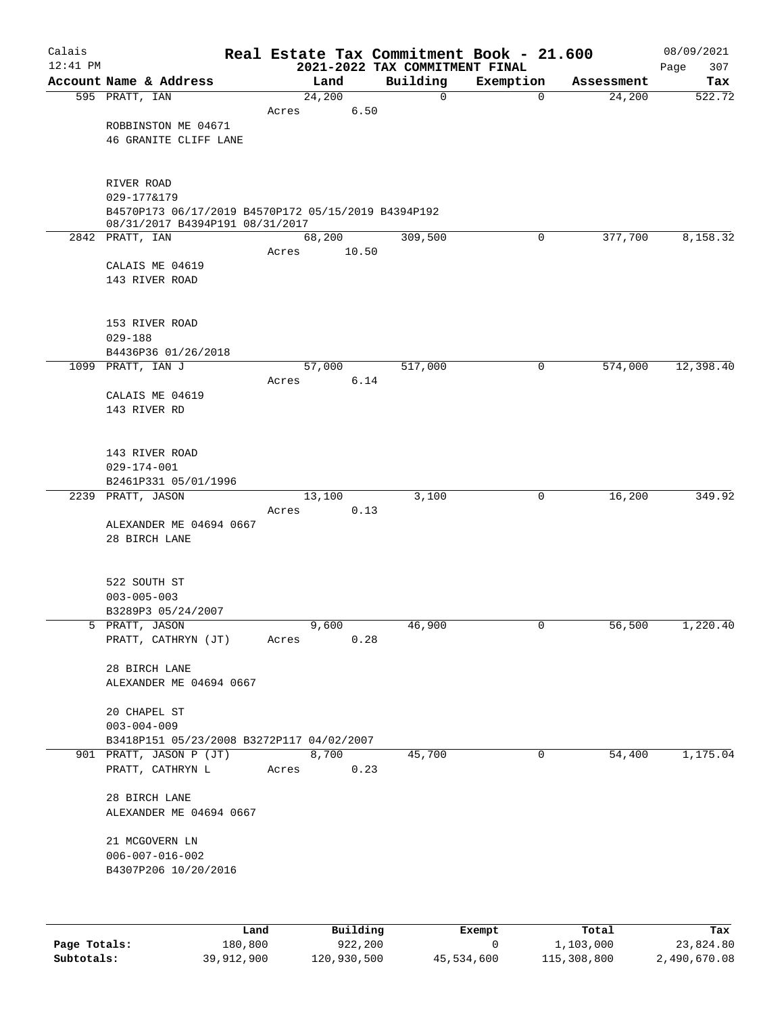| Calais<br>$12:41$ PM |                                                                                        |       |        | Real Estate Tax Commitment Book - 21.600<br>2021-2022 TAX COMMITMENT FINAL |                |            | 08/09/2021<br>307<br>Page |
|----------------------|----------------------------------------------------------------------------------------|-------|--------|----------------------------------------------------------------------------|----------------|------------|---------------------------|
|                      | Account Name & Address                                                                 |       | Land   | Building                                                                   | Exemption      | Assessment | Tax                       |
|                      | 595 PRATT, IAN                                                                         |       | 24,200 | 0                                                                          | $\mathbf 0$    | 24,200     | 522.72                    |
|                      |                                                                                        | Acres | 6.50   |                                                                            |                |            |                           |
|                      | ROBBINSTON ME 04671                                                                    |       |        |                                                                            |                |            |                           |
|                      | 46 GRANITE CLIFF LANE                                                                  |       |        |                                                                            |                |            |                           |
|                      |                                                                                        |       |        |                                                                            |                |            |                           |
|                      |                                                                                        |       |        |                                                                            |                |            |                           |
|                      | RIVER ROAD                                                                             |       |        |                                                                            |                |            |                           |
|                      | 029-177&179                                                                            |       |        |                                                                            |                |            |                           |
|                      | B4570P173 06/17/2019 B4570P172 05/15/2019 B4394P192<br>08/31/2017 B4394P191 08/31/2017 |       |        |                                                                            |                |            |                           |
|                      | 2842 PRATT, IAN                                                                        |       | 68,200 | 309,500                                                                    | $\mathbf 0$    | 377,700    | 8,158.32                  |
|                      |                                                                                        | Acres | 10.50  |                                                                            |                |            |                           |
|                      | CALAIS ME 04619                                                                        |       |        |                                                                            |                |            |                           |
|                      | 143 RIVER ROAD                                                                         |       |        |                                                                            |                |            |                           |
|                      |                                                                                        |       |        |                                                                            |                |            |                           |
|                      | 153 RIVER ROAD                                                                         |       |        |                                                                            |                |            |                           |
|                      | $029 - 188$                                                                            |       |        |                                                                            |                |            |                           |
|                      | B4436P36 01/26/2018                                                                    |       |        |                                                                            |                |            |                           |
|                      | 1099 PRATT, IAN J                                                                      |       | 57,000 | 517,000                                                                    | 0              | 574,000    | 12,398.40                 |
|                      |                                                                                        | Acres | 6.14   |                                                                            |                |            |                           |
|                      | CALAIS ME 04619                                                                        |       |        |                                                                            |                |            |                           |
|                      | 143 RIVER RD                                                                           |       |        |                                                                            |                |            |                           |
|                      |                                                                                        |       |        |                                                                            |                |            |                           |
|                      |                                                                                        |       |        |                                                                            |                |            |                           |
|                      | 143 RIVER ROAD<br>$029 - 174 - 001$                                                    |       |        |                                                                            |                |            |                           |
|                      | B2461P331 05/01/1996                                                                   |       |        |                                                                            |                |            |                           |
|                      | 2239 PRATT, JASON                                                                      |       | 13,100 | 3,100                                                                      | 0              | 16,200     | 349.92                    |
|                      |                                                                                        | Acres | 0.13   |                                                                            |                |            |                           |
|                      | ALEXANDER ME 04694 0667                                                                |       |        |                                                                            |                |            |                           |
|                      | 28 BIRCH LANE                                                                          |       |        |                                                                            |                |            |                           |
|                      |                                                                                        |       |        |                                                                            |                |            |                           |
|                      | 522 SOUTH ST                                                                           |       |        |                                                                            |                |            |                           |
|                      | $003 - 005 - 003$                                                                      |       |        |                                                                            |                |            |                           |
|                      | B3289P3 05/24/2007                                                                     |       |        |                                                                            |                |            |                           |
|                      | 5 PRATT, JASON                                                                         |       | 9,600  | 46,900                                                                     | $\overline{0}$ | 56,500     | 1,220.40                  |
|                      | PRATT, CATHRYN (JT)                                                                    | Acres | 0.28   |                                                                            |                |            |                           |
|                      |                                                                                        |       |        |                                                                            |                |            |                           |
|                      | 28 BIRCH LANE                                                                          |       |        |                                                                            |                |            |                           |
|                      | ALEXANDER ME 04694 0667                                                                |       |        |                                                                            |                |            |                           |
|                      |                                                                                        |       |        |                                                                            |                |            |                           |
|                      | 20 CHAPEL ST<br>$003 - 004 - 009$                                                      |       |        |                                                                            |                |            |                           |
|                      | B3418P151 05/23/2008 B3272P117 04/02/2007                                              |       |        |                                                                            |                |            |                           |
|                      | 901 PRATT, JASON P (JT)                                                                |       | 8,700  | 45,700                                                                     | $\mathbf 0$    | 54,400     | 1,175.04                  |
|                      | PRATT, CATHRYN L                                                                       | Acres | 0.23   |                                                                            |                |            |                           |
|                      |                                                                                        |       |        |                                                                            |                |            |                           |
|                      | 28 BIRCH LANE                                                                          |       |        |                                                                            |                |            |                           |
|                      | ALEXANDER ME 04694 0667                                                                |       |        |                                                                            |                |            |                           |
|                      |                                                                                        |       |        |                                                                            |                |            |                           |
|                      | 21 MCGOVERN LN<br>$006 - 007 - 016 - 002$                                              |       |        |                                                                            |                |            |                           |
|                      | B4307P206 10/20/2016                                                                   |       |        |                                                                            |                |            |                           |
|                      |                                                                                        |       |        |                                                                            |                |            |                           |
|                      |                                                                                        |       |        |                                                                            |                |            |                           |
|                      |                                                                                        |       |        |                                                                            |                |            |                           |

|              | Land       | Building    | Exempt     | Total       | Tax          |
|--------------|------------|-------------|------------|-------------|--------------|
| Page Totals: | 180,800    | 922,200     |            | 1,103,000   | 23,824.80    |
| Subtotals:   | 39,912,900 | 120,930,500 | 45,534,600 | 115,308,800 | 2,490,670.08 |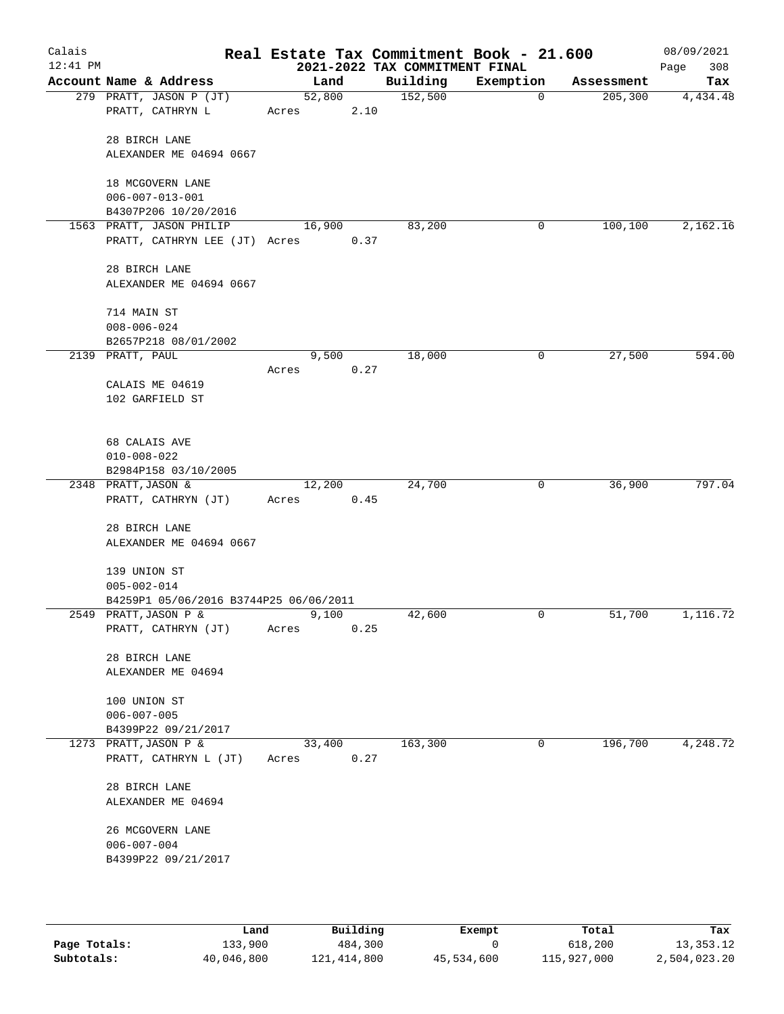| Calais<br>$12:41$ PM |                                              |                |      | Real Estate Tax Commitment Book - 21.600<br>2021-2022 TAX COMMITMENT FINAL |           |            | 08/09/2021<br>308<br>Page |
|----------------------|----------------------------------------------|----------------|------|----------------------------------------------------------------------------|-----------|------------|---------------------------|
|                      | Account Name & Address                       | Land           |      | Building                                                                   | Exemption | Assessment | Tax                       |
|                      | 279 PRATT, JASON P (JT)                      | 52,800         |      | 152,500                                                                    | 0         | 205, 300   | 4,434.48                  |
|                      | PRATT, CATHRYN L                             | Acres          | 2.10 |                                                                            |           |            |                           |
|                      | 28 BIRCH LANE                                |                |      |                                                                            |           |            |                           |
|                      | ALEXANDER ME 04694 0667                      |                |      |                                                                            |           |            |                           |
|                      |                                              |                |      |                                                                            |           |            |                           |
|                      | 18 MCGOVERN LANE                             |                |      |                                                                            |           |            |                           |
|                      | $006 - 007 - 013 - 001$                      |                |      |                                                                            |           |            |                           |
|                      | B4307P206 10/20/2016                         |                |      |                                                                            |           |            |                           |
|                      | 1563 PRATT, JASON PHILIP                     | 16,900         |      | 83,200                                                                     | 0         | 100,100    | 2,162.16                  |
|                      | PRATT, CATHRYN LEE (JT) Acres                |                | 0.37 |                                                                            |           |            |                           |
|                      | 28 BIRCH LANE                                |                |      |                                                                            |           |            |                           |
|                      | ALEXANDER ME 04694 0667                      |                |      |                                                                            |           |            |                           |
|                      |                                              |                |      |                                                                            |           |            |                           |
|                      | 714 MAIN ST                                  |                |      |                                                                            |           |            |                           |
|                      | $008 - 006 - 024$                            |                |      |                                                                            |           |            |                           |
|                      | B2657P218 08/01/2002                         |                |      |                                                                            |           |            |                           |
|                      | 2139 PRATT, PAUL                             | 9,500<br>Acres | 0.27 | 18,000                                                                     | 0         | 27,500     | 594.00                    |
|                      | CALAIS ME 04619                              |                |      |                                                                            |           |            |                           |
|                      | 102 GARFIELD ST                              |                |      |                                                                            |           |            |                           |
|                      |                                              |                |      |                                                                            |           |            |                           |
|                      | 68 CALAIS AVE                                |                |      |                                                                            |           |            |                           |
|                      | $010 - 008 - 022$                            |                |      |                                                                            |           |            |                           |
|                      | B2984P158 03/10/2005                         |                |      |                                                                            |           |            |                           |
|                      | 2348 PRATT, JASON &                          | 12,200         |      | 24,700                                                                     | 0         | 36,900     | 797.04                    |
|                      | PRATT, CATHRYN (JT)                          | Acres          | 0.45 |                                                                            |           |            |                           |
|                      | 28 BIRCH LANE                                |                |      |                                                                            |           |            |                           |
|                      | ALEXANDER ME 04694 0667                      |                |      |                                                                            |           |            |                           |
|                      |                                              |                |      |                                                                            |           |            |                           |
|                      | 139 UNION ST                                 |                |      |                                                                            |           |            |                           |
|                      | $005 - 002 - 014$                            |                |      |                                                                            |           |            |                           |
|                      | B4259P1 05/06/2016 B3744P25 06/06/2011       |                |      |                                                                            | 0         | 51,700     | 1,116.72                  |
|                      | 2549 PRATT, JASON P &<br>PRATT, CATHRYN (JT) | 9,100<br>Acres | 0.25 | 42,600                                                                     |           |            |                           |
|                      |                                              |                |      |                                                                            |           |            |                           |
|                      | 28 BIRCH LANE                                |                |      |                                                                            |           |            |                           |
|                      | ALEXANDER ME 04694                           |                |      |                                                                            |           |            |                           |
|                      |                                              |                |      |                                                                            |           |            |                           |
|                      | 100 UNION ST<br>$006 - 007 - 005$            |                |      |                                                                            |           |            |                           |
|                      | B4399P22 09/21/2017                          |                |      |                                                                            |           |            |                           |
|                      | 1273 PRATT, JASON P &                        | 33,400         |      | 163,300                                                                    | 0         | 196,700    | 4,248.72                  |
|                      | PRATT, CATHRYN L (JT)                        | Acres          | 0.27 |                                                                            |           |            |                           |
|                      | 28 BIRCH LANE                                |                |      |                                                                            |           |            |                           |
|                      | ALEXANDER ME 04694                           |                |      |                                                                            |           |            |                           |
|                      |                                              |                |      |                                                                            |           |            |                           |
|                      | 26 MCGOVERN LANE                             |                |      |                                                                            |           |            |                           |
|                      | $006 - 007 - 004$                            |                |      |                                                                            |           |            |                           |
|                      | B4399P22 09/21/2017                          |                |      |                                                                            |           |            |                           |
|                      |                                              |                |      |                                                                            |           |            |                           |
|                      |                                              |                |      |                                                                            |           |            |                           |

|              | Land       | Building    | Exempt     | Total       | Tax          |
|--------------|------------|-------------|------------|-------------|--------------|
| Page Totals: | 133,900    | 484,300     |            | 618,200     | 13, 353. 12  |
| Subtotals:   | 40,046,800 | 121,414,800 | 45,534,600 | 115,927,000 | 2,504,023.20 |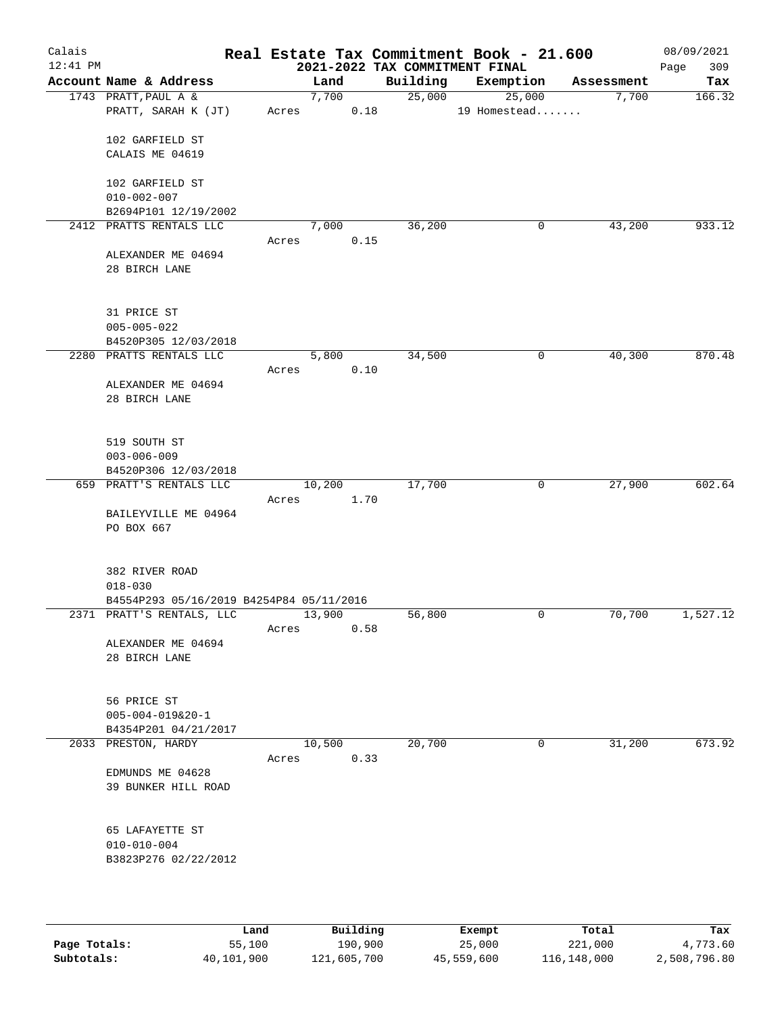| Calais<br>$12:41$ PM |                                          |       |        |      | 2021-2022 TAX COMMITMENT FINAL | Real Estate Tax Commitment Book - 21.600 |            | 08/09/2021<br>309<br>Page |
|----------------------|------------------------------------------|-------|--------|------|--------------------------------|------------------------------------------|------------|---------------------------|
|                      | Account Name & Address                   |       | Land   |      | Building                       | Exemption                                | Assessment | Tax                       |
|                      | 1743 PRATT, PAUL A &                     |       | 7,700  |      | 25,000                         | 25,000                                   | 7,700      | 166.32                    |
|                      | PRATT, SARAH K (JT)                      | Acres |        | 0.18 |                                | 19 Homestead                             |            |                           |
|                      | 102 GARFIELD ST                          |       |        |      |                                |                                          |            |                           |
|                      | CALAIS ME 04619                          |       |        |      |                                |                                          |            |                           |
|                      |                                          |       |        |      |                                |                                          |            |                           |
|                      | 102 GARFIELD ST                          |       |        |      |                                |                                          |            |                           |
|                      | $010 - 002 - 007$                        |       |        |      |                                |                                          |            |                           |
|                      | B2694P101 12/19/2002                     |       |        |      |                                |                                          |            |                           |
|                      | 2412 PRATTS RENTALS LLC                  |       | 7,000  |      | 36,200                         | 0                                        | 43,200     | 933.12                    |
|                      | ALEXANDER ME 04694                       | Acres |        | 0.15 |                                |                                          |            |                           |
|                      | 28 BIRCH LANE                            |       |        |      |                                |                                          |            |                           |
|                      |                                          |       |        |      |                                |                                          |            |                           |
|                      | 31 PRICE ST                              |       |        |      |                                |                                          |            |                           |
|                      | $005 - 005 - 022$                        |       |        |      |                                |                                          |            |                           |
|                      | B4520P305 12/03/2018                     |       |        |      |                                |                                          |            |                           |
|                      | 2280 PRATTS RENTALS LLC                  |       | 5,800  |      | 34,500                         | 0                                        | 40,300     | 870.48                    |
|                      |                                          | Acres |        | 0.10 |                                |                                          |            |                           |
|                      | ALEXANDER ME 04694                       |       |        |      |                                |                                          |            |                           |
|                      | 28 BIRCH LANE                            |       |        |      |                                |                                          |            |                           |
|                      |                                          |       |        |      |                                |                                          |            |                           |
|                      | 519 SOUTH ST                             |       |        |      |                                |                                          |            |                           |
|                      | $003 - 006 - 009$                        |       |        |      |                                |                                          |            |                           |
|                      | B4520P306 12/03/2018                     |       |        |      |                                |                                          |            | 602.64                    |
|                      | 659 PRATT'S RENTALS LLC                  | Acres | 10,200 | 1.70 | 17,700                         | $\mathbf 0$                              | 27,900     |                           |
|                      | BAILEYVILLE ME 04964                     |       |        |      |                                |                                          |            |                           |
|                      | PO BOX 667                               |       |        |      |                                |                                          |            |                           |
|                      |                                          |       |        |      |                                |                                          |            |                           |
|                      | 382 RIVER ROAD                           |       |        |      |                                |                                          |            |                           |
|                      | $018 - 030$                              |       |        |      |                                |                                          |            |                           |
|                      | B4554P293 05/16/2019 B4254P84 05/11/2016 |       |        |      |                                |                                          |            |                           |
|                      | 2371 PRATT'S RENTALS, LLC                |       | 13,900 |      | 56,800                         | $\mathbf 0$                              | 70,700     | 1,527.12                  |
|                      |                                          | Acres |        | 0.58 |                                |                                          |            |                           |
|                      | ALEXANDER ME 04694<br>28 BIRCH LANE      |       |        |      |                                |                                          |            |                           |
|                      |                                          |       |        |      |                                |                                          |            |                           |
|                      | 56 PRICE ST                              |       |        |      |                                |                                          |            |                           |
|                      | $005 - 004 - 019&20 - 1$                 |       |        |      |                                |                                          |            |                           |
|                      | B4354P201 04/21/2017                     |       |        |      |                                |                                          |            |                           |
|                      | 2033 PRESTON, HARDY                      |       | 10,500 |      | 20,700                         | 0                                        | 31,200     | 673.92                    |
|                      |                                          | Acres |        | 0.33 |                                |                                          |            |                           |
|                      | EDMUNDS ME 04628                         |       |        |      |                                |                                          |            |                           |
|                      | 39 BUNKER HILL ROAD                      |       |        |      |                                |                                          |            |                           |
|                      |                                          |       |        |      |                                |                                          |            |                           |
|                      | 65 LAFAYETTE ST                          |       |        |      |                                |                                          |            |                           |
|                      | $010 - 010 - 004$                        |       |        |      |                                |                                          |            |                           |
|                      | B3823P276 02/22/2012                     |       |        |      |                                |                                          |            |                           |
|                      |                                          |       |        |      |                                |                                          |            |                           |
|                      |                                          |       |        |      |                                |                                          |            |                           |

|              | Land       | Building    | Exempt     | Total       | Tax          |
|--------------|------------|-------------|------------|-------------|--------------|
| Page Totals: | 55,100     | 190,900     | 25,000     | 221,000     | 4,773.60     |
| Subtotals:   | 40,101,900 | 121,605,700 | 45,559,600 | 116,148,000 | 2,508,796.80 |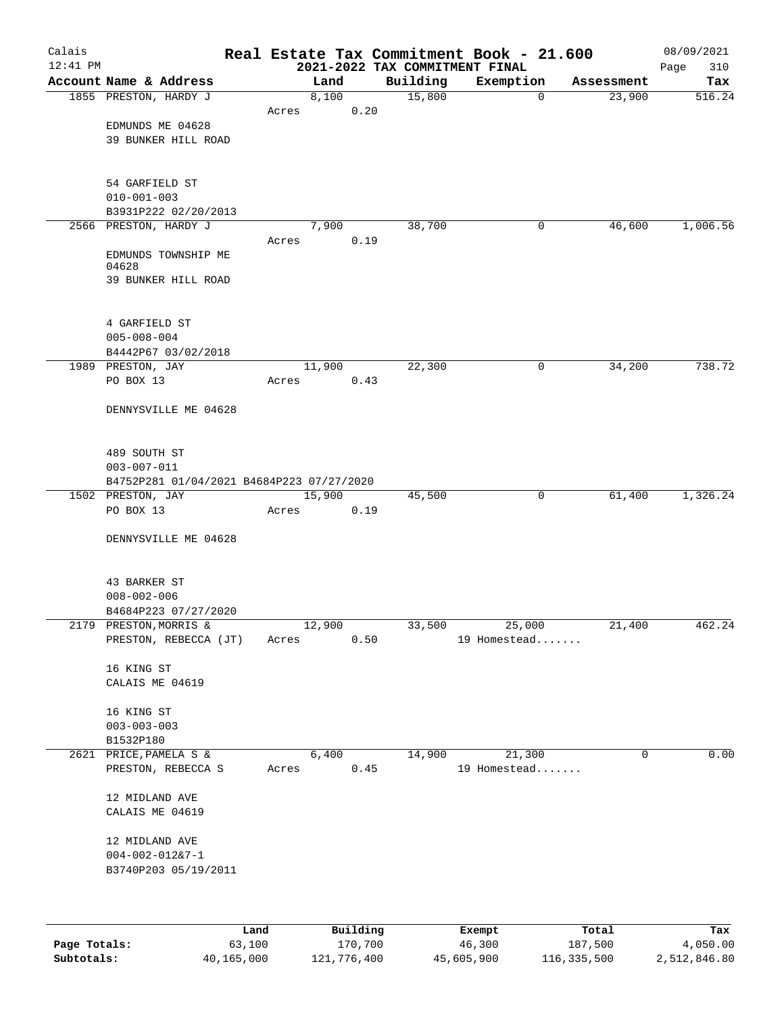| Calais     |                                                                |                 |               |                                | Real Estate Tax Commitment Book - 21.600 |                      | 08/09/2021    |
|------------|----------------------------------------------------------------|-----------------|---------------|--------------------------------|------------------------------------------|----------------------|---------------|
| $12:41$ PM | Account Name & Address                                         |                 |               | 2021-2022 TAX COMMITMENT FINAL |                                          |                      | 310<br>Page   |
|            | 1855 PRESTON, HARDY J                                          |                 | Land<br>8,100 | Building<br>15,800             | Exemption<br>$\mathbf 0$                 | Assessment<br>23,900 | Tax<br>516.24 |
|            |                                                                | Acres           | 0.20          |                                |                                          |                      |               |
|            | EDMUNDS ME 04628                                               |                 |               |                                |                                          |                      |               |
|            | <b>39 BUNKER HILL ROAD</b>                                     |                 |               |                                |                                          |                      |               |
|            |                                                                |                 |               |                                |                                          |                      |               |
|            |                                                                |                 |               |                                |                                          |                      |               |
|            | 54 GARFIELD ST                                                 |                 |               |                                |                                          |                      |               |
|            | $010 - 001 - 003$<br>B3931P222 02/20/2013                      |                 |               |                                |                                          |                      |               |
|            | 2566 PRESTON, HARDY J                                          |                 | 7,900         | 38,700                         | 0                                        | 46,600               | 1,006.56      |
|            |                                                                | Acres           | 0.19          |                                |                                          |                      |               |
|            | EDMUNDS TOWNSHIP ME<br>04628                                   |                 |               |                                |                                          |                      |               |
|            | 39 BUNKER HILL ROAD                                            |                 |               |                                |                                          |                      |               |
|            |                                                                |                 |               |                                |                                          |                      |               |
|            | 4 GARFIELD ST                                                  |                 |               |                                |                                          |                      |               |
|            | $005 - 008 - 004$                                              |                 |               |                                |                                          |                      |               |
|            | B4442P67 03/02/2018                                            |                 |               |                                |                                          |                      |               |
|            | 1989 PRESTON, JAY                                              | 11,900          |               | 22,300                         | 0                                        | 34,200               | 738.72        |
|            | PO BOX 13                                                      | Acres           | 0.43          |                                |                                          |                      |               |
|            | DENNYSVILLE ME 04628                                           |                 |               |                                |                                          |                      |               |
|            |                                                                |                 |               |                                |                                          |                      |               |
|            |                                                                |                 |               |                                |                                          |                      |               |
|            | 489 SOUTH ST                                                   |                 |               |                                |                                          |                      |               |
|            | $003 - 007 - 011$                                              |                 |               |                                |                                          |                      |               |
|            | B4752P281 01/04/2021 B4684P223 07/27/2020<br>1502 PRESTON, JAY | 15,900          |               | 45,500                         | 0                                        | 61,400               | 1,326.24      |
|            | PO BOX 13                                                      | Acres           | 0.19          |                                |                                          |                      |               |
|            |                                                                |                 |               |                                |                                          |                      |               |
|            | DENNYSVILLE ME 04628                                           |                 |               |                                |                                          |                      |               |
|            |                                                                |                 |               |                                |                                          |                      |               |
|            | 43 BARKER ST                                                   |                 |               |                                |                                          |                      |               |
|            | $008 - 002 - 006$                                              |                 |               |                                |                                          |                      |               |
|            | B4684P223 07/27/2020<br>2179 PRESTON, MORRIS &                 |                 |               |                                |                                          |                      |               |
|            | PRESTON, REBECCA (JT)                                          | 12,900<br>Acres | 0.50          | 33,500                         | 25,000<br>19 Homestead                   | 21,400               | 462.24        |
|            |                                                                |                 |               |                                |                                          |                      |               |
|            | 16 KING ST                                                     |                 |               |                                |                                          |                      |               |
|            | CALAIS ME 04619                                                |                 |               |                                |                                          |                      |               |
|            | 16 KING ST                                                     |                 |               |                                |                                          |                      |               |
|            | $003 - 003 - 003$                                              |                 |               |                                |                                          |                      |               |
|            | B1532P180                                                      |                 |               |                                |                                          |                      |               |
|            | 2621 PRICE, PAMELA S &                                         |                 | 6,400         | 14,900                         | 21,300                                   | 0                    | 0.00          |
|            | PRESTON, REBECCA S                                             | Acres           | 0.45          |                                | 19 Homestead                             |                      |               |
|            | 12 MIDLAND AVE                                                 |                 |               |                                |                                          |                      |               |
|            | CALAIS ME 04619                                                |                 |               |                                |                                          |                      |               |
|            |                                                                |                 |               |                                |                                          |                      |               |
|            | 12 MIDLAND AVE<br>$004 - 002 - 01287 - 1$                      |                 |               |                                |                                          |                      |               |
|            | B3740P203 05/19/2011                                           |                 |               |                                |                                          |                      |               |
|            |                                                                |                 |               |                                |                                          |                      |               |
|            |                                                                |                 |               |                                |                                          |                      |               |
|            | Land                                                           |                 | Building      |                                | Exempt                                   | Total                | Tax           |

|              | Land.      | Building    | Exempt     | тосат       | rax.         |
|--------------|------------|-------------|------------|-------------|--------------|
| Page Totals: | 63,100     | 170,700     | 46,300     | 187,500     | 4,050.00     |
| Subtotals:   | 40,165,000 | 121,776,400 | 45,605,900 | 116,335,500 | 2,512,846.80 |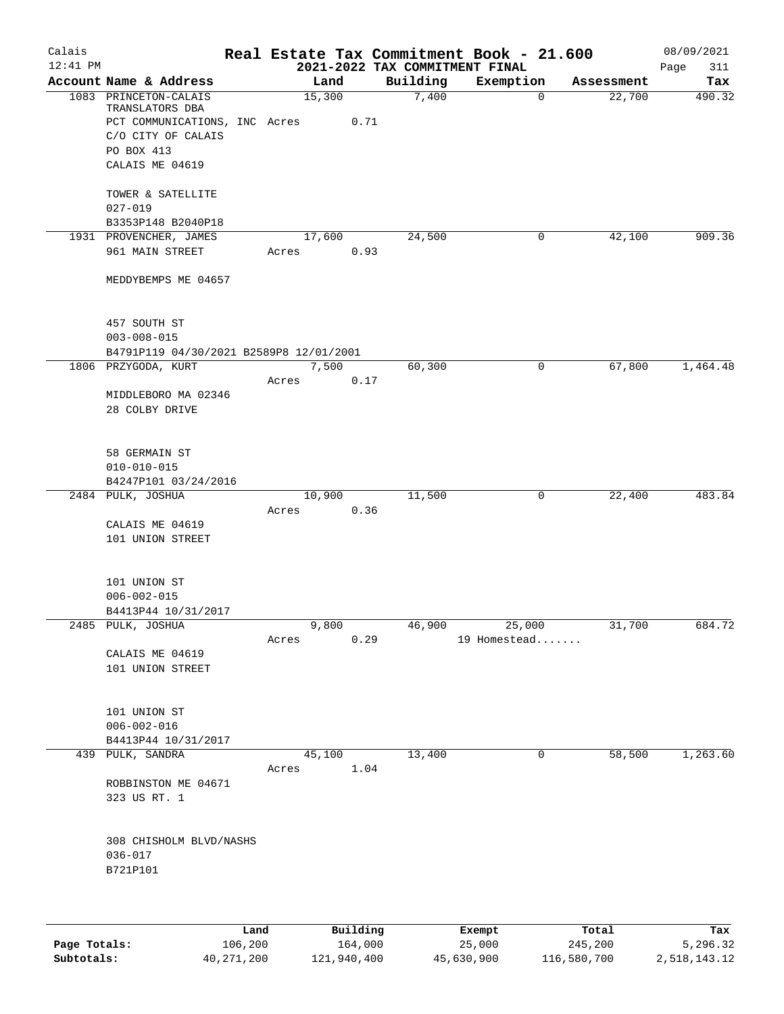| Calais     |                                                 |       |                |                                | Real Estate Tax Commitment Book - 21.600 |                      | 08/09/2021    |
|------------|-------------------------------------------------|-------|----------------|--------------------------------|------------------------------------------|----------------------|---------------|
| $12:41$ PM |                                                 |       |                | 2021-2022 TAX COMMITMENT FINAL |                                          |                      | Page<br>311   |
|            | Account Name & Address<br>1083 PRINCETON-CALAIS |       | Land<br>15,300 | Building<br>7,400              | Exemption<br>0                           | Assessment<br>22,700 | Tax<br>490.32 |
|            | TRANSLATORS DBA                                 |       |                |                                |                                          |                      |               |
|            | PCT COMMUNICATIONS, INC Acres                   |       | 0.71           |                                |                                          |                      |               |
|            | C/O CITY OF CALAIS                              |       |                |                                |                                          |                      |               |
|            | PO BOX 413                                      |       |                |                                |                                          |                      |               |
|            | CALAIS ME 04619                                 |       |                |                                |                                          |                      |               |
|            | TOWER & SATELLITE<br>$027 - 019$                |       |                |                                |                                          |                      |               |
|            | B3353P148 B2040P18                              |       |                |                                |                                          |                      |               |
|            | 1931 PROVENCHER, JAMES                          |       | 17,600         | 24,500                         | 0                                        | 42,100               | 909.36        |
|            | 961 MAIN STREET                                 | Acres | 0.93           |                                |                                          |                      |               |
|            | MEDDYBEMPS ME 04657                             |       |                |                                |                                          |                      |               |
|            | 457 SOUTH ST                                    |       |                |                                |                                          |                      |               |
|            | $003 - 008 - 015$                               |       |                |                                |                                          |                      |               |
|            | B4791P119 04/30/2021 B2589P8 12/01/2001         |       |                |                                |                                          |                      |               |
|            | 1806 PRZYGODA, KURT                             |       | 7,500          | 60,300                         | 0                                        | 67,800               | 1,464.48      |
|            |                                                 | Acres | 0.17           |                                |                                          |                      |               |
|            | MIDDLEBORO MA 02346<br>28 COLBY DRIVE           |       |                |                                |                                          |                      |               |
|            |                                                 |       |                |                                |                                          |                      |               |
|            | 58 GERMAIN ST                                   |       |                |                                |                                          |                      |               |
|            | $010 - 010 - 015$                               |       |                |                                |                                          |                      |               |
|            | B4247P101 03/24/2016                            |       |                |                                |                                          |                      |               |
|            | 2484 PULK, JOSHUA                               |       | 10,900         | 11,500                         | 0                                        | 22,400               | 483.84        |
|            |                                                 | Acres | 0.36           |                                |                                          |                      |               |
|            | CALAIS ME 04619<br>101 UNION STREET             |       |                |                                |                                          |                      |               |
|            |                                                 |       |                |                                |                                          |                      |               |
|            | 101 UNION ST                                    |       |                |                                |                                          |                      |               |
|            | $006 - 002 - 015$                               |       |                |                                |                                          |                      |               |
|            | B4413P44 10/31/2017                             |       |                |                                |                                          |                      |               |
|            | 2485 PULK, JOSHUA                               | Acres | 9,800<br>0.29  | 46,900                         | 25,000<br>19 Homestead                   | 31,700               | 684.72        |
|            | CALAIS ME 04619                                 |       |                |                                |                                          |                      |               |
|            | 101 UNION STREET                                |       |                |                                |                                          |                      |               |
|            |                                                 |       |                |                                |                                          |                      |               |
|            | 101 UNION ST                                    |       |                |                                |                                          |                      |               |
|            | $006 - 002 - 016$                               |       |                |                                |                                          |                      |               |
|            | B4413P44 10/31/2017                             |       |                |                                |                                          |                      |               |
|            | 439 PULK, SANDRA                                |       | 45,100         | 13,400                         | 0                                        | 58,500               | 1,263.60      |
|            |                                                 | Acres | 1.04           |                                |                                          |                      |               |
|            | ROBBINSTON ME 04671<br>323 US RT. 1             |       |                |                                |                                          |                      |               |
|            |                                                 |       |                |                                |                                          |                      |               |
|            | 308 CHISHOLM BLVD/NASHS                         |       |                |                                |                                          |                      |               |
|            | $036 - 017$                                     |       |                |                                |                                          |                      |               |
|            | B721P101                                        |       |                |                                |                                          |                      |               |
|            |                                                 |       |                |                                |                                          |                      |               |
|            | Land.                                           |       | Building       |                                | <b>Fromnt</b>                            | $T$ ctal             | <b>Tax</b>    |

|              | Land         | Building    | Exempt     | Total       | Tax          |
|--------------|--------------|-------------|------------|-------------|--------------|
| Page Totals: | 106,200      | 164,000     | 25,000     | 245,200     | 5,296.32     |
| Subtotals:   | 40, 271, 200 | 121,940,400 | 45,630,900 | 116,580,700 | 2,518,143.12 |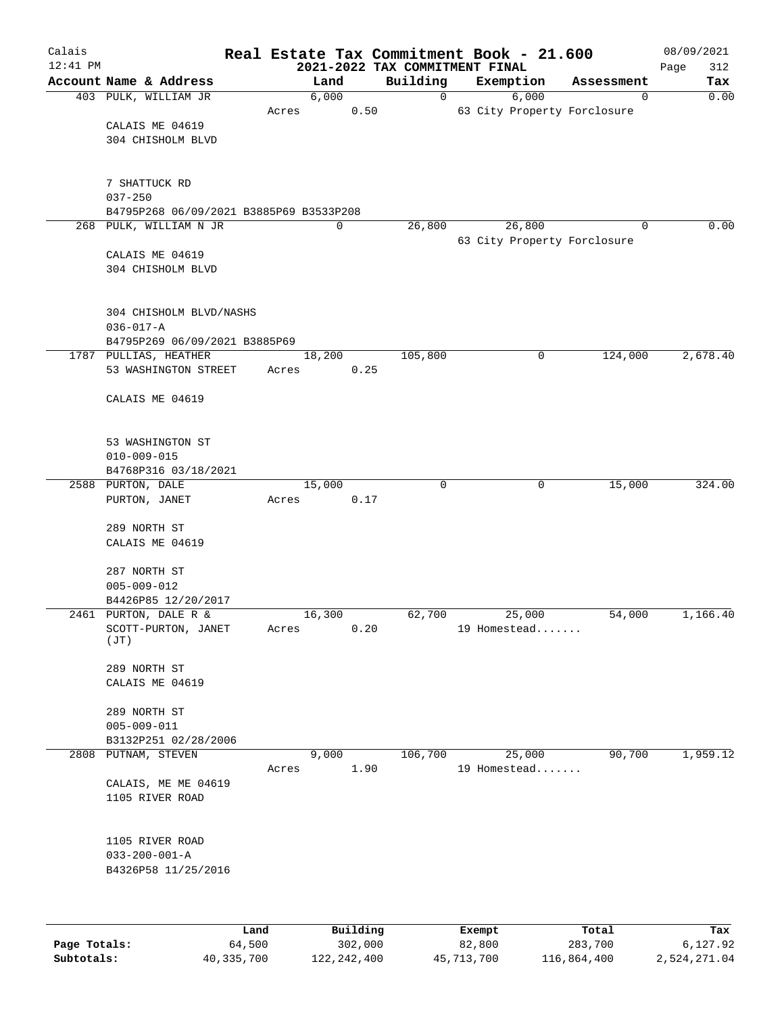| Calais       |                                         |       |        |          |      |                                            |        | Real Estate Tax Commitment Book - 21.600 |             | 08/09/2021         |
|--------------|-----------------------------------------|-------|--------|----------|------|--------------------------------------------|--------|------------------------------------------|-------------|--------------------|
| $12:41$ PM   | Account Name & Address                  |       |        | Land     |      | 2021-2022 TAX COMMITMENT FINAL<br>Building |        | Exemption                                | Assessment  | 312<br>Page<br>Tax |
|              | 403 PULK, WILLIAM JR                    |       |        | 6,000    |      | 0                                          |        | 6,000                                    | 0           | 0.00               |
|              |                                         | Acres |        |          | 0.50 |                                            |        | 63 City Property Forclosure              |             |                    |
|              | CALAIS ME 04619                         |       |        |          |      |                                            |        |                                          |             |                    |
|              | 304 CHISHOLM BLVD                       |       |        |          |      |                                            |        |                                          |             |                    |
|              |                                         |       |        |          |      |                                            |        |                                          |             |                    |
|              |                                         |       |        |          |      |                                            |        |                                          |             |                    |
|              | 7 SHATTUCK RD<br>$037 - 250$            |       |        |          |      |                                            |        |                                          |             |                    |
|              | B4795P268 06/09/2021 B3885P69 B3533P208 |       |        |          |      |                                            |        |                                          |             |                    |
|              | 268 PULK, WILLIAM N JR                  |       |        | 0        |      | 26,800                                     |        | 26,800                                   | $\mathbf 0$ | 0.00               |
|              |                                         |       |        |          |      |                                            |        | 63 City Property Forclosure              |             |                    |
|              | CALAIS ME 04619                         |       |        |          |      |                                            |        |                                          |             |                    |
|              | 304 CHISHOLM BLVD                       |       |        |          |      |                                            |        |                                          |             |                    |
|              |                                         |       |        |          |      |                                            |        |                                          |             |                    |
|              | 304 CHISHOLM BLVD/NASHS                 |       |        |          |      |                                            |        |                                          |             |                    |
|              | $036 - 017 - A$                         |       |        |          |      |                                            |        |                                          |             |                    |
|              | B4795P269 06/09/2021 B3885P69           |       |        |          |      |                                            |        |                                          |             |                    |
|              | 1787 PULLIAS, HEATHER                   |       |        | 18,200   |      | 105,800                                    |        | 0                                        | 124,000     | 2,678.40           |
|              | 53 WASHINGTON STREET                    | Acres |        |          | 0.25 |                                            |        |                                          |             |                    |
|              |                                         |       |        |          |      |                                            |        |                                          |             |                    |
|              | CALAIS ME 04619                         |       |        |          |      |                                            |        |                                          |             |                    |
|              |                                         |       |        |          |      |                                            |        |                                          |             |                    |
|              |                                         |       |        |          |      |                                            |        |                                          |             |                    |
|              | 53 WASHINGTON ST<br>$010 - 009 - 015$   |       |        |          |      |                                            |        |                                          |             |                    |
|              | B4768P316 03/18/2021                    |       |        |          |      |                                            |        |                                          |             |                    |
|              | 2588 PURTON, DALE                       |       | 15,000 |          |      | $\Omega$                                   |        | $\mathbf 0$                              | 15,000      | 324.00             |
|              | PURTON, JANET                           | Acres |        |          | 0.17 |                                            |        |                                          |             |                    |
|              |                                         |       |        |          |      |                                            |        |                                          |             |                    |
|              | 289 NORTH ST                            |       |        |          |      |                                            |        |                                          |             |                    |
|              | CALAIS ME 04619                         |       |        |          |      |                                            |        |                                          |             |                    |
|              | 287 NORTH ST                            |       |        |          |      |                                            |        |                                          |             |                    |
|              | $005 - 009 - 012$                       |       |        |          |      |                                            |        |                                          |             |                    |
|              | B4426P85 12/20/2017                     |       |        |          |      |                                            |        |                                          |             |                    |
|              | 2461 PURTON, DALE R &                   |       | 16,300 |          |      | 62,700                                     |        | 25,000                                   | 54,000      | 1,166.40           |
|              | SCOTT-PURTON, JANET                     | Acres |        |          | 0.20 |                                            |        | 19 Homestead                             |             |                    |
|              | (JT)                                    |       |        |          |      |                                            |        |                                          |             |                    |
|              | 289 NORTH ST                            |       |        |          |      |                                            |        |                                          |             |                    |
|              | CALAIS ME 04619                         |       |        |          |      |                                            |        |                                          |             |                    |
|              |                                         |       |        |          |      |                                            |        |                                          |             |                    |
|              | 289 NORTH ST                            |       |        |          |      |                                            |        |                                          |             |                    |
|              | $005 - 009 - 011$                       |       |        |          |      |                                            |        |                                          |             |                    |
|              | B3132P251 02/28/2006                    |       |        |          |      |                                            |        |                                          |             |                    |
|              | 2808 PUTNAM, STEVEN                     |       |        | 9,000    |      | 106,700                                    |        | 25,000                                   | 90,700      | 1,959.12           |
|              | CALAIS, ME ME 04619                     | Acres |        |          | 1.90 |                                            |        | 19 Homestead                             |             |                    |
|              | 1105 RIVER ROAD                         |       |        |          |      |                                            |        |                                          |             |                    |
|              |                                         |       |        |          |      |                                            |        |                                          |             |                    |
|              |                                         |       |        |          |      |                                            |        |                                          |             |                    |
|              | 1105 RIVER ROAD                         |       |        |          |      |                                            |        |                                          |             |                    |
|              | $033 - 200 - 001 - A$                   |       |        |          |      |                                            |        |                                          |             |                    |
|              | B4326P58 11/25/2016                     |       |        |          |      |                                            |        |                                          |             |                    |
|              |                                         |       |        |          |      |                                            |        |                                          |             |                    |
|              |                                         |       |        |          |      |                                            |        |                                          |             |                    |
|              | Land                                    |       |        | Building |      |                                            | Exempt |                                          | Total       | Tax                |
| Page Totals: | 64,500                                  |       |        | 302,000  |      |                                            | 82,800 |                                          | 283,700     | 6,127.92           |

**Subtotals:** 40,335,700 122,242,400 45,713,700 116,864,400 2,524,271.04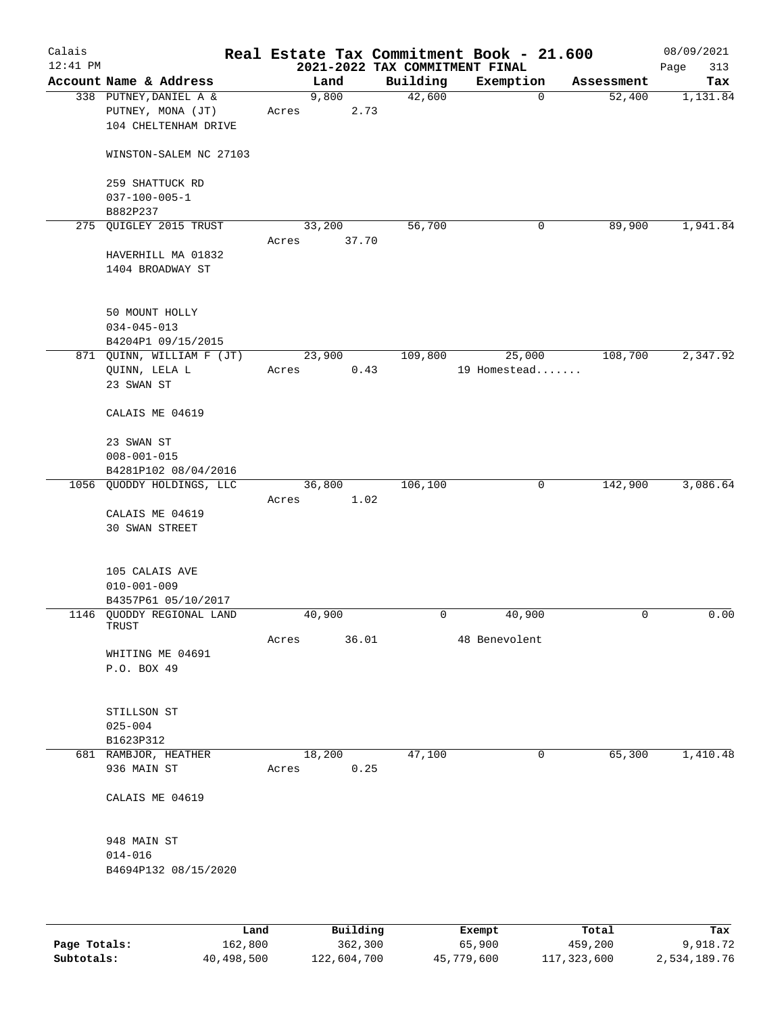| Calais     |                                                                     |       |                |                                | Real Estate Tax Commitment Book - 21.600 |            | 08/09/2021  |
|------------|---------------------------------------------------------------------|-------|----------------|--------------------------------|------------------------------------------|------------|-------------|
| $12:41$ PM |                                                                     |       |                | 2021-2022 TAX COMMITMENT FINAL |                                          |            | 313<br>Page |
|            | Account Name & Address                                              |       | Land           | Building                       | Exemption                                | Assessment | Tax         |
|            | 338 PUTNEY, DANIEL A &<br>PUTNEY, MONA (JT)<br>104 CHELTENHAM DRIVE | Acres | 9,800<br>2.73  | 42,600                         | $\mathbf 0$                              | 52,400     | 1,131.84    |
|            | WINSTON-SALEM NC 27103                                              |       |                |                                |                                          |            |             |
|            | 259 SHATTUCK RD<br>$037 - 100 - 005 - 1$                            |       |                |                                |                                          |            |             |
|            | B882P237<br>275 QUIGLEY 2015 TRUST                                  |       | 33,200         | 56,700                         | 0                                        | 89,900     | 1,941.84    |
|            |                                                                     | Acres | 37.70          |                                |                                          |            |             |
|            | HAVERHILL MA 01832<br>1404 BROADWAY ST                              |       |                |                                |                                          |            |             |
|            | 50 MOUNT HOLLY<br>$034 - 045 - 013$<br>B4204P1 09/15/2015           |       |                |                                |                                          |            |             |
|            | 871 QUINN, WILLIAM F (JT)                                           |       | 23,900         | 109,800                        | 25,000                                   | 108,700    | 2,347.92    |
|            | QUINN, LELA L<br>23 SWAN ST                                         | Acres | 0.43           |                                | 19 Homestead                             |            |             |
|            | CALAIS ME 04619                                                     |       |                |                                |                                          |            |             |
|            | 23 SWAN ST                                                          |       |                |                                |                                          |            |             |
|            | $008 - 001 - 015$                                                   |       |                |                                |                                          |            |             |
|            | B4281P102 08/04/2016                                                |       |                |                                |                                          |            |             |
|            | 1056 QUODDY HOLDINGS, LLC                                           |       | 36,800         | 106,100                        | 0                                        | 142,900    | 3,086.64    |
|            |                                                                     | Acres | 1.02           |                                |                                          |            |             |
|            | CALAIS ME 04619<br><b>30 SWAN STREET</b>                            |       |                |                                |                                          |            |             |
|            | 105 CALAIS AVE<br>$010 - 001 - 009$<br>B4357P61 05/10/2017          |       |                |                                |                                          |            |             |
|            | 1146 QUODDY REGIONAL LAND                                           |       | 40,900         | 0                              | 40,900                                   | 0          | 0.00        |
|            | TRUST                                                               |       | 36.01          |                                | 48 Benevolent                            |            |             |
|            | WHITING ME 04691<br>P.O. BOX 49                                     | Acres |                |                                |                                          |            |             |
|            | STILLSON ST<br>$025 - 004$                                          |       |                |                                |                                          |            |             |
|            | B1623P312                                                           |       |                | 47,100                         | 0                                        | 65,300     | 1,410.48    |
|            | 681 RAMBJOR, HEATHER<br>936 MAIN ST                                 | Acres | 18,200<br>0.25 |                                |                                          |            |             |
|            | CALAIS ME 04619                                                     |       |                |                                |                                          |            |             |
|            | 948 MAIN ST<br>$014 - 016$<br>B4694P132 08/15/2020                  |       |                |                                |                                          |            |             |
|            |                                                                     |       |                |                                |                                          |            |             |
|            | Land                                                                |       | Building       |                                | Exempt                                   | Total      | Tax         |

|              | -------    |             | -------    | ------      | -------      |
|--------------|------------|-------------|------------|-------------|--------------|
| Page Totals: | 162,800    | 362,300     | 65,900     | 459,200     | 9,918.72     |
| Subtotals:   | 40,498,500 | 122,604,700 | 45,779,600 | 117,323,600 | 2,534,189.76 |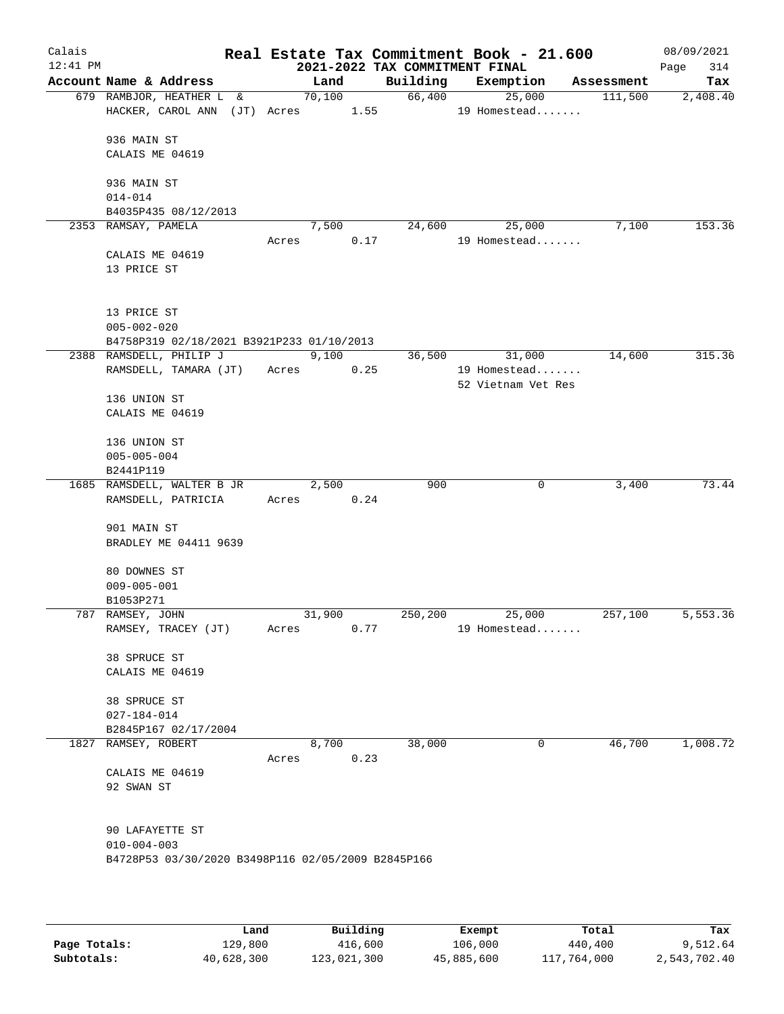| Calais     |                                                    |  |       |        |      |                                | Real Estate Tax Commitment Book - 21.600 |            | 08/09/2021  |
|------------|----------------------------------------------------|--|-------|--------|------|--------------------------------|------------------------------------------|------------|-------------|
| $12:41$ PM |                                                    |  |       |        |      | 2021-2022 TAX COMMITMENT FINAL |                                          |            | 314<br>Page |
|            | Account Name & Address                             |  |       | Land   |      |                                | Building Exemption                       | Assessment | Tax         |
|            | 679 RAMBJOR, HEATHER L &                           |  |       | 70,100 |      | 66,400                         | 25,000                                   | 111,500    | 2,408.40    |
|            | HACKER, CAROL ANN (JT) Acres 1.55                  |  |       |        |      |                                | 19 Homestead                             |            |             |
|            |                                                    |  |       |        |      |                                |                                          |            |             |
|            | 936 MAIN ST                                        |  |       |        |      |                                |                                          |            |             |
|            | CALAIS ME 04619                                    |  |       |        |      |                                |                                          |            |             |
|            |                                                    |  |       |        |      |                                |                                          |            |             |
|            | 936 MAIN ST                                        |  |       |        |      |                                |                                          |            |             |
|            | $014 - 014$                                        |  |       |        |      |                                |                                          |            |             |
|            | B4035P435 08/12/2013<br>2353 RAMSAY, PAMELA        |  |       | 7,500  |      | 24,600                         | 25,000                                   | 7,100      | 153.36      |
|            |                                                    |  | Acres |        | 0.17 |                                | 19 Homestead                             |            |             |
|            | CALAIS ME 04619                                    |  |       |        |      |                                |                                          |            |             |
|            | 13 PRICE ST                                        |  |       |        |      |                                |                                          |            |             |
|            |                                                    |  |       |        |      |                                |                                          |            |             |
|            |                                                    |  |       |        |      |                                |                                          |            |             |
|            | 13 PRICE ST                                        |  |       |        |      |                                |                                          |            |             |
|            | $005 - 002 - 020$                                  |  |       |        |      |                                |                                          |            |             |
|            | B4758P319 02/18/2021 B3921P233 01/10/2013          |  |       |        |      |                                |                                          |            |             |
|            | 2388 RAMSDELL, PHILIP J                            |  |       | 9,100  |      | 36,500                         | 31,000                                   | 14,600     | 315.36      |
|            | RAMSDELL, TAMARA (JT)                              |  | Acres |        | 0.25 |                                | 19 Homestead                             |            |             |
|            |                                                    |  |       |        |      |                                | 52 Vietnam Vet Res                       |            |             |
|            | 136 UNION ST                                       |  |       |        |      |                                |                                          |            |             |
|            | CALAIS ME 04619                                    |  |       |        |      |                                |                                          |            |             |
|            |                                                    |  |       |        |      |                                |                                          |            |             |
|            | 136 UNION ST                                       |  |       |        |      |                                |                                          |            |             |
|            | $005 - 005 - 004$                                  |  |       |        |      |                                |                                          |            |             |
|            | B2441P119                                          |  |       |        |      |                                |                                          |            |             |
|            | 1685 RAMSDELL, WALTER B JR                         |  |       | 2,500  |      | 900                            | 0                                        | 3,400      | 73.44       |
|            | RAMSDELL, PATRICIA                                 |  | Acres |        | 0.24 |                                |                                          |            |             |
|            |                                                    |  |       |        |      |                                |                                          |            |             |
|            | 901 MAIN ST                                        |  |       |        |      |                                |                                          |            |             |
|            | BRADLEY ME 04411 9639                              |  |       |        |      |                                |                                          |            |             |
|            | 80 DOWNES ST                                       |  |       |        |      |                                |                                          |            |             |
|            | $009 - 005 - 001$                                  |  |       |        |      |                                |                                          |            |             |
|            | B1053P271                                          |  |       |        |      |                                |                                          |            |             |
|            | 787 RAMSEY, JOHN                                   |  |       | 31,900 |      | 250,200                        | 25,000                                   | 257,100    | 5,553.36    |
|            | RAMSEY, TRACEY (JT)                                |  | Acres |        | 0.77 |                                | 19 Homestead                             |            |             |
|            |                                                    |  |       |        |      |                                |                                          |            |             |
|            | 38 SPRUCE ST                                       |  |       |        |      |                                |                                          |            |             |
|            | CALAIS ME 04619                                    |  |       |        |      |                                |                                          |            |             |
|            |                                                    |  |       |        |      |                                |                                          |            |             |
|            | 38 SPRUCE ST                                       |  |       |        |      |                                |                                          |            |             |
|            | $027 - 184 - 014$                                  |  |       |        |      |                                |                                          |            |             |
|            | B2845P167 02/17/2004                               |  |       |        |      |                                |                                          |            |             |
|            | 1827 RAMSEY, ROBERT                                |  |       | 8,700  |      | 38,000                         | 0                                        | 46,700     | 1,008.72    |
|            |                                                    |  | Acres |        | 0.23 |                                |                                          |            |             |
|            | CALAIS ME 04619                                    |  |       |        |      |                                |                                          |            |             |
|            | 92 SWAN ST                                         |  |       |        |      |                                |                                          |            |             |
|            |                                                    |  |       |        |      |                                |                                          |            |             |
|            |                                                    |  |       |        |      |                                |                                          |            |             |
|            | 90 LAFAYETTE ST<br>$010 - 004 - 003$               |  |       |        |      |                                |                                          |            |             |
|            | B4728P53 03/30/2020 B3498P116 02/05/2009 B2845P166 |  |       |        |      |                                |                                          |            |             |
|            |                                                    |  |       |        |      |                                |                                          |            |             |
|            |                                                    |  |       |        |      |                                |                                          |            |             |
|            |                                                    |  |       |        |      |                                |                                          |            |             |
|            |                                                    |  |       |        |      |                                |                                          |            |             |

|              | Land       | Building    | Exempt     | Total       | Tax          |
|--------------|------------|-------------|------------|-------------|--------------|
| Page Totals: | 129,800    | 416,600     | 106,000    | 440,400     | 9,512.64     |
| Subtotals:   | 40,628,300 | 123,021,300 | 45,885,600 | 117,764,000 | 2,543,702.40 |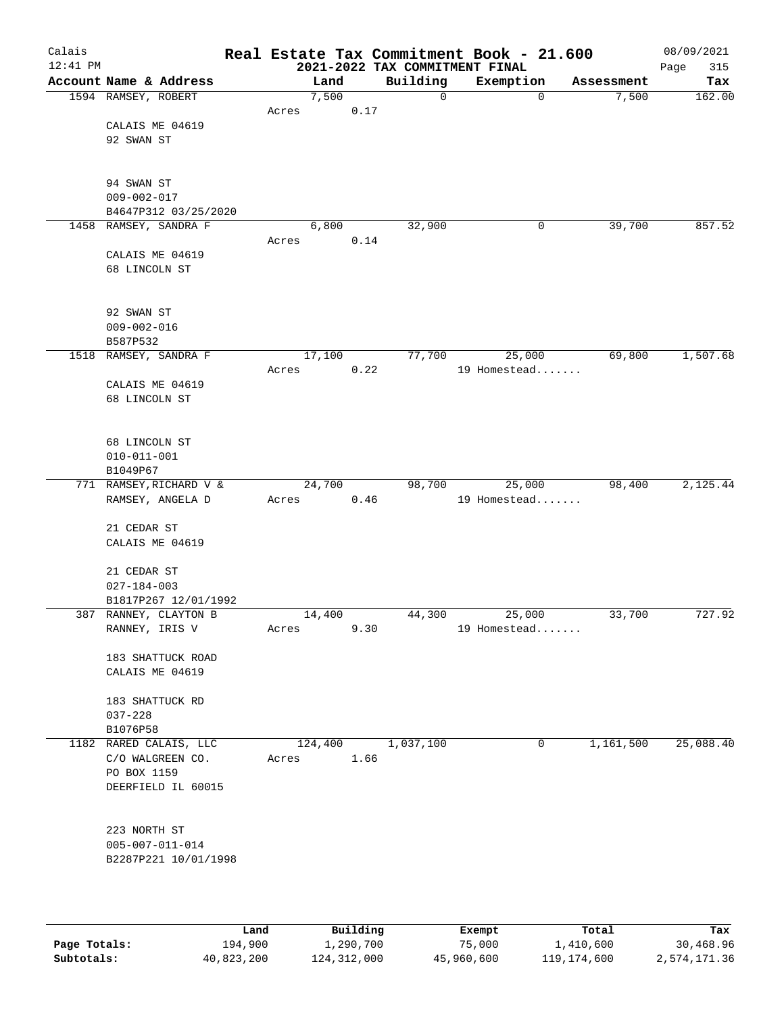| $12:41$ PM |                               |       |         |      | Real Estate Tax Commitment Book - 21.600<br>2021-2022 TAX COMMITMENT FINAL |              |             |            |           | 08/09/2021<br>315<br>Page |
|------------|-------------------------------|-------|---------|------|----------------------------------------------------------------------------|--------------|-------------|------------|-----------|---------------------------|
|            | Account Name & Address        |       | Land    |      | Building                                                                   | Exemption    |             | Assessment |           | Tax                       |
|            | 1594 RAMSEY, ROBERT           |       | 7,500   |      | 0                                                                          |              | $\mathbf 0$ |            | 7,500     | 162.00                    |
|            |                               | Acres |         | 0.17 |                                                                            |              |             |            |           |                           |
|            | CALAIS ME 04619               |       |         |      |                                                                            |              |             |            |           |                           |
|            | 92 SWAN ST                    |       |         |      |                                                                            |              |             |            |           |                           |
|            |                               |       |         |      |                                                                            |              |             |            |           |                           |
|            |                               |       |         |      |                                                                            |              |             |            |           |                           |
|            | 94 SWAN ST                    |       |         |      |                                                                            |              |             |            |           |                           |
|            | $009 - 002 - 017$             |       |         |      |                                                                            |              |             |            |           |                           |
|            | B4647P312 03/25/2020          |       |         |      |                                                                            |              |             |            |           |                           |
| 1458       | RAMSEY, SANDRA F              |       | 6,800   |      | 32,900                                                                     |              | 0           |            | 39,700    | 857.52                    |
|            |                               | Acres |         | 0.14 |                                                                            |              |             |            |           |                           |
|            | CALAIS ME 04619               |       |         |      |                                                                            |              |             |            |           |                           |
|            | 68 LINCOLN ST                 |       |         |      |                                                                            |              |             |            |           |                           |
|            |                               |       |         |      |                                                                            |              |             |            |           |                           |
|            |                               |       |         |      |                                                                            |              |             |            |           |                           |
|            | 92 SWAN ST                    |       |         |      |                                                                            |              |             |            |           |                           |
|            | $009 - 002 - 016$<br>B587P532 |       |         |      |                                                                            |              |             |            |           |                           |
| 1518       | RAMSEY, SANDRA F              |       | 17,100  |      | 77,700                                                                     |              | 25,000      |            | 69,800    | 1,507.68                  |
|            |                               | Acres |         | 0.22 |                                                                            | 19 Homestead |             |            |           |                           |
|            | CALAIS ME 04619               |       |         |      |                                                                            |              |             |            |           |                           |
|            | 68 LINCOLN ST                 |       |         |      |                                                                            |              |             |            |           |                           |
|            |                               |       |         |      |                                                                            |              |             |            |           |                           |
|            |                               |       |         |      |                                                                            |              |             |            |           |                           |
|            | 68 LINCOLN ST                 |       |         |      |                                                                            |              |             |            |           |                           |
|            | $010 - 011 - 001$             |       |         |      |                                                                            |              |             |            |           |                           |
|            | B1049P67                      |       |         |      |                                                                            |              |             |            |           |                           |
|            | 771 RAMSEY, RICHARD V &       |       | 24,700  |      | 98,700                                                                     |              | 25,000      |            | 98,400    | 2,125.44                  |
|            | RAMSEY, ANGELA D              | Acres |         | 0.46 |                                                                            | 19 Homestead |             |            |           |                           |
|            |                               |       |         |      |                                                                            |              |             |            |           |                           |
|            | 21 CEDAR ST                   |       |         |      |                                                                            |              |             |            |           |                           |
|            | CALAIS ME 04619               |       |         |      |                                                                            |              |             |            |           |                           |
|            | 21 CEDAR ST                   |       |         |      |                                                                            |              |             |            |           |                           |
|            | $027 - 184 - 003$             |       |         |      |                                                                            |              |             |            |           |                           |
|            | B1817P267 12/01/1992          |       |         |      |                                                                            |              |             |            |           |                           |
|            | 387 RANNEY, CLAYTON B         |       | 14,400  |      | 44,300                                                                     |              | 25,000      |            | 33,700    | 727.92                    |
|            | RANNEY, IRIS V                | Acres |         | 9.30 |                                                                            | 19 Homestead |             |            |           |                           |
|            |                               |       |         |      |                                                                            |              |             |            |           |                           |
|            | 183 SHATTUCK ROAD             |       |         |      |                                                                            |              |             |            |           |                           |
|            | CALAIS ME 04619               |       |         |      |                                                                            |              |             |            |           |                           |
|            |                               |       |         |      |                                                                            |              |             |            |           |                           |
|            | 183 SHATTUCK RD               |       |         |      |                                                                            |              |             |            |           |                           |
|            | $037 - 228$                   |       |         |      |                                                                            |              |             |            |           |                           |
|            | B1076P58                      |       |         |      |                                                                            |              |             |            |           |                           |
|            | 1182 RARED CALAIS, LLC        |       | 124,400 |      | 1,037,100                                                                  |              | 0           |            | 1,161,500 | 25,088.40                 |
|            | C/O WALGREEN CO.              | Acres |         | 1.66 |                                                                            |              |             |            |           |                           |
|            | PO BOX 1159                   |       |         |      |                                                                            |              |             |            |           |                           |
|            | DEERFIELD IL 60015            |       |         |      |                                                                            |              |             |            |           |                           |
|            |                               |       |         |      |                                                                            |              |             |            |           |                           |
|            | 223 NORTH ST                  |       |         |      |                                                                            |              |             |            |           |                           |
|            | $005 - 007 - 011 - 014$       |       |         |      |                                                                            |              |             |            |           |                           |
|            | B2287P221 10/01/1998          |       |         |      |                                                                            |              |             |            |           |                           |
|            |                               |       |         |      |                                                                            |              |             |            |           |                           |
|            |                               |       |         |      |                                                                            |              |             |            |           |                           |
|            |                               |       |         |      |                                                                            |              |             |            |           |                           |

|              | Land       | Building    | Exempt     | Total       | Tax          |
|--------------|------------|-------------|------------|-------------|--------------|
| Page Totals: | 194,900    | 1,290,700   | 75,000     | 1,410,600   | 30,468.96    |
| Subtotals:   | 40,823,200 | 124,312,000 | 45,960,600 | 119,174,600 | 2,574,171.36 |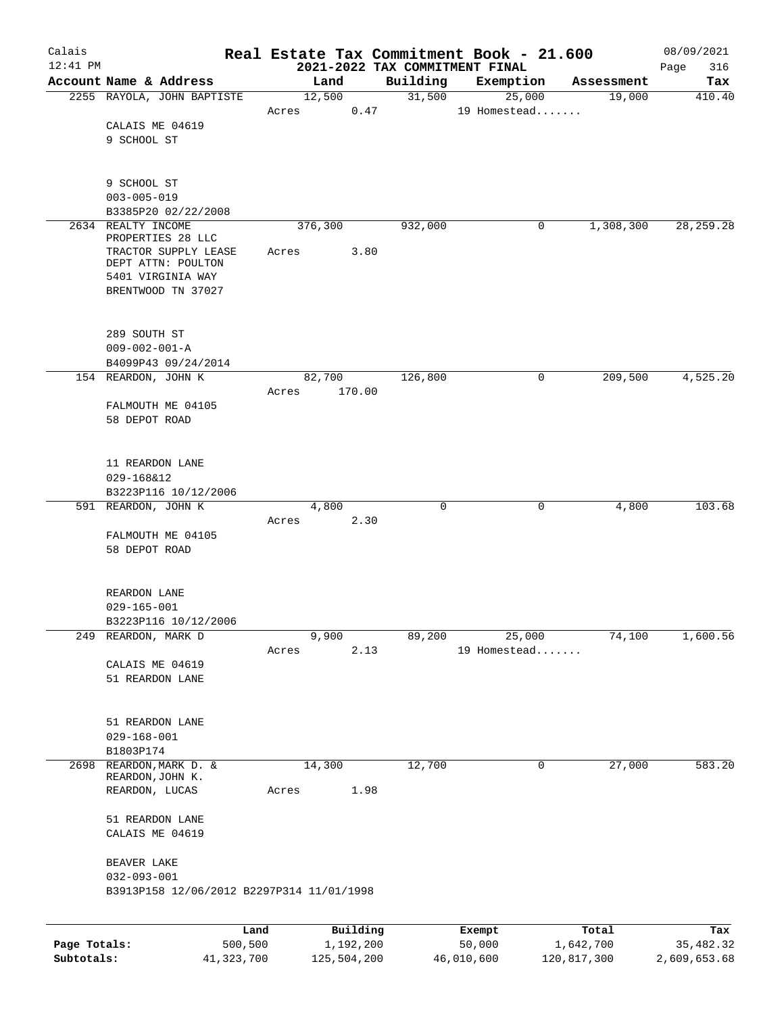| Calais<br>$12:41$ PM       |                                           |       |                          | 2021-2022 TAX COMMITMENT FINAL | Real Estate Tax Commitment Book - 21.600 |                          | 08/09/2021<br>316<br>Page |
|----------------------------|-------------------------------------------|-------|--------------------------|--------------------------------|------------------------------------------|--------------------------|---------------------------|
|                            | Account Name & Address                    |       | Land                     | Building                       | Exemption                                | Assessment               | Tax                       |
|                            | 2255 RAYOLA, JOHN BAPTISTE                |       | 12,500                   | 31,500                         | 25,000                                   | 19,000                   | 410.40                    |
|                            |                                           | Acres | 0.47                     |                                | 19 Homestead                             |                          |                           |
|                            | CALAIS ME 04619                           |       |                          |                                |                                          |                          |                           |
|                            | 9 SCHOOL ST                               |       |                          |                                |                                          |                          |                           |
|                            |                                           |       |                          |                                |                                          |                          |                           |
|                            |                                           |       |                          |                                |                                          |                          |                           |
|                            | 9 SCHOOL ST<br>$003 - 005 - 019$          |       |                          |                                |                                          |                          |                           |
|                            | B3385P20 02/22/2008                       |       |                          |                                |                                          |                          |                           |
|                            | 2634 REALTY INCOME                        |       | 376,300                  | 932,000                        | 0                                        | 1,308,300                | 28, 259. 28               |
|                            | PROPERTIES 28 LLC                         |       |                          |                                |                                          |                          |                           |
|                            | TRACTOR SUPPLY LEASE                      | Acres | 3.80                     |                                |                                          |                          |                           |
|                            | DEPT ATTN: POULTON<br>5401 VIRGINIA WAY   |       |                          |                                |                                          |                          |                           |
|                            | BRENTWOOD TN 37027                        |       |                          |                                |                                          |                          |                           |
|                            |                                           |       |                          |                                |                                          |                          |                           |
|                            |                                           |       |                          |                                |                                          |                          |                           |
|                            | 289 SOUTH ST                              |       |                          |                                |                                          |                          |                           |
|                            | $009 - 002 - 001 - A$                     |       |                          |                                |                                          |                          |                           |
|                            | B4099P43 09/24/2014                       |       |                          |                                |                                          |                          |                           |
|                            | 154 REARDON, JOHN K                       |       | 82,700                   | 126,800                        | 0                                        | 209,500                  | 4,525.20                  |
|                            |                                           | Acres | 170.00                   |                                |                                          |                          |                           |
|                            | FALMOUTH ME 04105<br>58 DEPOT ROAD        |       |                          |                                |                                          |                          |                           |
|                            |                                           |       |                          |                                |                                          |                          |                           |
|                            |                                           |       |                          |                                |                                          |                          |                           |
|                            | 11 REARDON LANE                           |       |                          |                                |                                          |                          |                           |
|                            | 029-168&12                                |       |                          |                                |                                          |                          |                           |
|                            | B3223P116 10/12/2006                      |       |                          |                                |                                          |                          |                           |
|                            | 591 REARDON, JOHN K                       |       | 4,800                    | $\mathbf 0$                    | 0                                        | 4,800                    | 103.68                    |
|                            |                                           | Acres | 2.30                     |                                |                                          |                          |                           |
|                            | FALMOUTH ME 04105<br>58 DEPOT ROAD        |       |                          |                                |                                          |                          |                           |
|                            |                                           |       |                          |                                |                                          |                          |                           |
|                            |                                           |       |                          |                                |                                          |                          |                           |
|                            | REARDON LANE                              |       |                          |                                |                                          |                          |                           |
|                            | $029 - 165 - 001$                         |       |                          |                                |                                          |                          |                           |
|                            | B3223P116 10/12/2006                      |       |                          |                                |                                          |                          |                           |
| 249                        | REARDON, MARK D                           |       | 9,900                    | 89,200                         | 25,000                                   | 74,100                   | 1,600.56                  |
|                            |                                           | Acres | 2.13                     |                                | 19 Homestead                             |                          |                           |
|                            | CALAIS ME 04619<br>51 REARDON LANE        |       |                          |                                |                                          |                          |                           |
|                            |                                           |       |                          |                                |                                          |                          |                           |
|                            |                                           |       |                          |                                |                                          |                          |                           |
|                            | 51 REARDON LANE                           |       |                          |                                |                                          |                          |                           |
|                            | $029 - 168 - 001$                         |       |                          |                                |                                          |                          |                           |
|                            | B1803P174                                 |       |                          |                                |                                          |                          |                           |
| 2698                       | REARDON, MARK D. &                        |       | 14,300                   | 12,700                         | 0                                        | 27,000                   | 583.20                    |
|                            | REARDON, JOHN K.<br>REARDON, LUCAS        | Acres | 1.98                     |                                |                                          |                          |                           |
|                            |                                           |       |                          |                                |                                          |                          |                           |
|                            | 51 REARDON LANE                           |       |                          |                                |                                          |                          |                           |
|                            | CALAIS ME 04619                           |       |                          |                                |                                          |                          |                           |
|                            |                                           |       |                          |                                |                                          |                          |                           |
|                            | BEAVER LAKE                               |       |                          |                                |                                          |                          |                           |
|                            | $032 - 093 - 001$                         |       |                          |                                |                                          |                          |                           |
|                            | B3913P158 12/06/2012 B2297P314 11/01/1998 |       |                          |                                |                                          |                          |                           |
|                            |                                           |       |                          |                                |                                          |                          |                           |
|                            | Land                                      |       | Building                 |                                | Exempt                                   | Total                    | Tax                       |
| Page Totals:<br>Subtotals: | 500,500<br>41, 323, 700                   |       | 1,192,200<br>125,504,200 |                                | 50,000<br>46,010,600                     | 1,642,700<br>120,817,300 | 35,482.32<br>2,609,653.68 |
|                            |                                           |       |                          |                                |                                          |                          |                           |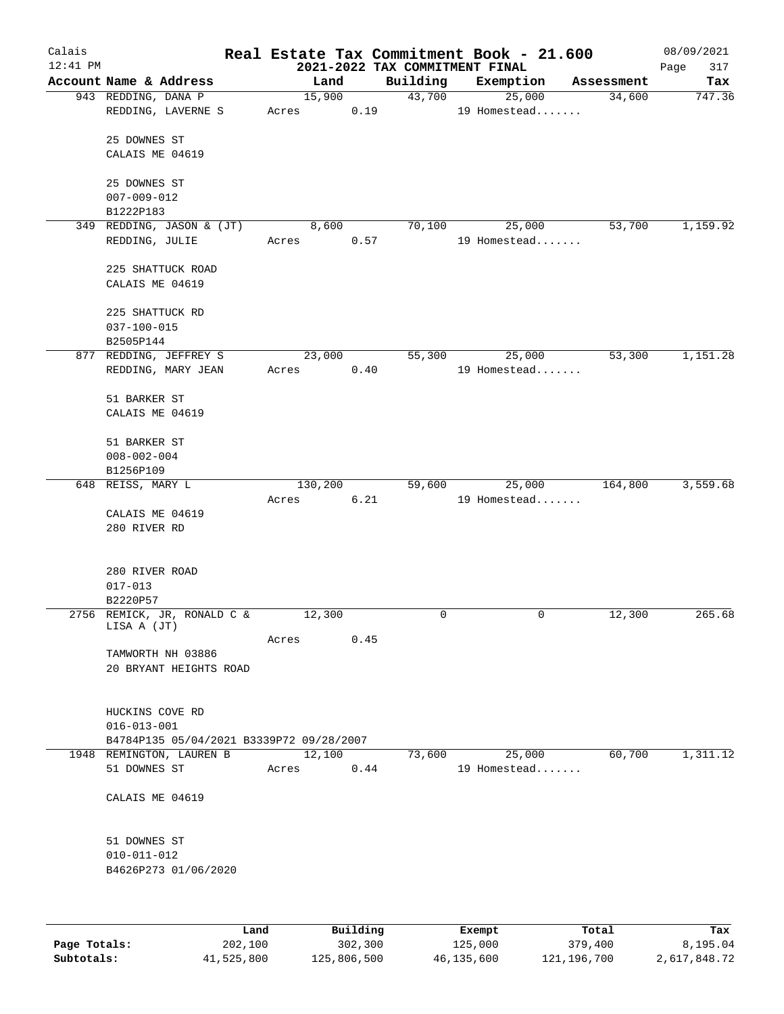| Calais<br>$12:41$ PM |                                          |                 |      | 2021-2022 TAX COMMITMENT FINAL | Real Estate Tax Commitment Book - 21.600 |            | 08/09/2021<br>Page<br>317 |
|----------------------|------------------------------------------|-----------------|------|--------------------------------|------------------------------------------|------------|---------------------------|
|                      | Account Name & Address                   | Land            |      | Building                       | Exemption                                | Assessment | Tax                       |
|                      | 943 REDDING, DANA P                      | 15,900          |      | 43,700                         | 25,000                                   | 34,600     | 747.36                    |
|                      | REDDING, LAVERNE S                       | Acres           | 0.19 |                                | 19 Homestead                             |            |                           |
|                      | 25 DOWNES ST                             |                 |      |                                |                                          |            |                           |
|                      | CALAIS ME 04619                          |                 |      |                                |                                          |            |                           |
|                      |                                          |                 |      |                                |                                          |            |                           |
|                      | 25 DOWNES ST                             |                 |      |                                |                                          |            |                           |
|                      | $007 - 009 - 012$                        |                 |      |                                |                                          |            |                           |
|                      | B1222P183                                |                 |      |                                |                                          |            |                           |
|                      | 349 REDDING, JASON & (JT)                | 8,600           |      | 70,100                         | 25,000                                   | 53,700     | 1,159.92                  |
|                      | REDDING, JULIE                           | Acres           | 0.57 |                                | 19 Homestead                             |            |                           |
|                      |                                          |                 |      |                                |                                          |            |                           |
|                      | 225 SHATTUCK ROAD<br>CALAIS ME 04619     |                 |      |                                |                                          |            |                           |
|                      |                                          |                 |      |                                |                                          |            |                           |
|                      | 225 SHATTUCK RD                          |                 |      |                                |                                          |            |                           |
|                      | $037 - 100 - 015$                        |                 |      |                                |                                          |            |                           |
|                      | B2505P144                                |                 |      |                                |                                          |            |                           |
|                      | 877 REDDING, JEFFREY S                   | 23,000          |      | 55,300                         | 25,000                                   | 53,300     | 1,151.28                  |
|                      | REDDING, MARY JEAN                       | Acres           | 0.40 |                                | 19 Homestead                             |            |                           |
|                      |                                          |                 |      |                                |                                          |            |                           |
|                      | 51 BARKER ST<br>CALAIS ME 04619          |                 |      |                                |                                          |            |                           |
|                      |                                          |                 |      |                                |                                          |            |                           |
|                      | 51 BARKER ST                             |                 |      |                                |                                          |            |                           |
|                      | $008 - 002 - 004$                        |                 |      |                                |                                          |            |                           |
|                      | B1256P109                                |                 |      |                                |                                          |            |                           |
|                      | 648 REISS, MARY L                        | 130,200         |      | 59,600                         | 25,000                                   | 164,800    | 3,559.68                  |
|                      |                                          | Acres           | 6.21 |                                | 19 Homestead                             |            |                           |
|                      | CALAIS ME 04619                          |                 |      |                                |                                          |            |                           |
|                      | 280 RIVER RD                             |                 |      |                                |                                          |            |                           |
|                      |                                          |                 |      |                                |                                          |            |                           |
|                      | 280 RIVER ROAD                           |                 |      |                                |                                          |            |                           |
|                      | $017 - 013$                              |                 |      |                                |                                          |            |                           |
|                      | B2220P57                                 |                 |      |                                |                                          |            |                           |
|                      | 2756 REMICK, JR, RONALD C &              | 12,300          |      | 0                              | $\mathsf{O}$                             | 12,300     | 265.68                    |
|                      | LISA A (JT)                              | Acres           | 0.45 |                                |                                          |            |                           |
|                      | TAMWORTH NH 03886                        |                 |      |                                |                                          |            |                           |
|                      | 20 BRYANT HEIGHTS ROAD                   |                 |      |                                |                                          |            |                           |
|                      |                                          |                 |      |                                |                                          |            |                           |
|                      |                                          |                 |      |                                |                                          |            |                           |
|                      | HUCKINS COVE RD                          |                 |      |                                |                                          |            |                           |
|                      | $016 - 013 - 001$                        |                 |      |                                |                                          |            |                           |
|                      | B4784P135 05/04/2021 B3339P72 09/28/2007 |                 |      |                                |                                          |            |                           |
|                      | 1948 REMINGTON, LAUREN B<br>51 DOWNES ST | 12,100<br>Acres | 0.44 | 73,600                         | 25,000<br>19 Homestead                   | 60,700     | 1,311.12                  |
|                      |                                          |                 |      |                                |                                          |            |                           |
|                      | CALAIS ME 04619                          |                 |      |                                |                                          |            |                           |
|                      |                                          |                 |      |                                |                                          |            |                           |
|                      |                                          |                 |      |                                |                                          |            |                           |
|                      | 51 DOWNES ST                             |                 |      |                                |                                          |            |                           |
|                      | $010 - 011 - 012$                        |                 |      |                                |                                          |            |                           |
|                      | B4626P273 01/06/2020                     |                 |      |                                |                                          |            |                           |
|                      |                                          |                 |      |                                |                                          |            |                           |
|                      |                                          |                 |      |                                |                                          |            |                           |
|                      |                                          |                 |      |                                |                                          |            |                           |

|              | Land       | Building    | Exempt     | Total         | Tax          |
|--------------|------------|-------------|------------|---------------|--------------|
| Page Totals: | 202,100    | 302,300     | 125,000    | 379,400       | 8,195.04     |
| Subtotals:   | 41,525,800 | 125,806,500 | 46,135,600 | 121, 196, 700 | 2,617,848.72 |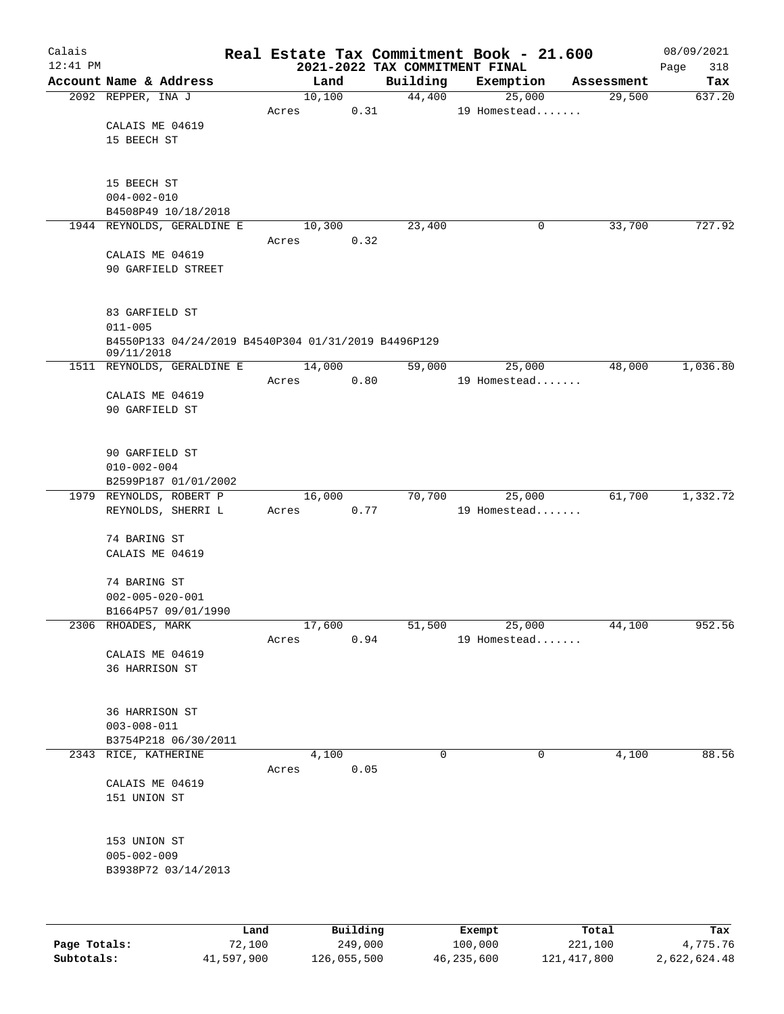| Calais       |                                                     |                 |          |                                            | Real Estate Tax Commitment Book - 21.600 |            | 08/09/2021         |
|--------------|-----------------------------------------------------|-----------------|----------|--------------------------------------------|------------------------------------------|------------|--------------------|
| $12:41$ PM   | Account Name & Address                              | Land            |          | 2021-2022 TAX COMMITMENT FINAL<br>Building |                                          | Assessment | 318<br>Page<br>Tax |
|              | 2092 REPPER, INA J                                  | 10,100          |          | 44,400                                     | Exemption<br>25,000                      | 29,500     | 637.20             |
|              |                                                     | Acres           | 0.31     |                                            | 19 Homestead                             |            |                    |
|              | CALAIS ME 04619                                     |                 |          |                                            |                                          |            |                    |
|              | 15 BEECH ST                                         |                 |          |                                            |                                          |            |                    |
|              |                                                     |                 |          |                                            |                                          |            |                    |
|              |                                                     |                 |          |                                            |                                          |            |                    |
|              | 15 BEECH ST<br>$004 - 002 - 010$                    |                 |          |                                            |                                          |            |                    |
|              | B4508P49 10/18/2018                                 |                 |          |                                            |                                          |            |                    |
|              | 1944 REYNOLDS, GERALDINE E                          | 10,300          |          | 23,400                                     | 0                                        | 33,700     | 727.92             |
|              |                                                     | Acres           | 0.32     |                                            |                                          |            |                    |
|              | CALAIS ME 04619                                     |                 |          |                                            |                                          |            |                    |
|              | 90 GARFIELD STREET                                  |                 |          |                                            |                                          |            |                    |
|              |                                                     |                 |          |                                            |                                          |            |                    |
|              | 83 GARFIELD ST                                      |                 |          |                                            |                                          |            |                    |
|              | $011 - 005$                                         |                 |          |                                            |                                          |            |                    |
|              | B4550P133 04/24/2019 B4540P304 01/31/2019 B4496P129 |                 |          |                                            |                                          |            |                    |
|              | 09/11/2018<br>1511 REYNOLDS, GERALDINE E            | 14,000          |          | 59,000                                     | 25,000                                   | 48,000     | 1,036.80           |
|              |                                                     | Acres           | 0.80     |                                            | 19 Homestead                             |            |                    |
|              | CALAIS ME 04619                                     |                 |          |                                            |                                          |            |                    |
|              | 90 GARFIELD ST                                      |                 |          |                                            |                                          |            |                    |
|              |                                                     |                 |          |                                            |                                          |            |                    |
|              | 90 GARFIELD ST                                      |                 |          |                                            |                                          |            |                    |
|              | $010 - 002 - 004$                                   |                 |          |                                            |                                          |            |                    |
|              | B2599P187 01/01/2002                                |                 |          |                                            |                                          |            |                    |
|              | 1979 REYNOLDS, ROBERT P                             | 16,000          |          | 70,700                                     | 25,000                                   | 61,700     | 1,332.72           |
|              | REYNOLDS, SHERRI L                                  | Acres           | 0.77     |                                            | 19 Homestead                             |            |                    |
|              | 74 BARING ST                                        |                 |          |                                            |                                          |            |                    |
|              | CALAIS ME 04619                                     |                 |          |                                            |                                          |            |                    |
|              |                                                     |                 |          |                                            |                                          |            |                    |
|              | 74 BARING ST                                        |                 |          |                                            |                                          |            |                    |
|              | $002 - 005 - 020 - 001$                             |                 |          |                                            |                                          |            |                    |
|              | B1664P57 09/01/1990                                 |                 |          |                                            |                                          |            |                    |
|              | 2306 RHOADES, MARK                                  | 17,600<br>Acres | 0.94     | 51,500                                     | 25,000<br>19 Homestead                   | 44,100     | 952.56             |
|              | CALAIS ME 04619                                     |                 |          |                                            |                                          |            |                    |
|              | 36 HARRISON ST                                      |                 |          |                                            |                                          |            |                    |
|              |                                                     |                 |          |                                            |                                          |            |                    |
|              | 36 HARRISON ST                                      |                 |          |                                            |                                          |            |                    |
|              | $003 - 008 - 011$                                   |                 |          |                                            |                                          |            |                    |
|              | B3754P218 06/30/2011                                |                 |          |                                            |                                          |            |                    |
|              | 2343 RICE, KATHERINE                                | 4,100           |          | $\Omega$                                   | $\mathbf 0$                              | 4,100      | 88.56              |
|              |                                                     | Acres           | 0.05     |                                            |                                          |            |                    |
|              | CALAIS ME 04619                                     |                 |          |                                            |                                          |            |                    |
|              | 151 UNION ST                                        |                 |          |                                            |                                          |            |                    |
|              |                                                     |                 |          |                                            |                                          |            |                    |
|              | 153 UNION ST                                        |                 |          |                                            |                                          |            |                    |
|              | $005 - 002 - 009$                                   |                 |          |                                            |                                          |            |                    |
|              | B3938P72 03/14/2013                                 |                 |          |                                            |                                          |            |                    |
|              |                                                     |                 |          |                                            |                                          |            |                    |
|              |                                                     |                 |          |                                            |                                          |            |                    |
|              | Land                                                |                 | Building |                                            | Exempt                                   | Total      | Tax                |
| Page Totals: | 72,100                                              |                 | 249,000  |                                            | 100,000                                  | 221,100    | 4,775.76           |

**Subtotals:** 41,597,900 126,055,500 46,235,600 121,417,800 2,622,624.48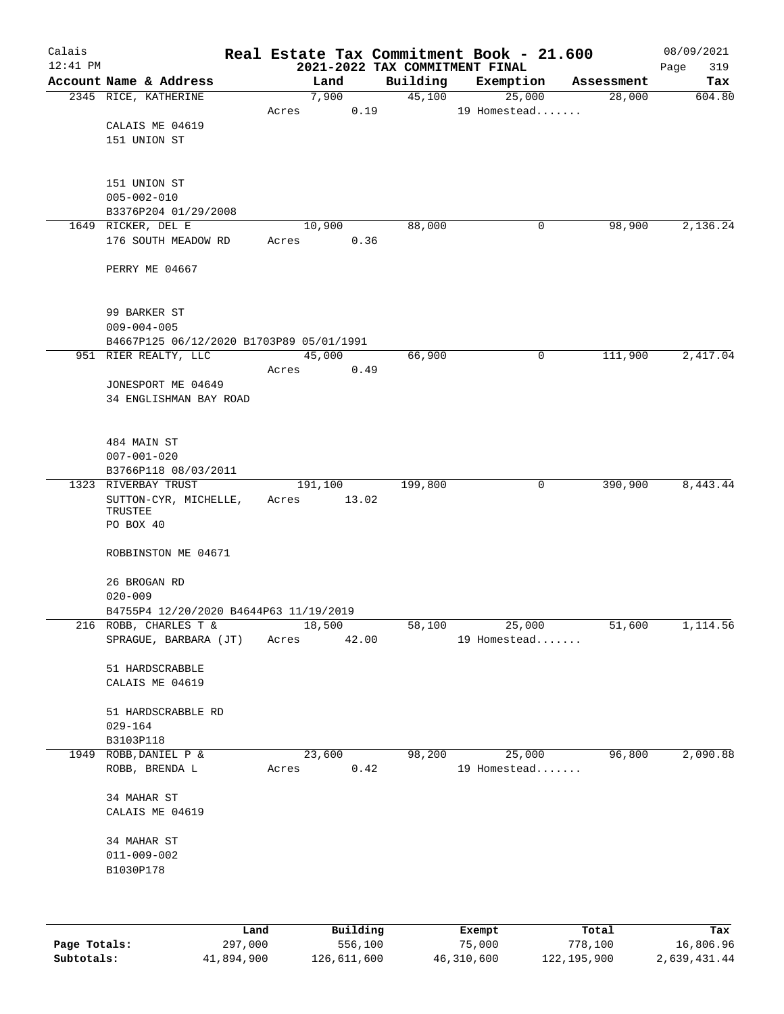| Calais<br>$12:41$ PM |                                                |      |       |                 |      | 2021-2022 TAX COMMITMENT FINAL | Real Estate Tax Commitment Book - 21.600 |            | 08/09/2021<br>Page<br>319 |
|----------------------|------------------------------------------------|------|-------|-----------------|------|--------------------------------|------------------------------------------|------------|---------------------------|
|                      | Account Name & Address                         |      |       | Land            |      | Building                       | Exemption                                | Assessment | Tax                       |
|                      | 2345 RICE, KATHERINE                           |      |       | 7,900           |      | 45,100                         | 25,000                                   | 28,000     | 604.80                    |
|                      |                                                |      | Acres |                 | 0.19 |                                | 19 Homestead                             |            |                           |
|                      | CALAIS ME 04619                                |      |       |                 |      |                                |                                          |            |                           |
|                      | 151 UNION ST                                   |      |       |                 |      |                                |                                          |            |                           |
|                      |                                                |      |       |                 |      |                                |                                          |            |                           |
|                      |                                                |      |       |                 |      |                                |                                          |            |                           |
|                      | 151 UNION ST                                   |      |       |                 |      |                                |                                          |            |                           |
|                      | $005 - 002 - 010$                              |      |       |                 |      |                                |                                          |            |                           |
|                      | B3376P204 01/29/2008                           |      |       |                 |      |                                |                                          |            |                           |
|                      | 1649 RICKER, DEL E<br>176 SOUTH MEADOW RD      |      | Acres | 10,900          | 0.36 | 88,000                         | 0                                        | 98,900     | 2,136.24                  |
|                      |                                                |      |       |                 |      |                                |                                          |            |                           |
|                      | PERRY ME 04667                                 |      |       |                 |      |                                |                                          |            |                           |
|                      |                                                |      |       |                 |      |                                |                                          |            |                           |
|                      |                                                |      |       |                 |      |                                |                                          |            |                           |
|                      | 99 BARKER ST                                   |      |       |                 |      |                                |                                          |            |                           |
|                      | $009 - 004 - 005$                              |      |       |                 |      |                                |                                          |            |                           |
|                      | B4667P125 06/12/2020 B1703P89 05/01/1991       |      |       |                 |      |                                |                                          |            |                           |
|                      | 951 RIER REALTY, LLC                           |      |       | 45,000          |      | 66,900                         | 0                                        | 111,900    | 2,417.04                  |
|                      |                                                |      | Acres |                 | 0.49 |                                |                                          |            |                           |
|                      | JONESPORT ME 04649<br>34 ENGLISHMAN BAY ROAD   |      |       |                 |      |                                |                                          |            |                           |
|                      |                                                |      |       |                 |      |                                |                                          |            |                           |
|                      |                                                |      |       |                 |      |                                |                                          |            |                           |
|                      | 484 MAIN ST                                    |      |       |                 |      |                                |                                          |            |                           |
|                      | $007 - 001 - 020$                              |      |       |                 |      |                                |                                          |            |                           |
|                      | B3766P118 08/03/2011                           |      |       |                 |      |                                |                                          |            |                           |
|                      | 1323 RIVERBAY TRUST                            |      |       | 191,100         |      | 199,800                        | 0                                        | 390,900    | 8,443.44                  |
|                      | SUTTON-CYR, MICHELLE,                          |      | Acres | 13.02           |      |                                |                                          |            |                           |
|                      | TRUSTEE<br>PO BOX 40                           |      |       |                 |      |                                |                                          |            |                           |
|                      |                                                |      |       |                 |      |                                |                                          |            |                           |
|                      | ROBBINSTON ME 04671                            |      |       |                 |      |                                |                                          |            |                           |
|                      |                                                |      |       |                 |      |                                |                                          |            |                           |
|                      | 26 BROGAN RD                                   |      |       |                 |      |                                |                                          |            |                           |
|                      | $020 - 009$                                    |      |       |                 |      |                                |                                          |            |                           |
|                      | B4755P4 12/20/2020 B4644P63 11/19/2019         |      |       |                 |      |                                |                                          |            |                           |
|                      | 216 ROBB, CHARLES T &<br>SPRAGUE, BARBARA (JT) |      | Acres | 18,500<br>42.00 |      | 58,100                         | 25,000<br>19 Homestead                   | 51,600     | 1,114.56                  |
|                      |                                                |      |       |                 |      |                                |                                          |            |                           |
|                      | 51 HARDSCRABBLE                                |      |       |                 |      |                                |                                          |            |                           |
|                      | CALAIS ME 04619                                |      |       |                 |      |                                |                                          |            |                           |
|                      |                                                |      |       |                 |      |                                |                                          |            |                           |
|                      | 51 HARDSCRABBLE RD                             |      |       |                 |      |                                |                                          |            |                           |
|                      | $029 - 164$                                    |      |       |                 |      |                                |                                          |            |                           |
|                      | B3103P118                                      |      |       |                 |      |                                |                                          |            |                           |
| 1949                 | ROBB, DANIEL P &                               |      |       | 23,600          |      | 98,200                         | 25,000                                   | 96,800     | 2,090.88                  |
|                      | ROBB, BRENDA L                                 |      | Acres |                 | 0.42 |                                | 19 Homestead                             |            |                           |
|                      | 34 MAHAR ST                                    |      |       |                 |      |                                |                                          |            |                           |
|                      | CALAIS ME 04619                                |      |       |                 |      |                                |                                          |            |                           |
|                      |                                                |      |       |                 |      |                                |                                          |            |                           |
|                      | 34 MAHAR ST                                    |      |       |                 |      |                                |                                          |            |                           |
|                      | $011 - 009 - 002$                              |      |       |                 |      |                                |                                          |            |                           |
|                      | B1030P178                                      |      |       |                 |      |                                |                                          |            |                           |
|                      |                                                |      |       |                 |      |                                |                                          |            |                           |
|                      |                                                |      |       |                 |      |                                |                                          |            |                           |
|                      |                                                |      |       | Building        |      |                                |                                          |            |                           |
|                      |                                                | Land |       |                 |      |                                | <b>Fromnt</b>                            | $T$ ctal   | Tov                       |

|              | Land       | Building    | Exempt     | Total         | Tax          |
|--------------|------------|-------------|------------|---------------|--------------|
| Page Totals: | 297,000    | 556,100     | 75,000     | 778,100       | 16,806.96    |
| Subtotals:   | 41,894,900 | 126,611,600 | 46,310,600 | 122, 195, 900 | 2,639,431.44 |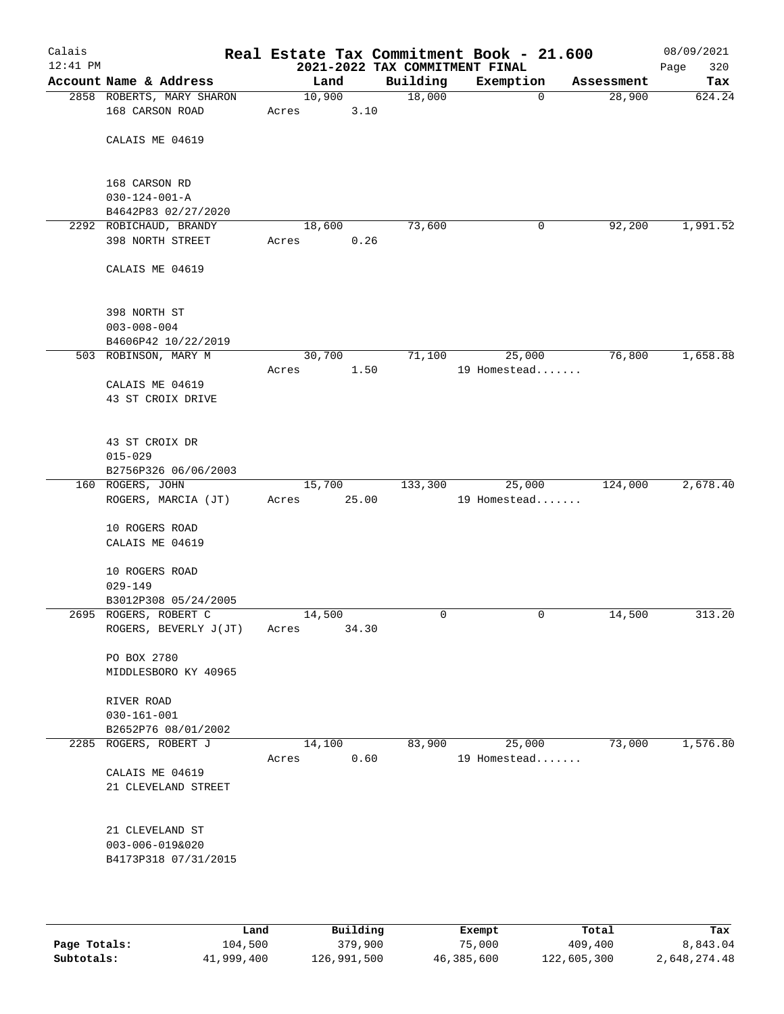| Calais<br>$12:41$ PM |                                                |       |                 |      | Real Estate Tax Commitment Book - 21.600<br>2021-2022 TAX COMMITMENT FINAL |                        |             |            | 08/09/2021<br>320<br>Page |
|----------------------|------------------------------------------------|-------|-----------------|------|----------------------------------------------------------------------------|------------------------|-------------|------------|---------------------------|
|                      | Account Name & Address                         |       | Land            |      | Building                                                                   | Exemption              |             | Assessment | Tax                       |
|                      | 2858 ROBERTS, MARY SHARON<br>168 CARSON ROAD   | Acres | 10,900          | 3.10 | 18,000                                                                     |                        | $\mathbf 0$ | 28,900     | 624.24                    |
|                      | CALAIS ME 04619                                |       |                 |      |                                                                            |                        |             |            |                           |
|                      | 168 CARSON RD<br>$030 - 124 - 001 - A$         |       |                 |      |                                                                            |                        |             |            |                           |
|                      | B4642P83 02/27/2020                            |       |                 |      |                                                                            |                        |             |            |                           |
|                      | 2292 ROBICHAUD, BRANDY                         |       | 18,600          |      | 73,600                                                                     |                        | 0           | 92,200     | 1,991.52                  |
|                      | 398 NORTH STREET                               | Acres |                 | 0.26 |                                                                            |                        |             |            |                           |
|                      | CALAIS ME 04619                                |       |                 |      |                                                                            |                        |             |            |                           |
|                      | 398 NORTH ST                                   |       |                 |      |                                                                            |                        |             |            |                           |
|                      | $003 - 008 - 004$                              |       |                 |      |                                                                            |                        |             |            |                           |
|                      | B4606P42 10/22/2019                            |       |                 |      |                                                                            |                        |             |            |                           |
|                      | 503 ROBINSON, MARY M                           | Acres | 30,700          | 1.50 | 71,100                                                                     | 25,000<br>19 Homestead |             | 76,800     | 1,658.88                  |
|                      | CALAIS ME 04619                                |       |                 |      |                                                                            |                        |             |            |                           |
|                      | 43 ST CROIX DRIVE                              |       |                 |      |                                                                            |                        |             |            |                           |
|                      | 43 ST CROIX DR                                 |       |                 |      |                                                                            |                        |             |            |                           |
|                      | $015 - 029$                                    |       |                 |      |                                                                            |                        |             |            |                           |
|                      | B2756P326 06/06/2003                           |       | 15,700          |      | 133,300                                                                    | 25,000                 |             | 124,000    | 2,678.40                  |
|                      | 160 ROGERS, JOHN<br>ROGERS, MARCIA (JT)        | Acres | 25.00           |      |                                                                            | 19 Homestead           |             |            |                           |
|                      | 10 ROGERS ROAD                                 |       |                 |      |                                                                            |                        |             |            |                           |
|                      | CALAIS ME 04619                                |       |                 |      |                                                                            |                        |             |            |                           |
|                      | 10 ROGERS ROAD                                 |       |                 |      |                                                                            |                        |             |            |                           |
|                      | $029 - 149$                                    |       |                 |      |                                                                            |                        |             |            |                           |
|                      | B3012P308 05/24/2005                           |       |                 |      |                                                                            |                        |             |            |                           |
|                      | 2695 ROGERS, ROBERT C<br>ROGERS, BEVERLY J(JT) | Acres | 14,500<br>34.30 |      | 0                                                                          |                        | 0           | 14,500     | 313.20                    |
|                      |                                                |       |                 |      |                                                                            |                        |             |            |                           |
|                      | PO BOX 2780<br>MIDDLESBORO KY 40965            |       |                 |      |                                                                            |                        |             |            |                           |
|                      |                                                |       |                 |      |                                                                            |                        |             |            |                           |
|                      | RIVER ROAD                                     |       |                 |      |                                                                            |                        |             |            |                           |
|                      | $030 - 161 - 001$                              |       |                 |      |                                                                            |                        |             |            |                           |
|                      | B2652P76 08/01/2002                            |       |                 |      |                                                                            |                        |             |            |                           |
|                      | 2285 ROGERS, ROBERT J                          | Acres | 14,100          | 0.60 | 83,900                                                                     | 25,000<br>19 Homestead |             | 73,000     | 1,576.80                  |
|                      | CALAIS ME 04619                                |       |                 |      |                                                                            |                        |             |            |                           |
|                      | 21 CLEVELAND STREET                            |       |                 |      |                                                                            |                        |             |            |                           |
|                      | 21 CLEVELAND ST                                |       |                 |      |                                                                            |                        |             |            |                           |
|                      | 003-006-019&020                                |       |                 |      |                                                                            |                        |             |            |                           |
|                      | B4173P318 07/31/2015                           |       |                 |      |                                                                            |                        |             |            |                           |
|                      |                                                |       |                 |      |                                                                            |                        |             |            |                           |
|                      |                                                |       |                 |      |                                                                            |                        |             |            |                           |

|              | Land       | Building    | Exempt     | Total       | Tax          |
|--------------|------------|-------------|------------|-------------|--------------|
| Page Totals: | 104,500    | 379,900     | 75,000     | 409,400     | 8,843.04     |
| Subtotals:   | 41,999,400 | 126,991,500 | 46,385,600 | 122,605,300 | 2,648,274.48 |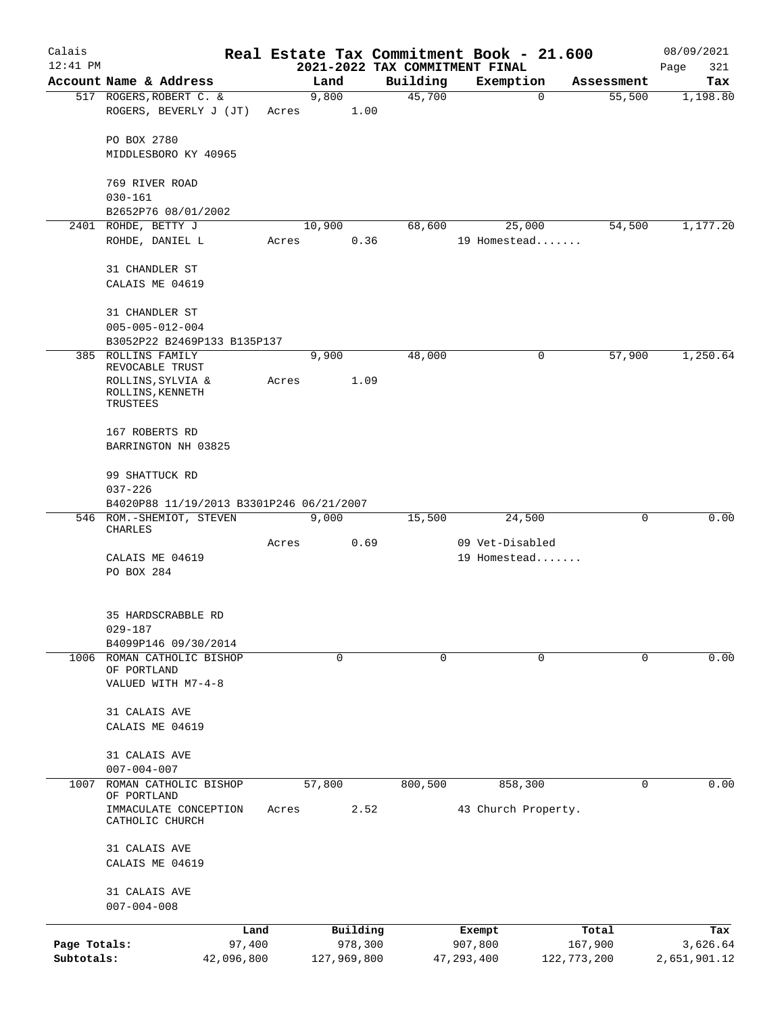| Calais       |                                                   |            |       |             |          | Real Estate Tax Commitment Book - 21.600 |                     |             |               | 08/09/2021   |
|--------------|---------------------------------------------------|------------|-------|-------------|----------|------------------------------------------|---------------------|-------------|---------------|--------------|
| $12:41$ PM   |                                                   |            |       |             |          | 2021-2022 TAX COMMITMENT FINAL           |                     |             |               | 321<br>Page  |
|              | Account Name & Address                            |            |       | Land        |          | Building<br>45,700                       | Exemption           | $\mathbf 0$ | Assessment    | Tax          |
|              | 517 ROGERS, ROBERT C. &<br>ROGERS, BEVERLY J (JT) |            | Acres | 9,800       | 1.00     |                                          |                     |             | 55,500        | 1,198.80     |
|              | PO BOX 2780                                       |            |       |             |          |                                          |                     |             |               |              |
|              | MIDDLESBORO KY 40965                              |            |       |             |          |                                          |                     |             |               |              |
|              | 769 RIVER ROAD                                    |            |       |             |          |                                          |                     |             |               |              |
|              | $030 - 161$                                       |            |       |             |          |                                          |                     |             |               |              |
|              | B2652P76 08/01/2002<br>2401 ROHDE, BETTY J        |            |       | 10,900      |          | 68,600                                   |                     | 25,000      | 54,500        | 1,177.20     |
|              | ROHDE, DANIEL L                                   |            | Acres |             | 0.36     |                                          | 19 Homestead        |             |               |              |
|              | 31 CHANDLER ST                                    |            |       |             |          |                                          |                     |             |               |              |
|              | CALAIS ME 04619                                   |            |       |             |          |                                          |                     |             |               |              |
|              | 31 CHANDLER ST                                    |            |       |             |          |                                          |                     |             |               |              |
|              | $005 - 005 - 012 - 004$                           |            |       |             |          |                                          |                     |             |               |              |
|              | B3052P22 B2469P133 B135P137                       |            |       |             |          |                                          |                     |             |               |              |
|              | 385 ROLLINS FAMILY<br>REVOCABLE TRUST             |            |       | 9,900       |          | 48,000                                   |                     | 0           | 57,900        | 1,250.64     |
|              | ROLLINS, SYLVIA &<br>ROLLINS, KENNETH<br>TRUSTEES |            | Acres |             | 1.09     |                                          |                     |             |               |              |
|              |                                                   |            |       |             |          |                                          |                     |             |               |              |
|              | 167 ROBERTS RD                                    |            |       |             |          |                                          |                     |             |               |              |
|              | BARRINGTON NH 03825                               |            |       |             |          |                                          |                     |             |               |              |
|              | 99 SHATTUCK RD<br>$037 - 226$                     |            |       |             |          |                                          |                     |             |               |              |
|              | B4020P88 11/19/2013 B3301P246 06/21/2007          |            |       |             |          |                                          |                     |             |               |              |
|              | 546 ROM.-SHEMIOT, STEVEN                          |            |       | 9,000       |          | 15,500                                   |                     | 24,500      | 0             | 0.00         |
|              | <b>CHARLES</b>                                    |            |       |             |          |                                          |                     |             |               |              |
|              |                                                   |            | Acres |             | 0.69     |                                          | 09 Vet-Disabled     |             |               |              |
|              | CALAIS ME 04619<br>PO BOX 284                     |            |       |             |          |                                          | 19 Homestead        |             |               |              |
|              |                                                   |            |       |             |          |                                          |                     |             |               |              |
|              | 35 HARDSCRABBLE RD                                |            |       |             |          |                                          |                     |             |               |              |
|              | $029 - 187$                                       |            |       |             |          |                                          |                     |             |               |              |
|              | B4099P146 09/30/2014                              |            |       |             |          |                                          |                     |             |               |              |
| 1006         | ROMAN CATHOLIC BISHOP                             |            |       | 0           |          | 0                                        |                     | $\mathbf 0$ | $\mathbf 0$   | 0.00         |
|              | OF PORTLAND<br>VALUED WITH M7-4-8                 |            |       |             |          |                                          |                     |             |               |              |
|              |                                                   |            |       |             |          |                                          |                     |             |               |              |
|              | 31 CALAIS AVE                                     |            |       |             |          |                                          |                     |             |               |              |
|              | CALAIS ME 04619                                   |            |       |             |          |                                          |                     |             |               |              |
|              | 31 CALAIS AVE                                     |            |       |             |          |                                          |                     |             |               |              |
|              | $007 - 004 - 007$                                 |            |       |             |          |                                          |                     |             |               |              |
| 1007         | ROMAN CATHOLIC BISHOP                             |            |       | 57,800      |          | 800,500                                  | 858,300             |             | $\mathbf 0$   | 0.00         |
|              | OF PORTLAND<br>IMMACULATE CONCEPTION              |            | Acres |             | 2.52     |                                          | 43 Church Property. |             |               |              |
|              | CATHOLIC CHURCH                                   |            |       |             |          |                                          |                     |             |               |              |
|              | 31 CALAIS AVE                                     |            |       |             |          |                                          |                     |             |               |              |
|              | CALAIS ME 04619                                   |            |       |             |          |                                          |                     |             |               |              |
|              | 31 CALAIS AVE                                     |            |       |             |          |                                          |                     |             |               |              |
|              | $007 - 004 - 008$                                 |            |       |             |          |                                          |                     |             |               |              |
|              |                                                   | Land       |       |             | Building |                                          | Exempt              |             | Total         | Tax          |
| Page Totals: |                                                   | 97,400     |       |             | 978,300  |                                          | 907,800             |             | 167,900       | 3,626.64     |
| Subtotals:   |                                                   | 42,096,800 |       | 127,969,800 |          |                                          | 47, 293, 400        |             | 122, 773, 200 | 2,651,901.12 |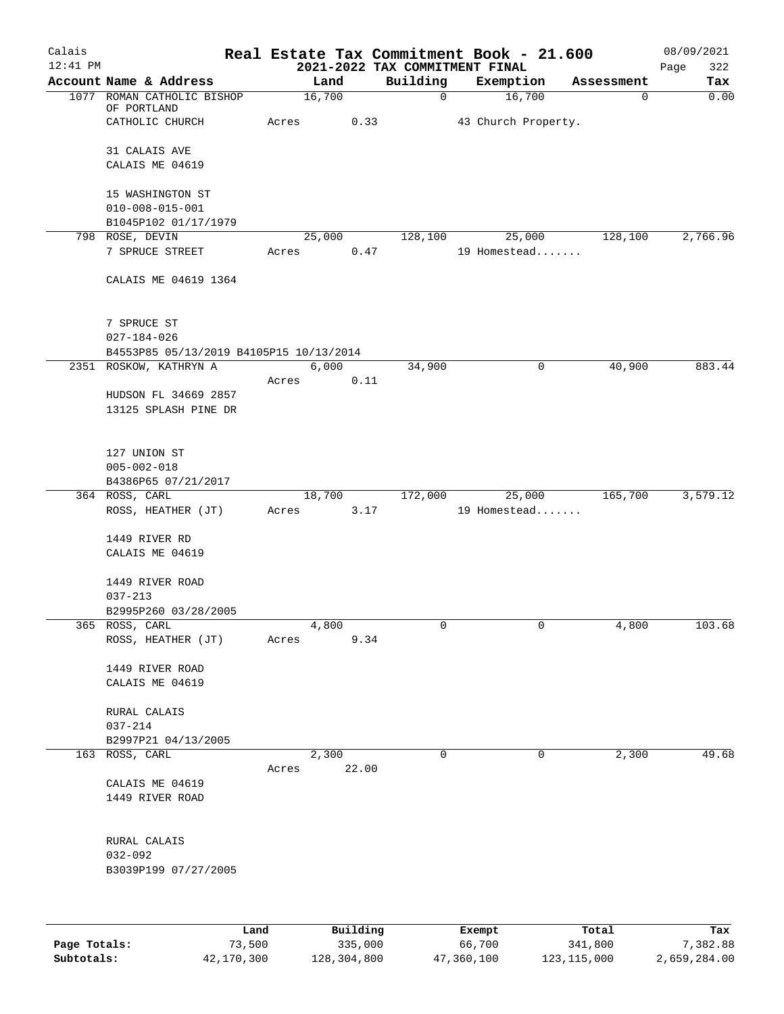| Calais       |                                         |                |                                            | Real Estate Tax Commitment Book - 21.600 |             | 08/09/2021         |
|--------------|-----------------------------------------|----------------|--------------------------------------------|------------------------------------------|-------------|--------------------|
| $12:41$ PM   | Account Name & Address                  | Land           | 2021-2022 TAX COMMITMENT FINAL<br>Building | Exemption                                | Assessment  | 322<br>Page<br>Tax |
|              | 1077 ROMAN CATHOLIC BISHOP              | 16,700         | $\mathbf 0$                                | 16,700                                   | $\mathbf 0$ | 0.00               |
|              | OF PORTLAND                             |                |                                            |                                          |             |                    |
|              | CATHOLIC CHURCH                         | Acres<br>0.33  |                                            | 43 Church Property.                      |             |                    |
|              | 31 CALAIS AVE                           |                |                                            |                                          |             |                    |
|              | CALAIS ME 04619                         |                |                                            |                                          |             |                    |
|              |                                         |                |                                            |                                          |             |                    |
|              | 15 WASHINGTON ST                        |                |                                            |                                          |             |                    |
|              | $010 - 008 - 015 - 001$                 |                |                                            |                                          |             |                    |
|              | B1045P102 01/17/1979<br>798 ROSE, DEVIN | 25,000         | 128,100                                    | 25,000                                   | 128,100     | 2,766.96           |
|              | 7 SPRUCE STREET                         | 0.47<br>Acres  |                                            | 19 Homestead                             |             |                    |
|              |                                         |                |                                            |                                          |             |                    |
|              | CALAIS ME 04619 1364                    |                |                                            |                                          |             |                    |
|              |                                         |                |                                            |                                          |             |                    |
|              | 7 SPRUCE ST                             |                |                                            |                                          |             |                    |
|              | $027 - 184 - 026$                       |                |                                            |                                          |             |                    |
|              | B4553P85 05/13/2019 B4105P15 10/13/2014 |                |                                            |                                          |             |                    |
|              | 2351 ROSKOW, KATHRYN A                  | 6,000          | 34,900                                     | $\mathsf{O}$                             | 40,900      | 883.44             |
|              |                                         | 0.11<br>Acres  |                                            |                                          |             |                    |
|              | HUDSON FL 34669 2857                    |                |                                            |                                          |             |                    |
|              | 13125 SPLASH PINE DR                    |                |                                            |                                          |             |                    |
|              |                                         |                |                                            |                                          |             |                    |
|              | 127 UNION ST                            |                |                                            |                                          |             |                    |
|              | $005 - 002 - 018$                       |                |                                            |                                          |             |                    |
|              | B4386P65 07/21/2017<br>364 ROSS, CARL   | 18,700         | 172,000                                    |                                          | 165,700     | 3,579.12           |
|              | ROSS, HEATHER (JT)                      | 3.17<br>Acres  |                                            | 25,000<br>19 Homestead                   |             |                    |
|              |                                         |                |                                            |                                          |             |                    |
|              | 1449 RIVER RD                           |                |                                            |                                          |             |                    |
|              | CALAIS ME 04619                         |                |                                            |                                          |             |                    |
|              | 1449 RIVER ROAD                         |                |                                            |                                          |             |                    |
|              | $037 - 213$                             |                |                                            |                                          |             |                    |
|              | B2995P260 03/28/2005                    |                |                                            |                                          |             |                    |
|              | 365 ROSS, CARL                          | 4,800          | 0                                          | 0                                        | 4,800       | 103.68             |
|              | ROSS, HEATHER (JT)                      | 9.34<br>Acres  |                                            |                                          |             |                    |
|              | 1449 RIVER ROAD                         |                |                                            |                                          |             |                    |
|              | CALAIS ME 04619                         |                |                                            |                                          |             |                    |
|              |                                         |                |                                            |                                          |             |                    |
|              | RURAL CALAIS                            |                |                                            |                                          |             |                    |
|              | $037 - 214$                             |                |                                            |                                          |             |                    |
|              | B2997P21 04/13/2005<br>163 ROSS, CARL   | 2,300          | 0                                          | 0                                        | 2,300       | 49.68              |
|              |                                         | 22.00<br>Acres |                                            |                                          |             |                    |
|              | CALAIS ME 04619                         |                |                                            |                                          |             |                    |
|              | 1449 RIVER ROAD                         |                |                                            |                                          |             |                    |
|              |                                         |                |                                            |                                          |             |                    |
|              | RURAL CALAIS                            |                |                                            |                                          |             |                    |
|              | $032 - 092$                             |                |                                            |                                          |             |                    |
|              | B3039P199 07/27/2005                    |                |                                            |                                          |             |                    |
|              |                                         |                |                                            |                                          |             |                    |
|              |                                         |                |                                            |                                          |             |                    |
|              | Land                                    | Building       |                                            | Exempt                                   | Total       | Tax                |
| Page Totals: | 73,500                                  | 335,000        |                                            | 66,700                                   | 341,800     | 7,382.88           |

**Subtotals:** 42,170,300 128,304,800 47,360,100 123,115,000 2,659,284.00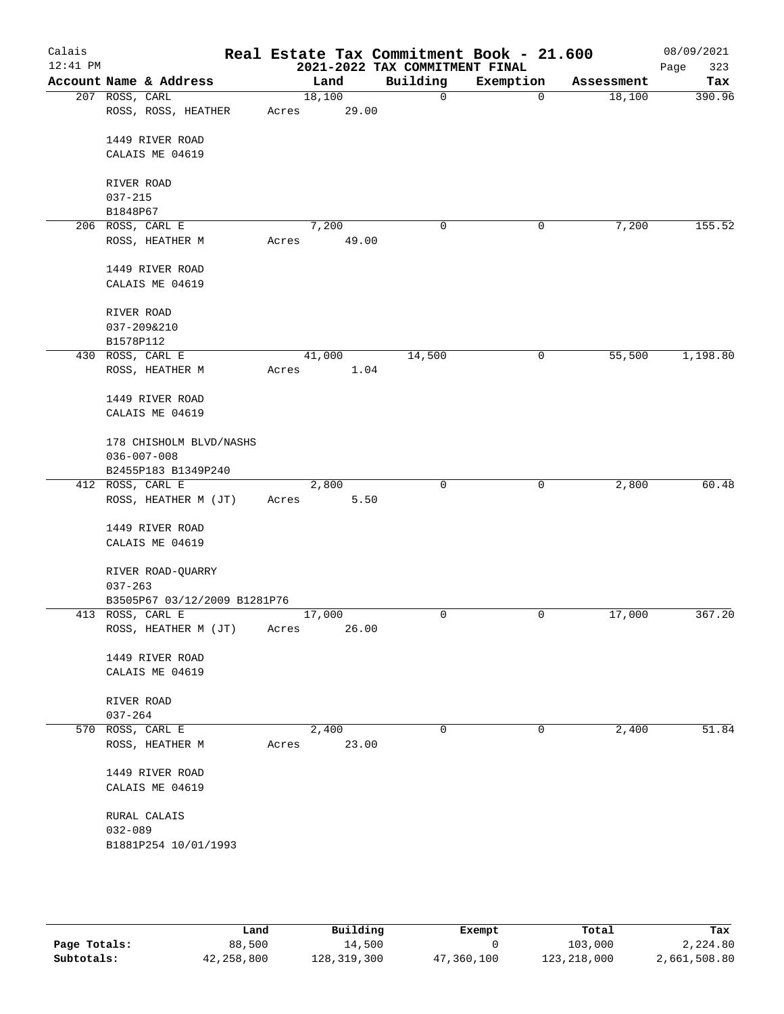| Calais<br>$12:41$ PM |                              |       |        | 2021-2022 TAX COMMITMENT FINAL | Real Estate Tax Commitment Book - 21.600 |            | 08/09/2021<br>323<br>Page |
|----------------------|------------------------------|-------|--------|--------------------------------|------------------------------------------|------------|---------------------------|
|                      | Account Name & Address       |       | Land   | Building                       | Exemption                                | Assessment | Tax                       |
|                      | 207 ROSS, CARL               |       | 18,100 | $\mathbf 0$                    | 0                                        | 18,100     | 390.96                    |
|                      | ROSS, ROSS, HEATHER          | Acres | 29.00  |                                |                                          |            |                           |
|                      | 1449 RIVER ROAD              |       |        |                                |                                          |            |                           |
|                      | CALAIS ME 04619              |       |        |                                |                                          |            |                           |
|                      |                              |       |        |                                |                                          |            |                           |
|                      | RIVER ROAD                   |       |        |                                |                                          |            |                           |
|                      | $037 - 215$                  |       |        |                                |                                          |            |                           |
|                      | B1848P67                     |       |        |                                |                                          |            |                           |
|                      | 206 ROSS, CARL E             |       | 7,200  | 0                              | 0                                        | 7,200      | 155.52                    |
|                      | ROSS, HEATHER M              | Acres | 49.00  |                                |                                          |            |                           |
|                      | 1449 RIVER ROAD              |       |        |                                |                                          |            |                           |
|                      | CALAIS ME 04619              |       |        |                                |                                          |            |                           |
|                      | RIVER ROAD                   |       |        |                                |                                          |            |                           |
|                      | 037-209&210                  |       |        |                                |                                          |            |                           |
|                      | B1578P112                    |       |        |                                |                                          |            |                           |
|                      | 430 ROSS, CARL E             |       | 41,000 | 14,500                         | 0                                        | 55,500     | 1,198.80                  |
|                      | ROSS, HEATHER M              | Acres | 1.04   |                                |                                          |            |                           |
|                      | 1449 RIVER ROAD              |       |        |                                |                                          |            |                           |
|                      | CALAIS ME 04619              |       |        |                                |                                          |            |                           |
|                      | 178 CHISHOLM BLVD/NASHS      |       |        |                                |                                          |            |                           |
|                      | $036 - 007 - 008$            |       |        |                                |                                          |            |                           |
|                      | B2455P183 B1349P240          |       |        |                                |                                          |            |                           |
|                      | 412 ROSS, CARL E             |       | 2,800  | 0                              | 0                                        | 2,800      | 60.48                     |
|                      | ROSS, HEATHER M (JT)         | Acres | 5.50   |                                |                                          |            |                           |
|                      | 1449 RIVER ROAD              |       |        |                                |                                          |            |                           |
|                      | CALAIS ME 04619              |       |        |                                |                                          |            |                           |
|                      |                              |       |        |                                |                                          |            |                           |
|                      | RIVER ROAD-QUARRY            |       |        |                                |                                          |            |                           |
|                      | $037 - 263$                  |       |        |                                |                                          |            |                           |
|                      | B3505P67 03/12/2009 B1281P76 |       |        |                                |                                          |            |                           |
|                      | 413 ROSS, CARL E             |       | 17,000 | 0                              | 0                                        | 17,000     | 367.20                    |
|                      | ROSS, HEATHER M (JT)         | Acres | 26.00  |                                |                                          |            |                           |
|                      |                              |       |        |                                |                                          |            |                           |
|                      | 1449 RIVER ROAD              |       |        |                                |                                          |            |                           |
|                      | CALAIS ME 04619              |       |        |                                |                                          |            |                           |
|                      | RIVER ROAD                   |       |        |                                |                                          |            |                           |
|                      | $037 - 264$                  |       |        |                                |                                          |            |                           |
|                      | 570 ROSS, CARL E             |       | 2,400  | $\mathsf{O}$                   | 0                                        | 2,400      | 51.84                     |
|                      | ROSS, HEATHER M              | Acres | 23.00  |                                |                                          |            |                           |
|                      | 1449 RIVER ROAD              |       |        |                                |                                          |            |                           |
|                      | CALAIS ME 04619              |       |        |                                |                                          |            |                           |
|                      | RURAL CALAIS                 |       |        |                                |                                          |            |                           |
|                      | $032 - 089$                  |       |        |                                |                                          |            |                           |
|                      | B1881P254 10/01/1993         |       |        |                                |                                          |            |                           |
|                      |                              |       |        |                                |                                          |            |                           |
|                      |                              |       |        |                                |                                          |            |                           |
|                      |                              |       |        |                                |                                          |            |                           |

|              | Land       | Building    | Exempt     | Total         | Tax          |
|--------------|------------|-------------|------------|---------------|--------------|
| Page Totals: | 88,500     | 14,500      |            | 103,000       | 2,224.80     |
| Subtotals:   | 42,258,800 | 128,319,300 | 47,360,100 | 123, 218, 000 | 2,661,508.80 |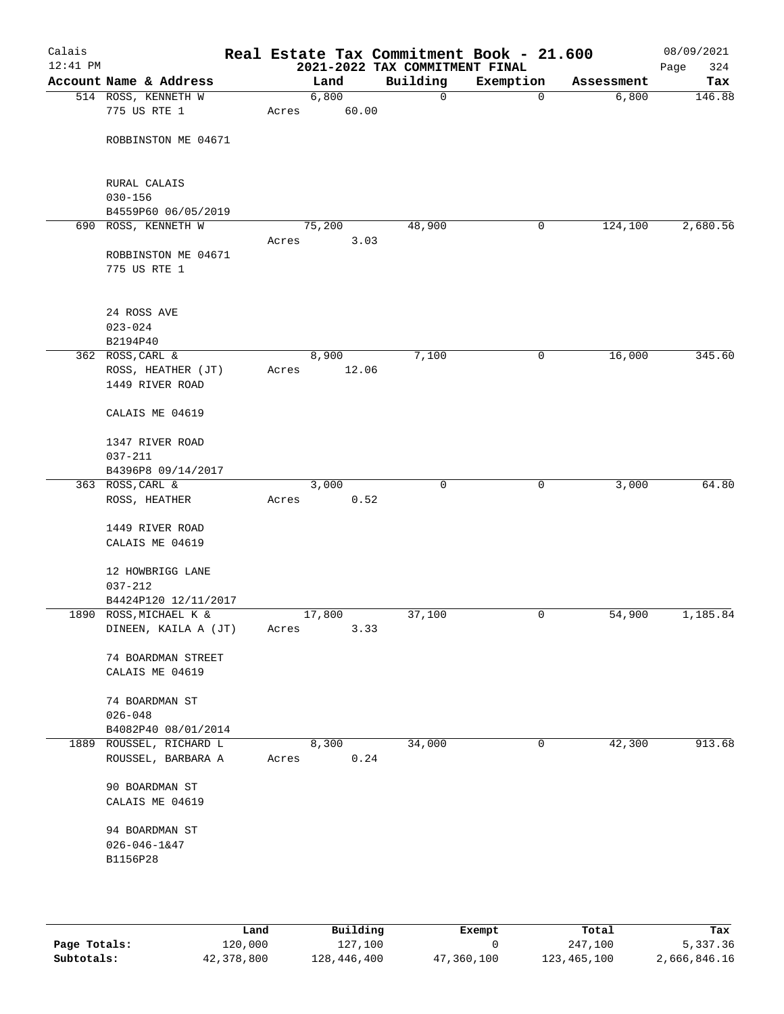| Calais<br>$12:41$ PM |                                               |       |               | 2021-2022 TAX COMMITMENT FINAL | Real Estate Tax Commitment Book - 21.600 |            | 08/09/2021<br>324<br>Page |
|----------------------|-----------------------------------------------|-------|---------------|--------------------------------|------------------------------------------|------------|---------------------------|
|                      | Account Name & Address                        |       | Land          | Building                       | Exemption                                | Assessment | Tax                       |
|                      | 514 ROSS, KENNETH W                           |       | 6,800         | $\mathbf 0$                    | 0                                        | 6,800      | 146.88                    |
|                      | 775 US RTE 1                                  | Acres | 60.00         |                                |                                          |            |                           |
|                      | ROBBINSTON ME 04671                           |       |               |                                |                                          |            |                           |
|                      |                                               |       |               |                                |                                          |            |                           |
|                      | RURAL CALAIS                                  |       |               |                                |                                          |            |                           |
|                      | $030 - 156$                                   |       |               |                                |                                          |            |                           |
|                      | B4559P60 06/05/2019<br>690 ROSS, KENNETH W    |       | 75,200        | 48,900                         | 0                                        | 124,100    | 2,680.56                  |
|                      |                                               | Acres | 3.03          |                                |                                          |            |                           |
|                      | ROBBINSTON ME 04671<br>775 US RTE 1           |       |               |                                |                                          |            |                           |
|                      |                                               |       |               |                                |                                          |            |                           |
|                      | 24 ROSS AVE                                   |       |               |                                |                                          |            |                           |
|                      | $023 - 024$                                   |       |               |                                |                                          |            |                           |
|                      | B2194P40                                      |       |               |                                |                                          |            |                           |
|                      | 362 ROSS, CARL &                              |       | 8,900         | 7,100                          | 0                                        | 16,000     | 345.60                    |
|                      | ROSS, HEATHER (JT)<br>1449 RIVER ROAD         | Acres | 12.06         |                                |                                          |            |                           |
|                      | CALAIS ME 04619                               |       |               |                                |                                          |            |                           |
|                      | 1347 RIVER ROAD                               |       |               |                                |                                          |            |                           |
|                      | $037 - 211$                                   |       |               |                                |                                          |            |                           |
|                      | B4396P8 09/14/2017                            |       |               |                                |                                          |            |                           |
|                      | 363 ROSS, CARL &                              |       | 3,000         | $\mathbf 0$                    | 0                                        | 3,000      | 64.80                     |
|                      | ROSS, HEATHER                                 | Acres | 0.52          |                                |                                          |            |                           |
|                      | 1449 RIVER ROAD                               |       |               |                                |                                          |            |                           |
|                      | CALAIS ME 04619                               |       |               |                                |                                          |            |                           |
|                      |                                               |       |               |                                |                                          |            |                           |
|                      | 12 HOWBRIGG LANE                              |       |               |                                |                                          |            |                           |
|                      | $037 - 212$                                   |       |               |                                |                                          |            |                           |
|                      | B4424P120 12/11/2017                          |       |               |                                |                                          |            |                           |
|                      | 1890 ROSS, MICHAEL K &                        |       | 17,800        | 37,100                         | 0                                        | 54,900     | 1,185.84                  |
|                      | DINEEN, KAILA A (JT)                          | Acres | 3.33          |                                |                                          |            |                           |
|                      | 74 BOARDMAN STREET                            |       |               |                                |                                          |            |                           |
|                      | CALAIS ME 04619                               |       |               |                                |                                          |            |                           |
|                      |                                               |       |               |                                |                                          |            |                           |
|                      | 74 BOARDMAN ST                                |       |               |                                |                                          |            |                           |
|                      | $026 - 048$                                   |       |               |                                |                                          |            |                           |
|                      | B4082P40 08/01/2014                           |       |               |                                |                                          |            |                           |
|                      | 1889 ROUSSEL, RICHARD L<br>ROUSSEL, BARBARA A | Acres | 8,300<br>0.24 | 34,000                         | 0                                        | 42,300     | 913.68                    |
|                      | 90 BOARDMAN ST                                |       |               |                                |                                          |            |                           |
|                      | CALAIS ME 04619                               |       |               |                                |                                          |            |                           |
|                      | 94 BOARDMAN ST                                |       |               |                                |                                          |            |                           |
|                      | $026 - 046 - 1647$                            |       |               |                                |                                          |            |                           |
|                      | B1156P28                                      |       |               |                                |                                          |            |                           |
|                      |                                               |       |               |                                |                                          |            |                           |
|                      |                                               |       |               |                                |                                          |            |                           |
|                      |                                               |       |               |                                |                                          |            |                           |

|              | Land       | Building    | Exempt     | Total       | Tax          |
|--------------|------------|-------------|------------|-------------|--------------|
| Page Totals: | 120,000    | 127,100     |            | 247,100     | 5,337.36     |
| Subtotals:   | 42,378,800 | 128,446,400 | 47,360,100 | 123,465,100 | 2,666,846.16 |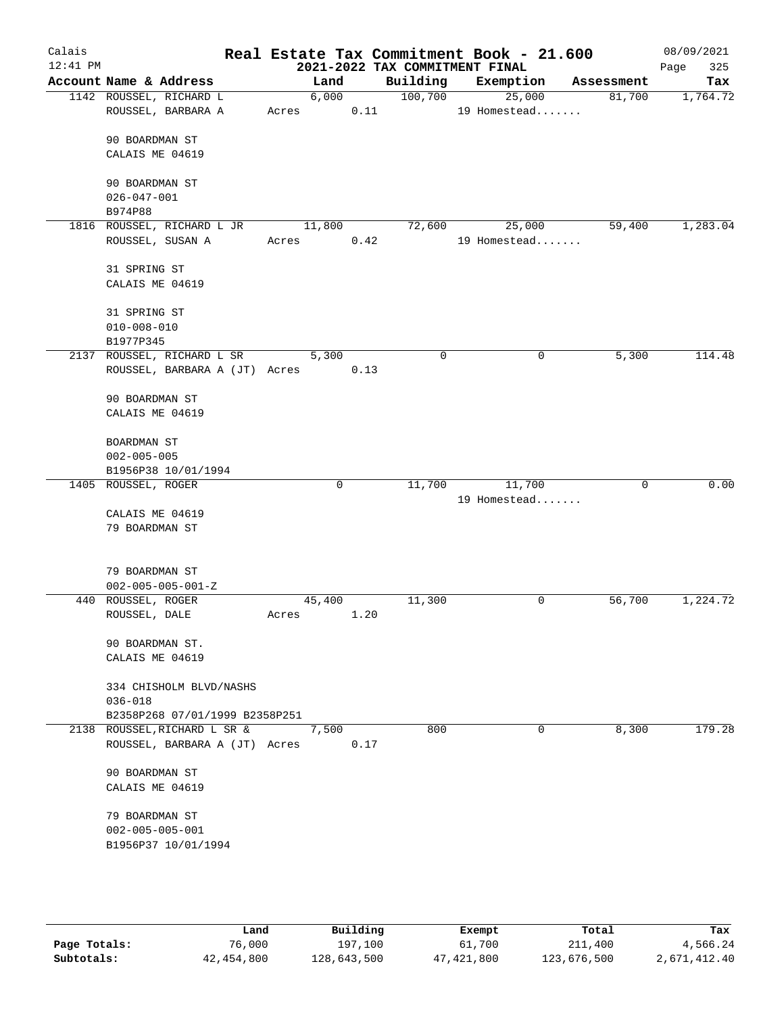| Calais     |                                                                  |       |             |      |         | Real Estate Tax Commitment Book - 21.600 |             |            |      | 08/09/2021 |
|------------|------------------------------------------------------------------|-------|-------------|------|---------|------------------------------------------|-------------|------------|------|------------|
| $12:41$ PM |                                                                  |       |             |      |         | 2021-2022 TAX COMMITMENT FINAL           |             |            | Page | 325        |
|            | Account Name & Address                                           |       | Land        |      |         | Building Exemption                       |             | Assessment |      | Tax        |
|            | 1142 ROUSSEL, RICHARD L<br>ROUSSEL, BARBARA A                    | Acres | 6,000       | 0.11 | 100,700 | 25,000<br>19 Homestead                   |             | 81,700     |      | 1,764.72   |
|            | 90 BOARDMAN ST<br>CALAIS ME 04619                                |       |             |      |         |                                          |             |            |      |            |
|            | 90 BOARDMAN ST<br>$026 - 047 - 001$                              |       |             |      |         |                                          |             |            |      |            |
|            | B974P88                                                          |       |             |      |         |                                          |             |            |      |            |
|            | 1816 ROUSSEL, RICHARD L JR<br>ROUSSEL, SUSAN A                   | Acres | 11,800      | 0.42 | 72,600  | 25,000<br>19 Homestead                   |             | 59,400     |      | 1,283.04   |
|            | 31 SPRING ST                                                     |       |             |      |         |                                          |             |            |      |            |
|            | CALAIS ME 04619                                                  |       |             |      |         |                                          |             |            |      |            |
|            | 31 SPRING ST<br>$010 - 008 - 010$                                |       |             |      |         |                                          |             |            |      |            |
|            | B1977P345                                                        |       |             |      |         |                                          |             |            |      |            |
|            | 2137 ROUSSEL, RICHARD L SR<br>ROUSSEL, BARBARA A (JT) Acres      |       | 5,300       | 0.13 | 0       |                                          | $\mathbf 0$ | 5,300      |      | 114.48     |
|            | 90 BOARDMAN ST<br>CALAIS ME 04619                                |       |             |      |         |                                          |             |            |      |            |
|            | BOARDMAN ST                                                      |       |             |      |         |                                          |             |            |      |            |
|            | $002 - 005 - 005$                                                |       |             |      |         |                                          |             |            |      |            |
|            | B1956P38 10/01/1994                                              |       |             |      |         |                                          |             |            |      |            |
|            | 1405 ROUSSEL, ROGER                                              |       | $\mathbf 0$ |      | 11,700  | 11,700<br>19 Homestead                   |             | $\Omega$   |      | 0.00       |
|            | CALAIS ME 04619<br>79 BOARDMAN ST                                |       |             |      |         |                                          |             |            |      |            |
|            | 79 BOARDMAN ST<br>$002 - 005 - 005 - 001 - Z$                    |       |             |      |         |                                          |             |            |      |            |
|            | 440 ROUSSEL, ROGER                                               |       | 45,400      |      | 11,300  |                                          | 0           | 56,700     |      | 1,224.72   |
|            | ROUSSEL, DALE                                                    | Acres |             | 1.20 |         |                                          |             |            |      |            |
|            | 90 BOARDMAN ST.<br>CALAIS ME 04619                               |       |             |      |         |                                          |             |            |      |            |
|            | 334 CHISHOLM BLVD/NASHS<br>$036 - 018$                           |       |             |      |         |                                          |             |            |      |            |
|            | B2358P268 07/01/1999 B2358P251                                   |       |             |      |         |                                          |             |            |      |            |
|            | 2138 ROUSSEL, RICHARD L SR &<br>ROUSSEL, BARBARA A (JT) Acres    |       | 7,500       | 0.17 | 800     |                                          | $\mathbf 0$ | 8,300      |      | 179.28     |
|            | 90 BOARDMAN ST<br>CALAIS ME 04619                                |       |             |      |         |                                          |             |            |      |            |
|            | 79 BOARDMAN ST<br>$002 - 005 - 005 - 001$<br>B1956P37 10/01/1994 |       |             |      |         |                                          |             |            |      |            |
|            |                                                                  |       |             |      |         |                                          |             |            |      |            |

|              | Land       | Building    | Exempt       | Total       | Tax          |
|--------------|------------|-------------|--------------|-------------|--------------|
| Page Totals: | 76.000     | 197,100     | 61,700       | 211,400     | 4,566.24     |
| Subtotals:   | 42,454,800 | 128,643,500 | 47, 421, 800 | 123,676,500 | 2,671,412.40 |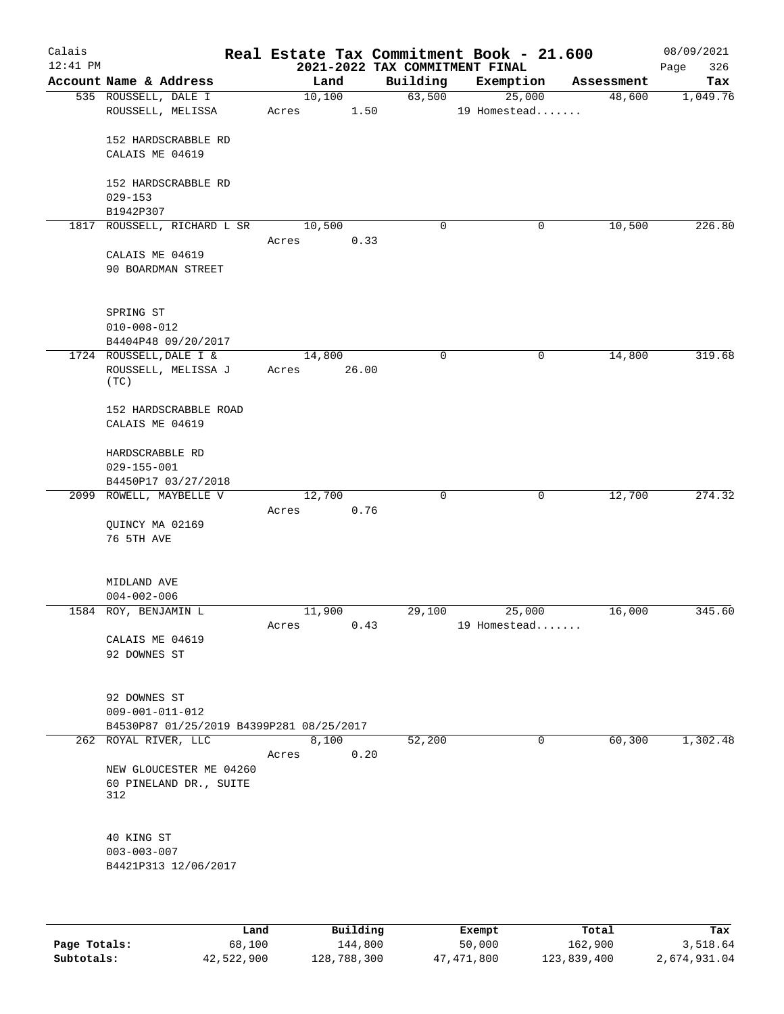| Calais<br>$12:41$ PM |                                          |        |       | 2021-2022 TAX COMMITMENT FINAL | Real Estate Tax Commitment Book - 21.600 |            | 08/09/2021<br>326<br>Page |
|----------------------|------------------------------------------|--------|-------|--------------------------------|------------------------------------------|------------|---------------------------|
|                      | Account Name & Address                   |        | Land  | Building                       | Exemption                                | Assessment | Tax                       |
|                      | 535 ROUSSELL, DALE I                     | 10,100 |       | 63,500                         | 25,000                                   | 48,600     | 1,049.76                  |
|                      | ROUSSELL, MELISSA                        | Acres  | 1.50  |                                | 19 Homestead                             |            |                           |
|                      |                                          |        |       |                                |                                          |            |                           |
|                      | 152 HARDSCRABBLE RD                      |        |       |                                |                                          |            |                           |
|                      | CALAIS ME 04619                          |        |       |                                |                                          |            |                           |
|                      |                                          |        |       |                                |                                          |            |                           |
|                      | 152 HARDSCRABBLE RD                      |        |       |                                |                                          |            |                           |
|                      | $029 - 153$<br>B1942P307                 |        |       |                                |                                          |            |                           |
|                      | 1817 ROUSSELL, RICHARD L SR              | 10,500 |       | 0                              | 0                                        | 10,500     | 226.80                    |
|                      |                                          | Acres  | 0.33  |                                |                                          |            |                           |
|                      | CALAIS ME 04619                          |        |       |                                |                                          |            |                           |
|                      | 90 BOARDMAN STREET                       |        |       |                                |                                          |            |                           |
|                      |                                          |        |       |                                |                                          |            |                           |
|                      |                                          |        |       |                                |                                          |            |                           |
|                      | SPRING ST                                |        |       |                                |                                          |            |                           |
|                      | $010 - 008 - 012$                        |        |       |                                |                                          |            |                           |
|                      | B4404P48 09/20/2017                      |        |       |                                |                                          |            |                           |
|                      | 1724 ROUSSELL, DALE I &                  | 14,800 |       | 0                              | $\mathbf 0$                              | 14,800     | 319.68                    |
|                      | ROUSSELL, MELISSA J<br>(TC)              | Acres  | 26.00 |                                |                                          |            |                           |
|                      |                                          |        |       |                                |                                          |            |                           |
|                      | 152 HARDSCRABBLE ROAD                    |        |       |                                |                                          |            |                           |
|                      | CALAIS ME 04619                          |        |       |                                |                                          |            |                           |
|                      |                                          |        |       |                                |                                          |            |                           |
|                      | HARDSCRABBLE RD                          |        |       |                                |                                          |            |                           |
|                      | $029 - 155 - 001$                        |        |       |                                |                                          |            |                           |
|                      | B4450P17 03/27/2018                      |        |       |                                |                                          |            |                           |
|                      | 2099 ROWELL, MAYBELLE V                  | 12,700 |       | $\mathbf 0$                    | $\mathbf 0$                              | 12,700     | 274.32                    |
|                      | QUINCY MA 02169                          | Acres  | 0.76  |                                |                                          |            |                           |
|                      | 76 5TH AVE                               |        |       |                                |                                          |            |                           |
|                      |                                          |        |       |                                |                                          |            |                           |
|                      |                                          |        |       |                                |                                          |            |                           |
|                      | MIDLAND AVE                              |        |       |                                |                                          |            |                           |
|                      | $004 - 002 - 006$                        |        |       |                                |                                          |            |                           |
|                      | 1584 ROY, BENJAMIN L                     | 11,900 |       | 29,100                         | 25,000                                   | 16,000     | 345.60                    |
|                      |                                          | Acres  | 0.43  |                                | 19 Homestead                             |            |                           |
|                      | CALAIS ME 04619                          |        |       |                                |                                          |            |                           |
|                      | 92 DOWNES ST                             |        |       |                                |                                          |            |                           |
|                      |                                          |        |       |                                |                                          |            |                           |
|                      | 92 DOWNES ST                             |        |       |                                |                                          |            |                           |
|                      | $009 - 001 - 011 - 012$                  |        |       |                                |                                          |            |                           |
|                      | B4530P87 01/25/2019 B4399P281 08/25/2017 |        |       |                                |                                          |            |                           |
|                      | 262 ROYAL RIVER, LLC                     |        | 8,100 | 52,200                         | $\overline{0}$                           | 60,300     | 1,302.48                  |
|                      |                                          | Acres  | 0.20  |                                |                                          |            |                           |
|                      | NEW GLOUCESTER ME 04260                  |        |       |                                |                                          |            |                           |
|                      | 60 PINELAND DR., SUITE                   |        |       |                                |                                          |            |                           |
|                      | 312                                      |        |       |                                |                                          |            |                           |
|                      |                                          |        |       |                                |                                          |            |                           |
|                      | 40 KING ST                               |        |       |                                |                                          |            |                           |
|                      | $003 - 003 - 007$                        |        |       |                                |                                          |            |                           |
|                      | B4421P313 12/06/2017                     |        |       |                                |                                          |            |                           |
|                      |                                          |        |       |                                |                                          |            |                           |
|                      |                                          |        |       |                                |                                          |            |                           |
|                      |                                          |        |       |                                |                                          |            |                           |

|              | Land       | Building    | Exempt     | Total       | Tax          |
|--------------|------------|-------------|------------|-------------|--------------|
| Page Totals: | 68,100     | 144,800     | 50,000     | 162,900     | 3,518.64     |
| Subtotals:   | 42,522,900 | 128,788,300 | 47,471,800 | 123,839,400 | 2,674,931.04 |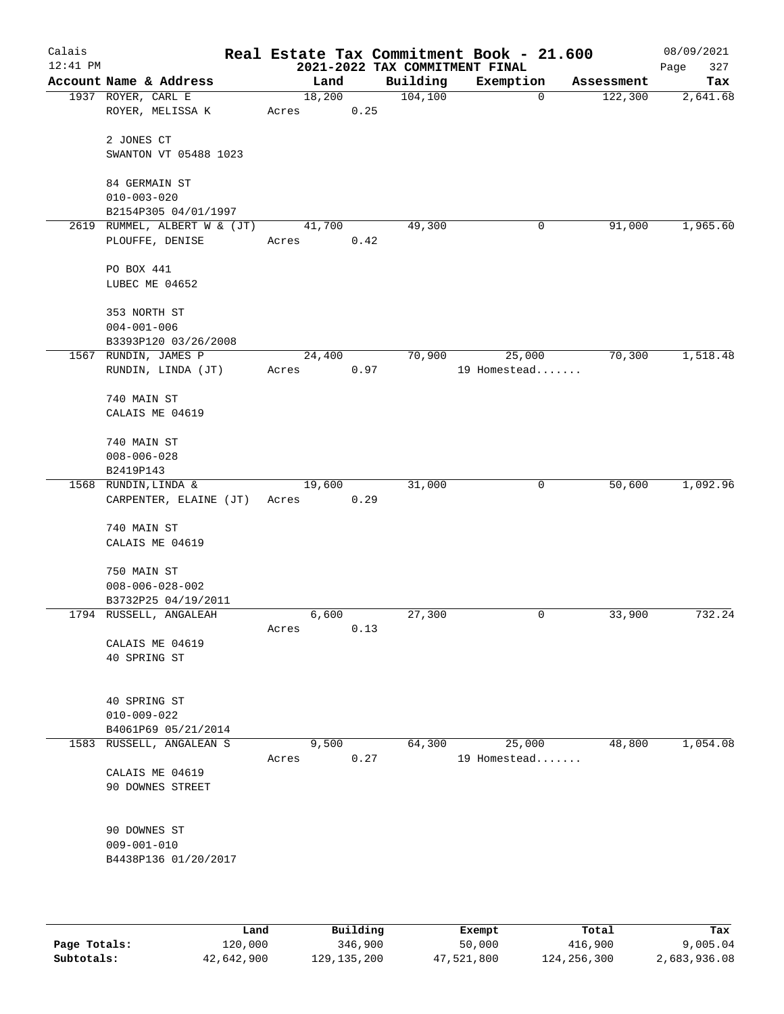| Calais<br>$12:41$ PM |                                |       |        |      | 2021-2022 TAX COMMITMENT FINAL | Real Estate Tax Commitment Book - 21.600 |            | 08/09/2021<br>Page<br>327 |
|----------------------|--------------------------------|-------|--------|------|--------------------------------|------------------------------------------|------------|---------------------------|
|                      | Account Name & Address         |       | Land   |      | Building                       | Exemption                                | Assessment | Tax                       |
|                      | 1937 ROYER, CARL E             |       | 18,200 |      | 104, 100                       | 0                                        | 122,300    | 2,641.68                  |
|                      | ROYER, MELISSA K               | Acres |        | 0.25 |                                |                                          |            |                           |
|                      |                                |       |        |      |                                |                                          |            |                           |
|                      | 2 JONES CT                     |       |        |      |                                |                                          |            |                           |
|                      | SWANTON VT 05488 1023          |       |        |      |                                |                                          |            |                           |
|                      | 84 GERMAIN ST                  |       |        |      |                                |                                          |            |                           |
|                      | $010 - 003 - 020$              |       |        |      |                                |                                          |            |                           |
|                      | B2154P305 04/01/1997           |       |        |      |                                |                                          |            |                           |
|                      | 2619 RUMMEL, ALBERT W & (JT)   |       | 41,700 |      | 49,300                         | 0                                        | 91,000     | 1,965.60                  |
|                      | PLOUFFE, DENISE                | Acres |        | 0.42 |                                |                                          |            |                           |
|                      | PO BOX 441                     |       |        |      |                                |                                          |            |                           |
|                      | LUBEC ME 04652                 |       |        |      |                                |                                          |            |                           |
|                      |                                |       |        |      |                                |                                          |            |                           |
|                      | 353 NORTH ST                   |       |        |      |                                |                                          |            |                           |
|                      | $004 - 001 - 006$              |       |        |      |                                |                                          |            |                           |
|                      | B3393P120 03/26/2008           |       |        |      |                                |                                          |            |                           |
|                      | 1567 RUNDIN, JAMES P           |       | 24,400 |      | 70,900                         | 25,000                                   | 70,300     | 1,518.48                  |
|                      | RUNDIN, LINDA (JT)             | Acres |        | 0.97 |                                | 19 Homestead                             |            |                           |
|                      |                                |       |        |      |                                |                                          |            |                           |
|                      | 740 MAIN ST<br>CALAIS ME 04619 |       |        |      |                                |                                          |            |                           |
|                      |                                |       |        |      |                                |                                          |            |                           |
|                      | 740 MAIN ST                    |       |        |      |                                |                                          |            |                           |
|                      | $008 - 006 - 028$              |       |        |      |                                |                                          |            |                           |
|                      | B2419P143                      |       |        |      |                                |                                          |            |                           |
|                      | 1568 RUNDIN, LINDA &           |       | 19,600 |      | 31,000                         | 0                                        | 50,600     | 1,092.96                  |
|                      | CARPENTER, ELAINE (JT)         | Acres |        | 0.29 |                                |                                          |            |                           |
|                      | 740 MAIN ST                    |       |        |      |                                |                                          |            |                           |
|                      | CALAIS ME 04619                |       |        |      |                                |                                          |            |                           |
|                      |                                |       |        |      |                                |                                          |            |                           |
|                      | 750 MAIN ST                    |       |        |      |                                |                                          |            |                           |
|                      | $008 - 006 - 028 - 002$        |       |        |      |                                |                                          |            |                           |
|                      | B3732P25 04/19/2011            |       |        |      |                                |                                          |            |                           |
|                      | 1794 RUSSELL, ANGALEAH         |       | 6,600  |      | 27,300                         | 0                                        | 33,900     | 732.24                    |
|                      |                                | Acres |        | 0.13 |                                |                                          |            |                           |
|                      | CALAIS ME 04619                |       |        |      |                                |                                          |            |                           |
|                      | 40 SPRING ST                   |       |        |      |                                |                                          |            |                           |
|                      |                                |       |        |      |                                |                                          |            |                           |
|                      | 40 SPRING ST                   |       |        |      |                                |                                          |            |                           |
|                      | $010 - 009 - 022$              |       |        |      |                                |                                          |            |                           |
|                      | B4061P69 05/21/2014            |       |        |      |                                |                                          |            |                           |
|                      | 1583 RUSSELL, ANGALEAN S       |       | 9,500  |      | 64,300                         | 25,000                                   | 48,800     | 1,054.08                  |
|                      |                                | Acres |        | 0.27 |                                | 19 Homestead                             |            |                           |
|                      | CALAIS ME 04619                |       |        |      |                                |                                          |            |                           |
|                      | 90 DOWNES STREET               |       |        |      |                                |                                          |            |                           |
|                      |                                |       |        |      |                                |                                          |            |                           |
|                      | 90 DOWNES ST                   |       |        |      |                                |                                          |            |                           |
|                      | $009 - 001 - 010$              |       |        |      |                                |                                          |            |                           |
|                      | B4438P136 01/20/2017           |       |        |      |                                |                                          |            |                           |
|                      |                                |       |        |      |                                |                                          |            |                           |
|                      |                                |       |        |      |                                |                                          |            |                           |

|              | Land       | Building      | Exempt     | Total       | Tax          |
|--------------|------------|---------------|------------|-------------|--------------|
| Page Totals: | 120,000    | 346,900       | 50,000     | 416,900     | 9,005.04     |
| Subtotals:   | 42,642,900 | 129, 135, 200 | 47,521,800 | 124,256,300 | 2,683,936.08 |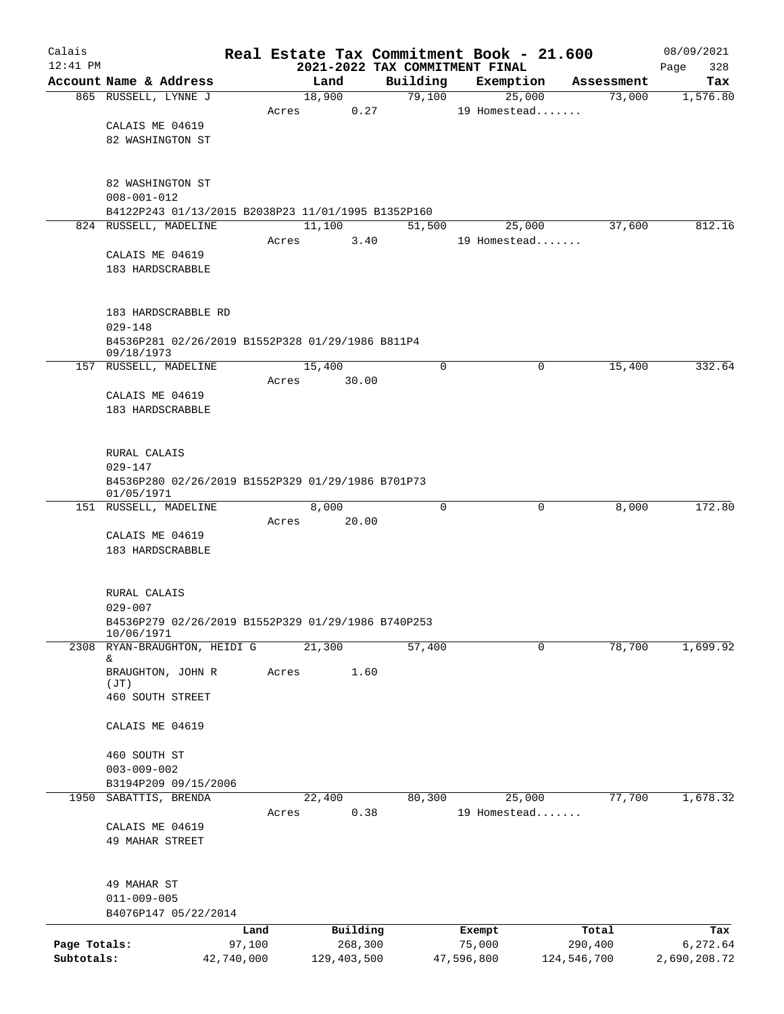| Calais       |                                                                             |            |                |                                            | Real Estate Tax Commitment Book - 21.600 |             | 08/09/2021         |
|--------------|-----------------------------------------------------------------------------|------------|----------------|--------------------------------------------|------------------------------------------|-------------|--------------------|
| $12:41$ PM   | Account Name & Address                                                      |            | Land           | 2021-2022 TAX COMMITMENT FINAL<br>Building | Exemption                                | Assessment  | 328<br>Page<br>Tax |
|              | 865 RUSSELL, LYNNE J                                                        |            | 18,900         | 79,100                                     | 25,000                                   | 73,000      | 1,576.80           |
|              |                                                                             | Acres      | 0.27           |                                            | 19 Homestead                             |             |                    |
|              | CALAIS ME 04619                                                             |            |                |                                            |                                          |             |                    |
|              | 82 WASHINGTON ST                                                            |            |                |                                            |                                          |             |                    |
|              | 82 WASHINGTON ST                                                            |            |                |                                            |                                          |             |                    |
|              | $008 - 001 - 012$                                                           |            |                |                                            |                                          |             |                    |
|              | B4122P243 01/13/2015 B2038P23 11/01/1995 B1352P160<br>824 RUSSELL, MADELINE |            | 11,100         |                                            |                                          | 37,600      | 812.16             |
|              |                                                                             | Acres      | 3.40           | 51,500                                     | 25,000<br>19 Homestead                   |             |                    |
|              | CALAIS ME 04619                                                             |            |                |                                            |                                          |             |                    |
|              | 183 HARDSCRABBLE                                                            |            |                |                                            |                                          |             |                    |
|              | 183 HARDSCRABBLE RD<br>$029 - 148$                                          |            |                |                                            |                                          |             |                    |
|              | B4536P281 02/26/2019 B1552P328 01/29/1986 B811P4<br>09/18/1973              |            |                |                                            |                                          |             |                    |
|              | 157 RUSSELL, MADELINE                                                       |            | 15,400         | $\mathbf 0$                                | 0                                        | 15,400      | 332.64             |
|              |                                                                             | Acres      | 30.00          |                                            |                                          |             |                    |
|              | CALAIS ME 04619<br>183 HARDSCRABBLE                                         |            |                |                                            |                                          |             |                    |
|              |                                                                             |            |                |                                            |                                          |             |                    |
|              | RURAL CALAIS                                                                |            |                |                                            |                                          |             |                    |
|              | $029 - 147$                                                                 |            |                |                                            |                                          |             |                    |
|              | B4536P280 02/26/2019 B1552P329 01/29/1986 B701P73<br>01/05/1971             |            |                |                                            |                                          |             |                    |
|              | 151 RUSSELL, MADELINE                                                       |            | 8,000          | $\mathbf 0$                                | 0                                        | 8,000       | 172.80             |
|              | CALAIS ME 04619                                                             | Acres      | 20.00          |                                            |                                          |             |                    |
|              | 183 HARDSCRABBLE                                                            |            |                |                                            |                                          |             |                    |
|              |                                                                             |            |                |                                            |                                          |             |                    |
|              | RURAL CALAIS                                                                |            |                |                                            |                                          |             |                    |
|              | $029 - 007$                                                                 |            |                |                                            |                                          |             |                    |
|              | B4536P279 02/26/2019 B1552P329 01/29/1986 B740P253<br>10/06/1971            |            |                |                                            |                                          |             |                    |
| 2308         | RYAN-BRAUGHTON, HEIDI G<br>&                                                |            | 21,300         | 57,400                                     | 0                                        | 78,700      | 1,699.92           |
|              | BRAUGHTON, JOHN R                                                           | Acres      | 1.60           |                                            |                                          |             |                    |
|              | (JT)<br>460 SOUTH STREET                                                    |            |                |                                            |                                          |             |                    |
|              |                                                                             |            |                |                                            |                                          |             |                    |
|              | CALAIS ME 04619                                                             |            |                |                                            |                                          |             |                    |
|              | 460 SOUTH ST                                                                |            |                |                                            |                                          |             |                    |
|              | $003 - 009 - 002$                                                           |            |                |                                            |                                          |             |                    |
|              | B3194P209 09/15/2006                                                        |            |                |                                            |                                          |             |                    |
| 1950         | SABATTIS, BRENDA                                                            | Acres      | 22,400<br>0.38 | 80,300                                     | 25,000<br>19 Homestead                   | 77,700      | 1,678.32           |
|              | CALAIS ME 04619                                                             |            |                |                                            |                                          |             |                    |
|              | 49 MAHAR STREET                                                             |            |                |                                            |                                          |             |                    |
|              | 49 MAHAR ST                                                                 |            |                |                                            |                                          |             |                    |
|              | $011 - 009 - 005$                                                           |            |                |                                            |                                          |             |                    |
|              | B4076P147 05/22/2014                                                        |            |                |                                            |                                          |             |                    |
|              |                                                                             | Land       | Building       |                                            | Exempt                                   | Total       | Tax                |
| Page Totals: |                                                                             | 97,100     | 268,300        |                                            | 75,000                                   | 290,400     | 6,272.64           |
| Subtotals:   |                                                                             | 42,740,000 | 129,403,500    |                                            | 47,596,800                               | 124,546,700 | 2,690,208.72       |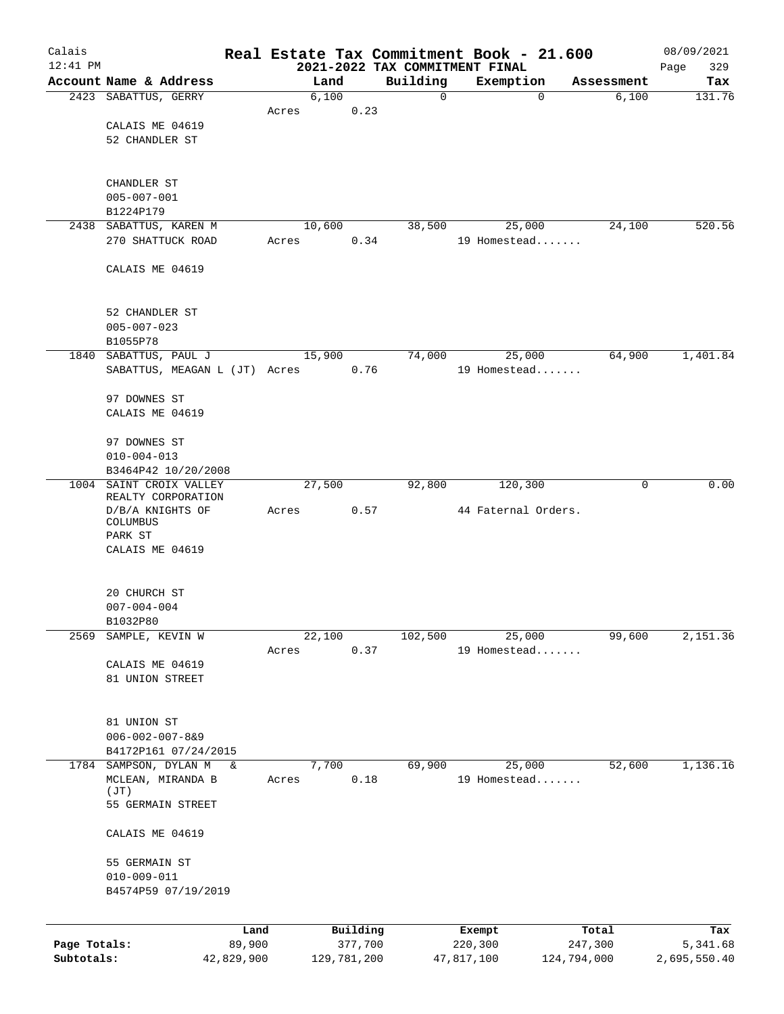| Calais       |                                               |                |       |             |                     |                                            | Real Estate Tax Commitment Book - 21.600 |                  | 08/09/2021      |
|--------------|-----------------------------------------------|----------------|-------|-------------|---------------------|--------------------------------------------|------------------------------------------|------------------|-----------------|
| $12:41$ PM   | Account Name & Address                        |                |       | Land        |                     | 2021-2022 TAX COMMITMENT FINAL<br>Building | Exemption                                | Assessment       | 329<br>Page     |
|              | 2423 SABATTUS, GERRY                          |                |       | 6,100       |                     | $\mathbf 0$                                | $\mathbf 0$                              | 6,100            | Tax<br>131.76   |
|              |                                               |                | Acres |             | 0.23                |                                            |                                          |                  |                 |
|              | CALAIS ME 04619                               |                |       |             |                     |                                            |                                          |                  |                 |
|              | 52 CHANDLER ST                                |                |       |             |                     |                                            |                                          |                  |                 |
|              |                                               |                |       |             |                     |                                            |                                          |                  |                 |
|              |                                               |                |       |             |                     |                                            |                                          |                  |                 |
|              | CHANDLER ST<br>$005 - 007 - 001$              |                |       |             |                     |                                            |                                          |                  |                 |
|              | B1224P179                                     |                |       |             |                     |                                            |                                          |                  |                 |
|              | 2438 SABATTUS, KAREN M                        |                |       | 10,600      |                     | 38,500                                     | 25,000                                   | 24,100           | 520.56          |
|              | 270 SHATTUCK ROAD                             |                | Acres |             | 0.34                |                                            | 19 Homestead                             |                  |                 |
|              |                                               |                |       |             |                     |                                            |                                          |                  |                 |
|              | CALAIS ME 04619                               |                |       |             |                     |                                            |                                          |                  |                 |
|              |                                               |                |       |             |                     |                                            |                                          |                  |                 |
|              | 52 CHANDLER ST                                |                |       |             |                     |                                            |                                          |                  |                 |
|              | $005 - 007 - 023$                             |                |       |             |                     |                                            |                                          |                  |                 |
|              | B1055P78                                      |                |       |             |                     |                                            |                                          |                  |                 |
|              | 1840 SABATTUS, PAUL J                         |                |       | 15,900      |                     | 74,000                                     | 25,000                                   | 64,900           | 1,401.84        |
|              | SABATTUS, MEAGAN L (JT) Acres                 |                |       |             | 0.76                |                                            | 19 Homestead                             |                  |                 |
|              | 97 DOWNES ST                                  |                |       |             |                     |                                            |                                          |                  |                 |
|              | CALAIS ME 04619                               |                |       |             |                     |                                            |                                          |                  |                 |
|              |                                               |                |       |             |                     |                                            |                                          |                  |                 |
|              | 97 DOWNES ST                                  |                |       |             |                     |                                            |                                          |                  |                 |
|              | $010 - 004 - 013$                             |                |       |             |                     |                                            |                                          |                  |                 |
|              | B3464P42 10/20/2008                           |                |       |             |                     |                                            |                                          |                  |                 |
|              | 1004 SAINT CROIX VALLEY<br>REALTY CORPORATION |                |       | 27,500      |                     | 92,800                                     | 120,300                                  | $\mathbf 0$      | 0.00            |
|              | D/B/A KNIGHTS OF                              |                | Acres |             | 0.57                |                                            | 44 Faternal Orders.                      |                  |                 |
|              | COLUMBUS                                      |                |       |             |                     |                                            |                                          |                  |                 |
|              | PARK ST                                       |                |       |             |                     |                                            |                                          |                  |                 |
|              | CALAIS ME 04619                               |                |       |             |                     |                                            |                                          |                  |                 |
|              |                                               |                |       |             |                     |                                            |                                          |                  |                 |
|              | 20 CHURCH ST                                  |                |       |             |                     |                                            |                                          |                  |                 |
|              | $007 - 004 - 004$                             |                |       |             |                     |                                            |                                          |                  |                 |
|              | B1032P80                                      |                |       |             |                     |                                            |                                          |                  |                 |
| 2569         | SAMPLE, KEVIN W                               |                |       | 22,100      |                     | 102,500                                    | 25,000                                   | 99,600           | 2,151.36        |
|              |                                               |                | Acres |             | 0.37                |                                            | 19 Homestead                             |                  |                 |
|              | CALAIS ME 04619<br>81 UNION STREET            |                |       |             |                     |                                            |                                          |                  |                 |
|              |                                               |                |       |             |                     |                                            |                                          |                  |                 |
|              |                                               |                |       |             |                     |                                            |                                          |                  |                 |
|              | 81 UNION ST                                   |                |       |             |                     |                                            |                                          |                  |                 |
|              | $006 - 002 - 007 - 889$                       |                |       |             |                     |                                            |                                          |                  |                 |
|              | B4172P161 07/24/2015                          |                |       |             |                     |                                            |                                          |                  |                 |
| 1784         | SAMPSON, DYLAN M<br>MCLEAN, MIRANDA B         | &              |       | 7,700       | 0.18                | 69,900                                     | 25,000<br>19 Homestead                   | 52,600           | 1,136.16        |
|              | (JT)                                          |                | Acres |             |                     |                                            |                                          |                  |                 |
|              | 55 GERMAIN STREET                             |                |       |             |                     |                                            |                                          |                  |                 |
|              | CALAIS ME 04619                               |                |       |             |                     |                                            |                                          |                  |                 |
|              |                                               |                |       |             |                     |                                            |                                          |                  |                 |
|              | 55 GERMAIN ST                                 |                |       |             |                     |                                            |                                          |                  |                 |
|              | $010 - 009 - 011$<br>B4574P59 07/19/2019      |                |       |             |                     |                                            |                                          |                  |                 |
|              |                                               |                |       |             |                     |                                            |                                          |                  |                 |
|              |                                               |                |       |             |                     |                                            |                                          |                  |                 |
| Page Totals: |                                               | Land<br>89,900 |       |             | Building<br>377,700 |                                            | Exempt<br>220,300                        | Total<br>247,300 | Tax<br>5,341.68 |
| Subtotals:   |                                               | 42,829,900     |       | 129,781,200 |                     |                                            | 47,817,100                               | 124,794,000      | 2,695,550.40    |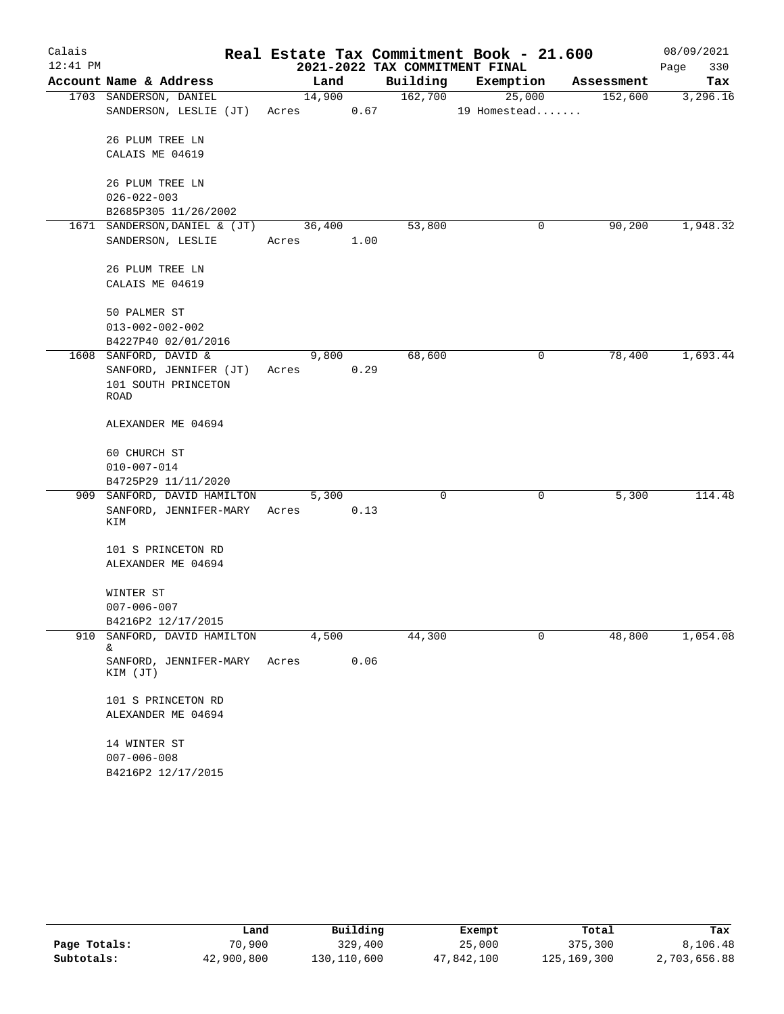| Calais     |                                    |       |        |      |          | Real Estate Tax Commitment Book - 21.600 |            | 08/09/2021  |
|------------|------------------------------------|-------|--------|------|----------|------------------------------------------|------------|-------------|
| $12:41$ PM |                                    |       |        |      |          | 2021-2022 TAX COMMITMENT FINAL           |            | 330<br>Page |
|            | Account Name & Address             |       | Land   |      | Building | Exemption                                | Assessment | Tax         |
|            | 1703 SANDERSON, DANIEL             |       | 14,900 |      | 162,700  | 25,000                                   | 152,600    | 3,296.16    |
|            | SANDERSON, LESLIE (JT)             | Acres |        | 0.67 |          | 19 Homestead                             |            |             |
|            | 26 PLUM TREE LN                    |       |        |      |          |                                          |            |             |
|            | CALAIS ME 04619                    |       |        |      |          |                                          |            |             |
|            | 26 PLUM TREE LN                    |       |        |      |          |                                          |            |             |
|            | $026 - 022 - 003$                  |       |        |      |          |                                          |            |             |
|            | B2685P305 11/26/2002               |       |        |      |          |                                          |            |             |
|            | 1671 SANDERSON, DANIEL & (JT)      |       | 36,400 |      | 53,800   | 0                                        | 90,200     | 1,948.32    |
|            | SANDERSON, LESLIE                  | Acres |        | 1.00 |          |                                          |            |             |
|            | 26 PLUM TREE LN                    |       |        |      |          |                                          |            |             |
|            | CALAIS ME 04619                    |       |        |      |          |                                          |            |             |
|            | 50 PALMER ST                       |       |        |      |          |                                          |            |             |
|            | $013 - 002 - 002 - 002$            |       |        |      |          |                                          |            |             |
|            | B4227P40 02/01/2016                |       |        |      |          |                                          |            |             |
|            | 1608 SANFORD, DAVID &              |       | 9,800  |      | 68,600   | 0                                        | 78,400     | 1,693.44    |
|            | SANFORD, JENNIFER (JT)             | Acres |        | 0.29 |          |                                          |            |             |
|            | 101 SOUTH PRINCETON<br>ROAD        |       |        |      |          |                                          |            |             |
|            | ALEXANDER ME 04694                 |       |        |      |          |                                          |            |             |
|            | 60 CHURCH ST                       |       |        |      |          |                                          |            |             |
|            | $010 - 007 - 014$                  |       |        |      |          |                                          |            |             |
|            | B4725P29 11/11/2020                |       |        |      |          |                                          |            |             |
| 909        | SANFORD, DAVID HAMILTON            |       | 5,300  |      | 0        | 0                                        | 5,300      | 114.48      |
|            | SANFORD, JENNIFER-MARY<br>KIM      | Acres |        | 0.13 |          |                                          |            |             |
|            | 101 S PRINCETON RD                 |       |        |      |          |                                          |            |             |
|            | ALEXANDER ME 04694                 |       |        |      |          |                                          |            |             |
|            | WINTER ST                          |       |        |      |          |                                          |            |             |
|            | $007 - 006 - 007$                  |       |        |      |          |                                          |            |             |
|            | B4216P2 12/17/2015                 |       |        |      |          |                                          |            |             |
|            | 910 SANFORD, DAVID HAMILTON<br>&.  |       | 4,500  |      | 44,300   | 0                                        | 48,800     | 1,054.08    |
|            | SANFORD, JENNIFER-MARY<br>KIM (JT) | Acres |        | 0.06 |          |                                          |            |             |
|            | 101 S PRINCETON RD                 |       |        |      |          |                                          |            |             |
|            | ALEXANDER ME 04694                 |       |        |      |          |                                          |            |             |
|            | 14 WINTER ST                       |       |        |      |          |                                          |            |             |
|            | $007 - 006 - 008$                  |       |        |      |          |                                          |            |             |
|            | B4216P2 12/17/2015                 |       |        |      |          |                                          |            |             |

|              | Land       | Building    | Exempt     | Total       | Tax          |
|--------------|------------|-------------|------------|-------------|--------------|
| Page Totals: | 70,900     | 329,400     | 25,000     | 375,300     | 8,106.48     |
| Subtotals:   | 42,900,800 | 130,110,600 | 47,842,100 | 125,169,300 | 2,703,656.88 |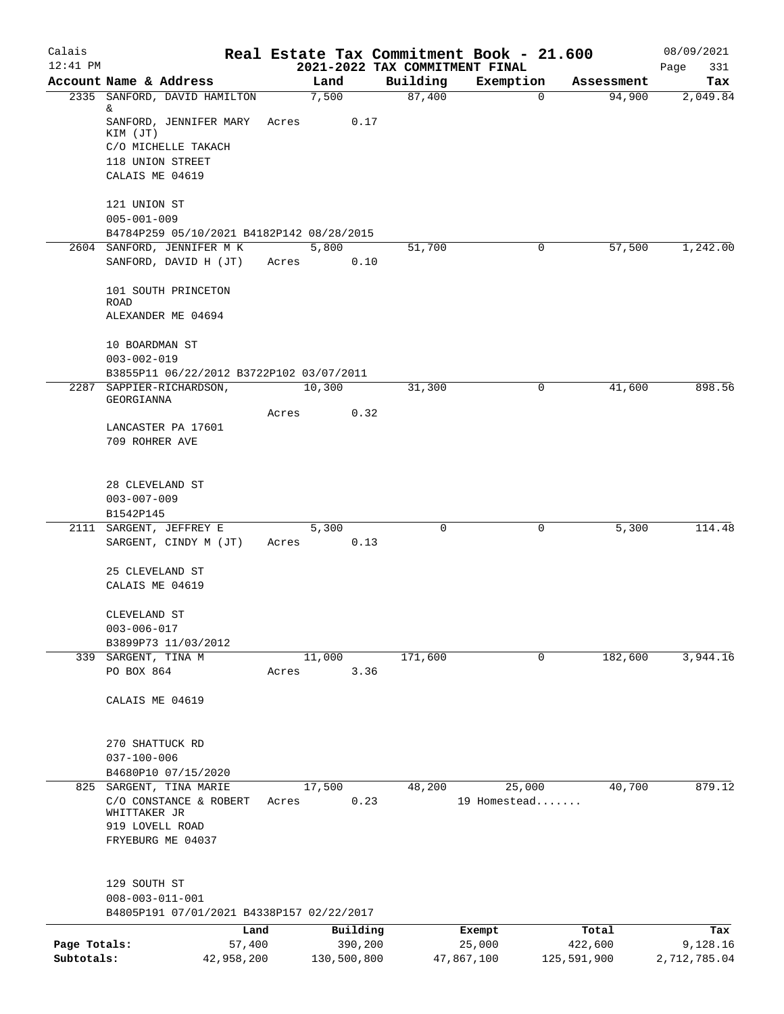| Calais       |                                                     |       |               |                                            | Real Estate Tax Commitment Book - 21.600 |                      | 08/09/2021      |
|--------------|-----------------------------------------------------|-------|---------------|--------------------------------------------|------------------------------------------|----------------------|-----------------|
| $12:41$ PM   | Account Name & Address                              |       |               | 2021-2022 TAX COMMITMENT FINAL<br>Building | Exemption                                |                      | Page<br>331     |
|              | 2335 SANFORD, DAVID HAMILTON                        |       | Land<br>7,500 | 87,400                                     | $\mathbf 0$                              | Assessment<br>94,900 | Tax<br>2,049.84 |
|              | &.                                                  |       |               |                                            |                                          |                      |                 |
|              | SANFORD, JENNIFER MARY                              | Acres | 0.17          |                                            |                                          |                      |                 |
|              | KIM (JT)<br>C/O MICHELLE TAKACH                     |       |               |                                            |                                          |                      |                 |
|              | 118 UNION STREET                                    |       |               |                                            |                                          |                      |                 |
|              | CALAIS ME 04619                                     |       |               |                                            |                                          |                      |                 |
|              |                                                     |       |               |                                            |                                          |                      |                 |
|              | 121 UNION ST                                        |       |               |                                            |                                          |                      |                 |
|              | $005 - 001 - 009$                                   |       |               |                                            |                                          |                      |                 |
|              | B4784P259 05/10/2021 B4182P142 08/28/2015           |       |               |                                            |                                          |                      |                 |
|              | 2604 SANFORD, JENNIFER M K<br>SANFORD, DAVID H (JT) | Acres | 5,800<br>0.10 | 51,700                                     | 0                                        | 57,500               | 1,242.00        |
|              |                                                     |       |               |                                            |                                          |                      |                 |
|              | 101 SOUTH PRINCETON                                 |       |               |                                            |                                          |                      |                 |
|              | <b>ROAD</b>                                         |       |               |                                            |                                          |                      |                 |
|              | ALEXANDER ME 04694                                  |       |               |                                            |                                          |                      |                 |
|              | 10 BOARDMAN ST                                      |       |               |                                            |                                          |                      |                 |
|              | $003 - 002 - 019$                                   |       |               |                                            |                                          |                      |                 |
|              | B3855P11 06/22/2012 B3722P102 03/07/2011            |       |               |                                            |                                          |                      |                 |
|              | 2287 SAPPIER-RICHARDSON,                            |       | 10,300        | 31,300                                     | 0                                        | 41,600               | 898.56          |
|              | GEORGIANNA                                          |       |               |                                            |                                          |                      |                 |
|              |                                                     | Acres | 0.32          |                                            |                                          |                      |                 |
|              | LANCASTER PA 17601<br>709 ROHRER AVE                |       |               |                                            |                                          |                      |                 |
|              |                                                     |       |               |                                            |                                          |                      |                 |
|              |                                                     |       |               |                                            |                                          |                      |                 |
|              | 28 CLEVELAND ST                                     |       |               |                                            |                                          |                      |                 |
|              | $003 - 007 - 009$                                   |       |               |                                            |                                          |                      |                 |
|              | B1542P145                                           |       |               |                                            |                                          |                      |                 |
|              | 2111 SARGENT, JEFFREY E<br>SARGENT, CINDY M (JT)    | Acres | 5,300<br>0.13 | 0                                          | 0                                        | 5,300                | 114.48          |
|              |                                                     |       |               |                                            |                                          |                      |                 |
|              | 25 CLEVELAND ST                                     |       |               |                                            |                                          |                      |                 |
|              | CALAIS ME 04619                                     |       |               |                                            |                                          |                      |                 |
|              |                                                     |       |               |                                            |                                          |                      |                 |
|              | CLEVELAND ST                                        |       |               |                                            |                                          |                      |                 |
|              | $003 - 006 - 017$<br>B3899P73 11/03/2012            |       |               |                                            |                                          |                      |                 |
|              | 339 SARGENT, TINA M                                 |       | 11,000        | 171,600                                    | 0                                        | 182,600              | 3,944.16        |
|              | PO BOX 864                                          | Acres | 3.36          |                                            |                                          |                      |                 |
|              |                                                     |       |               |                                            |                                          |                      |                 |
|              | CALAIS ME 04619                                     |       |               |                                            |                                          |                      |                 |
|              |                                                     |       |               |                                            |                                          |                      |                 |
|              | 270 SHATTUCK RD                                     |       |               |                                            |                                          |                      |                 |
|              | $037 - 100 - 006$                                   |       |               |                                            |                                          |                      |                 |
|              | B4680P10 07/15/2020                                 |       |               |                                            |                                          |                      |                 |
| 825          | SARGENT, TINA MARIE                                 |       | 17,500        | 48,200                                     | 25,000                                   | 40,700               | 879.12          |
|              | C/O CONSTANCE & ROBERT                              | Acres | 0.23          |                                            | 19 Homestead                             |                      |                 |
|              | WHITTAKER JR                                        |       |               |                                            |                                          |                      |                 |
|              | 919 LOVELL ROAD<br>FRYEBURG ME 04037                |       |               |                                            |                                          |                      |                 |
|              |                                                     |       |               |                                            |                                          |                      |                 |
|              |                                                     |       |               |                                            |                                          |                      |                 |
|              | 129 SOUTH ST                                        |       |               |                                            |                                          |                      |                 |
|              | $008 - 003 - 011 - 001$                             |       |               |                                            |                                          |                      |                 |
|              | B4805P191 07/01/2021 B4338P157 02/22/2017           |       |               |                                            |                                          |                      |                 |
|              |                                                     | Land  | Building      |                                            | Exempt                                   | Total                | Tax             |
| Page Totals: | 57,400                                              |       | 390,200       |                                            | 25,000                                   | 422,600              | 9,128.16        |
| Subtotals:   | 42,958,200                                          |       | 130,500,800   |                                            | 47,867,100                               | 125,591,900          | 2,712,785.04    |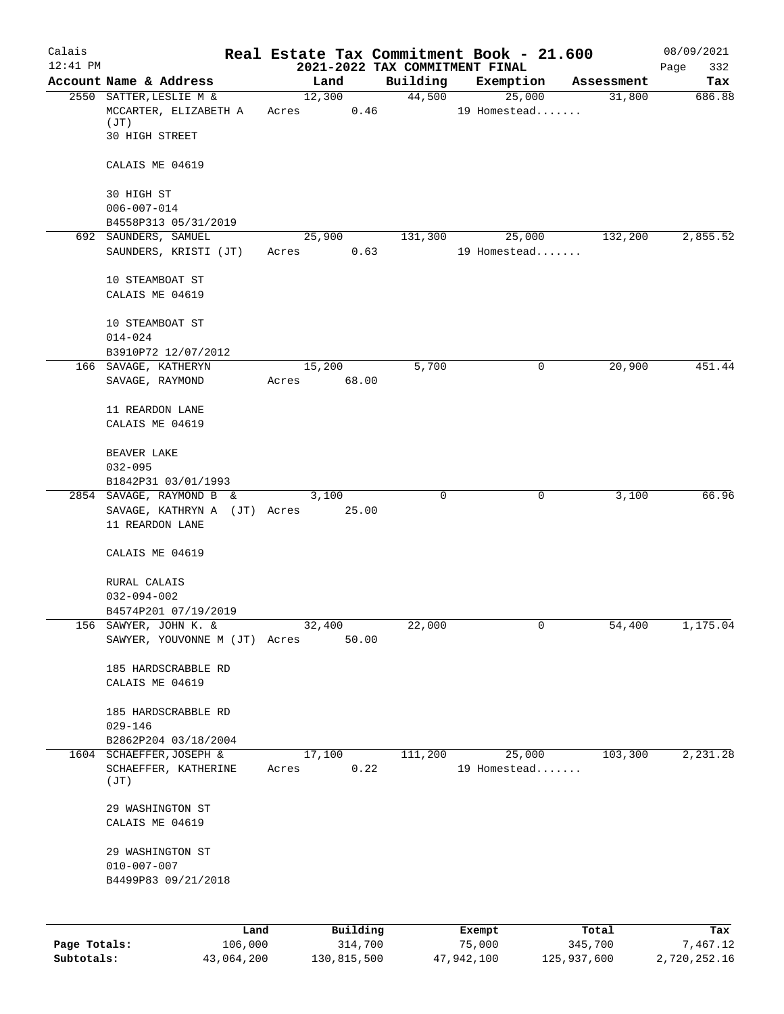| Calais       |                                                          |                          |                                | Real Estate Tax Commitment Book - 21.600 |                  | 08/09/2021      |
|--------------|----------------------------------------------------------|--------------------------|--------------------------------|------------------------------------------|------------------|-----------------|
| $12:41$ PM   |                                                          |                          | 2021-2022 TAX COMMITMENT FINAL |                                          |                  | Page<br>332     |
|              | Account Name & Address                                   | Land                     | Building                       | Exemption                                | Assessment       | Tax             |
|              | 2550 SATTER, LESLIE M &<br>MCCARTER, ELIZABETH A<br>(JT) | 12,300<br>Acres          | 44,500<br>0.46                 | 25,000<br>19 Homestead                   | 31,800           | 686.88          |
|              | 30 HIGH STREET                                           |                          |                                |                                          |                  |                 |
|              | CALAIS ME 04619                                          |                          |                                |                                          |                  |                 |
|              | 30 HIGH ST                                               |                          |                                |                                          |                  |                 |
|              | $006 - 007 - 014$<br>B4558P313 05/31/2019                |                          |                                |                                          |                  |                 |
|              | 692 SAUNDERS, SAMUEL                                     | 25,900                   | 131,300                        | 25,000                                   | 132,200          | 2,855.52        |
|              | SAUNDERS, KRISTI (JT)                                    | Acres                    | 0.63                           | 19 Homestead                             |                  |                 |
|              | 10 STEAMBOAT ST<br>CALAIS ME 04619                       |                          |                                |                                          |                  |                 |
|              | 10 STEAMBOAT ST<br>$014 - 024$                           |                          |                                |                                          |                  |                 |
|              | B3910P72 12/07/2012                                      |                          |                                |                                          |                  |                 |
|              | 166 SAVAGE, KATHERYN<br>SAVAGE, RAYMOND                  | 15,200<br>68.00<br>Acres | 5,700                          | 0                                        | 20,900           | 451.44          |
|              | 11 REARDON LANE<br>CALAIS ME 04619                       |                          |                                |                                          |                  |                 |
|              | BEAVER LAKE                                              |                          |                                |                                          |                  |                 |
|              | $032 - 095$                                              |                          |                                |                                          |                  |                 |
|              | B1842P31 03/01/1993                                      |                          |                                |                                          |                  |                 |
|              | 2854 SAVAGE, RAYMOND B &<br>SAVAGE, KATHRYN A (JT) Acres | 3,100<br>25.00           | 0                              | 0                                        | 3,100            | 66.96           |
|              | 11 REARDON LANE                                          |                          |                                |                                          |                  |                 |
|              | CALAIS ME 04619                                          |                          |                                |                                          |                  |                 |
|              | RURAL CALAIS                                             |                          |                                |                                          |                  |                 |
|              | $032 - 094 - 002$                                        |                          |                                |                                          |                  |                 |
|              | B4574P201 07/19/2019                                     |                          |                                |                                          |                  |                 |
|              | 156 SAWYER, JOHN K. &<br>SAWYER, YOUVONNE M (JT) Acres   | 32,400<br>50.00          | 22,000                         | 0                                        | 54,400           | 1,175.04        |
|              | 185 HARDSCRABBLE RD                                      |                          |                                |                                          |                  |                 |
|              | CALAIS ME 04619                                          |                          |                                |                                          |                  |                 |
|              | 185 HARDSCRABBLE RD<br>$029 - 146$                       |                          |                                |                                          |                  |                 |
|              | B2862P204 03/18/2004                                     |                          |                                |                                          |                  |                 |
| 1604         | SCHAEFFER, JOSEPH &                                      | 17,100                   | 111,200                        | 25,000                                   | 103,300          | 2,231.28        |
|              | SCHAEFFER, KATHERINE<br>(JT)                             | Acres                    | 0.22                           | 19 Homestead                             |                  |                 |
|              | 29 WASHINGTON ST                                         |                          |                                |                                          |                  |                 |
|              | CALAIS ME 04619                                          |                          |                                |                                          |                  |                 |
|              | 29 WASHINGTON ST                                         |                          |                                |                                          |                  |                 |
|              | $010 - 007 - 007$                                        |                          |                                |                                          |                  |                 |
|              | B4499P83 09/21/2018                                      |                          |                                |                                          |                  |                 |
|              |                                                          |                          |                                |                                          |                  |                 |
| Page Totals: | Land<br>106,000                                          | Building<br>314,700      |                                | Exempt<br>75,000                         | Total<br>345,700 | Tax<br>7,467.12 |
|              |                                                          |                          |                                |                                          |                  |                 |

**Subtotals:** 43,064,200 130,815,500 47,942,100 125,937,600 2,720,252.16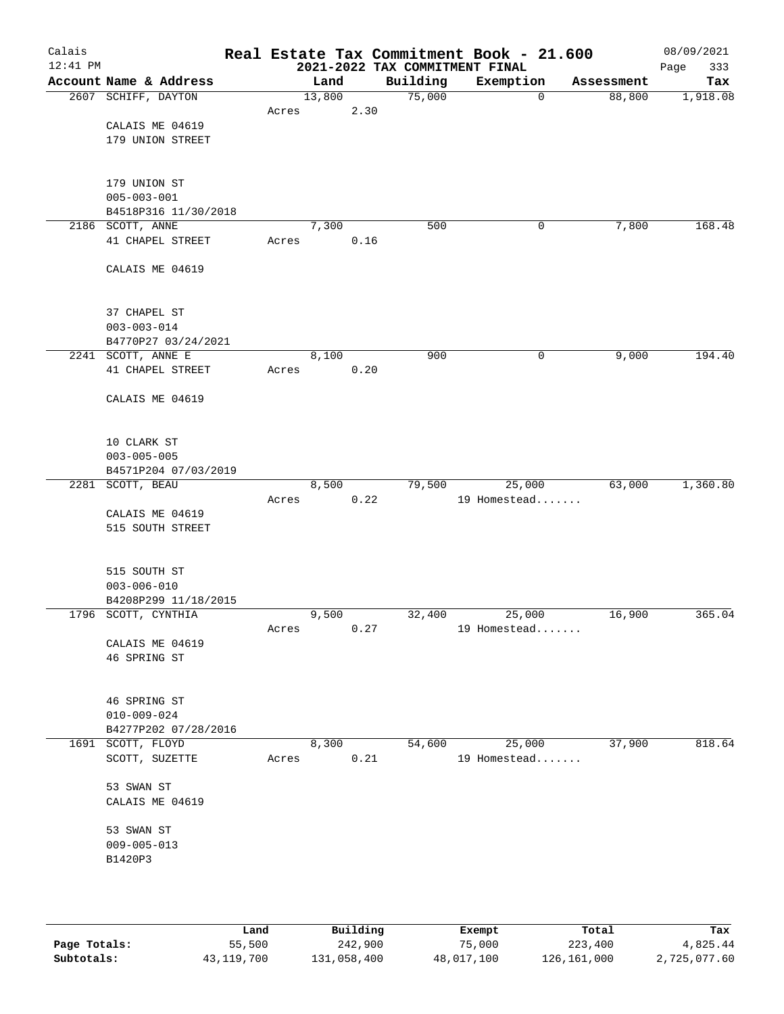| Calais<br>$12:41$ PM |                                             |       |        |      |          | Real Estate Tax Commitment Book - 21.600<br>2021-2022 TAX COMMITMENT FINAL |             |            | 08/09/2021<br>333<br>Page |
|----------------------|---------------------------------------------|-------|--------|------|----------|----------------------------------------------------------------------------|-------------|------------|---------------------------|
|                      | Account Name & Address                      |       | Land   |      | Building | Exemption                                                                  |             | Assessment | Tax                       |
|                      | 2607 SCHIFF, DAYTON                         |       | 13,800 |      | 75,000   |                                                                            | $\mathbf 0$ | 88,800     | 1,918.08                  |
|                      |                                             | Acres |        | 2.30 |          |                                                                            |             |            |                           |
|                      | CALAIS ME 04619                             |       |        |      |          |                                                                            |             |            |                           |
|                      | 179 UNION STREET                            |       |        |      |          |                                                                            |             |            |                           |
|                      |                                             |       |        |      |          |                                                                            |             |            |                           |
|                      |                                             |       |        |      |          |                                                                            |             |            |                           |
|                      | 179 UNION ST<br>$005 - 003 - 001$           |       |        |      |          |                                                                            |             |            |                           |
|                      | B4518P316 11/30/2018                        |       |        |      |          |                                                                            |             |            |                           |
|                      | 2186 SCOTT, ANNE                            |       | 7,300  |      | 500      |                                                                            | 0           | 7,800      | 168.48                    |
|                      | 41 CHAPEL STREET                            | Acres |        | 0.16 |          |                                                                            |             |            |                           |
|                      |                                             |       |        |      |          |                                                                            |             |            |                           |
|                      | CALAIS ME 04619                             |       |        |      |          |                                                                            |             |            |                           |
|                      |                                             |       |        |      |          |                                                                            |             |            |                           |
|                      |                                             |       |        |      |          |                                                                            |             |            |                           |
|                      | 37 CHAPEL ST                                |       |        |      |          |                                                                            |             |            |                           |
|                      | $003 - 003 - 014$                           |       |        |      |          |                                                                            |             |            |                           |
|                      | B4770P27 03/24/2021<br>2241 SCOTT, ANNE E   |       | 8,100  |      | 900      |                                                                            | 0           | 9,000      | 194.40                    |
|                      | 41 CHAPEL STREET                            | Acres |        | 0.20 |          |                                                                            |             |            |                           |
|                      |                                             |       |        |      |          |                                                                            |             |            |                           |
|                      | CALAIS ME 04619                             |       |        |      |          |                                                                            |             |            |                           |
|                      |                                             |       |        |      |          |                                                                            |             |            |                           |
|                      |                                             |       |        |      |          |                                                                            |             |            |                           |
|                      | 10 CLARK ST                                 |       |        |      |          |                                                                            |             |            |                           |
|                      | $003 - 005 - 005$                           |       |        |      |          |                                                                            |             |            |                           |
|                      | B4571P204 07/03/2019<br>2281 SCOTT, BEAU    |       | 8,500  |      | 79,500   | 25,000                                                                     |             | 63,000     | 1,360.80                  |
|                      |                                             | Acres |        | 0.22 |          | 19 Homestead                                                               |             |            |                           |
|                      | CALAIS ME 04619                             |       |        |      |          |                                                                            |             |            |                           |
|                      | 515 SOUTH STREET                            |       |        |      |          |                                                                            |             |            |                           |
|                      |                                             |       |        |      |          |                                                                            |             |            |                           |
|                      |                                             |       |        |      |          |                                                                            |             |            |                           |
|                      | 515 SOUTH ST                                |       |        |      |          |                                                                            |             |            |                           |
|                      | $003 - 006 - 010$                           |       |        |      |          |                                                                            |             |            |                           |
|                      | B4208P299 11/18/2015<br>1796 SCOTT, CYNTHIA |       | 9,500  |      | 32,400   | 25,000                                                                     |             | 16,900     | 365.04                    |
|                      |                                             | Acres |        | 0.27 |          | 19 Homestead                                                               |             |            |                           |
|                      | CALAIS ME 04619                             |       |        |      |          |                                                                            |             |            |                           |
|                      | 46 SPRING ST                                |       |        |      |          |                                                                            |             |            |                           |
|                      |                                             |       |        |      |          |                                                                            |             |            |                           |
|                      |                                             |       |        |      |          |                                                                            |             |            |                           |
|                      | 46 SPRING ST                                |       |        |      |          |                                                                            |             |            |                           |
|                      | $010 - 009 - 024$                           |       |        |      |          |                                                                            |             |            |                           |
|                      | B4277P202 07/28/2016<br>1691 SCOTT, FLOYD   |       | 8,300  |      | 54,600   | 25,000                                                                     |             | 37,900     | 818.64                    |
|                      | SCOTT, SUZETTE                              | Acres |        | 0.21 |          | 19 Homestead                                                               |             |            |                           |
|                      |                                             |       |        |      |          |                                                                            |             |            |                           |
|                      | 53 SWAN ST                                  |       |        |      |          |                                                                            |             |            |                           |
|                      | CALAIS ME 04619                             |       |        |      |          |                                                                            |             |            |                           |
|                      |                                             |       |        |      |          |                                                                            |             |            |                           |
|                      | 53 SWAN ST                                  |       |        |      |          |                                                                            |             |            |                           |
|                      | $009 - 005 - 013$                           |       |        |      |          |                                                                            |             |            |                           |
|                      | B1420P3                                     |       |        |      |          |                                                                            |             |            |                           |
|                      |                                             |       |        |      |          |                                                                            |             |            |                           |
|                      |                                             |       |        |      |          |                                                                            |             |            |                           |

|              | Land       | Building    | Exempt     | Total       | Tax          |
|--------------|------------|-------------|------------|-------------|--------------|
| Page Totals: | 55,500     | 242,900     | 75,000     | 223,400     | 4,825.44     |
| Subtotals:   | 43,119,700 | 131,058,400 | 48,017,100 | 126,161,000 | 2,725,077.60 |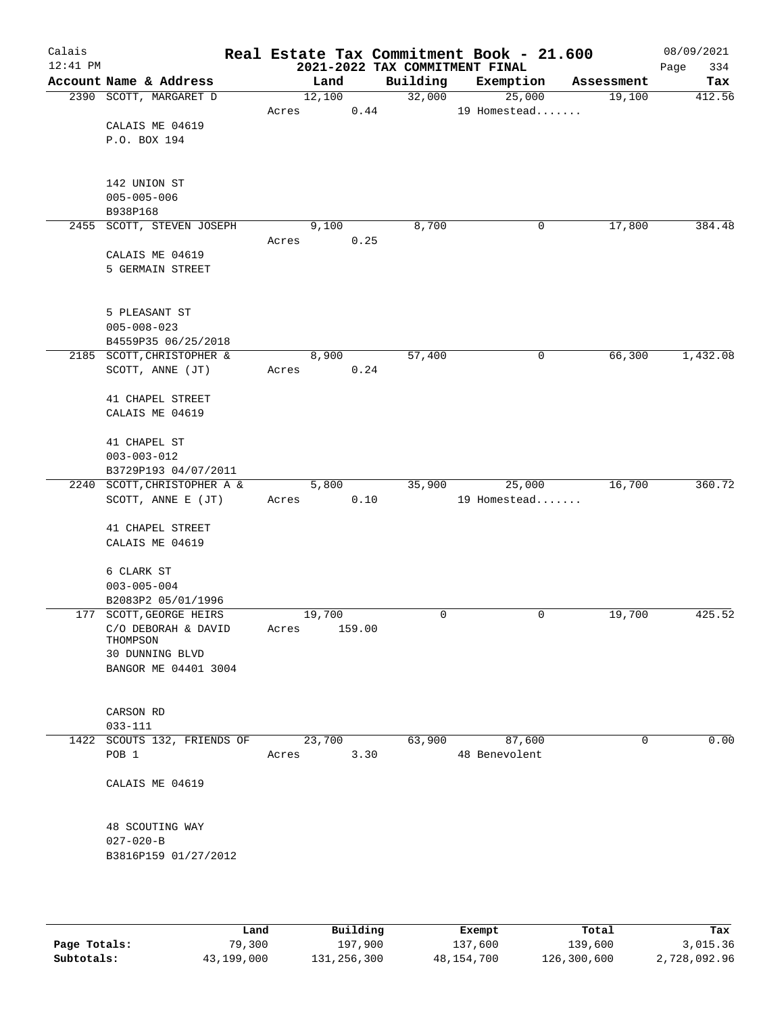| Calais<br>$12:41$ PM |                                                   |       |        |        |      |          | Real Estate Tax Commitment Book - 21.600<br>2021-2022 TAX COMMITMENT FINAL |   |            | 08/09/2021<br>334<br>Page |
|----------------------|---------------------------------------------------|-------|--------|--------|------|----------|----------------------------------------------------------------------------|---|------------|---------------------------|
|                      | Account Name & Address                            |       |        | Land   |      | Building | Exemption                                                                  |   | Assessment | Tax                       |
|                      | 2390 SCOTT, MARGARET D                            |       |        | 12,100 |      | 32,000   | 25,000                                                                     |   | 19,100     | 412.56                    |
|                      |                                                   | Acres |        |        | 0.44 |          | 19 Homestead                                                               |   |            |                           |
|                      | CALAIS ME 04619                                   |       |        |        |      |          |                                                                            |   |            |                           |
|                      | P.O. BOX 194                                      |       |        |        |      |          |                                                                            |   |            |                           |
|                      |                                                   |       |        |        |      |          |                                                                            |   |            |                           |
|                      |                                                   |       |        |        |      |          |                                                                            |   |            |                           |
|                      | 142 UNION ST                                      |       |        |        |      |          |                                                                            |   |            |                           |
|                      | $005 - 005 - 006$                                 |       |        |        |      |          |                                                                            |   |            |                           |
|                      | B938P168                                          |       |        |        |      | 8,700    |                                                                            |   |            | 384.48                    |
|                      | 2455 SCOTT, STEVEN JOSEPH                         | Acres |        | 9,100  | 0.25 |          |                                                                            | 0 | 17,800     |                           |
|                      | CALAIS ME 04619                                   |       |        |        |      |          |                                                                            |   |            |                           |
|                      | 5 GERMAIN STREET                                  |       |        |        |      |          |                                                                            |   |            |                           |
|                      |                                                   |       |        |        |      |          |                                                                            |   |            |                           |
|                      |                                                   |       |        |        |      |          |                                                                            |   |            |                           |
|                      | 5 PLEASANT ST                                     |       |        |        |      |          |                                                                            |   |            |                           |
|                      | $005 - 008 - 023$                                 |       |        |        |      |          |                                                                            |   |            |                           |
|                      | B4559P35 06/25/2018                               |       |        |        |      |          |                                                                            |   |            |                           |
|                      | 2185 SCOTT, CHRISTOPHER &                         |       |        | 8,900  |      | 57,400   |                                                                            | 0 | 66,300     | 1,432.08                  |
|                      | SCOTT, ANNE (JT)                                  | Acres |        |        | 0.24 |          |                                                                            |   |            |                           |
|                      |                                                   |       |        |        |      |          |                                                                            |   |            |                           |
|                      | 41 CHAPEL STREET                                  |       |        |        |      |          |                                                                            |   |            |                           |
|                      | CALAIS ME 04619                                   |       |        |        |      |          |                                                                            |   |            |                           |
|                      |                                                   |       |        |        |      |          |                                                                            |   |            |                           |
|                      | 41 CHAPEL ST                                      |       |        |        |      |          |                                                                            |   |            |                           |
|                      | $003 - 003 - 012$                                 |       |        |        |      |          |                                                                            |   |            |                           |
|                      | B3729P193 04/07/2011                              |       |        |        |      |          |                                                                            |   |            |                           |
|                      | 2240 SCOTT, CHRISTOPHER A &<br>SCOTT, ANNE E (JT) |       |        | 5,800  | 0.10 | 35,900   | 25,000<br>19 Homestead                                                     |   | 16,700     | 360.72                    |
|                      |                                                   | Acres |        |        |      |          |                                                                            |   |            |                           |
|                      | 41 CHAPEL STREET                                  |       |        |        |      |          |                                                                            |   |            |                           |
|                      | CALAIS ME 04619                                   |       |        |        |      |          |                                                                            |   |            |                           |
|                      |                                                   |       |        |        |      |          |                                                                            |   |            |                           |
|                      | 6 CLARK ST                                        |       |        |        |      |          |                                                                            |   |            |                           |
|                      | $003 - 005 - 004$                                 |       |        |        |      |          |                                                                            |   |            |                           |
|                      | B2083P2 05/01/1996                                |       |        |        |      |          |                                                                            |   |            |                           |
|                      | 177 SCOTT, GEORGE HEIRS                           |       | 19,700 |        |      | 0        |                                                                            | 0 | 19,700     | 425.52                    |
|                      | C/O DEBORAH & DAVID                               | Acres |        | 159.00 |      |          |                                                                            |   |            |                           |
|                      | THOMPSON                                          |       |        |        |      |          |                                                                            |   |            |                           |
|                      | 30 DUNNING BLVD                                   |       |        |        |      |          |                                                                            |   |            |                           |
|                      | BANGOR ME 04401 3004                              |       |        |        |      |          |                                                                            |   |            |                           |
|                      |                                                   |       |        |        |      |          |                                                                            |   |            |                           |
|                      | CARSON RD                                         |       |        |        |      |          |                                                                            |   |            |                           |
|                      | $033 - 111$                                       |       |        |        |      |          |                                                                            |   |            |                           |
|                      | 1422 SCOUTS 132, FRIENDS OF                       |       |        | 23,700 |      | 63,900   | 87,600                                                                     |   | 0          | 0.00                      |
|                      | POB <sub>1</sub>                                  | Acres |        |        | 3.30 |          | 48 Benevolent                                                              |   |            |                           |
|                      |                                                   |       |        |        |      |          |                                                                            |   |            |                           |
|                      | CALAIS ME 04619                                   |       |        |        |      |          |                                                                            |   |            |                           |
|                      |                                                   |       |        |        |      |          |                                                                            |   |            |                           |
|                      |                                                   |       |        |        |      |          |                                                                            |   |            |                           |
|                      | 48 SCOUTING WAY                                   |       |        |        |      |          |                                                                            |   |            |                           |
|                      | $027 - 020 - B$                                   |       |        |        |      |          |                                                                            |   |            |                           |
|                      | B3816P159 01/27/2012                              |       |        |        |      |          |                                                                            |   |            |                           |
|                      |                                                   |       |        |        |      |          |                                                                            |   |            |                           |
|                      |                                                   |       |        |        |      |          |                                                                            |   |            |                           |
|                      |                                                   |       |        |        |      |          |                                                                            |   |            |                           |

|              | Land       | Building    | Exempt     | Total       | Tax          |
|--------------|------------|-------------|------------|-------------|--------------|
| Page Totals: | 79,300     | 197,900     | 137,600    | 139,600     | 3,015.36     |
| Subtotals:   | 43,199,000 | 131,256,300 | 48,154,700 | 126,300,600 | 2,728,092.96 |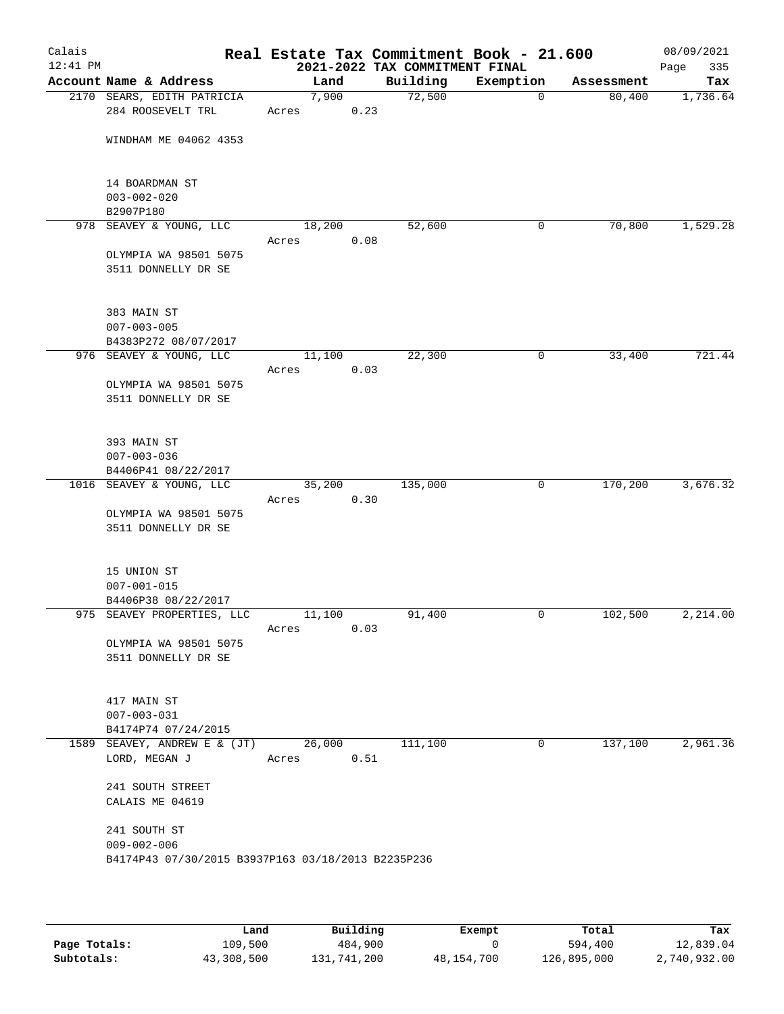| Account Name & Address<br>2170 SEARS, EDITH PATRICIA<br>284 ROOSEVELT TRL<br>WINDHAM ME 04062 4353<br>14 BOARDMAN ST<br>$003 - 002 - 020$<br>B2907P180<br>978 SEAVEY & YOUNG, LLC<br>OLYMPIA WA 98501 5075<br>3511 DONNELLY DR SE<br>383 MAIN ST<br>$007 - 003 - 005$<br>B4383P272 08/07/2017<br>976 SEAVEY & YOUNG, LLC<br>OLYMPIA WA 98501 5075 | Land<br>7,900<br>Acres<br>18,200<br>Acres<br>11,100<br>Acres                  | 0.23<br>0.08 | 2021-2022 TAX COMMITMENT FINAL<br>Building<br>72,500<br>52,600 | Exemption<br>$\overline{0}$<br>0                                                      | Assessment<br>80,400<br>70,800 | 335<br>Page<br>Tax |
|---------------------------------------------------------------------------------------------------------------------------------------------------------------------------------------------------------------------------------------------------------------------------------------------------------------------------------------------------|-------------------------------------------------------------------------------|--------------|----------------------------------------------------------------|---------------------------------------------------------------------------------------|--------------------------------|--------------------|
|                                                                                                                                                                                                                                                                                                                                                   |                                                                               |              |                                                                |                                                                                       |                                | 1,736.64           |
|                                                                                                                                                                                                                                                                                                                                                   |                                                                               |              |                                                                |                                                                                       |                                | 1,529.28           |
|                                                                                                                                                                                                                                                                                                                                                   |                                                                               |              |                                                                |                                                                                       |                                |                    |
|                                                                                                                                                                                                                                                                                                                                                   |                                                                               |              |                                                                |                                                                                       |                                |                    |
|                                                                                                                                                                                                                                                                                                                                                   |                                                                               |              |                                                                |                                                                                       |                                |                    |
|                                                                                                                                                                                                                                                                                                                                                   |                                                                               |              |                                                                |                                                                                       |                                |                    |
|                                                                                                                                                                                                                                                                                                                                                   |                                                                               |              |                                                                |                                                                                       |                                |                    |
|                                                                                                                                                                                                                                                                                                                                                   |                                                                               |              | 22,300                                                         | 0                                                                                     | 33,400                         | 721.44             |
|                                                                                                                                                                                                                                                                                                                                                   |                                                                               | 0.03         |                                                                |                                                                                       |                                |                    |
| 3511 DONNELLY DR SE                                                                                                                                                                                                                                                                                                                               |                                                                               |              |                                                                |                                                                                       |                                |                    |
| 393 MAIN ST<br>$007 - 003 - 036$                                                                                                                                                                                                                                                                                                                  |                                                                               |              |                                                                |                                                                                       |                                |                    |
|                                                                                                                                                                                                                                                                                                                                                   |                                                                               |              |                                                                | $\mathbf 0$                                                                           |                                | 3,676.32           |
| OLYMPIA WA 98501 5075<br>3511 DONNELLY DR SE                                                                                                                                                                                                                                                                                                      | Acres                                                                         |              |                                                                |                                                                                       |                                |                    |
| 15 UNION ST<br>$007 - 001 - 015$<br>B4406P38 08/22/2017                                                                                                                                                                                                                                                                                           |                                                                               |              |                                                                |                                                                                       |                                |                    |
|                                                                                                                                                                                                                                                                                                                                                   |                                                                               |              | 91,400                                                         | 0                                                                                     |                                | 2,214.00           |
| OLYMPIA WA 98501 5075<br>3511 DONNELLY DR SE                                                                                                                                                                                                                                                                                                      |                                                                               |              |                                                                |                                                                                       |                                |                    |
| 417 MAIN ST<br>$007 - 003 - 031$<br>B4174P74 07/24/2015                                                                                                                                                                                                                                                                                           |                                                                               |              |                                                                |                                                                                       |                                |                    |
| 1589 SEAVEY, ANDREW E & (JT)                                                                                                                                                                                                                                                                                                                      |                                                                               |              | 111,100                                                        | 0                                                                                     | 137,100                        | 2,961.36           |
| LORD, MEGAN J                                                                                                                                                                                                                                                                                                                                     | Acres                                                                         |              |                                                                |                                                                                       |                                |                    |
| 241 SOUTH STREET<br>CALAIS ME 04619                                                                                                                                                                                                                                                                                                               |                                                                               |              |                                                                |                                                                                       |                                |                    |
| 241 SOUTH ST<br>$009 - 002 - 006$                                                                                                                                                                                                                                                                                                                 |                                                                               |              |                                                                |                                                                                       |                                |                    |
|                                                                                                                                                                                                                                                                                                                                                   | B4406P41 08/22/2017<br>1016 SEAVEY & YOUNG, LLC<br>975 SEAVEY PROPERTIES, LLC | Acres        | 35,200<br>11,100<br>26,000                                     | 135,000<br>0.30<br>0.03<br>0.51<br>B4174P43 07/30/2015 B3937P163 03/18/2013 B2235P236 |                                | 170,200<br>102,500 |

|              | Land       | Building    | Exempt     | Total       | Tax          |
|--------------|------------|-------------|------------|-------------|--------------|
| Page Totals: | 109,500    | 484,900     |            | 594,400     | 12,839.04    |
| Subtotals:   | 43,308,500 | 131,741,200 | 48,154,700 | 126,895,000 | 2,740,932.00 |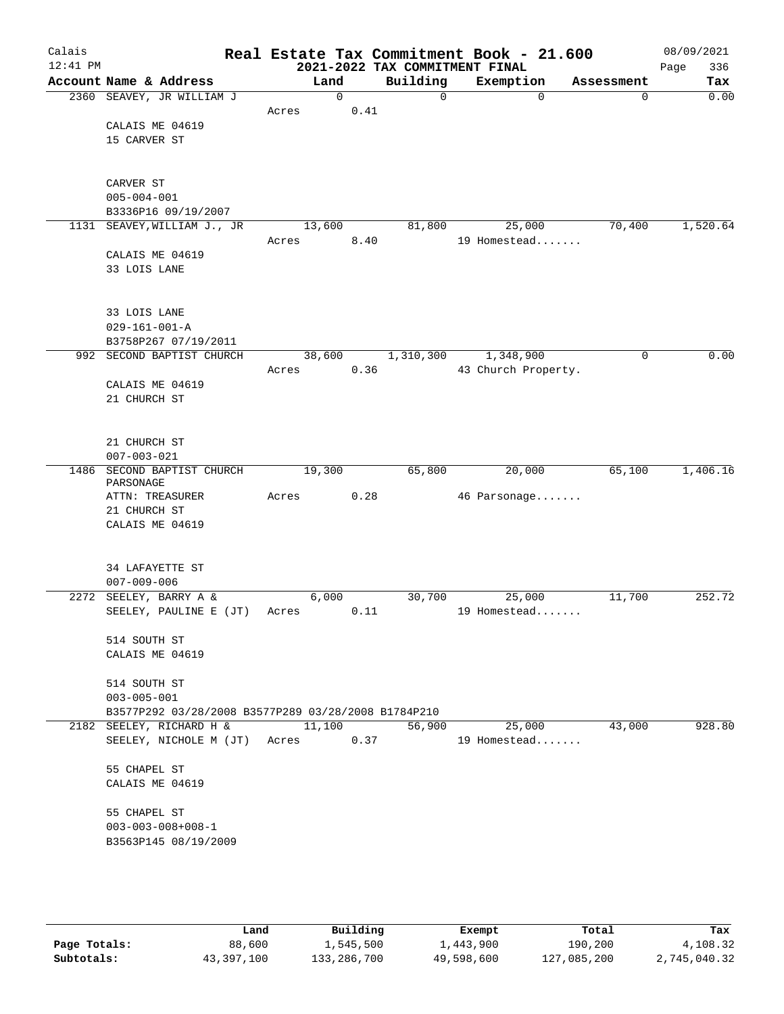| Calais     |                                                     |       |          |           | Real Estate Tax Commitment Book - 21.600    |                     |             | 08/09/2021         |
|------------|-----------------------------------------------------|-------|----------|-----------|---------------------------------------------|---------------------|-------------|--------------------|
| $12:41$ PM | Account Name & Address                              |       | Land     | Building  | 2021-2022 TAX COMMITMENT FINAL<br>Exemption |                     | Assessment  | 336<br>Page<br>Tax |
|            | 2360 SEAVEY, JR WILLIAM J                           |       | $\Omega$ |           | $\Omega$                                    | $\Omega$            | $\mathbf 0$ | 0.00               |
|            |                                                     | Acres | 0.41     |           |                                             |                     |             |                    |
|            | CALAIS ME 04619                                     |       |          |           |                                             |                     |             |                    |
|            | 15 CARVER ST                                        |       |          |           |                                             |                     |             |                    |
|            |                                                     |       |          |           |                                             |                     |             |                    |
|            |                                                     |       |          |           |                                             |                     |             |                    |
|            | CARVER ST                                           |       |          |           |                                             |                     |             |                    |
|            | $005 - 004 - 001$                                   |       |          |           |                                             |                     |             |                    |
|            | B3336P16 09/19/2007                                 |       |          |           |                                             |                     |             |                    |
|            | 1131 SEAVEY, WILLIAM J., JR                         |       | 13,600   | 81,800    |                                             | 25,000              | 70,400      | 1,520.64           |
|            |                                                     | Acres | 8.40     |           |                                             | 19 Homestead        |             |                    |
|            | CALAIS ME 04619                                     |       |          |           |                                             |                     |             |                    |
|            | 33 LOIS LANE                                        |       |          |           |                                             |                     |             |                    |
|            |                                                     |       |          |           |                                             |                     |             |                    |
|            | 33 LOIS LANE                                        |       |          |           |                                             |                     |             |                    |
|            | $029 - 161 - 001 - A$                               |       |          |           |                                             |                     |             |                    |
|            | B3758P267 07/19/2011                                |       |          |           |                                             |                     |             |                    |
|            | 992 SECOND BAPTIST CHURCH                           |       | 38,600   | 1,310,300 |                                             | 1,348,900           | $\mathbf 0$ | 0.00               |
|            |                                                     | Acres | 0.36     |           |                                             | 43 Church Property. |             |                    |
|            | CALAIS ME 04619                                     |       |          |           |                                             |                     |             |                    |
|            | 21 CHURCH ST                                        |       |          |           |                                             |                     |             |                    |
|            |                                                     |       |          |           |                                             |                     |             |                    |
|            | 21 CHURCH ST                                        |       |          |           |                                             |                     |             |                    |
|            | $007 - 003 - 021$                                   |       |          |           |                                             |                     |             |                    |
|            | 1486 SECOND BAPTIST CHURCH                          |       | 19,300   | 65,800    |                                             | 20,000              | 65,100      | 1,406.16           |
|            | PARSONAGE                                           |       |          |           |                                             |                     |             |                    |
|            | ATTN: TREASURER                                     | Acres | 0.28     |           |                                             | 46 Parsonage        |             |                    |
|            | 21 CHURCH ST                                        |       |          |           |                                             |                     |             |                    |
|            | CALAIS ME 04619                                     |       |          |           |                                             |                     |             |                    |
|            |                                                     |       |          |           |                                             |                     |             |                    |
|            | 34 LAFAYETTE ST                                     |       |          |           |                                             |                     |             |                    |
|            | $007 - 009 - 006$                                   |       |          |           |                                             |                     |             |                    |
|            | 2272 SEELEY, BARRY A &                              |       | 6,000    | 30,700    |                                             | 25,000              | 11,700      | 252.72             |
|            | SEELEY, PAULINE E (JT)                              | Acres | 0.11     |           |                                             | 19 Homestead        |             |                    |
|            |                                                     |       |          |           |                                             |                     |             |                    |
|            | 514 SOUTH ST                                        |       |          |           |                                             |                     |             |                    |
|            | CALAIS ME 04619                                     |       |          |           |                                             |                     |             |                    |
|            | 514 SOUTH ST                                        |       |          |           |                                             |                     |             |                    |
|            | $003 - 005 - 001$                                   |       |          |           |                                             |                     |             |                    |
|            | B3577P292 03/28/2008 B3577P289 03/28/2008 B1784P210 |       |          |           |                                             |                     |             |                    |
|            | 2182 SEELEY, RICHARD H &                            |       | 11,100   | 56,900    |                                             | 25,000              | 43,000      | 928.80             |
|            | SEELEY, NICHOLE M (JT) Acres 0.37                   |       |          |           |                                             | 19 Homestead        |             |                    |
|            |                                                     |       |          |           |                                             |                     |             |                    |
|            | 55 CHAPEL ST                                        |       |          |           |                                             |                     |             |                    |
|            | CALAIS ME 04619                                     |       |          |           |                                             |                     |             |                    |
|            |                                                     |       |          |           |                                             |                     |             |                    |
|            | 55 CHAPEL ST<br>$003 - 003 - 008 + 008 - 1$         |       |          |           |                                             |                     |             |                    |
|            | B3563P145 08/19/2009                                |       |          |           |                                             |                     |             |                    |
|            |                                                     |       |          |           |                                             |                     |             |                    |
|            |                                                     |       |          |           |                                             |                     |             |                    |
|            |                                                     |       |          |           |                                             |                     |             |                    |

|              | Land       | Building    | Exempt     | Total       | Tax          |
|--------------|------------|-------------|------------|-------------|--------------|
| Page Totals: | 88,600     | 1,545,500   | 1,443,900  | 190,200     | 4,108.32     |
| Subtotals:   | 43,397,100 | 133,286,700 | 49,598,600 | 127,085,200 | 2,745,040.32 |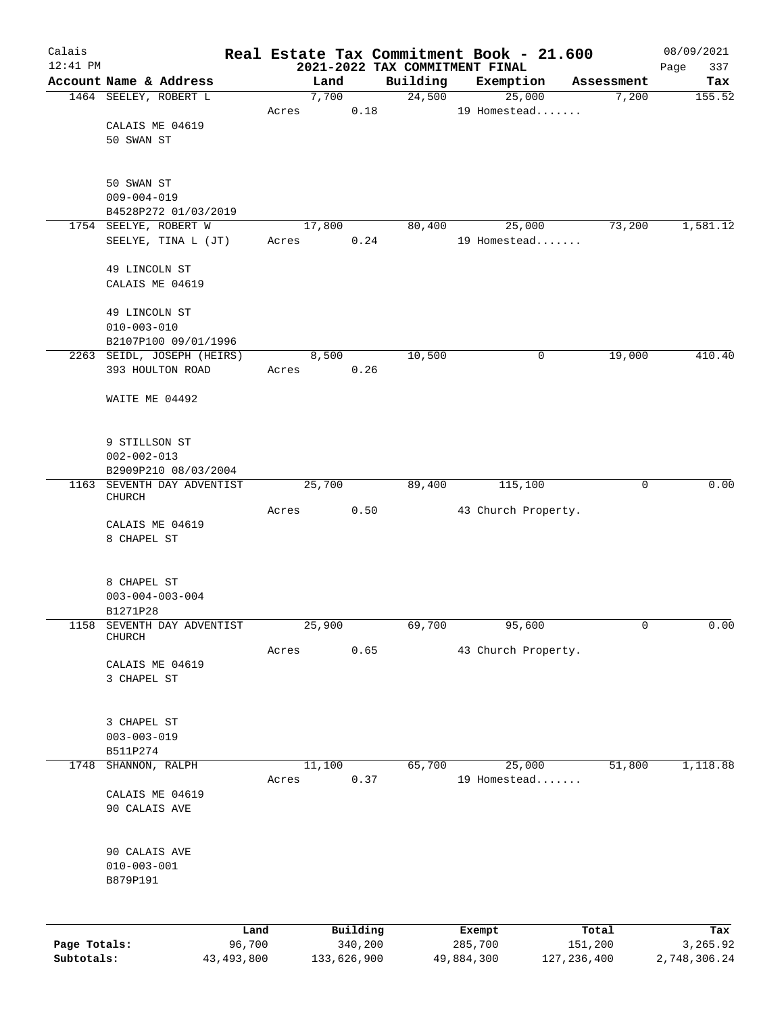| Calais       |                                                                                                         |                |       |               |                     | Real Estate Tax Commitment Book - 21.600 |                   |                        |                     | 08/09/2021      |
|--------------|---------------------------------------------------------------------------------------------------------|----------------|-------|---------------|---------------------|------------------------------------------|-------------------|------------------------|---------------------|-----------------|
| $12:41$ PM   | Account Name & Address                                                                                  |                |       |               |                     | 2021-2022 TAX COMMITMENT FINAL           |                   |                        |                     | 337<br>Page     |
|              | 1464 SEELEY, ROBERT L                                                                                   |                |       | Land<br>7,700 |                     | Building<br>24,500                       | Exemption         | 25,000                 | Assessment<br>7,200 | Tax<br>155.52   |
|              | CALAIS ME 04619<br>50 SWAN ST                                                                           |                | Acres |               | 0.18                |                                          |                   | 19 Homestead           |                     |                 |
|              | 50 SWAN ST<br>$009 - 004 - 019$<br>B4528P272 01/03/2019<br>1754 SEELYE, ROBERT W<br>SEELYE, TINA L (JT) |                |       | 17,800        | 0.24                | 80,400                                   |                   | 25,000<br>19 Homestead | 73,200              | 1,581.12        |
|              | 49 LINCOLN ST<br>CALAIS ME 04619<br>49 LINCOLN ST                                                       |                | Acres |               |                     |                                          |                   |                        |                     |                 |
|              | $010 - 003 - 010$<br>B2107P100 09/01/1996                                                               |                |       |               |                     |                                          |                   |                        |                     |                 |
|              | 2263 SEIDL, JOSEPH (HEIRS)<br>393 HOULTON ROAD                                                          |                | Acres | 8,500         | 0.26                | 10,500                                   |                   | 0                      | 19,000              | 410.40          |
|              | WAITE ME 04492                                                                                          |                |       |               |                     |                                          |                   |                        |                     |                 |
|              | 9 STILLSON ST<br>$002 - 002 - 013$<br>B2909P210 08/03/2004                                              |                |       |               |                     |                                          |                   |                        |                     |                 |
|              | 1163 SEVENTH DAY ADVENTIST<br>CHURCH                                                                    |                |       | 25,700        |                     | 89,400                                   |                   | 115,100                | $\mathbf 0$         | 0.00            |
|              | CALAIS ME 04619<br>8 CHAPEL ST                                                                          |                | Acres |               | 0.50                |                                          |                   | 43 Church Property.    |                     |                 |
|              | 8 CHAPEL ST<br>$003 - 004 - 003 - 004$<br>B1271P28                                                      |                |       |               |                     |                                          |                   |                        |                     |                 |
| 1158         | SEVENTH DAY ADVENTIST<br>CHURCH                                                                         |                |       | 25,900        |                     | 69,700                                   |                   | 95,600                 | 0                   | 0.00            |
|              | CALAIS ME 04619<br>3 CHAPEL ST                                                                          |                | Acres |               | 0.65                |                                          |                   | 43 Church Property.    |                     |                 |
|              | 3 CHAPEL ST<br>$003 - 003 - 019$<br>B511P274                                                            |                |       |               |                     |                                          |                   |                        |                     |                 |
| 1748         | SHANNON, RALPH                                                                                          |                |       | 11,100        |                     | 65,700                                   |                   | 25,000                 | 51,800              | 1,118.88        |
|              | CALAIS ME 04619<br>90 CALAIS AVE                                                                        |                | Acres |               | 0.37                |                                          |                   | 19 Homestead           |                     |                 |
|              | 90 CALAIS AVE<br>$010 - 003 - 001$<br>B879P191                                                          |                |       |               |                     |                                          |                   |                        |                     |                 |
| Page Totals: |                                                                                                         | Land<br>96,700 |       |               | Building<br>340,200 |                                          | Exempt<br>285,700 |                        | Total<br>151,200    | Tax<br>3,265.92 |
| Subtotals:   |                                                                                                         | 43, 493, 800   |       | 133,626,900   |                     |                                          | 49,884,300        |                        | 127, 236, 400       | 2,748,306.24    |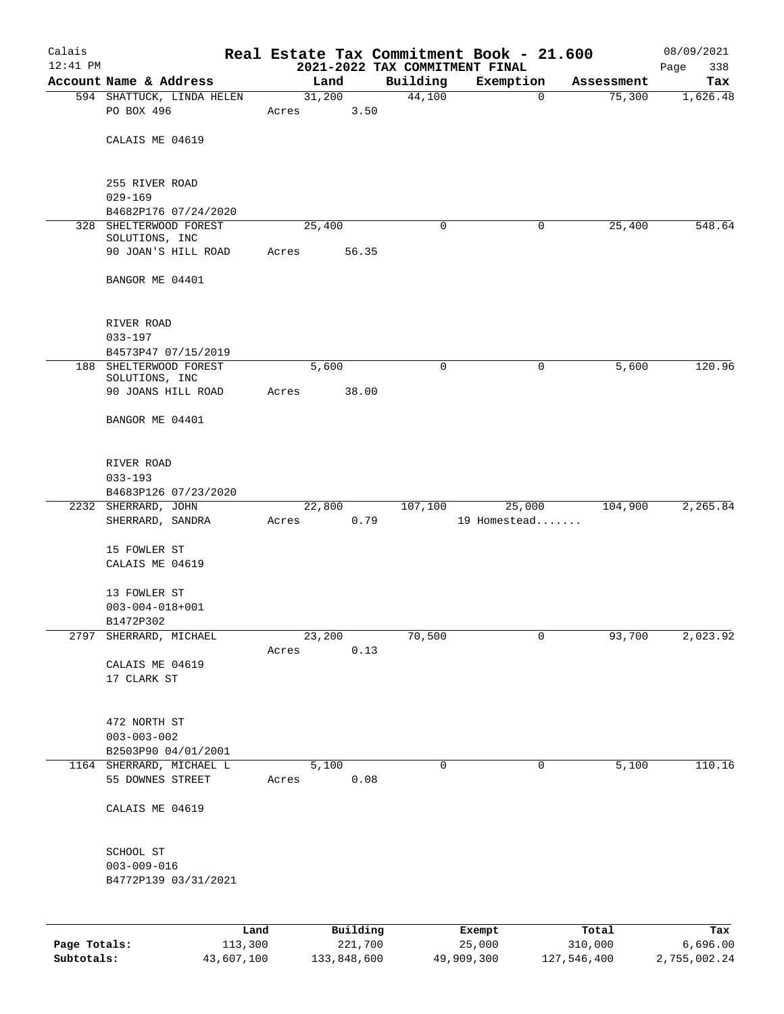| Calais<br>$12:41$ PM |                                                |       |                | 2021-2022 TAX COMMITMENT FINAL | Real Estate Tax Commitment Book - 21.600 |            | 08/09/2021<br>338<br>Page |
|----------------------|------------------------------------------------|-------|----------------|--------------------------------|------------------------------------------|------------|---------------------------|
|                      | Account Name & Address                         |       | Land           | Building                       | Exemption                                | Assessment | Tax                       |
|                      | 594 SHATTUCK, LINDA HELEN                      |       | 31,200         | 44,100                         | $\mathbf 0$                              | 75,300     | 1,626.48                  |
|                      | PO BOX 496                                     | Acres | 3.50           |                                |                                          |            |                           |
|                      | CALAIS ME 04619                                |       |                |                                |                                          |            |                           |
|                      | 255 RIVER ROAD                                 |       |                |                                |                                          |            |                           |
|                      | $029 - 169$                                    |       |                |                                |                                          |            |                           |
|                      | B4682P176 07/24/2020<br>328 SHELTERWOOD FOREST |       | 25,400         | 0                              | 0                                        | 25,400     | 548.64                    |
|                      | SOLUTIONS, INC                                 |       |                |                                |                                          |            |                           |
|                      | 90 JOAN'S HILL ROAD                            | Acres | 56.35          |                                |                                          |            |                           |
|                      | BANGOR ME 04401                                |       |                |                                |                                          |            |                           |
|                      | RIVER ROAD                                     |       |                |                                |                                          |            |                           |
|                      | $033 - 197$                                    |       |                |                                |                                          |            |                           |
|                      | B4573P47 07/15/2019                            |       |                |                                |                                          |            |                           |
|                      | 188 SHELTERWOOD FOREST<br>SOLUTIONS, INC       |       | 5,600          | 0                              | 0                                        | 5,600      | 120.96                    |
|                      | 90 JOANS HILL ROAD                             | Acres | 38.00          |                                |                                          |            |                           |
|                      | BANGOR ME 04401                                |       |                |                                |                                          |            |                           |
|                      | RIVER ROAD<br>$033 - 193$                      |       |                |                                |                                          |            |                           |
|                      | B4683P126 07/23/2020                           |       |                |                                |                                          |            |                           |
|                      | 2232 SHERRARD, JOHN                            |       | 22,800         | 107,100                        | 25,000                                   | 104,900    | 2,265.84                  |
|                      | SHERRARD, SANDRA                               | Acres | 0.79           |                                | 19 Homestead                             |            |                           |
|                      | 15 FOWLER ST                                   |       |                |                                |                                          |            |                           |
|                      | CALAIS ME 04619                                |       |                |                                |                                          |            |                           |
|                      | 13 FOWLER ST                                   |       |                |                                |                                          |            |                           |
|                      | $003 - 004 - 018 + 001$                        |       |                |                                |                                          |            |                           |
|                      | B1472P302                                      |       |                |                                |                                          |            |                           |
|                      | 2797 SHERRARD, MICHAEL                         | Acres | 23,200<br>0.13 | 70,500                         | 0                                        | 93,700     | 2,023.92                  |
|                      | CALAIS ME 04619                                |       |                |                                |                                          |            |                           |
|                      | 17 CLARK ST                                    |       |                |                                |                                          |            |                           |
|                      | 472 NORTH ST                                   |       |                |                                |                                          |            |                           |
|                      | $003 - 003 - 002$                              |       |                |                                |                                          |            |                           |
|                      | B2503P90 04/01/2001                            |       |                |                                |                                          |            |                           |
|                      | 1164 SHERRARD, MICHAEL L                       |       | 5,100          | 0                              | 0                                        | 5,100      | 110.16                    |
|                      | 55 DOWNES STREET                               | Acres | 0.08           |                                |                                          |            |                           |
|                      | CALAIS ME 04619                                |       |                |                                |                                          |            |                           |
|                      | SCHOOL ST                                      |       |                |                                |                                          |            |                           |
|                      | $003 - 009 - 016$                              |       |                |                                |                                          |            |                           |
|                      | B4772P139 03/31/2021                           |       |                |                                |                                          |            |                           |
|                      |                                                |       |                |                                |                                          |            |                           |
|                      |                                                | Land  | Building       |                                | Exempt                                   | Total      | Tax                       |

|              | ------     | ---------   | --------   | -----       | ----         |
|--------------|------------|-------------|------------|-------------|--------------|
| Page Totals: | 113,300    | 221,700     | 25,000     | 310,000     | 6.696.00     |
| Subtotals:   | 43,607,100 | 133,848,600 | 49,909,300 | 127,546,400 | 2,755,002.24 |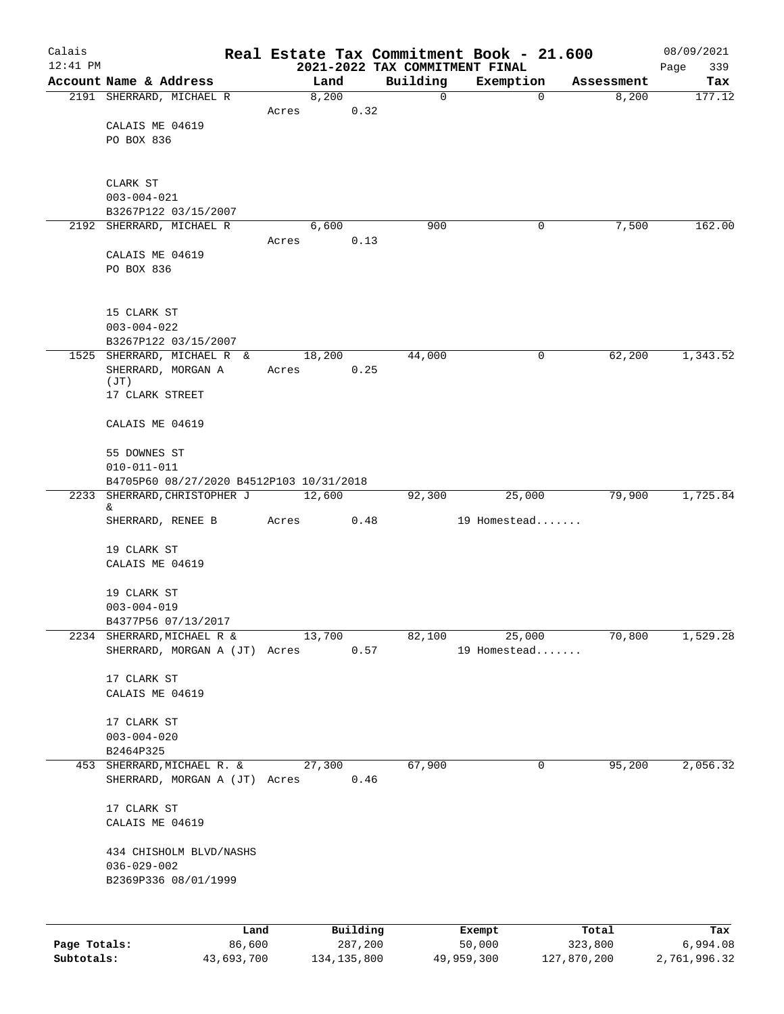| Calais       |                                                                     |            |        |               |                                            | Real Estate Tax Commitment Book - 21.600 |             | 08/09/2021         |
|--------------|---------------------------------------------------------------------|------------|--------|---------------|--------------------------------------------|------------------------------------------|-------------|--------------------|
| $12:41$ PM   | Account Name & Address                                              |            | Land   |               | 2021-2022 TAX COMMITMENT FINAL<br>Building | Exemption                                | Assessment  | 339<br>Page<br>Tax |
|              | 2191 SHERRARD, MICHAEL R                                            |            | 8,200  |               | $\mathbf 0$                                | $\mathbf 0$                              | 8,200       | 177.12             |
|              |                                                                     |            | Acres  | 0.32          |                                            |                                          |             |                    |
|              | CALAIS ME 04619                                                     |            |        |               |                                            |                                          |             |                    |
|              | PO BOX 836                                                          |            |        |               |                                            |                                          |             |                    |
|              |                                                                     |            |        |               |                                            |                                          |             |                    |
|              | CLARK ST                                                            |            |        |               |                                            |                                          |             |                    |
|              | $003 - 004 - 021$<br>B3267P122 03/15/2007                           |            |        |               |                                            |                                          |             |                    |
|              | 2192 SHERRARD, MICHAEL R                                            |            | 6,600  |               | 900                                        | 0                                        | 7,500       | 162.00             |
|              |                                                                     |            | Acres  | 0.13          |                                            |                                          |             |                    |
|              | CALAIS ME 04619                                                     |            |        |               |                                            |                                          |             |                    |
|              | PO BOX 836                                                          |            |        |               |                                            |                                          |             |                    |
|              | 15 CLARK ST                                                         |            |        |               |                                            |                                          |             |                    |
|              | $003 - 004 - 022$                                                   |            |        |               |                                            |                                          |             |                    |
|              | B3267P122 03/15/2007                                                |            |        |               |                                            |                                          |             |                    |
|              | 1525 SHERRARD, MICHAEL R &                                          |            | 18,200 |               | 44,000                                     | 0                                        | 62,200      | 1,343.52           |
|              | SHERRARD, MORGAN A<br>(JT)                                          |            | Acres  | 0.25          |                                            |                                          |             |                    |
|              | 17 CLARK STREET                                                     |            |        |               |                                            |                                          |             |                    |
|              | CALAIS ME 04619                                                     |            |        |               |                                            |                                          |             |                    |
|              | 55 DOWNES ST                                                        |            |        |               |                                            |                                          |             |                    |
|              | $010 - 011 - 011$                                                   |            |        |               |                                            |                                          |             |                    |
| 2233         | B4705P60 08/27/2020 B4512P103 10/31/2018<br>SHERRARD, CHRISTOPHER J |            | 12,600 |               | 92,300                                     | 25,000                                   | 79,900      | 1,725.84           |
|              | &                                                                   |            |        |               |                                            |                                          |             |                    |
|              | SHERRARD, RENEE B                                                   |            | Acres  | 0.48          |                                            | 19 Homestead                             |             |                    |
|              | 19 CLARK ST                                                         |            |        |               |                                            |                                          |             |                    |
|              | CALAIS ME 04619                                                     |            |        |               |                                            |                                          |             |                    |
|              | 19 CLARK ST                                                         |            |        |               |                                            |                                          |             |                    |
|              | $003 - 004 - 019$                                                   |            |        |               |                                            |                                          |             |                    |
|              | B4377P56 07/13/2017                                                 |            |        |               |                                            |                                          |             |                    |
| 2234         | SHERRARD, MICHAEL R &                                               |            | 13,700 |               | 82,100                                     | 25,000                                   | 70,800      | 1,529.28           |
|              | SHERRARD, MORGAN A (JT) Acres                                       |            |        | 0.57          |                                            | 19 Homestead                             |             |                    |
|              | 17 CLARK ST                                                         |            |        |               |                                            |                                          |             |                    |
|              | CALAIS ME 04619                                                     |            |        |               |                                            |                                          |             |                    |
|              | 17 CLARK ST                                                         |            |        |               |                                            |                                          |             |                    |
|              | $003 - 004 - 020$                                                   |            |        |               |                                            |                                          |             |                    |
|              | B2464P325                                                           |            |        |               |                                            |                                          |             |                    |
| 453          | SHERRARD, MICHAEL R. &<br>SHERRARD, MORGAN A (JT) Acres             |            | 27,300 | 0.46          | 67,900                                     | 0                                        | 95,200      | 2,056.32           |
|              | 17 CLARK ST                                                         |            |        |               |                                            |                                          |             |                    |
|              | CALAIS ME 04619                                                     |            |        |               |                                            |                                          |             |                    |
|              | 434 CHISHOLM BLVD/NASHS                                             |            |        |               |                                            |                                          |             |                    |
|              | $036 - 029 - 002$                                                   |            |        |               |                                            |                                          |             |                    |
|              | B2369P336 08/01/1999                                                |            |        |               |                                            |                                          |             |                    |
|              |                                                                     | Land       |        | Building      |                                            | Exempt                                   | Total       | Tax                |
| Page Totals: |                                                                     | 86,600     |        | 287,200       |                                            | 50,000                                   | 323,800     | 6,994.08           |
| Subtotals:   |                                                                     | 43,693,700 |        | 134, 135, 800 |                                            | 49,959,300                               | 127,870,200 | 2,761,996.32       |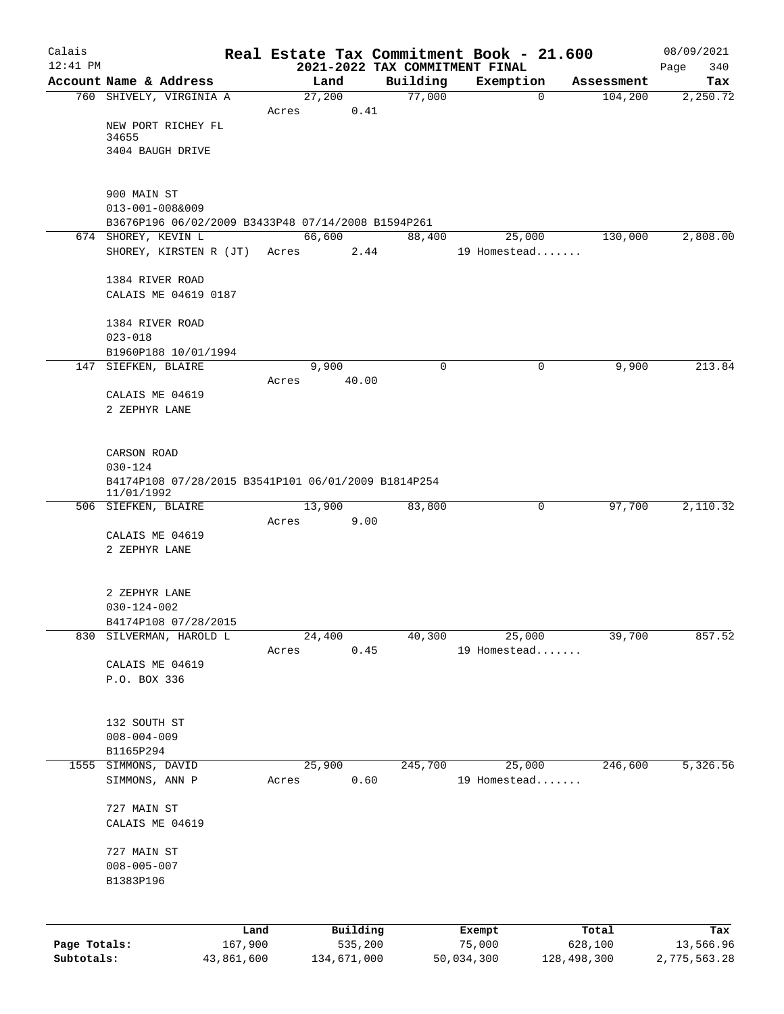| Calais       |                                                     |            |       |                |      |                    | Real Estate Tax Commitment Book - 21.600 |             |                       | 08/09/2021      |
|--------------|-----------------------------------------------------|------------|-------|----------------|------|--------------------|------------------------------------------|-------------|-----------------------|-----------------|
| $12:41$ PM   |                                                     |            |       |                |      |                    | 2021-2022 TAX COMMITMENT FINAL           |             |                       | 340<br>Page     |
|              | Account Name & Address<br>760 SHIVELY, VIRGINIA A   |            |       | Land<br>27,200 |      | Building<br>77,000 | Exemption                                | 0           | Assessment<br>104,200 | Tax<br>2,250.72 |
|              |                                                     |            | Acres |                | 0.41 |                    |                                          |             |                       |                 |
|              | NEW PORT RICHEY FL                                  |            |       |                |      |                    |                                          |             |                       |                 |
|              | 34655                                               |            |       |                |      |                    |                                          |             |                       |                 |
|              | 3404 BAUGH DRIVE                                    |            |       |                |      |                    |                                          |             |                       |                 |
|              |                                                     |            |       |                |      |                    |                                          |             |                       |                 |
|              | 900 MAIN ST                                         |            |       |                |      |                    |                                          |             |                       |                 |
|              | $013 - 001 - 008&009$                               |            |       |                |      |                    |                                          |             |                       |                 |
|              | B3676P196 06/02/2009 B3433P48 07/14/2008 B1594P261  |            |       |                |      |                    |                                          |             | 130,000               | 2,808.00        |
|              | 674 SHOREY, KEVIN L<br>SHOREY, KIRSTEN R (JT) Acres |            |       | 66,600         | 2.44 | 88,400             | 19 Homestead                             | 25,000      |                       |                 |
|              |                                                     |            |       |                |      |                    |                                          |             |                       |                 |
|              | 1384 RIVER ROAD                                     |            |       |                |      |                    |                                          |             |                       |                 |
|              | CALAIS ME 04619 0187                                |            |       |                |      |                    |                                          |             |                       |                 |
|              |                                                     |            |       |                |      |                    |                                          |             |                       |                 |
|              | 1384 RIVER ROAD                                     |            |       |                |      |                    |                                          |             |                       |                 |
|              | $023 - 018$                                         |            |       |                |      |                    |                                          |             |                       |                 |
|              | B1960P188 10/01/1994<br>147 SIEFKEN, BLAIRE         |            |       | 9,900          |      | $\mathbf 0$        |                                          | 0           | 9,900                 | 213.84          |
|              |                                                     |            | Acres | 40.00          |      |                    |                                          |             |                       |                 |
|              | CALAIS ME 04619                                     |            |       |                |      |                    |                                          |             |                       |                 |
|              | 2 ZEPHYR LANE                                       |            |       |                |      |                    |                                          |             |                       |                 |
|              |                                                     |            |       |                |      |                    |                                          |             |                       |                 |
|              |                                                     |            |       |                |      |                    |                                          |             |                       |                 |
|              | CARSON ROAD<br>$030 - 124$                          |            |       |                |      |                    |                                          |             |                       |                 |
|              | B4174P108 07/28/2015 B3541P101 06/01/2009 B1814P254 |            |       |                |      |                    |                                          |             |                       |                 |
|              | 11/01/1992                                          |            |       |                |      |                    |                                          |             |                       |                 |
|              | 506 SIEFKEN, BLAIRE                                 |            |       | 13,900         |      | 83,800             |                                          | 0           | 97,700                | 2,110.32        |
|              |                                                     |            | Acres |                | 9.00 |                    |                                          |             |                       |                 |
|              | CALAIS ME 04619<br>2 ZEPHYR LANE                    |            |       |                |      |                    |                                          |             |                       |                 |
|              |                                                     |            |       |                |      |                    |                                          |             |                       |                 |
|              |                                                     |            |       |                |      |                    |                                          |             |                       |                 |
|              | 2 ZEPHYR LANE                                       |            |       |                |      |                    |                                          |             |                       |                 |
|              | $030 - 124 - 002$                                   |            |       |                |      |                    |                                          |             |                       |                 |
|              | B4174P108 07/28/2015                                |            |       |                |      |                    |                                          |             |                       |                 |
| 830          | SILVERMAN, HAROLD L                                 |            | Acres | 24,400         | 0.45 | 40,300             | 19 Homestead                             | 25,000      | 39,700                | 857.52          |
|              | CALAIS ME 04619                                     |            |       |                |      |                    |                                          |             |                       |                 |
|              | P.O. BOX 336                                        |            |       |                |      |                    |                                          |             |                       |                 |
|              |                                                     |            |       |                |      |                    |                                          |             |                       |                 |
|              |                                                     |            |       |                |      |                    |                                          |             |                       |                 |
|              | 132 SOUTH ST                                        |            |       |                |      |                    |                                          |             |                       |                 |
|              | $008 - 004 - 009$                                   |            |       |                |      |                    |                                          |             |                       |                 |
| 1555         | B1165P294<br>SIMMONS, DAVID                         |            |       | 25,900         |      | 245,700            |                                          | 25,000      | 246,600               | 5,326.56        |
|              | SIMMONS, ANN P                                      |            | Acres |                | 0.60 |                    | 19 Homestead                             |             |                       |                 |
|              |                                                     |            |       |                |      |                    |                                          |             |                       |                 |
|              | 727 MAIN ST                                         |            |       |                |      |                    |                                          |             |                       |                 |
|              | CALAIS ME 04619                                     |            |       |                |      |                    |                                          |             |                       |                 |
|              |                                                     |            |       |                |      |                    |                                          |             |                       |                 |
|              | 727 MAIN ST                                         |            |       |                |      |                    |                                          |             |                       |                 |
|              | $008 - 005 - 007$<br>B1383P196                      |            |       |                |      |                    |                                          |             |                       |                 |
|              |                                                     |            |       |                |      |                    |                                          |             |                       |                 |
|              |                                                     |            |       |                |      |                    |                                          |             |                       |                 |
|              |                                                     | Land       |       | Building       |      |                    | Exempt                                   |             | Total                 | Tax             |
| Page Totals: |                                                     | 167,900    |       | 535,200        |      |                    | 75,000                                   |             | 628,100               | 13,566.96       |
| Subtotals:   |                                                     | 43,861,600 |       | 134,671,000    |      |                    | 50,034,300                               | 128,498,300 |                       | 2,775,563.28    |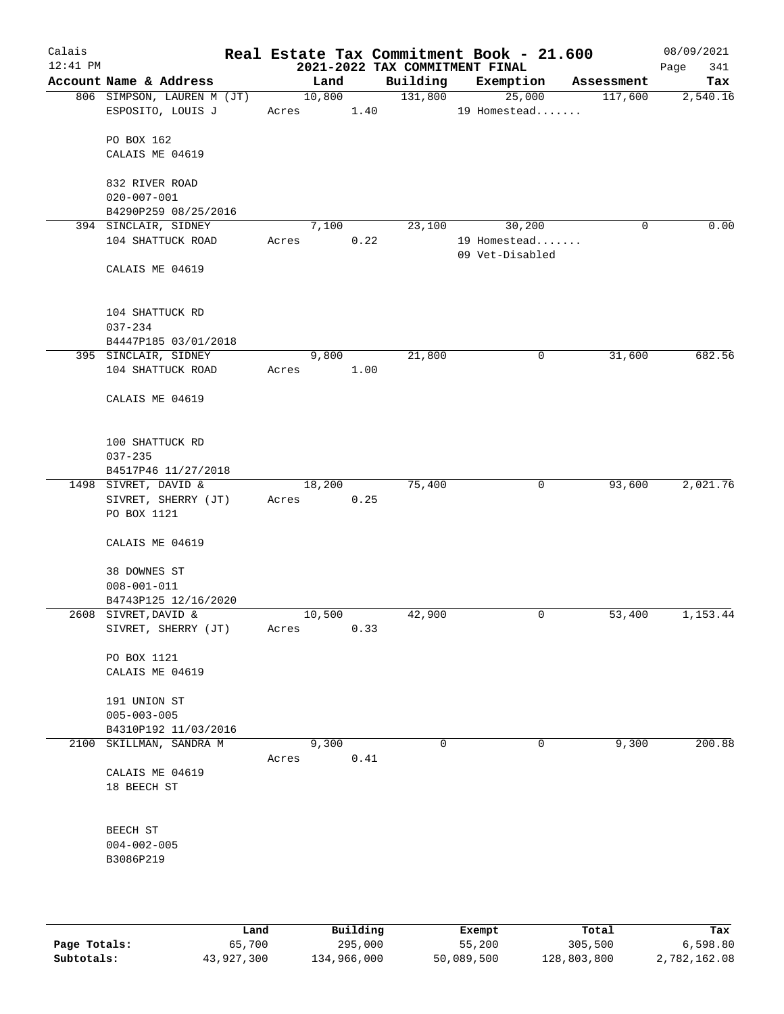| Calais<br>$12:41$ PM |                                                 |                      |      | 2021-2022 TAX COMMITMENT FINAL | Real Estate Tax Commitment Book - 21.600 |             | 08/09/2021<br>341<br>Page |
|----------------------|-------------------------------------------------|----------------------|------|--------------------------------|------------------------------------------|-------------|---------------------------|
|                      | Account Name & Address                          | Land                 |      | Building                       | Exemption                                | Assessment  | Tax                       |
|                      | 806 SIMPSON, LAUREN M (JT)<br>ESPOSITO, LOUIS J | 10,800<br>Acres 1.40 |      | 131,800                        | 25,000<br>19 Homestead                   | 117,600     | 2,540.16                  |
|                      | PO BOX 162                                      |                      |      |                                |                                          |             |                           |
|                      | CALAIS ME 04619                                 |                      |      |                                |                                          |             |                           |
|                      | 832 RIVER ROAD<br>$020 - 007 - 001$             |                      |      |                                |                                          |             |                           |
|                      | B4290P259 08/25/2016                            |                      |      |                                |                                          |             |                           |
|                      | 394 SINCLAIR, SIDNEY                            | 7,100                |      | 23,100                         | 30,200                                   | $\mathbf 0$ | 0.00                      |
|                      | 104 SHATTUCK ROAD                               | Acres                | 0.22 |                                | 19 Homestead<br>09 Vet-Disabled          |             |                           |
|                      | CALAIS ME 04619                                 |                      |      |                                |                                          |             |                           |
|                      | 104 SHATTUCK RD<br>$037 - 234$                  |                      |      |                                |                                          |             |                           |
|                      | B4447P185 03/01/2018                            |                      |      |                                |                                          |             |                           |
|                      | 395 SINCLAIR, SIDNEY                            | 9,800                |      | 21,800                         | 0                                        | 31,600      | 682.56                    |
|                      | 104 SHATTUCK ROAD                               | Acres                | 1.00 |                                |                                          |             |                           |
|                      | CALAIS ME 04619                                 |                      |      |                                |                                          |             |                           |
|                      | 100 SHATTUCK RD                                 |                      |      |                                |                                          |             |                           |
|                      | $037 - 235$                                     |                      |      |                                |                                          |             |                           |
|                      | B4517P46 11/27/2018                             | 18,200               |      | 75,400                         | $\mathbf 0$                              | 93,600      | 2,021.76                  |
|                      | 1498 SIVRET, DAVID &<br>SIVRET, SHERRY (JT)     | Acres                | 0.25 |                                |                                          |             |                           |
|                      | PO BOX 1121                                     |                      |      |                                |                                          |             |                           |
|                      | CALAIS ME 04619                                 |                      |      |                                |                                          |             |                           |
|                      | 38 DOWNES ST                                    |                      |      |                                |                                          |             |                           |
|                      | $008 - 001 - 011$                               |                      |      |                                |                                          |             |                           |
|                      | B4743P125 12/16/2020                            |                      |      |                                |                                          |             |                           |
|                      | 2608 SIVRET, DAVID &<br>SIVRET, SHERRY (JT)     | 10,500<br>Acres      | 0.33 | 42,900                         | 0                                        | 53,400      | 1,153.44                  |
|                      | PO BOX 1121                                     |                      |      |                                |                                          |             |                           |
|                      | CALAIS ME 04619                                 |                      |      |                                |                                          |             |                           |
|                      | 191 UNION ST                                    |                      |      |                                |                                          |             |                           |
|                      | $005 - 003 - 005$<br>B4310P192 11/03/2016       |                      |      |                                |                                          |             |                           |
|                      | 2100 SKILLMAN, SANDRA M                         | 9,300                |      | $\mathbf 0$                    | 0                                        | 9,300       | 200.88                    |
|                      |                                                 | Acres                | 0.41 |                                |                                          |             |                           |
|                      | CALAIS ME 04619<br>18 BEECH ST                  |                      |      |                                |                                          |             |                           |
|                      |                                                 |                      |      |                                |                                          |             |                           |
|                      | BEECH ST<br>$004 - 002 - 005$                   |                      |      |                                |                                          |             |                           |
|                      | B3086P219                                       |                      |      |                                |                                          |             |                           |
|                      |                                                 |                      |      |                                |                                          |             |                           |
|                      |                                                 |                      |      |                                |                                          |             |                           |
|                      |                                                 |                      |      |                                |                                          |             |                           |

|              | Land       | Building    | Exempt     | Total       | Tax          |
|--------------|------------|-------------|------------|-------------|--------------|
| Page Totals: | 65,700     | 295,000     | 55,200     | 305,500     | 6,598.80     |
| Subtotals:   | 43,927,300 | 134,966,000 | 50,089,500 | 128,803,800 | 2,782,162.08 |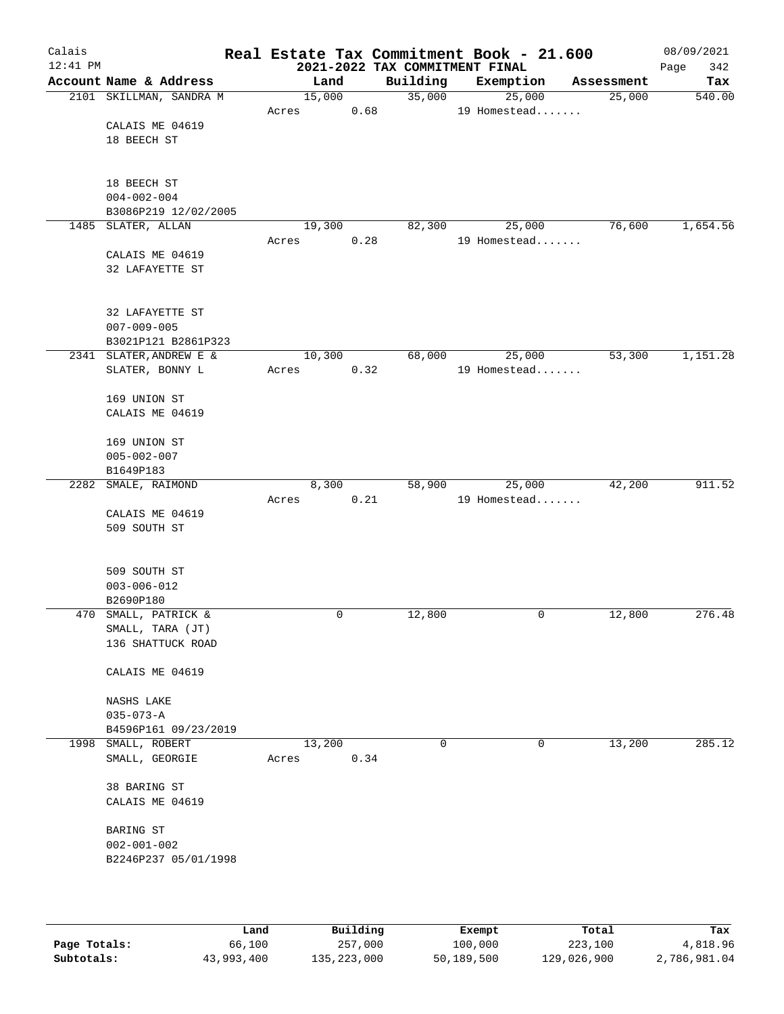| Calais<br>$12:41$ PM |                         |        |             | 2021-2022 TAX COMMITMENT FINAL | Real Estate Tax Commitment Book - 21.600 |            | 08/09/2021<br>Page<br>342 |
|----------------------|-------------------------|--------|-------------|--------------------------------|------------------------------------------|------------|---------------------------|
|                      | Account Name & Address  |        | Land        | Building                       | Exemption                                | Assessment | Tax                       |
|                      | 2101 SKILLMAN, SANDRA M | 15,000 |             | 35,000                         | 25,000                                   | 25,000     | 540.00                    |
|                      |                         | Acres  | 0.68        |                                | 19 Homestead                             |            |                           |
|                      | CALAIS ME 04619         |        |             |                                |                                          |            |                           |
|                      | 18 BEECH ST             |        |             |                                |                                          |            |                           |
|                      |                         |        |             |                                |                                          |            |                           |
|                      | 18 BEECH ST             |        |             |                                |                                          |            |                           |
|                      | $004 - 002 - 004$       |        |             |                                |                                          |            |                           |
|                      | B3086P219 12/02/2005    |        |             |                                |                                          |            |                           |
|                      | 1485 SLATER, ALLAN      | 19,300 |             | 82,300                         | 25,000                                   | 76,600     | 1,654.56                  |
|                      |                         | Acres  | 0.28        |                                | 19 Homestead                             |            |                           |
|                      | CALAIS ME 04619         |        |             |                                |                                          |            |                           |
|                      | 32 LAFAYETTE ST         |        |             |                                |                                          |            |                           |
|                      |                         |        |             |                                |                                          |            |                           |
|                      | 32 LAFAYETTE ST         |        |             |                                |                                          |            |                           |
|                      | $007 - 009 - 005$       |        |             |                                |                                          |            |                           |
|                      | B3021P121 B2861P323     |        |             |                                |                                          |            |                           |
|                      | 2341 SLATER, ANDREW E & | 10,300 |             | 68,000                         | 25,000                                   | 53,300     | 1,151.28                  |
|                      | SLATER, BONNY L         | Acres  | 0.32        |                                | 19 Homestead                             |            |                           |
|                      |                         |        |             |                                |                                          |            |                           |
|                      | 169 UNION ST            |        |             |                                |                                          |            |                           |
|                      | CALAIS ME 04619         |        |             |                                |                                          |            |                           |
|                      | 169 UNION ST            |        |             |                                |                                          |            |                           |
|                      | $005 - 002 - 007$       |        |             |                                |                                          |            |                           |
|                      | B1649P183               |        |             |                                |                                          |            |                           |
|                      | 2282 SMALE, RAIMOND     |        | 8,300       | 58,900                         | 25,000                                   | 42,200     | 911.52                    |
|                      |                         | Acres  | 0.21        |                                | 19 Homestead                             |            |                           |
|                      | CALAIS ME 04619         |        |             |                                |                                          |            |                           |
|                      | 509 SOUTH ST            |        |             |                                |                                          |            |                           |
|                      |                         |        |             |                                |                                          |            |                           |
|                      | 509 SOUTH ST            |        |             |                                |                                          |            |                           |
|                      | $003 - 006 - 012$       |        |             |                                |                                          |            |                           |
|                      | B2690P180               |        |             |                                |                                          |            |                           |
|                      | 470 SMALL, PATRICK &    |        | $\mathbf 0$ | 12,800                         | $\mathbf 0$                              | 12,800     | 276.48                    |
|                      | SMALL, TARA (JT)        |        |             |                                |                                          |            |                           |
|                      | 136 SHATTUCK ROAD       |        |             |                                |                                          |            |                           |
|                      |                         |        |             |                                |                                          |            |                           |
|                      | CALAIS ME 04619         |        |             |                                |                                          |            |                           |
|                      | NASHS LAKE              |        |             |                                |                                          |            |                           |
|                      | $035 - 073 - A$         |        |             |                                |                                          |            |                           |
|                      | B4596P161 09/23/2019    |        |             |                                |                                          |            |                           |
|                      | 1998 SMALL, ROBERT      | 13,200 |             | 0                              | 0                                        | 13,200     | 285.12                    |
|                      | SMALL, GEORGIE          | Acres  | 0.34        |                                |                                          |            |                           |
|                      |                         |        |             |                                |                                          |            |                           |
|                      | 38 BARING ST            |        |             |                                |                                          |            |                           |
|                      | CALAIS ME 04619         |        |             |                                |                                          |            |                           |
|                      | BARING ST               |        |             |                                |                                          |            |                           |
|                      | $002 - 001 - 002$       |        |             |                                |                                          |            |                           |
|                      | B2246P237 05/01/1998    |        |             |                                |                                          |            |                           |
|                      |                         |        |             |                                |                                          |            |                           |
|                      |                         |        |             |                                |                                          |            |                           |
|                      |                         |        |             |                                |                                          |            |                           |
|                      |                         |        |             |                                |                                          |            |                           |

|              | Land       | Building    | Exempt     | Total       | Tax          |
|--------------|------------|-------------|------------|-------------|--------------|
| Page Totals: | 66,100     | 257,000     | 100,000    | 223,100     | 4,818.96     |
| Subtotals:   | 43,993,400 | 135,223,000 | 50,189,500 | 129,026,900 | 2,786,981.04 |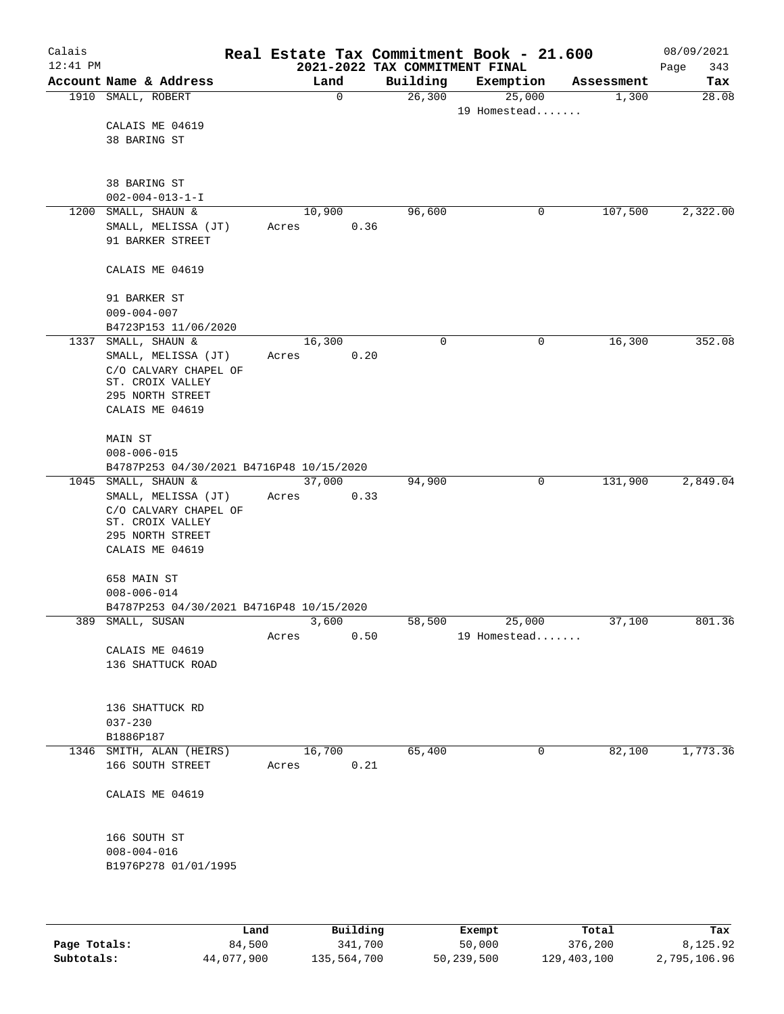| Calais     |                                                                 |      |         |                |                                            |   | Real Estate Tax Commitment Book - 21.600 |   |            | 08/09/2021         |
|------------|-----------------------------------------------------------------|------|---------|----------------|--------------------------------------------|---|------------------------------------------|---|------------|--------------------|
| $12:41$ PM | Account Name & Address                                          |      |         | Land           | 2021-2022 TAX COMMITMENT FINAL<br>Building |   | Exemption                                |   | Assessment | Page<br>343<br>Tax |
|            | 1910 SMALL, ROBERT                                              |      |         | $\mathbf 0$    | 26,300                                     |   | 25,000                                   |   | 1,300      | 28.08              |
|            |                                                                 |      |         |                |                                            |   | 19 Homestead                             |   |            |                    |
|            | CALAIS ME 04619                                                 |      |         |                |                                            |   |                                          |   |            |                    |
|            | 38 BARING ST                                                    |      |         |                |                                            |   |                                          |   |            |                    |
|            |                                                                 |      |         |                |                                            |   |                                          |   |            |                    |
|            | 38 BARING ST                                                    |      |         |                |                                            |   |                                          |   |            |                    |
|            | $002 - 004 - 013 - 1 - I$                                       |      |         |                |                                            |   |                                          |   |            |                    |
| 1200       | SMALL, SHAUN &                                                  |      |         | 10,900         | 96,600                                     |   |                                          | 0 | 107,500    | 2,322.00           |
|            | SMALL, MELISSA (JT)                                             |      | Acres   | 0.36           |                                            |   |                                          |   |            |                    |
|            | 91 BARKER STREET                                                |      |         |                |                                            |   |                                          |   |            |                    |
|            | CALAIS ME 04619                                                 |      |         |                |                                            |   |                                          |   |            |                    |
|            | 91 BARKER ST                                                    |      |         |                |                                            |   |                                          |   |            |                    |
|            | $009 - 004 - 007$<br>B4723P153 11/06/2020                       |      |         |                |                                            |   |                                          |   |            |                    |
| 1337       | SMALL, SHAUN &                                                  |      | 16, 300 |                |                                            | 0 |                                          | 0 | 16,300     | 352.08             |
|            | SMALL, MELISSA (JT)                                             |      | Acres   | 0.20           |                                            |   |                                          |   |            |                    |
|            | C/O CALVARY CHAPEL OF                                           |      |         |                |                                            |   |                                          |   |            |                    |
|            | ST. CROIX VALLEY<br>295 NORTH STREET                            |      |         |                |                                            |   |                                          |   |            |                    |
|            | CALAIS ME 04619                                                 |      |         |                |                                            |   |                                          |   |            |                    |
|            |                                                                 |      |         |                |                                            |   |                                          |   |            |                    |
|            | MAIN ST                                                         |      |         |                |                                            |   |                                          |   |            |                    |
|            | $008 - 006 - 015$                                               |      |         |                |                                            |   |                                          |   |            |                    |
|            | B4787P253 04/30/2021 B4716P48 10/15/2020<br>1045 SMALL, SHAUN & |      |         | 37,000         | 94,900                                     |   |                                          | 0 | 131,900    | 2,849.04           |
|            | SMALL, MELISSA (JT)                                             |      | Acres   | 0.33           |                                            |   |                                          |   |            |                    |
|            | C/O CALVARY CHAPEL OF                                           |      |         |                |                                            |   |                                          |   |            |                    |
|            | ST. CROIX VALLEY<br>295 NORTH STREET                            |      |         |                |                                            |   |                                          |   |            |                    |
|            | CALAIS ME 04619                                                 |      |         |                |                                            |   |                                          |   |            |                    |
|            |                                                                 |      |         |                |                                            |   |                                          |   |            |                    |
|            | 658 MAIN ST                                                     |      |         |                |                                            |   |                                          |   |            |                    |
|            | $008 - 006 - 014$                                               |      |         |                |                                            |   |                                          |   |            |                    |
|            | B4787P253 04/30/2021 B4716P48 10/15/2020<br>389 SMALL, SUSAN    |      |         | 3,600          | 58,500                                     |   | 25,000                                   |   | 37,100     | 801.36             |
|            |                                                                 |      | Acres   | 0.50           |                                            |   | 19 Homestead                             |   |            |                    |
|            | CALAIS ME 04619                                                 |      |         |                |                                            |   |                                          |   |            |                    |
|            | 136 SHATTUCK ROAD                                               |      |         |                |                                            |   |                                          |   |            |                    |
|            |                                                                 |      |         |                |                                            |   |                                          |   |            |                    |
|            | 136 SHATTUCK RD                                                 |      |         |                |                                            |   |                                          |   |            |                    |
|            | $037 - 230$                                                     |      |         |                |                                            |   |                                          |   |            |                    |
|            | B1886P187                                                       |      |         |                |                                            |   |                                          |   |            |                    |
|            | 1346 SMITH, ALAN (HEIRS)<br>166 SOUTH STREET                    |      | Acres   | 16,700<br>0.21 | 65,400                                     |   |                                          | 0 | 82,100     | 1,773.36           |
|            |                                                                 |      |         |                |                                            |   |                                          |   |            |                    |
|            | CALAIS ME 04619                                                 |      |         |                |                                            |   |                                          |   |            |                    |
|            | 166 SOUTH ST                                                    |      |         |                |                                            |   |                                          |   |            |                    |
|            | $008 - 004 - 016$                                               |      |         |                |                                            |   |                                          |   |            |                    |
|            | B1976P278 01/01/1995                                            |      |         |                |                                            |   |                                          |   |            |                    |
|            |                                                                 |      |         |                |                                            |   |                                          |   |            |                    |
|            |                                                                 |      |         |                |                                            |   |                                          |   |            |                    |
|            |                                                                 | Land |         | Building       |                                            |   | <b>Exempt</b>                            |   | Total      | Tax                |

|              | Land       | Building    | Exempt     | Total       | Tax          |
|--------------|------------|-------------|------------|-------------|--------------|
| Page Totals: | 84,500     | 341,700     | 50,000     | 376,200     | 8,125.92     |
| Subtotals:   | 44,077,900 | 135,564,700 | 50,239,500 | 129,403,100 | 2,795,106.96 |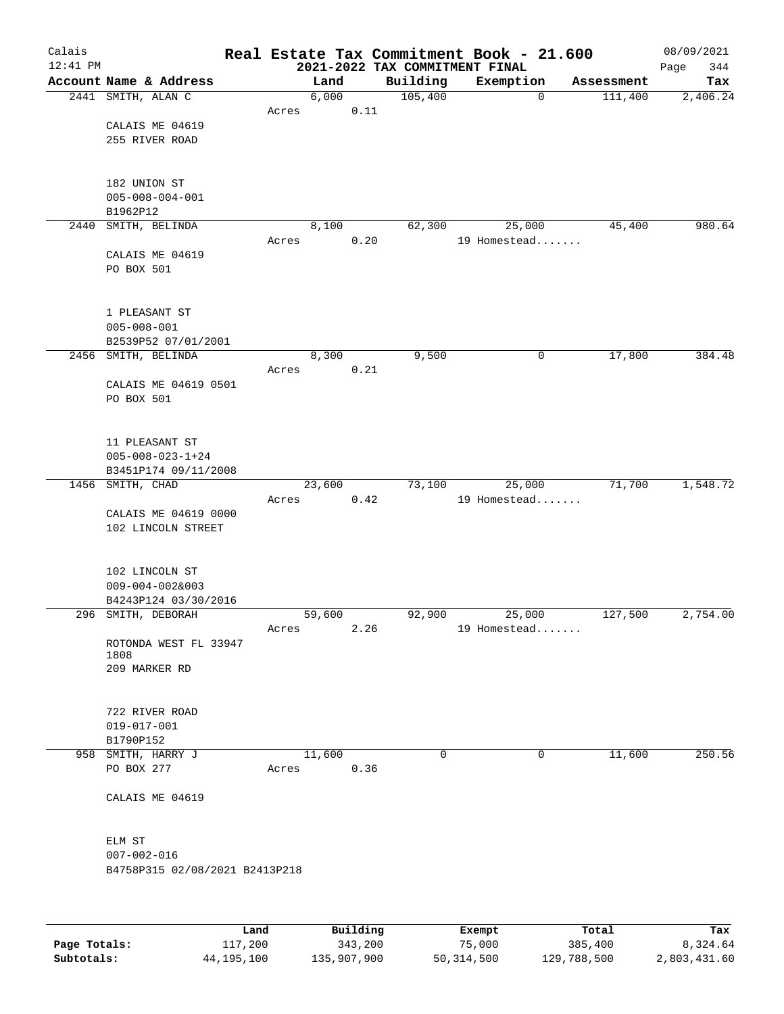| Calais   |                                          |       |        |               |                     |             | Real Estate Tax Commitment Book - 21.600 |            | 08/09/2021  |
|----------|------------------------------------------|-------|--------|---------------|---------------------|-------------|------------------------------------------|------------|-------------|
| 12:41 PM |                                          |       |        |               |                     |             | 2021-2022 TAX COMMITMENT FINAL           |            | 344<br>Page |
|          | Account Name & Address                   |       |        | Land          | Building<br>105,400 |             | Exemption<br>$\mathbf 0$                 | Assessment | Tax         |
|          | 2441 SMITH, ALAN C                       | Acres |        | 6,000<br>0.11 |                     |             |                                          | 111,400    | 2,406.24    |
|          | CALAIS ME 04619                          |       |        |               |                     |             |                                          |            |             |
|          | 255 RIVER ROAD                           |       |        |               |                     |             |                                          |            |             |
|          |                                          |       |        |               |                     |             |                                          |            |             |
|          |                                          |       |        |               |                     |             |                                          |            |             |
|          | 182 UNION ST                             |       |        |               |                     |             |                                          |            |             |
|          | $005 - 008 - 004 - 001$                  |       |        |               |                     |             |                                          |            |             |
|          | B1962P12                                 |       |        |               |                     |             |                                          |            |             |
| 2440     | SMITH, BELINDA                           |       |        | 8,100         | 62,300              |             | 25,000                                   | 45,400     | 980.64      |
|          |                                          | Acres |        | 0.20          |                     |             | 19 Homestead                             |            |             |
|          | CALAIS ME 04619                          |       |        |               |                     |             |                                          |            |             |
|          | PO BOX 501                               |       |        |               |                     |             |                                          |            |             |
|          |                                          |       |        |               |                     |             |                                          |            |             |
|          | 1 PLEASANT ST                            |       |        |               |                     |             |                                          |            |             |
|          | $005 - 008 - 001$                        |       |        |               |                     |             |                                          |            |             |
|          | B2539P52 07/01/2001                      |       |        |               |                     |             |                                          |            |             |
|          | 2456 SMITH, BELINDA                      |       |        | 8,300         | 9,500               |             | 0                                        | 17,800     | 384.48      |
|          |                                          | Acres |        | 0.21          |                     |             |                                          |            |             |
|          | CALAIS ME 04619 0501                     |       |        |               |                     |             |                                          |            |             |
|          | PO BOX 501                               |       |        |               |                     |             |                                          |            |             |
|          |                                          |       |        |               |                     |             |                                          |            |             |
|          |                                          |       |        |               |                     |             |                                          |            |             |
|          | 11 PLEASANT ST                           |       |        |               |                     |             |                                          |            |             |
|          | $005 - 008 - 023 - 1 + 24$               |       |        |               |                     |             |                                          |            |             |
|          | B3451P174 09/11/2008<br>1456 SMITH, CHAD |       | 23,600 |               | 73,100              |             | 25,000                                   | 71,700     | 1,548.72    |
|          |                                          | Acres |        | 0.42          |                     |             | 19 Homestead                             |            |             |
|          | CALAIS ME 04619 0000                     |       |        |               |                     |             |                                          |            |             |
|          | 102 LINCOLN STREET                       |       |        |               |                     |             |                                          |            |             |
|          |                                          |       |        |               |                     |             |                                          |            |             |
|          |                                          |       |        |               |                     |             |                                          |            |             |
|          | 102 LINCOLN ST                           |       |        |               |                     |             |                                          |            |             |
|          | $009 - 004 - 002&003$                    |       |        |               |                     |             |                                          |            |             |
|          | B4243P124 03/30/2016                     |       |        |               |                     |             |                                          |            |             |
|          | 296 SMITH, DEBORAH                       |       | 59,600 |               | 92,900              |             | 25,000                                   | 127,500    | 2,754.00    |
|          |                                          | Acres |        | 2.26          |                     |             | 19 Homestead                             |            |             |
|          | ROTONDA WEST FL 33947<br>1808            |       |        |               |                     |             |                                          |            |             |
|          | 209 MARKER RD                            |       |        |               |                     |             |                                          |            |             |
|          |                                          |       |        |               |                     |             |                                          |            |             |
|          |                                          |       |        |               |                     |             |                                          |            |             |
|          | 722 RIVER ROAD                           |       |        |               |                     |             |                                          |            |             |
|          | $019 - 017 - 001$                        |       |        |               |                     |             |                                          |            |             |
|          | B1790P152                                |       |        |               |                     |             |                                          |            |             |
|          | 958 SMITH, HARRY J                       |       | 11,600 |               |                     | $\mathbf 0$ | $\mathbf 0$                              | 11,600     | 250.56      |
|          | PO BOX 277                               | Acres |        | 0.36          |                     |             |                                          |            |             |
|          | CALAIS ME 04619                          |       |        |               |                     |             |                                          |            |             |
|          |                                          |       |        |               |                     |             |                                          |            |             |
|          |                                          |       |        |               |                     |             |                                          |            |             |
|          | ELM ST                                   |       |        |               |                     |             |                                          |            |             |
|          | $007 - 002 - 016$                        |       |        |               |                     |             |                                          |            |             |
|          | B4758P315 02/08/2021 B2413P218           |       |        |               |                     |             |                                          |            |             |
|          |                                          |       |        |               |                     |             |                                          |            |             |
|          |                                          |       |        |               |                     |             |                                          |            |             |
|          |                                          | Land, |        | Building      |                     |             | <b>Exempt</b>                            | Total      | Tax         |

|              | Land         | Building    | Exempt     | Total       | Tax          |
|--------------|--------------|-------------|------------|-------------|--------------|
| Page Totals: | 117,200      | 343,200     | 75,000     | 385,400     | 8,324.64     |
| Subtotals:   | 44, 195, 100 | 135,907,900 | 50,314,500 | 129,788,500 | 2,803,431.60 |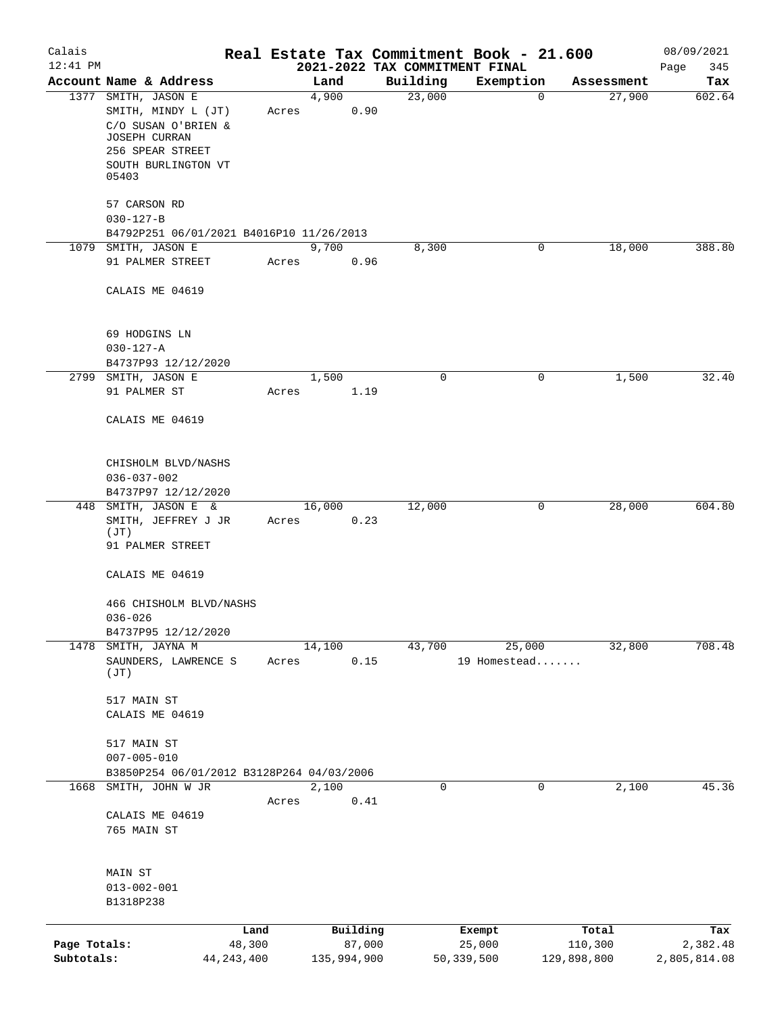| Calais                     |                                                                                                                                               |                        |       |             |          |          | Real Estate Tax Commitment Book - 21.600 |             |                        | 08/09/2021               |
|----------------------------|-----------------------------------------------------------------------------------------------------------------------------------------------|------------------------|-------|-------------|----------|----------|------------------------------------------|-------------|------------------------|--------------------------|
| $12:41$ PM                 |                                                                                                                                               |                        |       |             |          |          | 2021-2022 TAX COMMITMENT FINAL           |             |                        | 345<br>Page              |
|                            | Account Name & Address                                                                                                                        |                        |       | Land        |          | Building | Exemption                                | $\mathbf 0$ | Assessment<br>27,900   | Tax                      |
|                            | 1377 SMITH, JASON E<br>SMITH, MINDY L (JT)<br>C/O SUSAN O'BRIEN &<br><b>JOSEPH CURRAN</b><br>256 SPEAR STREET<br>SOUTH BURLINGTON VT<br>05403 |                        | Acres | 4,900       | 0.90     | 23,000   |                                          |             |                        | 602.64                   |
|                            | 57 CARSON RD                                                                                                                                  |                        |       |             |          |          |                                          |             |                        |                          |
|                            | $030 - 127 - B$                                                                                                                               |                        |       |             |          |          |                                          |             |                        |                          |
|                            | B4792P251 06/01/2021 B4016P10 11/26/2013                                                                                                      |                        |       |             |          |          |                                          |             |                        |                          |
|                            | 1079 SMITH, JASON E<br>91 PALMER STREET                                                                                                       |                        | Acres | 9,700       | 0.96     | 8,300    |                                          | 0           | 18,000                 | 388.80                   |
|                            | CALAIS ME 04619                                                                                                                               |                        |       |             |          |          |                                          |             |                        |                          |
|                            | 69 HODGINS LN                                                                                                                                 |                        |       |             |          |          |                                          |             |                        |                          |
|                            | $030 - 127 - A$                                                                                                                               |                        |       |             |          |          |                                          |             |                        |                          |
|                            | B4737P93 12/12/2020<br>2799 SMITH, JASON E                                                                                                    |                        |       | 1,500       |          |          | $\mathbf 0$                              | 0           | 1,500                  | 32.40                    |
|                            | 91 PALMER ST                                                                                                                                  |                        | Acres |             | 1.19     |          |                                          |             |                        |                          |
|                            | CALAIS ME 04619                                                                                                                               |                        |       |             |          |          |                                          |             |                        |                          |
|                            | CHISHOLM BLVD/NASHS<br>$036 - 037 - 002$                                                                                                      |                        |       |             |          |          |                                          |             |                        |                          |
|                            | B4737P97 12/12/2020                                                                                                                           |                        |       |             |          |          |                                          |             |                        |                          |
| 448                        | SMITH, JASON E &<br>SMITH, JEFFREY J JR                                                                                                       |                        | Acres | 16,000      | 0.23     | 12,000   |                                          | 0           | 28,000                 | 604.80                   |
|                            | (JT)<br>91 PALMER STREET                                                                                                                      |                        |       |             |          |          |                                          |             |                        |                          |
|                            | CALAIS ME 04619                                                                                                                               |                        |       |             |          |          |                                          |             |                        |                          |
|                            | 466 CHISHOLM BLVD/NASHS<br>$036 - 026$                                                                                                        |                        |       |             |          |          |                                          |             |                        |                          |
|                            | B4737P95 12/12/2020                                                                                                                           |                        |       |             |          |          |                                          |             |                        |                          |
|                            | 1478 SMITH, JAYNA M                                                                                                                           |                        |       | 14,100      |          | 43,700   | 25,000                                   |             | 32,800                 | 708.48                   |
|                            | SAUNDERS, LAWRENCE S<br>(JT)                                                                                                                  |                        | Acres |             | 0.15     |          | 19 Homestead                             |             |                        |                          |
|                            | 517 MAIN ST                                                                                                                                   |                        |       |             |          |          |                                          |             |                        |                          |
|                            | CALAIS ME 04619                                                                                                                               |                        |       |             |          |          |                                          |             |                        |                          |
|                            | 517 MAIN ST<br>$007 - 005 - 010$                                                                                                              |                        |       |             |          |          |                                          |             |                        |                          |
|                            | B3850P254 06/01/2012 B3128P264 04/03/2006                                                                                                     |                        |       |             |          |          |                                          |             |                        |                          |
| 1668                       | SMITH, JOHN W JR                                                                                                                              |                        |       | 2,100       |          |          | 0                                        | $\mathbf 0$ | 2,100                  | 45.36                    |
|                            | CALAIS ME 04619<br>765 MAIN ST                                                                                                                |                        | Acres |             | 0.41     |          |                                          |             |                        |                          |
|                            |                                                                                                                                               |                        |       |             |          |          |                                          |             |                        |                          |
|                            | MAIN ST                                                                                                                                       |                        |       |             |          |          |                                          |             |                        |                          |
|                            | $013 - 002 - 001$<br>B1318P238                                                                                                                |                        |       |             |          |          |                                          |             |                        |                          |
|                            |                                                                                                                                               | Land                   |       |             | Building |          | Exempt                                   |             | Total                  | Tax                      |
| Page Totals:<br>Subtotals: |                                                                                                                                               | 48,300<br>44, 243, 400 |       | 135,994,900 | 87,000   |          | 25,000<br>50,339,500                     |             | 110,300<br>129,898,800 | 2,382.48<br>2,805,814.08 |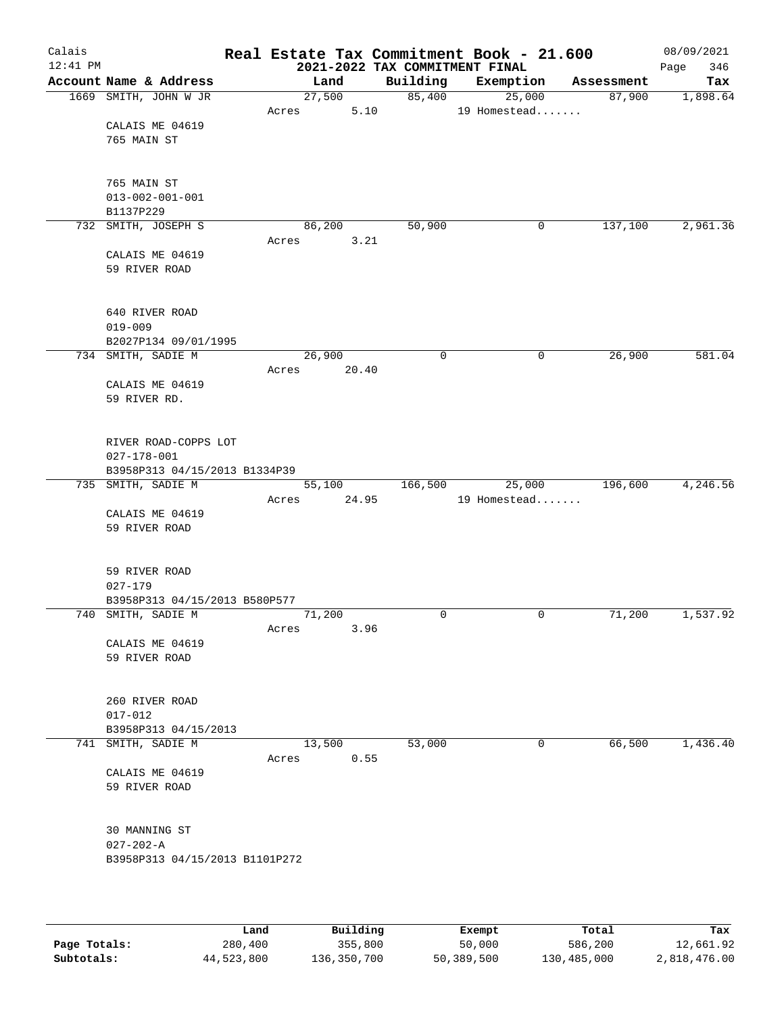| Calais<br>12:41 PM |                                                     |                 |        |             | Real Estate Tax Commitment Book - 21.600<br>2021-2022 TAX COMMITMENT FINAL |            | 08/09/2021<br>346<br>Page |
|--------------------|-----------------------------------------------------|-----------------|--------|-------------|----------------------------------------------------------------------------|------------|---------------------------|
|                    | Account Name & Address                              |                 | Land   | Building    | Exemption                                                                  | Assessment | Tax                       |
|                    | 1669 SMITH, JOHN W JR                               |                 | 27,500 | 85,400      | 25,000                                                                     | 87,900     | 1,898.64                  |
|                    |                                                     | Acres           | 5.10   |             | 19 Homestead                                                               |            |                           |
|                    | CALAIS ME 04619                                     |                 |        |             |                                                                            |            |                           |
|                    | 765 MAIN ST                                         |                 |        |             |                                                                            |            |                           |
|                    |                                                     |                 |        |             |                                                                            |            |                           |
|                    | 765 MAIN ST                                         |                 |        |             |                                                                            |            |                           |
|                    | $013 - 002 - 001 - 001$                             |                 |        |             |                                                                            |            |                           |
|                    | B1137P229                                           |                 |        |             |                                                                            |            |                           |
|                    | 732 SMITH, JOSEPH S                                 | 86,200<br>Acres | 3.21   | 50,900      | 0                                                                          | 137,100    | 2,961.36                  |
|                    | CALAIS ME 04619                                     |                 |        |             |                                                                            |            |                           |
|                    | 59 RIVER ROAD                                       |                 |        |             |                                                                            |            |                           |
|                    |                                                     |                 |        |             |                                                                            |            |                           |
|                    |                                                     |                 |        |             |                                                                            |            |                           |
|                    | 640 RIVER ROAD<br>$019 - 009$                       |                 |        |             |                                                                            |            |                           |
|                    | B2027P134 09/01/1995                                |                 |        |             |                                                                            |            |                           |
|                    | 734 SMITH, SADIE M                                  | 26,900          |        | $\mathbf 0$ | 0                                                                          | 26,900     | 581.04                    |
|                    |                                                     | Acres           | 20.40  |             |                                                                            |            |                           |
|                    | CALAIS ME 04619                                     |                 |        |             |                                                                            |            |                           |
|                    | 59 RIVER RD.                                        |                 |        |             |                                                                            |            |                           |
|                    |                                                     |                 |        |             |                                                                            |            |                           |
|                    | RIVER ROAD-COPPS LOT                                |                 |        |             |                                                                            |            |                           |
|                    | $027 - 178 - 001$                                   |                 |        |             |                                                                            |            |                           |
|                    | B3958P313 04/15/2013 B1334P39                       |                 |        |             |                                                                            |            |                           |
|                    | 735 SMITH, SADIE M                                  | 55,100          |        | 166,500     | 25,000                                                                     | 196,600    | 4,246.56                  |
|                    |                                                     | Acres           | 24.95  |             | 19 Homestead                                                               |            |                           |
|                    | CALAIS ME 04619<br>59 RIVER ROAD                    |                 |        |             |                                                                            |            |                           |
|                    |                                                     |                 |        |             |                                                                            |            |                           |
|                    |                                                     |                 |        |             |                                                                            |            |                           |
|                    | 59 RIVER ROAD                                       |                 |        |             |                                                                            |            |                           |
|                    | $027 - 179$                                         |                 |        |             |                                                                            |            |                           |
|                    | B3958P313 04/15/2013 B580P577<br>740 SMITH, SADIE M | 71,200          |        | 0           | 0                                                                          | 71,200     | 1,537.92                  |
|                    |                                                     | Acres           | 3.96   |             |                                                                            |            |                           |
|                    | CALAIS ME 04619                                     |                 |        |             |                                                                            |            |                           |
|                    | 59 RIVER ROAD                                       |                 |        |             |                                                                            |            |                           |
|                    |                                                     |                 |        |             |                                                                            |            |                           |
|                    | 260 RIVER ROAD                                      |                 |        |             |                                                                            |            |                           |
|                    | $017 - 012$                                         |                 |        |             |                                                                            |            |                           |
|                    | B3958P313 04/15/2013                                |                 |        |             |                                                                            |            |                           |
|                    | 741 SMITH, SADIE M                                  | 13,500          |        | 53,000      | 0                                                                          | 66,500     | 1,436.40                  |
|                    |                                                     | Acres           | 0.55   |             |                                                                            |            |                           |
|                    | CALAIS ME 04619                                     |                 |        |             |                                                                            |            |                           |
|                    | 59 RIVER ROAD                                       |                 |        |             |                                                                            |            |                           |
|                    |                                                     |                 |        |             |                                                                            |            |                           |
|                    | 30 MANNING ST                                       |                 |        |             |                                                                            |            |                           |
|                    | $027 - 202 - A$                                     |                 |        |             |                                                                            |            |                           |
|                    | B3958P313 04/15/2013 B1101P272                      |                 |        |             |                                                                            |            |                           |
|                    |                                                     |                 |        |             |                                                                            |            |                           |
|                    |                                                     |                 |        |             |                                                                            |            |                           |
|                    |                                                     |                 |        |             |                                                                            |            |                           |

|              | Land       | Building    | Exempt     | Total       | Tax          |
|--------------|------------|-------------|------------|-------------|--------------|
| Page Totals: | 280,400    | 355,800     | 50,000     | 586,200     | 12,661.92    |
| Subtotals:   | 44,523,800 | 136,350,700 | 50,389,500 | 130,485,000 | 2,818,476.00 |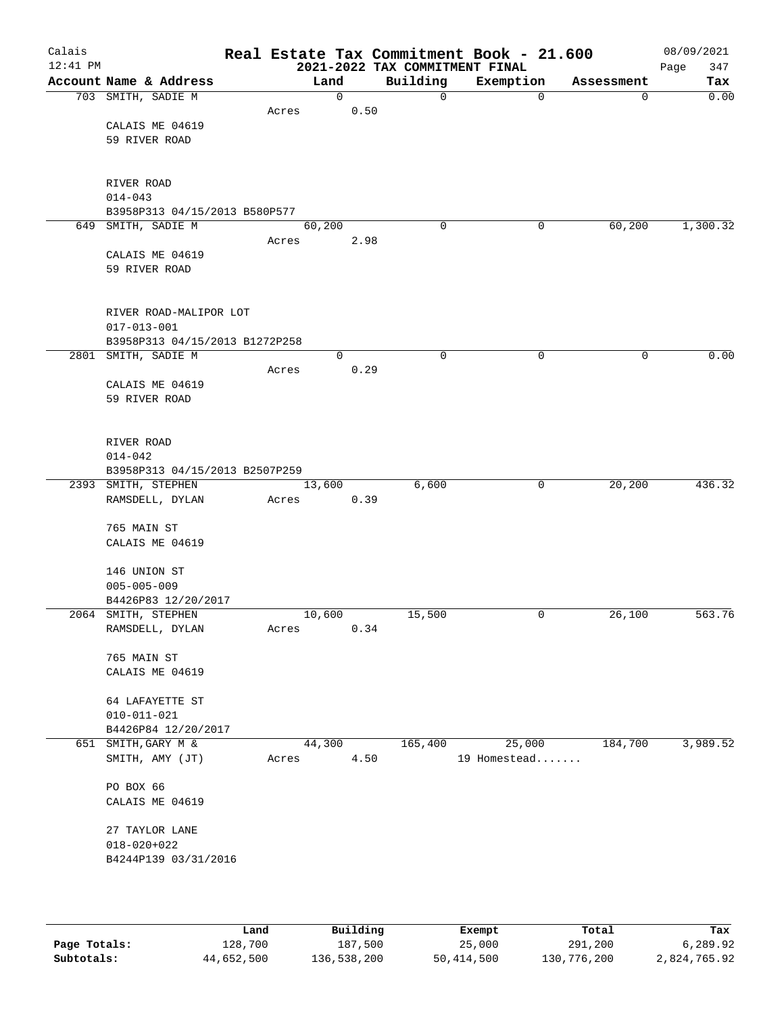| Calais<br>$12:41$ PM |                                              |       |        |      | 2021-2022 TAX COMMITMENT FINAL | Real Estate Tax Commitment Book - 21.600 |             | 08/09/2021<br>347<br>Page |
|----------------------|----------------------------------------------|-------|--------|------|--------------------------------|------------------------------------------|-------------|---------------------------|
|                      | Account Name & Address                       |       | Land   |      | Building                       | Exemption                                | Assessment  | Tax                       |
|                      | 703 SMITH, SADIE M                           |       |        | 0    | 0                              | $\mathbf 0$                              | $\mathbf 0$ | 0.00                      |
|                      |                                              | Acres |        | 0.50 |                                |                                          |             |                           |
|                      | CALAIS ME 04619                              |       |        |      |                                |                                          |             |                           |
|                      | 59 RIVER ROAD                                |       |        |      |                                |                                          |             |                           |
|                      |                                              |       |        |      |                                |                                          |             |                           |
|                      |                                              |       |        |      |                                |                                          |             |                           |
|                      | RIVER ROAD                                   |       |        |      |                                |                                          |             |                           |
|                      | $014 - 043$<br>B3958P313 04/15/2013 B580P577 |       |        |      |                                |                                          |             |                           |
|                      | 649 SMITH, SADIE M                           |       | 60,200 |      | $\mathbf 0$                    | 0                                        | 60,200      | 1,300.32                  |
|                      |                                              | Acres |        | 2.98 |                                |                                          |             |                           |
|                      | CALAIS ME 04619                              |       |        |      |                                |                                          |             |                           |
|                      | 59 RIVER ROAD                                |       |        |      |                                |                                          |             |                           |
|                      |                                              |       |        |      |                                |                                          |             |                           |
|                      |                                              |       |        |      |                                |                                          |             |                           |
|                      | RIVER ROAD-MALIPOR LOT                       |       |        |      |                                |                                          |             |                           |
|                      | $017 - 013 - 001$                            |       |        |      |                                |                                          |             |                           |
|                      | B3958P313 04/15/2013 B1272P258               |       |        |      |                                |                                          |             |                           |
|                      | 2801 SMITH, SADIE M                          |       |        | 0    | 0                              | 0                                        | 0           | 0.00                      |
|                      |                                              | Acres |        | 0.29 |                                |                                          |             |                           |
|                      | CALAIS ME 04619                              |       |        |      |                                |                                          |             |                           |
|                      | 59 RIVER ROAD                                |       |        |      |                                |                                          |             |                           |
|                      |                                              |       |        |      |                                |                                          |             |                           |
|                      | RIVER ROAD                                   |       |        |      |                                |                                          |             |                           |
|                      | $014 - 042$                                  |       |        |      |                                |                                          |             |                           |
|                      | B3958P313 04/15/2013 B2507P259               |       |        |      |                                |                                          |             |                           |
|                      | 2393 SMITH, STEPHEN                          |       | 13,600 |      | 6,600                          | 0                                        | 20,200      | 436.32                    |
|                      | RAMSDELL, DYLAN                              | Acres |        | 0.39 |                                |                                          |             |                           |
|                      |                                              |       |        |      |                                |                                          |             |                           |
|                      | 765 MAIN ST                                  |       |        |      |                                |                                          |             |                           |
|                      | CALAIS ME 04619                              |       |        |      |                                |                                          |             |                           |
|                      | 146 UNION ST                                 |       |        |      |                                |                                          |             |                           |
|                      | $005 - 005 - 009$                            |       |        |      |                                |                                          |             |                           |
|                      | B4426P83 12/20/2017                          |       |        |      |                                |                                          |             |                           |
|                      | 2064 SMITH, STEPHEN                          |       | 10,600 |      | 15,500                         | 0                                        | 26,100      | 563.76                    |
|                      | RAMSDELL, DYLAN                              | Acres |        | 0.34 |                                |                                          |             |                           |
|                      |                                              |       |        |      |                                |                                          |             |                           |
|                      | 765 MAIN ST                                  |       |        |      |                                |                                          |             |                           |
|                      | CALAIS ME 04619                              |       |        |      |                                |                                          |             |                           |
|                      |                                              |       |        |      |                                |                                          |             |                           |
|                      | 64 LAFAYETTE ST                              |       |        |      |                                |                                          |             |                           |
|                      | $010 - 011 - 021$                            |       |        |      |                                |                                          |             |                           |
|                      | B4426P84 12/20/2017<br>651 SMITH, GARY M &   |       | 44,300 |      | 165,400                        | 25,000                                   | 184,700     | 3,989.52                  |
|                      | SMITH, AMY (JT)                              | Acres |        | 4.50 |                                | 19 Homestead                             |             |                           |
|                      |                                              |       |        |      |                                |                                          |             |                           |
|                      | PO BOX 66                                    |       |        |      |                                |                                          |             |                           |
|                      | CALAIS ME 04619                              |       |        |      |                                |                                          |             |                           |
|                      |                                              |       |        |      |                                |                                          |             |                           |
|                      | 27 TAYLOR LANE                               |       |        |      |                                |                                          |             |                           |
|                      | $018 - 020 + 022$                            |       |        |      |                                |                                          |             |                           |
|                      | B4244P139 03/31/2016                         |       |        |      |                                |                                          |             |                           |
|                      |                                              |       |        |      |                                |                                          |             |                           |
|                      |                                              |       |        |      |                                |                                          |             |                           |

|              | Land       | Building    | Exempt     | Total       | Tax          |
|--------------|------------|-------------|------------|-------------|--------------|
| Page Totals: | 128,700    | 187,500     | 25,000     | 291,200     | 6,289.92     |
| Subtotals:   | 44,652,500 | 136,538,200 | 50,414,500 | 130,776,200 | 2,824,765.92 |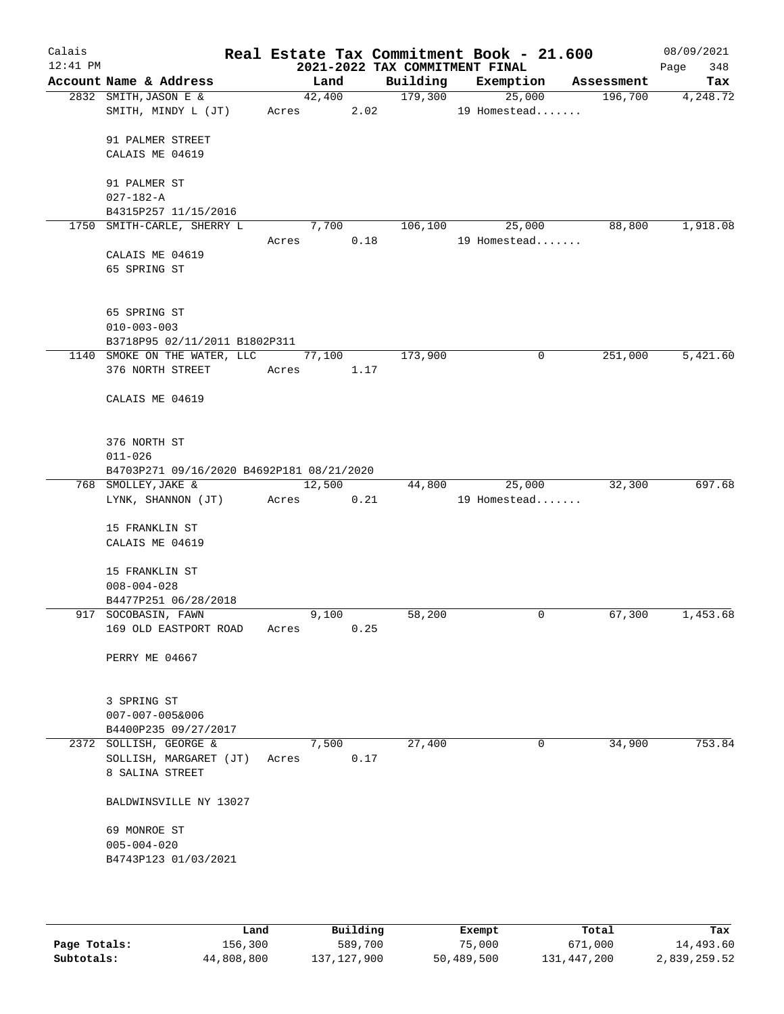| Calais<br>$12:41$ PM |                                                  |       |        |      |          | Real Estate Tax Commitment Book - 21.600<br>2021-2022 TAX COMMITMENT FINAL |            | 08/09/2021<br>348<br>Page |
|----------------------|--------------------------------------------------|-------|--------|------|----------|----------------------------------------------------------------------------|------------|---------------------------|
|                      | Account Name & Address                           |       | Land   |      | Building | Exemption                                                                  | Assessment | Tax                       |
|                      | 2832 SMITH, JASON E &                            |       | 42,400 |      | 179,300  | 25,000                                                                     | 196,700    | 4,248.72                  |
|                      | SMITH, MINDY L (JT)                              |       | Acres  | 2.02 |          | 19 Homestead                                                               |            |                           |
|                      | 91 PALMER STREET                                 |       |        |      |          |                                                                            |            |                           |
|                      | CALAIS ME 04619                                  |       |        |      |          |                                                                            |            |                           |
|                      | 91 PALMER ST                                     |       |        |      |          |                                                                            |            |                           |
|                      | $027 - 182 - A$                                  |       |        |      |          |                                                                            |            |                           |
|                      | B4315P257 11/15/2016                             |       |        |      |          |                                                                            |            |                           |
|                      | 1750 SMITH-CARLE, SHERRY L                       |       | 7,700  |      | 106,100  | 25,000                                                                     | 88,800     | 1,918.08                  |
|                      |                                                  | Acres |        | 0.18 |          | 19 Homestead                                                               |            |                           |
|                      | CALAIS ME 04619                                  |       |        |      |          |                                                                            |            |                           |
|                      | 65 SPRING ST                                     |       |        |      |          |                                                                            |            |                           |
|                      |                                                  |       |        |      |          |                                                                            |            |                           |
|                      | 65 SPRING ST                                     |       |        |      |          |                                                                            |            |                           |
|                      | $010 - 003 - 003$                                |       |        |      |          |                                                                            |            |                           |
|                      | B3718P95 02/11/2011 B1802P311                    |       |        |      |          |                                                                            |            |                           |
|                      | 1140 SMOKE ON THE WATER, LLC<br>376 NORTH STREET |       | 77,100 | 1.17 | 173,900  | 0                                                                          | 251,000    | 5,421.60                  |
|                      |                                                  | Acres |        |      |          |                                                                            |            |                           |
|                      | CALAIS ME 04619                                  |       |        |      |          |                                                                            |            |                           |
|                      |                                                  |       |        |      |          |                                                                            |            |                           |
|                      | 376 NORTH ST                                     |       |        |      |          |                                                                            |            |                           |
|                      | $011 - 026$                                      |       |        |      |          |                                                                            |            |                           |
|                      | B4703P271 09/16/2020 B4692P181 08/21/2020        |       |        |      |          |                                                                            |            |                           |
|                      | 768 SMOLLEY, JAKE &                              |       | 12,500 |      | 44,800   | 25,000<br>19 Homestead                                                     | 32,300     | 697.68                    |
|                      | LYNK, SHANNON (JT)                               | Acres |        | 0.21 |          |                                                                            |            |                           |
|                      | 15 FRANKLIN ST                                   |       |        |      |          |                                                                            |            |                           |
|                      | CALAIS ME 04619                                  |       |        |      |          |                                                                            |            |                           |
|                      |                                                  |       |        |      |          |                                                                            |            |                           |
|                      | 15 FRANKLIN ST                                   |       |        |      |          |                                                                            |            |                           |
|                      | $008 - 004 - 028$                                |       |        |      |          |                                                                            |            |                           |
|                      | B4477P251 06/28/2018                             |       |        |      |          |                                                                            |            |                           |
|                      | 917 SOCOBASIN, FAWN                              |       | 9,100  |      | 58,200   | 0                                                                          | 67,300     | 1,453.68                  |
|                      | 169 OLD EASTPORT ROAD                            | Acres |        | 0.25 |          |                                                                            |            |                           |
|                      | PERRY ME 04667                                   |       |        |      |          |                                                                            |            |                           |
|                      |                                                  |       |        |      |          |                                                                            |            |                           |
|                      | 3 SPRING ST                                      |       |        |      |          |                                                                            |            |                           |
|                      | 007-007-005&006                                  |       |        |      |          |                                                                            |            |                           |
|                      | B4400P235 09/27/2017                             |       |        |      |          |                                                                            |            |                           |
|                      | 2372 SOLLISH, GEORGE &                           |       | 7,500  |      | 27,400   | 0                                                                          | 34,900     | 753.84                    |
|                      | SOLLISH, MARGARET (JT)                           | Acres |        | 0.17 |          |                                                                            |            |                           |
|                      | 8 SALINA STREET                                  |       |        |      |          |                                                                            |            |                           |
|                      | BALDWINSVILLE NY 13027                           |       |        |      |          |                                                                            |            |                           |
|                      | 69 MONROE ST                                     |       |        |      |          |                                                                            |            |                           |
|                      | $005 - 004 - 020$                                |       |        |      |          |                                                                            |            |                           |
|                      | B4743P123 01/03/2021                             |       |        |      |          |                                                                            |            |                           |
|                      |                                                  |       |        |      |          |                                                                            |            |                           |
|                      |                                                  |       |        |      |          |                                                                            |            |                           |

|              | Land       | Building    |            | Total       | Tax          |
|--------------|------------|-------------|------------|-------------|--------------|
|              |            |             | Exempt     |             |              |
| Page Totals: | 156,300    | 589,700     | 75,000     | 671,000     | 14,493.60    |
| Subtotals:   | 44,808,800 | 137,127,900 | 50,489,500 | 131,447,200 | 2,839,259.52 |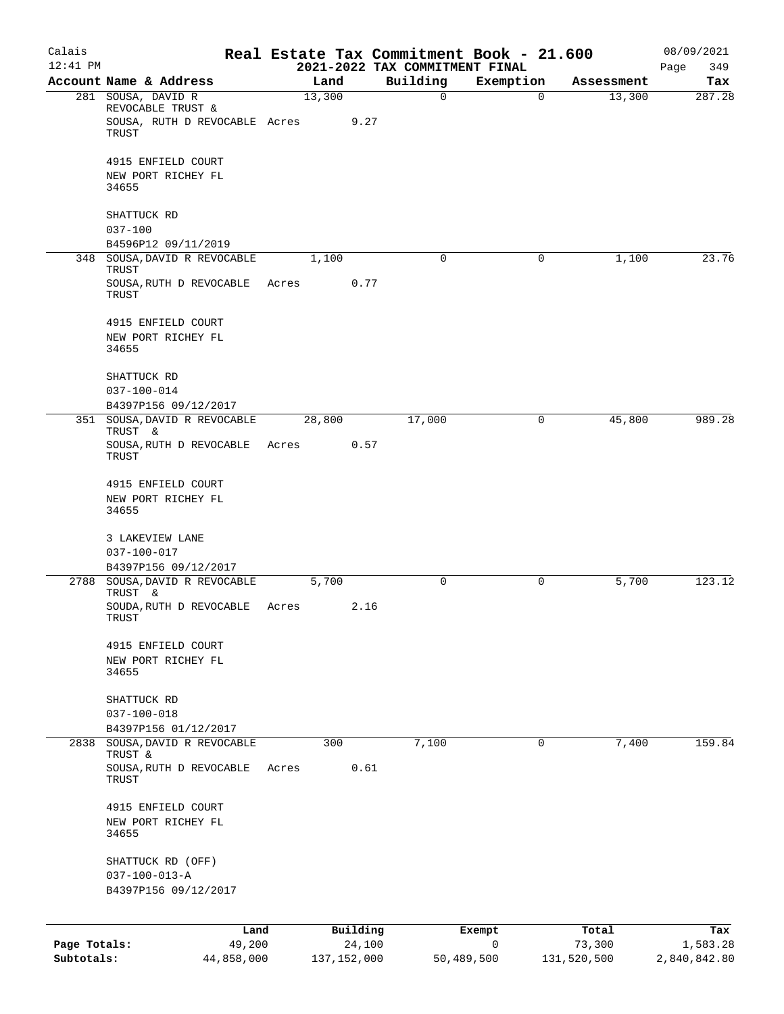| Calais<br>$12:41$ PM       |                                                                                   |       |                         | Real Estate Tax Commitment Book - 21.600<br>2021-2022 TAX COMMITMENT FINAL |                 |                       | 08/09/2021<br>349<br>Page |
|----------------------------|-----------------------------------------------------------------------------------|-------|-------------------------|----------------------------------------------------------------------------|-----------------|-----------------------|---------------------------|
|                            | Account Name & Address                                                            |       | Land                    | Building                                                                   | Exemption       | Assessment            | Tax                       |
|                            | 281 SOUSA, DAVID R<br>REVOCABLE TRUST &<br>SOUSA, RUTH D REVOCABLE Acres<br>TRUST |       | 13,300<br>9.27          | $\mathbf 0$                                                                | $\Omega$        | 13,300                | 287.28                    |
|                            | 4915 ENFIELD COURT<br>NEW PORT RICHEY FL<br>34655                                 |       |                         |                                                                            |                 |                       |                           |
|                            | SHATTUCK RD<br>$037 - 100$<br>B4596P12 09/11/2019                                 |       |                         |                                                                            |                 |                       |                           |
| 348                        | SOUSA, DAVID R REVOCABLE<br>TRUST                                                 |       | 1,100                   | $\mathbf 0$                                                                | 0               | 1,100                 | 23.76                     |
|                            | SOUSA, RUTH D REVOCABLE<br>TRUST                                                  | Acres | 0.77                    |                                                                            |                 |                       |                           |
|                            | 4915 ENFIELD COURT<br>NEW PORT RICHEY FL<br>34655                                 |       |                         |                                                                            |                 |                       |                           |
|                            | SHATTUCK RD<br>$037 - 100 - 014$                                                  |       |                         |                                                                            |                 |                       |                           |
|                            | B4397P156 09/12/2017<br>SOUSA, DAVID R REVOCABLE                                  |       | 28,800                  | 17,000                                                                     | 0               | 45,800                | 989.28                    |
| 351                        | TRUST &<br>SOUSA, RUTH D REVOCABLE<br>TRUST                                       | Acres | 0.57                    |                                                                            |                 |                       |                           |
|                            | 4915 ENFIELD COURT<br>NEW PORT RICHEY FL<br>34655                                 |       |                         |                                                                            |                 |                       |                           |
|                            | 3 LAKEVIEW LANE<br>$037 - 100 - 017$<br>B4397P156 09/12/2017                      |       |                         |                                                                            |                 |                       |                           |
| 2788                       | SOUSA, DAVID R REVOCABLE                                                          |       | 5,700                   | 0                                                                          | 0               | 5,700                 | 123.12                    |
|                            | TRUST &<br>SOUDA, RUTH D REVOCABLE<br>TRUST                                       | Acres | 2.16                    |                                                                            |                 |                       |                           |
|                            | 4915 ENFIELD COURT<br>NEW PORT RICHEY FL<br>34655                                 |       |                         |                                                                            |                 |                       |                           |
|                            | SHATTUCK RD<br>$037 - 100 - 018$<br>B4397P156 01/12/2017                          |       |                         |                                                                            |                 |                       |                           |
| 2838                       | SOUSA, DAVID R REVOCABLE                                                          |       | 300                     | 7,100                                                                      | $\mathbf 0$     | 7,400                 | 159.84                    |
|                            | <b>TRUST &amp;</b><br>SOUSA, RUTH D REVOCABLE<br>TRUST                            | Acres | 0.61                    |                                                                            |                 |                       |                           |
|                            | 4915 ENFIELD COURT<br>NEW PORT RICHEY FL<br>34655                                 |       |                         |                                                                            |                 |                       |                           |
|                            | SHATTUCK RD (OFF)<br>$037 - 100 - 013 - A$<br>B4397P156 09/12/2017                |       |                         |                                                                            |                 |                       |                           |
|                            |                                                                                   |       |                         |                                                                            |                 |                       |                           |
|                            | Land                                                                              |       | Building                |                                                                            | Exempt          | Total                 | Tax                       |
| Page Totals:<br>Subtotals: | 49,200<br>44,858,000                                                              |       | 24,100<br>137, 152, 000 |                                                                            | 0<br>50,489,500 | 73,300<br>131,520,500 | 1,583.28<br>2,840,842.80  |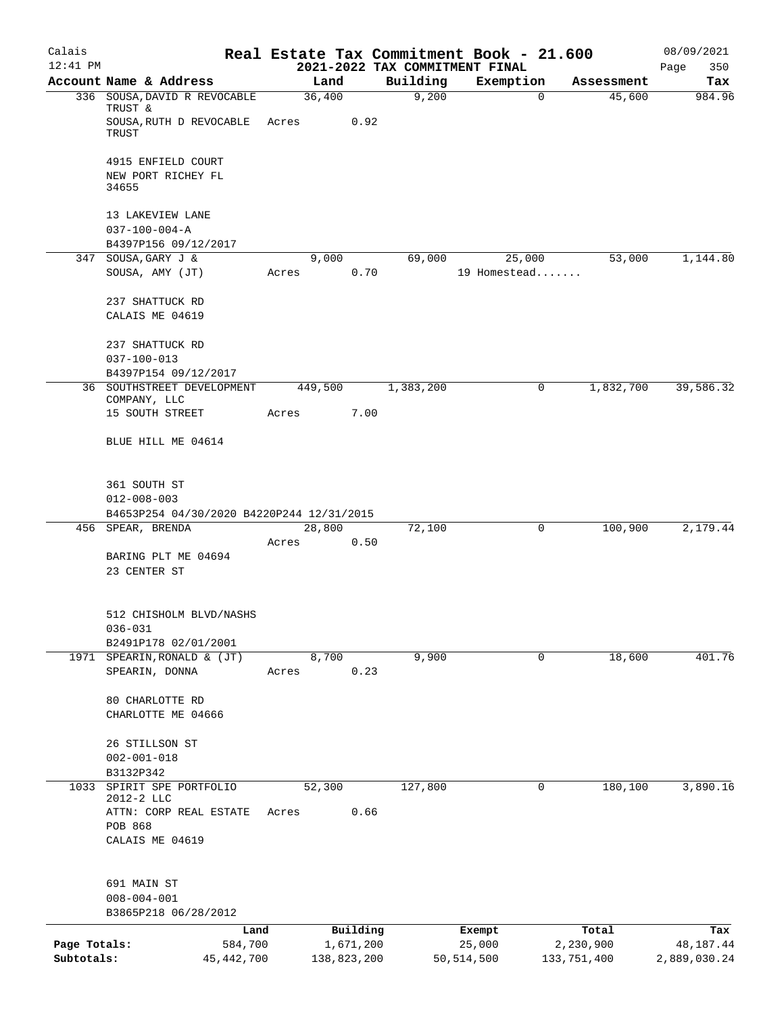| Calais<br>$12:41$ PM |                                           |       |             |      | Real Estate Tax Commitment Book - 21.600<br>2021-2022 TAX COMMITMENT FINAL |              |              |             | 08/09/2021<br>350<br>Page |
|----------------------|-------------------------------------------|-------|-------------|------|----------------------------------------------------------------------------|--------------|--------------|-------------|---------------------------|
|                      | Account Name & Address                    |       | Land        |      | Building                                                                   | Exemption    |              | Assessment  | Tax                       |
|                      | 336 SOUSA, DAVID R REVOCABLE<br>TRUST &   |       | 36,400      |      | 9,200                                                                      |              | 0            | 45,600      | 984.96                    |
|                      | SOUSA, RUTH D REVOCABLE<br>TRUST          | Acres |             | 0.92 |                                                                            |              |              |             |                           |
|                      | 4915 ENFIELD COURT                        |       |             |      |                                                                            |              |              |             |                           |
|                      | NEW PORT RICHEY FL<br>34655               |       |             |      |                                                                            |              |              |             |                           |
|                      | 13 LAKEVIEW LANE                          |       |             |      |                                                                            |              |              |             |                           |
|                      | $037 - 100 - 004 - A$                     |       |             |      |                                                                            |              |              |             |                           |
| 347                  | B4397P156 09/12/2017<br>SOUSA, GARY J &   |       | 9,000       |      | 69,000                                                                     | 25,000       |              | 53,000      | 1,144.80                  |
|                      | SOUSA, AMY (JT)                           | Acres |             | 0.70 |                                                                            | 19 Homestead |              |             |                           |
|                      | 237 SHATTUCK RD                           |       |             |      |                                                                            |              |              |             |                           |
|                      | CALAIS ME 04619                           |       |             |      |                                                                            |              |              |             |                           |
|                      | 237 SHATTUCK RD                           |       |             |      |                                                                            |              |              |             |                           |
|                      | $037 - 100 - 013$<br>B4397P154 09/12/2017 |       |             |      |                                                                            |              |              |             |                           |
|                      | 36 SOUTHSTREET DEVELOPMENT                |       | 449,500     |      | 1,383,200                                                                  |              | 0            | 1,832,700   | 39,586.32                 |
|                      | COMPANY, LLC                              |       |             |      |                                                                            |              |              |             |                           |
|                      | 15 SOUTH STREET                           | Acres |             | 7.00 |                                                                            |              |              |             |                           |
|                      | BLUE HILL ME 04614                        |       |             |      |                                                                            |              |              |             |                           |
|                      | 361 SOUTH ST                              |       |             |      |                                                                            |              |              |             |                           |
|                      | $012 - 008 - 003$                         |       |             |      |                                                                            |              |              |             |                           |
|                      | B4653P254 04/30/2020 B4220P244 12/31/2015 |       |             |      |                                                                            |              |              |             |                           |
|                      | 456 SPEAR, BRENDA                         |       | 28,800      |      | 72,100                                                                     |              | 0            | 100,900     | 2,179.44                  |
|                      | BARING PLT ME 04694                       | Acres |             | 0.50 |                                                                            |              |              |             |                           |
|                      | 23 CENTER ST                              |       |             |      |                                                                            |              |              |             |                           |
|                      |                                           |       |             |      |                                                                            |              |              |             |                           |
|                      | 512 CHISHOLM BLVD/NASHS                   |       |             |      |                                                                            |              |              |             |                           |
|                      | $036 - 031$                               |       |             |      |                                                                            |              |              |             |                           |
|                      | B2491P178 02/01/2001                      |       |             |      |                                                                            |              | $\mathsf{O}$ |             | 401.76                    |
| 1971                 | SPEARIN, RONALD & (JT)<br>SPEARIN, DONNA  | Acres | 8,700       | 0.23 | 9,900                                                                      |              |              | 18,600      |                           |
|                      |                                           |       |             |      |                                                                            |              |              |             |                           |
|                      | 80 CHARLOTTE RD                           |       |             |      |                                                                            |              |              |             |                           |
|                      | CHARLOTTE ME 04666                        |       |             |      |                                                                            |              |              |             |                           |
|                      | 26 STILLSON ST                            |       |             |      |                                                                            |              |              |             |                           |
|                      | $002 - 001 - 018$                         |       |             |      |                                                                            |              |              |             |                           |
|                      | B3132P342                                 |       |             |      |                                                                            |              |              |             |                           |
| 1033                 | SPIRIT SPE PORTFOLIO                      |       | 52,300      |      | 127,800                                                                    |              | 0            | 180,100     | 3,890.16                  |
|                      | 2012-2 LLC<br>ATTN: CORP REAL ESTATE      | Acres |             | 0.66 |                                                                            |              |              |             |                           |
|                      | POB 868                                   |       |             |      |                                                                            |              |              |             |                           |
|                      | CALAIS ME 04619                           |       |             |      |                                                                            |              |              |             |                           |
|                      | 691 MAIN ST                               |       |             |      |                                                                            |              |              |             |                           |
|                      | $008 - 004 - 001$                         |       |             |      |                                                                            |              |              |             |                           |
|                      | B3865P218 06/28/2012                      |       |             |      |                                                                            |              |              |             |                           |
|                      | Land                                      |       | Building    |      |                                                                            | Exempt       |              | Total       | Tax                       |
| Page Totals:         | 584,700                                   |       | 1,671,200   |      |                                                                            | 25,000       |              | 2,230,900   | 48,187.44                 |
| Subtotals:           | 45,442,700                                |       | 138,823,200 |      |                                                                            | 50,514,500   |              | 133,751,400 | 2,889,030.24              |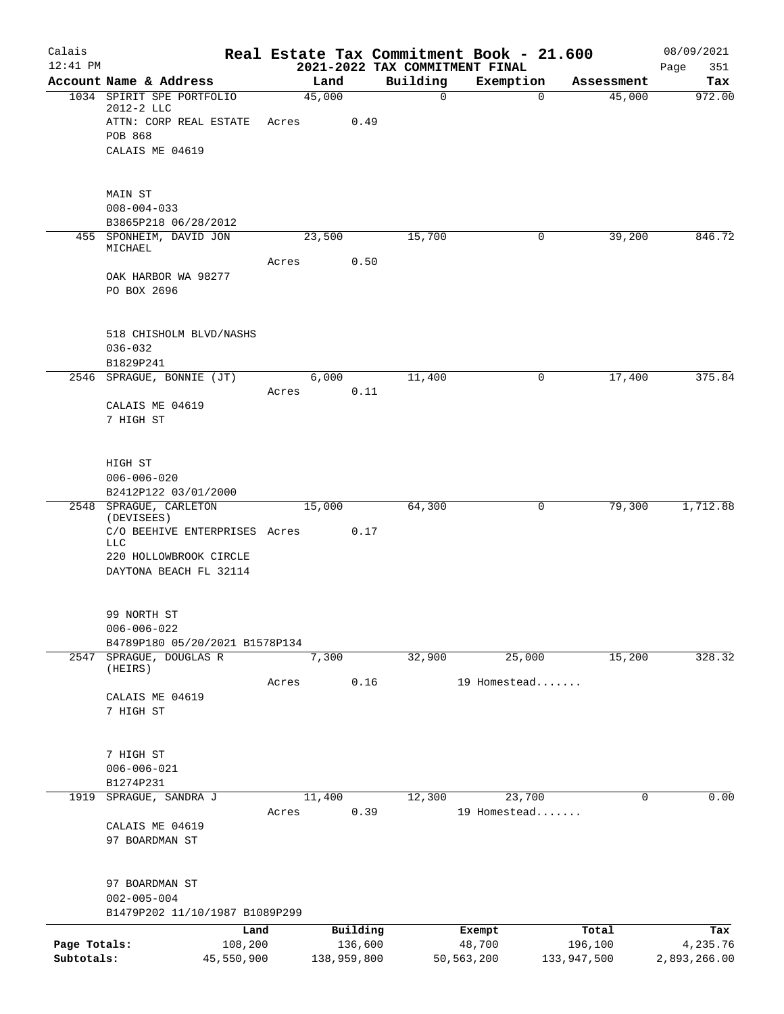| Calais                     |                                                 |         |                        |      | Real Estate Tax Commitment Book - 21.600   |                        |             |                        | 08/09/2021               |
|----------------------------|-------------------------------------------------|---------|------------------------|------|--------------------------------------------|------------------------|-------------|------------------------|--------------------------|
| $12:41$ PM                 | Account Name & Address                          |         | Land                   |      | 2021-2022 TAX COMMITMENT FINAL<br>Building | Exemption              |             | Assessment             | 351<br>Page<br>Tax       |
|                            | 1034 SPIRIT SPE PORTFOLIO<br>2012-2 LLC         |         | 45,000                 |      | $\mathbf 0$                                |                        | $\mathbf 0$ | 45,000                 | 972.00                   |
|                            | ATTN: CORP REAL ESTATE                          | Acres   |                        | 0.49 |                                            |                        |             |                        |                          |
|                            | POB 868                                         |         |                        |      |                                            |                        |             |                        |                          |
|                            | CALAIS ME 04619                                 |         |                        |      |                                            |                        |             |                        |                          |
|                            | MAIN ST                                         |         |                        |      |                                            |                        |             |                        |                          |
|                            | $008 - 004 - 033$                               |         |                        |      |                                            |                        |             |                        |                          |
|                            | B3865P218 06/28/2012<br>455 SPONHEIM, DAVID JON |         | 23,500                 |      | 15,700                                     |                        | 0           | 39,200                 | 846.72                   |
|                            | MICHAEL                                         |         |                        |      |                                            |                        |             |                        |                          |
|                            |                                                 | Acres   |                        | 0.50 |                                            |                        |             |                        |                          |
|                            | OAK HARBOR WA 98277<br>PO BOX 2696              |         |                        |      |                                            |                        |             |                        |                          |
|                            |                                                 |         |                        |      |                                            |                        |             |                        |                          |
|                            | 518 CHISHOLM BLVD/NASHS                         |         |                        |      |                                            |                        |             |                        |                          |
|                            | $036 - 032$<br>B1829P241                        |         |                        |      |                                            |                        |             |                        |                          |
|                            | 2546 SPRAGUE, BONNIE (JT)                       |         | 6,000                  |      | 11,400                                     |                        | 0           | 17,400                 | 375.84                   |
|                            |                                                 | Acres   |                        | 0.11 |                                            |                        |             |                        |                          |
|                            | CALAIS ME 04619                                 |         |                        |      |                                            |                        |             |                        |                          |
|                            | 7 HIGH ST                                       |         |                        |      |                                            |                        |             |                        |                          |
|                            | HIGH ST                                         |         |                        |      |                                            |                        |             |                        |                          |
|                            | $006 - 006 - 020$                               |         |                        |      |                                            |                        |             |                        |                          |
|                            | B2412P122 03/01/2000<br>2548 SPRAGUE, CARLETON  |         | 15,000                 |      | 64,300                                     |                        | 0           | 79,300                 | 1,712.88                 |
|                            | (DEVISEES)                                      |         |                        |      |                                            |                        |             |                        |                          |
|                            | C/O BEEHIVE ENTERPRISES Acres<br>LLC            |         |                        | 0.17 |                                            |                        |             |                        |                          |
|                            | 220 HOLLOWBROOK CIRCLE                          |         |                        |      |                                            |                        |             |                        |                          |
|                            | DAYTONA BEACH FL 32114                          |         |                        |      |                                            |                        |             |                        |                          |
|                            | 99 NORTH ST                                     |         |                        |      |                                            |                        |             |                        |                          |
|                            | $006 - 006 - 022$                               |         |                        |      |                                            |                        |             |                        |                          |
|                            | B4789P180 05/20/2021 B1578P134                  |         |                        |      |                                            |                        |             |                        |                          |
| 2547                       | SPRAGUE, DOUGLAS R<br>(HEIRS)                   |         | 7,300                  |      | 32,900                                     | 25,000                 |             | 15,200                 | 328.32                   |
|                            |                                                 | Acres   |                        | 0.16 |                                            | 19 Homestead           |             |                        |                          |
|                            | CALAIS ME 04619                                 |         |                        |      |                                            |                        |             |                        |                          |
|                            | 7 HIGH ST                                       |         |                        |      |                                            |                        |             |                        |                          |
|                            | 7 HIGH ST                                       |         |                        |      |                                            |                        |             |                        |                          |
|                            | $006 - 006 - 021$                               |         |                        |      |                                            |                        |             |                        |                          |
|                            | B1274P231                                       |         |                        |      |                                            |                        |             | $\mathbf 0$            | 0.00                     |
| 1919                       | SPRAGUE, SANDRA J                               | Acres   | 11,400                 | 0.39 | 12,300                                     | 23,700<br>19 Homestead |             |                        |                          |
|                            | CALAIS ME 04619                                 |         |                        |      |                                            |                        |             |                        |                          |
|                            | 97 BOARDMAN ST                                  |         |                        |      |                                            |                        |             |                        |                          |
|                            | 97 BOARDMAN ST                                  |         |                        |      |                                            |                        |             |                        |                          |
|                            | $002 - 005 - 004$                               |         |                        |      |                                            |                        |             |                        |                          |
|                            | B1479P202 11/10/1987 B1089P299                  |         |                        |      |                                            |                        |             |                        |                          |
|                            |                                                 | Land    | Building               |      |                                            | Exempt                 |             | Total                  | Tax                      |
| Page Totals:<br>Subtotals: | 45,550,900                                      | 108,200 | 136,600<br>138,959,800 |      |                                            | 48,700<br>50,563,200   |             | 196,100<br>133,947,500 | 4,235.76<br>2,893,266.00 |
|                            |                                                 |         |                        |      |                                            |                        |             |                        |                          |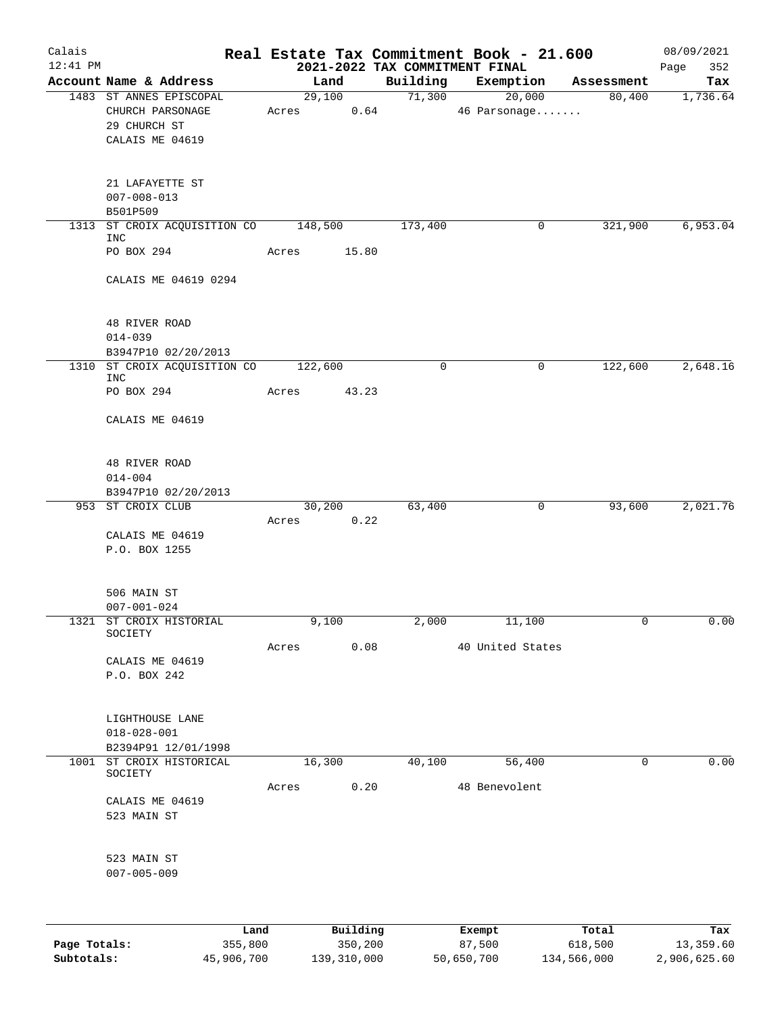| Calais<br>$12:41$ PM |                                              |                 |          | 2021-2022 TAX COMMITMENT FINAL | Real Estate Tax Commitment Book - 21.600 |            | 08/09/2021<br>352<br>Page |
|----------------------|----------------------------------------------|-----------------|----------|--------------------------------|------------------------------------------|------------|---------------------------|
|                      | Account Name & Address                       |                 | Land     | Building                       | Exemption                                | Assessment | Tax                       |
|                      | 1483 ST ANNES EPISCOPAL                      | 29,100          |          |                                | 71,300<br>20,000                         | 80,400     | 1,736.64                  |
|                      | CHURCH PARSONAGE<br>29 CHURCH ST             | Acres           |          | 0.64                           | 46 Parsonage                             |            |                           |
|                      | CALAIS ME 04619                              |                 |          |                                |                                          |            |                           |
|                      | 21 LAFAYETTE ST                              |                 |          |                                |                                          |            |                           |
|                      | $007 - 008 - 013$<br>B501P509                |                 |          |                                |                                          |            |                           |
|                      | 1313 ST CROIX ACQUISITION CO 148,500<br>INC  |                 |          | 173,400                        | 0                                        | 321,900    | 6,953.04                  |
|                      | PO BOX 294                                   | Acres           | 15.80    |                                |                                          |            |                           |
|                      | CALAIS ME 04619 0294                         |                 |          |                                |                                          |            |                           |
|                      | 48 RIVER ROAD                                |                 |          |                                |                                          |            |                           |
|                      | $014 - 039$                                  |                 |          |                                |                                          |            |                           |
|                      | B3947P10 02/20/2013                          |                 |          |                                |                                          |            |                           |
| 1310                 | ST CROIX ACQUISITION CO 122,600<br>INC       |                 |          | $\mathbf 0$                    | 0                                        | 122,600    | 2,648.16                  |
|                      | PO BOX 294                                   | Acres           | 43.23    |                                |                                          |            |                           |
|                      | CALAIS ME 04619                              |                 |          |                                |                                          |            |                           |
|                      | 48 RIVER ROAD                                |                 |          |                                |                                          |            |                           |
|                      | $014 - 004$                                  |                 |          |                                |                                          |            |                           |
|                      | B3947P10 02/20/2013<br>953 ST CROIX CLUB     |                 |          |                                |                                          |            |                           |
|                      |                                              | 30,200<br>Acres | 0.22     | 63,400                         | 0                                        | 93,600     | 2,021.76                  |
|                      | CALAIS ME 04619                              |                 |          |                                |                                          |            |                           |
|                      | P.O. BOX 1255                                |                 |          |                                |                                          |            |                           |
|                      | 506 MAIN ST                                  |                 |          |                                |                                          |            |                           |
|                      | $007 - 001 - 024$<br>1321 ST CROIX HISTORIAL | 9,100           |          | 2,000                          | 11,100                                   | 0          | 0.00                      |
|                      | SOCIETY                                      |                 |          |                                |                                          |            |                           |
|                      |                                              | Acres           | 0.08     |                                | 40 United States                         |            |                           |
|                      | CALAIS ME 04619<br>P.O. BOX 242              |                 |          |                                |                                          |            |                           |
|                      |                                              |                 |          |                                |                                          |            |                           |
|                      | LIGHTHOUSE LANE                              |                 |          |                                |                                          |            |                           |
|                      | $018 - 028 - 001$                            |                 |          |                                |                                          |            |                           |
|                      | B2394P91 12/01/1998                          |                 |          |                                |                                          |            |                           |
|                      | 1001 ST CROIX HISTORICAL<br>SOCIETY          |                 | 16,300   | 40,100                         | 56,400                                   | 0          | 0.00                      |
|                      |                                              | Acres 0.20      |          |                                | 48 Benevolent                            |            |                           |
|                      | CALAIS ME 04619<br>523 MAIN ST               |                 |          |                                |                                          |            |                           |
|                      | 523 MAIN ST                                  |                 |          |                                |                                          |            |                           |
|                      | $007 - 005 - 009$                            |                 |          |                                |                                          |            |                           |
|                      |                                              |                 |          |                                |                                          |            |                           |
|                      |                                              | $T$ and         | Building |                                | <b>Exempt</b>                            | Total      | Tav                       |

|              | Land       | Building    | Exempt     | Total       | Tax          |
|--------------|------------|-------------|------------|-------------|--------------|
| Page Totals: | 355,800    | 350,200     | 87,500     | 618,500     | 13,359.60    |
| Subtotals:   | 45,906,700 | 139,310,000 | 50,650,700 | 134,566,000 | 2,906,625.60 |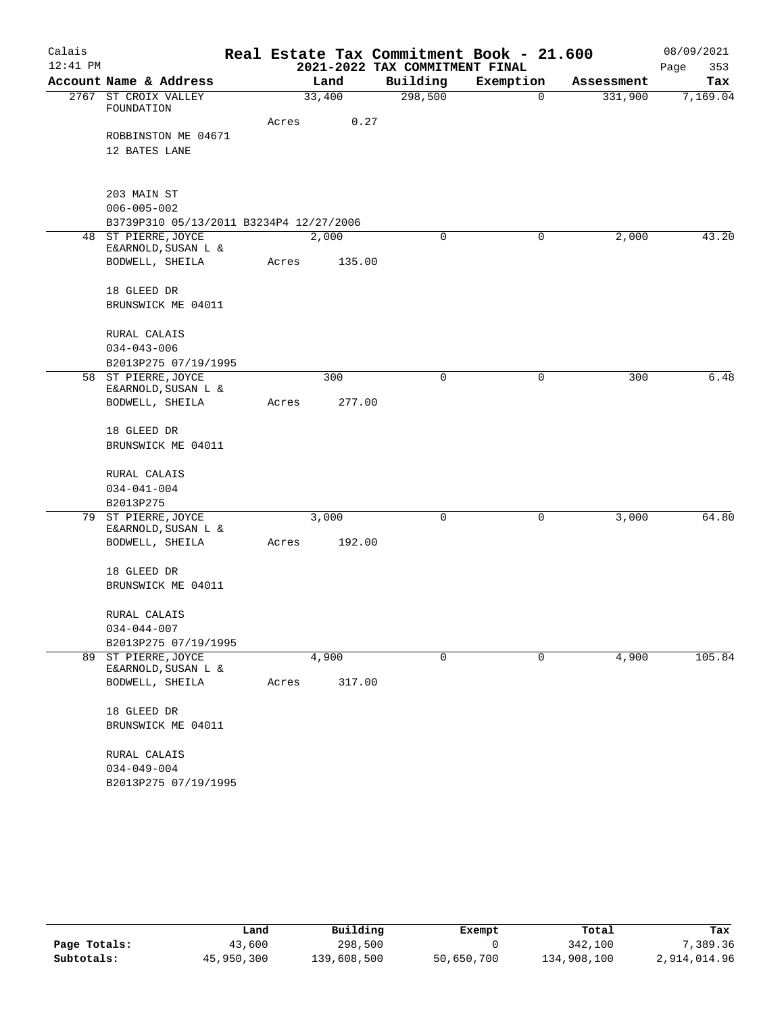| Calais     |                                         |       |        |                                | Real Estate Tax Commitment Book - 21.600 |            | 08/09/2021  |
|------------|-----------------------------------------|-------|--------|--------------------------------|------------------------------------------|------------|-------------|
| $12:41$ PM |                                         |       |        | 2021-2022 TAX COMMITMENT FINAL |                                          |            | Page<br>353 |
|            | Account Name & Address                  |       | Land   | Building                       | Exemption                                | Assessment | Tax         |
| 2767       | ST CROIX VALLEY                         |       | 33,400 | 298,500                        | $\mathbf 0$                              | 331,900    | 7,169.04    |
|            | FOUNDATION                              | Acres | 0.27   |                                |                                          |            |             |
|            | ROBBINSTON ME 04671                     |       |        |                                |                                          |            |             |
|            | 12 BATES LANE                           |       |        |                                |                                          |            |             |
|            |                                         |       |        |                                |                                          |            |             |
|            | 203 MAIN ST                             |       |        |                                |                                          |            |             |
|            | $006 - 005 - 002$                       |       |        |                                |                                          |            |             |
|            | B3739P310 05/13/2011 B3234P4 12/27/2006 |       |        |                                |                                          |            |             |
| 48         | ST PIERRE, JOYCE                        |       | 2,000  | 0                              | 0                                        | 2,000      | 43.20       |
|            | E&ARNOLD, SUSAN L &                     |       |        |                                |                                          |            |             |
|            | BODWELL, SHEILA                         | Acres | 135.00 |                                |                                          |            |             |
|            | 18 GLEED DR                             |       |        |                                |                                          |            |             |
|            | BRUNSWICK ME 04011                      |       |        |                                |                                          |            |             |
|            | RURAL CALAIS                            |       |        |                                |                                          |            |             |
|            | $034 - 043 - 006$                       |       |        |                                |                                          |            |             |
|            | B2013P275 07/19/1995                    |       |        |                                |                                          |            |             |
| 58         | ST PIERRE, JOYCE                        |       | 300    | 0                              | 0                                        | 300        | 6.48        |
|            | E&ARNOLD, SUSAN L &                     |       |        |                                |                                          |            |             |
|            | BODWELL, SHEILA                         | Acres | 277.00 |                                |                                          |            |             |
|            | 18 GLEED DR                             |       |        |                                |                                          |            |             |
|            | BRUNSWICK ME 04011                      |       |        |                                |                                          |            |             |
|            | RURAL CALAIS                            |       |        |                                |                                          |            |             |
|            | $034 - 041 - 004$                       |       |        |                                |                                          |            |             |
|            | B2013P275                               |       |        |                                |                                          |            |             |
| 79         | ST PIERRE, JOYCE                        |       | 3,000  | 0                              | 0                                        | 3,000      | 64.80       |
|            | E&ARNOLD, SUSAN L &                     |       |        |                                |                                          |            |             |
|            | BODWELL, SHEILA                         | Acres | 192.00 |                                |                                          |            |             |
|            | 18 GLEED DR                             |       |        |                                |                                          |            |             |
|            | BRUNSWICK ME 04011                      |       |        |                                |                                          |            |             |
|            | RURAL CALAIS                            |       |        |                                |                                          |            |             |
|            | $034 - 044 - 007$                       |       |        |                                |                                          |            |             |
|            | B2013P275 07/19/1995                    |       |        |                                |                                          |            |             |
| 89         | ST PIERRE, JOYCE                        |       | 4,900  | 0                              | 0                                        | 4,900      | 105.84      |
|            | E&ARNOLD, SUSAN L &<br>BODWELL, SHEILA  | Acres | 317.00 |                                |                                          |            |             |
|            |                                         |       |        |                                |                                          |            |             |
|            | 18 GLEED DR                             |       |        |                                |                                          |            |             |
|            | BRUNSWICK ME 04011                      |       |        |                                |                                          |            |             |
|            | RURAL CALAIS                            |       |        |                                |                                          |            |             |
|            | $034 - 049 - 004$                       |       |        |                                |                                          |            |             |
|            | B2013P275 07/19/1995                    |       |        |                                |                                          |            |             |

|              | Land       | Building    | Exempt     | Total       | Tax          |
|--------------|------------|-------------|------------|-------------|--------------|
| Page Totals: | 43,600     | 298,500     |            | 342,100     | 7,389.36     |
| Subtotals:   | 45,950,300 | 139,608,500 | 50,650,700 | 134,908,100 | 2,914,014.96 |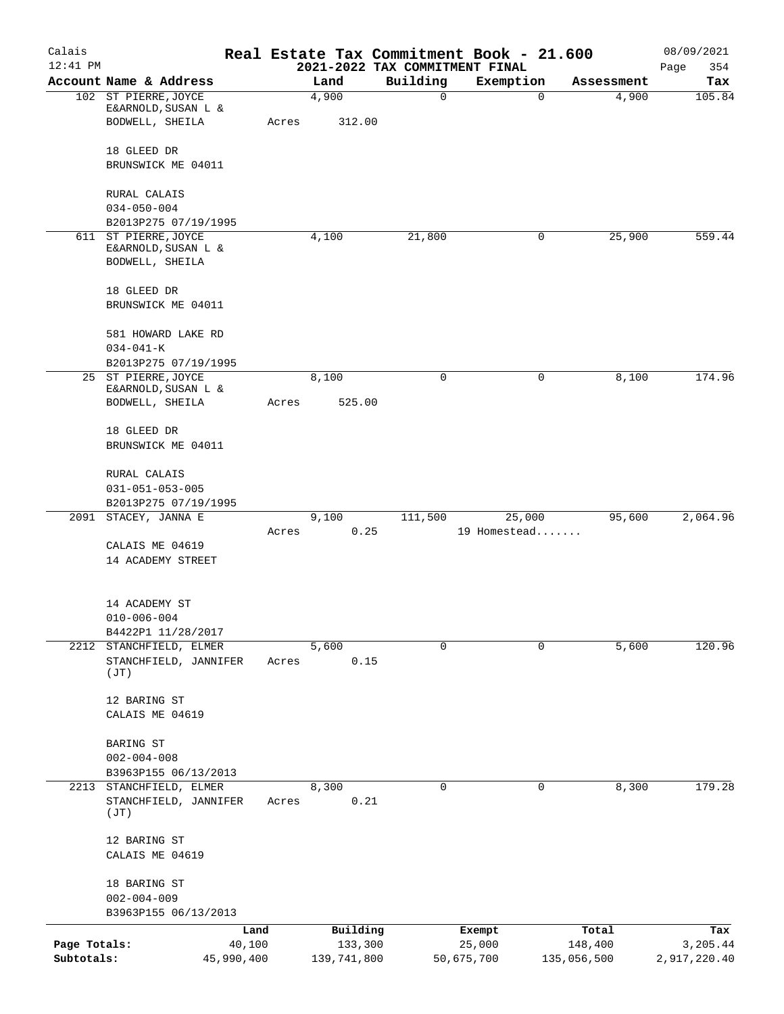| Calais                     |                                                               |        |                        |                                            | Real Estate Tax Commitment Book - 21.600 |                        | 08/09/2021               |
|----------------------------|---------------------------------------------------------------|--------|------------------------|--------------------------------------------|------------------------------------------|------------------------|--------------------------|
| $12:41$ PM                 | Account Name & Address                                        |        | Land                   | 2021-2022 TAX COMMITMENT FINAL<br>Building | Exemption                                |                        | 354<br>Page<br>Tax       |
|                            | 102 ST PIERRE, JOYCE                                          |        | 4,900                  | $\mathbf 0$                                | $\mathbf 0$                              | Assessment<br>4,900    | 105.84                   |
|                            | E&ARNOLD, SUSAN L &<br>BODWELL, SHEILA                        | Acres  | 312.00                 |                                            |                                          |                        |                          |
|                            | 18 GLEED DR                                                   |        |                        |                                            |                                          |                        |                          |
|                            | BRUNSWICK ME 04011                                            |        |                        |                                            |                                          |                        |                          |
|                            | RURAL CALAIS                                                  |        |                        |                                            |                                          |                        |                          |
|                            | $034 - 050 - 004$<br>B2013P275 07/19/1995                     |        |                        |                                            |                                          |                        |                          |
|                            | 611 ST PIERRE, JOYCE                                          |        | 4,100                  | 21,800                                     | 0                                        | 25,900                 | 559.44                   |
|                            | E&ARNOLD, SUSAN L &<br>BODWELL, SHEILA                        |        |                        |                                            |                                          |                        |                          |
|                            | 18 GLEED DR<br>BRUNSWICK ME 04011                             |        |                        |                                            |                                          |                        |                          |
|                            | 581 HOWARD LAKE RD                                            |        |                        |                                            |                                          |                        |                          |
|                            | $034 - 041 - K$                                               |        |                        |                                            |                                          |                        |                          |
|                            | B2013P275 07/19/1995                                          |        |                        |                                            |                                          |                        |                          |
|                            | 25 ST PIERRE, JOYCE<br>E&ARNOLD, SUSAN L &<br>BODWELL, SHEILA | Acres  | 8,100<br>525.00        | $\mathbf 0$                                | 0                                        | 8,100                  | 174.96                   |
|                            |                                                               |        |                        |                                            |                                          |                        |                          |
|                            | 18 GLEED DR                                                   |        |                        |                                            |                                          |                        |                          |
|                            | BRUNSWICK ME 04011                                            |        |                        |                                            |                                          |                        |                          |
|                            | RURAL CALAIS<br>$031 - 051 - 053 - 005$                       |        |                        |                                            |                                          |                        |                          |
|                            | B2013P275 07/19/1995                                          |        |                        |                                            |                                          |                        |                          |
| 2091                       | STACEY, JANNA E                                               |        | 9,100                  | 111,500                                    | 25,000                                   | 95,600                 | 2,064.96                 |
|                            | CALAIS ME 04619                                               | Acres  | 0.25                   |                                            | 19 Homestead                             |                        |                          |
|                            | 14 ACADEMY STREET                                             |        |                        |                                            |                                          |                        |                          |
|                            | 14 ACADEMY ST                                                 |        |                        |                                            |                                          |                        |                          |
|                            | $010 - 006 - 004$                                             |        |                        |                                            |                                          |                        |                          |
|                            | B4422P1 11/28/2017<br>2212 STANCHFIELD, ELMER                 |        | 5,600                  | $\Omega$                                   | $\Omega$                                 | 5,600                  | 120.96                   |
|                            | STANCHFIELD, JANNIFER<br>(JT)                                 | Acres  | 0.15                   |                                            |                                          |                        |                          |
|                            | 12 BARING ST                                                  |        |                        |                                            |                                          |                        |                          |
|                            | CALAIS ME 04619                                               |        |                        |                                            |                                          |                        |                          |
|                            | BARING ST                                                     |        |                        |                                            |                                          |                        |                          |
|                            | $002 - 004 - 008$                                             |        |                        |                                            |                                          |                        |                          |
|                            | B3963P155 06/13/2013                                          |        |                        |                                            |                                          |                        |                          |
| 2213                       | STANCHFIELD, ELMER<br>STANCHFIELD, JANNIFER<br>(JT)           | Acres  | 8,300<br>0.21          | $\Omega$                                   | 0                                        | 8,300                  | 179.28                   |
|                            | 12 BARING ST<br>CALAIS ME 04619                               |        |                        |                                            |                                          |                        |                          |
|                            | 18 BARING ST                                                  |        |                        |                                            |                                          |                        |                          |
|                            | $002 - 004 - 009$                                             |        |                        |                                            |                                          |                        |                          |
|                            | B3963P155 06/13/2013                                          |        |                        |                                            |                                          |                        |                          |
|                            |                                                               | Land   | Building               |                                            | Exempt                                   | Total                  | Tax                      |
| Page Totals:<br>Subtotals: | 45,990,400                                                    | 40,100 | 133,300<br>139,741,800 |                                            | 25,000<br>50,675,700                     | 148,400<br>135,056,500 | 3,205.44<br>2,917,220.40 |
|                            |                                                               |        |                        |                                            |                                          |                        |                          |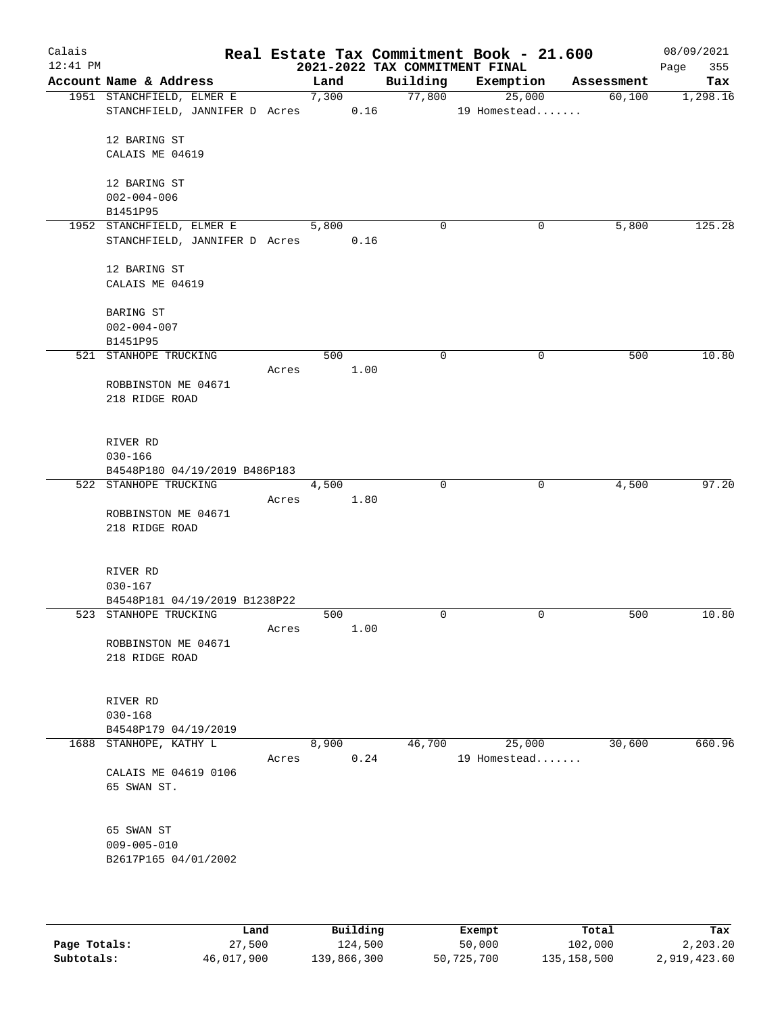| Calais     |                                    |       |       |      |                                | Real Estate Tax Commitment Book - 21.600 |        | 08/09/2021  |
|------------|------------------------------------|-------|-------|------|--------------------------------|------------------------------------------|--------|-------------|
| $12:41$ PM |                                    |       |       |      | 2021-2022 TAX COMMITMENT FINAL |                                          |        | 355<br>Page |
|            | Account Name & Address             |       | Land  |      |                                | Building Exemption Assessment            |        | Tax         |
|            | 1951 STANCHFIELD, ELMER E          |       | 7,300 |      | 77,800                         | 25,000                                   | 60,100 | 1,298.16    |
|            | STANCHFIELD, JANNIFER D Acres 0.16 |       |       |      |                                | 19 Homestead                             |        |             |
|            |                                    |       |       |      |                                |                                          |        |             |
|            | 12 BARING ST                       |       |       |      |                                |                                          |        |             |
|            | CALAIS ME 04619                    |       |       |      |                                |                                          |        |             |
|            | 12 BARING ST                       |       |       |      |                                |                                          |        |             |
|            | $002 - 004 - 006$                  |       |       |      |                                |                                          |        |             |
|            | B1451P95                           |       |       |      |                                |                                          |        |             |
|            | 1952 STANCHFIELD, ELMER E          |       | 5,800 |      | 0                              | 0                                        | 5,800  | 125.28      |
|            | STANCHFIELD, JANNIFER D Acres      |       |       | 0.16 |                                |                                          |        |             |
|            |                                    |       |       |      |                                |                                          |        |             |
|            | 12 BARING ST                       |       |       |      |                                |                                          |        |             |
|            | CALAIS ME 04619                    |       |       |      |                                |                                          |        |             |
|            |                                    |       |       |      |                                |                                          |        |             |
|            | <b>BARING ST</b>                   |       |       |      |                                |                                          |        |             |
|            | $002 - 004 - 007$                  |       |       |      |                                |                                          |        |             |
|            | B1451P95                           |       |       |      |                                |                                          |        |             |
|            | 521 STANHOPE TRUCKING              |       | 500   |      | 0                              | $\mathbf 0$                              | 500    | 10.80       |
|            |                                    | Acres |       | 1.00 |                                |                                          |        |             |
|            | ROBBINSTON ME 04671                |       |       |      |                                |                                          |        |             |
|            | 218 RIDGE ROAD                     |       |       |      |                                |                                          |        |             |
|            |                                    |       |       |      |                                |                                          |        |             |
|            |                                    |       |       |      |                                |                                          |        |             |
|            | RIVER RD                           |       |       |      |                                |                                          |        |             |
|            | $030 - 166$                        |       |       |      |                                |                                          |        |             |
|            | B4548P180 04/19/2019 B486P183      |       |       |      |                                |                                          |        |             |
|            | 522 STANHOPE TRUCKING              |       | 4,500 |      | $\mathbf 0$                    | 0                                        | 4,500  | 97.20       |
|            |                                    | Acres |       | 1.80 |                                |                                          |        |             |
|            | ROBBINSTON ME 04671                |       |       |      |                                |                                          |        |             |
|            | 218 RIDGE ROAD                     |       |       |      |                                |                                          |        |             |
|            |                                    |       |       |      |                                |                                          |        |             |
|            |                                    |       |       |      |                                |                                          |        |             |
|            | RIVER RD                           |       |       |      |                                |                                          |        |             |
|            | $030 - 167$                        |       |       |      |                                |                                          |        |             |
|            | B4548P181 04/19/2019 B1238P22      |       |       |      |                                |                                          |        |             |
|            | 523 STANHOPE TRUCKING              |       | 500   |      | 0                              | $\mathbf 0$                              | 500    | 10.80       |
|            |                                    | Acres |       | 1.00 |                                |                                          |        |             |
|            | ROBBINSTON ME 04671                |       |       |      |                                |                                          |        |             |
|            | 218 RIDGE ROAD                     |       |       |      |                                |                                          |        |             |
|            |                                    |       |       |      |                                |                                          |        |             |
|            |                                    |       |       |      |                                |                                          |        |             |
|            | RIVER RD                           |       |       |      |                                |                                          |        |             |
|            | $030 - 168$                        |       |       |      |                                |                                          |        |             |
|            | B4548P179 04/19/2019               |       |       |      |                                |                                          |        |             |
|            | 1688 STANHOPE, KATHY L             |       | 8,900 |      | 46,700                         | 25,000                                   | 30,600 | 660.96      |
|            |                                    | Acres |       | 0.24 |                                | 19 Homestead                             |        |             |
|            | CALAIS ME 04619 0106               |       |       |      |                                |                                          |        |             |
|            | 65 SWAN ST.                        |       |       |      |                                |                                          |        |             |
|            |                                    |       |       |      |                                |                                          |        |             |
|            |                                    |       |       |      |                                |                                          |        |             |
|            | 65 SWAN ST                         |       |       |      |                                |                                          |        |             |
|            | $009 - 005 - 010$                  |       |       |      |                                |                                          |        |             |
|            | B2617P165 04/01/2002               |       |       |      |                                |                                          |        |             |
|            |                                    |       |       |      |                                |                                          |        |             |
|            |                                    |       |       |      |                                |                                          |        |             |
|            |                                    |       |       |      |                                |                                          |        |             |
|            |                                    |       |       |      |                                |                                          |        |             |

|              | Land       | Building    | Exempt     | Total         | Tax          |
|--------------|------------|-------------|------------|---------------|--------------|
| Page Totals: | 27,500     | 124,500     | 50,000     | 102,000       | 2,203.20     |
| Subtotals:   | 46,017,900 | 139,866,300 | 50,725,700 | 135, 158, 500 | 2,919,423.60 |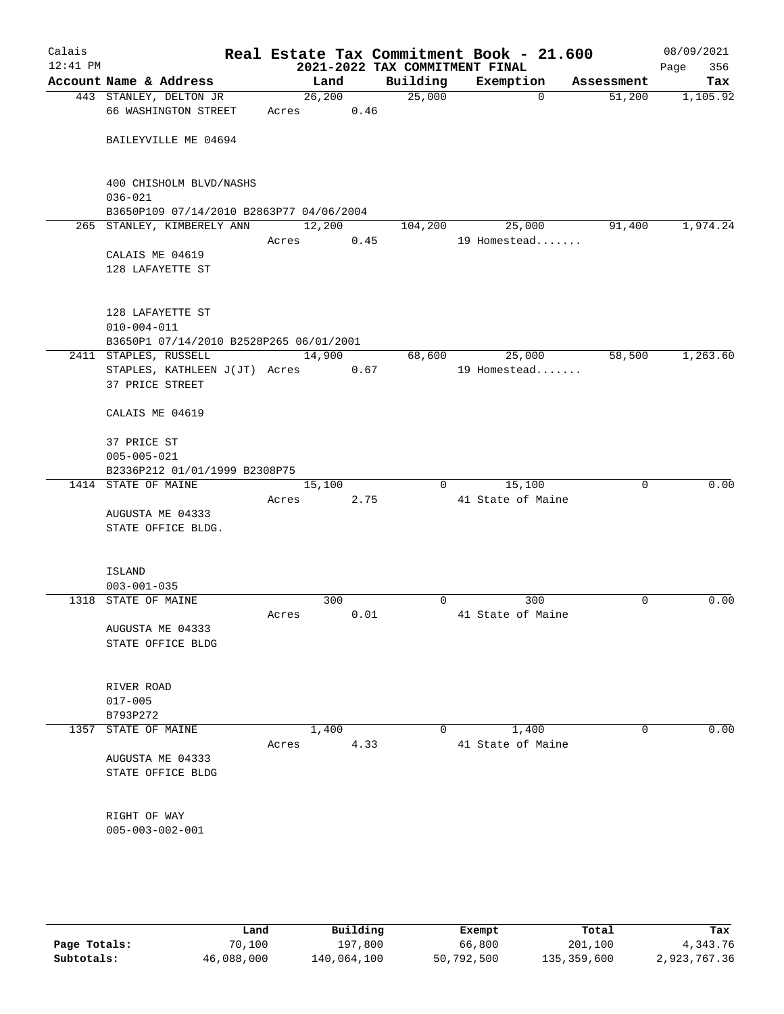| Calais<br>$12:41$ PM |                                                                                    |        |                | 2021-2022 TAX COMMITMENT FINAL | Real Estate Tax Commitment Book - 21.600 |            | 08/09/2021<br>356<br>Page |
|----------------------|------------------------------------------------------------------------------------|--------|----------------|--------------------------------|------------------------------------------|------------|---------------------------|
|                      | Account Name & Address                                                             |        | Land           | Building                       | Exemption                                | Assessment | Tax                       |
|                      | 443 STANLEY, DELTON JR<br>66 WASHINGTON STREET                                     | Acres  | 26,200<br>0.46 | 25,000                         | $\mathbf 0$                              | 51,200     | 1,105.92                  |
|                      | BAILEYVILLE ME 04694                                                               |        |                |                                |                                          |            |                           |
|                      | 400 CHISHOLM BLVD/NASHS<br>$036 - 021$<br>B3650P109 07/14/2010 B2863P77 04/06/2004 |        |                |                                |                                          |            |                           |
|                      | 265 STANLEY, KIMBERELY ANN                                                         | 12,200 |                | 104,200                        | 25,000                                   | 91,400     | 1,974.24                  |
|                      | CALAIS ME 04619<br>128 LAFAYETTE ST                                                | Acres  | 0.45           |                                | 19 Homestead                             |            |                           |
|                      | 128 LAFAYETTE ST<br>$010 - 004 - 011$<br>B3650P1 07/14/2010 B2528P265 06/01/2001   |        |                |                                |                                          |            |                           |
|                      | 2411 STAPLES, RUSSELL                                                              |        | 14,900         | 68,600                         | 25,000                                   | 58,500     | 1,263.60                  |
|                      | STAPLES, KATHLEEN J(JT) Acres<br>37 PRICE STREET                                   |        | 0.67           |                                | 19 Homestead                             |            |                           |
|                      | CALAIS ME 04619                                                                    |        |                |                                |                                          |            |                           |
|                      | 37 PRICE ST<br>$005 - 005 - 021$<br>B2336P212 01/01/1999 B2308P75                  |        |                |                                |                                          |            |                           |
|                      | 1414 STATE OF MAINE                                                                |        | 15,100         | $\Omega$                       | 15,100                                   | 0          | 0.00                      |
|                      |                                                                                    | Acres  | 2.75           |                                | 41 State of Maine                        |            |                           |
|                      | AUGUSTA ME 04333                                                                   |        |                |                                |                                          |            |                           |
|                      | STATE OFFICE BLDG.                                                                 |        |                |                                |                                          |            |                           |
|                      | ISLAND<br>$003 - 001 - 035$                                                        |        |                |                                |                                          |            |                           |
|                      | 1318 STATE OF MAINE                                                                |        | 300            | $\mathbf 0$                    | 300                                      | 0          | 0.00                      |
|                      |                                                                                    | Acres  | 0.01           |                                | 41 State of Maine                        |            |                           |
|                      | AUGUSTA ME 04333<br>STATE OFFICE BLDG                                              |        |                |                                |                                          |            |                           |
|                      | RIVER ROAD<br>$017 - 005$                                                          |        |                |                                |                                          |            |                           |
|                      | B793P272                                                                           |        |                |                                |                                          |            |                           |
|                      | 1357 STATE OF MAINE                                                                |        | 1,400          | 0                              | 1,400                                    | 0          | 0.00                      |
|                      | AUGUSTA ME 04333<br>STATE OFFICE BLDG                                              | Acres  | 4.33           |                                | 41 State of Maine                        |            |                           |
|                      | RIGHT OF WAY<br>$005 - 003 - 002 - 001$                                            |        |                |                                |                                          |            |                           |
|                      |                                                                                    |        |                |                                |                                          |            |                           |

|              | Land       | Building    | Exempt     | Total       | Tax          |
|--------------|------------|-------------|------------|-------------|--------------|
| Page Totals: | 70,100     | 197,800     | 66,800     | 201,100     | 4,343.76     |
| Subtotals:   | 46,088,000 | 140,064,100 | 50,792,500 | 135,359,600 | 2,923,767.36 |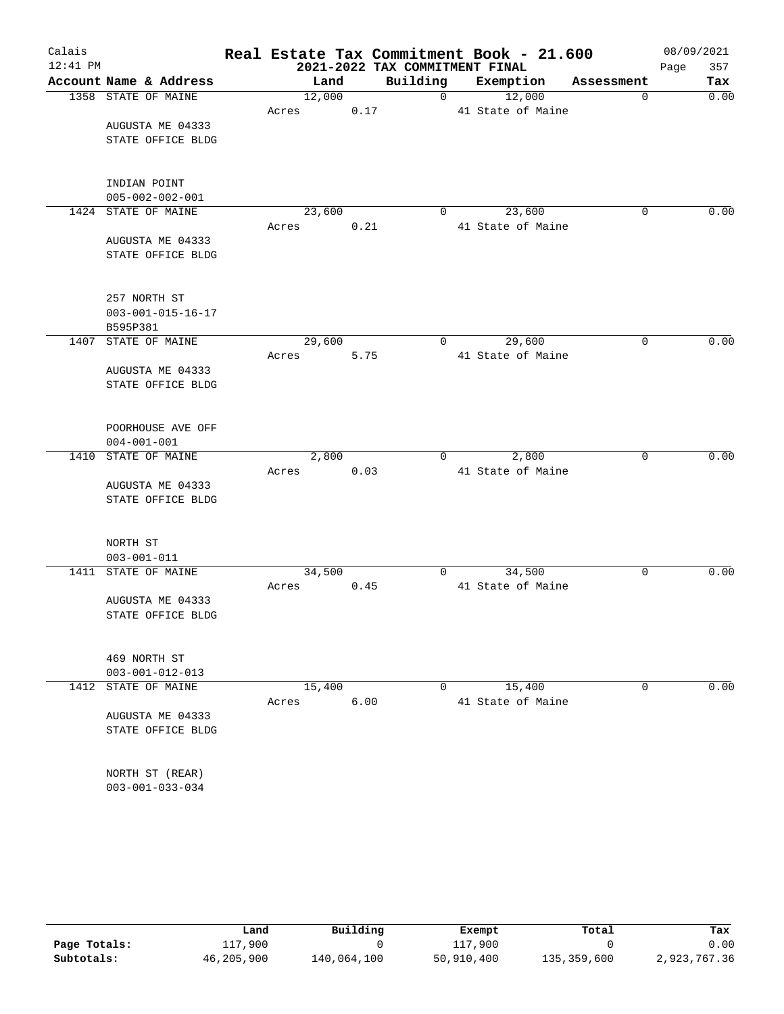| Calais     |                             |       |        |      |                                | Real Estate Tax Commitment Book - 21.600 |             | 08/09/2021  |
|------------|-----------------------------|-------|--------|------|--------------------------------|------------------------------------------|-------------|-------------|
| $12:41$ PM |                             |       |        |      | 2021-2022 TAX COMMITMENT FINAL |                                          |             | Page<br>357 |
|            | Account Name & Address      |       | Land   |      | Building                       | Exemption                                | Assessment  | Tax         |
|            | 1358 STATE OF MAINE         |       | 12,000 |      | $\overline{0}$                 | 12,000                                   | $\mathbf 0$ | 0.00        |
|            |                             | Acres |        | 0.17 |                                | 41 State of Maine                        |             |             |
|            | AUGUSTA ME 04333            |       |        |      |                                |                                          |             |             |
|            | STATE OFFICE BLDG           |       |        |      |                                |                                          |             |             |
|            | INDIAN POINT                |       |        |      |                                |                                          |             |             |
|            | $005 - 002 - 002 - 001$     |       |        |      |                                |                                          |             |             |
|            | 1424 STATE OF MAINE         |       | 23,600 |      | $\mathbf 0$                    | 23,600                                   | 0           | 0.00        |
|            |                             | Acres |        | 0.21 |                                | 41 State of Maine                        |             |             |
|            | AUGUSTA ME 04333            |       |        |      |                                |                                          |             |             |
|            | STATE OFFICE BLDG           |       |        |      |                                |                                          |             |             |
|            | 257 NORTH ST                |       |        |      |                                |                                          |             |             |
|            | $003 - 001 - 015 - 16 - 17$ |       |        |      |                                |                                          |             |             |
|            | B595P381                    |       |        |      |                                |                                          |             |             |
| 1407       | STATE OF MAINE              |       | 29,600 |      | 0                              | 29,600                                   | 0           | 0.00        |
|            |                             | Acres |        | 5.75 |                                | 41 State of Maine                        |             |             |
|            | AUGUSTA ME 04333            |       |        |      |                                |                                          |             |             |
|            | STATE OFFICE BLDG           |       |        |      |                                |                                          |             |             |
|            | POORHOUSE AVE OFF           |       |        |      |                                |                                          |             |             |
|            | $004 - 001 - 001$           |       |        |      |                                |                                          |             |             |
|            | 1410 STATE OF MAINE         |       | 2,800  |      | 0                              | 2,800                                    | 0           | 0.00        |
|            |                             | Acres |        | 0.03 |                                | 41 State of Maine                        |             |             |
|            | AUGUSTA ME 04333            |       |        |      |                                |                                          |             |             |
|            | STATE OFFICE BLDG           |       |        |      |                                |                                          |             |             |
|            | NORTH ST                    |       |        |      |                                |                                          |             |             |
|            | $003 - 001 - 011$           |       |        |      |                                |                                          |             |             |
|            | 1411 STATE OF MAINE         |       | 34,500 |      | 0                              | 34,500                                   | 0           | 0.00        |
|            |                             | Acres |        | 0.45 |                                | 41 State of Maine                        |             |             |
|            | AUGUSTA ME 04333            |       |        |      |                                |                                          |             |             |
|            | STATE OFFICE BLDG           |       |        |      |                                |                                          |             |             |
|            | 469 NORTH ST                |       |        |      |                                |                                          |             |             |
|            | $003 - 001 - 012 - 013$     |       |        |      |                                |                                          |             |             |
| 1412       | STATE OF MAINE              |       | 15,400 |      | 0                              | 15,400                                   | 0           | 0.00        |
|            |                             | Acres |        | 6.00 |                                | 41 State of Maine                        |             |             |
|            | AUGUSTA ME 04333            |       |        |      |                                |                                          |             |             |
|            | STATE OFFICE BLDG           |       |        |      |                                |                                          |             |             |
|            |                             |       |        |      |                                |                                          |             |             |
|            | NORTH ST (REAR)             |       |        |      |                                |                                          |             |             |
|            | $003 - 001 - 033 - 034$     |       |        |      |                                |                                          |             |             |

|              | Land       | Building    | Exempt     | Total       | Tax          |
|--------------|------------|-------------|------------|-------------|--------------|
| Page Totals: | 117,900    |             | 117,900    |             | 0.00         |
| Subtotals:   | 46,205,900 | 140,064,100 | 50,910,400 | 135,359,600 | 2,923,767.36 |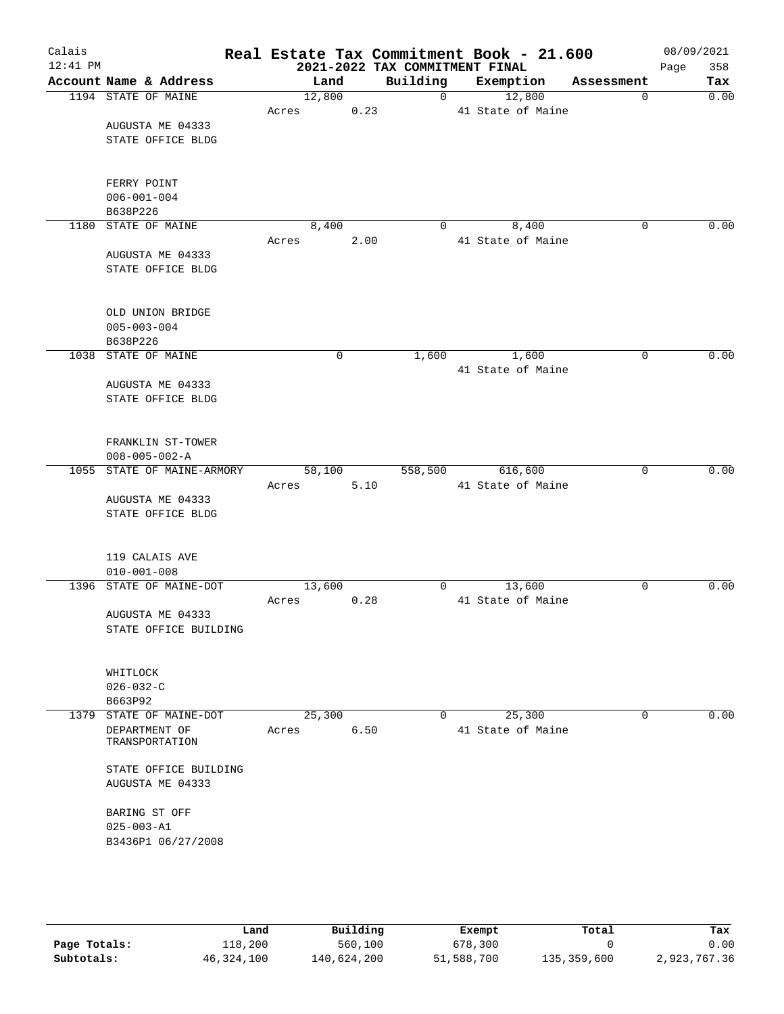| Calais     |                                     |        |      |                                | Real Estate Tax Commitment Book - 21.600 |             | 08/09/2021 |      |
|------------|-------------------------------------|--------|------|--------------------------------|------------------------------------------|-------------|------------|------|
| $12:41$ PM |                                     |        |      | 2021-2022 TAX COMMITMENT FINAL |                                          |             | Page       | 358  |
|            | Account Name & Address              | Land   |      | Building                       | Exemption                                | Assessment  |            | Tax  |
|            | 1194 STATE OF MAINE                 | 12,800 |      | $\overline{0}$                 | 12,800                                   | 0           |            | 0.00 |
|            |                                     | Acres  | 0.23 |                                | 41 State of Maine                        |             |            |      |
|            | AUGUSTA ME 04333                    |        |      |                                |                                          |             |            |      |
|            | STATE OFFICE BLDG                   |        |      |                                |                                          |             |            |      |
|            |                                     |        |      |                                |                                          |             |            |      |
|            | FERRY POINT                         |        |      |                                |                                          |             |            |      |
|            | $006 - 001 - 004$                   |        |      |                                |                                          |             |            |      |
|            | B638P226                            |        |      |                                |                                          |             |            |      |
|            | 1180 STATE OF MAINE                 | 8,400  |      | $\mathbf{0}$                   | 8,400                                    | $\mathbf 0$ |            | 0.00 |
|            |                                     | Acres  | 2.00 |                                | 41 State of Maine                        |             |            |      |
|            | AUGUSTA ME 04333                    |        |      |                                |                                          |             |            |      |
|            | STATE OFFICE BLDG                   |        |      |                                |                                          |             |            |      |
|            |                                     |        |      |                                |                                          |             |            |      |
|            | OLD UNION BRIDGE                    |        |      |                                |                                          |             |            |      |
|            | $005 - 003 - 004$                   |        |      |                                |                                          |             |            |      |
|            | B638P226                            |        |      |                                |                                          |             |            |      |
|            | 1038 STATE OF MAINE                 | 0      |      | 1,600                          | 1,600                                    | $\mathbf 0$ |            | 0.00 |
|            |                                     |        |      |                                | 41 State of Maine                        |             |            |      |
|            | AUGUSTA ME 04333                    |        |      |                                |                                          |             |            |      |
|            | STATE OFFICE BLDG                   |        |      |                                |                                          |             |            |      |
|            |                                     |        |      |                                |                                          |             |            |      |
|            | FRANKLIN ST-TOWER                   |        |      |                                |                                          |             |            |      |
|            | $008 - 005 - 002 - A$               |        |      |                                |                                          |             |            |      |
|            | 1055 STATE OF MAINE-ARMORY          | 58,100 |      | 558,500                        | 616,600                                  | $\mathbf 0$ |            | 0.00 |
|            |                                     | Acres  | 5.10 |                                | 41 State of Maine                        |             |            |      |
|            | AUGUSTA ME 04333                    |        |      |                                |                                          |             |            |      |
|            | STATE OFFICE BLDG                   |        |      |                                |                                          |             |            |      |
|            |                                     |        |      |                                |                                          |             |            |      |
|            |                                     |        |      |                                |                                          |             |            |      |
|            | 119 CALAIS AVE<br>$010 - 001 - 008$ |        |      |                                |                                          |             |            |      |
|            | 1396 STATE OF MAINE-DOT             | 13,600 |      | 0                              | 13,600                                   | 0           |            | 0.00 |
|            |                                     | Acres  | 0.28 |                                | 41 State of Maine                        |             |            |      |
|            | AUGUSTA ME 04333                    |        |      |                                |                                          |             |            |      |
|            | STATE OFFICE BUILDING               |        |      |                                |                                          |             |            |      |
|            |                                     |        |      |                                |                                          |             |            |      |
|            |                                     |        |      |                                |                                          |             |            |      |
|            | WHITLOCK                            |        |      |                                |                                          |             |            |      |
|            | $026 - 032 - C$<br>B663P92          |        |      |                                |                                          |             |            |      |
|            | 1379 STATE OF MAINE-DOT             | 25,300 |      | $\mathbf{0}$                   | 25,300                                   | 0           |            | 0.00 |
|            | DEPARTMENT OF                       | Acres  | 6.50 |                                | 41 State of Maine                        |             |            |      |
|            | TRANSPORTATION                      |        |      |                                |                                          |             |            |      |
|            |                                     |        |      |                                |                                          |             |            |      |
|            | STATE OFFICE BUILDING               |        |      |                                |                                          |             |            |      |
|            | AUGUSTA ME 04333                    |        |      |                                |                                          |             |            |      |
|            | BARING ST OFF                       |        |      |                                |                                          |             |            |      |
|            | $025 - 003 - A1$                    |        |      |                                |                                          |             |            |      |
|            | B3436P1 06/27/2008                  |        |      |                                |                                          |             |            |      |
|            |                                     |        |      |                                |                                          |             |            |      |
|            |                                     |        |      |                                |                                          |             |            |      |
|            |                                     |        |      |                                |                                          |             |            |      |

|              | Land       | Building    | Exempt     | Total       | Tax          |
|--------------|------------|-------------|------------|-------------|--------------|
| Page Totals: | 118,200    | 560,100     | 678,300    |             | 0.00         |
| Subtotals:   | 46,324,100 | 140,624,200 | 51,588,700 | 135,359,600 | 2,923,767.36 |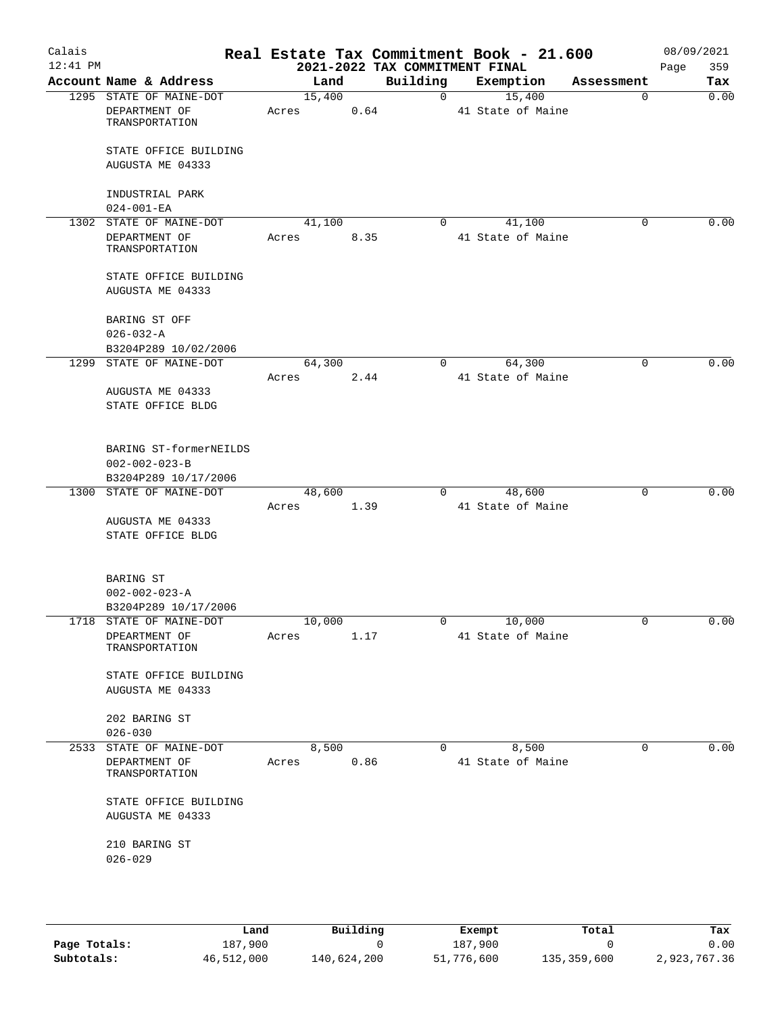| Calais<br>$12:41$ PM |                                                                         |               |      | 2021-2022 TAX COMMITMENT FINAL | Real Estate Tax Commitment Book - 21.600 |             | 08/09/2021<br>359<br>Page |
|----------------------|-------------------------------------------------------------------------|---------------|------|--------------------------------|------------------------------------------|-------------|---------------------------|
|                      | Account Name & Address                                                  | Land          |      |                                | Building Exemption                       | Assessment  | Tax                       |
|                      | 1295 STATE OF MAINE-DOT                                                 | 15,400        |      | $\overline{0}$                 | 15,400                                   | $\mathbf 0$ | 0.00                      |
|                      | DEPARTMENT OF<br>TRANSPORTATION                                         | Acres         | 0.64 |                                | 41 State of Maine                        |             |                           |
|                      | STATE OFFICE BUILDING                                                   |               |      |                                |                                          |             |                           |
|                      | AUGUSTA ME 04333                                                        |               |      |                                |                                          |             |                           |
|                      | INDUSTRIAL PARK<br>$024 - 001 - EA$                                     |               |      |                                |                                          |             |                           |
|                      | 1302 STATE OF MAINE-DOT                                                 | 41,100        |      | $\Omega$                       | 41,100                                   | $\Omega$    | 0.00                      |
|                      | DEPARTMENT OF<br>TRANSPORTATION                                         | Acres         | 8.35 |                                | 41 State of Maine                        |             |                           |
|                      | STATE OFFICE BUILDING<br>AUGUSTA ME 04333                               |               |      |                                |                                          |             |                           |
|                      | BARING ST OFF<br>$026 - 032 - A$                                        |               |      |                                |                                          |             |                           |
|                      | B3204P289 10/02/2006                                                    |               |      |                                |                                          |             |                           |
|                      | 1299 STATE OF MAINE-DOT                                                 | 64,300        |      | $\Omega$                       | 64,300                                   | $\Omega$    | 0.00                      |
|                      | AUGUSTA ME 04333<br>STATE OFFICE BLDG                                   | Acres         | 2.44 |                                | 41 State of Maine                        |             |                           |
|                      | BARING ST-formerNEILDS<br>$002 - 002 - 023 - B$<br>B3204P289 10/17/2006 |               |      |                                |                                          |             |                           |
|                      | 1300 STATE OF MAINE-DOT                                                 | 48,600        |      | $\overline{0}$                 | 48,600                                   | $\mathbf 0$ | 0.00                      |
|                      |                                                                         | 1.39<br>Acres |      |                                | 41 State of Maine                        |             |                           |
|                      | AUGUSTA ME 04333<br>STATE OFFICE BLDG                                   |               |      |                                |                                          |             |                           |
|                      | BARING ST<br>$002 - 002 - 023 - A$<br>B3204P289 10/17/2006              |               |      |                                |                                          |             |                           |
|                      | 1718 STATE OF MAINE-DOT                                                 | 10,000        |      |                                | 10,000                                   |             | 0.00                      |
|                      | DPEARTMENT OF<br>TRANSPORTATION                                         | Acres         | 1.17 |                                | 41 State of Maine                        |             |                           |
|                      | STATE OFFICE BUILDING<br>AUGUSTA ME 04333                               |               |      |                                |                                          |             |                           |
|                      | 202 BARING ST<br>$026 - 030$                                            |               |      |                                |                                          |             |                           |
|                      | 2533 STATE OF MAINE-DOT                                                 | 8,500         |      | $\mathbf{0}$                   | 8,500                                    | 0           | 0.00                      |
|                      | DEPARTMENT OF<br>TRANSPORTATION                                         | Acres         | 0.86 |                                | 41 State of Maine                        |             |                           |
|                      | STATE OFFICE BUILDING<br>AUGUSTA ME 04333                               |               |      |                                |                                          |             |                           |
|                      | 210 BARING ST<br>$026 - 029$                                            |               |      |                                |                                          |             |                           |
|                      |                                                                         |               |      |                                |                                          |             |                           |

|              | Land       | Building    | Exempt     | Total       | Tax          |
|--------------|------------|-------------|------------|-------------|--------------|
| Page Totals: | 187,900    |             | 187,900    |             | 0.00         |
| Subtotals:   | 46,512,000 | 140,624,200 | 51,776,600 | 135,359,600 | 2,923,767.36 |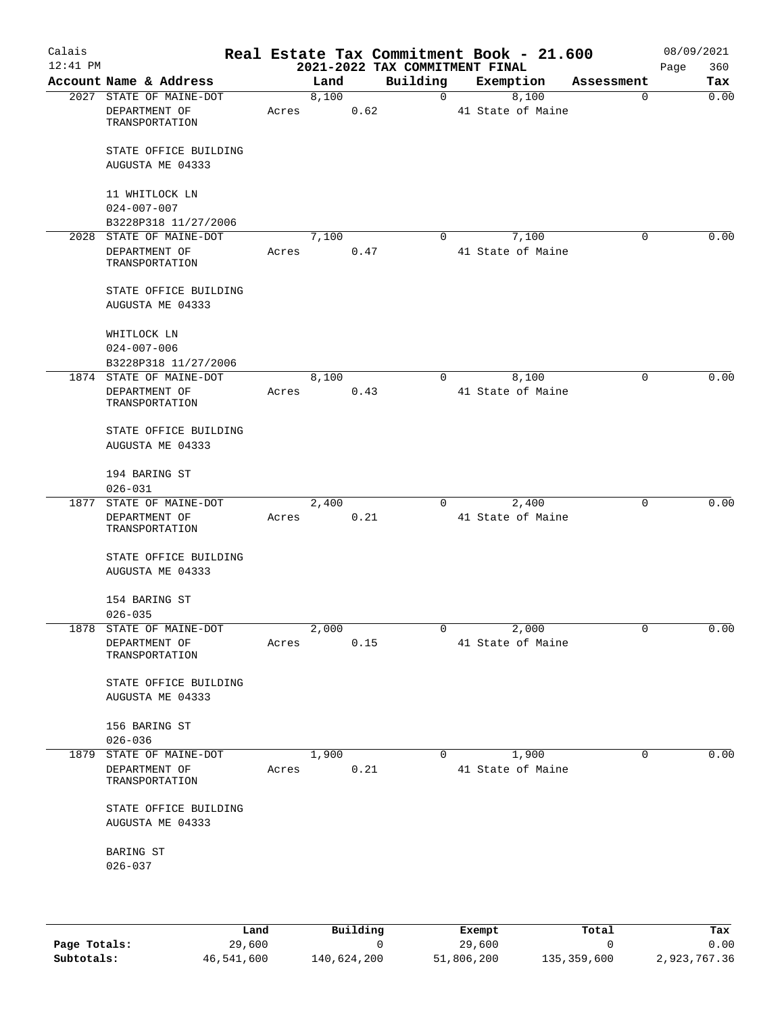| Calais<br>$12:41$ PM |                                                            |       |       |      | Real Estate Tax Commitment Book - 21.600<br>2021-2022 TAX COMMITMENT FINAL |                            |             | 08/09/2021<br>360<br>Page |
|----------------------|------------------------------------------------------------|-------|-------|------|----------------------------------------------------------------------------|----------------------------|-------------|---------------------------|
|                      | Account Name & Address                                     |       | Land  |      | Building                                                                   | Exemption                  | Assessment  | Tax                       |
|                      | 2027 STATE OF MAINE-DOT<br>DEPARTMENT OF<br>TRANSPORTATION | Acres | 8,100 | 0.62 | $\mathbf{0}$                                                               | 8,100<br>41 State of Maine | $\mathbf 0$ | 0.00                      |
|                      | STATE OFFICE BUILDING<br>AUGUSTA ME 04333                  |       |       |      |                                                                            |                            |             |                           |
|                      | 11 WHITLOCK LN<br>$024 - 007 - 007$                        |       |       |      |                                                                            |                            |             |                           |
|                      | B3228P318 11/27/2006                                       |       |       |      |                                                                            |                            |             |                           |
|                      | 2028 STATE OF MAINE-DOT                                    |       | 7,100 |      | $\Omega$                                                                   | 7,100                      | $\mathbf 0$ | 0.00                      |
|                      | DEPARTMENT OF<br>TRANSPORTATION                            | Acres |       | 0.47 |                                                                            | 41 State of Maine          |             |                           |
|                      | STATE OFFICE BUILDING<br>AUGUSTA ME 04333                  |       |       |      |                                                                            |                            |             |                           |
|                      | WHITLOCK LN<br>$024 - 007 - 006$                           |       |       |      |                                                                            |                            |             |                           |
|                      | B3228P318 11/27/2006                                       |       |       |      |                                                                            |                            |             |                           |
|                      | 1874 STATE OF MAINE-DOT                                    |       | 8,100 |      | $\Omega$                                                                   | 8,100                      | $\Omega$    | 0.00                      |
|                      | DEPARTMENT OF<br>TRANSPORTATION                            | Acres |       | 0.43 |                                                                            | 41 State of Maine          |             |                           |
|                      | STATE OFFICE BUILDING<br>AUGUSTA ME 04333                  |       |       |      |                                                                            |                            |             |                           |
|                      | 194 BARING ST<br>$026 - 031$                               |       |       |      |                                                                            |                            |             |                           |
| 1877                 | STATE OF MAINE-DOT                                         |       | 2,400 |      | 0                                                                          | 2,400                      | 0           | 0.00                      |
|                      | DEPARTMENT OF<br>TRANSPORTATION                            | Acres |       | 0.21 |                                                                            | 41 State of Maine          |             |                           |
|                      | STATE OFFICE BUILDING<br>AUGUSTA ME 04333                  |       |       |      |                                                                            |                            |             |                           |
|                      | 154 BARING ST<br>$026 - 035$                               |       |       |      |                                                                            |                            |             |                           |
|                      | 1878 STATE OF MAINE-DOT                                    |       | 2,000 |      | 0                                                                          | 2,000                      | 0           | 0.00                      |
|                      | DEPARTMENT OF<br>TRANSPORTATION                            | Acres |       | 0.15 |                                                                            | 41 State of Maine          |             |                           |
|                      | STATE OFFICE BUILDING<br>AUGUSTA ME 04333                  |       |       |      |                                                                            |                            |             |                           |
|                      | 156 BARING ST<br>$026 - 036$                               |       |       |      |                                                                            |                            |             |                           |
|                      | 1879 STATE OF MAINE-DOT                                    |       | 1,900 |      | $\Omega$                                                                   | 1,900                      | 0           | 0.00                      |
|                      | DEPARTMENT OF<br>TRANSPORTATION                            | Acres |       | 0.21 |                                                                            | 41 State of Maine          |             |                           |
|                      | STATE OFFICE BUILDING<br>AUGUSTA ME 04333                  |       |       |      |                                                                            |                            |             |                           |
|                      | BARING ST                                                  |       |       |      |                                                                            |                            |             |                           |
|                      | $026 - 037$                                                |       |       |      |                                                                            |                            |             |                           |
|                      |                                                            |       |       |      |                                                                            |                            |             |                           |

|              | Land       | Building    | Exempt     | Total       | Tax          |
|--------------|------------|-------------|------------|-------------|--------------|
| Page Totals: | 29,600     |             | 29,600     |             | 0.00         |
| Subtotals:   | 46,541,600 | 140,624,200 | 51,806,200 | 135,359,600 | 2,923,767.36 |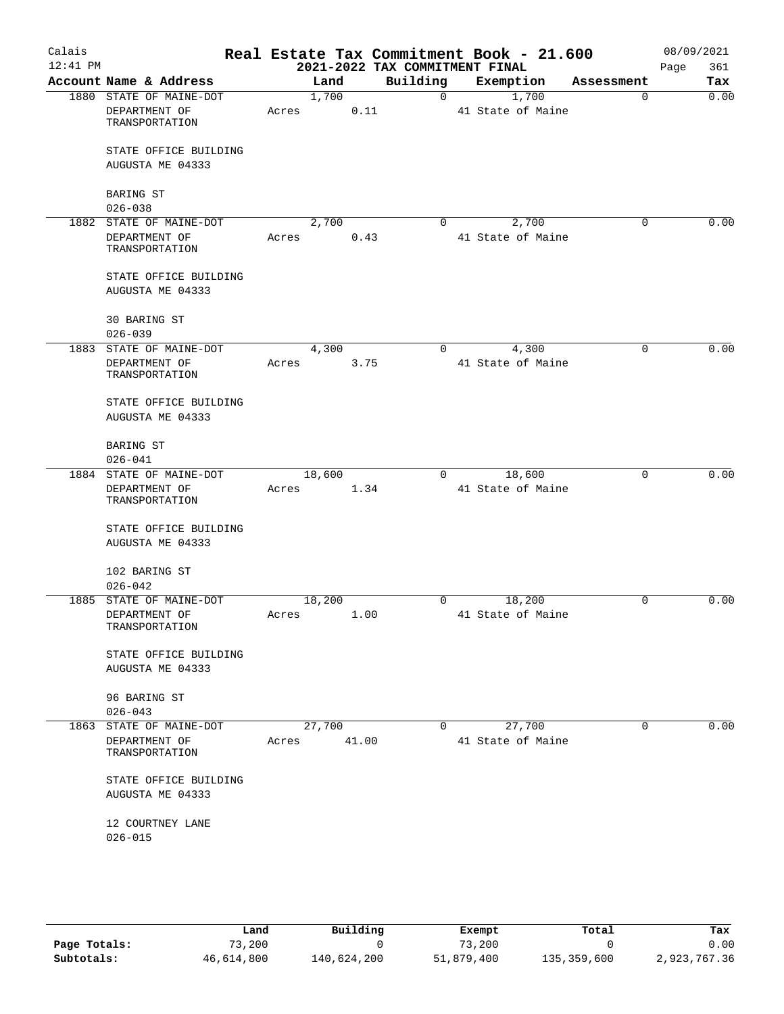| Calais<br>$12:41$ PM |                                                              |                 |       | 2021-2022 TAX COMMITMENT FINAL |                | Real Estate Tax Commitment Book - 21.600 |          | 08/09/2021<br>361<br>Page |
|----------------------|--------------------------------------------------------------|-----------------|-------|--------------------------------|----------------|------------------------------------------|----------|---------------------------|
|                      | Account Name & Address                                       | Land            |       | Building                       |                | Exemption Assessment                     |          | Tax                       |
|                      | 1880 STATE OF MAINE-DOT                                      | 1,700           |       | $\overline{0}$                 |                | 1,700                                    | $\Omega$ | 0.00                      |
|                      | DEPARTMENT OF<br>TRANSPORTATION                              | Acres           | 0.11  |                                |                | 41 State of Maine                        |          |                           |
|                      | STATE OFFICE BUILDING<br>AUGUSTA ME 04333                    |                 |       |                                |                |                                          |          |                           |
|                      | <b>BARING ST</b><br>$026 - 038$                              |                 |       |                                |                |                                          |          |                           |
|                      | 1882 STATE OF MAINE-DOT                                      | 2,700           |       | $\Omega$                       |                | 2,700                                    | 0        | 0.00                      |
|                      | DEPARTMENT OF<br>TRANSPORTATION                              | Acres           | 0.43  |                                |                | 41 State of Maine                        |          |                           |
|                      | STATE OFFICE BUILDING<br>AUGUSTA ME 04333                    |                 |       |                                |                |                                          |          |                           |
|                      | 30 BARING ST<br>$026 - 039$                                  |                 |       |                                |                |                                          |          |                           |
|                      | 1883 STATE OF MAINE-DOT                                      | 4,300           |       | $\overline{0}$                 |                | 4,300                                    | 0        | 0.00                      |
|                      | DEPARTMENT OF<br>TRANSPORTATION                              | Acres           | 3.75  |                                |                | 41 State of Maine                        |          |                           |
|                      | STATE OFFICE BUILDING<br>AUGUSTA ME 04333                    |                 |       |                                |                |                                          |          |                           |
|                      | <b>BARING ST</b><br>$026 - 041$                              |                 |       |                                |                |                                          |          |                           |
|                      | 1884 STATE OF MAINE-DOT                                      | 18,600          |       |                                | $\overline{0}$ | 18,600                                   | 0        | 0.00                      |
|                      | DEPARTMENT OF<br>TRANSPORTATION                              | Acres           | 1.34  |                                |                | 41 State of Maine                        |          |                           |
|                      | STATE OFFICE BUILDING<br>AUGUSTA ME 04333                    |                 |       |                                |                |                                          |          |                           |
|                      | 102 BARING ST<br>$026 - 042$                                 |                 |       |                                |                |                                          |          |                           |
|                      | 1885 STATE OF MAINE-DOT                                      | 18,200          |       | $\overline{0}$                 |                | 18,200                                   | $\Omega$ | 0.00                      |
|                      | DEPARTMENT OF<br>TRANSPORTATION                              | Acres           | 1.00  |                                |                | 41 State of Maine                        |          |                           |
|                      | STATE OFFICE BUILDING<br>AUGUSTA ME 04333                    |                 |       |                                |                |                                          |          |                           |
|                      | 96 BARING ST<br>$026 - 043$                                  |                 |       |                                |                |                                          |          |                           |
| 1863                 | STATE OF MAINE-DOT<br>DEPARTMENT OF<br><b>TRANSPORTATION</b> | 27,700<br>Acres | 41.00 | $\Omega$                       |                | 27,700<br>41 State of Maine              | $\Omega$ | 0.00                      |
|                      | STATE OFFICE BUILDING<br>AUGUSTA ME 04333                    |                 |       |                                |                |                                          |          |                           |
|                      | 12 COURTNEY LANE<br>$026 - 015$                              |                 |       |                                |                |                                          |          |                           |
|                      |                                                              |                 |       |                                |                |                                          |          |                           |

|              | Land       | Building    | Exempt     | Total       | Tax          |
|--------------|------------|-------------|------------|-------------|--------------|
| Page Totals: | 73,200     |             | 73,200     |             | 0.00         |
| Subtotals:   | 46,614,800 | 140,624,200 | 51,879,400 | 135,359,600 | 2,923,767.36 |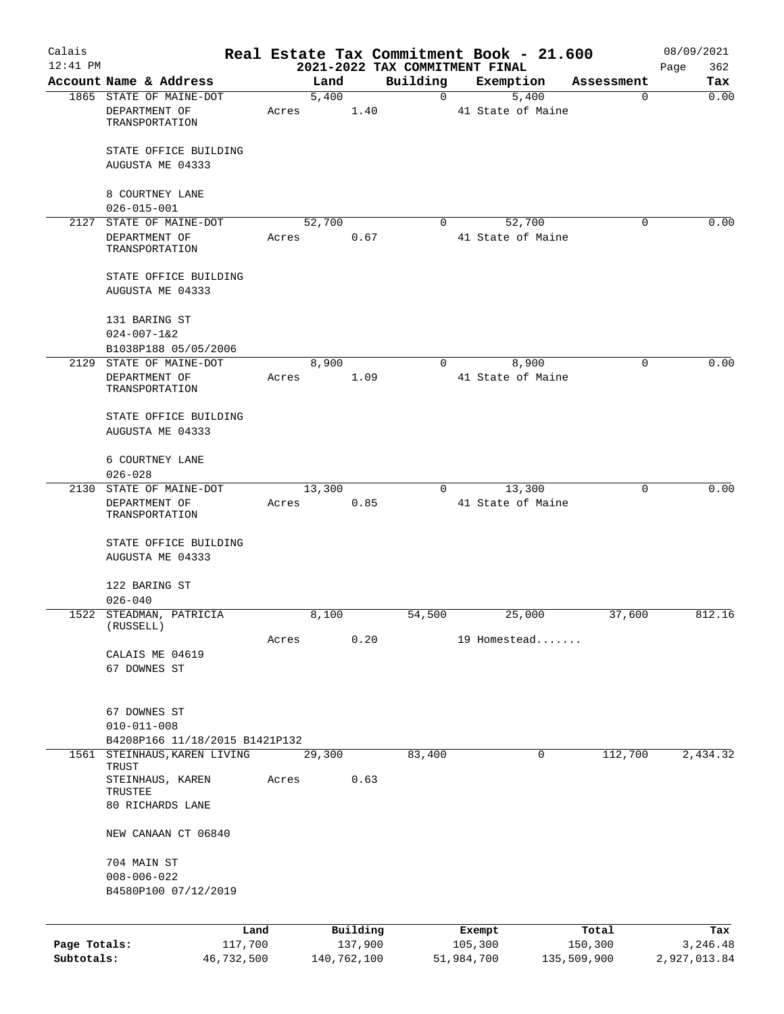| Calais       |                                                            |       |             |          |                | Real Estate Tax Commitment Book - 21.600 |             | 08/09/2021   |
|--------------|------------------------------------------------------------|-------|-------------|----------|----------------|------------------------------------------|-------------|--------------|
| $12:41$ PM   |                                                            |       |             |          |                | 2021-2022 TAX COMMITMENT FINAL           |             | 362<br>Page  |
|              | Account Name & Address                                     |       | Land        |          | Building       | Exemption                                | Assessment  | Tax          |
|              | 1865 STATE OF MAINE-DOT<br>DEPARTMENT OF<br>TRANSPORTATION | Acres | 5,400       | 1.40     | $\overline{0}$ | 5,400<br>41 State of Maine               | 0           | 0.00         |
|              | STATE OFFICE BUILDING<br>AUGUSTA ME 04333                  |       |             |          |                |                                          |             |              |
|              | 8 COURTNEY LANE<br>$026 - 015 - 001$                       |       |             |          |                |                                          |             |              |
|              | 2127 STATE OF MAINE-DOT                                    |       | 52,700      |          | $\Omega$       | 52,700                                   | $\Omega$    | 0.00         |
|              | DEPARTMENT OF<br>TRANSPORTATION                            | Acres |             | 0.67     |                | 41 State of Maine                        |             |              |
|              | STATE OFFICE BUILDING<br>AUGUSTA ME 04333                  |       |             |          |                |                                          |             |              |
|              | 131 BARING ST<br>$024 - 007 - 162$                         |       |             |          |                |                                          |             |              |
|              | B1038P188 05/05/2006                                       |       |             |          |                |                                          |             |              |
|              | 2129 STATE OF MAINE-DOT<br>DEPARTMENT OF<br>TRANSPORTATION | Acres | 8,900       | 1.09     | $\Omega$       | 8,900<br>41 State of Maine               | 0           | 0.00         |
|              | STATE OFFICE BUILDING<br>AUGUSTA ME 04333                  |       |             |          |                |                                          |             |              |
|              | 6 COURTNEY LANE<br>$026 - 028$                             |       |             |          |                |                                          |             |              |
|              | 2130 STATE OF MAINE-DOT                                    |       | 13,300      |          | 0              | 13,300                                   | $\mathbf 0$ | 0.00         |
|              | DEPARTMENT OF<br>TRANSPORTATION                            | Acres |             | 0.85     |                | 41 State of Maine                        |             |              |
|              | STATE OFFICE BUILDING<br>AUGUSTA ME 04333                  |       |             |          |                |                                          |             |              |
|              | 122 BARING ST<br>$026 - 040$                               |       |             |          |                |                                          |             |              |
|              | 1522 STEADMAN, PATRICIA                                    |       | 8,100       |          | 54,500         | 25,000                                   | 37,600      | 812.16       |
|              | (RUSSELL)                                                  | Acres |             | 0.20     |                | 19 Homestead                             |             |              |
|              | CALAIS ME 04619<br>67 DOWNES ST                            |       |             |          |                |                                          |             |              |
|              | 67 DOWNES ST                                               |       |             |          |                |                                          |             |              |
|              | $010 - 011 - 008$<br>B4208P166 11/18/2015 B1421P132        |       |             |          |                |                                          |             |              |
| 1561         | STEINHAUS, KAREN LIVING                                    |       | 29,300      |          | 83,400         | 0                                        | 112,700     | 2,434.32     |
|              | TRUST<br>STEINHAUS, KAREN                                  | Acres |             | 0.63     |                |                                          |             |              |
|              | TRUSTEE<br>80 RICHARDS LANE                                |       |             |          |                |                                          |             |              |
|              | NEW CANAAN CT 06840                                        |       |             |          |                |                                          |             |              |
|              | 704 MAIN ST<br>$008 - 006 - 022$<br>B4580P100 07/12/2019   |       |             |          |                |                                          |             |              |
|              | Land                                                       |       |             | Building |                | Exempt                                   | Total       | Tax          |
| Page Totals: | 117,700                                                    |       |             | 137,900  |                | 105,300                                  | 150,300     | 3,246.48     |
| Subtotals:   | 46,732,500                                                 |       | 140,762,100 |          |                | 51,984,700                               | 135,509,900 | 2,927,013.84 |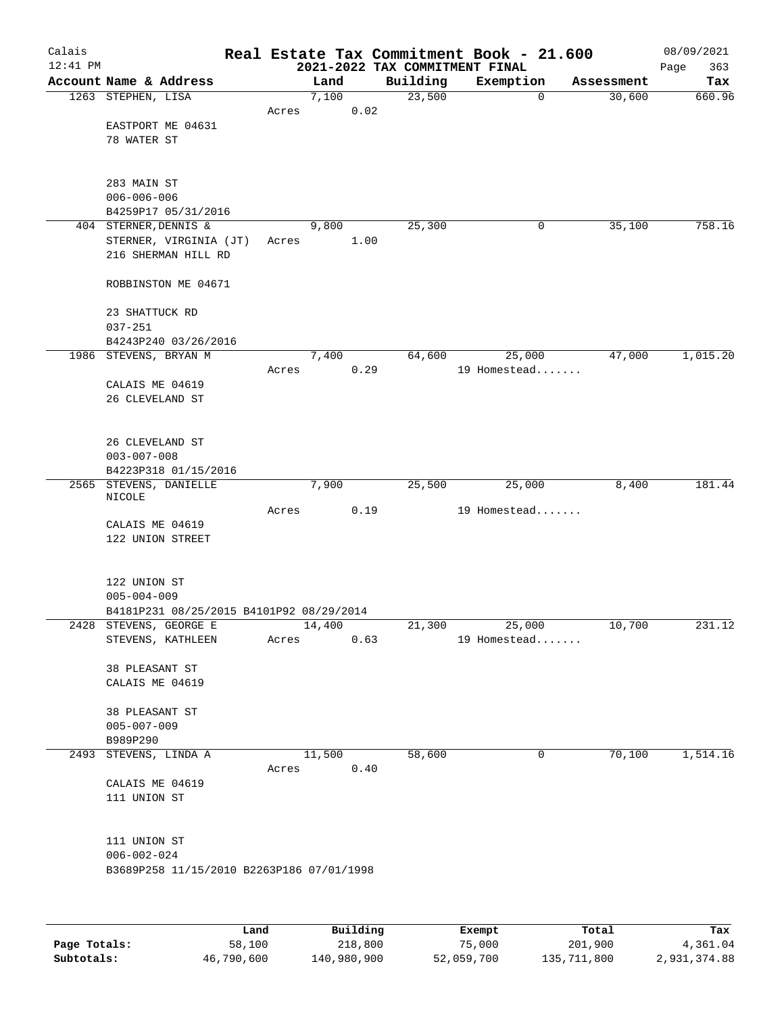| Calais     |                                                                    |       |          |                                            | Real Estate Tax Commitment Book - 21.600 |            | 08/09/2021         |
|------------|--------------------------------------------------------------------|-------|----------|--------------------------------------------|------------------------------------------|------------|--------------------|
| $12:41$ PM | Account Name & Address                                             |       | Land     | 2021-2022 TAX COMMITMENT FINAL<br>Building | Exemption                                | Assessment | 363<br>Page<br>Tax |
|            | 1263 STEPHEN, LISA                                                 |       | 7,100    | 23,500                                     | $\mathbf 0$                              | 30,600     | 660.96             |
|            |                                                                    | Acres |          | 0.02                                       |                                          |            |                    |
|            | EASTPORT ME 04631                                                  |       |          |                                            |                                          |            |                    |
|            | 78 WATER ST                                                        |       |          |                                            |                                          |            |                    |
|            |                                                                    |       |          |                                            |                                          |            |                    |
|            |                                                                    |       |          |                                            |                                          |            |                    |
|            | 283 MAIN ST<br>$006 - 006 - 006$                                   |       |          |                                            |                                          |            |                    |
|            | B4259P17 05/31/2016                                                |       |          |                                            |                                          |            |                    |
|            | 404 STERNER, DENNIS &                                              |       | 9,800    | 25,300                                     | 0                                        | 35,100     | 758.16             |
|            | STERNER, VIRGINIA (JT)                                             | Acres | 1.00     |                                            |                                          |            |                    |
|            | 216 SHERMAN HILL RD                                                |       |          |                                            |                                          |            |                    |
|            |                                                                    |       |          |                                            |                                          |            |                    |
|            | ROBBINSTON ME 04671                                                |       |          |                                            |                                          |            |                    |
|            | 23 SHATTUCK RD                                                     |       |          |                                            |                                          |            |                    |
|            | $037 - 251$                                                        |       |          |                                            |                                          |            |                    |
|            | B4243P240 03/26/2016                                               |       |          |                                            |                                          |            |                    |
|            | 1986 STEVENS, BRYAN M                                              |       | 7,400    | 64,600                                     | 25,000                                   | 47,000     | 1,015.20           |
|            |                                                                    | Acres |          | 0.29                                       | 19 Homestead                             |            |                    |
|            | CALAIS ME 04619                                                    |       |          |                                            |                                          |            |                    |
|            | 26 CLEVELAND ST                                                    |       |          |                                            |                                          |            |                    |
|            |                                                                    |       |          |                                            |                                          |            |                    |
|            | 26 CLEVELAND ST                                                    |       |          |                                            |                                          |            |                    |
|            | $003 - 007 - 008$                                                  |       |          |                                            |                                          |            |                    |
|            | B4223P318 01/15/2016                                               |       |          |                                            |                                          |            |                    |
|            | 2565 STEVENS, DANIELLE                                             |       | 7,900    | 25,500                                     | 25,000                                   | 8,400      | 181.44             |
|            | NICOLE                                                             | Acres |          | 0.19                                       | 19 Homestead                             |            |                    |
|            | CALAIS ME 04619                                                    |       |          |                                            |                                          |            |                    |
|            | 122 UNION STREET                                                   |       |          |                                            |                                          |            |                    |
|            |                                                                    |       |          |                                            |                                          |            |                    |
|            |                                                                    |       |          |                                            |                                          |            |                    |
|            | 122 UNION ST                                                       |       |          |                                            |                                          |            |                    |
|            | $005 - 004 - 009$                                                  |       |          |                                            |                                          |            |                    |
|            | B4181P231 08/25/2015 B4101P92 08/29/2014<br>2428 STEVENS, GEORGE E |       | 14,400   | 21,300                                     | 25,000                                   | 10,700     | 231.12             |
|            | STEVENS, KATHLEEN                                                  | Acres |          | 0.63                                       | 19 Homestead                             |            |                    |
|            |                                                                    |       |          |                                            |                                          |            |                    |
|            | 38 PLEASANT ST                                                     |       |          |                                            |                                          |            |                    |
|            | CALAIS ME 04619                                                    |       |          |                                            |                                          |            |                    |
|            |                                                                    |       |          |                                            |                                          |            |                    |
|            | 38 PLEASANT ST                                                     |       |          |                                            |                                          |            |                    |
|            | $005 - 007 - 009$<br>B989P290                                      |       |          |                                            |                                          |            |                    |
|            | 2493 STEVENS, LINDA A                                              |       | 11,500   | 58,600                                     | 0                                        | 70,100     | 1,514.16           |
|            |                                                                    | Acres | 0.40     |                                            |                                          |            |                    |
|            | CALAIS ME 04619                                                    |       |          |                                            |                                          |            |                    |
|            | 111 UNION ST                                                       |       |          |                                            |                                          |            |                    |
|            |                                                                    |       |          |                                            |                                          |            |                    |
|            | 111 UNION ST                                                       |       |          |                                            |                                          |            |                    |
|            | $006 - 002 - 024$                                                  |       |          |                                            |                                          |            |                    |
|            | B3689P258 11/15/2010 B2263P186 07/01/1998                          |       |          |                                            |                                          |            |                    |
|            |                                                                    |       |          |                                            |                                          |            |                    |
|            |                                                                    |       |          |                                            |                                          |            |                    |
|            |                                                                    |       |          |                                            |                                          |            |                    |
|            |                                                                    | Land  | Building |                                            | Exempt                                   | Total      | Tax                |

**Page Totals:** 58,100 218,800 75,000 201,900 4,361.04 **Subtotals:** 46,790,600 140,980,900 52,059,700 135,711,800 2,931,374.88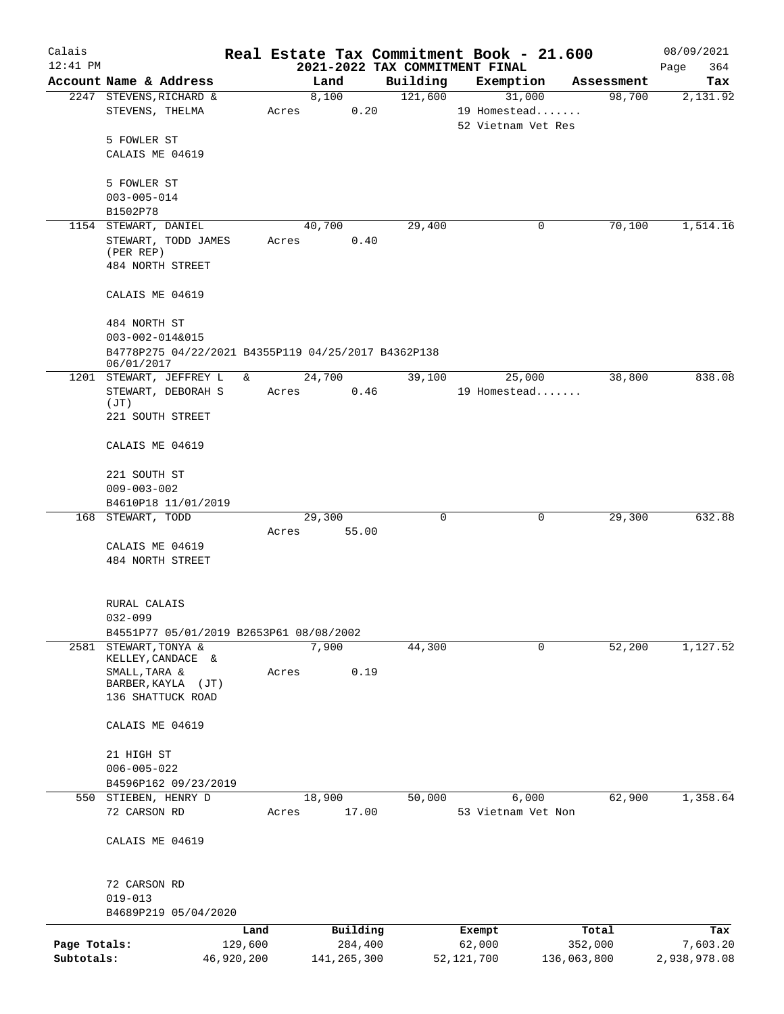| Calais       |                                                                   |         |                 |                                | Real Estate Tax Commitment Book - 21.600     |             | 08/09/2021   |
|--------------|-------------------------------------------------------------------|---------|-----------------|--------------------------------|----------------------------------------------|-------------|--------------|
| $12:41$ PM   |                                                                   |         |                 | 2021-2022 TAX COMMITMENT FINAL |                                              |             | 364<br>Page  |
|              | Account Name & Address                                            |         | Land            | Building                       | Exemption                                    | Assessment  | Tax          |
|              | 2247 STEVENS, RICHARD &<br>STEVENS, THELMA                        | Acres   | 8,100<br>0.20   | 121,600                        | 31,000<br>19 Homestead<br>52 Vietnam Vet Res | 98,700      | 2,131.92     |
|              | 5 FOWLER ST                                                       |         |                 |                                |                                              |             |              |
|              | CALAIS ME 04619                                                   |         |                 |                                |                                              |             |              |
|              | 5 FOWLER ST                                                       |         |                 |                                |                                              |             |              |
|              | $003 - 005 - 014$                                                 |         |                 |                                |                                              |             |              |
|              | B1502P78                                                          |         |                 |                                |                                              |             |              |
|              | 1154 STEWART, DANIEL                                              |         | 40,700          | 29,400                         | 0                                            | 70,100      | 1,514.16     |
|              | STEWART, TODD JAMES<br>(PER REP)                                  | Acres   | 0.40            |                                |                                              |             |              |
|              | 484 NORTH STREET                                                  |         |                 |                                |                                              |             |              |
|              | CALAIS ME 04619                                                   |         |                 |                                |                                              |             |              |
|              | 484 NORTH ST                                                      |         |                 |                                |                                              |             |              |
|              | 003-002-014&015                                                   |         |                 |                                |                                              |             |              |
|              | B4778P275 04/22/2021 B4355P119 04/25/2017 B4362P138<br>06/01/2017 |         |                 |                                |                                              |             |              |
|              | 1201 STEWART, JEFFREY L                                           | &       | 24,700          | 39,100                         | 25,000                                       | 38,800      | 838.08       |
|              | STEWART, DEBORAH S                                                | Acres   | 0.46            |                                | 19 Homestead                                 |             |              |
|              | (JT)<br>221 SOUTH STREET                                          |         |                 |                                |                                              |             |              |
|              |                                                                   |         |                 |                                |                                              |             |              |
|              | CALAIS ME 04619                                                   |         |                 |                                |                                              |             |              |
|              | 221 SOUTH ST                                                      |         |                 |                                |                                              |             |              |
|              | $009 - 003 - 002$                                                 |         |                 |                                |                                              |             |              |
|              | B4610P18 11/01/2019                                               |         |                 |                                |                                              |             |              |
|              | 168 STEWART, TODD                                                 | Acres   | 29,300<br>55.00 | 0                              | 0                                            | 29,300      | 632.88       |
|              | CALAIS ME 04619                                                   |         |                 |                                |                                              |             |              |
|              | 484 NORTH STREET                                                  |         |                 |                                |                                              |             |              |
|              |                                                                   |         |                 |                                |                                              |             |              |
|              | RURAL CALAIS                                                      |         |                 |                                |                                              |             |              |
|              | $032 - 099$                                                       |         |                 |                                |                                              |             |              |
|              | B4551P77 05/01/2019 B2653P61 08/08/2002                           |         |                 |                                |                                              |             |              |
| 2581         | STEWART, TONYA &<br>KELLEY, CANDACE &                             |         | 7,900           | 44,300                         | 0                                            | 52,200      | 1,127.52     |
|              | SMALL, TARA &                                                     | Acres   | 0.19            |                                |                                              |             |              |
|              | BARBER, KAYLA<br>(JT)<br>136 SHATTUCK ROAD                        |         |                 |                                |                                              |             |              |
|              |                                                                   |         |                 |                                |                                              |             |              |
|              | CALAIS ME 04619                                                   |         |                 |                                |                                              |             |              |
|              | 21 HIGH ST                                                        |         |                 |                                |                                              |             |              |
|              | $006 - 005 - 022$                                                 |         |                 |                                |                                              |             |              |
|              | B4596P162 09/23/2019                                              |         |                 |                                |                                              |             |              |
| 550          | STIEBEN, HENRY D                                                  |         | 18,900          | 50,000                         | 6,000                                        | 62,900      | 1,358.64     |
|              | 72 CARSON RD                                                      | Acres   | 17.00           |                                | 53 Vietnam Vet Non                           |             |              |
|              | CALAIS ME 04619                                                   |         |                 |                                |                                              |             |              |
|              | 72 CARSON RD                                                      |         |                 |                                |                                              |             |              |
|              | $019 - 013$                                                       |         |                 |                                |                                              |             |              |
|              | B4689P219 05/04/2020                                              |         |                 |                                |                                              |             |              |
|              |                                                                   | Land    | Building        |                                | Exempt                                       | Total       | Tax          |
| Page Totals: |                                                                   | 129,600 | 284,400         |                                | 62,000                                       | 352,000     | 7,603.20     |
| Subtotals:   | 46,920,200                                                        |         | 141,265,300     |                                | 52, 121, 700                                 | 136,063,800 | 2,938,978.08 |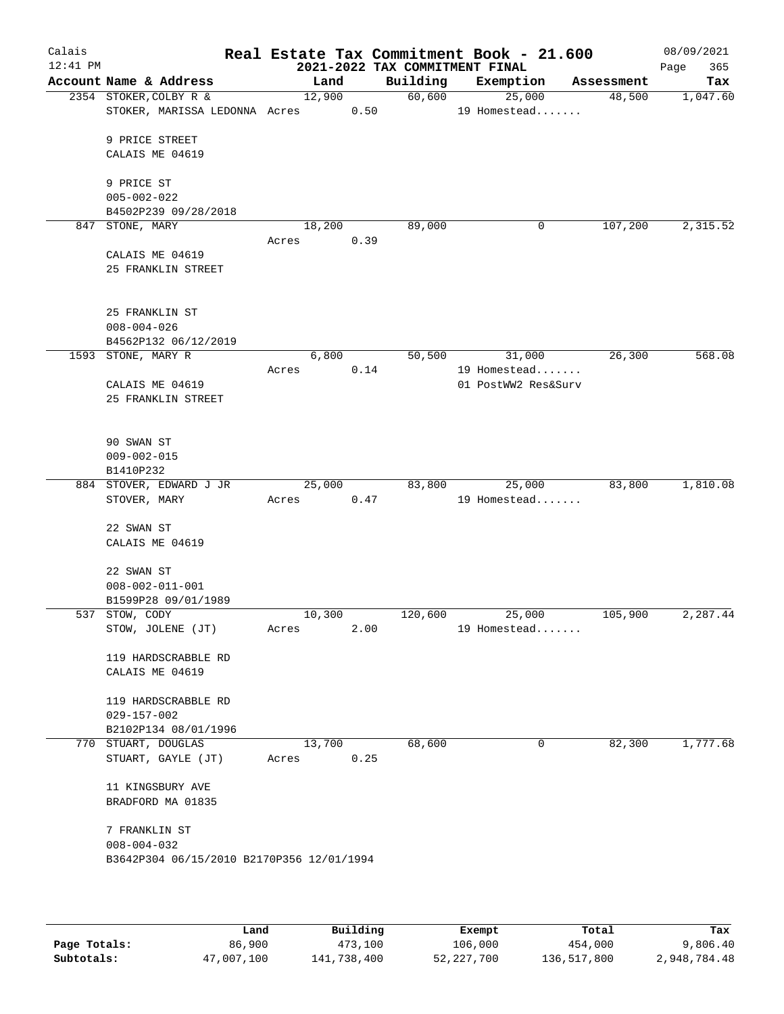| Calais<br>12:41 PM |                                           |                 |      | 2021-2022 TAX COMMITMENT FINAL | Real Estate Tax Commitment Book - 21.600 |            | 08/09/2021<br>365<br>Page |
|--------------------|-------------------------------------------|-----------------|------|--------------------------------|------------------------------------------|------------|---------------------------|
|                    | Account Name & Address                    | Land            |      | Building                       | Exemption                                | Assessment | Tax                       |
|                    | 2354 STOKER, COLBY R &                    | 12,900          |      | 60,600                         | 25,000                                   | 48,500     | 1,047.60                  |
|                    | STOKER, MARISSA LEDONNA Acres             |                 | 0.50 |                                | 19 Homestead                             |            |                           |
|                    | 9 PRICE STREET                            |                 |      |                                |                                          |            |                           |
|                    | CALAIS ME 04619                           |                 |      |                                |                                          |            |                           |
|                    | 9 PRICE ST                                |                 |      |                                |                                          |            |                           |
|                    | $005 - 002 - 022$                         |                 |      |                                |                                          |            |                           |
|                    | B4502P239 09/28/2018                      |                 |      |                                |                                          |            |                           |
| 847                | STONE, MARY                               | 18,200          |      | 89,000                         | 0                                        | 107,200    | 2,315.52                  |
|                    |                                           | Acres           | 0.39 |                                |                                          |            |                           |
|                    | CALAIS ME 04619                           |                 |      |                                |                                          |            |                           |
|                    | 25 FRANKLIN STREET                        |                 |      |                                |                                          |            |                           |
|                    | 25 FRANKLIN ST                            |                 |      |                                |                                          |            |                           |
|                    | $008 - 004 - 026$                         |                 |      |                                |                                          |            |                           |
|                    | B4562P132 06/12/2019                      |                 |      |                                |                                          |            |                           |
|                    | 1593 STONE, MARY R                        | 6,800           |      | 50,500                         | 31,000                                   | 26,300     | 568.08                    |
|                    |                                           | Acres           | 0.14 |                                | 19 Homestead                             |            |                           |
|                    | CALAIS ME 04619                           |                 |      |                                | 01 PostWW2 Res&Surv                      |            |                           |
|                    | 25 FRANKLIN STREET                        |                 |      |                                |                                          |            |                           |
|                    | 90 SWAN ST                                |                 |      |                                |                                          |            |                           |
|                    | $009 - 002 - 015$                         |                 |      |                                |                                          |            |                           |
|                    | B1410P232                                 |                 |      |                                |                                          |            |                           |
|                    | 884 STOVER, EDWARD J JR                   | 25,000          |      | 83,800                         | 25,000                                   | 83,800     | 1,810.08                  |
|                    | STOVER, MARY                              | Acres           | 0.47 |                                | 19 Homestead                             |            |                           |
|                    | 22 SWAN ST                                |                 |      |                                |                                          |            |                           |
|                    | CALAIS ME 04619                           |                 |      |                                |                                          |            |                           |
|                    | 22 SWAN ST                                |                 |      |                                |                                          |            |                           |
|                    | $008 - 002 - 011 - 001$                   |                 |      |                                |                                          |            |                           |
|                    | B1599P28 09/01/1989                       |                 |      |                                |                                          |            |                           |
|                    | 537 STOW, CODY                            | 10,300          |      | 120,600                        | 25,000                                   | 105,900    | 2,287.44                  |
|                    | STOW, JOLENE (JT)                         | Acres           | 2.00 |                                | 19 Homestead                             |            |                           |
|                    | 119 HARDSCRABBLE RD                       |                 |      |                                |                                          |            |                           |
|                    | CALAIS ME 04619                           |                 |      |                                |                                          |            |                           |
|                    |                                           |                 |      |                                |                                          |            |                           |
|                    | 119 HARDSCRABBLE RD                       |                 |      |                                |                                          |            |                           |
|                    | $029 - 157 - 002$                         |                 |      |                                |                                          |            |                           |
|                    | B2102P134 08/01/1996                      |                 |      |                                |                                          |            |                           |
|                    | 770 STUART, DOUGLAS<br>STUART, GAYLE (JT) | 13,700<br>Acres | 0.25 | 68,600                         | 0                                        | 82,300     | 1,777.68                  |
|                    |                                           |                 |      |                                |                                          |            |                           |
|                    | 11 KINGSBURY AVE                          |                 |      |                                |                                          |            |                           |
|                    | BRADFORD MA 01835                         |                 |      |                                |                                          |            |                           |
|                    | 7 FRANKLIN ST                             |                 |      |                                |                                          |            |                           |
|                    | $008 - 004 - 032$                         |                 |      |                                |                                          |            |                           |
|                    | B3642P304 06/15/2010 B2170P356 12/01/1994 |                 |      |                                |                                          |            |                           |
|                    |                                           |                 |      |                                |                                          |            |                           |
|                    |                                           |                 |      |                                |                                          |            |                           |
|                    |                                           |                 |      |                                |                                          |            |                           |

|              | Land       | Building    | Exempt     | Total       | Tax          |
|--------------|------------|-------------|------------|-------------|--------------|
| Page Totals: | 86,900     | 473,100     | 106,000    | 454,000     | 9,806.40     |
| Subtotals:   | 47,007,100 | 141,738,400 | 52,227,700 | 136,517,800 | 2,948,784.48 |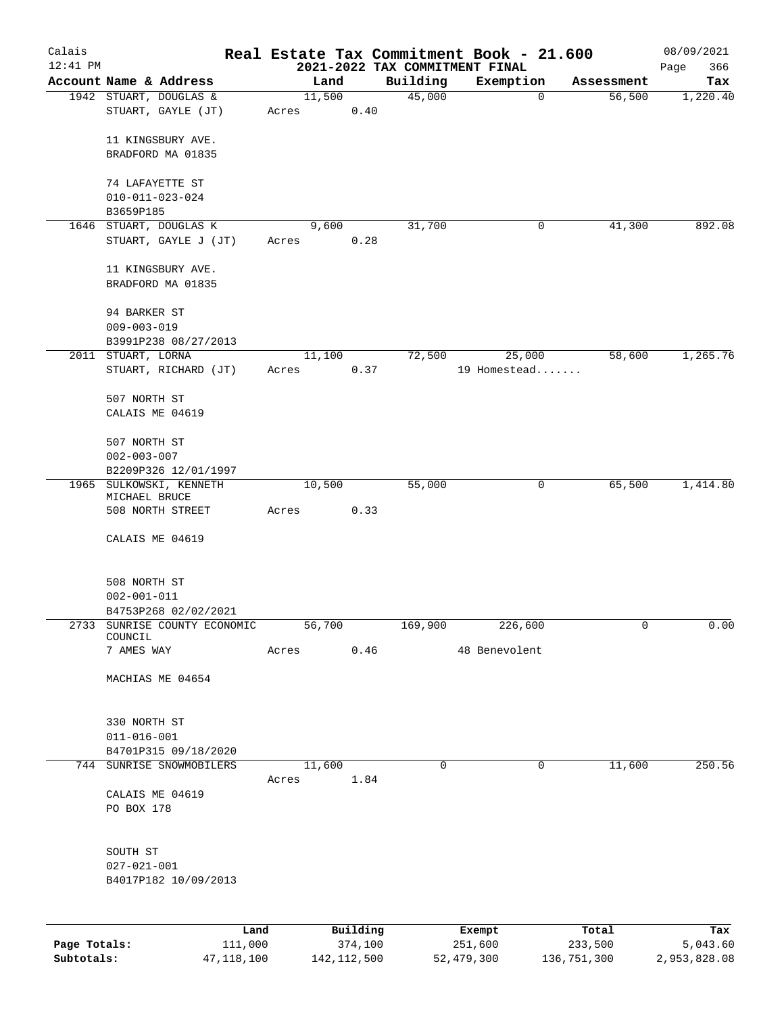| Calais       |                                                 |                |                                            | Real Estate Tax Commitment Book - 21.600 |            | 08/09/2021         |
|--------------|-------------------------------------------------|----------------|--------------------------------------------|------------------------------------------|------------|--------------------|
| $12:41$ PM   | Account Name & Address                          | Land           | 2021-2022 TAX COMMITMENT FINAL<br>Building | Exemption                                | Assessment | 366<br>Page<br>Tax |
|              | 1942 STUART, DOUGLAS &                          | 11,500         | 45,000                                     | $\mathbf 0$                              | 56,500     | 1,220.40           |
|              | STUART, GAYLE (JT)                              | Acres          | 0.40                                       |                                          |            |                    |
|              | 11 KINGSBURY AVE.                               |                |                                            |                                          |            |                    |
|              | BRADFORD MA 01835                               |                |                                            |                                          |            |                    |
|              | 74 LAFAYETTE ST                                 |                |                                            |                                          |            |                    |
|              | $010 - 011 - 023 - 024$                         |                |                                            |                                          |            |                    |
|              | B3659P185                                       |                |                                            |                                          |            |                    |
|              | 1646 STUART, DOUGLAS K<br>STUART, GAYLE J (JT)  | 9,600<br>Acres | 31,700<br>0.28                             | 0                                        | 41,300     | 892.08             |
|              | 11 KINGSBURY AVE.                               |                |                                            |                                          |            |                    |
|              | BRADFORD MA 01835                               |                |                                            |                                          |            |                    |
|              | 94 BARKER ST                                    |                |                                            |                                          |            |                    |
|              | $009 - 003 - 019$                               |                |                                            |                                          |            |                    |
|              | B3991P238 08/27/2013                            |                |                                            |                                          |            |                    |
|              | 2011 STUART, LORNA                              | 11,100         | 72,500                                     | 25,000                                   | 58,600     | 1,265.76           |
|              | STUART, RICHARD (JT)                            | Acres          | 0.37                                       | 19 Homestead                             |            |                    |
|              | 507 NORTH ST                                    |                |                                            |                                          |            |                    |
|              | CALAIS ME 04619                                 |                |                                            |                                          |            |                    |
|              | 507 NORTH ST                                    |                |                                            |                                          |            |                    |
|              | $002 - 003 - 007$                               |                |                                            |                                          |            |                    |
|              | B2209P326 12/01/1997<br>1965 SULKOWSKI, KENNETH | 10,500         | 55,000                                     | 0                                        | 65,500     | 1,414.80           |
|              | MICHAEL BRUCE                                   |                |                                            |                                          |            |                    |
|              | 508 NORTH STREET                                | Acres          | 0.33                                       |                                          |            |                    |
|              | CALAIS ME 04619                                 |                |                                            |                                          |            |                    |
|              | 508 NORTH ST                                    |                |                                            |                                          |            |                    |
|              | $002 - 001 - 011$                               |                |                                            |                                          |            |                    |
|              | B4753P268 02/02/2021                            |                |                                            |                                          |            |                    |
| 2733         | SUNRISE COUNTY ECONOMIC<br>COUNCIL              | 56,700         | 169,900                                    | 226,600                                  | 0          | 0.00               |
|              | 7 AMES WAY                                      | Acres          | 0.46                                       | 48 Benevolent                            |            |                    |
|              | MACHIAS ME 04654                                |                |                                            |                                          |            |                    |
|              | 330 NORTH ST                                    |                |                                            |                                          |            |                    |
|              | $011 - 016 - 001$                               |                |                                            |                                          |            |                    |
|              | B4701P315 09/18/2020                            |                |                                            |                                          |            |                    |
|              | 744 SUNRISE SNOWMOBILERS                        | 11,600         | $\mathsf{O}$                               | $\mathbf 0$                              | 11,600     | 250.56             |
|              | CALAIS ME 04619                                 | Acres          | 1.84                                       |                                          |            |                    |
|              | PO BOX 178                                      |                |                                            |                                          |            |                    |
|              |                                                 |                |                                            |                                          |            |                    |
|              | SOUTH ST                                        |                |                                            |                                          |            |                    |
|              | $027 - 021 - 001$                               |                |                                            |                                          |            |                    |
|              | B4017P182 10/09/2013                            |                |                                            |                                          |            |                    |
|              | Land                                            |                | Building                                   | Exempt                                   | Total      | Tax                |
| Page Totals: | 111,000                                         |                | 374,100                                    | 251,600                                  | 233,500    | 5,043.60           |

**Subtotals:** 47,118,100 142,112,500 52,479,300 136,751,300 2,953,828.08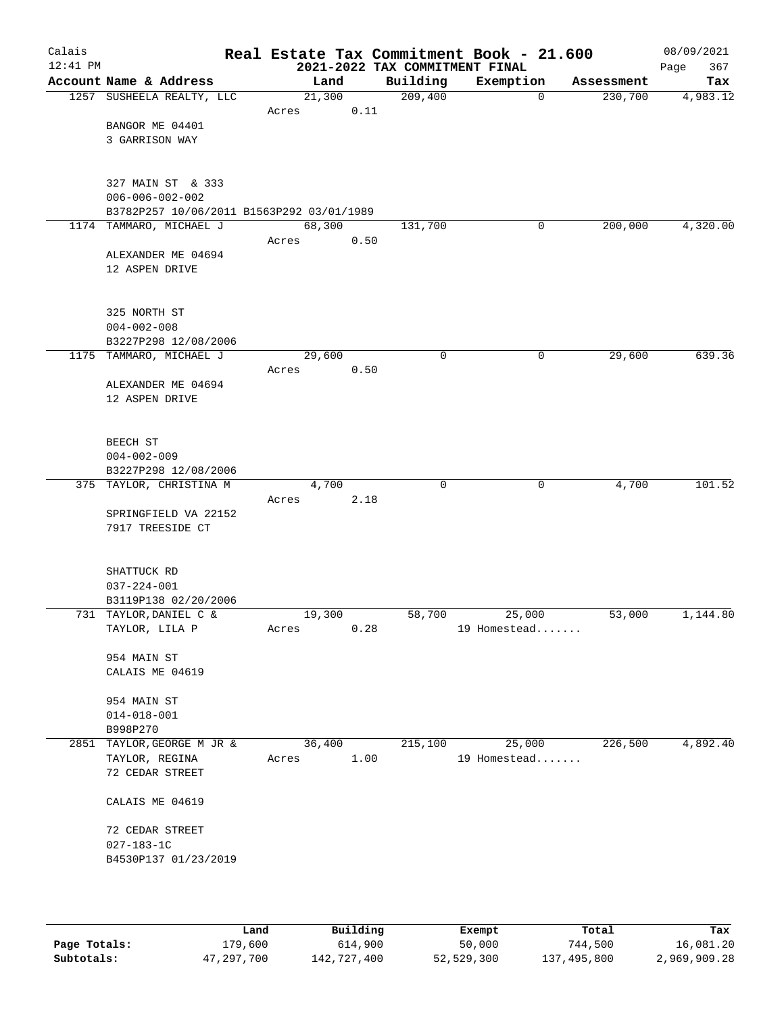| Calais<br>$12:41$ PM |                                                                      |        |      |          | Real Estate Tax Commitment Book - 21.600<br>2021-2022 TAX COMMITMENT FINAL |              |            | 08/09/2021<br>367<br>Page |
|----------------------|----------------------------------------------------------------------|--------|------|----------|----------------------------------------------------------------------------|--------------|------------|---------------------------|
|                      | Account Name & Address                                               | Land   |      | Building | Exemption                                                                  |              | Assessment | Tax                       |
|                      | 1257 SUSHEELA REALTY, LLC                                            | 21,300 |      | 209,400  |                                                                            | $\mathbf 0$  | 230,700    | 4,983.12                  |
|                      |                                                                      | Acres  | 0.11 |          |                                                                            |              |            |                           |
|                      | BANGOR ME 04401                                                      |        |      |          |                                                                            |              |            |                           |
|                      | 3 GARRISON WAY                                                       |        |      |          |                                                                            |              |            |                           |
|                      |                                                                      |        |      |          |                                                                            |              |            |                           |
|                      |                                                                      |        |      |          |                                                                            |              |            |                           |
|                      | 327 MAIN ST & 333                                                    |        |      |          |                                                                            |              |            |                           |
|                      | $006 - 006 - 002 - 002$<br>B3782P257 10/06/2011 B1563P292 03/01/1989 |        |      |          |                                                                            |              |            |                           |
|                      | 1174 TAMMARO, MICHAEL J                                              | 68,300 |      | 131,700  |                                                                            | $\mathbf{0}$ | 200,000    | 4,320.00                  |
|                      |                                                                      | Acres  | 0.50 |          |                                                                            |              |            |                           |
|                      | ALEXANDER ME 04694                                                   |        |      |          |                                                                            |              |            |                           |
|                      | 12 ASPEN DRIVE                                                       |        |      |          |                                                                            |              |            |                           |
|                      |                                                                      |        |      |          |                                                                            |              |            |                           |
|                      |                                                                      |        |      |          |                                                                            |              |            |                           |
|                      | 325 NORTH ST                                                         |        |      |          |                                                                            |              |            |                           |
|                      | $004 - 002 - 008$                                                    |        |      |          |                                                                            |              |            |                           |
|                      | B3227P298 12/08/2006                                                 |        |      |          |                                                                            |              |            |                           |
|                      | 1175 TAMMARO, MICHAEL J                                              | 29,600 |      | 0        |                                                                            | 0            | 29,600     | 639.36                    |
|                      |                                                                      | Acres  | 0.50 |          |                                                                            |              |            |                           |
|                      | ALEXANDER ME 04694<br>12 ASPEN DRIVE                                 |        |      |          |                                                                            |              |            |                           |
|                      |                                                                      |        |      |          |                                                                            |              |            |                           |
|                      |                                                                      |        |      |          |                                                                            |              |            |                           |
|                      | BEECH ST                                                             |        |      |          |                                                                            |              |            |                           |
|                      | $004 - 002 - 009$                                                    |        |      |          |                                                                            |              |            |                           |
|                      | B3227P298 12/08/2006                                                 |        |      |          |                                                                            |              |            |                           |
|                      | 375 TAYLOR, CHRISTINA M                                              | 4,700  |      | $\Omega$ |                                                                            | $\mathbf 0$  | 4,700      | 101.52                    |
|                      |                                                                      | Acres  | 2.18 |          |                                                                            |              |            |                           |
|                      | SPRINGFIELD VA 22152                                                 |        |      |          |                                                                            |              |            |                           |
|                      | 7917 TREESIDE CT                                                     |        |      |          |                                                                            |              |            |                           |
|                      |                                                                      |        |      |          |                                                                            |              |            |                           |
|                      | SHATTUCK RD                                                          |        |      |          |                                                                            |              |            |                           |
|                      | $037 - 224 - 001$                                                    |        |      |          |                                                                            |              |            |                           |
|                      | B3119P138 02/20/2006                                                 |        |      |          |                                                                            |              |            |                           |
|                      | 731 TAYLOR, DANIEL C &                                               | 19,300 |      | 58,700   | 25,000                                                                     |              | 53,000     | 1,144.80                  |
|                      | TAYLOR, LILA P                                                       | Acres  | 0.28 |          | 19 Homestead                                                               |              |            |                           |
|                      |                                                                      |        |      |          |                                                                            |              |            |                           |
|                      | 954 MAIN ST<br>CALAIS ME 04619                                       |        |      |          |                                                                            |              |            |                           |
|                      |                                                                      |        |      |          |                                                                            |              |            |                           |
|                      | 954 MAIN ST                                                          |        |      |          |                                                                            |              |            |                           |
|                      | $014 - 018 - 001$                                                    |        |      |          |                                                                            |              |            |                           |
|                      | B998P270                                                             |        |      |          |                                                                            |              |            |                           |
|                      | 2851 TAYLOR, GEORGE M JR &                                           | 36,400 |      | 215,100  | 25,000                                                                     |              | 226,500    | 4,892.40                  |
|                      | TAYLOR, REGINA                                                       | Acres  | 1.00 |          | 19 Homestead                                                               |              |            |                           |
|                      | 72 CEDAR STREET                                                      |        |      |          |                                                                            |              |            |                           |
|                      | CALAIS ME 04619                                                      |        |      |          |                                                                            |              |            |                           |
|                      |                                                                      |        |      |          |                                                                            |              |            |                           |
|                      | 72 CEDAR STREET<br>$027 - 183 - 1C$                                  |        |      |          |                                                                            |              |            |                           |
|                      | B4530P137 01/23/2019                                                 |        |      |          |                                                                            |              |            |                           |
|                      |                                                                      |        |      |          |                                                                            |              |            |                           |
|                      |                                                                      |        |      |          |                                                                            |              |            |                           |
|                      |                                                                      |        |      |          |                                                                            |              |            |                           |

|              | Land       | Building    | Exempt     | Total       | Tax          |
|--------------|------------|-------------|------------|-------------|--------------|
| Page Totals: | 179,600    | 614,900     | 50,000     | 744,500     | 16,081.20    |
| Subtotals:   | 47,297,700 | 142,727,400 | 52,529,300 | 137,495,800 | 2,969,909.28 |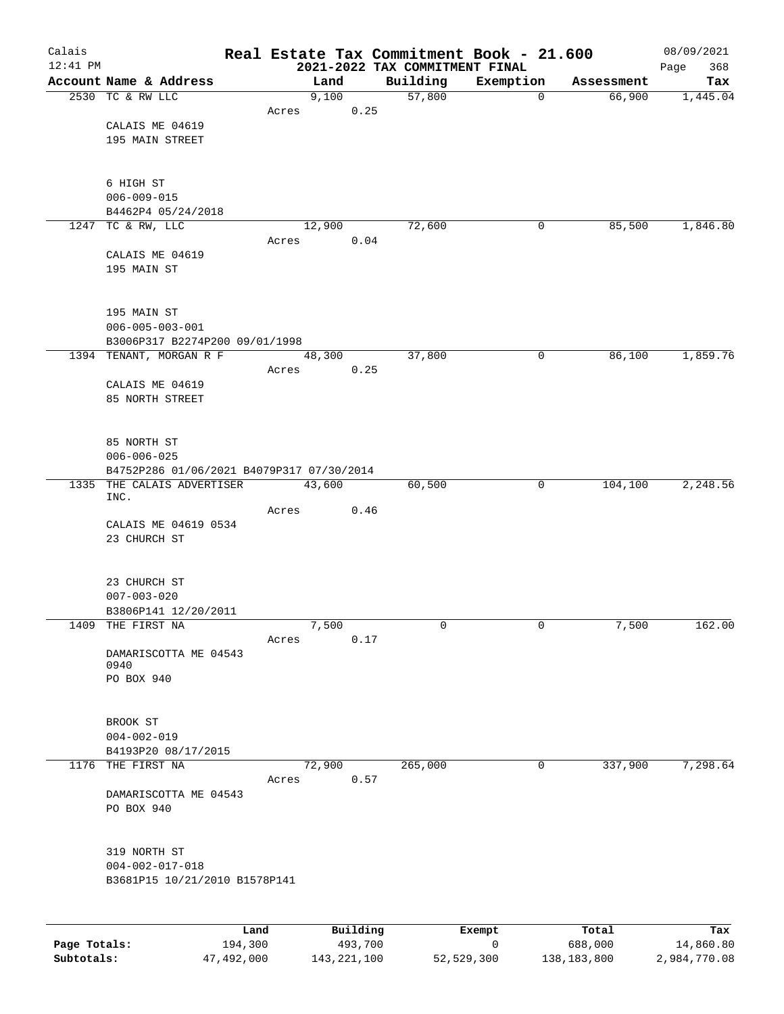| Calais       |                                           |         |       |          |      | Real Estate Tax Commitment Book - 21.600   |           |             |                      | 08/09/2021         |
|--------------|-------------------------------------------|---------|-------|----------|------|--------------------------------------------|-----------|-------------|----------------------|--------------------|
| $12:41$ PM   | Account Name & Address                    |         |       | Land     |      | 2021-2022 TAX COMMITMENT FINAL<br>Building | Exemption |             |                      | 368<br>Page<br>Tax |
|              | 2530 TC & RW LLC                          |         |       | 9,100    |      | 57,800                                     |           | $\mathbf 0$ | Assessment<br>66,900 | 1,445.04           |
|              |                                           |         | Acres |          | 0.25 |                                            |           |             |                      |                    |
|              | CALAIS ME 04619                           |         |       |          |      |                                            |           |             |                      |                    |
|              | 195 MAIN STREET                           |         |       |          |      |                                            |           |             |                      |                    |
|              |                                           |         |       |          |      |                                            |           |             |                      |                    |
|              |                                           |         |       |          |      |                                            |           |             |                      |                    |
|              | 6 HIGH ST<br>$006 - 009 - 015$            |         |       |          |      |                                            |           |             |                      |                    |
|              | B4462P4 05/24/2018                        |         |       |          |      |                                            |           |             |                      |                    |
|              | 1247 TC & RW, LLC                         |         |       | 12,900   |      | 72,600                                     |           | 0           | 85,500               | 1,846.80           |
|              |                                           |         | Acres |          | 0.04 |                                            |           |             |                      |                    |
|              | CALAIS ME 04619                           |         |       |          |      |                                            |           |             |                      |                    |
|              | 195 MAIN ST                               |         |       |          |      |                                            |           |             |                      |                    |
|              |                                           |         |       |          |      |                                            |           |             |                      |                    |
|              | 195 MAIN ST                               |         |       |          |      |                                            |           |             |                      |                    |
|              | $006 - 005 - 003 - 001$                   |         |       |          |      |                                            |           |             |                      |                    |
|              | B3006P317 B2274P200 09/01/1998            |         |       |          |      |                                            |           |             |                      |                    |
|              | 1394 TENANT, MORGAN R F                   |         |       | 48,300   |      | 37,800                                     |           | 0           | 86,100               | 1,859.76           |
|              |                                           |         | Acres |          | 0.25 |                                            |           |             |                      |                    |
|              | CALAIS ME 04619                           |         |       |          |      |                                            |           |             |                      |                    |
|              | 85 NORTH STREET                           |         |       |          |      |                                            |           |             |                      |                    |
|              |                                           |         |       |          |      |                                            |           |             |                      |                    |
|              | 85 NORTH ST                               |         |       |          |      |                                            |           |             |                      |                    |
|              | $006 - 006 - 025$                         |         |       |          |      |                                            |           |             |                      |                    |
|              | B4752P286 01/06/2021 B4079P317 07/30/2014 |         |       |          |      |                                            |           |             |                      |                    |
|              | 1335 THE CALAIS ADVERTISER<br>INC.        |         |       | 43,600   |      | 60,500                                     |           | 0           | 104,100              | 2,248.56           |
|              |                                           |         | Acres |          | 0.46 |                                            |           |             |                      |                    |
|              | CALAIS ME 04619 0534                      |         |       |          |      |                                            |           |             |                      |                    |
|              | 23 CHURCH ST                              |         |       |          |      |                                            |           |             |                      |                    |
|              |                                           |         |       |          |      |                                            |           |             |                      |                    |
|              | 23 CHURCH ST                              |         |       |          |      |                                            |           |             |                      |                    |
|              | $007 - 003 - 020$                         |         |       |          |      |                                            |           |             |                      |                    |
|              | B3806P141 12/20/2011                      |         |       |          |      |                                            |           |             |                      |                    |
|              | 1409 THE FIRST NA                         |         |       | 7,500    |      | 0                                          |           | 0           | 7,500                | 162.00             |
|              | DAMARISCOTTA ME 04543                     |         | Acres |          | 0.17 |                                            |           |             |                      |                    |
|              | 0940                                      |         |       |          |      |                                            |           |             |                      |                    |
|              | PO BOX 940                                |         |       |          |      |                                            |           |             |                      |                    |
|              |                                           |         |       |          |      |                                            |           |             |                      |                    |
|              | BROOK ST                                  |         |       |          |      |                                            |           |             |                      |                    |
|              | $004 - 002 - 019$                         |         |       |          |      |                                            |           |             |                      |                    |
|              | B4193P20 08/17/2015                       |         |       |          |      |                                            |           |             |                      |                    |
| 1176         | THE FIRST NA                              |         |       | 72,900   |      | 265,000                                    |           | $\mathbf 0$ | 337,900              | 7,298.64           |
|              |                                           |         | Acres |          | 0.57 |                                            |           |             |                      |                    |
|              | DAMARISCOTTA ME 04543                     |         |       |          |      |                                            |           |             |                      |                    |
|              | PO BOX 940                                |         |       |          |      |                                            |           |             |                      |                    |
|              |                                           |         |       |          |      |                                            |           |             |                      |                    |
|              | 319 NORTH ST                              |         |       |          |      |                                            |           |             |                      |                    |
|              | $004 - 002 - 017 - 018$                   |         |       |          |      |                                            |           |             |                      |                    |
|              | B3681P15 10/21/2010 B1578P141             |         |       |          |      |                                            |           |             |                      |                    |
|              |                                           |         |       |          |      |                                            |           |             |                      |                    |
|              |                                           | Land    |       | Building |      |                                            | Exempt    |             | Total                | Tax                |
| Page Totals: |                                           | 194,300 |       | 493,700  |      |                                            | 0         |             | 688,000              | 14,860.80          |

**Subtotals:** 47,492,000 143,221,100 52,529,300 138,183,800 2,984,770.08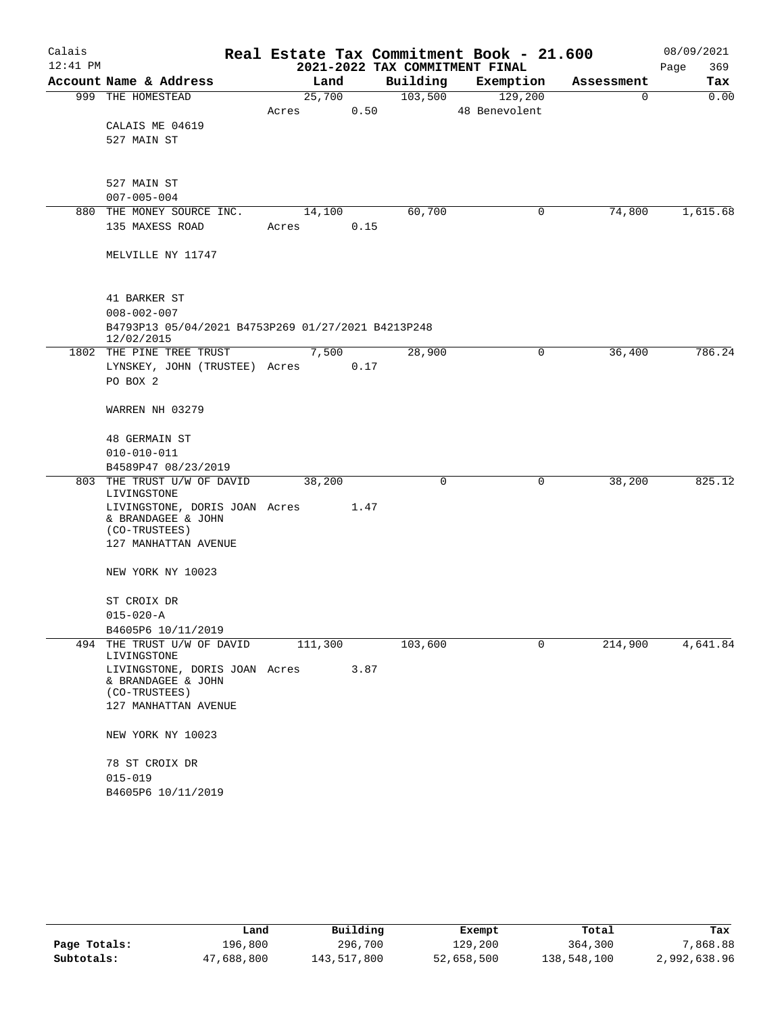| Calais     |                                                                                       |       |         |      |          | Real Estate Tax Commitment Book - 21.600 |          |            | 08/09/2021  |
|------------|---------------------------------------------------------------------------------------|-------|---------|------|----------|------------------------------------------|----------|------------|-------------|
| $12:41$ PM |                                                                                       |       |         |      |          | 2021-2022 TAX COMMITMENT FINAL           |          |            | Page<br>369 |
|            | Account Name & Address                                                                |       | Land    |      | Building | Exemption                                |          | Assessment | Tax         |
|            | 999 THE HOMESTEAD                                                                     |       | 25,700  |      | 103,500  | 129,200                                  |          | 0          | 0.00        |
|            |                                                                                       | Acres |         | 0.50 |          | 48 Benevolent                            |          |            |             |
|            | CALAIS ME 04619                                                                       |       |         |      |          |                                          |          |            |             |
|            | 527 MAIN ST                                                                           |       |         |      |          |                                          |          |            |             |
|            | 527 MAIN ST                                                                           |       |         |      |          |                                          |          |            |             |
|            | $007 - 005 - 004$                                                                     |       |         |      |          |                                          |          |            |             |
| 880        | THE MONEY SOURCE INC.                                                                 |       | 14,100  |      | 60,700   |                                          | 0        | 74,800     | 1,615.68    |
|            | 135 MAXESS ROAD                                                                       | Acres |         | 0.15 |          |                                          |          |            |             |
|            | MELVILLE NY 11747                                                                     |       |         |      |          |                                          |          |            |             |
|            | 41 BARKER ST                                                                          |       |         |      |          |                                          |          |            |             |
|            | $008 - 002 - 007$<br>B4793P13 05/04/2021 B4753P269 01/27/2021 B4213P248<br>12/02/2015 |       |         |      |          |                                          |          |            |             |
|            | 1802 THE PINE TREE TRUST                                                              |       | 7,500   |      | 28,900   |                                          | 0        | 36,400     | 786.24      |
|            | LYNSKEY, JOHN (TRUSTEE) Acres                                                         |       |         | 0.17 |          |                                          |          |            |             |
|            | PO BOX 2                                                                              |       |         |      |          |                                          |          |            |             |
|            | WARREN NH 03279                                                                       |       |         |      |          |                                          |          |            |             |
|            | <b>48 GERMAIN ST</b>                                                                  |       |         |      |          |                                          |          |            |             |
|            | $010 - 010 - 011$                                                                     |       |         |      |          |                                          |          |            |             |
|            | B4589P47 08/23/2019                                                                   |       |         |      |          |                                          |          |            |             |
|            | 803 THE TRUST U/W OF DAVID                                                            |       | 38,200  |      | 0        |                                          | 0        | 38,200     | 825.12      |
|            | LIVINGSTONE<br>LIVINGSTONE, DORIS JOAN Acres                                          |       |         | 1.47 |          |                                          |          |            |             |
|            | & BRANDAGEE & JOHN                                                                    |       |         |      |          |                                          |          |            |             |
|            | (CO-TRUSTEES)                                                                         |       |         |      |          |                                          |          |            |             |
|            | 127 MANHATTAN AVENUE                                                                  |       |         |      |          |                                          |          |            |             |
|            | NEW YORK NY 10023                                                                     |       |         |      |          |                                          |          |            |             |
|            | ST CROIX DR                                                                           |       |         |      |          |                                          |          |            |             |
|            | $015 - 020 - A$                                                                       |       |         |      |          |                                          |          |            |             |
|            | B4605P6 10/11/2019                                                                    |       |         |      |          |                                          |          |            |             |
|            | 494 THE TRUST U/W OF DAVID<br>LIVINGSTONE                                             |       | 111,300 |      | 103,600  |                                          | $\Omega$ | 214,900    | 4,641.84    |
|            | LIVINGSTONE, DORIS JOAN Acres                                                         |       |         | 3.87 |          |                                          |          |            |             |
|            | & BRANDAGEE & JOHN<br>(CO-TRUSTEES)                                                   |       |         |      |          |                                          |          |            |             |
|            | 127 MANHATTAN AVENUE                                                                  |       |         |      |          |                                          |          |            |             |
|            | NEW YORK NY 10023                                                                     |       |         |      |          |                                          |          |            |             |
|            | 78 ST CROIX DR                                                                        |       |         |      |          |                                          |          |            |             |
|            | $015 - 019$                                                                           |       |         |      |          |                                          |          |            |             |
|            | B4605P6 10/11/2019                                                                    |       |         |      |          |                                          |          |            |             |

|              | Land       | Building    | Exempt     | Total       | Tax          |
|--------------|------------|-------------|------------|-------------|--------------|
| Page Totals: | 196,800    | 296,700     | 129,200    | 364,300     | 7,868.88     |
| Subtotals:   | 47,688,800 | 143,517,800 | 52,658,500 | 138,548,100 | 2,992,638.96 |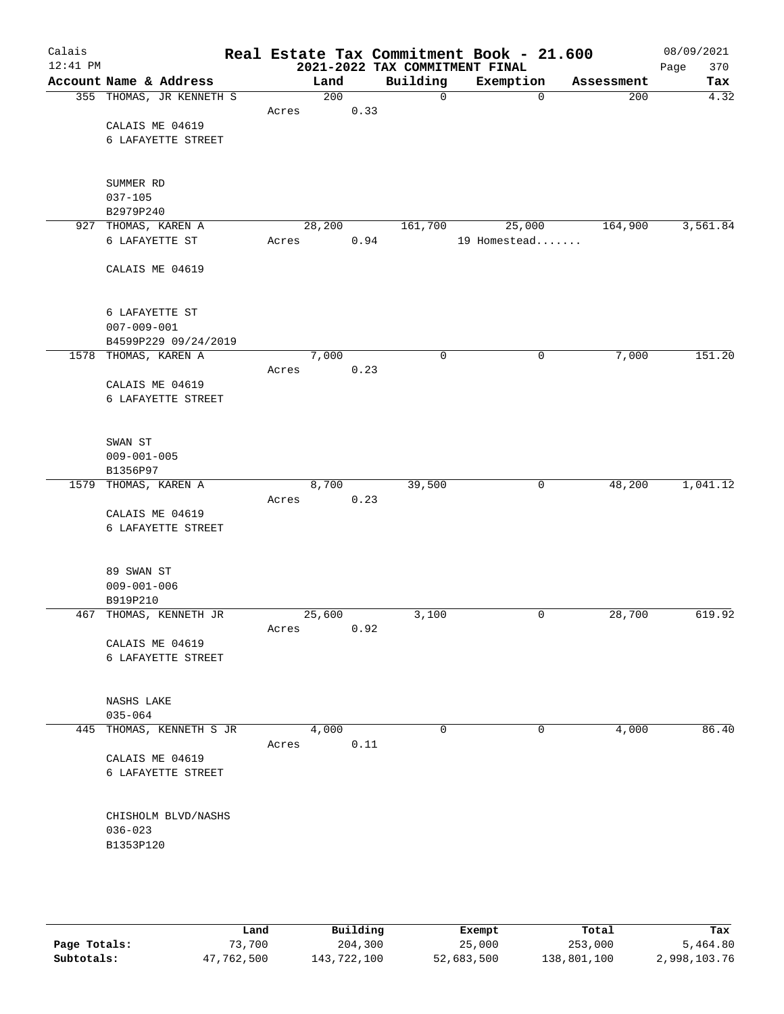| Calais<br>$12:41$ PM |                          |       |        |      | Real Estate Tax Commitment Book - 21.600<br>2021-2022 TAX COMMITMENT FINAL |              |             |            | 08/09/2021<br>Page<br>370 |
|----------------------|--------------------------|-------|--------|------|----------------------------------------------------------------------------|--------------|-------------|------------|---------------------------|
|                      | Account Name & Address   |       | Land   |      | Building                                                                   | Exemption    |             | Assessment | Tax                       |
|                      | 355 THOMAS, JR KENNETH S |       | 200    |      | $\mathbf 0$                                                                |              | $\mathbf 0$ | 200        | 4.32                      |
|                      |                          | Acres |        | 0.33 |                                                                            |              |             |            |                           |
|                      | CALAIS ME 04619          |       |        |      |                                                                            |              |             |            |                           |
|                      | 6 LAFAYETTE STREET       |       |        |      |                                                                            |              |             |            |                           |
|                      |                          |       |        |      |                                                                            |              |             |            |                           |
|                      |                          |       |        |      |                                                                            |              |             |            |                           |
|                      | SUMMER RD                |       |        |      |                                                                            |              |             |            |                           |
|                      | $037 - 105$              |       |        |      |                                                                            |              |             |            |                           |
|                      | B2979P240                |       |        |      |                                                                            |              |             |            |                           |
|                      | 927 THOMAS, KAREN A      |       | 28,200 |      | 161,700                                                                    |              | 25,000      | 164,900    | 3,561.84                  |
|                      | 6 LAFAYETTE ST           | Acres |        | 0.94 |                                                                            | 19 Homestead |             |            |                           |
|                      |                          |       |        |      |                                                                            |              |             |            |                           |
|                      | CALAIS ME 04619          |       |        |      |                                                                            |              |             |            |                           |
|                      |                          |       |        |      |                                                                            |              |             |            |                           |
|                      |                          |       |        |      |                                                                            |              |             |            |                           |
|                      | 6 LAFAYETTE ST           |       |        |      |                                                                            |              |             |            |                           |
|                      | $007 - 009 - 001$        |       |        |      |                                                                            |              |             |            |                           |
|                      | B4599P229 09/24/2019     |       |        |      | 0                                                                          |              | $\mathbf 0$ |            | 151.20                    |
|                      | 1578 THOMAS, KAREN A     | Acres | 7,000  | 0.23 |                                                                            |              |             | 7,000      |                           |
|                      | CALAIS ME 04619          |       |        |      |                                                                            |              |             |            |                           |
|                      | 6 LAFAYETTE STREET       |       |        |      |                                                                            |              |             |            |                           |
|                      |                          |       |        |      |                                                                            |              |             |            |                           |
|                      |                          |       |        |      |                                                                            |              |             |            |                           |
|                      | SWAN ST                  |       |        |      |                                                                            |              |             |            |                           |
|                      | $009 - 001 - 005$        |       |        |      |                                                                            |              |             |            |                           |
|                      | B1356P97                 |       |        |      |                                                                            |              |             |            |                           |
|                      | 1579 THOMAS, KAREN A     |       | 8,700  |      | 39,500                                                                     |              | 0           | 48,200     | 1,041.12                  |
|                      |                          | Acres |        | 0.23 |                                                                            |              |             |            |                           |
|                      | CALAIS ME 04619          |       |        |      |                                                                            |              |             |            |                           |
|                      | 6 LAFAYETTE STREET       |       |        |      |                                                                            |              |             |            |                           |
|                      |                          |       |        |      |                                                                            |              |             |            |                           |
|                      |                          |       |        |      |                                                                            |              |             |            |                           |
|                      | 89 SWAN ST               |       |        |      |                                                                            |              |             |            |                           |
|                      | $009 - 001 - 006$        |       |        |      |                                                                            |              |             |            |                           |
|                      | B919P210                 |       |        |      |                                                                            |              |             |            |                           |
|                      | 467 THOMAS, KENNETH JR   |       | 25,600 |      | 3,100                                                                      |              | 0           | 28,700     | 619.92                    |
|                      | CALAIS ME 04619          | Acres |        | 0.92 |                                                                            |              |             |            |                           |
|                      | 6 LAFAYETTE STREET       |       |        |      |                                                                            |              |             |            |                           |
|                      |                          |       |        |      |                                                                            |              |             |            |                           |
|                      |                          |       |        |      |                                                                            |              |             |            |                           |
|                      | NASHS LAKE               |       |        |      |                                                                            |              |             |            |                           |
|                      | $035 - 064$              |       |        |      |                                                                            |              |             |            |                           |
|                      | 445 THOMAS, KENNETH S JR |       | 4,000  |      | $\mathbf 0$                                                                |              | 0           | 4,000      | 86.40                     |
|                      |                          | Acres |        | 0.11 |                                                                            |              |             |            |                           |
|                      | CALAIS ME 04619          |       |        |      |                                                                            |              |             |            |                           |
|                      | 6 LAFAYETTE STREET       |       |        |      |                                                                            |              |             |            |                           |
|                      |                          |       |        |      |                                                                            |              |             |            |                           |
|                      |                          |       |        |      |                                                                            |              |             |            |                           |
|                      | CHISHOLM BLVD/NASHS      |       |        |      |                                                                            |              |             |            |                           |
|                      | $036 - 023$              |       |        |      |                                                                            |              |             |            |                           |
|                      | B1353P120                |       |        |      |                                                                            |              |             |            |                           |
|                      |                          |       |        |      |                                                                            |              |             |            |                           |
|                      |                          |       |        |      |                                                                            |              |             |            |                           |
|                      |                          |       |        |      |                                                                            |              |             |            |                           |
|                      |                          |       |        |      |                                                                            |              |             |            |                           |

|              | Land       | Building    | Exempt     | Total       | Tax          |
|--------------|------------|-------------|------------|-------------|--------------|
| Page Totals: | 73,700     | 204,300     | 25,000     | 253,000     | 5,464.80     |
| Subtotals:   | 47,762,500 | 143,722,100 | 52,683,500 | 138,801,100 | 2,998,103.76 |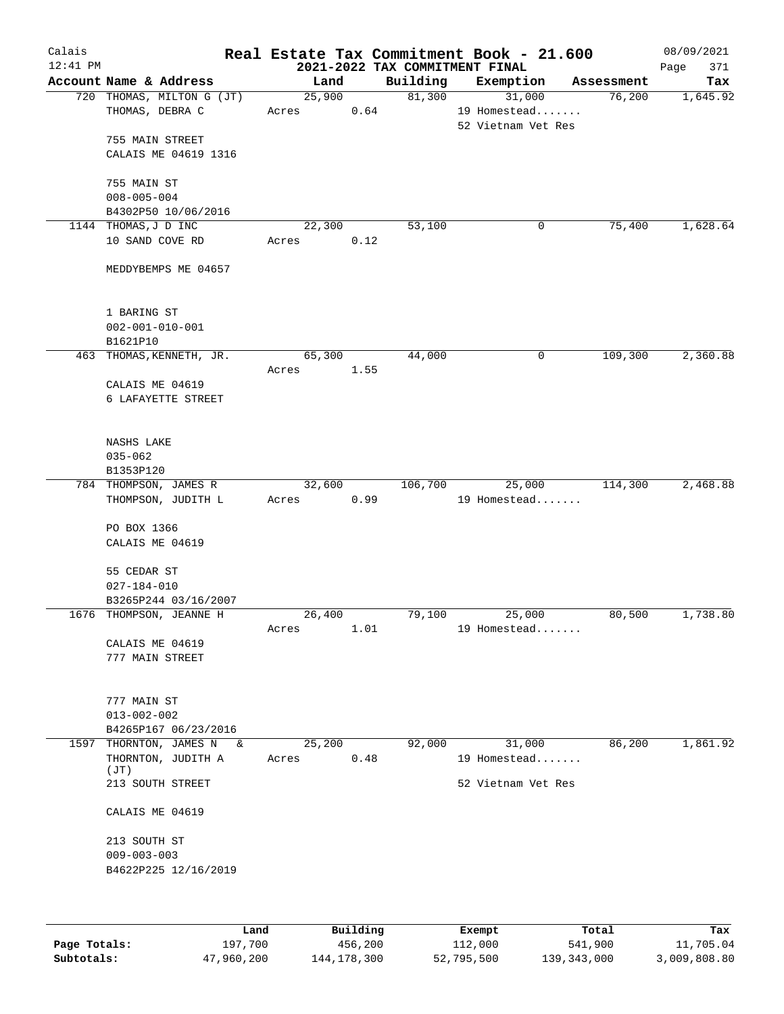| Calais<br>$12:41$ PM |                                                          |                 |      | 2021-2022 TAX COMMITMENT FINAL | Real Estate Tax Commitment Book - 21.600     |            | 08/09/2021<br>Page<br>371 |
|----------------------|----------------------------------------------------------|-----------------|------|--------------------------------|----------------------------------------------|------------|---------------------------|
|                      | Account Name & Address                                   | Land            |      | Building                       | Exemption                                    | Assessment | Tax                       |
|                      | 720 THOMAS, MILTON G (JT)<br>THOMAS, DEBRA C             | 25,900<br>Acres | 0.64 | 81,300                         | 31,000<br>19 Homestead<br>52 Vietnam Vet Res | 76,200     | 1,645.92                  |
|                      | 755 MAIN STREET<br>CALAIS ME 04619 1316                  |                 |      |                                |                                              |            |                           |
|                      | 755 MAIN ST<br>$008 - 005 - 004$                         |                 |      |                                |                                              |            |                           |
|                      | B4302P50 10/06/2016<br>1144 THOMAS, J D INC              | 22,300          |      | 53,100                         | 0                                            | 75,400     | 1,628.64                  |
|                      | 10 SAND COVE RD                                          | Acres           | 0.12 |                                |                                              |            |                           |
|                      | MEDDYBEMPS ME 04657                                      |                 |      |                                |                                              |            |                           |
|                      | 1 BARING ST<br>$002 - 001 - 010 - 001$<br>B1621P10       |                 |      |                                |                                              |            |                           |
|                      | 463 THOMAS, KENNETH, JR.                                 | 65,300          |      | 44,000                         | 0                                            | 109,300    | 2,360.88                  |
|                      | CALAIS ME 04619<br>6 LAFAYETTE STREET                    | Acres           | 1.55 |                                |                                              |            |                           |
|                      | NASHS LAKE                                               |                 |      |                                |                                              |            |                           |
|                      | $035 - 062$<br>B1353P120                                 |                 |      |                                |                                              |            |                           |
|                      | 784 THOMPSON, JAMES R                                    | 32,600          |      | 106,700                        | 25,000                                       | 114,300    | 2,468.88                  |
|                      | THOMPSON, JUDITH L                                       | Acres           | 0.99 |                                | 19 Homestead                                 |            |                           |
|                      | PO BOX 1366<br>CALAIS ME 04619                           |                 |      |                                |                                              |            |                           |
|                      | 55 CEDAR ST<br>$027 - 184 - 010$<br>B3265P244 03/16/2007 |                 |      |                                |                                              |            |                           |
|                      | 1676 THOMPSON, JEANNE H                                  | 26,400          |      | 79,100                         | 25,000                                       | 80,500     | 1,738.80                  |
|                      |                                                          | Acres           | 1.01 |                                | 19 Homestead                                 |            |                           |
|                      | CALAIS ME 04619<br>777 MAIN STREET                       |                 |      |                                |                                              |            |                           |
|                      | 777 MAIN ST                                              |                 |      |                                |                                              |            |                           |
|                      | $013 - 002 - 002$                                        |                 |      |                                |                                              |            |                           |
|                      | B4265P167 06/23/2016                                     |                 |      |                                |                                              |            |                           |
|                      | 1597 THORNTON, JAMES N &<br>THORNTON, JUDITH A<br>(JT)   | 25,200<br>Acres | 0.48 | 92,000                         | 31,000<br>19 Homestead                       | 86,200     | 1,861.92                  |
|                      | 213 SOUTH STREET                                         |                 |      |                                | 52 Vietnam Vet Res                           |            |                           |
|                      | CALAIS ME 04619                                          |                 |      |                                |                                              |            |                           |
|                      | 213 SOUTH ST                                             |                 |      |                                |                                              |            |                           |
|                      | $009 - 003 - 003$<br>B4622P225 12/16/2019                |                 |      |                                |                                              |            |                           |
|                      |                                                          |                 |      |                                |                                              |            |                           |

|              | Land       | Building    | Exempt     | Total       | Tax          |
|--------------|------------|-------------|------------|-------------|--------------|
| Page Totals: | 197,700    | 456,200     | 112,000    | 541,900     | 11,705.04    |
| Subtotals:   | 47,960,200 | 144,178,300 | 52,795,500 | 139,343,000 | 3,009,808.80 |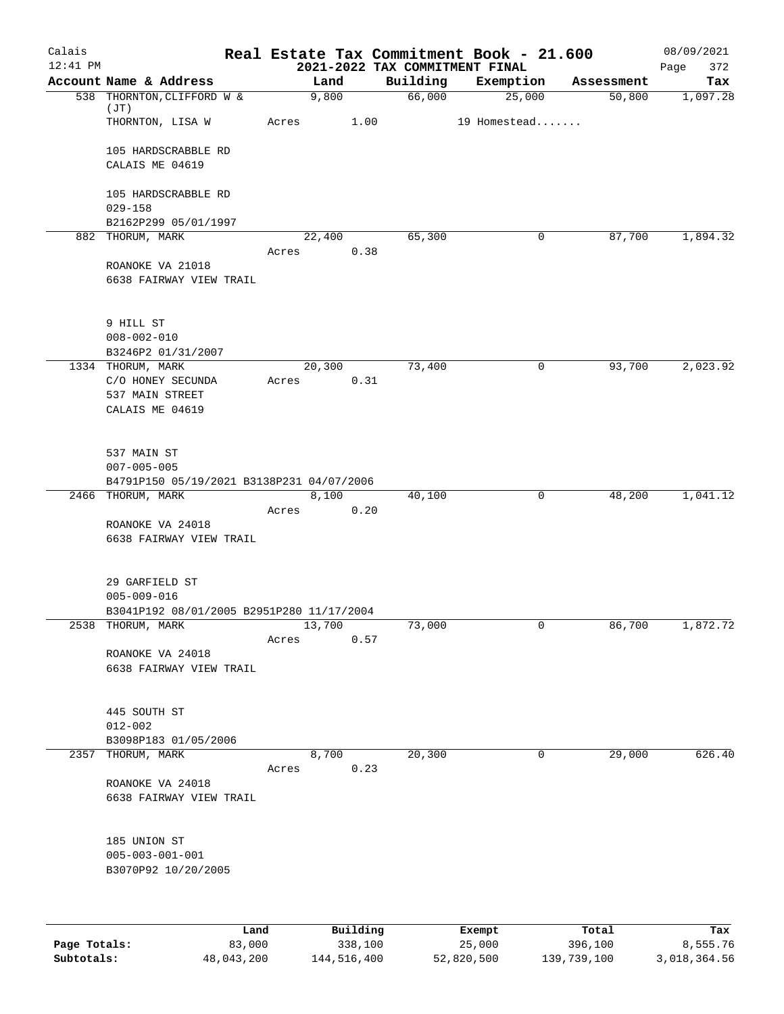| Calais       |                                           |                 |          |                                            | Real Estate Tax Commitment Book - 21.600 |            | 08/09/2021         |
|--------------|-------------------------------------------|-----------------|----------|--------------------------------------------|------------------------------------------|------------|--------------------|
| $12:41$ PM   | Account Name & Address                    |                 | Land     | 2021-2022 TAX COMMITMENT FINAL<br>Building | Exemption                                | Assessment | Page<br>372<br>Tax |
|              | 538 THORNTON, CLIFFORD W &                | 9,800           |          | 66,000                                     | 25,000                                   | 50,800     | 1,097.28           |
|              | (JT)<br>THORNTON, LISA W                  | Acres           | 1.00     |                                            | 19 Homestead                             |            |                    |
|              |                                           |                 |          |                                            |                                          |            |                    |
|              | 105 HARDSCRABBLE RD                       |                 |          |                                            |                                          |            |                    |
|              | CALAIS ME 04619                           |                 |          |                                            |                                          |            |                    |
|              | 105 HARDSCRABBLE RD                       |                 |          |                                            |                                          |            |                    |
|              | $029 - 158$                               |                 |          |                                            |                                          |            |                    |
|              | B2162P299 05/01/1997                      |                 |          |                                            |                                          |            |                    |
|              | 882 THORUM, MARK                          | 22,400<br>Acres | 0.38     | 65,300                                     | 0                                        | 87,700     | 1,894.32           |
|              | ROANOKE VA 21018                          |                 |          |                                            |                                          |            |                    |
|              | 6638 FAIRWAY VIEW TRAIL                   |                 |          |                                            |                                          |            |                    |
|              |                                           |                 |          |                                            |                                          |            |                    |
|              | 9 HILL ST                                 |                 |          |                                            |                                          |            |                    |
|              | $008 - 002 - 010$                         |                 |          |                                            |                                          |            |                    |
|              | B3246P2 01/31/2007                        |                 |          |                                            |                                          |            |                    |
|              | 1334 THORUM, MARK<br>C/O HONEY SECUNDA    | 20,300<br>Acres | 0.31     | 73,400                                     | 0                                        | 93,700     | 2,023.92           |
|              | 537 MAIN STREET                           |                 |          |                                            |                                          |            |                    |
|              | CALAIS ME 04619                           |                 |          |                                            |                                          |            |                    |
|              |                                           |                 |          |                                            |                                          |            |                    |
|              | 537 MAIN ST                               |                 |          |                                            |                                          |            |                    |
|              | $007 - 005 - 005$                         |                 |          |                                            |                                          |            |                    |
|              | B4791P150 05/19/2021 B3138P231 04/07/2006 |                 |          |                                            |                                          |            |                    |
|              | 2466 THORUM, MARK                         |                 | 8,100    | 40,100                                     | 0                                        | 48,200     | 1,041.12           |
|              | ROANOKE VA 24018                          | Acres           | 0.20     |                                            |                                          |            |                    |
|              | 6638 FAIRWAY VIEW TRAIL                   |                 |          |                                            |                                          |            |                    |
|              |                                           |                 |          |                                            |                                          |            |                    |
|              | 29 GARFIELD ST                            |                 |          |                                            |                                          |            |                    |
|              | $005 - 009 - 016$                         |                 |          |                                            |                                          |            |                    |
|              | B3041P192 08/01/2005 B2951P280 11/17/2004 |                 |          |                                            |                                          |            |                    |
| 2538         | THORUM, MARK                              | 13,700          |          | 73,000                                     | 0                                        | 86,700     | 1,872.72           |
|              | ROANOKE VA 24018                          | Acres           | 0.57     |                                            |                                          |            |                    |
|              | 6638 FAIRWAY VIEW TRAIL                   |                 |          |                                            |                                          |            |                    |
|              |                                           |                 |          |                                            |                                          |            |                    |
|              | 445 SOUTH ST                              |                 |          |                                            |                                          |            |                    |
|              | $012 - 002$                               |                 |          |                                            |                                          |            |                    |
|              | B3098P183 01/05/2006                      |                 |          |                                            |                                          |            |                    |
| 2357         | THORUM, MARK                              |                 | 8,700    | 20,300                                     | 0                                        | 29,000     | 626.40             |
|              | ROANOKE VA 24018                          | Acres           | 0.23     |                                            |                                          |            |                    |
|              | 6638 FAIRWAY VIEW TRAIL                   |                 |          |                                            |                                          |            |                    |
|              |                                           |                 |          |                                            |                                          |            |                    |
|              | 185 UNION ST                              |                 |          |                                            |                                          |            |                    |
|              | $005 - 003 - 001 - 001$                   |                 |          |                                            |                                          |            |                    |
|              | B3070P92 10/20/2005                       |                 |          |                                            |                                          |            |                    |
|              |                                           |                 |          |                                            |                                          |            |                    |
|              |                                           |                 |          |                                            |                                          |            |                    |
|              | Land                                      |                 | Building |                                            | Exempt                                   | Total      | Tax                |
| Page Totals: | 83,000                                    |                 | 338,100  |                                            | 25,000                                   | 396,100    | 8,555.76           |

**Subtotals:** 48,043,200 144,516,400 52,820,500 139,739,100 3,018,364.56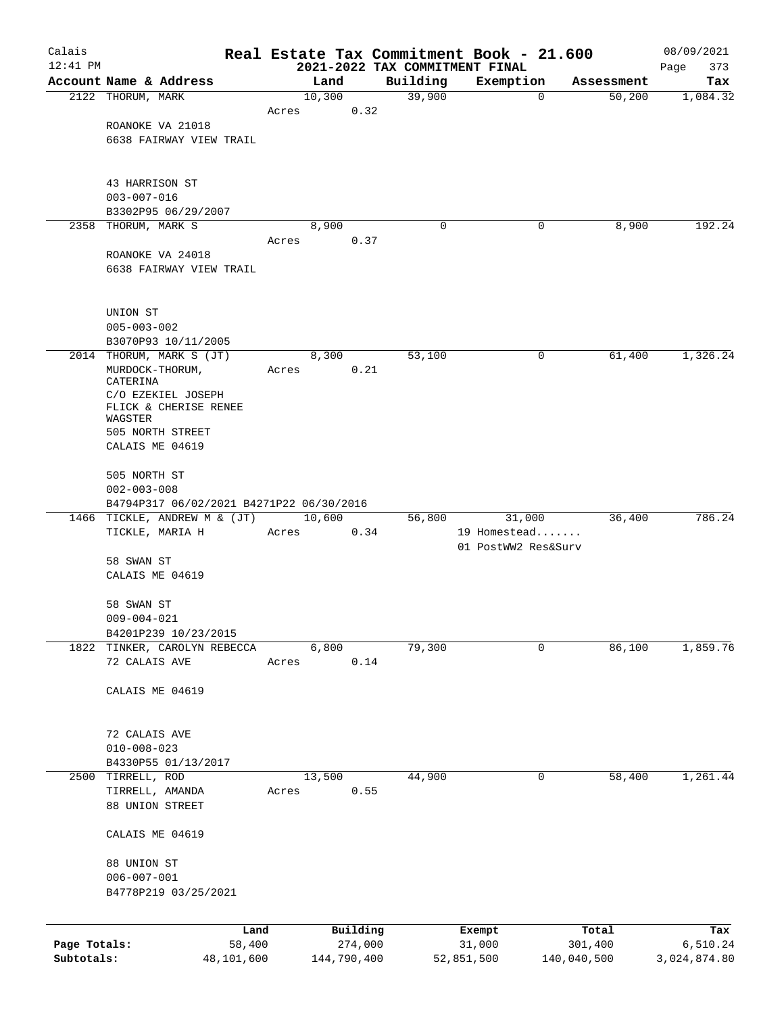| Calais       |                                             |            |       |             |          |                                            | Real Estate Tax Commitment Book - 21.600 |             |            | 08/09/2021         |
|--------------|---------------------------------------------|------------|-------|-------------|----------|--------------------------------------------|------------------------------------------|-------------|------------|--------------------|
| $12:41$ PM   | Account Name & Address                      |            |       | Land        |          | 2021-2022 TAX COMMITMENT FINAL<br>Building | Exemption                                |             | Assessment | Page<br>373<br>Tax |
|              | 2122 THORUM, MARK                           |            |       | 10,300      |          | 39,900                                     |                                          | 0           | 50,200     | 1,084.32           |
|              |                                             |            | Acres |             | 0.32     |                                            |                                          |             |            |                    |
|              | ROANOKE VA 21018                            |            |       |             |          |                                            |                                          |             |            |                    |
|              | 6638 FAIRWAY VIEW TRAIL                     |            |       |             |          |                                            |                                          |             |            |                    |
|              | 43 HARRISON ST                              |            |       |             |          |                                            |                                          |             |            |                    |
|              | $003 - 007 - 016$                           |            |       |             |          |                                            |                                          |             |            |                    |
|              | B3302P95 06/29/2007                         |            |       |             |          |                                            |                                          |             |            |                    |
|              | 2358 THORUM, MARK S                         |            | Acres | 8,900       | 0.37     | 0                                          |                                          | 0           | 8,900      | 192.24             |
|              | ROANOKE VA 24018                            |            |       |             |          |                                            |                                          |             |            |                    |
|              | 6638 FAIRWAY VIEW TRAIL                     |            |       |             |          |                                            |                                          |             |            |                    |
|              | UNION ST                                    |            |       |             |          |                                            |                                          |             |            |                    |
|              | $005 - 003 - 002$                           |            |       |             |          |                                            |                                          |             |            |                    |
|              | B3070P93 10/11/2005                         |            |       | 8,300       |          |                                            |                                          |             |            |                    |
|              | 2014 THORUM, MARK S (JT)<br>MURDOCK-THORUM, |            | Acres |             | 0.21     | 53,100                                     |                                          | 0           | 61,400     | 1,326.24           |
|              | CATERINA                                    |            |       |             |          |                                            |                                          |             |            |                    |
|              | C/O EZEKIEL JOSEPH                          |            |       |             |          |                                            |                                          |             |            |                    |
|              | FLICK & CHERISE RENEE<br>WAGSTER            |            |       |             |          |                                            |                                          |             |            |                    |
|              | 505 NORTH STREET                            |            |       |             |          |                                            |                                          |             |            |                    |
|              | CALAIS ME 04619                             |            |       |             |          |                                            |                                          |             |            |                    |
|              | 505 NORTH ST<br>$002 - 003 - 008$           |            |       |             |          |                                            |                                          |             |            |                    |
|              | B4794P317 06/02/2021 B4271P22 06/30/2016    |            |       |             |          |                                            |                                          |             |            |                    |
|              | 1466 TICKLE, ANDREW M & (JT)                |            |       | 10,600      |          | 56,800                                     | 31,000                                   |             | 36,400     | 786.24             |
|              | TICKLE, MARIA H                             |            | Acres |             | 0.34     |                                            | 19 Homestead<br>01 PostWW2 Res&Surv      |             |            |                    |
|              | 58 SWAN ST                                  |            |       |             |          |                                            |                                          |             |            |                    |
|              | CALAIS ME 04619                             |            |       |             |          |                                            |                                          |             |            |                    |
|              | 58 SWAN ST                                  |            |       |             |          |                                            |                                          |             |            |                    |
|              | $009 - 004 - 021$<br>B4201P239 10/23/2015   |            |       |             |          |                                            |                                          |             |            |                    |
|              | 1822 TINKER, CAROLYN REBECCA                |            |       | 6,800       |          | 79,300                                     |                                          | 0           | 86,100     | 1,859.76           |
|              | 72 CALAIS AVE                               |            | Acres |             | 0.14     |                                            |                                          |             |            |                    |
|              | CALAIS ME 04619                             |            |       |             |          |                                            |                                          |             |            |                    |
|              | 72 CALAIS AVE                               |            |       |             |          |                                            |                                          |             |            |                    |
|              | $010 - 008 - 023$                           |            |       |             |          |                                            |                                          |             |            |                    |
|              | B4330P55 01/13/2017                         |            |       |             |          |                                            |                                          |             |            |                    |
|              | 2500 TIRRELL, ROD                           |            |       | 13,500      |          | 44,900                                     |                                          | 0           | 58,400     | 1,261.44           |
|              | TIRRELL, AMANDA                             |            | Acres |             | 0.55     |                                            |                                          |             |            |                    |
|              | 88 UNION STREET                             |            |       |             |          |                                            |                                          |             |            |                    |
|              | CALAIS ME 04619                             |            |       |             |          |                                            |                                          |             |            |                    |
|              | 88 UNION ST                                 |            |       |             |          |                                            |                                          |             |            |                    |
|              | $006 - 007 - 001$                           |            |       |             |          |                                            |                                          |             |            |                    |
|              | B4778P219 03/25/2021                        |            |       |             |          |                                            |                                          |             |            |                    |
|              |                                             | Land       |       |             | Building |                                            | Exempt                                   | Total       |            | Tax                |
| Page Totals: |                                             | 58,400     |       |             | 274,000  |                                            | 31,000                                   | 301,400     |            | 6,510.24           |
| Subtotals:   |                                             | 48,101,600 |       | 144,790,400 |          |                                            | 52,851,500                               | 140,040,500 |            | 3,024,874.80       |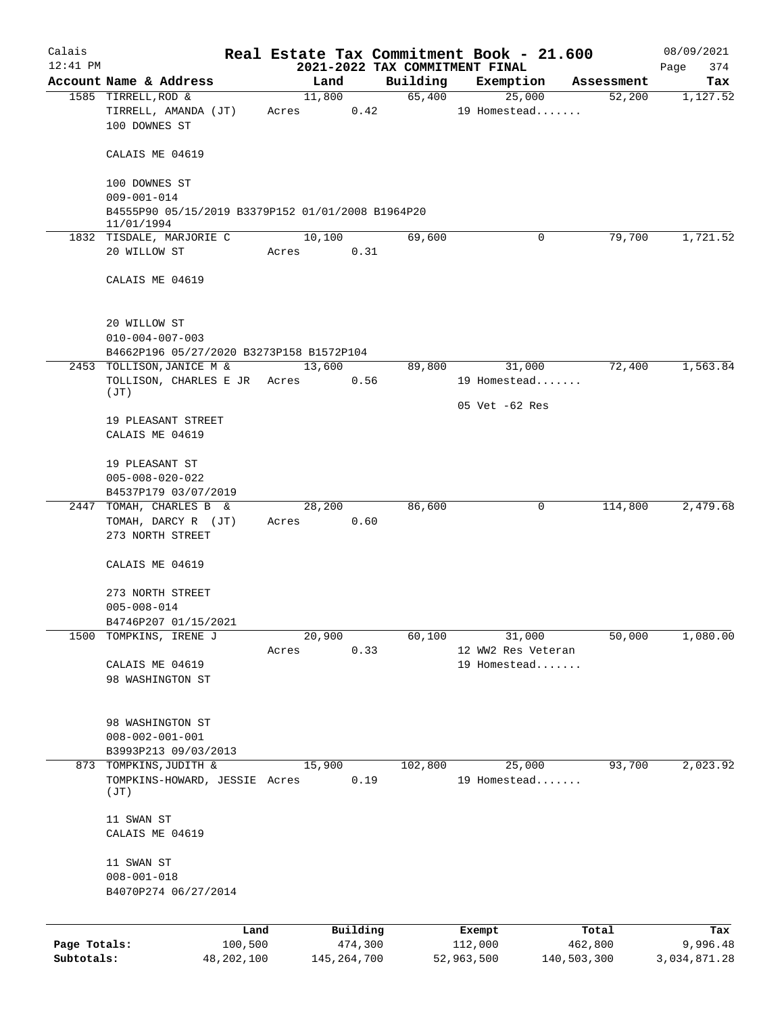| Calais       |                                                                        |         |            |                |         | Real Estate Tax Commitment Book - 21.600 |             | 08/09/2021   |
|--------------|------------------------------------------------------------------------|---------|------------|----------------|---------|------------------------------------------|-------------|--------------|
| $12:41$ PM   |                                                                        |         |            |                |         | 2021-2022 TAX COMMITMENT FINAL           |             | Page<br>374  |
|              | Account Name & Address                                                 |         |            | Land           |         | Building Exemption                       | Assessment  | Tax          |
|              | 1585 TIRRELL, ROD &<br>TIRRELL, AMANDA (JT)<br>100 DOWNES ST           |         | Acres 0.42 | 11,800         |         | 65,400<br>25,000<br>19 Homestead         | 52,200      | 1,127.52     |
|              | CALAIS ME 04619                                                        |         |            |                |         |                                          |             |              |
|              | 100 DOWNES ST                                                          |         |            |                |         |                                          |             |              |
|              | $009 - 001 - 014$<br>B4555P90 05/15/2019 B3379P152 01/01/2008 B1964P20 |         |            |                |         |                                          |             |              |
|              | 11/01/1994                                                             |         |            |                |         |                                          |             |              |
|              | 1832 TISDALE, MARJORIE C<br>20 WILLOW ST                               |         | Acres 0.31 | 10,100         | 69,600  | 0                                        | 79,700      | 1,721.52     |
|              | CALAIS ME 04619                                                        |         |            |                |         |                                          |             |              |
|              |                                                                        |         |            |                |         |                                          |             |              |
|              | 20 WILLOW ST<br>$010 - 004 - 007 - 003$                                |         |            |                |         |                                          |             |              |
|              | B4662P196 05/27/2020 B3273P158 B1572P104                               |         |            |                |         |                                          |             |              |
|              | 2453 TOLLISON, JANICE M &<br>TOLLISON, CHARLES E JR Acres              |         |            | 13,600<br>0.56 |         | 31,000<br>89,800<br>19 Homestead         | 72,400      | 1,563.84     |
|              | (TT)                                                                   |         |            |                |         | 05 Vet -62 Res                           |             |              |
|              | 19 PLEASANT STREET<br>CALAIS ME 04619                                  |         |            |                |         |                                          |             |              |
|              | 19 PLEASANT ST                                                         |         |            |                |         |                                          |             |              |
|              | $005 - 008 - 020 - 022$                                                |         |            |                |         |                                          |             |              |
|              | B4537P179 03/07/2019                                                   |         |            |                |         |                                          |             |              |
|              | 2447 TOMAH, CHARLES B &<br>TOMAH, DARCY R (JT)<br>273 NORTH STREET     |         | Acres 0.60 | 28,200         | 86,600  | 0                                        | 114,800     | 2,479.68     |
|              | CALAIS ME 04619                                                        |         |            |                |         |                                          |             |              |
|              | 273 NORTH STREET                                                       |         |            |                |         |                                          |             |              |
|              | $005 - 008 - 014$                                                      |         |            |                |         |                                          |             |              |
|              | B4746P207 01/15/2021<br>TOMPKINS, IRENE J                              |         |            |                |         |                                          |             |              |
| 1500         |                                                                        | Acres   | 20,900     | 0.33           | 60,100  | 31,000<br>12 WW2 Res Veteran             | 50,000      | 1,080.00     |
|              | CALAIS ME 04619                                                        |         |            |                |         | 19 Homestead                             |             |              |
|              | 98 WASHINGTON ST                                                       |         |            |                |         |                                          |             |              |
|              | 98 WASHINGTON ST                                                       |         |            |                |         |                                          |             |              |
|              | $008 - 002 - 001 - 001$                                                |         |            |                |         |                                          |             |              |
|              | B3993P213 09/03/2013                                                   |         |            |                |         |                                          |             |              |
|              | 873 TOMPKINS, JUDITH &                                                 |         | 15,900     |                | 102,800 | 25,000                                   | 93,700      | 2,023.92     |
|              | TOMPKINS-HOWARD, JESSIE Acres<br>(JT)                                  |         |            | 0.19           |         | 19 Homestead                             |             |              |
|              | 11 SWAN ST                                                             |         |            |                |         |                                          |             |              |
|              | CALAIS ME 04619                                                        |         |            |                |         |                                          |             |              |
|              | 11 SWAN ST                                                             |         |            |                |         |                                          |             |              |
|              | $008 - 001 - 018$                                                      |         |            |                |         |                                          |             |              |
|              | B4070P274 06/27/2014                                                   |         |            |                |         |                                          |             |              |
|              |                                                                        | Land    |            | Building       |         | Exempt                                   | Total       | Tax          |
| Page Totals: |                                                                        | 100,500 |            | 474,300        |         | 112,000                                  | 462,800     | 9,996.48     |
| Subtotals:   | 48,202,100                                                             |         |            | 145, 264, 700  |         | 52,963,500                               | 140,503,300 | 3,034,871.28 |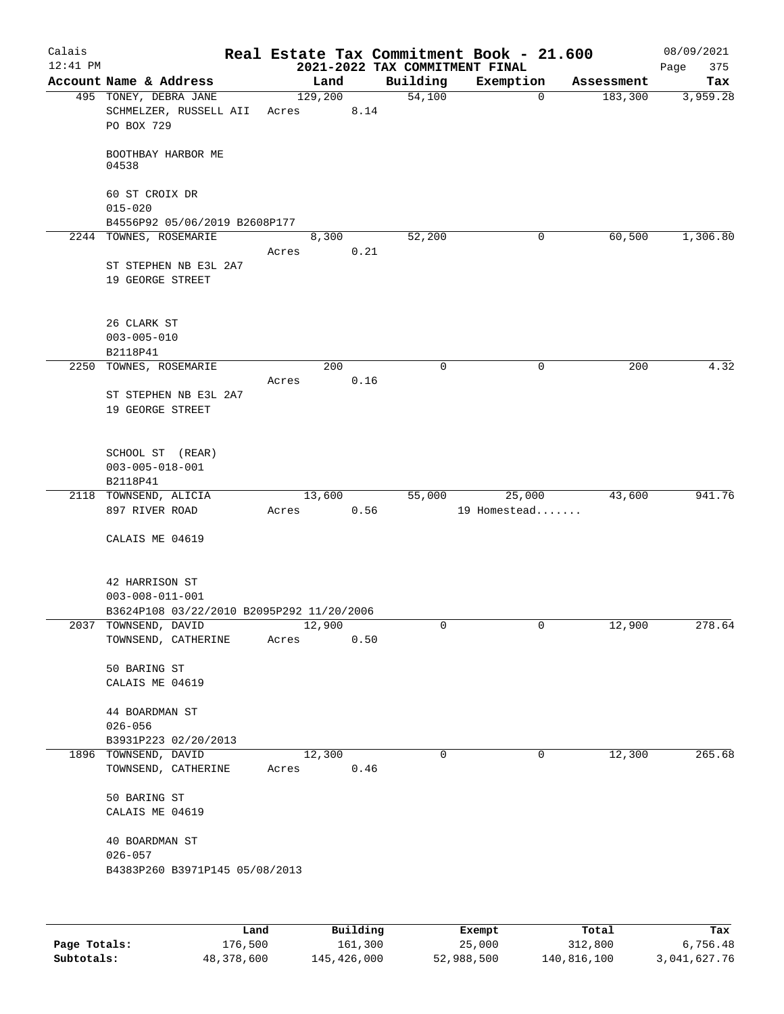| Calais     |                                                                   |                           |                                | Real Estate Tax Commitment Book - 21.600 |                       | 08/09/2021      |
|------------|-------------------------------------------------------------------|---------------------------|--------------------------------|------------------------------------------|-----------------------|-----------------|
| $12:41$ PM | Account Name & Address                                            | Land                      | 2021-2022 TAX COMMITMENT FINAL |                                          |                       | 375<br>Page     |
|            | 495 TONEY, DEBRA JANE<br>SCHMELZER, RUSSELL AII<br>PO BOX 729     | 129,200<br>Acres          | Building<br>54,100<br>8.14     | Exemption<br>0                           | Assessment<br>183,300 | Tax<br>3,959.28 |
|            | BOOTHBAY HARBOR ME<br>04538                                       |                           |                                |                                          |                       |                 |
|            | 60 ST CROIX DR<br>$015 - 020$                                     |                           |                                |                                          |                       |                 |
|            | B4556P92 05/06/2019 B2608P177<br>2244 TOWNES, ROSEMARIE           | 8,300                     |                                | 0                                        |                       |                 |
|            | ST STEPHEN NB E3L 2A7<br>19 GEORGE STREET                         | Acres                     | 52,200<br>0.21                 |                                          | 60,500                | 1,306.80        |
|            | 26 CLARK ST<br>$003 - 005 - 010$                                  |                           |                                |                                          |                       |                 |
|            | B2118P41<br>2250 TOWNES, ROSEMARIE                                | 200                       | 0                              | 0                                        | 200                   | 4.32            |
|            |                                                                   | Acres                     | 0.16                           |                                          |                       |                 |
|            | ST STEPHEN NB E3L 2A7<br>19 GEORGE STREET                         |                           |                                |                                          |                       |                 |
|            | SCHOOL ST (REAR)<br>$003 - 005 - 018 - 001$                       |                           |                                |                                          |                       |                 |
|            | B2118P41                                                          |                           |                                |                                          | 43,600                | 941.76          |
|            | 2118 TOWNSEND, ALICIA<br>897 RIVER ROAD                           | 13,600<br>Acres           | 55,000<br>0.56                 | 25,000<br>19 Homestead                   |                       |                 |
|            | CALAIS ME 04619                                                   |                           |                                |                                          |                       |                 |
|            | 42 HARRISON ST<br>$003 - 008 - 011 - 001$                         |                           |                                |                                          |                       |                 |
|            | B3624P108 03/22/2010 B2095P292 11/20/2006<br>2037 TOWNSEND, DAVID | 12,900                    | 0                              | 0                                        | 12,900                | 278.64          |
|            | TOWNSEND, CATHERINE                                               | Acres                     | 0.50                           |                                          |                       |                 |
|            | 50 BARING ST<br>CALAIS ME 04619                                   |                           |                                |                                          |                       |                 |
|            | 44 BOARDMAN ST<br>$026 - 056$                                     |                           |                                |                                          |                       |                 |
|            | B3931P223 02/20/2013                                              |                           |                                |                                          |                       |                 |
|            | 1896 TOWNSEND, DAVID<br>TOWNSEND, CATHERINE                       | 12,300<br>Acres           | $\Omega$<br>0.46               | 0                                        | 12,300                | 265.68          |
|            | 50 BARING ST<br>CALAIS ME 04619                                   |                           |                                |                                          |                       |                 |
|            | 40 BOARDMAN ST<br>$026 - 057$                                     |                           |                                |                                          |                       |                 |
|            | B4383P260 B3971P145 05/08/2013                                    |                           |                                |                                          |                       |                 |
|            |                                                                   |                           |                                |                                          |                       |                 |
|            | <b>TAMA</b>                                                       | $D_{11}$ in $I$ in $\sim$ |                                | Pusamok                                  | $T - + -1$            |                 |

|              | Land       | Building    | Exempt     | Total       | Tax          |
|--------------|------------|-------------|------------|-------------|--------------|
| Page Totals: | 176,500    | 161,300     | 25,000     | 312,800     | 6,756.48     |
| Subtotals:   | 48,378,600 | 145,426,000 | 52,988,500 | 140,816,100 | 3,041,627.76 |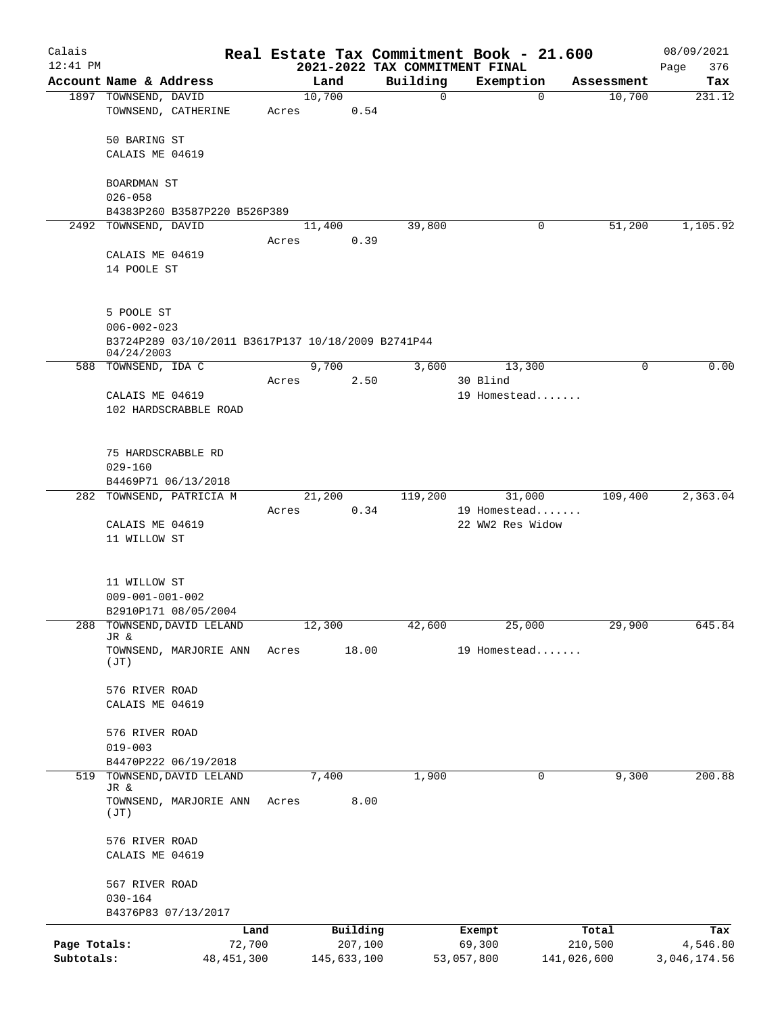| Calais                     |                                                                                       |       |                        |                                | Real Estate Tax Commitment Book - 21.600 |                        | 08/09/2021               |
|----------------------------|---------------------------------------------------------------------------------------|-------|------------------------|--------------------------------|------------------------------------------|------------------------|--------------------------|
| $12:41$ PM                 |                                                                                       |       |                        | 2021-2022 TAX COMMITMENT FINAL |                                          |                        | 376<br>Page              |
|                            | Account Name & Address<br>1897 TOWNSEND, DAVID                                        |       | Land<br>10,700         | Building<br>$\mathbf 0$        | Exemption<br>$\mathbf 0$                 | Assessment<br>10,700   | Tax<br>231.12            |
|                            | TOWNSEND, CATHERINE                                                                   | Acres | 0.54                   |                                |                                          |                        |                          |
|                            | 50 BARING ST                                                                          |       |                        |                                |                                          |                        |                          |
|                            | CALAIS ME 04619                                                                       |       |                        |                                |                                          |                        |                          |
|                            | BOARDMAN ST<br>$026 - 058$                                                            |       |                        |                                |                                          |                        |                          |
|                            | B4383P260 B3587P220 B526P389                                                          |       |                        |                                |                                          |                        |                          |
|                            | 2492 TOWNSEND, DAVID                                                                  | Acres | 11,400<br>0.39         | 39,800                         | 0                                        | 51,200                 | 1,105.92                 |
|                            | CALAIS ME 04619<br>14 POOLE ST                                                        |       |                        |                                |                                          |                        |                          |
|                            | 5 POOLE ST<br>$006 - 002 - 023$<br>B3724P289 03/10/2011 B3617P137 10/18/2009 B2741P44 |       |                        |                                |                                          |                        |                          |
|                            | 04/24/2003<br>588 TOWNSEND, IDA C                                                     |       | 9,700                  | 3,600                          | 13,300                                   | 0                      | 0.00                     |
|                            |                                                                                       | Acres | 2.50                   |                                | 30 Blind                                 |                        |                          |
|                            | CALAIS ME 04619<br>102 HARDSCRABBLE ROAD                                              |       |                        |                                | 19 Homestead                             |                        |                          |
|                            | 75 HARDSCRABBLE RD<br>$029 - 160$                                                     |       |                        |                                |                                          |                        |                          |
| 282                        | B4469P71 06/13/2018<br>TOWNSEND, PATRICIA M                                           |       | 21,200                 | 119,200                        | 31,000                                   | 109,400                | 2,363.04                 |
|                            | CALAIS ME 04619                                                                       | Acres | 0.34                   |                                | 19 Homestead<br>22 WW2 Res Widow         |                        |                          |
|                            | 11 WILLOW ST<br>11 WILLOW ST                                                          |       |                        |                                |                                          |                        |                          |
|                            | $009 - 001 - 001 - 002$                                                               |       |                        |                                |                                          |                        |                          |
| 288                        | B2910P171 08/05/2004<br>TOWNSEND, DAVID LELAND                                        |       |                        |                                |                                          |                        | 645.84                   |
|                            | JR &                                                                                  |       | 12,300                 | 42,600                         | 25,000                                   | 29,900                 |                          |
|                            | TOWNSEND, MARJORIE ANN<br>(TT)                                                        | Acres | 18.00                  |                                | 19 Homestead                             |                        |                          |
|                            | 576 RIVER ROAD<br>CALAIS ME 04619                                                     |       |                        |                                |                                          |                        |                          |
|                            | 576 RIVER ROAD<br>$019 - 003$                                                         |       |                        |                                |                                          |                        |                          |
|                            | B4470P222 06/19/2018                                                                  |       |                        |                                |                                          |                        |                          |
| 519                        | TOWNSEND, DAVID LELAND<br>JR &                                                        |       | 7,400                  | 1,900                          | 0                                        | 9,300                  | 200.88                   |
|                            | TOWNSEND, MARJORIE ANN<br>(JT)                                                        | Acres | 8.00                   |                                |                                          |                        |                          |
|                            | 576 RIVER ROAD<br>CALAIS ME 04619                                                     |       |                        |                                |                                          |                        |                          |
|                            | 567 RIVER ROAD<br>$030 - 164$                                                         |       |                        |                                |                                          |                        |                          |
|                            | B4376P83 07/13/2017                                                                   |       |                        |                                |                                          |                        |                          |
|                            |                                                                                       | Land  | Building               |                                | Exempt                                   | Total                  | Tax                      |
| Page Totals:<br>Subtotals: | 72,700<br>48, 451, 300                                                                |       | 207,100<br>145,633,100 |                                | 69,300<br>53,057,800                     | 210,500<br>141,026,600 | 4,546.80<br>3,046,174.56 |
|                            |                                                                                       |       |                        |                                |                                          |                        |                          |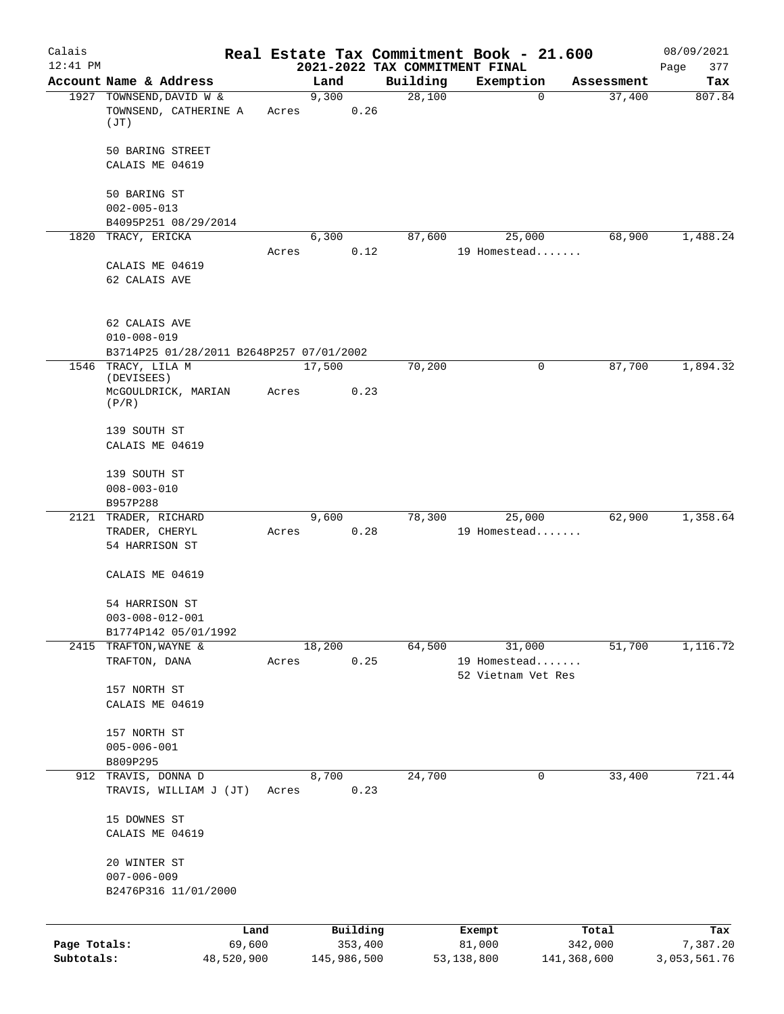| Calais       |                                                               |            |       |               |          | Real Estate Tax Commitment Book - 21.600 |                                    |             |                      | 08/09/2021    |
|--------------|---------------------------------------------------------------|------------|-------|---------------|----------|------------------------------------------|------------------------------------|-------------|----------------------|---------------|
| $12:41$ PM   | Account Name & Address                                        |            |       |               |          | 2021-2022 TAX COMMITMENT FINAL           |                                    |             |                      | 377<br>Page   |
|              | 1927 TOWNSEND, DAVID W &                                      |            |       | Land<br>9,300 |          | Building<br>28,100                       | Exemption                          | $\mathbf 0$ | Assessment<br>37,400 | Tax<br>807.84 |
|              | TOWNSEND, CATHERINE A<br>(JT)                                 |            | Acres |               | 0.26     |                                          |                                    |             |                      |               |
|              | 50 BARING STREET                                              |            |       |               |          |                                          |                                    |             |                      |               |
|              | CALAIS ME 04619                                               |            |       |               |          |                                          |                                    |             |                      |               |
|              | 50 BARING ST                                                  |            |       |               |          |                                          |                                    |             |                      |               |
|              | $002 - 005 - 013$<br>B4095P251 08/29/2014                     |            |       |               |          |                                          |                                    |             |                      |               |
|              | 1820 TRACY, ERICKA                                            |            |       | 6,300         |          | 87,600                                   |                                    | 25,000      | 68,900               | 1,488.24      |
|              |                                                               |            | Acres |               | 0.12     |                                          | 19 Homestead                       |             |                      |               |
|              | CALAIS ME 04619<br>62 CALAIS AVE                              |            |       |               |          |                                          |                                    |             |                      |               |
|              | 62 CALAIS AVE                                                 |            |       |               |          |                                          |                                    |             |                      |               |
|              | $010 - 008 - 019$<br>B3714P25 01/28/2011 B2648P257 07/01/2002 |            |       |               |          |                                          |                                    |             |                      |               |
|              | 1546 TRACY, LILA M                                            |            |       | 17,500        |          | 70,200                                   |                                    | 0           | 87,700               | 1,894.32      |
|              | (DEVISEES)<br>McGOULDRICK, MARIAN<br>(P/R)                    |            | Acres |               | 0.23     |                                          |                                    |             |                      |               |
|              | 139 SOUTH ST                                                  |            |       |               |          |                                          |                                    |             |                      |               |
|              | CALAIS ME 04619                                               |            |       |               |          |                                          |                                    |             |                      |               |
|              | 139 SOUTH ST                                                  |            |       |               |          |                                          |                                    |             |                      |               |
|              | $008 - 003 - 010$                                             |            |       |               |          |                                          |                                    |             |                      |               |
|              | B957P288                                                      |            |       |               |          | 78,300                                   |                                    |             | 62,900               | 1,358.64      |
|              | 2121 TRADER, RICHARD<br>TRADER, CHERYL                        |            | Acres | 9,600         | 0.28     |                                          | 19 Homestead                       | 25,000      |                      |               |
|              | 54 HARRISON ST                                                |            |       |               |          |                                          |                                    |             |                      |               |
|              | CALAIS ME 04619                                               |            |       |               |          |                                          |                                    |             |                      |               |
|              | 54 HARRISON ST                                                |            |       |               |          |                                          |                                    |             |                      |               |
|              | $003 - 008 - 012 - 001$                                       |            |       |               |          |                                          |                                    |             |                      |               |
|              | B1774P142 05/01/1992<br>2415 TRAFTON, WAYNE &                 |            |       | 18,200        |          | 64,500                                   |                                    | 31,000      | 51,700               | 1,116.72      |
|              | TRAFTON, DANA                                                 |            | Acres |               | 0.25     |                                          | 19 Homestead<br>52 Vietnam Vet Res |             |                      |               |
|              | 157 NORTH ST                                                  |            |       |               |          |                                          |                                    |             |                      |               |
|              | CALAIS ME 04619                                               |            |       |               |          |                                          |                                    |             |                      |               |
|              | 157 NORTH ST                                                  |            |       |               |          |                                          |                                    |             |                      |               |
|              | $005 - 006 - 001$                                             |            |       |               |          |                                          |                                    |             |                      |               |
|              | B809P295<br>912 TRAVIS, DONNA D                               |            |       | 8,700         |          | 24,700                                   |                                    | 0           | 33,400               | 721.44        |
|              | TRAVIS, WILLIAM J (JT)                                        |            | Acres |               | 0.23     |                                          |                                    |             |                      |               |
|              | 15 DOWNES ST<br>CALAIS ME 04619                               |            |       |               |          |                                          |                                    |             |                      |               |
|              |                                                               |            |       |               |          |                                          |                                    |             |                      |               |
|              | 20 WINTER ST<br>$007 - 006 - 009$                             |            |       |               |          |                                          |                                    |             |                      |               |
|              | B2476P316 11/01/2000                                          |            |       |               |          |                                          |                                    |             |                      |               |
|              |                                                               | Land       |       |               | Building |                                          | Exempt                             |             | Total                | Tax           |
| Page Totals: |                                                               | 69,600     |       |               | 353,400  |                                          | 81,000                             |             | 342,000              | 7,387.20      |
| Subtotals:   |                                                               | 48,520,900 |       | 145,986,500   |          |                                          | 53,138,800                         |             | 141,368,600          | 3,053,561.76  |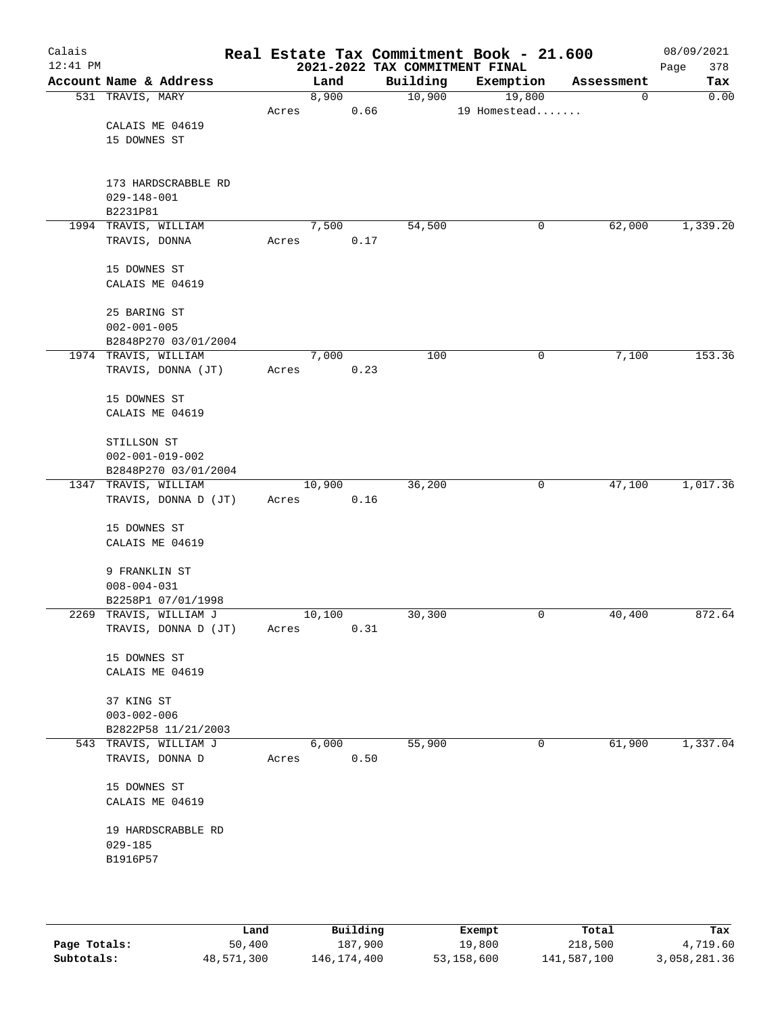| Calais<br>$12:41$ PM |                         |       |        |      |          | Real Estate Tax Commitment Book - 21.600<br>2021-2022 TAX COMMITMENT FINAL |   |            | 08/09/2021<br>378<br>Page |
|----------------------|-------------------------|-------|--------|------|----------|----------------------------------------------------------------------------|---|------------|---------------------------|
|                      | Account Name & Address  |       | Land   |      | Building | Exemption                                                                  |   | Assessment | Tax                       |
|                      | 531 TRAVIS, MARY        |       | 8,900  |      | 10,900   | 19,800                                                                     |   | 0          | 0.00                      |
|                      |                         | Acres |        | 0.66 |          | 19 Homestead                                                               |   |            |                           |
|                      | CALAIS ME 04619         |       |        |      |          |                                                                            |   |            |                           |
|                      | 15 DOWNES ST            |       |        |      |          |                                                                            |   |            |                           |
|                      |                         |       |        |      |          |                                                                            |   |            |                           |
|                      |                         |       |        |      |          |                                                                            |   |            |                           |
|                      | 173 HARDSCRABBLE RD     |       |        |      |          |                                                                            |   |            |                           |
|                      | $029 - 148 - 001$       |       |        |      |          |                                                                            |   |            |                           |
|                      | B2231P81                |       |        |      |          |                                                                            |   |            |                           |
|                      | 1994 TRAVIS, WILLIAM    |       | 7,500  |      | 54,500   |                                                                            | 0 | 62,000     | 1,339.20                  |
|                      | TRAVIS, DONNA           | Acres |        | 0.17 |          |                                                                            |   |            |                           |
|                      |                         |       |        |      |          |                                                                            |   |            |                           |
|                      | 15 DOWNES ST            |       |        |      |          |                                                                            |   |            |                           |
|                      | CALAIS ME 04619         |       |        |      |          |                                                                            |   |            |                           |
|                      |                         |       |        |      |          |                                                                            |   |            |                           |
|                      | 25 BARING ST            |       |        |      |          |                                                                            |   |            |                           |
|                      | $002 - 001 - 005$       |       |        |      |          |                                                                            |   |            |                           |
|                      | B2848P270 03/01/2004    |       |        |      |          |                                                                            |   |            |                           |
|                      | 1974 TRAVIS, WILLIAM    |       | 7,000  |      | 100      |                                                                            | 0 | 7,100      | 153.36                    |
|                      | TRAVIS, DONNA (JT)      | Acres |        | 0.23 |          |                                                                            |   |            |                           |
|                      |                         |       |        |      |          |                                                                            |   |            |                           |
|                      | 15 DOWNES ST            |       |        |      |          |                                                                            |   |            |                           |
|                      | CALAIS ME 04619         |       |        |      |          |                                                                            |   |            |                           |
|                      |                         |       |        |      |          |                                                                            |   |            |                           |
|                      | STILLSON ST             |       |        |      |          |                                                                            |   |            |                           |
|                      | $002 - 001 - 019 - 002$ |       |        |      |          |                                                                            |   |            |                           |
|                      | B2848P270 03/01/2004    |       |        |      |          |                                                                            |   |            |                           |
|                      | 1347 TRAVIS, WILLIAM    |       | 10,900 |      | 36,200   |                                                                            | 0 | 47,100     | 1,017.36                  |
|                      | TRAVIS, DONNA D (JT)    |       |        | 0.16 |          |                                                                            |   |            |                           |
|                      |                         | Acres |        |      |          |                                                                            |   |            |                           |
|                      | 15 DOWNES ST            |       |        |      |          |                                                                            |   |            |                           |
|                      | CALAIS ME 04619         |       |        |      |          |                                                                            |   |            |                           |
|                      |                         |       |        |      |          |                                                                            |   |            |                           |
|                      | 9 FRANKLIN ST           |       |        |      |          |                                                                            |   |            |                           |
|                      | $008 - 004 - 031$       |       |        |      |          |                                                                            |   |            |                           |
|                      | B2258P1 07/01/1998      |       |        |      |          |                                                                            |   |            |                           |
|                      | 2269 TRAVIS, WILLIAM J  |       | 10,100 |      | 30,300   |                                                                            | 0 | 40,400     | 872.64                    |
|                      | TRAVIS, DONNA D (JT)    | Acres |        | 0.31 |          |                                                                            |   |            |                           |
|                      |                         |       |        |      |          |                                                                            |   |            |                           |
|                      | 15 DOWNES ST            |       |        |      |          |                                                                            |   |            |                           |
|                      | CALAIS ME 04619         |       |        |      |          |                                                                            |   |            |                           |
|                      |                         |       |        |      |          |                                                                            |   |            |                           |
|                      | 37 KING ST              |       |        |      |          |                                                                            |   |            |                           |
|                      | $003 - 002 - 006$       |       |        |      |          |                                                                            |   |            |                           |
|                      | B2822P58 11/21/2003     |       |        |      |          |                                                                            |   |            |                           |
|                      | 543 TRAVIS, WILLIAM J   |       | 6,000  |      | 55,900   |                                                                            | 0 | 61,900     | 1,337.04                  |
|                      |                         |       |        |      |          |                                                                            |   |            |                           |
|                      | TRAVIS, DONNA D         | Acres |        | 0.50 |          |                                                                            |   |            |                           |
|                      | 15 DOWNES ST            |       |        |      |          |                                                                            |   |            |                           |
|                      |                         |       |        |      |          |                                                                            |   |            |                           |
|                      | CALAIS ME 04619         |       |        |      |          |                                                                            |   |            |                           |
|                      |                         |       |        |      |          |                                                                            |   |            |                           |
|                      | 19 HARDSCRABBLE RD      |       |        |      |          |                                                                            |   |            |                           |
|                      | $029 - 185$             |       |        |      |          |                                                                            |   |            |                           |
|                      | B1916P57                |       |        |      |          |                                                                            |   |            |                           |
|                      |                         |       |        |      |          |                                                                            |   |            |                           |
|                      |                         |       |        |      |          |                                                                            |   |            |                           |
|                      |                         |       |        |      |          |                                                                            |   |            |                           |

|              | Land       | Building      | Exempt     | Total       | Tax          |
|--------------|------------|---------------|------------|-------------|--------------|
| Page Totals: | 50,400     | 187,900       | 19,800     | 218,500     | 4,719.60     |
| Subtotals:   | 48,571,300 | 146, 174, 400 | 53,158,600 | 141,587,100 | 3,058,281.36 |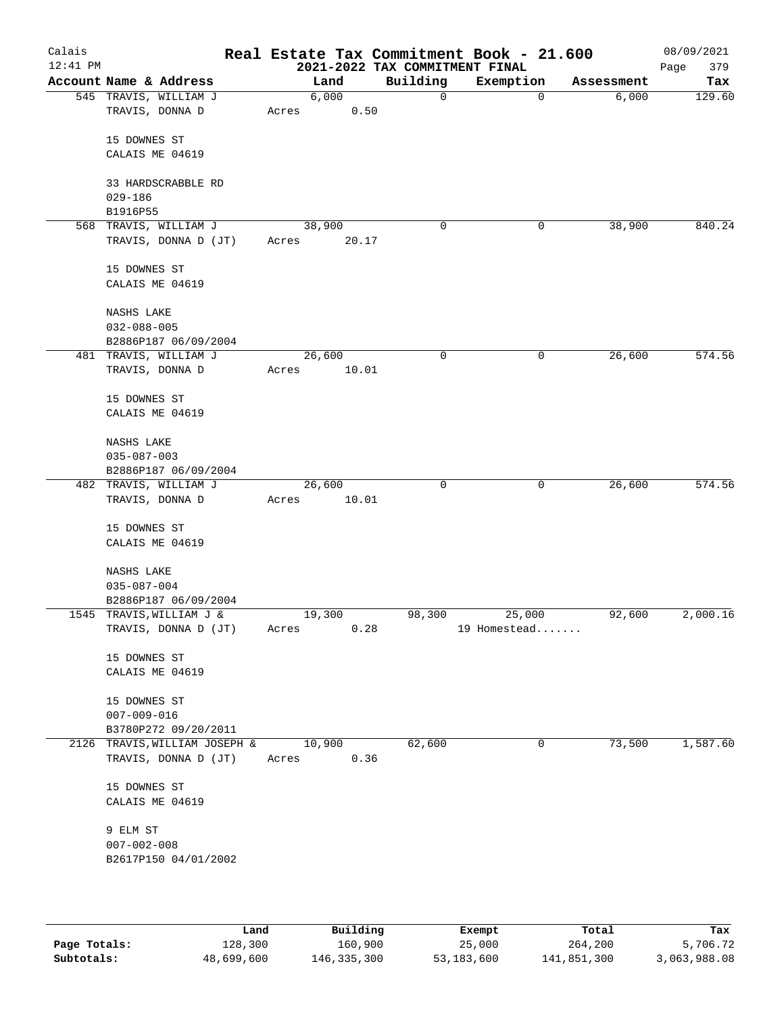| Calais<br>$12:41$ PM |                               |        |       | 2021-2022 TAX COMMITMENT FINAL | Real Estate Tax Commitment Book - 21.600 |            | 08/09/2021<br>379<br>Page |
|----------------------|-------------------------------|--------|-------|--------------------------------|------------------------------------------|------------|---------------------------|
|                      | Account Name & Address        |        | Land  | Building                       | Exemption                                | Assessment | Tax                       |
|                      | 545 TRAVIS, WILLIAM J         |        | 6,000 | $\mathbf 0$                    | 0                                        | 6,000      | 129.60                    |
|                      | TRAVIS, DONNA D               | Acres  | 0.50  |                                |                                          |            |                           |
|                      | 15 DOWNES ST                  |        |       |                                |                                          |            |                           |
|                      | CALAIS ME 04619               |        |       |                                |                                          |            |                           |
|                      |                               |        |       |                                |                                          |            |                           |
|                      | 33 HARDSCRABBLE RD            |        |       |                                |                                          |            |                           |
|                      | $029 - 186$                   |        |       |                                |                                          |            |                           |
|                      | B1916P55                      |        |       |                                |                                          |            |                           |
|                      | 568 TRAVIS, WILLIAM J         | 38,900 |       | 0                              | 0                                        | 38,900     | 840.24                    |
|                      | TRAVIS, DONNA D (JT)          | Acres  | 20.17 |                                |                                          |            |                           |
|                      | 15 DOWNES ST                  |        |       |                                |                                          |            |                           |
|                      | CALAIS ME 04619               |        |       |                                |                                          |            |                           |
|                      | NASHS LAKE                    |        |       |                                |                                          |            |                           |
|                      | $032 - 088 - 005$             |        |       |                                |                                          |            |                           |
|                      | B2886P187 06/09/2004          |        |       |                                |                                          |            |                           |
|                      | 481 TRAVIS, WILLIAM J         | 26,600 |       | 0                              | 0                                        | 26,600     | 574.56                    |
|                      | TRAVIS, DONNA D               | Acres  | 10.01 |                                |                                          |            |                           |
|                      | 15 DOWNES ST                  |        |       |                                |                                          |            |                           |
|                      | CALAIS ME 04619               |        |       |                                |                                          |            |                           |
|                      |                               |        |       |                                |                                          |            |                           |
|                      | NASHS LAKE                    |        |       |                                |                                          |            |                           |
|                      | $035 - 087 - 003$             |        |       |                                |                                          |            |                           |
|                      | B2886P187 06/09/2004          |        |       |                                |                                          |            |                           |
|                      | 482 TRAVIS, WILLIAM J         | 26,600 |       | 0                              | 0                                        | 26,600     | 574.56                    |
|                      | TRAVIS, DONNA D               | Acres  | 10.01 |                                |                                          |            |                           |
|                      | 15 DOWNES ST                  |        |       |                                |                                          |            |                           |
|                      | CALAIS ME 04619               |        |       |                                |                                          |            |                           |
|                      | NASHS LAKE                    |        |       |                                |                                          |            |                           |
|                      | $035 - 087 - 004$             |        |       |                                |                                          |            |                           |
|                      | B2886P187 06/09/2004          |        |       |                                |                                          |            |                           |
|                      | 1545 TRAVIS, WILLIAM J &      | 19,300 |       | 98,300                         | 25,000                                   | 92,600     | 2,000.16                  |
|                      | TRAVIS, DONNA D (JT)          | Acres  | 0.28  |                                | 19 Homestead                             |            |                           |
|                      | 15 DOWNES ST                  |        |       |                                |                                          |            |                           |
|                      | CALAIS ME 04619               |        |       |                                |                                          |            |                           |
|                      |                               |        |       |                                |                                          |            |                           |
|                      | 15 DOWNES ST                  |        |       |                                |                                          |            |                           |
|                      | $007 - 009 - 016$             |        |       |                                |                                          |            |                           |
|                      | B3780P272 09/20/2011          |        |       |                                |                                          |            |                           |
|                      | 2126 TRAVIS, WILLIAM JOSEPH & | 10,900 |       | 62,600                         | 0                                        | 73,500     | 1,587.60                  |
|                      | TRAVIS, DONNA D (JT)          | Acres  | 0.36  |                                |                                          |            |                           |
|                      | 15 DOWNES ST                  |        |       |                                |                                          |            |                           |
|                      | CALAIS ME 04619               |        |       |                                |                                          |            |                           |
|                      |                               |        |       |                                |                                          |            |                           |
|                      | 9 ELM ST                      |        |       |                                |                                          |            |                           |
|                      | $007 - 002 - 008$             |        |       |                                |                                          |            |                           |
|                      | B2617P150 04/01/2002          |        |       |                                |                                          |            |                           |
|                      |                               |        |       |                                |                                          |            |                           |
|                      |                               |        |       |                                |                                          |            |                           |

|              | Land       | Building    | Exempt     | Total       | Tax          |
|--------------|------------|-------------|------------|-------------|--------------|
| Page Totals: | 128,300    | 160,900     | 25,000     | 264,200     | 5,706.72     |
| Subtotals:   | 48,699,600 | 146,335,300 | 53,183,600 | 141,851,300 | 3,063,988.08 |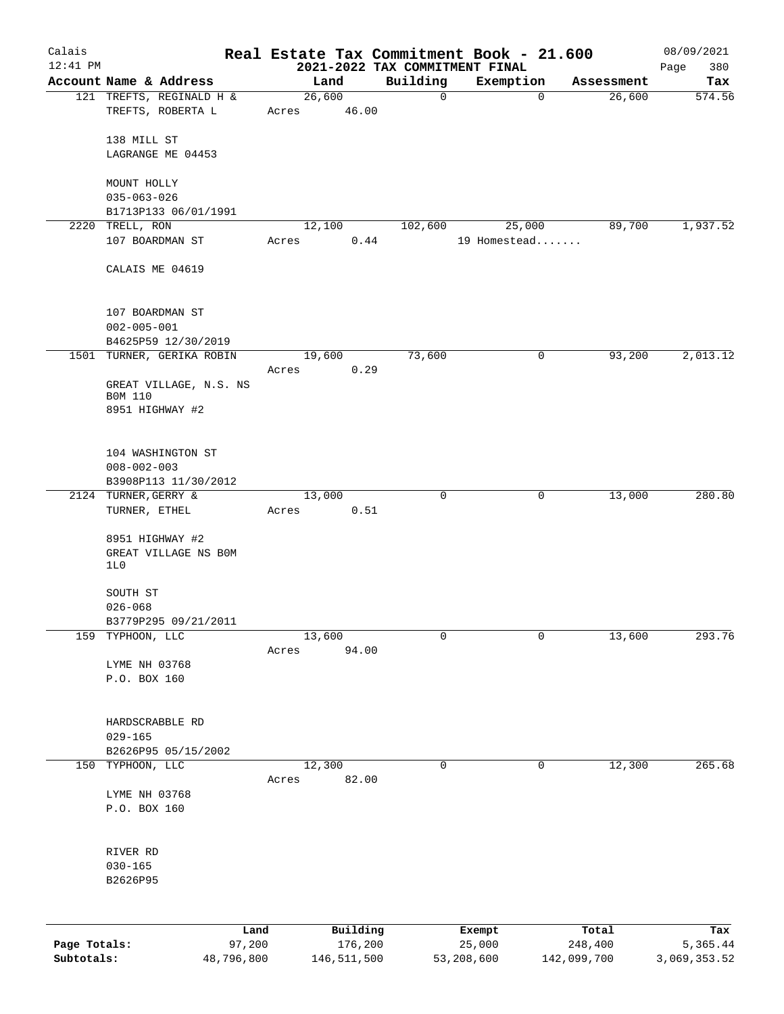| Calais       |                                       |            |                 |               |          | Real Estate Tax Commitment Book - 21.600    |             |             | 08/09/2021    |
|--------------|---------------------------------------|------------|-----------------|---------------|----------|---------------------------------------------|-------------|-------------|---------------|
| $12:41$ PM   | Account Name & Address                |            |                 | Land          | Building | 2021-2022 TAX COMMITMENT FINAL<br>Exemption |             | Assessment  | 380<br>Page   |
|              | 121 TREFTS, REGINALD H &              |            | 26,600          |               | 0        |                                             | $\mathbf 0$ | 26,600      | Tax<br>574.56 |
|              | TREFTS, ROBERTA L                     |            | Acres           | 46.00         |          |                                             |             |             |               |
|              | 138 MILL ST                           |            |                 |               |          |                                             |             |             |               |
|              | LAGRANGE ME 04453                     |            |                 |               |          |                                             |             |             |               |
|              | MOUNT HOLLY                           |            |                 |               |          |                                             |             |             |               |
|              | $035 - 063 - 026$                     |            |                 |               |          |                                             |             |             |               |
|              | B1713P133 06/01/1991                  |            |                 |               |          |                                             |             |             |               |
|              | 2220 TRELL, RON<br>107 BOARDMAN ST    |            | 12,100<br>Acres | 0.44          | 102,600  | 25,000<br>19 Homestead                      |             | 89,700      | 1,937.52      |
|              | CALAIS ME 04619                       |            |                 |               |          |                                             |             |             |               |
|              |                                       |            |                 |               |          |                                             |             |             |               |
|              | 107 BOARDMAN ST<br>$002 - 005 - 001$  |            |                 |               |          |                                             |             |             |               |
|              | B4625P59 12/30/2019                   |            |                 |               |          |                                             |             |             |               |
|              | 1501 TURNER, GERIKA ROBIN             |            | 19,600          |               | 73,600   |                                             | 0           | 93,200      | 2,013.12      |
|              |                                       |            | Acres           | 0.29          |          |                                             |             |             |               |
|              | GREAT VILLAGE, N.S. NS<br>B0M 110     |            |                 |               |          |                                             |             |             |               |
|              | 8951 HIGHWAY #2                       |            |                 |               |          |                                             |             |             |               |
|              | 104 WASHINGTON ST                     |            |                 |               |          |                                             |             |             |               |
|              | $008 - 002 - 003$                     |            |                 |               |          |                                             |             |             |               |
|              | B3908P113 11/30/2012                  |            |                 |               |          |                                             |             |             |               |
|              | 2124 TURNER, GERRY &<br>TURNER, ETHEL |            | 13,000<br>Acres | 0.51          | 0        |                                             | 0           | 13,000      | 280.80        |
|              |                                       |            |                 |               |          |                                             |             |             |               |
|              | 8951 HIGHWAY #2                       |            |                 |               |          |                                             |             |             |               |
|              | GREAT VILLAGE NS BOM<br>1L0           |            |                 |               |          |                                             |             |             |               |
|              |                                       |            |                 |               |          |                                             |             |             |               |
|              | SOUTH ST                              |            |                 |               |          |                                             |             |             |               |
|              | $026 - 068$                           |            |                 |               |          |                                             |             |             |               |
|              | B3779P295 09/21/2011                  |            |                 |               |          |                                             |             |             |               |
| 159          | TYPHOON, LLC                          |            | 13,600          | 94.00         | 0        |                                             | 0           | 13,600      | 293.76        |
|              | LYME NH 03768                         |            | Acres           |               |          |                                             |             |             |               |
|              | P.O. BOX 160                          |            |                 |               |          |                                             |             |             |               |
|              |                                       |            |                 |               |          |                                             |             |             |               |
|              |                                       |            |                 |               |          |                                             |             |             |               |
|              | HARDSCRABBLE RD<br>$029 - 165$        |            |                 |               |          |                                             |             |             |               |
|              | B2626P95 05/15/2002                   |            |                 |               |          |                                             |             |             |               |
| 150          | TYPHOON, LLC                          |            | 12,300          |               | 0        |                                             | 0           | 12,300      | 265.68        |
|              |                                       |            | Acres           | 82.00         |          |                                             |             |             |               |
|              | LYME NH 03768                         |            |                 |               |          |                                             |             |             |               |
|              | P.O. BOX 160                          |            |                 |               |          |                                             |             |             |               |
|              | RIVER RD                              |            |                 |               |          |                                             |             |             |               |
|              | $030 - 165$                           |            |                 |               |          |                                             |             |             |               |
|              | B2626P95                              |            |                 |               |          |                                             |             |             |               |
|              |                                       |            |                 |               |          |                                             |             |             |               |
|              |                                       | Land       |                 | Building      |          | Exempt                                      |             | Total       | Tax           |
| Page Totals: |                                       | 97,200     |                 | 176,200       |          | 25,000                                      |             | 248,400     | 5,365.44      |
| Subtotals:   |                                       | 48,796,800 |                 | 146, 511, 500 |          | 53,208,600                                  |             | 142,099,700 | 3,069,353.52  |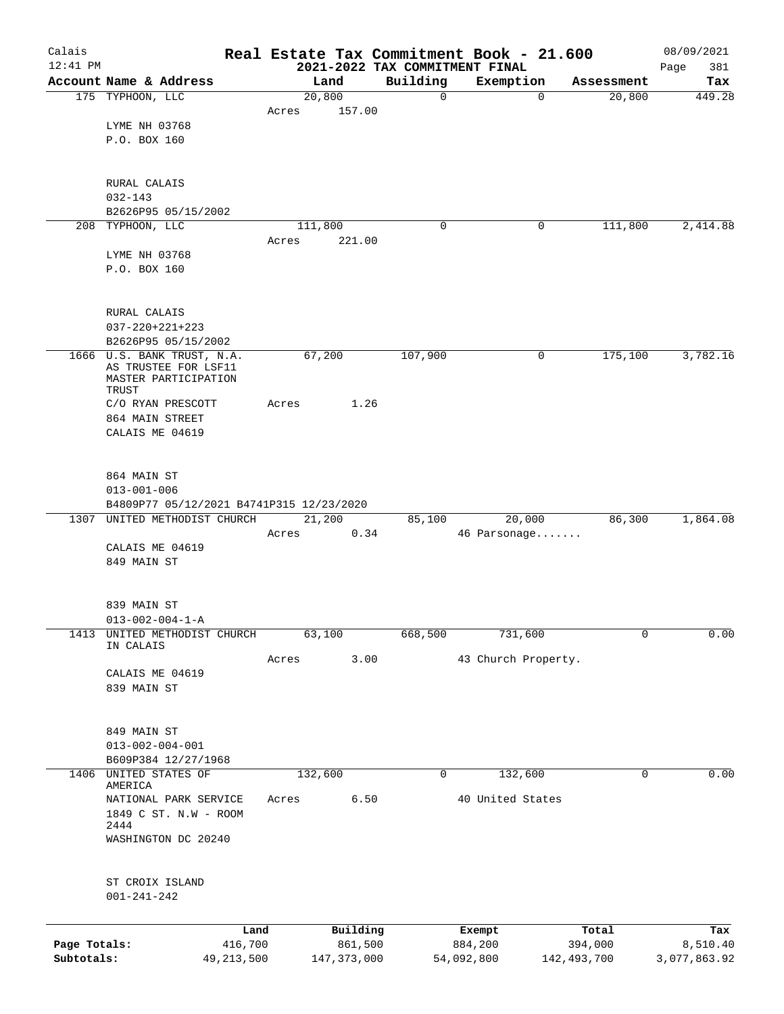| Calais       |                                                |       |                     |                                            | Real Estate Tax Commitment Book - 21.600 |                  | 08/09/2021         |
|--------------|------------------------------------------------|-------|---------------------|--------------------------------------------|------------------------------------------|------------------|--------------------|
| $12:41$ PM   | Account Name & Address                         |       | Land                | 2021-2022 TAX COMMITMENT FINAL<br>Building | Exemption                                | Assessment       | 381<br>Page<br>Tax |
|              | 175 TYPHOON, LLC                               |       | 20,800              | $\mathbf 0$                                | 0                                        | 20,800           | 449.28             |
|              |                                                | Acres | 157.00              |                                            |                                          |                  |                    |
|              | LYME NH 03768                                  |       |                     |                                            |                                          |                  |                    |
|              | P.O. BOX 160                                   |       |                     |                                            |                                          |                  |                    |
|              |                                                |       |                     |                                            |                                          |                  |                    |
|              | RURAL CALAIS                                   |       |                     |                                            |                                          |                  |                    |
|              | $032 - 143$                                    |       |                     |                                            |                                          |                  |                    |
|              | B2626P95 05/15/2002                            |       |                     |                                            |                                          |                  |                    |
|              | 208 TYPHOON, LLC                               |       | 111,800             | 0                                          | 0                                        | 111,800          | 2,414.88           |
|              | LYME NH 03768                                  | Acres | 221.00              |                                            |                                          |                  |                    |
|              | P.O. BOX 160                                   |       |                     |                                            |                                          |                  |                    |
|              |                                                |       |                     |                                            |                                          |                  |                    |
|              | RURAL CALAIS                                   |       |                     |                                            |                                          |                  |                    |
|              | $037 - 220 + 221 + 223$                        |       |                     |                                            |                                          |                  |                    |
|              | B2626P95 05/15/2002                            |       |                     |                                            |                                          |                  |                    |
|              | 1666 U.S. BANK TRUST, N.A.                     |       | 67,200              | 107,900                                    | 0                                        | 175,100          | 3,782.16           |
|              | AS TRUSTEE FOR LSF11                           |       |                     |                                            |                                          |                  |                    |
|              | MASTER PARTICIPATION<br>TRUST                  |       |                     |                                            |                                          |                  |                    |
|              | C/O RYAN PRESCOTT                              | Acres | 1.26                |                                            |                                          |                  |                    |
|              | 864 MAIN STREET                                |       |                     |                                            |                                          |                  |                    |
|              | CALAIS ME 04619                                |       |                     |                                            |                                          |                  |                    |
|              |                                                |       |                     |                                            |                                          |                  |                    |
|              | 864 MAIN ST                                    |       |                     |                                            |                                          |                  |                    |
|              | $013 - 001 - 006$                              |       |                     |                                            |                                          |                  |                    |
|              | B4809P77 05/12/2021 B4741P315 12/23/2020       |       |                     |                                            |                                          |                  |                    |
| 1307         | UNITED METHODIST CHURCH                        |       | 21,200              | 85,100                                     | 20,000                                   | 86,300           | 1,864.08           |
|              | CALAIS ME 04619                                | Acres | 0.34                |                                            | 46 Parsonage                             |                  |                    |
|              | 849 MAIN ST                                    |       |                     |                                            |                                          |                  |                    |
|              |                                                |       |                     |                                            |                                          |                  |                    |
|              | 839 MAIN ST                                    |       |                     |                                            |                                          |                  |                    |
|              | $013 - 002 - 004 - 1 - A$                      |       |                     |                                            |                                          |                  |                    |
| 1413         | UNITED METHODIST CHURCH                        |       | 63,100              | 668,500                                    | 731,600                                  | 0                | 0.00               |
|              | IN CALAIS                                      |       |                     |                                            |                                          |                  |                    |
|              |                                                | Acres | 3.00                |                                            | 43 Church Property.                      |                  |                    |
|              | CALAIS ME 04619<br>839 MAIN ST                 |       |                     |                                            |                                          |                  |                    |
|              |                                                |       |                     |                                            |                                          |                  |                    |
|              |                                                |       |                     |                                            |                                          |                  |                    |
|              | 849 MAIN ST                                    |       |                     |                                            |                                          |                  |                    |
|              | $013 - 002 - 004 - 001$<br>B609P384 12/27/1968 |       |                     |                                            |                                          |                  |                    |
| 1406         | UNITED STATES OF                               |       | 132,600             | $\mathbf 0$                                | 132,600                                  | 0                | 0.00               |
|              | AMERICA                                        |       |                     |                                            |                                          |                  |                    |
|              | NATIONAL PARK SERVICE                          | Acres | 6.50                |                                            | 40 United States                         |                  |                    |
|              | 1849 C ST. N.W - ROOM                          |       |                     |                                            |                                          |                  |                    |
|              | 2444<br>WASHINGTON DC 20240                    |       |                     |                                            |                                          |                  |                    |
|              |                                                |       |                     |                                            |                                          |                  |                    |
|              | ST CROIX ISLAND                                |       |                     |                                            |                                          |                  |                    |
|              | $001 - 241 - 242$                              |       |                     |                                            |                                          |                  |                    |
|              |                                                |       |                     |                                            |                                          |                  |                    |
| Page Totals: | 416,700                                        | Land  | Building<br>861,500 |                                            | Exempt<br>884,200                        | Total<br>394,000 | Tax<br>8,510.40    |
| Subtotals:   | 49,213,500                                     |       | 147, 373, 000       |                                            | 54,092,800                               | 142,493,700      | 3,077,863.92       |
|              |                                                |       |                     |                                            |                                          |                  |                    |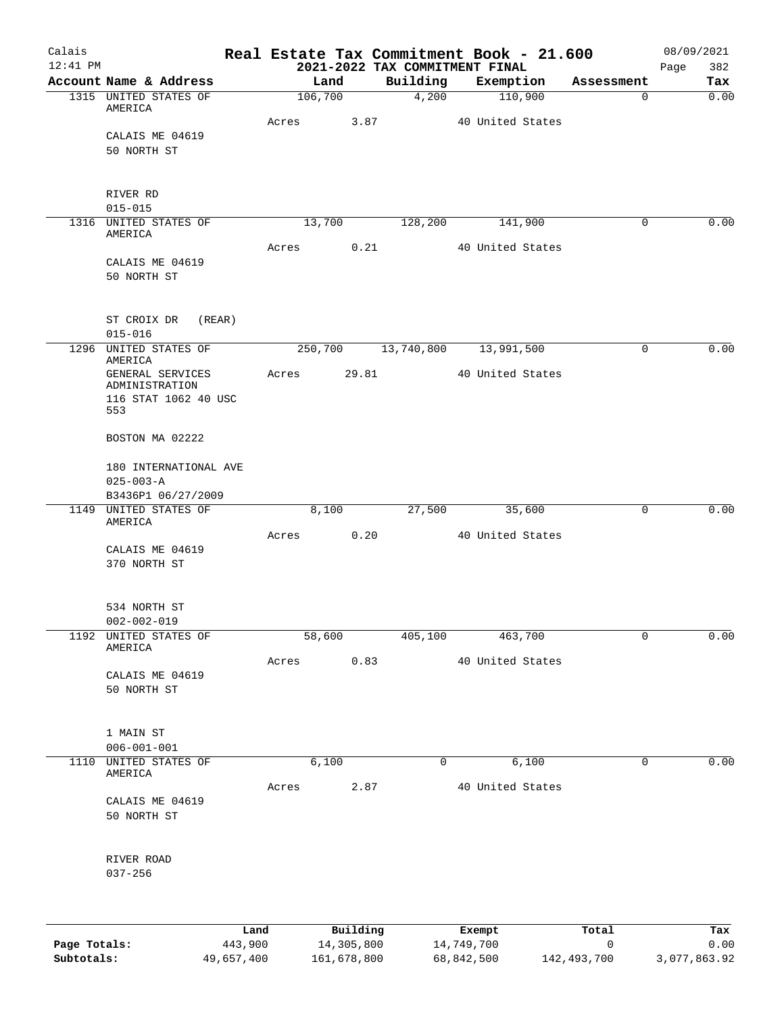| Account Name & Address<br>1315 UNITED STATES OF<br>AMERICA |                                                                                                                                                        | Land<br>106,700 |                | Building                                             |                                             | Exemption                                      | Assessment                                         | Tax                                                                                                        |
|------------------------------------------------------------|--------------------------------------------------------------------------------------------------------------------------------------------------------|-----------------|----------------|------------------------------------------------------|---------------------------------------------|------------------------------------------------|----------------------------------------------------|------------------------------------------------------------------------------------------------------------|
|                                                            |                                                                                                                                                        |                 |                |                                                      |                                             |                                                |                                                    |                                                                                                            |
|                                                            |                                                                                                                                                        |                 |                | 4,200                                                |                                             | 110,900                                        | 0                                                  | 0.00                                                                                                       |
| CALAIS ME 04619                                            | Acres                                                                                                                                                  |                 | 3.87           |                                                      |                                             | 40 United States                               |                                                    |                                                                                                            |
| 50 NORTH ST                                                |                                                                                                                                                        |                 |                |                                                      |                                             |                                                |                                                    |                                                                                                            |
| RIVER RD                                                   |                                                                                                                                                        |                 |                |                                                      |                                             |                                                |                                                    |                                                                                                            |
|                                                            |                                                                                                                                                        |                 |                |                                                      |                                             |                                                |                                                    | 0.00                                                                                                       |
| AMERICA                                                    |                                                                                                                                                        |                 |                |                                                      |                                             |                                                |                                                    |                                                                                                            |
| CALAIS ME 04619<br>50 NORTH ST                             |                                                                                                                                                        |                 |                |                                                      |                                             |                                                |                                                    |                                                                                                            |
| ST CROIX DR<br>(REAR)<br>$015 - 016$                       |                                                                                                                                                        |                 |                |                                                      |                                             |                                                |                                                    |                                                                                                            |
| 1296 UNITED STATES OF                                      |                                                                                                                                                        |                 |                |                                                      |                                             |                                                | 0                                                  | 0.00                                                                                                       |
| GENERAL SERVICES<br>ADMINISTRATION<br>116 STAT 1062 40 USC |                                                                                                                                                        |                 |                |                                                      |                                             |                                                |                                                    |                                                                                                            |
|                                                            |                                                                                                                                                        |                 |                |                                                      |                                             |                                                |                                                    |                                                                                                            |
|                                                            |                                                                                                                                                        |                 |                |                                                      |                                             |                                                |                                                    |                                                                                                            |
| 180 INTERNATIONAL AVE                                      |                                                                                                                                                        |                 |                |                                                      |                                             |                                                |                                                    |                                                                                                            |
| $025 - 003 - A$                                            |                                                                                                                                                        |                 |                |                                                      |                                             |                                                |                                                    |                                                                                                            |
|                                                            |                                                                                                                                                        |                 |                |                                                      |                                             |                                                |                                                    |                                                                                                            |
|                                                            |                                                                                                                                                        |                 |                |                                                      |                                             |                                                |                                                    | 0.00                                                                                                       |
|                                                            |                                                                                                                                                        |                 |                |                                                      |                                             |                                                |                                                    |                                                                                                            |
| CALAIS ME 04619<br>370 NORTH ST                            |                                                                                                                                                        |                 |                |                                                      |                                             |                                                |                                                    |                                                                                                            |
| 534 NORTH ST<br>$002 - 002 - 019$                          |                                                                                                                                                        |                 |                |                                                      |                                             |                                                |                                                    |                                                                                                            |
| 1192 UNITED STATES OF<br>AMERICA                           |                                                                                                                                                        |                 |                |                                                      |                                             | 463,700                                        | 0                                                  | 0.00                                                                                                       |
|                                                            |                                                                                                                                                        |                 |                |                                                      |                                             |                                                |                                                    |                                                                                                            |
| 50 NORTH ST                                                |                                                                                                                                                        |                 |                |                                                      |                                             |                                                |                                                    |                                                                                                            |
| 1 MAIN ST<br>$006 - 001 - 001$                             |                                                                                                                                                        |                 |                |                                                      |                                             |                                                |                                                    |                                                                                                            |
| 1110 UNITED STATES OF<br>AMERICA                           |                                                                                                                                                        |                 |                |                                                      |                                             | 6,100                                          | 0                                                  | 0.00                                                                                                       |
| CALAIS ME 04619<br>50 NORTH ST                             |                                                                                                                                                        |                 |                |                                                      |                                             |                                                |                                                    |                                                                                                            |
| RIVER ROAD<br>$037 - 256$                                  |                                                                                                                                                        |                 |                |                                                      |                                             |                                                |                                                    |                                                                                                            |
|                                                            | $015 - 015$<br>1316 UNITED STATES OF<br>AMERICA<br>553<br>BOSTON MA 02222<br>B3436P1 06/27/2009<br>1149 UNITED STATES OF<br>AMERICA<br>CALAIS ME 04619 |                 | Acres<br>Acres | 13,700<br>Acres<br>8,100<br>58,600<br>Acres<br>6,100 | 0.21<br>29.81<br>0.20<br>0.83<br>Acres 2.87 | 128,200<br>27,500<br>405,100<br>$\overline{0}$ | 141,900<br>250,700 13,740,800 13,991,500<br>35,600 | 0<br>40 United States<br>40 United States<br>0<br>40 United States<br>40 United States<br>40 United States |

|              | Land       | Building    | Exempt     | Total       | Tax          |
|--------------|------------|-------------|------------|-------------|--------------|
| Page Totals: | 443,900    | 14,305,800  | 14,749,700 |             | 0.00         |
| Subtotals:   | 49,657,400 | 161,678,800 | 68,842,500 | 142,493,700 | 3,077,863.92 |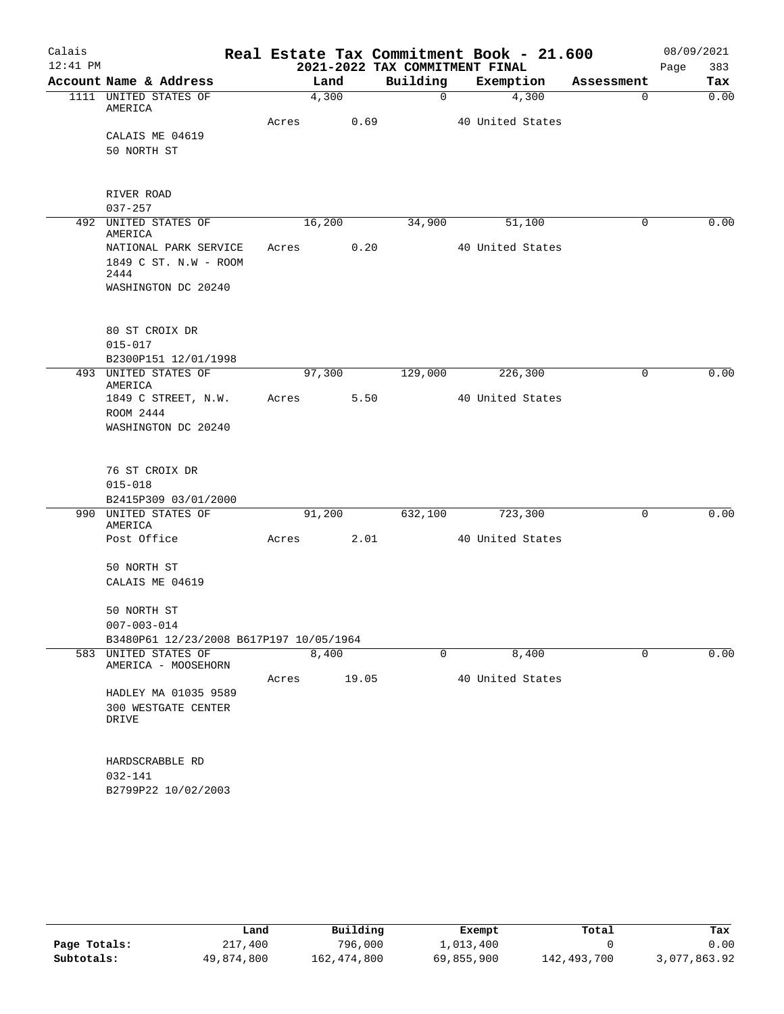| Calais     |                                         |       |        |                | Real Estate Tax Commitment Book - 21.600 |             | 08/09/2021  |
|------------|-----------------------------------------|-------|--------|----------------|------------------------------------------|-------------|-------------|
| $12:41$ PM |                                         |       |        |                | 2021-2022 TAX COMMITMENT FINAL           |             | 383<br>Page |
|            | Account Name & Address                  |       | Land   | Building       | Exemption                                | Assessment  | Tax         |
|            | 1111 UNITED STATES OF                   |       | 4,300  | $\overline{0}$ | $\frac{4,300}{ }$                        | $\mathbf 0$ | 0.00        |
|            | AMERICA                                 | Acres | 0.69   |                | 40 United States                         |             |             |
|            | CALAIS ME 04619                         |       |        |                |                                          |             |             |
|            | 50 NORTH ST                             |       |        |                |                                          |             |             |
|            |                                         |       |        |                |                                          |             |             |
|            |                                         |       |        |                |                                          |             |             |
|            | RIVER ROAD                              |       |        |                |                                          |             |             |
|            | $037 - 257$<br>492 UNITED STATES OF     |       | 16,200 | 34,900         | 51,100                                   | 0           | 0.00        |
|            | AMERICA                                 |       |        |                |                                          |             |             |
|            | NATIONAL PARK SERVICE                   | Acres | 0.20   |                | 40 United States                         |             |             |
|            | 1849 C ST. N.W - ROOM                   |       |        |                |                                          |             |             |
|            | 2444                                    |       |        |                |                                          |             |             |
|            | WASHINGTON DC 20240                     |       |        |                |                                          |             |             |
|            |                                         |       |        |                |                                          |             |             |
|            | 80 ST CROIX DR                          |       |        |                |                                          |             |             |
|            | $015 - 017$                             |       |        |                |                                          |             |             |
|            | B2300P151 12/01/1998                    |       |        |                |                                          |             |             |
|            | 493 UNITED STATES OF                    |       | 97,300 | 129,000        | 226,300                                  | 0           | 0.00        |
|            | AMERICA<br>1849 C STREET, N.W.          | Acres | 5.50   |                | 40 United States                         |             |             |
|            | ROOM 2444                               |       |        |                |                                          |             |             |
|            | WASHINGTON DC 20240                     |       |        |                |                                          |             |             |
|            |                                         |       |        |                |                                          |             |             |
|            |                                         |       |        |                |                                          |             |             |
|            | 76 ST CROIX DR                          |       |        |                |                                          |             |             |
|            | $015 - 018$                             |       |        |                |                                          |             |             |
|            | B2415P309 03/01/2000                    |       |        |                |                                          |             |             |
|            | 990 UNITED STATES OF<br>AMERICA         |       | 91,200 | 632,100        | 723,300                                  | 0           | 0.00        |
|            | Post Office                             | Acres | 2.01   |                | 40 United States                         |             |             |
|            |                                         |       |        |                |                                          |             |             |
|            | 50 NORTH ST                             |       |        |                |                                          |             |             |
|            | CALAIS ME 04619                         |       |        |                |                                          |             |             |
|            |                                         |       |        |                |                                          |             |             |
|            | 50 NORTH ST<br>$007 - 003 - 014$        |       |        |                |                                          |             |             |
|            | B3480P61 12/23/2008 B617P197 10/05/1964 |       |        |                |                                          |             |             |
|            | 583 UNITED STATES OF                    |       | 8,400  | 0              | 8,400                                    | 0           | 0.00        |
|            | AMERICA - MOOSEHORN                     |       |        |                |                                          |             |             |
|            |                                         | Acres | 19.05  |                | 40 United States                         |             |             |
|            | HADLEY MA 01035 9589                    |       |        |                |                                          |             |             |
|            | 300 WESTGATE CENTER<br><b>DRIVE</b>     |       |        |                |                                          |             |             |
|            |                                         |       |        |                |                                          |             |             |
|            |                                         |       |        |                |                                          |             |             |
|            | HARDSCRABBLE RD                         |       |        |                |                                          |             |             |
|            | 032-141                                 |       |        |                |                                          |             |             |
|            | B2799P22 10/02/2003                     |       |        |                |                                          |             |             |
|            |                                         |       |        |                |                                          |             |             |

|              | Land       | Building    | Exempt     | Total       | Tax          |
|--------------|------------|-------------|------------|-------------|--------------|
| Page Totals: | 217,400    | 796,000     | 1,013,400  |             | 0.00         |
| Subtotals:   | 49,874,800 | 162,474,800 | 69,855,900 | 142,493,700 | 3,077,863.92 |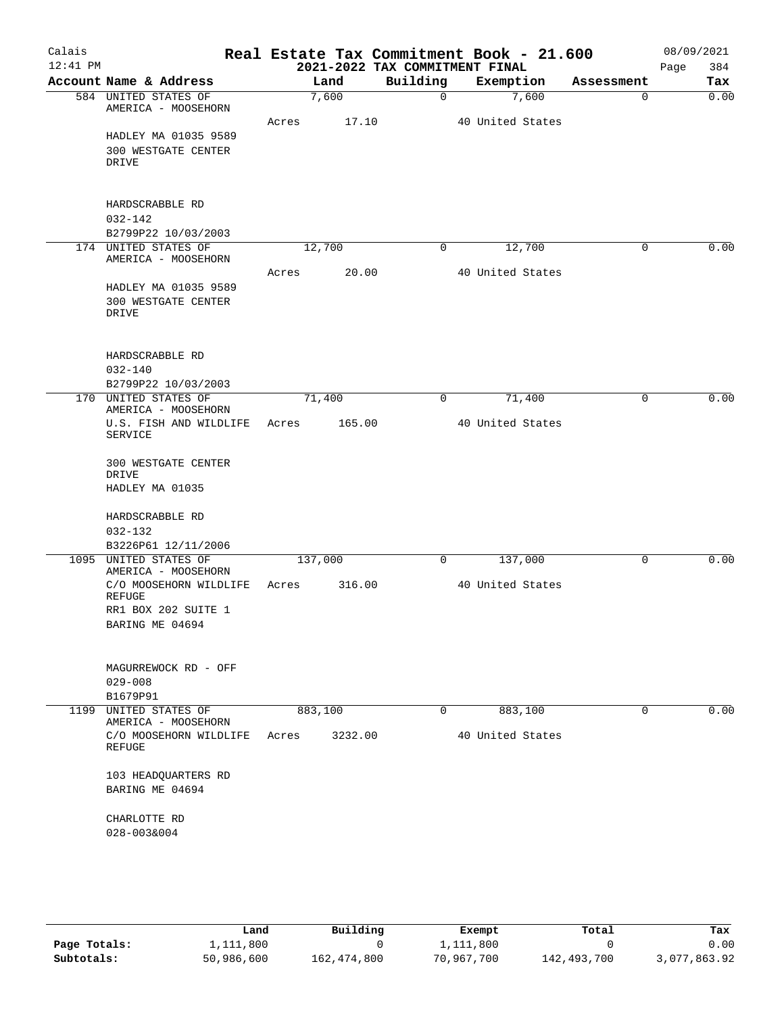| Calais     |                                               |       |         |         |                                | Real Estate Tax Commitment Book - 21.600 |             | 08/09/2021 |      |
|------------|-----------------------------------------------|-------|---------|---------|--------------------------------|------------------------------------------|-------------|------------|------|
| $12:41$ PM |                                               |       |         |         | 2021-2022 TAX COMMITMENT FINAL |                                          |             | Page       | 384  |
|            | Account Name & Address                        |       | Land    |         | Building                       | Exemption                                | Assessment  | Tax        |      |
|            | 584 UNITED STATES OF<br>AMERICA - MOOSEHORN   |       | 7,600   |         | $\mathbf 0$                    | 7,600                                    | $\mathbf 0$ | 0.00       |      |
|            |                                               | Acres |         | 17.10   |                                | 40 United States                         |             |            |      |
|            | HADLEY MA 01035 9589                          |       |         |         |                                |                                          |             |            |      |
|            | 300 WESTGATE CENTER<br>DRIVE                  |       |         |         |                                |                                          |             |            |      |
|            |                                               |       |         |         |                                |                                          |             |            |      |
|            | HARDSCRABBLE RD                               |       |         |         |                                |                                          |             |            |      |
|            | $032 - 142$                                   |       |         |         |                                |                                          |             |            |      |
|            | B2799P22 10/03/2003<br>174 UNITED STATES OF   |       | 12,700  |         | 0                              | 12,700                                   | $\mathbf 0$ |            | 0.00 |
|            | AMERICA - MOOSEHORN                           |       |         |         |                                |                                          |             |            |      |
|            |                                               | Acres |         | 20.00   |                                | 40 United States                         |             |            |      |
|            | HADLEY MA 01035 9589                          |       |         |         |                                |                                          |             |            |      |
|            | <b>300 WESTGATE CENTER</b>                    |       |         |         |                                |                                          |             |            |      |
|            | DRIVE                                         |       |         |         |                                |                                          |             |            |      |
|            | HARDSCRABBLE RD                               |       |         |         |                                |                                          |             |            |      |
|            | $032 - 140$                                   |       |         |         |                                |                                          |             |            |      |
|            | B2799P22 10/03/2003                           |       |         |         |                                |                                          |             |            |      |
|            | 170 UNITED STATES OF<br>AMERICA - MOOSEHORN   |       | 71,400  |         | 0                              | 71,400                                   | 0           |            | 0.00 |
|            | U.S. FISH AND WILDLIFE<br><b>SERVICE</b>      | Acres |         | 165.00  |                                | 40 United States                         |             |            |      |
|            | 300 WESTGATE CENTER<br>DRIVE                  |       |         |         |                                |                                          |             |            |      |
|            | HADLEY MA 01035                               |       |         |         |                                |                                          |             |            |      |
|            | HARDSCRABBLE RD                               |       |         |         |                                |                                          |             |            |      |
|            | $032 - 132$                                   |       |         |         |                                |                                          |             |            |      |
|            | B3226P61 12/11/2006                           |       |         |         |                                |                                          |             |            |      |
|            | 1095 UNITED STATES OF<br>AMERICA - MOOSEHORN  |       | 137,000 |         | 0                              | 137,000                                  | $\mathbf 0$ |            | 0.00 |
|            | C/O MOOSEHORN WILDLIFE                        | Acres |         | 316.00  |                                | 40 United States                         |             |            |      |
|            | <b>REFUGE</b>                                 |       |         |         |                                |                                          |             |            |      |
|            | RR1 BOX 202 SUITE 1                           |       |         |         |                                |                                          |             |            |      |
|            | BARING ME 04694                               |       |         |         |                                |                                          |             |            |      |
|            | MAGURREWOCK RD - OFF                          |       |         |         |                                |                                          |             |            |      |
|            | $029 - 008$                                   |       |         |         |                                |                                          |             |            |      |
|            | B1679P91                                      |       |         |         |                                |                                          |             |            |      |
| 1199       | UNITED STATES OF                              |       | 883,100 |         | 0                              | 883,100                                  | $\mathbf 0$ |            | 0.00 |
|            | AMERICA - MOOSEHORN<br>C/O MOOSEHORN WILDLIFE |       |         |         |                                | 40 United States                         |             |            |      |
|            | REFUGE                                        | Acres |         | 3232.00 |                                |                                          |             |            |      |
|            | 103 HEADQUARTERS RD                           |       |         |         |                                |                                          |             |            |      |
|            | BARING ME 04694                               |       |         |         |                                |                                          |             |            |      |
|            | CHARLOTTE RD                                  |       |         |         |                                |                                          |             |            |      |
|            | 028-003&004                                   |       |         |         |                                |                                          |             |            |      |
|            |                                               |       |         |         |                                |                                          |             |            |      |
|            |                                               |       |         |         |                                |                                          |             |            |      |

|              | Land       | Building    | Exempt     | Total       | Tax          |
|--------------|------------|-------------|------------|-------------|--------------|
| Page Totals: | 1,111,800  |             | 1,111,800  |             | 0.00         |
| Subtotals:   | 50,986,600 | 162,474,800 | 70,967,700 | 142,493,700 | 3,077,863.92 |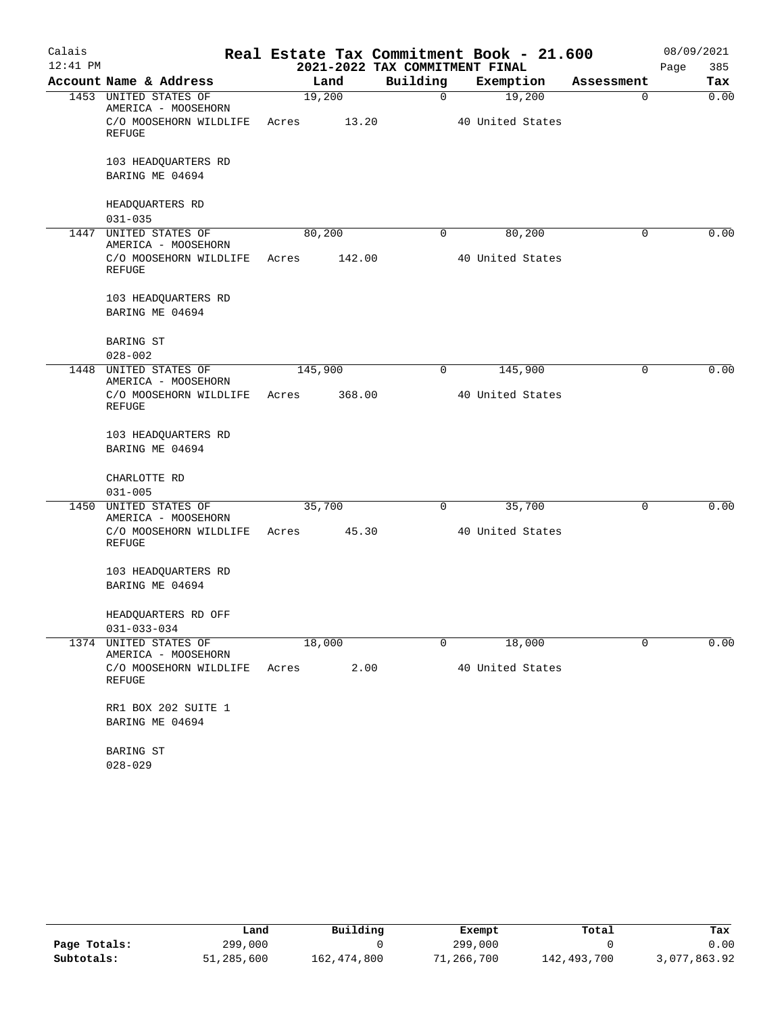| Calais     |                                              |       |         |                                | Real Estate Tax Commitment Book - 21.600 |            | 08/09/2021  |
|------------|----------------------------------------------|-------|---------|--------------------------------|------------------------------------------|------------|-------------|
| $12:41$ PM |                                              |       |         | 2021-2022 TAX COMMITMENT FINAL |                                          |            | 385<br>Page |
|            | Account Name & Address                       |       | Land    | Building                       | Exemption                                | Assessment | Tax         |
|            | 1453 UNITED STATES OF<br>AMERICA - MOOSEHORN |       | 19,200  | $\overline{0}$                 | 19,200                                   | 0          | 0.00        |
|            | C/O MOOSEHORN WILDLIFE<br>REFUGE             | Acres | 13.20   |                                | 40 United States                         |            |             |
|            | 103 HEADQUARTERS RD<br>BARING ME 04694       |       |         |                                |                                          |            |             |
|            | HEADQUARTERS RD<br>$031 - 035$               |       |         |                                |                                          |            |             |
| 1447       | UNITED STATES OF<br>AMERICA - MOOSEHORN      |       | 80,200  | 0                              | 80,200                                   | 0          | 0.00        |
|            | C/O MOOSEHORN WILDLIFE<br>REFUGE             | Acres | 142.00  |                                | 40 United States                         |            |             |
|            | 103 HEADQUARTERS RD<br>BARING ME 04694       |       |         |                                |                                          |            |             |
|            | BARING ST<br>$028 - 002$                     |       |         |                                |                                          |            |             |
| 1448       | UNITED STATES OF<br>AMERICA - MOOSEHORN      |       | 145,900 | 0                              | 145,900                                  | 0          | 0.00        |
|            | C/O MOOSEHORN WILDLIFE<br><b>REFUGE</b>      | Acres | 368.00  |                                | 40 United States                         |            |             |
|            | 103 HEADQUARTERS RD<br>BARING ME 04694       |       |         |                                |                                          |            |             |
|            | CHARLOTTE RD<br>$031 - 005$                  |       |         |                                |                                          |            |             |
|            | 1450 UNITED STATES OF<br>AMERICA - MOOSEHORN |       | 35,700  | 0                              | 35,700                                   | 0          | 0.00        |
|            | C/O MOOSEHORN WILDLIFE<br><b>REFUGE</b>      | Acres | 45.30   |                                | 40 United States                         |            |             |
|            | 103 HEADQUARTERS RD<br>BARING ME 04694       |       |         |                                |                                          |            |             |
|            | HEADQUARTERS RD OFF<br>$031 - 033 - 034$     |       |         |                                |                                          |            |             |
| 1374       | UNITED STATES OF<br>AMERICA - MOOSEHORN      |       | 18,000  | 0                              | 18,000                                   | $\Omega$   | 0.00        |
|            | C/O MOOSEHORN WILDLIFE<br><b>REFUGE</b>      | Acres | 2.00    |                                | 40 United States                         |            |             |
|            | RR1 BOX 202 SUITE 1                          |       |         |                                |                                          |            |             |
|            | BARING ME 04694                              |       |         |                                |                                          |            |             |
|            | BARING ST                                    |       |         |                                |                                          |            |             |
|            | $028 - 029$                                  |       |         |                                |                                          |            |             |

|              | Land       | Building    | Exempt     | Total       | Tax          |
|--------------|------------|-------------|------------|-------------|--------------|
| Page Totals: | 299,000    |             | 299,000    |             | 0.00         |
| Subtotals:   | 51,285,600 | 162,474,800 | 71,266,700 | 142,493,700 | 3,077,863.92 |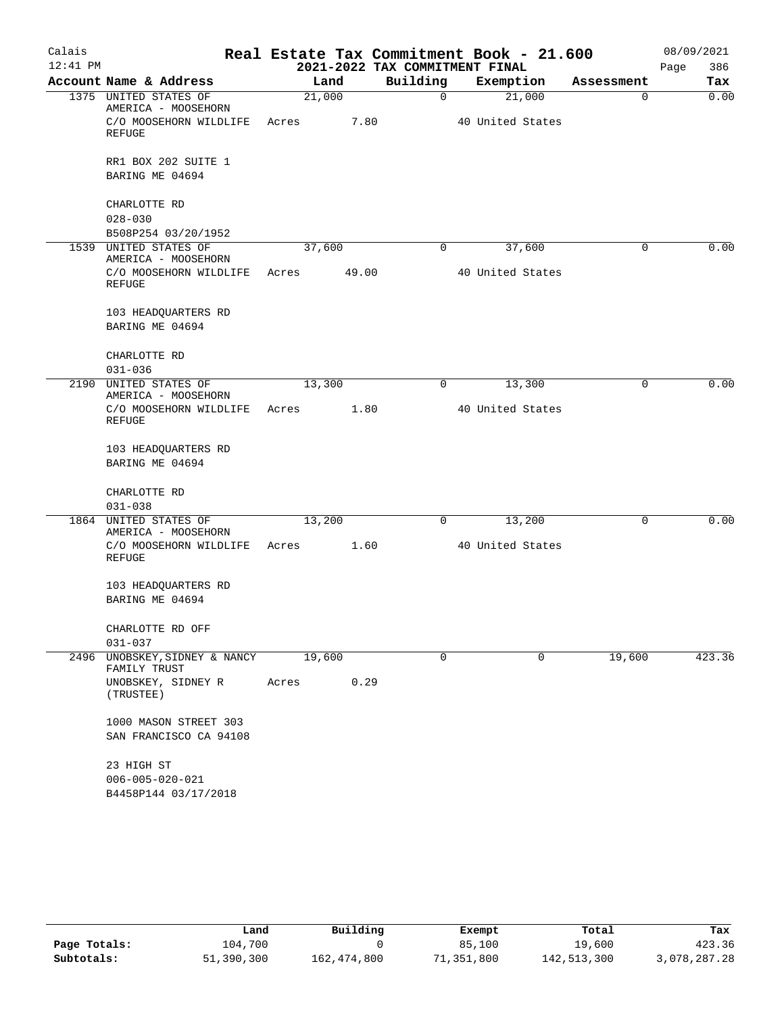| Calais     |                                                               |       |        |                                | Real Estate Tax Commitment Book - 21.600 |            | 08/09/2021  |
|------------|---------------------------------------------------------------|-------|--------|--------------------------------|------------------------------------------|------------|-------------|
| $12:41$ PM |                                                               |       |        | 2021-2022 TAX COMMITMENT FINAL |                                          |            | 386<br>Page |
|            | Account Name & Address                                        |       | Land   | Building                       | Exemption                                | Assessment | Tax         |
|            | 1375 UNITED STATES OF<br>AMERICA - MOOSEHORN                  |       | 21,000 | 0                              | 21,000                                   | 0          | 0.00        |
|            | C/O MOOSEHORN WILDLIFE<br>REFUGE                              | Acres | 7.80   |                                | 40 United States                         |            |             |
|            | RR1 BOX 202 SUITE 1                                           |       |        |                                |                                          |            |             |
|            | BARING ME 04694                                               |       |        |                                |                                          |            |             |
|            | CHARLOTTE RD<br>$028 - 030$                                   |       |        |                                |                                          |            |             |
|            | B508P254 03/20/1952                                           |       |        |                                |                                          |            |             |
|            | 1539 UNITED STATES OF<br>AMERICA - MOOSEHORN                  |       | 37,600 | 0                              | 37,600                                   | 0          | 0.00        |
|            | C/O MOOSEHORN WILDLIFE<br>REFUGE                              | Acres | 49.00  |                                | 40 United States                         |            |             |
|            | 103 HEADQUARTERS RD<br>BARING ME 04694                        |       |        |                                |                                          |            |             |
|            | CHARLOTTE RD<br>$031 - 036$                                   |       |        |                                |                                          |            |             |
|            | 2190 UNITED STATES OF                                         |       | 13,300 | 0                              | 13,300                                   | 0          | 0.00        |
|            | AMERICA - MOOSEHORN                                           |       |        |                                |                                          |            |             |
|            | C/O MOOSEHORN WILDLIFE<br>REFUGE                              | Acres | 1.80   |                                | 40 United States                         |            |             |
|            | 103 HEADQUARTERS RD<br>BARING ME 04694                        |       |        |                                |                                          |            |             |
|            | CHARLOTTE RD                                                  |       |        |                                |                                          |            |             |
|            | $031 - 038$                                                   |       |        |                                |                                          |            |             |
| 1864       | UNITED STATES OF<br>AMERICA - MOOSEHORN                       |       | 13,200 | 0                              | 13,200                                   | 0          | 0.00        |
|            | C/O MOOSEHORN WILDLIFE<br>REFUGE                              | Acres | 1.60   |                                | 40 United States                         |            |             |
|            | 103 HEADQUARTERS RD                                           |       |        |                                |                                          |            |             |
|            | BARING ME 04694                                               |       |        |                                |                                          |            |             |
|            | CHARLOTTE RD OFF                                              |       |        |                                |                                          |            |             |
|            | 031-037                                                       |       |        |                                |                                          |            |             |
| 2496       | UNOBSKEY, SIDNEY & NANCY<br>FAMILY TRUST                      |       | 19,600 | $\mathbf 0$                    | 0                                        | 19,600     | 423.36      |
|            | UNOBSKEY, SIDNEY R<br>(TRUSTEE)                               | Acres | 0.29   |                                |                                          |            |             |
|            | 1000 MASON STREET 303<br>SAN FRANCISCO CA 94108               |       |        |                                |                                          |            |             |
|            | 23 HIGH ST<br>$006 - 005 - 020 - 021$<br>B4458P144 03/17/2018 |       |        |                                |                                          |            |             |

|              | Land       | Building    | Exempt     | Total       | Tax          |
|--------------|------------|-------------|------------|-------------|--------------|
| Page Totals: | 104,700    |             | 85,100     | 19,600      | 423.36       |
| Subtotals:   | 51,390,300 | 162,474,800 | 71,351,800 | 142,513,300 | 3,078,287.28 |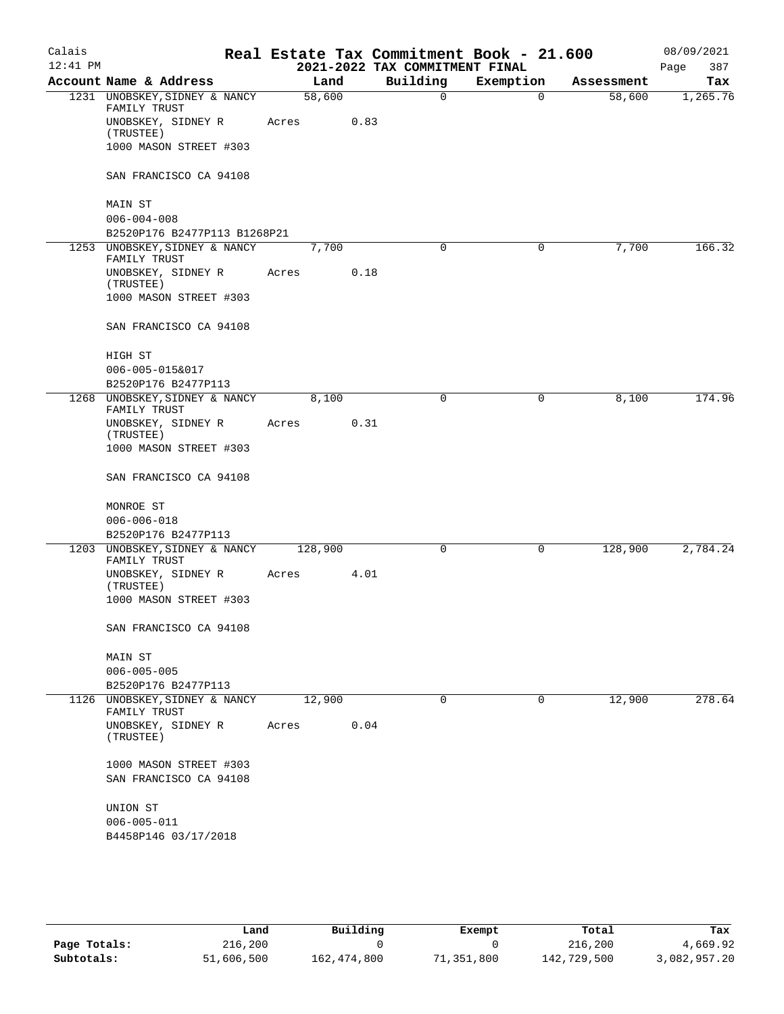| Calais<br>$12:41$ PM |                                                  |         |      | Real Estate Tax Commitment Book - 21.600<br>2021-2022 TAX COMMITMENT FINAL |             |            | 08/09/2021         |
|----------------------|--------------------------------------------------|---------|------|----------------------------------------------------------------------------|-------------|------------|--------------------|
|                      | Account Name & Address                           | Land    |      | Building                                                                   | Exemption   | Assessment | Page<br>387<br>Tax |
|                      | 1231 UNOBSKEY, SIDNEY & NANCY                    | 58,600  |      | $\mathsf{O}$                                                               | $\mathbf 0$ | 58,600     | 1,265.76           |
|                      | FAMILY TRUST<br>UNOBSKEY, SIDNEY R<br>(TRUSTEE)  | Acres   | 0.83 |                                                                            |             |            |                    |
|                      | 1000 MASON STREET #303                           |         |      |                                                                            |             |            |                    |
|                      | SAN FRANCISCO CA 94108                           |         |      |                                                                            |             |            |                    |
|                      | MAIN ST                                          |         |      |                                                                            |             |            |                    |
|                      | $006 - 004 - 008$                                |         |      |                                                                            |             |            |                    |
|                      | B2520P176 B2477P113 B1268P21                     |         |      |                                                                            |             |            |                    |
|                      | 1253 UNOBSKEY, SIDNEY & NANCY<br>FAMILY TRUST    | 7,700   |      | 0                                                                          | $\mathbf 0$ | 7,700      | 166.32             |
|                      | UNOBSKEY, SIDNEY R<br>(TRUSTEE)                  | Acres   | 0.18 |                                                                            |             |            |                    |
|                      | 1000 MASON STREET #303                           |         |      |                                                                            |             |            |                    |
|                      | SAN FRANCISCO CA 94108                           |         |      |                                                                            |             |            |                    |
|                      | HIGH ST<br>006-005-015&017                       |         |      |                                                                            |             |            |                    |
|                      | B2520P176 B2477P113                              |         |      |                                                                            |             |            |                    |
|                      | 1268 UNOBSKEY, SIDNEY & NANCY                    | 8,100   |      | 0                                                                          | 0           | 8,100      | 174.96             |
|                      | FAMILY TRUST                                     |         | 0.31 |                                                                            |             |            |                    |
|                      | UNOBSKEY, SIDNEY R<br>(TRUSTEE)                  | Acres   |      |                                                                            |             |            |                    |
|                      | 1000 MASON STREET #303                           |         |      |                                                                            |             |            |                    |
|                      | SAN FRANCISCO CA 94108                           |         |      |                                                                            |             |            |                    |
|                      | MONROE ST                                        |         |      |                                                                            |             |            |                    |
|                      | $006 - 006 - 018$                                |         |      |                                                                            |             |            |                    |
|                      | B2520P176 B2477P113                              |         |      |                                                                            |             |            |                    |
|                      | 1203 UNOBSKEY, SIDNEY & NANCY<br>FAMILY TRUST    | 128,900 |      | 0                                                                          | 0           | 128,900    | 2,784.24           |
|                      | UNOBSKEY, SIDNEY R<br>(TRUSTEE)                  | Acres   | 4.01 |                                                                            |             |            |                    |
|                      | 1000 MASON STREET #303                           |         |      |                                                                            |             |            |                    |
|                      | SAN FRANCISCO CA 94108                           |         |      |                                                                            |             |            |                    |
|                      | MAIN ST                                          |         |      |                                                                            |             |            |                    |
|                      | $006 - 005 - 005$                                |         |      |                                                                            |             |            |                    |
|                      | B2520P176 B2477P113                              |         |      | 0                                                                          | 0           |            | 278.64             |
|                      | 1126 UNOBSKEY, SIDNEY & NANCY<br>FAMILY TRUST    | 12,900  |      |                                                                            |             | 12,900     |                    |
|                      | UNOBSKEY, SIDNEY R<br>(TRUSTEE)                  | Acres   | 0.04 |                                                                            |             |            |                    |
|                      | 1000 MASON STREET #303<br>SAN FRANCISCO CA 94108 |         |      |                                                                            |             |            |                    |
|                      | UNION ST                                         |         |      |                                                                            |             |            |                    |
|                      | $006 - 005 - 011$                                |         |      |                                                                            |             |            |                    |
|                      | B4458P146 03/17/2018                             |         |      |                                                                            |             |            |                    |
|                      |                                                  |         |      |                                                                            |             |            |                    |

|              | Land       | Building    | Exempt    | Total       | Tax          |
|--------------|------------|-------------|-----------|-------------|--------------|
| Page Totals: | 216,200    |             |           | 216,200     | 4,669.92     |
| Subtotals:   | 51,606,500 | 162,474,800 | 1,351,800 | 142,729,500 | 3,082,957.20 |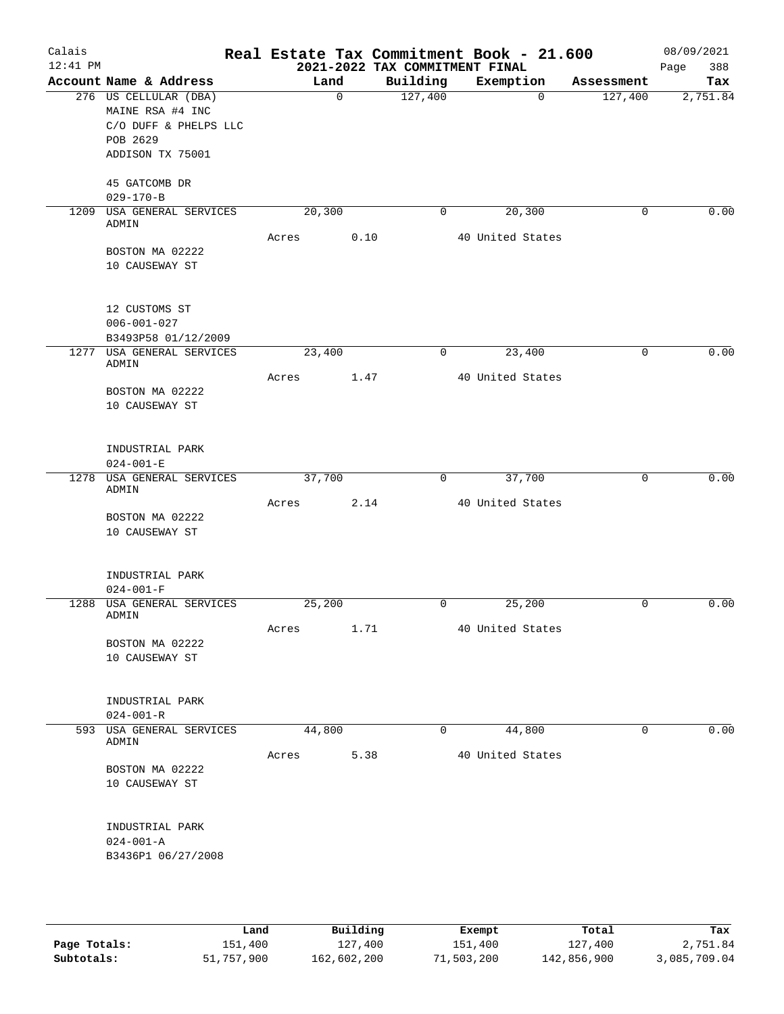| Calais<br>12:41 PM |                                   |        |             | 2021-2022 TAX COMMITMENT FINAL | Real Estate Tax Commitment Book - 21.600 |            | 08/09/2021<br>388<br>Page |
|--------------------|-----------------------------------|--------|-------------|--------------------------------|------------------------------------------|------------|---------------------------|
|                    | Account Name & Address            |        | Land        | Building                       | Exemption                                | Assessment | Tax                       |
|                    | 276 US CELLULAR (DBA)             |        | $\mathbf 0$ | 127,400                        | 0                                        | 127,400    | 2,751.84                  |
|                    | MAINE RSA #4 INC                  |        |             |                                |                                          |            |                           |
|                    | C/O DUFF & PHELPS LLC             |        |             |                                |                                          |            |                           |
|                    | POB 2629                          |        |             |                                |                                          |            |                           |
|                    | ADDISON TX 75001                  |        |             |                                |                                          |            |                           |
|                    |                                   |        |             |                                |                                          |            |                           |
|                    | 45 GATCOMB DR                     |        |             |                                |                                          |            |                           |
|                    | $029 - 170 - B$                   |        |             |                                |                                          |            |                           |
| 1209               | USA GENERAL SERVICES              | 20,300 |             | 0                              | 20,300                                   | 0          | 0.00                      |
|                    | ADMIN                             | Acres  | 0.10        |                                | 40 United States                         |            |                           |
|                    | BOSTON MA 02222                   |        |             |                                |                                          |            |                           |
|                    | 10 CAUSEWAY ST                    |        |             |                                |                                          |            |                           |
|                    |                                   |        |             |                                |                                          |            |                           |
|                    |                                   |        |             |                                |                                          |            |                           |
|                    | 12 CUSTOMS ST                     |        |             |                                |                                          |            |                           |
|                    | $006 - 001 - 027$                 |        |             |                                |                                          |            |                           |
|                    | B3493P58 01/12/2009               |        |             |                                |                                          |            |                           |
|                    | 1277 USA GENERAL SERVICES         | 23,400 |             | 0                              | 23,400                                   | 0          | 0.00                      |
|                    | ADMIN                             |        |             |                                |                                          |            |                           |
|                    |                                   | Acres  | 1.47        |                                | 40 United States                         |            |                           |
|                    | BOSTON MA 02222                   |        |             |                                |                                          |            |                           |
|                    | 10 CAUSEWAY ST                    |        |             |                                |                                          |            |                           |
|                    |                                   |        |             |                                |                                          |            |                           |
|                    |                                   |        |             |                                |                                          |            |                           |
|                    | INDUSTRIAL PARK                   |        |             |                                |                                          |            |                           |
|                    | $024 - 001 - E$                   |        |             |                                |                                          |            |                           |
| 1278               | USA GENERAL SERVICES<br>ADMIN     | 37,700 |             | 0                              | 37,700                                   | 0          | 0.00                      |
|                    |                                   | Acres  | 2.14        |                                | 40 United States                         |            |                           |
|                    | BOSTON MA 02222                   |        |             |                                |                                          |            |                           |
|                    | 10 CAUSEWAY ST                    |        |             |                                |                                          |            |                           |
|                    |                                   |        |             |                                |                                          |            |                           |
|                    |                                   |        |             |                                |                                          |            |                           |
|                    | INDUSTRIAL PARK                   |        |             |                                |                                          |            |                           |
|                    | $024 - 001 - F$                   |        |             |                                |                                          |            |                           |
| 1288               | USA GENERAL SERVICES              | 25,200 |             | 0                              | 25,200                                   | 0          | 0.00                      |
|                    | ADMIN                             |        |             |                                |                                          |            |                           |
|                    |                                   | Acres  | 1.71        |                                | 40 United States                         |            |                           |
|                    | BOSTON MA 02222<br>10 CAUSEWAY ST |        |             |                                |                                          |            |                           |
|                    |                                   |        |             |                                |                                          |            |                           |
|                    |                                   |        |             |                                |                                          |            |                           |
|                    | INDUSTRIAL PARK                   |        |             |                                |                                          |            |                           |
|                    | $024 - 001 - R$                   |        |             |                                |                                          |            |                           |
|                    | 593 USA GENERAL SERVICES          | 44,800 |             | 0                              | 44,800                                   | 0          | 0.00                      |
|                    | ADMIN                             |        |             |                                |                                          |            |                           |
|                    |                                   | Acres  | 5.38        |                                | 40 United States                         |            |                           |
|                    | BOSTON MA 02222                   |        |             |                                |                                          |            |                           |
|                    | 10 CAUSEWAY ST                    |        |             |                                |                                          |            |                           |
|                    |                                   |        |             |                                |                                          |            |                           |
|                    |                                   |        |             |                                |                                          |            |                           |
|                    | INDUSTRIAL PARK                   |        |             |                                |                                          |            |                           |
|                    | $024 - 001 - A$                   |        |             |                                |                                          |            |                           |
|                    | B3436P1 06/27/2008                |        |             |                                |                                          |            |                           |
|                    |                                   |        |             |                                |                                          |            |                           |
|                    |                                   |        |             |                                |                                          |            |                           |
|                    |                                   |        |             |                                |                                          |            |                           |

|              | Land       | Building    | Exempt     | Total       | Tax          |
|--------------|------------|-------------|------------|-------------|--------------|
| Page Totals: | 151,400    | 127,400     | 151,400    | 127,400     | 2,751.84     |
| Subtotals:   | 51,757,900 | 162,602,200 | 71,503,200 | 142,856,900 | 3,085,709.04 |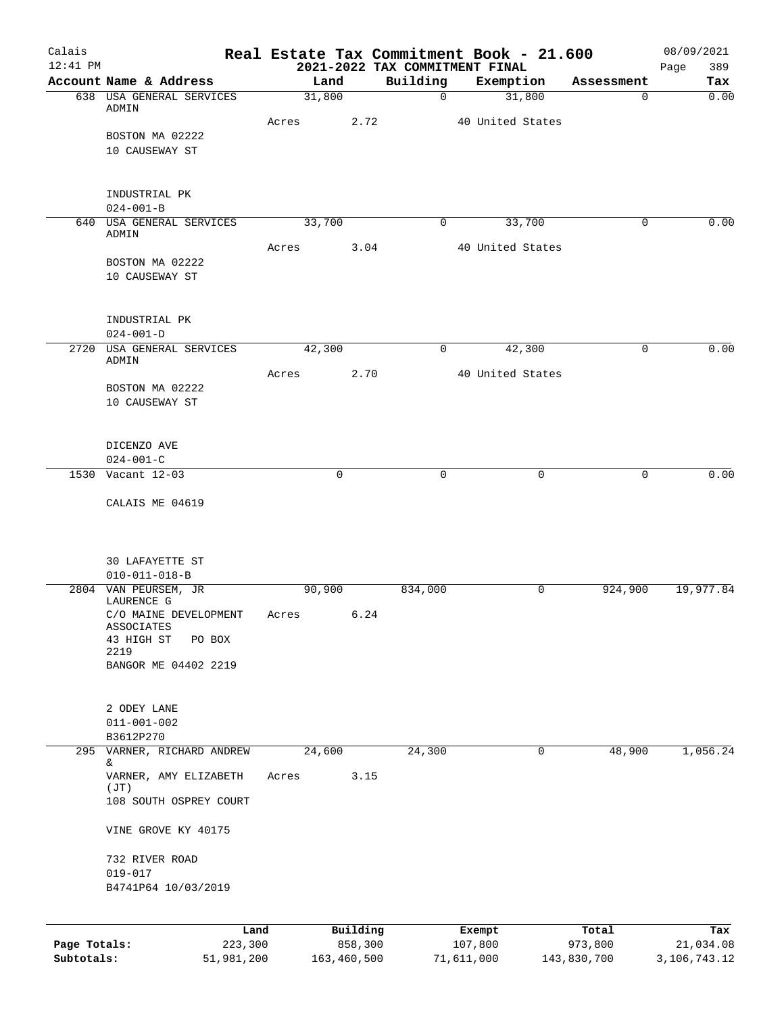| Calais<br>$12:41$ PM |                                              |       |        |             | Real Estate Tax Commitment Book - 21.600<br>2021-2022 TAX COMMITMENT FINAL |                  |             |             | 08/09/2021<br>Page<br>389 |
|----------------------|----------------------------------------------|-------|--------|-------------|----------------------------------------------------------------------------|------------------|-------------|-------------|---------------------------|
|                      | Account Name & Address                       |       | Land   |             | Building                                                                   | Exemption        |             | Assessment  | Tax                       |
|                      | 638 USA GENERAL SERVICES                     |       | 31,800 |             | $\mathbf 0$                                                                |                  | 31,800      | 0           | 0.00                      |
|                      | ADMIN                                        | Acres |        | 2.72        |                                                                            | 40 United States |             |             |                           |
|                      | BOSTON MA 02222                              |       |        |             |                                                                            |                  |             |             |                           |
|                      | 10 CAUSEWAY ST                               |       |        |             |                                                                            |                  |             |             |                           |
|                      |                                              |       |        |             |                                                                            |                  |             |             |                           |
|                      |                                              |       |        |             |                                                                            |                  |             |             |                           |
|                      | INDUSTRIAL PK                                |       |        |             |                                                                            |                  |             |             |                           |
|                      | $024 - 001 - B$                              |       |        |             |                                                                            |                  |             |             |                           |
|                      | 640 USA GENERAL SERVICES<br>ADMIN            |       | 33,700 |             | $\mathbf 0$                                                                |                  | 33,700      | $\mathbf 0$ | 0.00                      |
|                      |                                              | Acres |        | 3.04        |                                                                            | 40 United States |             |             |                           |
|                      | BOSTON MA 02222                              |       |        |             |                                                                            |                  |             |             |                           |
|                      | 10 CAUSEWAY ST                               |       |        |             |                                                                            |                  |             |             |                           |
|                      |                                              |       |        |             |                                                                            |                  |             |             |                           |
|                      |                                              |       |        |             |                                                                            |                  |             |             |                           |
|                      | INDUSTRIAL PK                                |       |        |             |                                                                            |                  |             |             |                           |
|                      | $024 - 001 - D$<br>2720 USA GENERAL SERVICES |       | 42,300 |             | 0                                                                          |                  | 42,300      | $\mathbf 0$ | 0.00                      |
|                      | ADMIN                                        |       |        |             |                                                                            |                  |             |             |                           |
|                      |                                              | Acres |        | 2.70        |                                                                            | 40 United States |             |             |                           |
|                      | BOSTON MA 02222                              |       |        |             |                                                                            |                  |             |             |                           |
|                      | 10 CAUSEWAY ST                               |       |        |             |                                                                            |                  |             |             |                           |
|                      |                                              |       |        |             |                                                                            |                  |             |             |                           |
|                      | DICENZO AVE                                  |       |        |             |                                                                            |                  |             |             |                           |
|                      | $024 - 001 - C$                              |       |        |             |                                                                            |                  |             |             |                           |
|                      | 1530 Vacant 12-03                            |       |        | $\mathbf 0$ | $\mathbf 0$                                                                |                  | $\mathbf 0$ | 0           | 0.00                      |
|                      |                                              |       |        |             |                                                                            |                  |             |             |                           |
|                      | CALAIS ME 04619                              |       |        |             |                                                                            |                  |             |             |                           |
|                      |                                              |       |        |             |                                                                            |                  |             |             |                           |
|                      |                                              |       |        |             |                                                                            |                  |             |             |                           |
|                      | 30 LAFAYETTE ST                              |       |        |             |                                                                            |                  |             |             |                           |
|                      | $010 - 011 - 018 - B$                        |       |        |             |                                                                            |                  |             |             |                           |
|                      | 2804 VAN PEURSEM, JR                         |       | 90,900 |             | 834,000                                                                    |                  | 0           | 924,900     | 19,977.84                 |
|                      | LAURENCE G                                   |       |        |             |                                                                            |                  |             |             |                           |
|                      | C/O MAINE DEVELOPMENT<br>ASSOCIATES          | Acres |        | 6.24        |                                                                            |                  |             |             |                           |
|                      | 43 HIGH ST<br>PO BOX                         |       |        |             |                                                                            |                  |             |             |                           |
|                      | 2219                                         |       |        |             |                                                                            |                  |             |             |                           |
|                      | BANGOR ME 04402 2219                         |       |        |             |                                                                            |                  |             |             |                           |
|                      |                                              |       |        |             |                                                                            |                  |             |             |                           |
|                      | 2 ODEY LANE                                  |       |        |             |                                                                            |                  |             |             |                           |
|                      | $011 - 001 - 002$                            |       |        |             |                                                                            |                  |             |             |                           |
|                      | B3612P270                                    |       |        |             |                                                                            |                  |             |             |                           |
| 295                  | VARNER, RICHARD ANDREW                       |       | 24,600 |             | 24,300                                                                     |                  | 0           | 48,900      | 1,056.24                  |
|                      | &                                            |       |        |             |                                                                            |                  |             |             |                           |
|                      | VARNER, AMY ELIZABETH<br>(JT)                | Acres |        | 3.15        |                                                                            |                  |             |             |                           |
|                      | 108 SOUTH OSPREY COURT                       |       |        |             |                                                                            |                  |             |             |                           |
|                      |                                              |       |        |             |                                                                            |                  |             |             |                           |
|                      | VINE GROVE KY 40175                          |       |        |             |                                                                            |                  |             |             |                           |
|                      |                                              |       |        |             |                                                                            |                  |             |             |                           |
|                      | 732 RIVER ROAD                               |       |        |             |                                                                            |                  |             |             |                           |
|                      | $019 - 017$<br>B4741P64 10/03/2019           |       |        |             |                                                                            |                  |             |             |                           |
|                      |                                              |       |        |             |                                                                            |                  |             |             |                           |
|                      |                                              |       |        |             |                                                                            |                  |             |             |                           |
|                      |                                              | Land  |        | Building    |                                                                            | Exempt           |             | Total       | Tax                       |
| Page Totals:         | 223,300                                      |       |        | 858,300     |                                                                            | 107,800          |             | 973,800     | 21,034.08                 |

**Subtotals:** 51,981,200 163,460,500 71,611,000 143,830,700 3,106,743.12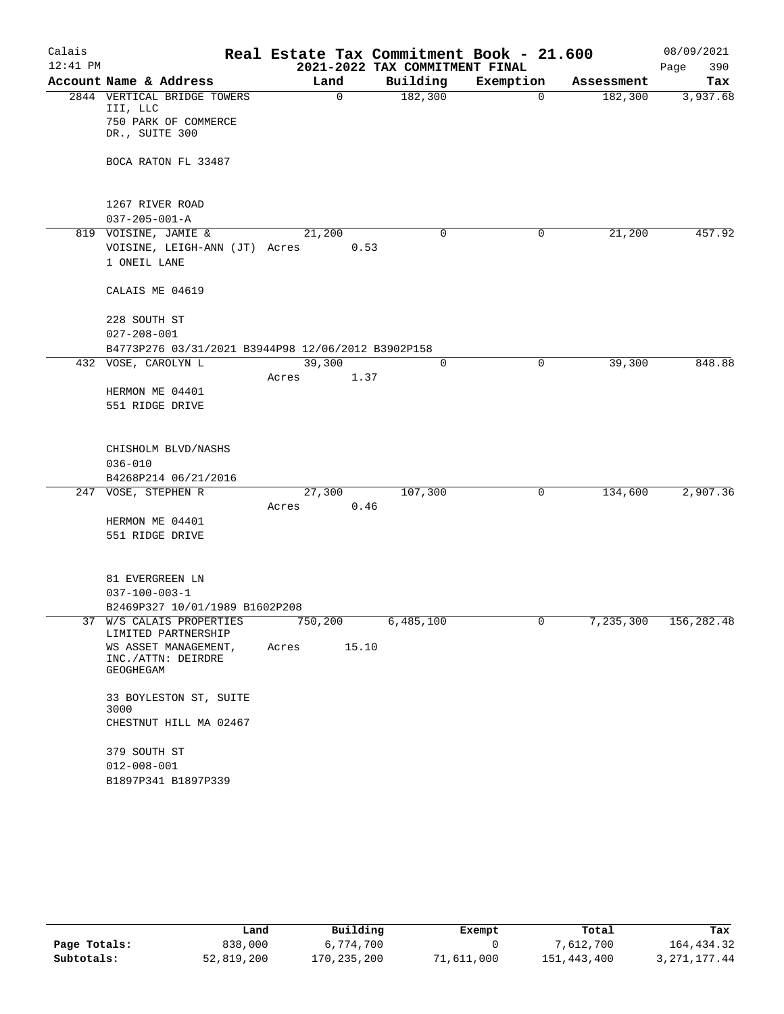| Calais     |                                                    | Real Estate Tax Commitment Book - 21.600 |                                            |             |            | 08/09/2021               |
|------------|----------------------------------------------------|------------------------------------------|--------------------------------------------|-------------|------------|--------------------------|
| $12:41$ PM | Account Name & Address                             | Land                                     | 2021-2022 TAX COMMITMENT FINAL<br>Building | Exemption   | Assessment | 390<br>Page<br>Tax       |
|            | 2844 VERTICAL BRIDGE TOWERS                        | $\mathbf 0$                              | 182,300                                    | $\mathbf 0$ | 182,300    | 3,937.68                 |
|            | III, LLC                                           |                                          |                                            |             |            |                          |
|            | 750 PARK OF COMMERCE                               |                                          |                                            |             |            |                          |
|            | DR., SUITE 300                                     |                                          |                                            |             |            |                          |
|            | BOCA RATON FL 33487                                |                                          |                                            |             |            |                          |
|            |                                                    |                                          |                                            |             |            |                          |
|            |                                                    |                                          |                                            |             |            |                          |
|            | 1267 RIVER ROAD                                    |                                          |                                            |             |            |                          |
|            | $037 - 205 - 001 - A$                              |                                          |                                            |             |            |                          |
|            | 819 VOISINE, JAMIE &                               | 21,200                                   | 0                                          | 0           | 21,200     | 457.92                   |
|            | VOISINE, LEIGH-ANN (JT) Acres                      | 0.53                                     |                                            |             |            |                          |
|            | 1 ONEIL LANE                                       |                                          |                                            |             |            |                          |
|            |                                                    |                                          |                                            |             |            |                          |
|            | CALAIS ME 04619                                    |                                          |                                            |             |            |                          |
|            | 228 SOUTH ST                                       |                                          |                                            |             |            |                          |
|            | $027 - 208 - 001$                                  |                                          |                                            |             |            |                          |
|            | B4773P276 03/31/2021 B3944P98 12/06/2012 B3902P158 |                                          |                                            |             |            |                          |
|            | 432 VOSE, CAROLYN L                                | 39,300                                   | 0                                          | 0           | 39,300     | 848.88                   |
|            |                                                    | 1.37<br>Acres                            |                                            |             |            |                          |
|            | HERMON ME 04401                                    |                                          |                                            |             |            |                          |
|            | 551 RIDGE DRIVE                                    |                                          |                                            |             |            |                          |
|            |                                                    |                                          |                                            |             |            |                          |
|            | CHISHOLM BLVD/NASHS                                |                                          |                                            |             |            |                          |
|            | $036 - 010$                                        |                                          |                                            |             |            |                          |
|            | B4268P214 06/21/2016                               |                                          |                                            |             |            |                          |
|            | 247 VOSE, STEPHEN R                                | 27,300                                   | 107,300                                    | 0           | 134,600    | 2,907.36                 |
|            |                                                    | Acres<br>0.46                            |                                            |             |            |                          |
|            | HERMON ME 04401                                    |                                          |                                            |             |            |                          |
|            | 551 RIDGE DRIVE                                    |                                          |                                            |             |            |                          |
|            |                                                    |                                          |                                            |             |            |                          |
|            |                                                    |                                          |                                            |             |            |                          |
|            | 81 EVERGREEN LN<br>$037 - 100 - 003 - 1$           |                                          |                                            |             |            |                          |
|            | B2469P327 10/01/1989 B1602P208                     |                                          |                                            |             |            |                          |
|            | 37 W/S CALAIS PROPERTIES                           | 750,200                                  | 6,485,100                                  |             |            | 7, 235, 300 156, 282. 48 |
|            | LIMITED PARTNERSHIP                                |                                          |                                            |             |            |                          |
|            | WS ASSET MANAGEMENT,                               | Acres 15.10                              |                                            |             |            |                          |
|            | INC./ATTN: DEIRDRE<br>GEOGHEGAM                    |                                          |                                            |             |            |                          |
|            |                                                    |                                          |                                            |             |            |                          |
|            | 33 BOYLESTON ST, SUITE                             |                                          |                                            |             |            |                          |
|            | 3000                                               |                                          |                                            |             |            |                          |
|            | CHESTNUT HILL MA 02467                             |                                          |                                            |             |            |                          |
|            | 379 SOUTH ST                                       |                                          |                                            |             |            |                          |
|            | $012 - 008 - 001$                                  |                                          |                                            |             |            |                          |
|            | B1897P341 B1897P339                                |                                          |                                            |             |            |                          |
|            |                                                    |                                          |                                            |             |            |                          |

|              | Land       | Building    | Exempt     | Total       | Tax          |
|--------------|------------|-------------|------------|-------------|--------------|
| Page Totals: | 838,000    | 6,774,700   |            | 7,612,700   | 164,434.32   |
| Subtotals:   | 52,819,200 | 170,235,200 | 71,611,000 | 151,443,400 | 3,271,177.44 |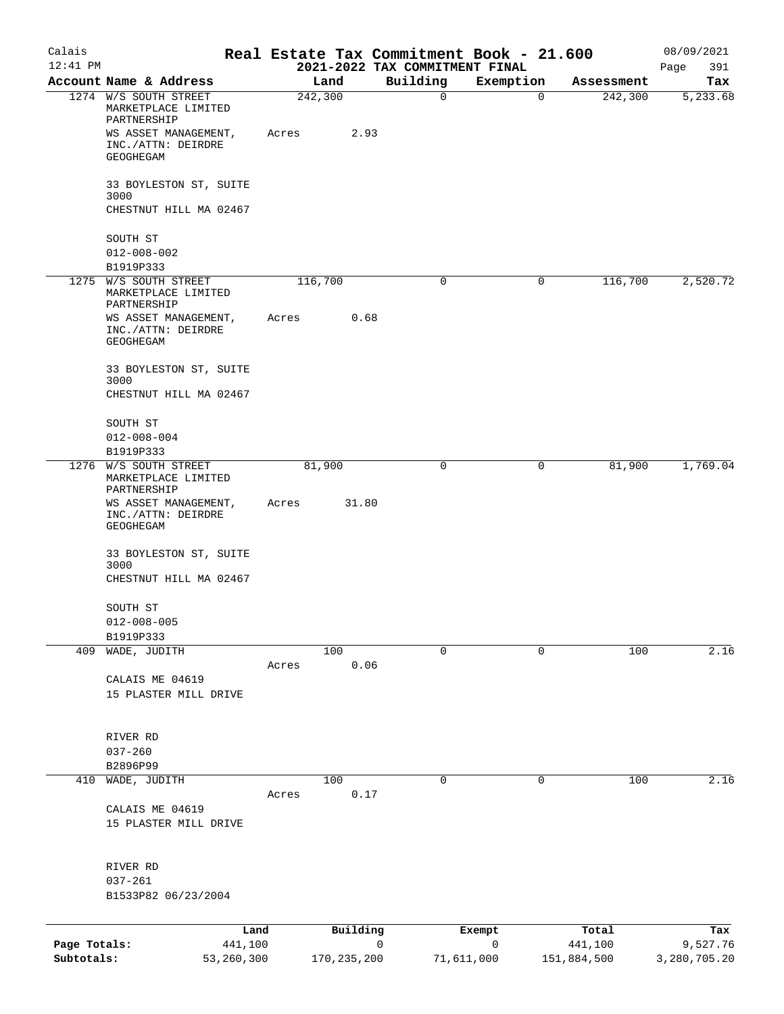| Calais<br>$12:41$ PM       |                                                             |         |               | Real Estate Tax Commitment Book - 21.600<br>2021-2022 TAX COMMITMENT FINAL |                        |                        | 08/09/2021<br>391        |
|----------------------------|-------------------------------------------------------------|---------|---------------|----------------------------------------------------------------------------|------------------------|------------------------|--------------------------|
|                            | Account Name & Address                                      |         | Land          | Building                                                                   | Exemption              | Assessment             | Page<br>Tax              |
|                            | 1274 W/S SOUTH STREET<br>MARKETPLACE LIMITED<br>PARTNERSHIP | 242,300 |               | $\mathsf{O}$                                                               | $\mathbf 0$            | 242,300                | 5,233.68                 |
|                            | WS ASSET MANAGEMENT,<br>INC./ATTN: DEIRDRE<br>GEOGHEGAM     | Acres   | 2.93          |                                                                            |                        |                        |                          |
|                            | 33 BOYLESTON ST, SUITE<br>3000                              |         |               |                                                                            |                        |                        |                          |
|                            | CHESTNUT HILL MA 02467                                      |         |               |                                                                            |                        |                        |                          |
|                            | SOUTH ST<br>$012 - 008 - 002$                               |         |               |                                                                            |                        |                        |                          |
|                            | B1919P333<br>1275 W/S SOUTH STREET                          | 116,700 |               | 0                                                                          | 0                      | 116,700                | 2,520.72                 |
|                            | MARKETPLACE LIMITED<br>PARTNERSHIP                          |         |               |                                                                            |                        |                        |                          |
|                            | WS ASSET MANAGEMENT,<br>INC./ATTN: DEIRDRE<br>GEOGHEGAM     | Acres   | 0.68          |                                                                            |                        |                        |                          |
|                            | 33 BOYLESTON ST, SUITE<br>3000<br>CHESTNUT HILL MA 02467    |         |               |                                                                            |                        |                        |                          |
|                            | SOUTH ST                                                    |         |               |                                                                            |                        |                        |                          |
|                            | $012 - 008 - 004$<br>B1919P333                              |         |               |                                                                            |                        |                        |                          |
|                            | 1276 W/S SOUTH STREET                                       |         | 81,900        | $\mathbf 0$                                                                | 0                      | 81,900                 | 1,769.04                 |
|                            | MARKETPLACE LIMITED<br>PARTNERSHIP                          |         |               |                                                                            |                        |                        |                          |
|                            | WS ASSET MANAGEMENT,<br>INC./ATTN: DEIRDRE<br>GEOGHEGAM     | Acres   | 31.80         |                                                                            |                        |                        |                          |
|                            | 33 BOYLESTON ST, SUITE<br>3000<br>CHESTNUT HILL MA 02467    |         |               |                                                                            |                        |                        |                          |
|                            |                                                             |         |               |                                                                            |                        |                        |                          |
|                            | SOUTH ST                                                    |         |               |                                                                            |                        |                        |                          |
|                            | $012 - 008 - 005$<br>B1919P333                              |         |               |                                                                            |                        |                        |                          |
| 409                        | WADE, JUDITH                                                |         | 100           | $\mathbf 0$                                                                | 0                      | 100                    | 2.16                     |
|                            |                                                             | Acres   | 0.06          |                                                                            |                        |                        |                          |
|                            | CALAIS ME 04619<br>15 PLASTER MILL DRIVE                    |         |               |                                                                            |                        |                        |                          |
|                            |                                                             |         |               |                                                                            |                        |                        |                          |
|                            | RIVER RD                                                    |         |               |                                                                            |                        |                        |                          |
|                            | $037 - 260$                                                 |         |               |                                                                            |                        |                        |                          |
|                            | B2896P99                                                    |         |               |                                                                            |                        |                        |                          |
| 410                        | WADE, JUDITH                                                |         | 100<br>0.17   | 0                                                                          | 0                      | 100                    | 2.16                     |
|                            | CALAIS ME 04619                                             | Acres   |               |                                                                            |                        |                        |                          |
|                            | 15 PLASTER MILL DRIVE                                       |         |               |                                                                            |                        |                        |                          |
|                            | RIVER RD                                                    |         |               |                                                                            |                        |                        |                          |
|                            | $037 - 261$                                                 |         |               |                                                                            |                        |                        |                          |
|                            | B1533P82 06/23/2004                                         |         |               |                                                                            |                        |                        |                          |
|                            |                                                             | Land    | Building      | 0                                                                          | Exempt<br>$\mathsf{O}$ | Total                  | Tax                      |
| Page Totals:<br>Subtotals: | 441,100<br>53,260,300                                       |         | 170, 235, 200 |                                                                            | 71,611,000             | 441,100<br>151,884,500 | 9,527.76<br>3,280,705.20 |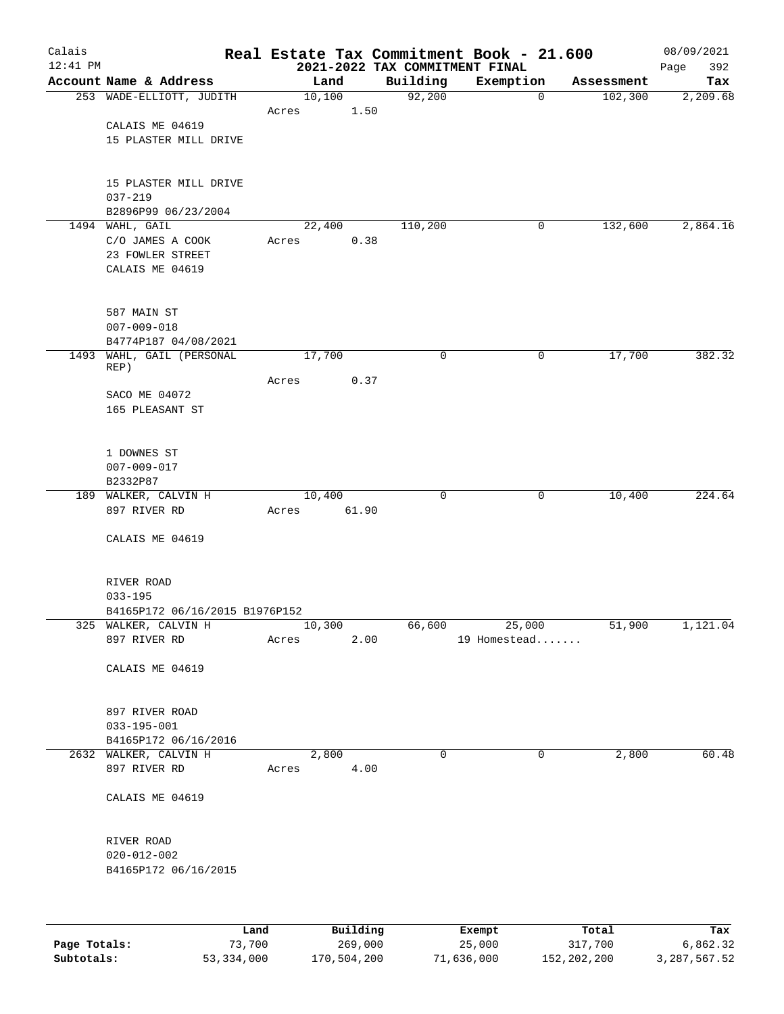| Calais       |                                           |                 |          |                                | Real Estate Tax Commitment Book - 21.600 |                       | 08/09/2021      |
|--------------|-------------------------------------------|-----------------|----------|--------------------------------|------------------------------------------|-----------------------|-----------------|
| $12:41$ PM   | Account Name & Address                    |                 |          | 2021-2022 TAX COMMITMENT FINAL |                                          |                       | 392<br>Page     |
|              | 253 WADE-ELLIOTT, JUDITH                  | 10,100          | Land     | Building<br>92,200             | Exemption<br>$\mathbf 0$                 | Assessment<br>102,300 | Tax<br>2,209.68 |
|              |                                           | Acres           | 1.50     |                                |                                          |                       |                 |
|              | CALAIS ME 04619                           |                 |          |                                |                                          |                       |                 |
|              | 15 PLASTER MILL DRIVE                     |                 |          |                                |                                          |                       |                 |
|              |                                           |                 |          |                                |                                          |                       |                 |
|              |                                           |                 |          |                                |                                          |                       |                 |
|              | 15 PLASTER MILL DRIVE<br>$037 - 219$      |                 |          |                                |                                          |                       |                 |
|              | B2896P99 06/23/2004                       |                 |          |                                |                                          |                       |                 |
|              | 1494 WAHL, GAIL                           |                 | 22,400   | 110,200                        | 0                                        | 132,600               | 2,864.16        |
|              | C/O JAMES A COOK                          | Acres           | 0.38     |                                |                                          |                       |                 |
|              | 23 FOWLER STREET                          |                 |          |                                |                                          |                       |                 |
|              | CALAIS ME 04619                           |                 |          |                                |                                          |                       |                 |
|              |                                           |                 |          |                                |                                          |                       |                 |
|              | 587 MAIN ST                               |                 |          |                                |                                          |                       |                 |
|              | $007 - 009 - 018$                         |                 |          |                                |                                          |                       |                 |
|              | B4774P187 04/08/2021                      |                 |          |                                |                                          |                       |                 |
|              | 1493 WAHL, GAIL (PERSONAL                 | 17,700          |          | 0                              | 0                                        | 17,700                | 382.32          |
|              | REP)                                      |                 |          |                                |                                          |                       |                 |
|              |                                           | Acres           | 0.37     |                                |                                          |                       |                 |
|              | SACO ME 04072<br>165 PLEASANT ST          |                 |          |                                |                                          |                       |                 |
|              |                                           |                 |          |                                |                                          |                       |                 |
|              |                                           |                 |          |                                |                                          |                       |                 |
|              | 1 DOWNES ST                               |                 |          |                                |                                          |                       |                 |
|              | $007 - 009 - 017$                         |                 |          |                                |                                          |                       |                 |
|              | B2332P87                                  |                 |          |                                |                                          |                       | 224.64          |
|              | 189 WALKER, CALVIN H<br>897 RIVER RD      | 10,400<br>Acres | 61.90    | 0                              | 0                                        | 10,400                |                 |
|              |                                           |                 |          |                                |                                          |                       |                 |
|              | CALAIS ME 04619                           |                 |          |                                |                                          |                       |                 |
|              |                                           |                 |          |                                |                                          |                       |                 |
|              |                                           |                 |          |                                |                                          |                       |                 |
|              | RIVER ROAD<br>$033 - 195$                 |                 |          |                                |                                          |                       |                 |
|              | B4165P172 06/16/2015 B1976P152            |                 |          |                                |                                          |                       |                 |
|              | 325 WALKER, CALVIN H                      | 10,300          |          | 66,600                         | 25,000                                   | 51,900                | 1,121.04        |
|              | 897 RIVER RD                              | Acres           | 2.00     |                                | 19 Homestead                             |                       |                 |
|              |                                           |                 |          |                                |                                          |                       |                 |
|              | CALAIS ME 04619                           |                 |          |                                |                                          |                       |                 |
|              |                                           |                 |          |                                |                                          |                       |                 |
|              | 897 RIVER ROAD                            |                 |          |                                |                                          |                       |                 |
|              | $033 - 195 - 001$                         |                 |          |                                |                                          |                       |                 |
|              | B4165P172 06/16/2016                      |                 |          |                                |                                          |                       |                 |
|              | 2632 WALKER, CALVIN H                     |                 | 2,800    | $\mathbf 0$                    | 0                                        | 2,800                 | 60.48           |
|              | 897 RIVER RD                              | Acres           | 4.00     |                                |                                          |                       |                 |
|              | CALAIS ME 04619                           |                 |          |                                |                                          |                       |                 |
|              |                                           |                 |          |                                |                                          |                       |                 |
|              |                                           |                 |          |                                |                                          |                       |                 |
|              | RIVER ROAD                                |                 |          |                                |                                          |                       |                 |
|              | $020 - 012 - 002$<br>B4165P172 06/16/2015 |                 |          |                                |                                          |                       |                 |
|              |                                           |                 |          |                                |                                          |                       |                 |
|              |                                           |                 |          |                                |                                          |                       |                 |
|              |                                           |                 |          |                                |                                          |                       |                 |
|              | Land                                      |                 | Building |                                | Exempt                                   | Total                 | Tax             |
| Page Totals: | 73,700                                    |                 | 269,000  |                                | 25,000                                   | 317,700               | 6,862.32        |

**Subtotals:** 53,334,000 170,504,200 71,636,000 152,202,200 3,287,567.52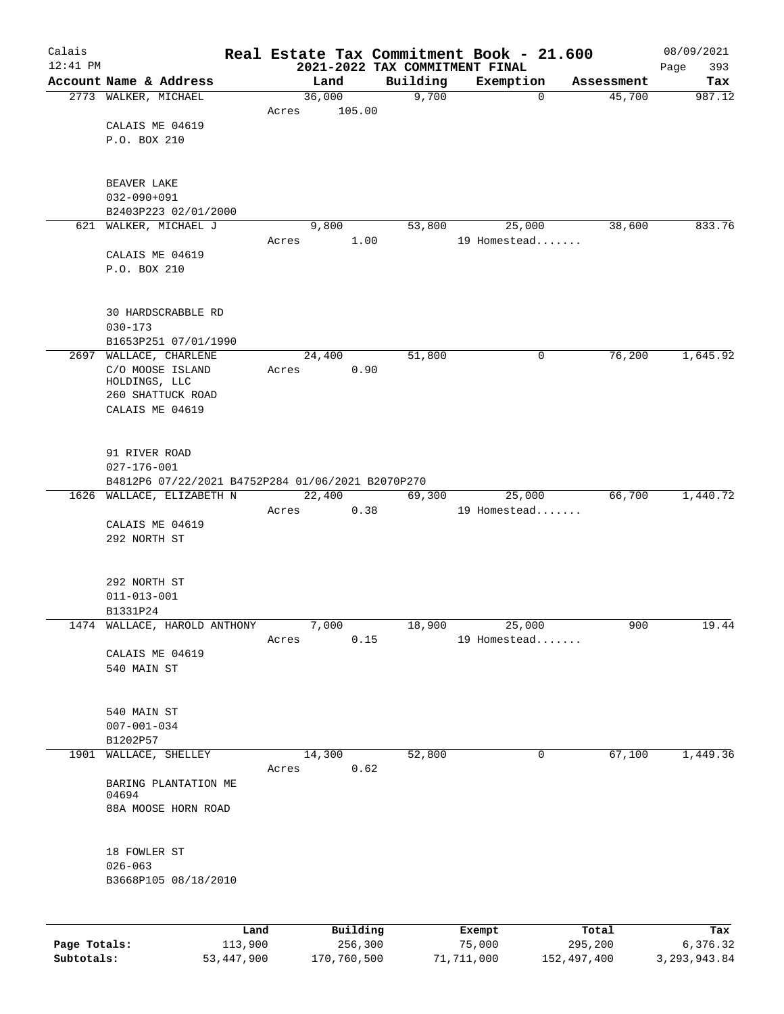| Calais       |                                                   |       |          |          | Real Estate Tax Commitment Book - 21.600 |                  | 08/09/2021      |
|--------------|---------------------------------------------------|-------|----------|----------|------------------------------------------|------------------|-----------------|
| $12:41$ PM   | Account Name & Address                            |       | Land     | Building | 2021-2022 TAX COMMITMENT FINAL           | Assessment       | 393<br>Page     |
|              | 2773 WALKER, MICHAEL                              |       | 36,000   | 9,700    | Exemption<br>0                           | 45,700           | Tax<br>987.12   |
|              |                                                   | Acres | 105.00   |          |                                          |                  |                 |
|              | CALAIS ME 04619                                   |       |          |          |                                          |                  |                 |
|              | P.O. BOX 210                                      |       |          |          |                                          |                  |                 |
|              |                                                   |       |          |          |                                          |                  |                 |
|              |                                                   |       |          |          |                                          |                  |                 |
|              | BEAVER LAKE<br>$032 - 090 + 091$                  |       |          |          |                                          |                  |                 |
|              | B2403P223 02/01/2000                              |       |          |          |                                          |                  |                 |
|              | 621 WALKER, MICHAEL J                             |       | 9,800    | 53,800   | 25,000                                   | 38,600           | 833.76          |
|              |                                                   | Acres |          | 1.00     | 19 Homestead                             |                  |                 |
|              | CALAIS ME 04619                                   |       |          |          |                                          |                  |                 |
|              | P.O. BOX 210                                      |       |          |          |                                          |                  |                 |
|              | <b>30 HARDSCRABBLE RD</b>                         |       |          |          |                                          |                  |                 |
|              | $030 - 173$                                       |       |          |          |                                          |                  |                 |
|              | B1653P251 07/01/1990                              |       |          |          |                                          |                  |                 |
|              | 2697 WALLACE, CHARLENE                            |       | 24,400   | 51,800   | 0                                        | 76,200           | 1,645.92        |
|              | C/O MOOSE ISLAND                                  | Acres |          | 0.90     |                                          |                  |                 |
|              | HOLDINGS, LLC                                     |       |          |          |                                          |                  |                 |
|              | 260 SHATTUCK ROAD<br>CALAIS ME 04619              |       |          |          |                                          |                  |                 |
|              |                                                   |       |          |          |                                          |                  |                 |
|              | 91 RIVER ROAD                                     |       |          |          |                                          |                  |                 |
|              | $027 - 176 - 001$                                 |       |          |          |                                          |                  |                 |
|              | B4812P6 07/22/2021 B4752P284 01/06/2021 B2070P270 |       |          |          |                                          |                  |                 |
|              | 1626 WALLACE, ELIZABETH N                         |       | 22,400   | 69,300   | 25,000                                   | 66,700           | 1,440.72        |
|              |                                                   | Acres |          | 0.38     | 19 Homestead                             |                  |                 |
|              | CALAIS ME 04619                                   |       |          |          |                                          |                  |                 |
|              | 292 NORTH ST                                      |       |          |          |                                          |                  |                 |
|              |                                                   |       |          |          |                                          |                  |                 |
|              | 292 NORTH ST                                      |       |          |          |                                          |                  |                 |
|              | $011 - 013 - 001$                                 |       |          |          |                                          |                  |                 |
|              | B1331P24                                          |       |          |          |                                          |                  |                 |
|              | 1474 WALLACE, HAROLD ANTHONY                      |       | 7,000    | 18,900   | 25,000                                   | 900              | 19.44           |
|              | CALAIS ME 04619                                   | Acres |          | 0.15     | 19 Homestead                             |                  |                 |
|              | 540 MAIN ST                                       |       |          |          |                                          |                  |                 |
|              |                                                   |       |          |          |                                          |                  |                 |
|              |                                                   |       |          |          |                                          |                  |                 |
|              | 540 MAIN ST<br>$007 - 001 - 034$                  |       |          |          |                                          |                  |                 |
|              | B1202P57                                          |       |          |          |                                          |                  |                 |
|              | 1901 WALLACE, SHELLEY                             |       | 14,300   | 52,800   | 0                                        | 67,100           | 1,449.36        |
|              |                                                   | Acres |          | 0.62     |                                          |                  |                 |
|              | BARING PLANTATION ME                              |       |          |          |                                          |                  |                 |
|              | 04694<br>88A MOOSE HORN ROAD                      |       |          |          |                                          |                  |                 |
|              |                                                   |       |          |          |                                          |                  |                 |
|              | 18 FOWLER ST                                      |       |          |          |                                          |                  |                 |
|              | $026 - 063$                                       |       |          |          |                                          |                  |                 |
|              | B3668P105 08/18/2010                              |       |          |          |                                          |                  |                 |
|              |                                                   |       |          |          |                                          |                  |                 |
|              |                                                   |       |          |          |                                          |                  |                 |
| Page Totals: | 113,900                                           | Land  | Building | 256,300  | Exempt<br>75,000                         | Total<br>295,200 | Tax<br>6,376.32 |

**Subtotals:** 53,447,900 170,760,500 71,711,000 152,497,400 3,293,943.84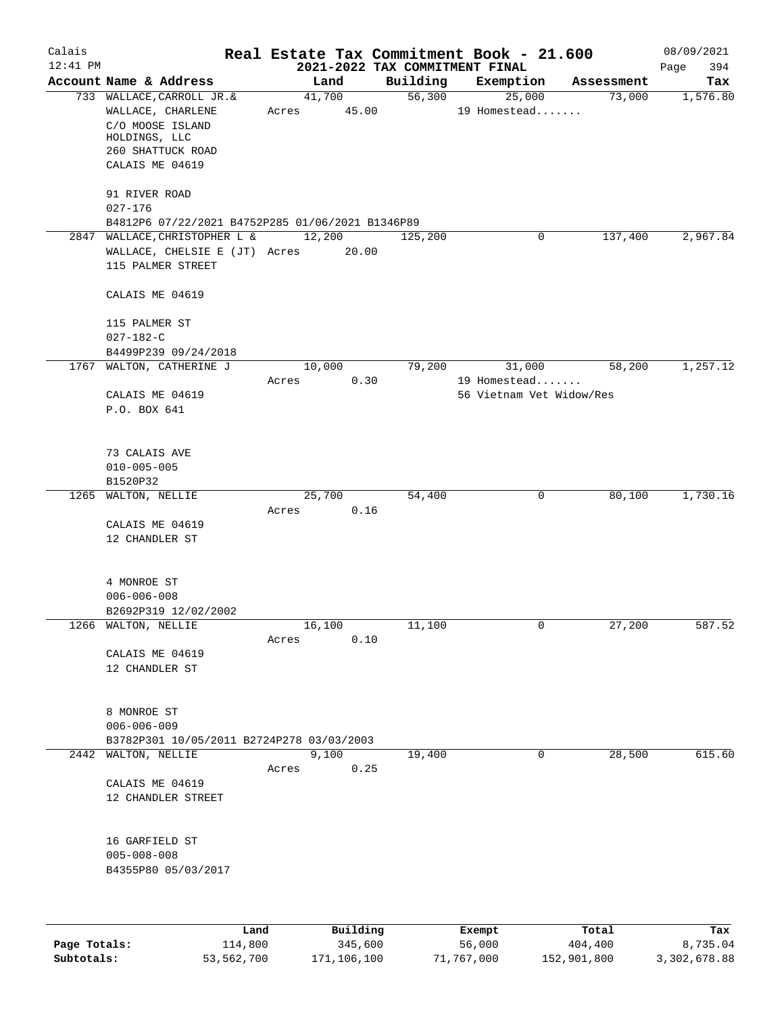| Calais     |                                                          |       |                       |      |                                | Real Estate Tax Commitment Book - 21.600 |            | 08/09/2021  |
|------------|----------------------------------------------------------|-------|-----------------------|------|--------------------------------|------------------------------------------|------------|-------------|
| $12:41$ PM |                                                          |       |                       |      | 2021-2022 TAX COMMITMENT FINAL |                                          |            | Page<br>394 |
|            | Account Name & Address                                   |       | Land                  |      | Building                       | Exemption                                | Assessment | Tax         |
|            | 733 WALLACE, CARROLL JR.&<br>WALLACE, CHARLENE           |       | 41,700<br>Acres 45.00 |      |                                | 56,300<br>25,000<br>19 Homestead         | 73,000     | 1,576.80    |
|            | C/O MOOSE ISLAND<br>HOLDINGS, LLC                        |       |                       |      |                                |                                          |            |             |
|            | 260 SHATTUCK ROAD                                        |       |                       |      |                                |                                          |            |             |
|            | CALAIS ME 04619                                          |       |                       |      |                                |                                          |            |             |
|            | 91 RIVER ROAD                                            |       |                       |      |                                |                                          |            |             |
|            | 027-176                                                  |       |                       |      |                                |                                          |            |             |
|            | B4812P6 07/22/2021 B4752P285 01/06/2021 B1346P89         |       |                       |      |                                |                                          |            |             |
|            | 2847 WALLACE, CHRISTOPHER L &                            |       | 12,200                |      | 125,200                        | 0                                        | 137,400    | 2,967.84    |
|            | WALLACE, CHELSIE E (JT) Acres 20.00<br>115 PALMER STREET |       |                       |      |                                |                                          |            |             |
|            | CALAIS ME 04619                                          |       |                       |      |                                |                                          |            |             |
|            | 115 PALMER ST                                            |       |                       |      |                                |                                          |            |             |
|            | $027 - 182 - C$                                          |       |                       |      |                                |                                          |            |             |
|            | B4499P239 09/24/2018                                     |       |                       |      |                                |                                          |            |             |
|            | 1767 WALTON, CATHERINE J                                 |       | 10,000                |      | 79,200                         | 31,000                                   | 58,200     | 1,257.12    |
|            | CALAIS ME 04619                                          | Acres |                       | 0.30 |                                | 19 Homestead<br>56 Vietnam Vet Widow/Res |            |             |
|            | P.O. BOX 641                                             |       |                       |      |                                |                                          |            |             |
|            |                                                          |       |                       |      |                                |                                          |            |             |
|            | 73 CALAIS AVE                                            |       |                       |      |                                |                                          |            |             |
|            | $010 - 005 - 005$                                        |       |                       |      |                                |                                          |            |             |
|            | B1520P32                                                 |       |                       |      |                                |                                          |            |             |
|            | 1265 WALTON, NELLIE                                      |       | 25,700                |      | 54,400                         | 0                                        | 80,100     | 1,730.16    |
|            |                                                          | Acres |                       | 0.16 |                                |                                          |            |             |
|            | CALAIS ME 04619<br>12 CHANDLER ST                        |       |                       |      |                                |                                          |            |             |
|            |                                                          |       |                       |      |                                |                                          |            |             |
|            | 4 MONROE ST                                              |       |                       |      |                                |                                          |            |             |
|            | $006 - 006 - 008$                                        |       |                       |      |                                |                                          |            |             |
|            | B2692P319 12/02/2002                                     |       |                       |      |                                |                                          |            |             |
|            | 1266 WALTON, NELLIE                                      | Acres | 16,100                | 0.10 | 11,100                         | 0                                        | 27,200     | 587.52      |
|            | CALAIS ME 04619                                          |       |                       |      |                                |                                          |            |             |
|            | 12 CHANDLER ST                                           |       |                       |      |                                |                                          |            |             |
|            | 8 MONROE ST                                              |       |                       |      |                                |                                          |            |             |
|            | $006 - 006 - 009$                                        |       |                       |      |                                |                                          |            |             |
|            | B3782P301 10/05/2011 B2724P278 03/03/2003                |       |                       |      |                                |                                          |            |             |
|            | 2442 WALTON, NELLIE                                      |       | 9,100                 |      | 19,400                         | $\Omega$                                 | 28,500     | 615.60      |
|            |                                                          | Acres |                       | 0.25 |                                |                                          |            |             |
|            | CALAIS ME 04619                                          |       |                       |      |                                |                                          |            |             |
|            | 12 CHANDLER STREET                                       |       |                       |      |                                |                                          |            |             |
|            | 16 GARFIELD ST                                           |       |                       |      |                                |                                          |            |             |
|            | $005 - 008 - 008$                                        |       |                       |      |                                |                                          |            |             |
|            | B4355P80 05/03/2017                                      |       |                       |      |                                |                                          |            |             |
|            |                                                          |       |                       |      |                                |                                          |            |             |
|            |                                                          |       |                       |      |                                |                                          |            |             |

|              | Land       | Building    | Exempt     | Total       | Tax          |
|--------------|------------|-------------|------------|-------------|--------------|
| Page Totals: | 114,800    | 345,600     | 56,000     | 404,400     | 8,735.04     |
| Subtotals:   | 53,562,700 | 171,106,100 | 71,767,000 | 152,901,800 | 3,302,678.88 |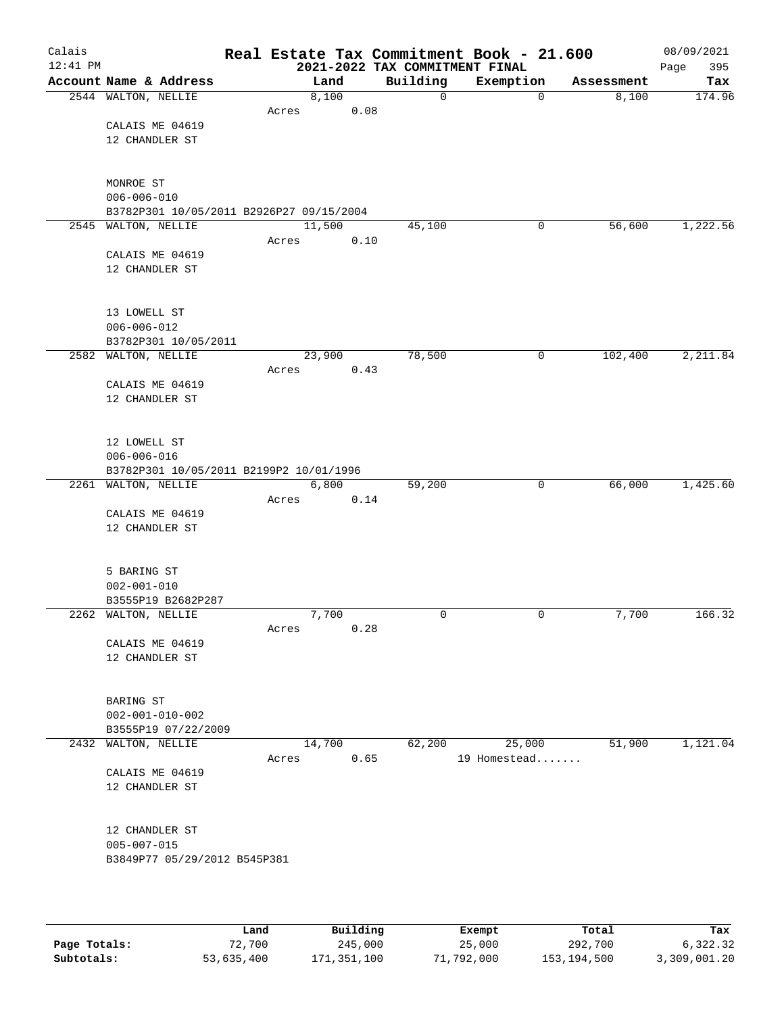| Calais<br>$12:41$ PM |                                          |       |        | 2021-2022 TAX COMMITMENT FINAL | Real Estate Tax Commitment Book - 21.600 |            | 08/09/2021<br>Page<br>395 |
|----------------------|------------------------------------------|-------|--------|--------------------------------|------------------------------------------|------------|---------------------------|
|                      | Account Name & Address                   |       | Land   | Building                       | Exemption                                | Assessment | Tax                       |
|                      | 2544 WALTON, NELLIE                      |       | 8,100  | $\mathbf 0$                    | $\mathbf 0$                              | 8,100      | 174.96                    |
|                      |                                          | Acres | 0.08   |                                |                                          |            |                           |
|                      | CALAIS ME 04619                          |       |        |                                |                                          |            |                           |
|                      | 12 CHANDLER ST                           |       |        |                                |                                          |            |                           |
|                      |                                          |       |        |                                |                                          |            |                           |
|                      |                                          |       |        |                                |                                          |            |                           |
|                      | MONROE ST<br>$006 - 006 - 010$           |       |        |                                |                                          |            |                           |
|                      | B3782P301 10/05/2011 B2926P27 09/15/2004 |       |        |                                |                                          |            |                           |
|                      | 2545 WALTON, NELLIE                      |       | 11,500 | 45,100                         | 0                                        | 56,600     | 1,222.56                  |
|                      |                                          | Acres | 0.10   |                                |                                          |            |                           |
|                      | CALAIS ME 04619                          |       |        |                                |                                          |            |                           |
|                      | 12 CHANDLER ST                           |       |        |                                |                                          |            |                           |
|                      |                                          |       |        |                                |                                          |            |                           |
|                      |                                          |       |        |                                |                                          |            |                           |
|                      | 13 LOWELL ST                             |       |        |                                |                                          |            |                           |
|                      | $006 - 006 - 012$                        |       |        |                                |                                          |            |                           |
|                      | B3782P301 10/05/2011                     |       |        |                                |                                          |            |                           |
|                      | 2582 WALTON, NELLIE                      | Acres | 23,900 | 78,500                         | $\mathbf 0$                              | 102,400    | 2,211.84                  |
|                      | CALAIS ME 04619                          |       | 0.43   |                                |                                          |            |                           |
|                      | 12 CHANDLER ST                           |       |        |                                |                                          |            |                           |
|                      |                                          |       |        |                                |                                          |            |                           |
|                      |                                          |       |        |                                |                                          |            |                           |
|                      | 12 LOWELL ST                             |       |        |                                |                                          |            |                           |
|                      | $006 - 006 - 016$                        |       |        |                                |                                          |            |                           |
|                      | B3782P301 10/05/2011 B2199P2 10/01/1996  |       |        |                                |                                          |            |                           |
|                      | 2261 WALTON, NELLIE                      |       | 6,800  | 59,200                         | 0                                        | 66,000     | 1,425.60                  |
|                      |                                          | Acres | 0.14   |                                |                                          |            |                           |
|                      | CALAIS ME 04619                          |       |        |                                |                                          |            |                           |
|                      | 12 CHANDLER ST                           |       |        |                                |                                          |            |                           |
|                      |                                          |       |        |                                |                                          |            |                           |
|                      | 5 BARING ST                              |       |        |                                |                                          |            |                           |
|                      | $002 - 001 - 010$                        |       |        |                                |                                          |            |                           |
|                      | B3555P19 B2682P287                       |       |        |                                |                                          |            |                           |
|                      | 2262 WALTON, NELLIE                      |       | 7,700  | $\mathbf 0$                    | 0                                        | 7,700      | 166.32                    |
|                      |                                          | Acres | 0.28   |                                |                                          |            |                           |
|                      | CALAIS ME 04619                          |       |        |                                |                                          |            |                           |
|                      | 12 CHANDLER ST                           |       |        |                                |                                          |            |                           |
|                      |                                          |       |        |                                |                                          |            |                           |
|                      | BARING ST                                |       |        |                                |                                          |            |                           |
|                      | $002 - 001 - 010 - 002$                  |       |        |                                |                                          |            |                           |
|                      | B3555P19 07/22/2009                      |       |        |                                |                                          |            |                           |
|                      | 2432 WALTON, NELLIE                      |       | 14,700 | 62,200                         | 25,000                                   | 51,900     | 1,121.04                  |
|                      |                                          | Acres | 0.65   |                                | 19 Homestead                             |            |                           |
|                      | CALAIS ME 04619                          |       |        |                                |                                          |            |                           |
|                      | 12 CHANDLER ST                           |       |        |                                |                                          |            |                           |
|                      |                                          |       |        |                                |                                          |            |                           |
|                      | 12 CHANDLER ST                           |       |        |                                |                                          |            |                           |
|                      | $005 - 007 - 015$                        |       |        |                                |                                          |            |                           |
|                      | B3849P77 05/29/2012 B545P381             |       |        |                                |                                          |            |                           |
|                      |                                          |       |        |                                |                                          |            |                           |
|                      |                                          |       |        |                                |                                          |            |                           |
|                      |                                          |       |        |                                |                                          |            |                           |

|              | Land       | Building    | Exempt     | Total       | Tax          |
|--------------|------------|-------------|------------|-------------|--------------|
| Page Totals: | 72,700     | 245,000     | 25,000     | 292,700     | 6,322.32     |
| Subtotals:   | 53,635,400 | 171,351,100 | 71,792,000 | 153,194,500 | 3,309,001.20 |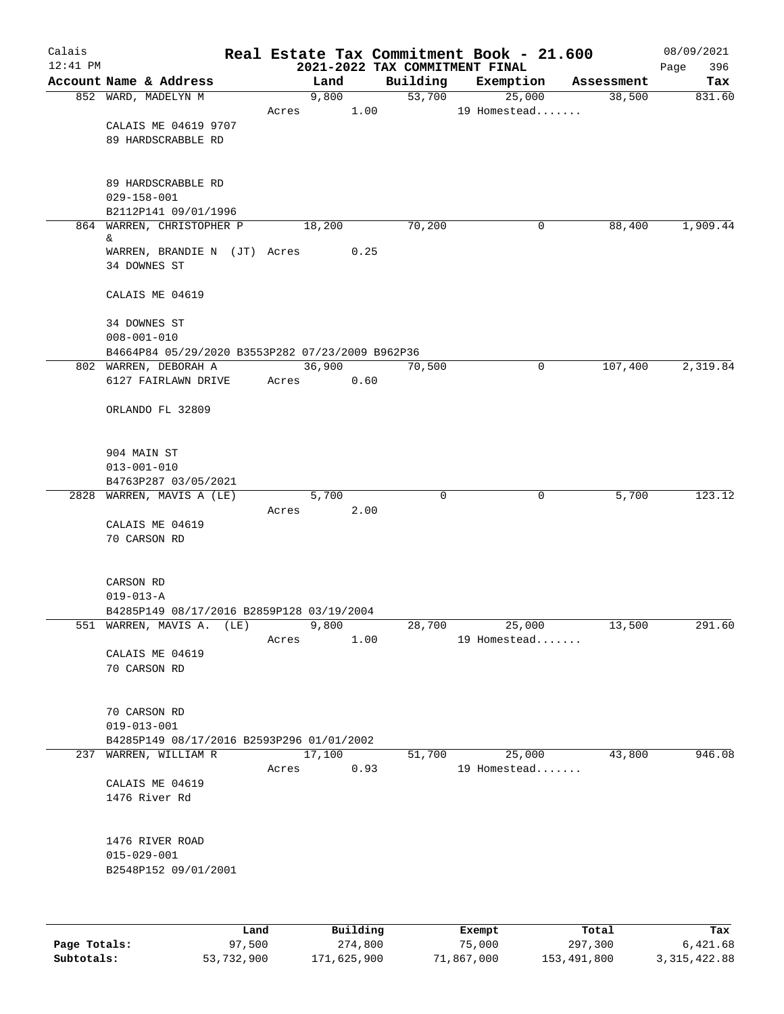| Calais     |                                                  |       |          |                                            | Real Estate Tax Commitment Book - 21.600 |            | 08/09/2021         |
|------------|--------------------------------------------------|-------|----------|--------------------------------------------|------------------------------------------|------------|--------------------|
| $12:41$ PM | Account Name & Address                           |       | Land     | 2021-2022 TAX COMMITMENT FINAL<br>Building | Exemption                                | Assessment | 396<br>Page<br>Tax |
|            | 852 WARD, MADELYN M                              |       | 9,800    | 53,700                                     | 25,000                                   | 38,500     | 831.60             |
|            |                                                  | Acres | 1.00     |                                            | 19 Homestead                             |            |                    |
|            | CALAIS ME 04619 9707                             |       |          |                                            |                                          |            |                    |
|            | 89 HARDSCRABBLE RD                               |       |          |                                            |                                          |            |                    |
|            |                                                  |       |          |                                            |                                          |            |                    |
|            |                                                  |       |          |                                            |                                          |            |                    |
|            | 89 HARDSCRABBLE RD                               |       |          |                                            |                                          |            |                    |
|            | $029 - 158 - 001$<br>B2112P141 09/01/1996        |       |          |                                            |                                          |            |                    |
|            | 864 WARREN, CHRISTOPHER P                        |       | 18,200   | 70,200                                     | 0                                        | 88,400     | 1,909.44           |
|            | &                                                |       |          |                                            |                                          |            |                    |
|            | WARREN, BRANDIE N (JT) Acres                     |       | 0.25     |                                            |                                          |            |                    |
|            | 34 DOWNES ST                                     |       |          |                                            |                                          |            |                    |
|            |                                                  |       |          |                                            |                                          |            |                    |
|            | CALAIS ME 04619                                  |       |          |                                            |                                          |            |                    |
|            | 34 DOWNES ST                                     |       |          |                                            |                                          |            |                    |
|            | $008 - 001 - 010$                                |       |          |                                            |                                          |            |                    |
|            | B4664P84 05/29/2020 B3553P282 07/23/2009 B962P36 |       |          |                                            |                                          |            |                    |
|            | 802 WARREN, DEBORAH A                            |       | 36,900   | 70,500                                     | 0                                        | 107,400    | 2,319.84           |
|            | 6127 FAIRLAWN DRIVE                              | Acres | 0.60     |                                            |                                          |            |                    |
|            |                                                  |       |          |                                            |                                          |            |                    |
|            | ORLANDO FL 32809                                 |       |          |                                            |                                          |            |                    |
|            |                                                  |       |          |                                            |                                          |            |                    |
|            | 904 MAIN ST                                      |       |          |                                            |                                          |            |                    |
|            | $013 - 001 - 010$                                |       |          |                                            |                                          |            |                    |
|            | B4763P287 03/05/2021                             |       |          |                                            |                                          |            |                    |
|            | 2828 WARREN, MAVIS A (LE)                        |       | 5,700    | $\mathbf 0$                                | 0                                        | 5,700      | 123.12             |
|            |                                                  | Acres | 2.00     |                                            |                                          |            |                    |
|            | CALAIS ME 04619                                  |       |          |                                            |                                          |            |                    |
|            | 70 CARSON RD                                     |       |          |                                            |                                          |            |                    |
|            |                                                  |       |          |                                            |                                          |            |                    |
|            | CARSON RD                                        |       |          |                                            |                                          |            |                    |
|            | $019 - 013 - A$                                  |       |          |                                            |                                          |            |                    |
|            | B4285P149 08/17/2016 B2859P128 03/19/2004        |       |          |                                            |                                          |            |                    |
|            | 551 WARREN, MAVIS A. (LE)                        |       | 9,800    |                                            | 28,700<br>25,000                         | 13,500     | 291.60             |
|            |                                                  | Acres | 1.00     |                                            | 19 Homestead                             |            |                    |
|            | CALAIS ME 04619                                  |       |          |                                            |                                          |            |                    |
|            | 70 CARSON RD                                     |       |          |                                            |                                          |            |                    |
|            |                                                  |       |          |                                            |                                          |            |                    |
|            | 70 CARSON RD                                     |       |          |                                            |                                          |            |                    |
|            | $019 - 013 - 001$                                |       |          |                                            |                                          |            |                    |
|            | B4285P149 08/17/2016 B2593P296 01/01/2002        |       |          |                                            |                                          |            |                    |
|            | 237 WARREN, WILLIAM R                            |       | 17,100   | 51,700                                     | 25,000                                   | 43,800     | 946.08             |
|            |                                                  | Acres | 0.93     |                                            | 19 Homestead                             |            |                    |
|            | CALAIS ME 04619<br>1476 River Rd                 |       |          |                                            |                                          |            |                    |
|            |                                                  |       |          |                                            |                                          |            |                    |
|            |                                                  |       |          |                                            |                                          |            |                    |
|            | 1476 RIVER ROAD                                  |       |          |                                            |                                          |            |                    |
|            | $015 - 029 - 001$                                |       |          |                                            |                                          |            |                    |
|            | B2548P152 09/01/2001                             |       |          |                                            |                                          |            |                    |
|            |                                                  |       |          |                                            |                                          |            |                    |
|            |                                                  |       |          |                                            |                                          |            |                    |
|            | Land                                             |       | Building |                                            | Exempt                                   | Total      | Tax                |
|            |                                                  |       |          |                                            |                                          |            |                    |

|              | Land       | Building    | Exempt     | Total       | тах             |
|--------------|------------|-------------|------------|-------------|-----------------|
| Page Totals: | 97,500     | 274,800     | 75,000     | 297,300     | 6,421.68        |
| Subtotals:   | 53,732,900 | 171,625,900 | 71,867,000 | 153,491,800 | 3, 315, 422, 88 |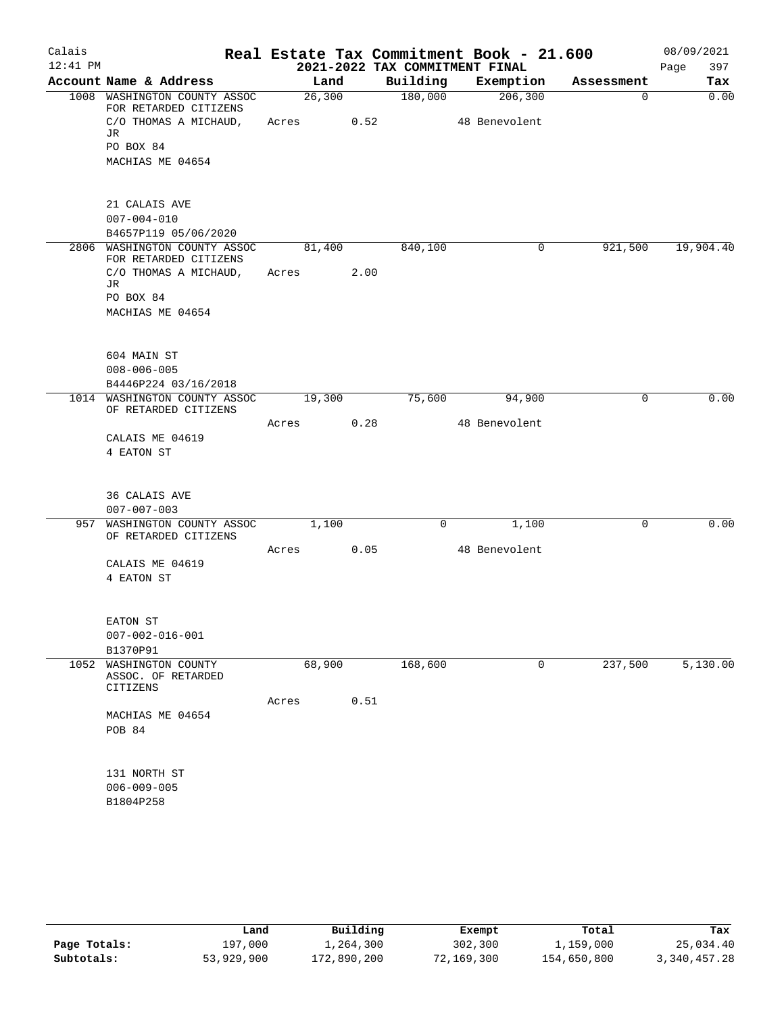| Calais     |                                                           |       |            |      | Real Estate Tax Commitment Book - 21.600 |               |        |            | 08/09/2021  |
|------------|-----------------------------------------------------------|-------|------------|------|------------------------------------------|---------------|--------|------------|-------------|
| $12:41$ PM |                                                           |       |            |      | 2021-2022 TAX COMMITMENT FINAL           |               |        |            | 397<br>Page |
|            | Account Name & Address                                    |       | Land       |      | Building                                 | Exemption     |        | Assessment | Tax         |
|            | 1008 WASHINGTON COUNTY ASSOC<br>FOR RETARDED CITIZENS     |       | 26,300     |      | 180,000                                  | 206,300       |        | $\Omega$   | 0.00        |
|            | C/O THOMAS A MICHAUD,                                     |       | Acres 0.52 |      |                                          | 48 Benevolent |        |            |             |
|            | JR                                                        |       |            |      |                                          |               |        |            |             |
|            | PO BOX 84                                                 |       |            |      |                                          |               |        |            |             |
|            | MACHIAS ME 04654                                          |       |            |      |                                          |               |        |            |             |
|            | 21 CALAIS AVE                                             |       |            |      |                                          |               |        |            |             |
|            | $007 - 004 - 010$                                         |       |            |      |                                          |               |        |            |             |
|            | B4657P119 05/06/2020                                      |       |            |      |                                          |               |        |            |             |
|            | 2806 WASHINGTON COUNTY ASSOC<br>FOR RETARDED CITIZENS     |       | 81,400     |      | 840,100                                  |               | 0      | 921,500    | 19,904.40   |
|            | C/O THOMAS A MICHAUD, Acres                               |       |            | 2.00 |                                          |               |        |            |             |
|            | JR                                                        |       |            |      |                                          |               |        |            |             |
|            | PO BOX 84                                                 |       |            |      |                                          |               |        |            |             |
|            | MACHIAS ME 04654                                          |       |            |      |                                          |               |        |            |             |
|            | 604 MAIN ST                                               |       |            |      |                                          |               |        |            |             |
|            | $008 - 006 - 005$                                         |       |            |      |                                          |               |        |            |             |
|            | B4446P224 03/16/2018                                      |       |            |      |                                          |               |        |            |             |
|            | 1014 WASHINGTON COUNTY ASSOC<br>OF RETARDED CITIZENS      |       | 19,300     |      | 75,600                                   |               | 94,900 | 0          | 0.00        |
|            |                                                           | Acres |            | 0.28 |                                          | 48 Benevolent |        |            |             |
|            | CALAIS ME 04619                                           |       |            |      |                                          |               |        |            |             |
|            | 4 EATON ST                                                |       |            |      |                                          |               |        |            |             |
|            | 36 CALAIS AVE                                             |       |            |      |                                          |               |        |            |             |
|            | $007 - 007 - 003$                                         |       |            |      |                                          |               |        |            |             |
|            | 957 WASHINGTON COUNTY ASSOC 1,100<br>OF RETARDED CITIZENS |       |            |      | 0                                        |               | 1,100  | 0          | 0.00        |
|            |                                                           | Acres |            | 0.05 |                                          | 48 Benevolent |        |            |             |
|            | CALAIS ME 04619                                           |       |            |      |                                          |               |        |            |             |
|            | 4 EATON ST                                                |       |            |      |                                          |               |        |            |             |
|            | EATON ST                                                  |       |            |      |                                          |               |        |            |             |
|            | $007 - 002 - 016 - 001$                                   |       |            |      |                                          |               |        |            |             |
|            | B1370P91                                                  |       |            |      |                                          |               |        |            |             |
| 1052       | WASHINGTON COUNTY<br>ASSOC. OF RETARDED<br>CITIZENS       |       | 68,900     |      | 168,600                                  |               | 0      | 237,500    | 5,130.00    |
|            |                                                           | Acres |            | 0.51 |                                          |               |        |            |             |
|            | MACHIAS ME 04654                                          |       |            |      |                                          |               |        |            |             |
|            | POB 84                                                    |       |            |      |                                          |               |        |            |             |
|            | 131 NORTH ST                                              |       |            |      |                                          |               |        |            |             |
|            | $006 - 009 - 005$                                         |       |            |      |                                          |               |        |            |             |
|            | B1804P258                                                 |       |            |      |                                          |               |        |            |             |
|            |                                                           |       |            |      |                                          |               |        |            |             |

|              | Land       | Building    | Exempt     | Total       | Tax          |
|--------------|------------|-------------|------------|-------------|--------------|
| Page Totals: | 197,000    | 1,264,300   | 302,300    | 1,159,000   | 25,034.40    |
| Subtotals:   | 53,929,900 | 172,890,200 | 72,169,300 | 154,650,800 | 3,340,457.28 |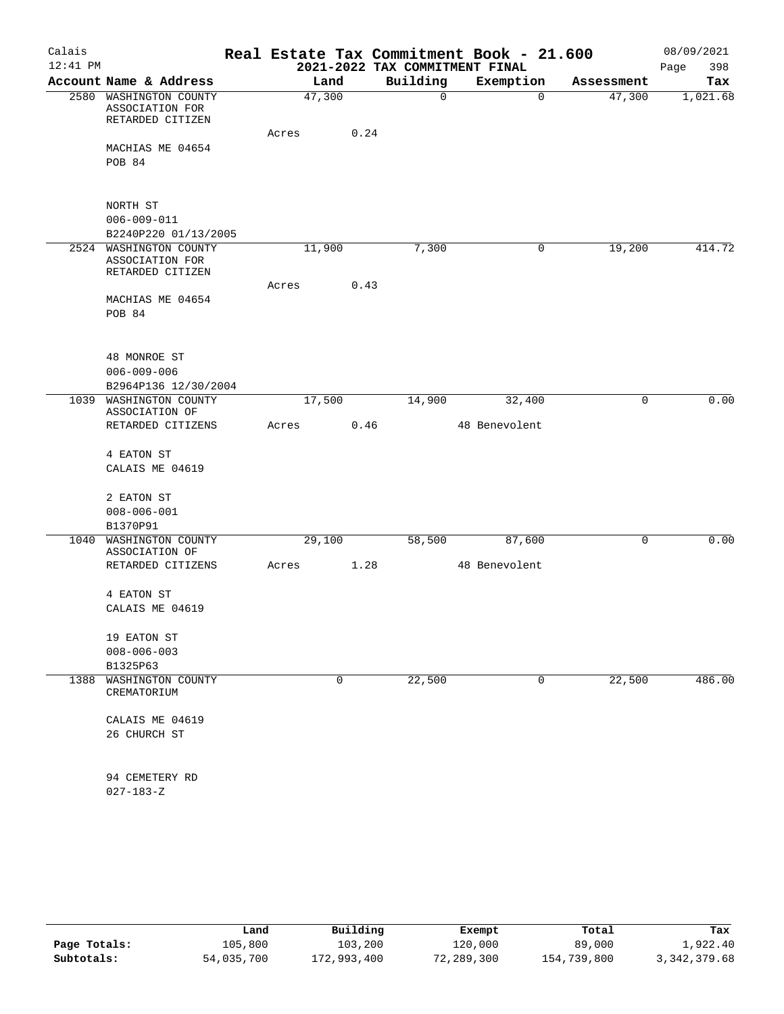| Calais     |                                                               |       |             |      |                                | Real Estate Tax Commitment Book - 21.600 |            | 08/09/2021  |
|------------|---------------------------------------------------------------|-------|-------------|------|--------------------------------|------------------------------------------|------------|-------------|
| $12:41$ PM |                                                               |       |             |      | 2021-2022 TAX COMMITMENT FINAL |                                          |            | 398<br>Page |
|            | Account Name & Address                                        |       | Land        |      | Building                       | Exemption                                | Assessment | Tax         |
|            | 2580 WASHINGTON COUNTY<br>ASSOCIATION FOR<br>RETARDED CITIZEN |       | 47,300      |      | $\mathbf 0$                    | 0                                        | 47,300     | 1,021.68    |
|            |                                                               | Acres |             | 0.24 |                                |                                          |            |             |
|            | MACHIAS ME 04654                                              |       |             |      |                                |                                          |            |             |
|            | POB 84                                                        |       |             |      |                                |                                          |            |             |
|            | NORTH ST                                                      |       |             |      |                                |                                          |            |             |
|            | $006 - 009 - 011$                                             |       |             |      |                                |                                          |            |             |
|            | B2240P220 01/13/2005                                          |       |             |      |                                |                                          |            |             |
|            | 2524 WASHINGTON COUNTY<br>ASSOCIATION FOR<br>RETARDED CITIZEN |       | 11,900      |      | 7,300                          | 0                                        | 19,200     | 414.72      |
|            |                                                               | Acres |             | 0.43 |                                |                                          |            |             |
|            | MACHIAS ME 04654                                              |       |             |      |                                |                                          |            |             |
|            | POB 84                                                        |       |             |      |                                |                                          |            |             |
|            | 48 MONROE ST                                                  |       |             |      |                                |                                          |            |             |
|            | $006 - 009 - 006$                                             |       |             |      |                                |                                          |            |             |
|            | B2964P136 12/30/2004                                          |       |             |      |                                |                                          |            | 0.00        |
|            | 1039 WASHINGTON COUNTY<br>ASSOCIATION OF                      |       | 17,500      |      | 14,900                         | 32,400                                   | 0          |             |
|            | RETARDED CITIZENS                                             | Acres |             | 0.46 |                                | 48 Benevolent                            |            |             |
|            | 4 EATON ST                                                    |       |             |      |                                |                                          |            |             |
|            | CALAIS ME 04619                                               |       |             |      |                                |                                          |            |             |
|            | 2 EATON ST                                                    |       |             |      |                                |                                          |            |             |
|            | $008 - 006 - 001$                                             |       |             |      |                                |                                          |            |             |
|            | B1370P91                                                      |       |             |      |                                |                                          |            |             |
| 1040       | WASHINGTON COUNTY<br>ASSOCIATION OF                           |       | 29,100      |      | 58,500                         | 87,600                                   | 0          | 0.00        |
|            | RETARDED CITIZENS                                             | Acres |             | 1.28 |                                | 48 Benevolent                            |            |             |
|            | 4 EATON ST                                                    |       |             |      |                                |                                          |            |             |
|            | CALAIS ME 04619                                               |       |             |      |                                |                                          |            |             |
|            | 19 EATON ST                                                   |       |             |      |                                |                                          |            |             |
|            | $008 - 006 - 003$                                             |       |             |      |                                |                                          |            |             |
|            | B1325P63                                                      |       |             |      |                                |                                          |            |             |
|            | 1388 WASHINGTON COUNTY<br>CREMATORIUM                         |       | $\mathbf 0$ |      | 22,500                         | 0                                        | 22,500     | 486.00      |
|            | CALAIS ME 04619                                               |       |             |      |                                |                                          |            |             |
|            | 26 CHURCH ST                                                  |       |             |      |                                |                                          |            |             |
|            | 94 CEMETERY RD                                                |       |             |      |                                |                                          |            |             |
|            | $027 - 183 - Z$                                               |       |             |      |                                |                                          |            |             |
|            |                                                               |       |             |      |                                |                                          |            |             |

|              | Land       | Building    | Exempt     | Total       | Tax            |
|--------------|------------|-------------|------------|-------------|----------------|
| Page Totals: | 105,800    | 103,200     | 120,000    | 89,000      | 1,922.40       |
| Subtotals:   | 54,035,700 | 172,993,400 | 72,289,300 | 154,739,800 | 3, 342, 379.68 |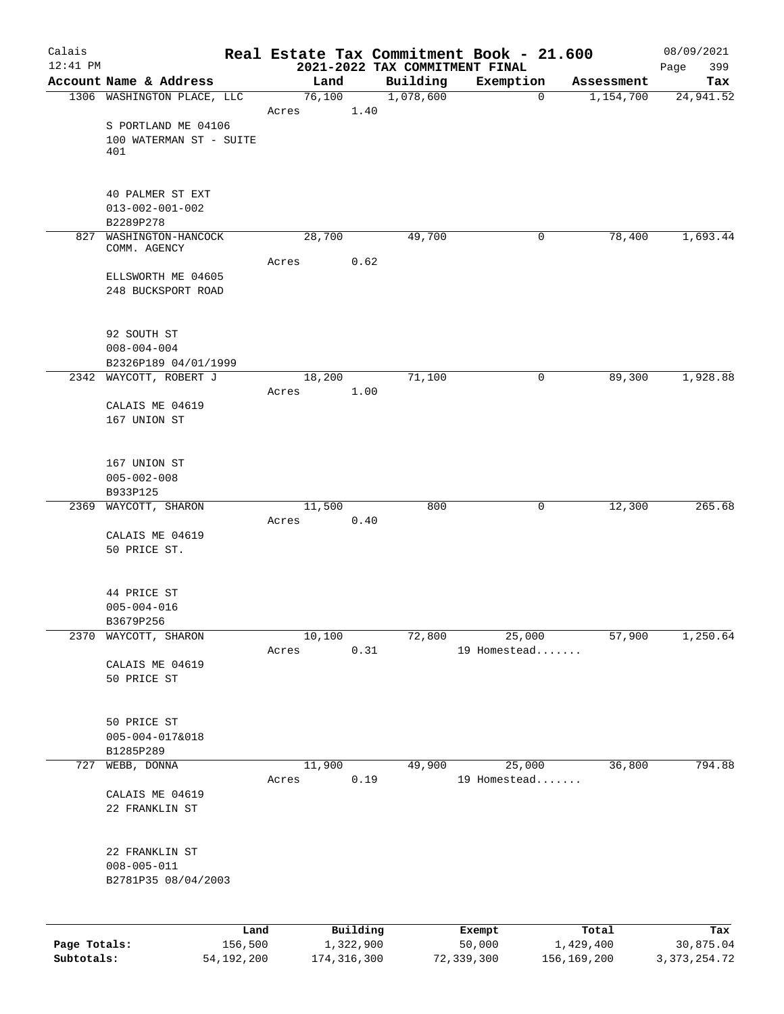| Calais       |                                        |      |       |                       |      | Real Estate Tax Commitment Book - 21.600   |                  |             |                    | 08/09/2021         |
|--------------|----------------------------------------|------|-------|-----------------------|------|--------------------------------------------|------------------|-------------|--------------------|--------------------|
| $12:41$ PM   | Account Name & Address                 |      |       | Land                  |      | 2021-2022 TAX COMMITMENT FINAL<br>Building | Exemption        |             | Assessment         | 399<br>Page<br>Tax |
|              | 1306 WASHINGTON PLACE, LLC             |      |       | 76,100                |      | 1,078,600                                  |                  | $\mathbf 0$ | 1,154,700          | 24,941.52          |
|              |                                        |      | Acres |                       | 1.40 |                                            |                  |             |                    |                    |
|              | S PORTLAND ME 04106                    |      |       |                       |      |                                            |                  |             |                    |                    |
|              | 100 WATERMAN ST - SUITE                |      |       |                       |      |                                            |                  |             |                    |                    |
|              | 401                                    |      |       |                       |      |                                            |                  |             |                    |                    |
|              |                                        |      |       |                       |      |                                            |                  |             |                    |                    |
|              | 40 PALMER ST EXT                       |      |       |                       |      |                                            |                  |             |                    |                    |
|              | $013 - 002 - 001 - 002$                |      |       |                       |      |                                            |                  |             |                    |                    |
|              | B2289P278                              |      |       |                       |      |                                            |                  |             |                    |                    |
|              | 827 WASHINGTON-HANCOCK<br>COMM. AGENCY |      |       | 28,700                |      | 49,700                                     |                  | $\mathbf 0$ | 78,400             | 1,693.44           |
|              |                                        |      | Acres |                       | 0.62 |                                            |                  |             |                    |                    |
|              | ELLSWORTH ME 04605                     |      |       |                       |      |                                            |                  |             |                    |                    |
|              | 248 BUCKSPORT ROAD                     |      |       |                       |      |                                            |                  |             |                    |                    |
|              |                                        |      |       |                       |      |                                            |                  |             |                    |                    |
|              | 92 SOUTH ST                            |      |       |                       |      |                                            |                  |             |                    |                    |
|              | $008 - 004 - 004$                      |      |       |                       |      |                                            |                  |             |                    |                    |
|              | B2326P189 04/01/1999                   |      |       |                       |      |                                            |                  |             |                    |                    |
|              | 2342 WAYCOTT, ROBERT J                 |      |       | 18,200                |      | 71,100                                     |                  | 0           | 89,300             | 1,928.88           |
|              |                                        |      | Acres |                       | 1.00 |                                            |                  |             |                    |                    |
|              | CALAIS ME 04619                        |      |       |                       |      |                                            |                  |             |                    |                    |
|              | 167 UNION ST                           |      |       |                       |      |                                            |                  |             |                    |                    |
|              |                                        |      |       |                       |      |                                            |                  |             |                    |                    |
|              | 167 UNION ST                           |      |       |                       |      |                                            |                  |             |                    |                    |
|              | $005 - 002 - 008$                      |      |       |                       |      |                                            |                  |             |                    |                    |
|              | B933P125                               |      |       |                       |      |                                            |                  |             |                    |                    |
|              | 2369 WAYCOTT, SHARON                   |      |       | 11,500                |      | 800                                        |                  | 0           | 12,300             | 265.68             |
|              | CALAIS ME 04619                        |      | Acres |                       | 0.40 |                                            |                  |             |                    |                    |
|              | 50 PRICE ST.                           |      |       |                       |      |                                            |                  |             |                    |                    |
|              |                                        |      |       |                       |      |                                            |                  |             |                    |                    |
|              |                                        |      |       |                       |      |                                            |                  |             |                    |                    |
|              | 44 PRICE ST                            |      |       |                       |      |                                            |                  |             |                    |                    |
|              | $005 - 004 - 016$                      |      |       |                       |      |                                            |                  |             |                    |                    |
| 2370         | B3679P256<br>WAYCOTT, SHARON           |      |       | 10,100                |      | 72,800                                     | 25,000           |             | 57,900             | 1,250.64           |
|              |                                        |      | Acres |                       | 0.31 |                                            | 19 Homestead     |             |                    |                    |
|              | CALAIS ME 04619                        |      |       |                       |      |                                            |                  |             |                    |                    |
|              | 50 PRICE ST                            |      |       |                       |      |                                            |                  |             |                    |                    |
|              |                                        |      |       |                       |      |                                            |                  |             |                    |                    |
|              | 50 PRICE ST                            |      |       |                       |      |                                            |                  |             |                    |                    |
|              | $005 - 004 - 017&018$                  |      |       |                       |      |                                            |                  |             |                    |                    |
|              | B1285P289                              |      |       |                       |      |                                            |                  |             |                    |                    |
| 727          | WEBB, DONNA                            |      |       | 11,900                |      | 49,900                                     | 25,000           |             | 36,800             | 794.88             |
|              |                                        |      | Acres |                       | 0.19 |                                            | 19 Homestead     |             |                    |                    |
|              | CALAIS ME 04619                        |      |       |                       |      |                                            |                  |             |                    |                    |
|              | 22 FRANKLIN ST                         |      |       |                       |      |                                            |                  |             |                    |                    |
|              |                                        |      |       |                       |      |                                            |                  |             |                    |                    |
|              | 22 FRANKLIN ST                         |      |       |                       |      |                                            |                  |             |                    |                    |
|              | $008 - 005 - 011$                      |      |       |                       |      |                                            |                  |             |                    |                    |
|              | B2781P35 08/04/2003                    |      |       |                       |      |                                            |                  |             |                    |                    |
|              |                                        |      |       |                       |      |                                            |                  |             |                    |                    |
|              |                                        |      |       |                       |      |                                            |                  |             |                    |                    |
| Page Totals: | 156,500                                | Land |       | Building<br>1,322,900 |      |                                            | Exempt<br>50,000 |             | Total<br>1,429,400 | Tax<br>30,875.04   |

**Subtotals:** 54,192,200 174,316,300 72,339,300 156,169,200 3,373,254.72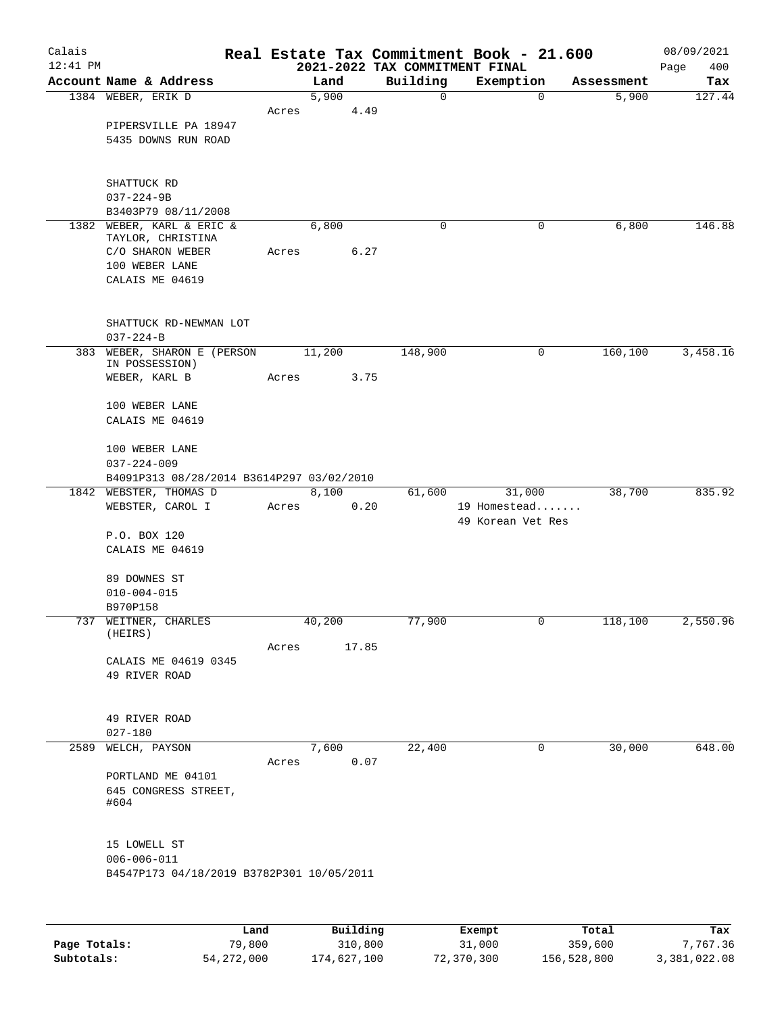| Calais     |                                              |       |                           |       |                                | Real Estate Tax Commitment Book - 21.600 |                     | 08/09/2021    |
|------------|----------------------------------------------|-------|---------------------------|-------|--------------------------------|------------------------------------------|---------------------|---------------|
| $12:41$ PM |                                              |       |                           |       | 2021-2022 TAX COMMITMENT FINAL |                                          |                     | 400<br>Page   |
|            | Account Name & Address<br>1384 WEBER, ERIK D |       | Land<br>5,900             |       | Building<br>$\mathbf 0$        | Exemption<br>$\mathbf 0$                 | Assessment<br>5,900 | Tax<br>127.44 |
|            |                                              | Acres |                           | 4.49  |                                |                                          |                     |               |
|            | PIPERSVILLE PA 18947                         |       |                           |       |                                |                                          |                     |               |
|            | 5435 DOWNS RUN ROAD                          |       |                           |       |                                |                                          |                     |               |
|            |                                              |       |                           |       |                                |                                          |                     |               |
|            |                                              |       |                           |       |                                |                                          |                     |               |
|            | SHATTUCK RD                                  |       |                           |       |                                |                                          |                     |               |
|            | $037 - 224 - 9B$<br>B3403P79 08/11/2008      |       |                           |       |                                |                                          |                     |               |
|            | 1382 WEBER, KARL & ERIC &                    |       | 6,800                     |       | 0                              | $\mathbf 0$                              | 6,800               | 146.88        |
|            | TAYLOR, CHRISTINA                            |       |                           |       |                                |                                          |                     |               |
|            | C/O SHARON WEBER                             | Acres |                           | 6.27  |                                |                                          |                     |               |
|            | 100 WEBER LANE                               |       |                           |       |                                |                                          |                     |               |
|            | CALAIS ME 04619                              |       |                           |       |                                |                                          |                     |               |
|            | SHATTUCK RD-NEWMAN LOT                       |       |                           |       |                                |                                          |                     |               |
|            | $037 - 224 - B$                              |       |                           |       |                                |                                          |                     |               |
|            | 383 WEBER, SHARON E (PERSON                  |       | 11,200                    |       | 148,900                        | 0                                        | 160, 100            | 3,458.16      |
|            | IN POSSESSION)                               |       |                           |       |                                |                                          |                     |               |
|            | WEBER, KARL B                                | Acres |                           | 3.75  |                                |                                          |                     |               |
|            | 100 WEBER LANE                               |       |                           |       |                                |                                          |                     |               |
|            | CALAIS ME 04619                              |       |                           |       |                                |                                          |                     |               |
|            |                                              |       |                           |       |                                |                                          |                     |               |
|            | 100 WEBER LANE                               |       |                           |       |                                |                                          |                     |               |
|            | $037 - 224 - 009$                            |       |                           |       |                                |                                          |                     |               |
|            | B4091P313 08/28/2014 B3614P297 03/02/2010    |       | 8,100                     |       |                                | 31,000                                   | 38,700              | 835.92        |
|            | 1842 WEBSTER, THOMAS D<br>WEBSTER, CAROL I   | Acres |                           | 0.20  | 61,600                         | 19 Homestead                             |                     |               |
|            |                                              |       |                           |       |                                | 49 Korean Vet Res                        |                     |               |
|            | P.O. BOX 120                                 |       |                           |       |                                |                                          |                     |               |
|            | CALAIS ME 04619                              |       |                           |       |                                |                                          |                     |               |
|            | 89 DOWNES ST                                 |       |                           |       |                                |                                          |                     |               |
|            | $010 - 004 - 015$                            |       |                           |       |                                |                                          |                     |               |
|            | B970P158                                     |       |                           |       |                                |                                          |                     |               |
|            | 737 WEITNER, CHARLES                         |       | 40,200                    |       | 77,900                         | 0                                        | 118,100             | 2,550.96      |
|            | (HEIRS)                                      | Acres |                           | 17.85 |                                |                                          |                     |               |
|            | CALAIS ME 04619 0345                         |       |                           |       |                                |                                          |                     |               |
|            | 49 RIVER ROAD                                |       |                           |       |                                |                                          |                     |               |
|            |                                              |       |                           |       |                                |                                          |                     |               |
|            | 49 RIVER ROAD                                |       |                           |       |                                |                                          |                     |               |
|            | $027 - 180$                                  |       |                           |       |                                |                                          |                     |               |
|            | 2589 WELCH, PAYSON                           |       | 7,600                     |       | 22,400                         | 0                                        | 30,000              | 648.00        |
|            |                                              | Acres |                           | 0.07  |                                |                                          |                     |               |
|            | PORTLAND ME 04101                            |       |                           |       |                                |                                          |                     |               |
|            | 645 CONGRESS STREET,<br>#604                 |       |                           |       |                                |                                          |                     |               |
|            |                                              |       |                           |       |                                |                                          |                     |               |
|            |                                              |       |                           |       |                                |                                          |                     |               |
|            | 15 LOWELL ST<br>$006 - 006 - 011$            |       |                           |       |                                |                                          |                     |               |
|            | B4547P173 04/18/2019 B3782P301 10/05/2011    |       |                           |       |                                |                                          |                     |               |
|            |                                              |       |                           |       |                                |                                          |                     |               |
|            |                                              |       |                           |       |                                |                                          |                     |               |
|            | <b>Tond</b>                                  |       | $D_{11}$ in $I$ in $\sim$ |       |                                | $P$ <sub>i</sub> $\sim$ amm $+$          | $T - 1$             | m.,           |

|              | Land       | Building    | Exempt     | Total       | Tax          |
|--------------|------------|-------------|------------|-------------|--------------|
| Page Totals: | 79,800     | 310,800     | 31,000     | 359,600     | 7,767.36     |
| Subtotals:   | 54,272,000 | 174,627,100 | 72,370,300 | 156,528,800 | 3,381,022.08 |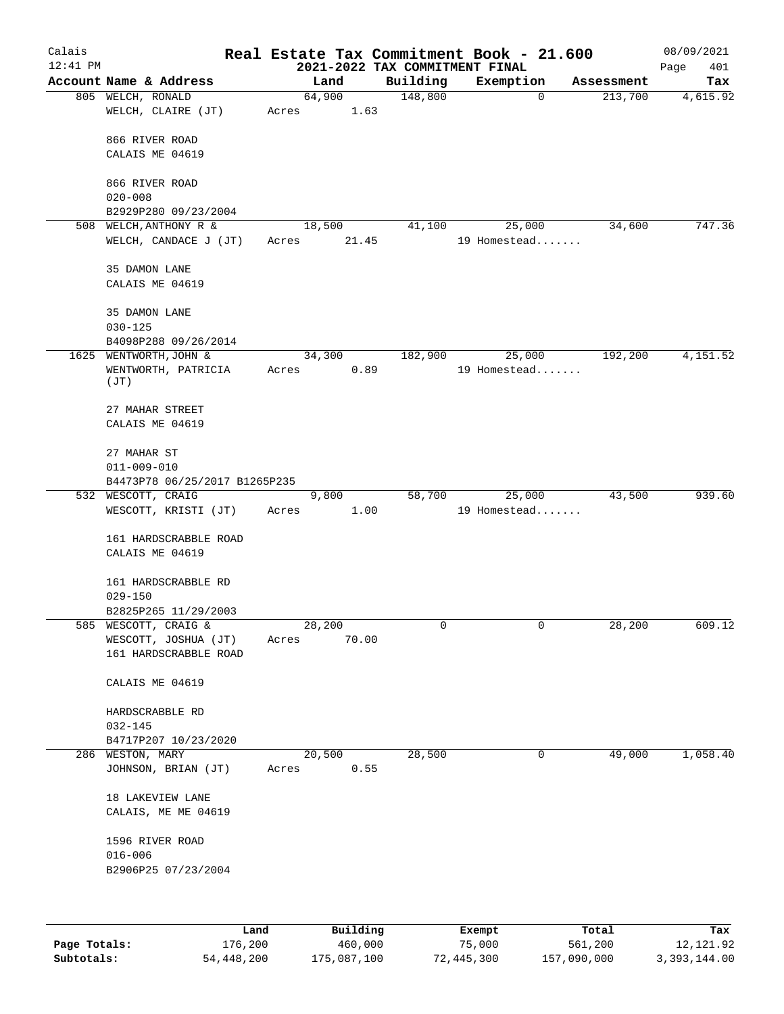| Calais<br>$12:41$ PM |                                                     |                         | 2021-2022 TAX COMMITMENT FINAL | Real Estate Tax Commitment Book - 21.600 |            | 08/09/2021<br>Page<br>401 |
|----------------------|-----------------------------------------------------|-------------------------|--------------------------------|------------------------------------------|------------|---------------------------|
|                      | Account Name & Address                              | Land                    | Building                       | Exemption                                | Assessment | Tax                       |
|                      | 805 WELCH, RONALD<br>WELCH, CLAIRE (JT)             | 64,900<br>1.63<br>Acres | 148,800                        | $\mathbf 0$                              | 213,700    | 4,615.92                  |
|                      | 866 RIVER ROAD                                      |                         |                                |                                          |            |                           |
|                      | CALAIS ME 04619                                     |                         |                                |                                          |            |                           |
|                      | 866 RIVER ROAD                                      |                         |                                |                                          |            |                           |
|                      | $020 - 008$<br>B2929P280 09/23/2004                 |                         |                                |                                          |            |                           |
| 508                  | WELCH, ANTHONY R &                                  | 18,500                  | 41,100                         | 25,000                                   | 34,600     | 747.36                    |
|                      | WELCH, CANDACE J (JT)                               | 21.45<br>Acres          |                                | 19 Homestead                             |            |                           |
|                      | 35 DAMON LANE                                       |                         |                                |                                          |            |                           |
|                      | CALAIS ME 04619                                     |                         |                                |                                          |            |                           |
|                      | 35 DAMON LANE                                       |                         |                                |                                          |            |                           |
|                      | $030 - 125$<br>B4098P288 09/26/2014                 |                         |                                |                                          |            |                           |
|                      | 1625 WENTWORTH, JOHN &                              | 34,300                  | 182,900                        | 25,000                                   | 192,200    | 4,151.52                  |
|                      | WENTWORTH, PATRICIA<br>(TT)                         | 0.89<br>Acres           |                                | 19 Homestead                             |            |                           |
|                      | 27 MAHAR STREET                                     |                         |                                |                                          |            |                           |
|                      | CALAIS ME 04619                                     |                         |                                |                                          |            |                           |
|                      | 27 MAHAR ST                                         |                         |                                |                                          |            |                           |
|                      | $011 - 009 - 010$                                   |                         |                                |                                          |            |                           |
|                      | B4473P78 06/25/2017 B1265P235<br>532 WESCOTT, CRAIG | 9,800                   | 58,700                         | 25,000                                   | 43,500     | 939.60                    |
|                      | WESCOTT, KRISTI (JT)                                | 1.00<br>Acres           |                                | 19 Homestead                             |            |                           |
|                      | 161 HARDSCRABBLE ROAD<br>CALAIS ME 04619            |                         |                                |                                          |            |                           |
|                      | 161 HARDSCRABBLE RD<br>$029 - 150$                  |                         |                                |                                          |            |                           |
|                      | B2825P265 11/29/2003                                |                         |                                |                                          |            |                           |
|                      | 585 WESCOTT, CRAIG &                                | 28,200                  | 0                              | 0                                        | 28,200     | 609.12                    |
|                      | WESCOTT, JOSHUA (JT)<br>161 HARDSCRABBLE ROAD       | Acres<br>70.00          |                                |                                          |            |                           |
|                      | CALAIS ME 04619                                     |                         |                                |                                          |            |                           |
|                      | HARDSCRABBLE RD                                     |                         |                                |                                          |            |                           |
|                      | $032 - 145$                                         |                         |                                |                                          |            |                           |
| 286                  | B4717P207 10/23/2020<br>WESTON, MARY                | 20,500                  | 28,500                         | 0                                        | 49,000     | 1,058.40                  |
|                      | JOHNSON, BRIAN (JT)                                 | 0.55<br>Acres           |                                |                                          |            |                           |
|                      | 18 LAKEVIEW LANE<br>CALAIS, ME ME 04619             |                         |                                |                                          |            |                           |
|                      | 1596 RIVER ROAD<br>$016 - 006$                      |                         |                                |                                          |            |                           |
|                      | B2906P25 07/23/2004                                 |                         |                                |                                          |            |                           |
|                      |                                                     |                         |                                |                                          |            |                           |
|                      |                                                     |                         |                                |                                          |            |                           |

|              | Land       | Building    | Exempt     | Total       | Tax          |
|--------------|------------|-------------|------------|-------------|--------------|
| Page Totals: | 176,200    | 460,000     | 75,000     | 561,200     | 12,121.92    |
| Subtotals:   | 54,448,200 | 175,087,100 | 72,445,300 | 157,090,000 | 3,393,144.00 |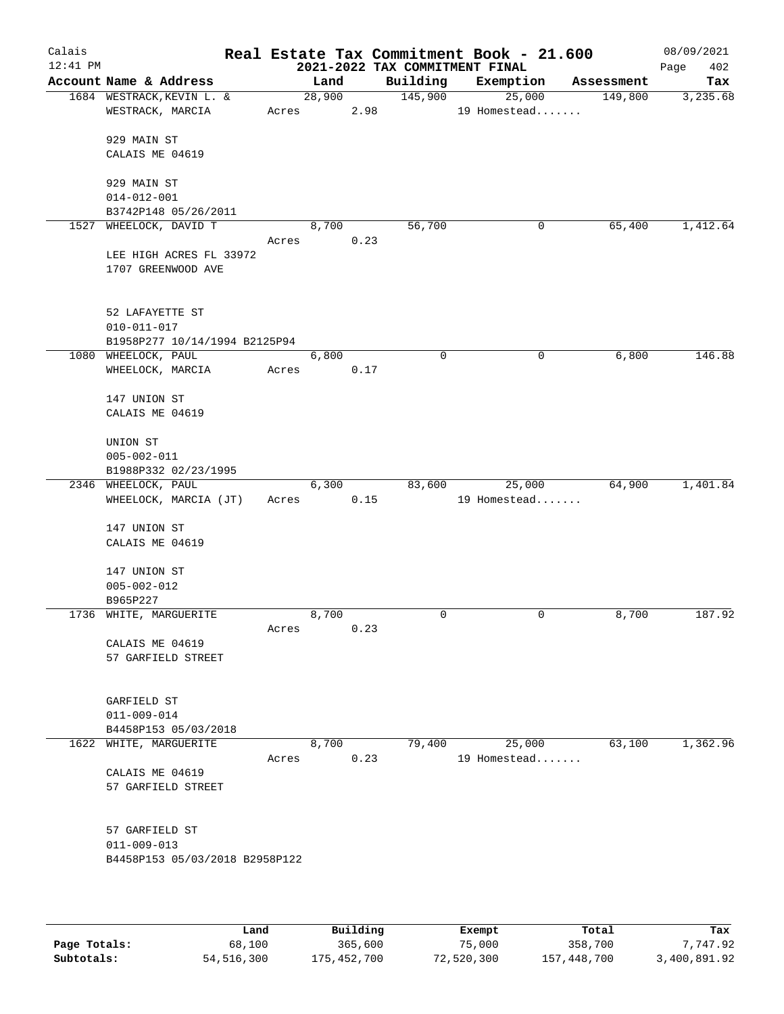| Calais<br>$12:41$ PM |                                               |       |                 |      | 2021-2022 TAX COMMITMENT FINAL | Real Estate Tax Commitment Book - 21.600 |            | 08/09/2021<br>402<br>Page |
|----------------------|-----------------------------------------------|-------|-----------------|------|--------------------------------|------------------------------------------|------------|---------------------------|
|                      | Account Name & Address                        |       | Land            |      | Building                       | Exemption                                | Assessment | Tax                       |
|                      | 1684 WESTRACK, KEVIN L. &<br>WESTRACK, MARCIA |       | 28,900<br>Acres | 2.98 | 145,900                        | 25,000<br>19 Homestead                   | 149,800    | 3,235.68                  |
|                      |                                               |       |                 |      |                                |                                          |            |                           |
|                      | 929 MAIN ST                                   |       |                 |      |                                |                                          |            |                           |
|                      | CALAIS ME 04619                               |       |                 |      |                                |                                          |            |                           |
|                      | 929 MAIN ST                                   |       |                 |      |                                |                                          |            |                           |
|                      | $014 - 012 - 001$                             |       |                 |      |                                |                                          |            |                           |
|                      | B3742P148 05/26/2011                          |       |                 |      |                                |                                          |            |                           |
|                      | 1527 WHEELOCK, DAVID T                        |       | 8,700           |      | 56,700                         | 0                                        | 65,400     | 1,412.64                  |
|                      |                                               | Acres |                 | 0.23 |                                |                                          |            |                           |
|                      | LEE HIGH ACRES FL 33972                       |       |                 |      |                                |                                          |            |                           |
|                      | 1707 GREENWOOD AVE                            |       |                 |      |                                |                                          |            |                           |
|                      |                                               |       |                 |      |                                |                                          |            |                           |
|                      | 52 LAFAYETTE ST                               |       |                 |      |                                |                                          |            |                           |
|                      | $010 - 011 - 017$                             |       |                 |      |                                |                                          |            |                           |
|                      | B1958P277 10/14/1994 B2125P94                 |       |                 |      | $\mathbf 0$                    | 0                                        | 6,800      | 146.88                    |
|                      | 1080 WHEELOCK, PAUL<br>WHEELOCK, MARCIA       | Acres | 6,800           | 0.17 |                                |                                          |            |                           |
|                      |                                               |       |                 |      |                                |                                          |            |                           |
|                      | 147 UNION ST                                  |       |                 |      |                                |                                          |            |                           |
|                      | CALAIS ME 04619                               |       |                 |      |                                |                                          |            |                           |
|                      | UNION ST                                      |       |                 |      |                                |                                          |            |                           |
|                      | $005 - 002 - 011$                             |       |                 |      |                                |                                          |            |                           |
|                      | B1988P332 02/23/1995                          |       |                 |      |                                |                                          |            |                           |
|                      | 2346 WHEELOCK, PAUL                           |       | 6,300           |      | 83,600                         | 25,000                                   | 64,900     | 1,401.84                  |
|                      | WHEELOCK, MARCIA (JT)                         | Acres |                 | 0.15 |                                | 19 Homestead                             |            |                           |
|                      | 147 UNION ST                                  |       |                 |      |                                |                                          |            |                           |
|                      | CALAIS ME 04619                               |       |                 |      |                                |                                          |            |                           |
|                      |                                               |       |                 |      |                                |                                          |            |                           |
|                      | 147 UNION ST                                  |       |                 |      |                                |                                          |            |                           |
|                      | $005 - 002 - 012$                             |       |                 |      |                                |                                          |            |                           |
|                      | B965P227                                      |       |                 |      |                                |                                          |            |                           |
|                      | 1736 WHITE, MARGUERITE                        |       | 8,700           |      | 0                              | 0                                        | 8,700      | 187.92                    |
|                      |                                               | Acres |                 | 0.23 |                                |                                          |            |                           |
|                      | CALAIS ME 04619                               |       |                 |      |                                |                                          |            |                           |
|                      | 57 GARFIELD STREET                            |       |                 |      |                                |                                          |            |                           |
|                      |                                               |       |                 |      |                                |                                          |            |                           |
|                      | GARFIELD ST                                   |       |                 |      |                                |                                          |            |                           |
|                      | $011 - 009 - 014$                             |       |                 |      |                                |                                          |            |                           |
|                      | B4458P153 05/03/2018                          |       |                 |      |                                |                                          |            |                           |
|                      | 1622 WHITE, MARGUERITE                        |       | 8,700           |      | 79,400                         | 25,000                                   | 63,100     | 1,362.96                  |
|                      |                                               | Acres |                 | 0.23 |                                | 19 Homestead                             |            |                           |
|                      | CALAIS ME 04619                               |       |                 |      |                                |                                          |            |                           |
|                      | 57 GARFIELD STREET                            |       |                 |      |                                |                                          |            |                           |
|                      |                                               |       |                 |      |                                |                                          |            |                           |
|                      | 57 GARFIELD ST                                |       |                 |      |                                |                                          |            |                           |
|                      | $011 - 009 - 013$                             |       |                 |      |                                |                                          |            |                           |
|                      | B4458P153 05/03/2018 B2958P122                |       |                 |      |                                |                                          |            |                           |
|                      |                                               |       |                 |      |                                |                                          |            |                           |
|                      |                                               |       |                 |      |                                |                                          |            |                           |

|              | Land       | Building    | Exempt     | Total       | Tax          |
|--------------|------------|-------------|------------|-------------|--------------|
| Page Totals: | 68,100     | 365,600     | 75,000     | 358,700     | 7,747.92     |
| Subtotals:   | 54,516,300 | 175,452,700 | 72,520,300 | 157,448,700 | 3,400,891.92 |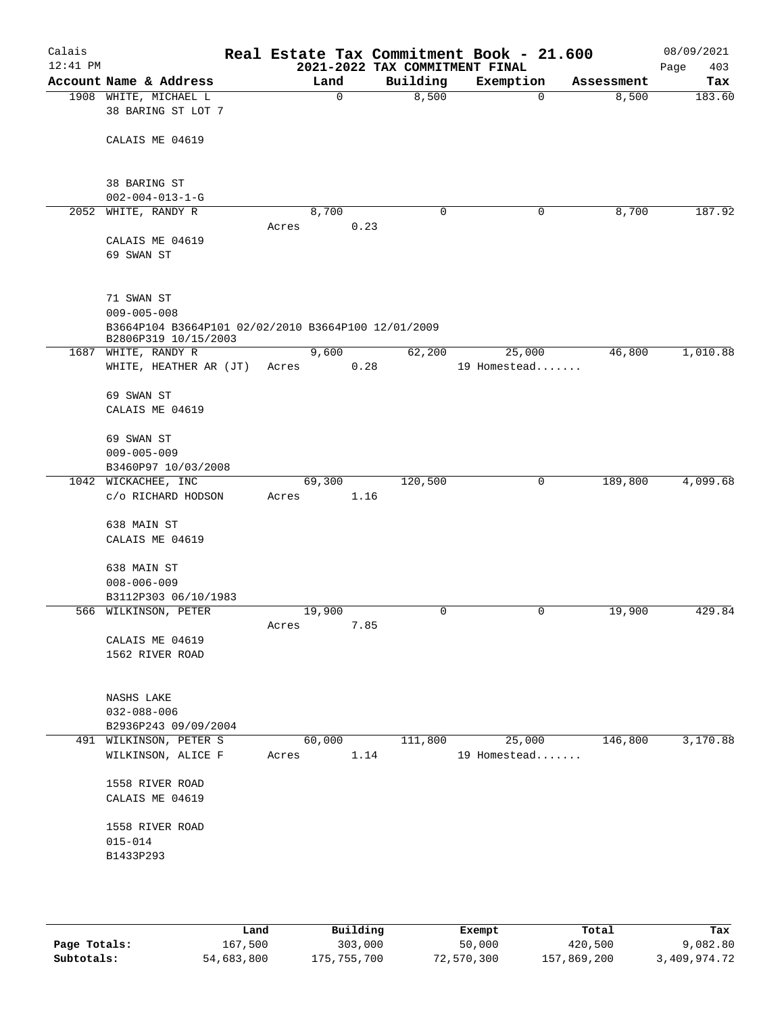| Calais     |                                                                             |       |                |      |             | Real Estate Tax Commitment Book - 21.600 |             |            | 08/09/2021  |
|------------|-----------------------------------------------------------------------------|-------|----------------|------|-------------|------------------------------------------|-------------|------------|-------------|
| $12:41$ PM |                                                                             |       |                |      |             | 2021-2022 TAX COMMITMENT FINAL           |             |            | 403<br>Page |
|            | Account Name & Address                                                      |       | Land<br>0      |      | Building    | Exemption                                |             | Assessment | Tax         |
|            | 1908 WHITE, MICHAEL L<br>38 BARING ST LOT 7                                 |       |                |      | 8,500       |                                          | $\mathbf 0$ | 8,500      | 183.60      |
|            | CALAIS ME 04619                                                             |       |                |      |             |                                          |             |            |             |
|            | 38 BARING ST                                                                |       |                |      |             |                                          |             |            |             |
|            | $002 - 004 - 013 - 1 - G$                                                   |       |                |      |             |                                          |             |            |             |
| 2052       | WHITE, RANDY R                                                              |       | 8,700          |      | $\mathbf 0$ |                                          | 0           | 8,700      | 187.92      |
|            |                                                                             | Acres |                | 0.23 |             |                                          |             |            |             |
|            | CALAIS ME 04619<br>69 SWAN ST                                               |       |                |      |             |                                          |             |            |             |
|            | 71 SWAN ST<br>$009 - 005 - 008$                                             |       |                |      |             |                                          |             |            |             |
|            | B3664P104 B3664P101 02/02/2010 B3664P100 12/01/2009<br>B2806P319 10/15/2003 |       |                |      |             |                                          |             |            |             |
|            | 1687 WHITE, RANDY R                                                         |       | 9,600          |      | 62,200      | 25,000                                   |             | 46,800     | 1,010.88    |
|            | WHITE, HEATHER AR (JT)                                                      | Acres |                | 0.28 |             | 19 Homestead                             |             |            |             |
|            | 69 SWAN ST                                                                  |       |                |      |             |                                          |             |            |             |
|            | CALAIS ME 04619                                                             |       |                |      |             |                                          |             |            |             |
|            |                                                                             |       |                |      |             |                                          |             |            |             |
|            | 69 SWAN ST                                                                  |       |                |      |             |                                          |             |            |             |
|            | $009 - 005 - 009$                                                           |       |                |      |             |                                          |             |            |             |
|            | B3460P97 10/03/2008                                                         |       |                |      |             |                                          |             |            |             |
|            | 1042 WICKACHEE, INC                                                         |       | 69,300<br>1.16 |      | 120,500     |                                          | 0           | 189,800    | 4,099.68    |
|            | c/o RICHARD HODSON                                                          | Acres |                |      |             |                                          |             |            |             |
|            | 638 MAIN ST                                                                 |       |                |      |             |                                          |             |            |             |
|            | CALAIS ME 04619                                                             |       |                |      |             |                                          |             |            |             |
|            |                                                                             |       |                |      |             |                                          |             |            |             |
|            | 638 MAIN ST<br>$008 - 006 - 009$                                            |       |                |      |             |                                          |             |            |             |
|            | B3112P303 06/10/1983                                                        |       |                |      |             |                                          |             |            |             |
|            | 566 WILKINSON, PETER                                                        |       | 19,900         |      | 0           |                                          | 0           | 19,900     | 429.84      |
|            |                                                                             | Acres |                | 7.85 |             |                                          |             |            |             |
|            | CALAIS ME 04619                                                             |       |                |      |             |                                          |             |            |             |
|            | 1562 RIVER ROAD                                                             |       |                |      |             |                                          |             |            |             |
|            |                                                                             |       |                |      |             |                                          |             |            |             |
|            | NASHS LAKE                                                                  |       |                |      |             |                                          |             |            |             |
|            | $032 - 088 - 006$                                                           |       |                |      |             |                                          |             |            |             |
|            | B2936P243 09/09/2004                                                        |       |                |      |             |                                          |             |            |             |
|            | 491 WILKINSON, PETER S                                                      |       | 60,000         |      | 111,800     | 25,000                                   |             | 146,800    | 3,170.88    |
|            | WILKINSON, ALICE F                                                          | Acres |                | 1.14 |             | 19 Homestead                             |             |            |             |
|            | 1558 RIVER ROAD                                                             |       |                |      |             |                                          |             |            |             |
|            | CALAIS ME 04619                                                             |       |                |      |             |                                          |             |            |             |
|            |                                                                             |       |                |      |             |                                          |             |            |             |
|            | 1558 RIVER ROAD                                                             |       |                |      |             |                                          |             |            |             |
|            | $015 - 014$                                                                 |       |                |      |             |                                          |             |            |             |
|            | B1433P293                                                                   |       |                |      |             |                                          |             |            |             |
|            |                                                                             |       |                |      |             |                                          |             |            |             |
|            |                                                                             |       |                |      |             |                                          |             |            |             |

|              | Land       | Building    | Exempt     | Total       | Tax          |
|--------------|------------|-------------|------------|-------------|--------------|
| Page Totals: | 167,500    | 303,000     | 50,000     | 420,500     | 9,082.80     |
| Subtotals:   | 54,683,800 | 175,755,700 | 72,570,300 | 157,869,200 | 3,409,974.72 |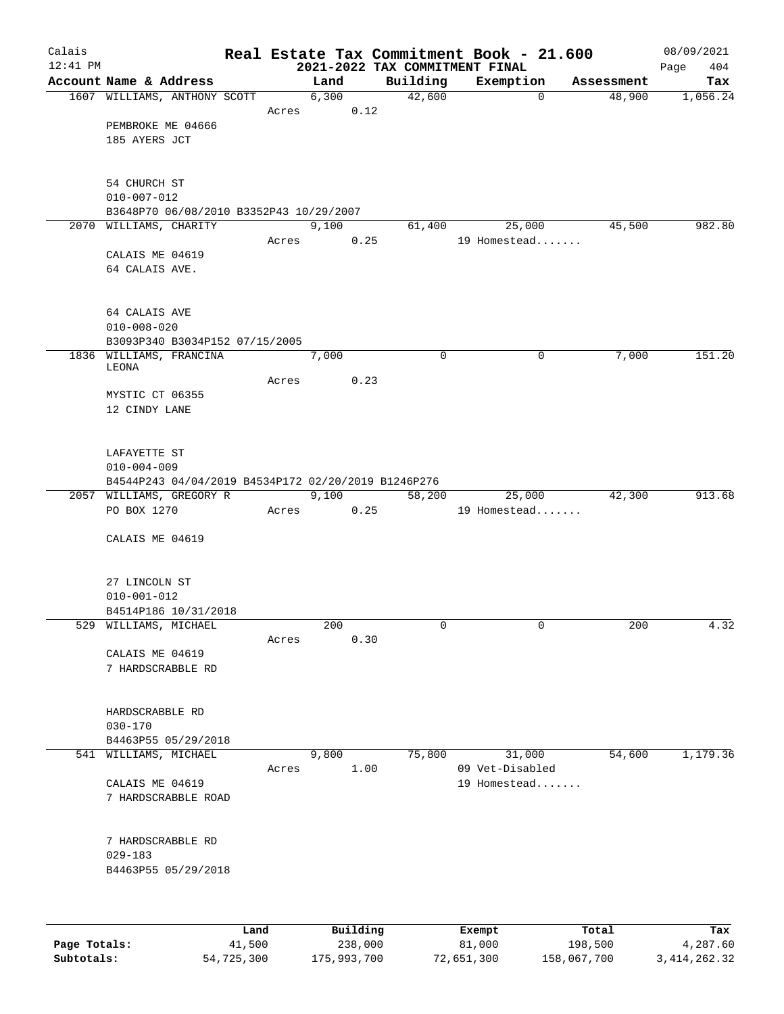| Calais     |                                                     |      |       |               |          |                                | Real Estate Tax Commitment Book - 21.600 |                      | 08/09/2021      |
|------------|-----------------------------------------------------|------|-------|---------------|----------|--------------------------------|------------------------------------------|----------------------|-----------------|
| $12:41$ PM | Account Name & Address                              |      |       |               |          | 2021-2022 TAX COMMITMENT FINAL |                                          |                      | 404<br>Page     |
|            | 1607 WILLIAMS, ANTHONY SCOTT                        |      |       | Land<br>6,300 |          | Building<br>42,600             | Exemption<br>$\mathbf 0$                 | Assessment<br>48,900 | Tax<br>1,056.24 |
|            |                                                     |      | Acres |               | 0.12     |                                |                                          |                      |                 |
|            | PEMBROKE ME 04666                                   |      |       |               |          |                                |                                          |                      |                 |
|            | 185 AYERS JCT                                       |      |       |               |          |                                |                                          |                      |                 |
|            |                                                     |      |       |               |          |                                |                                          |                      |                 |
|            | 54 CHURCH ST                                        |      |       |               |          |                                |                                          |                      |                 |
|            | $010 - 007 - 012$                                   |      |       |               |          |                                |                                          |                      |                 |
|            | B3648P70 06/08/2010 B3352P43 10/29/2007             |      |       |               |          |                                |                                          |                      |                 |
|            | 2070 WILLIAMS, CHARITY                              |      |       | 9,100         |          | 61,400                         | 25,000                                   | 45,500               | 982.80          |
|            |                                                     |      | Acres |               | 0.25     |                                | 19 Homestead                             |                      |                 |
|            | CALAIS ME 04619                                     |      |       |               |          |                                |                                          |                      |                 |
|            | 64 CALAIS AVE.                                      |      |       |               |          |                                |                                          |                      |                 |
|            |                                                     |      |       |               |          |                                |                                          |                      |                 |
|            | 64 CALAIS AVE                                       |      |       |               |          |                                |                                          |                      |                 |
|            | $010 - 008 - 020$                                   |      |       |               |          |                                |                                          |                      |                 |
|            | B3093P340 B3034P152 07/15/2005                      |      |       |               |          |                                |                                          |                      |                 |
|            | 1836 WILLIAMS, FRANCINA<br>LEONA                    |      |       | 7,000         |          | 0                              | 0                                        | 7,000                | 151.20          |
|            |                                                     |      | Acres |               | 0.23     |                                |                                          |                      |                 |
|            | MYSTIC CT 06355                                     |      |       |               |          |                                |                                          |                      |                 |
|            | 12 CINDY LANE                                       |      |       |               |          |                                |                                          |                      |                 |
|            |                                                     |      |       |               |          |                                |                                          |                      |                 |
|            |                                                     |      |       |               |          |                                |                                          |                      |                 |
|            | LAFAYETTE ST<br>$010 - 004 - 009$                   |      |       |               |          |                                |                                          |                      |                 |
|            | B4544P243 04/04/2019 B4534P172 02/20/2019 B1246P276 |      |       |               |          |                                |                                          |                      |                 |
|            | 2057 WILLIAMS, GREGORY R                            |      |       | 9,100         |          | 58,200                         | 25,000                                   | 42,300               | 913.68          |
|            | PO BOX 1270                                         |      | Acres |               | 0.25     |                                | 19 Homestead                             |                      |                 |
|            |                                                     |      |       |               |          |                                |                                          |                      |                 |
|            | CALAIS ME 04619                                     |      |       |               |          |                                |                                          |                      |                 |
|            |                                                     |      |       |               |          |                                |                                          |                      |                 |
|            | 27 LINCOLN ST                                       |      |       |               |          |                                |                                          |                      |                 |
|            | $010 - 001 - 012$                                   |      |       |               |          |                                |                                          |                      |                 |
|            | B4514P186 10/31/2018                                |      |       |               |          |                                |                                          |                      |                 |
|            | 529 WILLIAMS, MICHAEL                               |      | Acres | 200           | 0.30     | 0                              | 0                                        | 200                  | 4.32            |
|            | CALAIS ME 04619                                     |      |       |               |          |                                |                                          |                      |                 |
|            | 7 HARDSCRABBLE RD                                   |      |       |               |          |                                |                                          |                      |                 |
|            |                                                     |      |       |               |          |                                |                                          |                      |                 |
|            |                                                     |      |       |               |          |                                |                                          |                      |                 |
|            | HARDSCRABBLE RD                                     |      |       |               |          |                                |                                          |                      |                 |
|            | $030 - 170$<br>B4463P55 05/29/2018                  |      |       |               |          |                                |                                          |                      |                 |
|            | 541 WILLIAMS, MICHAEL                               |      |       | 9,800         |          | 75,800                         | 31,000                                   | 54,600               | 1,179.36        |
|            |                                                     |      | Acres |               | 1.00     |                                | 09 Vet-Disabled                          |                      |                 |
|            | CALAIS ME 04619                                     |      |       |               |          |                                | 19 Homestead                             |                      |                 |
|            | 7 HARDSCRABBLE ROAD                                 |      |       |               |          |                                |                                          |                      |                 |
|            |                                                     |      |       |               |          |                                |                                          |                      |                 |
|            | 7 HARDSCRABBLE RD                                   |      |       |               |          |                                |                                          |                      |                 |
|            | $029 - 183$                                         |      |       |               |          |                                |                                          |                      |                 |
|            | B4463P55 05/29/2018                                 |      |       |               |          |                                |                                          |                      |                 |
|            |                                                     |      |       |               |          |                                |                                          |                      |                 |
|            |                                                     |      |       |               |          |                                |                                          |                      |                 |
|            |                                                     | Land |       |               | Building |                                | <b>Ryomnt</b>                            | $T0+21$              | Tav             |

|              | Land       | Building    | Exempt     | Total       | Tax            |
|--------------|------------|-------------|------------|-------------|----------------|
| Page Totals: | 41,500     | 238,000     | 81,000     | 198,500     | 4,287.60       |
| Subtotals:   | 54,725,300 | 175,993,700 | 72,651,300 | 158,067,700 | 3, 414, 262.32 |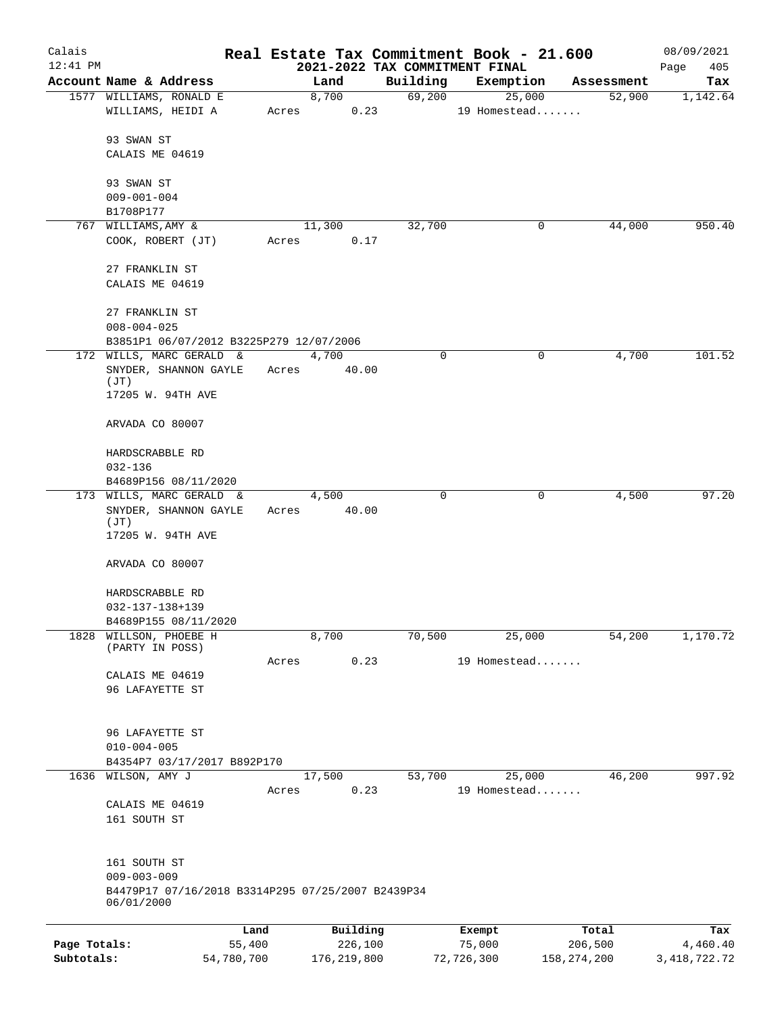| Calais       |                                                                                                      |            |       |               |                                |            | Real Estate Tax Commitment Book - 21.600 |               | 08/09/2021      |
|--------------|------------------------------------------------------------------------------------------------------|------------|-------|---------------|--------------------------------|------------|------------------------------------------|---------------|-----------------|
| $12:41$ PM   |                                                                                                      |            |       |               | 2021-2022 TAX COMMITMENT FINAL |            |                                          |               | Page<br>405     |
|              | Account Name & Address                                                                               |            |       | Land          | Building                       |            | Exemption                                | Assessment    | Tax             |
|              | 1577 WILLIAMS, RONALD E<br>WILLIAMS, HEIDI A                                                         |            | Acres | 8,700         | 0.23                           | 69,200     | 25,000<br>19 Homestead                   | 52,900        | 1,142.64        |
|              | 93 SWAN ST                                                                                           |            |       |               |                                |            |                                          |               |                 |
|              | CALAIS ME 04619                                                                                      |            |       |               |                                |            |                                          |               |                 |
|              | 93 SWAN ST                                                                                           |            |       |               |                                |            |                                          |               |                 |
|              | $009 - 001 - 004$                                                                                    |            |       |               |                                |            |                                          |               |                 |
|              | B1708P177                                                                                            |            |       |               |                                |            |                                          |               |                 |
|              | 767 WILLIAMS, AMY &<br>COOK, ROBERT (JT)                                                             |            | Acres | 11,300        | 32,700<br>0.17                 |            | 0                                        | 44,000        | 950.40          |
|              | 27 FRANKLIN ST<br>CALAIS ME 04619                                                                    |            |       |               |                                |            |                                          |               |                 |
|              | 27 FRANKLIN ST<br>$008 - 004 - 025$                                                                  |            |       |               |                                |            |                                          |               |                 |
|              | B3851P1 06/07/2012 B3225P279 12/07/2006                                                              |            |       |               |                                |            |                                          |               |                 |
|              | 172 WILLS, MARC GERALD &                                                                             |            |       | 4,700         |                                | 0          | $\mathbf 0$                              | 4,700         | 101.52          |
|              | SNYDER, SHANNON GAYLE<br>(JT)                                                                        |            | Acres | 40.00         |                                |            |                                          |               |                 |
|              | 17205 W. 94TH AVE                                                                                    |            |       |               |                                |            |                                          |               |                 |
|              | ARVADA CO 80007                                                                                      |            |       |               |                                |            |                                          |               |                 |
|              | HARDSCRABBLE RD                                                                                      |            |       |               |                                |            |                                          |               |                 |
|              | $032 - 136$                                                                                          |            |       |               |                                |            |                                          |               |                 |
|              | B4689P156 08/11/2020<br>173 WILLS, MARC GERALD &                                                     |            |       | 4,500         |                                | 0          | 0                                        | 4,500         | 97.20           |
|              | SNYDER, SHANNON GAYLE<br>(JT)                                                                        |            | Acres | 40.00         |                                |            |                                          |               |                 |
|              | 17205 W. 94TH AVE                                                                                    |            |       |               |                                |            |                                          |               |                 |
|              | ARVADA CO 80007                                                                                      |            |       |               |                                |            |                                          |               |                 |
|              | HARDSCRABBLE RD                                                                                      |            |       |               |                                |            |                                          |               |                 |
|              | 032-137-138+139                                                                                      |            |       |               |                                |            |                                          |               |                 |
| 1828         | B4689P155 08/11/2020<br>WILLSON, PHOEBE H                                                            |            |       | 8,700         | 70,500                         |            | 25,000                                   | 54,200        | 1,170.72        |
|              | (PARTY IN POSS)                                                                                      |            |       |               |                                |            |                                          |               |                 |
|              | CALAIS ME 04619                                                                                      |            | Acres |               | 0.23                           |            | 19 Homestead                             |               |                 |
|              | 96 LAFAYETTE ST                                                                                      |            |       |               |                                |            |                                          |               |                 |
|              | 96 LAFAYETTE ST                                                                                      |            |       |               |                                |            |                                          |               |                 |
|              | $010 - 004 - 005$                                                                                    |            |       |               |                                |            |                                          |               |                 |
|              | B4354P7 03/17/2017 B892P170                                                                          |            |       |               |                                |            |                                          |               |                 |
| 1636         | WILSON, AMY J                                                                                        |            | Acres | 17,500        | 53,700<br>0.23                 |            | 25,000<br>19 Homestead                   | 46,200        | 997.92          |
|              | CALAIS ME 04619                                                                                      |            |       |               |                                |            |                                          |               |                 |
|              | 161 SOUTH ST                                                                                         |            |       |               |                                |            |                                          |               |                 |
|              | 161 SOUTH ST<br>$009 - 003 - 009$<br>B4479P17 07/16/2018 B3314P295 07/25/2007 B2439P34<br>06/01/2000 |            |       |               |                                |            |                                          |               |                 |
|              |                                                                                                      | Land       |       | Building      |                                | Exempt     |                                          | Total         | Tax             |
| Page Totals: |                                                                                                      | 55,400     |       | 226,100       |                                | 75,000     |                                          | 206,500       | 4,460.40        |
| Subtotals:   |                                                                                                      | 54,780,700 |       | 176, 219, 800 |                                | 72,726,300 |                                          | 158, 274, 200 | 3, 418, 722. 72 |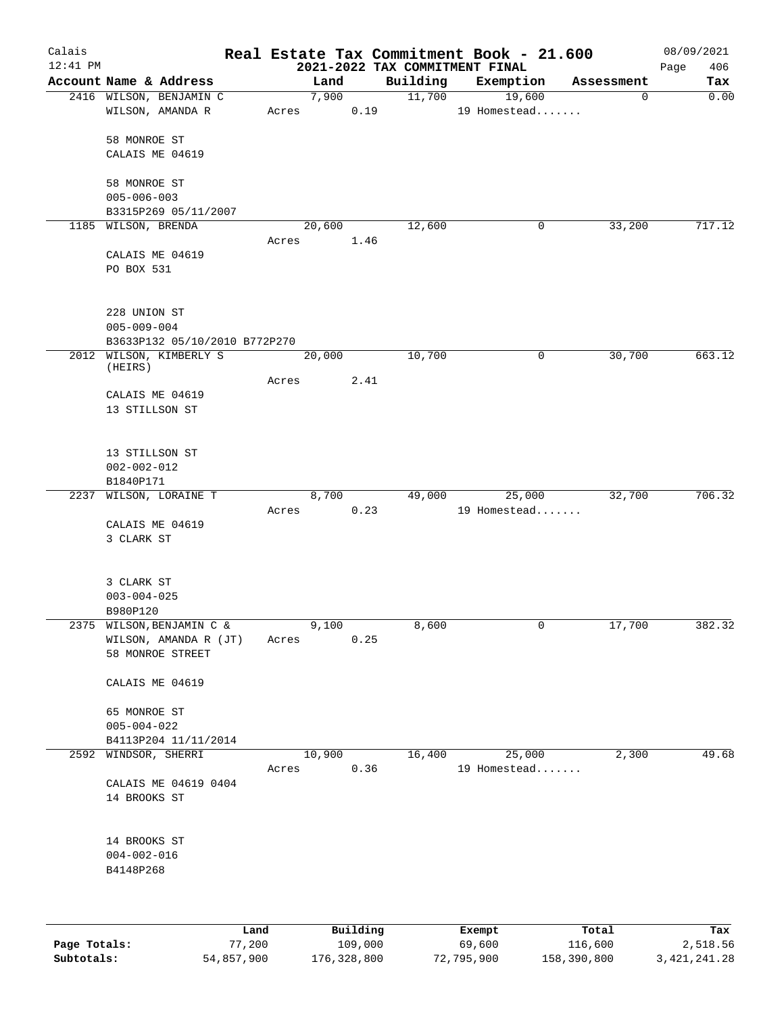| Calais<br>$12:41$ PM |                                |       |          | 2021-2022 TAX COMMITMENT FINAL | Real Estate Tax Commitment Book - 21.600 |             | 08/09/2021<br>406<br>Page |
|----------------------|--------------------------------|-------|----------|--------------------------------|------------------------------------------|-------------|---------------------------|
|                      | Account Name & Address         |       | Land     | Building                       | Exemption                                | Assessment  | Tax                       |
|                      | 2416 WILSON, BENJAMIN C        |       | 7,900    | 11,700                         | 19,600                                   | $\mathbf 0$ | 0.00                      |
|                      | WILSON, AMANDA R               | Acres |          | 0.19                           | 19 Homestead                             |             |                           |
|                      | 58 MONROE ST                   |       |          |                                |                                          |             |                           |
|                      | CALAIS ME 04619                |       |          |                                |                                          |             |                           |
|                      | 58 MONROE ST                   |       |          |                                |                                          |             |                           |
|                      | $005 - 006 - 003$              |       |          |                                |                                          |             |                           |
|                      | B3315P269 05/11/2007           |       |          |                                |                                          |             |                           |
|                      | 1185 WILSON, BRENDA            |       | 20,600   | 12,600                         | 0                                        | 33,200      | 717.12                    |
|                      | CALAIS ME 04619                | Acres |          | 1.46                           |                                          |             |                           |
|                      | PO BOX 531                     |       |          |                                |                                          |             |                           |
|                      | 228 UNION ST                   |       |          |                                |                                          |             |                           |
|                      | $005 - 009 - 004$              |       |          |                                |                                          |             |                           |
|                      | B3633P132 05/10/2010 B772P270  |       |          |                                |                                          |             |                           |
|                      | 2012 WILSON, KIMBERLY S        |       | 20,000   | 10,700                         | 0                                        | 30,700      | 663.12                    |
|                      | (HEIRS)                        |       |          |                                |                                          |             |                           |
|                      | CALAIS ME 04619                | Acres |          | 2.41                           |                                          |             |                           |
|                      | 13 STILLSON ST                 |       |          |                                |                                          |             |                           |
|                      | 13 STILLSON ST                 |       |          |                                |                                          |             |                           |
|                      | $002 - 002 - 012$              |       |          |                                |                                          |             |                           |
|                      | B1840P171                      |       |          |                                |                                          |             |                           |
| 2237                 | WILSON, LORAINE T              |       | 8,700    | 49,000                         | 25,000                                   | 32,700      | 706.32                    |
|                      |                                | Acres |          | 0.23                           | 19 Homestead                             |             |                           |
|                      | CALAIS ME 04619                |       |          |                                |                                          |             |                           |
|                      | 3 CLARK ST                     |       |          |                                |                                          |             |                           |
|                      | 3 CLARK ST                     |       |          |                                |                                          |             |                           |
|                      | $003 - 004 - 025$              |       |          |                                |                                          |             |                           |
|                      | B980P120                       |       |          |                                |                                          |             |                           |
|                      | 2375 WILSON, BENJAMIN C &      |       | 9,100    | 8,600                          | $\overline{0}$                           | 17,700      | 382.32                    |
|                      | WILSON, AMANDA R (JT)          | Acres |          | 0.25                           |                                          |             |                           |
|                      | 58 MONROE STREET               |       |          |                                |                                          |             |                           |
|                      | CALAIS ME 04619                |       |          |                                |                                          |             |                           |
|                      | 65 MONROE ST                   |       |          |                                |                                          |             |                           |
|                      | $005 - 004 - 022$              |       |          |                                |                                          |             |                           |
|                      | B4113P204 11/11/2014           |       |          |                                |                                          |             |                           |
|                      | 2592 WINDSOR, SHERRI           |       | 10,900   | 16,400                         | 25,000                                   | 2,300       | 49.68                     |
|                      | CALAIS ME 04619 0404           | Acres |          | 0.36                           | 19 Homestead                             |             |                           |
|                      | 14 BROOKS ST                   |       |          |                                |                                          |             |                           |
|                      |                                |       |          |                                |                                          |             |                           |
|                      | 14 BROOKS ST                   |       |          |                                |                                          |             |                           |
|                      | $004 - 002 - 016$<br>B4148P268 |       |          |                                |                                          |             |                           |
|                      |                                |       |          |                                |                                          |             |                           |
|                      |                                |       |          |                                |                                          |             |                           |
|                      |                                | Land  | Building |                                | Exempt                                   | Total       | Tax                       |

|              | -----      | --------    | -------    | -----       | .            |
|--------------|------------|-------------|------------|-------------|--------------|
| Page Totals: | 77,200     | 109,000     | 69,600     | 116,600     | 2,518.56     |
| Subtotals:   | 54,857,900 | 176,328,800 | 72,795,900 | 158,390,800 | 3,421,241.28 |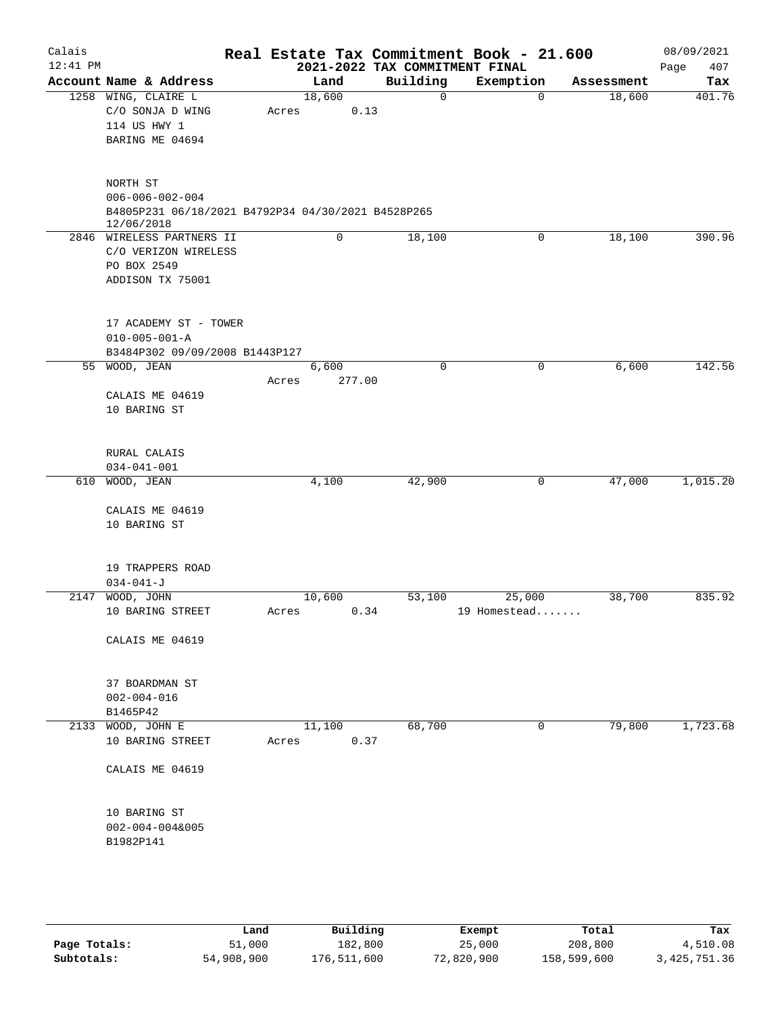| Calais     |                                                                  |        |        |                                | Real Estate Tax Commitment Book - 21.600 |             |            | 08/09/2021  |
|------------|------------------------------------------------------------------|--------|--------|--------------------------------|------------------------------------------|-------------|------------|-------------|
| $12:41$ PM |                                                                  |        |        | 2021-2022 TAX COMMITMENT FINAL |                                          |             |            | Page<br>407 |
|            | Account Name & Address                                           |        | Land   | Building                       | Exemption                                |             | Assessment | Tax         |
|            | 1258 WING, CLAIRE L                                              | 18,600 |        | $\mathbf 0$                    |                                          | $\mathbf 0$ | 18,600     | 401.76      |
|            | C/O SONJA D WING                                                 | Acres  | 0.13   |                                |                                          |             |            |             |
|            | 114 US HWY 1                                                     |        |        |                                |                                          |             |            |             |
|            | BARING ME 04694                                                  |        |        |                                |                                          |             |            |             |
|            | NORTH ST                                                         |        |        |                                |                                          |             |            |             |
|            | $006 - 006 - 002 - 004$                                          |        |        |                                |                                          |             |            |             |
|            | B4805P231 06/18/2021 B4792P34 04/30/2021 B4528P265<br>12/06/2018 |        |        |                                |                                          |             |            |             |
|            | 2846 WIRELESS PARTNERS II                                        |        | 0      | 18,100                         |                                          | 0           | 18,100     | 390.96      |
|            | C/O VERIZON WIRELESS                                             |        |        |                                |                                          |             |            |             |
|            | PO BOX 2549                                                      |        |        |                                |                                          |             |            |             |
|            | ADDISON TX 75001                                                 |        |        |                                |                                          |             |            |             |
|            | 17 ACADEMY ST - TOWER                                            |        |        |                                |                                          |             |            |             |
|            | $010 - 005 - 001 - A$                                            |        |        |                                |                                          |             |            |             |
|            | B3484P302 09/09/2008 B1443P127                                   |        |        |                                |                                          |             |            |             |
|            | 55 WOOD, JEAN                                                    | 6,600  |        | $\mathbf 0$                    |                                          | 0           | 6,600      | 142.56      |
|            |                                                                  | Acres  | 277.00 |                                |                                          |             |            |             |
|            | CALAIS ME 04619                                                  |        |        |                                |                                          |             |            |             |
|            | 10 BARING ST                                                     |        |        |                                |                                          |             |            |             |
|            | RURAL CALAIS                                                     |        |        |                                |                                          |             |            |             |
|            | $034 - 041 - 001$                                                |        |        |                                |                                          |             |            |             |
|            | 610 WOOD, JEAN                                                   | 4,100  |        | 42,900                         |                                          | 0           | 47,000     | 1,015.20    |
|            |                                                                  |        |        |                                |                                          |             |            |             |
|            | CALAIS ME 04619                                                  |        |        |                                |                                          |             |            |             |
|            | 10 BARING ST                                                     |        |        |                                |                                          |             |            |             |
|            | 19 TRAPPERS ROAD                                                 |        |        |                                |                                          |             |            |             |
|            | $034 - 041 - J$                                                  |        |        |                                |                                          |             |            |             |
| 2147       | WOOD, JOHN                                                       | 10,600 |        | 53,100                         | 25,000                                   |             | 38,700     | 835.92      |
|            | 10 BARING STREET                                                 | Acres  | 0.34   |                                | 19 Homestead                             |             |            |             |
|            |                                                                  |        |        |                                |                                          |             |            |             |
|            | CALAIS ME 04619                                                  |        |        |                                |                                          |             |            |             |
|            | 37 BOARDMAN ST                                                   |        |        |                                |                                          |             |            |             |
|            | $002 - 004 - 016$                                                |        |        |                                |                                          |             |            |             |
|            | B1465P42                                                         |        |        |                                |                                          |             |            |             |
|            | 2133 WOOD, JOHN E                                                | 11,100 |        | 68,700                         |                                          | 0           | 79,800     | 1,723.68    |
|            | 10 BARING STREET                                                 | Acres  | 0.37   |                                |                                          |             |            |             |
|            | CALAIS ME 04619                                                  |        |        |                                |                                          |             |            |             |
|            | 10 BARING ST                                                     |        |        |                                |                                          |             |            |             |
|            | $002 - 004 - 004&005$                                            |        |        |                                |                                          |             |            |             |
|            | B1982P141                                                        |        |        |                                |                                          |             |            |             |
|            |                                                                  |        |        |                                |                                          |             |            |             |
|            |                                                                  |        |        |                                |                                          |             |            |             |
|            |                                                                  |        |        |                                |                                          |             |            |             |
|            |                                                                  |        |        |                                |                                          |             |            |             |

|              | Land       | Building    | Exempt     | Total       | Tax          |
|--------------|------------|-------------|------------|-------------|--------------|
| Page Totals: | 51,000     | 182,800     | 25,000     | 208,800     | 4,510.08     |
| Subtotals:   | 54,908,900 | 176,511,600 | 72,820,900 | 158,599,600 | 3,425,751.36 |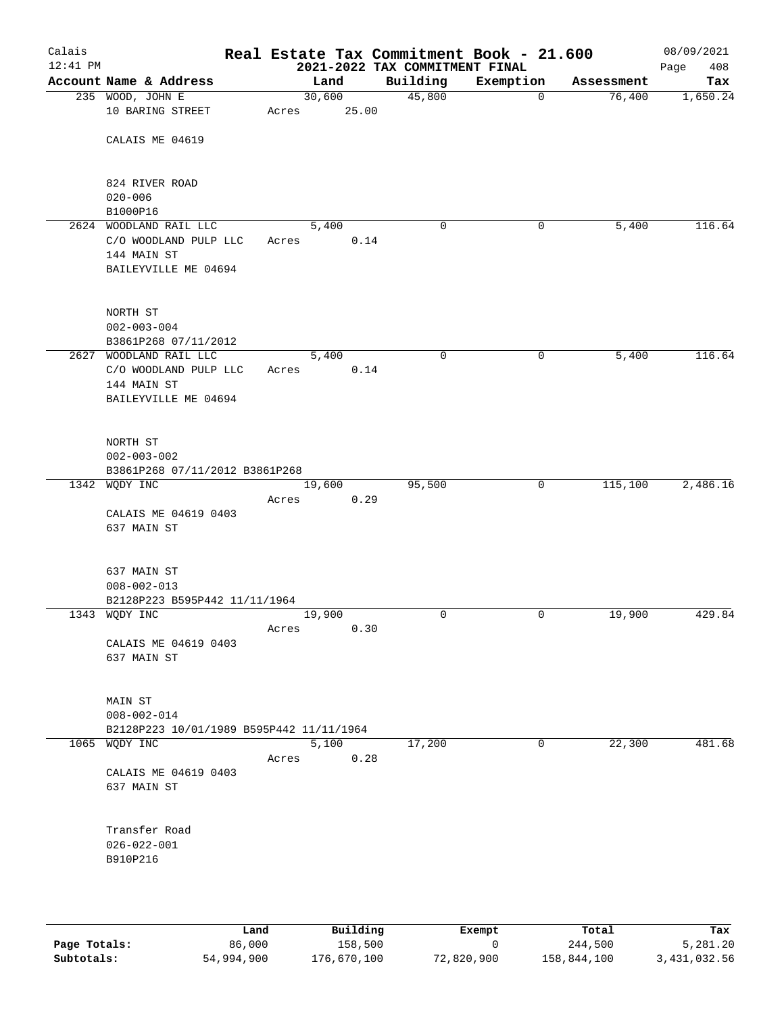| Calais<br>$12:41$ PM |                                                                                        |       |                 | Real Estate Tax Commitment Book - 21.600<br>2021-2022 TAX COMMITMENT FINAL |             |            | 08/09/2021<br>Page<br>408 |
|----------------------|----------------------------------------------------------------------------------------|-------|-----------------|----------------------------------------------------------------------------|-------------|------------|---------------------------|
|                      | Account Name & Address                                                                 |       | Land            | Building                                                                   | Exemption   | Assessment | Tax                       |
|                      | 235 WOOD, JOHN E<br>10 BARING STREET                                                   | Acres | 30,600<br>25.00 | 45,800                                                                     | $\mathbf 0$ | 76,400     | 1,650.24                  |
|                      | CALAIS ME 04619                                                                        |       |                 |                                                                            |             |            |                           |
|                      | 824 RIVER ROAD<br>$020 - 006$                                                          |       |                 |                                                                            |             |            |                           |
|                      | B1000P16                                                                               |       |                 |                                                                            |             |            |                           |
|                      | 2624 WOODLAND RAIL LLC<br>C/O WOODLAND PULP LLC<br>144 MAIN ST<br>BAILEYVILLE ME 04694 | Acres | 5,400<br>0.14   | 0                                                                          | 0           | 5,400      | 116.64                    |
|                      |                                                                                        |       |                 |                                                                            |             |            |                           |
|                      | NORTH ST<br>$002 - 003 - 004$                                                          |       |                 |                                                                            |             |            |                           |
|                      | B3861P268 07/11/2012                                                                   |       |                 |                                                                            |             |            |                           |
|                      | 2627 WOODLAND RAIL LLC                                                                 |       | 5,400           | $\mathbf 0$                                                                | $\mathbf 0$ | 5,400      | 116.64                    |
|                      | C/O WOODLAND PULP LLC                                                                  | Acres | 0.14            |                                                                            |             |            |                           |
|                      | 144 MAIN ST<br>BAILEYVILLE ME 04694                                                    |       |                 |                                                                            |             |            |                           |
|                      | NORTH ST                                                                               |       |                 |                                                                            |             |            |                           |
|                      | $002 - 003 - 002$                                                                      |       |                 |                                                                            |             |            |                           |
|                      | B3861P268 07/11/2012 B3861P268                                                         |       |                 |                                                                            |             |            |                           |
|                      | 1342 WQDY INC                                                                          |       | 19,600          | 95,500                                                                     | 0           | 115,100    | 2,486.16                  |
|                      | CALAIS ME 04619 0403                                                                   | Acres | 0.29            |                                                                            |             |            |                           |
|                      | 637 MAIN ST                                                                            |       |                 |                                                                            |             |            |                           |
|                      | 637 MAIN ST                                                                            |       |                 |                                                                            |             |            |                           |
|                      | $008 - 002 - 013$                                                                      |       |                 |                                                                            |             |            |                           |
|                      | B2128P223 B595P442 11/11/1964                                                          |       |                 |                                                                            |             |            |                           |
|                      | 1343 WQDY INC                                                                          | Acres | 19,900<br>0.30  | 0                                                                          | 0           | 19,900     | 429.84                    |
|                      | CALAIS ME 04619 0403<br>637 MAIN ST                                                    |       |                 |                                                                            |             |            |                           |
|                      | MAIN ST<br>$008 - 002 - 014$                                                           |       |                 |                                                                            |             |            |                           |
|                      | B2128P223 10/01/1989 B595P442 11/11/1964                                               |       |                 |                                                                            |             |            |                           |
|                      | 1065 WODY INC                                                                          |       | 5,100           | 17,200                                                                     | 0           | 22,300     | 481.68                    |
|                      |                                                                                        | Acres | 0.28            |                                                                            |             |            |                           |
|                      | CALAIS ME 04619 0403<br>637 MAIN ST                                                    |       |                 |                                                                            |             |            |                           |
|                      | Transfer Road<br>$026 - 022 - 001$<br>B910P216                                         |       |                 |                                                                            |             |            |                           |
|                      |                                                                                        |       |                 |                                                                            |             |            |                           |

|              | Land       | Building    | Exempt     | Total       | Tax          |
|--------------|------------|-------------|------------|-------------|--------------|
| Page Totals: | 86,000     | 158,500     |            | 244,500     | 5,281.20     |
| Subtotals:   | 54,994,900 | 176,670,100 | 72,820,900 | 158,844,100 | 3,431,032.56 |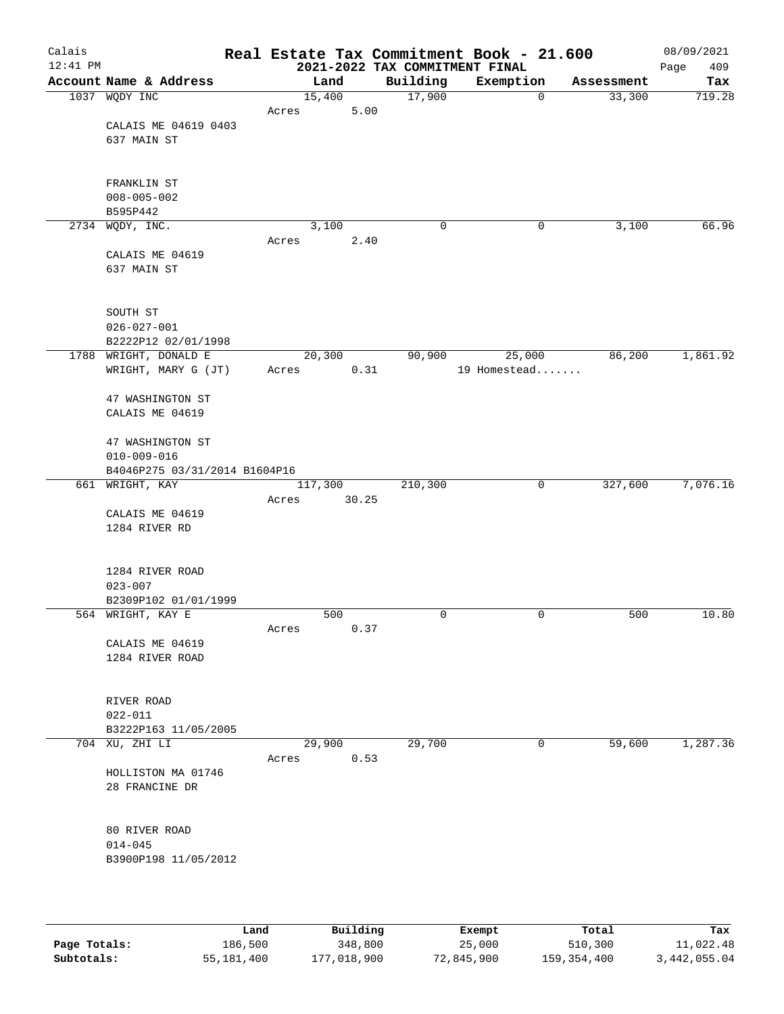| Calais<br>$12:41$ PM |                                              |       |                | 2021-2022 TAX COMMITMENT FINAL | Real Estate Tax Commitment Book - 21.600 |            | 08/09/2021<br>409<br>Page |
|----------------------|----------------------------------------------|-------|----------------|--------------------------------|------------------------------------------|------------|---------------------------|
|                      | Account Name & Address                       |       | Land           | Building                       | Exemption                                | Assessment | Tax                       |
|                      | 1037 WQDY INC                                |       | 15,400         | 17,900                         | $\mathbf 0$                              | 33,300     | 719.28                    |
|                      |                                              | Acres | 5.00           |                                |                                          |            |                           |
|                      | CALAIS ME 04619 0403                         |       |                |                                |                                          |            |                           |
|                      | 637 MAIN ST                                  |       |                |                                |                                          |            |                           |
|                      |                                              |       |                |                                |                                          |            |                           |
|                      |                                              |       |                |                                |                                          |            |                           |
|                      | FRANKLIN ST                                  |       |                |                                |                                          |            |                           |
|                      | $008 - 005 - 002$                            |       |                |                                |                                          |            |                           |
|                      | B595P442                                     |       |                |                                |                                          |            |                           |
|                      | 2734 WQDY, INC.                              |       | 3,100          | 0                              | 0                                        | 3,100      | 66.96                     |
|                      |                                              | Acres | 2.40           |                                |                                          |            |                           |
|                      | CALAIS ME 04619                              |       |                |                                |                                          |            |                           |
|                      | 637 MAIN ST                                  |       |                |                                |                                          |            |                           |
|                      |                                              |       |                |                                |                                          |            |                           |
|                      |                                              |       |                |                                |                                          |            |                           |
|                      | SOUTH ST                                     |       |                |                                |                                          |            |                           |
|                      | $026 - 027 - 001$                            |       |                |                                |                                          |            |                           |
|                      | B2222P12 02/01/1998                          |       |                |                                |                                          |            | 1,861.92                  |
|                      | 1788 WRIGHT, DONALD E<br>WRIGHT, MARY G (JT) | Acres | 20,300<br>0.31 | 90,900                         | 25,000<br>19 Homestead                   | 86,200     |                           |
|                      |                                              |       |                |                                |                                          |            |                           |
|                      | 47 WASHINGTON ST                             |       |                |                                |                                          |            |                           |
|                      | CALAIS ME 04619                              |       |                |                                |                                          |            |                           |
|                      |                                              |       |                |                                |                                          |            |                           |
|                      | 47 WASHINGTON ST                             |       |                |                                |                                          |            |                           |
|                      | $010 - 009 - 016$                            |       |                |                                |                                          |            |                           |
|                      | B4046P275 03/31/2014 B1604P16                |       |                |                                |                                          |            |                           |
|                      | 661 WRIGHT, KAY                              |       | 117,300        | 210,300                        | 0                                        | 327,600    | 7,076.16                  |
|                      |                                              | Acres | 30.25          |                                |                                          |            |                           |
|                      | CALAIS ME 04619                              |       |                |                                |                                          |            |                           |
|                      | 1284 RIVER RD                                |       |                |                                |                                          |            |                           |
|                      |                                              |       |                |                                |                                          |            |                           |
|                      |                                              |       |                |                                |                                          |            |                           |
|                      | 1284 RIVER ROAD                              |       |                |                                |                                          |            |                           |
|                      | $023 - 007$                                  |       |                |                                |                                          |            |                           |
|                      | B2309P102 01/01/1999                         |       |                |                                |                                          |            |                           |
|                      | 564 WRIGHT, KAY E                            |       | 500            | 0                              | 0                                        | 500        | 10.80                     |
|                      |                                              | Acres | 0.37           |                                |                                          |            |                           |
|                      | CALAIS ME 04619                              |       |                |                                |                                          |            |                           |
|                      | 1284 RIVER ROAD                              |       |                |                                |                                          |            |                           |
|                      |                                              |       |                |                                |                                          |            |                           |
|                      | RIVER ROAD                                   |       |                |                                |                                          |            |                           |
|                      | $022 - 011$                                  |       |                |                                |                                          |            |                           |
|                      | B3222P163 11/05/2005                         |       |                |                                |                                          |            |                           |
|                      | 704 XU, ZHI LI                               |       | 29,900         | 29,700                         | 0                                        | 59,600     | 1,287.36                  |
|                      |                                              | Acres | 0.53           |                                |                                          |            |                           |
|                      | HOLLISTON MA 01746                           |       |                |                                |                                          |            |                           |
|                      | 28 FRANCINE DR                               |       |                |                                |                                          |            |                           |
|                      |                                              |       |                |                                |                                          |            |                           |
|                      |                                              |       |                |                                |                                          |            |                           |
|                      | 80 RIVER ROAD                                |       |                |                                |                                          |            |                           |
|                      | $014 - 045$                                  |       |                |                                |                                          |            |                           |
|                      | B3900P198 11/05/2012                         |       |                |                                |                                          |            |                           |
|                      |                                              |       |                |                                |                                          |            |                           |
|                      |                                              |       |                |                                |                                          |            |                           |
|                      |                                              |       |                |                                |                                          |            |                           |

|              | Land       | Building    | Exempt     | Total       | Tax          |
|--------------|------------|-------------|------------|-------------|--------------|
| Page Totals: | 186,500    | 348,800     | 25,000     | 510,300     | 11,022.48    |
| Subtotals:   | 55,181,400 | 177,018,900 | 72,845,900 | 159,354,400 | 3,442,055.04 |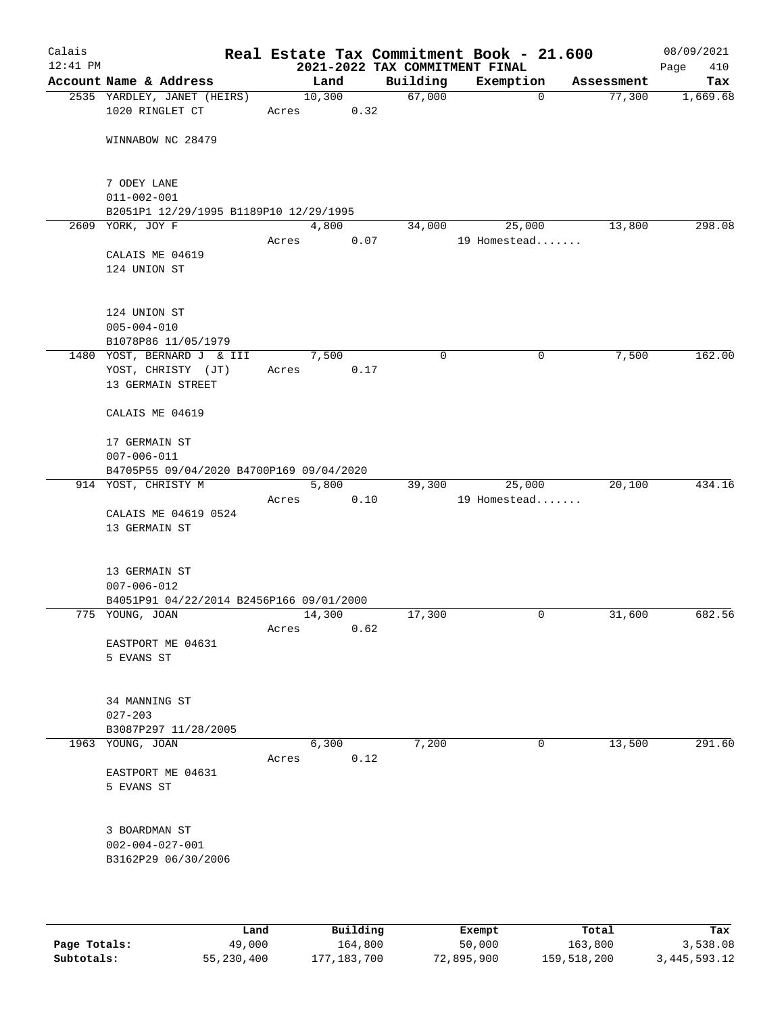| Calais<br>$12:41$ PM |                                                |       |        |      | 2021-2022 TAX COMMITMENT FINAL | Real Estate Tax Commitment Book - 21.600 |            | 08/09/2021<br>410<br>Page |
|----------------------|------------------------------------------------|-------|--------|------|--------------------------------|------------------------------------------|------------|---------------------------|
|                      | Account Name & Address                         |       | Land   |      | Building                       | Exemption                                | Assessment | Tax                       |
|                      | 2535 YARDLEY, JANET (HEIRS)<br>1020 RINGLET CT | Acres | 10,300 | 0.32 | 67,000                         | $\mathbf 0$                              | 77,300     | 1,669.68                  |
|                      | WINNABOW NC 28479                              |       |        |      |                                |                                          |            |                           |
|                      | 7 ODEY LANE<br>$011 - 002 - 001$               |       |        |      |                                |                                          |            |                           |
|                      | B2051P1 12/29/1995 B1189P10 12/29/1995         |       |        |      |                                |                                          |            |                           |
|                      | 2609 YORK, JOY F                               |       | 4,800  |      | 34,000                         | 25,000                                   | 13,800     | 298.08                    |
|                      | CALAIS ME 04619                                | Acres |        | 0.07 |                                | 19 Homestead                             |            |                           |
|                      | 124 UNION ST                                   |       |        |      |                                |                                          |            |                           |
|                      | 124 UNION ST<br>$005 - 004 - 010$              |       |        |      |                                |                                          |            |                           |
|                      | B1078P86 11/05/1979                            |       |        |      |                                |                                          |            |                           |
|                      | 1480 YOST, BERNARD J & III                     |       | 7,500  |      | 0                              | $\mathbf 0$                              | 7,500      | 162.00                    |
|                      | YOST, CHRISTY (JT)<br>13 GERMAIN STREET        | Acres |        | 0.17 |                                |                                          |            |                           |
|                      | CALAIS ME 04619                                |       |        |      |                                |                                          |            |                           |
|                      | 17 GERMAIN ST<br>$007 - 006 - 011$             |       |        |      |                                |                                          |            |                           |
|                      | B4705P55 09/04/2020 B4700P169 09/04/2020       |       |        |      |                                |                                          |            |                           |
|                      | 914 YOST, CHRISTY M                            | Acres | 5,800  | 0.10 | 39,300                         | 25,000<br>19 Homestead                   | 20,100     | 434.16                    |
|                      | CALAIS ME 04619 0524                           |       |        |      |                                |                                          |            |                           |
|                      | 13 GERMAIN ST                                  |       |        |      |                                |                                          |            |                           |
|                      | 13 GERMAIN ST<br>$007 - 006 - 012$             |       |        |      |                                |                                          |            |                           |
|                      | B4051P91 04/22/2014 B2456P166 09/01/2000       |       |        |      |                                |                                          |            |                           |
|                      | 775 YOUNG, JOAN                                | Acres | 14,300 | 0.62 | 17,300                         | 0                                        | 31,600     | 682.56                    |
|                      | EASTPORT ME 04631<br>5 EVANS ST                |       |        |      |                                |                                          |            |                           |
|                      | 34 MANNING ST<br>$027 - 203$                   |       |        |      |                                |                                          |            |                           |
|                      | B3087P297 11/28/2005                           |       |        |      |                                |                                          |            |                           |
|                      | 1963 YOUNG, JOAN                               |       | 6,300  |      | 7,200                          | 0                                        | 13,500     | 291.60                    |
|                      | EASTPORT ME 04631                              | Acres |        | 0.12 |                                |                                          |            |                           |
|                      | 5 EVANS ST                                     |       |        |      |                                |                                          |            |                           |
|                      | 3 BOARDMAN ST                                  |       |        |      |                                |                                          |            |                           |
|                      | $002 - 004 - 027 - 001$<br>B3162P29 06/30/2006 |       |        |      |                                |                                          |            |                           |
|                      |                                                |       |        |      |                                |                                          |            |                           |

|              | Land       | Building    | Exempt     | Total       | Tax          |
|--------------|------------|-------------|------------|-------------|--------------|
| Page Totals: | 49,000     | 164,800     | 50,000     | 163,800     | 3,538.08     |
| Subtotals:   | 55,230,400 | 177,183,700 | 72,895,900 | 159,518,200 | 3,445,593.12 |